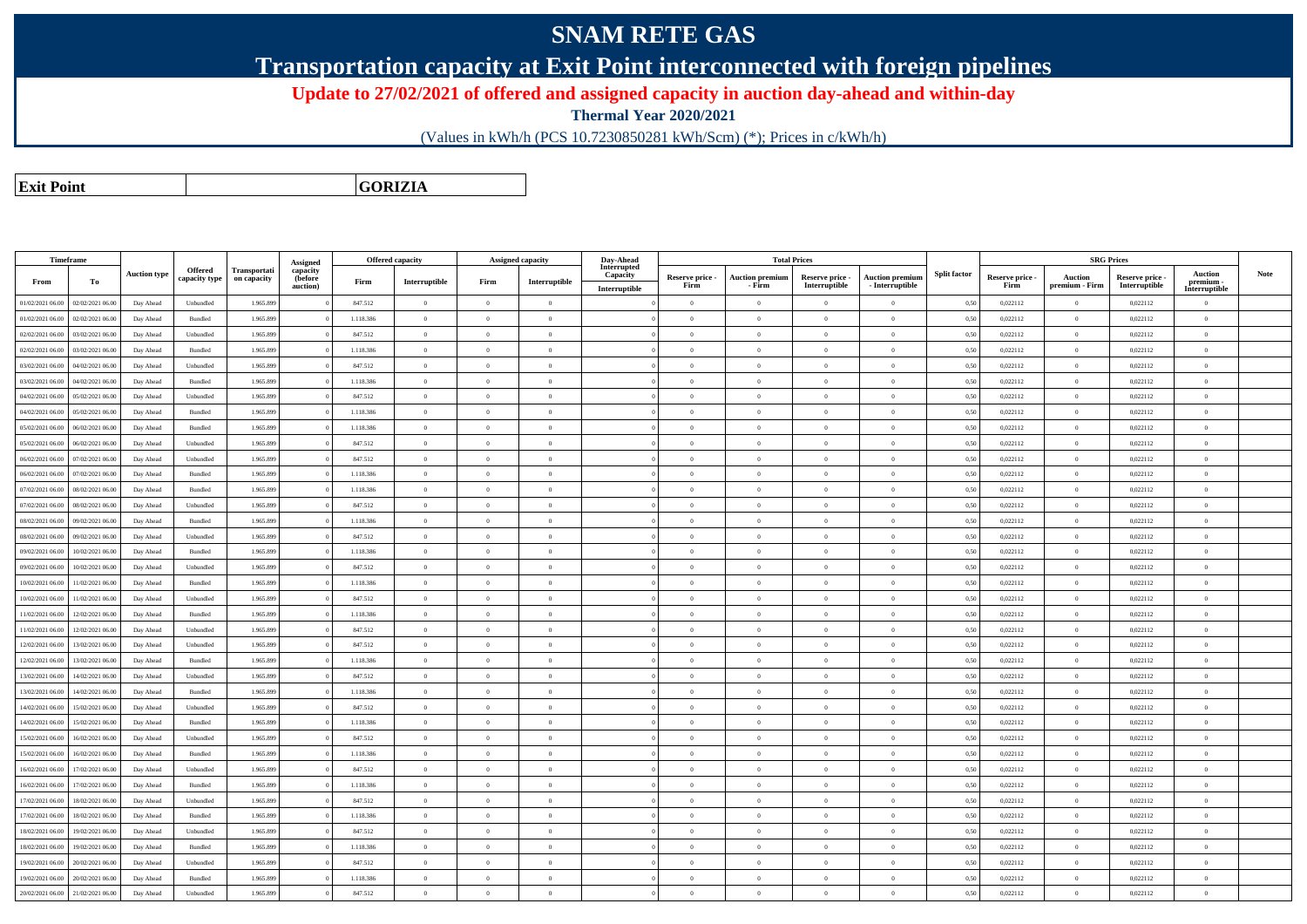## **SNAM RETE GAS**

**Transportation capacity at Exit Point interconnected with foreign pipelines**

**Update to 27/02/2021 of offered and assigned capacity in auction day-ahead and within-day**

**Thermal Year 2020/2021**

(Values in kWh/h (PCS 10.7230850281 kWh/Scm) (\*); Prices in c/kWh/h)

**Exit PointGORIZIA**

|                  | <b>Timeframe</b> |                     |                                 |                             | Assigned                        |           | Offered capacity |                | <b>Assigned capacity</b> | Day-Ahead               |                         |                                  | <b>Total Prices</b>              |                                           |                     |                         |                                  | <b>SRG Prices</b>                |                      |             |
|------------------|------------------|---------------------|---------------------------------|-----------------------------|---------------------------------|-----------|------------------|----------------|--------------------------|-------------------------|-------------------------|----------------------------------|----------------------------------|-------------------------------------------|---------------------|-------------------------|----------------------------------|----------------------------------|----------------------|-------------|
| From             | То               | <b>Auction type</b> | <b>Offered</b><br>capacity type | Transportati<br>on capacity | capacity<br>(before<br>auction) | Firm      | Interruptible    | Firm           | Interruptible            | Interrupted<br>Capacity | Reserve price -<br>Firm | <b>Auction premium</b><br>- Firm | Reserve price -<br>Interruptible | <b>Auction premium</b><br>- Interruptible | <b>Split factor</b> | Reserve price -<br>Firm | <b>Auction</b><br>premium - Firm | Reserve price -<br>Interruptible | Auction<br>premium - | <b>Note</b> |
|                  |                  |                     |                                 |                             |                                 |           |                  |                |                          | Interruptible           |                         |                                  |                                  |                                           |                     |                         |                                  |                                  | Interruptible        |             |
| 01/02/2021 06:00 | 02/02/2021 06:00 | Day Ahead           | Unbundled                       | 1.965.899                   |                                 | 847.512   | $\overline{0}$   | $\Omega$       | $\overline{0}$           |                         | $\overline{0}$          | $\overline{0}$                   | $\overline{0}$                   | $\theta$                                  | 0,50                | 0,022112                | $\overline{0}$                   | 0,022112                         | $\overline{0}$       |             |
| 01/02/2021 06:00 | 02/02/2021 06.00 | Day Ahead           | Bundled                         | 1.965.899                   |                                 | 1.118.386 | $\overline{0}$   | $\Omega$       | $\Omega$                 |                         | $\overline{0}$          | $\theta$                         | $\Omega$                         | $\theta$                                  | 0,50                | 0,022112                | $\overline{0}$                   | 0.022112                         | $\overline{0}$       |             |
| 02/02/2021 06:00 | 03/02/2021 06:00 | Day Ahead           | Unbundled                       | 1.965,899                   |                                 | 847.512   | $\overline{0}$   | $\Omega$       | $\Omega$                 |                         | $\Omega$                | $\Omega$                         | $\Omega$                         | $\theta$                                  | 0,50                | 0,022112                | $\overline{0}$                   | 0,022112                         | $\Omega$             |             |
| 02/02/2021 06:00 | 03/02/2021 06:00 | Day Ahead           | Bundled                         | 1.965.899                   |                                 | 1.118.386 | $\overline{0}$   | $\Omega$       | $\overline{0}$           |                         | $\overline{0}$          | $\bf{0}$                         | $\Omega$                         | $\theta$                                  | 0,50                | 0,022112                | $\overline{0}$                   | 0,022112                         | $\theta$             |             |
| 03/02/2021 06:00 | 04/02/2021 06.00 | Day Ahead           | Unbundled                       | 1.965.899                   |                                 | 847.512   | $\overline{0}$   | $\overline{0}$ | $\overline{0}$           |                         | $\bf{0}$                | $\,$ 0                           | $\overline{0}$                   | $\overline{0}$                            | 0,50                | 0,022112                | $\overline{0}$                   | 0,022112                         | $\,$ 0               |             |
| 03/02/2021 06:00 | 04/02/2021 06.00 | Day Ahead           | Bundled                         | 1.965.899                   |                                 | 1.118.386 | $\overline{0}$   | $\overline{0}$ | $\overline{0}$           |                         | $\overline{0}$          | $\bf{0}$                         | $\overline{0}$                   | $\overline{0}$                            | 0,50                | 0,022112                | $\overline{0}$                   | 0,022112                         | $\,$ 0               |             |
| 04/02/2021 06:00 | 05/02/2021 06.00 | Day Ahead           | Unbundled                       | 1.965.899                   |                                 | 847.512   | $\overline{0}$   | $\overline{0}$ | $\overline{0}$           |                         | $\overline{0}$          | $\bf{0}$                         | $\overline{0}$                   | $\overline{0}$                            | 0,50                | 0,022112                | $\overline{0}$                   | 0,022112                         | $\theta$             |             |
| 04/02/2021 06:00 | 05/02/2021 06:00 | Day Ahead           | Bundled                         | 1.965.899                   |                                 | 1.118.386 | $\mathbf{0}$     | $\Omega$       | $\Omega$                 |                         | $\theta$                | $\Omega$                         | $\Omega$                         |                                           | 0,50                | 0,022112                | $\overline{0}$                   | 0,022112                         | $\overline{0}$       |             |
| 05/02/2021 06:00 | 06/02/2021 06:00 | Day Ahead           | Bundled                         | 1.965.899                   |                                 | 1.118.386 | $\overline{0}$   | $\theta$       | $\overline{0}$           |                         | $\overline{0}$          | $\overline{0}$                   | $\overline{0}$                   | $\theta$                                  | 0,50                | 0,022112                | $\overline{0}$                   | 0,022112                         | $\mathbf{0}$         |             |
| 05/02/2021 06:00 | 06/02/2021 06:00 | Day Ahead           | Unbundled                       | 1.965.899                   |                                 | 847.512   | $\overline{0}$   | $\Omega$       | $\overline{0}$           |                         | $\overline{0}$          | $\theta$                         | $\Omega$                         | $\theta$                                  | 0,50                | 0,022112                | $\overline{0}$                   | 0,022112                         | $\theta$             |             |
| 06/02/2021 06:00 | 07/02/2021 06.00 | Day Ahead           | Unbundled                       | 1.965.899                   |                                 | 847.512   | $\overline{0}$   | $\Omega$       | $\theta$                 |                         | $\overline{0}$          | $\Omega$                         | $\Omega$                         | $\theta$                                  | 0,50                | 0,022112                | $\overline{0}$                   | 0,022112                         | $\theta$             |             |
| 06/02/2021 06:00 | 07/02/2021 06.00 | Day Ahead           | Bundled                         | 1.965.899                   |                                 | 1.118.386 | $\overline{0}$   | $\Omega$       | $\overline{0}$           |                         | $\overline{0}$          | $\bf{0}$                         | $\Omega$                         | $\theta$                                  | 0,50                | 0,022112                | $\overline{0}$                   | 0,022112                         | $\overline{0}$       |             |
| 07/02/2021 06:00 | 08/02/2021 06:00 | Day Ahead           | Bundled                         | 1.965.899                   |                                 | 1.118.386 | $\mathbf{0}$     | $\Omega$       | $\Omega$                 |                         | $\overline{0}$          | $\Omega$                         | $\Omega$                         | $\theta$                                  | 0,50                | 0,022112                | $\overline{0}$                   | 0,022112                         | $\overline{0}$       |             |
| 07/02/2021 06:00 | 08/02/2021 06:00 | Day Ahead           | Unbundled                       | 1.965.899                   |                                 | 847.512   | $\overline{0}$   | $\overline{0}$ | $\overline{0}$           |                         | $\overline{0}$          | $\bf{0}$                         | $\overline{0}$                   | $\overline{0}$                            | 0,50                | 0,022112                | $\overline{0}$                   | 0,022112                         | $\mathbf{0}$         |             |
| 08/02/2021 06:00 | 09/02/2021 06:00 | Day Ahead           | Bundled                         | 1.965.899                   |                                 | 1.118.386 | $\mathbf{0}$     | $\Omega$       | $\overline{0}$           |                         | $\overline{0}$          | $\bf{0}$                         | $\Omega$                         | $\theta$                                  | 0,50                | 0,022112                | $\overline{0}$                   | 0,022112                         | $\overline{0}$       |             |
| 08/02/2021 06:00 | 09/02/2021 06.00 | Day Ahead           | Unbundled                       | 1.965.899                   |                                 | 847.512   | $\overline{0}$   | $\overline{0}$ | $\overline{0}$           |                         | $\bf{0}$                | $\overline{0}$                   | $\overline{0}$                   | $\theta$                                  | 0,50                | 0,022112                | $\overline{0}$                   | 0,022112                         | $\,$ 0 $\,$          |             |
| 09/02/2021 06:00 | 10/02/2021 06:00 | Day Ahead           | Bundled                         | 1.965.899                   |                                 | 1.118.386 | $\overline{0}$   | $\Omega$       | $\theta$                 |                         | $\Omega$                | $\theta$                         | $\theta$                         | $\theta$                                  | 0,50                | 0,022112                | $\overline{0}$                   | 0,022112                         | $\theta$             |             |
| 09/02/2021 06:00 | 10/02/2021 06.00 | Day Ahead           | Unbundled                       | 1.965.899                   |                                 | 847.512   | $\overline{0}$   | $\Omega$       | $\overline{0}$           |                         | $\overline{0}$          | $\bf{0}$                         | $\Omega$                         | $\theta$                                  | 0,50                | 0,022112                | $\overline{0}$                   | 0,022112                         | $\overline{0}$       |             |
| 10/02/2021 06:00 | 11/02/2021 06.00 | Day Ahead           | Bundled                         | 1.965.899                   |                                 | 1.118.386 | $\overline{0}$   | $\overline{0}$ | $\overline{0}$           |                         | $\overline{0}$          | $\bf{0}$                         | $\overline{0}$                   | $\overline{0}$                            | 0,50                | 0,022112                | $\overline{0}$                   | 0,022112                         | $\theta$             |             |
| 10/02/2021 06:00 | 1/02/2021 06.00  | Day Ahead           | Unbundled                       | 1.965.899                   |                                 | 847.512   | $\overline{0}$   | $\overline{0}$ | $\overline{0}$           |                         | $\overline{0}$          | $\bf{0}$                         | $\overline{0}$                   | $\theta$                                  | 0,50                | 0,022112                | $\overline{0}$                   | 0,022112                         | $\overline{0}$       |             |
| 11/02/2021 06:00 | 12/02/2021 06:00 | Day Ahead           | Bundled                         | 1.965.899                   |                                 | 1.118.386 | $\overline{0}$   | $\Omega$       | $\overline{0}$           |                         | $\overline{0}$          | $\Omega$                         | $\Omega$                         | $\theta$                                  | 0,50                | 0,022112                | $\overline{0}$                   | 0,022112                         | $\overline{0}$       |             |
| 11/02/2021 06:00 | 12/02/2021 06:00 | Day Ahead           | Unbundled                       | 1.965.899                   |                                 | 847.512   | $\theta$         | $\Omega$       | $\theta$                 |                         | $\theta$                | $\theta$                         | $\Omega$                         | $\Omega$                                  | 0.50                | 0.022112                | $\overline{0}$                   | 0.022112                         | $\theta$             |             |
| 12/02/2021 06:00 | 13/02/2021 06:00 | Day Ahead           | Unbundled                       | 1.965,899                   |                                 | 847.512   | $\overline{0}$   | $\theta$       | $\Omega$                 |                         | $\overline{0}$          | $\theta$                         | $\Omega$                         | $\overline{0}$                            | 0,50                | 0.022112                | $\overline{0}$                   | 0,022112                         | $\theta$             |             |
| 12/02/2021 06:00 | 13/02/2021 06:00 | Day Ahead           | <b>Bundled</b>                  | 1.965.899                   |                                 | 1.118.386 | $\overline{0}$   | $\Omega$       | $\overline{0}$           |                         | $\overline{0}$          | $\overline{0}$                   | $\overline{0}$                   | $\theta$                                  | 0,50                | 0,022112                | $\overline{0}$                   | 0,022112                         | $\overline{0}$       |             |
| 13/02/2021 06:00 | 14/02/2021 06.0  | Day Ahead           | Unbundled                       | 1.965.899                   |                                 | 847.512   | $\mathbf{0}$     | $\overline{0}$ | $\overline{0}$           |                         | $\overline{0}$          | $\bf{0}$                         | $\theta$                         | $\theta$                                  | 0,50                | 0,022112                | $\overline{0}$                   | 0,022112                         | $\overline{0}$       |             |
| 13/02/2021 06:00 | 14/02/2021 06.00 | Day Ahead           | Bundled                         | 1.965.899                   |                                 | 1.118.386 | $\overline{0}$   | $\Omega$       | $\overline{0}$           |                         | $\overline{0}$          | $\bf{0}$                         | $\overline{0}$                   | $\overline{0}$                            | 0,50                | 0,022112                | $\overline{0}$                   | 0,022112                         | $\,$ 0               |             |
| 14/02/2021 06:00 | 15/02/2021 06.00 | Day Ahead           | Unbundled                       | 1.965.899                   |                                 | 847.512   | $\overline{0}$   | $\overline{0}$ | $\overline{0}$           |                         | $\overline{0}$          | $\bf{0}$                         | $\theta$                         | $\theta$                                  | 0,50                | 0,022112                | $\overline{0}$                   | 0,022112                         | $\overline{0}$       |             |
| 14/02/2021 06:00 | 15/02/2021 06:00 | Day Ahead           | Bundled                         | 1.965.899                   |                                 | 1.118.386 | $\overline{0}$   | $\overline{0}$ | $\overline{0}$           |                         | $\overline{0}$          | $\bf{0}$                         | $\overline{0}$                   | $\theta$                                  | 0,50                | 0,022112                | $\overline{0}$                   | 0,022112                         | $\mathbf{0}$         |             |
| 15/02/2021 06:00 | 16/02/2021 06.00 | Day Ahead           | Unbundled                       | 1.965.899                   |                                 | 847.512   | $\overline{0}$   | $\Omega$       | $\overline{0}$           |                         | $\overline{0}$          | $\bf{0}$                         | $\Omega$                         | $\theta$                                  | 0,50                | 0,022112                | $\overline{0}$                   | 0,022112                         | $\overline{0}$       |             |
| 15/02/2021 06:00 | 16/02/2021 06.00 | Day Ahead           | Bundled                         | 1.965.899                   |                                 | 1.118.386 | $\overline{0}$   | $\theta$       | $\Omega$                 |                         | $\overline{0}$          | $\theta$                         | $\Omega$                         | $\theta$                                  | 0,50                | 0,022112                | $\overline{0}$                   | 0,022112                         | $\mathbf{0}$         |             |
| 16/02/2021 06:00 | 17/02/2021 06.00 | Day Ahead           | Unbundled                       | 1.965.899                   |                                 | 847.512   | $\overline{0}$   | $\Omega$       | $\overline{0}$           |                         | $\Omega$                | $\Omega$                         | $\Omega$                         | $\mathbf{a}$                              | 0,50                | 0,022112                | $\overline{0}$                   | 0,022112                         | $\overline{0}$       |             |
| 16/02/2021 06:00 | 17/02/2021 06.00 | Day Ahead           | Bundled                         | 1.965.899                   |                                 | 1.118.386 | $\overline{0}$   | $\Omega$       | $\theta$                 |                         | $\Omega$                | $\Omega$                         | $\Omega$                         | $\mathbf{a}$                              | 0,50                | 0,022112                | $\overline{0}$                   | 0,022112                         | $\theta$             |             |
| 17/02/2021 06:00 | 18/02/2021 06.00 | Day Ahead           | Unbundled                       | 1.965.899                   |                                 | 847.512   | $\overline{0}$   | $\Omega$       | $\overline{0}$           |                         | $\overline{0}$          | $\bf{0}$                         | $\overline{0}$                   | $\overline{0}$                            | 0,50                | 0,022112                | $\overline{0}$                   | 0,022112                         | $\overline{0}$       |             |
| 17/02/2021 06:00 | 18/02/2021 06:00 | Day Ahead           | Bundled                         | 1.965.899                   |                                 | 1.118.386 | $\overline{0}$   | $\Omega$       | $\overline{0}$           |                         | $\overline{0}$          | $\bf{0}$                         | $\Omega$                         | $\theta$                                  | 0,50                | 0,022112                | $\overline{0}$                   | 0,022112                         | $\overline{0}$       |             |
| 18/02/2021 06:00 | 19/02/2021 06.00 | Day Ahead           | Unbundled                       | 1.965.899                   |                                 | 847.512   | $\overline{0}$   | $\overline{0}$ | $\overline{0}$           |                         | $\overline{0}$          | $\bf{0}$                         | $\overline{0}$                   | $\overline{0}$                            | 0,50                | 0,022112                | $\overline{0}$                   | 0,022112                         | $\mathbf{0}$         |             |
| 18/02/2021 06:00 | 19/02/2021 06:00 | Day Ahead           | Bundled                         | 1.965.899                   |                                 | 1.118.386 | $\mathbf{0}$     | $\Omega$       | $\theta$                 |                         | $\theta$                | $\bf{0}$                         | $\Omega$                         |                                           | 0,50                | 0,022112                | $\theta$                         | 0,022112                         | $\overline{0}$       |             |
| 19/02/2021 06:00 | 20/02/2021 06:00 | Day Ahead           | Unbundled                       | 1.965.899                   |                                 | 847.512   | $\overline{0}$   | $\theta$       | $\overline{0}$           |                         | $\bf{0}$                | $\overline{0}$                   | $\overline{0}$                   | $\theta$                                  | 0,50                | 0,022112                | $\,$ 0 $\,$                      | 0,022112                         | $\,$ 0 $\,$          |             |
| 19/02/2021 06:00 | 20/02/2021 06:00 | Day Ahead           | Bundled                         | 1.965.899                   |                                 | 1.118.386 | $\overline{0}$   | $\Omega$       | $\overline{0}$           |                         | $\overline{0}$          | $\bf{0}$                         | $\overline{0}$                   | $\theta$                                  | 0,50                | 0,022112                | $\overline{0}$                   | 0,022112                         | $\overline{0}$       |             |
| 20/02/2021 06:00 | 21/02/2021 06.00 | Day Ahead           | Unbundled                       | 1.965.899                   |                                 | 847.512   | $\Omega$         | $\Omega$       | $\Omega$                 |                         | $\Omega$                | $\Omega$                         | $\Omega$                         | $\Omega$                                  | 0,50                | 0,022112                | $\overline{0}$                   | 0,022112                         | $\theta$             |             |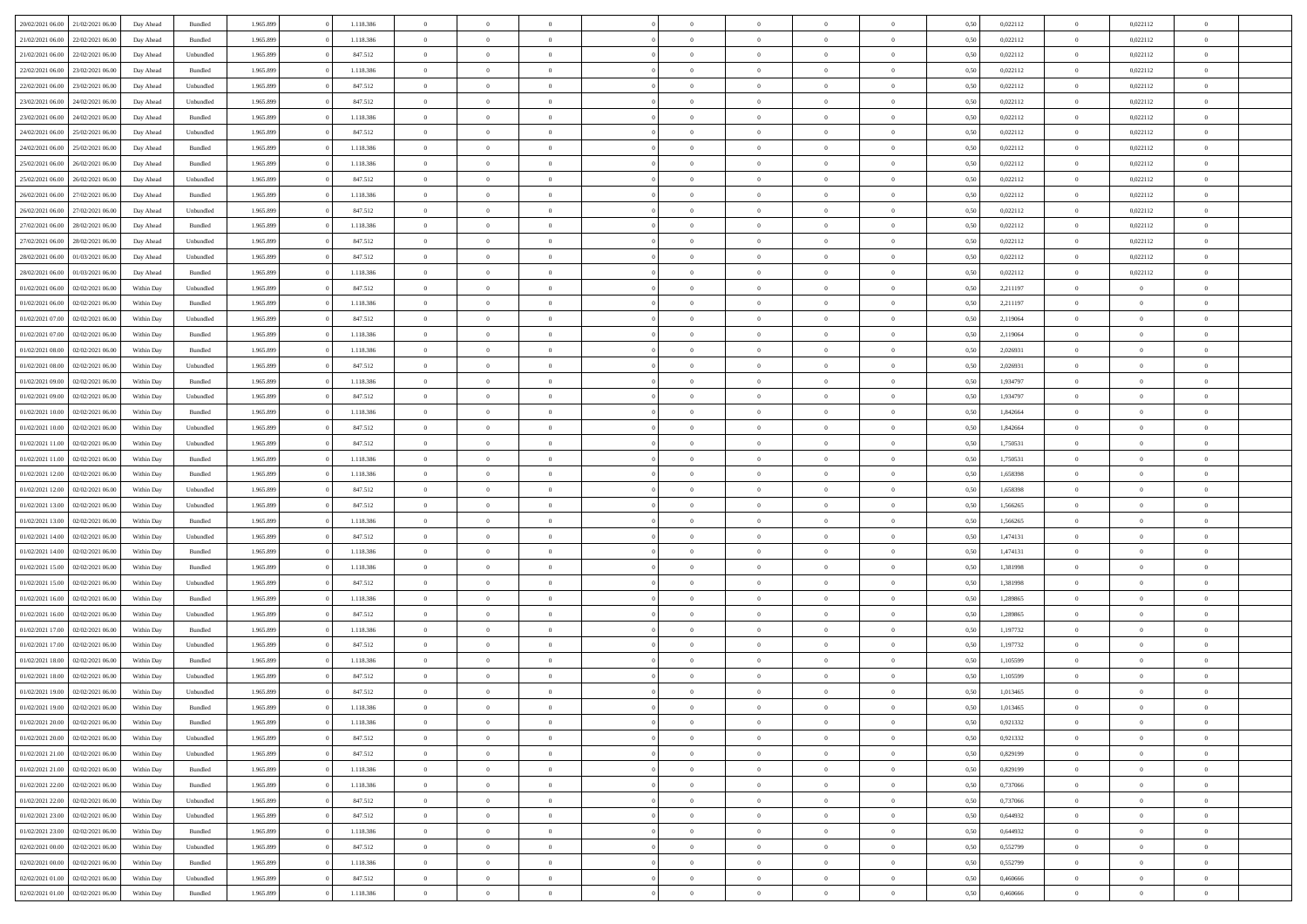|                  | 21/02/2021 06:00 |            | Bundled            | 1.965.899 | 1.118.386 | $\Omega$       | $\Omega$       |                | $\Omega$       | $\Omega$       | $\Omega$       | $\theta$       | 0,50 | 0,022112 | $\theta$       | 0,022112       | $\theta$       |  |
|------------------|------------------|------------|--------------------|-----------|-----------|----------------|----------------|----------------|----------------|----------------|----------------|----------------|------|----------|----------------|----------------|----------------|--|
| 20/02/2021 06:00 |                  | Day Ahead  |                    |           |           |                |                |                |                |                |                |                |      |          |                |                |                |  |
| 21/02/2021 06:00 | 22/02/2021 06:00 | Day Ahead  | Bundled            | 1.965.899 | 1.118.386 | $\overline{0}$ | $\theta$       | $\overline{0}$ | $\overline{0}$ | $\bf{0}$       | $\overline{0}$ | $\bf{0}$       | 0,50 | 0,022112 | $\theta$       | 0,022112       | $\overline{0}$ |  |
| 21/02/2021 06:00 | 22/02/2021 06:00 | Day Ahead  | Unbundled          | 1.965.899 | 847.512   | $\overline{0}$ | $\overline{0}$ | $\overline{0}$ | $\bf{0}$       | $\bf{0}$       | $\bf{0}$       | $\bf{0}$       | 0,50 | 0,022112 | $\overline{0}$ | 0,022112       | $\overline{0}$ |  |
| 22/02/2021 06:00 | 23/02/2021 06:00 | Day Ahead  | Bundled            | 1.965.899 | 1.118.386 | $\overline{0}$ | $\theta$       | $\overline{0}$ | $\overline{0}$ | $\bf{0}$       | $\overline{0}$ | $\overline{0}$ | 0.50 | 0,022112 | $\theta$       | 0,022112       | $\overline{0}$ |  |
|                  |                  |            |                    |           |           |                |                |                |                |                |                |                |      |          |                |                |                |  |
| 22/02/2021 06:00 | 23/02/2021 06:00 | Day Ahead  | Unbundled          | 1.965.899 | 847.512   | $\overline{0}$ | $\theta$       | $\overline{0}$ | $\overline{0}$ | $\bf{0}$       | $\overline{0}$ | $\bf{0}$       | 0,50 | 0,022112 | $\,$ 0 $\,$    | 0,022112       | $\overline{0}$ |  |
| 23/02/2021 06:00 | 24/02/2021 06:00 | Day Ahead  | Unbundled          | 1.965.899 | 847.512   | $\overline{0}$ | $\bf{0}$       | $\overline{0}$ | $\bf{0}$       | $\overline{0}$ | $\overline{0}$ | $\mathbf{0}$   | 0,50 | 0,022112 | $\overline{0}$ | 0,022112       | $\bf{0}$       |  |
| 23/02/2021 06:00 | 24/02/2021 06.00 | Day Ahead  | Bundled            | 1.965.899 | 1.118.386 | $\overline{0}$ | $\overline{0}$ | $\overline{0}$ | $\overline{0}$ | $\overline{0}$ | $\overline{0}$ | $\overline{0}$ | 0.50 | 0,022112 | $\overline{0}$ | 0,022112       | $\overline{0}$ |  |
| 24/02/2021 06:00 | 25/02/2021 06:00 | Day Ahead  | Unbundled          | 1.965.899 | 847.512   | $\overline{0}$ | $\theta$       | $\overline{0}$ | $\overline{0}$ | $\bf{0}$       | $\overline{0}$ | $\bf{0}$       | 0,50 | 0,022112 | $\,$ 0 $\,$    | 0,022112       | $\overline{0}$ |  |
| 24/02/2021 06:00 | 25/02/2021 06:00 | Day Ahead  | Bundled            | 1.965.899 | 1.118.386 | $\overline{0}$ | $\overline{0}$ | $\overline{0}$ | $\bf{0}$       | $\bf{0}$       | $\bf{0}$       | $\bf{0}$       | 0,50 | 0,022112 | $\overline{0}$ | 0,022112       | $\overline{0}$ |  |
|                  |                  |            |                    |           |           |                |                |                |                |                |                |                |      |          |                |                |                |  |
| 25/02/2021 06:00 | 26/02/2021 06:00 | Day Ahead  | Bundled            | 1.965.899 | 1.118.386 | $\overline{0}$ | $\overline{0}$ | $\overline{0}$ | $\overline{0}$ | $\overline{0}$ | $\overline{0}$ | $\overline{0}$ | 0.50 | 0,022112 | $\overline{0}$ | 0,022112       | $\overline{0}$ |  |
| 25/02/2021 06:00 | 26/02/2021 06:00 | Day Ahead  | Unbundled          | 1.965.899 | 847.512   | $\overline{0}$ | $\theta$       | $\overline{0}$ | $\overline{0}$ | $\bf{0}$       | $\overline{0}$ | $\bf{0}$       | 0,50 | 0,022112 | $\,$ 0 $\,$    | 0,022112       | $\overline{0}$ |  |
| 26/02/2021 06:00 | 27/02/2021 06:00 | Day Ahead  | Bundled            | 1.965.899 | 1.118.386 | $\overline{0}$ | $\overline{0}$ | $\overline{0}$ | $\bf{0}$       | $\bf{0}$       | $\bf{0}$       | $\mathbf{0}$   | 0,50 | 0,022112 | $\overline{0}$ | 0,022112       | $\overline{0}$ |  |
| 26/02/2021 06:00 | 27/02/2021 06:00 | Day Ahead  | Unbundled          | 1.965.899 | 847.512   | $\overline{0}$ | $\overline{0}$ | $\overline{0}$ | $\overline{0}$ | $\bf{0}$       | $\overline{0}$ | $\overline{0}$ | 0.50 | 0,022112 | $\theta$       | 0,022112       | $\overline{0}$ |  |
| 27/02/2021 06:00 | 28/02/2021 06:00 | Day Ahead  | Bundled            | 1.965.899 | 1.118.386 | $\overline{0}$ | $\theta$       | $\overline{0}$ | $\overline{0}$ | $\bf{0}$       | $\overline{0}$ | $\bf{0}$       | 0,50 | 0,022112 | $\,$ 0 $\,$    | 0,022112       | $\overline{0}$ |  |
|                  |                  |            |                    |           |           |                |                |                |                |                |                |                |      |          |                |                |                |  |
| 27/02/2021 06:00 | 28/02/2021 06:00 | Day Ahead  | Unbundled          | 1.965.899 | 847.512   | $\overline{0}$ | $\bf{0}$       | $\overline{0}$ | $\bf{0}$       | $\overline{0}$ | $\overline{0}$ | $\mathbf{0}$   | 0,50 | 0,022112 | $\overline{0}$ | 0,022112       | $\bf{0}$       |  |
| 28/02/2021 06:00 | 01/03/2021 06:00 | Day Ahead  | Unbundled          | 1.965.899 | 847.512   | $\overline{0}$ | $\overline{0}$ | $\overline{0}$ | $\overline{0}$ | $\overline{0}$ | $\overline{0}$ | $\overline{0}$ | 0.50 | 0,022112 | $\overline{0}$ | 0,022112       | $\overline{0}$ |  |
| 28/02/2021 06:00 | 01/03/2021 06:00 | Day Ahead  | Bundled            | 1.965.899 | 1.118.386 | $\overline{0}$ | $\theta$       | $\overline{0}$ | $\overline{0}$ | $\bf{0}$       | $\overline{0}$ | $\bf{0}$       | 0,50 | 0,022112 | $\theta$       | 0,022112       | $\overline{0}$ |  |
| 01/02/2021 06:00 | 02/02/2021 06:00 | Within Day | Unbundled          | 1.965.899 | 847.512   | $\overline{0}$ | $\overline{0}$ | $\overline{0}$ | $\bf{0}$       | $\bf{0}$       | $\bf{0}$       | $\mathbf{0}$   | 0,50 | 2,211197 | $\,0\,$        | $\overline{0}$ | $\overline{0}$ |  |
| 01/02/2021 06:00 | 02/02/2021 06:00 | Within Day | Bundled            | 1.965.899 | 1.118.386 | $\overline{0}$ | $\overline{0}$ | $\overline{0}$ | $\overline{0}$ | $\overline{0}$ | $\overline{0}$ | $\overline{0}$ | 0.50 | 2,211197 | $\theta$       | $\overline{0}$ | $\overline{0}$ |  |
|                  |                  |            |                    |           |           |                |                |                |                |                |                |                |      |          |                |                |                |  |
| 01/02/2021 07:00 | 02/02/2021 06:00 | Within Day | Unbundled          | 1.965.899 | 847.512   | $\overline{0}$ | $\theta$       | $\overline{0}$ | $\overline{0}$ | $\bf{0}$       | $\overline{0}$ | $\bf{0}$       | 0,50 | 2,119064 | $\,$ 0 $\,$    | $\theta$       | $\overline{0}$ |  |
| 01/02/2021 07:00 | 02/02/2021 06:00 | Within Day | Bundled            | 1.965.899 | 1.118.386 | $\overline{0}$ | $\overline{0}$ | $\overline{0}$ | $\bf{0}$       | $\bf{0}$       | $\bf{0}$       | $\bf{0}$       | 0,50 | 2,119064 | $\,0\,$        | $\overline{0}$ | $\overline{0}$ |  |
| 01/02/2021 08:00 | 02/02/2021 06:00 | Within Day | Bundled            | 1.965.899 | 1.118.386 | $\overline{0}$ | $\overline{0}$ | $\overline{0}$ | $\overline{0}$ | $\bf{0}$       | $\overline{0}$ | $\overline{0}$ | 0.50 | 2.026931 | $\theta$       | $\overline{0}$ | $\overline{0}$ |  |
| 01/02/2021 08:00 | 02/02/2021 06:00 | Within Day | Unbundled          | 1.965.899 | 847.512   | $\overline{0}$ | $\theta$       | $\overline{0}$ | $\overline{0}$ | $\bf{0}$       | $\overline{0}$ | $\bf{0}$       | 0,50 | 2,026931 | $\theta$       | $\overline{0}$ | $\overline{0}$ |  |
| 01/02/2021 09:00 | 02/02/2021 06:00 | Within Day | Bundled            | 1.965.899 | 1.118.386 | $\overline{0}$ | $\bf{0}$       | $\overline{0}$ | $\bf{0}$       | $\overline{0}$ | $\overline{0}$ | $\mathbf{0}$   | 0,50 | 1,934797 | $\bf{0}$       | $\overline{0}$ | $\bf{0}$       |  |
|                  |                  |            |                    |           |           |                |                |                |                |                |                |                |      |          |                |                |                |  |
| 01/02/2021 09:00 | 02/02/2021 06:00 | Within Dav | Unbundled          | 1.965.899 | 847.512   | $\overline{0}$ | $\overline{0}$ | $\overline{0}$ | $\overline{0}$ | $\overline{0}$ | $\overline{0}$ | $\overline{0}$ | 0.50 | 1,934797 | $\theta$       | $\theta$       | $\overline{0}$ |  |
| 01/02/2021 10:00 | 02/02/2021 06:00 | Within Day | Bundled            | 1.965.899 | 1.118.386 | $\overline{0}$ | $\theta$       | $\overline{0}$ | $\overline{0}$ | $\bf{0}$       | $\overline{0}$ | $\bf{0}$       | 0,50 | 1,842664 | $\theta$       | $\theta$       | $\overline{0}$ |  |
| 01/02/2021 10:00 | 02/02/2021 06:00 | Within Day | Unbundled          | 1.965.899 | 847.512   | $\overline{0}$ | $\overline{0}$ | $\overline{0}$ | $\bf{0}$       | $\bf{0}$       | $\bf{0}$       | $\bf{0}$       | 0,50 | 1,842664 | $\,0\,$        | $\overline{0}$ | $\overline{0}$ |  |
| 01/02/2021 11:00 | 02/02/2021 06:00 | Within Day | Unbundled          | 1.965.899 | 847.512   | $\overline{0}$ | $\overline{0}$ | $\overline{0}$ | $\overline{0}$ | $\overline{0}$ | $\overline{0}$ | $\overline{0}$ | 0.50 | 1,750531 | $\theta$       | $\overline{0}$ | $\overline{0}$ |  |
| 01/02/2021 11:00 | 02/02/2021 06:00 | Within Day | Bundled            | 1.965.899 | 1.118.386 | $\overline{0}$ | $\theta$       | $\overline{0}$ | $\overline{0}$ | $\bf{0}$       | $\overline{0}$ | $\bf{0}$       | 0,50 | 1,750531 | $\,$ 0 $\,$    | $\theta$       | $\overline{0}$ |  |
|                  |                  |            |                    |           |           |                |                |                |                |                |                |                |      |          |                |                |                |  |
| 01/02/2021 12:00 | 02/02/2021 06:00 | Within Day | Bundled            | 1.965.899 | 1.118.386 | $\overline{0}$ | $\overline{0}$ | $\overline{0}$ | $\bf{0}$       | $\bf{0}$       | $\bf{0}$       | $\bf{0}$       | 0,50 | 1,658398 | $\bf{0}$       | $\overline{0}$ | $\overline{0}$ |  |
| 01/02/2021 12:00 | 02/02/2021 06:00 | Within Day | Unbundled          | 1.965.899 | 847.512   | $\overline{0}$ | $\Omega$       | $\overline{0}$ | $\Omega$       | $\Omega$       | $\overline{0}$ | $\overline{0}$ | 0,50 | 1,658398 | $\,0\,$        | $\Omega$       | $\theta$       |  |
| 01/02/2021 13:00 | 02/02/2021 06:00 | Within Day | Unbundled          | 1.965.899 | 847.512   | $\overline{0}$ | $\theta$       | $\overline{0}$ | $\overline{0}$ | $\bf{0}$       | $\overline{0}$ | $\bf{0}$       | 0,50 | 1,566265 | $\theta$       | $\theta$       | $\overline{0}$ |  |
| 01/02/2021 13:00 | 02/02/2021 06:00 | Within Day | Bundled            | 1.965.899 | 1.118.386 | $\overline{0}$ | $\overline{0}$ | $\overline{0}$ | $\bf{0}$       | $\bf{0}$       | $\overline{0}$ | $\mathbf{0}$   | 0,50 | 1,566265 | $\bf{0}$       | $\overline{0}$ | $\bf{0}$       |  |
| 01/02/2021 14:00 | 02/02/2021 06:00 | Within Day | Unbundled          | 1.965.899 | 847.512   | $\overline{0}$ | $\Omega$       | $\Omega$       | $\Omega$       | $\bf{0}$       | $\overline{0}$ | $\overline{0}$ | 0.50 | 1,474131 | $\,0\,$        | $\theta$       | $\theta$       |  |
| 01/02/2021 14:00 | 02/02/2021 06:00 |            |                    | 1.965.899 | 1.118.386 | $\overline{0}$ | $\theta$       | $\overline{0}$ | $\overline{0}$ | $\bf{0}$       | $\overline{0}$ |                |      | 1,474131 | $\,$ 0 $\,$    | $\theta$       | $\overline{0}$ |  |
|                  |                  | Within Day | Bundled            |           |           |                |                |                |                |                |                | $\bf{0}$       | 0,50 |          |                |                |                |  |
| 01/02/2021 15:00 | 02/02/2021 06:00 | Within Day | Bundled            | 1.965.899 | 1.118.386 | $\overline{0}$ | $\overline{0}$ | $\overline{0}$ | $\bf{0}$       | $\bf{0}$       | $\bf{0}$       | $\bf{0}$       | 0,50 | 1,381998 | $\,0\,$        | $\overline{0}$ | $\overline{0}$ |  |
| 01/02/2021 15:00 | 02/02/2021 06:00 | Within Day | Unbundled          | 1.965.899 | 847.512   | $\overline{0}$ | $\Omega$       | $\overline{0}$ | $\Omega$       | $\Omega$       | $\theta$       | $\overline{0}$ | 0.50 | 1,381998 | $\,$ 0 $\,$    | $\theta$       | $\theta$       |  |
| 01/02/2021 16:00 | 02/02/2021 06:00 | Within Day | Bundled            | 1.965.899 | 1.118.386 | $\overline{0}$ | $\theta$       | $\overline{0}$ | $\overline{0}$ | $\bf{0}$       | $\overline{0}$ | $\bf{0}$       | 0,50 | 1,289865 | $\,$ 0 $\,$    | $\theta$       | $\overline{0}$ |  |
| 01/02/2021 16:00 | 02/02/2021 06:00 | Within Day | Unbundled          | 1.965.899 | 847.512   | $\overline{0}$ | $\overline{0}$ | $\overline{0}$ | $\bf{0}$       | $\bf{0}$       | $\bf{0}$       | $\bf{0}$       | 0,50 | 1,289865 | $\overline{0}$ | $\overline{0}$ | $\overline{0}$ |  |
| 01/02/2021 17:00 | 02/02/2021 06:00 | Within Day | Bundled            | 1.965.899 | 1.118.386 | $\overline{0}$ | $\Omega$       | $\overline{0}$ | $\Omega$       | $\overline{0}$ | $\overline{0}$ | $\overline{0}$ | 0,50 | 1,197732 | $\,0\,$        | $\theta$       | $\theta$       |  |
|                  |                  |            |                    |           |           |                |                |                |                |                |                |                |      |          |                |                |                |  |
| 01/02/2021 17:00 | 02/02/2021 06:00 | Within Day | Unbundled          | 1.965.899 | 847.512   | $\overline{0}$ | $\theta$       | $\overline{0}$ | $\overline{0}$ | $\bf{0}$       | $\overline{0}$ | $\bf{0}$       | 0,50 | 1,197732 | $\,$ 0 $\,$    | $\overline{0}$ | $\overline{0}$ |  |
| 01/02/2021 18:00 | 02/02/2021 06:00 | Within Day | Bundled            | 1.965.899 | 1.118.386 | $\overline{0}$ | $\overline{0}$ | $\overline{0}$ | $\bf{0}$       | $\bf{0}$       | $\bf{0}$       | $\mathbf{0}$   | 0,50 | 1,105599 | $\overline{0}$ | $\overline{0}$ | $\bf{0}$       |  |
| 01/02/2021 18:00 | 02/02/2021 06:00 | Within Day | Unbundled          | 1.965.899 | 847.512   | $\overline{0}$ | $\Omega$       | $\Omega$       | $\Omega$       | $\Omega$       | $\Omega$       | $\overline{0}$ | 0.50 | 1,105599 | $\theta$       | $\Omega$       | $\theta$       |  |
| 01/02/2021 19:00 | 02/02/2021 06:00 | Within Day | Unbundled          | 1.965.899 | 847.512   | $\overline{0}$ | $\,$ 0 $\,$    | $\overline{0}$ | $\bf{0}$       | $\,$ 0         | $\bf{0}$       | $\bf{0}$       | 0,50 | 1,013465 | $\,0\,$        | $\overline{0}$ | $\overline{0}$ |  |
| 01/02/2021 19:00 | 02/02/2021 06:00 | Within Day | $\mathbf B$ undled | 1.965.899 | 1.118.386 | $\bf{0}$       | $\bf{0}$       |                |                | $\bf{0}$       |                |                | 0,50 | 1,013465 | $\bf{0}$       | $\overline{0}$ |                |  |
|                  |                  |            |                    |           |           |                |                |                |                |                |                |                |      |          |                |                |                |  |
| 01/02/2021 20:00 | 02/02/2021 06:00 | Within Day | Bundled            | 1.965.899 | 1.118.386 | $\overline{0}$ | $\overline{0}$ | $\overline{0}$ | $\Omega$       | $\overline{0}$ | $\overline{0}$ | $\overline{0}$ | 0,50 | 0,921332 | $\theta$       | $\theta$       | $\theta$       |  |
| 01/02/2021 20:00 | 02/02/2021 06:00 | Within Day | Unbundled          | 1.965.899 | 847.512   | $\overline{0}$ | $\,$ 0         | $\overline{0}$ | $\bf{0}$       | $\,$ 0 $\,$    | $\overline{0}$ | $\mathbf{0}$   | 0,50 | 0,921332 | $\,$ 0 $\,$    | $\,$ 0 $\,$    | $\,$ 0         |  |
| 01/02/2021 21:00 | 02/02/2021 06:00 | Within Day | Unbundled          | 1.965.899 | 847.512   | $\overline{0}$ | $\overline{0}$ | $\overline{0}$ | $\overline{0}$ | $\overline{0}$ | $\overline{0}$ | $\mathbf{0}$   | 0,50 | 0,829199 | $\overline{0}$ | $\bf{0}$       | $\overline{0}$ |  |
| 01/02/2021 21:00 | 02/02/2021 06:00 | Within Day | Bundled            | 1.965.899 | 1.118.386 | $\overline{0}$ | $\overline{0}$ | $\overline{0}$ | $\Omega$       | $\overline{0}$ | $\overline{0}$ | $\overline{0}$ | 0,50 | 0,829199 | $\overline{0}$ | $\overline{0}$ | $\overline{0}$ |  |
| 01/02/2021 22.00 | 02/02/2021 06:00 | Within Day | Bundled            | 1.965.899 | 1.118.386 | $\overline{0}$ | $\,$ 0         | $\overline{0}$ | $\overline{0}$ | $\,$ 0 $\,$    | $\overline{0}$ | $\mathbf{0}$   | 0,50 | 0,737066 | $\,$ 0 $\,$    | $\overline{0}$ | $\overline{0}$ |  |
|                  |                  |            |                    |           |           |                |                |                |                |                |                |                |      |          |                |                |                |  |
| 01/02/2021 22.00 | 02/02/2021 06:00 | Within Day | Unbundled          | 1.965.899 | 847.512   | $\overline{0}$ | $\overline{0}$ | $\overline{0}$ | $\overline{0}$ | $\overline{0}$ | $\overline{0}$ | $\mathbf{0}$   | 0,50 | 0,737066 | $\overline{0}$ | $\overline{0}$ | $\bf{0}$       |  |
| 01/02/2021 23:00 | 02/02/2021 06:00 | Within Day | Unbundled          | 1.965.899 | 847.512   | $\overline{0}$ | $\overline{0}$ | $\overline{0}$ | $\overline{0}$ | $\overline{0}$ | $\overline{0}$ | $\bf{0}$       | 0.50 | 0.644932 | $\overline{0}$ | $\theta$       | $\overline{0}$ |  |
| 01/02/2021 23:00 | 02/02/2021 06:00 | Within Day | Bundled            | 1.965.899 | 1.118.386 | $\overline{0}$ | $\,$ 0         | $\overline{0}$ | $\bf{0}$       | $\bf{0}$       | $\bf{0}$       | $\bf{0}$       | 0,50 | 0,644932 | $\,$ 0 $\,$    | $\overline{0}$ | $\overline{0}$ |  |
| 02/02/2021 00:00 | 02/02/2021 06:00 | Within Day | Unbundled          | 1.965.899 | 847.512   | $\overline{0}$ | $\bf{0}$       | $\overline{0}$ | $\overline{0}$ | $\overline{0}$ | $\overline{0}$ | $\mathbf{0}$   | 0,50 | 0,552799 | $\overline{0}$ | $\overline{0}$ | $\bf{0}$       |  |
| 02/02/2021 00:00 | 02/02/2021 06:00 | Within Day | Bundled            | 1.965.899 | 1.118.386 | $\overline{0}$ | $\overline{0}$ | $\overline{0}$ | $\Omega$       | $\overline{0}$ | $\overline{0}$ | $\overline{0}$ | 0.50 | 0,552799 | $\overline{0}$ | $\overline{0}$ | $\overline{0}$ |  |
|                  |                  |            |                    |           |           |                |                |                |                |                |                |                |      |          |                |                |                |  |
| 02/02/2021 01:00 | 02/02/2021 06:00 | Within Day | Unbundled          | 1.965.899 | 847.512   | $\overline{0}$ | $\bf{0}$       | $\overline{0}$ | $\overline{0}$ | $\bf{0}$       | $\bf{0}$       | $\mathbf{0}$   | 0,50 | 0,460666 | $\,$ 0 $\,$    | $\,$ 0 $\,$    | $\bf{0}$       |  |
| 02/02/2021 01:00 | 02/02/2021 06:00 | Within Day | Bundled            | 1.965.899 | 1.118.386 | $\overline{0}$ | $\overline{0}$ | $\overline{0}$ | $\overline{0}$ | $\overline{0}$ | $\bf{0}$       | $\mathbf{0}$   | 0,50 | 0,460666 | $\overline{0}$ | $\bf{0}$       | $\overline{0}$ |  |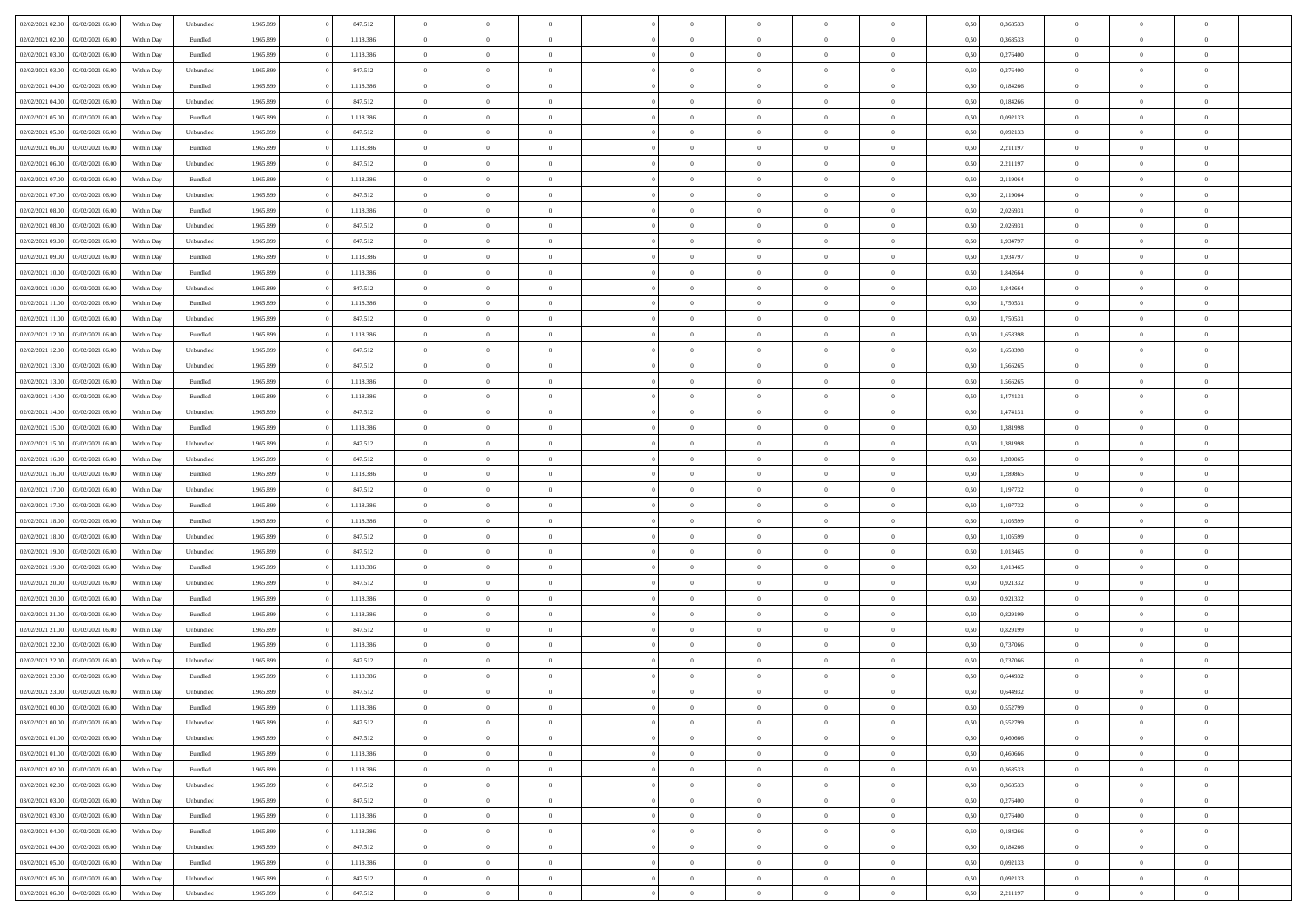| 02/02/2021 02:00 | 02/02/2021 06:00 | Within Day | Unbundled          | 1.965.899 | 847.512   | $\overline{0}$ | $\theta$       |                | $\Omega$       | $\Omega$       | $\theta$       | $\theta$       | 0,50 | 0,368533 | $\theta$       | $\theta$       | $\theta$       |  |
|------------------|------------------|------------|--------------------|-----------|-----------|----------------|----------------|----------------|----------------|----------------|----------------|----------------|------|----------|----------------|----------------|----------------|--|
|                  |                  |            |                    |           |           |                |                |                |                |                |                |                |      |          |                |                |                |  |
| 02/02/2021 02:00 | 02/02/2021 06:00 | Within Day | Bundled            | 1.965.899 | 1.118.386 | $\overline{0}$ | $\theta$       | $\overline{0}$ | $\overline{0}$ | $\bf{0}$       | $\overline{0}$ | $\bf{0}$       | 0,50 | 0,368533 | $\theta$       | $\theta$       | $\overline{0}$ |  |
| 02/02/2021 03:00 | 02/02/2021 06:00 | Within Day | Bundled            | 1.965.899 | 1.118.386 | $\overline{0}$ | $\overline{0}$ | $\overline{0}$ | $\bf{0}$       | $\bf{0}$       | $\bf{0}$       | $\mathbf{0}$   | 0,50 | 0,276400 | $\bf{0}$       | $\overline{0}$ | $\overline{0}$ |  |
| 02/02/2021 03:00 | 02/02/2021 06:00 | Within Dav | Unbundled          | 1.965.899 | 847.512   | $\overline{0}$ | $\overline{0}$ | $\overline{0}$ | $\overline{0}$ | $\bf{0}$       | $\overline{0}$ | $\overline{0}$ | 0.50 | 0.276400 | $\theta$       | $\theta$       | $\overline{0}$ |  |
| 02/02/2021 04:00 | 02/02/2021 06:00 | Within Day | Bundled            | 1.965.899 | 1.118.386 | $\overline{0}$ | $\theta$       | $\overline{0}$ | $\overline{0}$ | $\bf{0}$       | $\overline{0}$ | $\bf{0}$       | 0,50 | 0,184266 | $\theta$       | $\overline{0}$ | $\overline{0}$ |  |
| 02/02/2021 04:00 | 02/02/2021 06:00 | Within Day | Unbundled          | 1.965.899 | 847.512   | $\overline{0}$ | $\bf{0}$       | $\overline{0}$ | $\bf{0}$       | $\overline{0}$ | $\overline{0}$ | $\mathbf{0}$   | 0,50 | 0,184266 | $\bf{0}$       | $\overline{0}$ | $\bf{0}$       |  |
|                  |                  |            |                    |           |           |                |                |                |                | $\overline{0}$ |                |                |      |          | $\theta$       | $\overline{0}$ | $\overline{0}$ |  |
| 02/02/2021 05:00 | 02/02/2021 06:00 | Within Dav | Bundled            | 1.965.899 | 1.118.386 | $\overline{0}$ | $\overline{0}$ | $\overline{0}$ | $\overline{0}$ |                | $\overline{0}$ | $\overline{0}$ | 0.50 | 0,092133 |                |                |                |  |
| 02/02/2021 05:00 | 02/02/2021 06:00 | Within Day | Unbundled          | 1.965.899 | 847.512   | $\overline{0}$ | $\theta$       | $\overline{0}$ | $\overline{0}$ | $\bf{0}$       | $\overline{0}$ | $\bf{0}$       | 0,50 | 0,092133 | $\theta$       | $\theta$       | $\overline{0}$ |  |
| 02/02/2021 06:00 | 03/02/2021 06:00 | Within Day | Bundled            | 1.965.899 | 1.118.386 | $\overline{0}$ | $\overline{0}$ | $\overline{0}$ | $\bf{0}$       | $\bf{0}$       | $\bf{0}$       | $\mathbf{0}$   | 0,50 | 2,211197 | $\,0\,$        | $\overline{0}$ | $\overline{0}$ |  |
| 02/02/2021 06:00 | 03/02/2021 06:00 | Within Dav | Unbundled          | 1.965.899 | 847.512   | $\overline{0}$ | $\overline{0}$ | $\overline{0}$ | $\overline{0}$ | $\overline{0}$ | $\overline{0}$ | $\overline{0}$ | 0.50 | 2,211197 | $\theta$       | $\overline{0}$ | $\overline{0}$ |  |
| 02/02/2021 07:00 | 03/02/2021 06:00 | Within Day | Bundled            | 1.965.899 | 1.118.386 | $\overline{0}$ | $\theta$       | $\overline{0}$ | $\overline{0}$ | $\bf{0}$       | $\overline{0}$ | $\bf{0}$       | 0,50 | 2,119064 | $\,$ 0 $\,$    | $\overline{0}$ | $\overline{0}$ |  |
| 02/02/2021 07:00 | 03/02/2021 06:00 | Within Day | Unbundled          | 1.965.899 | 847.512   | $\overline{0}$ | $\overline{0}$ | $\overline{0}$ | $\bf{0}$       | $\bf{0}$       | $\bf{0}$       | $\mathbf{0}$   | 0,50 | 2,119064 | $\bf{0}$       | $\overline{0}$ | $\bf{0}$       |  |
| 02/02/2021 08:00 | 03/02/2021 06:00 | Within Day | Bundled            | 1.965.899 | 1.118.386 | $\overline{0}$ | $\overline{0}$ | $\overline{0}$ | $\overline{0}$ | $\bf{0}$       | $\overline{0}$ | $\overline{0}$ | 0.50 | 2.026931 | $\theta$       | $\theta$       | $\overline{0}$ |  |
| 02/02/2021 08:00 | 03/02/2021 06.00 |            |                    | 1.965.899 | 847.512   | $\overline{0}$ | $\theta$       | $\overline{0}$ | $\overline{0}$ | $\bf{0}$       | $\overline{0}$ |                |      | 2,026931 | $\theta$       | $\overline{0}$ | $\overline{0}$ |  |
|                  |                  | Within Day | Unbundled          |           |           |                |                |                |                |                |                | $\bf{0}$       | 0,50 |          |                |                |                |  |
| 02/02/2021 09:00 | 03/02/2021 06:00 | Within Day | Unbundled          | 1.965.899 | 847.512   | $\overline{0}$ | $\overline{0}$ | $\overline{0}$ | $\bf{0}$       | $\overline{0}$ | $\overline{0}$ | $\mathbf{0}$   | 0,50 | 1,934797 | $\bf{0}$       | $\overline{0}$ | $\bf{0}$       |  |
| 02/02/2021 09:00 | 03/02/2021 06:00 | Within Dav | Bundled            | 1.965.899 | 1.118.386 | $\overline{0}$ | $\overline{0}$ | $\overline{0}$ | $\overline{0}$ | $\overline{0}$ | $\overline{0}$ | $\overline{0}$ | 0.50 | 1,934797 | $\theta$       | $\overline{0}$ | $\overline{0}$ |  |
| 02/02/2021 10:00 | 03/02/2021 06:00 | Within Day | Bundled            | 1.965.899 | 1.118.386 | $\overline{0}$ | $\theta$       | $\overline{0}$ | $\overline{0}$ | $\bf{0}$       | $\overline{0}$ | $\bf{0}$       | 0,50 | 1,842664 | $\,$ 0 $\,$    | $\theta$       | $\overline{0}$ |  |
| 02/02/2021 10:00 | 03/02/2021 06:00 | Within Day | Unbundled          | 1.965.899 | 847.512   | $\overline{0}$ | $\overline{0}$ | $\overline{0}$ | $\bf{0}$       | $\bf{0}$       | $\bf{0}$       | $\mathbf{0}$   | 0,50 | 1,842664 | $\,0\,$        | $\overline{0}$ | $\overline{0}$ |  |
| 02/02/2021 11:00 | 03/02/2021 06:00 | Within Day | Bundled            | 1.965.899 | 1.118.386 | $\overline{0}$ | $\overline{0}$ | $\overline{0}$ | $\overline{0}$ | $\overline{0}$ | $\overline{0}$ | $\overline{0}$ | 0.50 | 1,750531 | $\theta$       | $\overline{0}$ | $\overline{0}$ |  |
| 02/02/2021 11:00 | 03/02/2021 06:00 | Within Day | Unbundled          | 1.965.899 | 847.512   | $\overline{0}$ | $\theta$       | $\overline{0}$ | $\overline{0}$ | $\bf{0}$       | $\overline{0}$ | $\bf{0}$       | 0,50 | 1,750531 | $\,$ 0 $\,$    | $\overline{0}$ | $\overline{0}$ |  |
| 02/02/2021 12:00 | 03/02/2021 06:00 | Within Day | Bundled            | 1.965.899 | 1.118.386 | $\overline{0}$ | $\overline{0}$ | $\overline{0}$ | $\bf{0}$       | $\bf{0}$       | $\bf{0}$       | $\mathbf{0}$   | 0,50 | 1,658398 | $\bf{0}$       | $\overline{0}$ | $\overline{0}$ |  |
| 02/02/2021 12:00 | 03/02/2021 06:00 | Within Day | Unbundled          | 1.965.899 | 847.512   | $\overline{0}$ | $\overline{0}$ | $\overline{0}$ | $\overline{0}$ | $\overline{0}$ | $\overline{0}$ | $\overline{0}$ | 0.50 | 1,658398 | $\theta$       | $\overline{0}$ | $\overline{0}$ |  |
|                  |                  |            |                    |           |           |                |                |                |                |                |                |                |      |          |                |                |                |  |
| 02/02/2021 13:00 | 03/02/2021 06:00 | Within Day | Unbundled          | 1.965.899 | 847.512   | $\overline{0}$ | $\theta$       | $\overline{0}$ | $\overline{0}$ | $\bf{0}$       | $\overline{0}$ | $\bf{0}$       | 0,50 | 1,566265 | $\,$ 0 $\,$    | $\overline{0}$ | $\overline{0}$ |  |
| 02/02/2021 13:00 | 03/02/2021 06:00 | Within Day | Bundled            | 1.965.899 | 1.118.386 | $\overline{0}$ | $\overline{0}$ | $\overline{0}$ | $\bf{0}$       | $\overline{0}$ | $\overline{0}$ | $\mathbf{0}$   | 0,50 | 1,566265 | $\overline{0}$ | $\overline{0}$ | $\bf{0}$       |  |
| 02/02/2021 14:00 | 03/02/2021 06:00 | Within Dav | Bundled            | 1.965.899 | 1.118.386 | $\overline{0}$ | $\overline{0}$ | $\overline{0}$ | $\overline{0}$ | $\overline{0}$ | $\overline{0}$ | $\overline{0}$ | 0.50 | 1,474131 | $\theta$       | $\overline{0}$ | $\overline{0}$ |  |
| 02/02/2021 14:00 | 03/02/2021 06:00 | Within Day | Unbundled          | 1.965.899 | 847.512   | $\overline{0}$ | $\theta$       | $\overline{0}$ | $\overline{0}$ | $\bf{0}$       | $\overline{0}$ | $\bf{0}$       | 0,50 | 1,474131 | $\theta$       | $\theta$       | $\overline{0}$ |  |
| 02/02/2021 15:00 | 03/02/2021 06:00 | Within Day | Bundled            | 1.965.899 | 1.118.386 | $\overline{0}$ | $\overline{0}$ | $\overline{0}$ | $\bf{0}$       | $\bf{0}$       | $\bf{0}$       | $\bf{0}$       | 0,50 | 1,381998 | $\,0\,$        | $\overline{0}$ | $\overline{0}$ |  |
| 02/02/2021 15:00 | 03/02/2021 06:00 | Within Day | Unbundled          | 1.965.899 | 847.512   | $\overline{0}$ | $\overline{0}$ | $\overline{0}$ | $\overline{0}$ | $\overline{0}$ | $\overline{0}$ | $\overline{0}$ | 0.50 | 1,381998 | $\theta$       | $\overline{0}$ | $\overline{0}$ |  |
| 02/02/2021 16:00 | 03/02/2021 06:00 | Within Day | Unbundled          | 1.965.899 | 847.512   | $\overline{0}$ | $\theta$       | $\overline{0}$ | $\overline{0}$ | $\bf{0}$       | $\overline{0}$ | $\bf{0}$       | 0,50 | 1,289865 | $\,$ 0 $\,$    | $\overline{0}$ | $\overline{0}$ |  |
|                  |                  |            |                    |           |           |                |                |                |                |                |                |                |      |          |                |                |                |  |
| 02/02/2021 16:00 | 03/02/2021 06:00 | Within Day | Bundled            | 1.965.899 | 1.118.386 | $\overline{0}$ | $\overline{0}$ | $\overline{0}$ | $\bf{0}$       | $\bf{0}$       | $\bf{0}$       | $\bf{0}$       | 0,50 | 1,289865 | $\overline{0}$ | $\overline{0}$ | $\overline{0}$ |  |
| 02/02/2021 17:00 | 03/02/2021 06:00 | Within Day | Unbundled          | 1.965.899 | 847.512   | $\overline{0}$ | $\Omega$       | $\overline{0}$ | $\Omega$       | $\Omega$       | $\overline{0}$ | $\overline{0}$ | 0,50 | 1,197732 | $\,0\,$        | $\theta$       | $\theta$       |  |
| 02/02/2021 17:00 | 03/02/2021 06:00 | Within Day | Bundled            | 1.965.899 | 1.118.386 | $\overline{0}$ | $\theta$       | $\overline{0}$ | $\overline{0}$ | $\bf{0}$       | $\overline{0}$ | $\bf{0}$       | 0,50 | 1,197732 | $\,$ 0 $\,$    | $\theta$       | $\overline{0}$ |  |
| 02/02/2021 18:00 | 03/02/2021 06:00 | Within Day | Bundled            | 1.965.899 | 1.118.386 | $\overline{0}$ | $\overline{0}$ | $\overline{0}$ | $\bf{0}$       | $\bf{0}$       | $\overline{0}$ | $\mathbf{0}$   | 0,50 | 1,105599 | $\overline{0}$ | $\overline{0}$ | $\bf{0}$       |  |
| 02/02/2021 18:00 | 03/02/2021 06:00 | Within Day | Unbundled          | 1.965.899 | 847.512   | $\overline{0}$ | $\Omega$       | $\Omega$       | $\Omega$       | $\overline{0}$ | $\overline{0}$ | $\overline{0}$ | 0.50 | 1,105599 | $\,0\,$        | $\theta$       | $\theta$       |  |
| 02/02/2021 19:00 | 03/02/2021 06:00 | Within Day | Unbundled          | 1.965.899 | 847.512   | $\overline{0}$ | $\theta$       | $\overline{0}$ | $\overline{0}$ | $\bf{0}$       | $\overline{0}$ | $\bf{0}$       | 0,50 | 1,013465 | $\,$ 0 $\,$    | $\overline{0}$ | $\overline{0}$ |  |
| 02/02/2021 19:00 | 03/02/2021 06:00 | Within Day | Bundled            | 1.965.899 | 1.118.386 | $\overline{0}$ | $\overline{0}$ | $\overline{0}$ | $\bf{0}$       | $\bf{0}$       | $\bf{0}$       | $\bf{0}$       | 0,50 | 1,013465 | $\bf{0}$       | $\overline{0}$ | $\overline{0}$ |  |
| 02/02/2021 20:00 | 03/02/2021 06:00 | Within Day | Unbundled          | 1.965.899 | 847.512   | $\overline{0}$ | $\Omega$       | $\overline{0}$ | $\Omega$       | $\overline{0}$ | $\overline{0}$ | $\overline{0}$ | 0.50 | 0,921332 | $\,$ 0 $\,$    | $\theta$       | $\theta$       |  |
| 02/02/2021 20:00 | 03/02/2021 06:00 |            |                    | 1.965.899 | 1.118.386 | $\overline{0}$ | $\theta$       | $\overline{0}$ | $\overline{0}$ | $\,$ 0         | $\overline{0}$ |                |      | 0,921332 | $\,$ 0 $\,$    | $\overline{0}$ | $\overline{0}$ |  |
|                  |                  | Within Day | Bundled            |           |           |                |                |                |                |                |                | $\bf{0}$       | 0,50 |          |                |                |                |  |
| 02/02/2021 21.00 | 03/02/2021 06:00 | Within Day | Bundled            | 1.965.899 | 1.118.386 | $\overline{0}$ | $\overline{0}$ | $\overline{0}$ | $\bf{0}$       | $\bf{0}$       | $\bf{0}$       | $\mathbf{0}$   | 0,50 | 0,829199 | $\overline{0}$ | $\overline{0}$ | $\overline{0}$ |  |
| 02/02/2021 21:00 | 03/02/2021 06:00 | Within Day | Unbundled          | 1.965.899 | 847.512   | $\overline{0}$ | $\Omega$       | $\overline{0}$ | $\Omega$       | $\overline{0}$ | $\overline{0}$ | $\overline{0}$ | 0,50 | 0,829199 | $\,0\,$        | $\theta$       | $\theta$       |  |
| 02/02/2021 22:00 | 03/02/2021 06:00 | Within Day | Bundled            | 1.965.899 | 1.118.386 | $\overline{0}$ | $\theta$       | $\overline{0}$ | $\overline{0}$ | $\,$ 0         | $\overline{0}$ | $\bf{0}$       | 0,50 | 0,737066 | $\,$ 0 $\,$    | $\overline{0}$ | $\overline{0}$ |  |
| 02/02/2021 22.00 | 03/02/2021 06:00 | Within Day | Unbundled          | 1.965.899 | 847.512   | $\overline{0}$ | $\overline{0}$ | $\overline{0}$ | $\bf{0}$       | $\bf{0}$       | $\overline{0}$ | $\mathbf{0}$   | 0,50 | 0,737066 | $\overline{0}$ | $\overline{0}$ | $\bf{0}$       |  |
| 02/02/2021 23:00 | 03/02/2021 06:00 | Within Day | Bundled            | 1.965.899 | 1.118.386 | $\overline{0}$ | $\Omega$       | $\Omega$       | $\Omega$       | $\Omega$       | $\Omega$       | $\overline{0}$ | 0.50 | 0.644932 | $\theta$       | $\theta$       | $\theta$       |  |
| 02/02/2021 23:00 | 03/02/2021 06:00 | Within Day | Unbundled          | 1.965.899 | 847.512   | $\overline{0}$ | $\overline{0}$ | $\overline{0}$ | $\bf{0}$       | $\,$ 0         | $\bf{0}$       | $\bf{0}$       | 0,50 | 0,644932 | $\,0\,$        | $\overline{0}$ | $\overline{0}$ |  |
| 03/02/2021 00:00 | 03/02/2021 06:00 | Within Day | $\mathbf B$ undled | 1.965.899 | 1.118.386 | $\bf{0}$       | $\bf{0}$       |                |                | $\bf{0}$       |                |                | 0,50 | 0,552799 | $\bf{0}$       | $\overline{0}$ |                |  |
| 03/02/2021 00:00 | 03/02/2021 06:00 | Within Day | Unbundled          | 1.965.899 | 847.512   | $\overline{0}$ | $\overline{0}$ | $\overline{0}$ | $\Omega$       | $\overline{0}$ | $\overline{0}$ | $\overline{0}$ | 0,50 | 0,552799 | $\theta$       | $\theta$       | $\theta$       |  |
|                  |                  |            |                    |           |           |                |                |                |                |                |                |                |      |          |                |                |                |  |
| 03/02/2021 01:00 | 03/02/2021 06:00 | Within Day | Unbundled          | 1.965.899 | 847.512   | $\overline{0}$ | $\bf{0}$       | $\overline{0}$ | $\bf{0}$       | $\,$ 0 $\,$    | $\overline{0}$ | $\,$ 0 $\,$    | 0,50 | 0,460666 | $\,$ 0 $\,$    | $\,$ 0 $\,$    | $\,$ 0         |  |
| 03/02/2021 01:00 | 03/02/2021 06:00 | Within Day | Bundled            | 1.965.899 | 1.118.386 | $\overline{0}$ | $\overline{0}$ | $\overline{0}$ | $\overline{0}$ | $\overline{0}$ | $\overline{0}$ | $\mathbf{0}$   | 0,50 | 0,460666 | $\overline{0}$ | $\bf{0}$       | $\overline{0}$ |  |
| 03/02/2021 02:00 | 03/02/2021 06:00 | Within Day | $\mathbf B$ undled | 1.965.899 | 1.118.386 | $\overline{0}$ | $\overline{0}$ | $\overline{0}$ | $\Omega$       | $\overline{0}$ | $\overline{0}$ | $\overline{0}$ | 0,50 | 0,368533 | $\overline{0}$ | $\theta$       | $\overline{0}$ |  |
| 03/02/2021 02:00 | 03/02/2021 06:00 | Within Day | Unbundled          | 1.965.899 | 847.512   | $\overline{0}$ | $\,$ 0         | $\overline{0}$ | $\bf{0}$       | $\,$ 0 $\,$    | $\overline{0}$ | $\mathbf{0}$   | 0,50 | 0,368533 | $\,$ 0 $\,$    | $\overline{0}$ | $\overline{0}$ |  |
| 03/02/2021 03:00 | 03/02/2021 06:00 | Within Day | Unbundled          | 1.965.899 | 847.512   | $\overline{0}$ | $\overline{0}$ | $\overline{0}$ | $\overline{0}$ | $\overline{0}$ | $\overline{0}$ | $\mathbf{0}$   | 0,50 | 0,276400 | $\overline{0}$ | $\overline{0}$ | $\overline{0}$ |  |
| 03/02/2021 03:00 | 03/02/2021 06:00 | Within Day | Bundled            | 1.965.899 | 1.118.386 | $\overline{0}$ | $\overline{0}$ | $\overline{0}$ | $\overline{0}$ | $\overline{0}$ | $\overline{0}$ | $\bf{0}$       | 0.50 | 0,276400 | $\overline{0}$ | $\theta$       | $\overline{0}$ |  |
| 03/02/2021 04:00 | 03/02/2021 06:00 | Within Day | Bundled            | 1.965.899 | 1.118.386 | $\overline{0}$ | $\,$ 0         | $\overline{0}$ | $\bf{0}$       | $\bf{0}$       | $\bf{0}$       | $\bf{0}$       | 0,50 | 0,184266 | $\,$ 0 $\,$    | $\overline{0}$ | $\overline{0}$ |  |
| 03/02/2021 04:00 | 03/02/2021 06:00 | Within Day | Unbundled          | 1.965.899 | 847.512   | $\overline{0}$ | $\bf{0}$       | $\overline{0}$ | $\overline{0}$ | $\overline{0}$ | $\overline{0}$ | $\mathbf{0}$   | 0,50 | 0,184266 | $\overline{0}$ | $\overline{0}$ | $\bf{0}$       |  |
|                  |                  |            |                    |           |           |                |                |                |                |                |                |                |      |          |                |                |                |  |
| 03/02/2021 05:00 | 03/02/2021 06:00 | Within Day | Bundled            | 1.965.899 | 1.118.386 | $\overline{0}$ | $\overline{0}$ | $\overline{0}$ | $\Omega$       | $\overline{0}$ | $\overline{0}$ | $\overline{0}$ | 0.50 | 0,092133 | $\overline{0}$ | $\overline{0}$ | $\overline{0}$ |  |
| 03/02/2021 05:00 | 03/02/2021 06:00 | Within Day | Unbundled          | 1.965.899 | 847.512   | $\overline{0}$ | $\bf{0}$       | $\overline{0}$ | $\bf{0}$       | $\bf{0}$       | $\bf{0}$       | $\mathbf{0}$   | 0,50 | 0,092133 | $\,$ 0 $\,$    | $\,$ 0 $\,$    | $\bf{0}$       |  |
| 03/02/2021 06:00 | 04/02/2021 06:00 | Within Day | Unbundled          | 1.965.899 | 847.512   | $\overline{0}$ | $\overline{0}$ | $\overline{0}$ | $\overline{0}$ | $\overline{0}$ | $\bf{0}$       | $\mathbf{0}$   | 0,50 | 2,211197 | $\overline{0}$ | $\bf{0}$       | $\overline{0}$ |  |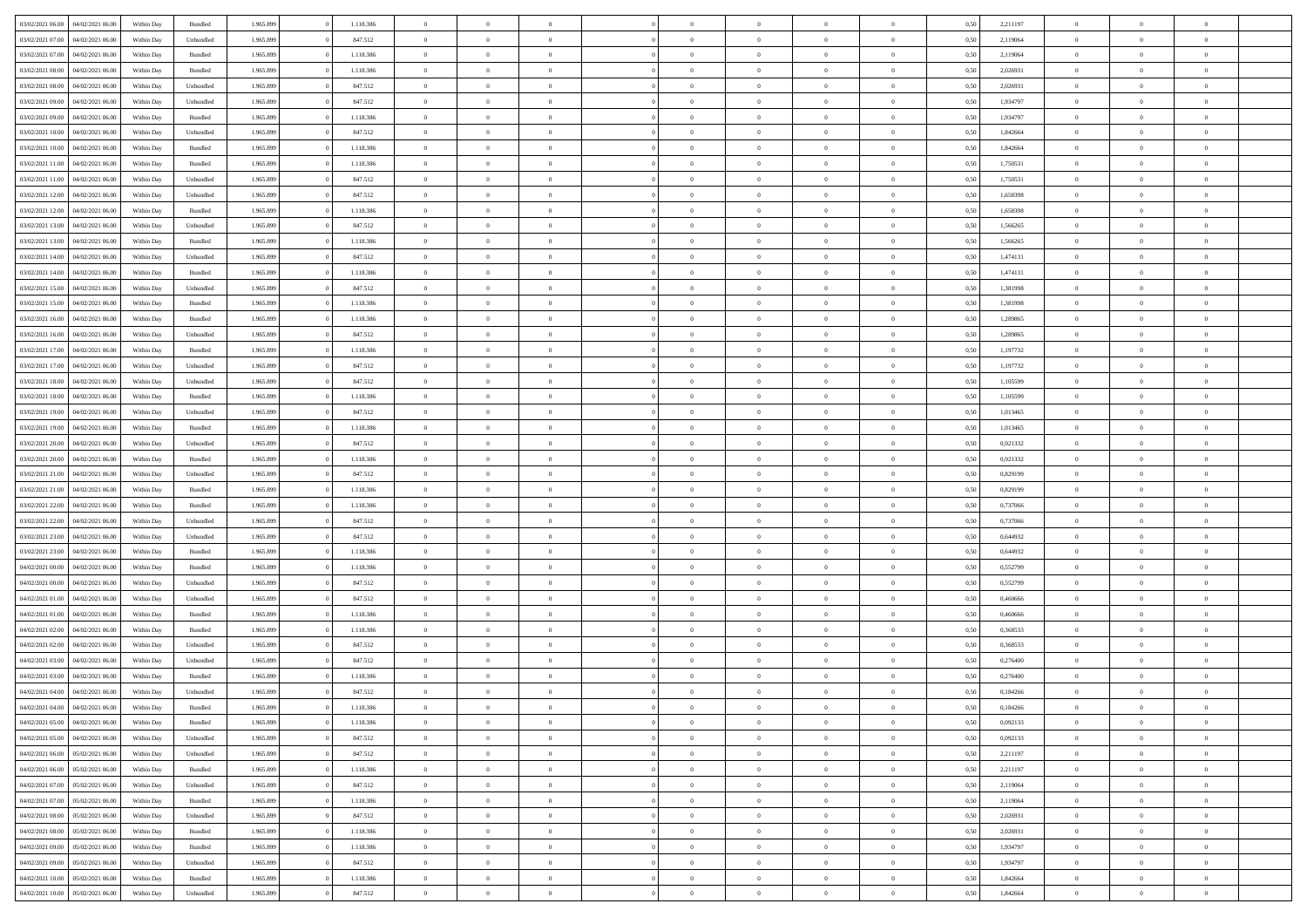| 03/02/2021 06:00                  | 04/02/2021 06:00 | Within Day | Bundled            | 1.965.899 | 1.118.386 | $\overline{0}$ | $\theta$       |                | $\Omega$       | $\Omega$       | $\theta$       | $\theta$       | 0,50 | 2,211197 | $\theta$       | $\theta$       | $\theta$       |  |
|-----------------------------------|------------------|------------|--------------------|-----------|-----------|----------------|----------------|----------------|----------------|----------------|----------------|----------------|------|----------|----------------|----------------|----------------|--|
| 03/02/2021 07:00                  | 04/02/2021 06.00 | Within Day | Unbundled          | 1.965.899 | 847.512   | $\overline{0}$ | $\theta$       | $\overline{0}$ | $\overline{0}$ | $\bf{0}$       | $\overline{0}$ | $\bf{0}$       | 0,50 | 2,119064 | $\theta$       | $\overline{0}$ | $\overline{0}$ |  |
| 03/02/2021 07:00                  | 04/02/2021 06.00 | Within Day | Bundled            | 1.965.899 | 1.118.386 | $\overline{0}$ | $\bf{0}$       | $\overline{0}$ | $\bf{0}$       | $\bf{0}$       | $\bf{0}$       | $\mathbf{0}$   | 0,50 | 2,119064 | $\overline{0}$ | $\overline{0}$ | $\overline{0}$ |  |
| 03/02/2021 08:00                  | 04/02/2021 06:00 | Within Dav | Bundled            | 1.965.899 | 1.118.386 | $\overline{0}$ | $\overline{0}$ | $\overline{0}$ | $\overline{0}$ | $\bf{0}$       | $\overline{0}$ | $\overline{0}$ | 0.50 | 2.026931 | $\theta$       | $\theta$       | $\overline{0}$ |  |
|                                   |                  |            |                    |           |           |                |                |                |                |                |                |                |      |          |                |                |                |  |
| 03/02/2021 08:00                  | 04/02/2021 06.00 | Within Day | Unbundled          | 1.965.899 | 847.512   | $\overline{0}$ | $\theta$       | $\overline{0}$ | $\overline{0}$ | $\bf{0}$       | $\overline{0}$ | $\bf{0}$       | 0,50 | 2,026931 | $\theta$       | $\overline{0}$ | $\overline{0}$ |  |
| 03/02/2021 09:00                  | 04/02/2021 06.00 | Within Day | Unbundled          | 1.965.899 | 847.512   | $\overline{0}$ | $\overline{0}$ | $\overline{0}$ | $\bf{0}$       | $\overline{0}$ | $\overline{0}$ | $\mathbf{0}$   | 0,50 | 1,934797 | $\overline{0}$ | $\overline{0}$ | $\bf{0}$       |  |
| 03/02/2021 09:00                  | 04/02/2021 06:00 | Within Dav | Bundled            | 1.965.899 | 1.118.386 | $\overline{0}$ | $\overline{0}$ | $\overline{0}$ | $\overline{0}$ | $\overline{0}$ | $\overline{0}$ | $\overline{0}$ | 0.50 | 1,934797 | $\theta$       | $\overline{0}$ | $\overline{0}$ |  |
| 03/02/2021 10:00                  | 04/02/2021 06.00 | Within Day | Unbundled          | 1.965.899 | 847.512   | $\overline{0}$ | $\theta$       | $\overline{0}$ | $\overline{0}$ | $\bf{0}$       | $\overline{0}$ | $\bf{0}$       | 0,50 | 1,842664 | $\theta$       | $\theta$       | $\overline{0}$ |  |
| 03/02/2021 10:00                  | 04/02/2021 06.00 | Within Day | Bundled            | 1.965.899 | 1.118.386 | $\overline{0}$ | $\overline{0}$ | $\overline{0}$ | $\bf{0}$       | $\bf{0}$       | $\bf{0}$       | $\mathbf{0}$   | 0,50 | 1,842664 | $\,0\,$        | $\overline{0}$ | $\overline{0}$ |  |
| 03/02/2021 11:00                  | 04/02/2021 06:00 | Within Dav | Bundled            | 1.965.899 | 1.118.386 | $\overline{0}$ | $\overline{0}$ | $\overline{0}$ | $\overline{0}$ | $\overline{0}$ | $\overline{0}$ | $\overline{0}$ | 0.50 | 1,750531 | $\theta$       | $\overline{0}$ | $\overline{0}$ |  |
|                                   |                  |            |                    |           |           |                |                |                |                |                |                |                |      |          |                |                |                |  |
| 03/02/2021 11:00                  | 04/02/2021 06.00 | Within Day | Unbundled          | 1.965.899 | 847.512   | $\overline{0}$ | $\theta$       | $\overline{0}$ | $\overline{0}$ | $\bf{0}$       | $\overline{0}$ | $\bf{0}$       | 0,50 | 1,750531 | $\,$ 0 $\,$    | $\overline{0}$ | $\overline{0}$ |  |
| 03/02/2021 12:00                  | 04/02/2021 06.00 | Within Day | Unbundled          | 1.965.899 | 847.512   | $\overline{0}$ | $\bf{0}$       | $\overline{0}$ | $\bf{0}$       | $\bf{0}$       | $\bf{0}$       | $\mathbf{0}$   | 0,50 | 1,658398 | $\overline{0}$ | $\overline{0}$ | $\bf{0}$       |  |
| 03/02/2021 12:00                  | 04/02/2021 06:00 | Within Day | Bundled            | 1.965.899 | 1.118.386 | $\overline{0}$ | $\overline{0}$ | $\overline{0}$ | $\overline{0}$ | $\bf{0}$       | $\overline{0}$ | $\overline{0}$ | 0.50 | 1,658398 | $\theta$       | $\theta$       | $\overline{0}$ |  |
| 03/02/2021 13:00                  | 04/02/2021 06.00 | Within Day | Unbundled          | 1.965.899 | 847.512   | $\overline{0}$ | $\theta$       | $\overline{0}$ | $\overline{0}$ | $\bf{0}$       | $\overline{0}$ | $\bf{0}$       | 0,50 | 1,566265 | $\theta$       | $\overline{0}$ | $\overline{0}$ |  |
| 03/02/2021 13:00                  | 04/02/2021 06.00 | Within Day | Bundled            | 1.965.899 | 1.118.386 | $\overline{0}$ | $\overline{0}$ | $\overline{0}$ | $\bf{0}$       | $\overline{0}$ | $\overline{0}$ | $\mathbf{0}$   | 0,50 | 1,566265 | $\overline{0}$ | $\overline{0}$ | $\bf{0}$       |  |
| 03/02/2021 14:00                  | 04/02/2021 06:00 | Within Dav | Unbundled          | 1.965.899 | 847.512   | $\overline{0}$ | $\overline{0}$ | $\overline{0}$ | $\overline{0}$ | $\overline{0}$ | $\overline{0}$ | $\overline{0}$ | 0.50 | 1,474131 | $\theta$       | $\overline{0}$ | $\overline{0}$ |  |
| 03/02/2021 14:00                  | 04/02/2021 06.00 | Within Day | Bundled            | 1.965.899 | 1.118.386 | $\overline{0}$ | $\theta$       | $\overline{0}$ | $\overline{0}$ | $\bf{0}$       | $\overline{0}$ | $\bf{0}$       | 0,50 | 1,474131 | $\,$ 0 $\,$    | $\theta$       | $\overline{0}$ |  |
|                                   |                  |            |                    |           |           |                |                |                |                |                |                |                |      |          |                |                |                |  |
| 03/02/2021 15:00                  | 04/02/2021 06.00 | Within Day | Unbundled          | 1.965.899 | 847.512   | $\overline{0}$ | $\overline{0}$ | $\overline{0}$ | $\bf{0}$       | $\bf{0}$       | $\bf{0}$       | $\mathbf{0}$   | 0,50 | 1,381998 | $\bf{0}$       | $\overline{0}$ | $\overline{0}$ |  |
| 03/02/2021 15:00                  | 04/02/2021 06:00 | Within Day | Bundled            | 1.965.899 | 1.118.386 | $\overline{0}$ | $\overline{0}$ | $\overline{0}$ | $\overline{0}$ | $\overline{0}$ | $\overline{0}$ | $\overline{0}$ | 0.50 | 1,381998 | $\theta$       | $\overline{0}$ | $\overline{0}$ |  |
| 03/02/2021 16:00                  | 04/02/2021 06.00 | Within Day | Bundled            | 1.965.899 | 1.118.386 | $\overline{0}$ | $\theta$       | $\overline{0}$ | $\overline{0}$ | $\bf{0}$       | $\overline{0}$ | $\bf{0}$       | 0,50 | 1,289865 | $\,$ 0 $\,$    | $\overline{0}$ | $\overline{0}$ |  |
| 03/02/2021 16:00                  | 04/02/2021 06:00 | Within Day | Unbundled          | 1.965.899 | 847.512   | $\overline{0}$ | $\overline{0}$ | $\overline{0}$ | $\bf{0}$       | $\bf{0}$       | $\bf{0}$       | $\mathbf{0}$   | 0,50 | 1,289865 | $\overline{0}$ | $\overline{0}$ | $\overline{0}$ |  |
| 03/02/2021 17:00                  | 04/02/2021 06:00 | Within Day | Bundled            | 1.965.899 | 1.118.386 | $\overline{0}$ | $\overline{0}$ | $\overline{0}$ | $\overline{0}$ | $\overline{0}$ | $\overline{0}$ | $\overline{0}$ | 0.50 | 1,197732 | $\theta$       | $\overline{0}$ | $\overline{0}$ |  |
| 03/02/2021 17:00                  | 04/02/2021 06.00 | Within Day | Unbundled          | 1.965.899 | 847.512   | $\overline{0}$ | $\theta$       | $\overline{0}$ | $\overline{0}$ | $\bf{0}$       | $\overline{0}$ | $\bf{0}$       | 0,50 | 1,197732 | $\,$ 0 $\,$    | $\overline{0}$ | $\overline{0}$ |  |
|                                   |                  |            |                    |           |           |                |                |                |                |                |                |                |      |          |                |                |                |  |
| 03/02/2021 18:00                  | 04/02/2021 06.00 | Within Day | Unbundled          | 1.965.899 | 847.512   | $\overline{0}$ | $\overline{0}$ | $\overline{0}$ | $\bf{0}$       | $\overline{0}$ | $\overline{0}$ | $\mathbf{0}$   | 0,50 | 1,105599 | $\overline{0}$ | $\overline{0}$ | $\bf{0}$       |  |
| 03/02/2021 18:00                  | 04/02/2021 06:00 | Within Dav | Bundled            | 1.965.899 | 1.118.386 | $\overline{0}$ | $\overline{0}$ | $\overline{0}$ | $\overline{0}$ | $\overline{0}$ | $\overline{0}$ | $\overline{0}$ | 0.50 | 1,105599 | $\overline{0}$ | $\overline{0}$ | $\overline{0}$ |  |
| 03/02/2021 19:00                  | 04/02/2021 06.00 | Within Day | Unbundled          | 1.965.899 | 847.512   | $\overline{0}$ | $\theta$       | $\overline{0}$ | $\overline{0}$ | $\bf{0}$       | $\overline{0}$ | $\bf{0}$       | 0,50 | 1,013465 | $\theta$       | $\theta$       | $\overline{0}$ |  |
| 03/02/2021 19:00                  | 04/02/2021 06:00 | Within Day | Bundled            | 1.965.899 | 1.118.386 | $\overline{0}$ | $\overline{0}$ | $\overline{0}$ | $\bf{0}$       | $\bf{0}$       | $\bf{0}$       | $\bf{0}$       | 0,50 | 1,013465 | $\,0\,$        | $\overline{0}$ | $\overline{0}$ |  |
| 03/02/2021 20:00                  | 04/02/2021 06:00 | Within Day | Unbundled          | 1.965.899 | 847.512   | $\overline{0}$ | $\overline{0}$ | $\overline{0}$ | $\overline{0}$ | $\overline{0}$ | $\overline{0}$ | $\overline{0}$ | 0.50 | 0.921332 | $\theta$       | $\overline{0}$ | $\overline{0}$ |  |
| 03/02/2021 20:00                  | 04/02/2021 06.00 | Within Day | Bundled            | 1.965.899 | 1.118.386 | $\overline{0}$ | $\theta$       | $\overline{0}$ | $\overline{0}$ | $\bf{0}$       | $\overline{0}$ | $\bf{0}$       | 0,50 | 0,921332 | $\,$ 0 $\,$    | $\overline{0}$ | $\overline{0}$ |  |
| 03/02/2021 21.00                  | 04/02/2021 06.00 | Within Day | Unbundled          | 1.965.899 | 847.512   | $\overline{0}$ | $\overline{0}$ | $\overline{0}$ | $\bf{0}$       | $\bf{0}$       | $\bf{0}$       | $\bf{0}$       | 0,50 | 0,829199 | $\overline{0}$ | $\overline{0}$ | $\bf{0}$       |  |
|                                   |                  |            |                    |           |           |                |                |                |                |                |                |                |      |          |                |                |                |  |
| 03/02/2021 21:00                  | 04/02/2021 06.00 | Within Day | Bundled            | 1.965.899 | 1.118.386 | $\overline{0}$ | $\Omega$       | $\overline{0}$ | $\Omega$       | $\Omega$       | $\overline{0}$ | $\overline{0}$ | 0,50 | 0,829199 | $\,0\,$        | $\theta$       | $\theta$       |  |
| 03/02/2021 22:00                  | 04/02/2021 06.00 | Within Day | Bundled            | 1.965.899 | 1.118.386 | $\overline{0}$ | $\theta$       | $\overline{0}$ | $\overline{0}$ | $\bf{0}$       | $\overline{0}$ | $\bf{0}$       | 0,50 | 0,737066 | $\,$ 0 $\,$    | $\overline{0}$ | $\overline{0}$ |  |
| 03/02/2021 22.00                  | 04/02/2021 06:00 | Within Day | Unbundled          | 1.965.899 | 847.512   | $\overline{0}$ | $\overline{0}$ | $\overline{0}$ | $\bf{0}$       | $\bf{0}$       | $\overline{0}$ | $\mathbf{0}$   | 0,50 | 0,737066 | $\overline{0}$ | $\overline{0}$ | $\bf{0}$       |  |
| 03/02/2021 23:00                  | 04/02/2021 06:00 | Within Day | Unbundled          | 1.965.899 | 847.512   | $\overline{0}$ | $\Omega$       | $\overline{0}$ | $\Omega$       | $\overline{0}$ | $\overline{0}$ | $\overline{0}$ | 0.50 | 0.644932 | $\,0\,$        | $\theta$       | $\theta$       |  |
| 03/02/2021 23:00                  | 04/02/2021 06.00 | Within Day | Bundled            | 1.965.899 | 1.118.386 | $\overline{0}$ | $\theta$       | $\overline{0}$ | $\overline{0}$ | $\bf{0}$       | $\overline{0}$ | $\bf{0}$       | 0,50 | 0,644932 | $\,$ 0 $\,$    | $\overline{0}$ | $\overline{0}$ |  |
| 04/02/2021 00:00                  | 04/02/2021 06.00 | Within Day | Bundled            | 1.965.899 | 1.118.386 | $\overline{0}$ | $\overline{0}$ | $\overline{0}$ | $\bf{0}$       | $\bf{0}$       | $\bf{0}$       | $\mathbf{0}$   | 0,50 | 0,552799 | $\bf{0}$       | $\overline{0}$ | $\overline{0}$ |  |
| 04/02/2021 00:00                  | 04/02/2021 06:00 |            |                    |           |           | $\overline{0}$ | $\Omega$       | $\overline{0}$ | $\Omega$       | $\overline{0}$ | $\overline{0}$ | $\overline{0}$ | 0.50 |          | $\,$ 0 $\,$    | $\theta$       | $\theta$       |  |
|                                   |                  | Within Day | Unbundled          | 1.965.899 | 847.512   |                |                |                |                |                |                |                |      | 0,552799 |                |                |                |  |
| 04/02/2021 01:00                  | 04/02/2021 06.00 | Within Day | Unbundled          | 1.965.899 | 847.512   | $\overline{0}$ | $\theta$       | $\overline{0}$ | $\overline{0}$ | $\,$ 0         | $\overline{0}$ | $\bf{0}$       | 0,50 | 0,460666 | $\,$ 0 $\,$    | $\overline{0}$ | $\overline{0}$ |  |
| 04/02/2021 01:00                  | 04/02/2021 06.00 | Within Day | Bundled            | 1.965.899 | 1.118.386 | $\overline{0}$ | $\bf{0}$       | $\overline{0}$ | $\bf{0}$       | $\bf{0}$       | $\bf{0}$       | $\mathbf{0}$   | 0,50 | 0,460666 | $\overline{0}$ | $\overline{0}$ | $\overline{0}$ |  |
| 04/02/2021 02.00                  | 04/02/2021 06.00 | Within Day | Bundled            | 1.965.899 | 1.118.386 | $\overline{0}$ | $\Omega$       | $\overline{0}$ | $\Omega$       | $\overline{0}$ | $\overline{0}$ | $\overline{0}$ | 0.50 | 0,368533 | $\,0\,$        | $\theta$       | $\theta$       |  |
| 04/02/2021 02:00                  | 04/02/2021 06.00 | Within Day | Unbundled          | 1.965.899 | 847.512   | $\overline{0}$ | $\overline{0}$ | $\overline{0}$ | $\overline{0}$ | $\,$ 0         | $\overline{0}$ | $\bf{0}$       | 0,50 | 0,368533 | $\,$ 0 $\,$    | $\overline{0}$ | $\overline{0}$ |  |
| 04/02/2021 03:00                  | 04/02/2021 06.00 | Within Day | Unbundled          | 1.965.899 | 847.512   | $\overline{0}$ | $\overline{0}$ | $\overline{0}$ | $\bf{0}$       | $\bf{0}$       | $\overline{0}$ | $\mathbf{0}$   | 0,50 | 0,276400 | $\overline{0}$ | $\overline{0}$ | $\bf{0}$       |  |
| 04/02/2021 03:00                  | 04/02/2021 06.00 | Within Day | Bundled            | 1.965.899 | 1.118.386 | $\overline{0}$ | $\Omega$       | $\Omega$       | $\Omega$       | $\Omega$       | $\Omega$       | $\overline{0}$ | 0.50 | 0,276400 | $\theta$       | $\theta$       | $\theta$       |  |
| 04/02/2021 04:00                  | 04/02/2021 06:00 | Within Day | Unbundled          | 1.965.899 | 847.512   | $\overline{0}$ | $\overline{0}$ | $\overline{0}$ | $\bf{0}$       | $\,$ 0         | $\bf{0}$       | $\bf{0}$       | 0,50 | 0,184266 | $\,0\,$        | $\,$ 0 $\,$    | $\overline{0}$ |  |
|                                   |                  |            |                    |           |           |                |                |                |                |                |                |                |      |          |                |                |                |  |
| 04/02/2021 04:00 04/02/2021 06:00 |                  | Within Day | $\mathbf B$ undled | 1.965.899 | 1.118.386 | $\bf{0}$       | $\bf{0}$       |                |                | $\bf{0}$       |                |                | 0,50 | 0,184266 | $\bf{0}$       | $\overline{0}$ |                |  |
| 04/02/2021 05:00                  | 04/02/2021 06:00 | Within Day | Bundled            | 1.965.899 | 1.118.386 | $\overline{0}$ | $\overline{0}$ | $\overline{0}$ | $\Omega$       | $\overline{0}$ | $\overline{0}$ | $\overline{0}$ | 0,50 | 0.092133 | $\theta$       | $\theta$       | $\theta$       |  |
| 04/02/2021 05:00                  | 04/02/2021 06:00 | Within Day | Unbundled          | 1.965.899 | 847.512   | $\overline{0}$ | $\bf{0}$       | $\overline{0}$ | $\bf{0}$       | $\,$ 0 $\,$    | $\overline{0}$ | $\,$ 0 $\,$    | 0,50 | 0,092133 | $\,$ 0 $\,$    | $\,$ 0 $\,$    | $\,$ 0         |  |
| 04/02/2021 06:00                  | 05/02/2021 06:00 | Within Day | Unbundled          | 1.965.899 | 847.512   | $\overline{0}$ | $\overline{0}$ | $\overline{0}$ | $\overline{0}$ | $\overline{0}$ | $\overline{0}$ | $\mathbf{0}$   | 0,50 | 2,211197 | $\overline{0}$ | $\bf{0}$       | $\bf{0}$       |  |
| 04/02/2021 06:00                  | 05/02/2021 06:00 | Within Day | Bundled            | 1.965.899 | 1.118.386 | $\overline{0}$ | $\overline{0}$ | $\overline{0}$ | $\Omega$       | $\overline{0}$ | $\overline{0}$ | $\overline{0}$ | 0,50 | 2,211197 | $\overline{0}$ | $\theta$       | $\overline{0}$ |  |
| 04/02/2021 07:00                  | 05/02/2021 06:00 | Within Day | Unbundled          | 1.965.899 | 847.512   | $\overline{0}$ | $\,$ 0         | $\overline{0}$ | $\bf{0}$       | $\,$ 0 $\,$    | $\overline{0}$ | $\mathbf{0}$   | 0,50 | 2,119064 | $\,$ 0 $\,$    | $\overline{0}$ | $\overline{0}$ |  |
|                                   |                  |            |                    |           |           |                |                |                |                |                |                |                |      |          |                |                |                |  |
| 04/02/2021 07:00                  | 05/02/2021 06:00 | Within Day | Bundled            | 1.965.899 | 1.118.386 | $\overline{0}$ | $\overline{0}$ | $\overline{0}$ | $\overline{0}$ | $\overline{0}$ | $\overline{0}$ | $\mathbf{0}$   | 0,50 | 2,119064 | $\overline{0}$ | $\overline{0}$ | $\bf{0}$       |  |
| 04/02/2021 08:00                  | 05/02/2021 06:00 | Within Day | Unbundled          | 1.965.899 | 847.512   | $\overline{0}$ | $\overline{0}$ | $\overline{0}$ | $\overline{0}$ | $\overline{0}$ | $\overline{0}$ | $\bf{0}$       | 0.50 | 2,026931 | $\overline{0}$ | $\theta$       | $\overline{0}$ |  |
| 04/02/2021 08:00                  | 05/02/2021 06:00 | Within Day | Bundled            | 1.965.899 | 1.118.386 | $\overline{0}$ | $\,$ 0         | $\overline{0}$ | $\bf{0}$       | $\bf{0}$       | $\bf{0}$       | $\bf{0}$       | 0,50 | 2,026931 | $\,$ 0 $\,$    | $\overline{0}$ | $\overline{0}$ |  |
| 04/02/2021 09:00                  | 05/02/2021 06:00 | Within Day | Bundled            | 1.965.899 | 1.118.386 | $\overline{0}$ | $\bf{0}$       | $\overline{0}$ | $\overline{0}$ | $\overline{0}$ | $\overline{0}$ | $\mathbf{0}$   | 0,50 | 1,934797 | $\overline{0}$ | $\overline{0}$ | $\bf{0}$       |  |
| 04/02/2021 09:00                  | 05/02/2021 06:00 | Within Day | Unbundled          | 1.965.899 | 847.512   | $\overline{0}$ | $\overline{0}$ | $\overline{0}$ | $\Omega$       | $\overline{0}$ | $\overline{0}$ | $\overline{0}$ | 0.50 | 1,934797 | $\overline{0}$ | $\overline{0}$ | $\overline{0}$ |  |
| 04/02/2021 10:00                  | 05/02/2021 06:00 | Within Day | Bundled            | 1.965.899 | 1.118.386 | $\overline{0}$ | $\bf{0}$       | $\overline{0}$ | $\overline{0}$ | $\bf{0}$       | $\bf{0}$       | $\mathbf{0}$   | 0,50 | 1,842664 | $\,$ 0 $\,$    | $\,$ 0 $\,$    | $\bf{0}$       |  |
| 04/02/2021 10:00                  | 05/02/2021 06:00 | Within Day | Unbundled          | 1.965.899 | 847.512   | $\overline{0}$ | $\bf{0}$       | $\overline{0}$ | $\bf{0}$       | $\bf{0}$       | $\bf{0}$       | $\bf{0}$       | 0,50 | 1,842664 | $\overline{0}$ | $\overline{0}$ | $\bf{0}$       |  |
|                                   |                  |            |                    |           |           |                |                |                |                |                |                |                |      |          |                |                |                |  |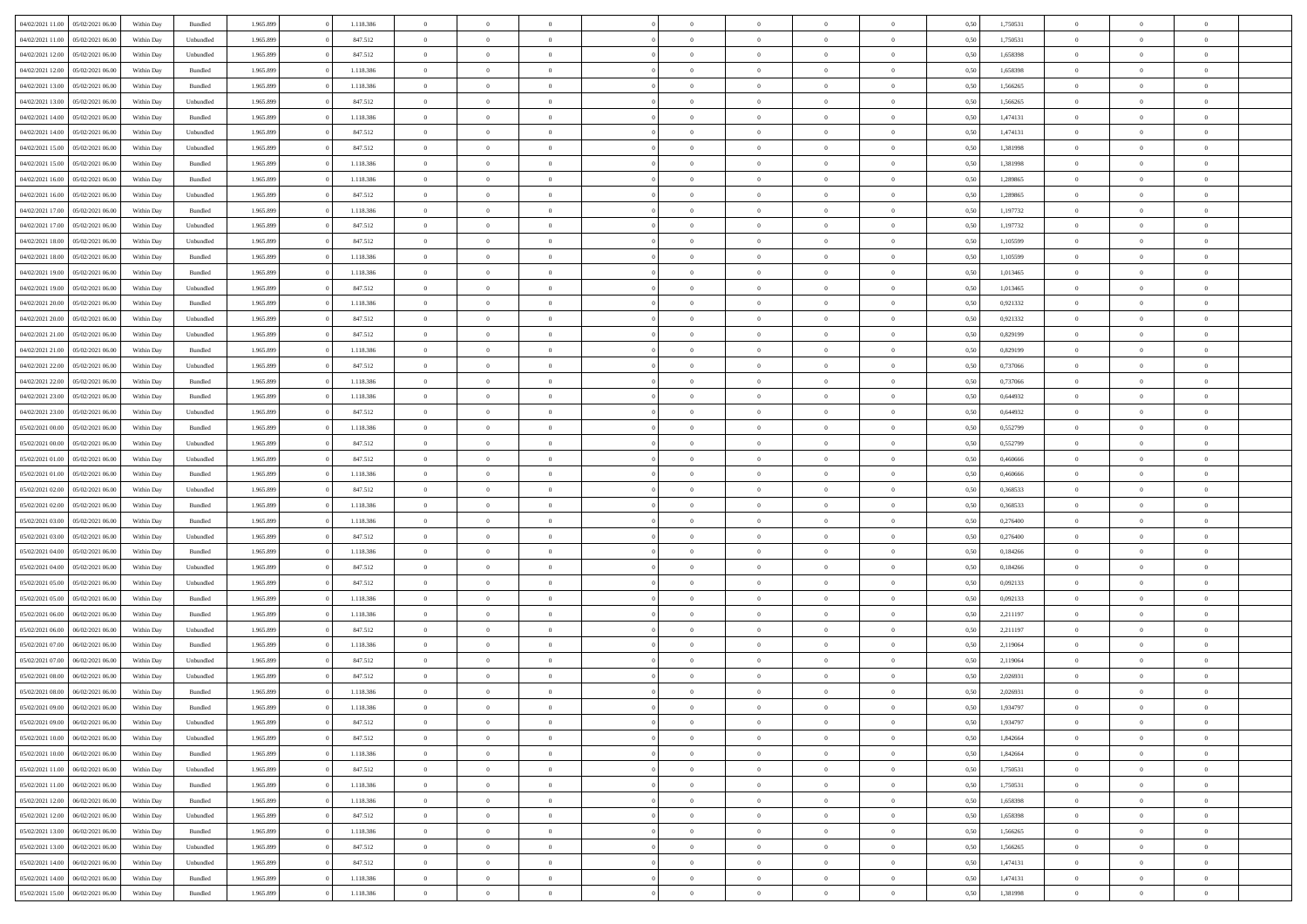| 04/02/2021 11:00                  | 05/02/2021 06:00 | Within Day | Bundled            | 1.965.899 | 1.118.386 | $\overline{0}$ | $\Omega$       |                | $\Omega$       | $\Omega$       | $\theta$       | $\theta$       | 0,50 | 1,750531 | $\theta$       | $\theta$       | $\theta$       |  |
|-----------------------------------|------------------|------------|--------------------|-----------|-----------|----------------|----------------|----------------|----------------|----------------|----------------|----------------|------|----------|----------------|----------------|----------------|--|
| 04/02/2021 11:00                  | 05/02/2021 06:00 | Within Day | Unbundled          | 1.965.899 | 847.512   | $\overline{0}$ | $\theta$       | $\overline{0}$ | $\overline{0}$ | $\bf{0}$       | $\overline{0}$ | $\bf{0}$       | 0,50 | 1,750531 | $\theta$       | $\overline{0}$ | $\overline{0}$ |  |
| 04/02/2021 12:00                  | 05/02/2021 06:00 | Within Day | Unbundled          | 1.965.899 | 847.512   | $\overline{0}$ | $\overline{0}$ | $\overline{0}$ | $\bf{0}$       | $\bf{0}$       | $\bf{0}$       | $\mathbf{0}$   | 0,50 | 1,658398 | $\overline{0}$ | $\overline{0}$ | $\overline{0}$ |  |
| 04/02/2021 12:00                  | 05/02/2021 06:00 | Within Dav | Bundled            | 1.965.899 | 1.118.386 | $\overline{0}$ | $\overline{0}$ | $\overline{0}$ | $\overline{0}$ | $\bf{0}$       | $\overline{0}$ | $\overline{0}$ | 0.50 | 1,658398 | $\theta$       | $\theta$       | $\overline{0}$ |  |
| 04/02/2021 13:00                  | 05/02/2021 06:00 | Within Day | Bundled            | 1.965.899 | 1.118.386 | $\overline{0}$ | $\theta$       | $\overline{0}$ | $\overline{0}$ | $\bf{0}$       | $\overline{0}$ | $\bf{0}$       | 0,50 | 1,566265 | $\,$ 0 $\,$    | $\overline{0}$ | $\overline{0}$ |  |
| 04/02/2021 13:00                  | 05/02/2021 06:00 | Within Day | Unbundled          | 1.965.899 | 847.512   | $\overline{0}$ | $\overline{0}$ | $\overline{0}$ | $\bf{0}$       | $\overline{0}$ | $\overline{0}$ | $\mathbf{0}$   | 0,50 | 1,566265 | $\overline{0}$ | $\overline{0}$ | $\bf{0}$       |  |
|                                   | 05/02/2021 06:00 | Within Dav | Bundled            | 1.965.899 | 1.118.386 | $\overline{0}$ | $\overline{0}$ | $\overline{0}$ |                | $\overline{0}$ | $\overline{0}$ | $\overline{0}$ | 0.50 | 1,474131 | $\theta$       | $\overline{0}$ | $\overline{0}$ |  |
| 04/02/2021 14:00                  |                  |            |                    |           |           |                |                |                | $\overline{0}$ |                |                |                |      |          |                |                |                |  |
| 04/02/2021 14:00                  | 05/02/2021 06:00 | Within Day | Unbundled          | 1.965.899 | 847.512   | $\overline{0}$ | $\theta$       | $\overline{0}$ | $\overline{0}$ | $\bf{0}$       | $\overline{0}$ | $\bf{0}$       | 0,50 | 1,474131 | $\theta$       | $\theta$       | $\overline{0}$ |  |
| 04/02/2021 15:00                  | 05/02/2021 06:00 | Within Day | Unbundled          | 1.965.899 | 847.512   | $\overline{0}$ | $\overline{0}$ | $\overline{0}$ | $\bf{0}$       | $\bf{0}$       | $\bf{0}$       | $\mathbf{0}$   | 0,50 | 1,381998 | $\,0\,$        | $\overline{0}$ | $\overline{0}$ |  |
| 04/02/2021 15:00                  | 05/02/2021 06:00 | Within Dav | Bundled            | 1.965.899 | 1.118.386 | $\overline{0}$ | $\overline{0}$ | $\overline{0}$ | $\overline{0}$ | $\overline{0}$ | $\overline{0}$ | $\overline{0}$ | 0.50 | 1,381998 | $\theta$       | $\overline{0}$ | $\overline{0}$ |  |
| 04/02/2021 16:00                  | 05/02/2021 06:00 | Within Day | Bundled            | 1.965.899 | 1.118.386 | $\overline{0}$ | $\theta$       | $\overline{0}$ | $\overline{0}$ | $\bf{0}$       | $\overline{0}$ | $\bf{0}$       | 0,50 | 1,289865 | $\,$ 0 $\,$    | $\overline{0}$ | $\overline{0}$ |  |
| 04/02/2021 16:00                  | 05/02/2021 06:00 | Within Day | Unbundled          | 1.965.899 | 847.512   | $\overline{0}$ | $\overline{0}$ | $\overline{0}$ | $\bf{0}$       | $\overline{0}$ | $\bf{0}$       | $\mathbf{0}$   | 0,50 | 1,289865 | $\overline{0}$ | $\overline{0}$ | $\bf{0}$       |  |
| 04/02/2021 17:00                  | 05/02/2021 06:00 | Within Day | Bundled            | 1.965.899 | 1.118.386 | $\overline{0}$ | $\overline{0}$ | $\overline{0}$ | $\overline{0}$ | $\overline{0}$ | $\overline{0}$ | $\overline{0}$ | 0.50 | 1,197732 | $\theta$       | $\theta$       | $\overline{0}$ |  |
| 04/02/2021 17:00                  | 05/02/2021 06:00 |            |                    | 1.965.899 | 847.512   | $\overline{0}$ | $\theta$       | $\overline{0}$ | $\overline{0}$ | $\bf{0}$       | $\overline{0}$ |                |      | 1,197732 | $\theta$       | $\overline{0}$ | $\overline{0}$ |  |
|                                   |                  | Within Day | Unbundled          |           |           |                |                |                |                |                |                | $\bf{0}$       | 0,50 |          |                |                |                |  |
| 04/02/2021 18:00                  | 05/02/2021 06:00 | Within Day | Unbundled          | 1.965.899 | 847.512   | $\overline{0}$ | $\overline{0}$ | $\overline{0}$ | $\bf{0}$       | $\overline{0}$ | $\overline{0}$ | $\mathbf{0}$   | 0,50 | 1,105599 | $\overline{0}$ | $\overline{0}$ | $\bf{0}$       |  |
| 04/02/2021 18:00                  | 05/02/2021 06:00 | Within Dav | Bundled            | 1.965.899 | 1.118.386 | $\overline{0}$ | $\overline{0}$ | $\overline{0}$ | $\overline{0}$ | $\overline{0}$ | $\overline{0}$ | $\overline{0}$ | 0.50 | 1,105599 | $\theta$       | $\overline{0}$ | $\overline{0}$ |  |
| 04/02/2021 19:00                  | 05/02/2021 06:00 | Within Day | Bundled            | 1.965.899 | 1.118.386 | $\overline{0}$ | $\theta$       | $\overline{0}$ | $\overline{0}$ | $\bf{0}$       | $\overline{0}$ | $\bf{0}$       | 0,50 | 1,013465 | $\,$ 0 $\,$    | $\overline{0}$ | $\overline{0}$ |  |
| 04/02/2021 19:00                  | 05/02/2021 06:00 | Within Day | Unbundled          | 1.965.899 | 847.512   | $\overline{0}$ | $\overline{0}$ | $\overline{0}$ | $\bf{0}$       | $\bf{0}$       | $\bf{0}$       | $\mathbf{0}$   | 0,50 | 1,013465 | $\bf{0}$       | $\overline{0}$ | $\bf{0}$       |  |
| 04/02/2021 20:00                  | 05/02/2021 06:00 | Within Day | Bundled            | 1.965.899 | 1.118.386 | $\overline{0}$ | $\overline{0}$ | $\overline{0}$ | $\overline{0}$ | $\overline{0}$ | $\overline{0}$ | $\overline{0}$ | 0.50 | 0.921332 | $\theta$       | $\overline{0}$ | $\overline{0}$ |  |
| 04/02/2021 20:00                  | 05/02/2021 06:00 | Within Day | Unbundled          | 1.965.899 | 847.512   | $\overline{0}$ | $\theta$       | $\overline{0}$ | $\overline{0}$ | $\bf{0}$       | $\overline{0}$ | $\bf{0}$       | 0,50 | 0,921332 | $\,$ 0 $\,$    | $\overline{0}$ | $\overline{0}$ |  |
| 04/02/2021 21.00                  | 05/02/2021 06:00 | Within Day | Unbundled          | 1.965.899 | 847.512   | $\overline{0}$ | $\overline{0}$ | $\overline{0}$ | $\bf{0}$       | $\bf{0}$       | $\bf{0}$       | $\mathbf{0}$   | 0,50 | 0,829199 | $\overline{0}$ | $\overline{0}$ | $\bf{0}$       |  |
|                                   |                  |            |                    |           |           |                |                |                |                |                |                |                |      |          | $\theta$       |                |                |  |
| 04/02/2021 21:00                  | 05/02/2021 06:00 | Within Day | Bundled            | 1.965.899 | 1.118.386 | $\overline{0}$ | $\overline{0}$ | $\overline{0}$ | $\overline{0}$ | $\overline{0}$ | $\overline{0}$ | $\overline{0}$ | 0.50 | 0.829199 |                | $\overline{0}$ | $\overline{0}$ |  |
| 04/02/2021 22.00                  | 05/02/2021 06:00 | Within Day | Unbundled          | 1.965.899 | 847.512   | $\overline{0}$ | $\theta$       | $\overline{0}$ | $\overline{0}$ | $\bf{0}$       | $\overline{0}$ | $\,$ 0 $\,$    | 0,50 | 0,737066 | $\,$ 0 $\,$    | $\overline{0}$ | $\overline{0}$ |  |
| 04/02/2021 22.00                  | 05/02/2021 06:00 | Within Day | Bundled            | 1.965.899 | 1.118.386 | $\overline{0}$ | $\overline{0}$ | $\overline{0}$ | $\bf{0}$       | $\overline{0}$ | $\overline{0}$ | $\mathbf{0}$   | 0,50 | 0,737066 | $\overline{0}$ | $\overline{0}$ | $\bf{0}$       |  |
| 04/02/2021 23:00                  | 05/02/2021 06:00 | Within Dav | Bundled            | 1.965.899 | 1.118.386 | $\overline{0}$ | $\overline{0}$ | $\overline{0}$ | $\overline{0}$ | $\overline{0}$ | $\overline{0}$ | $\overline{0}$ | 0.50 | 0,644932 | $\theta$       | $\overline{0}$ | $\overline{0}$ |  |
| 04/02/2021 23:00                  | 05/02/2021 06:00 | Within Day | Unbundled          | 1.965.899 | 847.512   | $\overline{0}$ | $\theta$       | $\overline{0}$ | $\overline{0}$ | $\bf{0}$       | $\overline{0}$ | $\bf{0}$       | 0,50 | 0,644932 | $\theta$       | $\overline{0}$ | $\overline{0}$ |  |
| 05/02/2021 00:00                  | 05/02/2021 06:00 | Within Day | Bundled            | 1.965.899 | 1.118.386 | $\overline{0}$ | $\overline{0}$ | $\overline{0}$ | $\bf{0}$       | $\bf{0}$       | $\bf{0}$       | $\mathbf{0}$   | 0,50 | 0,552799 | $\,0\,$        | $\overline{0}$ | $\overline{0}$ |  |
| 05/02/2021 00:00                  | 05/02/2021 06:00 | Within Day | Unbundled          | 1.965.899 | 847.512   | $\overline{0}$ | $\overline{0}$ | $\overline{0}$ | $\overline{0}$ | $\overline{0}$ | $\overline{0}$ | $\overline{0}$ | 0.50 | 0,552799 | $\theta$       | $\overline{0}$ | $\overline{0}$ |  |
| 05/02/2021 01:00                  | 05/02/2021 06:00 | Within Day | Unbundled          | 1.965.899 | 847.512   | $\overline{0}$ | $\overline{0}$ | $\overline{0}$ | $\overline{0}$ | $\bf{0}$       | $\overline{0}$ | $\bf{0}$       | 0,50 | 0,460666 | $\,$ 0 $\,$    | $\overline{0}$ | $\overline{0}$ |  |
|                                   |                  |            |                    |           |           |                |                |                |                |                |                |                |      |          |                |                |                |  |
| 05/02/2021 01:00                  | 05/02/2021 06:00 | Within Day | Bundled            | 1.965.899 | 1.118.386 | $\overline{0}$ | $\overline{0}$ | $\overline{0}$ | $\bf{0}$       | $\bf{0}$       | $\bf{0}$       | $\mathbf{0}$   | 0,50 | 0,460666 | $\bf{0}$       | $\overline{0}$ | $\bf{0}$       |  |
| 05/02/2021 02:00                  | 05/02/2021 06:00 | Within Day | Unbundled          | 1.965.899 | 847.512   | $\bf{0}$       | $\Omega$       | $\overline{0}$ | $\Omega$       | $\Omega$       | $\overline{0}$ | $\overline{0}$ | 0,50 | 0,368533 | $\,0\,$        | $\theta$       | $\theta$       |  |
| 05/02/2021 02:00                  | 05/02/2021 06:00 | Within Day | Bundled            | 1.965.899 | 1.118.386 | $\overline{0}$ | $\overline{0}$ | $\overline{0}$ | $\overline{0}$ | $\bf{0}$       | $\overline{0}$ | $\bf{0}$       | 0,50 | 0,368533 | $\,$ 0 $\,$    | $\overline{0}$ | $\overline{0}$ |  |
| 05/02/2021 03:00                  | 05/02/2021 06:00 | Within Day | Bundled            | 1.965.899 | 1.118.386 | $\overline{0}$ | $\overline{0}$ | $\overline{0}$ | $\bf{0}$       | $\overline{0}$ | $\overline{0}$ | $\mathbf{0}$   | 0,50 | 0,276400 | $\bf{0}$       | $\overline{0}$ | $\bf{0}$       |  |
| 05/02/2021 03:00                  | 05/02/2021 06:00 | Within Day | Unbundled          | 1.965.899 | 847.512   | $\overline{0}$ | $\Omega$       | $\overline{0}$ | $\Omega$       | $\overline{0}$ | $\overline{0}$ | $\overline{0}$ | 0.50 | 0,276400 | $\,0\,$        | $\theta$       | $\theta$       |  |
| 05/02/2021 04:00                  | 05/02/2021 06:00 | Within Day | Bundled            | 1.965.899 | 1.118.386 | $\overline{0}$ | $\theta$       | $\overline{0}$ | $\overline{0}$ | $\bf{0}$       | $\overline{0}$ | $\bf{0}$       | 0,50 | 0,184266 | $\,$ 0 $\,$    | $\overline{0}$ | $\overline{0}$ |  |
| 05/02/2021 04:00                  | 05/02/2021 06:00 | Within Day | Unbundled          | 1.965.899 | 847.512   | $\overline{0}$ | $\bf{0}$       | $\overline{0}$ | $\bf{0}$       | $\bf{0}$       | $\bf{0}$       | $\mathbf{0}$   | 0,50 | 0,184266 | $\bf{0}$       | $\overline{0}$ | $\bf{0}$       |  |
| 05/02/2021 05:00                  | 05/02/2021 06:00 | Within Day | Unbundled          | 1.965.899 | 847.512   | $\overline{0}$ | $\Omega$       | $\overline{0}$ | $\Omega$       | $\overline{0}$ | $\overline{0}$ | $\overline{0}$ | 0.50 | 0.092133 | $\,$ 0 $\,$    | $\theta$       | $\theta$       |  |
|                                   |                  |            |                    |           |           | $\overline{0}$ |                | $\overline{0}$ |                |                | $\overline{0}$ |                |      |          | $\,$ 0 $\,$    | $\overline{0}$ | $\overline{0}$ |  |
| 05/02/2021 05:00                  | 05/02/2021 06:00 | Within Day | Bundled            | 1.965.899 | 1.118.386 |                | $\overline{0}$ |                | $\overline{0}$ | $\,$ 0         |                | $\bf{0}$       | 0,50 | 0,092133 |                |                |                |  |
| 05/02/2021 06:00                  | 06/02/2021 06:00 | Within Day | Bundled            | 1.965.899 | 1.118.386 | $\overline{0}$ | $\overline{0}$ | $\overline{0}$ | $\bf{0}$       | $\bf{0}$       | $\overline{0}$ | $\mathbf{0}$   | 0,50 | 2,211197 | $\overline{0}$ | $\overline{0}$ | $\bf{0}$       |  |
| 05/02/2021 06:00                  | 06/02/2021 06:00 | Within Day | Unbundled          | 1.965.899 | 847.512   | $\overline{0}$ | $\Omega$       | $\overline{0}$ | $\Omega$       | $\bf{0}$       | $\overline{0}$ | $\overline{0}$ | 0,50 | 2,211197 | $\,0\,$        | $\theta$       | $\overline{0}$ |  |
| 05/02/2021 07:00                  | 06/02/2021 06:00 | Within Day | Bundled            | 1.965.899 | 1.118.386 | $\overline{0}$ | $\overline{0}$ | $\overline{0}$ | $\overline{0}$ | $\,$ 0         | $\overline{0}$ | $\bf{0}$       | 0,50 | 2,119064 | $\,$ 0 $\,$    | $\overline{0}$ | $\overline{0}$ |  |
| 05/02/2021 07:00                  | 06/02/2021 06:00 | Within Day | Unbundled          | 1.965.899 | 847.512   | $\overline{0}$ | $\overline{0}$ | $\overline{0}$ | $\bf{0}$       | $\bf{0}$       | $\overline{0}$ | $\mathbf{0}$   | 0,50 | 2,119064 | $\overline{0}$ | $\overline{0}$ | $\bf{0}$       |  |
| 05/02/2021 08:00                  | 06/02/2021 06:00 | Within Day | Unbundled          | 1.965.899 | 847.512   | $\overline{0}$ | $\Omega$       | $\Omega$       | $\Omega$       | $\Omega$       | $\overline{0}$ | $\overline{0}$ | 0.50 | 2.026931 | $\theta$       | $\theta$       | $\theta$       |  |
| 05/02/2021 08:00                  | 06/02/2021 06:00 | Within Day | Bundled            | 1.965.899 | 1.118.386 | $\overline{0}$ | $\overline{0}$ | $\overline{0}$ | $\bf{0}$       | $\,$ 0         | $\bf{0}$       | $\bf{0}$       | 0,50 | 2,026931 | $\,0\,$        | $\,$ 0 $\,$    | $\overline{0}$ |  |
| 05/02/2021 09:00 06/02/2021 06:00 |                  | Within Day | $\mathbf B$ undled | 1.965.899 | 1.118.386 | $\overline{0}$ | $\bf{0}$       |                |                | $\bf{0}$       |                |                | 0,50 | 1,934797 | $\bf{0}$       | $\overline{0}$ |                |  |
| 05/02/2021 09:00                  | 06/02/2021 06:00 |            | Unbundled          | 1.965.899 | 847.512   | $\overline{0}$ | $\overline{0}$ | $\overline{0}$ | $\Omega$       | $\overline{0}$ | $\overline{0}$ | $\overline{0}$ |      | 1.934797 | $\theta$       | $\theta$       | $\theta$       |  |
|                                   |                  | Within Day |                    |           |           |                |                |                |                |                |                |                | 0,50 |          |                |                |                |  |
| 05/02/2021 10:00                  | 06/02/2021 06:00 | Within Day | Unbundled          | 1.965.899 | 847.512   | $\overline{0}$ | $\bf{0}$       | $\overline{0}$ | $\bf{0}$       | $\,$ 0 $\,$    | $\overline{0}$ | $\,$ 0 $\,$    | 0,50 | 1,842664 | $\,$ 0 $\,$    | $\,$ 0 $\,$    | $\,$ 0         |  |
| 05/02/2021 10:00                  | 06/02/2021 06:00 | Within Day | Bundled            | 1.965.899 | 1.118.386 | $\overline{0}$ | $\overline{0}$ | $\overline{0}$ | $\overline{0}$ | $\overline{0}$ | $\overline{0}$ | $\mathbf{0}$   | 0,50 | 1,842664 | $\overline{0}$ | $\bf{0}$       | $\bf{0}$       |  |
| 05/02/2021 11:00                  | 06/02/2021 06:00 | Within Day | Unbundled          | 1.965.899 | 847.512   | $\overline{0}$ | $\overline{0}$ | $\overline{0}$ | $\Omega$       | $\overline{0}$ | $\overline{0}$ | $\overline{0}$ | 0,50 | 1,750531 | $\overline{0}$ | $\theta$       | $\overline{0}$ |  |
| 05/02/2021 11:00                  | 06/02/2021 06:00 | Within Day | Bundled            | 1.965.899 | 1.118.386 | $\overline{0}$ | $\,$ 0         | $\overline{0}$ | $\overline{0}$ | $\,$ 0 $\,$    | $\overline{0}$ | $\mathbf{0}$   | 0,50 | 1,750531 | $\,$ 0 $\,$    | $\overline{0}$ | $\overline{0}$ |  |
| 05/02/2021 12:00                  | 06/02/2021 06:00 | Within Day | Bundled            | 1.965.899 | 1.118.386 | $\overline{0}$ | $\overline{0}$ | $\overline{0}$ | $\overline{0}$ | $\overline{0}$ | $\overline{0}$ | $\mathbf{0}$   | 0,50 | 1,658398 | $\overline{0}$ | $\overline{0}$ | $\bf{0}$       |  |
| 05/02/2021 12:00                  | 06/02/2021 06:00 | Within Day | Unbundled          | 1.965.899 | 847.512   | $\overline{0}$ | $\overline{0}$ | $\overline{0}$ | $\overline{0}$ | $\overline{0}$ | $\overline{0}$ | $\bf{0}$       | 0.50 | 1,658398 | $\overline{0}$ | $\theta$       | $\overline{0}$ |  |
| 05/02/2021 13:00                  | 06/02/2021 06:00 | Within Day | Bundled            | 1.965.899 | 1.118.386 | $\overline{0}$ | $\,$ 0         | $\overline{0}$ | $\bf{0}$       | $\bf{0}$       | $\bf{0}$       | $\bf{0}$       | 0,50 | 1,566265 | $\,$ 0 $\,$    | $\overline{0}$ | $\overline{0}$ |  |
|                                   |                  |            |                    |           |           |                |                |                |                |                |                |                |      |          |                |                |                |  |
| 05/02/2021 13:00                  | 06/02/2021 06:00 | Within Day | Unbundled          | 1.965.899 | 847.512   | $\overline{0}$ | $\bf{0}$       | $\overline{0}$ | $\overline{0}$ | $\overline{0}$ | $\overline{0}$ | $\mathbf{0}$   | 0,50 | 1,566265 | $\overline{0}$ | $\overline{0}$ | $\bf{0}$       |  |
| 05/02/2021 14:00                  | 06/02/2021 06:00 | Within Day | Unbundled          | 1.965.899 | 847.512   | $\overline{0}$ | $\overline{0}$ | $\overline{0}$ | $\Omega$       | $\overline{0}$ | $\overline{0}$ | $\overline{0}$ | 0.50 | 1,474131 | $\overline{0}$ | $\overline{0}$ | $\overline{0}$ |  |
| 05/02/2021 14:00                  | 06/02/2021 06:00 | Within Day | Bundled            | 1.965.899 | 1.118.386 | $\overline{0}$ | $\bf{0}$       | $\overline{0}$ | $\overline{0}$ | $\bf{0}$       | $\bf{0}$       | $\mathbf{0}$   | 0,50 | 1,474131 | $\,$ 0 $\,$    | $\,$ 0 $\,$    | $\bf{0}$       |  |
| 05/02/2021 15:00                  | 06/02/2021 06:00 | Within Day | Bundled            | 1.965.899 | 1.118.386 | $\overline{0}$ | $\bf{0}$       | $\overline{0}$ | $\bf{0}$       | $\bf{0}$       | $\bf{0}$       | $\bf{0}$       | 0,50 | 1,381998 | $\overline{0}$ | $\overline{0}$ | $\bf{0}$       |  |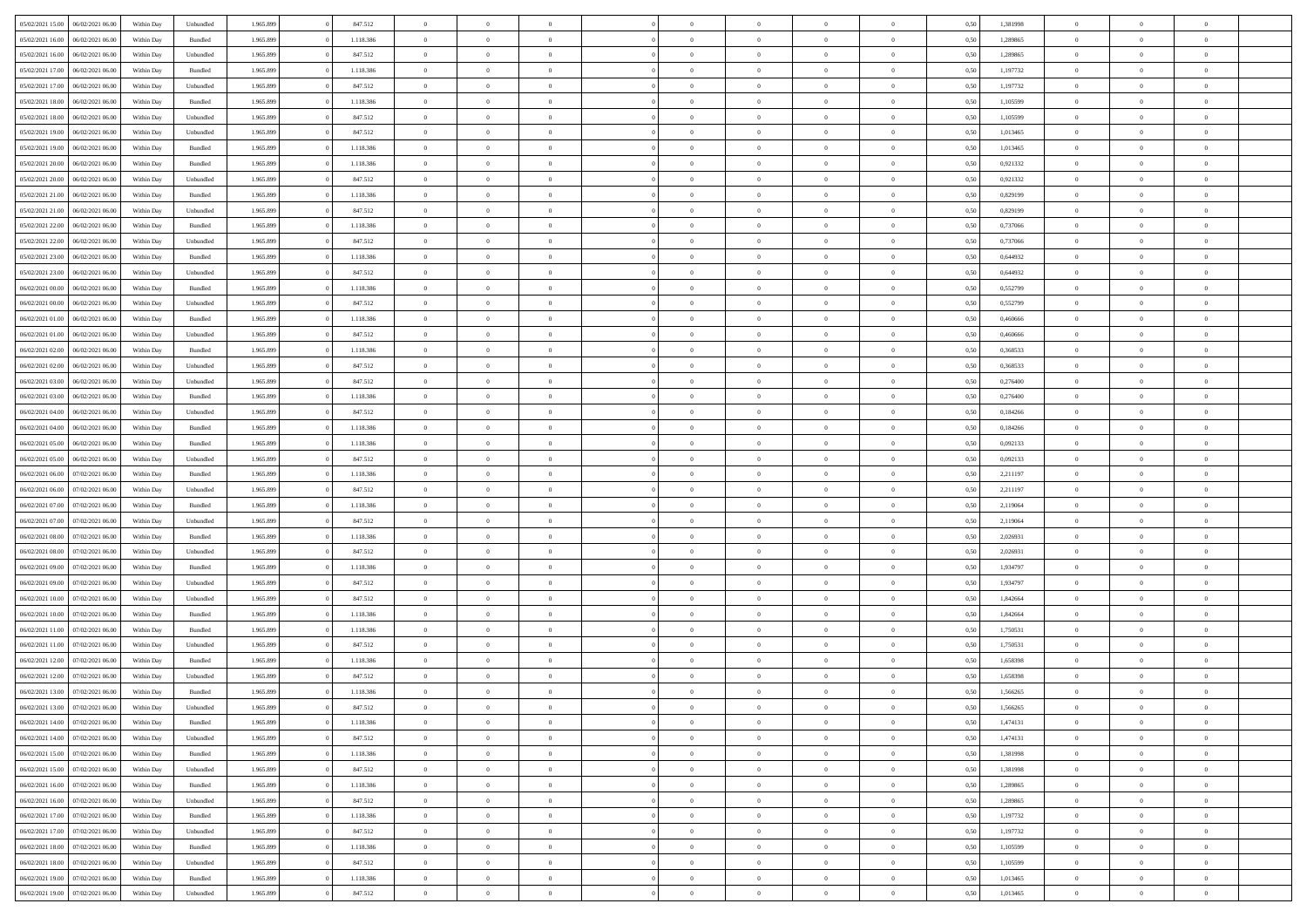|                  | 06/02/2021 06:00 | Within Day | Unbundled | 1.965.899 | 847.512   | $\overline{0}$ | $\Omega$       |                | $\Omega$       | $\Omega$       | $\theta$       | $\theta$       | 0,50 | 1,381998 | $\theta$       | $\theta$       | $\theta$       |  |
|------------------|------------------|------------|-----------|-----------|-----------|----------------|----------------|----------------|----------------|----------------|----------------|----------------|------|----------|----------------|----------------|----------------|--|
| 05/02/2021 15:00 |                  |            |           |           |           |                |                |                |                |                |                |                |      |          |                |                |                |  |
| 05/02/2021 16:00 | 06/02/2021 06:00 | Within Day | Bundled   | 1.965.899 | 1.118.386 | $\overline{0}$ | $\theta$       | $\overline{0}$ | $\overline{0}$ | $\bf{0}$       | $\overline{0}$ | $\bf{0}$       | 0,50 | 1,289865 | $\theta$       | $\theta$       | $\overline{0}$ |  |
| 05/02/2021 16:00 | 06/02/2021 06:00 | Within Day | Unbundled | 1.965.899 | 847.512   | $\overline{0}$ | $\overline{0}$ | $\overline{0}$ | $\bf{0}$       | $\bf{0}$       | $\bf{0}$       | $\mathbf{0}$   | 0,50 | 1,289865 | $\overline{0}$ | $\overline{0}$ | $\overline{0}$ |  |
| 05/02/2021 17:00 | 06/02/2021 06:00 | Within Dav | Bundled   | 1.965.899 | 1.118.386 | $\overline{0}$ | $\overline{0}$ | $\overline{0}$ | $\overline{0}$ | $\bf{0}$       | $\overline{0}$ | $\overline{0}$ | 0.50 | 1,197732 | $\theta$       | $\theta$       | $\overline{0}$ |  |
|                  |                  |            |           |           |           |                |                |                |                |                |                |                |      |          |                |                |                |  |
| 05/02/2021 17:00 | 06/02/2021 06:00 | Within Day | Unbundled | 1.965.899 | 847.512   | $\overline{0}$ | $\theta$       | $\overline{0}$ | $\overline{0}$ | $\bf{0}$       | $\overline{0}$ | $\bf{0}$       | 0,50 | 1,197732 | $\,$ 0 $\,$    | $\overline{0}$ | $\overline{0}$ |  |
| 05/02/2021 18:00 | 06/02/2021 06:00 | Within Day | Bundled   | 1.965.899 | 1.118.386 | $\overline{0}$ | $\overline{0}$ | $\overline{0}$ | $\bf{0}$       | $\overline{0}$ | $\overline{0}$ | $\mathbf{0}$   | 0,50 | 1,105599 | $\overline{0}$ | $\overline{0}$ | $\bf{0}$       |  |
| 05/02/2021 18:00 | 06/02/2021 06:00 | Within Dav | Unbundled | 1.965.899 | 847.512   | $\overline{0}$ | $\overline{0}$ | $\overline{0}$ | $\overline{0}$ | $\overline{0}$ | $\overline{0}$ | $\overline{0}$ | 0.50 | 1,105599 | $\theta$       | $\overline{0}$ | $\overline{0}$ |  |
| 05/02/2021 19:00 | 06/02/2021 06:00 | Within Day | Unbundled | 1.965.899 | 847.512   | $\overline{0}$ | $\theta$       | $\overline{0}$ | $\overline{0}$ | $\bf{0}$       | $\overline{0}$ | $\bf{0}$       | 0,50 | 1,013465 | $\theta$       | $\theta$       | $\overline{0}$ |  |
|                  |                  |            |           |           |           |                | $\overline{0}$ |                |                | $\bf{0}$       |                |                |      |          | $\,0\,$        | $\overline{0}$ | $\overline{0}$ |  |
| 05/02/2021 19:00 | 06/02/2021 06:00 | Within Day | Bundled   | 1.965.899 | 1.118.386 | $\overline{0}$ |                | $\overline{0}$ | $\bf{0}$       |                | $\bf{0}$       | $\mathbf{0}$   | 0,50 | 1,013465 |                |                |                |  |
| 05/02/2021 20:00 | 06/02/2021 06:00 | Within Dav | Bundled   | 1.965.899 | 1.118.386 | $\overline{0}$ | $\overline{0}$ | $\overline{0}$ | $\overline{0}$ | $\overline{0}$ | $\overline{0}$ | $\overline{0}$ | 0.50 | 0.921332 | $\theta$       | $\overline{0}$ | $\overline{0}$ |  |
| 05/02/2021 20:00 | 06/02/2021 06:00 | Within Day | Unbundled | 1.965.899 | 847.512   | $\overline{0}$ | $\theta$       | $\overline{0}$ | $\overline{0}$ | $\bf{0}$       | $\overline{0}$ | $\bf{0}$       | 0,50 | 0,921332 | $\,$ 0 $\,$    | $\overline{0}$ | $\overline{0}$ |  |
| 05/02/2021 21.00 | 06/02/2021 06:00 | Within Day | Bundled   | 1.965.899 | 1.118.386 | $\overline{0}$ | $\overline{0}$ | $\overline{0}$ | $\bf{0}$       | $\bf{0}$       | $\bf{0}$       | $\mathbf{0}$   | 0,50 | 0,829199 | $\overline{0}$ | $\overline{0}$ | $\bf{0}$       |  |
| 05/02/2021 21:00 | 06/02/2021 06:00 | Within Day | Unbundled | 1.965.899 | 847.512   | $\overline{0}$ | $\overline{0}$ | $\overline{0}$ | $\overline{0}$ | $\overline{0}$ | $\overline{0}$ | $\overline{0}$ | 0.50 | 0.829199 | $\theta$       | $\theta$       | $\overline{0}$ |  |
|                  |                  |            |           |           |           | $\overline{0}$ | $\theta$       |                |                | $\bf{0}$       |                |                |      |          | $\theta$       | $\overline{0}$ |                |  |
| 05/02/2021 22.00 | 06/02/2021 06:00 | Within Day | Bundled   | 1.965.899 | 1.118.386 |                |                | $\overline{0}$ | $\overline{0}$ |                | $\overline{0}$ | $\bf{0}$       | 0,50 | 0,737066 |                |                | $\overline{0}$ |  |
| 05/02/2021 22.00 | 06/02/2021 06:00 | Within Day | Unbundled | 1.965.899 | 847.512   | $\overline{0}$ | $\overline{0}$ | $\overline{0}$ | $\bf{0}$       | $\overline{0}$ | $\overline{0}$ | $\mathbf{0}$   | 0,50 | 0,737066 | $\overline{0}$ | $\overline{0}$ | $\bf{0}$       |  |
| 05/02/2021 23:00 | 06/02/2021 06:00 | Within Dav | Bundled   | 1.965.899 | 1.118.386 | $\overline{0}$ | $\overline{0}$ | $\overline{0}$ | $\overline{0}$ | $\overline{0}$ | $\overline{0}$ | $\overline{0}$ | 0.50 | 0,644932 | $\theta$       | $\overline{0}$ | $\overline{0}$ |  |
| 05/02/2021 23:00 | 06/02/2021 06:00 | Within Day | Unbundled | 1.965.899 | 847.512   | $\overline{0}$ | $\theta$       | $\overline{0}$ | $\overline{0}$ | $\bf{0}$       | $\overline{0}$ | $\bf{0}$       | 0,50 | 0,644932 | $\,$ 0 $\,$    | $\theta$       | $\overline{0}$ |  |
| 06/02/2021 00:00 | 06/02/2021 06:00 | Within Day | Bundled   | 1.965.899 | 1.118.386 | $\overline{0}$ | $\overline{0}$ | $\overline{0}$ | $\bf{0}$       | $\bf{0}$       | $\bf{0}$       | $\mathbf{0}$   | 0,50 | 0,552799 | $\bf{0}$       | $\overline{0}$ | $\overline{0}$ |  |
|                  |                  |            |           |           |           |                |                |                |                |                |                |                |      |          |                |                |                |  |
| 06/02/2021 00:00 | 06/02/2021 06:00 | Within Day | Unbundled | 1.965.899 | 847.512   | $\overline{0}$ | $\overline{0}$ | $\overline{0}$ | $\overline{0}$ | $\overline{0}$ | $\overline{0}$ | $\overline{0}$ | 0.50 | 0,552799 | $\theta$       | $\overline{0}$ | $\overline{0}$ |  |
| 06/02/2021 01:00 | 06/02/2021 06:00 | Within Day | Bundled   | 1.965.899 | 1.118.386 | $\overline{0}$ | $\theta$       | $\overline{0}$ | $\overline{0}$ | $\bf{0}$       | $\overline{0}$ | $\bf{0}$       | 0,50 | 0,460666 | $\,$ 0 $\,$    | $\overline{0}$ | $\overline{0}$ |  |
| 06/02/2021 01:00 | 06/02/2021 06:00 | Within Day | Unbundled | 1.965.899 | 847.512   | $\overline{0}$ | $\overline{0}$ | $\overline{0}$ | $\bf{0}$       | $\bf{0}$       | $\bf{0}$       | $\mathbf{0}$   | 0,50 | 0,460666 | $\overline{0}$ | $\overline{0}$ | $\overline{0}$ |  |
| 06/02/2021 02:00 | 06/02/2021 06:00 | Within Day | Bundled   | 1.965.899 | 1.118.386 | $\overline{0}$ | $\overline{0}$ | $\overline{0}$ | $\overline{0}$ | $\overline{0}$ | $\overline{0}$ | $\overline{0}$ | 0.50 | 0,368533 | $\theta$       | $\overline{0}$ | $\overline{0}$ |  |
|                  |                  |            |           |           |           |                | $\theta$       |                |                | $\bf{0}$       |                |                |      |          |                | $\overline{0}$ |                |  |
| 06/02/2021 02:00 | 06/02/2021 06:00 | Within Day | Unbundled | 1.965.899 | 847.512   | $\overline{0}$ |                | $\overline{0}$ | $\overline{0}$ |                | $\overline{0}$ | $\bf{0}$       | 0,50 | 0,368533 | $\,$ 0 $\,$    |                | $\overline{0}$ |  |
| 06/02/2021 03:00 | 06/02/2021 06:00 | Within Day | Unbundled | 1.965.899 | 847.512   | $\overline{0}$ | $\overline{0}$ | $\overline{0}$ | $\bf{0}$       | $\overline{0}$ | $\overline{0}$ | $\mathbf{0}$   | 0,50 | 0,276400 | $\overline{0}$ | $\overline{0}$ | $\bf{0}$       |  |
| 06/02/2021 03:00 | 06/02/2021 06:00 | Within Dav | Bundled   | 1.965.899 | 1.118.386 | $\overline{0}$ | $\overline{0}$ | $\overline{0}$ | $\overline{0}$ | $\overline{0}$ | $\overline{0}$ | $\overline{0}$ | 0.50 | 0,276400 | $\overline{0}$ | $\overline{0}$ | $\overline{0}$ |  |
| 06/02/2021 04:00 | 06/02/2021 06:00 | Within Day | Unbundled | 1.965.899 | 847.512   | $\overline{0}$ | $\theta$       | $\overline{0}$ | $\overline{0}$ | $\bf{0}$       | $\overline{0}$ | $\bf{0}$       | 0,50 | 0,184266 | $\,$ 0 $\,$    | $\theta$       | $\overline{0}$ |  |
| 06/02/2021 04:00 | 06/02/2021 06:00 | Within Day | Bundled   | 1.965.899 | 1.118.386 | $\overline{0}$ | $\overline{0}$ | $\overline{0}$ | $\bf{0}$       | $\bf{0}$       | $\bf{0}$       | $\bf{0}$       | 0,50 | 0,184266 | $\,0\,$        | $\overline{0}$ | $\overline{0}$ |  |
|                  |                  |            |           |           |           |                |                |                |                |                |                |                |      |          |                |                |                |  |
| 06/02/2021 05:00 | 06/02/2021 06:00 | Within Day | Bundled   | 1.965.899 | 1.118.386 | $\overline{0}$ | $\overline{0}$ | $\overline{0}$ | $\overline{0}$ | $\overline{0}$ | $\overline{0}$ | $\overline{0}$ | 0.50 | 0,092133 | $\theta$       | $\overline{0}$ | $\overline{0}$ |  |
| 06/02/2021 05:00 | 06/02/2021 06:00 | Within Day | Unbundled | 1.965.899 | 847.512   | $\overline{0}$ | $\theta$       | $\overline{0}$ | $\overline{0}$ | $\bf{0}$       | $\overline{0}$ | $\bf{0}$       | 0,50 | 0,092133 | $\,$ 0 $\,$    | $\overline{0}$ | $\overline{0}$ |  |
| 06/02/2021 06:00 | 07/02/2021 06:00 | Within Day | Bundled   | 1.965.899 | 1.118.386 | $\overline{0}$ | $\overline{0}$ | $\overline{0}$ | $\bf{0}$       | $\bf{0}$       | $\bf{0}$       | $\bf{0}$       | 0,50 | 2,211197 | $\overline{0}$ | $\overline{0}$ | $\overline{0}$ |  |
| 06/02/2021 06:00 | 07/02/2021 06:00 | Within Day | Unbundled | 1.965.899 | 847.512   | $\overline{0}$ | $\Omega$       | $\overline{0}$ | $\Omega$       | $\Omega$       | $\overline{0}$ | $\overline{0}$ | 0,50 | 2,211197 | $\,0\,$        | $\theta$       | $\theta$       |  |
| 06/02/2021 07:00 | 07/02/2021 06.00 | Within Day | Bundled   | 1.965.899 | 1.118.386 | $\overline{0}$ | $\theta$       | $\overline{0}$ | $\overline{0}$ | $\bf{0}$       | $\overline{0}$ | $\bf{0}$       | 0,50 | 2,119064 | $\,$ 0 $\,$    | $\overline{0}$ | $\overline{0}$ |  |
|                  |                  |            |           |           |           |                |                |                |                |                |                |                |      |          |                |                |                |  |
| 06/02/2021 07:00 | 07/02/2021 06:00 | Within Day | Unbundled | 1.965.899 | 847.512   | $\overline{0}$ | $\overline{0}$ | $\overline{0}$ | $\bf{0}$       | $\bf{0}$       | $\overline{0}$ | $\mathbf{0}$   | 0,50 | 2,119064 | $\overline{0}$ | $\overline{0}$ | $\bf{0}$       |  |
| 06/02/2021 08:00 | 07/02/2021 06:00 | Within Day | Bundled   | 1.965.899 | 1.118.386 | $\overline{0}$ | $\Omega$       | $\overline{0}$ | $\Omega$       | $\overline{0}$ | $\overline{0}$ | $\overline{0}$ | 0.50 | 2.026931 | $\,0\,$        | $\theta$       | $\theta$       |  |
| 06/02/2021 08:00 | 07/02/2021 06:00 | Within Day | Unbundled | 1.965.899 | 847.512   | $\overline{0}$ | $\theta$       | $\overline{0}$ | $\overline{0}$ | $\bf{0}$       | $\overline{0}$ | $\bf{0}$       | 0,50 | 2,026931 | $\,$ 0 $\,$    | $\overline{0}$ | $\overline{0}$ |  |
| 06/02/2021 09:00 | 07/02/2021 06:00 | Within Day | Bundled   | 1.965.899 | 1.118.386 | $\overline{0}$ | $\overline{0}$ | $\overline{0}$ | $\bf{0}$       | $\bf{0}$       | $\bf{0}$       | $\mathbf{0}$   | 0,50 | 1,934797 | $\bf{0}$       | $\overline{0}$ | $\overline{0}$ |  |
|                  |                  |            |           |           |           |                |                |                |                |                |                |                |      |          |                |                |                |  |
| 06/02/2021 09:00 | 07/02/2021 06:00 | Within Day | Unbundled | 1.965.899 | 847.512   | $\overline{0}$ | $\Omega$       | $\overline{0}$ | $\Omega$       | $\overline{0}$ | $\overline{0}$ | $\overline{0}$ | 0.50 | 1,934797 | $\,$ 0 $\,$    | $\theta$       | $\theta$       |  |
| 06/02/2021 10:00 | 07/02/2021 06:00 | Within Day | Unbundled | 1.965.899 | 847.512   | $\overline{0}$ | $\theta$       | $\overline{0}$ | $\overline{0}$ | $\,$ 0         | $\overline{0}$ | $\bf{0}$       | 0,50 | 1,842664 | $\,$ 0 $\,$    | $\overline{0}$ | $\overline{0}$ |  |
| 06/02/2021 10:00 | 07/02/2021 06:00 | Within Day | Bundled   | 1.965.899 | 1.118.386 | $\overline{0}$ | $\overline{0}$ | $\overline{0}$ | $\bf{0}$       | $\bf{0}$       | $\bf{0}$       | $\mathbf{0}$   | 0,50 | 1,842664 | $\overline{0}$ | $\overline{0}$ | $\overline{0}$ |  |
| 06/02/2021 11:00 | 07/02/2021 06:00 | Within Day | Bundled   | 1.965.899 | 1.118.386 | $\overline{0}$ | $\Omega$       | $\overline{0}$ | $\Omega$       | $\overline{0}$ | $\overline{0}$ | $\overline{0}$ | 0,50 | 1,750531 | $\,0\,$        | $\theta$       | $\theta$       |  |
| 06/02/2021 11:00 | 07/02/2021 06:00 | Within Day | Unbundled | 1.965.899 | 847.512   | $\overline{0}$ | $\theta$       | $\overline{0}$ | $\overline{0}$ | $\,$ 0         | $\overline{0}$ | $\bf{0}$       | 0,50 | 1,750531 | $\,$ 0 $\,$    | $\overline{0}$ | $\overline{0}$ |  |
|                  |                  |            |           |           |           |                |                |                |                |                |                |                |      |          |                |                |                |  |
| 06/02/2021 12:00 | 07/02/2021 06:00 | Within Day | Bundled   | 1.965.899 | 1.118.386 | $\overline{0}$ | $\bf{0}$       | $\overline{0}$ | $\bf{0}$       | $\bf{0}$       | $\overline{0}$ | $\mathbf{0}$   | 0,50 | 1,658398 | $\overline{0}$ | $\overline{0}$ | $\bf{0}$       |  |
| 06/02/2021 12:00 | 07/02/2021 06:00 | Within Day | Unbundled | 1.965.899 | 847.512   | $\overline{0}$ | $\Omega$       | $\Omega$       | $\Omega$       | $\Omega$       | $\Omega$       | $\overline{0}$ | 0.50 | 1,658398 | $\theta$       | $\theta$       | $\theta$       |  |
| 06/02/2021 13:00 | 07/02/2021 06:00 | Within Day | Bundled   | 1.965.899 | 1.118.386 | $\overline{0}$ | $\overline{0}$ | $\overline{0}$ | $\bf{0}$       | $\,$ 0         | $\bf{0}$       | $\bf{0}$       | 0,50 | 1,566265 | $\,0\,$        | $\,$ 0 $\,$    | $\overline{0}$ |  |
| 06/02/2021 13:00 | 07/02/2021 06:00 | Within Day | Unbundled | 1.965.899 | 847.512   | $\bf{0}$       | $\bf{0}$       |                |                | $\bf{0}$       |                |                | 0,50 | 1,566265 | $\bf{0}$       | $\overline{0}$ |                |  |
| 06/02/2021 14:00 | 07/02/2021 06:00 | Within Day | Bundled   | 1.965.899 | 1.118.386 | $\overline{0}$ | $\overline{0}$ | $\overline{0}$ | $\Omega$       | $\overline{0}$ | $\overline{0}$ | $\overline{0}$ | 0,50 | 1,474131 | $\theta$       | $\theta$       | $\theta$       |  |
|                  |                  |            |           |           |           |                |                |                |                |                |                |                |      |          |                |                |                |  |
| 06/02/2021 14:00 | 07/02/2021 06:00 | Within Day | Unbundled | 1.965.899 | 847.512   | $\overline{0}$ | $\bf{0}$       | $\overline{0}$ | $\bf{0}$       | $\,$ 0 $\,$    | $\overline{0}$ | $\,$ 0 $\,$    | 0,50 | 1,474131 | $\,$ 0 $\,$    | $\,$ 0 $\,$    | $\,$ 0         |  |
| 06/02/2021 15:00 | 07/02/2021 06:00 | Within Day | Bundled   | 1.965.899 | 1.118.386 | $\overline{0}$ | $\overline{0}$ | $\overline{0}$ | $\overline{0}$ | $\overline{0}$ | $\overline{0}$ | $\mathbf{0}$   | 0,50 | 1,381998 | $\overline{0}$ | $\bf{0}$       | $\overline{0}$ |  |
| 06/02/2021 15:00 | 07/02/2021 06:00 | Within Day | Unbundled | 1.965.899 | 847.512   | $\overline{0}$ | $\overline{0}$ | $\overline{0}$ | $\Omega$       | $\overline{0}$ | $\overline{0}$ | $\overline{0}$ | 0,50 | 1,381998 | $\overline{0}$ | $\overline{0}$ | $\overline{0}$ |  |
| 06/02/2021 16:00 | 07/02/2021 06:00 | Within Day | Bundled   | 1.965.899 | 1.118.386 | $\overline{0}$ | $\,$ 0         | $\overline{0}$ | $\bf{0}$       | $\,$ 0 $\,$    | $\overline{0}$ | $\,$ 0 $\,$    | 0,50 | 1,289865 | $\,$ 0 $\,$    | $\overline{0}$ | $\,$ 0         |  |
|                  |                  |            |           |           |           |                |                |                |                |                |                |                |      |          |                |                |                |  |
| 06/02/2021 16:00 | 07/02/2021 06:00 | Within Day | Unbundled | 1.965.899 | 847.512   | $\overline{0}$ | $\overline{0}$ | $\overline{0}$ | $\overline{0}$ | $\overline{0}$ | $\overline{0}$ | $\mathbf{0}$   | 0,50 | 1,289865 | $\overline{0}$ | $\overline{0}$ | $\overline{0}$ |  |
| 06/02/2021 17:00 | 07/02/2021 06:00 | Within Day | Bundled   | 1.965.899 | 1.118.386 | $\overline{0}$ | $\overline{0}$ | $\overline{0}$ | $\overline{0}$ | $\overline{0}$ | $\overline{0}$ | $\overline{0}$ | 0.50 | 1,197732 | $\overline{0}$ | $\theta$       | $\overline{0}$ |  |
| 06/02/2021 17:00 | 07/02/2021 06:00 | Within Day | Unbundled | 1.965.899 | 847.512   | $\overline{0}$ | $\,$ 0         | $\overline{0}$ | $\bf{0}$       | $\bf{0}$       | $\bf{0}$       | $\bf{0}$       | 0,50 | 1,197732 | $\,$ 0 $\,$    | $\overline{0}$ | $\overline{0}$ |  |
| 06/02/2021 18:00 | 07/02/2021 06:00 | Within Day | Bundled   | 1.965.899 | 1.118.386 | $\overline{0}$ | $\bf{0}$       | $\overline{0}$ | $\overline{0}$ | $\overline{0}$ | $\overline{0}$ | $\mathbf{0}$   | 0,50 | 1,105599 | $\overline{0}$ | $\overline{0}$ | $\bf{0}$       |  |
| 06/02/2021 18:00 | 07/02/2021 06:00 | Within Day | Unbundled | 1.965.899 | 847.512   | $\overline{0}$ | $\overline{0}$ | $\overline{0}$ | $\Omega$       | $\overline{0}$ | $\overline{0}$ | $\overline{0}$ | 0.50 | 1,105599 | $\overline{0}$ | $\overline{0}$ | $\overline{0}$ |  |
|                  |                  |            |           |           |           |                |                |                |                |                |                |                |      |          |                |                |                |  |
| 06/02/2021 19:00 | 07/02/2021 06:00 | Within Day | Bundled   | 1.965.899 | 1.118.386 | $\overline{0}$ | $\bf{0}$       | $\overline{0}$ | $\bf{0}$       | $\bf{0}$       | $\bf{0}$       | $\mathbf{0}$   | 0,50 | 1,013465 | $\,$ 0 $\,$    | $\,$ 0 $\,$    | $\bf{0}$       |  |
| 06/02/2021 19:00 | 07/02/2021 06:00 | Within Day | Unbundled | 1.965.899 | 847.512   | $\overline{0}$ | $\overline{0}$ | $\overline{0}$ | $\overline{0}$ | $\overline{0}$ | $\bf{0}$       | $\mathbf{0}$   | 0,50 | 1,013465 | $\overline{0}$ | $\bf{0}$       | $\overline{0}$ |  |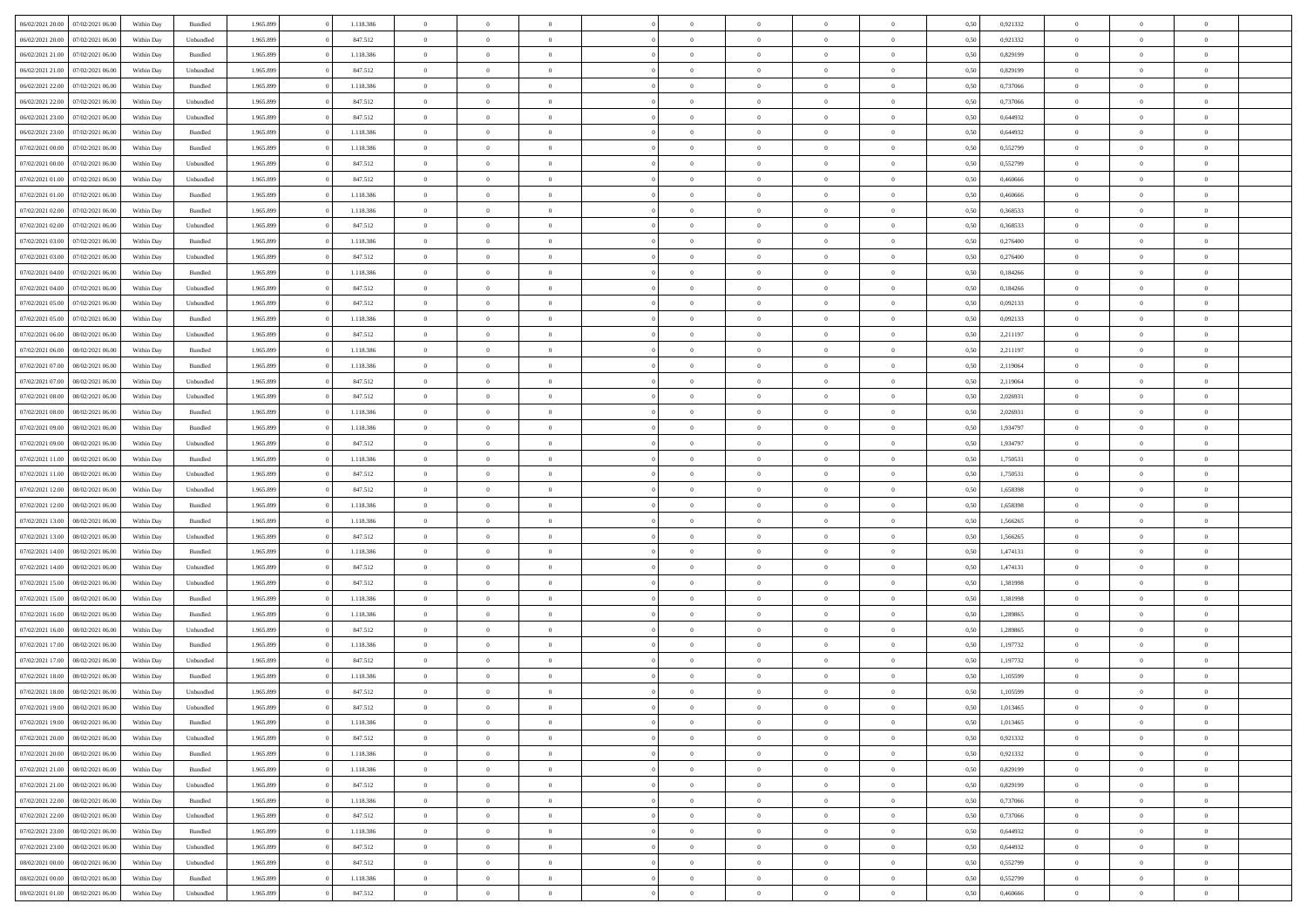|                  |                  |            |           |           |           | $\overline{0}$ |                |                |                | $\Omega$       | $\theta$       | $\theta$       |      |          | $\theta$       | $\overline{0}$ | $\theta$       |  |
|------------------|------------------|------------|-----------|-----------|-----------|----------------|----------------|----------------|----------------|----------------|----------------|----------------|------|----------|----------------|----------------|----------------|--|
| 06/02/2021 20:00 | 07/02/2021 06:00 | Within Day | Bundled   | 1.965.899 | 1.118.386 |                | $\theta$       |                | $\Omega$       |                |                |                | 0.50 | 0.921332 |                |                |                |  |
| 06/02/2021 20:00 | 07/02/2021 06:00 | Within Day | Unbundled | 1.965.899 | 847.512   | $\overline{0}$ | $\theta$       | $\overline{0}$ | $\overline{0}$ | $\bf{0}$       | $\overline{0}$ | $\bf{0}$       | 0,50 | 0,921332 | $\theta$       | $\overline{0}$ | $\overline{0}$ |  |
| 06/02/2021 21.00 | 07/02/2021 06:00 | Within Day | Bundled   | 1.965.899 | 1.118.386 | $\overline{0}$ | $\overline{0}$ | $\overline{0}$ | $\bf{0}$       | $\bf{0}$       | $\bf{0}$       | $\mathbf{0}$   | 0,50 | 0,829199 | $\bf{0}$       | $\overline{0}$ | $\bf{0}$       |  |
| 06/02/2021 21:00 | 07/02/2021 06:00 | Within Day | Unbundled | 1.965.899 | 847.512   | $\overline{0}$ | $\overline{0}$ | $\overline{0}$ | $\overline{0}$ | $\bf{0}$       | $\overline{0}$ | $\overline{0}$ | 0.50 | 0.829199 | $\theta$       | $\theta$       | $\overline{0}$ |  |
|                  |                  |            |           |           |           | $\overline{0}$ | $\theta$       | $\overline{0}$ | $\overline{0}$ | $\bf{0}$       | $\overline{0}$ |                |      |          | $\,$ 0 $\,$    | $\overline{0}$ | $\overline{0}$ |  |
| 06/02/2021 22:00 | 07/02/2021 06.00 | Within Day | Bundled   | 1.965.899 | 1.118.386 |                |                |                |                |                |                | $\bf{0}$       | 0,50 | 0,737066 |                |                |                |  |
| 06/02/2021 22.00 | 07/02/2021 06:00 | Within Day | Unbundled | 1.965.899 | 847.512   | $\overline{0}$ | $\overline{0}$ | $\overline{0}$ | $\bf{0}$       | $\overline{0}$ | $\overline{0}$ | $\mathbf{0}$   | 0,50 | 0,737066 | $\bf{0}$       | $\overline{0}$ | $\bf{0}$       |  |
| 06/02/2021 23:00 | 07/02/2021 06:00 | Within Dav | Unbundled | 1.965.899 | 847.512   | $\overline{0}$ | $\overline{0}$ | $\overline{0}$ | $\overline{0}$ | $\overline{0}$ | $\overline{0}$ | $\overline{0}$ | 0.50 | 0,644932 | $\theta$       | $\overline{0}$ | $\overline{0}$ |  |
| 06/02/2021 23:00 | 07/02/2021 06:00 | Within Day | Bundled   | 1.965.899 | 1.118.386 | $\overline{0}$ | $\theta$       | $\overline{0}$ | $\overline{0}$ | $\bf{0}$       | $\overline{0}$ | $\bf{0}$       | 0,50 | 0,644932 | $\theta$       | $\theta$       | $\overline{0}$ |  |
| 07/02/2021 00:00 | 07/02/2021 06:00 | Within Day | Bundled   | 1.965.899 | 1.118.386 | $\overline{0}$ | $\overline{0}$ | $\overline{0}$ | $\bf{0}$       | $\bf{0}$       | $\bf{0}$       | $\mathbf{0}$   | 0,50 | 0,552799 | $\,0\,$        | $\overline{0}$ | $\overline{0}$ |  |
|                  |                  |            |           |           |           |                | $\overline{0}$ |                |                | $\overline{0}$ |                |                |      |          | $\theta$       | $\overline{0}$ | $\overline{0}$ |  |
| 07/02/2021 00:00 | 07/02/2021 06:00 | Within Dav | Unbundled | 1.965.899 | 847.512   | $\overline{0}$ |                | $\overline{0}$ | $\overline{0}$ |                | $\overline{0}$ | $\overline{0}$ | 0.50 | 0,552799 |                |                |                |  |
| 07/02/2021 01:00 | 07/02/2021 06:00 | Within Day | Unbundled | 1.965.899 | 847.512   | $\overline{0}$ | $\theta$       | $\overline{0}$ | $\overline{0}$ | $\bf{0}$       | $\overline{0}$ | $\bf{0}$       | 0,50 | 0,460666 | $\,$ 0 $\,$    | $\overline{0}$ | $\overline{0}$ |  |
| 07/02/2021 01:00 | 07/02/2021 06:00 | Within Day | Bundled   | 1.965.899 | 1.118.386 | $\overline{0}$ | $\overline{0}$ | $\overline{0}$ | $\bf{0}$       | $\bf{0}$       | $\bf{0}$       | $\mathbf{0}$   | 0,50 | 0,460666 | $\overline{0}$ | $\overline{0}$ | $\bf{0}$       |  |
| 07/02/2021 02:00 | 07/02/2021 06:00 | Within Day | Bundled   | 1.965.899 | 1.118.386 | $\overline{0}$ | $\overline{0}$ | $\overline{0}$ | $\overline{0}$ | $\overline{0}$ | $\overline{0}$ | $\overline{0}$ | 0.50 | 0,368533 | $\theta$       | $\theta$       | $\overline{0}$ |  |
| 07/02/2021 02.00 | 07/02/2021 06.00 | Within Day | Unbundled | 1.965.899 | 847.512   | $\overline{0}$ | $\theta$       | $\overline{0}$ | $\overline{0}$ | $\bf{0}$       | $\overline{0}$ | $\bf{0}$       | 0,50 | 0,368533 | $\theta$       | $\overline{0}$ | $\overline{0}$ |  |
|                  |                  |            |           |           |           |                |                |                |                |                |                |                |      |          |                |                |                |  |
| 07/02/2021 03:00 | 07/02/2021 06:00 | Within Day | Bundled   | 1.965.899 | 1.118.386 | $\overline{0}$ | $\overline{0}$ | $\overline{0}$ | $\bf{0}$       | $\overline{0}$ | $\overline{0}$ | $\mathbf{0}$   | 0,50 | 0,276400 | $\overline{0}$ | $\overline{0}$ | $\bf{0}$       |  |
| 07/02/2021 03:00 | 07/02/2021 06:00 | Within Dav | Unbundled | 1.965.899 | 847.512   | $\overline{0}$ | $\overline{0}$ | $\overline{0}$ | $\overline{0}$ | $\overline{0}$ | $\overline{0}$ | $\overline{0}$ | 0.50 | 0,276400 | $\overline{0}$ | $\overline{0}$ | $\overline{0}$ |  |
| 07/02/2021 04:00 | 07/02/2021 06:00 | Within Day | Bundled   | 1.965.899 | 1.118.386 | $\overline{0}$ | $\theta$       | $\overline{0}$ | $\overline{0}$ | $\bf{0}$       | $\overline{0}$ | $\bf{0}$       | 0,50 | 0,184266 | $\,$ 0 $\,$    | $\overline{0}$ | $\overline{0}$ |  |
| 07/02/2021 04:00 | 07/02/2021 06:00 | Within Day | Unbundled | 1.965.899 | 847.512   | $\overline{0}$ | $\overline{0}$ | $\overline{0}$ | $\bf{0}$       | $\bf{0}$       | $\bf{0}$       | $\mathbf{0}$   | 0,50 | 0,184266 | $\overline{0}$ | $\overline{0}$ | $\bf{0}$       |  |
| 07/02/2021 05:00 | 07/02/2021 06:00 | Within Day | Unbundled | 1.965.899 | 847.512   | $\overline{0}$ | $\overline{0}$ | $\overline{0}$ | $\overline{0}$ | $\overline{0}$ | $\overline{0}$ | $\overline{0}$ | 0.50 | 0,092133 | $\theta$       | $\overline{0}$ | $\overline{0}$ |  |
| 07/02/2021 05:00 | 07/02/2021 06:00 | Within Day | Bundled   | 1.965.899 | 1.118.386 | $\overline{0}$ | $\theta$       | $\overline{0}$ | $\overline{0}$ | $\bf{0}$       | $\overline{0}$ | $\bf{0}$       | 0,50 | 0,092133 | $\,$ 0 $\,$    | $\overline{0}$ | $\overline{0}$ |  |
|                  |                  |            |           |           |           |                |                |                |                |                |                |                |      |          |                |                |                |  |
| 07/02/2021 06:00 | 08/02/2021 06:00 | Within Day | Unbundled | 1.965.899 | 847.512   | $\overline{0}$ | $\overline{0}$ | $\overline{0}$ | $\bf{0}$       | $\bf{0}$       | $\bf{0}$       | $\mathbf{0}$   | 0,50 | 2,211197 | $\overline{0}$ | $\overline{0}$ | $\bf{0}$       |  |
| 07/02/2021 06:00 | 08/02/2021 06:00 | Within Day | Bundled   | 1.965.899 | 1.118.386 | $\overline{0}$ | $\overline{0}$ | $\overline{0}$ | $\overline{0}$ | $\overline{0}$ | $\overline{0}$ | $\overline{0}$ | 0.50 | 2,211197 | $\overline{0}$ | $\overline{0}$ | $\overline{0}$ |  |
| 07/02/2021 07:00 | 08/02/2021 06:00 | Within Day | Bundled   | 1.965.899 | 1.118.386 | $\overline{0}$ | $\theta$       | $\overline{0}$ | $\overline{0}$ | $\bf{0}$       | $\overline{0}$ | $\,$ 0 $\,$    | 0,50 | 2,119064 | $\,$ 0 $\,$    | $\overline{0}$ | $\overline{0}$ |  |
| 07/02/2021 07:00 | 08/02/2021 06:00 | Within Day | Unbundled | 1.965.899 | 847.512   | $\overline{0}$ | $\overline{0}$ | $\overline{0}$ | $\bf{0}$       | $\overline{0}$ | $\overline{0}$ | $\mathbf{0}$   | 0,50 | 2,119064 | $\overline{0}$ | $\overline{0}$ | $\bf{0}$       |  |
| 07/02/2021 08:00 | 08/02/2021 06:00 | Within Dav | Unbundled | 1.965.899 | 847.512   | $\overline{0}$ | $\overline{0}$ | $\overline{0}$ | $\overline{0}$ | $\overline{0}$ | $\overline{0}$ | $\overline{0}$ | 0.50 | 2,026931 | $\theta$       | $\overline{0}$ | $\overline{0}$ |  |
| 07/02/2021 08:00 | 08/02/2021 06:00 | Within Day | Bundled   | 1.965.899 | 1.118.386 | $\overline{0}$ | $\theta$       | $\overline{0}$ | $\overline{0}$ | $\bf{0}$       | $\overline{0}$ | $\bf{0}$       | 0,50 | 2,026931 | $\,$ 0 $\,$    | $\overline{0}$ | $\overline{0}$ |  |
|                  | 08/02/2021 06:00 | Within Day | Bundled   | 1.965.899 | 1.118.386 | $\overline{0}$ | $\overline{0}$ | $\overline{0}$ | $\bf{0}$       | $\bf{0}$       | $\bf{0}$       | $\mathbf{0}$   | 0,50 | 1,934797 | $\,0\,$        | $\overline{0}$ | $\overline{0}$ |  |
| 07/02/2021 09:00 |                  |            |           |           |           |                |                |                |                |                |                |                |      |          |                |                |                |  |
| 07/02/2021 09:00 | 08/02/2021 06:00 | Within Day | Unbundled | 1.965.899 | 847.512   | $\overline{0}$ | $\overline{0}$ | $\overline{0}$ | $\overline{0}$ | $\overline{0}$ | $\overline{0}$ | $\overline{0}$ | 0.50 | 1,934797 | $\theta$       | $\overline{0}$ | $\overline{0}$ |  |
| 07/02/2021 11:00 | 08/02/2021 06:00 | Within Day | Bundled   | 1.965.899 | 1.118.386 | $\overline{0}$ | $\overline{0}$ | $\overline{0}$ | $\overline{0}$ | $\,$ 0         | $\overline{0}$ | $\bf{0}$       | 0,50 | 1,750531 | $\,$ 0 $\,$    | $\overline{0}$ | $\overline{0}$ |  |
| 07/02/2021 11:00 | 08/02/2021 06:00 | Within Day | Unbundled | 1.965.899 | 847.512   | $\overline{0}$ | $\overline{0}$ | $\overline{0}$ | $\bf{0}$       | $\overline{0}$ | $\bf{0}$       | $\mathbf{0}$   | 0,50 | 1,750531 | $\bf{0}$       | $\overline{0}$ | $\bf{0}$       |  |
| 07/02/2021 12:00 | 08/02/2021 06:00 | Within Day | Unbundled | 1.965.899 | 847.512   | $\bf{0}$       | $\theta$       | $\overline{0}$ | $\Omega$       | $\overline{0}$ | $\overline{0}$ | $\overline{0}$ | 0,50 | 1,658398 | $\,0\,$        | $\theta$       | $\theta$       |  |
| 07/02/2021 12:00 | 08/02/2021 06:00 | Within Day | Bundled   | 1.965.899 | 1.118.386 | $\overline{0}$ | $\overline{0}$ | $\overline{0}$ | $\overline{0}$ | $\bf{0}$       | $\overline{0}$ | $\bf{0}$       | 0,50 | 1,658398 | $\,$ 0 $\,$    | $\overline{0}$ | $\overline{0}$ |  |
| 07/02/2021 13:00 | 08/02/2021 06:00 | Within Day | Bundled   | 1.965.899 | 1.118.386 | $\overline{0}$ | $\overline{0}$ | $\overline{0}$ | $\bf{0}$       | $\overline{0}$ | $\overline{0}$ | $\mathbf{0}$   | 0,50 | 1,566265 | $\bf{0}$       | $\overline{0}$ | $\bf{0}$       |  |
|                  |                  |            |           |           |           |                |                |                |                |                |                |                |      |          |                |                |                |  |
| 07/02/2021 13:00 | 08/02/2021 06:00 | Within Day | Unbundled | 1.965.899 | 847.512   | $\overline{0}$ | $\overline{0}$ | $\overline{0}$ | $\Omega$       | $\overline{0}$ | $\overline{0}$ | $\overline{0}$ | 0.50 | 1,566265 | $\,0\,$        | $\theta$       | $\theta$       |  |
| 07/02/2021 14:00 | 08/02/2021 06:00 | Within Day | Bundled   | 1.965.899 | 1.118.386 | $\overline{0}$ | $\theta$       | $\overline{0}$ | $\overline{0}$ | $\bf{0}$       | $\overline{0}$ | $\bf{0}$       | 0,50 | 1,474131 | $\,$ 0 $\,$    | $\overline{0}$ | $\overline{0}$ |  |
| 07/02/2021 14:00 | 08/02/2021 06:00 | Within Day | Unbundled | 1.965.899 | 847.512   | $\overline{0}$ | $\bf{0}$       | $\overline{0}$ | $\bf{0}$       | $\bf{0}$       | $\bf{0}$       | $\mathbf{0}$   | 0,50 | 1,474131 | $\bf{0}$       | $\overline{0}$ | $\bf{0}$       |  |
| 07/02/2021 15:00 | 08/02/2021 06:00 | Within Day | Unbundled | 1.965.899 | 847.512   | $\overline{0}$ | $\overline{0}$ | $\overline{0}$ | $\Omega$       | $\overline{0}$ | $\overline{0}$ | $\overline{0}$ | 0.50 | 1,381998 | $\,$ 0 $\,$    | $\theta$       | $\theta$       |  |
| 07/02/2021 15:00 | 08/02/2021 06:00 | Within Day | Bundled   | 1.965.899 | 1.118.386 | $\overline{0}$ | $\,$ 0         | $\overline{0}$ | $\overline{0}$ | $\,$ 0         | $\overline{0}$ | $\bf{0}$       | 0,50 | 1,381998 | $\,$ 0 $\,$    | $\overline{0}$ | $\overline{0}$ |  |
| 07/02/2021 16:00 | 08/02/2021 06:00 | Within Day | Bundled   | 1.965.899 | 1.118.386 | $\overline{0}$ | $\overline{0}$ | $\overline{0}$ | $\bf{0}$       | $\bf{0}$       | $\overline{0}$ | $\mathbf{0}$   | 0,50 | 1,289865 | $\bf{0}$       | $\overline{0}$ | $\bf{0}$       |  |
|                  |                  |            |           |           |           |                |                |                |                |                |                |                |      |          |                |                |                |  |
| 07/02/2021 16:00 | 08/02/2021 06:00 | Within Day | Unbundled | 1.965.899 | 847.512   | $\overline{0}$ | $\theta$       | $\overline{0}$ | $\Omega$       | $\bf{0}$       | $\overline{0}$ | $\overline{0}$ | 0,50 | 1,289865 | $\,0\,$        | $\theta$       | $\overline{0}$ |  |
| 07/02/2021 17:00 | 08/02/2021 06:00 | Within Day | Bundled   | 1.965.899 | 1.118.386 | $\overline{0}$ | $\overline{0}$ | $\overline{0}$ | $\overline{0}$ | $\,$ 0         | $\overline{0}$ | $\bf{0}$       | 0,50 | 1,197732 | $\,$ 0 $\,$    | $\overline{0}$ | $\overline{0}$ |  |
| 07/02/2021 17:00 | 08/02/2021 06:00 | Within Day | Unbundled | 1.965.899 | 847.512   | $\overline{0}$ | $\overline{0}$ | $\overline{0}$ | $\bf{0}$       | $\bf{0}$       | $\overline{0}$ | $\mathbf{0}$   | 0,50 | 1,197732 | $\bf{0}$       | $\overline{0}$ | $\bf{0}$       |  |
| 07/02/2021 18:00 | 08/02/2021 06:00 | Within Day | Bundled   | 1.965.899 | 1.118.386 | $\overline{0}$ | $\Omega$       | $\Omega$       | $\Omega$       | $\Omega$       | $\overline{0}$ | $\overline{0}$ | 0.50 | 1,105599 | $\theta$       | $\theta$       | $\theta$       |  |
| 07/02/2021 18:00 | 08/02/2021 06:00 | Within Day | Unbundled | 1.965.899 | 847.512   | $\overline{0}$ | $\overline{0}$ | $\overline{0}$ | $\bf{0}$       | $\,$ 0         | $\bf{0}$       | $\bf{0}$       | 0,50 | 1,105599 | $\,0\,$        | $\,$ 0 $\,$    | $\overline{0}$ |  |
| 07/02/2021 19:00 | 08/02/2021 06:00 | Within Day | Unbundled | 1.965.899 | 847.512   | $\bf{0}$       | $\bf{0}$       |                |                | $\bf{0}$       |                |                | 0,50 | 1,013465 | $\bf{0}$       | $\overline{0}$ |                |  |
| 07/02/2021 19:00 | 08/02/2021 06:00 |            | Bundled   | 1.965.899 | 1.118.386 | $\overline{0}$ | $\overline{0}$ | $\overline{0}$ | $\Omega$       | $\overline{0}$ | $\overline{0}$ | $\overline{0}$ |      | 1.013465 | $\theta$       | $\theta$       | $\theta$       |  |
|                  |                  | Within Day |           |           |           |                |                |                |                |                |                |                | 0,50 |          |                |                |                |  |
| 07/02/2021 20:00 | 08/02/2021 06:00 | Within Day | Unbundled | 1.965.899 | 847.512   | $\overline{0}$ | $\bf{0}$       | $\overline{0}$ | $\bf{0}$       | $\,$ 0 $\,$    | $\overline{0}$ | $\mathbf{0}$   | 0,50 | 0,921332 | $\,$ 0 $\,$    | $\,$ 0 $\,$    | $\,$ 0         |  |
| 07/02/2021 20:00 | 08/02/2021 06:00 | Within Day | Bundled   | 1.965.899 | 1.118.386 | $\overline{0}$ | $\overline{0}$ | $\overline{0}$ | $\overline{0}$ | $\overline{0}$ | $\overline{0}$ | $\mathbf{0}$   | 0,50 | 0,921332 | $\overline{0}$ | $\bf{0}$       | $\overline{0}$ |  |
| 07/02/2021 21:00 | 08/02/2021 06:00 | Within Day | Bundled   | 1.965.899 | 1.118.386 | $\overline{0}$ | $\overline{0}$ | $\overline{0}$ | $\Omega$       | $\overline{0}$ | $\overline{0}$ | $\overline{0}$ | 0,50 | 0,829199 | $\overline{0}$ | $\overline{0}$ | $\overline{0}$ |  |
| 07/02/2021 21:00 | 08/02/2021 06:00 | Within Day | Unbundled | 1.965.899 | 847.512   | $\overline{0}$ | $\,$ 0         | $\overline{0}$ | $\bf{0}$       | $\,$ 0 $\,$    | $\overline{0}$ | $\mathbf{0}$   | 0,50 | 0,829199 | $\,$ 0 $\,$    | $\overline{0}$ | $\overline{0}$ |  |
| 07/02/2021 22.00 | 08/02/2021 06:00 | Within Day | Bundled   | 1.965.899 | 1.118.386 | $\overline{0}$ | $\overline{0}$ | $\overline{0}$ | $\overline{0}$ | $\overline{0}$ | $\overline{0}$ | $\mathbf{0}$   | 0,50 | 0,737066 | $\overline{0}$ | $\overline{0}$ | $\bf{0}$       |  |
| 07/02/2021 22:00 | 08/02/2021 06:00 | Within Day | Unbundled | 1.965.899 | 847.512   | $\overline{0}$ | $\overline{0}$ | $\overline{0}$ | $\overline{0}$ | $\overline{0}$ | $\overline{0}$ | $\overline{0}$ | 0.50 | 0,737066 | $\overline{0}$ | $\theta$       | $\overline{0}$ |  |
| 07/02/2021 23:00 | 08/02/2021 06:00 | Within Day | Bundled   | 1.965.899 | 1.118.386 | $\overline{0}$ | $\,$ 0         | $\overline{0}$ | $\bf{0}$       | $\bf{0}$       | $\bf{0}$       | $\bf{0}$       | 0,50 | 0,644932 | $\,$ 0 $\,$    | $\overline{0}$ | $\overline{0}$ |  |
|                  |                  |            |           |           |           |                |                |                |                |                |                |                |      |          |                |                |                |  |
| 07/02/2021 23.00 | 08/02/2021 06:00 | Within Day | Unbundled | 1.965.899 | 847.512   | $\overline{0}$ | $\bf{0}$       | $\overline{0}$ | $\overline{0}$ | $\overline{0}$ | $\overline{0}$ | $\mathbf{0}$   | 0,50 | 0,644932 | $\overline{0}$ | $\overline{0}$ | $\bf{0}$       |  |
| 08/02/2021 00:00 | 08/02/2021 06:00 | Within Day | Unbundled | 1.965.899 | 847.512   | $\overline{0}$ | $\overline{0}$ | $\overline{0}$ | $\Omega$       | $\overline{0}$ | $\overline{0}$ | $\overline{0}$ | 0.50 | 0,552799 | $\overline{0}$ | $\overline{0}$ | $\overline{0}$ |  |
| 08/02/2021 00:00 | 08/02/2021 06:00 | Within Day | Bundled   | 1.965.899 | 1.118.386 | $\overline{0}$ | $\bf{0}$       | $\overline{0}$ | $\bf{0}$       | $\bf{0}$       | $\bf{0}$       | $\mathbf{0}$   | 0,50 | 0,552799 | $\,$ 0 $\,$    | $\,$ 0 $\,$    | $\bf{0}$       |  |
| 08/02/2021 01:00 | 08/02/2021 06:00 | Within Day | Unbundled | 1.965.899 | 847.512   | $\overline{0}$ | $\overline{0}$ | $\overline{0}$ | $\overline{0}$ | $\overline{0}$ | $\bf{0}$       | $\mathbf{0}$   | 0,50 | 0,460666 | $\overline{0}$ | $\bf{0}$       | $\overline{0}$ |  |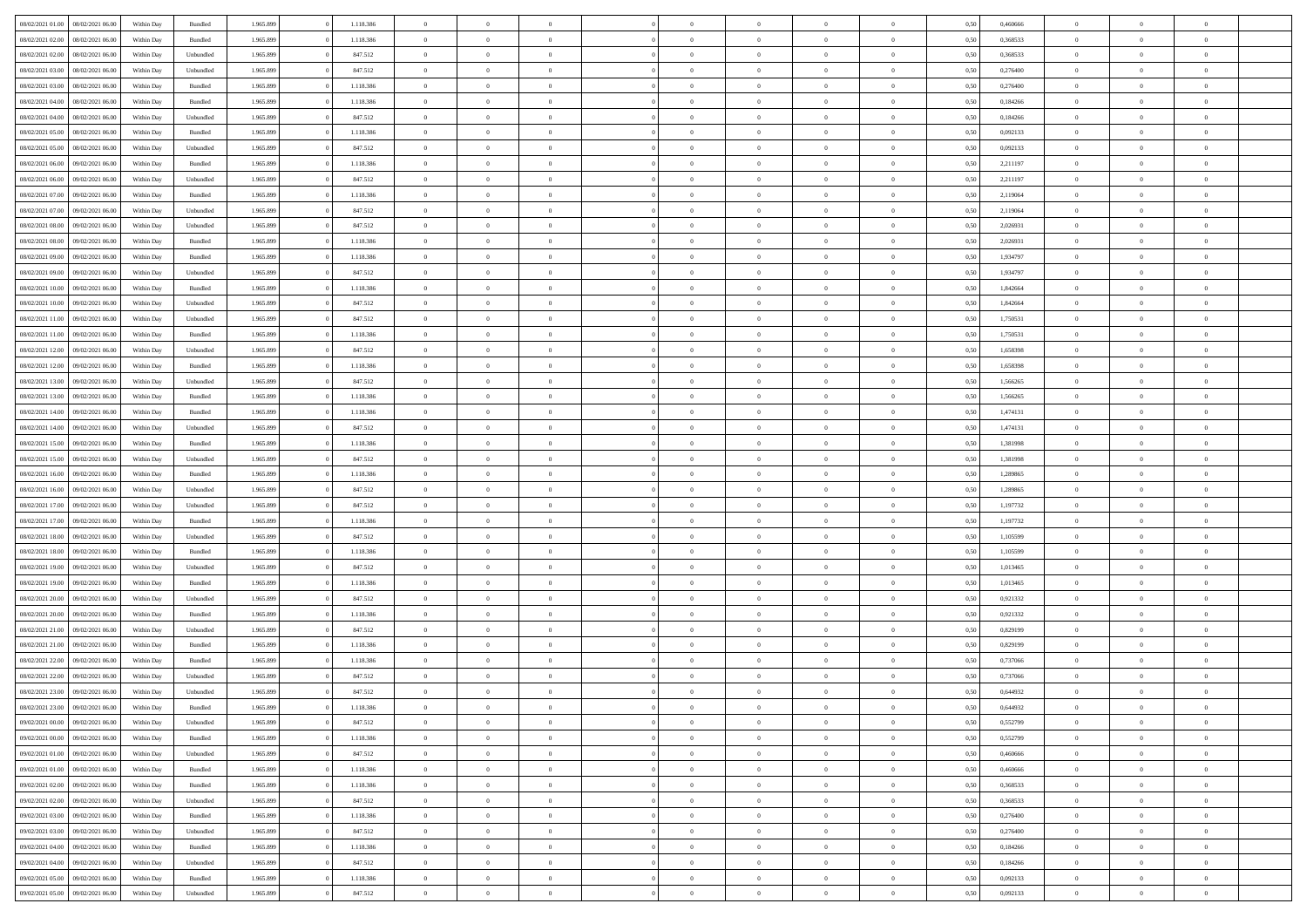| 08/02/2021 01:00 | 08/02/2021 06:00 | Within Day | Bundled   | 1.965.899 | 1.118.386 | $\overline{0}$ | $\Omega$       |                | $\Omega$       | $\Omega$       | $\theta$       | $\theta$       | 0,50 | 0,460666 | $\theta$       | $\theta$       | $\theta$       |  |
|------------------|------------------|------------|-----------|-----------|-----------|----------------|----------------|----------------|----------------|----------------|----------------|----------------|------|----------|----------------|----------------|----------------|--|
|                  |                  |            |           |           |           |                |                |                |                |                |                |                |      |          |                |                |                |  |
| 08/02/2021 02:00 | 08/02/2021 06:00 | Within Day | Bundled   | 1.965.899 | 1.118.386 | $\overline{0}$ | $\theta$       | $\overline{0}$ | $\overline{0}$ | $\bf{0}$       | $\overline{0}$ | $\bf{0}$       | 0,50 | 0,368533 | $\theta$       | $\theta$       | $\overline{0}$ |  |
| 08/02/2021 02:00 | 08/02/2021 06:00 | Within Day | Unbundled | 1.965.899 | 847.512   | $\overline{0}$ | $\overline{0}$ | $\overline{0}$ | $\bf{0}$       | $\bf{0}$       | $\bf{0}$       | $\mathbf{0}$   | 0,50 | 0,368533 | $\bf{0}$       | $\overline{0}$ | $\overline{0}$ |  |
| 08/02/2021 03:00 | 08/02/2021 06:00 | Within Dav | Unbundled | 1.965.899 | 847.512   | $\overline{0}$ | $\overline{0}$ | $\overline{0}$ | $\overline{0}$ | $\bf{0}$       | $\overline{0}$ | $\overline{0}$ | 0.50 | 0.276400 | $\theta$       | $\theta$       | $\overline{0}$ |  |
| 08/02/2021 03:00 | 08/02/2021 06:00 | Within Day | Bundled   | 1.965.899 | 1.118.386 | $\overline{0}$ | $\theta$       | $\overline{0}$ | $\overline{0}$ | $\bf{0}$       | $\overline{0}$ | $\bf{0}$       | 0,50 | 0,276400 | $\theta$       | $\overline{0}$ | $\overline{0}$ |  |
| 08/02/2021 04:00 | 08/02/2021 06:00 | Within Day | Bundled   | 1.965.899 | 1.118.386 | $\overline{0}$ | $\overline{0}$ | $\overline{0}$ | $\bf{0}$       | $\overline{0}$ | $\overline{0}$ | $\mathbf{0}$   | 0,50 | 0,184266 | $\bf{0}$       | $\overline{0}$ | $\bf{0}$       |  |
| 08/02/2021 04:00 | 08/02/2021 06:00 | Within Dav | Unbundled | 1.965.899 | 847.512   | $\overline{0}$ | $\overline{0}$ | $\overline{0}$ | $\overline{0}$ | $\overline{0}$ | $\overline{0}$ | $\overline{0}$ | 0.50 | 0,184266 | $\theta$       | $\overline{0}$ | $\overline{0}$ |  |
|                  |                  |            |           |           |           |                |                |                |                |                |                |                |      |          |                |                |                |  |
| 08/02/2021 05:00 | 08/02/2021 06:00 | Within Day | Bundled   | 1.965.899 | 1.118.386 | $\overline{0}$ | $\theta$       | $\overline{0}$ | $\overline{0}$ | $\bf{0}$       | $\overline{0}$ | $\bf{0}$       | 0,50 | 0,092133 | $\theta$       | $\theta$       | $\overline{0}$ |  |
| 08/02/2021 05:00 | 08/02/2021 06:00 | Within Day | Unbundled | 1.965.899 | 847.512   | $\overline{0}$ | $\overline{0}$ | $\overline{0}$ | $\bf{0}$       | $\bf{0}$       | $\bf{0}$       | $\mathbf{0}$   | 0,50 | 0,092133 | $\,0\,$        | $\overline{0}$ | $\overline{0}$ |  |
| 08/02/2021 06:00 | 09/02/2021 06:00 | Within Dav | Bundled   | 1.965.899 | 1.118.386 | $\overline{0}$ | $\overline{0}$ | $\overline{0}$ | $\overline{0}$ | $\overline{0}$ | $\overline{0}$ | $\overline{0}$ | 0.50 | 2,211197 | $\theta$       | $\overline{0}$ | $\overline{0}$ |  |
| 08/02/2021 06:00 | 09/02/2021 06:00 | Within Day | Unbundled | 1.965.899 | 847.512   | $\overline{0}$ | $\theta$       | $\overline{0}$ | $\overline{0}$ | $\bf{0}$       | $\overline{0}$ | $\bf{0}$       | 0,50 | 2,211197 | $\,$ 0 $\,$    | $\overline{0}$ | $\overline{0}$ |  |
| 08/02/2021 07:00 | 09/02/2021 06:00 | Within Day | Bundled   | 1.965.899 | 1.118.386 | $\overline{0}$ | $\bf{0}$       | $\overline{0}$ | $\bf{0}$       | $\bf{0}$       | $\bf{0}$       | $\mathbf{0}$   | 0,50 | 2,119064 | $\bf{0}$       | $\overline{0}$ | $\bf{0}$       |  |
| 08/02/2021 07:00 | 09/02/2021 06:00 | Within Day | Unbundled | 1.965.899 | 847.512   | $\overline{0}$ | $\overline{0}$ | $\overline{0}$ | $\overline{0}$ | $\bf{0}$       | $\overline{0}$ | $\overline{0}$ | 0.50 | 2.119064 | $\theta$       | $\theta$       | $\overline{0}$ |  |
| 08/02/2021 08:00 | 09/02/2021 06:00 | Within Day | Unbundled | 1.965.899 | 847.512   | $\overline{0}$ | $\theta$       | $\overline{0}$ | $\overline{0}$ | $\bf{0}$       | $\overline{0}$ | $\bf{0}$       | 0,50 | 2,026931 | $\theta$       | $\overline{0}$ | $\overline{0}$ |  |
|                  |                  |            |           |           |           |                |                |                |                |                |                |                |      |          |                |                |                |  |
| 08/02/2021 08:00 | 09/02/2021 06:00 | Within Day | Bundled   | 1.965.899 | 1.118.386 | $\overline{0}$ | $\overline{0}$ | $\overline{0}$ | $\bf{0}$       | $\overline{0}$ | $\overline{0}$ | $\mathbf{0}$   | 0,50 | 2,026931 | $\overline{0}$ | $\overline{0}$ | $\bf{0}$       |  |
| 08/02/2021 09:00 | 09/02/2021 06:00 | Within Dav | Bundled   | 1.965.899 | 1.118.386 | $\overline{0}$ | $\overline{0}$ | $\overline{0}$ | $\overline{0}$ | $\overline{0}$ | $\overline{0}$ | $\overline{0}$ | 0.50 | 1,934797 | $\theta$       | $\overline{0}$ | $\overline{0}$ |  |
| 08/02/2021 09:00 | 09/02/2021 06:00 | Within Day | Unbundled | 1.965.899 | 847.512   | $\overline{0}$ | $\theta$       | $\overline{0}$ | $\overline{0}$ | $\bf{0}$       | $\overline{0}$ | $\bf{0}$       | 0,50 | 1,934797 | $\,$ 0 $\,$    | $\theta$       | $\overline{0}$ |  |
| 08/02/2021 10:00 | 09/02/2021 06:00 | Within Day | Bundled   | 1.965.899 | 1.118.386 | $\overline{0}$ | $\overline{0}$ | $\overline{0}$ | $\bf{0}$       | $\bf{0}$       | $\bf{0}$       | $\mathbf{0}$   | 0,50 | 1,842664 | $\bf{0}$       | $\overline{0}$ | $\overline{0}$ |  |
| 08/02/2021 10:00 | 09/02/2021 06:00 | Within Day | Unbundled | 1.965.899 | 847.512   | $\overline{0}$ | $\overline{0}$ | $\overline{0}$ | $\overline{0}$ | $\overline{0}$ | $\overline{0}$ | $\overline{0}$ | 0.50 | 1,842664 | $\theta$       | $\overline{0}$ | $\overline{0}$ |  |
| 08/02/2021 11:00 | 09/02/2021 06:00 | Within Day | Unbundled | 1.965.899 | 847.512   | $\overline{0}$ | $\theta$       | $\overline{0}$ | $\overline{0}$ | $\bf{0}$       | $\overline{0}$ | $\bf{0}$       | 0,50 | 1,750531 | $\,$ 0 $\,$    | $\overline{0}$ | $\overline{0}$ |  |
| 08/02/2021 11:00 | 09/02/2021 06:00 | Within Day | Bundled   | 1.965.899 | 1.118.386 | $\overline{0}$ | $\overline{0}$ | $\overline{0}$ | $\bf{0}$       | $\bf{0}$       | $\bf{0}$       | $\mathbf{0}$   | 0,50 | 1,750531 | $\overline{0}$ | $\overline{0}$ | $\overline{0}$ |  |
| 08/02/2021 12:00 | 09/02/2021 06:00 | Within Day | Unbundled | 1.965.899 | 847.512   | $\overline{0}$ | $\overline{0}$ | $\overline{0}$ | $\overline{0}$ | $\overline{0}$ | $\overline{0}$ | $\overline{0}$ | 0.50 | 1,658398 | $\theta$       | $\overline{0}$ | $\overline{0}$ |  |
|                  |                  |            |           |           |           |                |                |                |                |                |                |                |      |          |                |                |                |  |
| 08/02/2021 12:00 | 09/02/2021 06:00 | Within Day | Bundled   | 1.965.899 | 1.118.386 | $\overline{0}$ | $\theta$       | $\overline{0}$ | $\overline{0}$ | $\bf{0}$       | $\overline{0}$ | $\bf{0}$       | 0,50 | 1,658398 | $\,$ 0 $\,$    | $\overline{0}$ | $\overline{0}$ |  |
| 08/02/2021 13:00 | 09/02/2021 06:00 | Within Day | Unbundled | 1.965.899 | 847.512   | $\overline{0}$ | $\overline{0}$ | $\overline{0}$ | $\bf{0}$       | $\overline{0}$ | $\overline{0}$ | $\mathbf{0}$   | 0,50 | 1,566265 | $\bf{0}$       | $\overline{0}$ | $\bf{0}$       |  |
| 08/02/2021 13:00 | 09/02/2021 06:00 | Within Dav | Bundled   | 1.965.899 | 1.118.386 | $\overline{0}$ | $\overline{0}$ | $\overline{0}$ | $\overline{0}$ | $\overline{0}$ | $\overline{0}$ | $\overline{0}$ | 0.50 | 1,566265 | $\overline{0}$ | $\overline{0}$ | $\overline{0}$ |  |
| 08/02/2021 14:00 | 09/02/2021 06:00 | Within Day | Bundled   | 1.965.899 | 1.118.386 | $\overline{0}$ | $\theta$       | $\overline{0}$ | $\overline{0}$ | $\bf{0}$       | $\overline{0}$ | $\bf{0}$       | 0,50 | 1,474131 | $\,$ 0 $\,$    | $\theta$       | $\overline{0}$ |  |
| 08/02/2021 14:00 | 09/02/2021 06:00 | Within Day | Unbundled | 1.965.899 | 847.512   | $\overline{0}$ | $\overline{0}$ | $\overline{0}$ | $\bf{0}$       | $\bf{0}$       | $\bf{0}$       | $\mathbf{0}$   | 0,50 | 1,474131 | $\,0\,$        | $\overline{0}$ | $\overline{0}$ |  |
| 08/02/2021 15:00 | 09/02/2021 06:00 | Within Day | Bundled   | 1.965.899 | 1.118.386 | $\overline{0}$ | $\overline{0}$ | $\overline{0}$ | $\overline{0}$ | $\overline{0}$ | $\overline{0}$ | $\overline{0}$ | 0.50 | 1,381998 | $\theta$       | $\overline{0}$ | $\overline{0}$ |  |
| 08/02/2021 15:00 | 09/02/2021 06:00 | Within Day | Unbundled | 1.965.899 | 847.512   | $\overline{0}$ | $\theta$       | $\overline{0}$ | $\overline{0}$ | $\bf{0}$       | $\overline{0}$ | $\bf{0}$       | 0,50 | 1,381998 | $\,$ 0 $\,$    | $\overline{0}$ | $\overline{0}$ |  |
|                  |                  |            |           |           |           |                |                |                |                |                |                |                |      |          |                |                |                |  |
| 08/02/2021 16:00 | 09/02/2021 06:00 | Within Day | Bundled   | 1.965.899 | 1.118.386 | $\overline{0}$ | $\overline{0}$ | $\overline{0}$ | $\bf{0}$       | $\bf{0}$       | $\bf{0}$       | $\bf{0}$       | 0,50 | 1,289865 | $\bf{0}$       | $\overline{0}$ | $\overline{0}$ |  |
| 08/02/2021 16:00 | 09/02/2021 06:00 | Within Day | Unbundled | 1.965.899 | 847.512   | $\bf{0}$       | $\Omega$       | $\overline{0}$ | $\Omega$       | $\Omega$       | $\overline{0}$ | $\overline{0}$ | 0,50 | 1,289865 | $\,0\,$        | $\theta$       | $\theta$       |  |
| 08/02/2021 17:00 | 09/02/2021 06:00 | Within Day | Unbundled | 1.965.899 | 847.512   | $\overline{0}$ | $\theta$       | $\overline{0}$ | $\overline{0}$ | $\bf{0}$       | $\overline{0}$ | $\bf{0}$       | 0,50 | 1,197732 | $\,$ 0 $\,$    | $\theta$       | $\overline{0}$ |  |
| 08/02/2021 17:00 | 09/02/2021 06:00 | Within Day | Bundled   | 1.965.899 | 1.118.386 | $\overline{0}$ | $\overline{0}$ | $\overline{0}$ | $\bf{0}$       | $\bf{0}$       | $\overline{0}$ | $\mathbf{0}$   | 0,50 | 1,197732 | $\bf{0}$       | $\overline{0}$ | $\bf{0}$       |  |
| 08/02/2021 18:00 | 09/02/2021 06:00 | Within Day | Unbundled | 1.965.899 | 847.512   | $\overline{0}$ | $\Omega$       | $\overline{0}$ | $\Omega$       | $\overline{0}$ | $\overline{0}$ | $\overline{0}$ | 0.50 | 1,105599 | $\,0\,$        | $\theta$       | $\theta$       |  |
| 08/02/2021 18:00 | 09/02/2021 06:00 | Within Day | Bundled   | 1.965.899 | 1.118.386 | $\overline{0}$ | $\theta$       | $\overline{0}$ | $\overline{0}$ | $\bf{0}$       | $\overline{0}$ | $\bf{0}$       | 0,50 | 1,105599 | $\,$ 0 $\,$    | $\overline{0}$ | $\overline{0}$ |  |
| 08/02/2021 19:00 | 09/02/2021 06:00 | Within Day | Unbundled | 1.965.899 | 847.512   | $\overline{0}$ | $\overline{0}$ | $\overline{0}$ | $\bf{0}$       | $\bf{0}$       | $\bf{0}$       | $\mathbf{0}$   | 0,50 | 1,013465 | $\bf{0}$       | $\overline{0}$ | $\overline{0}$ |  |
| 08/02/2021 19:00 | 09/02/2021 06:00 | Within Day | Bundled   | 1.965.899 | 1.118.386 | $\overline{0}$ | $\Omega$       | $\overline{0}$ | $\Omega$       | $\overline{0}$ | $\overline{0}$ | $\overline{0}$ | 0.50 | 1,013465 | $\,$ 0 $\,$    | $\theta$       | $\theta$       |  |
| 08/02/2021 20:00 | 09/02/2021 06:00 | Within Day | Unbundled | 1.965.899 | 847.512   | $\overline{0}$ | $\theta$       | $\overline{0}$ | $\overline{0}$ | $\,$ 0         | $\overline{0}$ | $\bf{0}$       | 0,50 | 0,921332 | $\,$ 0 $\,$    | $\overline{0}$ | $\overline{0}$ |  |
|                  |                  |            |           |           |           |                |                |                |                |                |                |                |      |          |                |                |                |  |
| 08/02/2021 20:00 | 09/02/2021 06:00 | Within Day | Bundled   | 1.965.899 | 1.118.386 | $\overline{0}$ | $\overline{0}$ | $\overline{0}$ | $\bf{0}$       | $\bf{0}$       | $\bf{0}$       | $\mathbf{0}$   | 0,50 | 0,921332 | $\overline{0}$ | $\overline{0}$ | $\overline{0}$ |  |
| 08/02/2021 21:00 | 09/02/2021 06:00 | Within Day | Unbundled | 1.965.899 | 847.512   | $\overline{0}$ | $\Omega$       | $\overline{0}$ | $\Omega$       | $\overline{0}$ | $\overline{0}$ | $\overline{0}$ | 0,50 | 0,829199 | $\,0\,$        | $\theta$       | $\theta$       |  |
| 08/02/2021 21:00 | 09/02/2021 06:00 | Within Day | Bundled   | 1.965.899 | 1.118.386 | $\overline{0}$ | $\overline{0}$ | $\overline{0}$ | $\overline{0}$ | $\,$ 0         | $\overline{0}$ | $\bf{0}$       | 0,50 | 0,829199 | $\,$ 0 $\,$    | $\overline{0}$ | $\overline{0}$ |  |
| 08/02/2021 22.00 | 09/02/2021 06:00 | Within Day | Bundled   | 1.965.899 | 1.118.386 | $\overline{0}$ | $\bf{0}$       | $\overline{0}$ | $\bf{0}$       | $\bf{0}$       | $\overline{0}$ | $\mathbf{0}$   | 0,50 | 0,737066 | $\overline{0}$ | $\overline{0}$ | $\bf{0}$       |  |
| 08/02/2021 22:00 | 09/02/2021 06:00 | Within Day | Unbundled | 1.965.899 | 847.512   | $\overline{0}$ | $\Omega$       | $\Omega$       | $\Omega$       | $\Omega$       | $\Omega$       | $\overline{0}$ | 0.50 | 0,737066 | $\theta$       | $\theta$       | $\theta$       |  |
| 08/02/2021 23:00 | 09/02/2021 06:00 | Within Day | Unbundled | 1.965.899 | 847.512   | $\overline{0}$ | $\overline{0}$ | $\overline{0}$ | $\bf{0}$       | $\,$ 0         | $\bf{0}$       | $\bf{0}$       | 0,50 | 0,644932 | $\,0\,$        | $\overline{0}$ | $\overline{0}$ |  |
| 08/02/2021 23:00 | 09/02/2021 06:00 | Within Day | Bundled   | 1.965.899 | 1.118.386 | $\bf{0}$       | $\bf{0}$       |                |                | $\bf{0}$       |                |                | 0,50 | 0,644932 | $\bf{0}$       | $\overline{0}$ |                |  |
| 09/02/2021 00:00 | 09/02/2021 06:00 | Within Day | Unbundled | 1.965.899 | 847.512   | $\overline{0}$ | $\overline{0}$ | $\overline{0}$ | $\Omega$       | $\overline{0}$ | $\overline{0}$ | $\overline{0}$ | 0,50 | 0,552799 | $\theta$       | $\theta$       | $\theta$       |  |
|                  |                  |            |           |           |           |                | $\bf{0}$       |                |                | $\,$ 0 $\,$    |                |                |      |          | $\,$ 0 $\,$    | $\,$ 0 $\,$    | $\,$ 0         |  |
| 09/02/2021 00:00 | 09/02/2021 06:00 | Within Day | Bundled   | 1.965.899 | 1.118.386 | $\overline{0}$ |                | $\overline{0}$ | $\bf{0}$       |                | $\overline{0}$ | $\mathbf{0}$   | 0,50 | 0,552799 |                |                |                |  |
| 09/02/2021 01:00 | 09/02/2021 06:00 | Within Day | Unbundled | 1.965.899 | 847.512   | $\overline{0}$ | $\overline{0}$ | $\overline{0}$ | $\overline{0}$ | $\overline{0}$ | $\overline{0}$ | $\mathbf{0}$   | 0,50 | 0,460666 | $\overline{0}$ | $\bf{0}$       | $\overline{0}$ |  |
| 09/02/2021 01:00 | 09/02/2021 06:00 | Within Day | Bundled   | 1.965.899 | 1.118.386 | $\overline{0}$ | $\overline{0}$ | $\overline{0}$ | $\Omega$       | $\overline{0}$ | $\overline{0}$ | $\overline{0}$ | 0,50 | 0,460666 | $\overline{0}$ | $\theta$       | $\overline{0}$ |  |
| 09/02/2021 02:00 | 09/02/2021 06:00 | Within Day | Bundled   | 1.965.899 | 1.118.386 | $\overline{0}$ | $\,$ 0         | $\overline{0}$ | $\bf{0}$       | $\,$ 0 $\,$    | $\overline{0}$ | $\mathbf{0}$   | 0,50 | 0,368533 | $\,$ 0 $\,$    | $\overline{0}$ | $\overline{0}$ |  |
| 09/02/2021 02:00 | 09/02/2021 06:00 | Within Day | Unbundled | 1.965.899 | 847.512   | $\overline{0}$ | $\overline{0}$ | $\overline{0}$ | $\overline{0}$ | $\overline{0}$ | $\overline{0}$ | $\mathbf{0}$   | 0,50 | 0,368533 | $\overline{0}$ | $\overline{0}$ | $\bf{0}$       |  |
| 09/02/2021 03:00 | 09/02/2021 06:00 | Within Day | Bundled   | 1.965.899 | 1.118.386 | $\overline{0}$ | $\overline{0}$ | $\overline{0}$ | $\overline{0}$ | $\overline{0}$ | $\overline{0}$ | $\bf{0}$       | 0.50 | 0,276400 | $\overline{0}$ | $\theta$       | $\overline{0}$ |  |
| 09/02/2021 03:00 | 09/02/2021 06:00 | Within Day | Unbundled | 1.965.899 | 847.512   | $\overline{0}$ | $\,$ 0         | $\overline{0}$ | $\bf{0}$       | $\bf{0}$       | $\bf{0}$       | $\bf{0}$       | 0,50 | 0,276400 | $\,$ 0 $\,$    | $\overline{0}$ | $\overline{0}$ |  |
| 09/02/2021 04:00 | 09/02/2021 06:00 | Within Day | Bundled   | 1.965.899 | 1.118.386 | $\overline{0}$ | $\bf{0}$       | $\overline{0}$ | $\overline{0}$ | $\overline{0}$ | $\overline{0}$ | $\mathbf{0}$   | 0,50 | 0,184266 | $\overline{0}$ | $\overline{0}$ | $\bf{0}$       |  |
|                  |                  |            |           |           |           |                |                |                |                |                |                |                |      |          |                |                |                |  |
| 09/02/2021 04:00 | 09/02/2021 06:00 | Within Day | Unbundled | 1.965.899 | 847.512   | $\overline{0}$ | $\overline{0}$ | $\overline{0}$ | $\Omega$       | $\overline{0}$ | $\overline{0}$ | $\overline{0}$ | 0.50 | 0,184266 | $\overline{0}$ | $\overline{0}$ | $\overline{0}$ |  |
| 09/02/2021 05:00 | 09/02/2021 06:00 | Within Day | Bundled   | 1.965.899 | 1.118.386 | $\overline{0}$ | $\bf{0}$       | $\overline{0}$ | $\bf{0}$       | $\bf{0}$       | $\bf{0}$       | $\mathbf{0}$   | 0,50 | 0,092133 | $\,$ 0 $\,$    | $\,$ 0 $\,$    | $\bf{0}$       |  |
| 09/02/2021 05:00 | 09/02/2021 06:00 | Within Day | Unbundled | 1.965.899 | 847.512   | $\overline{0}$ | $\overline{0}$ | $\overline{0}$ | $\overline{0}$ | $\overline{0}$ | $\overline{0}$ | $\mathbf{0}$   | 0,50 | 0,092133 | $\overline{0}$ | $\bf{0}$       | $\overline{0}$ |  |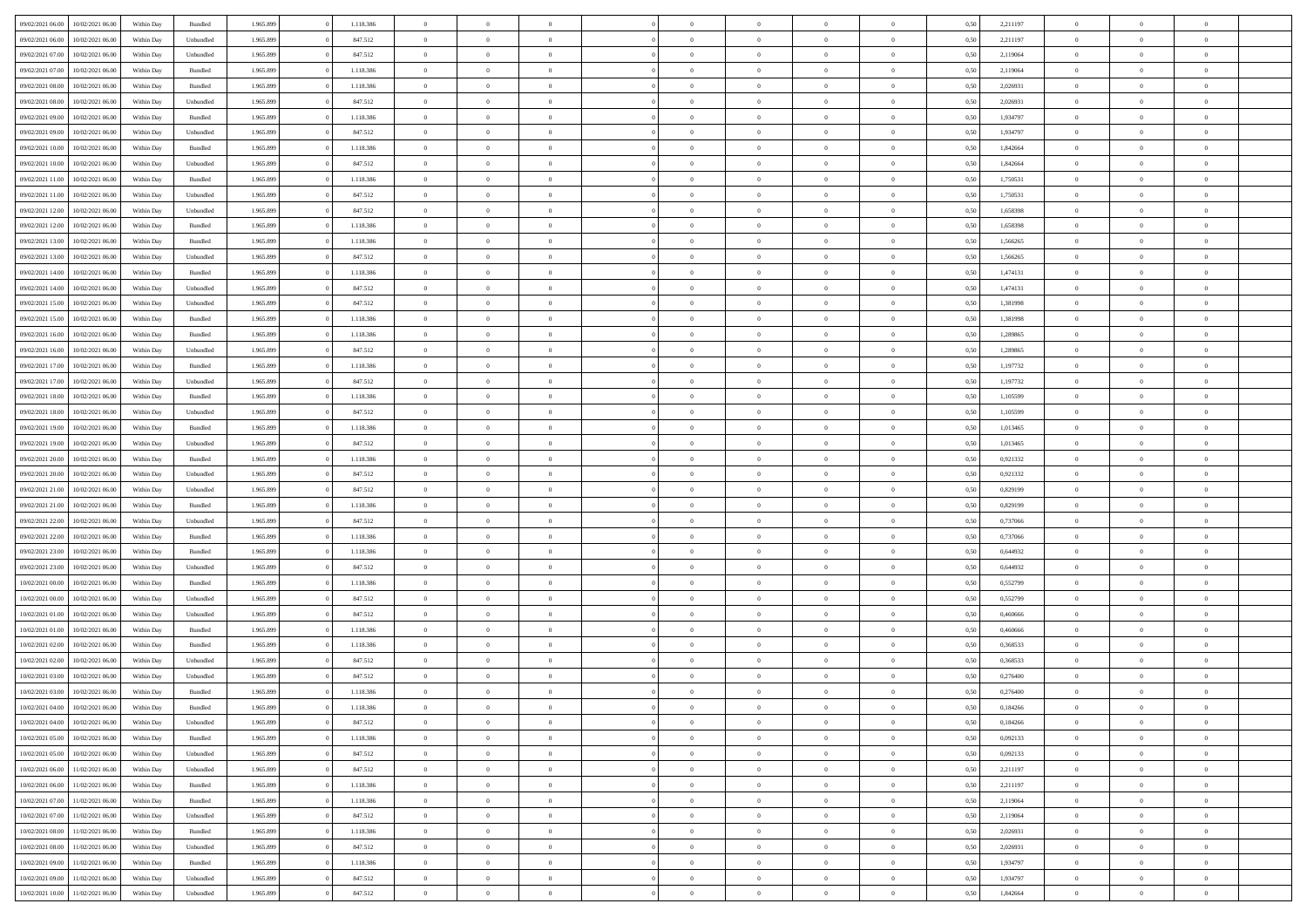| 09/02/2021 06:00 | 10/02/2021 06:00 | Within Day | Bundled            | 1.965.899 | 1.118.386 | $\overline{0}$ | $\Omega$       |                | $\Omega$       | $\Omega$       | $\theta$       | $\theta$       | 0,50 | 2,211197 | $\theta$       | $\theta$       | $\theta$                 |  |
|------------------|------------------|------------|--------------------|-----------|-----------|----------------|----------------|----------------|----------------|----------------|----------------|----------------|------|----------|----------------|----------------|--------------------------|--|
|                  |                  |            |                    |           |           |                |                |                |                |                |                |                |      |          |                |                |                          |  |
| 09/02/2021 06:00 | 10/02/2021 06:00 | Within Day | Unbundled          | 1.965.899 | 847.512   | $\overline{0}$ | $\theta$       | $\overline{0}$ | $\overline{0}$ | $\bf{0}$       | $\overline{0}$ | $\bf{0}$       | 0,50 | 2,211197 | $\theta$       | $\theta$       | $\overline{0}$           |  |
| 09/02/2021 07:00 | 10/02/2021 06:00 | Within Day | Unbundled          | 1.965.899 | 847.512   | $\overline{0}$ | $\overline{0}$ | $\overline{0}$ | $\overline{0}$ | $\bf{0}$       | $\overline{0}$ | $\mathbf{0}$   | 0,50 | 2,119064 | $\bf{0}$       | $\overline{0}$ | $\overline{0}$           |  |
| 09/02/2021 07:00 | 10/02/2021 06:00 | Within Dav | Bundled            | 1.965.899 | 1.118.386 | $\overline{0}$ | $\overline{0}$ | $\overline{0}$ | $\overline{0}$ | $\bf{0}$       | $\overline{0}$ | $\overline{0}$ | 0.50 | 2.119064 | $\theta$       | $\theta$       | $\overline{0}$           |  |
| 09/02/2021 08:00 | 10/02/2021 06:00 | Within Day | Bundled            | 1.965.899 | 1.118.386 | $\overline{0}$ | $\theta$       | $\overline{0}$ | $\overline{0}$ | $\bf{0}$       | $\overline{0}$ | $\bf{0}$       | 0,50 | 2,026931 | $\,$ 0 $\,$    | $\overline{0}$ | $\overline{0}$           |  |
| 09/02/2021 08:00 | 10/02/2021 06:00 | Within Day | Unbundled          | 1.965.899 | 847.512   | $\overline{0}$ | $\overline{0}$ | $\overline{0}$ | $\overline{0}$ | $\overline{0}$ | $\overline{0}$ | $\mathbf{0}$   | 0,50 | 2,026931 | $\overline{0}$ | $\overline{0}$ | $\bf{0}$                 |  |
|                  |                  |            |                    |           |           |                |                |                |                | $\overline{0}$ |                |                |      |          | $\theta$       | $\overline{0}$ | $\overline{0}$           |  |
| 09/02/2021 09:00 | 10/02/2021 06:00 | Within Dav | Bundled            | 1.965.899 | 1.118.386 | $\overline{0}$ | $\overline{0}$ | $\overline{0}$ | $\overline{0}$ |                | $\overline{0}$ | $\overline{0}$ | 0.50 | 1,934797 |                |                |                          |  |
| 09/02/2021 09:00 | 10/02/2021 06:00 | Within Day | Unbundled          | 1.965.899 | 847.512   | $\overline{0}$ | $\theta$       | $\overline{0}$ | $\overline{0}$ | $\bf{0}$       | $\overline{0}$ | $\bf{0}$       | 0,50 | 1,934797 | $\theta$       | $\theta$       | $\overline{0}$           |  |
| 09/02/2021 10:00 | 10/02/2021 06:00 | Within Day | Bundled            | 1.965.899 | 1.118.386 | $\overline{0}$ | $\overline{0}$ | $\overline{0}$ | $\overline{0}$ | $\bf{0}$       | $\overline{0}$ | $\mathbf{0}$   | 0,50 | 1,842664 | $\,0\,$        | $\overline{0}$ | $\overline{0}$           |  |
| 09/02/2021 10:00 | 10/02/2021 06:00 | Within Dav | Unbundled          | 1.965.899 | 847.512   | $\overline{0}$ | $\overline{0}$ | $\overline{0}$ | $\overline{0}$ | $\overline{0}$ | $\overline{0}$ | $\overline{0}$ | 0.50 | 1,842664 | $\theta$       | $\overline{0}$ | $\overline{0}$           |  |
| 09/02/2021 11:00 | 10/02/2021 06:00 | Within Day | Bundled            | 1.965.899 | 1.118.386 | $\overline{0}$ | $\theta$       | $\overline{0}$ | $\overline{0}$ | $\bf{0}$       | $\overline{0}$ | $\bf{0}$       | 0,50 | 1,750531 | $\,$ 0 $\,$    | $\overline{0}$ | $\overline{0}$           |  |
| 09/02/2021 11:00 | 10/02/2021 06:00 | Within Day | Unbundled          | 1.965.899 | 847.512   | $\overline{0}$ | $\overline{0}$ | $\overline{0}$ | $\overline{0}$ | $\bf{0}$       | $\overline{0}$ | $\mathbf{0}$   | 0,50 | 1,750531 | $\overline{0}$ | $\overline{0}$ | $\bf{0}$                 |  |
| 09/02/2021 12:00 | 10/02/2021 06:00 | Within Day | Unbundled          | 1.965.899 | 847.512   | $\overline{0}$ | $\overline{0}$ | $\overline{0}$ | $\overline{0}$ | $\bf{0}$       | $\overline{0}$ | $\overline{0}$ | 0.50 | 1,658398 | $\theta$       | $\theta$       | $\overline{0}$           |  |
| 09/02/2021 12:00 | 10/02/2021 06:00 |            |                    | 1.965.899 | 1.118.386 | $\overline{0}$ | $\theta$       | $\overline{0}$ | $\overline{0}$ | $\bf{0}$       | $\overline{0}$ |                |      | 1,658398 | $\theta$       | $\overline{0}$ | $\overline{0}$           |  |
|                  |                  | Within Day | Bundled            |           |           |                |                |                |                |                |                | $\bf{0}$       | 0,50 |          |                |                |                          |  |
| 09/02/2021 13:00 | 10/02/2021 06:00 | Within Day | Bundled            | 1.965.899 | 1.118.386 | $\overline{0}$ | $\overline{0}$ | $\overline{0}$ | $\overline{0}$ | $\overline{0}$ | $\overline{0}$ | $\mathbf{0}$   | 0,50 | 1,566265 | $\overline{0}$ | $\overline{0}$ | $\bf{0}$                 |  |
| 09/02/2021 13:00 | 10/02/2021 06:00 | Within Dav | Unbundled          | 1.965.899 | 847.512   | $\overline{0}$ | $\overline{0}$ | $\overline{0}$ | $\overline{0}$ | $\overline{0}$ | $\overline{0}$ | $\overline{0}$ | 0.50 | 1,566265 | $\theta$       | $\overline{0}$ | $\overline{0}$           |  |
| 09/02/2021 14:00 | 10/02/2021 06:00 | Within Day | Bundled            | 1.965.899 | 1.118.386 | $\overline{0}$ | $\theta$       | $\overline{0}$ | $\overline{0}$ | $\bf{0}$       | $\overline{0}$ | $\bf{0}$       | 0,50 | 1,474131 | $\,$ 0 $\,$    | $\theta$       | $\overline{0}$           |  |
| 09/02/2021 14:00 | 10/02/2021 06:00 | Within Day | Unbundled          | 1.965.899 | 847.512   | $\overline{0}$ | $\overline{0}$ | $\overline{0}$ | $\bf{0}$       | $\bf{0}$       | $\bf{0}$       | $\mathbf{0}$   | 0,50 | 1,474131 | $\,0\,$        | $\overline{0}$ | $\overline{0}$           |  |
| 09/02/2021 15:00 | 10/02/2021 06:00 | Within Day | Unbundled          | 1.965.899 | 847.512   | $\overline{0}$ | $\overline{0}$ | $\overline{0}$ | $\overline{0}$ | $\overline{0}$ | $\overline{0}$ | $\overline{0}$ | 0.50 | 1,381998 | $\theta$       | $\overline{0}$ | $\overline{0}$           |  |
| 09/02/2021 15:00 | 10/02/2021 06:00 | Within Day | Bundled            | 1.965.899 | 1.118.386 | $\overline{0}$ | $\theta$       | $\overline{0}$ | $\overline{0}$ | $\bf{0}$       | $\overline{0}$ | $\bf{0}$       | 0,50 | 1,381998 | $\,$ 0 $\,$    | $\overline{0}$ | $\overline{0}$           |  |
| 09/02/2021 16:00 | 10/02/2021 06:00 | Within Day | Bundled            | 1.965.899 | 1.118.386 | $\overline{0}$ | $\overline{0}$ | $\overline{0}$ | $\bf{0}$       | $\bf{0}$       | $\bf{0}$       | $\mathbf{0}$   | 0,50 | 1,289865 | $\bf{0}$       | $\overline{0}$ | $\overline{\phantom{a}}$ |  |
| 09/02/2021 16:00 | 10/02/2021 06:00 | Within Day | Unbundled          | 1.965.899 | 847.512   | $\overline{0}$ | $\overline{0}$ | $\overline{0}$ | $\overline{0}$ | $\overline{0}$ | $\overline{0}$ | $\overline{0}$ | 0.50 | 1.289865 | $\theta$       | $\overline{0}$ | $\overline{0}$           |  |
|                  |                  |            |                    |           |           |                |                |                |                |                |                |                |      |          |                |                |                          |  |
| 09/02/2021 17:00 | 10/02/2021 06:00 | Within Day | Bundled            | 1.965.899 | 1.118.386 | $\overline{0}$ | $\theta$       | $\overline{0}$ | $\overline{0}$ | $\bf{0}$       | $\overline{0}$ | $\bf{0}$       | 0,50 | 1,197732 | $\,$ 0 $\,$    | $\overline{0}$ | $\overline{0}$           |  |
| 09/02/2021 17:00 | 10/02/2021 06:00 | Within Day | Unbundled          | 1.965.899 | 847.512   | $\overline{0}$ | $\overline{0}$ | $\overline{0}$ | $\overline{0}$ | $\overline{0}$ | $\overline{0}$ | $\mathbf{0}$   | 0,50 | 1,197732 | $\bf{0}$       | $\overline{0}$ | $\bf{0}$                 |  |
| 09/02/2021 18:00 | 10/02/2021 06:00 | Within Dav | Bundled            | 1.965.899 | 1.118.386 | $\overline{0}$ | $\overline{0}$ | $\overline{0}$ | $\overline{0}$ | $\overline{0}$ | $\overline{0}$ | $\overline{0}$ | 0.50 | 1,105599 | $\theta$       | $\overline{0}$ | $\overline{0}$           |  |
| 09/02/2021 18:00 | 10/02/2021 06:00 | Within Day | Unbundled          | 1.965.899 | 847.512   | $\overline{0}$ | $\theta$       | $\overline{0}$ | $\overline{0}$ | $\bf{0}$       | $\overline{0}$ | $\bf{0}$       | 0,50 | 1,105599 | $\theta$       | $\theta$       | $\overline{0}$           |  |
| 09/02/2021 19:00 | 10/02/2021 06:00 | Within Day | Bundled            | 1.965.899 | 1.118.386 | $\overline{0}$ | $\overline{0}$ | $\overline{0}$ | $\overline{0}$ | $\bf{0}$       | $\overline{0}$ | $\mathbf{0}$   | 0,50 | 1,013465 | $\,0\,$        | $\overline{0}$ | $\overline{0}$           |  |
| 09/02/2021 19:00 | 10/02/2021 06:00 | Within Day | Unbundled          | 1.965.899 | 847.512   | $\overline{0}$ | $\overline{0}$ | $\overline{0}$ | $\overline{0}$ | $\overline{0}$ | $\overline{0}$ | $\overline{0}$ | 0.50 | 1,013465 | $\theta$       | $\overline{0}$ | $\overline{0}$           |  |
| 09/02/2021 20:00 | 10/02/2021 06:00 | Within Day | Bundled            | 1.965.899 | 1.118.386 | $\overline{0}$ | $\theta$       | $\overline{0}$ | $\overline{0}$ | $\bf{0}$       | $\overline{0}$ | $\bf{0}$       | 0,50 | 0,921332 | $\,$ 0 $\,$    | $\overline{0}$ | $\overline{0}$           |  |
|                  |                  |            |                    |           |           |                |                |                |                |                |                |                |      |          |                |                |                          |  |
| 09/02/2021 20.00 | 10/02/2021 06:00 | Within Day | Unbundled          | 1.965.899 | 847.512   | $\overline{0}$ | $\overline{0}$ | $\overline{0}$ | $\overline{0}$ | $\bf{0}$       | $\overline{0}$ | $\bf{0}$       | 0,50 | 0,921332 | $\overline{0}$ | $\overline{0}$ | $\bf{0}$                 |  |
| 09/02/2021 21:00 | 10/02/2021 06:00 | Within Day | Unbundled          | 1.965.899 | 847.512   | $\overline{0}$ | $\Omega$       | $\overline{0}$ | $\Omega$       | $\Omega$       | $\overline{0}$ | $\overline{0}$ | 0,50 | 0,829199 | $\,0\,$        | $\theta$       | $\theta$                 |  |
| 09/02/2021 21:00 | 10/02/2021 06:00 | Within Day | Bundled            | 1.965.899 | 1.118.386 | $\overline{0}$ | $\theta$       | $\overline{0}$ | $\overline{0}$ | $\bf{0}$       | $\overline{0}$ | $\bf{0}$       | 0,50 | 0,829199 | $\,$ 0 $\,$    | $\overline{0}$ | $\overline{0}$           |  |
| 09/02/2021 22.00 | 10/02/2021 06:00 | Within Day | Unbundled          | 1.965.899 | 847.512   | $\overline{0}$ | $\overline{0}$ | $\overline{0}$ | $\bf{0}$       | $\bf{0}$       | $\overline{0}$ | $\mathbf{0}$   | 0,50 | 0,737066 | $\overline{0}$ | $\overline{0}$ | $\bf{0}$                 |  |
| 09/02/2021 22.00 | 10/02/2021 06:00 | Within Day | Bundled            | 1.965.899 | 1.118.386 | $\overline{0}$ | $\Omega$       | $\overline{0}$ | $\Omega$       | $\overline{0}$ | $\overline{0}$ | $\overline{0}$ | 0.50 | 0,737066 | $\,$ 0 $\,$    | $\theta$       | $\theta$                 |  |
| 09/02/2021 23:00 | 10/02/2021 06:00 | Within Day | Bundled            | 1.965.899 | 1.118.386 | $\overline{0}$ | $\theta$       | $\overline{0}$ | $\overline{0}$ | $\bf{0}$       | $\overline{0}$ | $\bf{0}$       | 0,50 | 0,644932 | $\,$ 0 $\,$    | $\overline{0}$ | $\overline{0}$           |  |
| 09/02/2021 23:00 | 10/02/2021 06:00 | Within Day | Unbundled          | 1.965.899 | 847.512   | $\overline{0}$ | $\overline{0}$ | $\overline{0}$ | $\bf{0}$       | $\bf{0}$       | $\bf{0}$       | $\mathbf{0}$   | 0,50 | 0,644932 | $\,0\,$        | $\overline{0}$ | $\overline{0}$           |  |
| 10/02/2021 00:00 | 10/02/2021 06:00 | Within Day | Bundled            | 1.965.899 | 1.118.386 | $\overline{0}$ | $\Omega$       | $\overline{0}$ | $\Omega$       | $\overline{0}$ | $\overline{0}$ | $\overline{0}$ | 0.50 | 0,552799 | $\,$ 0 $\,$    | $\theta$       | $\theta$                 |  |
|                  |                  |            |                    |           |           |                |                |                |                |                |                |                |      |          |                |                |                          |  |
| 10/02/2021 00:00 | 10/02/2021 06:00 | Within Day | Unbundled          | 1.965.899 | 847.512   | $\overline{0}$ | $\theta$       | $\overline{0}$ | $\overline{0}$ | $\,$ 0         | $\overline{0}$ | $\bf{0}$       | 0,50 | 0,552799 | $\,$ 0 $\,$    | $\overline{0}$ | $\overline{0}$           |  |
| 10/02/2021 01:00 | 10/02/2021 06:00 | Within Day | Unbundled          | 1.965.899 | 847.512   | $\overline{0}$ | $\overline{0}$ | $\overline{0}$ | $\bf{0}$       | $\bf{0}$       | $\bf{0}$       | $\mathbf{0}$   | 0,50 | 0,460666 | $\bf{0}$       | $\overline{0}$ | $\overline{0}$           |  |
| 10/02/2021 01:00 | 10/02/2021 06:00 | Within Day | Bundled            | 1.965.899 | 1.118.386 | $\overline{0}$ | $\Omega$       | $\overline{0}$ | $\Omega$       | $\overline{0}$ | $\overline{0}$ | $\overline{0}$ | 0,50 | 0,460666 | $\,0\,$        | $\theta$       | $\theta$                 |  |
| 10/02/2021 02:00 | 10/02/2021 06:00 | Within Day | Bundled            | 1.965.899 | 1.118.386 | $\overline{0}$ | $\theta$       | $\overline{0}$ | $\overline{0}$ | $\,$ 0         | $\overline{0}$ | $\bf{0}$       | 0,50 | 0,368533 | $\,$ 0 $\,$    | $\overline{0}$ | $\overline{0}$           |  |
| 10/02/2021 02:00 | 10/02/2021 06:00 | Within Day | Unbundled          | 1.965.899 | 847.512   | $\overline{0}$ | $\bf{0}$       | $\overline{0}$ | $\bf{0}$       | $\bf{0}$       | $\overline{0}$ | $\mathbf{0}$   | 0,50 | 0,368533 | $\bf{0}$       | $\overline{0}$ | $\bf{0}$                 |  |
| 10/02/2021 03:00 | 10/02/2021 06:00 | Within Day | Unbundled          | 1.965.899 | 847.512   | $\overline{0}$ | $\Omega$       | $\Omega$       | $\Omega$       | $\Omega$       | $\Omega$       | $\overline{0}$ | 0.50 | 0,276400 | $\theta$       | $\theta$       | $\theta$                 |  |
| 10/02/2021 03:00 | 10/02/2021 06:00 | Within Day | Bundled            | 1.965.899 | 1.118.386 | $\overline{0}$ | $\overline{0}$ | $\overline{0}$ | $\bf{0}$       | $\,$ 0         | $\bf{0}$       | $\bf{0}$       | 0,50 | 0,276400 | $\,0\,$        | $\,$ 0 $\,$    | $\overline{0}$           |  |
| 10/02/2021 04:00 | 10/02/2021 06:00 | Within Day | $\mathbf B$ undled | 1.965.899 | 1.118.386 | $\bf{0}$       | $\bf{0}$       |                |                | $\bf{0}$       |                |                | 0,50 | 0,184266 | $\bf{0}$       | $\overline{0}$ |                          |  |
| 10/02/2021 04:00 | 10/02/2021 06:00 |            |                    | 1.965.899 | 847.512   | $\overline{0}$ | $\overline{0}$ | $\overline{0}$ | $\Omega$       | $\overline{0}$ | $\overline{0}$ | $\overline{0}$ |      |          | $\theta$       | $\theta$       | $\Omega$                 |  |
|                  |                  | Within Day | Unbundled          |           |           |                |                |                |                |                |                |                | 0,50 | 0,184266 |                |                |                          |  |
| 10/02/2021 05:00 | 10/02/2021 06:00 | Within Day | Bundled            | 1.965.899 | 1.118.386 | $\overline{0}$ | $\bf{0}$       | $\overline{0}$ | $\bf{0}$       | $\,$ 0 $\,$    | $\overline{0}$ | $\,$ 0 $\,$    | 0,50 | 0,092133 | $\,$ 0 $\,$    | $\,$ 0 $\,$    | $\,$ 0                   |  |
| 10/02/2021 05:00 | 10/02/2021 06:00 | Within Day | Unbundled          | 1.965.899 | 847.512   | $\overline{0}$ | $\overline{0}$ | $\overline{0}$ | $\overline{0}$ | $\overline{0}$ | $\overline{0}$ | $\mathbf{0}$   | 0,50 | 0,092133 | $\overline{0}$ | $\bf{0}$       | $\overline{0}$           |  |
| 10/02/2021 06:00 | 11/02/2021 06:00 | Within Day | Unbundled          | 1.965.899 | 847.512   | $\overline{0}$ | $\overline{0}$ | $\overline{0}$ | $\Omega$       | $\overline{0}$ | $\overline{0}$ | $\overline{0}$ | 0,50 | 2,211197 | $\overline{0}$ | $\overline{0}$ | $\overline{0}$           |  |
| 10/02/2021 06:00 | 11/02/2021 06:00 | Within Day | Bundled            | 1.965.899 | 1.118.386 | $\overline{0}$ | $\,$ 0         | $\overline{0}$ | $\bf{0}$       | $\,$ 0 $\,$    | $\overline{0}$ | $\,$ 0 $\,$    | 0,50 | 2,211197 | $\,$ 0 $\,$    | $\overline{0}$ | $\overline{0}$           |  |
| 10/02/2021 07:00 | 11/02/2021 06:00 | Within Day | Bundled            | 1.965.899 | 1.118.386 | $\overline{0}$ | $\overline{0}$ | $\overline{0}$ | $\overline{0}$ | $\overline{0}$ | $\overline{0}$ | $\mathbf{0}$   | 0,50 | 2,119064 | $\overline{0}$ | $\overline{0}$ | $\bf{0}$                 |  |
| 10/02/2021 07:00 | 11/02/2021 06:00 | Within Day | Unbundled          | 1.965.899 | 847.512   | $\overline{0}$ | $\overline{0}$ | $\overline{0}$ | $\overline{0}$ | $\overline{0}$ | $\overline{0}$ | $\bf{0}$       | 0.50 | 2,119064 | $\overline{0}$ | $\theta$       | $\overline{0}$           |  |
| 10/02/2021 08:00 | 11/02/2021 06:00 | Within Day | Bundled            | 1.965.899 | 1.118.386 | $\overline{0}$ | $\,$ 0         | $\overline{0}$ | $\bf{0}$       | $\bf{0}$       | $\bf{0}$       | $\bf{0}$       | 0,50 | 2,026931 | $\,$ 0 $\,$    | $\overline{0}$ | $\overline{0}$           |  |
|                  |                  |            |                    |           |           |                |                |                |                |                |                |                |      |          |                |                |                          |  |
| 10/02/2021 08:00 | 11/02/2021 06:00 | Within Day | Unbundled          | 1.965.899 | 847.512   | $\overline{0}$ | $\bf{0}$       | $\overline{0}$ | $\overline{0}$ | $\overline{0}$ | $\overline{0}$ | $\mathbf{0}$   | 0,50 | 2,026931 | $\overline{0}$ | $\overline{0}$ | $\bf{0}$                 |  |
| 10/02/2021 09:00 | 11/02/2021 06:00 | Within Day | Bundled            | 1.965.899 | 1.118.386 | $\overline{0}$ | $\overline{0}$ | $\overline{0}$ | $\Omega$       | $\overline{0}$ | $\overline{0}$ | $\overline{0}$ | 0.50 | 1,934797 | $\overline{0}$ | $\overline{0}$ | $\overline{0}$           |  |
| 10/02/2021 09:00 | 11/02/2021 06:00 | Within Day | Unbundled          | 1.965.899 | 847.512   | $\overline{0}$ | $\bf{0}$       | $\overline{0}$ | $\bf{0}$       | $\bf{0}$       | $\bf{0}$       | $\mathbf{0}$   | 0,50 | 1,934797 | $\,$ 0 $\,$    | $\,$ 0 $\,$    | $\bf{0}$                 |  |
| 10/02/2021 10:00 | 11/02/2021 06:00 | Within Day | Unbundled          | 1.965.899 | 847.512   | $\overline{0}$ | $\overline{0}$ | $\overline{0}$ | $\overline{0}$ | $\overline{0}$ | $\bf{0}$       | $\mathbf{0}$   | 0,50 | 1,842664 | $\overline{0}$ | $\bf{0}$       | $\bf{0}$                 |  |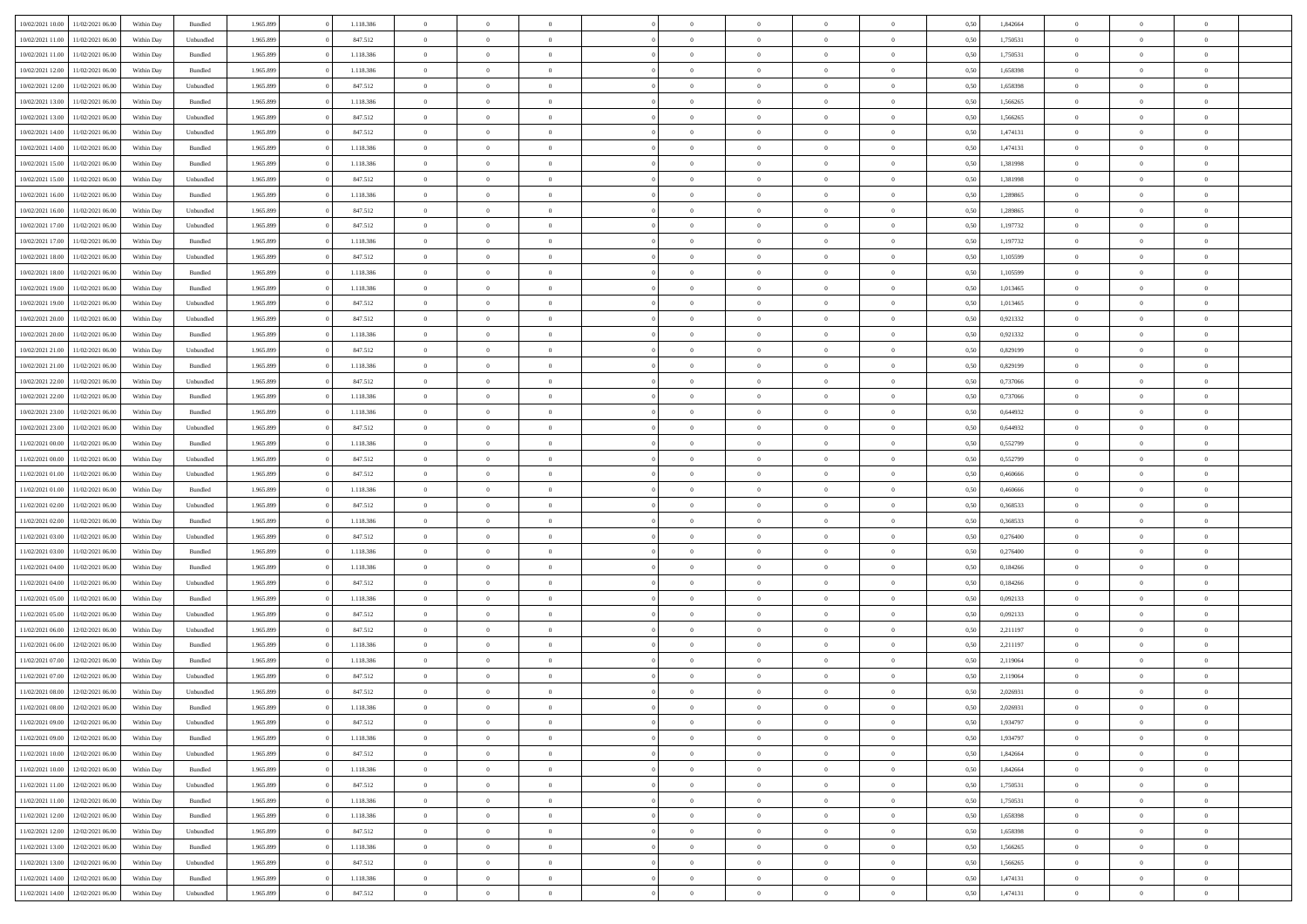| 10/02/2021 10:00 | 11/02/2021 06:00                  | Within Day | Bundled            | 1.965.899 | 1.118.386 | $\overline{0}$ | $\Omega$       |                | $\Omega$       | $\Omega$       | $\theta$       | $\theta$       | 0,50 | 1,842664 | $\theta$       | $\theta$       | $\theta$       |  |
|------------------|-----------------------------------|------------|--------------------|-----------|-----------|----------------|----------------|----------------|----------------|----------------|----------------|----------------|------|----------|----------------|----------------|----------------|--|
|                  |                                   |            |                    |           |           |                |                |                |                |                |                |                |      |          |                |                |                |  |
| 10/02/2021 11:00 | 11/02/2021 06:00                  | Within Day | Unbundled          | 1.965.899 | 847.512   | $\overline{0}$ | $\theta$       | $\overline{0}$ | $\overline{0}$ | $\bf{0}$       | $\overline{0}$ | $\bf{0}$       | 0,50 | 1,750531 | $\theta$       | $\theta$       | $\overline{0}$ |  |
| 10/02/2021 11:00 | 11/02/2021 06:00                  | Within Day | Bundled            | 1.965.899 | 1.118.386 | $\overline{0}$ | $\bf{0}$       | $\overline{0}$ | $\bf{0}$       | $\bf{0}$       | $\bf{0}$       | $\mathbf{0}$   | 0,50 | 1,750531 | $\bf{0}$       | $\overline{0}$ | $\overline{0}$ |  |
| 10/02/2021 12:00 | 11/02/2021 06:00                  | Within Dav | Bundled            | 1.965.899 | 1.118.386 | $\overline{0}$ | $\overline{0}$ | $\overline{0}$ | $\overline{0}$ | $\bf{0}$       | $\overline{0}$ | $\overline{0}$ | 0.50 | 1,658398 | $\theta$       | $\theta$       | $\overline{0}$ |  |
| 10/02/2021 12:00 | 11/02/2021 06:00                  | Within Day | Unbundled          | 1.965.899 | 847.512   | $\overline{0}$ | $\theta$       | $\overline{0}$ | $\overline{0}$ | $\bf{0}$       | $\overline{0}$ | $\bf{0}$       | 0,50 | 1,658398 | $\theta$       | $\overline{0}$ | $\overline{0}$ |  |
| 10/02/2021 13:00 | 11/02/2021 06:00                  | Within Day | Bundled            | 1.965.899 | 1.118.386 | $\overline{0}$ | $\overline{0}$ | $\overline{0}$ | $\bf{0}$       | $\overline{0}$ | $\overline{0}$ | $\mathbf{0}$   | 0,50 | 1,566265 | $\bf{0}$       | $\overline{0}$ | $\bf{0}$       |  |
|                  |                                   |            |                    |           |           |                |                |                |                | $\overline{0}$ |                |                |      |          | $\theta$       | $\overline{0}$ | $\overline{0}$ |  |
| 10/02/2021 13:00 | 11/02/2021 06:00                  | Within Dav | Unbundled          | 1.965.899 | 847.512   | $\overline{0}$ | $\overline{0}$ | $\overline{0}$ | $\overline{0}$ |                | $\overline{0}$ | $\overline{0}$ | 0.50 | 1,566265 |                |                |                |  |
| 10/02/2021 14:00 | 11/02/2021 06:00                  | Within Day | Unbundled          | 1.965.899 | 847.512   | $\overline{0}$ | $\theta$       | $\overline{0}$ | $\overline{0}$ | $\bf{0}$       | $\overline{0}$ | $\bf{0}$       | 0,50 | 1,474131 | $\theta$       | $\theta$       | $\overline{0}$ |  |
| 10/02/2021 14:00 | 11/02/2021 06:00                  | Within Day | Bundled            | 1.965.899 | 1.118.386 | $\overline{0}$ | $\overline{0}$ | $\overline{0}$ | $\overline{0}$ | $\bf{0}$       | $\overline{0}$ | $\mathbf{0}$   | 0,50 | 1,474131 | $\,0\,$        | $\overline{0}$ | $\overline{0}$ |  |
| 10/02/2021 15:00 | 11/02/2021 06:00                  | Within Dav | Bundled            | 1.965.899 | 1.118.386 | $\overline{0}$ | $\overline{0}$ | $\overline{0}$ | $\overline{0}$ | $\overline{0}$ | $\overline{0}$ | $\overline{0}$ | 0.50 | 1,381998 | $\theta$       | $\overline{0}$ | $\overline{0}$ |  |
| 10/02/2021 15:00 | 11/02/2021 06:00                  | Within Day | Unbundled          | 1.965.899 | 847.512   | $\overline{0}$ | $\theta$       | $\overline{0}$ | $\overline{0}$ | $\bf{0}$       | $\overline{0}$ | $\bf{0}$       | 0,50 | 1,381998 | $\,$ 0 $\,$    | $\overline{0}$ | $\overline{0}$ |  |
| 10/02/2021 16:00 | 11/02/2021 06:00                  | Within Day | Bundled            | 1.965.899 | 1.118.386 | $\overline{0}$ | $\overline{0}$ | $\overline{0}$ | $\overline{0}$ | $\bf{0}$       | $\overline{0}$ | $\mathbf{0}$   | 0,50 | 1,289865 | $\bf{0}$       | $\overline{0}$ | $\bf{0}$       |  |
| 10/02/2021 16:00 | 11/02/2021 06:00                  | Within Day | Unbundled          | 1.965.899 | 847.512   | $\overline{0}$ | $\overline{0}$ | $\overline{0}$ | $\overline{0}$ | $\bf{0}$       | $\overline{0}$ | $\overline{0}$ | 0.50 | 1.289865 | $\theta$       | $\theta$       | $\overline{0}$ |  |
|                  |                                   |            |                    |           |           | $\overline{0}$ | $\theta$       | $\overline{0}$ | $\overline{0}$ | $\bf{0}$       | $\overline{0}$ |                |      |          | $\theta$       | $\overline{0}$ | $\overline{0}$ |  |
| 10/02/2021 17:00 | 11/02/2021 06:00                  | Within Day | Unbundled          | 1.965.899 | 847.512   |                |                |                |                |                |                | $\bf{0}$       | 0,50 | 1,197732 |                |                |                |  |
| 10/02/2021 17:00 | 11/02/2021 06:00                  | Within Day | Bundled            | 1.965.899 | 1.118.386 | $\overline{0}$ | $\overline{0}$ | $\overline{0}$ | $\overline{0}$ | $\overline{0}$ | $\overline{0}$ | $\mathbf{0}$   | 0,50 | 1,197732 | $\overline{0}$ | $\overline{0}$ | $\bf{0}$       |  |
| 10/02/2021 18:00 | 11/02/2021 06:00                  | Within Dav | Unbundled          | 1.965.899 | 847.512   | $\overline{0}$ | $\overline{0}$ | $\overline{0}$ | $\overline{0}$ | $\overline{0}$ | $\overline{0}$ | $\overline{0}$ | 0.50 | 1,105599 | $\theta$       | $\overline{0}$ | $\overline{0}$ |  |
| 10/02/2021 18:00 | 11/02/2021 06:00                  | Within Day | Bundled            | 1.965.899 | 1.118.386 | $\overline{0}$ | $\theta$       | $\overline{0}$ | $\overline{0}$ | $\bf{0}$       | $\overline{0}$ | $\bf{0}$       | 0,50 | 1,105599 | $\,$ 0 $\,$    | $\theta$       | $\overline{0}$ |  |
| 10/02/2021 19:00 | 11/02/2021 06:00                  | Within Day | Bundled            | 1.965.899 | 1.118.386 | $\overline{0}$ | $\overline{0}$ | $\overline{0}$ | $\overline{0}$ | $\bf{0}$       | $\overline{0}$ | $\mathbf{0}$   | 0,50 | 1,013465 | $\bf{0}$       | $\overline{0}$ | $\overline{0}$ |  |
| 10/02/2021 19:00 | 11/02/2021 06:00                  | Within Day | Unbundled          | 1.965.899 | 847.512   | $\overline{0}$ | $\overline{0}$ | $\overline{0}$ | $\overline{0}$ | $\overline{0}$ | $\overline{0}$ | $\overline{0}$ | 0.50 | 1,013465 | $\theta$       | $\overline{0}$ | $\overline{0}$ |  |
| 10/02/2021 20:00 | 11/02/2021 06:00                  | Within Day | Unbundled          | 1.965.899 | 847.512   | $\overline{0}$ | $\theta$       | $\overline{0}$ | $\overline{0}$ | $\bf{0}$       | $\overline{0}$ | $\bf{0}$       | 0,50 | 0,921332 | $\,$ 0 $\,$    | $\overline{0}$ | $\overline{0}$ |  |
|                  |                                   |            |                    |           |           |                |                |                |                |                |                |                |      |          |                |                |                |  |
| 10/02/2021 20:00 | 11/02/2021 06:00                  | Within Day | Bundled            | 1.965.899 | 1.118.386 | $\overline{0}$ | $\overline{0}$ | $\overline{0}$ | $\overline{0}$ | $\bf{0}$       | $\overline{0}$ | $\mathbf{0}$   | 0,50 | 0,921332 | $\overline{0}$ | $\overline{0}$ | $\overline{0}$ |  |
| 10/02/2021 21:00 | 11/02/2021 06:00                  | Within Day | Unbundled          | 1.965.899 | 847.512   | $\overline{0}$ | $\overline{0}$ | $\overline{0}$ | $\overline{0}$ | $\overline{0}$ | $\overline{0}$ | $\overline{0}$ | 0.50 | 0.829199 | $\theta$       | $\overline{0}$ | $\overline{0}$ |  |
| 10/02/2021 21:00 | 11/02/2021 06:00                  | Within Day | Bundled            | 1.965.899 | 1.118.386 | $\overline{0}$ | $\theta$       | $\overline{0}$ | $\overline{0}$ | $\bf{0}$       | $\overline{0}$ | $\bf{0}$       | 0,50 | 0,829199 | $\,$ 0 $\,$    | $\overline{0}$ | $\overline{0}$ |  |
| 10/02/2021 22:00 | 11/02/2021 06:00                  | Within Day | Unbundled          | 1.965.899 | 847.512   | $\overline{0}$ | $\overline{0}$ | $\overline{0}$ | $\overline{0}$ | $\overline{0}$ | $\overline{0}$ | $\mathbf{0}$   | 0,50 | 0,737066 | $\overline{0}$ | $\overline{0}$ | $\bf{0}$       |  |
| 10/02/2021 22.00 | 11/02/2021 06:00                  | Within Dav | Bundled            | 1.965.899 | 1.118.386 | $\overline{0}$ | $\overline{0}$ | $\overline{0}$ | $\overline{0}$ | $\overline{0}$ | $\overline{0}$ | $\overline{0}$ | 0.50 | 0,737066 | $\overline{0}$ | $\overline{0}$ | $\overline{0}$ |  |
| 10/02/2021 23:00 | 11/02/2021 06:00                  | Within Day | Bundled            | 1.965.899 | 1.118.386 | $\overline{0}$ | $\theta$       | $\overline{0}$ | $\overline{0}$ | $\bf{0}$       | $\overline{0}$ | $\bf{0}$       | 0,50 | 0,644932 | $\theta$       | $\theta$       | $\overline{0}$ |  |
| 10/02/2021 23:00 | 11/02/2021 06:00                  | Within Day | Unbundled          | 1.965.899 | 847.512   | $\overline{0}$ | $\overline{0}$ | $\overline{0}$ | $\overline{0}$ | $\bf{0}$       | $\overline{0}$ | $\mathbf{0}$   | 0,50 | 0,644932 | $\,0\,$        | $\overline{0}$ | $\overline{0}$ |  |
| 11/02/2021 00:00 | 11/02/2021 06:00                  |            | Bundled            | 1.965.899 | 1.118.386 | $\overline{0}$ | $\overline{0}$ | $\overline{0}$ | $\overline{0}$ | $\overline{0}$ | $\overline{0}$ | $\overline{0}$ | 0.50 | 0,552799 | $\theta$       | $\overline{0}$ | $\overline{0}$ |  |
|                  |                                   | Within Day |                    |           |           |                |                |                |                |                |                |                |      |          |                |                |                |  |
| 11/02/2021 00:00 | 11/02/2021 06:00                  | Within Day | Unbundled          | 1.965.899 | 847.512   | $\overline{0}$ | $\theta$       | $\overline{0}$ | $\overline{0}$ | $\bf{0}$       | $\overline{0}$ | $\bf{0}$       | 0,50 | 0,552799 | $\,$ 0 $\,$    | $\overline{0}$ | $\overline{0}$ |  |
| 11/02/2021 01:00 | 11/02/2021 06:00                  | Within Day | Unbundled          | 1.965.899 | 847.512   | $\overline{0}$ | $\overline{0}$ | $\overline{0}$ | $\bf{0}$       | $\bf{0}$       | $\bf{0}$       | $\bf{0}$       | 0,50 | 0,460666 | $\overline{0}$ | $\overline{0}$ | $\bf{0}$       |  |
| 11/02/2021 01:00 | 11/02/2021 06.00                  | Within Day | Bundled            | 1.965.899 | 1.118.386 | $\overline{0}$ | $\Omega$       | $\overline{0}$ | $\Omega$       | $\Omega$       | $\overline{0}$ | $\overline{0}$ | 0,50 | 0,460666 | $\,0\,$        | $\theta$       | $\theta$       |  |
| 11/02/2021 02:00 | 11/02/2021 06:00                  | Within Day | Unbundled          | 1.965.899 | 847.512   | $\overline{0}$ | $\theta$       | $\overline{0}$ | $\overline{0}$ | $\bf{0}$       | $\overline{0}$ | $\bf{0}$       | 0,50 | 0,368533 | $\,$ 0 $\,$    | $\overline{0}$ | $\overline{0}$ |  |
| 11/02/2021 02:00 | 11/02/2021 06:00                  | Within Day | Bundled            | 1.965.899 | 1.118.386 | $\overline{0}$ | $\overline{0}$ | $\overline{0}$ | $\bf{0}$       | $\bf{0}$       | $\overline{0}$ | $\mathbf{0}$   | 0,50 | 0,368533 | $\overline{0}$ | $\overline{0}$ | $\bf{0}$       |  |
| 11/02/2021 03:00 | 11/02/2021 06:00                  | Within Day | Unbundled          | 1.965.899 | 847.512   | $\overline{0}$ | $\Omega$       | $\Omega$       | $\Omega$       | $\overline{0}$ | $\overline{0}$ | $\overline{0}$ | 0.50 | 0,276400 | $\,0\,$        | $\theta$       | $\theta$       |  |
| 11/02/2021 03:00 | 11/02/2021 06:00                  | Within Day | Bundled            | 1.965.899 | 1.118.386 | $\overline{0}$ | $\theta$       | $\overline{0}$ | $\overline{0}$ | $\bf{0}$       | $\overline{0}$ | $\bf{0}$       | 0,50 | 0,276400 | $\,$ 0 $\,$    | $\overline{0}$ | $\overline{0}$ |  |
|                  |                                   |            |                    |           |           |                |                |                |                |                |                |                |      |          |                |                |                |  |
| 11/02/2021 04:00 | 11/02/2021 06:00                  | Within Day | Bundled            | 1.965.899 | 1.118.386 | $\overline{0}$ | $\overline{0}$ | $\overline{0}$ | $\bf{0}$       | $\bf{0}$       | $\bf{0}$       | $\mathbf{0}$   | 0,50 | 0,184266 | $\bf{0}$       | $\overline{0}$ | $\overline{0}$ |  |
| 11/02/2021 04:00 | 11/02/2021 06.00                  | Within Day | Unbundled          | 1.965.899 | 847.512   | $\overline{0}$ | $\Omega$       | $\overline{0}$ | $\Omega$       | $\overline{0}$ | $\overline{0}$ | $\overline{0}$ | 0.50 | 0,184266 | $\,$ 0 $\,$    | $\theta$       | $\theta$       |  |
| 11/02/2021 05:00 | 11/02/2021 06:00                  | Within Day | Bundled            | 1.965.899 | 1.118.386 | $\overline{0}$ | $\theta$       | $\overline{0}$ | $\overline{0}$ | $\,$ 0         | $\overline{0}$ | $\bf{0}$       | 0,50 | 0,092133 | $\,$ 0 $\,$    | $\overline{0}$ | $\overline{0}$ |  |
| 11/02/2021 05:00 | 11/02/2021 06:00                  | Within Day | Unbundled          | 1.965.899 | 847.512   | $\overline{0}$ | $\overline{0}$ | $\overline{0}$ | $\bf{0}$       | $\bf{0}$       | $\bf{0}$       | $\mathbf{0}$   | 0,50 | 0,092133 | $\overline{0}$ | $\overline{0}$ | $\overline{0}$ |  |
| 11/02/2021 06:00 | 12/02/2021 06:00                  | Within Day | Unbundled          | 1.965.899 | 847.512   | $\overline{0}$ | $\Omega$       | $\overline{0}$ | $\Omega$       | $\overline{0}$ | $\overline{0}$ | $\overline{0}$ | 0,50 | 2,211197 | $\,0\,$        | $\theta$       | $\theta$       |  |
| 11/02/2021 06:00 | 12/02/2021 06:00                  | Within Day | Bundled            | 1.965.899 | 1.118.386 | $\overline{0}$ | $\theta$       | $\overline{0}$ | $\overline{0}$ | $\,$ 0         | $\overline{0}$ | $\bf{0}$       | 0,50 | 2,211197 | $\,$ 0 $\,$    | $\overline{0}$ | $\overline{0}$ |  |
| 11/02/2021 07:00 | 12/02/2021 06:00                  | Within Day | Bundled            | 1.965.899 | 1.118.386 | $\overline{0}$ | $\bf{0}$       | $\overline{0}$ | $\bf{0}$       | $\bf{0}$       | $\overline{0}$ | $\mathbf{0}$   | 0,50 | 2,119064 | $\overline{0}$ | $\overline{0}$ | $\bf{0}$       |  |
| 11/02/2021 07:00 | 12/02/2021 06:00                  |            | Unbundled          | 1.965.899 | 847.512   | $\overline{0}$ | $\Omega$       | $\Omega$       | $\Omega$       | $\Omega$       | $\Omega$       | $\overline{0}$ | 0.50 | 2,119064 | $\theta$       | $\theta$       | $\theta$       |  |
|                  |                                   | Within Day |                    |           |           |                |                |                |                |                |                |                |      |          |                |                |                |  |
| 11/02/2021 08:00 | 12/02/2021 06:00                  | Within Day | Unbundled          | 1.965.899 | 847.512   | $\overline{0}$ | $\overline{0}$ | $\overline{0}$ | $\bf{0}$       | $\,$ 0         | $\bf{0}$       | $\bf{0}$       | 0,50 | 2,026931 | $\,0\,$        | $\overline{0}$ | $\overline{0}$ |  |
| 11/02/2021 08:00 | 12/02/2021 06:00                  | Within Day | $\mathbf B$ undled | 1.965.899 | 1.118.386 | $\bf{0}$       | $\bf{0}$       |                |                | $\bf{0}$       |                |                | 0,50 | 2,026931 | $\bf{0}$       | $\overline{0}$ |                |  |
| 11/02/2021 09:00 | 12/02/2021 06:00                  | Within Day | Unbundled          | 1.965.899 | 847.512   | $\overline{0}$ | $\overline{0}$ | $\overline{0}$ | $\Omega$       | $\overline{0}$ | $\overline{0}$ | $\overline{0}$ | 0,50 | 1,934797 | $\theta$       | $\theta$       | $\theta$       |  |
| 11/02/2021 09:00 | 12/02/2021 06:00                  | Within Day | Bundled            | 1.965.899 | 1.118.386 | $\overline{0}$ | $\bf{0}$       | $\overline{0}$ | $\bf{0}$       | $\,$ 0 $\,$    | $\overline{0}$ | $\,$ 0 $\,$    | 0,50 | 1,934797 | $\,$ 0 $\,$    | $\,$ 0 $\,$    | $\,$ 0         |  |
| 11/02/2021 10:00 | 12/02/2021 06:00                  | Within Day | Unbundled          | 1.965.899 | 847.512   | $\overline{0}$ | $\overline{0}$ | $\overline{0}$ | $\overline{0}$ | $\overline{0}$ | $\overline{0}$ | $\mathbf{0}$   | 0,50 | 1,842664 | $\overline{0}$ | $\bf{0}$       | $\bf{0}$       |  |
| 11/02/2021 10:00 | 12/02/2021 06:00                  | Within Day | Bundled            | 1.965.899 | 1.118.386 | $\overline{0}$ | $\overline{0}$ | $\overline{0}$ | $\Omega$       | $\overline{0}$ | $\overline{0}$ | $\overline{0}$ | 0,50 | 1,842664 | $\overline{0}$ | $\overline{0}$ | $\overline{0}$ |  |
| 11/02/2021 11:00 | 12/02/2021 06:00                  | Within Day | Unbundled          | 1.965.899 | 847.512   | $\overline{0}$ | $\,$ 0         | $\overline{0}$ | $\overline{0}$ | $\,$ 0 $\,$    | $\overline{0}$ | $\,$ 0 $\,$    | 0,50 | 1,750531 | $\,$ 0 $\,$    | $\overline{0}$ | $\overline{0}$ |  |
|                  |                                   |            |                    |           |           |                |                |                |                |                |                |                |      |          |                |                |                |  |
| 11/02/2021 11:00 | 12/02/2021 06:00                  | Within Day | Bundled            | 1.965.899 | 1.118.386 | $\overline{0}$ | $\overline{0}$ | $\overline{0}$ | $\overline{0}$ | $\overline{0}$ | $\overline{0}$ | $\mathbf{0}$   | 0,50 | 1,750531 | $\overline{0}$ | $\overline{0}$ | $\bf{0}$       |  |
| 11/02/2021 12:00 | 12/02/2021 06:00                  | Within Day | Bundled            | 1.965.899 | 1.118.386 | $\overline{0}$ | $\overline{0}$ | $\overline{0}$ | $\overline{0}$ | $\overline{0}$ | $\overline{0}$ | $\bf{0}$       | 0.50 | 1,658398 | $\overline{0}$ | $\theta$       | $\overline{0}$ |  |
| 11/02/2021 12:00 | 12/02/2021 06:00                  | Within Day | Unbundled          | 1.965.899 | 847.512   | $\overline{0}$ | $\,$ 0         | $\overline{0}$ | $\overline{0}$ | $\bf{0}$       | $\overline{0}$ | $\bf{0}$       | 0,50 | 1,658398 | $\,$ 0 $\,$    | $\overline{0}$ | $\overline{0}$ |  |
| 11/02/2021 13:00 | 12/02/2021 06:00                  | Within Day | Bundled            | 1.965.899 | 1.118.386 | $\overline{0}$ | $\bf{0}$       | $\overline{0}$ | $\overline{0}$ | $\overline{0}$ | $\overline{0}$ | $\mathbf{0}$   | 0,50 | 1,566265 | $\overline{0}$ | $\overline{0}$ | $\bf{0}$       |  |
| 11/02/2021 13:00 | 12/02/2021 06:00                  | Within Day | Unbundled          | 1.965.899 | 847.512   | $\overline{0}$ | $\overline{0}$ | $\overline{0}$ | $\Omega$       | $\overline{0}$ | $\overline{0}$ | $\overline{0}$ | 0.50 | 1,566265 | $\overline{0}$ | $\overline{0}$ | $\overline{0}$ |  |
| 11/02/2021 14:00 | 12/02/2021 06:00                  | Within Day | Bundled            | 1.965.899 | 1.118.386 | $\overline{0}$ | $\bf{0}$       | $\overline{0}$ | $\bf{0}$       | $\bf{0}$       | $\overline{0}$ | $\mathbf{0}$   | 0,50 | 1,474131 | $\,$ 0 $\,$    | $\,$ 0 $\,$    | $\bf{0}$       |  |
|                  | 11/02/2021 14:00 12/02/2021 06:00 | Within Day | Unbundled          | 1.965.899 | 847.512   | $\overline{0}$ | $\overline{0}$ | $\overline{0}$ | $\overline{0}$ | $\overline{0}$ | $\overline{0}$ | $\mathbf{0}$   | 0,50 | 1,474131 | $\overline{0}$ | $\bf{0}$       | $\bf{0}$       |  |
|                  |                                   |            |                    |           |           |                |                |                |                |                |                |                |      |          |                |                |                |  |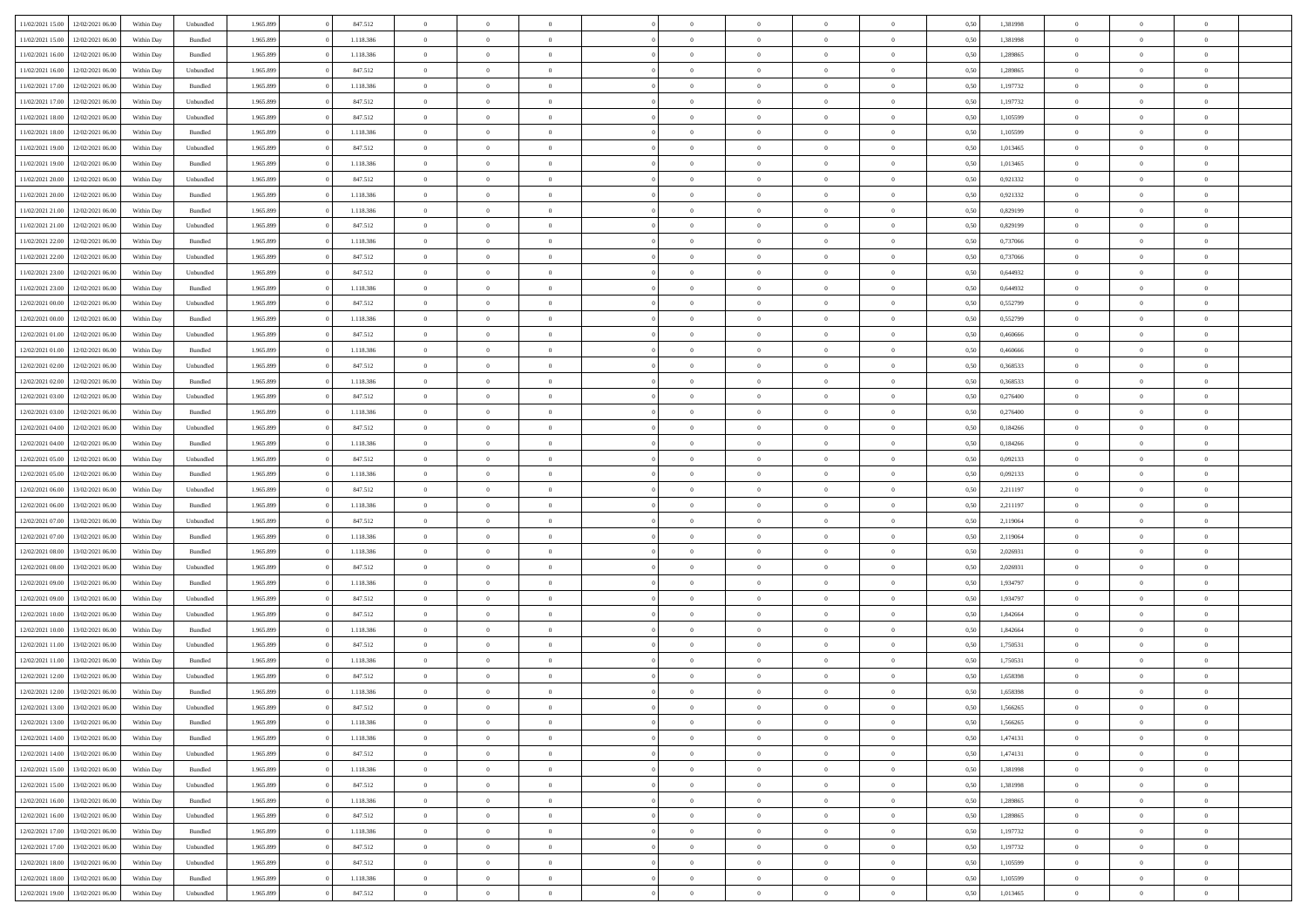| 11/02/2021 15:00 | 12/02/2021 06:00                  | Within Day | Unbundled | 1.965.899 | 847.512   | $\overline{0}$ | $\Omega$       |                | $\Omega$       | $\Omega$       | $\theta$       | $\theta$       | 0,50 | 1,381998 | $\theta$       | $\theta$       | $\theta$       |  |
|------------------|-----------------------------------|------------|-----------|-----------|-----------|----------------|----------------|----------------|----------------|----------------|----------------|----------------|------|----------|----------------|----------------|----------------|--|
|                  |                                   |            |           |           |           |                |                |                |                |                |                |                |      |          |                |                |                |  |
| 11/02/2021 15:00 | 12/02/2021 06:00                  | Within Day | Bundled   | 1.965.899 | 1.118.386 | $\overline{0}$ | $\theta$       | $\overline{0}$ | $\overline{0}$ | $\bf{0}$       | $\overline{0}$ | $\bf{0}$       | 0,50 | 1,381998 | $\theta$       | $\theta$       | $\overline{0}$ |  |
| 11/02/2021 16:00 | 12/02/2021 06:00                  | Within Day | Bundled   | 1.965.899 | 1.118.386 | $\overline{0}$ | $\overline{0}$ | $\overline{0}$ | $\overline{0}$ | $\bf{0}$       | $\overline{0}$ | $\mathbf{0}$   | 0,50 | 1,289865 | $\overline{0}$ | $\overline{0}$ | $\overline{0}$ |  |
| 11/02/2021 16:00 | 12/02/2021 06:00                  | Within Dav | Unbundled | 1.965.899 | 847.512   | $\overline{0}$ | $\overline{0}$ | $\overline{0}$ | $\overline{0}$ | $\bf{0}$       | $\overline{0}$ | $\overline{0}$ | 0.50 | 1.289865 | $\theta$       | $\theta$       | $\overline{0}$ |  |
| 11/02/2021 17:00 | 12/02/2021 06:00                  | Within Day | Bundled   | 1.965.899 | 1.118.386 | $\overline{0}$ | $\theta$       | $\overline{0}$ | $\overline{0}$ | $\bf{0}$       | $\overline{0}$ | $\bf{0}$       | 0,50 | 1,197732 | $\theta$       | $\overline{0}$ | $\overline{0}$ |  |
| 11/02/2021 17:00 | 12/02/2021 06:00                  | Within Day | Unbundled | 1.965.899 | 847.512   | $\overline{0}$ | $\bf{0}$       | $\overline{0}$ | $\overline{0}$ | $\overline{0}$ | $\overline{0}$ | $\mathbf{0}$   | 0,50 | 1,197732 | $\overline{0}$ | $\overline{0}$ | $\bf{0}$       |  |
|                  |                                   |            |           |           |           |                |                |                |                | $\overline{0}$ |                |                |      |          | $\theta$       | $\overline{0}$ | $\overline{0}$ |  |
| 11/02/2021 18:00 | 12/02/2021 06:00                  | Within Dav | Unbundled | 1.965.899 | 847.512   | $\overline{0}$ | $\overline{0}$ | $\overline{0}$ | $\overline{0}$ |                | $\overline{0}$ | $\overline{0}$ | 0.50 | 1,105599 |                |                |                |  |
| 11/02/2021 18:00 | 12/02/2021 06:00                  | Within Day | Bundled   | 1.965.899 | 1.118.386 | $\overline{0}$ | $\theta$       | $\overline{0}$ | $\overline{0}$ | $\bf{0}$       | $\overline{0}$ | $\bf{0}$       | 0,50 | 1,105599 | $\theta$       | $\theta$       | $\overline{0}$ |  |
| 11/02/2021 19:00 | 12/02/2021 06:00                  | Within Day | Unbundled | 1.965.899 | 847.512   | $\overline{0}$ | $\overline{0}$ | $\overline{0}$ | $\overline{0}$ | $\bf{0}$       | $\overline{0}$ | $\mathbf{0}$   | 0,50 | 1,013465 | $\,0\,$        | $\overline{0}$ | $\overline{0}$ |  |
| 11/02/2021 19:00 | 12/02/2021 06:00                  | Within Dav | Bundled   | 1.965.899 | 1.118.386 | $\overline{0}$ | $\overline{0}$ | $\overline{0}$ | $\overline{0}$ | $\overline{0}$ | $\overline{0}$ | $\overline{0}$ | 0.50 | 1,013465 | $\theta$       | $\overline{0}$ | $\overline{0}$ |  |
| 11/02/2021 20:00 | 12/02/2021 06:00                  | Within Day | Unbundled | 1.965.899 | 847.512   | $\overline{0}$ | $\theta$       | $\overline{0}$ | $\overline{0}$ | $\bf{0}$       | $\overline{0}$ | $\bf{0}$       | 0,50 | 0,921332 | $\,$ 0 $\,$    | $\overline{0}$ | $\overline{0}$ |  |
| 11/02/2021 20:00 | 12/02/2021 06:00                  | Within Day | Bundled   | 1.965.899 | 1.118.386 | $\overline{0}$ | $\overline{0}$ | $\overline{0}$ | $\overline{0}$ | $\bf{0}$       | $\overline{0}$ | $\mathbf{0}$   | 0,50 | 0,921332 | $\overline{0}$ | $\overline{0}$ | $\overline{0}$ |  |
| 11/02/2021 21:00 | 12/02/2021 06:00                  | Within Day | Bundled   | 1.965.899 | 1.118.386 | $\overline{0}$ | $\overline{0}$ | $\overline{0}$ | $\overline{0}$ | $\bf{0}$       | $\overline{0}$ | $\overline{0}$ | 0.50 | 0.829199 | $\theta$       | $\theta$       | $\overline{0}$ |  |
| 11/02/2021 21:00 | 12/02/2021 06:00                  |            |           | 1.965.899 | 847.512   | $\overline{0}$ | $\theta$       | $\overline{0}$ | $\overline{0}$ | $\bf{0}$       | $\overline{0}$ |                |      | 0,829199 | $\theta$       | $\overline{0}$ | $\overline{0}$ |  |
|                  |                                   | Within Day | Unbundled |           |           |                |                |                |                |                |                | $\bf{0}$       | 0,50 |          |                |                |                |  |
| 11/02/2021 22:00 | 12/02/2021 06:00                  | Within Day | Bundled   | 1.965.899 | 1.118.386 | $\overline{0}$ | $\overline{0}$ | $\overline{0}$ | $\bf{0}$       | $\overline{0}$ | $\overline{0}$ | $\mathbf{0}$   | 0,50 | 0,737066 | $\overline{0}$ | $\overline{0}$ | $\bf{0}$       |  |
| 11/02/2021 22:00 | 12/02/2021 06:00                  | Within Day | Unbundled | 1.965.899 | 847.512   | $\overline{0}$ | $\overline{0}$ | $\overline{0}$ | $\overline{0}$ | $\overline{0}$ | $\overline{0}$ | $\overline{0}$ | 0.50 | 0,737066 | $\theta$       | $\overline{0}$ | $\overline{0}$ |  |
| 11/02/2021 23:00 | 12/02/2021 06:00                  | Within Day | Unbundled | 1.965.899 | 847.512   | $\overline{0}$ | $\theta$       | $\overline{0}$ | $\overline{0}$ | $\bf{0}$       | $\overline{0}$ | $\bf{0}$       | 0,50 | 0,644932 | $\,$ 0 $\,$    | $\theta$       | $\overline{0}$ |  |
| 11/02/2021 23:00 | 12/02/2021 06:00                  | Within Day | Bundled   | 1.965.899 | 1.118.386 | $\overline{0}$ | $\overline{0}$ | $\overline{0}$ | $\bf{0}$       | $\bf{0}$       | $\bf{0}$       | $\mathbf{0}$   | 0,50 | 0,644932 | $\,0\,$        | $\overline{0}$ | $\overline{0}$ |  |
| 12/02/2021 00:00 | 12/02/2021 06:00                  | Within Day | Unbundled | 1.965.899 | 847.512   | $\overline{0}$ | $\overline{0}$ | $\overline{0}$ | $\overline{0}$ | $\overline{0}$ | $\overline{0}$ | $\overline{0}$ | 0.50 | 0,552799 | $\theta$       | $\overline{0}$ | $\overline{0}$ |  |
| 12/02/2021 00:00 | 12/02/2021 06:00                  | Within Day | Bundled   | 1.965.899 | 1.118.386 | $\overline{0}$ | $\theta$       | $\overline{0}$ | $\overline{0}$ | $\bf{0}$       | $\overline{0}$ | $\bf{0}$       | 0,50 | 0,552799 | $\,$ 0 $\,$    | $\overline{0}$ | $\overline{0}$ |  |
| 12/02/2021 01:00 | 12/02/2021 06:00                  | Within Day | Unbundled | 1.965.899 | 847.512   | $\overline{0}$ | $\overline{0}$ | $\overline{0}$ | $\bf{0}$       | $\bf{0}$       | $\bf{0}$       | $\mathbf{0}$   | 0,50 | 0,460666 | $\bf{0}$       | $\overline{0}$ | $\overline{0}$ |  |
|                  |                                   |            |           |           |           |                |                |                |                |                |                |                |      |          |                |                |                |  |
| 12/02/2021 01:00 | 12/02/2021 06:00                  | Within Day | Bundled   | 1.965.899 | 1.118.386 | $\overline{0}$ | $\overline{0}$ | $\overline{0}$ | $\overline{0}$ | $\overline{0}$ | $\overline{0}$ | $\overline{0}$ | 0.50 | 0.460666 | $\theta$       | $\overline{0}$ | $\overline{0}$ |  |
| 12/02/2021 02:00 | 12/02/2021 06:00                  | Within Day | Unbundled | 1.965.899 | 847.512   | $\overline{0}$ | $\theta$       | $\overline{0}$ | $\overline{0}$ | $\bf{0}$       | $\overline{0}$ | $\bf{0}$       | 0,50 | 0,368533 | $\,$ 0 $\,$    | $\overline{0}$ | $\overline{0}$ |  |
| 12/02/2021 02:00 | 12/02/2021 06:00                  | Within Day | Bundled   | 1.965.899 | 1.118.386 | $\overline{0}$ | $\overline{0}$ | $\overline{0}$ | $\bf{0}$       | $\overline{0}$ | $\overline{0}$ | $\mathbf{0}$   | 0,50 | 0,368533 | $\overline{0}$ | $\overline{0}$ | $\bf{0}$       |  |
| 12/02/2021 03:00 | 12/02/2021 06:00                  | Within Dav | Unbundled | 1.965.899 | 847.512   | $\overline{0}$ | $\overline{0}$ | $\overline{0}$ | $\overline{0}$ | $\overline{0}$ | $\overline{0}$ | $\overline{0}$ | 0.50 | 0,276400 | $\theta$       | $\overline{0}$ | $\overline{0}$ |  |
| 12/02/2021 03:00 | 12/02/2021 06:00                  | Within Day | Bundled   | 1.965.899 | 1.118.386 | $\overline{0}$ | $\theta$       | $\overline{0}$ | $\overline{0}$ | $\bf{0}$       | $\overline{0}$ | $\bf{0}$       | 0,50 | 0,276400 | $\theta$       | $\theta$       | $\overline{0}$ |  |
| 12/02/2021 04:00 | 12/02/2021 06:00                  | Within Day | Unbundled | 1.965.899 | 847.512   | $\overline{0}$ | $\overline{0}$ | $\overline{0}$ | $\bf{0}$       | $\bf{0}$       | $\bf{0}$       | $\mathbf{0}$   | 0,50 | 0,184266 | $\,0\,$        | $\overline{0}$ | $\overline{0}$ |  |
| 12/02/2021 04:00 | 12/02/2021 06:00                  | Within Day | Bundled   | 1.965.899 | 1.118.386 | $\overline{0}$ | $\overline{0}$ | $\overline{0}$ | $\overline{0}$ | $\overline{0}$ | $\overline{0}$ | $\overline{0}$ | 0.50 | 0,184266 | $\theta$       | $\overline{0}$ | $\overline{0}$ |  |
|                  |                                   |            |           |           |           |                |                |                |                |                |                |                |      |          |                |                |                |  |
| 12/02/2021 05:00 | 12/02/2021 06:00                  | Within Day | Unbundled | 1.965.899 | 847.512   | $\overline{0}$ | $\theta$       | $\overline{0}$ | $\overline{0}$ | $\bf{0}$       | $\overline{0}$ | $\bf{0}$       | 0,50 | 0,092133 | $\,$ 0 $\,$    | $\overline{0}$ | $\overline{0}$ |  |
| 12/02/2021 05:00 | 12/02/2021 06:00                  | Within Day | Bundled   | 1.965.899 | 1.118.386 | $\overline{0}$ | $\overline{0}$ | $\overline{0}$ | $\bf{0}$       | $\bf{0}$       | $\bf{0}$       | $\bf{0}$       | 0,50 | 0,092133 | $\overline{0}$ | $\overline{0}$ | $\overline{0}$ |  |
| 12/02/2021 06:00 | 13/02/2021 06:00                  | Within Day | Unbundled | 1.965.899 | 847.512   | $\overline{0}$ | $\Omega$       | $\overline{0}$ | $\Omega$       | $\Omega$       | $\overline{0}$ | $\overline{0}$ | 0,50 | 2,211197 | $\,0\,$        | $\theta$       | $\theta$       |  |
| 12/02/2021 06:00 | 13/02/2021 06:00                  | Within Day | Bundled   | 1.965.899 | 1.118.386 | $\overline{0}$ | $\theta$       | $\overline{0}$ | $\overline{0}$ | $\bf{0}$       | $\overline{0}$ | $\bf{0}$       | 0,50 | 2,211197 | $\,$ 0 $\,$    | $\overline{0}$ | $\overline{0}$ |  |
| 12/02/2021 07:00 | 13/02/2021 06:00                  | Within Day | Unbundled | 1.965.899 | 847.512   | $\overline{0}$ | $\overline{0}$ | $\overline{0}$ | $\bf{0}$       | $\bf{0}$       | $\overline{0}$ | $\mathbf{0}$   | 0,50 | 2,119064 | $\overline{0}$ | $\overline{0}$ | $\bf{0}$       |  |
| 12/02/2021 07:00 | 13/02/2021 06:00                  | Within Day | Bundled   | 1.965.899 | 1.118.386 | $\overline{0}$ | $\Omega$       | $\overline{0}$ | $\Omega$       | $\overline{0}$ | $\overline{0}$ | $\overline{0}$ | 0.50 | 2,119064 | $\,0\,$        | $\theta$       | $\theta$       |  |
| 12/02/2021 08:00 | 13/02/2021 06:00                  | Within Day | Bundled   | 1.965.899 | 1.118.386 | $\overline{0}$ | $\theta$       | $\overline{0}$ | $\overline{0}$ | $\bf{0}$       | $\overline{0}$ | $\bf{0}$       | 0,50 | 2,026931 | $\,$ 0 $\,$    | $\overline{0}$ | $\overline{0}$ |  |
| 12/02/2021 08:00 | 13/02/2021 06:00                  | Within Day | Unbundled | 1.965.899 | 847.512   | $\overline{0}$ | $\overline{0}$ | $\overline{0}$ | $\overline{0}$ | $\bf{0}$       | $\overline{0}$ | $\mathbf{0}$   | 0,50 | 2,026931 | $\bf{0}$       | $\overline{0}$ | $\overline{0}$ |  |
|                  |                                   |            |           |           |           |                | $\Omega$       |                |                |                |                |                |      |          |                |                | $\theta$       |  |
| 12/02/2021 09:00 | 13/02/2021 06:00                  | Within Day | Bundled   | 1.965.899 | 1.118.386 | $\overline{0}$ |                | $\overline{0}$ | $\Omega$       | $\overline{0}$ | $\overline{0}$ | $\overline{0}$ | 0.50 | 1,934797 | $\,$ 0 $\,$    | $\theta$       |                |  |
| 12/02/2021 09:00 | 13/02/2021 06:00                  | Within Day | Unbundled | 1.965.899 | 847.512   | $\overline{0}$ | $\theta$       | $\overline{0}$ | $\overline{0}$ | $\,$ 0         | $\overline{0}$ | $\bf{0}$       | 0,50 | 1,934797 | $\,$ 0 $\,$    | $\overline{0}$ | $\overline{0}$ |  |
| 12/02/2021 10:00 | 13/02/2021 06:00                  | Within Day | Unbundled | 1.965.899 | 847.512   | $\overline{0}$ | $\overline{0}$ | $\overline{0}$ | $\overline{0}$ | $\bf{0}$       | $\overline{0}$ | $\mathbf{0}$   | 0,50 | 1,842664 | $\overline{0}$ | $\overline{0}$ | $\overline{0}$ |  |
| 12/02/2021 10:00 | 13/02/2021 06:00                  | Within Day | Bundled   | 1.965.899 | 1.118.386 | $\overline{0}$ | $\Omega$       | $\overline{0}$ | $\Omega$       | $\overline{0}$ | $\overline{0}$ | $\overline{0}$ | 0,50 | 1,842664 | $\,0\,$        | $\theta$       | $\theta$       |  |
| 12/02/2021 11:00 | 13/02/2021 06:00                  | Within Day | Unbundled | 1.965.899 | 847.512   | $\overline{0}$ | $\theta$       | $\overline{0}$ | $\overline{0}$ | $\,$ 0         | $\overline{0}$ | $\bf{0}$       | 0,50 | 1,750531 | $\,$ 0 $\,$    | $\overline{0}$ | $\overline{0}$ |  |
| 12/02/2021 11:00 | 13/02/2021 06:00                  | Within Day | Bundled   | 1.965.899 | 1.118.386 | $\overline{0}$ | $\overline{0}$ | $\overline{0}$ | $\overline{0}$ | $\bf{0}$       | $\overline{0}$ | $\mathbf{0}$   | 0,50 | 1,750531 | $\overline{0}$ | $\overline{0}$ | $\bf{0}$       |  |
| 12/02/2021 12:00 | 13/02/2021 06:00                  | Within Day | Unbundled | 1.965.899 | 847.512   | $\overline{0}$ | $\Omega$       | $\Omega$       | $\Omega$       | $\Omega$       | $\Omega$       | $\overline{0}$ | 0.50 | 1,658398 | $\theta$       | $\theta$       | $\theta$       |  |
| 12/02/2021 12:00 | 13/02/2021 06:00                  | Within Day | Bundled   | 1.965.899 | 1.118.386 | $\overline{0}$ | $\overline{0}$ | $\overline{0}$ | $\bf{0}$       | $\,$ 0         | $\overline{0}$ | $\bf{0}$       | 0,50 | 1,658398 | $\,0\,$        | $\overline{0}$ | $\overline{0}$ |  |
| 12/02/2021 13:00 | 13/02/2021 06:00                  | Within Day | Unbundled | 1.965.899 | 847.512   | $\bf{0}$       | $\bf{0}$       |                |                | $\bf{0}$       |                |                | 0,50 | 1,566265 | $\bf{0}$       | $\overline{0}$ |                |  |
|                  |                                   |            |           |           |           |                |                |                |                |                |                |                |      |          |                |                | $\Omega$       |  |
| 12/02/2021 13:00 | 13/02/2021 06:00                  | Within Day | Bundled   | 1.965.899 | 1.118.386 | $\overline{0}$ | $\overline{0}$ | $\overline{0}$ | $\Omega$       | $\overline{0}$ | $\overline{0}$ | $\overline{0}$ | 0,50 | 1.566265 | $\theta$       | $\theta$       |                |  |
| 12/02/2021 14:00 | 13/02/2021 06:00                  | Within Day | Bundled   | 1.965.899 | 1.118.386 | $\overline{0}$ | $\bf{0}$       | $\overline{0}$ | $\overline{0}$ | $\,$ 0 $\,$    | $\overline{0}$ | $\,$ 0 $\,$    | 0,50 | 1,474131 | $\,$ 0 $\,$    | $\,$ 0 $\,$    | $\,$ 0         |  |
| 12/02/2021 14:00 | 13/02/2021 06:00                  | Within Day | Unbundled | 1.965.899 | 847.512   | $\overline{0}$ | $\overline{0}$ | $\overline{0}$ | $\overline{0}$ | $\overline{0}$ | $\overline{0}$ | $\mathbf{0}$   | 0,50 | 1,474131 | $\overline{0}$ | $\bf{0}$       | $\overline{0}$ |  |
| 12/02/2021 15:00 | 13/02/2021 06:00                  | Within Day | Bundled   | 1.965.899 | 1.118.386 | $\overline{0}$ | $\overline{0}$ | $\overline{0}$ | $\Omega$       | $\overline{0}$ | $\overline{0}$ | $\overline{0}$ | 0,50 | 1,381998 | $\overline{0}$ | $\overline{0}$ | $\overline{0}$ |  |
| 12/02/2021 15:00 | 13/02/2021 06:00                  | Within Day | Unbundled | 1.965.899 | 847.512   | $\overline{0}$ | $\,$ 0         | $\overline{0}$ | $\overline{0}$ | $\,$ 0 $\,$    | $\overline{0}$ | $\,$ 0 $\,$    | 0,50 | 1,381998 | $\,$ 0 $\,$    | $\overline{0}$ | $\overline{0}$ |  |
| 12/02/2021 16:00 | 13/02/2021 06:00                  | Within Day | Bundled   | 1.965.899 | 1.118.386 | $\overline{0}$ | $\overline{0}$ | $\overline{0}$ | $\overline{0}$ | $\overline{0}$ | $\overline{0}$ | $\mathbf{0}$   | 0,50 | 1,289865 | $\overline{0}$ | $\overline{0}$ | $\overline{0}$ |  |
| 12/02/2021 16:00 | 13/02/2021 06:00                  | Within Day | Unbundled | 1.965.899 | 847.512   | $\overline{0}$ | $\overline{0}$ | $\overline{0}$ | $\overline{0}$ | $\overline{0}$ | $\overline{0}$ | $\bf{0}$       | 0.50 | 1,289865 | $\overline{0}$ | $\theta$       | $\overline{0}$ |  |
| 12/02/2021 17:00 | 13/02/2021 06:00                  | Within Day | Bundled   | 1.965.899 | 1.118.386 | $\overline{0}$ | $\,$ 0         | $\overline{0}$ | $\bf{0}$       | $\bf{0}$       | $\bf{0}$       | $\bf{0}$       | 0,50 | 1,197732 | $\,$ 0 $\,$    | $\overline{0}$ | $\overline{0}$ |  |
|                  |                                   |            |           |           |           |                |                |                |                |                |                |                |      |          |                |                |                |  |
| 12/02/2021 17:00 | 13/02/2021 06:00                  | Within Day | Unbundled | 1.965.899 | 847.512   | $\overline{0}$ | $\bf{0}$       | $\overline{0}$ | $\overline{0}$ | $\overline{0}$ | $\overline{0}$ | $\mathbf{0}$   | 0,50 | 1,197732 | $\overline{0}$ | $\overline{0}$ | $\bf{0}$       |  |
| 12/02/2021 18:00 | 13/02/2021 06:00                  | Within Day | Unbundled | 1.965.899 | 847.512   | $\overline{0}$ | $\overline{0}$ | $\overline{0}$ | $\Omega$       | $\overline{0}$ | $\overline{0}$ | $\overline{0}$ | 0.50 | 1,105599 | $\overline{0}$ | $\overline{0}$ | $\overline{0}$ |  |
| 12/02/2021 18:00 | 13/02/2021 06:00                  | Within Day | Bundled   | 1.965.899 | 1.118.386 | $\overline{0}$ | $\bf{0}$       | $\overline{0}$ | $\bf{0}$       | $\bf{0}$       | $\bf{0}$       | $\mathbf{0}$   | 0,50 | 1,105599 | $\,$ 0 $\,$    | $\,$ 0 $\,$    | $\bf{0}$       |  |
|                  | 12/02/2021 19:00 13/02/2021 06:00 | Within Day | Unbundled | 1.965.899 | 847.512   | $\overline{0}$ | $\overline{0}$ | $\overline{0}$ | $\overline{0}$ | $\overline{0}$ | $\bf{0}$       | $\mathbf{0}$   | 0,50 | 1,013465 | $\overline{0}$ | $\bf{0}$       | $\overline{0}$ |  |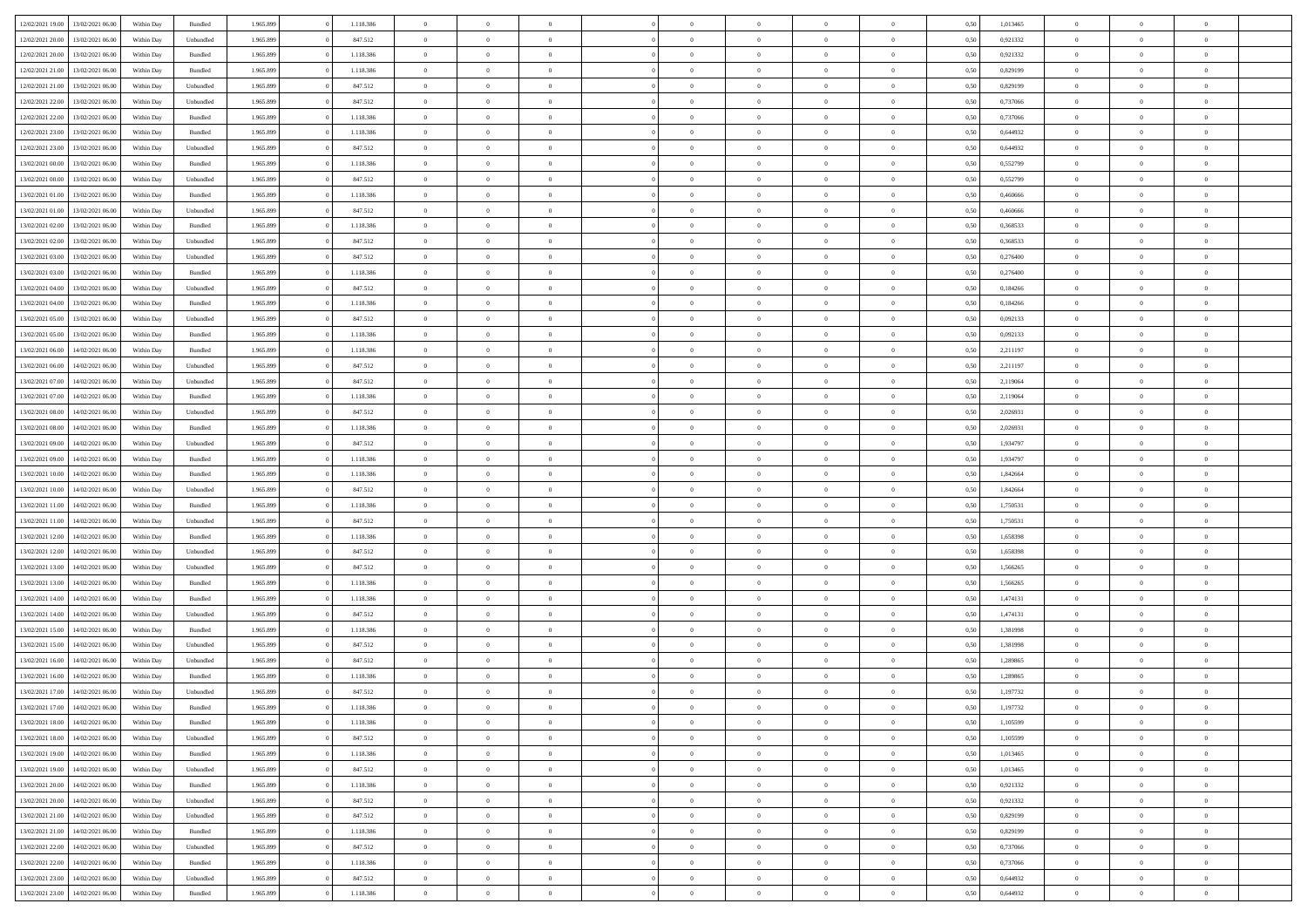|                  | 13/02/2021 06:00 | Within Day | Bundled            | 1.965.899 | 1.118.386 | $\overline{0}$ | $\Omega$       |                | $\Omega$       | $\Omega$       | $\theta$       | $\theta$       | 0,50 | 1,013465 | $\theta$       | $\theta$       | $\theta$       |  |
|------------------|------------------|------------|--------------------|-----------|-----------|----------------|----------------|----------------|----------------|----------------|----------------|----------------|------|----------|----------------|----------------|----------------|--|
| 12/02/2021 19:00 |                  |            |                    |           |           |                |                |                |                |                |                |                |      |          |                |                |                |  |
| 12/02/2021 20:00 | 13/02/2021 06:00 | Within Day | Unbundled          | 1.965.899 | 847.512   | $\overline{0}$ | $\theta$       | $\overline{0}$ | $\overline{0}$ | $\bf{0}$       | $\overline{0}$ | $\bf{0}$       | 0,50 | 0,921332 | $\theta$       | $\overline{0}$ | $\overline{0}$ |  |
| 12/02/2021 20:00 | 13/02/2021 06:00 | Within Day | Bundled            | 1.965.899 | 1.118.386 | $\overline{0}$ | $\bf{0}$       | $\overline{0}$ | $\bf{0}$       | $\bf{0}$       | $\bf{0}$       | $\mathbf{0}$   | 0,50 | 0,921332 | $\bf{0}$       | $\overline{0}$ | $\overline{0}$ |  |
| 12/02/2021 21:00 | 13/02/2021 06:00 | Within Dav | Bundled            | 1.965.899 | 1.118.386 | $\overline{0}$ | $\overline{0}$ | $\overline{0}$ | $\overline{0}$ | $\bf{0}$       | $\overline{0}$ | $\overline{0}$ | 0.50 | 0.829199 | $\theta$       | $\theta$       | $\overline{0}$ |  |
|                  |                  |            |                    |           |           | $\overline{0}$ | $\theta$       | $\overline{0}$ |                | $\bf{0}$       | $\overline{0}$ |                |      |          | $\theta$       | $\overline{0}$ | $\overline{0}$ |  |
| 12/02/2021 21:00 | 13/02/2021 06:00 | Within Day | Unbundled          | 1.965.899 | 847.512   |                |                |                | $\overline{0}$ |                |                | $\bf{0}$       | 0,50 | 0,829199 |                |                |                |  |
| 12/02/2021 22:00 | 13/02/2021 06:00 | Within Day | Unbundled          | 1.965.899 | 847.512   | $\overline{0}$ | $\bf{0}$       | $\overline{0}$ | $\bf{0}$       | $\overline{0}$ | $\overline{0}$ | $\mathbf{0}$   | 0,50 | 0,737066 | $\overline{0}$ | $\overline{0}$ | $\bf{0}$       |  |
| 12/02/2021 22:00 | 13/02/2021 06:00 | Within Dav | Bundled            | 1.965.899 | 1.118.386 | $\overline{0}$ | $\overline{0}$ | $\overline{0}$ | $\overline{0}$ | $\overline{0}$ | $\overline{0}$ | $\overline{0}$ | 0.50 | 0,737066 | $\theta$       | $\overline{0}$ | $\overline{0}$ |  |
| 12/02/2021 23:00 | 13/02/2021 06:00 | Within Day | Bundled            | 1.965.899 | 1.118.386 | $\overline{0}$ | $\theta$       | $\overline{0}$ | $\overline{0}$ | $\bf{0}$       | $\overline{0}$ | $\bf{0}$       | 0,50 | 0,644932 | $\theta$       | $\theta$       | $\overline{0}$ |  |
| 12/02/2021 23:00 | 13/02/2021 06:00 | Within Day | Unbundled          | 1.965.899 | 847.512   | $\overline{0}$ | $\overline{0}$ | $\overline{0}$ | $\bf{0}$       | $\bf{0}$       | $\bf{0}$       | $\mathbf{0}$   | 0,50 | 0,644932 | $\,0\,$        | $\overline{0}$ | $\overline{0}$ |  |
| 13/02/2021 00:00 | 13/02/2021 06:00 | Within Dav | Bundled            | 1.965.899 | 1.118.386 | $\overline{0}$ | $\overline{0}$ | $\overline{0}$ | $\overline{0}$ | $\overline{0}$ | $\overline{0}$ | $\overline{0}$ | 0.50 | 0,552799 | $\theta$       | $\overline{0}$ | $\overline{0}$ |  |
|                  |                  |            |                    |           |           |                |                |                |                |                |                |                |      |          |                |                |                |  |
| 13/02/2021 00:00 | 13/02/2021 06:00 | Within Day | Unbundled          | 1.965.899 | 847.512   | $\overline{0}$ | $\theta$       | $\overline{0}$ | $\overline{0}$ | $\bf{0}$       | $\overline{0}$ | $\bf{0}$       | 0,50 | 0,552799 | $\,$ 0 $\,$    | $\overline{0}$ | $\overline{0}$ |  |
| 13/02/2021 01:00 | 13/02/2021 06:00 | Within Day | Bundled            | 1.965.899 | 1.118.386 | $\overline{0}$ | $\overline{0}$ | $\overline{0}$ | $\bf{0}$       | $\bf{0}$       | $\bf{0}$       | $\mathbf{0}$   | 0,50 | 0,460666 | $\overline{0}$ | $\overline{0}$ | $\bf{0}$       |  |
| 13/02/2021 01:00 | 13/02/2021 06:00 | Within Day | Unbundled          | 1.965.899 | 847.512   | $\overline{0}$ | $\overline{0}$ | $\overline{0}$ | $\overline{0}$ | $\bf{0}$       | $\overline{0}$ | $\overline{0}$ | 0.50 | 0.460666 | $\theta$       | $\theta$       | $\overline{0}$ |  |
| 13/02/2021 02:00 | 13/02/2021 06:00 | Within Day | Bundled            | 1.965.899 | 1.118.386 | $\overline{0}$ | $\theta$       | $\overline{0}$ | $\overline{0}$ | $\bf{0}$       | $\overline{0}$ | $\bf{0}$       | 0,50 | 0,368533 | $\theta$       | $\overline{0}$ | $\overline{0}$ |  |
| 13/02/2021 02:00 | 13/02/2021 06:00 | Within Day | Unbundled          | 1.965.899 | 847.512   | $\overline{0}$ | $\overline{0}$ | $\overline{0}$ | $\bf{0}$       | $\overline{0}$ | $\overline{0}$ | $\mathbf{0}$   | 0,50 | 0,368533 | $\overline{0}$ | $\overline{0}$ | $\bf{0}$       |  |
|                  |                  |            |                    |           |           |                |                |                |                |                |                |                |      |          |                |                |                |  |
| 13/02/2021 03:00 | 13/02/2021 06:00 | Within Day | Unbundled          | 1.965.899 | 847.512   | $\overline{0}$ | $\overline{0}$ | $\overline{0}$ | $\overline{0}$ | $\overline{0}$ | $\overline{0}$ | $\overline{0}$ | 0.50 | 0,276400 | $\theta$       | $\overline{0}$ | $\overline{0}$ |  |
| 13/02/2021 03:00 | 13/02/2021 06:00 | Within Day | Bundled            | 1.965.899 | 1.118.386 | $\overline{0}$ | $\theta$       | $\overline{0}$ | $\overline{0}$ | $\bf{0}$       | $\overline{0}$ | $\bf{0}$       | 0,50 | 0,276400 | $\,$ 0 $\,$    | $\theta$       | $\overline{0}$ |  |
| 13/02/2021 04:00 | 13/02/2021 06:00 | Within Day | Unbundled          | 1.965.899 | 847.512   | $\overline{0}$ | $\overline{0}$ | $\overline{0}$ | $\overline{0}$ | $\bf{0}$       | $\overline{0}$ | $\mathbf{0}$   | 0,50 | 0,184266 | $\bf{0}$       | $\overline{0}$ | $\overline{0}$ |  |
| 13/02/2021 04:00 | 13/02/2021 06:00 | Within Day | Bundled            | 1.965.899 | 1.118.386 | $\overline{0}$ | $\overline{0}$ | $\overline{0}$ | $\overline{0}$ | $\overline{0}$ | $\overline{0}$ | $\overline{0}$ | 0.50 | 0,184266 | $\theta$       | $\overline{0}$ | $\overline{0}$ |  |
| 13/02/2021 05:00 | 13/02/2021 06:00 | Within Day | Unbundled          | 1.965.899 | 847.512   | $\overline{0}$ | $\theta$       | $\overline{0}$ | $\overline{0}$ | $\bf{0}$       | $\overline{0}$ | $\bf{0}$       | 0,50 | 0,092133 | $\,$ 0 $\,$    | $\overline{0}$ | $\overline{0}$ |  |
| 13/02/2021 05:00 | 13/02/2021 06:00 | Within Day | Bundled            | 1.965.899 | 1.118.386 | $\overline{0}$ | $\overline{0}$ | $\overline{0}$ | $\overline{0}$ | $\bf{0}$       | $\overline{0}$ | $\mathbf{0}$   | 0,50 | 0,092133 | $\,0\,$        | $\overline{0}$ | $\overline{0}$ |  |
|                  |                  |            |                    |           |           |                |                |                |                |                |                |                |      |          |                |                |                |  |
| 13/02/2021 06:00 | 14/02/2021 06:00 | Within Day | Bundled            | 1.965.899 | 1.118.386 | $\overline{0}$ | $\overline{0}$ | $\overline{0}$ | $\overline{0}$ | $\overline{0}$ | $\overline{0}$ | $\overline{0}$ | 0.50 | 2,211197 | $\theta$       | $\overline{0}$ | $\overline{0}$ |  |
| 13/02/2021 06:00 | 14/02/2021 06:00 | Within Day | Unbundled          | 1.965.899 | 847.512   | $\overline{0}$ | $\theta$       | $\overline{0}$ | $\overline{0}$ | $\bf{0}$       | $\overline{0}$ | $\bf{0}$       | 0,50 | 2,211197 | $\,$ 0 $\,$    | $\overline{0}$ | $\overline{0}$ |  |
| 13/02/2021 07:00 | 14/02/2021 06:00 | Within Day | Unbundled          | 1.965.899 | 847.512   | $\overline{0}$ | $\overline{0}$ | $\overline{0}$ | $\overline{0}$ | $\overline{0}$ | $\overline{0}$ | $\mathbf{0}$   | 0,50 | 2,119064 | $\overline{0}$ | $\overline{0}$ | $\bf{0}$       |  |
| 13/02/2021 07:00 | 14/02/2021 06:00 | Within Day | Bundled            | 1.965.899 | 1.118.386 | $\overline{0}$ | $\overline{0}$ | $\overline{0}$ | $\overline{0}$ | $\overline{0}$ | $\overline{0}$ | $\overline{0}$ | 0.50 | 2,119064 | $\theta$       | $\overline{0}$ | $\overline{0}$ |  |
| 13/02/2021 08:00 | 14/02/2021 06:00 | Within Day | Unbundled          | 1.965.899 | 847.512   | $\overline{0}$ | $\theta$       | $\overline{0}$ | $\overline{0}$ | $\bf{0}$       | $\overline{0}$ | $\bf{0}$       | 0,50 | 2,026931 | $\theta$       | $\theta$       | $\overline{0}$ |  |
| 13/02/2021 08:00 | 14/02/2021 06:00 | Within Day | Bundled            | 1.965.899 | 1.118.386 | $\overline{0}$ | $\overline{0}$ | $\overline{0}$ | $\overline{0}$ | $\bf{0}$       | $\overline{0}$ | $\mathbf{0}$   | 0,50 | 2,026931 | $\,0\,$        | $\overline{0}$ | $\overline{0}$ |  |
| 13/02/2021 09:00 | 14/02/2021 06:00 |            | Unbundled          | 1.965.899 | 847.512   | $\overline{0}$ | $\overline{0}$ | $\overline{0}$ | $\overline{0}$ | $\overline{0}$ | $\overline{0}$ | $\overline{0}$ | 0.50 | 1,934797 | $\theta$       | $\overline{0}$ | $\overline{0}$ |  |
|                  |                  | Within Day |                    |           |           |                |                |                |                |                |                |                |      |          |                |                |                |  |
| 13/02/2021 09:00 | 14/02/2021 06:00 | Within Day | Bundled            | 1.965.899 | 1.118.386 | $\overline{0}$ | $\theta$       | $\overline{0}$ | $\overline{0}$ | $\,$ 0         | $\overline{0}$ | $\bf{0}$       | 0,50 | 1,934797 | $\,$ 0 $\,$    | $\overline{0}$ | $\overline{0}$ |  |
| 13/02/2021 10:00 | 14/02/2021 06:00 | Within Day | Bundled            | 1.965.899 | 1.118.386 | $\overline{0}$ | $\overline{0}$ | $\overline{0}$ | $\overline{0}$ | $\bf{0}$       | $\overline{0}$ | $\bf{0}$       | 0,50 | 1,842664 | $\overline{0}$ | $\overline{0}$ | $\overline{0}$ |  |
| 13/02/2021 10:00 | 14/02/2021 06:00 | Within Day | Unbundled          | 1.965.899 | 847.512   | $\overline{0}$ | $\Omega$       | $\overline{0}$ | $\Omega$       | $\Omega$       | $\overline{0}$ | $\overline{0}$ | 0,50 | 1,842664 | $\,0\,$        | $\theta$       | $\theta$       |  |
| 13/02/2021 11:00 | 14/02/2021 06:00 | Within Day | Bundled            | 1.965.899 | 1.118.386 | $\overline{0}$ | $\theta$       | $\overline{0}$ | $\overline{0}$ | $\bf{0}$       | $\overline{0}$ | $\bf{0}$       | 0,50 | 1,750531 | $\,$ 0 $\,$    | $\overline{0}$ | $\overline{0}$ |  |
| 13/02/2021 11:00 | 14/02/2021 06:00 | Within Day | Unbundled          | 1.965.899 | 847.512   | $\overline{0}$ | $\overline{0}$ | $\overline{0}$ | $\overline{0}$ | $\bf{0}$       | $\overline{0}$ | $\mathbf{0}$   | 0,50 | 1,750531 | $\overline{0}$ | $\overline{0}$ | $\bf{0}$       |  |
| 13/02/2021 12:00 | 14/02/2021 06:00 | Within Day | Bundled            | 1.965.899 | 1.118.386 | $\overline{0}$ | $\Omega$       | $\overline{0}$ | $\Omega$       | $\overline{0}$ | $\overline{0}$ | $\overline{0}$ | 0.50 | 1,658398 | $\,0\,$        | $\theta$       | $\theta$       |  |
|                  |                  |            |                    |           |           | $\overline{0}$ | $\theta$       | $\overline{0}$ |                | $\bf{0}$       | $\overline{0}$ |                |      |          |                |                | $\overline{0}$ |  |
| 13/02/2021 12:00 | 14/02/2021 06:00 | Within Day | Unbundled          | 1.965.899 | 847.512   |                |                |                | $\overline{0}$ |                |                | $\bf{0}$       | 0,50 | 1,658398 | $\,$ 0 $\,$    | $\overline{0}$ |                |  |
| 13/02/2021 13:00 | 14/02/2021 06:00 | Within Day | Unbundled          | 1.965.899 | 847.512   | $\overline{0}$ | $\overline{0}$ | $\overline{0}$ | $\bf{0}$       | $\bf{0}$       | $\bf{0}$       | $\mathbf{0}$   | 0,50 | 1,566265 | $\bf{0}$       | $\overline{0}$ | $\overline{0}$ |  |
| 13/02/2021 13:00 | 14/02/2021 06:00 | Within Day | Bundled            | 1.965.899 | 1.118.386 | $\overline{0}$ | $\Omega$       | $\overline{0}$ | $\Omega$       | $\overline{0}$ | $\overline{0}$ | $\overline{0}$ | 0.50 | 1.566265 | $\,$ 0 $\,$    | $\theta$       | $\theta$       |  |
| 13/02/2021 14:00 | 14/02/2021 06:00 | Within Day | Bundled            | 1.965.899 | 1.118.386 | $\overline{0}$ | $\theta$       | $\overline{0}$ | $\overline{0}$ | $\,$ 0         | $\overline{0}$ | $\bf{0}$       | 0,50 | 1,474131 | $\,$ 0 $\,$    | $\overline{0}$ | $\overline{0}$ |  |
| 13/02/2021 14:00 | 14/02/2021 06:00 | Within Day | Unbundled          | 1.965.899 | 847.512   | $\overline{0}$ | $\overline{0}$ | $\overline{0}$ | $\bf{0}$       | $\bf{0}$       | $\bf{0}$       | $\mathbf{0}$   | 0,50 | 1,474131 | $\overline{0}$ | $\overline{0}$ | $\overline{0}$ |  |
| 13/02/2021 15:00 | 14/02/2021 06:00 | Within Day | $\mathbf B$ undled | 1.965.899 | 1.118.386 | $\overline{0}$ | $\Omega$       | $\overline{0}$ | $\Omega$       | $\overline{0}$ | $\overline{0}$ | $\overline{0}$ | 0,50 | 1,381998 | $\,0\,$        | $\theta$       | $\theta$       |  |
| 13/02/2021 15:00 | 14/02/2021 06:00 | Within Day | Unbundled          | 1.965.899 | 847.512   | $\overline{0}$ | $\theta$       | $\overline{0}$ | $\overline{0}$ | $\,$ 0         | $\overline{0}$ | $\bf{0}$       | 0,50 | 1,381998 | $\,$ 0 $\,$    | $\overline{0}$ | $\overline{0}$ |  |
|                  |                  |            |                    |           |           |                |                |                |                |                |                |                |      |          |                |                |                |  |
| 13/02/2021 16:00 | 14/02/2021 06:00 | Within Day | Unbundled          | 1.965.899 | 847.512   | $\overline{0}$ | $\bf{0}$       | $\overline{0}$ | $\bf{0}$       | $\bf{0}$       | $\overline{0}$ | $\mathbf{0}$   | 0,50 | 1,289865 | $\overline{0}$ | $\overline{0}$ | $\bf{0}$       |  |
| 13/02/2021 16:00 | 14/02/2021 06:00 | Within Day | Bundled            | 1.965.899 | 1.118.386 | $\overline{0}$ | $\Omega$       | $\Omega$       | $\Omega$       | $\Omega$       | $\overline{0}$ | $\overline{0}$ | 0.50 | 1,289865 | $\theta$       | $\theta$       | $\theta$       |  |
| 13/02/2021 17:00 | 14/02/2021 06:00 | Within Day | Unbundled          | 1.965.899 | 847.512   | $\overline{0}$ | $\overline{0}$ | $\overline{0}$ | $\bf{0}$       | $\,$ 0         | $\bf{0}$       | $\bf{0}$       | 0,50 | 1,197732 | $\,0\,$        | $\overline{0}$ | $\overline{0}$ |  |
| 13/02/2021 17:00 | 14/02/2021 06:00 | Within Day | $\mathbf B$ undled | 1.965.899 | 1.118.386 | $\bf{0}$       | $\bf{0}$       |                |                | $\bf{0}$       |                |                | 0,50 | 1,197732 | $\bf{0}$       | $\overline{0}$ |                |  |
| 13/02/2021 18:00 | 14/02/2021 06:00 | Within Day | Bundled            | 1.965.899 | 1.118.386 | $\overline{0}$ | $\overline{0}$ | $\overline{0}$ | $\Omega$       | $\overline{0}$ | $\overline{0}$ | $\overline{0}$ | 0,50 | 1.105599 | $\theta$       | $\theta$       | $\theta$       |  |
| 13/02/2021 18:00 | 14/02/2021 06:00 | Within Day | Unbundled          | 1.965.899 | 847.512   | $\overline{0}$ | $\,$ 0         | $\overline{0}$ | $\bf{0}$       | $\,$ 0 $\,$    | $\overline{0}$ | $\,$ 0 $\,$    | 0,50 | 1,105599 | $\,$ 0 $\,$    | $\,$ 0 $\,$    | $\,$ 0         |  |
|                  |                  |            |                    |           |           |                |                |                |                |                |                |                |      |          |                |                |                |  |
| 13/02/2021 19:00 | 14/02/2021 06:00 | Within Day | Bundled            | 1.965.899 | 1.118.386 | $\overline{0}$ | $\overline{0}$ | $\overline{0}$ | $\overline{0}$ | $\overline{0}$ | $\overline{0}$ | $\mathbf{0}$   | 0,50 | 1,013465 | $\overline{0}$ | $\bf{0}$       | $\bf{0}$       |  |
| 13/02/2021 19:00 | 14/02/2021 06:00 | Within Day | Unbundled          | 1.965.899 | 847.512   | $\overline{0}$ | $\overline{0}$ | $\overline{0}$ | $\Omega$       | $\overline{0}$ | $\overline{0}$ | $\overline{0}$ | 0,50 | 1,013465 | $\overline{0}$ | $\overline{0}$ | $\overline{0}$ |  |
| 13/02/2021 20:00 | 14/02/2021 06:00 | Within Day | Bundled            | 1.965.899 | 1.118.386 | $\overline{0}$ | $\,$ 0         | $\overline{0}$ | $\overline{0}$ | $\,$ 0 $\,$    | $\overline{0}$ | $\mathbf{0}$   | 0,50 | 0,921332 | $\,$ 0 $\,$    | $\overline{0}$ | $\overline{0}$ |  |
| 13/02/2021 20:00 | 14/02/2021 06:00 | Within Day | Unbundled          | 1.965.899 | 847.512   | $\overline{0}$ | $\overline{0}$ | $\overline{0}$ | $\overline{0}$ | $\overline{0}$ | $\overline{0}$ | $\mathbf{0}$   | 0,50 | 0,921332 | $\overline{0}$ | $\overline{0}$ | $\bf{0}$       |  |
| 13/02/2021 21:00 | 14/02/2021 06:00 | Within Day | Unbundled          | 1.965.899 | 847.512   | $\overline{0}$ | $\overline{0}$ | $\overline{0}$ | $\overline{0}$ | $\overline{0}$ | $\overline{0}$ | $\bf{0}$       | 0.50 | 0,829199 | $\overline{0}$ | $\theta$       | $\overline{0}$ |  |
| 13/02/2021 21:00 | 14/02/2021 06:00 | Within Day | Bundled            | 1.965.899 | 1.118.386 | $\overline{0}$ | $\,$ 0         | $\overline{0}$ | $\bf{0}$       | $\bf{0}$       | $\bf{0}$       | $\bf{0}$       | 0,50 | 0,829199 | $\,$ 0 $\,$    | $\overline{0}$ | $\overline{0}$ |  |
|                  |                  |            |                    |           |           |                |                |                |                |                |                |                |      |          |                |                |                |  |
| 13/02/2021 22:00 | 14/02/2021 06:00 | Within Day | Unbundled          | 1.965.899 | 847.512   | $\overline{0}$ | $\bf{0}$       | $\overline{0}$ | $\overline{0}$ | $\overline{0}$ | $\overline{0}$ | $\mathbf{0}$   | 0,50 | 0,737066 | $\overline{0}$ | $\overline{0}$ | $\bf{0}$       |  |
| 13/02/2021 22:00 | 14/02/2021 06:00 | Within Day | Bundled            | 1.965.899 | 1.118.386 | $\overline{0}$ | $\overline{0}$ | $\overline{0}$ | $\Omega$       | $\overline{0}$ | $\overline{0}$ | $\overline{0}$ | 0.50 | 0,737066 | $\overline{0}$ | $\overline{0}$ | $\overline{0}$ |  |
| 13/02/2021 23:00 | 14/02/2021 06:00 | Within Day | Unbundled          | 1.965.899 | 847.512   | $\overline{0}$ | $\bf{0}$       | $\overline{0}$ | $\bf{0}$       | $\bf{0}$       | $\bf{0}$       | $\mathbf{0}$   | 0,50 | 0,644932 | $\,$ 0 $\,$    | $\,$ 0 $\,$    | $\bf{0}$       |  |
| 13/02/2021 23:00 | 14/02/2021 06:00 | Within Day | Bundled            | 1.965.899 | 1.118.386 | $\overline{0}$ | $\overline{0}$ | $\overline{0}$ | $\overline{0}$ | $\overline{0}$ | $\overline{0}$ | $\mathbf{0}$   | 0,50 | 0,644932 | $\overline{0}$ | $\bf{0}$       | $\bf{0}$       |  |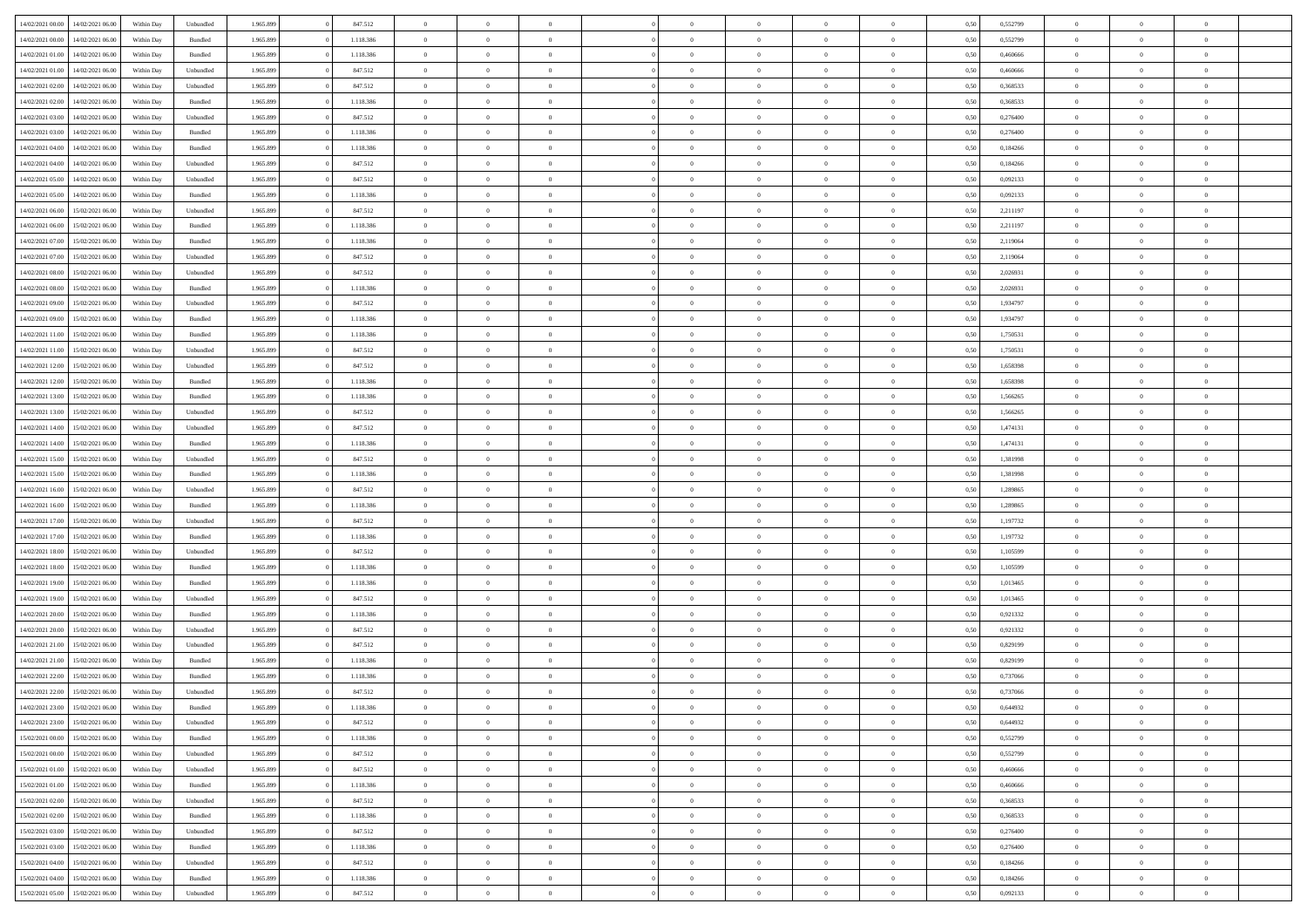|                  |                  |            |                    |           |           |                |                |                |                | $\Omega$       | $\theta$       | $\theta$       |      |          | $\theta$       |                | $\theta$       |  |
|------------------|------------------|------------|--------------------|-----------|-----------|----------------|----------------|----------------|----------------|----------------|----------------|----------------|------|----------|----------------|----------------|----------------|--|
| 14/02/2021 00:00 | 14/02/2021 06:00 | Within Day | Unbundled          | 1.965.899 | 847.512   | $\overline{0}$ | $\theta$       |                | $\Omega$       |                |                |                | 0,50 | 0,552799 |                | $\theta$       |                |  |
| 14/02/2021 00:00 | 14/02/2021 06:00 | Within Day | Bundled            | 1.965.899 | 1.118.386 | $\overline{0}$ | $\theta$       | $\overline{0}$ | $\overline{0}$ | $\bf{0}$       | $\overline{0}$ | $\bf{0}$       | 0,50 | 0,552799 | $\theta$       | $\overline{0}$ | $\overline{0}$ |  |
| 14/02/2021 01:00 | 14/02/2021 06:00 | Within Day | Bundled            | 1.965.899 | 1.118.386 | $\overline{0}$ | $\overline{0}$ | $\overline{0}$ | $\overline{0}$ | $\bf{0}$       | $\overline{0}$ | $\mathbf{0}$   | 0,50 | 0,460666 | $\overline{0}$ | $\overline{0}$ | $\bf{0}$       |  |
| 14/02/2021 01:00 | 14/02/2021 06:00 | Within Day | Unbundled          | 1.965.899 | 847.512   | $\overline{0}$ | $\overline{0}$ | $\overline{0}$ | $\overline{0}$ | $\bf{0}$       | $\overline{0}$ | $\overline{0}$ | 0.50 | 0.460666 | $\theta$       | $\theta$       | $\overline{0}$ |  |
| 14/02/2021 02:00 | 14/02/2021 06:00 | Within Day | Unbundled          | 1.965.899 | 847.512   | $\overline{0}$ | $\theta$       | $\overline{0}$ | $\overline{0}$ | $\bf{0}$       | $\overline{0}$ | $\bf{0}$       | 0,50 | 0,368533 | $\,$ 0 $\,$    | $\overline{0}$ | $\overline{0}$ |  |
|                  |                  |            |                    |           |           |                |                |                |                |                |                |                |      |          |                |                |                |  |
| 14/02/2021 02:00 | 14/02/2021 06:00 | Within Day | Bundled            | 1.965.899 | 1.118.386 | $\overline{0}$ | $\overline{0}$ | $\overline{0}$ | $\overline{0}$ | $\overline{0}$ | $\overline{0}$ | $\mathbf{0}$   | 0,50 | 0,368533 | $\overline{0}$ | $\overline{0}$ | $\bf{0}$       |  |
| 14/02/2021 03:00 | 14/02/2021 06:00 | Within Dav | Unbundled          | 1.965.899 | 847.512   | $\overline{0}$ | $\overline{0}$ | $\overline{0}$ | $\overline{0}$ | $\overline{0}$ | $\overline{0}$ | $\overline{0}$ | 0.50 | 0,276400 | $\theta$       | $\overline{0}$ | $\overline{0}$ |  |
| 14/02/2021 03:00 | 14/02/2021 06:00 | Within Day | Bundled            | 1.965.899 | 1.118.386 | $\overline{0}$ | $\theta$       | $\overline{0}$ | $\overline{0}$ | $\bf{0}$       | $\overline{0}$ | $\bf{0}$       | 0,50 | 0,276400 | $\,$ 0 $\,$    | $\theta$       | $\overline{0}$ |  |
| 14/02/2021 04:00 | 14/02/2021 06:00 | Within Day | Bundled            | 1.965.899 | 1.118.386 | $\overline{0}$ | $\overline{0}$ | $\overline{0}$ | $\overline{0}$ | $\bf{0}$       | $\overline{0}$ | $\mathbf{0}$   | 0,50 | 0,184266 | $\,0\,$        | $\overline{0}$ | $\overline{0}$ |  |
| 14/02/2021 04:00 | 14/02/2021 06:00 | Within Dav | Unbundled          | 1.965.899 | 847.512   | $\overline{0}$ | $\overline{0}$ | $\overline{0}$ | $\overline{0}$ | $\overline{0}$ | $\overline{0}$ | $\overline{0}$ | 0.50 | 0,184266 | $\theta$       | $\overline{0}$ | $\overline{0}$ |  |
| 14/02/2021 05:00 | 14/02/2021 06:00 | Within Day | Unbundled          | 1.965.899 | 847.512   | $\overline{0}$ | $\theta$       | $\overline{0}$ | $\overline{0}$ | $\bf{0}$       | $\overline{0}$ | $\bf{0}$       | 0,50 | 0,092133 | $\,$ 0 $\,$    | $\overline{0}$ | $\overline{0}$ |  |
| 14/02/2021 05:00 | 14/02/2021 06:00 | Within Day | Bundled            | 1.965.899 | 1.118.386 | $\overline{0}$ | $\overline{0}$ | $\overline{0}$ | $\overline{0}$ | $\bf{0}$       | $\overline{0}$ | $\mathbf{0}$   | 0,50 | 0,092133 | $\overline{0}$ | $\overline{0}$ | $\bf{0}$       |  |
| 14/02/2021 06:00 | 15/02/2021 06:00 | Within Day | Unbundled          | 1.965.899 | 847.512   | $\overline{0}$ | $\overline{0}$ | $\overline{0}$ | $\overline{0}$ | $\overline{0}$ | $\overline{0}$ | $\overline{0}$ | 0.50 | 2.211197 | $\theta$       | $\theta$       | $\overline{0}$ |  |
| 14/02/2021 06:00 | 15/02/2021 06:00 |            |                    | 1.965.899 | 1.118.386 | $\overline{0}$ | $\theta$       | $\overline{0}$ | $\overline{0}$ | $\bf{0}$       | $\overline{0}$ |                |      | 2,211197 | $\,$ 0 $\,$    | $\overline{0}$ | $\overline{0}$ |  |
|                  |                  | Within Day | Bundled            |           |           |                |                |                |                |                |                | $\bf{0}$       | 0,50 |          |                |                |                |  |
| 14/02/2021 07:00 | 15/02/2021 06:00 | Within Day | Bundled            | 1.965.899 | 1.118.386 | $\overline{0}$ | $\overline{0}$ | $\overline{0}$ | $\bf{0}$       | $\overline{0}$ | $\overline{0}$ | $\mathbf{0}$   | 0,50 | 2,119064 | $\overline{0}$ | $\overline{0}$ | $\bf{0}$       |  |
| 14/02/2021 07:00 | 15/02/2021 06:00 | Within Dav | Unbundled          | 1.965.899 | 847.512   | $\overline{0}$ | $\overline{0}$ | $\overline{0}$ | $\overline{0}$ | $\overline{0}$ | $\overline{0}$ | $\overline{0}$ | 0.50 | 2,119064 | $\overline{0}$ | $\overline{0}$ | $\overline{0}$ |  |
| 14/02/2021 08:00 | 15/02/2021 06:00 | Within Day | Unbundled          | 1.965.899 | 847.512   | $\overline{0}$ | $\theta$       | $\overline{0}$ | $\overline{0}$ | $\bf{0}$       | $\overline{0}$ | $\bf{0}$       | 0,50 | 2,026931 | $\,$ 0 $\,$    | $\overline{0}$ | $\overline{0}$ |  |
| 14/02/2021 08:00 | 15/02/2021 06:00 | Within Day | Bundled            | 1.965.899 | 1.118.386 | $\overline{0}$ | $\overline{0}$ | $\overline{0}$ | $\bf{0}$       | $\overline{0}$ | $\bf{0}$       | $\mathbf{0}$   | 0,50 | 2,026931 | $\bf{0}$       | $\overline{0}$ | $\bf{0}$       |  |
| 14/02/2021 09:00 | 15/02/2021 06:00 | Within Day | Unbundled          | 1.965.899 | 847.512   | $\overline{0}$ | $\overline{0}$ | $\overline{0}$ | $\overline{0}$ | $\overline{0}$ | $\overline{0}$ | $\overline{0}$ | 0.50 | 1,934797 | $\theta$       | $\overline{0}$ | $\overline{0}$ |  |
| 14/02/2021 09:00 | 15/02/2021 06:00 | Within Day | Bundled            | 1.965.899 | 1.118.386 | $\overline{0}$ | $\theta$       | $\overline{0}$ | $\overline{0}$ | $\bf{0}$       | $\overline{0}$ | $\bf{0}$       | 0,50 | 1,934797 | $\,$ 0 $\,$    | $\overline{0}$ | $\overline{0}$ |  |
| 14/02/2021 11:00 | 15/02/2021 06:00 | Within Day | Bundled            | 1.965.899 | 1.118.386 | $\overline{0}$ | $\overline{0}$ | $\overline{0}$ | $\bf{0}$       | $\bf{0}$       | $\bf{0}$       | $\mathbf{0}$   | 0,50 | 1,750531 | $\overline{0}$ | $\overline{0}$ | $\bf{0}$       |  |
| 14/02/2021 11:00 | 15/02/2021 06:00 | Within Day | Unbundled          | 1.965.899 | 847.512   | $\overline{0}$ | $\overline{0}$ | $\overline{0}$ | $\overline{0}$ | $\overline{0}$ | $\overline{0}$ | $\overline{0}$ | 0.50 | 1,750531 | $\theta$       | $\overline{0}$ | $\overline{0}$ |  |
|                  |                  |            |                    |           |           |                | $\theta$       |                |                | $\bf{0}$       |                |                |      |          |                |                |                |  |
| 14/02/2021 12:00 | 15/02/2021 06:00 | Within Day | Unbundled          | 1.965.899 | 847.512   | $\overline{0}$ |                | $\overline{0}$ | $\overline{0}$ |                | $\overline{0}$ | $\,$ 0 $\,$    | 0,50 | 1,658398 | $\,$ 0 $\,$    | $\overline{0}$ | $\overline{0}$ |  |
| 14/02/2021 12:00 | 15/02/2021 06:00 | Within Day | Bundled            | 1.965.899 | 1.118.386 | $\overline{0}$ | $\overline{0}$ | $\overline{0}$ | $\bf{0}$       | $\overline{0}$ | $\overline{0}$ | $\mathbf{0}$   | 0,50 | 1,658398 | $\overline{0}$ | $\overline{0}$ | $\bf{0}$       |  |
| 14/02/2021 13:00 | 15/02/2021 06:00 | Within Dav | Bundled            | 1.965.899 | 1.118.386 | $\overline{0}$ | $\overline{0}$ | $\overline{0}$ | $\overline{0}$ | $\overline{0}$ | $\overline{0}$ | $\overline{0}$ | 0.50 | 1,566265 | $\theta$       | $\overline{0}$ | $\overline{0}$ |  |
| 14/02/2021 13:00 | 15/02/2021 06:00 | Within Day | Unbundled          | 1.965.899 | 847.512   | $\overline{0}$ | $\theta$       | $\overline{0}$ | $\overline{0}$ | $\bf{0}$       | $\overline{0}$ | $\bf{0}$       | 0,50 | 1,566265 | $\,$ 0 $\,$    | $\overline{0}$ | $\overline{0}$ |  |
| 14/02/2021 14:00 | 15/02/2021 06:00 | Within Day | Unbundled          | 1.965.899 | 847.512   | $\overline{0}$ | $\overline{0}$ | $\overline{0}$ | $\bf{0}$       | $\bf{0}$       | $\bf{0}$       | $\mathbf{0}$   | 0,50 | 1,474131 | $\,0\,$        | $\overline{0}$ | $\overline{0}$ |  |
| 14/02/2021 14:00 | 15/02/2021 06:00 | Within Day | Bundled            | 1.965.899 | 1.118.386 | $\overline{0}$ | $\overline{0}$ | $\overline{0}$ | $\overline{0}$ | $\overline{0}$ | $\overline{0}$ | $\overline{0}$ | 0.50 | 1,474131 | $\theta$       | $\overline{0}$ | $\overline{0}$ |  |
| 14/02/2021 15:00 | 15/02/2021 06:00 | Within Day | Unbundled          | 1.965.899 | 847.512   | $\overline{0}$ | $\overline{0}$ | $\overline{0}$ | $\overline{0}$ | $\,$ 0         | $\overline{0}$ | $\bf{0}$       | 0,50 | 1,381998 | $\,$ 0 $\,$    | $\overline{0}$ | $\overline{0}$ |  |
| 14/02/2021 15:00 | 15/02/2021 06:00 | Within Day | Bundled            | 1.965.899 | 1.118.386 | $\overline{0}$ | $\overline{0}$ | $\overline{0}$ | $\bf{0}$       | $\overline{0}$ | $\bf{0}$       | $\mathbf{0}$   | 0,50 | 1,381998 | $\overline{0}$ | $\overline{0}$ | $\bf{0}$       |  |
| 14/02/2021 16:00 | 15/02/2021 06:00 | Within Day | Unbundled          | 1.965.899 | 847.512   | $\overline{0}$ | $\theta$       | $\overline{0}$ | $\Omega$       | $\bf{0}$       | $\overline{0}$ | $\overline{0}$ | 0,50 | 1,289865 | $\,0\,$        | $\theta$       | $\theta$       |  |
| 14/02/2021 16:00 | 15/02/2021 06:00 | Within Day | Bundled            | 1.965.899 | 1.118.386 | $\overline{0}$ | $\overline{0}$ | $\overline{0}$ | $\overline{0}$ | $\bf{0}$       | $\overline{0}$ | $\bf{0}$       | 0,50 | 1,289865 | $\,$ 0 $\,$    | $\overline{0}$ | $\overline{0}$ |  |
|                  |                  |            |                    |           |           |                |                |                |                |                |                |                |      |          |                |                |                |  |
| 14/02/2021 17:00 | 15/02/2021 06:00 | Within Day | Unbundled          | 1.965.899 | 847.512   | $\overline{0}$ | $\overline{0}$ | $\overline{0}$ | $\overline{0}$ | $\overline{0}$ | $\overline{0}$ | $\mathbf{0}$   | 0,50 | 1,197732 | $\overline{0}$ | $\overline{0}$ | $\bf{0}$       |  |
| 14/02/2021 17:00 | 15/02/2021 06:00 | Within Day | Bundled            | 1.965.899 | 1.118.386 | $\overline{0}$ | $\overline{0}$ | $\overline{0}$ | $\Omega$       | $\overline{0}$ | $\overline{0}$ | $\overline{0}$ | 0.50 | 1,197732 | $\,0\,$        | $\theta$       | $\overline{0}$ |  |
| 14/02/2021 18:00 | 15/02/2021 06:00 | Within Day | Unbundled          | 1.965.899 | 847.512   | $\overline{0}$ | $\theta$       | $\overline{0}$ | $\overline{0}$ | $\,$ 0         | $\overline{0}$ | $\bf{0}$       | 0,50 | 1,105599 | $\,$ 0 $\,$    | $\overline{0}$ | $\overline{0}$ |  |
| 14/02/2021 18:00 | 15/02/2021 06:00 | Within Day | Bundled            | 1.965.899 | 1.118.386 | $\overline{0}$ | $\bf{0}$       | $\overline{0}$ | $\overline{0}$ | $\bf{0}$       | $\overline{0}$ | $\mathbf{0}$   | 0,50 | 1,105599 | $\bf{0}$       | $\overline{0}$ | $\bf{0}$       |  |
| 14/02/2021 19:00 | 15/02/2021 06:00 | Within Day | Bundled            | 1.965.899 | 1.118.386 | $\overline{0}$ | $\overline{0}$ | $\overline{0}$ | $\Omega$       | $\overline{0}$ | $\overline{0}$ | $\overline{0}$ | 0.50 | 1,013465 | $\,$ 0 $\,$    | $\theta$       | $\theta$       |  |
| 14/02/2021 19:00 | 15/02/2021 06:00 | Within Day | Unbundled          | 1.965.899 | 847.512   | $\overline{0}$ | $\overline{0}$ | $\overline{0}$ | $\overline{0}$ | $\,$ 0         | $\overline{0}$ | $\bf{0}$       | 0,50 | 1,013465 | $\,$ 0 $\,$    | $\overline{0}$ | $\overline{0}$ |  |
| 14/02/2021 20:00 | 15/02/2021 06:00 | Within Day | Bundled            | 1.965.899 | 1.118.386 | $\overline{0}$ | $\overline{0}$ | $\overline{0}$ | $\overline{0}$ | $\bf{0}$       | $\overline{0}$ | $\mathbf{0}$   | 0,50 | 0,921332 | $\overline{0}$ | $\overline{0}$ | $\bf{0}$       |  |
| 14/02/2021 20:00 | 15/02/2021 06:00 | Within Day | Unbundled          | 1.965.899 | 847.512   | $\overline{0}$ | $\theta$       | $\overline{0}$ | $\Omega$       | $\bf{0}$       | $\overline{0}$ | $\overline{0}$ | 0,50 | 0,921332 | $\,0\,$        | $\theta$       | $\overline{0}$ |  |
| 14/02/2021 21:00 | 15/02/2021 06:00 | Within Day | Unbundled          | 1.965.899 | 847.512   | $\overline{0}$ | $\overline{0}$ | $\overline{0}$ | $\overline{0}$ | $\,$ 0         | $\overline{0}$ | $\bf{0}$       | 0,50 | 0,829199 | $\,$ 0 $\,$    | $\overline{0}$ | $\overline{0}$ |  |
|                  |                  |            |                    |           |           |                |                |                |                |                |                |                |      |          |                |                |                |  |
| 14/02/2021 21.00 | 15/02/2021 06:00 | Within Day | Bundled            | 1.965.899 | 1.118.386 | $\overline{0}$ | $\overline{0}$ | $\overline{0}$ | $\overline{0}$ | $\overline{0}$ | $\overline{0}$ | $\mathbf{0}$   | 0,50 | 0,829199 | $\overline{0}$ | $\overline{0}$ | $\bf{0}$       |  |
| 14/02/2021 22.00 | 15/02/2021 06:00 | Within Day | Bundled            | 1.965.899 | 1.118.386 | $\overline{0}$ | $\Omega$       | $\Omega$       | $\Omega$       | $\Omega$       | $\overline{0}$ | $\overline{0}$ | 0.50 | 0,737066 | $\theta$       | $\theta$       | $\theta$       |  |
| 14/02/2021 22.00 | 15/02/2021 06:00 | Within Day | Unbundled          | 1.965.899 | 847.512   | $\overline{0}$ | $\overline{0}$ | $\overline{0}$ | $\bf{0}$       | $\,$ 0         | $\overline{0}$ | $\bf{0}$       | 0,50 | 0,737066 | $\,0\,$        | $\,$ 0 $\,$    | $\overline{0}$ |  |
| 14/02/2021 23:00 | 15/02/2021 06:00 | Within Day | $\mathbf B$ undled | 1.965.899 | 1.118.386 | $\overline{0}$ | $\bf{0}$       |                |                | $\bf{0}$       |                |                | 0,50 | 0,644932 | $\bf{0}$       | $\overline{0}$ |                |  |
| 14/02/2021 23:00 | 15/02/2021 06:00 | Within Day | Unbundled          | 1.965.899 | 847.512   | $\overline{0}$ | $\overline{0}$ | $\overline{0}$ | $\Omega$       | $\overline{0}$ | $\overline{0}$ | $\overline{0}$ | 0.50 | 0.644932 | $\theta$       | $\theta$       | $\Omega$       |  |
| 15/02/2021 00:00 | 15/02/2021 06:00 | Within Day | Bundled            | 1.965.899 | 1.118.386 | $\overline{0}$ | $\,$ 0         | $\overline{0}$ | $\overline{0}$ | $\,$ 0 $\,$    | $\overline{0}$ | $\mathbf{0}$   | 0,50 | 0,552799 | $\,$ 0 $\,$    | $\,$ 0 $\,$    | $\,$ 0         |  |
| 15/02/2021 00:00 | 15/02/2021 06:00 | Within Day | Unbundled          | 1.965.899 | 847.512   | $\overline{0}$ | $\overline{0}$ | $\overline{0}$ | $\overline{0}$ | $\overline{0}$ | $\overline{0}$ | $\mathbf{0}$   | 0,50 | 0,552799 | $\overline{0}$ | $\bf{0}$       | $\bf{0}$       |  |
| 15/02/2021 01:00 | 15/02/2021 06:00 | Within Day | Unbundled          | 1.965.899 | 847.512   | $\overline{0}$ | $\overline{0}$ | $\overline{0}$ | $\Omega$       | $\overline{0}$ | $\overline{0}$ | $\overline{0}$ | 0,50 | 0,460666 | $\overline{0}$ | $\overline{0}$ | $\overline{0}$ |  |
| 15/02/2021 01:00 | 15/02/2021 06:00 | Within Day | Bundled            | 1.965.899 | 1.118.386 | $\overline{0}$ | $\,$ 0         | $\overline{0}$ | $\overline{0}$ | $\,$ 0 $\,$    | $\overline{0}$ | $\mathbf{0}$   | 0,50 | 0,460666 | $\,$ 0 $\,$    | $\overline{0}$ | $\overline{0}$ |  |
| 15/02/2021 02:00 | 15/02/2021 06:00 | Within Day | Unbundled          | 1.965.899 | 847.512   | $\overline{0}$ | $\overline{0}$ | $\overline{0}$ | $\overline{0}$ | $\overline{0}$ | $\overline{0}$ | $\mathbf{0}$   | 0,50 | 0,368533 | $\overline{0}$ | $\overline{0}$ | $\bf{0}$       |  |
|                  |                  |            |                    |           |           |                |                |                |                |                |                |                |      |          |                |                |                |  |
| 15/02/2021 02:00 | 15/02/2021 06:00 | Within Day | Bundled            | 1.965.899 | 1.118.386 | $\overline{0}$ | $\overline{0}$ | $\overline{0}$ | $\Omega$       | $\overline{0}$ | $\overline{0}$ | $\bf{0}$       | 0.50 | 0,368533 | $\overline{0}$ | $\theta$       | $\overline{0}$ |  |
| 15/02/2021 03:00 | 15/02/2021 06:00 | Within Day | Unbundled          | 1.965.899 | 847.512   | $\overline{0}$ | $\,$ 0         | $\overline{0}$ | $\bf{0}$       | $\bf{0}$       | $\bf{0}$       | $\bf{0}$       | 0,50 | 0,276400 | $\,$ 0 $\,$    | $\overline{0}$ | $\overline{0}$ |  |
| 15/02/2021 03:00 | 15/02/2021 06:00 | Within Day | Bundled            | 1.965.899 | 1.118.386 | $\overline{0}$ | $\bf{0}$       | $\overline{0}$ | $\overline{0}$ | $\overline{0}$ | $\overline{0}$ | $\mathbf{0}$   | 0,50 | 0,276400 | $\overline{0}$ | $\overline{0}$ | $\bf{0}$       |  |
| 15/02/2021 04:00 | 15/02/2021 06:00 | Within Day | Unbundled          | 1.965.899 | 847.512   | $\overline{0}$ | $\overline{0}$ | $\overline{0}$ | $\Omega$       | $\overline{0}$ | $\overline{0}$ | $\overline{0}$ | 0.50 | 0,184266 | $\overline{0}$ | $\overline{0}$ | $\overline{0}$ |  |
| 15/02/2021 04:00 | 15/02/2021 06:00 | Within Day | Bundled            | 1.965.899 | 1.118.386 | $\overline{0}$ | $\bf{0}$       | $\overline{0}$ | $\overline{0}$ | $\bf{0}$       | $\bf{0}$       | $\mathbf{0}$   | 0,50 | 0,184266 | $\,$ 0 $\,$    | $\,$ 0 $\,$    | $\bf{0}$       |  |
| 15/02/2021 05:00 | 15/02/2021 06:00 | Within Day | Unbundled          | 1.965.899 | 847.512   | $\overline{0}$ | $\overline{0}$ | $\overline{0}$ | $\overline{0}$ | $\overline{0}$ | $\bf{0}$       | $\mathbf{0}$   | 0,50 | 0,092133 | $\overline{0}$ | $\bf{0}$       | $\bf{0}$       |  |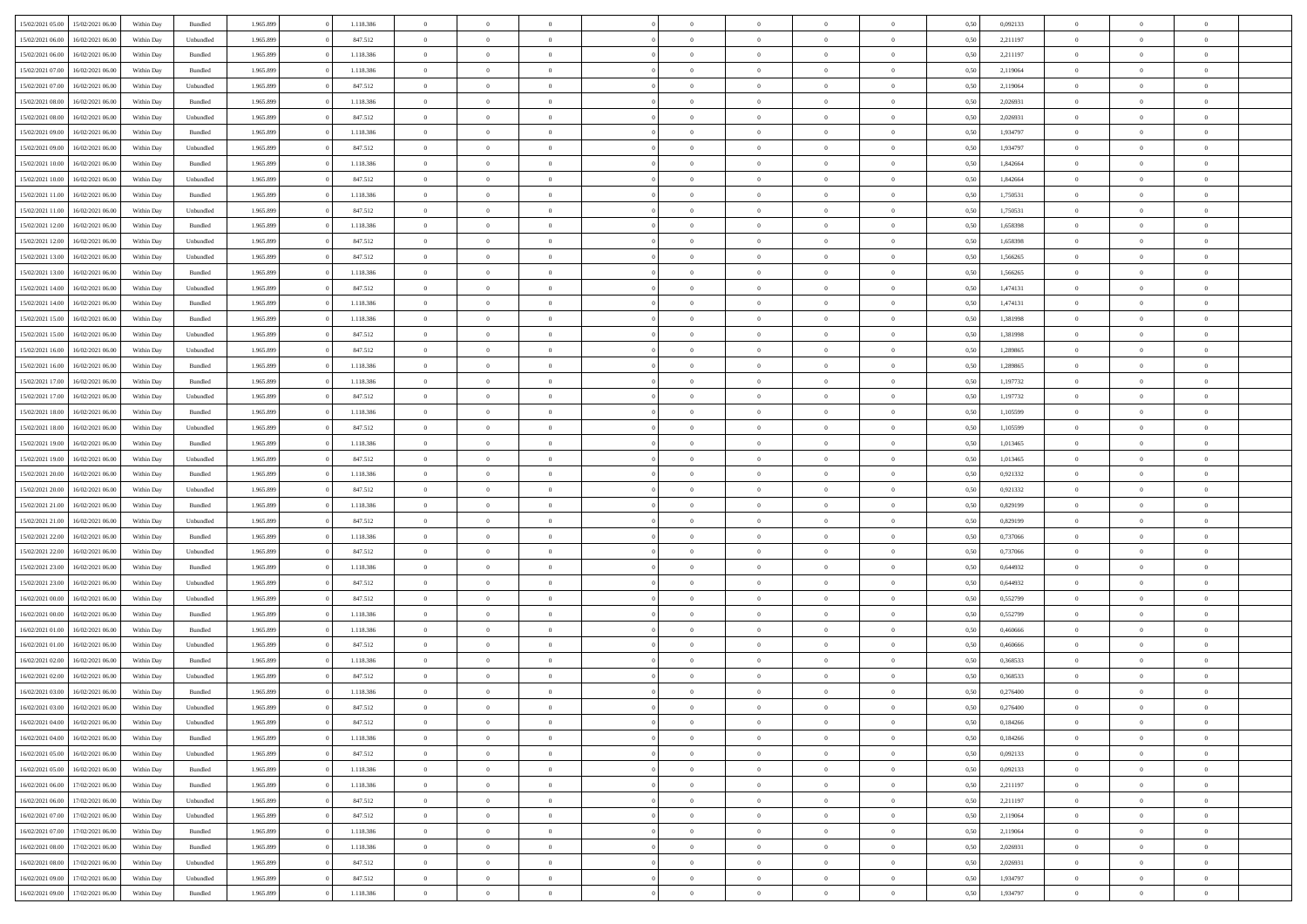| 15/02/2021 05:00 | 15/02/2021 06:00                  | Within Day | Bundled            | 1.965.899 | 1.118.386 | $\overline{0}$ | $\theta$       |                | $\overline{0}$ | $\bf{0}$       | $\overline{0}$ | $\theta$       | 0,50 | 0,092133 | $\theta$       | $\theta$       | $\theta$       |  |
|------------------|-----------------------------------|------------|--------------------|-----------|-----------|----------------|----------------|----------------|----------------|----------------|----------------|----------------|------|----------|----------------|----------------|----------------|--|
| 15/02/2021 06:00 | 16/02/2021 06.00                  | Within Day | Unbundled          | 1.965.899 | 847.512   | $\overline{0}$ | $\overline{0}$ | $\overline{0}$ | $\overline{0}$ | $\bf{0}$       | $\bf{0}$       | $\bf{0}$       | 0,50 | 2,211197 | $\,$ 0 $\,$    | $\overline{0}$ | $\overline{0}$ |  |
|                  |                                   |            |                    |           |           |                |                |                |                |                |                |                |      |          |                |                |                |  |
| 15/02/2021 06:00 | 16/02/2021 06:00                  | Within Day | Bundled            | 1.965.899 | 1.118.386 | $\overline{0}$ | $\overline{0}$ | $\overline{0}$ | $\overline{0}$ | $\bf{0}$       | $\bf{0}$       | $\mathbf{0}$   | 0.50 | 2,211197 | $\mathbf{0}$   | $\,$ 0 $\,$    | $\bf{0}$       |  |
| 15/02/2021 07:00 | 16/02/2021 06:00                  | Within Day | Bundled            | 1.965.899 | 1.118.386 | $\overline{0}$ | $\,$ 0         | $\overline{0}$ | $\overline{0}$ | $\,0\,$        | $\overline{0}$ | $\bf{0}$       | 0,50 | 2,119064 | $\,$ 0 $\,$    | $\overline{0}$ | $\overline{0}$ |  |
| 15/02/2021 07:00 | 16/02/2021 06.00                  | Within Day | Unbundled          | 1.965.899 | 847.512   | $\overline{0}$ | $\overline{0}$ | $\overline{0}$ | $\overline{0}$ | $\,$ 0         | $\overline{0}$ | $\bf{0}$       | 0,50 | 2,119064 | $\,$ 0 $\,$    | $\overline{0}$ | $\overline{0}$ |  |
| 15/02/2021 08:00 | 16/02/2021 06:00                  | Within Day | Bundled            | 1.965.899 | 1.118.386 | $\overline{0}$ | $\overline{0}$ | $\overline{0}$ | $\overline{0}$ | $\bf{0}$       | $\overline{0}$ | $\bf{0}$       | 0.50 | 2.026931 | $\,0\,$        | $\overline{0}$ | $\overline{0}$ |  |
| 15/02/2021 08:00 | 16/02/2021 06:00                  | Within Day | Unbundled          | 1.965.899 | 847.512   | $\overline{0}$ | $\overline{0}$ | $\overline{0}$ | $\overline{0}$ | $\bf{0}$       | $\overline{0}$ | $\bf{0}$       | 0,50 | 2,026931 | $\,$ 0 $\,$    | $\overline{0}$ | $\overline{0}$ |  |
| 15/02/2021 09:00 | 16/02/2021 06.00                  | Within Day | Bundled            | 1.965.899 | 1.118.386 | $\bf{0}$       | $\overline{0}$ | $\overline{0}$ | $\overline{0}$ | $\,$ 0         | $\bf{0}$       | $\bf{0}$       | 0,50 | 1,934797 | $\,$ 0 $\,$    | $\overline{0}$ | $\overline{0}$ |  |
| 15/02/2021 09:00 | 16/02/2021 06:00                  | Within Day | Unbundled          | 1.965.899 | 847.512   | $\overline{0}$ | $\overline{0}$ | $\overline{0}$ | $\overline{0}$ | $\bf{0}$       | $\overline{0}$ | $\mathbf{0}$   | 0.50 | 1.934797 | $\bf{0}$       | $\overline{0}$ | $\bf{0}$       |  |
| 15/02/2021 10:00 | 16/02/2021 06:00                  | Within Day | Bundled            | 1.965.899 | 1.118.386 | $\overline{0}$ | $\,$ 0         | $\overline{0}$ | $\overline{0}$ | $\bf{0}$       | $\bf{0}$       | $\bf{0}$       | 0,50 | 1,842664 | $\,$ 0 $\,$    | $\overline{0}$ | $\overline{0}$ |  |
| 15/02/2021 10:00 | 16/02/2021 06.00                  | Within Day | Unbundled          | 1.965.899 | 847.512   | $\overline{0}$ | $\overline{0}$ | $\overline{0}$ | $\overline{0}$ | $\,$ 0         | $\bf{0}$       | $\bf{0}$       | 0,50 | 1,842664 | $\,$ 0 $\,$    | $\overline{0}$ | $\overline{0}$ |  |
| 15/02/2021 11:00 | 16/02/2021 06:00                  | Within Day | $\mathbf B$ undled | 1.965.899 | 1.118.386 | $\overline{0}$ | $\overline{0}$ | $\overline{0}$ | $\overline{0}$ | $\bf{0}$       | $\overline{0}$ | $\mathbf{0}$   | 0.50 | 1,750531 | $\overline{0}$ | $\,$ 0 $\,$    | $\overline{0}$ |  |
| 15/02/2021 11:00 | 16/02/2021 06:00                  | Within Day | Unbundled          | 1.965.899 | 847.512   | $\overline{0}$ | $\,$ 0         | $\overline{0}$ | $\overline{0}$ | $\bf{0}$       | $\overline{0}$ | $\overline{0}$ | 0,50 | 1,750531 | $\,$ 0 $\,$    | $\overline{0}$ | $\overline{0}$ |  |
|                  |                                   |            |                    |           |           |                |                |                |                |                |                |                |      |          |                |                |                |  |
| 15/02/2021 12:00 | 16/02/2021 06.00                  | Within Day | Bundled            | 1.965.899 | 1.118.386 | $\overline{0}$ | $\theta$       | $\overline{0}$ | $\overline{0}$ | $\,$ 0         | $\overline{0}$ | $\bf{0}$       | 0,50 | 1,658398 | $\,$ 0 $\,$    | $\overline{0}$ | $\overline{0}$ |  |
| 15/02/2021 12:00 | 16/02/2021 06:00                  | Within Day | Unbundled          | 1.965.899 | 847.512   | $\overline{0}$ | $\overline{0}$ | $\overline{0}$ | $\overline{0}$ | $\bf{0}$       | $\overline{0}$ | $\bf{0}$       | 0.50 | 1.658398 | $\,0\,$        | $\overline{0}$ | $\overline{0}$ |  |
| 15/02/2021 13:00 | 16/02/2021 06:00                  | Within Day | Unbundled          | 1.965.899 | 847.512   | $\overline{0}$ | $\overline{0}$ | $\overline{0}$ | $\overline{0}$ | $\bf{0}$       | $\overline{0}$ | $\bf{0}$       | 0,50 | 1,566265 | $\,$ 0 $\,$    | $\overline{0}$ | $\overline{0}$ |  |
| 15/02/2021 13:00 | 16/02/2021 06.00                  | Within Day | Bundled            | 1.965.899 | 1.118.386 | $\overline{0}$ | $\overline{0}$ | $\overline{0}$ | $\overline{0}$ | $\,$ 0         | $\overline{0}$ | $\bf{0}$       | 0,50 | 1,566265 | $\,$ 0 $\,$    | $\overline{0}$ | $\overline{0}$ |  |
| 15/02/2021 14:00 | 16/02/2021 06:00                  | Within Day | Unbundled          | 1.965.899 | 847.512   | $\overline{0}$ | $\overline{0}$ | $\overline{0}$ | $\overline{0}$ | $\overline{0}$ | $\overline{0}$ | $\mathbf{0}$   | 0.50 | 1.474131 | $\bf{0}$       | $\overline{0}$ | $\bf{0}$       |  |
| 15/02/2021 14:00 | 16/02/2021 06:00                  | Within Day | Bundled            | 1.965.899 | 1.118.386 | $\overline{0}$ | $\overline{0}$ | $\overline{0}$ | $\overline{0}$ | $\bf{0}$       | $\overline{0}$ | $\bf{0}$       | 0,50 | 1,474131 | $\,$ 0 $\,$    | $\overline{0}$ | $\overline{0}$ |  |
| 15/02/2021 15:00 | 16/02/2021 06.00                  | Within Day | Bundled            | 1.965.899 | 1.118.386 | $\overline{0}$ | $\overline{0}$ | $\overline{0}$ | $\overline{0}$ | $\bf{0}$       | $\overline{0}$ | $\bf{0}$       | 0,50 | 1,381998 | $\,$ 0 $\,$    | $\overline{0}$ | $\overline{0}$ |  |
| 15/02/2021 15:00 | 16/02/2021 06:00                  | Within Day | Unbundled          | 1.965.899 | 847.512   | $\overline{0}$ | $\overline{0}$ | $\overline{0}$ | $\overline{0}$ | $\bf{0}$       | $\overline{0}$ | $\mathbf{0}$   | 0,50 | 1.381998 | $\overline{0}$ | $\,$ 0 $\,$    | $\overline{0}$ |  |
| 15/02/2021 16:00 | 16/02/2021 06:00                  | Within Day | Unbundled          | 1.965.899 | 847.512   | $\overline{0}$ | $\,$ 0         | $\overline{0}$ | $\overline{0}$ | $\,$ 0 $\,$    | $\overline{0}$ | $\bf{0}$       | 0,50 | 1,289865 | $\,$ 0 $\,$    | $\overline{0}$ | $\overline{0}$ |  |
| 15/02/2021 16:00 | 16/02/2021 06.00                  | Within Day | Bundled            | 1.965.899 | 1.118.386 | $\overline{0}$ | $\overline{0}$ | $\overline{0}$ | $\overline{0}$ | $\bf{0}$       | $\overline{0}$ | $\bf{0}$       | 0,50 | 1,289865 | $\,$ 0 $\,$    | $\overline{0}$ | $\overline{0}$ |  |
| 15/02/2021 17:00 | 16/02/2021 06:00                  | Within Day | Bundled            | 1.965.899 | 1.118.386 | $\overline{0}$ | $\overline{0}$ | $\overline{0}$ | $\overline{0}$ | $\bf{0}$       | $\overline{0}$ | $\bf{0}$       | 0.50 | 1,197732 | $\,0\,$        | $\overline{0}$ | $\overline{0}$ |  |
| 15/02/2021 17:00 | 16/02/2021 06:00                  |            |                    | 1.965.899 | 847.512   | $\overline{0}$ | $\overline{0}$ | $\overline{0}$ | $\overline{0}$ | $\bf{0}$       | $\overline{0}$ |                |      | 1,197732 | $\,$ 0 $\,$    | $\overline{0}$ | $\overline{0}$ |  |
|                  |                                   | Within Day | Unbundled          |           |           |                |                |                |                |                |                | $\bf{0}$       | 0,50 |          |                |                |                |  |
| 15/02/2021 18:00 | 16/02/2021 06.00                  | Within Day | Bundled            | 1.965.899 | 1.118.386 | $\overline{0}$ | $\,$ 0 $\,$    | $\overline{0}$ | $\overline{0}$ | $\,$ 0         | $\overline{0}$ | $\bf{0}$       | 0,50 | 1,105599 | $\,$ 0 $\,$    | $\overline{0}$ | $\overline{0}$ |  |
| 15/02/2021 18:00 | 16/02/2021 06:00                  | Within Day | Unbundled          | 1.965.899 | 847.512   | $\overline{0}$ | $\overline{0}$ | $\overline{0}$ | $\overline{0}$ | $\bf{0}$       | $\overline{0}$ | $\mathbf{0}$   | 0.50 | 1.105599 | $\bf{0}$       | $\overline{0}$ | $\bf{0}$       |  |
| 15/02/2021 19:00 | 16/02/2021 06:00                  | Within Day | Bundled            | 1.965.899 | 1.118.386 | $\overline{0}$ | $\,$ 0         | $\overline{0}$ | $\overline{0}$ | $\bf{0}$       | $\overline{0}$ | $\bf{0}$       | 0,50 | 1,013465 | $\,$ 0 $\,$    | $\overline{0}$ | $\overline{0}$ |  |
| 15/02/2021 19:00 | 16/02/2021 06.00                  | Within Day | Unbundled          | 1.965.899 | 847.512   | $\overline{0}$ | $\overline{0}$ | $\overline{0}$ | $\bf{0}$       | $\bf{0}$       | $\bf{0}$       | $\bf{0}$       | 0,50 | 1,013465 | $\,$ 0 $\,$    | $\overline{0}$ | $\overline{0}$ |  |
| 15/02/2021 20:00 | 16/02/2021 06:00                  | Within Day | $\mathbf B$ undled | 1.965.899 | 1.118.386 | $\bf{0}$       | $\overline{0}$ | $\overline{0}$ | $\overline{0}$ | $\bf{0}$       | $\overline{0}$ | $\mathbf{0}$   | 0.50 | 0,921332 | $\overline{0}$ | $\,$ 0 $\,$    | $\overline{0}$ |  |
| 15/02/2021 20:00 | 16/02/2021 06:00                  | Within Dav | Unbundled          | 1.965.899 | 847.512   | $\overline{0}$ | $\overline{0}$ | $\overline{0}$ | $\overline{0}$ | $\overline{0}$ | $\overline{0}$ | $\mathbf{0}$   | 0.50 | 0.921332 | $\theta$       | $\overline{0}$ | $\overline{0}$ |  |
| 15/02/2021 21:00 | 16/02/2021 06.00                  | Within Day | Bundled            | 1.965.899 | 1.118.386 | $\overline{0}$ | $\overline{0}$ | $\overline{0}$ | $\overline{0}$ | $\bf{0}$       | $\bf{0}$       | $\bf{0}$       | 0,50 | 0,829199 | $\,$ 0 $\,$    | $\overline{0}$ | $\overline{0}$ |  |
| 15/02/2021 21:00 | 16/02/2021 06:00                  | Within Day | Unbundled          | 1.965.899 | 847.512   | $\overline{0}$ | $\bf{0}$       | $\overline{0}$ | $\overline{0}$ | $\bf{0}$       | $\overline{0}$ | $\bf{0}$       | 0.50 | 0,829199 | $\,0\,$        | $\overline{0}$ | $\overline{0}$ |  |
| 15/02/2021 22:00 | 16/02/2021 06:00                  | Within Dav | Bundled            | 1.965.899 | 1.118.386 | $\overline{0}$ | $\overline{0}$ | $\overline{0}$ | $\overline{0}$ | $\overline{0}$ | $\overline{0}$ | $\overline{0}$ | 0,50 | 0,737066 | $\theta$       | $\overline{0}$ | $\overline{0}$ |  |
| 15/02/2021 22:00 | 16/02/2021 06.00                  | Within Day | Unbundled          | 1.965.899 | 847.512   | $\overline{0}$ | $\overline{0}$ | $\overline{0}$ | $\overline{0}$ | $\,$ 0         | $\bf{0}$       | $\bf{0}$       | 0,50 | 0,737066 | $\,$ 0 $\,$    | $\overline{0}$ | $\overline{0}$ |  |
| 15/02/2021 23:00 | 16/02/2021 06:00                  | Within Day | Bundled            | 1.965.899 | 1.118.386 | $\overline{0}$ | $\overline{0}$ | $\overline{0}$ | $\overline{0}$ | $\bf{0}$       | $\overline{0}$ | $\mathbf{0}$   | 0.50 | 0.644932 | $\bf{0}$       | $\overline{0}$ | $\bf{0}$       |  |
| 15/02/2021 23:00 | 16/02/2021 06:00                  | Within Dav | Unbundled          | 1.965.899 | 847.512   | $\overline{0}$ | $\overline{0}$ | $\overline{0}$ | $\overline{0}$ | $\overline{0}$ | $\overline{0}$ | $\overline{0}$ | 0,50 | 0,644932 | $\theta$       | $\overline{0}$ | $\overline{0}$ |  |
|                  |                                   |            |                    |           |           |                |                |                |                |                |                |                |      |          |                |                |                |  |
| 16/02/2021 00:00 | 16/02/2021 06.00                  | Within Day | Unbundled          | 1.965.899 | 847.512   | $\overline{0}$ | $\overline{0}$ | $\overline{0}$ | $\bf{0}$       | $\bf{0}$       | $\bf{0}$       | $\bf{0}$       | 0,50 | 0,552799 | $\,$ 0 $\,$    | $\overline{0}$ | $\overline{0}$ |  |
| 16/02/2021 00:00 | 16/02/2021 06:00                  | Within Day | $\mathbf B$ undled | 1.965.899 | 1.118.386 | $\bf{0}$       | $\overline{0}$ | $\overline{0}$ | $\overline{0}$ | $\bf{0}$       | $\overline{0}$ | $\mathbf{0}$   | 0.50 | 0,552799 | $\overline{0}$ | $\,$ 0 $\,$    | $\overline{0}$ |  |
| 16/02/2021 01:00 | 16/02/2021 06:00                  | Within Dav | Bundled            | 1.965.899 | 1.118.386 | $\overline{0}$ | $\overline{0}$ | $\overline{0}$ | $\overline{0}$ | $\overline{0}$ | $\overline{0}$ | $\mathbf{0}$   | 0.50 | 0,460666 | $\theta$       | $\overline{0}$ | $\overline{0}$ |  |
| 16/02/2021 01:00 | 16/02/2021 06.00                  | Within Day | Unbundled          | 1.965.899 | 847.512   | $\overline{0}$ | $\overline{0}$ | $\overline{0}$ | $\overline{0}$ | $\bf{0}$       | $\bf{0}$       | $\bf{0}$       | 0,50 | 0,460666 | $\,$ 0 $\,$    | $\overline{0}$ | $\overline{0}$ |  |
| 16/02/2021 02:00 | 16/02/2021 06:00                  | Within Day | Bundled            | 1.965.899 | 1.118.386 | $\overline{0}$ | $\overline{0}$ | $\overline{0}$ | $\overline{0}$ | $\bf{0}$       | $\overline{0}$ | $\bf{0}$       | 0.50 | 0.368533 | $\bf{0}$       | $\overline{0}$ | $\overline{0}$ |  |
| 16/02/2021 02:00 | 16/02/2021 06:00                  | Within Dav | Unbundled          | 1.965.899 | 847.512   | $\overline{0}$ | $\theta$       | $\Omega$       | $\overline{0}$ | $\bf{0}$       | $\overline{0}$ | $\overline{0}$ | 0.50 | 0,368533 | $\theta$       | $\overline{0}$ | $\overline{0}$ |  |
| 16/02/2021 03:00 | 16/02/2021 06:00                  | Within Day | Bundled            | 1.965.899 | 1.118.386 | $\overline{0}$ | $\overline{0}$ | $\overline{0}$ | $\bf{0}$       | $\,$ 0         | $\overline{0}$ | $\bf{0}$       | 0,50 | 0,276400 | $\,$ 0 $\,$    | $\overline{0}$ | $\overline{0}$ |  |
| 16/02/2021 03:00 | 16/02/2021 06:00                  | Within Day | Unbundled          | 1.965.899 | 847.512   | $\bf{0}$       | $\bf{0}$       |                | $^{\circ}$     | $\bf{0}$       |                |                | 0,50 | 0,276400 | $\bf{0}$       | $\theta$       |                |  |
| 16/02/2021 04:00 | 16/02/2021 06:00                  | Within Day | Unbundled          | 1.965.899 | 847.512   | $\overline{0}$ | $\overline{0}$ | $\overline{0}$ | $\overline{0}$ | $\overline{0}$ | $\overline{0}$ | $\overline{0}$ | 0,50 | 0,184266 | $\theta$       | $\overline{0}$ | $\overline{0}$ |  |
| 16/02/2021 04:00 | 16/02/2021 06:00                  | Within Day | Bundled            | 1.965.899 | 1.118.386 | $\overline{0}$ | $\bf{0}$       | $\overline{0}$ | $\overline{0}$ | $\overline{0}$ | $\overline{0}$ | $\bf{0}$       | 0,50 | 0,184266 | $\overline{0}$ | $\overline{0}$ | $\bf{0}$       |  |
| 16/02/2021 05:00 | 16/02/2021 06:00                  | Within Day | Unbundled          | 1.965.899 | 847.512   | $\overline{0}$ | $\overline{0}$ | $\overline{0}$ | $\overline{0}$ | $\overline{0}$ | $\overline{0}$ | $\mathbf{0}$   | 0.50 | 0,092133 | $\overline{0}$ | $\bf{0}$       | $\bf{0}$       |  |
| 16/02/2021 05:00 | 16/02/2021 06:00                  | Within Day | Bundled            | 1.965.899 | 1.118.386 | $\overline{0}$ | $\overline{0}$ | $\overline{0}$ | $\overline{0}$ | $\overline{0}$ | $\overline{0}$ | $\overline{0}$ | 0,50 | 0,092133 | $\overline{0}$ | $\theta$       | $\overline{0}$ |  |
|                  |                                   |            |                    |           |           |                |                |                | $\overline{0}$ |                |                |                |      |          | $\,$ 0 $\,$    |                |                |  |
| 16/02/2021 06:00 | 17/02/2021 06:00                  | Within Day | Bundled            | 1.965.899 | 1.118.386 | $\overline{0}$ | $\overline{0}$ | $\overline{0}$ |                | $\bf{0}$       | $\overline{0}$ | $\bf{0}$       | 0,50 | 2,211197 |                | $\overline{0}$ | $\overline{0}$ |  |
| 16/02/2021 06:00 | 17/02/2021 06:00                  | Within Day | Unbundled          | 1.965.899 | 847.512   | $\overline{0}$ | $\overline{0}$ | $\overline{0}$ | $\overline{0}$ | $\bf{0}$       | $\overline{0}$ | $\mathbf{0}$   | 0.50 | 2,211197 | $\,$ 0 $\,$    | $\overline{0}$ | $\overline{0}$ |  |
| 16/02/2021 07:00 | 17/02/2021 06:00                  | Within Day | Unbundled          | 1.965.899 | 847.512   | $\overline{0}$ | $\overline{0}$ | $\overline{0}$ | $\overline{0}$ | $\overline{0}$ | $\overline{0}$ | $\overline{0}$ | 0,50 | 2,119064 | $\overline{0}$ | $\theta$       | $\overline{0}$ |  |
| 16/02/2021 07:00 | 17/02/2021 06:00                  | Within Day | Bundled            | 1.965.899 | 1.118.386 | $\overline{0}$ | $\,$ 0         | $\overline{0}$ | $\bf{0}$       | $\,$ 0 $\,$    | $\overline{0}$ | $\bf{0}$       | 0,50 | 2,119064 | $\,$ 0 $\,$    | $\overline{0}$ | $\overline{0}$ |  |
| 16/02/2021 08:00 | 17/02/2021 06:00                  | Within Day | Bundled            | 1.965.899 | 1.118.386 | $\overline{0}$ | $\overline{0}$ | $\overline{0}$ | $\overline{0}$ | $\bf{0}$       | $\overline{0}$ | $\mathbf{0}$   | 0.50 | 2.026931 | $\mathbf{0}$   | $\bf{0}$       | $\overline{0}$ |  |
| 16/02/2021 08:00 | 17/02/2021 06:00                  | Within Day | Unbundled          | 1.965.899 | 847.512   | $\overline{0}$ | $\overline{0}$ | $\overline{0}$ | $\overline{0}$ | $\overline{0}$ | $\overline{0}$ | $\overline{0}$ | 0,50 | 2,026931 | $\overline{0}$ | $\overline{0}$ | $\overline{0}$ |  |
| 16/02/2021 09:00 | 17/02/2021 06:00                  | Within Day | Unbundled          | 1.965.899 | 847.512   | $\overline{0}$ | $\overline{0}$ | $\overline{0}$ | $\bf{0}$       | $\bf{0}$       | $\overline{0}$ | $\bf{0}$       | 0,50 | 1,934797 | $\bf{0}$       | $\overline{0}$ | $\bf{0}$       |  |
|                  | 16/02/2021 09:00 17/02/2021 06:00 | Within Day | Bundled            | 1.965.899 | 1.118.386 | $\,$ 0 $\,$    | $\,$ 0 $\,$    | $\overline{0}$ | $\overline{0}$ | $\,$ 0 $\,$    | $\overline{0}$ | $\,$ 0 $\,$    | 0,50 | 1,934797 | $\overline{0}$ | $\,$ 0 $\,$    | $\,$ 0 $\,$    |  |
|                  |                                   |            |                    |           |           |                |                |                |                |                |                |                |      |          |                |                |                |  |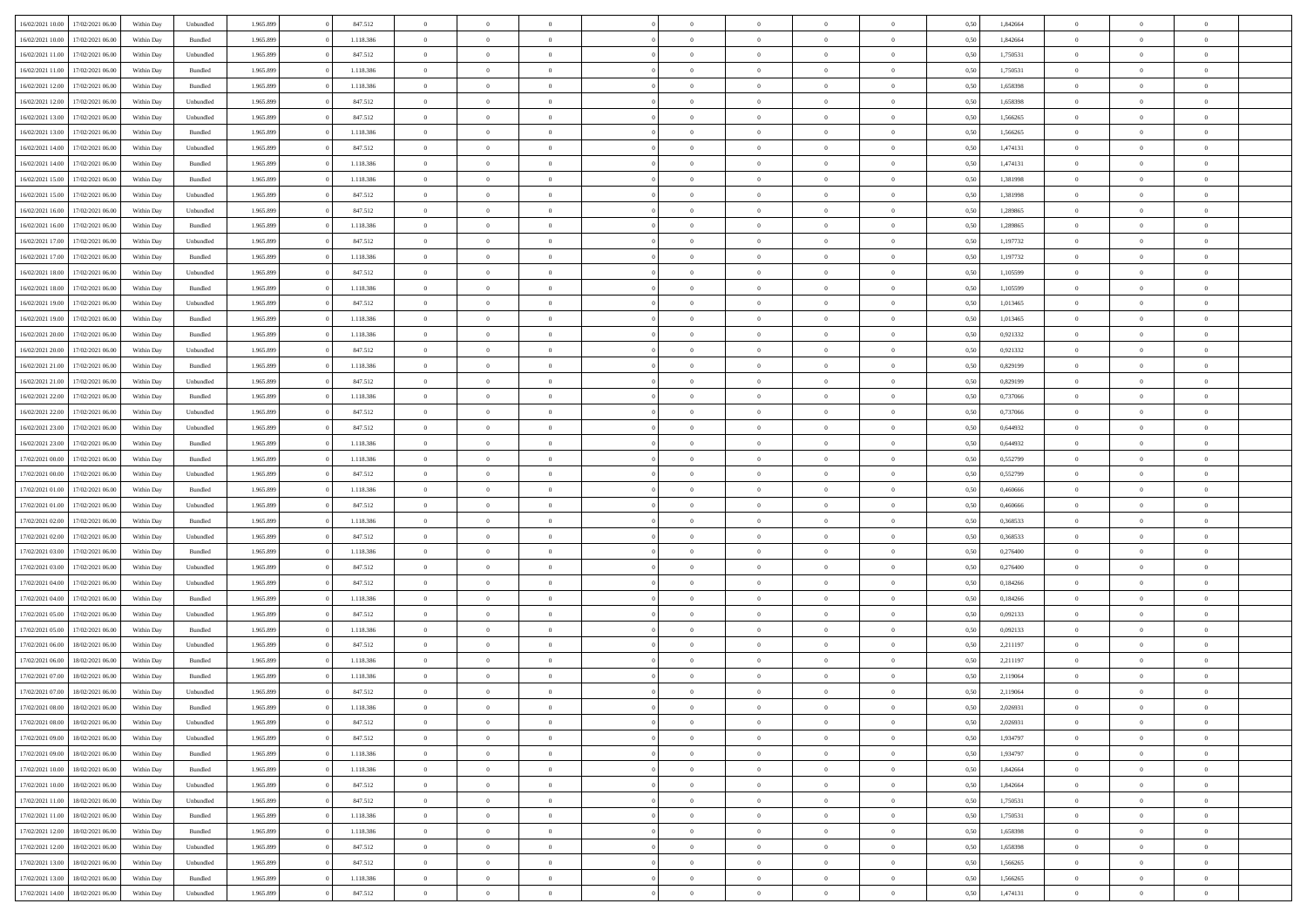|                  |                  |            |                    |           |           | $\overline{0}$ | $\Omega$       |                |                | $\Omega$       | $\Omega$       | $\theta$       |      |          | $\theta$       |                | $\theta$       |  |
|------------------|------------------|------------|--------------------|-----------|-----------|----------------|----------------|----------------|----------------|----------------|----------------|----------------|------|----------|----------------|----------------|----------------|--|
| 16/02/2021 10:00 | 17/02/2021 06:00 | Within Day | Unbundled          | 1.965.899 | 847.512   |                |                |                | $\Omega$       |                |                |                | 0,50 | 1,842664 |                | $\theta$       |                |  |
| 16/02/2021 10:00 | 17/02/2021 06:00 | Within Day | Bundled            | 1.965.899 | 1.118.386 | $\overline{0}$ | $\theta$       | $\overline{0}$ | $\overline{0}$ | $\bf{0}$       | $\overline{0}$ | $\bf{0}$       | 0,50 | 1,842664 | $\theta$       | $\theta$       | $\overline{0}$ |  |
| 16/02/2021 11:00 | 17/02/2021 06:00 | Within Day | Unbundled          | 1.965.899 | 847.512   | $\overline{0}$ | $\overline{0}$ | $\overline{0}$ | $\bf{0}$       | $\bf{0}$       | $\bf{0}$       | $\mathbf{0}$   | 0,50 | 1,750531 | $\overline{0}$ | $\overline{0}$ | $\overline{0}$ |  |
| 16/02/2021 11:00 | 17/02/2021 06:00 | Within Dav | Bundled            | 1.965.899 | 1.118.386 | $\overline{0}$ | $\overline{0}$ | $\overline{0}$ | $\overline{0}$ | $\bf{0}$       | $\overline{0}$ | $\overline{0}$ | 0.50 | 1,750531 | $\theta$       | $\theta$       | $\overline{0}$ |  |
|                  |                  |            |                    |           |           |                |                |                |                |                |                |                |      |          |                |                |                |  |
| 16/02/2021 12:00 | 17/02/2021 06:00 | Within Day | Bundled            | 1.965.899 | 1.118.386 | $\overline{0}$ | $\theta$       | $\overline{0}$ | $\overline{0}$ | $\bf{0}$       | $\overline{0}$ | $\bf{0}$       | 0,50 | 1,658398 | $\theta$       | $\overline{0}$ | $\overline{0}$ |  |
| 16/02/2021 12:00 | 17/02/2021 06:00 | Within Day | Unbundled          | 1.965.899 | 847.512   | $\overline{0}$ | $\bf{0}$       | $\overline{0}$ | $\bf{0}$       | $\overline{0}$ | $\overline{0}$ | $\mathbf{0}$   | 0,50 | 1,658398 | $\overline{0}$ | $\overline{0}$ | $\bf{0}$       |  |
| 16/02/2021 13:00 | 17/02/2021 06:00 | Within Dav | Unbundled          | 1.965.899 | 847.512   | $\overline{0}$ | $\overline{0}$ | $\overline{0}$ | $\overline{0}$ | $\overline{0}$ | $\overline{0}$ | $\overline{0}$ | 0.50 | 1,566265 | $\theta$       | $\overline{0}$ | $\overline{0}$ |  |
| 16/02/2021 13:00 | 17/02/2021 06:00 | Within Day | Bundled            | 1.965.899 | 1.118.386 | $\overline{0}$ | $\theta$       | $\overline{0}$ | $\overline{0}$ | $\bf{0}$       | $\overline{0}$ | $\bf{0}$       | 0,50 | 1,566265 | $\theta$       | $\theta$       | $\overline{0}$ |  |
|                  |                  |            |                    |           |           |                | $\overline{0}$ |                |                | $\bf{0}$       |                |                |      |          | $\,0\,$        | $\overline{0}$ | $\overline{0}$ |  |
| 16/02/2021 14:00 | 17/02/2021 06:00 | Within Day | Unbundled          | 1.965.899 | 847.512   | $\overline{0}$ |                | $\overline{0}$ | $\bf{0}$       |                | $\bf{0}$       | $\mathbf{0}$   | 0,50 | 1,474131 |                |                |                |  |
| 16/02/2021 14:00 | 17/02/2021 06:00 | Within Dav | Bundled            | 1.965.899 | 1.118.386 | $\overline{0}$ | $\overline{0}$ | $\overline{0}$ | $\overline{0}$ | $\overline{0}$ | $\overline{0}$ | $\overline{0}$ | 0.50 | 1,474131 | $\theta$       | $\overline{0}$ | $\overline{0}$ |  |
| 16/02/2021 15:00 | 17/02/2021 06:00 | Within Day | Bundled            | 1.965.899 | 1.118.386 | $\overline{0}$ | $\theta$       | $\overline{0}$ | $\overline{0}$ | $\bf{0}$       | $\overline{0}$ | $\bf{0}$       | 0,50 | 1,381998 | $\,$ 0 $\,$    | $\overline{0}$ | $\overline{0}$ |  |
| 16/02/2021 15:00 | 17/02/2021 06:00 | Within Day | Unbundled          | 1.965.899 | 847.512   | $\overline{0}$ | $\overline{0}$ | $\overline{0}$ | $\bf{0}$       | $\bf{0}$       | $\bf{0}$       | $\mathbf{0}$   | 0,50 | 1,381998 | $\overline{0}$ | $\overline{0}$ | $\bf{0}$       |  |
| 16/02/2021 16:00 | 17/02/2021 06:00 | Within Day | Unbundled          | 1.965.899 | 847.512   | $\overline{0}$ | $\overline{0}$ | $\overline{0}$ | $\overline{0}$ | $\bf{0}$       | $\overline{0}$ | $\overline{0}$ | 0.50 | 1.289865 | $\theta$       | $\theta$       | $\overline{0}$ |  |
|                  |                  |            |                    |           |           | $\overline{0}$ | $\theta$       |                |                | $\bf{0}$       |                |                |      |          | $\theta$       | $\overline{0}$ |                |  |
| 16/02/2021 16:00 | 17/02/2021 06:00 | Within Day | Bundled            | 1.965.899 | 1.118.386 |                |                | $\overline{0}$ | $\overline{0}$ |                | $\overline{0}$ | $\bf{0}$       | 0,50 | 1,289865 |                |                | $\overline{0}$ |  |
| 16/02/2021 17:00 | 17/02/2021 06:00 | Within Day | Unbundled          | 1.965.899 | 847.512   | $\overline{0}$ | $\overline{0}$ | $\overline{0}$ | $\bf{0}$       | $\overline{0}$ | $\overline{0}$ | $\mathbf{0}$   | 0,50 | 1,197732 | $\overline{0}$ | $\overline{0}$ | $\bf{0}$       |  |
| 16/02/2021 17:00 | 17/02/2021 06:00 | Within Dav | Bundled            | 1.965.899 | 1.118.386 | $\overline{0}$ | $\overline{0}$ | $\overline{0}$ | $\overline{0}$ | $\overline{0}$ | $\overline{0}$ | $\overline{0}$ | 0.50 | 1,197732 | $\theta$       | $\overline{0}$ | $\overline{0}$ |  |
| 16/02/2021 18:00 | 17/02/2021 06:00 | Within Day | Unbundled          | 1.965.899 | 847.512   | $\overline{0}$ | $\theta$       | $\overline{0}$ | $\overline{0}$ | $\bf{0}$       | $\overline{0}$ | $\bf{0}$       | 0,50 | 1,105599 | $\theta$       | $\theta$       | $\overline{0}$ |  |
| 16/02/2021 18:00 | 17/02/2021 06:00 | Within Day | Bundled            | 1.965.899 | 1.118.386 | $\overline{0}$ | $\overline{0}$ | $\overline{0}$ | $\bf{0}$       | $\bf{0}$       | $\bf{0}$       | $\mathbf{0}$   | 0,50 | 1,105599 | $\,0\,$        | $\overline{0}$ | $\overline{0}$ |  |
|                  |                  |            |                    |           |           |                |                |                |                |                |                |                |      |          |                |                |                |  |
| 16/02/2021 19:00 | 17/02/2021 06:00 | Within Day | Unbundled          | 1.965.899 | 847.512   | $\overline{0}$ | $\overline{0}$ | $\overline{0}$ | $\overline{0}$ | $\overline{0}$ | $\overline{0}$ | $\overline{0}$ | 0.50 | 1,013465 | $\theta$       | $\overline{0}$ | $\overline{0}$ |  |
| 16/02/2021 19:00 | 17/02/2021 06:00 | Within Day | Bundled            | 1.965.899 | 1.118.386 | $\overline{0}$ | $\theta$       | $\overline{0}$ | $\overline{0}$ | $\bf{0}$       | $\overline{0}$ | $\bf{0}$       | 0,50 | 1,013465 | $\,$ 0 $\,$    | $\overline{0}$ | $\overline{0}$ |  |
| 16/02/2021 20:00 | 17/02/2021 06:00 | Within Day | Bundled            | 1.965.899 | 1.118.386 | $\overline{0}$ | $\overline{0}$ | $\overline{0}$ | $\bf{0}$       | $\bf{0}$       | $\overline{0}$ | $\mathbf{0}$   | 0,50 | 0,921332 | $\bf{0}$       | $\overline{0}$ | $\overline{0}$ |  |
| 16/02/2021 20:00 | 17/02/2021 06:00 | Within Day | Unbundled          | 1.965.899 | 847.512   | $\overline{0}$ | $\overline{0}$ | $\overline{0}$ | $\overline{0}$ | $\overline{0}$ | $\overline{0}$ | $\overline{0}$ | 0.50 | 0.921332 | $\theta$       | $\overline{0}$ | $\overline{0}$ |  |
| 16/02/2021 21:00 | 17/02/2021 06:00 |            |                    | 1.965.899 | 1.118.386 | $\overline{0}$ | $\theta$       | $\overline{0}$ | $\overline{0}$ | $\bf{0}$       | $\overline{0}$ |                |      | 0,829199 | $\,$ 0 $\,$    | $\overline{0}$ | $\overline{0}$ |  |
|                  |                  | Within Day | Bundled            |           |           |                |                |                |                |                |                | $\bf{0}$       | 0,50 |          |                |                |                |  |
| 16/02/2021 21:00 | 17/02/2021 06:00 | Within Day | Unbundled          | 1.965.899 | 847.512   | $\overline{0}$ | $\overline{0}$ | $\overline{0}$ | $\overline{0}$ | $\overline{0}$ | $\overline{0}$ | $\mathbf{0}$   | 0,50 | 0,829199 | $\overline{0}$ | $\overline{0}$ | $\bf{0}$       |  |
| 16/02/2021 22:00 | 17/02/2021 06:00 | Within Dav | Bundled            | 1.965.899 | 1.118.386 | $\overline{0}$ | $\overline{0}$ | $\overline{0}$ | $\overline{0}$ | $\overline{0}$ | $\overline{0}$ | $\overline{0}$ | 0.50 | 0,737066 | $\theta$       | $\overline{0}$ | $\overline{0}$ |  |
| 16/02/2021 22:00 | 17/02/2021 06:00 | Within Day | Unbundled          | 1.965.899 | 847.512   | $\overline{0}$ | $\theta$       | $\overline{0}$ | $\overline{0}$ | $\bf{0}$       | $\overline{0}$ | $\bf{0}$       | 0,50 | 0,737066 | $\theta$       | $\theta$       | $\overline{0}$ |  |
| 16/02/2021 23:00 | 17/02/2021 06:00 | Within Day | Unbundled          | 1.965.899 | 847.512   | $\overline{0}$ | $\overline{0}$ | $\overline{0}$ | $\overline{0}$ | $\bf{0}$       | $\overline{0}$ | $\mathbf{0}$   | 0,50 | 0,644932 | $\,0\,$        | $\overline{0}$ | $\overline{0}$ |  |
|                  |                  |            |                    |           |           |                | $\overline{0}$ |                |                | $\overline{0}$ |                |                |      |          | $\theta$       | $\overline{0}$ | $\overline{0}$ |  |
| 16/02/2021 23:00 | 17/02/2021 06:00 | Within Day | Bundled            | 1.965.899 | 1.118.386 | $\overline{0}$ |                | $\overline{0}$ | $\overline{0}$ |                | $\overline{0}$ | $\overline{0}$ | 0.50 | 0,644932 |                |                |                |  |
| 17/02/2021 00:00 | 17/02/2021 06:00 | Within Day | Bundled            | 1.965.899 | 1.118.386 | $\overline{0}$ | $\theta$       | $\overline{0}$ | $\overline{0}$ | $\bf{0}$       | $\overline{0}$ | $\bf{0}$       | 0,50 | 0,552799 | $\,$ 0 $\,$    | $\overline{0}$ | $\overline{0}$ |  |
| 17/02/2021 00:00 | 17/02/2021 06:00 | Within Day | Unbundled          | 1.965.899 | 847.512   | $\overline{0}$ | $\overline{0}$ | $\overline{0}$ | $\overline{0}$ | $\bf{0}$       | $\overline{0}$ | $\bf{0}$       | 0,50 | 0,552799 | $\overline{0}$ | $\overline{0}$ | $\bf{0}$       |  |
| 17/02/2021 01:00 | 17/02/2021 06:00 | Within Day | Bundled            | 1.965.899 | 1.118.386 | $\overline{0}$ | $\Omega$       | $\overline{0}$ | $\Omega$       | $\Omega$       | $\overline{0}$ | $\overline{0}$ | 0,50 | 0,460666 | $\,0\,$        | $\theta$       | $\theta$       |  |
| 17/02/2021 01:00 | 17/02/2021 06:00 | Within Day | Unbundled          | 1.965.899 | 847.512   | $\overline{0}$ | $\theta$       | $\overline{0}$ | $\overline{0}$ | $\bf{0}$       | $\overline{0}$ | $\bf{0}$       | 0,50 | 0,460666 | $\theta$       | $\theta$       | $\overline{0}$ |  |
|                  |                  |            |                    |           |           |                |                |                |                |                |                |                |      |          |                |                |                |  |
| 17/02/2021 02:00 | 17/02/2021 06:00 | Within Day | Bundled            | 1.965.899 | 1.118.386 | $\overline{0}$ | $\overline{0}$ | $\overline{0}$ | $\overline{0}$ | $\bf{0}$       | $\overline{0}$ | $\mathbf{0}$   | 0,50 | 0,368533 | $\overline{0}$ | $\overline{0}$ | $\bf{0}$       |  |
| 17/02/2021 02:00 | 17/02/2021 06:00 | Within Day | Unbundled          | 1.965.899 | 847.512   | $\overline{0}$ | $\Omega$       | $\Omega$       | $\Omega$       | $\bf{0}$       | $\overline{0}$ | $\overline{0}$ | 0.50 | 0,368533 | $\,0\,$        | $\theta$       | $\theta$       |  |
| 17/02/2021 03:00 | 17/02/2021 06:00 | Within Day | Bundled            | 1.965.899 | 1.118.386 | $\overline{0}$ | $\theta$       | $\overline{0}$ | $\overline{0}$ | $\bf{0}$       | $\overline{0}$ | $\bf{0}$       | 0,50 | 0,276400 | $\,$ 0 $\,$    | $\overline{0}$ | $\overline{0}$ |  |
| 17/02/2021 03:00 | 17/02/2021 06:00 | Within Day | Unbundled          | 1.965.899 | 847.512   | $\overline{0}$ | $\overline{0}$ | $\overline{0}$ | $\overline{0}$ | $\bf{0}$       | $\overline{0}$ | $\mathbf{0}$   | 0,50 | 0,276400 | $\bf{0}$       | $\overline{0}$ | $\overline{0}$ |  |
| 17/02/2021 04:00 | 17/02/2021 06:00 | Within Day | Unbundled          | 1.965.899 | 847.512   | $\overline{0}$ | $\Omega$       | $\overline{0}$ | $\Omega$       | $\overline{0}$ | $\overline{0}$ | $\overline{0}$ | 0.50 | 0,184266 | $\,$ 0 $\,$    | $\theta$       | $\theta$       |  |
|                  |                  |            |                    |           |           |                |                |                |                |                |                |                |      |          |                |                |                |  |
| 17/02/2021 04:00 | 17/02/2021 06:00 | Within Day | Bundled            | 1.965.899 | 1.118.386 | $\overline{0}$ | $\theta$       | $\overline{0}$ | $\overline{0}$ | $\,$ 0         | $\overline{0}$ | $\bf{0}$       | 0,50 | 0,184266 | $\,$ 0 $\,$    | $\overline{0}$ | $\overline{0}$ |  |
| 17/02/2021 05:00 | 17/02/2021 06:00 | Within Day | Unbundled          | 1.965.899 | 847.512   | $\overline{0}$ | $\overline{0}$ | $\overline{0}$ | $\bf{0}$       | $\bf{0}$       | $\bf{0}$       | $\mathbf{0}$   | 0,50 | 0,092133 | $\overline{0}$ | $\overline{0}$ | $\overline{0}$ |  |
| 17/02/2021 05:00 | 17/02/2021 06:00 | Within Day | Bundled            | 1.965.899 | 1.118.386 | $\overline{0}$ | $\Omega$       | $\overline{0}$ | $\Omega$       | $\overline{0}$ | $\overline{0}$ | $\overline{0}$ | 0,50 | 0,092133 | $\,0\,$        | $\theta$       | $\theta$       |  |
| 17/02/2021 06:00 | 18/02/2021 06:00 | Within Day | Unbundled          | 1.965.899 | 847.512   | $\overline{0}$ | $\theta$       | $\overline{0}$ | $\overline{0}$ | $\,$ 0         | $\overline{0}$ | $\bf{0}$       | 0,50 | 2,211197 | $\,$ 0 $\,$    | $\overline{0}$ | $\overline{0}$ |  |
| 17/02/2021 06:00 | 18/02/2021 06:00 | Within Day | Bundled            | 1.965.899 | 1.118.386 | $\overline{0}$ | $\bf{0}$       | $\overline{0}$ | $\bf{0}$       | $\bf{0}$       | $\bf{0}$       | $\mathbf{0}$   | 0,50 | 2,211197 | $\overline{0}$ | $\overline{0}$ | $\bf{0}$       |  |
|                  |                  |            |                    |           |           |                |                |                |                |                |                |                |      |          |                |                |                |  |
| 17/02/2021 07:00 | 18/02/2021 06:00 | Within Day | Bundled            | 1.965.899 | 1.118.386 | $\overline{0}$ | $\Omega$       | $\Omega$       | $\Omega$       | $\Omega$       | $\Omega$       | $\overline{0}$ | 0.50 | 2,119064 | $\theta$       | $\theta$       | $\theta$       |  |
| 17/02/2021 07:00 | 18/02/2021 06:00 | Within Day | Unbundled          | 1.965.899 | 847.512   | $\overline{0}$ | $\overline{0}$ | $\overline{0}$ | $\bf{0}$       | $\,$ 0         | $\bf{0}$       | $\bf{0}$       | 0,50 | 2,119064 | $\,0\,$        | $\overline{0}$ | $\overline{0}$ |  |
| 17/02/2021 08:00 | 18/02/2021 06:00 | Within Day | $\mathbf B$ undled | 1.965.899 | 1.118.386 | $\bf{0}$       | $\bf{0}$       |                |                | $\bf{0}$       |                |                | 0,50 | 2,026931 | $\bf{0}$       | $\overline{0}$ |                |  |
| 17/02/2021 08:00 | 18/02/2021 06:00 | Within Day | Unbundled          | 1.965.899 | 847.512   | $\overline{0}$ | $\overline{0}$ | $\overline{0}$ | $\Omega$       | $\overline{0}$ | $\overline{0}$ | $\overline{0}$ | 0,50 | 2,026931 | $\theta$       | $\theta$       | $\theta$       |  |
| 17/02/2021 09:00 | 18/02/2021 06:00 | Within Day | Unbundled          | 1.965.899 | 847.512   | $\overline{0}$ | $\bf{0}$       | $\overline{0}$ | $\bf{0}$       | $\,$ 0 $\,$    | $\overline{0}$ | $\,$ 0 $\,$    | 0,50 | 1,934797 | $\,$ 0 $\,$    | $\,$ 0 $\,$    | $\,$ 0         |  |
|                  |                  |            |                    |           |           |                |                |                |                |                |                |                |      |          |                |                |                |  |
| 17/02/2021 09:00 | 18/02/2021 06:00 | Within Day | Bundled            | 1.965.899 | 1.118.386 | $\overline{0}$ | $\overline{0}$ | $\overline{0}$ | $\overline{0}$ | $\overline{0}$ | $\overline{0}$ | $\mathbf{0}$   | 0,50 | 1,934797 | $\overline{0}$ | $\bf{0}$       | $\overline{0}$ |  |
| 17/02/2021 10:00 | 18/02/2021 06:00 | Within Day | $\mathbf B$ undled | 1.965.899 | 1.118.386 | $\overline{0}$ | $\overline{0}$ | $\overline{0}$ | $\Omega$       | $\overline{0}$ | $\overline{0}$ | $\overline{0}$ | 0,50 | 1,842664 | $\overline{0}$ | $\overline{0}$ | $\overline{0}$ |  |
| 17/02/2021 10:00 | 18/02/2021 06:00 | Within Day | Unbundled          | 1.965.899 | 847.512   | $\overline{0}$ | $\,$ 0         | $\overline{0}$ | $\overline{0}$ | $\,$ 0 $\,$    | $\overline{0}$ | $\,$ 0 $\,$    | 0,50 | 1,842664 | $\,$ 0 $\,$    | $\overline{0}$ | $\overline{0}$ |  |
| 17/02/2021 11:00 | 18/02/2021 06:00 | Within Day | Unbundled          | 1.965.899 | 847.512   | $\overline{0}$ | $\overline{0}$ | $\overline{0}$ | $\overline{0}$ | $\overline{0}$ | $\overline{0}$ | $\mathbf{0}$   | 0,50 | 1,750531 | $\overline{0}$ | $\overline{0}$ | $\bf{0}$       |  |
|                  |                  |            |                    |           |           |                | $\overline{0}$ | $\overline{0}$ |                | $\overline{0}$ | $\overline{0}$ |                | 0.50 |          |                | $\theta$       | $\overline{0}$ |  |
| 17/02/2021 11:00 | 18/02/2021 06:00 | Within Day | Bundled            | 1.965.899 | 1.118.386 | $\overline{0}$ |                |                | $\overline{0}$ |                |                | $\bf{0}$       |      | 1,750531 | $\overline{0}$ |                |                |  |
| 17/02/2021 12:00 | 18/02/2021 06:00 | Within Day | Bundled            | 1.965.899 | 1.118.386 | $\overline{0}$ | $\,$ 0         | $\overline{0}$ | $\bf{0}$       | $\bf{0}$       | $\bf{0}$       | $\bf{0}$       | 0,50 | 1,658398 | $\,$ 0 $\,$    | $\overline{0}$ | $\overline{0}$ |  |
| 17/02/2021 12:00 | 18/02/2021 06:00 | Within Day | Unbundled          | 1.965.899 | 847.512   | $\overline{0}$ | $\bf{0}$       | $\overline{0}$ | $\overline{0}$ | $\overline{0}$ | $\overline{0}$ | $\mathbf{0}$   | 0,50 | 1,658398 | $\overline{0}$ | $\overline{0}$ | $\bf{0}$       |  |
| 17/02/2021 13:00 | 18/02/2021 06:00 | Within Day | Unbundled          | 1.965.899 | 847.512   | $\overline{0}$ | $\overline{0}$ | $\overline{0}$ | $\Omega$       | $\overline{0}$ | $\overline{0}$ | $\overline{0}$ | 0.50 | 1,566265 | $\overline{0}$ | $\overline{0}$ | $\overline{0}$ |  |
| 17/02/2021 13:00 | 18/02/2021 06:00 | Within Day | Bundled            | 1.965.899 | 1.118.386 | $\overline{0}$ | $\bf{0}$       | $\overline{0}$ | $\bf{0}$       | $\bf{0}$       | $\bf{0}$       | $\mathbf{0}$   | 0,50 | 1,566265 | $\,$ 0 $\,$    | $\,$ 0 $\,$    | $\bf{0}$       |  |
|                  |                  |            |                    |           |           |                |                |                |                |                |                |                |      |          |                |                |                |  |
| 17/02/2021 14:00 | 18/02/2021 06:00 | Within Day | Unbundled          | 1.965.899 | 847.512   | $\overline{0}$ | $\overline{0}$ | $\overline{0}$ | $\overline{0}$ | $\overline{0}$ | $\bf{0}$       | $\mathbf{0}$   | 0,50 | 1,474131 | $\overline{0}$ | $\bf{0}$       | $\overline{0}$ |  |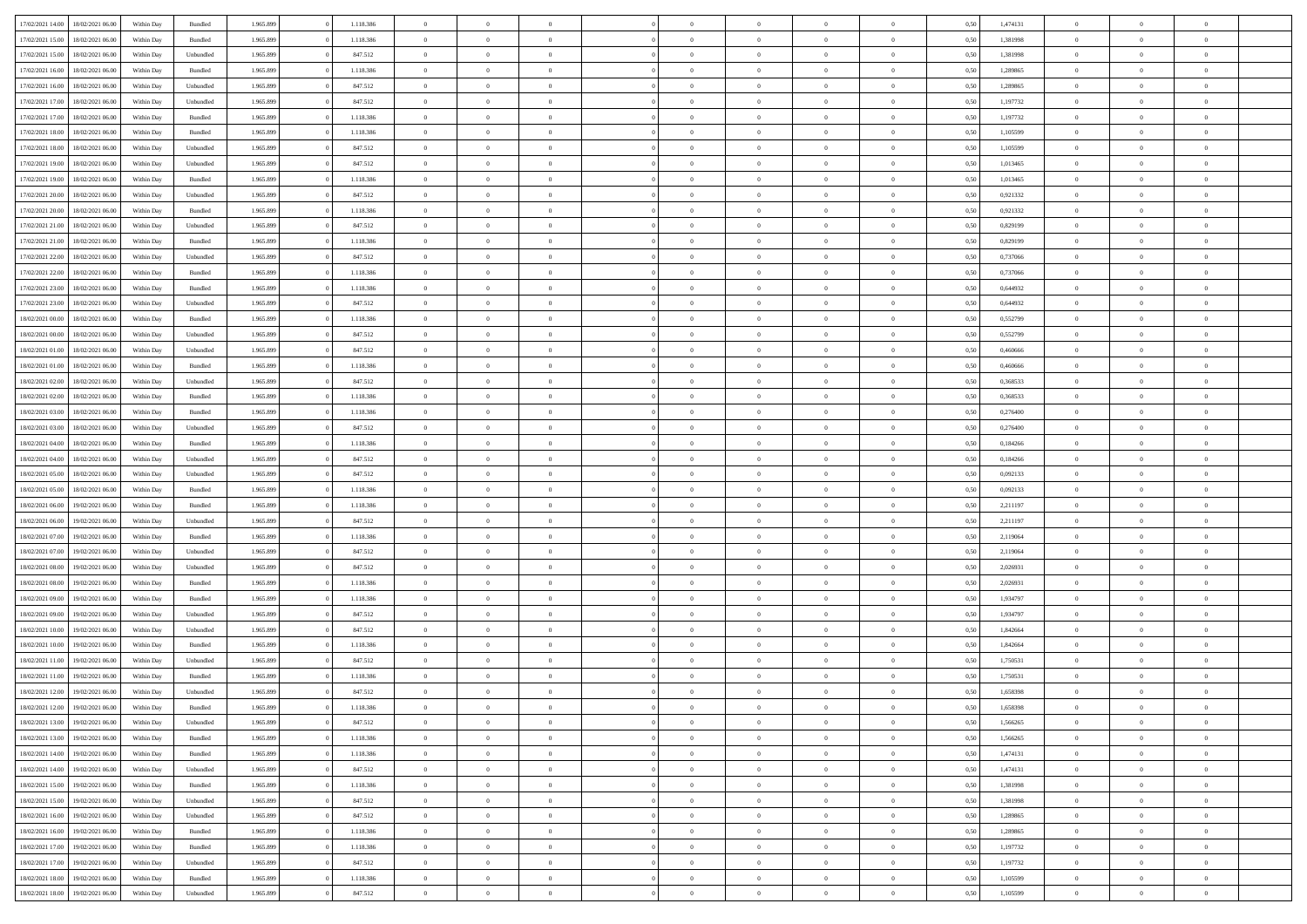| 17/02/2021 14:00 | 18/02/2021 06:00 | Within Day | Bundled            | 1.965.899 | 1.118.386 | $\overline{0}$ | $\theta$       |                | $\Omega$       | $\Omega$       | $\overline{0}$ | $\theta$       | 0,50 | 1,474131 | $\theta$       | $\overline{0}$ | $\overline{0}$ |  |
|------------------|------------------|------------|--------------------|-----------|-----------|----------------|----------------|----------------|----------------|----------------|----------------|----------------|------|----------|----------------|----------------|----------------|--|
|                  |                  |            |                    |           |           |                |                |                |                |                |                |                |      |          |                |                |                |  |
| 17/02/2021 15:00 | 18/02/2021 06:00 | Within Day | Bundled            | 1.965.899 | 1.118.386 | $\overline{0}$ | $\overline{0}$ | $\overline{0}$ | $\overline{0}$ | $\bf{0}$       | $\overline{0}$ | $\,$ 0 $\,$    | 0,50 | 1,381998 | $\theta$       | $\overline{0}$ | $\overline{0}$ |  |
| 17/02/2021 15:00 | 18/02/2021 06:00 | Within Day | Unbundled          | 1.965.899 | 847.512   | $\overline{0}$ | $\overline{0}$ | $\overline{0}$ | $\overline{0}$ | $\bf{0}$       | $\overline{0}$ | $\mathbf{0}$   | 0,50 | 1,381998 | $\overline{0}$ | $\overline{0}$ | $\bf{0}$       |  |
| 17/02/2021 16:00 | 18/02/2021 06:00 | Within Dav | Bundled            | 1.965.899 | 1.118.386 | $\overline{0}$ | $\overline{0}$ | $\overline{0}$ | $\overline{0}$ | $\bf{0}$       | $\overline{0}$ | $\overline{0}$ | 0.50 | 1.289865 | $\theta$       | $\overline{0}$ | $\overline{0}$ |  |
|                  |                  |            |                    |           |           | $\overline{0}$ | $\theta$       | $\overline{0}$ | $\overline{0}$ | $\bf{0}$       | $\overline{0}$ |                |      |          | $\,$ 0 $\,$    | $\overline{0}$ | $\overline{0}$ |  |
| 17/02/2021 16:00 | 18/02/2021 06:00 | Within Day | Unbundled          | 1.965.899 | 847.512   |                |                |                |                |                |                | $\bf{0}$       | 0,50 | 1,289865 |                |                |                |  |
| 17/02/2021 17:00 | 18/02/2021 06:00 | Within Day | Unbundled          | 1.965.899 | 847.512   | $\overline{0}$ | $\overline{0}$ | $\overline{0}$ | $\overline{0}$ | $\overline{0}$ | $\overline{0}$ | $\mathbf{0}$   | 0,50 | 1,197732 | $\overline{0}$ | $\overline{0}$ | $\bf{0}$       |  |
| 17/02/2021 17:00 | 18/02/2021 06:00 | Within Dav | Bundled            | 1.965.899 | 1.118.386 | $\overline{0}$ | $\overline{0}$ | $\overline{0}$ | $\overline{0}$ | $\overline{0}$ | $\overline{0}$ | $\overline{0}$ | 0.50 | 1,197732 | $\overline{0}$ | $\overline{0}$ | $\overline{0}$ |  |
| 17/02/2021 18:00 | 18/02/2021 06:00 | Within Day | Bundled            | 1.965.899 | 1.118.386 | $\overline{0}$ | $\theta$       | $\overline{0}$ | $\overline{0}$ | $\bf{0}$       | $\overline{0}$ | $\bf{0}$       | 0,50 | 1,105599 | $\,$ 0 $\,$    | $\theta$       | $\overline{0}$ |  |
| 17/02/2021 18:00 | 18/02/2021 06:00 | Within Day | Unbundled          | 1.965.899 | 847.512   | $\overline{0}$ | $\overline{0}$ | $\overline{0}$ | $\overline{0}$ | $\bf{0}$       | $\overline{0}$ | $\mathbf{0}$   | 0,50 | 1,105599 | $\,0\,$        | $\overline{0}$ | $\overline{0}$ |  |
|                  |                  |            |                    |           |           |                | $\overline{0}$ |                |                | $\overline{0}$ |                |                |      |          | $\theta$       | $\overline{0}$ | $\overline{0}$ |  |
| 17/02/2021 19:00 | 18/02/2021 06:00 | Within Dav | Unbundled          | 1.965.899 | 847.512   | $\overline{0}$ |                | $\overline{0}$ | $\overline{0}$ |                | $\overline{0}$ | $\overline{0}$ | 0.50 | 1,013465 |                |                |                |  |
| 17/02/2021 19:00 | 18/02/2021 06:00 | Within Day | Bundled            | 1.965.899 | 1.118.386 | $\overline{0}$ | $\theta$       | $\overline{0}$ | $\overline{0}$ | $\bf{0}$       | $\overline{0}$ | $\bf{0}$       | 0,50 | 1,013465 | $\,$ 0 $\,$    | $\overline{0}$ | $\overline{0}$ |  |
| 17/02/2021 20.00 | 18/02/2021 06:00 | Within Day | Unbundled          | 1.965.899 | 847.512   | $\overline{0}$ | $\overline{0}$ | $\overline{0}$ | $\overline{0}$ | $\bf{0}$       | $\overline{0}$ | $\mathbf{0}$   | 0,50 | 0,921332 | $\overline{0}$ | $\overline{0}$ | $\bf{0}$       |  |
| 17/02/2021 20:00 | 18/02/2021 06:00 | Within Day | Bundled            | 1.965.899 | 1.118.386 | $\overline{0}$ | $\overline{0}$ | $\overline{0}$ | $\overline{0}$ | $\overline{0}$ | $\overline{0}$ | $\overline{0}$ | 0.50 | 0.921332 | $\theta$       | $\theta$       | $\overline{0}$ |  |
| 17/02/2021 21:00 | 18/02/2021 06:00 | Within Day | Unbundled          | 1.965.899 | 847.512   | $\overline{0}$ | $\theta$       | $\overline{0}$ | $\overline{0}$ | $\bf{0}$       | $\overline{0}$ | $\bf{0}$       | 0,50 | 0,829199 | $\,$ 0 $\,$    | $\overline{0}$ | $\overline{0}$ |  |
|                  |                  |            |                    |           |           |                |                |                |                |                |                |                |      |          |                |                |                |  |
| 17/02/2021 21:00 | 18/02/2021 06:00 | Within Day | Bundled            | 1.965.899 | 1.118.386 | $\overline{0}$ | $\overline{0}$ | $\overline{0}$ | $\overline{0}$ | $\overline{0}$ | $\overline{0}$ | $\mathbf{0}$   | 0,50 | 0,829199 | $\overline{0}$ | $\overline{0}$ | $\bf{0}$       |  |
| 17/02/2021 22:00 | 18/02/2021 06:00 | Within Dav | Unbundled          | 1.965.899 | 847.512   | $\overline{0}$ | $\overline{0}$ | $\overline{0}$ | $\overline{0}$ | $\overline{0}$ | $\overline{0}$ | $\overline{0}$ | 0.50 | 0,737066 | $\theta$       | $\overline{0}$ | $\overline{0}$ |  |
| 17/02/2021 22:00 | 18/02/2021 06:00 | Within Day | Bundled            | 1.965.899 | 1.118.386 | $\overline{0}$ | $\theta$       | $\overline{0}$ | $\overline{0}$ | $\bf{0}$       | $\overline{0}$ | $\bf{0}$       | 0,50 | 0,737066 | $\,$ 0 $\,$    | $\overline{0}$ | $\overline{0}$ |  |
| 17/02/2021 23:00 | 18/02/2021 06:00 | Within Day | Bundled            | 1.965.899 | 1.118.386 | $\overline{0}$ | $\overline{0}$ | $\overline{0}$ | $\bf{0}$       | $\overline{0}$ | $\bf{0}$       | $\mathbf{0}$   | 0,50 | 0,644932 | $\bf{0}$       | $\overline{0}$ | $\bf{0}$       |  |
| 17/02/2021 23:00 | 18/02/2021 06:00 | Within Day | Unbundled          | 1.965.899 | 847.512   | $\overline{0}$ | $\overline{0}$ | $\overline{0}$ | $\overline{0}$ | $\overline{0}$ | $\overline{0}$ | $\overline{0}$ | 0.50 | 0,644932 | $\theta$       | $\overline{0}$ | $\overline{0}$ |  |
| 18/02/2021 00:00 | 18/02/2021 06:00 | Within Day | Bundled            | 1.965.899 | 1.118.386 | $\overline{0}$ | $\theta$       | $\overline{0}$ | $\overline{0}$ | $\bf{0}$       | $\overline{0}$ | $\bf{0}$       | 0,50 | 0,552799 | $\,$ 0 $\,$    | $\overline{0}$ | $\overline{0}$ |  |
|                  |                  |            |                    |           |           |                |                |                |                |                |                |                |      |          |                |                |                |  |
| 18/02/2021 00:00 | 18/02/2021 06:00 | Within Day | Unbundled          | 1.965.899 | 847.512   | $\overline{0}$ | $\overline{0}$ | $\overline{0}$ | $\bf{0}$       | $\bf{0}$       | $\bf{0}$       | $\mathbf{0}$   | 0,50 | 0,552799 | $\overline{0}$ | $\overline{0}$ | $\bf{0}$       |  |
| 18/02/2021 01:00 | 18/02/2021 06:00 | Within Day | Unbundled          | 1.965.899 | 847.512   | $\overline{0}$ | $\overline{0}$ | $\overline{0}$ | $\overline{0}$ | $\overline{0}$ | $\overline{0}$ | $\overline{0}$ | 0.50 | 0.460666 | $\theta$       | $\overline{0}$ | $\overline{0}$ |  |
| 18/02/2021 01:00 | 18/02/2021 06:00 | Within Day | Bundled            | 1.965.899 | 1.118.386 | $\overline{0}$ | $\theta$       | $\overline{0}$ | $\overline{0}$ | $\bf{0}$       | $\overline{0}$ | $\,$ 0 $\,$    | 0,50 | 0,460666 | $\,$ 0 $\,$    | $\overline{0}$ | $\overline{0}$ |  |
| 18/02/2021 02:00 | 18/02/2021 06:00 | Within Day | Unbundled          | 1.965.899 | 847.512   | $\overline{0}$ | $\overline{0}$ | $\overline{0}$ | $\bf{0}$       | $\overline{0}$ | $\overline{0}$ | $\mathbf{0}$   | 0,50 | 0,368533 | $\overline{0}$ | $\overline{0}$ | $\bf{0}$       |  |
| 18/02/2021 02:00 | 18/02/2021 06:00 | Within Dav | Bundled            | 1.965.899 | 1.118.386 | $\overline{0}$ | $\overline{0}$ | $\overline{0}$ | $\overline{0}$ | $\overline{0}$ | $\overline{0}$ | $\overline{0}$ | 0.50 | 0,368533 | $\overline{0}$ | $\overline{0}$ | $\overline{0}$ |  |
| 18/02/2021 03:00 | 18/02/2021 06:00 | Within Day | Bundled            | 1.965.899 | 1.118.386 | $\overline{0}$ | $\theta$       | $\overline{0}$ | $\overline{0}$ | $\bf{0}$       | $\overline{0}$ | $\bf{0}$       | 0,50 | 0,276400 | $\,$ 0 $\,$    | $\overline{0}$ | $\overline{0}$ |  |
| 18/02/2021 03:00 | 18/02/2021 06:00 | Within Day | Unbundled          | 1.965.899 | 847.512   | $\overline{0}$ | $\overline{0}$ | $\overline{0}$ | $\bf{0}$       | $\bf{0}$       | $\bf{0}$       | $\mathbf{0}$   | 0,50 | 0,276400 | $\,0\,$        | $\overline{0}$ | $\overline{0}$ |  |
|                  |                  |            |                    |           |           |                |                |                |                |                |                |                |      |          |                |                |                |  |
| 18/02/2021 04:00 | 18/02/2021 06:00 | Within Day | Bundled            | 1.965.899 | 1.118.386 | $\overline{0}$ | $\overline{0}$ | $\overline{0}$ | $\overline{0}$ | $\overline{0}$ | $\overline{0}$ | $\overline{0}$ | 0.50 | 0,184266 | $\theta$       | $\overline{0}$ | $\overline{0}$ |  |
| 18/02/2021 04:00 | 18/02/2021 06:00 | Within Day | Unbundled          | 1.965.899 | 847.512   | $\overline{0}$ | $\overline{0}$ | $\overline{0}$ | $\overline{0}$ | $\,$ 0         | $\overline{0}$ | $\bf{0}$       | 0,50 | 0,184266 | $\,$ 0 $\,$    | $\overline{0}$ | $\overline{0}$ |  |
| 18/02/2021 05:00 | 18/02/2021 06:00 | Within Day | Unbundled          | 1.965.899 | 847.512   | $\overline{0}$ | $\overline{0}$ | $\overline{0}$ | $\bf{0}$       | $\overline{0}$ | $\bf{0}$       | $\mathbf{0}$   | 0,50 | 0,092133 | $\overline{0}$ | $\overline{0}$ | $\bf{0}$       |  |
| 18/02/2021 05:00 | 18/02/2021 06:00 | Within Day | Bundled            | 1.965.899 | 1.118.386 | $\overline{0}$ | $\theta$       | $\overline{0}$ | $\Omega$       | $\Omega$       | $\overline{0}$ | $\overline{0}$ | 0,50 | 0,092133 | $\,0\,$        | $\theta$       | $\theta$       |  |
| 18/02/2021 06:00 | 19/02/2021 06:00 | Within Day | Bundled            | 1.965.899 | 1.118.386 | $\overline{0}$ | $\overline{0}$ | $\overline{0}$ | $\overline{0}$ | $\bf{0}$       | $\overline{0}$ | $\bf{0}$       | 0,50 | 2,211197 | $\,$ 0 $\,$    | $\overline{0}$ | $\overline{0}$ |  |
| 18/02/2021 06:00 | 19/02/2021 06:00 | Within Day | Unbundled          | 1.965.899 | 847.512   | $\overline{0}$ | $\overline{0}$ | $\overline{0}$ | $\overline{0}$ | $\overline{0}$ | $\overline{0}$ | $\mathbf{0}$   | 0,50 | 2,211197 | $\overline{0}$ | $\overline{0}$ | $\bf{0}$       |  |
| 18/02/2021 07:00 | 19/02/2021 06:00 |            | Bundled            | 1.965.899 | 1.118.386 | $\overline{0}$ | $\overline{0}$ | $\overline{0}$ | $\Omega$       | $\overline{0}$ | $\overline{0}$ | $\overline{0}$ | 0.50 | 2,119064 | $\,$ 0 $\,$    | $\theta$       | $\theta$       |  |
|                  |                  | Within Day |                    |           |           |                |                |                |                |                |                |                |      |          |                |                |                |  |
| 18/02/2021 07:00 | 19/02/2021 06:00 | Within Day | Unbundled          | 1.965.899 | 847.512   | $\overline{0}$ | $\theta$       | $\overline{0}$ | $\overline{0}$ | $\,$ 0         | $\overline{0}$ | $\bf{0}$       | 0,50 | 2,119064 | $\,$ 0 $\,$    | $\overline{0}$ | $\overline{0}$ |  |
| 18/02/2021 08:00 | 19/02/2021 06:00 | Within Day | Unbundled          | 1.965.899 | 847.512   | $\overline{0}$ | $\bf{0}$       | $\overline{0}$ | $\overline{0}$ | $\bf{0}$       | $\overline{0}$ | $\mathbf{0}$   | 0,50 | 2,026931 | $\bf{0}$       | $\overline{0}$ | $\bf{0}$       |  |
| 18/02/2021 08:00 | 19/02/2021 06:00 | Within Day | Bundled            | 1.965.899 | 1.118.386 | $\overline{0}$ | $\overline{0}$ | $\overline{0}$ | $\Omega$       | $\overline{0}$ | $\overline{0}$ | $\overline{0}$ | 0.50 | 2.026931 | $\,$ 0 $\,$    | $\theta$       | $\theta$       |  |
| 18/02/2021 09:00 | 19/02/2021 06:00 | Within Day | Bundled            | 1.965.899 | 1.118.386 | $\overline{0}$ | $\,$ 0         | $\overline{0}$ | $\overline{0}$ | $\,$ 0         | $\overline{0}$ | $\bf{0}$       | 0,50 | 1,934797 | $\,$ 0 $\,$    | $\overline{0}$ | $\overline{0}$ |  |
| 18/02/2021 09:00 | 19/02/2021 06:00 | Within Day | Unbundled          | 1.965.899 | 847.512   | $\overline{0}$ | $\overline{0}$ | $\overline{0}$ | $\overline{0}$ | $\bf{0}$       | $\overline{0}$ | $\mathbf{0}$   | 0,50 | 1,934797 | $\overline{0}$ | $\overline{0}$ | $\bf{0}$       |  |
| 18/02/2021 10:00 | 19/02/2021 06:00 | Within Day | Unbundled          | 1.965.899 | 847.512   | $\overline{0}$ | $\theta$       | $\overline{0}$ | $\Omega$       | $\bf{0}$       | $\overline{0}$ | $\overline{0}$ | 0,50 | 1,842664 | $\,0\,$        | $\theta$       | $\overline{0}$ |  |
|                  |                  |            |                    |           |           |                | $\overline{0}$ | $\overline{0}$ | $\overline{0}$ |                | $\overline{0}$ |                |      |          | $\,$ 0 $\,$    | $\overline{0}$ | $\overline{0}$ |  |
| 18/02/2021 10:00 | 19/02/2021 06:00 | Within Day | Bundled            | 1.965.899 | 1.118.386 | $\overline{0}$ |                |                |                | $\,$ 0         |                | $\bf{0}$       | 0,50 | 1,842664 |                |                |                |  |
| 18/02/2021 11:00 | 19/02/2021 06:00 | Within Day | Unbundled          | 1.965.899 | 847.512   | $\overline{0}$ | $\overline{0}$ | $\overline{0}$ | $\overline{0}$ | $\bf{0}$       | $\overline{0}$ | $\mathbf{0}$   | 0,50 | 1,750531 | $\overline{0}$ | $\overline{0}$ | $\bf{0}$       |  |
| 18/02/2021 11:00 | 19/02/2021 06:00 | Within Day | Bundled            | 1.965.899 | 1.118.386 | $\overline{0}$ | $\Omega$       | $\overline{0}$ | $\Omega$       | $\Omega$       | $\overline{0}$ | $\overline{0}$ | 0.50 | 1,750531 | $\theta$       | $\theta$       | $\theta$       |  |
| 18/02/2021 12:00 | 19/02/2021 06:00 | Within Day | Unbundled          | 1.965.899 | 847.512   | $\overline{0}$ | $\overline{0}$ | $\bf{0}$       | $\bf{0}$       | $\,$ 0         | $\overline{0}$ | $\bf{0}$       | 0,50 | 1,658398 | $\,0\,$        | $\,$ 0 $\,$    | $\overline{0}$ |  |
| 18/02/2021 12:00 | 19/02/2021 06:00 | Within Day | $\mathbf B$ undled | 1.965.899 | 1.118.386 | $\bf{0}$       | $\bf{0}$       |                |                | $\bf{0}$       |                |                | 0,50 | 1,658398 | $\bf{0}$       | $\overline{0}$ |                |  |
| 18/02/2021 13:00 | 19/02/2021 06:00 | Within Day | Unbundled          | 1.965.899 | 847.512   | $\overline{0}$ | $\overline{0}$ | $\overline{0}$ | $\Omega$       | $\overline{0}$ | $\overline{0}$ | $\overline{0}$ | 0,50 | 1.566265 | $\theta$       | $\theta$       | $\Omega$       |  |
| 18/02/2021 13:00 | 19/02/2021 06:00 | Within Day | Bundled            | 1.965.899 | 1.118.386 | $\overline{0}$ | $\bf{0}$       | $\overline{0}$ | $\overline{0}$ | $\,$ 0 $\,$    | $\overline{0}$ | $\,$ 0 $\,$    | 0,50 | 1,566265 | $\,$ 0 $\,$    | $\,$ 0 $\,$    | $\,$ 0         |  |
|                  |                  |            |                    |           |           |                |                |                |                |                |                |                |      |          |                |                |                |  |
| 18/02/2021 14:00 | 19/02/2021 06:00 | Within Day | Bundled            | 1.965.899 | 1.118.386 | $\overline{0}$ | $\overline{0}$ | $\overline{0}$ | $\overline{0}$ | $\overline{0}$ | $\overline{0}$ | $\mathbf{0}$   | 0,50 | 1,474131 | $\overline{0}$ | $\bf{0}$       | $\overline{0}$ |  |
| 18/02/2021 14:00 | 19/02/2021 06:00 | Within Day | Unbundled          | 1.965.899 | 847.512   | $\overline{0}$ | $\overline{0}$ | $\overline{0}$ | $\Omega$       | $\overline{0}$ | $\overline{0}$ | $\overline{0}$ | 0,50 | 1,474131 | $\overline{0}$ | $\overline{0}$ | $\overline{0}$ |  |
| 18/02/2021 15:00 | 19/02/2021 06:00 | Within Day | Bundled            | 1.965.899 | 1.118.386 | $\overline{0}$ | $\,$ 0         | $\overline{0}$ | $\overline{0}$ | $\,$ 0 $\,$    | $\overline{0}$ | $\,$ 0 $\,$    | 0,50 | 1,381998 | $\,$ 0 $\,$    | $\overline{0}$ | $\overline{0}$ |  |
| 18/02/2021 15:00 | 19/02/2021 06:00 | Within Day | Unbundled          | 1.965.899 | 847.512   | $\overline{0}$ | $\overline{0}$ | $\overline{0}$ | $\overline{0}$ | $\overline{0}$ | $\overline{0}$ | $\mathbf{0}$   | 0,50 | 1,381998 | $\overline{0}$ | $\overline{0}$ | $\overline{0}$ |  |
| 18/02/2021 16:00 | 19/02/2021 06:00 | Within Day | Unbundled          | 1.965.899 | 847.512   | $\overline{0}$ | $\overline{0}$ | $\overline{0}$ | $\overline{0}$ | $\overline{0}$ | $\overline{0}$ | $\bf{0}$       | 0.50 | 1,289865 | $\overline{0}$ | $\theta$       | $\overline{0}$ |  |
| 18/02/2021 16:00 | 19/02/2021 06:00 | Within Day | Bundled            | 1.965.899 | 1.118.386 | $\overline{0}$ | $\,$ 0         | $\overline{0}$ | $\bf{0}$       | $\bf{0}$       | $\bf{0}$       | $\bf{0}$       | 0,50 | 1,289865 | $\,$ 0 $\,$    | $\overline{0}$ | $\overline{0}$ |  |
|                  |                  |            |                    |           |           |                |                |                |                |                |                |                |      |          |                |                |                |  |
| 18/02/2021 17:00 | 19/02/2021 06:00 | Within Day | Bundled            | 1.965.899 | 1.118.386 | $\overline{0}$ | $\bf{0}$       | $\overline{0}$ | $\overline{0}$ | $\overline{0}$ | $\overline{0}$ | $\mathbf{0}$   | 0,50 | 1,197732 | $\overline{0}$ | $\overline{0}$ | $\bf{0}$       |  |
| 18/02/2021 17:00 | 19/02/2021 06:00 | Within Day | Unbundled          | 1.965.899 | 847.512   | $\overline{0}$ | $\overline{0}$ | $\overline{0}$ | $\Omega$       | $\overline{0}$ | $\overline{0}$ | $\overline{0}$ | 0.50 | 1,197732 | $\overline{0}$ | $\overline{0}$ | $\overline{0}$ |  |
| 18/02/2021 18:00 | 19/02/2021 06:00 | Within Day | Bundled            | 1.965.899 | 1.118.386 | $\overline{0}$ | $\bf{0}$       | $\overline{0}$ | $\bf{0}$       | $\bf{0}$       | $\bf{0}$       | $\mathbf{0}$   | 0,50 | 1,105599 | $\,$ 0 $\,$    | $\,$ 0 $\,$    | $\bf{0}$       |  |
| 18/02/2021 18:00 | 19/02/2021 06:00 | Within Day | Unbundled          | 1.965.899 | 847.512   | $\overline{0}$ | $\overline{0}$ | $\overline{0}$ | $\overline{0}$ | $\overline{0}$ | $\bf{0}$       | $\mathbf{0}$   | 0,50 | 1,105599 | $\overline{0}$ | $\bf{0}$       | $\overline{0}$ |  |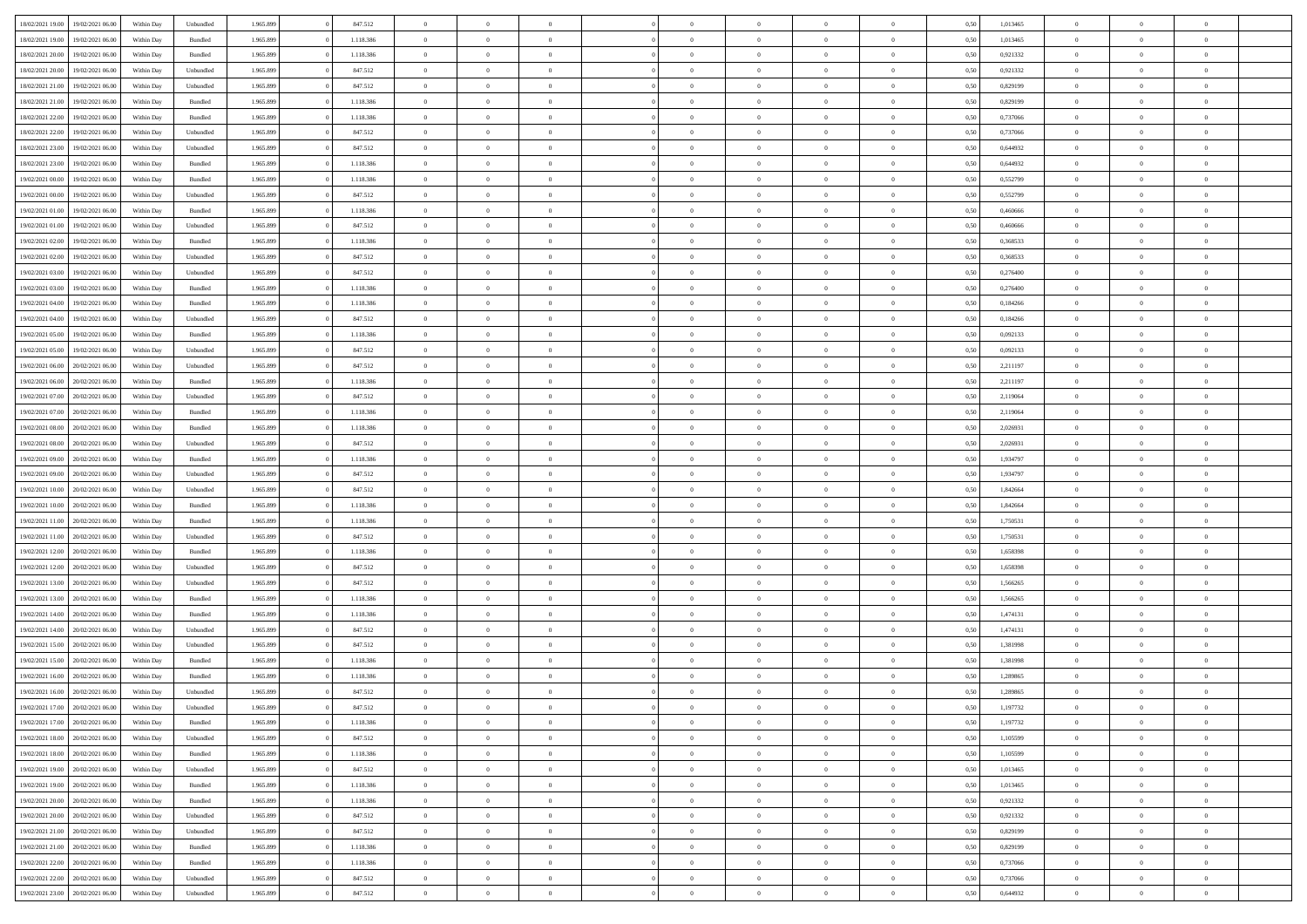| 18/02/2021 19:00                  | 19/02/2021 06:00 | Within Day | Unbundled          | 1.965.899 | 847.512   | $\overline{0}$ | $\theta$       |                | $\overline{0}$ | $\bf{0}$       | $\overline{0}$ | $\theta$       | 0,50 | 1,013465 | $\theta$       | $\theta$       | $\theta$       |  |
|-----------------------------------|------------------|------------|--------------------|-----------|-----------|----------------|----------------|----------------|----------------|----------------|----------------|----------------|------|----------|----------------|----------------|----------------|--|
|                                   |                  |            |                    |           |           |                |                | $\overline{0}$ |                |                |                |                |      |          |                |                |                |  |
| 18/02/2021 19:00                  | 19/02/2021 06.00 | Within Day | Bundled            | 1.965.899 | 1.118.386 | $\overline{0}$ | $\overline{0}$ |                | $\overline{0}$ | $\bf{0}$       | $\bf{0}$       | $\bf{0}$       | 0,50 | 1,013465 | $\,$ 0 $\,$    | $\overline{0}$ | $\overline{0}$ |  |
| 18/02/2021 20:00                  | 19/02/2021 06:00 | Within Day | Bundled            | 1.965.899 | 1.118.386 | $\overline{0}$ | $\overline{0}$ | $\overline{0}$ | $\overline{0}$ | $\overline{0}$ | $\overline{0}$ | $\mathbf{0}$   | 0.50 | 0,921332 | $\mathbf{0}$   | $\,$ 0 $\,$    | $\bf{0}$       |  |
| 18/02/2021 20:00                  | 19/02/2021 06:00 | Within Day | Unbundled          | 1.965.899 | 847.512   | $\overline{0}$ | $\,$ 0         | $\overline{0}$ | $\overline{0}$ | $\,0\,$        | $\overline{0}$ | $\bf{0}$       | 0,50 | 0,921332 | $\,$ 0 $\,$    | $\overline{0}$ | $\overline{0}$ |  |
| 18/02/2021 21:00                  | 19/02/2021 06.00 | Within Day | Unbundled          | 1.965.899 | 847.512   | $\overline{0}$ | $\overline{0}$ | $\overline{0}$ | $\overline{0}$ | $\,$ 0         | $\overline{0}$ | $\bf{0}$       | 0,50 | 0,829199 | $\,$ 0 $\,$    | $\overline{0}$ | $\overline{0}$ |  |
| 18/02/2021 21:00                  | 19/02/2021 06:00 | Within Day | Bundled            | 1.965.899 | 1.118.386 | $\overline{0}$ | $\overline{0}$ | $\overline{0}$ | $\overline{0}$ | $\bf{0}$       | $\overline{0}$ | $\bf{0}$       | 0.50 | 0,829199 | $\,0\,$        | $\overline{0}$ | $\overline{0}$ |  |
| 18/02/2021 22:00                  | 19/02/2021 06:00 | Within Day | Bundled            | 1.965.899 | 1.118.386 | $\overline{0}$ | $\overline{0}$ | $\overline{0}$ | $\overline{0}$ | $\bf{0}$       | $\overline{0}$ | $\bf{0}$       | 0,50 | 0,737066 | $\,$ 0 $\,$    | $\overline{0}$ | $\overline{0}$ |  |
| 18/02/2021 22:00                  | 19/02/2021 06.00 | Within Day | Unbundled          | 1.965.899 | 847.512   | $\overline{0}$ | $\overline{0}$ | $\overline{0}$ | $\overline{0}$ | $\,$ 0         | $\bf{0}$       | $\bf{0}$       | 0,50 | 0,737066 | $\,$ 0 $\,$    | $\overline{0}$ | $\overline{0}$ |  |
| 18/02/2021 23:00                  | 19/02/2021 06:00 | Within Day | Unbundled          | 1.965.899 | 847.512   | $\overline{0}$ | $\overline{0}$ | $\overline{0}$ | $\overline{0}$ | $\bf{0}$       | $\overline{0}$ | $\mathbf{0}$   | 0.50 | 0.644932 | $\bf{0}$       | $\overline{0}$ | $\bf{0}$       |  |
| 18/02/2021 23:00                  | 19/02/2021 06:00 | Within Day | Bundled            | 1.965.899 | 1.118.386 | $\overline{0}$ | $\,$ 0         | $\overline{0}$ | $\overline{0}$ | $\bf{0}$       | $\bf{0}$       | $\bf{0}$       | 0,50 | 0,644932 | $\,$ 0 $\,$    | $\overline{0}$ | $\overline{0}$ |  |
|                                   |                  |            |                    |           |           |                |                |                |                |                |                |                |      |          |                |                |                |  |
| 19/02/2021 00:00                  | 19/02/2021 06.00 | Within Day | Bundled            | 1.965.899 | 1.118.386 | $\overline{0}$ | $\overline{0}$ | $\overline{0}$ | $\overline{0}$ | $\,$ 0         | $\bf{0}$       | $\bf{0}$       | 0,50 | 0,552799 | $\,$ 0 $\,$    | $\overline{0}$ | $\overline{0}$ |  |
| 19/02/2021 00:00                  | 19/02/2021 06:00 | Within Day | Unbundled          | 1.965.899 | 847.512   | $\overline{0}$ | $\overline{0}$ | $\overline{0}$ | $\overline{0}$ | $\bf{0}$       | $\overline{0}$ | $\mathbf{0}$   | 0.50 | 0,552799 | $\overline{0}$ | $\,$ 0 $\,$    | $\overline{0}$ |  |
| 19/02/2021 01:00                  | 19/02/2021 06:00 | Within Day | Bundled            | 1.965.899 | 1.118.386 | $\overline{0}$ | $\,$ 0         | $\overline{0}$ | $\overline{0}$ | $\bf{0}$       | $\overline{0}$ | $\overline{0}$ | 0,50 | 0,460666 | $\,$ 0 $\,$    | $\overline{0}$ | $\overline{0}$ |  |
| 19/02/2021 01:00                  | 19/02/2021 06.00 | Within Day | Unbundled          | 1.965.899 | 847.512   | $\overline{0}$ | $\theta$       | $\overline{0}$ | $\overline{0}$ | $\,$ 0         | $\overline{0}$ | $\bf{0}$       | 0,50 | 0,460666 | $\,$ 0 $\,$    | $\overline{0}$ | $\overline{0}$ |  |
| 19/02/2021 02:00                  | 19/02/2021 06:00 | Within Day | Bundled            | 1.965.899 | 1.118.386 | $\overline{0}$ | $\overline{0}$ | $\overline{0}$ | $\overline{0}$ | $\bf{0}$       | $\overline{0}$ | $\bf{0}$       | 0.50 | 0.368533 | $\,0\,$        | $\overline{0}$ | $\overline{0}$ |  |
| 19/02/2021 02:00                  | 19/02/2021 06:00 | Within Day | Unbundled          | 1.965.899 | 847.512   | $\overline{0}$ | $\overline{0}$ | $\overline{0}$ | $\overline{0}$ | $\bf{0}$       | $\overline{0}$ | $\bf{0}$       | 0,50 | 0,368533 | $\,$ 0 $\,$    | $\overline{0}$ | $\overline{0}$ |  |
| 19/02/2021 03:00                  | 19/02/2021 06.00 | Within Day | Unbundled          | 1.965.899 | 847.512   | $\overline{0}$ | $\overline{0}$ | $\overline{0}$ | $\overline{0}$ | $\,$ 0         | $\overline{0}$ | $\bf{0}$       | 0,50 | 0,276400 | $\,$ 0 $\,$    | $\overline{0}$ | $\overline{0}$ |  |
| 19/02/2021 03:00                  | 19/02/2021 06:00 | Within Day | Bundled            | 1.965.899 | 1.118.386 | $\overline{0}$ | $\overline{0}$ | $\overline{0}$ | $\overline{0}$ | $\overline{0}$ | $\overline{0}$ | $\mathbf{0}$   | 0.50 | 0.276400 | $\bf{0}$       | $\overline{0}$ | $\bf{0}$       |  |
| 19/02/2021 04:00                  | 19/02/2021 06:00 | Within Day | Bundled            | 1.965.899 | 1.118.386 | $\overline{0}$ | $\overline{0}$ | $\overline{0}$ | $\overline{0}$ | $\bf{0}$       | $\overline{0}$ | $\bf{0}$       | 0,50 | 0,184266 | $\,$ 0 $\,$    | $\overline{0}$ | $\overline{0}$ |  |
|                                   |                  |            |                    |           |           |                | $\overline{0}$ | $\overline{0}$ | $\overline{0}$ | $\bf{0}$       |                |                |      |          | $\,$ 0 $\,$    | $\overline{0}$ | $\overline{0}$ |  |
| 19/02/2021 04:00                  | 19/02/2021 06.00 | Within Day | Unbundled          | 1.965.899 | 847.512   | $\overline{0}$ |                |                |                |                | $\overline{0}$ | $\bf{0}$       | 0,50 | 0,184266 |                |                |                |  |
| 19/02/2021 05:00                  | 19/02/2021 06:00 | Within Day | $\mathbf B$ undled | 1.965.899 | 1.118.386 | $\overline{0}$ | $\overline{0}$ | $\overline{0}$ | $\overline{0}$ | $\bf{0}$       | $\overline{0}$ | $\mathbf{0}$   | 0.50 | 0,092133 | $\overline{0}$ | $\,$ 0 $\,$    | $\overline{0}$ |  |
| 19/02/2021 05:00                  | 19/02/2021 06:00 | Within Day | Unbundled          | 1.965.899 | 847.512   | $\overline{0}$ | $\overline{0}$ | $\overline{0}$ | $\overline{0}$ | $\,$ 0 $\,$    | $\overline{0}$ | $\bf{0}$       | 0,50 | 0,092133 | $\,$ 0 $\,$    | $\overline{0}$ | $\overline{0}$ |  |
| 19/02/2021 06:00                  | 20/02/2021 06:00 | Within Day | Unbundled          | 1.965.899 | 847.512   | $\overline{0}$ | $\overline{0}$ | $\overline{0}$ | $\overline{0}$ | $\bf{0}$       | $\overline{0}$ | $\bf{0}$       | 0,50 | 2,211197 | $\,$ 0 $\,$    | $\overline{0}$ | $\overline{0}$ |  |
| 19/02/2021 06:00                  | 20/02/2021 06:00 | Within Day | Bundled            | 1.965.899 | 1.118.386 | $\overline{0}$ | $\overline{0}$ | $\overline{0}$ | $\overline{0}$ | $\bf{0}$       | $\overline{0}$ | $\bf{0}$       | 0.50 | 2,211197 | $\,0\,$        | $\overline{0}$ | $\overline{0}$ |  |
| 19/02/2021 07:00                  | 20/02/2021 06:00 | Within Day | Unbundled          | 1.965.899 | 847.512   | $\overline{0}$ | $\overline{0}$ | $\overline{0}$ | $\overline{0}$ | $\bf{0}$       | $\overline{0}$ | $\bf{0}$       | 0,50 | 2,119064 | $\,$ 0 $\,$    | $\overline{0}$ | $\overline{0}$ |  |
| 19/02/2021 07:00                  | 20/02/2021 06:00 | Within Day | Bundled            | 1.965.899 | 1.118.386 | $\overline{0}$ | $\,$ 0 $\,$    | $\overline{0}$ | $\overline{0}$ | $\,$ 0         | $\overline{0}$ | $\bf{0}$       | 0,50 | 2,119064 | $\,$ 0 $\,$    | $\overline{0}$ | $\overline{0}$ |  |
| 19/02/2021 08:00                  | 20/02/2021 06:00 | Within Day | Bundled            | 1.965.899 | 1.118.386 | $\overline{0}$ | $\overline{0}$ | $\overline{0}$ | $\overline{0}$ | $\bf{0}$       | $\overline{0}$ | $\mathbf{0}$   | 0.50 | 2.026931 | $\bf{0}$       | $\overline{0}$ | $\bf{0}$       |  |
| 19/02/2021 08:00                  | 20/02/2021 06:00 | Within Day | Unbundled          | 1.965.899 | 847.512   | $\overline{0}$ | $\overline{0}$ | $\overline{0}$ | $\overline{0}$ | $\bf{0}$       | $\overline{0}$ | $\bf{0}$       | 0,50 | 2,026931 | $\,$ 0 $\,$    | $\overline{0}$ | $\overline{0}$ |  |
| 19/02/2021 09:00                  | 20/02/2021 06:00 | Within Day | Bundled            | 1.965.899 | 1.118.386 | $\overline{0}$ | $\overline{0}$ | $\overline{0}$ | $\overline{0}$ | $\bf{0}$       | $\bf{0}$       | $\bf{0}$       | 0,50 | 1,934797 | $\,$ 0 $\,$    | $\overline{0}$ | $\overline{0}$ |  |
| 19/02/2021 09:00                  | 20/02/2021 06:00 | Within Day | Unbundled          | 1.965.899 | 847.512   | $\bf{0}$       | $\overline{0}$ | $\overline{0}$ | $\overline{0}$ | $\bf{0}$       | $\overline{0}$ | $\mathbf{0}$   | 0.50 | 1.934797 | $\overline{0}$ | $\,$ 0 $\,$    | $\overline{0}$ |  |
| 19/02/2021 10:00                  | 20/02/2021 06:00 | Within Dav | Unbundled          | 1.965.899 | 847.512   | $\overline{0}$ | $\overline{0}$ | $\overline{0}$ | $\overline{0}$ | $\overline{0}$ | $\overline{0}$ | $\mathbf{0}$   | 0.50 | 1,842664 | $\theta$       | $\overline{0}$ | $\overline{0}$ |  |
|                                   |                  |            |                    |           |           |                |                |                |                |                |                |                |      |          |                |                |                |  |
| 19/02/2021 10:00                  | 20/02/2021 06:00 | Within Day | Bundled            | 1.965.899 | 1.118.386 | $\overline{0}$ | $\overline{0}$ | $\overline{0}$ | $\overline{0}$ | $\bf{0}$       | $\bf{0}$       | $\bf{0}$       | 0,50 | 1,842664 | $\,$ 0 $\,$    | $\overline{0}$ | $\overline{0}$ |  |
| 19/02/2021 11:00                  | 20/02/2021 06:00 | Within Day | Bundled            | 1.965.899 | 1.118.386 | $\overline{0}$ | $\overline{0}$ | $\overline{0}$ | $\overline{0}$ | $\bf{0}$       | $\overline{0}$ | $\bf{0}$       | 0.50 | 1,750531 | $\,0\,$        | $\overline{0}$ | $\overline{0}$ |  |
| 19/02/2021 11:00                  | 20/02/2021 06:00 | Within Dav | Unbundled          | 1.965.899 | 847.512   | $\overline{0}$ | $\overline{0}$ | $\overline{0}$ | $\overline{0}$ | $\overline{0}$ | $\overline{0}$ | $\overline{0}$ | 0,50 | 1,750531 | $\theta$       | $\overline{0}$ | $\overline{0}$ |  |
| 19/02/2021 12:00                  | 20/02/2021 06:00 | Within Day | Bundled            | 1.965.899 | 1.118.386 | $\overline{0}$ | $\overline{0}$ | $\overline{0}$ | $\overline{0}$ | $\,$ 0         | $\bf{0}$       | $\bf{0}$       | 0,50 | 1,658398 | $\,$ 0 $\,$    | $\overline{0}$ | $\overline{0}$ |  |
| 19/02/2021 12:00                  | 20/02/2021 06:00 | Within Day | Unbundled          | 1.965.899 | 847.512   | $\overline{0}$ | $\overline{0}$ | $\overline{0}$ | $\overline{0}$ | $\bf{0}$       | $\overline{0}$ | $\mathbf{0}$   | 0.50 | 1.658398 | $\overline{0}$ | $\overline{0}$ | $\bf{0}$       |  |
| 19/02/2021 13:00                  | 20/02/2021 06:00 | Within Dav | Unbundled          | 1.965.899 | 847.512   | $\overline{0}$ | $\overline{0}$ | $\overline{0}$ | $\overline{0}$ | $\overline{0}$ | $\overline{0}$ | $\overline{0}$ | 0,50 | 1,566265 | $\theta$       | $\overline{0}$ | $\overline{0}$ |  |
| 19/02/2021 13:00                  | 20/02/2021 06:00 | Within Day | Bundled            | 1.965.899 | 1.118.386 | $\overline{0}$ | $\overline{0}$ | $\overline{0}$ | $\bf{0}$       | $\bf{0}$       | $\bf{0}$       | $\bf{0}$       | 0,50 | 1,566265 | $\,$ 0 $\,$    | $\overline{0}$ | $\overline{0}$ |  |
| 19/02/2021 14:00                  | 20/02/2021 06:00 | Within Day | Bundled            | 1.965.899 | 1.118.386 | $\overline{0}$ | $\overline{0}$ | $\overline{0}$ | $\overline{0}$ | $\bf{0}$       | $\overline{0}$ | $\mathbf{0}$   | 0.50 | 1,474131 | $\overline{0}$ | $\,$ 0 $\,$    | $\overline{0}$ |  |
| 19/02/2021 14:00                  | 20/02/2021 06:00 | Within Dav | Unbundled          | 1.965.899 | 847.512   | $\overline{0}$ | $\overline{0}$ | $\overline{0}$ | $\overline{0}$ | $\overline{0}$ | $\overline{0}$ | $\mathbf{0}$   | 0.50 | 1,474131 | $\theta$       | $\overline{0}$ | $\overline{0}$ |  |
| 19/02/2021 15:00                  | 20/02/2021 06:00 | Within Day | Unbundled          | 1.965.899 | 847.512   | $\overline{0}$ | $\overline{0}$ | $\overline{0}$ | $\overline{0}$ | $\bf{0}$       | $\overline{0}$ | $\bf{0}$       | 0,50 | 1,381998 | $\,$ 0 $\,$    | $\overline{0}$ | $\overline{0}$ |  |
| 19/02/2021 15:00                  | 20/02/2021 06:00 |            | Bundled            | 1.965.899 | 1.118.386 | $\overline{0}$ | $\overline{0}$ | $\overline{0}$ | $\overline{0}$ | $\bf{0}$       | $\overline{0}$ | $\bf{0}$       | 0.50 | 1.381998 | $\bf{0}$       | $\overline{0}$ | $\overline{0}$ |  |
|                                   |                  | Within Day |                    |           |           |                |                | $\Omega$       |                |                |                |                |      |          | $\theta$       | $\overline{0}$ |                |  |
| 19/02/2021 16:00                  | 20/02/2021 06:00 | Within Dav | Bundled            | 1.965.899 | 1.118.386 | $\overline{0}$ | $\theta$       |                | $\overline{0}$ | $\bf{0}$       | $\overline{0}$ | $\overline{0}$ | 0.50 | 1,289865 |                |                | $\overline{0}$ |  |
| 19/02/2021 16:00                  | 20/02/2021 06:00 | Within Day | Unbundled          | 1.965.899 | 847.512   | $\overline{0}$ | $\overline{0}$ | $\overline{0}$ | $\bf{0}$       | $\,$ 0         | $\overline{0}$ | $\bf{0}$       | 0,50 | 1,289865 | $\,$ 0 $\,$    | $\overline{0}$ | $\overline{0}$ |  |
| 19/02/2021 17:00                  | 20/02/2021 06:00 | Within Day | Unbundled          | 1.965.899 | 847.512   | $\bf{0}$       | $\bf{0}$       |                | $^{\circ}$     | $\Omega$       |                |                | 0,50 | 1,197732 | $\bf{0}$       | $\theta$       |                |  |
| 19/02/2021 17:00                  | 20/02/2021 06:00 | Within Day | Bundled            | 1.965.899 | 1.118.386 | $\overline{0}$ | $\overline{0}$ | $\overline{0}$ | $\overline{0}$ | $\overline{0}$ | $\overline{0}$ | $\overline{0}$ | 0,50 | 1,197732 | $\theta$       | $\overline{0}$ | $\overline{0}$ |  |
| 19/02/2021 18:00                  | 20/02/2021 06:00 | Within Day | Unbundled          | 1.965.899 | 847.512   | $\overline{0}$ | $\bf{0}$       | $\overline{0}$ | $\overline{0}$ | $\overline{0}$ | $\overline{0}$ | $\bf{0}$       | 0,50 | 1,105599 | $\overline{0}$ | $\overline{0}$ | $\bf{0}$       |  |
| 19/02/2021 18:00                  | 20/02/2021 06:00 | Within Day | Bundled            | 1.965.899 | 1.118.386 | $\overline{0}$ | $\overline{0}$ | $\overline{0}$ | $\overline{0}$ | $\overline{0}$ | $\overline{0}$ | $\mathbf{0}$   | 0.50 | 1.105599 | $\overline{0}$ | $\bf{0}$       | $\bf{0}$       |  |
| 19/02/2021 19:00                  | 20/02/2021 06:00 | Within Day | Unbundled          | 1.965.899 | 847.512   | $\overline{0}$ | $\overline{0}$ | $\overline{0}$ | $\overline{0}$ | $\overline{0}$ | $\overline{0}$ | $\overline{0}$ | 0,50 | 1,013465 | $\overline{0}$ | $\theta$       | $\overline{0}$ |  |
| 19/02/2021 19:00                  | 20/02/2021 06:00 | Within Day | Bundled            | 1.965.899 | 1.118.386 | $\overline{0}$ | $\overline{0}$ | $\overline{0}$ | $\overline{0}$ | $\bf{0}$       | $\overline{0}$ | $\bf{0}$       | 0,50 | 1,013465 | $\,$ 0 $\,$    | $\overline{0}$ | $\overline{0}$ |  |
| 19/02/2021 20:00                  | 20/02/2021 06:00 | Within Day | Bundled            | 1.965.899 | 1.118.386 | $\overline{0}$ | $\overline{0}$ | $\overline{0}$ | $\overline{0}$ | $\bf{0}$       | $\overline{0}$ | $\mathbf{0}$   | 0.50 | 0,921332 | $\,$ 0 $\,$    | $\overline{0}$ | $\overline{0}$ |  |
| 19/02/2021 20:00                  | 20/02/2021 06:00 | Within Day | Unbundled          | 1.965.899 | 847.512   | $\overline{0}$ | $\overline{0}$ | $\overline{0}$ | $\overline{0}$ | $\overline{0}$ | $\overline{0}$ | $\overline{0}$ | 0,50 | 0.921332 | $\overline{0}$ | $\theta$       | $\overline{0}$ |  |
| 19/02/2021 21:00                  | 20/02/2021 06:00 | Within Day | Unbundled          | 1.965.899 | 847.512   | $\overline{0}$ | $\,$ 0         | $\overline{0}$ | $\bf{0}$       | $\,$ 0 $\,$    | $\overline{0}$ | $\bf{0}$       | 0,50 | 0,829199 | $\,$ 0 $\,$    | $\overline{0}$ | $\overline{0}$ |  |
| 19/02/2021 21:00                  | 20/02/2021 06:00 | Within Day | Bundled            | 1.965.899 | 1.118.386 | $\overline{0}$ | $\overline{0}$ | $\overline{0}$ | $\overline{0}$ | $\bf{0}$       | $\overline{0}$ | $\mathbf{0}$   | 0.50 | 0.829199 | $\mathbf{0}$   | $\bf{0}$       | $\bf{0}$       |  |
|                                   |                  |            |                    |           |           |                |                |                |                |                |                |                |      |          |                |                |                |  |
| 19/02/2021 22.00                  | 20/02/2021 06:00 | Within Day | Bundled            | 1.965.899 | 1.118.386 | $\overline{0}$ | $\overline{0}$ | $\overline{0}$ | $\overline{0}$ | $\overline{0}$ | $\overline{0}$ | $\overline{0}$ | 0,50 | 0,737066 | $\overline{0}$ | $\overline{0}$ | $\overline{0}$ |  |
| 19/02/2021 22:00                  | 20/02/2021 06:00 | Within Day | Unbundled          | 1.965.899 | 847.512   | $\overline{0}$ | $\bf{0}$       | $\overline{0}$ | $\bf{0}$       | $\bf{0}$       | $\overline{0}$ | $\bf{0}$       | 0,50 | 0,737066 | $\overline{0}$ | $\overline{0}$ | $\bf{0}$       |  |
| 19/02/2021 23:00 20/02/2021 06:00 |                  | Within Day | Unbundled          | 1.965.899 | 847.512   | $\,$ 0 $\,$    | $\,$ 0 $\,$    | $\overline{0}$ | $\overline{0}$ | $\,$ 0 $\,$    | $\,$ 0 $\,$    | $\,$ 0 $\,$    | 0,50 | 0,644932 | $\mathbf{0}^-$ | $\,$ 0 $\,$    | $\,$ 0 $\,$    |  |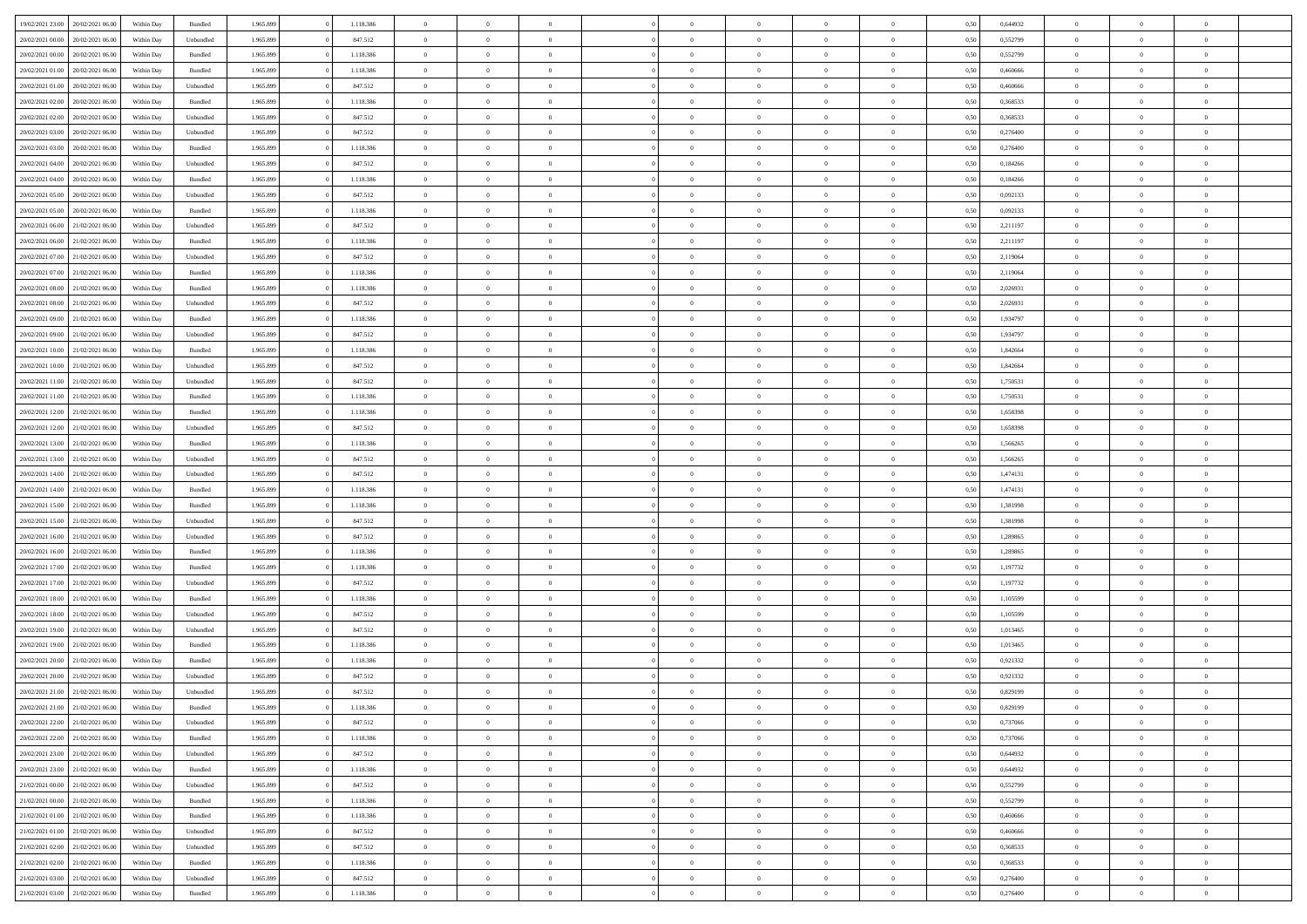| 19/02/2021 23:00 | 20/02/2021 06:00                  | Within Day | Bundled            | 1.965.899 | 1.118.386 | $\overline{0}$ | $\theta$       |                | $\Omega$       | $\Omega$       | $\theta$       | $\theta$       | 0,50 | 0,644932 | $\theta$       | $\overline{0}$ | $\theta$       |  |
|------------------|-----------------------------------|------------|--------------------|-----------|-----------|----------------|----------------|----------------|----------------|----------------|----------------|----------------|------|----------|----------------|----------------|----------------|--|
|                  |                                   |            |                    |           |           |                |                |                |                |                |                |                |      |          |                |                |                |  |
| 20/02/2021 00:00 | 20/02/2021 06:00                  | Within Day | Unbundled          | 1.965.899 | 847.512   | $\overline{0}$ | $\theta$       | $\overline{0}$ | $\overline{0}$ | $\bf{0}$       | $\overline{0}$ | $\bf{0}$       | 0,50 | 0,552799 | $\theta$       | $\overline{0}$ | $\overline{0}$ |  |
| 20/02/2021 00:00 | 20/02/2021 06:00                  | Within Day | Bundled            | 1.965.899 | 1.118.386 | $\overline{0}$ | $\overline{0}$ | $\overline{0}$ | $\bf{0}$       | $\bf{0}$       | $\bf{0}$       | $\mathbf{0}$   | 0,50 | 0,552799 | $\overline{0}$ | $\overline{0}$ | $\bf{0}$       |  |
| 20/02/2021 01:00 | 20/02/2021 06:00                  | Within Day | Bundled            | 1.965.899 | 1.118.386 | $\overline{0}$ | $\overline{0}$ | $\overline{0}$ | $\overline{0}$ | $\bf{0}$       | $\overline{0}$ | $\overline{0}$ | 0.50 | 0.460666 | $\theta$       | $\theta$       | $\overline{0}$ |  |
| 20/02/2021 01:00 | 20/02/2021 06:00                  | Within Day | Unbundled          | 1.965.899 | 847.512   | $\overline{0}$ | $\theta$       | $\overline{0}$ | $\overline{0}$ | $\bf{0}$       | $\overline{0}$ | $\bf{0}$       | 0,50 | 0,460666 | $\,$ 0 $\,$    | $\overline{0}$ | $\overline{0}$ |  |
| 20/02/2021 02:00 | 20/02/2021 06:00                  | Within Day | Bundled            | 1.965.899 | 1.118.386 | $\overline{0}$ | $\overline{0}$ | $\overline{0}$ | $\bf{0}$       | $\overline{0}$ | $\overline{0}$ | $\mathbf{0}$   | 0,50 | 0,368533 | $\overline{0}$ | $\overline{0}$ | $\bf{0}$       |  |
|                  |                                   |            |                    |           |           |                | $\overline{0}$ |                |                | $\overline{0}$ |                |                |      |          | $\theta$       | $\overline{0}$ | $\overline{0}$ |  |
| 20/02/2021 02:00 | 20/02/2021 06:00                  | Within Dav | Unbundled          | 1.965.899 | 847.512   | $\overline{0}$ |                | $\overline{0}$ | $\overline{0}$ |                | $\overline{0}$ | $\overline{0}$ | 0.50 | 0,368533 |                |                |                |  |
| 20/02/2021 03:00 | 20/02/2021 06:00                  | Within Day | Unbundled          | 1.965.899 | 847.512   | $\overline{0}$ | $\theta$       | $\overline{0}$ | $\overline{0}$ | $\bf{0}$       | $\overline{0}$ | $\bf{0}$       | 0,50 | 0,276400 | $\theta$       | $\theta$       | $\overline{0}$ |  |
| 20/02/2021 03:00 | 20/02/2021 06:00                  | Within Day | Bundled            | 1.965.899 | 1.118.386 | $\overline{0}$ | $\overline{0}$ | $\overline{0}$ | $\bf{0}$       | $\bf{0}$       | $\bf{0}$       | $\mathbf{0}$   | 0,50 | 0,276400 | $\,0\,$        | $\overline{0}$ | $\overline{0}$ |  |
| 20/02/2021 04:00 | 20/02/2021 06:00                  | Within Dav | Unbundled          | 1.965.899 | 847.512   | $\overline{0}$ | $\overline{0}$ | $\overline{0}$ | $\overline{0}$ | $\overline{0}$ | $\overline{0}$ | $\overline{0}$ | 0.50 | 0,184266 | $\theta$       | $\overline{0}$ | $\overline{0}$ |  |
| 20/02/2021 04:00 | 20/02/2021 06:00                  | Within Day | Bundled            | 1.965.899 | 1.118.386 | $\overline{0}$ | $\theta$       | $\overline{0}$ | $\overline{0}$ | $\bf{0}$       | $\overline{0}$ | $\bf{0}$       | 0,50 | 0,184266 | $\,$ 0 $\,$    | $\overline{0}$ | $\overline{0}$ |  |
| 20/02/2021 05:00 | 20/02/2021 06:00                  | Within Day | Unbundled          | 1.965.899 | 847.512   | $\overline{0}$ | $\overline{0}$ | $\overline{0}$ | $\bf{0}$       | $\bf{0}$       | $\bf{0}$       | $\mathbf{0}$   | 0,50 | 0,092133 | $\overline{0}$ | $\overline{0}$ | $\bf{0}$       |  |
| 20/02/2021 05:00 | 20/02/2021 06:00                  | Within Day | Bundled            | 1.965.899 | 1.118.386 | $\overline{0}$ | $\overline{0}$ | $\overline{0}$ | $\overline{0}$ | $\bf{0}$       | $\overline{0}$ | $\overline{0}$ | 0.50 | 0,092133 | $\theta$       | $\theta$       | $\overline{0}$ |  |
| 20/02/2021 06:00 | 21/02/2021 06:00                  |            |                    | 1.965.899 | 847.512   | $\overline{0}$ | $\theta$       | $\overline{0}$ | $\overline{0}$ | $\bf{0}$       | $\overline{0}$ |                |      | 2,211197 | $\,$ 0 $\,$    | $\overline{0}$ | $\overline{0}$ |  |
|                  |                                   | Within Day | Unbundled          |           |           |                |                |                |                |                |                | $\bf{0}$       | 0,50 |          |                |                |                |  |
| 20/02/2021 06:00 | 21/02/2021 06:00                  | Within Day | Bundled            | 1.965.899 | 1.118.386 | $\overline{0}$ | $\overline{0}$ | $\overline{0}$ | $\bf{0}$       | $\overline{0}$ | $\overline{0}$ | $\mathbf{0}$   | 0,50 | 2,211197 | $\overline{0}$ | $\overline{0}$ | $\bf{0}$       |  |
| 20/02/2021 07:00 | 21/02/2021 06:00                  | Within Day | Unbundled          | 1.965.899 | 847.512   | $\overline{0}$ | $\overline{0}$ | $\overline{0}$ | $\overline{0}$ | $\overline{0}$ | $\overline{0}$ | $\overline{0}$ | 0.50 | 2,119064 | $\overline{0}$ | $\overline{0}$ | $\overline{0}$ |  |
| 20/02/2021 07:00 | 21/02/2021 06:00                  | Within Day | Bundled            | 1.965.899 | 1.118.386 | $\overline{0}$ | $\theta$       | $\overline{0}$ | $\overline{0}$ | $\bf{0}$       | $\overline{0}$ | $\bf{0}$       | 0,50 | 2,119064 | $\,$ 0 $\,$    | $\overline{0}$ | $\overline{0}$ |  |
| 20/02/2021 08:00 | 21/02/2021 06:00                  | Within Day | Bundled            | 1.965.899 | 1.118.386 | $\overline{0}$ | $\overline{0}$ | $\overline{0}$ | $\bf{0}$       | $\bf{0}$       | $\bf{0}$       | $\mathbf{0}$   | 0,50 | 2,026931 | $\bf{0}$       | $\overline{0}$ | $\bf{0}$       |  |
| 20/02/2021 08:00 | 21/02/2021 06:00                  | Within Day | Unbundled          | 1.965.899 | 847.512   | $\overline{0}$ | $\overline{0}$ | $\overline{0}$ | $\overline{0}$ | $\overline{0}$ | $\overline{0}$ | $\overline{0}$ | 0.50 | 2,026931 | $\theta$       | $\overline{0}$ | $\overline{0}$ |  |
| 20/02/2021 09:00 | 21/02/2021 06:00                  | Within Day | Bundled            | 1.965.899 | 1.118.386 | $\overline{0}$ | $\theta$       | $\overline{0}$ | $\overline{0}$ | $\bf{0}$       | $\overline{0}$ | $\bf{0}$       | 0,50 | 1,934797 | $\,$ 0 $\,$    | $\overline{0}$ | $\overline{0}$ |  |
|                  |                                   |            |                    |           |           |                | $\overline{0}$ |                |                | $\bf{0}$       |                |                |      |          |                | $\overline{0}$ | $\bf{0}$       |  |
| 20/02/2021 09:00 | 21/02/2021 06:00                  | Within Day | Unbundled          | 1.965.899 | 847.512   | $\overline{0}$ |                | $\overline{0}$ | $\overline{0}$ |                | $\overline{0}$ | $\mathbf{0}$   | 0,50 | 1,934797 | $\overline{0}$ |                |                |  |
| 20/02/2021 10:00 | 21/02/2021 06:00                  | Within Day | Bundled            | 1.965.899 | 1.118.386 | $\overline{0}$ | $\overline{0}$ | $\overline{0}$ | $\overline{0}$ | $\overline{0}$ | $\overline{0}$ | $\overline{0}$ | 0.50 | 1,842664 | $\theta$       | $\overline{0}$ | $\overline{0}$ |  |
| 20/02/2021 10:00 | 21/02/2021 06:00                  | Within Day | Unbundled          | 1.965.899 | 847.512   | $\overline{0}$ | $\theta$       | $\overline{0}$ | $\overline{0}$ | $\bf{0}$       | $\overline{0}$ | $\,$ 0 $\,$    | 0,50 | 1,842664 | $\,$ 0 $\,$    | $\overline{0}$ | $\overline{0}$ |  |
| 20/02/2021 11:00 | 21/02/2021 06:00                  | Within Day | Unbundled          | 1.965.899 | 847.512   | $\overline{0}$ | $\overline{0}$ | $\overline{0}$ | $\overline{0}$ | $\overline{0}$ | $\overline{0}$ | $\mathbf{0}$   | 0,50 | 1,750531 | $\overline{0}$ | $\overline{0}$ | $\bf{0}$       |  |
| 20/02/2021 11:00 | 21/02/2021 06:00                  | Within Dav | Bundled            | 1.965.899 | 1.118.386 | $\overline{0}$ | $\overline{0}$ | $\overline{0}$ | $\overline{0}$ | $\overline{0}$ | $\overline{0}$ | $\overline{0}$ | 0.50 | 1,750531 | $\theta$       | $\overline{0}$ | $\overline{0}$ |  |
| 20/02/2021 12:00 | 21/02/2021 06:00                  | Within Day | Bundled            | 1.965.899 | 1.118.386 | $\overline{0}$ | $\theta$       | $\overline{0}$ | $\overline{0}$ | $\bf{0}$       | $\overline{0}$ | $\bf{0}$       | 0,50 | 1,658398 | $\,$ 0 $\,$    | $\theta$       | $\overline{0}$ |  |
| 20/02/2021 12:00 | 21/02/2021 06:00                  | Within Day | Unbundled          | 1.965.899 | 847.512   | $\overline{0}$ | $\overline{0}$ | $\overline{0}$ | $\overline{0}$ | $\bf{0}$       | $\overline{0}$ | $\mathbf{0}$   | 0,50 | 1,658398 | $\,0\,$        | $\overline{0}$ | $\overline{0}$ |  |
| 20/02/2021 13:00 | 21/02/2021 06:00                  | Within Day | Bundled            | 1.965.899 | 1.118.386 | $\overline{0}$ | $\overline{0}$ | $\overline{0}$ | $\overline{0}$ | $\overline{0}$ | $\overline{0}$ | $\overline{0}$ | 0.50 | 1,566265 | $\theta$       | $\overline{0}$ | $\overline{0}$ |  |
|                  |                                   |            |                    |           |           |                |                |                |                |                |                |                |      |          |                |                |                |  |
| 20/02/2021 13:00 | 21/02/2021 06:00                  | Within Day | Unbundled          | 1.965.899 | 847.512   | $\overline{0}$ | $\overline{0}$ | $\overline{0}$ | $\overline{0}$ | $\bf{0}$       | $\overline{0}$ | $\bf{0}$       | 0,50 | 1,566265 | $\,$ 0 $\,$    | $\overline{0}$ | $\overline{0}$ |  |
| 20/02/2021 14:00 | 21/02/2021 06:00                  | Within Day | Unbundled          | 1.965.899 | 847.512   | $\overline{0}$ | $\overline{0}$ | $\overline{0}$ | $\overline{0}$ | $\bf{0}$       | $\overline{0}$ | $\mathbf{0}$   | 0,50 | 1,474131 | $\overline{0}$ | $\overline{0}$ | $\bf{0}$       |  |
| 20/02/2021 14:00 | 21/02/2021 06:00                  | Within Day | Bundled            | 1.965.899 | 1.118.386 | $\overline{0}$ | $\Omega$       | $\overline{0}$ | $\Omega$       | $\Omega$       | $\overline{0}$ | $\overline{0}$ | 0,50 | 1,474131 | $\,0\,$        | $\theta$       | $\theta$       |  |
| 20/02/2021 15:00 | 21/02/2021 06:00                  | Within Day | Bundled            | 1.965.899 | 1.118.386 | $\overline{0}$ | $\theta$       | $\overline{0}$ | $\overline{0}$ | $\bf{0}$       | $\overline{0}$ | $\bf{0}$       | 0,50 | 1,381998 | $\,$ 0 $\,$    | $\overline{0}$ | $\overline{0}$ |  |
| 20/02/2021 15:00 | 21/02/2021 06:00                  | Within Day | Unbundled          | 1.965.899 | 847.512   | $\overline{0}$ | $\overline{0}$ | $\overline{0}$ | $\overline{0}$ | $\overline{0}$ | $\overline{0}$ | $\mathbf{0}$   | 0,50 | 1,381998 | $\overline{0}$ | $\overline{0}$ | $\bf{0}$       |  |
| 20/02/2021 16:00 | 21/02/2021 06:00                  | Within Day | Unbundled          | 1.965.899 | 847.512   | $\overline{0}$ | $\Omega$       | $\overline{0}$ | $\Omega$       | $\overline{0}$ | $\overline{0}$ | $\overline{0}$ | 0.50 | 1,289865 | $\,$ 0 $\,$    | $\theta$       | $\theta$       |  |
| 20/02/2021 16:00 | 21/02/2021 06:00                  | Within Day | Bundled            | 1.965.899 | 1.118.386 | $\overline{0}$ | $\theta$       | $\overline{0}$ | $\overline{0}$ | $\bf{0}$       | $\overline{0}$ | $\bf{0}$       | 0,50 | 1,289865 | $\,$ 0 $\,$    | $\overline{0}$ | $\overline{0}$ |  |
| 20/02/2021 17:00 | 21/02/2021 06:00                  | Within Day | Bundled            | 1.965.899 | 1.118.386 | $\overline{0}$ | $\bf{0}$       | $\overline{0}$ | $\overline{0}$ | $\bf{0}$       | $\bf{0}$       | $\mathbf{0}$   | 0,50 | 1,197732 | $\bf{0}$       | $\overline{0}$ | $\bf{0}$       |  |
|                  |                                   |            |                    |           |           |                |                |                |                |                |                |                |      |          |                |                |                |  |
| 20/02/2021 17:00 | 21/02/2021 06:00                  | Within Day | Unbundled          | 1.965.899 | 847.512   | $\overline{0}$ | $\Omega$       | $\overline{0}$ | $\Omega$       | $\overline{0}$ | $\overline{0}$ | $\overline{0}$ | 0.50 | 1,197732 | $\,$ 0 $\,$    | $\theta$       | $\theta$       |  |
| 20/02/2021 18:00 | 21/02/2021 06:00                  | Within Day | Bundled            | 1.965.899 | 1.118.386 | $\overline{0}$ | $\overline{0}$ | $\overline{0}$ | $\overline{0}$ | $\,$ 0         | $\overline{0}$ | $\bf{0}$       | 0,50 | 1,105599 | $\,$ 0 $\,$    | $\overline{0}$ | $\overline{0}$ |  |
| 20/02/2021 18:00 | 21/02/2021 06:00                  | Within Day | Unbundled          | 1.965.899 | 847.512   | $\overline{0}$ | $\overline{0}$ | $\overline{0}$ | $\bf{0}$       | $\bf{0}$       | $\overline{0}$ | $\mathbf{0}$   | 0,50 | 1,105599 | $\bf{0}$       | $\overline{0}$ | $\bf{0}$       |  |
| 20/02/2021 19:00 | 21/02/2021 06:00                  | Within Day | Unbundled          | 1.965.899 | 847.512   | $\overline{0}$ | $\Omega$       | $\overline{0}$ | $\Omega$       | $\overline{0}$ | $\overline{0}$ | $\overline{0}$ | 0,50 | 1,013465 | $\,0\,$        | $\theta$       | $\theta$       |  |
| 20/02/2021 19:00 | 21/02/2021 06:00                  | Within Day | Bundled            | 1.965.899 | 1.118.386 | $\overline{0}$ | $\overline{0}$ | $\overline{0}$ | $\overline{0}$ | $\,$ 0         | $\overline{0}$ | $\bf{0}$       | 0,50 | 1,013465 | $\,$ 0 $\,$    | $\overline{0}$ | $\overline{0}$ |  |
| 20/02/2021 20:00 | 21/02/2021 06:00                  | Within Day | Bundled            | 1.965.899 | 1.118.386 | $\overline{0}$ | $\overline{0}$ | $\overline{0}$ | $\bf{0}$       | $\bf{0}$       | $\overline{0}$ | $\mathbf{0}$   | 0,50 | 0,921332 | $\bf{0}$       | $\overline{0}$ | $\bf{0}$       |  |
| 20/02/2021 20:00 | 21/02/2021 06:00                  | Within Day | Unbundled          | 1.965.899 | 847.512   | $\overline{0}$ | $\Omega$       | $\Omega$       | $\Omega$       | $\Omega$       | $\Omega$       | $\overline{0}$ | 0.50 | 0,921332 | $\theta$       | $\theta$       | $\theta$       |  |
| 20/02/2021 21:00 | 21/02/2021 06:00                  | Within Day | Unbundled          | 1.965.899 | 847.512   | $\overline{0}$ | $\overline{0}$ | $\overline{0}$ | $\bf{0}$       | $\,$ 0         | $\bf{0}$       | $\bf{0}$       | 0,50 | 0,829199 | $\,0\,$        | $\,$ 0 $\,$    | $\overline{0}$ |  |
| 20/02/2021 21:00 | 21/02/2021 06:00                  | Within Day | $\mathbf B$ undled | 1.965.899 |           |                |                |                |                |                |                |                |      |          |                |                |                |  |
|                  |                                   |            |                    |           | 1.118.386 | $\overline{0}$ | $\bf{0}$       |                |                | $\bf{0}$       |                |                | 0,50 | 0,829199 | $\bf{0}$       | $\overline{0}$ |                |  |
| 20/02/2021 22:00 | 21/02/2021 06:00                  | Within Day | Unbundled          | 1.965.899 | 847.512   | $\overline{0}$ | $\overline{0}$ | $\overline{0}$ | $\Omega$       | $\overline{0}$ | $\overline{0}$ | $\overline{0}$ | 0,50 | 0,737066 | $\theta$       | $\theta$       | $\theta$       |  |
| 20/02/2021 22:00 | 21/02/2021 06:00                  | Within Day | Bundled            | 1.965.899 | 1.118.386 | $\overline{0}$ | $\,$ 0         | $\overline{0}$ | $\bf{0}$       | $\,$ 0 $\,$    | $\overline{0}$ | $\mathbf{0}$   | 0,50 | 0,737066 | $\,$ 0 $\,$    | $\,$ 0 $\,$    | $\,$ 0         |  |
| 20/02/2021 23:00 | 21/02/2021 06:00                  | Within Day | Unbundled          | 1.965.899 | 847.512   | $\overline{0}$ | $\overline{0}$ | $\overline{0}$ | $\overline{0}$ | $\overline{0}$ | $\overline{0}$ | $\mathbf{0}$   | 0,50 | 0,644932 | $\overline{0}$ | $\bf{0}$       | $\bf{0}$       |  |
| 20/02/2021 23:00 | 21/02/2021 06:00                  | Within Day | Bundled            | 1.965.899 | 1.118.386 | $\overline{0}$ | $\overline{0}$ | $\overline{0}$ | $\Omega$       | $\overline{0}$ | $\overline{0}$ | $\overline{0}$ | 0,50 | 0.644932 | $\overline{0}$ | $\overline{0}$ | $\overline{0}$ |  |
| 21/02/2021 00:00 | 21/02/2021 06:00                  | Within Day | Unbundled          | 1.965.899 | 847.512   | $\overline{0}$ | $\,$ 0         | $\overline{0}$ | $\overline{0}$ | $\,$ 0 $\,$    | $\overline{0}$ | $\mathbf{0}$   | 0,50 | 0,552799 | $\,$ 0 $\,$    | $\overline{0}$ | $\overline{0}$ |  |
| 21/02/2021 00:00 | 21/02/2021 06:00                  | Within Day | Bundled            | 1.965.899 | 1.118.386 | $\overline{0}$ | $\overline{0}$ | $\overline{0}$ | $\overline{0}$ | $\overline{0}$ | $\overline{0}$ | $\mathbf{0}$   | 0,50 | 0,552799 | $\overline{0}$ | $\overline{0}$ | $\bf{0}$       |  |
| 21/02/2021 01:00 | 21/02/2021 06:00                  | Within Day | Bundled            | 1.965.899 | 1.118.386 | $\overline{0}$ | $\overline{0}$ | $\overline{0}$ | $\Omega$       | $\overline{0}$ | $\overline{0}$ | $\bf{0}$       | 0.50 | 0.460666 | $\overline{0}$ | $\theta$       | $\overline{0}$ |  |
|                  |                                   |            |                    |           |           |                |                |                |                |                |                |                |      |          |                |                |                |  |
| 21/02/2021 01:00 | 21/02/2021 06:00                  | Within Day | Unbundled          | 1.965.899 | 847.512   | $\overline{0}$ | $\,$ 0         | $\overline{0}$ | $\bf{0}$       | $\bf{0}$       | $\bf{0}$       | $\bf{0}$       | 0,50 | 0,460666 | $\,$ 0 $\,$    | $\overline{0}$ | $\overline{0}$ |  |
| 21/02/2021 02:00 | 21/02/2021 06:00                  | Within Day | Unbundled          | 1.965.899 | 847.512   | $\overline{0}$ | $\bf{0}$       | $\overline{0}$ | $\overline{0}$ | $\overline{0}$ | $\overline{0}$ | $\mathbf{0}$   | 0,50 | 0,368533 | $\overline{0}$ | $\overline{0}$ | $\bf{0}$       |  |
| 21/02/2021 02:00 | 21/02/2021 06:00                  | Within Day | Bundled            | 1.965.899 | 1.118.386 | $\overline{0}$ | $\overline{0}$ | $\overline{0}$ | $\Omega$       | $\overline{0}$ | $\overline{0}$ | $\overline{0}$ | 0.50 | 0,368533 | $\overline{0}$ | $\overline{0}$ | $\overline{0}$ |  |
| 21/02/2021 03:00 | 21/02/2021 06:00                  | Within Day | Unbundled          | 1.965.899 | 847.512   | $\overline{0}$ | $\bf{0}$       | $\overline{0}$ | $\overline{0}$ | $\bf{0}$       | $\bf{0}$       | $\mathbf{0}$   | 0,50 | 0,276400 | $\,$ 0 $\,$    | $\,$ 0 $\,$    | $\bf{0}$       |  |
|                  | 21/02/2021 03:00 21/02/2021 06:00 | Within Day | Bundled            | 1.965.899 | 1.118.386 | $\overline{0}$ | $\overline{0}$ | $\overline{0}$ | $\overline{0}$ | $\overline{0}$ | $\bf{0}$       | $\mathbf{0}$   | 0,50 | 0,276400 | $\overline{0}$ | $\bf{0}$       | $\bf{0}$       |  |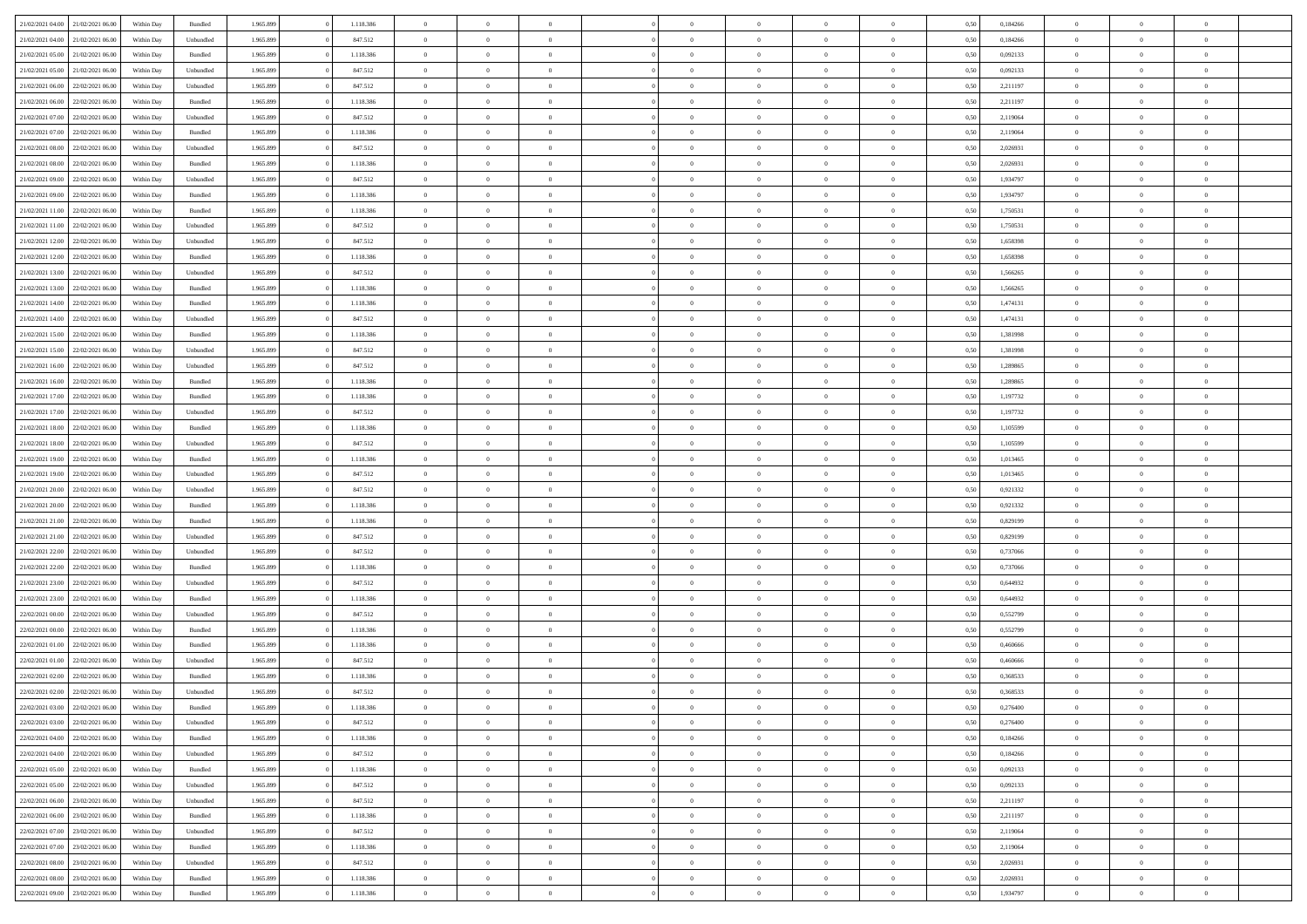| 21/02/2021 04:00                  | 21/02/2021 06:00 | Within Day | Bundled            | 1.965.899 | 1.118.386 | $\overline{0}$ | $\Omega$       |                | $\Omega$       | $\Omega$       | $\Omega$       | $\theta$       | 0,50 | 0,184266 | $\theta$       | $\theta$       | $\theta$       |  |
|-----------------------------------|------------------|------------|--------------------|-----------|-----------|----------------|----------------|----------------|----------------|----------------|----------------|----------------|------|----------|----------------|----------------|----------------|--|
|                                   |                  |            |                    |           |           |                |                |                |                |                |                |                |      |          |                |                |                |  |
| 21/02/2021 04:00                  | 21/02/2021 06:00 | Within Day | Unbundled          | 1.965.899 | 847.512   | $\overline{0}$ | $\theta$       | $\overline{0}$ | $\overline{0}$ | $\bf{0}$       | $\overline{0}$ | $\bf{0}$       | 0,50 | 0,184266 | $\theta$       | $\theta$       | $\overline{0}$ |  |
| 21/02/2021 05:00                  | 21/02/2021 06:00 | Within Day | Bundled            | 1.965.899 | 1.118.386 | $\overline{0}$ | $\bf{0}$       | $\overline{0}$ | $\bf{0}$       | $\bf{0}$       | $\bf{0}$       | $\mathbf{0}$   | 0,50 | 0,092133 | $\bf{0}$       | $\overline{0}$ | $\overline{0}$ |  |
| 21/02/2021 05:00                  | 21/02/2021 06:00 | Within Day | Unbundled          | 1.965.899 | 847.512   | $\overline{0}$ | $\overline{0}$ | $\overline{0}$ | $\overline{0}$ | $\bf{0}$       | $\overline{0}$ | $\overline{0}$ | 0.50 | 0,092133 | $\theta$       | $\theta$       | $\overline{0}$ |  |
| 21/02/2021 06:00                  | 22/02/2021 06:00 | Within Day | Unbundled          | 1.965.899 | 847.512   | $\overline{0}$ | $\theta$       | $\overline{0}$ | $\overline{0}$ | $\bf{0}$       | $\overline{0}$ | $\bf{0}$       | 0,50 | 2,211197 | $\theta$       | $\overline{0}$ | $\overline{0}$ |  |
|                                   |                  |            |                    |           |           |                |                |                |                |                |                |                |      |          |                |                |                |  |
| 21/02/2021 06:00                  | 22/02/2021 06:00 | Within Day | Bundled            | 1.965.899 | 1.118.386 | $\overline{0}$ | $\overline{0}$ | $\overline{0}$ | $\bf{0}$       | $\overline{0}$ | $\overline{0}$ | $\mathbf{0}$   | 0,50 | 2,211197 | $\bf{0}$       | $\overline{0}$ | $\bf{0}$       |  |
| 21/02/2021 07:00                  | 22/02/2021 06:00 | Within Dav | Unbundled          | 1.965.899 | 847.512   | $\overline{0}$ | $\overline{0}$ | $\overline{0}$ | $\overline{0}$ | $\overline{0}$ | $\overline{0}$ | $\overline{0}$ | 0.50 | 2,119064 | $\theta$       | $\overline{0}$ | $\overline{0}$ |  |
| 21/02/2021 07:00                  | 22/02/2021 06:00 | Within Day | Bundled            | 1.965.899 | 1.118.386 | $\overline{0}$ | $\theta$       | $\overline{0}$ | $\overline{0}$ | $\bf{0}$       | $\overline{0}$ | $\bf{0}$       | 0,50 | 2,119064 | $\theta$       | $\theta$       | $\overline{0}$ |  |
| 21/02/2021 08:00                  | 22/02/2021 06:00 | Within Day | Unbundled          | 1.965.899 | 847.512   | $\overline{0}$ | $\overline{0}$ | $\overline{0}$ | $\bf{0}$       | $\bf{0}$       | $\bf{0}$       | $\mathbf{0}$   | 0,50 | 2,026931 | $\,0\,$        | $\overline{0}$ | $\overline{0}$ |  |
| 21/02/2021 08:00                  | 22/02/2021 06:00 | Within Dav | Bundled            | 1.965.899 | 1.118.386 | $\overline{0}$ | $\overline{0}$ | $\overline{0}$ | $\overline{0}$ | $\overline{0}$ | $\overline{0}$ | $\overline{0}$ | 0.50 | 2,026931 | $\theta$       | $\overline{0}$ | $\overline{0}$ |  |
| 21/02/2021 09:00                  | 22/02/2021 06:00 | Within Day | Unbundled          | 1.965.899 | 847.512   | $\overline{0}$ | $\theta$       | $\overline{0}$ | $\overline{0}$ | $\bf{0}$       | $\overline{0}$ | $\bf{0}$       | 0,50 | 1,934797 | $\,$ 0 $\,$    | $\overline{0}$ | $\overline{0}$ |  |
| 21/02/2021 09:00                  | 22/02/2021 06:00 | Within Day | Bundled            | 1.965.899 | 1.118.386 | $\overline{0}$ | $\overline{0}$ | $\overline{0}$ | $\bf{0}$       | $\bf{0}$       | $\bf{0}$       | $\mathbf{0}$   | 0,50 | 1,934797 | $\bf{0}$       | $\overline{0}$ | $\overline{0}$ |  |
|                                   |                  |            |                    |           |           |                |                |                |                |                |                |                |      |          | $\theta$       |                |                |  |
| 21/02/2021 11:00                  | 22/02/2021 06:00 | Within Day | Bundled            | 1.965.899 | 1.118.386 | $\overline{0}$ | $\overline{0}$ | $\overline{0}$ | $\overline{0}$ | $\bf{0}$       | $\overline{0}$ | $\overline{0}$ | 0.50 | 1,750531 |                | $\theta$       | $\overline{0}$ |  |
| 21/02/2021 11:00                  | 22/02/2021 06:00 | Within Day | Unbundled          | 1.965.899 | 847.512   | $\overline{0}$ | $\theta$       | $\overline{0}$ | $\overline{0}$ | $\bf{0}$       | $\overline{0}$ | $\bf{0}$       | 0,50 | 1,750531 | $\theta$       | $\theta$       | $\overline{0}$ |  |
| 21/02/2021 12:00                  | 22/02/2021 06:00 | Within Day | Unbundled          | 1.965.899 | 847.512   | $\overline{0}$ | $\overline{0}$ | $\overline{0}$ | $\bf{0}$       | $\overline{0}$ | $\overline{0}$ | $\mathbf{0}$   | 0,50 | 1,658398 | $\bf{0}$       | $\overline{0}$ | $\bf{0}$       |  |
| 21/02/2021 12:00                  | 22/02/2021 06:00 | Within Dav | Bundled            | 1.965.899 | 1.118.386 | $\overline{0}$ | $\overline{0}$ | $\overline{0}$ | $\overline{0}$ | $\overline{0}$ | $\overline{0}$ | $\overline{0}$ | 0.50 | 1,658398 | $\theta$       | $\overline{0}$ | $\overline{0}$ |  |
| 21/02/2021 13:00                  | 22/02/2021 06:00 | Within Day | Unbundled          | 1.965.899 | 847.512   | $\overline{0}$ | $\theta$       | $\overline{0}$ | $\overline{0}$ | $\bf{0}$       | $\overline{0}$ | $\bf{0}$       | 0,50 | 1,566265 | $\,$ 0 $\,$    | $\theta$       | $\overline{0}$ |  |
| 21/02/2021 13:00                  | 22/02/2021 06:00 | Within Day | Bundled            | 1.965.899 | 1.118.386 | $\overline{0}$ | $\overline{0}$ | $\overline{0}$ | $\bf{0}$       | $\bf{0}$       | $\bf{0}$       | $\mathbf{0}$   | 0,50 | 1,566265 | $\bf{0}$       | $\overline{0}$ | $\overline{0}$ |  |
| 21/02/2021 14:00                  | 22/02/2021 06:00 | Within Day | Bundled            | 1.965.899 | 1.118.386 | $\overline{0}$ | $\overline{0}$ | $\overline{0}$ | $\overline{0}$ | $\overline{0}$ | $\overline{0}$ | $\overline{0}$ | 0.50 | 1,474131 | $\theta$       | $\overline{0}$ | $\overline{0}$ |  |
|                                   |                  |            |                    |           |           |                |                |                |                |                |                |                |      |          |                |                |                |  |
| 21/02/2021 14:00                  | 22/02/2021 06:00 | Within Day | Unbundled          | 1.965.899 | 847.512   | $\overline{0}$ | $\theta$       | $\overline{0}$ | $\overline{0}$ | $\bf{0}$       | $\overline{0}$ | $\bf{0}$       | 0,50 | 1,474131 | $\,$ 0 $\,$    | $\theta$       | $\overline{0}$ |  |
| 21/02/2021 15:00                  | 22/02/2021 06:00 | Within Day | Bundled            | 1.965.899 | 1.118.386 | $\overline{0}$ | $\overline{0}$ | $\overline{0}$ | $\bf{0}$       | $\bf{0}$       | $\bf{0}$       | $\mathbf{0}$   | 0,50 | 1,381998 | $\bf{0}$       | $\overline{0}$ | $\overline{0}$ |  |
| 21/02/2021 15:00                  | 22/02/2021 06:00 | Within Day | Unbundled          | 1.965.899 | 847.512   | $\overline{0}$ | $\overline{0}$ | $\overline{0}$ | $\overline{0}$ | $\bf{0}$       | $\overline{0}$ | $\overline{0}$ | 0.50 | 1.381998 | $\theta$       | $\overline{0}$ | $\overline{0}$ |  |
| 21/02/2021 16:00                  | 22/02/2021 06:00 | Within Day | Unbundled          | 1.965.899 | 847.512   | $\overline{0}$ | $\theta$       | $\overline{0}$ | $\overline{0}$ | $\bf{0}$       | $\overline{0}$ | $\bf{0}$       | 0,50 | 1,289865 | $\,$ 0 $\,$    | $\overline{0}$ | $\overline{0}$ |  |
| 21/02/2021 16:00                  | 22/02/2021 06:00 | Within Day | Bundled            | 1.965.899 | 1.118.386 | $\overline{0}$ | $\overline{0}$ | $\overline{0}$ | $\bf{0}$       | $\overline{0}$ | $\overline{0}$ | $\mathbf{0}$   | 0,50 | 1,289865 | $\bf{0}$       | $\overline{0}$ | $\bf{0}$       |  |
| 21/02/2021 17:00                  | 22/02/2021 06:00 | Within Dav | Bundled            | 1.965.899 | 1.118.386 | $\overline{0}$ | $\overline{0}$ | $\overline{0}$ | $\overline{0}$ | $\overline{0}$ | $\overline{0}$ | $\overline{0}$ | 0.50 | 1,197732 | $\theta$       | $\overline{0}$ | $\overline{0}$ |  |
| 21/02/2021 17:00                  | 22/02/2021 06:00 | Within Day | Unbundled          | 1.965.899 | 847.512   | $\overline{0}$ | $\theta$       | $\overline{0}$ | $\overline{0}$ | $\bf{0}$       | $\overline{0}$ | $\bf{0}$       | 0,50 | 1,197732 | $\theta$       | $\theta$       | $\overline{0}$ |  |
|                                   |                  |            |                    |           |           |                |                |                |                |                |                |                |      |          |                |                |                |  |
| 21/02/2021 18:00                  | 22/02/2021 06:00 | Within Day | Bundled            | 1.965.899 | 1.118.386 | $\overline{0}$ | $\overline{0}$ | $\overline{0}$ | $\bf{0}$       | $\bf{0}$       | $\bf{0}$       | $\mathbf{0}$   | 0,50 | 1,105599 | $\,0\,$        | $\overline{0}$ | $\overline{0}$ |  |
| 21/02/2021 18:00                  | 22/02/2021 06:00 | Within Day | Unbundled          | 1.965.899 | 847.512   | $\overline{0}$ | $\overline{0}$ | $\overline{0}$ | $\overline{0}$ | $\overline{0}$ | $\overline{0}$ | $\overline{0}$ | 0.50 | 1,105599 | $\theta$       | $\overline{0}$ | $\overline{0}$ |  |
| 21/02/2021 19:00                  | 22/02/2021 06:00 | Within Day | Bundled            | 1.965.899 | 1.118.386 | $\overline{0}$ | $\theta$       | $\overline{0}$ | $\overline{0}$ | $\bf{0}$       | $\overline{0}$ | $\bf{0}$       | 0,50 | 1,013465 | $\,$ 0 $\,$    | $\overline{0}$ | $\overline{0}$ |  |
| 21/02/2021 19:00                  | 22/02/2021 06:00 | Within Day | Unbundled          | 1.965.899 | 847.512   | $\overline{0}$ | $\overline{0}$ | $\overline{0}$ | $\bf{0}$       | $\bf{0}$       | $\bf{0}$       | $\bf{0}$       | 0,50 | 1,013465 | $\bf{0}$       | $\overline{0}$ | $\overline{0}$ |  |
| 21/02/2021 20:00                  | 22/02/2021 06:00 | Within Day | Unbundled          | 1.965.899 | 847.512   | $\overline{0}$ | $\Omega$       | $\overline{0}$ | $\Omega$       | $\Omega$       | $\overline{0}$ | $\overline{0}$ | 0,50 | 0,921332 | $\,0\,$        | $\theta$       | $\theta$       |  |
| 21/02/2021 20:00                  | 22/02/2021 06:00 | Within Day | Bundled            | 1.965.899 | 1.118.386 | $\overline{0}$ | $\theta$       | $\overline{0}$ | $\overline{0}$ | $\bf{0}$       | $\overline{0}$ | $\bf{0}$       | 0,50 | 0,921332 | $\,$ 0 $\,$    | $\theta$       | $\overline{0}$ |  |
|                                   |                  |            |                    |           |           |                |                |                |                | $\bf{0}$       |                |                |      |          |                | $\overline{0}$ | $\bf{0}$       |  |
| 21/02/2021 21:00                  | 22/02/2021 06:00 | Within Day | Bundled            | 1.965.899 | 1.118.386 | $\overline{0}$ | $\overline{0}$ | $\overline{0}$ | $\bf{0}$       |                | $\overline{0}$ | $\mathbf{0}$   | 0,50 | 0,829199 | $\bf{0}$       |                |                |  |
| 21/02/2021 21:00                  | 22/02/2021 06:00 | Within Day | Unbundled          | 1.965.899 | 847.512   | $\overline{0}$ | $\Omega$       | $\Omega$       | $\Omega$       | $\bf{0}$       | $\overline{0}$ | $\overline{0}$ | 0.50 | 0,829199 | $\,0\,$        | $\theta$       | $\theta$       |  |
| 21/02/2021 22:00                  | 22/02/2021 06:00 | Within Day | Unbundled          | 1.965.899 | 847.512   | $\overline{0}$ | $\theta$       | $\overline{0}$ | $\overline{0}$ | $\bf{0}$       | $\overline{0}$ | $\bf{0}$       | 0,50 | 0,737066 | $\,$ 0 $\,$    | $\theta$       | $\overline{0}$ |  |
| 21/02/2021 22:00                  | 22/02/2021 06:00 | Within Day | Bundled            | 1.965.899 | 1.118.386 | $\overline{0}$ | $\overline{0}$ | $\overline{0}$ | $\overline{0}$ | $\bf{0}$       | $\overline{0}$ | $\mathbf{0}$   | 0,50 | 0,737066 | $\bf{0}$       | $\overline{0}$ | $\overline{0}$ |  |
| 21/02/2021 23:00                  | 22/02/2021 06:00 | Within Day | Unbundled          | 1.965.899 | 847.512   | $\overline{0}$ | $\Omega$       | $\overline{0}$ | $\Omega$       | $\overline{0}$ | $\overline{0}$ | $\overline{0}$ | 0.50 | 0.644932 | $\,$ 0 $\,$    | $\theta$       | $\theta$       |  |
| 21/02/2021 23:00                  | 22/02/2021 06:00 | Within Day | Bundled            | 1.965.899 | 1.118.386 | $\overline{0}$ | $\theta$       | $\overline{0}$ | $\overline{0}$ | $\,$ 0         | $\overline{0}$ | $\bf{0}$       | 0,50 | 0,644932 | $\,$ 0 $\,$    | $\overline{0}$ | $\overline{0}$ |  |
| 22/02/2021 00:00                  | 22/02/2021 06:00 | Within Day | Unbundled          | 1.965.899 | 847.512   | $\overline{0}$ | $\overline{0}$ | $\overline{0}$ | $\overline{0}$ | $\bf{0}$       | $\overline{0}$ | $\mathbf{0}$   | 0,50 | 0,552799 | $\bf{0}$       | $\overline{0}$ | $\overline{0}$ |  |
| 22/02/2021 00:00                  | 22/02/2021 06:00 | Within Day | Bundled            | 1.965.899 | 1.118.386 | $\overline{0}$ | $\Omega$       | $\overline{0}$ | $\Omega$       | $\overline{0}$ | $\overline{0}$ | $\overline{0}$ | 0,50 | 0,552799 | $\,0\,$        | $\theta$       | $\theta$       |  |
|                                   |                  |            |                    |           |           |                | $\theta$       |                |                |                |                |                |      |          |                |                |                |  |
| 22/02/2021 01:00                  | 22/02/2021 06:00 | Within Day | Bundled            | 1.965.899 | 1.118.386 | $\overline{0}$ |                | $\overline{0}$ | $\overline{0}$ | $\,$ 0         | $\overline{0}$ | $\bf{0}$       | 0,50 | 0,460666 | $\,$ 0 $\,$    | $\overline{0}$ | $\overline{0}$ |  |
| 22/02/2021 01:00                  | 22/02/2021 06:00 | Within Day | Unbundled          | 1.965.899 | 847.512   | $\overline{0}$ | $\overline{0}$ | $\overline{0}$ | $\overline{0}$ | $\bf{0}$       | $\overline{0}$ | $\mathbf{0}$   | 0,50 | 0,460666 | $\bf{0}$       | $\overline{0}$ | $\bf{0}$       |  |
| 22/02/2021 02:00                  | 22/02/2021 06:00 | Within Day | Bundled            | 1.965.899 | 1.118.386 | $\overline{0}$ | $\Omega$       | $\Omega$       | $\Omega$       | $\Omega$       | $\Omega$       | $\overline{0}$ | 0.50 | 0.368533 | $\theta$       | $\theta$       | $\theta$       |  |
| 22/02/2021 02:00                  | 22/02/2021 06:00 | Within Day | Unbundled          | 1.965.899 | 847.512   | $\overline{0}$ | $\,$ 0 $\,$    | $\overline{0}$ | $\bf{0}$       | $\,$ 0         | $\overline{0}$ | $\bf{0}$       | 0,50 | 0,368533 | $\,0\,$        | $\overline{0}$ | $\overline{0}$ |  |
| 22/02/2021 03:00                  | 22/02/2021 06:00 | Within Day | $\mathbf B$ undled | 1.965.899 | 1.118.386 | $\bf{0}$       | $\bf{0}$       |                |                | $\bf{0}$       |                |                | 0,50 | 0,276400 | $\bf{0}$       | $\overline{0}$ |                |  |
| 22/02/2021 03:00                  | 22/02/2021 06:00 | Within Day | Unbundled          | 1.965.899 | 847.512   | $\overline{0}$ | $\overline{0}$ | $\overline{0}$ | $\Omega$       | $\overline{0}$ | $\overline{0}$ | $\overline{0}$ | 0.50 | 0,276400 | $\theta$       | $\theta$       | $\theta$       |  |
| 22/02/2021 04:00                  | 22/02/2021 06:00 | Within Day | Bundled            | 1.965.899 | 1.118.386 | $\overline{0}$ | $\bf{0}$       | $\overline{0}$ | $\overline{0}$ | $\,$ 0 $\,$    | $\overline{0}$ | $\,$ 0 $\,$    | 0,50 | 0,184266 | $\,$ 0 $\,$    | $\,$ 0 $\,$    | $\,$ 0         |  |
| 22/02/2021 04:00                  | 22/02/2021 06:00 | Within Day | Unbundled          | 1.965.899 | 847.512   | $\overline{0}$ | $\overline{0}$ | $\overline{0}$ | $\overline{0}$ | $\overline{0}$ | $\overline{0}$ | $\mathbf{0}$   | 0,50 | 0,184266 | $\overline{0}$ | $\bf{0}$       | $\bf{0}$       |  |
|                                   |                  |            |                    |           |           |                |                |                |                |                |                |                |      |          |                |                |                |  |
| 22/02/2021 05:00                  | 22/02/2021 06:00 | Within Day | $\mathbf B$ undled | 1.965.899 | 1.118.386 | $\overline{0}$ | $\overline{0}$ | $\overline{0}$ | $\Omega$       | $\overline{0}$ | $\overline{0}$ | $\overline{0}$ | 0,50 | 0,092133 | $\overline{0}$ | $\overline{0}$ | $\overline{0}$ |  |
| 22/02/2021 05:00                  | 22/02/2021 06:00 | Within Day | Unbundled          | 1.965.899 | 847.512   | $\overline{0}$ | $\,$ 0         | $\overline{0}$ | $\overline{0}$ | $\,$ 0 $\,$    | $\overline{0}$ | $\mathbf{0}$   | 0,50 | 0,092133 | $\,$ 0 $\,$    | $\overline{0}$ | $\,$ 0         |  |
| 22/02/2021 06:00                  | 23/02/2021 06:00 | Within Day | Unbundled          | 1.965.899 | 847.512   | $\overline{0}$ | $\overline{0}$ | $\overline{0}$ | $\overline{0}$ | $\overline{0}$ | $\overline{0}$ | $\mathbf{0}$   | 0,50 | 2,211197 | $\overline{0}$ | $\overline{0}$ | $\bf{0}$       |  |
| 22/02/2021 06:00                  | 23/02/2021 06:00 | Within Day | Bundled            | 1.965.899 | 1.118.386 | $\overline{0}$ | $\overline{0}$ | $\overline{0}$ | $\overline{0}$ | $\overline{0}$ | $\overline{0}$ | $\overline{0}$ | 0.50 | 2,211197 | $\overline{0}$ | $\theta$       | $\overline{0}$ |  |
| 22/02/2021 07:00                  | 23/02/2021 06:00 | Within Day | Unbundled          | 1.965.899 | 847.512   | $\overline{0}$ | $\,$ 0         | $\overline{0}$ | $\overline{0}$ | $\bf{0}$       | $\overline{0}$ | $\bf{0}$       | 0,50 | 2,119064 | $\,$ 0 $\,$    | $\overline{0}$ | $\overline{0}$ |  |
| 22/02/2021 07:00                  | 23/02/2021 06:00 | Within Day | Bundled            | 1.965.899 | 1.118.386 | $\overline{0}$ | $\bf{0}$       | $\overline{0}$ | $\overline{0}$ | $\overline{0}$ | $\overline{0}$ | $\mathbf{0}$   | 0,50 | 2,119064 | $\overline{0}$ | $\overline{0}$ | $\bf{0}$       |  |
| 22/02/2021 08:00                  |                  |            |                    | 1.965.899 |           | $\overline{0}$ | $\overline{0}$ | $\overline{0}$ | $\Omega$       | $\overline{0}$ | $\overline{0}$ |                | 0.50 |          | $\overline{0}$ | $\overline{0}$ | $\overline{0}$ |  |
|                                   | 23/02/2021 06:00 | Within Day | Unbundled          |           | 847.512   |                |                |                |                |                |                | $\overline{0}$ |      | 2,026931 |                |                |                |  |
| 22/02/2021 08:00                  | 23/02/2021 06:00 | Within Day | Bundled            | 1.965.899 | 1.118.386 | $\overline{0}$ | $\bf{0}$       | $\overline{0}$ | $\overline{0}$ | $\bf{0}$       | $\bf{0}$       | $\mathbf{0}$   | 0,50 | 2,026931 | $\,$ 0 $\,$    | $\,$ 0 $\,$    | $\bf{0}$       |  |
| 22/02/2021 09:00 23/02/2021 06:00 |                  | Within Day | Bundled            | 1.965.899 | 1.118.386 | $\overline{0}$ | $\overline{0}$ | $\overline{0}$ | $\overline{0}$ | $\overline{0}$ | $\bf{0}$       | $\mathbf{0}$   | 0,50 | 1,934797 | $\overline{0}$ | $\bf{0}$       | $\bf{0}$       |  |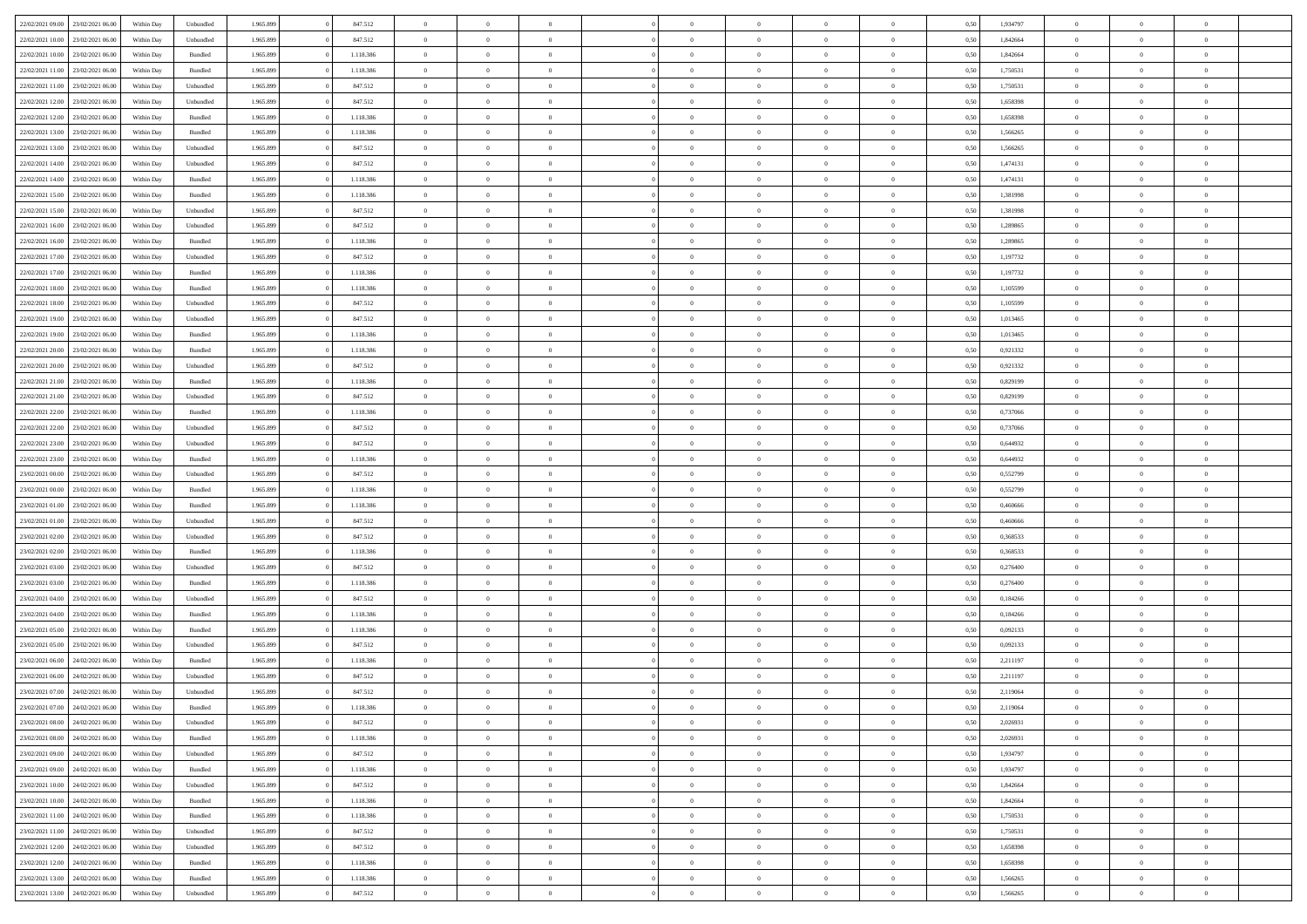|                                   | 23/02/2021 06:00 | Within Day | Unbundled          | 1.965.899 | 847.512   | $\overline{0}$ | $\Omega$       |                | $\Omega$       | $\Omega$       | $\theta$       | $\theta$       | 0,50 | 1,934797 | $\theta$       | $\theta$       | $\theta$       |  |
|-----------------------------------|------------------|------------|--------------------|-----------|-----------|----------------|----------------|----------------|----------------|----------------|----------------|----------------|------|----------|----------------|----------------|----------------|--|
| 22/02/2021 09:00                  |                  |            |                    |           |           |                |                |                |                |                |                |                |      |          |                |                |                |  |
| 22/02/2021 10:00                  | 23/02/2021 06:00 | Within Day | Unbundled          | 1.965.899 | 847.512   | $\overline{0}$ | $\theta$       | $\overline{0}$ | $\overline{0}$ | $\bf{0}$       | $\overline{0}$ | $\bf{0}$       | 0,50 | 1,842664 | $\theta$       | $\overline{0}$ | $\overline{0}$ |  |
| 22/02/2021 10:00                  | 23/02/2021 06:00 | Within Day | Bundled            | 1.965.899 | 1.118.386 | $\overline{0}$ | $\overline{0}$ | $\overline{0}$ | $\bf{0}$       | $\bf{0}$       | $\bf{0}$       | $\mathbf{0}$   | 0,50 | 1,842664 | $\bf{0}$       | $\overline{0}$ | $\bf{0}$       |  |
| 22/02/2021 11:00                  | 23/02/2021 06:00 | Within Dav | Bundled            | 1.965.899 | 1.118.386 | $\overline{0}$ | $\overline{0}$ | $\overline{0}$ | $\overline{0}$ | $\bf{0}$       | $\overline{0}$ | $\overline{0}$ | 0.50 | 1,750531 | $\theta$       | $\theta$       | $\overline{0}$ |  |
|                                   |                  |            |                    |           |           | $\overline{0}$ | $\theta$       | $\overline{0}$ | $\overline{0}$ | $\bf{0}$       | $\overline{0}$ |                |      |          | $\,$ 0 $\,$    | $\overline{0}$ | $\overline{0}$ |  |
| 22/02/2021 11:00                  | 23/02/2021 06:00 | Within Day | Unbundled          | 1.965.899 | 847.512   |                |                |                |                |                |                | $\bf{0}$       | 0,50 | 1,750531 |                |                |                |  |
| 22/02/2021 12:00                  | 23/02/2021 06:00 | Within Day | Unbundled          | 1.965.899 | 847.512   | $\overline{0}$ | $\overline{0}$ | $\overline{0}$ | $\bf{0}$       | $\overline{0}$ | $\overline{0}$ | $\mathbf{0}$   | 0,50 | 1,658398 | $\bf{0}$       | $\overline{0}$ | $\bf{0}$       |  |
| 22/02/2021 12:00                  | 23/02/2021 06:00 | Within Dav | Bundled            | 1.965.899 | 1.118.386 | $\overline{0}$ | $\overline{0}$ | $\overline{0}$ | $\overline{0}$ | $\overline{0}$ | $\overline{0}$ | $\overline{0}$ | 0.50 | 1,658398 | $\theta$       | $\overline{0}$ | $\overline{0}$ |  |
| 22/02/2021 13:00                  | 23/02/2021 06:00 | Within Day | Bundled            | 1.965.899 | 1.118.386 | $\overline{0}$ | $\theta$       | $\overline{0}$ | $\overline{0}$ | $\bf{0}$       | $\overline{0}$ | $\bf{0}$       | 0,50 | 1,566265 | $\theta$       | $\theta$       | $\overline{0}$ |  |
| 22/02/2021 13:00                  | 23/02/2021 06:00 | Within Day | Unbundled          | 1.965.899 | 847.512   | $\overline{0}$ | $\overline{0}$ | $\overline{0}$ | $\bf{0}$       | $\bf{0}$       | $\bf{0}$       | $\mathbf{0}$   | 0,50 | 1,566265 | $\,0\,$        | $\overline{0}$ | $\overline{0}$ |  |
|                                   |                  |            |                    |           |           |                | $\overline{0}$ |                |                | $\overline{0}$ |                |                |      |          | $\theta$       | $\overline{0}$ | $\overline{0}$ |  |
| 22/02/2021 14:00                  | 23/02/2021 06:00 | Within Dav | Unbundled          | 1.965.899 | 847.512   | $\overline{0}$ |                | $\overline{0}$ | $\overline{0}$ |                | $\overline{0}$ | $\overline{0}$ | 0.50 | 1,474131 |                |                |                |  |
| 22/02/2021 14:00                  | 23/02/2021 06:00 | Within Day | Bundled            | 1.965.899 | 1.118.386 | $\overline{0}$ | $\theta$       | $\overline{0}$ | $\overline{0}$ | $\bf{0}$       | $\overline{0}$ | $\bf{0}$       | 0,50 | 1,474131 | $\,$ 0 $\,$    | $\overline{0}$ | $\overline{0}$ |  |
| 22/02/2021 15:00                  | 23/02/2021 06:00 | Within Day | Bundled            | 1.965.899 | 1.118.386 | $\overline{0}$ | $\overline{0}$ | $\overline{0}$ | $\bf{0}$       | $\bf{0}$       | $\bf{0}$       | $\mathbf{0}$   | 0,50 | 1,381998 | $\overline{0}$ | $\overline{0}$ | $\bf{0}$       |  |
| 22/02/2021 15:00                  | 23/02/2021 06:00 | Within Day | Unbundled          | 1.965.899 | 847.512   | $\overline{0}$ | $\overline{0}$ | $\overline{0}$ | $\overline{0}$ | $\overline{0}$ | $\overline{0}$ | $\overline{0}$ | 0.50 | 1.381998 | $\theta$       | $\theta$       | $\overline{0}$ |  |
| 22/02/2021 16:00                  | 23/02/2021 06:00 | Within Day | Unbundled          | 1.965.899 | 847.512   | $\overline{0}$ | $\theta$       | $\overline{0}$ | $\overline{0}$ | $\bf{0}$       | $\overline{0}$ | $\bf{0}$       | 0,50 | 1,289865 | $\,$ 0 $\,$    | $\overline{0}$ | $\overline{0}$ |  |
|                                   |                  |            |                    |           |           |                |                |                |                |                |                |                |      |          |                |                |                |  |
| 22/02/2021 16:00                  | 23/02/2021 06:00 | Within Day | Bundled            | 1.965.899 | 1.118.386 | $\overline{0}$ | $\overline{0}$ | $\overline{0}$ | $\bf{0}$       | $\overline{0}$ | $\overline{0}$ | $\mathbf{0}$   | 0,50 | 1,289865 | $\overline{0}$ | $\overline{0}$ | $\bf{0}$       |  |
| 22/02/2021 17:00                  | 23/02/2021 06:00 | Within Dav | Unbundled          | 1.965.899 | 847.512   | $\overline{0}$ | $\overline{0}$ | $\overline{0}$ | $\overline{0}$ | $\overline{0}$ | $\overline{0}$ | $\overline{0}$ | 0.50 | 1,197732 | $\theta$       | $\overline{0}$ | $\overline{0}$ |  |
| 22/02/2021 17:00                  | 23/02/2021 06:00 | Within Day | Bundled            | 1.965.899 | 1.118.386 | $\overline{0}$ | $\theta$       | $\overline{0}$ | $\overline{0}$ | $\bf{0}$       | $\overline{0}$ | $\bf{0}$       | 0,50 | 1,197732 | $\,$ 0 $\,$    | $\overline{0}$ | $\overline{0}$ |  |
| 22/02/2021 18:00                  | 23/02/2021 06:00 | Within Day | Bundled            | 1.965.899 | 1.118.386 | $\overline{0}$ | $\overline{0}$ | $\overline{0}$ | $\bf{0}$       | $\bf{0}$       | $\bf{0}$       | $\mathbf{0}$   | 0,50 | 1,105599 | $\bf{0}$       | $\overline{0}$ | $\bf{0}$       |  |
| 22/02/2021 18:00                  | 23/02/2021 06:00 | Within Day | Unbundled          | 1.965.899 | 847.512   | $\overline{0}$ | $\overline{0}$ | $\overline{0}$ | $\overline{0}$ | $\overline{0}$ | $\overline{0}$ | $\overline{0}$ | 0.50 | 1,105599 | $\theta$       | $\overline{0}$ | $\overline{0}$ |  |
| 22/02/2021 19:00                  | 23/02/2021 06:00 | Within Day | Unbundled          | 1.965.899 | 847.512   | $\overline{0}$ | $\theta$       | $\overline{0}$ | $\overline{0}$ | $\bf{0}$       | $\overline{0}$ | $\bf{0}$       | 0,50 | 1,013465 | $\,$ 0 $\,$    | $\overline{0}$ | $\overline{0}$ |  |
|                                   |                  |            |                    |           |           |                |                |                |                |                |                |                |      |          |                |                |                |  |
| 22/02/2021 19:00                  | 23/02/2021 06:00 | Within Day | Bundled            | 1.965.899 | 1.118.386 | $\overline{0}$ | $\overline{0}$ | $\overline{0}$ | $\bf{0}$       | $\bf{0}$       | $\bf{0}$       | $\mathbf{0}$   | 0,50 | 1,013465 | $\bf{0}$       | $\overline{0}$ | $\bf{0}$       |  |
| 22/02/2021 20:00                  | 23/02/2021 06:00 | Within Day | Bundled            | 1.965.899 | 1.118.386 | $\overline{0}$ | $\overline{0}$ | $\overline{0}$ | $\overline{0}$ | $\overline{0}$ | $\overline{0}$ | $\overline{0}$ | 0.50 | 0.921332 | $\theta$       | $\overline{0}$ | $\overline{0}$ |  |
| 22/02/2021 20:00                  | 23/02/2021 06:00 | Within Day | Unbundled          | 1.965.899 | 847.512   | $\overline{0}$ | $\theta$       | $\overline{0}$ | $\overline{0}$ | $\bf{0}$       | $\overline{0}$ | $\bf{0}$       | 0,50 | 0,921332 | $\,$ 0 $\,$    | $\overline{0}$ | $\overline{0}$ |  |
| 22/02/2021 21:00                  | 23/02/2021 06:00 | Within Day | Bundled            | 1.965.899 | 1.118.386 | $\overline{0}$ | $\overline{0}$ | $\overline{0}$ | $\bf{0}$       | $\overline{0}$ | $\overline{0}$ | $\mathbf{0}$   | 0,50 | 0,829199 | $\bf{0}$       | $\overline{0}$ | $\bf{0}$       |  |
| 22/02/2021 21:00                  | 23/02/2021 06:00 | Within Day | Unbundled          | 1.965.899 | 847.512   | $\overline{0}$ | $\overline{0}$ | $\overline{0}$ | $\overline{0}$ | $\overline{0}$ | $\overline{0}$ | $\overline{0}$ | 0.50 | 0.829199 | $\overline{0}$ | $\overline{0}$ | $\overline{0}$ |  |
| 22/02/2021 22:00                  | 23/02/2021 06:00 | Within Day | Bundled            | 1.965.899 | 1.118.386 | $\overline{0}$ | $\theta$       | $\overline{0}$ | $\overline{0}$ | $\bf{0}$       | $\overline{0}$ | $\bf{0}$       | 0,50 | 0,737066 | $\,$ 0 $\,$    | $\overline{0}$ | $\overline{0}$ |  |
| 22/02/2021 22:00                  | 23/02/2021 06:00 | Within Day | Unbundled          | 1.965.899 | 847.512   | $\overline{0}$ | $\overline{0}$ | $\overline{0}$ | $\bf{0}$       | $\bf{0}$       | $\bf{0}$       | $\mathbf{0}$   | 0,50 | 0,737066 | $\,0\,$        | $\overline{0}$ | $\overline{0}$ |  |
|                                   |                  |            |                    |           |           |                | $\overline{0}$ |                |                | $\overline{0}$ |                |                |      |          | $\theta$       | $\overline{0}$ | $\overline{0}$ |  |
| 22/02/2021 23:00                  | 23/02/2021 06:00 | Within Day | Unbundled          | 1.965.899 | 847.512   | $\overline{0}$ |                | $\overline{0}$ | $\overline{0}$ |                | $\overline{0}$ | $\overline{0}$ | 0.50 | 0,644932 |                |                |                |  |
| 22/02/2021 23:00                  | 23/02/2021 06:00 | Within Day | Bundled            | 1.965.899 | 1.118.386 | $\overline{0}$ | $\overline{0}$ | $\overline{0}$ | $\overline{0}$ | $\bf{0}$       | $\overline{0}$ | $\bf{0}$       | 0,50 | 0,644932 | $\,$ 0 $\,$    | $\overline{0}$ | $\overline{0}$ |  |
| 23/02/2021 00:00                  | 23/02/2021 06:00 | Within Day | Unbundled          | 1.965.899 | 847.512   | $\overline{0}$ | $\overline{0}$ | $\overline{0}$ | $\bf{0}$       | $\overline{0}$ | $\bf{0}$       | $\mathbf{0}$   | 0,50 | 0,552799 | $\bf{0}$       | $\overline{0}$ | $\bf{0}$       |  |
| 23/02/2021 00:00                  | 23/02/2021 06:00 | Within Day | Bundled            | 1.965.899 | 1.118.386 | $\bf{0}$       | $\Omega$       | $\overline{0}$ | $\Omega$       | $\overline{0}$ | $\overline{0}$ | $\overline{0}$ | 0,50 | 0,552799 | $\,0\,$        | $\theta$       | $\theta$       |  |
| 23/02/2021 01:00                  | 23/02/2021 06:00 | Within Day | Bundled            | 1.965.899 | 1.118.386 | $\overline{0}$ | $\theta$       | $\overline{0}$ | $\overline{0}$ | $\bf{0}$       | $\overline{0}$ | $\bf{0}$       | 0,50 | 0,460666 | $\,$ 0 $\,$    | $\overline{0}$ | $\overline{0}$ |  |
| 23/02/2021 01:00                  | 23/02/2021 06:00 | Within Day | Unbundled          | 1.965.899 | 847.512   | $\overline{0}$ | $\overline{0}$ | $\overline{0}$ | $\bf{0}$       | $\overline{0}$ | $\overline{0}$ | $\mathbf{0}$   | 0,50 | 0,460666 | $\overline{0}$ | $\overline{0}$ | $\bf{0}$       |  |
| 23/02/2021 02:00                  | 23/02/2021 06:00 |            | Unbundled          | 1.965.899 | 847.512   | $\overline{0}$ | $\overline{0}$ | $\overline{0}$ | $\Omega$       | $\overline{0}$ | $\overline{0}$ | $\overline{0}$ | 0.50 | 0.368533 | $\,0\,$        | $\theta$       | $\theta$       |  |
|                                   |                  | Within Day |                    |           |           |                |                |                |                |                |                |                |      |          |                |                |                |  |
| 23/02/2021 02:00                  | 23/02/2021 06:00 | Within Day | Bundled            | 1.965.899 | 1.118.386 | $\overline{0}$ | $\theta$       | $\overline{0}$ | $\overline{0}$ | $\bf{0}$       | $\overline{0}$ | $\bf{0}$       | 0,50 | 0,368533 | $\,$ 0 $\,$    | $\overline{0}$ | $\overline{0}$ |  |
| 23/02/2021 03:00                  | 23/02/2021 06:00 | Within Day | Unbundled          | 1.965.899 | 847.512   | $\overline{0}$ | $\overline{0}$ | $\overline{0}$ | $\bf{0}$       | $\bf{0}$       | $\bf{0}$       | $\mathbf{0}$   | 0,50 | 0,276400 | $\bf{0}$       | $\overline{0}$ | $\bf{0}$       |  |
| 23/02/2021 03:00                  | 23/02/2021 06:00 | Within Day | Bundled            | 1.965.899 | 1.118.386 | $\overline{0}$ | $\Omega$       | $\overline{0}$ | $\Omega$       | $\overline{0}$ | $\overline{0}$ | $\overline{0}$ | 0.50 | 0,276400 | $\,$ 0 $\,$    | $\theta$       | $\theta$       |  |
| 23/02/2021 04:00                  | 23/02/2021 06:00 | Within Day | Unbundled          | 1.965.899 | 847.512   | $\overline{0}$ | $\overline{0}$ | $\overline{0}$ | $\overline{0}$ | $\,$ 0         | $\overline{0}$ | $\bf{0}$       | 0,50 | 0,184266 | $\,$ 0 $\,$    | $\overline{0}$ | $\overline{0}$ |  |
| 23/02/2021 04:00                  | 23/02/2021 06:00 | Within Day | Bundled            | 1.965.899 | 1.118.386 | $\overline{0}$ | $\overline{0}$ | $\overline{0}$ | $\bf{0}$       | $\bf{0}$       | $\overline{0}$ | $\mathbf{0}$   | 0,50 | 0,184266 | $\overline{0}$ | $\overline{0}$ | $\bf{0}$       |  |
| 23/02/2021 05:00                  | 23/02/2021 06:00 |            |                    | 1.965.899 | 1.118.386 | $\overline{0}$ | $\Omega$       | $\overline{0}$ | $\Omega$       | $\overline{0}$ | $\overline{0}$ | $\overline{0}$ | 0,50 | 0,092133 | $\,0\,$        | $\theta$       | $\overline{0}$ |  |
|                                   |                  | Within Day | Bundled            |           |           |                | $\overline{0}$ |                |                |                |                |                |      |          |                |                |                |  |
| 23/02/2021 05:00                  | 23/02/2021 06:00 | Within Day | Unbundled          | 1.965.899 | 847.512   | $\overline{0}$ |                | $\overline{0}$ | $\overline{0}$ | $\,$ 0         | $\overline{0}$ | $\bf{0}$       | 0,50 | 0,092133 | $\,$ 0 $\,$    | $\overline{0}$ | $\overline{0}$ |  |
| 23/02/2021 06:00                  | 24/02/2021 06:00 | Within Day | Bundled            | 1.965.899 | 1.118.386 | $\overline{0}$ | $\overline{0}$ | $\overline{0}$ | $\bf{0}$       | $\overline{0}$ | $\overline{0}$ | $\mathbf{0}$   | 0,50 | 2,211197 | $\overline{0}$ | $\overline{0}$ | $\bf{0}$       |  |
| 23/02/2021 06:00                  | 24/02/2021 06:00 | Within Day | Unbundled          | 1.965.899 | 847.512   | $\overline{0}$ | $\Omega$       | $\Omega$       | $\Omega$       | $\Omega$       | $\overline{0}$ | $\overline{0}$ | 0.50 | 2,211197 | $\theta$       | $\theta$       | $\theta$       |  |
| 23/02/2021 07:00                  | 24/02/2021 06:00 | Within Day | Unbundled          | 1.965.899 | 847.512   | $\overline{0}$ | $\overline{0}$ | $\overline{0}$ | $\bf{0}$       | $\,$ 0         | $\bf{0}$       | $\bf{0}$       | 0,50 | 2,119064 | $\,0\,$        | $\,0\,$        | $\overline{0}$ |  |
| 23/02/2021 07:00                  | 24/02/2021 06:00 | Within Day | $\mathbf B$ undled | 1.965.899 | 1.118.386 | $\overline{0}$ | $\bf{0}$       |                |                | $\bf{0}$       |                |                | 0,50 | 2,119064 | $\bf{0}$       | $\overline{0}$ |                |  |
| 23/02/2021 08:00                  | 24/02/2021 06:00 | Within Day | Unbundled          | 1.965.899 | 847.512   | $\overline{0}$ | $\overline{0}$ | $\overline{0}$ | $\Omega$       | $\overline{0}$ | $\overline{0}$ | $\overline{0}$ | 0,50 | 2,026931 | $\theta$       | $\theta$       | $\theta$       |  |
| 23/02/2021 08:00                  | 24/02/2021 06.00 | Within Day | Bundled            | 1.965.899 | 1.118.386 | $\overline{0}$ | $\bf{0}$       | $\overline{0}$ | $\bf{0}$       | $\,$ 0 $\,$    | $\overline{0}$ | $\mathbf{0}$   | 0,50 | 2,026931 | $\,$ 0 $\,$    | $\,$ 0 $\,$    | $\,$ 0         |  |
|                                   |                  |            |                    |           |           |                |                |                |                |                |                |                |      |          |                |                |                |  |
| 23/02/2021 09:00                  | 24/02/2021 06:00 | Within Day | Unbundled          | 1.965.899 | 847.512   | $\overline{0}$ | $\overline{0}$ | $\overline{0}$ | $\overline{0}$ | $\overline{0}$ | $\overline{0}$ | $\mathbf{0}$   | 0,50 | 1,934797 | $\overline{0}$ | $\bf{0}$       | $\overline{0}$ |  |
| 23/02/2021 09:00                  | 24/02/2021 06:00 | Within Day | $\mathbf B$ undled | 1.965.899 | 1.118.386 | $\overline{0}$ | $\overline{0}$ | $\overline{0}$ | $\Omega$       | $\overline{0}$ | $\overline{0}$ | $\overline{0}$ | 0,50 | 1,934797 | $\overline{0}$ | $\overline{0}$ | $\overline{0}$ |  |
| 23/02/2021 10:00                  | 24/02/2021 06.00 | Within Day | Unbundled          | 1.965.899 | 847.512   | $\overline{0}$ | $\,$ 0         | $\overline{0}$ | $\overline{0}$ | $\,$ 0 $\,$    | $\overline{0}$ | $\mathbf{0}$   | 0,50 | 1,842664 | $\,$ 0 $\,$    | $\overline{0}$ | $\overline{0}$ |  |
| 23/02/2021 10:00                  | 24/02/2021 06:00 | Within Day | Bundled            | 1.965.899 | 1.118.386 | $\overline{0}$ | $\overline{0}$ | $\overline{0}$ | $\overline{0}$ | $\overline{0}$ | $\overline{0}$ | $\mathbf{0}$   | 0,50 | 1,842664 | $\overline{0}$ | $\overline{0}$ | $\overline{0}$ |  |
| 23/02/2021 11:00                  | 24/02/2021 06:00 | Within Day | Bundled            | 1.965.899 | 1.118.386 | $\overline{0}$ | $\overline{0}$ | $\overline{0}$ | $\overline{0}$ | $\overline{0}$ | $\overline{0}$ | $\bf{0}$       | 0.50 | 1,750531 | $\overline{0}$ | $\theta$       | $\overline{0}$ |  |
| 23/02/2021 11:00                  | 24/02/2021 06:00 | Within Day | Unbundled          | 1.965.899 | 847.512   | $\overline{0}$ | $\,$ 0         | $\overline{0}$ | $\bf{0}$       | $\bf{0}$       | $\bf{0}$       | $\bf{0}$       | 0,50 | 1,750531 | $\,$ 0 $\,$    | $\overline{0}$ | $\overline{0}$ |  |
|                                   |                  |            |                    |           |           |                |                |                |                |                |                |                |      |          |                |                |                |  |
| 23/02/2021 12:00                  | 24/02/2021 06:00 | Within Day | Unbundled          | 1.965.899 | 847.512   | $\overline{0}$ | $\bf{0}$       | $\overline{0}$ | $\overline{0}$ | $\overline{0}$ | $\overline{0}$ | $\mathbf{0}$   | 0,50 | 1,658398 | $\overline{0}$ | $\overline{0}$ | $\bf{0}$       |  |
| 23/02/2021 12:00                  | 24/02/2021 06:00 | Within Day | Bundled            | 1.965.899 | 1.118.386 | $\overline{0}$ | $\overline{0}$ | $\overline{0}$ | $\Omega$       | $\overline{0}$ | $\overline{0}$ | $\overline{0}$ | 0,50 | 1,658398 | $\overline{0}$ | $\overline{0}$ | $\overline{0}$ |  |
| 23/02/2021 13:00                  | 24/02/2021 06.00 | Within Day | Bundled            | 1.965.899 | 1.118.386 | $\overline{0}$ | $\bf{0}$       | $\overline{0}$ | $\bf{0}$       | $\bf{0}$       | $\bf{0}$       | $\mathbf{0}$   | 0,50 | 1,566265 | $\,$ 0 $\,$    | $\,$ 0 $\,$    | $\bf{0}$       |  |
| 23/02/2021 13:00 24/02/2021 06:00 |                  | Within Day | Unbundled          | 1.965.899 | 847.512   | $\overline{0}$ | $\overline{0}$ | $\overline{0}$ | $\overline{0}$ | $\overline{0}$ | $\bf{0}$       | $\mathbf{0}$   | 0,50 | 1,566265 | $\overline{0}$ | $\bf{0}$       | $\overline{0}$ |  |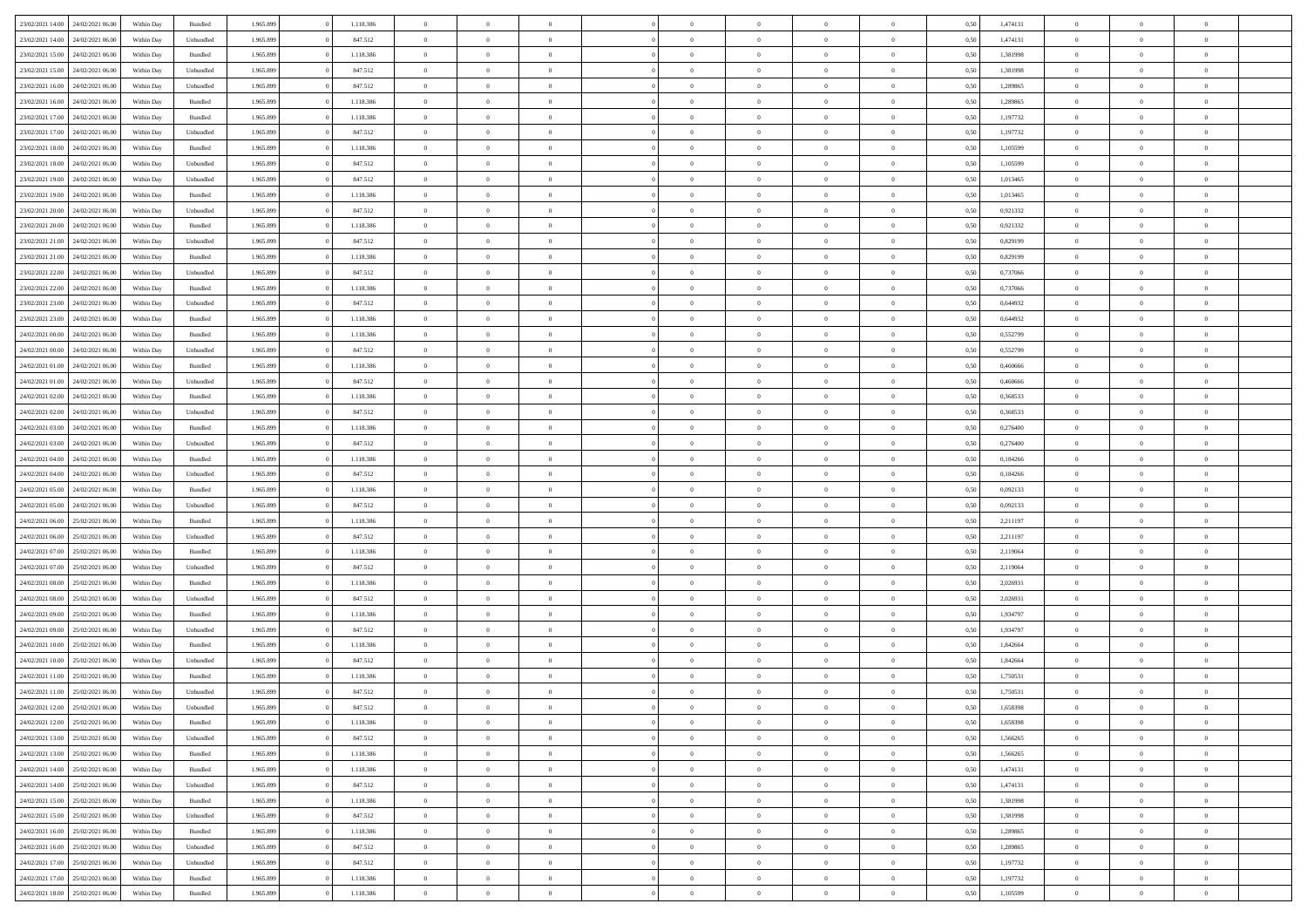| 23/02/2021 14:00                  | 24/02/2021 06:00 | Within Day | Bundled            | 1.965.899 | 1.118.386 | $\overline{0}$ | $\theta$       |                | $\Omega$       | $\Omega$       | $\theta$       | $\theta$       | 0,50 | 1,474131 | $\theta$       | $\overline{0}$ | $\theta$       |  |
|-----------------------------------|------------------|------------|--------------------|-----------|-----------|----------------|----------------|----------------|----------------|----------------|----------------|----------------|------|----------|----------------|----------------|----------------|--|
|                                   |                  |            |                    |           |           |                |                |                |                |                |                |                |      |          |                |                |                |  |
| 23/02/2021 14:00                  | 24/02/2021 06.00 | Within Day | Unbundled          | 1.965.899 | 847.512   | $\overline{0}$ | $\theta$       | $\overline{0}$ | $\overline{0}$ | $\bf{0}$       | $\overline{0}$ | $\bf{0}$       | 0,50 | 1,474131 | $\theta$       | $\overline{0}$ | $\overline{0}$ |  |
| 23/02/2021 15:00                  | 24/02/2021 06:00 | Within Day | Bundled            | 1.965.899 | 1.118.386 | $\overline{0}$ | $\overline{0}$ | $\overline{0}$ | $\bf{0}$       | $\bf{0}$       | $\bf{0}$       | $\mathbf{0}$   | 0,50 | 1,381998 | $\bf{0}$       | $\overline{0}$ | $\bf{0}$       |  |
| 23/02/2021 15:00                  | 24/02/2021 06:00 | Within Day | Unbundled          | 1.965.899 | 847.512   | $\overline{0}$ | $\overline{0}$ | $\overline{0}$ | $\overline{0}$ | $\bf{0}$       | $\overline{0}$ | $\overline{0}$ | 0.50 | 1,381998 | $\theta$       | $\theta$       | $\overline{0}$ |  |
|                                   |                  |            |                    |           |           |                |                |                |                |                |                |                |      |          |                |                |                |  |
| 23/02/2021 16:00                  | 24/02/2021 06.00 | Within Day | Unbundled          | 1.965.899 | 847.512   | $\overline{0}$ | $\theta$       | $\overline{0}$ | $\overline{0}$ | $\bf{0}$       | $\overline{0}$ | $\bf{0}$       | 0,50 | 1,289865 | $\,$ 0 $\,$    | $\overline{0}$ | $\overline{0}$ |  |
| 23/02/2021 16:00                  | 24/02/2021 06:00 | Within Day | Bundled            | 1.965.899 | 1.118.386 | $\overline{0}$ | $\overline{0}$ | $\overline{0}$ | $\bf{0}$       | $\overline{0}$ | $\overline{0}$ | $\mathbf{0}$   | 0,50 | 1,289865 | $\bf{0}$       | $\overline{0}$ | $\bf{0}$       |  |
| 23/02/2021 17:00                  | 24/02/2021 06.00 | Within Dav | Bundled            | 1.965.899 | 1.118.386 | $\overline{0}$ | $\overline{0}$ | $\overline{0}$ | $\overline{0}$ | $\overline{0}$ | $\overline{0}$ | $\overline{0}$ | 0.50 | 1,197732 | $\overline{0}$ | $\overline{0}$ | $\overline{0}$ |  |
| 23/02/2021 17:00                  | 24/02/2021 06.00 | Within Day | Unbundled          | 1.965.899 | 847.512   | $\overline{0}$ | $\theta$       | $\overline{0}$ | $\overline{0}$ | $\bf{0}$       | $\overline{0}$ | $\bf{0}$       | 0,50 | 1,197732 | $\,$ 0 $\,$    | $\theta$       | $\overline{0}$ |  |
|                                   |                  |            |                    |           |           |                | $\overline{0}$ |                |                | $\bf{0}$       |                |                |      |          | $\,0\,$        | $\overline{0}$ | $\overline{0}$ |  |
| 23/02/2021 18:00                  | 24/02/2021 06:00 | Within Day | Bundled            | 1.965.899 | 1.118.386 | $\overline{0}$ |                | $\overline{0}$ | $\bf{0}$       |                | $\bf{0}$       | $\mathbf{0}$   | 0,50 | 1,105599 |                |                |                |  |
| 23/02/2021 18:00                  | 24/02/2021 06:00 | Within Dav | Unbundled          | 1.965.899 | 847.512   | $\overline{0}$ | $\overline{0}$ | $\overline{0}$ | $\overline{0}$ | $\overline{0}$ | $\overline{0}$ | $\overline{0}$ | 0.50 | 1,105599 | $\theta$       | $\overline{0}$ | $\overline{0}$ |  |
| 23/02/2021 19:00                  | 24/02/2021 06.00 | Within Day | Unbundled          | 1.965.899 | 847.512   | $\overline{0}$ | $\theta$       | $\overline{0}$ | $\overline{0}$ | $\bf{0}$       | $\overline{0}$ | $\bf{0}$       | 0,50 | 1,013465 | $\,$ 0 $\,$    | $\overline{0}$ | $\overline{0}$ |  |
| 23/02/2021 19:00                  | 24/02/2021 06:00 | Within Day | Bundled            | 1.965.899 | 1.118.386 | $\overline{0}$ | $\overline{0}$ | $\overline{0}$ | $\bf{0}$       | $\bf{0}$       | $\bf{0}$       | $\mathbf{0}$   | 0,50 | 1,013465 | $\overline{0}$ | $\overline{0}$ | $\bf{0}$       |  |
| 23/02/2021 20:00                  | 24/02/2021 06:00 | Within Day | Unbundled          | 1.965.899 | 847.512   | $\overline{0}$ | $\overline{0}$ | $\overline{0}$ | $\overline{0}$ | $\overline{0}$ | $\overline{0}$ | $\overline{0}$ | 0.50 | 0.921332 | $\theta$       | $\theta$       | $\overline{0}$ |  |
|                                   |                  |            |                    |           |           | $\overline{0}$ | $\theta$       |                |                | $\bf{0}$       |                |                |      |          | $\theta$       |                |                |  |
| 23/02/2021 20:00                  | 24/02/2021 06.00 | Within Day | Bundled            | 1.965.899 | 1.118.386 |                |                | $\overline{0}$ | $\overline{0}$ |                | $\overline{0}$ | $\bf{0}$       | 0,50 | 0,921332 |                | $\overline{0}$ | $\overline{0}$ |  |
| 23/02/2021 21:00                  | 24/02/2021 06:00 | Within Day | Unbundled          | 1.965.899 | 847.512   | $\overline{0}$ | $\overline{0}$ | $\overline{0}$ | $\bf{0}$       | $\overline{0}$ | $\overline{0}$ | $\mathbf{0}$   | 0,50 | 0,829199 | $\overline{0}$ | $\overline{0}$ | $\bf{0}$       |  |
| 23/02/2021 21:00                  | 24/02/2021 06:00 | Within Dav | Bundled            | 1.965.899 | 1.118.386 | $\overline{0}$ | $\overline{0}$ | $\overline{0}$ | $\overline{0}$ | $\overline{0}$ | $\overline{0}$ | $\overline{0}$ | 0.50 | 0.829199 | $\overline{0}$ | $\overline{0}$ | $\overline{0}$ |  |
| 23/02/2021 22:00                  | 24/02/2021 06.00 | Within Day | Unbundled          | 1.965.899 | 847.512   | $\overline{0}$ | $\theta$       | $\overline{0}$ | $\overline{0}$ | $\bf{0}$       | $\overline{0}$ | $\bf{0}$       | 0,50 | 0,737066 | $\,$ 0 $\,$    | $\overline{0}$ | $\overline{0}$ |  |
| 23/02/2021 22:00                  | 24/02/2021 06:00 | Within Day | Bundled            | 1.965.899 | 1.118.386 | $\overline{0}$ | $\overline{0}$ | $\overline{0}$ | $\bf{0}$       | $\bf{0}$       | $\bf{0}$       | $\mathbf{0}$   | 0,50 | 0,737066 | $\bf{0}$       | $\overline{0}$ | $\bf{0}$       |  |
|                                   |                  |            |                    |           |           |                |                |                |                |                |                |                |      |          |                |                |                |  |
| 23/02/2021 23:00                  | 24/02/2021 06.00 | Within Day | Unbundled          | 1.965.899 | 847.512   | $\overline{0}$ | $\overline{0}$ | $\overline{0}$ | $\overline{0}$ | $\overline{0}$ | $\overline{0}$ | $\overline{0}$ | 0.50 | 0,644932 | $\theta$       | $\overline{0}$ | $\overline{0}$ |  |
| 23/02/2021 23:00                  | 24/02/2021 06.00 | Within Day | Bundled            | 1.965.899 | 1.118.386 | $\overline{0}$ | $\theta$       | $\overline{0}$ | $\overline{0}$ | $\bf{0}$       | $\overline{0}$ | $\bf{0}$       | 0,50 | 0,644932 | $\,$ 0 $\,$    | $\overline{0}$ | $\overline{0}$ |  |
| 24/02/2021 00:00                  | 24/02/2021 06:00 | Within Day | Bundled            | 1.965.899 | 1.118.386 | $\overline{0}$ | $\overline{0}$ | $\overline{0}$ | $\overline{0}$ | $\bf{0}$       | $\overline{0}$ | $\mathbf{0}$   | 0,50 | 0,552799 | $\bf{0}$       | $\overline{0}$ | $\bf{0}$       |  |
| 24/02/2021 00:00                  | 24/02/2021 06:00 | Within Day | Unbundled          | 1.965.899 | 847.512   | $\overline{0}$ | $\overline{0}$ | $\overline{0}$ | $\overline{0}$ | $\overline{0}$ | $\overline{0}$ | $\overline{0}$ | 0.50 | 0,552799 | $\theta$       | $\overline{0}$ | $\overline{0}$ |  |
|                                   |                  |            |                    |           |           |                | $\theta$       |                |                | $\bf{0}$       |                |                |      |          |                |                |                |  |
| 24/02/2021 01:00                  | 24/02/2021 06.00 | Within Day | Bundled            | 1.965.899 | 1.118.386 | $\overline{0}$ |                | $\overline{0}$ | $\overline{0}$ |                | $\overline{0}$ | $\,$ 0 $\,$    | 0,50 | 0,460666 | $\,$ 0 $\,$    | $\overline{0}$ | $\overline{0}$ |  |
| 24/02/2021 01:00                  | 24/02/2021 06:00 | Within Day | Unbundled          | 1.965.899 | 847.512   | $\overline{0}$ | $\overline{0}$ | $\overline{0}$ | $\overline{0}$ | $\overline{0}$ | $\overline{0}$ | $\mathbf{0}$   | 0,50 | 0,460666 | $\bf{0}$       | $\overline{0}$ | $\bf{0}$       |  |
| 24/02/2021 02:00                  | 24/02/2021 06:00 | Within Dav | Bundled            | 1.965.899 | 1.118.386 | $\overline{0}$ | $\overline{0}$ | $\overline{0}$ | $\overline{0}$ | $\overline{0}$ | $\overline{0}$ | $\overline{0}$ | 0.50 | 0,368533 | $\theta$       | $\overline{0}$ | $\overline{0}$ |  |
| 24/02/2021 02:00                  | 24/02/2021 06.00 | Within Day | Unbundled          | 1.965.899 | 847.512   | $\overline{0}$ | $\theta$       | $\overline{0}$ | $\overline{0}$ | $\bf{0}$       | $\overline{0}$ | $\bf{0}$       | 0,50 | 0,368533 | $\,$ 0 $\,$    | $\overline{0}$ | $\overline{0}$ |  |
| 24/02/2021 03:00                  | 24/02/2021 06:00 | Within Day | Bundled            | 1.965.899 | 1.118.386 | $\overline{0}$ | $\overline{0}$ | $\overline{0}$ | $\bf{0}$       | $\bf{0}$       | $\bf{0}$       | $\mathbf{0}$   | 0,50 | 0,276400 | $\bf{0}$       | $\overline{0}$ | $\overline{0}$ |  |
|                                   |                  |            |                    |           |           |                |                |                |                |                |                |                |      |          |                |                |                |  |
| 24/02/2021 03:00                  | 24/02/2021 06:00 | Within Day | Unbundled          | 1.965.899 | 847.512   | $\overline{0}$ | $\overline{0}$ | $\overline{0}$ | $\overline{0}$ | $\overline{0}$ | $\overline{0}$ | $\overline{0}$ | 0.50 | 0.276400 | $\theta$       | $\overline{0}$ | $\overline{0}$ |  |
| 24/02/2021 04:00                  | 24/02/2021 06.00 | Within Day | Bundled            | 1.965.899 | 1.118.386 | $\overline{0}$ | $\overline{0}$ | $\overline{0}$ | $\overline{0}$ | $\,$ 0         | $\overline{0}$ | $\bf{0}$       | 0,50 | 0,184266 | $\,$ 0 $\,$    | $\overline{0}$ | $\overline{0}$ |  |
| 24/02/2021 04:00                  | 24/02/2021 06:00 | Within Day | Unbundled          | 1.965.899 | 847.512   | $\overline{0}$ | $\overline{0}$ | $\overline{0}$ | $\bf{0}$       | $\overline{0}$ | $\bf{0}$       | $\mathbf{0}$   | 0,50 | 0,184266 | $\bf{0}$       | $\overline{0}$ | $\bf{0}$       |  |
| 24/02/2021 05:00                  | 24/02/2021 06.00 | Within Day | Bundled            | 1.965.899 | 1.118.386 | $\bf{0}$       | $\theta$       | $\overline{0}$ | $\Omega$       | $\bf{0}$       | $\overline{0}$ | $\overline{0}$ | 0,50 | 0,092133 | $\,0\,$        | $\theta$       | $\theta$       |  |
| 24/02/2021 05:00                  | 24/02/2021 06.00 | Within Day | Unbundled          | 1.965.899 | 847.512   | $\overline{0}$ | $\overline{0}$ | $\overline{0}$ | $\overline{0}$ | $\bf{0}$       | $\overline{0}$ | $\bf{0}$       | 0,50 | 0,092133 | $\,$ 0 $\,$    | $\overline{0}$ | $\overline{0}$ |  |
|                                   |                  |            |                    |           |           |                |                |                |                |                |                |                |      |          |                |                |                |  |
| 24/02/2021 06.00                  | 25/02/2021 06:00 | Within Day | Bundled            | 1.965.899 | 1.118.386 | $\overline{0}$ | $\overline{0}$ | $\overline{0}$ | $\bf{0}$       | $\overline{0}$ | $\overline{0}$ | $\mathbf{0}$   | 0,50 | 2,211197 | $\bf{0}$       | $\overline{0}$ | $\bf{0}$       |  |
| 24/02/2021 06:00                  | 25/02/2021 06:00 | Within Day | Unbundled          | 1.965.899 | 847.512   | $\overline{0}$ | $\overline{0}$ | $\overline{0}$ | $\Omega$       | $\overline{0}$ | $\overline{0}$ | $\overline{0}$ | 0.50 | 2,211197 | $\,$ 0 $\,$    | $\theta$       | $\overline{0}$ |  |
| 24/02/2021 07:00                  | 25/02/2021 06:00 | Within Day | Bundled            | 1.965.899 | 1.118.386 | $\overline{0}$ | $\theta$       | $\overline{0}$ | $\overline{0}$ | $\,$ 0         | $\overline{0}$ | $\bf{0}$       | 0,50 | 2,119064 | $\,$ 0 $\,$    | $\overline{0}$ | $\overline{0}$ |  |
| 24/02/2021 07:00                  | 25/02/2021 06:00 | Within Day | Unbundled          | 1.965.899 | 847.512   | $\overline{0}$ | $\bf{0}$       | $\overline{0}$ | $\bf{0}$       | $\bf{0}$       | $\bf{0}$       | $\mathbf{0}$   | 0,50 | 2,119064 | $\bf{0}$       | $\overline{0}$ | $\bf{0}$       |  |
|                                   |                  |            |                    |           |           |                |                |                |                |                |                |                |      |          |                |                |                |  |
| 24/02/2021 08:00                  | 25/02/2021 06:00 | Within Day | Bundled            | 1.965.899 | 1.118.386 | $\overline{0}$ | $\overline{0}$ | $\overline{0}$ | $\Omega$       | $\overline{0}$ | $\overline{0}$ | $\overline{0}$ | 0.50 | 2.026931 | $\,$ 0 $\,$    | $\theta$       | $\theta$       |  |
| 24/02/2021 08:00                  | 25/02/2021 06:00 | Within Day | Unbundled          | 1.965.899 | 847.512   | $\overline{0}$ | $\overline{0}$ | $\overline{0}$ | $\overline{0}$ | $\,$ 0         | $\overline{0}$ | $\bf{0}$       | 0,50 | 2,026931 | $\,$ 0 $\,$    | $\overline{0}$ | $\overline{0}$ |  |
| 24/02/2021 09:00                  | 25/02/2021 06:00 | Within Day | Bundled            | 1.965.899 | 1.118.386 | $\overline{0}$ | $\overline{0}$ | $\overline{0}$ | $\bf{0}$       | $\bf{0}$       | $\overline{0}$ | $\mathbf{0}$   | 0,50 | 1,934797 | $\overline{0}$ | $\overline{0}$ | $\bf{0}$       |  |
| 24/02/2021 09:00                  | 25/02/2021 06:00 | Within Day | Unbundled          | 1.965.899 | 847.512   | $\overline{0}$ | $\theta$       | $\overline{0}$ | $\Omega$       | $\overline{0}$ | $\overline{0}$ | $\overline{0}$ | 0,50 | 1,934797 | $\,0\,$        | $\theta$       | $\overline{0}$ |  |
| 24/02/2021 10:00                  | 25/02/2021 06:00 | Within Day | Bundled            | 1.965.899 | 1.118.386 | $\overline{0}$ | $\overline{0}$ | $\overline{0}$ | $\overline{0}$ | $\,$ 0         | $\overline{0}$ | $\bf{0}$       | 0,50 | 1,842664 | $\,$ 0 $\,$    | $\overline{0}$ | $\overline{0}$ |  |
|                                   |                  |            |                    |           |           |                |                |                |                |                |                |                |      |          |                |                |                |  |
| 24/02/2021 10:00                  | 25/02/2021 06:00 | Within Day | Unbundled          | 1.965.899 | 847.512   | $\overline{0}$ | $\overline{0}$ | $\overline{0}$ | $\bf{0}$       | $\overline{0}$ | $\overline{0}$ | $\mathbf{0}$   | 0,50 | 1,842664 | $\overline{0}$ | $\overline{0}$ | $\bf{0}$       |  |
| 24/02/2021 11:00                  | 25/02/2021 06:00 | Within Day | Bundled            | 1.965.899 | 1.118.386 | $\overline{0}$ | $\Omega$       | $\Omega$       | $\Omega$       | $\Omega$       | $\overline{0}$ | $\overline{0}$ | 0.50 | 1,750531 | $\theta$       | $\theta$       | $\theta$       |  |
| 24/02/2021 11:00                  | 25/02/2021 06:00 | Within Day | Unbundled          | 1.965.899 | 847.512   | $\overline{0}$ | $\overline{0}$ | $\overline{0}$ | $\bf{0}$       | $\,$ 0         | $\bf{0}$       | $\bf{0}$       | 0,50 | 1,750531 | $\,0\,$        | $\,0\,$        | $\overline{0}$ |  |
| 24/02/2021 12:00                  | 25/02/2021 06:00 | Within Day | Unbundled          | 1.965.899 | 847.512   | $\bf{0}$       | $\bf{0}$       |                |                | $\bf{0}$       |                |                | 0,50 | 1,658398 | $\bf{0}$       | $\overline{0}$ |                |  |
| 24/02/2021 12:00                  | 25/02/2021 06:00 | Within Day | Bundled            | 1.965.899 | 1.118.386 | $\overline{0}$ | $\overline{0}$ | $\overline{0}$ | $\Omega$       | $\overline{0}$ | $\overline{0}$ | $\overline{0}$ | 0,50 | 1.658398 | $\theta$       | $\theta$       | $\theta$       |  |
|                                   |                  |            |                    |           |           |                |                |                |                |                |                |                |      |          |                |                |                |  |
| 24/02/2021 13:00                  | 25/02/2021 06:00 | Within Day | Unbundled          | 1.965.899 | 847.512   | $\overline{0}$ | $\bf{0}$       | $\overline{0}$ | $\bf{0}$       | $\,$ 0 $\,$    | $\overline{0}$ | $\mathbf{0}$   | 0,50 | 1,566265 | $\,$ 0 $\,$    | $\,$ 0 $\,$    | $\,$ 0         |  |
| 24/02/2021 13:00                  | 25/02/2021 06:00 | Within Day | Bundled            | 1.965.899 | 1.118.386 | $\overline{0}$ | $\overline{0}$ | $\overline{0}$ | $\overline{0}$ | $\overline{0}$ | $\overline{0}$ | $\mathbf{0}$   | 0,50 | 1,566265 | $\overline{0}$ | $\bf{0}$       | $\overline{0}$ |  |
| 24/02/2021 14:00                  | 25/02/2021 06:00 | Within Day | $\mathbf B$ undled | 1.965.899 | 1.118.386 | $\overline{0}$ | $\overline{0}$ | $\overline{0}$ | $\Omega$       | $\overline{0}$ | $\overline{0}$ | $\overline{0}$ | 0,50 | 1,474131 | $\overline{0}$ | $\overline{0}$ | $\overline{0}$ |  |
| 24/02/2021 14:00                  | 25/02/2021 06:00 | Within Day | Unbundled          | 1.965.899 | 847.512   | $\overline{0}$ | $\,$ 0         | $\overline{0}$ | $\overline{0}$ | $\,$ 0 $\,$    | $\overline{0}$ | $\,$ 0 $\,$    | 0,50 | 1,474131 | $\,$ 0 $\,$    | $\overline{0}$ | $\overline{0}$ |  |
|                                   |                  |            |                    |           |           |                |                |                |                |                |                |                |      |          |                |                |                |  |
| 24/02/2021 15:00                  | 25/02/2021 06:00 | Within Day | Bundled            | 1.965.899 | 1.118.386 | $\overline{0}$ | $\overline{0}$ | $\overline{0}$ | $\overline{0}$ | $\overline{0}$ | $\overline{0}$ | $\mathbf{0}$   | 0,50 | 1,381998 | $\overline{0}$ | $\overline{0}$ | $\overline{0}$ |  |
| 24/02/2021 15:00                  | 25/02/2021 06:00 | Within Day | Unbundled          | 1.965.899 | 847.512   | $\overline{0}$ | $\overline{0}$ | $\overline{0}$ | $\overline{0}$ | $\overline{0}$ | $\overline{0}$ | $\bf{0}$       | 0.50 | 1,381998 | $\overline{0}$ | $\theta$       | $\overline{0}$ |  |
| 24/02/2021 16:00                  | 25/02/2021 06:00 | Within Day | Bundled            | 1.965.899 | 1.118.386 | $\overline{0}$ | $\,$ 0         | $\overline{0}$ | $\bf{0}$       | $\bf{0}$       | $\bf{0}$       | $\bf{0}$       | 0,50 | 1,289865 | $\,$ 0 $\,$    | $\overline{0}$ | $\overline{0}$ |  |
| 24/02/2021 16:00                  | 25/02/2021 06:00 | Within Day | Unbundled          | 1.965.899 | 847.512   | $\overline{0}$ | $\bf{0}$       | $\overline{0}$ | $\overline{0}$ | $\overline{0}$ | $\overline{0}$ | $\mathbf{0}$   | 0,50 | 1,289865 | $\overline{0}$ | $\overline{0}$ | $\bf{0}$       |  |
| 24/02/2021 17:00                  | 25/02/2021 06:00 | Within Day | Unbundled          | 1.965.899 | 847.512   | $\overline{0}$ | $\overline{0}$ | $\overline{0}$ | $\Omega$       | $\overline{0}$ | $\overline{0}$ | $\overline{0}$ | 0.50 | 1,197732 | $\overline{0}$ | $\overline{0}$ | $\overline{0}$ |  |
|                                   |                  |            |                    |           |           |                |                |                |                |                |                |                |      |          |                |                |                |  |
| 24/02/2021 17:00                  | 25/02/2021 06:00 | Within Day | Bundled            | 1.965.899 | 1.118.386 | $\overline{0}$ | $\bf{0}$       | $\overline{0}$ | $\bf{0}$       | $\bf{0}$       | $\bf{0}$       | $\mathbf{0}$   | 0,50 | 1,197732 | $\,$ 0 $\,$    | $\,$ 0 $\,$    | $\bf{0}$       |  |
| 24/02/2021 18:00 25/02/2021 06:00 |                  | Within Day | Bundled            | 1.965.899 | 1.118.386 | $\overline{0}$ | $\overline{0}$ | $\overline{0}$ | $\overline{0}$ | $\overline{0}$ | $\bf{0}$       | $\mathbf{0}$   | 0,50 | 1,105599 | $\overline{0}$ | $\bf{0}$       | $\overline{0}$ |  |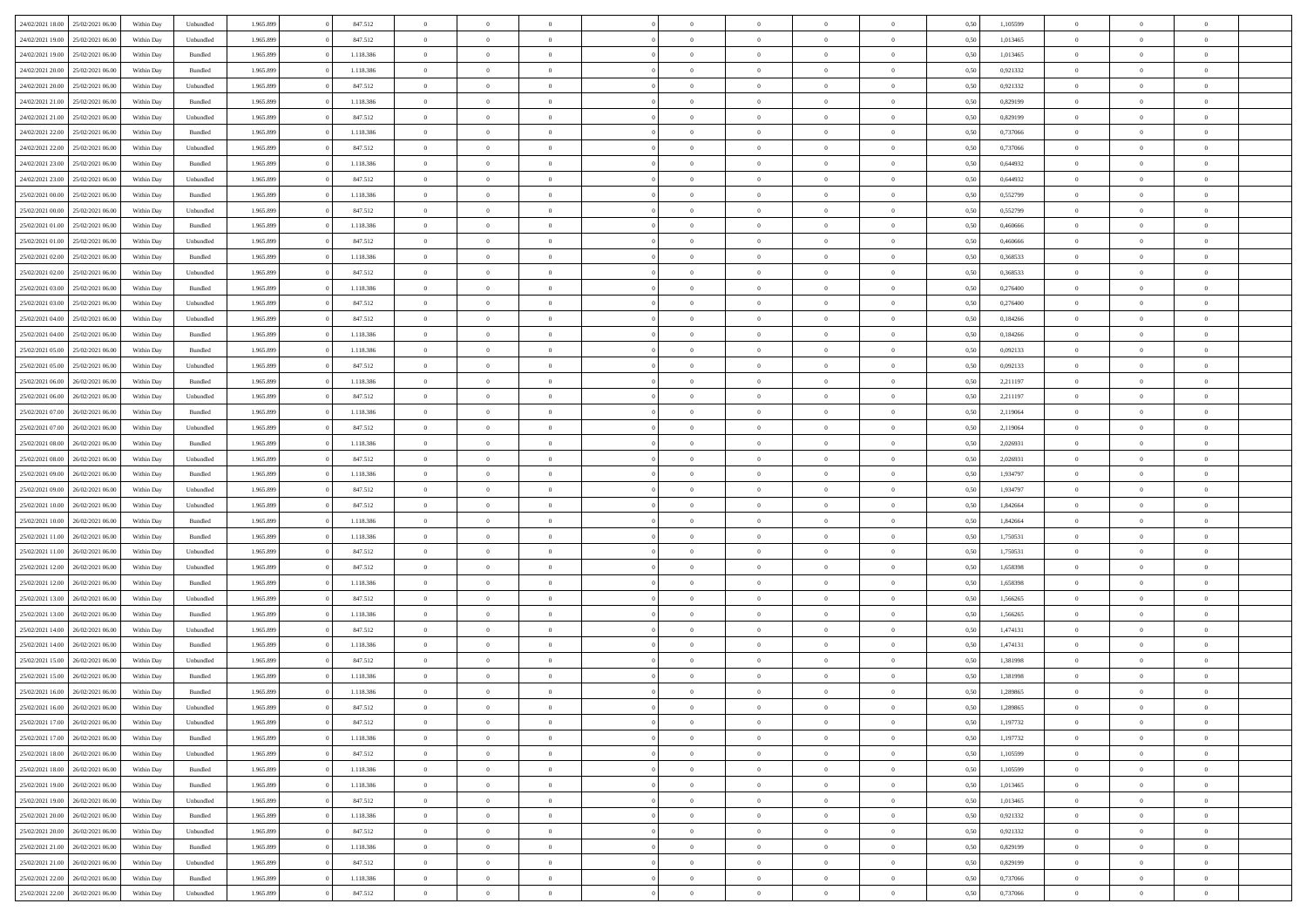|                  |                  |            |           |           |           | $\overline{0}$ | $\Omega$       |                |                | $\Omega$       | $\Omega$       | $\theta$       |      |          | $\theta$       |                | $\theta$       |  |
|------------------|------------------|------------|-----------|-----------|-----------|----------------|----------------|----------------|----------------|----------------|----------------|----------------|------|----------|----------------|----------------|----------------|--|
| 24/02/2021 18:00 | 25/02/2021 06:00 | Within Day | Unbundled | 1.965.899 | 847.512   |                |                |                | $\Omega$       |                |                |                | 0,50 | 1,105599 |                | $\theta$       |                |  |
| 24/02/2021 19:00 | 25/02/2021 06:00 | Within Day | Unbundled | 1.965.899 | 847.512   | $\overline{0}$ | $\theta$       | $\overline{0}$ | $\overline{0}$ | $\bf{0}$       | $\overline{0}$ | $\bf{0}$       | 0,50 | 1,013465 | $\theta$       | $\theta$       | $\overline{0}$ |  |
| 24/02/2021 19:00 | 25/02/2021 06:00 | Within Day | Bundled   | 1.965.899 | 1.118.386 | $\overline{0}$ | $\bf{0}$       | $\overline{0}$ | $\bf{0}$       | $\bf{0}$       | $\bf{0}$       | $\mathbf{0}$   | 0,50 | 1,013465 | $\bf{0}$       | $\overline{0}$ | $\overline{0}$ |  |
| 24/02/2021 20:00 | 25/02/2021 06:00 | Within Dav | Bundled   | 1.965.899 | 1.118.386 | $\overline{0}$ | $\overline{0}$ | $\overline{0}$ | $\overline{0}$ | $\bf{0}$       | $\overline{0}$ | $\overline{0}$ | 0.50 | 0.921332 | $\theta$       | $\theta$       | $\overline{0}$ |  |
|                  |                  |            |           |           |           | $\overline{0}$ | $\theta$       | $\overline{0}$ |                | $\bf{0}$       | $\overline{0}$ |                |      |          | $\theta$       | $\overline{0}$ | $\overline{0}$ |  |
| 24/02/2021 20:00 | 25/02/2021 06:00 | Within Day | Unbundled | 1.965.899 | 847.512   |                |                |                | $\overline{0}$ |                |                | $\bf{0}$       | 0,50 | 0,921332 |                |                |                |  |
| 24/02/2021 21:00 | 25/02/2021 06:00 | Within Day | Bundled   | 1.965.899 | 1.118.386 | $\overline{0}$ | $\overline{0}$ | $\overline{0}$ | $\bf{0}$       | $\overline{0}$ | $\overline{0}$ | $\mathbf{0}$   | 0,50 | 0,829199 | $\bf{0}$       | $\overline{0}$ | $\bf{0}$       |  |
| 24/02/2021 21:00 | 25/02/2021 06:00 | Within Dav | Unbundled | 1.965.899 | 847.512   | $\overline{0}$ | $\overline{0}$ | $\overline{0}$ | $\overline{0}$ | $\overline{0}$ | $\overline{0}$ | $\overline{0}$ | 0.50 | 0.829199 | $\theta$       | $\overline{0}$ | $\overline{0}$ |  |
| 24/02/2021 22.00 | 25/02/2021 06:00 | Within Day | Bundled   | 1.965.899 | 1.118.386 | $\overline{0}$ | $\theta$       | $\overline{0}$ | $\overline{0}$ | $\bf{0}$       | $\overline{0}$ | $\bf{0}$       | 0,50 | 0,737066 | $\theta$       | $\theta$       | $\overline{0}$ |  |
| 24/02/2021 22:00 | 25/02/2021 06:00 | Within Day | Unbundled | 1.965.899 | 847.512   | $\overline{0}$ | $\overline{0}$ | $\overline{0}$ | $\bf{0}$       | $\bf{0}$       | $\bf{0}$       | $\mathbf{0}$   | 0,50 | 0,737066 | $\,0\,$        | $\overline{0}$ | $\overline{0}$ |  |
|                  |                  |            |           |           |           |                | $\overline{0}$ |                |                | $\overline{0}$ |                |                |      |          | $\theta$       | $\overline{0}$ | $\overline{0}$ |  |
| 24/02/2021 23:00 | 25/02/2021 06:00 | Within Dav | Bundled   | 1.965.899 | 1.118.386 | $\overline{0}$ |                | $\overline{0}$ | $\overline{0}$ |                | $\overline{0}$ | $\overline{0}$ | 0.50 | 0,644932 |                |                |                |  |
| 24/02/2021 23:00 | 25/02/2021 06:00 | Within Day | Unbundled | 1.965.899 | 847.512   | $\overline{0}$ | $\theta$       | $\overline{0}$ | $\overline{0}$ | $\bf{0}$       | $\overline{0}$ | $\bf{0}$       | 0,50 | 0,644932 | $\,$ 0 $\,$    | $\overline{0}$ | $\overline{0}$ |  |
| 25/02/2021 00:00 | 25/02/2021 06:00 | Within Day | Bundled   | 1.965.899 | 1.118.386 | $\overline{0}$ | $\overline{0}$ | $\overline{0}$ | $\bf{0}$       | $\bf{0}$       | $\bf{0}$       | $\mathbf{0}$   | 0,50 | 0,552799 | $\bf{0}$       | $\overline{0}$ | $\bf{0}$       |  |
| 25/02/2021 00:00 | 25/02/2021 06:00 | Within Day | Unbundled | 1.965.899 | 847.512   | $\overline{0}$ | $\overline{0}$ | $\overline{0}$ | $\overline{0}$ | $\bf{0}$       | $\overline{0}$ | $\overline{0}$ | 0.50 | 0,552799 | $\theta$       | $\theta$       | $\overline{0}$ |  |
| 25/02/2021 01:00 | 25/02/2021 06:00 | Within Day | Bundled   | 1.965.899 | 1.118.386 | $\overline{0}$ | $\theta$       | $\overline{0}$ | $\overline{0}$ | $\bf{0}$       | $\overline{0}$ | $\bf{0}$       | 0,50 | 0,460666 | $\theta$       | $\theta$       | $\overline{0}$ |  |
|                  |                  |            |           |           |           |                |                |                |                |                |                |                |      |          |                |                |                |  |
| 25/02/2021 01:00 | 25/02/2021 06:00 | Within Day | Unbundled | 1.965.899 | 847.512   | $\overline{0}$ | $\overline{0}$ | $\overline{0}$ | $\bf{0}$       | $\overline{0}$ | $\overline{0}$ | $\mathbf{0}$   | 0,50 | 0,460666 | $\overline{0}$ | $\overline{0}$ | $\bf{0}$       |  |
| 25/02/2021 02:00 | 25/02/2021 06:00 | Within Dav | Bundled   | 1.965.899 | 1.118.386 | $\overline{0}$ | $\overline{0}$ | $\overline{0}$ | $\overline{0}$ | $\overline{0}$ | $\overline{0}$ | $\overline{0}$ | 0.50 | 0,368533 | $\theta$       | $\overline{0}$ | $\overline{0}$ |  |
| 25/02/2021 02:00 | 25/02/2021 06:00 | Within Day | Unbundled | 1.965.899 | 847.512   | $\overline{0}$ | $\theta$       | $\overline{0}$ | $\overline{0}$ | $\bf{0}$       | $\overline{0}$ | $\bf{0}$       | 0,50 | 0,368533 | $\theta$       | $\theta$       | $\overline{0}$ |  |
| 25/02/2021 03:00 | 25/02/2021 06:00 | Within Day | Bundled   | 1.965.899 | 1.118.386 | $\overline{0}$ | $\overline{0}$ | $\overline{0}$ | $\bf{0}$       | $\bf{0}$       | $\bf{0}$       | $\mathbf{0}$   | 0,50 | 0,276400 | $\bf{0}$       | $\overline{0}$ | $\overline{0}$ |  |
| 25/02/2021 03:00 | 25/02/2021 06:00 | Within Day | Unbundled | 1.965.899 | 847.512   | $\overline{0}$ | $\overline{0}$ | $\overline{0}$ | $\overline{0}$ | $\overline{0}$ | $\overline{0}$ | $\overline{0}$ | 0.50 | 0,276400 | $\theta$       | $\overline{0}$ | $\overline{0}$ |  |
| 25/02/2021 04:00 | 25/02/2021 06:00 | Within Day | Unbundled | 1.965.899 | 847.512   | $\overline{0}$ | $\theta$       | $\overline{0}$ | $\overline{0}$ | $\bf{0}$       | $\overline{0}$ | $\bf{0}$       | 0,50 | 0,184266 | $\,$ 0 $\,$    | $\theta$       | $\overline{0}$ |  |
|                  |                  |            |           |           |           |                |                |                |                |                |                |                |      |          |                |                |                |  |
| 25/02/2021 04:00 | 25/02/2021 06:00 | Within Day | Bundled   | 1.965.899 | 1.118.386 | $\overline{0}$ | $\overline{0}$ | $\overline{0}$ | $\bf{0}$       | $\bf{0}$       | $\bf{0}$       | $\mathbf{0}$   | 0,50 | 0,184266 | $\bf{0}$       | $\overline{0}$ | $\overline{0}$ |  |
| 25/02/2021 05:00 | 25/02/2021 06:00 | Within Day | Bundled   | 1.965.899 | 1.118.386 | $\overline{0}$ | $\overline{0}$ | $\overline{0}$ | $\overline{0}$ | $\bf{0}$       | $\overline{0}$ | $\overline{0}$ | 0.50 | 0,092133 | $\theta$       | $\overline{0}$ | $\overline{0}$ |  |
| 25/02/2021 05:00 | 25/02/2021 06:00 | Within Day | Unbundled | 1.965.899 | 847.512   | $\overline{0}$ | $\theta$       | $\overline{0}$ | $\overline{0}$ | $\bf{0}$       | $\overline{0}$ | $\bf{0}$       | 0,50 | 0,092133 | $\,$ 0 $\,$    | $\overline{0}$ | $\overline{0}$ |  |
| 25/02/2021 06:00 | 26/02/2021 06:00 | Within Day | Bundled   | 1.965.899 | 1.118.386 | $\overline{0}$ | $\overline{0}$ | $\overline{0}$ | $\bf{0}$       | $\overline{0}$ | $\overline{0}$ | $\mathbf{0}$   | 0,50 | 2,211197 | $\overline{0}$ | $\overline{0}$ | $\bf{0}$       |  |
| 25/02/2021 06:00 | 26/02/2021 06:00 | Within Day | Unbundled | 1.965.899 | 847.512   | $\overline{0}$ | $\overline{0}$ | $\overline{0}$ | $\overline{0}$ | $\overline{0}$ | $\overline{0}$ | $\overline{0}$ | 0.50 | 2,211197 | $\overline{0}$ | $\overline{0}$ | $\overline{0}$ |  |
| 25/02/2021 07:00 | 26/02/2021 06:00 | Within Day | Bundled   | 1.965.899 | 1.118.386 | $\overline{0}$ | $\theta$       | $\overline{0}$ | $\overline{0}$ | $\bf{0}$       | $\overline{0}$ | $\bf{0}$       | 0,50 | 2,119064 | $\,$ 0 $\,$    | $\theta$       | $\overline{0}$ |  |
|                  | 26/02/2021 06:00 | Within Day | Unbundled | 1.965.899 | 847.512   | $\overline{0}$ | $\overline{0}$ | $\overline{0}$ | $\bf{0}$       | $\bf{0}$       | $\bf{0}$       | $\mathbf{0}$   | 0,50 | 2,119064 | $\,0\,$        | $\overline{0}$ | $\overline{0}$ |  |
| 25/02/2021 07:00 |                  |            |           |           |           |                |                |                |                |                |                |                |      |          |                |                |                |  |
| 25/02/2021 08:00 | 26/02/2021 06:00 | Within Day | Bundled   | 1.965.899 | 1.118.386 | $\overline{0}$ | $\overline{0}$ | $\overline{0}$ | $\overline{0}$ | $\overline{0}$ | $\overline{0}$ | $\overline{0}$ | 0.50 | 2.026931 | $\theta$       | $\overline{0}$ | $\overline{0}$ |  |
| 25/02/2021 08:00 | 26/02/2021 06:00 | Within Day | Unbundled | 1.965.899 | 847.512   | $\overline{0}$ | $\theta$       | $\overline{0}$ | $\overline{0}$ | $\bf{0}$       | $\overline{0}$ | $\bf{0}$       | 0,50 | 2,026931 | $\,$ 0 $\,$    | $\overline{0}$ | $\overline{0}$ |  |
| 25/02/2021 09:00 | 26/02/2021 06:00 | Within Day | Bundled   | 1.965.899 | 1.118.386 | $\overline{0}$ | $\overline{0}$ | $\overline{0}$ | $\bf{0}$       | $\bf{0}$       | $\bf{0}$       | $\mathbf{0}$   | 0,50 | 1,934797 | $\overline{0}$ | $\overline{0}$ | $\overline{0}$ |  |
| 25/02/2021 09:00 | 26/02/2021 06:00 | Within Day | Unbundled | 1.965.899 | 847.512   | $\overline{0}$ | $\Omega$       | $\overline{0}$ | $\Omega$       | $\Omega$       | $\overline{0}$ | $\overline{0}$ | 0,50 | 1,934797 | $\,0\,$        | $\theta$       | $\theta$       |  |
| 25/02/2021 10:00 | 26/02/2021 06:00 | Within Day | Unbundled | 1.965.899 | 847.512   | $\overline{0}$ | $\theta$       | $\overline{0}$ | $\overline{0}$ | $\bf{0}$       | $\overline{0}$ | $\bf{0}$       | 0,50 | 1,842664 | $\,$ 0 $\,$    | $\theta$       | $\overline{0}$ |  |
| 25/02/2021 10:00 | 26/02/2021 06:00 | Within Day | Bundled   | 1.965.899 | 1.118.386 | $\overline{0}$ | $\overline{0}$ | $\overline{0}$ | $\bf{0}$       | $\bf{0}$       | $\overline{0}$ | $\mathbf{0}$   | 0,50 | 1,842664 | $\overline{0}$ | $\overline{0}$ | $\bf{0}$       |  |
|                  |                  |            |           |           |           |                |                |                |                |                |                |                |      |          |                |                |                |  |
| 25/02/2021 11:00 | 26/02/2021 06:00 | Within Day | Bundled   | 1.965.899 | 1.118.386 | $\overline{0}$ | $\Omega$       | $\overline{0}$ | $\Omega$       | $\bf{0}$       | $\overline{0}$ | $\overline{0}$ | 0.50 | 1,750531 | $\,0\,$        | $\theta$       | $\theta$       |  |
| 25/02/2021 11:00 | 26/02/2021 06:00 | Within Day | Unbundled | 1.965.899 | 847.512   | $\overline{0}$ | $\theta$       | $\overline{0}$ | $\overline{0}$ | $\bf{0}$       | $\overline{0}$ | $\bf{0}$       | 0,50 | 1,750531 | $\,$ 0 $\,$    | $\overline{0}$ | $\overline{0}$ |  |
| 25/02/2021 12:00 | 26/02/2021 06:00 | Within Day | Unbundled | 1.965.899 | 847.512   | $\overline{0}$ | $\overline{0}$ | $\overline{0}$ | $\bf{0}$       | $\bf{0}$       | $\bf{0}$       | $\mathbf{0}$   | 0,50 | 1,658398 | $\bf{0}$       | $\overline{0}$ | $\overline{0}$ |  |
| 25/02/2021 12:00 | 26/02/2021 06:00 | Within Day | Bundled   | 1.965.899 | 1.118.386 | $\overline{0}$ | $\Omega$       | $\overline{0}$ | $\Omega$       | $\overline{0}$ | $\overline{0}$ | $\overline{0}$ | 0.50 | 1,658398 | $\,0\,$        | $\theta$       | $\theta$       |  |
| 25/02/2021 13:00 | 26/02/2021 06:00 | Within Day | Unbundled | 1.965.899 | 847.512   | $\overline{0}$ | $\theta$       | $\overline{0}$ | $\overline{0}$ | $\,$ 0         | $\overline{0}$ | $\bf{0}$       | 0,50 | 1,566265 | $\,$ 0 $\,$    | $\overline{0}$ | $\overline{0}$ |  |
|                  |                  |            |           |           |           |                | $\overline{0}$ |                |                | $\bf{0}$       |                |                |      |          |                | $\overline{0}$ | $\overline{0}$ |  |
| 25/02/2021 13:00 | 26/02/2021 06:00 | Within Day | Bundled   | 1.965.899 | 1.118.386 | $\overline{0}$ |                | $\overline{0}$ | $\bf{0}$       |                | $\bf{0}$       | $\mathbf{0}$   | 0,50 | 1,566265 | $\overline{0}$ |                |                |  |
| 25/02/2021 14:00 | 26/02/2021 06:00 | Within Day | Unbundled | 1.965.899 | 847.512   | $\overline{0}$ | $\Omega$       | $\overline{0}$ | $\Omega$       | $\overline{0}$ | $\overline{0}$ | $\overline{0}$ | 0,50 | 1,474131 | $\,0\,$        | $\theta$       | $\theta$       |  |
| 25/02/2021 14:00 | 26/02/2021 06:00 | Within Day | Bundled   | 1.965.899 | 1.118.386 | $\overline{0}$ | $\theta$       | $\overline{0}$ | $\overline{0}$ | $\,$ 0         | $\overline{0}$ | $\bf{0}$       | 0,50 | 1,474131 | $\,$ 0 $\,$    | $\overline{0}$ | $\overline{0}$ |  |
| 25/02/2021 15:00 | 26/02/2021 06:00 | Within Day | Unbundled | 1.965.899 | 847.512   | $\overline{0}$ | $\bf{0}$       | $\overline{0}$ | $\bf{0}$       | $\bf{0}$       | $\bf{0}$       | $\mathbf{0}$   | 0,50 | 1,381998 | $\overline{0}$ | $\overline{0}$ | $\bf{0}$       |  |
| 25/02/2021 15:00 | 26/02/2021 06:00 | Within Day | Bundled   | 1.965.899 | 1.118.386 | $\overline{0}$ | $\Omega$       | $\Omega$       | $\Omega$       | $\Omega$       | $\Omega$       | $\overline{0}$ | 0.50 | 1,381998 | $\theta$       | $\theta$       | $\theta$       |  |
| 25/02/2021 16:00 | 26/02/2021 06:00 | Within Day | Bundled   | 1.965.899 | 1.118.386 | $\overline{0}$ | $\overline{0}$ | $\overline{0}$ | $\bf{0}$       | $\,$ 0         | $\bf{0}$       | $\bf{0}$       | 0,50 | 1,289865 | $\,0\,$        | $\overline{0}$ | $\overline{0}$ |  |
| 25/02/2021 16:00 | 26/02/2021 06:00 | Within Day | Unbundled | 1.965.899 | 847.512   | $\bf{0}$       | $\bf{0}$       |                |                | $\bf{0}$       |                |                | 0,50 | 1,289865 | $\bf{0}$       | $\overline{0}$ |                |  |
|                  |                  |            |           |           |           |                |                |                |                |                |                |                |      |          |                |                |                |  |
| 25/02/2021 17:00 | 26/02/2021 06:00 | Within Day | Unbundled | 1.965.899 | 847.512   | $\overline{0}$ | $\overline{0}$ | $\overline{0}$ | $\Omega$       | $\overline{0}$ | $\overline{0}$ | $\overline{0}$ | 0,50 | 1,197732 | $\theta$       | $\theta$       | $\theta$       |  |
| 25/02/2021 17:00 | 26/02/2021 06:00 | Within Day | Bundled   | 1.965.899 | 1.118.386 | $\overline{0}$ | $\bf{0}$       | $\overline{0}$ | $\bf{0}$       | $\,$ 0 $\,$    | $\overline{0}$ | $\,$ 0 $\,$    | 0,50 | 1,197732 | $\,$ 0 $\,$    | $\,$ 0 $\,$    | $\,$ 0         |  |
| 25/02/2021 18:00 | 26/02/2021 06:00 | Within Day | Unbundled | 1.965.899 | 847.512   | $\overline{0}$ | $\overline{0}$ | $\overline{0}$ | $\overline{0}$ | $\overline{0}$ | $\overline{0}$ | $\mathbf{0}$   | 0,50 | 1,105599 | $\overline{0}$ | $\bf{0}$       | $\bf{0}$       |  |
| 25/02/2021 18:00 | 26/02/2021 06:00 | Within Day | Bundled   | 1.965.899 | 1.118.386 | $\overline{0}$ | $\overline{0}$ | $\overline{0}$ | $\Omega$       | $\overline{0}$ | $\overline{0}$ | $\overline{0}$ | 0,50 | 1,105599 | $\overline{0}$ | $\overline{0}$ | $\overline{0}$ |  |
| 25/02/2021 19:00 | 26/02/2021 06:00 | Within Day | Bundled   | 1.965.899 | 1.118.386 | $\overline{0}$ | $\,$ 0         | $\overline{0}$ | $\overline{0}$ | $\,$ 0 $\,$    | $\overline{0}$ | $\mathbf{0}$   | 0,50 | 1,013465 | $\,$ 0 $\,$    | $\overline{0}$ | $\overline{0}$ |  |
| 25/02/2021 19:00 | 26/02/2021 06:00 | Within Day | Unbundled | 1.965.899 | 847.512   | $\overline{0}$ | $\overline{0}$ | $\overline{0}$ | $\overline{0}$ | $\overline{0}$ | $\overline{0}$ | $\mathbf{0}$   | 0,50 | 1,013465 | $\overline{0}$ | $\overline{0}$ | $\bf{0}$       |  |
|                  |                  |            |           |           |           |                |                |                |                |                |                |                |      |          |                |                |                |  |
| 25/02/2021 20:00 | 26/02/2021 06:00 | Within Day | Bundled   | 1.965.899 | 1.118.386 | $\overline{0}$ | $\overline{0}$ | $\overline{0}$ | $\overline{0}$ | $\overline{0}$ | $\overline{0}$ | $\bf{0}$       | 0.50 | 0,921332 | $\overline{0}$ | $\theta$       | $\overline{0}$ |  |
| 25/02/2021 20:00 | 26/02/2021 06:00 | Within Day | Unbundled | 1.965.899 | 847.512   | $\overline{0}$ | $\,$ 0         | $\overline{0}$ | $\bf{0}$       | $\bf{0}$       | $\bf{0}$       | $\bf{0}$       | 0,50 | 0,921332 | $\,$ 0 $\,$    | $\overline{0}$ | $\overline{0}$ |  |
| 25/02/2021 21:00 | 26/02/2021 06:00 | Within Day | Bundled   | 1.965.899 | 1.118.386 | $\overline{0}$ | $\bf{0}$       | $\overline{0}$ | $\overline{0}$ | $\overline{0}$ | $\overline{0}$ | $\mathbf{0}$   | 0,50 | 0,829199 | $\overline{0}$ | $\overline{0}$ | $\bf{0}$       |  |
| 25/02/2021 21:00 | 26/02/2021 06:00 | Within Day | Unbundled | 1.965.899 | 847.512   | $\overline{0}$ | $\overline{0}$ | $\overline{0}$ | $\Omega$       | $\overline{0}$ | $\overline{0}$ | $\overline{0}$ | 0.50 | 0,829199 | $\overline{0}$ | $\overline{0}$ | $\overline{0}$ |  |
| 25/02/2021 22:00 | 26/02/2021 06:00 | Within Day | Bundled   | 1.965.899 | 1.118.386 | $\overline{0}$ | $\bf{0}$       | $\overline{0}$ | $\overline{0}$ | $\bf{0}$       | $\bf{0}$       | $\mathbf{0}$   | 0,50 | 0,737066 | $\,$ 0 $\,$    | $\,$ 0 $\,$    | $\bf{0}$       |  |
| 25/02/2021 22:00 | 26/02/2021 06:00 | Within Day | Unbundled | 1.965.899 | 847.512   | $\overline{0}$ | $\overline{0}$ | $\overline{0}$ | $\overline{0}$ | $\overline{0}$ | $\bf{0}$       | $\mathbf{0}$   | 0,50 | 0,737066 | $\overline{0}$ | $\bf{0}$       | $\overline{0}$ |  |
|                  |                  |            |           |           |           |                |                |                |                |                |                |                |      |          |                |                |                |  |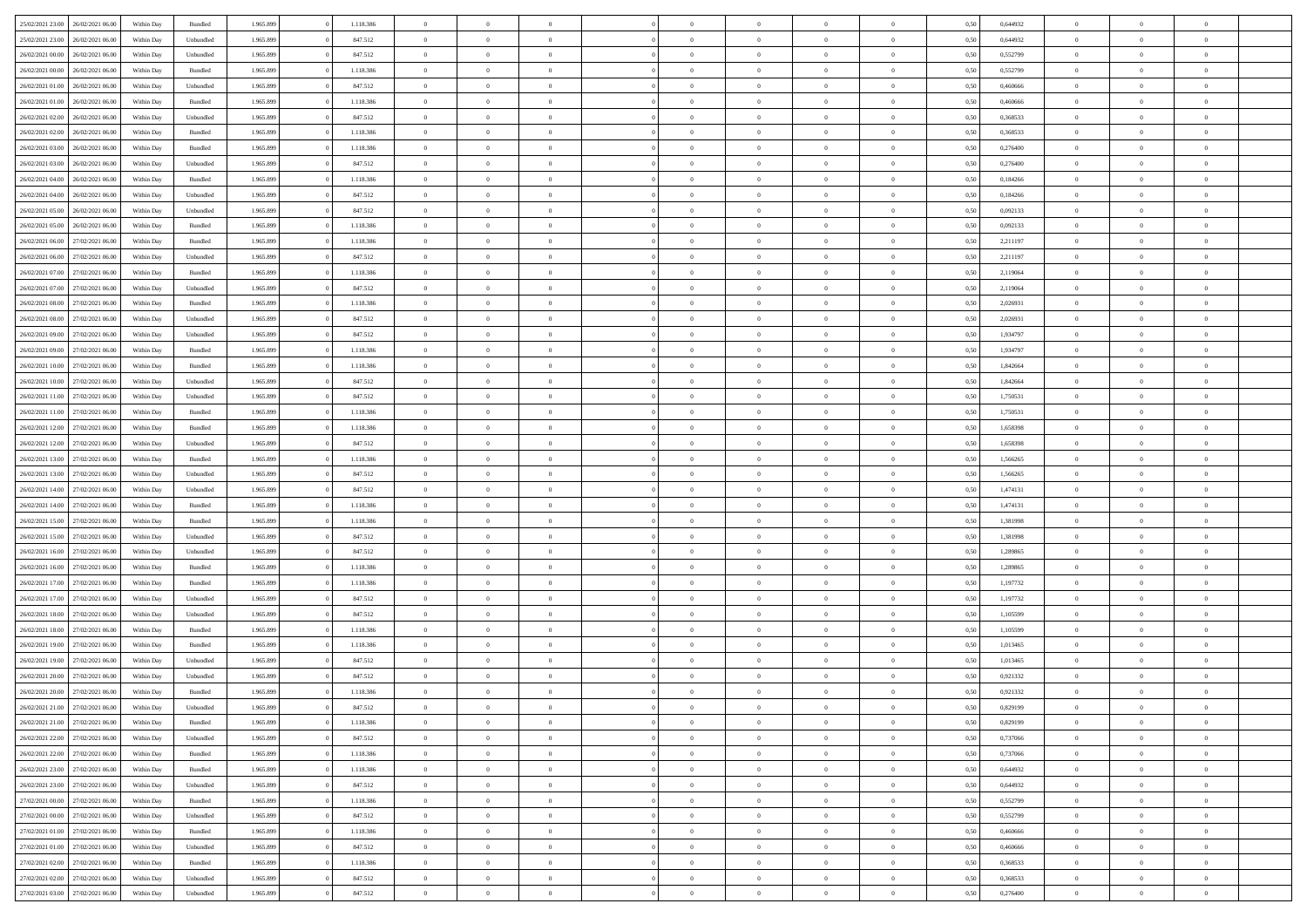| 25/02/2021 23:00                  | 26/02/2021 06:00 | Within Day | Bundled   | 1.965.899 | 1.118.386 | $\overline{0}$ | $\Omega$       |                | $\Omega$       | $\Omega$       | $\theta$       | $\theta$       | 0,50 | 0,644932 | $\theta$       | $\theta$       | $\theta$       |  |
|-----------------------------------|------------------|------------|-----------|-----------|-----------|----------------|----------------|----------------|----------------|----------------|----------------|----------------|------|----------|----------------|----------------|----------------|--|
|                                   |                  |            |           |           |           |                |                |                |                |                |                |                |      |          |                |                |                |  |
| 25/02/2021 23:00                  | 26/02/2021 06:00 | Within Day | Unbundled | 1.965.899 | 847.512   | $\overline{0}$ | $\theta$       | $\overline{0}$ | $\overline{0}$ | $\bf{0}$       | $\overline{0}$ | $\bf{0}$       | 0,50 | 0,644932 | $\theta$       | $\overline{0}$ | $\overline{0}$ |  |
| 26/02/2021 00:00                  | 26/02/2021 06:00 | Within Day | Unbundled | 1.965.899 | 847.512   | $\overline{0}$ | $\bf{0}$       | $\overline{0}$ | $\overline{0}$ | $\bf{0}$       | $\overline{0}$ | $\mathbf{0}$   | 0,50 | 0,552799 | $\bf{0}$       | $\overline{0}$ | $\bf{0}$       |  |
| 26/02/2021 00:00                  | 26/02/2021 06:00 | Within Dav | Bundled   | 1.965.899 | 1.118.386 | $\overline{0}$ | $\overline{0}$ | $\overline{0}$ | $\overline{0}$ | $\bf{0}$       | $\overline{0}$ | $\overline{0}$ | 0.50 | 0,552799 | $\theta$       | $\theta$       | $\overline{0}$ |  |
| 26/02/2021 01:00                  | 26/02/2021 06:00 | Within Day | Unbundled | 1.965.899 | 847.512   | $\overline{0}$ | $\theta$       | $\overline{0}$ | $\overline{0}$ | $\bf{0}$       | $\overline{0}$ | $\bf{0}$       | 0,50 | 0,460666 | $\,$ 0 $\,$    | $\overline{0}$ | $\overline{0}$ |  |
|                                   |                  |            |           |           |           |                |                |                |                |                |                |                |      |          |                |                |                |  |
| 26/02/2021 01:00                  | 26/02/2021 06:00 | Within Day | Bundled   | 1.965.899 | 1.118.386 | $\overline{0}$ | $\overline{0}$ | $\overline{0}$ | $\overline{0}$ | $\overline{0}$ | $\overline{0}$ | $\mathbf{0}$   | 0,50 | 0,460666 | $\bf{0}$       | $\overline{0}$ | $\bf{0}$       |  |
| 26/02/2021 02:00                  | 26/02/2021 06:00 | Within Dav | Unbundled | 1.965.899 | 847.512   | $\overline{0}$ | $\overline{0}$ | $\overline{0}$ | $\overline{0}$ | $\overline{0}$ | $\overline{0}$ | $\overline{0}$ | 0.50 | 0,368533 | $\theta$       | $\overline{0}$ | $\overline{0}$ |  |
| 26/02/2021 02:00                  | 26/02/2021 06:00 | Within Day | Bundled   | 1.965.899 | 1.118.386 | $\overline{0}$ | $\theta$       | $\overline{0}$ | $\overline{0}$ | $\bf{0}$       | $\overline{0}$ | $\bf{0}$       | 0,50 | 0,368533 | $\theta$       | $\theta$       | $\overline{0}$ |  |
| 26/02/2021 03:00                  | 26/02/2021 06:00 | Within Day | Bundled   | 1.965.899 | 1.118.386 | $\overline{0}$ | $\overline{0}$ | $\overline{0}$ | $\overline{0}$ | $\bf{0}$       | $\overline{0}$ | $\mathbf{0}$   | 0,50 | 0,276400 | $\,0\,$        | $\overline{0}$ | $\overline{0}$ |  |
| 26/02/2021 03:00                  | 26/02/2021 06:00 | Within Dav | Unbundled | 1.965.899 | 847.512   | $\overline{0}$ | $\overline{0}$ | $\overline{0}$ | $\overline{0}$ | $\overline{0}$ | $\overline{0}$ | $\overline{0}$ | 0.50 | 0,276400 | $\theta$       | $\overline{0}$ | $\overline{0}$ |  |
| 26/02/2021 04:00                  | 26/02/2021 06:00 | Within Day | Bundled   | 1.965.899 | 1.118.386 | $\overline{0}$ | $\theta$       | $\overline{0}$ | $\overline{0}$ | $\bf{0}$       | $\overline{0}$ | $\bf{0}$       | 0,50 | 0,184266 | $\,$ 0 $\,$    | $\overline{0}$ | $\overline{0}$ |  |
| 26/02/2021 04:00                  | 26/02/2021 06:00 | Within Day | Unbundled | 1.965.899 | 847.512   | $\overline{0}$ | $\overline{0}$ | $\overline{0}$ | $\overline{0}$ | $\bf{0}$       | $\overline{0}$ | $\mathbf{0}$   | 0,50 | 0,184266 | $\bf{0}$       | $\overline{0}$ | $\bf{0}$       |  |
|                                   |                  |            |           |           |           |                |                |                |                |                |                |                |      |          | $\theta$       |                |                |  |
| 26/02/2021 05:00                  | 26/02/2021 06:00 | Within Day | Unbundled | 1.965.899 | 847.512   | $\overline{0}$ | $\overline{0}$ | $\overline{0}$ | $\overline{0}$ | $\bf{0}$       | $\overline{0}$ | $\overline{0}$ | 0.50 | 0,092133 |                | $\theta$       | $\overline{0}$ |  |
| 26/02/2021 05:00                  | 26/02/2021 06:00 | Within Day | Bundled   | 1.965.899 | 1.118.386 | $\overline{0}$ | $\theta$       | $\overline{0}$ | $\overline{0}$ | $\bf{0}$       | $\overline{0}$ | $\bf{0}$       | 0,50 | 0,092133 | $\theta$       | $\overline{0}$ | $\overline{0}$ |  |
| 26/02/2021 06:00                  | 27/02/2021 06:00 | Within Day | Bundled   | 1.965.899 | 1.118.386 | $\overline{0}$ | $\overline{0}$ | $\overline{0}$ | $\overline{0}$ | $\overline{0}$ | $\overline{0}$ | $\mathbf{0}$   | 0,50 | 2,211197 | $\bf{0}$       | $\overline{0}$ | $\bf{0}$       |  |
| 26/02/2021 06:00                  | 27/02/2021 06:00 | Within Dav | Unbundled | 1.965.899 | 847.512   | $\overline{0}$ | $\overline{0}$ | $\overline{0}$ | $\overline{0}$ | $\overline{0}$ | $\overline{0}$ | $\overline{0}$ | 0.50 | 2,211197 | $\overline{0}$ | $\overline{0}$ | $\overline{0}$ |  |
| 26/02/2021 07:00                  | 27/02/2021 06:00 | Within Day | Bundled   | 1.965.899 | 1.118.386 | $\overline{0}$ | $\theta$       | $\overline{0}$ | $\overline{0}$ | $\bf{0}$       | $\overline{0}$ | $\bf{0}$       | 0,50 | 2,119064 | $\,$ 0 $\,$    | $\overline{0}$ | $\overline{0}$ |  |
| 26/02/2021 07:00                  | 27/02/2021 06:00 | Within Day | Unbundled | 1.965.899 | 847.512   | $\overline{0}$ | $\overline{0}$ | $\overline{0}$ | $\overline{0}$ | $\bf{0}$       | $\overline{0}$ | $\mathbf{0}$   | 0,50 | 2,119064 | $\bf{0}$       | $\overline{0}$ | $\bf{0}$       |  |
| 26/02/2021 08:00                  | 27/02/2021 06:00 | Within Day | Bundled   | 1.965.899 | 1.118.386 | $\overline{0}$ | $\overline{0}$ | $\overline{0}$ | $\overline{0}$ | $\overline{0}$ | $\overline{0}$ | $\overline{0}$ | 0.50 | 2,026931 | $\theta$       | $\overline{0}$ | $\overline{0}$ |  |
|                                   |                  |            |           |           |           | $\overline{0}$ |                |                |                |                |                |                |      |          |                |                |                |  |
| 26/02/2021 08:00                  | 27/02/2021 06:00 | Within Day | Unbundled | 1.965.899 | 847.512   |                | $\theta$       | $\overline{0}$ | $\overline{0}$ | $\bf{0}$       | $\overline{0}$ | $\bf{0}$       | 0,50 | 2,026931 | $\,$ 0 $\,$    | $\overline{0}$ | $\overline{0}$ |  |
| 26/02/2021 09:00                  | 27/02/2021 06:00 | Within Day | Unbundled | 1.965.899 | 847.512   | $\overline{0}$ | $\overline{0}$ | $\overline{0}$ | $\bf{0}$       | $\bf{0}$       | $\bf{0}$       | $\mathbf{0}$   | 0,50 | 1,934797 | $\overline{0}$ | $\overline{0}$ | $\bf{0}$       |  |
| 26/02/2021 09:00                  | 27/02/2021 06:00 | Within Day | Bundled   | 1.965.899 | 1.118.386 | $\overline{0}$ | $\overline{0}$ | $\overline{0}$ | $\overline{0}$ | $\overline{0}$ | $\overline{0}$ | $\overline{0}$ | 0.50 | 1,934797 | $\theta$       | $\overline{0}$ | $\overline{0}$ |  |
| 26/02/2021 10:00                  | 27/02/2021 06:00 | Within Day | Bundled   | 1.965.899 | 1.118.386 | $\overline{0}$ | $\theta$       | $\overline{0}$ | $\overline{0}$ | $\bf{0}$       | $\overline{0}$ | $\,$ 0 $\,$    | 0,50 | 1,842664 | $\,$ 0 $\,$    | $\overline{0}$ | $\overline{0}$ |  |
| 26/02/2021 10:00                  | 27/02/2021 06:00 | Within Day | Unbundled | 1.965.899 | 847.512   | $\overline{0}$ | $\overline{0}$ | $\overline{0}$ | $\bf{0}$       | $\overline{0}$ | $\overline{0}$ | $\mathbf{0}$   | 0,50 | 1,842664 | $\overline{0}$ | $\overline{0}$ | $\bf{0}$       |  |
| 26/02/2021 11:00                  | 27/02/2021 06:00 | Within Dav | Unbundled | 1.965.899 | 847.512   | $\overline{0}$ | $\overline{0}$ | $\overline{0}$ | $\overline{0}$ | $\overline{0}$ | $\overline{0}$ | $\overline{0}$ | 0.50 | 1,750531 | $\theta$       | $\overline{0}$ | $\overline{0}$ |  |
| 26/02/2021 11:00                  | 27/02/2021 06:00 | Within Day | Bundled   | 1.965.899 | 1.118.386 | $\overline{0}$ | $\theta$       | $\overline{0}$ | $\overline{0}$ | $\bf{0}$       | $\overline{0}$ | $\bf{0}$       | 0,50 | 1,750531 | $\theta$       | $\theta$       | $\overline{0}$ |  |
|                                   |                  |            |           |           |           |                |                |                |                |                |                |                |      |          |                |                |                |  |
| 26/02/2021 12:00                  | 27/02/2021 06:00 | Within Day | Bundled   | 1.965.899 | 1.118.386 | $\overline{0}$ | $\overline{0}$ | $\overline{0}$ | $\bf{0}$       | $\bf{0}$       | $\bf{0}$       | $\mathbf{0}$   | 0,50 | 1,658398 | $\,0\,$        | $\overline{0}$ | $\overline{0}$ |  |
| 26/02/2021 12:00                  | 27/02/2021 06:00 | Within Day | Unbundled | 1.965.899 | 847.512   | $\overline{0}$ | $\overline{0}$ | $\overline{0}$ | $\overline{0}$ | $\overline{0}$ | $\overline{0}$ | $\overline{0}$ | 0.50 | 1,658398 | $\theta$       | $\overline{0}$ | $\overline{0}$ |  |
| 26/02/2021 13:00                  | 27/02/2021 06.00 | Within Day | Bundled   | 1.965.899 | 1.118.386 | $\overline{0}$ | $\overline{0}$ | $\overline{0}$ | $\overline{0}$ | $\bf{0}$       | $\overline{0}$ | $\bf{0}$       | 0,50 | 1,566265 | $\,$ 0 $\,$    | $\overline{0}$ | $\overline{0}$ |  |
| 26/02/2021 13:00                  | 27/02/2021 06:00 | Within Day | Unbundled | 1.965.899 | 847.512   | $\overline{0}$ | $\overline{0}$ | $\overline{0}$ | $\bf{0}$       | $\bf{0}$       | $\bf{0}$       | $\mathbf{0}$   | 0,50 | 1,566265 | $\overline{0}$ | $\overline{0}$ | $\bf{0}$       |  |
| 26/02/2021 14:00                  | 27/02/2021 06:00 | Within Day | Unbundled | 1.965.899 | 847.512   | $\overline{0}$ | $\Omega$       | $\overline{0}$ | $\Omega$       | $\Omega$       | $\overline{0}$ | $\overline{0}$ | 0,50 | 1,474131 | $\,0\,$        | $\theta$       | $\theta$       |  |
| 26/02/2021 14:00                  | 27/02/2021 06:00 | Within Day | Bundled   | 1.965.899 | 1.118.386 | $\overline{0}$ | $\theta$       | $\overline{0}$ | $\overline{0}$ | $\bf{0}$       | $\overline{0}$ | $\bf{0}$       | 0,50 | 1,474131 | $\,$ 0 $\,$    | $\overline{0}$ | $\overline{0}$ |  |
|                                   |                  |            |           |           |           |                |                |                |                |                |                |                |      |          |                | $\overline{0}$ | $\bf{0}$       |  |
| 26/02/2021 15:00                  | 27/02/2021 06:00 | Within Day | Bundled   | 1.965.899 | 1.118.386 | $\overline{0}$ | $\overline{0}$ | $\overline{0}$ | $\bf{0}$       | $\overline{0}$ | $\overline{0}$ | $\mathbf{0}$   | 0,50 | 1,381998 | $\overline{0}$ |                |                |  |
| 26/02/2021 15:00                  | 27/02/2021 06:00 | Within Day | Unbundled | 1.965.899 | 847.512   | $\overline{0}$ | $\overline{0}$ | $\overline{0}$ | $\Omega$       | $\overline{0}$ | $\overline{0}$ | $\overline{0}$ | 0.50 | 1,381998 | $\,$ 0 $\,$    | $\theta$       | $\theta$       |  |
| 26/02/2021 16:00                  | 27/02/2021 06.00 | Within Day | Unbundled | 1.965.899 | 847.512   | $\overline{0}$ | $\theta$       | $\overline{0}$ | $\overline{0}$ | $\bf{0}$       | $\overline{0}$ | $\bf{0}$       | 0,50 | 1,289865 | $\,$ 0 $\,$    | $\overline{0}$ | $\overline{0}$ |  |
| 26/02/2021 16:00                  | 27/02/2021 06:00 | Within Day | Bundled   | 1.965.899 | 1.118.386 | $\overline{0}$ | $\bf{0}$       | $\overline{0}$ | $\bf{0}$       | $\bf{0}$       | $\bf{0}$       | $\mathbf{0}$   | 0,50 | 1,289865 | $\bf{0}$       | $\overline{0}$ | $\bf{0}$       |  |
| 26/02/2021 17:00                  | 27/02/2021 06:00 | Within Day | Bundled   | 1.965.899 | 1.118.386 | $\overline{0}$ | $\Omega$       | $\overline{0}$ | $\Omega$       | $\overline{0}$ | $\overline{0}$ | $\overline{0}$ | 0.50 | 1,197732 | $\,$ 0 $\,$    | $\theta$       | $\theta$       |  |
| 26/02/2021 17:00                  | 27/02/2021 06:00 | Within Day | Unbundled | 1.965.899 | 847.512   | $\overline{0}$ | $\overline{0}$ | $\overline{0}$ | $\overline{0}$ | $\,$ 0         | $\overline{0}$ | $\bf{0}$       | 0,50 | 1,197732 | $\,$ 0 $\,$    | $\overline{0}$ | $\overline{0}$ |  |
| 26/02/2021 18:00                  | 27/02/2021 06:00 | Within Day | Unbundled | 1.965.899 | 847.512   | $\overline{0}$ | $\overline{0}$ | $\overline{0}$ | $\bf{0}$       | $\bf{0}$       | $\bf{0}$       | $\mathbf{0}$   | 0,50 | 1,105599 | $\overline{0}$ | $\overline{0}$ | $\bf{0}$       |  |
| 26/02/2021 18:00                  | 27/02/2021 06:00 | Within Day | Bundled   | 1.965.899 | 1.118.386 | $\overline{0}$ | $\Omega$       | $\overline{0}$ | $\Omega$       | $\overline{0}$ | $\overline{0}$ | $\overline{0}$ | 0,50 | 1,105599 | $\,0\,$        | $\theta$       | $\overline{0}$ |  |
|                                   |                  |            |           |           |           |                |                |                |                |                |                |                |      |          |                |                |                |  |
| 26/02/2021 19:00                  | 27/02/2021 06:00 | Within Day | Bundled   | 1.965.899 | 1.118.386 | $\overline{0}$ | $\overline{0}$ | $\overline{0}$ | $\overline{0}$ | $\,$ 0         | $\overline{0}$ | $\bf{0}$       | 0,50 | 1,013465 | $\,$ 0 $\,$    | $\overline{0}$ | $\overline{0}$ |  |
| 26/02/2021 19:00                  | 27/02/2021 06:00 | Within Day | Unbundled | 1.965.899 | 847.512   | $\overline{0}$ | $\overline{0}$ | $\overline{0}$ | $\bf{0}$       | $\bf{0}$       | $\overline{0}$ | $\mathbf{0}$   | 0,50 | 1,013465 | $\overline{0}$ | $\overline{0}$ | $\bf{0}$       |  |
| 26/02/2021 20:00                  | 27/02/2021 06:00 | Within Day | Unbundled | 1.965.899 | 847.512   | $\overline{0}$ | $\Omega$       | $\Omega$       | $\Omega$       | $\Omega$       | $\Omega$       | $\overline{0}$ | 0.50 | 0,921332 | $\theta$       | $\theta$       | $\theta$       |  |
| 26/02/2021 20:00                  | 27/02/2021 06:00 | Within Day | Bundled   | 1.965.899 | 1.118.386 | $\overline{0}$ | $\overline{0}$ | $\overline{0}$ | $\bf{0}$       | $\,$ 0         | $\bf{0}$       | $\bf{0}$       | 0,50 | 0,921332 | $\,0\,$        | $\,$ 0 $\,$    | $\overline{0}$ |  |
| 26/02/2021 21:00                  | 27/02/2021 06:00 | Within Day | Unbundled | 1.965.899 | 847.512   | $\overline{0}$ | $\bf{0}$       |                |                | $\bf{0}$       |                |                | 0,50 | 0,829199 | $\bf{0}$       | $\overline{0}$ |                |  |
| 26/02/2021 21:00                  | 27/02/2021 06:00 | Within Day | Bundled   | 1.965.899 | 1.118.386 | $\overline{0}$ | $\overline{0}$ | $\overline{0}$ | $\Omega$       | $\overline{0}$ | $\overline{0}$ | $\overline{0}$ | 0.50 | 0,829199 | $\theta$       | $\theta$       | $\theta$       |  |
| 26/02/2021 22.00                  | 27/02/2021 06.00 | Within Day | Unbundled | 1.965.899 | 847.512   | $\overline{0}$ | $\bf{0}$       | $\overline{0}$ | $\bf{0}$       | $\,$ 0 $\,$    | $\overline{0}$ | $\mathbf{0}$   | 0,50 | 0,737066 | $\,$ 0 $\,$    | $\,$ 0 $\,$    | $\,$ 0         |  |
|                                   |                  |            |           |           |           |                |                |                |                |                |                |                |      |          |                |                |                |  |
| 26/02/2021 22.00                  | 27/02/2021 06:00 | Within Day | Bundled   | 1.965.899 | 1.118.386 | $\overline{0}$ | $\overline{0}$ | $\overline{0}$ | $\overline{0}$ | $\overline{0}$ | $\overline{0}$ | $\mathbf{0}$   | 0,50 | 0,737066 | $\overline{0}$ | $\bf{0}$       | $\overline{0}$ |  |
| 26/02/2021 23:00                  | 27/02/2021 06:00 | Within Day | Bundled   | 1.965.899 | 1.118.386 | $\overline{0}$ | $\overline{0}$ | $\overline{0}$ | $\Omega$       | $\overline{0}$ | $\overline{0}$ | $\overline{0}$ | 0,50 | 0.644932 | $\overline{0}$ | $\theta$       | $\overline{0}$ |  |
| 26/02/2021 23:00                  | 27/02/2021 06.00 | Within Day | Unbundled | 1.965.899 | 847.512   | $\overline{0}$ | $\,$ 0         | $\overline{0}$ | $\overline{0}$ | $\,$ 0 $\,$    | $\overline{0}$ | $\mathbf{0}$   | 0,50 | 0,644932 | $\,$ 0 $\,$    | $\overline{0}$ | $\overline{0}$ |  |
| 27/02/2021 00:00                  | 27/02/2021 06:00 | Within Day | Bundled   | 1.965.899 | 1.118.386 | $\overline{0}$ | $\overline{0}$ | $\overline{0}$ | $\overline{0}$ | $\overline{0}$ | $\overline{0}$ | $\mathbf{0}$   | 0,50 | 0,552799 | $\overline{0}$ | $\overline{0}$ | $\bf{0}$       |  |
| 27/02/2021 00:00                  | 27/02/2021 06:00 | Within Day | Unbundled | 1.965.899 | 847.512   | $\overline{0}$ | $\overline{0}$ | $\overline{0}$ | $\Omega$       | $\overline{0}$ | $\overline{0}$ | $\bf{0}$       | 0.50 | 0,552799 | $\overline{0}$ | $\theta$       | $\overline{0}$ |  |
| 27/02/2021 01:00                  | 27/02/2021 06.00 | Within Day | Bundled   | 1.965.899 | 1.118.386 | $\overline{0}$ | $\,$ 0         | $\overline{0}$ | $\bf{0}$       | $\bf{0}$       | $\bf{0}$       | $\bf{0}$       | 0,50 | 0,460666 | $\,$ 0 $\,$    | $\overline{0}$ | $\overline{0}$ |  |
| 27/02/2021 01:00                  | 27/02/2021 06:00 | Within Day | Unbundled | 1.965.899 | 847.512   | $\overline{0}$ | $\bf{0}$       | $\overline{0}$ | $\overline{0}$ | $\overline{0}$ | $\overline{0}$ | $\mathbf{0}$   | 0,50 | 0,460666 | $\overline{0}$ | $\overline{0}$ | $\bf{0}$       |  |
|                                   |                  |            |           |           |           |                | $\overline{0}$ | $\overline{0}$ | $\Omega$       | $\overline{0}$ | $\overline{0}$ |                |      |          |                | $\overline{0}$ | $\overline{0}$ |  |
| 27/02/2021 02:00                  | 27/02/2021 06:00 | Within Day | Bundled   | 1.965.899 | 1.118.386 | $\overline{0}$ |                |                |                |                |                | $\overline{0}$ | 0.50 | 0,368533 | $\overline{0}$ |                |                |  |
| 27/02/2021 02:00                  | 27/02/2021 06.00 | Within Day | Unbundled | 1.965.899 | 847.512   | $\overline{0}$ | $\bf{0}$       | $\overline{0}$ | $\overline{0}$ | $\bf{0}$       | $\bf{0}$       | $\mathbf{0}$   | 0,50 | 0,368533 | $\,$ 0 $\,$    | $\,$ 0 $\,$    | $\bf{0}$       |  |
| 27/02/2021 03:00 27/02/2021 06:00 |                  | Within Day | Unbundled | 1.965.899 | 847.512   | $\overline{0}$ | $\overline{0}$ | $\overline{0}$ | $\overline{0}$ | $\overline{0}$ | $\bf{0}$       | $\mathbf{0}$   | 0,50 | 0,276400 | $\overline{0}$ | $\bf{0}$       | $\overline{0}$ |  |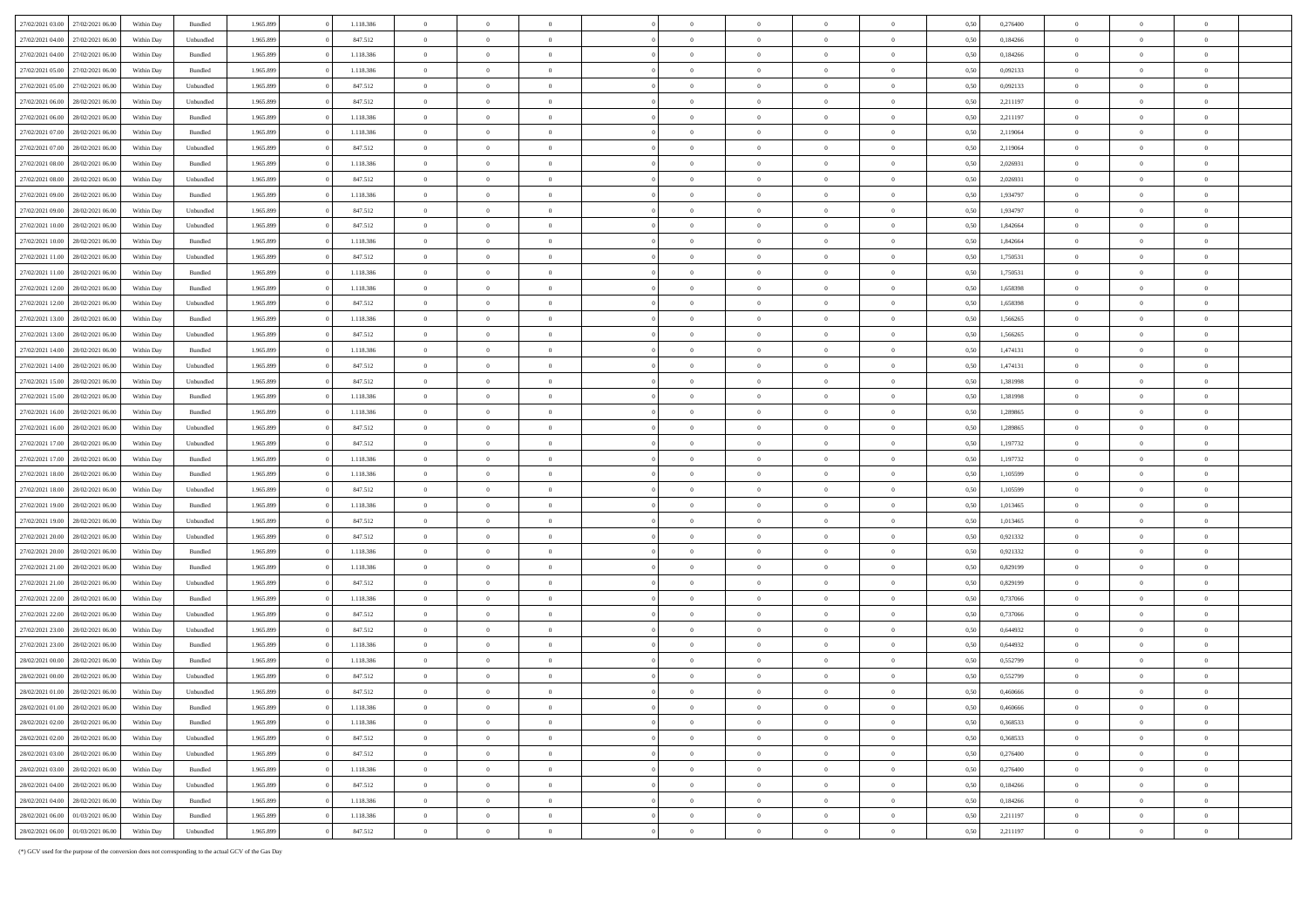| 27/02/2021 03:00 | 27/02/2021 06:00                     | Within Day               | Bundled   | 1.965.899              | 1.118.386            | $\Omega$                         |                |                                  |                |                |                |                | 0.50         | 0,276400             | $\overline{0}$ |                |                |
|------------------|--------------------------------------|--------------------------|-----------|------------------------|----------------------|----------------------------------|----------------|----------------------------------|----------------|----------------|----------------|----------------|--------------|----------------------|----------------|----------------|----------------|
| 27/02/2021 04:00 | 27/02/2021 06:00                     | Within Day               | Unbundled | 1.965.899              | 847.512              | $\overline{0}$                   | $\,$ 0         | $\overline{0}$                   | $\overline{0}$ | $\,$ 0 $\,$    | $\overline{0}$ | $\overline{0}$ | 0,50         | 0,184266             | $\overline{0}$ | $\overline{0}$ | $\overline{0}$ |
| 27/02/2021 04:00 | 27/02/2021 06.00                     | Within Day               | Bundled   | 1.965.899              | 1.118.386            | $\overline{0}$                   | $\overline{0}$ | $\overline{0}$                   | $\overline{0}$ | $\overline{0}$ | $\bf{0}$       | $\overline{0}$ | 0,50         | 0,184266             | $\overline{0}$ | $\overline{0}$ |                |
| 27/02/2021 05:00 | 27/02/2021 06:00                     | Within Day               | Bundled   | 1.965.899              | 1.118.386            | $\overline{0}$                   | $\overline{0}$ | $\overline{0}$                   | $\Omega$       | $\Omega$       | $\overline{0}$ | $\theta$       | 0.50         | 0,092133             | $\overline{0}$ |                |                |
| 27/02/2021 05:00 | 27/02/2021 06:00                     | Within Day               | Unbundled | 1.965.899              | 847.512              | $\overline{0}$                   | $\,$ 0         | $\overline{0}$                   | $\overline{0}$ | $\,$ 0 $\,$    | $\,$ 0 $\,$    | $\bf{0}$       | 0,50         | 0,092133             | $\overline{0}$ | $\overline{0}$ | $\overline{0}$ |
| 27/02/2021 06.00 | 28/02/2021 06:00                     | Within Day               | Unbundled | 1.965.899              | 847.512              | $\overline{0}$                   | $\overline{0}$ | $\overline{0}$                   | $\overline{0}$ | $\overline{0}$ | $\bf{0}$       | $\overline{0}$ | 0,50         | 2,211197             | $\overline{0}$ | $\overline{0}$ | $\Omega$       |
| 27/02/2021 06:00 | 28/02/2021 06:00                     | Within Day               | Bundled   | 1.965.899              | 1.118.386            | $\overline{0}$                   | $\overline{0}$ | $\overline{0}$                   | $\Omega$       | $\bf{0}$       | $\overline{0}$ | $\theta$       | 0.50         | 2,211197             | $\overline{0}$ |                |                |
| 27/02/2021 07:00 | 28/02/2021 06:00                     | Within Day               | Bundled   | 1.965.899              | 1.118.386            | $\overline{0}$                   | $\,$ 0         | $\overline{0}$                   | $\overline{0}$ | $\,$ 0 $\,$    | $\,$ 0 $\,$    | $\overline{0}$ | 0,50         | 2,119064             | $\overline{0}$ | $\overline{0}$ | $\overline{0}$ |
| 27/02/2021 07:00 | 28/02/2021 06:00                     | Within Day               | Unbundled | 1.965.899              | 847.512              | $\overline{0}$                   | $\overline{0}$ | $\overline{0}$                   | $\overline{0}$ | $\bf{0}$       | $\bf{0}$       | $\overline{0}$ | 0,50         | 2,119064             | $\overline{0}$ | $\overline{0}$ | $\Omega$       |
| 27/02/2021 08:00 | 28/02/2021 06:00                     | Within Day               | Bundled   | 1.965.899              | 1.118.386            | $\overline{0}$                   | $\overline{0}$ | $\overline{0}$                   | $\Omega$       | $\Omega$       | $\overline{0}$ | $\theta$       | 0.50         | 2,026931             | $\overline{0}$ |                |                |
| 27/02/2021 08:00 | 28/02/2021 06:00                     | Within Day               | Unbundled | 1.965.899              | 847.512              | $\overline{0}$                   | $\,$ 0         | $\overline{0}$                   | $\overline{0}$ | $\,$ 0 $\,$    | $\,$ 0 $\,$    | $\overline{0}$ | 0,50         | 2,026931             | $\overline{0}$ | $\overline{0}$ | $\overline{0}$ |
|                  |                                      |                          |           |                        |                      |                                  |                |                                  | $\Omega$       |                |                | $\overline{0}$ |              |                      | $\overline{0}$ |                |                |
| 27/02/2021 09:00 | 28/02/2021 06:00<br>28/02/2021 06:00 | Within Day<br>Within Day | Bundled   | 1.965.899<br>1.965.899 | 1.118.386<br>847.512 | $\overline{0}$<br>$\overline{0}$ | $\overline{0}$ | $\overline{0}$<br>$\overline{0}$ |                | $\overline{0}$ | $\overline{0}$ | $\theta$       | 0,50<br>0.50 | 1,934797<br>1,934797 |                | $\overline{0}$ |                |
| 27/02/2021 09:00 |                                      |                          | Unbundled |                        |                      |                                  | $\overline{0}$ |                                  | $\Omega$       | $\bf{0}$       | $\overline{0}$ |                |              |                      | $\overline{0}$ |                |                |
| 27/02/2021 10:00 | 28/02/2021 06:00                     | Within Day               | Unbundled | 1.965.899              | 847.512              | $\overline{0}$                   | $\,$ 0         | $\overline{0}$                   | $\overline{0}$ | $\,$ 0 $\,$    | $\,$ 0 $\,$    | $\bf{0}$       | 0,50         | 1,842664             | $\overline{0}$ | $\overline{0}$ | $\overline{0}$ |
| 27/02/2021 10:00 | 28/02/2021 06:00                     | Within Day               | Bundled   | 1.965.899              | 1.118.386            | $\overline{0}$                   | $\overline{0}$ | $\overline{0}$                   | $\overline{0}$ | $\overline{0}$ | $\bf{0}$       | $\overline{0}$ | 0,50         | 1,842664             | $\overline{0}$ | $\overline{0}$ | $\mathbf{a}$   |
| 27/02/2021 11:00 | 28/02/2021 06:00                     | Within Day               | Unbundled | 1.965.899              | 847.512              | $\overline{0}$                   | $\theta$       | $\Omega$                         | $\Omega$       | $\Omega$       | $\overline{0}$ | $\theta$       | 0.50         | 1,750531             | $\overline{0}$ |                |                |
| 27/02/2021 11:00 | 28/02/2021 06:00                     | Within Day               | Bundled   | 1.965.899              | 1.118.386            | $\overline{0}$                   | $\overline{0}$ | $\overline{0}$                   | $\overline{0}$ | $\bf{0}$       | $\overline{0}$ | $\overline{0}$ | 0,50         | 1,750531             | $\overline{0}$ | $\overline{0}$ | $\overline{0}$ |
| 27/02/2021 12:00 | 28/02/2021 06:00                     | Within Day               | Bundled   | 1.965.899              | 1.118.386            | $\overline{0}$                   | $\overline{0}$ | $\overline{0}$                   | $\overline{0}$ | $\bf{0}$       | $\bf{0}$       | $\bf{0}$       | 0,50         | 1,658398             | $\overline{0}$ | $\overline{0}$ |                |
| 27/02/2021 12:00 | 28/02/2021 06:00                     | Within Day               | Unbundled | 1.965.899              | 847.512              | $\overline{0}$                   | $\overline{0}$ | $\overline{0}$                   | $\Omega$       | $\bf{0}$       | $\overline{0}$ | $\theta$       | 0.50         | 1,658398             | $\overline{0}$ |                |                |
| 27/02/2021 13:00 | 28/02/2021 06:00                     | Within Day               | Bundled   | 1.965.899              | 1.118.386            | $\overline{0}$                   | $\,$ 0         | $\overline{0}$                   | $\overline{0}$ | $\,$ 0 $\,$    | $\,$ 0 $\,$    | $\overline{0}$ | 0,50         | 1,566265             | $\overline{0}$ | $\overline{0}$ | $\overline{0}$ |
| 27/02/2021 13:00 | 28/02/2021 06:00                     | Within Day               | Unbundled | 1.965.899              | 847.512              | $\overline{0}$                   | $\overline{0}$ | $\overline{0}$                   | $\Omega$       | $\overline{0}$ | $\bf{0}$       | $\overline{0}$ | 0,50         | 1,566265             | $\overline{0}$ | $\overline{0}$ |                |
| 27/02/2021 14:00 | 28/02/2021 06:00                     | Within Day               | Bundled   | 1.965.899              | 1.118.386            | $\overline{0}$                   | $\overline{0}$ | $\overline{0}$                   | $\Omega$       | $\Omega$       | $\overline{0}$ | $\theta$       | 0.50         | 1,474131             | $\overline{0}$ |                |                |
| 27/02/2021 14:00 | 28/02/2021 06:00                     | Within Day               | Unbundled | 1.965.899              | 847.512              | $\overline{0}$                   | $\overline{0}$ | $\overline{0}$                   | $\overline{0}$ | $\bf{0}$       | $\,$ 0 $\,$    | $\overline{0}$ | 0,50         | 1,474131             | $\overline{0}$ | $\overline{0}$ | $\overline{0}$ |
| 27/02/2021 15:00 | 28/02/2021 06:00                     | Within Day               | Unbundled | 1.965.899              | 847.512              | $\overline{0}$                   | $\overline{0}$ | $\overline{0}$                   | $\overline{0}$ | $\bf{0}$       | $\bf{0}$       | $\overline{0}$ | 0,50         | 1,381998             | $\overline{0}$ | $\overline{0}$ |                |
| 27/02/2021 15:00 | 28/02/2021 06:00                     | Within Day               | Bundled   | 1.965.899              | 1.118.386            | $\overline{0}$                   | $\overline{0}$ | $\overline{0}$                   | $\Omega$       | $\Omega$       | $\overline{0}$ | $\Omega$       | 0.50         | 1,381998             | $\overline{0}$ |                |                |
| 27/02/2021 16:00 | 28/02/2021 06:00                     | Within Day               | Bundled   | 1.965.899              | 1.118.386            | $\overline{0}$                   | $\bf{0}$       | $\overline{0}$                   | $\overline{0}$ | $\,$ 0 $\,$    | $\overline{0}$ | $\overline{0}$ | 0,50         | 1,289865             | $\overline{0}$ | $\overline{0}$ | $\overline{0}$ |
| 27/02/2021 16:00 | 28/02/2021 06:00                     | Within Day               | Unbundled | 1.965.899              | 847.512              | $\overline{0}$                   | $\overline{0}$ | $\overline{0}$                   | $\Omega$       | $\overline{0}$ | $\overline{0}$ | $\overline{0}$ | 0,50         | 1,289865             | $\overline{0}$ | $\overline{0}$ |                |
| 27/02/2021 17:00 | 28/02/2021 06:00                     | Within Day               | Unbundled | 1.965.899              | 847.512              | $\overline{0}$                   | $\overline{0}$ | $\overline{0}$                   | $\Omega$       | $\bf{0}$       | $\overline{0}$ | $\theta$       | 0.50         | 1,197732             | $\overline{0}$ |                |                |
| 27/02/2021 17:00 | 28/02/2021 06:00                     | Within Day               | Bundled   | 1.965.899              | 1.118.386            | $\overline{0}$                   | $\,$ 0         | $\overline{0}$                   | $\overline{0}$ | $\,$ 0 $\,$    | $\,$ 0 $\,$    | $\overline{0}$ | 0,50         | 1,197732             | $\overline{0}$ | $\overline{0}$ | $\overline{0}$ |
| 27/02/2021 18:00 | 28/02/2021 06:00                     | Within Day               | Bundled   | 1.965.899              | 1.118.386            | $\overline{0}$                   | $\overline{0}$ | $\overline{0}$                   | $\overline{0}$ | $\,$ 0 $\,$    | $\bf{0}$       | $\overline{0}$ | 0,50         | 1,105599             | $\overline{0}$ | $\overline{0}$ | $\mathbf{a}$   |
| 27/02/2021 18:00 | 28/02/2021 06:00                     | Within Day               | Unbundled | 1.965.899              | 847.512              | $\overline{0}$                   | $\theta$       | $\Omega$                         | $\Omega$       | $\Omega$       | $\Omega$       | $\Omega$       | 0.50         | 1.105599             | $\Omega$       |                |                |
| 27/02/2021 19:00 | 28/02/2021 06:00                     | Within Day               | Bundled   | 1.965.899              | 1.118.386            | $\overline{0}$                   | $\bf{0}$       | $\overline{0}$                   | $\overline{0}$ | $\bf{0}$       | $\overline{0}$ | $\overline{0}$ | 0,50         | 1,013465             | $\overline{0}$ | $\overline{0}$ | $\overline{0}$ |
| 27/02/2021 19:00 | 28/02/2021 06:00                     | Within Day               | Unbundled | 1.965.899              | 847.512              | $\overline{0}$                   | $\overline{0}$ | $\overline{0}$                   | $\overline{0}$ | $\overline{0}$ | $\bf{0}$       | $\overline{0}$ | 0,50         | 1,013465             | $\overline{0}$ | $\overline{0}$ |                |
| 27/02/2021 20:00 | 28/02/2021 06:00                     | Within Day               | Unbundled | 1.965.899              | 847.512              | $\overline{0}$                   | $\theta$       | $\Omega$                         | $\Omega$       | $\Omega$       | $\Omega$       | $\theta$       | 0.50         | 0,921332             | $\overline{0}$ |                |                |
| 27/02/2021 20:00 | 28/02/2021 06:00                     | Within Day               | Bundled   | 1.965.899              | 1.118.386            | $\overline{0}$                   | $\,$ 0         | $\overline{0}$                   | $\overline{0}$ | $\,$ 0 $\,$    | $\,$ 0 $\,$    | $\overline{0}$ | 0,50         | 0,921332             | $\overline{0}$ | $\overline{0}$ | $\overline{0}$ |
| 27/02/2021 21:00 | 28/02/2021 06:00                     | Within Day               | Bundled   | 1.965.899              | 1.118.386            | $\overline{0}$                   | $\overline{0}$ | $\overline{0}$                   | $\overline{0}$ | $\overline{0}$ | $\bf{0}$       | $\bf{0}$       | 0,50         | 0,829199             | $\overline{0}$ | $\overline{0}$ | $\Omega$       |
| 27/02/2021 21:00 | 28/02/2021 06:00                     | Within Day               | Unbundled | 1.965.899              | 847.512              | $\overline{0}$                   | $\theta$       | $\Omega$                         | $\Omega$       | $\Omega$       | $\Omega$       | $\Omega$       | 0.50         | 0.829199             | $\Omega$       |                |                |
| 27/02/2021 22:00 | 28/02/2021 06:00                     | Within Day               | Bundled   | 1.965.899              | 1.118.386            | $\overline{0}$                   | $\bf{0}$       | $\overline{0}$                   | $\overline{0}$ | $\bf{0}$       | $\overline{0}$ | $\overline{0}$ | 0,50         | 0,737066             | $\overline{0}$ | $\overline{0}$ | $\overline{0}$ |
| 27/02/2021 22:00 | 28/02/2021 06:00                     | Within Day               | Unbundled | 1.965.899              | 847.512              | $\overline{0}$                   | $\overline{0}$ | $\overline{0}$                   | $\overline{0}$ | $\bf{0}$       | $\bf{0}$       | $\overline{0}$ | 0,50         | 0,737066             | $\overline{0}$ | $\overline{0}$ |                |
| 27/02/2021 23:00 | 28/02/2021 06:00                     | Within Day               | Unbundled | 1.965.899              | 847.512              | $\overline{0}$                   | $\theta$       | $\Omega$                         | $\Omega$       | $\Omega$       | $\Omega$       | $\theta$       | 0.50         | 0.644932             | $\mathbf{0}$   | $\Omega$       |                |
| 27/02/2021 23:00 | 28/02/2021 06:00                     | Within Day               | Bundled   | 1.965.899              | 1.118.386            | $\overline{0}$                   | $\bf{0}$       | $\overline{0}$                   | $\overline{0}$ | $\,$ 0 $\,$    | $\,$ 0 $\,$    | $\overline{0}$ | 0,50         | 0,644932             | $\overline{0}$ | $\overline{0}$ | $\overline{0}$ |
| 28/02/2021 00:00 | 28/02/2021 06.0                      | Within Day               | Bundled   | 1.965.899              | 1.118.386            | $\overline{0}$                   | $\overline{0}$ | $\overline{0}$                   | $\Omega$       | $\overline{0}$ | $\overline{0}$ | $\overline{0}$ | 0,50         | 0,552799             | $\overline{0}$ | $\overline{0}$ |                |
| 28/02/2021 00:00 | 28/02/2021 06:00                     | Within Day               | Unbundled | 1.965.899              | 847.512              | $\overline{0}$                   | $\theta$       | $\Omega$                         | $\Omega$       | $\Omega$       | $\Omega$       | $\Omega$       | 0.50         | 0.552799             | $\overline{0}$ |                |                |
| 28/02/2021 01:00 | 28/02/2021 06:00                     | Within Day               | Unbundled | 1.965.899              | 847.512              | $\overline{0}$                   | $\overline{0}$ | $\overline{0}$                   | $\overline{0}$ | $\bf{0}$       | $\,$ 0 $\,$    | $\overline{0}$ | 0,50         | 0,460666             | $\overline{0}$ | $\overline{0}$ | $\overline{0}$ |
| 28/02/2021 01:00 | 28/02/2021 06:00                     | Within Day               | Bundled   | 1.965.899              | 1.118.386            | $\overline{0}$                   | $\overline{0}$ | $\overline{0}$                   | $\Omega$       | $\Omega$       | $\Omega$       | $\Omega$       | 0,50         | 0,460666             | $\Omega$       | $\sqrt{2}$     | $\Omega$       |
|                  | 28/02/2021 02:00 28/02/2021 06:00    | Within Day               | Bundled   | 1.965.899              | 1.118.386            | $\overline{0}$                   | $\overline{0}$ | $\overline{0}$                   | $\Omega$       | $\overline{0}$ | $\overline{0}$ | $\mathbf{0}$   | 0.50         | 0.368533             | $\mathbf{0}$   | $\Omega$       | $\theta$       |
| 28/02/2021 02:00 | 28/02/2021 06:00                     | Within Day               | Unbundled | 1.965.899              | 847.512              | $\overline{0}$                   | $\overline{0}$ | $\overline{0}$                   | $\overline{0}$ | $\,$ 0 $\,$    | $\overline{0}$ | $\sim$         | 0,50         | 0,368533             | $\overline{0}$ | $\overline{0}$ | $\bf{0}$       |
| 28/02/2021 03:00 | 28/02/2021 06:00                     | Within Day               | Unbundled | 1.965.899              | 847.512              | $\overline{0}$                   | $\bf{0}$       | $\overline{0}$                   | $\bf{0}$       | $\bf{0}$       | $\overline{0}$ | $\overline{0}$ | 0,50         | 0,276400             | $\overline{0}$ | $\bf{0}$       | $\bf{0}$       |
| 28/02/2021 03:00 | 28/02/2021 06:00                     | Within Day               | Bundled   | 1.965.899              | 1.118.386            | $\overline{0}$                   | $\overline{0}$ | $\overline{0}$                   | $\overline{0}$ | $\overline{0}$ | $\overline{0}$ | $\bf{0}$       | 0.50         | 0,276400             | $\overline{0}$ | $\Omega$       | $\mathbf{0}$   |
| 28/02/2021 04:00 | 28/02/2021 06:00                     | Within Day               | Unbundled | 1.965.899              | 847.512              | $\overline{0}$                   | $\overline{0}$ | $\overline{0}$                   | $\overline{0}$ | $\,$ 0 $\,$    | $\overline{0}$ | $\overline{0}$ | 0,50         | 0,184266             | $\overline{0}$ | $\overline{0}$ | $\bf{0}$       |
| 28/02/2021 04:00 | 28/02/2021 06:00                     | Within Day               | Bundled   | 1.965.899              | 1.118.386            | $\overline{0}$                   | $\bf{0}$       | $\overline{0}$                   | $\bf{0}$       | $\bf{0}$       | $\overline{0}$ | $\overline{0}$ | 0,50         | 0,184266             | $\overline{0}$ | $\bf{0}$       | $\bf{0}$       |
| 28/02/2021 06:00 | 01/03/2021 06:00                     | Within Day               | Bundled   | 1.965.899              | 1.118.386            | $\overline{0}$                   | $\Omega$       | $\overline{0}$                   | $\Omega$       | $\overline{0}$ | $\theta$       | $\mathbf{0}$   | 0.50         | 2.211197             | $\overline{0}$ | $\Omega$       | $\mathbf{0}$   |
| 28/02/2021 06:00 | 01/03/2021 06:00                     | Within Day               | Unbundled | 1.965.899              | 847.512              | $\overline{0}$                   | $\overline{0}$ | $\overline{0}$                   | $\overline{0}$ | $\mathbf{0}$   | $\overline{0}$ | $\overline{0}$ | 0,50         | 2,211197             | $\overline{0}$ | $\overline{0}$ | $\overline{0}$ |

(\*) GCV used for the purpose of the conversion does not corresponding to the actual GCV of the Gas Day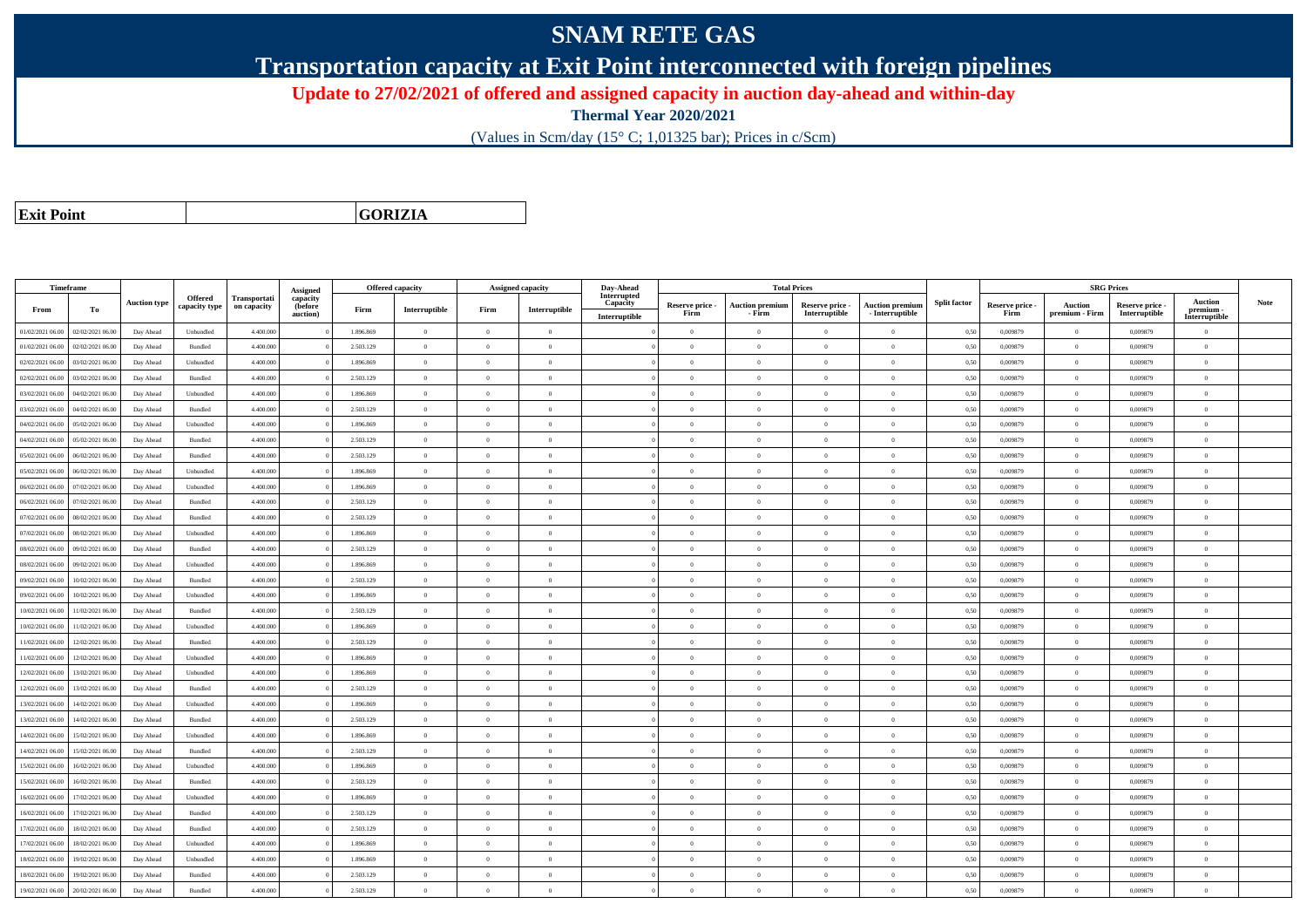## **SNAM RETE GAS**

**Transportation capacity at Exit Point interconnected with foreign pipelines**

**Update to 27/02/2021 of offered and assigned capacity in auction day-ahead and within-day**

**Thermal Year 2020/2021**

(Values in Scm/day (15° C; 1,01325 bar); Prices in c/Scm)

**Exit Point**

**GORIZIA**

|                  | Timeframe        |                     |                          |                                    |                                 |           | <b>Offered capacity</b> |                | <b>Assigned capacity</b> | Day-Ahead               |                 |                        | <b>Total Prices</b> |                        |                     |                 |                | <b>SRG Prices</b> |                            |      |
|------------------|------------------|---------------------|--------------------------|------------------------------------|---------------------------------|-----------|-------------------------|----------------|--------------------------|-------------------------|-----------------|------------------------|---------------------|------------------------|---------------------|-----------------|----------------|-------------------|----------------------------|------|
|                  |                  | <b>Auction type</b> | Offered<br>capacity type | <b>Transportati</b><br>on capacity | Assigned<br>capacity<br>(before |           |                         |                |                          | Interrupted<br>Capacity | Reserve price - | <b>Auction premiun</b> | Reserve price -     | <b>Auction premium</b> | <b>Split factor</b> | Reserve price - | Auction        | Reserve price -   | <b>Auction</b>             | Note |
| From             | To               |                     |                          |                                    | auction)                        | Firm      | Interruptible           | Firm           | Interruptible            | Interruptible           | Firm            | - Firm                 | Interruptible       | - Interruptible        |                     | Firm            | premium - Firm | Interruptible     | premium -<br>Interruptible |      |
| 01/02/2021 06:00 | 02/02/2021 06:00 | Day Ahead           | Unbundled                | 4.400.000                          |                                 | 1.896.869 | $\overline{0}$          | $\overline{0}$ | $\overline{0}$           |                         | $\overline{0}$  | $\overline{0}$         | $\overline{0}$      | $\overline{0}$         | 0,50                | 0,009879        | $\overline{0}$ | 0,009879          | $\overline{0}$             |      |
| 01/02/2021 06:00 | 02/02/2021 06:00 | Day Ahead           | Bundled                  | 4.400,000                          |                                 | 2.503.129 | $\overline{0}$          | $\Omega$       | $\Omega$                 |                         | $\theta$        | $\theta$               | $\Omega$            | $\Omega$               | 0,50                | 0.009879        | $\Omega$       | 0.009879          | $\theta$                   |      |
| 02/02/2021 06:00 | 03/02/2021 06:00 | Day Ahead           | Unbundled                | 4.400.000                          |                                 | 1.896.869 | $\overline{0}$          | $\overline{0}$ | $\theta$                 |                         | $\theta$        | $\theta$               | $\overline{0}$      | $\bf{0}$               | 0,50                | 0,009879        | $\overline{0}$ | 0,009879          | $\overline{0}$             |      |
| 02/02/2021 06:00 | 03/02/2021 06:00 | Day Ahead           | Bundled                  | 4.400.000                          |                                 | 2.503.129 | $\overline{0}$          | $\overline{0}$ | $\overline{0}$           |                         | $\theta$        | $\theta$               | $\overline{0}$      | $\bf{0}$               | 0,50                | 0,009879        | $\mathbf{0}$   | 0,009879          | $\overline{0}$             |      |
| 03/02/2021 06:00 | 04/02/2021 06:00 | Day Ahead           | Unbundled                | 4.400.000                          |                                 | 1.896.869 | $\,$ 0 $\,$             | $\overline{0}$ | $\overline{0}$           |                         | $\overline{0}$  | $\theta$               | $\overline{0}$      | $\overline{0}$         | 0,50                | 0.009879        | $\,$ 0 $\,$    | 0.009879          | $\theta$                   |      |
| 03/02/2021 06:00 | 04/02/2021 06:00 | Day Ahead           | Bundled                  | 4.400.000                          |                                 | 2.503.129 | $\overline{0}$          | $\Omega$       | $\Omega$                 |                         | $\Omega$        | $\Omega$               | $\Omega$            | $\bf{0}$               | 0,50                | 0,009879        | $\mathbf{0}$   | 0,009879          | $\theta$                   |      |
| 04/02/2021 06:00 | 05/02/2021 06:00 | Day Ahead           | Unbundled                | 4,400,000                          |                                 | 1.896.869 | $\overline{0}$          | $\overline{0}$ | $\Omega$                 |                         | $\Omega$        | $\theta$               | $\overline{0}$      | $\theta$               | 0,50                | 0.009879        | $\overline{0}$ | 0.009879          | $\theta$                   |      |
| 04/02/2021 06:00 | 05/02/2021 06:00 | Day Ahead           | Bundled                  | 4.400.000                          |                                 | 2.503.129 | $\overline{0}$          | $\Omega$       | $\Omega$                 |                         | $\theta$        | $\theta$               | $\overline{0}$      | $\bf{0}$               | 0,50                | 0,009879        | $\mathbf{0}$   | 0,009879          | $\theta$                   |      |
| 05/02/2021 06:00 | 06/02/2021 06:00 | Day Ahead           | Bundled                  | 4.400,000                          |                                 | 2.503.129 | $\overline{0}$          | $\Omega$       | $\Omega$                 |                         | $\theta$        | $\theta$               | $\theta$            | $\theta$               | 0.50                | 0.009879        | $\Omega$       | 0.009879          | $\theta$                   |      |
| 05/02/2021 06:00 | 06/02/2021 06:00 | Day Ahead           | Unbundled                | 4.400.000                          |                                 | 1.896.869 | $\overline{0}$          | $\overline{0}$ | $\Omega$                 |                         | $\theta$        | $\theta$               | $\theta$            | $\bf{0}$               | 0,50                | 0,009879        | $\mathbf{0}$   | 0,009879          | $\overline{0}$             |      |
| 06/02/2021 06:00 | 07/02/2021 06.00 | Day Ahead           | Unbundled                | 4.400.000                          |                                 | 1.896.869 | $\overline{0}$          | $\overline{0}$ | $\theta$                 |                         | $\theta$        | $\overline{0}$         | $\overline{0}$      | $\bf{0}$               | 0,50                | 0.009879        | $\overline{0}$ | 0.009879          | $\overline{0}$             |      |
| 06/02/2021 06:00 | 07/02/2021 06:00 | Day Ahead           | Bundled                  | 4.400,000                          |                                 | 2.503.129 | $\overline{0}$          | $\Omega$       | $\Omega$                 |                         | $\overline{0}$  | $\theta$               | $\overline{0}$      | $\overline{0}$         | 0,50                | 0.009879        | $\,0\,$        | 0.009879          | $\theta$                   |      |
| 07/02/2021 06:00 | 08/02/2021 06:00 | Day Ahead           | Bundled                  | 4.400.000                          |                                 | 2.503.129 | $\overline{0}$          | $\overline{0}$ | $\overline{0}$           |                         | $\theta$        | $\theta$               | $\overline{0}$      | $\bf{0}$               | 0,50                | 0,009879        | $\theta$       | 0,009879          | $\overline{0}$             |      |
| 07/02/2021 06:00 | 08/02/2021 06:00 | Day Ahead           | Unbundled                | 4.400.000                          |                                 | 1.896.869 | $\overline{0}$          | $\overline{0}$ | $\overline{0}$           |                         | $\theta$        | $\theta$               | $\overline{0}$      | $\bf{0}$               | 0,50                | 0,009879        | $\mathbf{0}$   | 0,009879          | $\overline{0}$             |      |
| 08/02/2021 06:00 | 09/02/2021 06:00 | Day Ahead           | Bundled                  | 4.400.000                          |                                 | 2.503.129 | $\overline{0}$          | $\Omega$       | $\Omega$                 |                         | $\theta$        | $\theta$               | $\overline{0}$      | $\bf{0}$               | 0,50                | 0,009879        | $\mathbf{0}$   | 0,009879          | $\theta$                   |      |
| 08/02/2021 06:00 | 09/02/2021 06:00 | Day Ahead           | Unbundled                | 4.400.000                          |                                 | 1.896.869 | $\overline{0}$          | $\Omega$       | $\Omega$                 |                         | $\Omega$        | $\theta$               | $\Omega$            | $\Omega$               | 0,50                | 0,009879        | $\mathbf{0}$   | 0,009879          | $\theta$                   |      |
| 09/02/2021 06:00 | 10/02/2021 06:00 | Day Ahead           | $\mathbf B$ undled       | 4,400,000                          |                                 | 2.503.129 | $\overline{0}$          | $\overline{0}$ | $\Omega$                 |                         | $\Omega$        | $\theta$               | $\overline{0}$      | $\theta$               | 0,50                | 0.009879        | $\overline{0}$ | 0.009879          | $\theta$                   |      |
| 09/02/2021 06:00 | 10/02/2021 06:00 | Day Ahead           | Unbundled                | 4.400.000                          |                                 | 1.896.869 | $\overline{0}$          | $\overline{0}$ | $\overline{0}$           |                         | $\theta$        | $\theta$               | $\overline{0}$      | $\bf{0}$               | 0,50                | 0,009879        | $\mathbf{0}$   | 0,009879          | $\overline{0}$             |      |
| 10/02/2021 06:00 | 11/02/2021 06:00 | Day Ahead           | Bundled                  | 4,400,000                          |                                 | 2.503.129 | $\overline{0}$          | $\Omega$       | $\Omega$                 |                         | $\theta$        | $\theta$               | $\theta$            | $\theta$               | 0.50                | 0.009879        | $\Omega$       | 0.009879          | $\theta$                   |      |
| 10/02/2021 06:00 | 11/02/2021 06:00 | Day Ahead           | Unbundled                | 4,400,000                          |                                 | 1.896.869 | $\overline{0}$          | $\overline{0}$ | $\Omega$                 |                         | $\Omega$        | $\theta$               | $\Omega$            | $\theta$               | 0.50                | 0.009879        | $\overline{0}$ | 0.009879          | $\theta$                   |      |
| 11/02/2021 06:00 | 12/02/2021 06:00 | Day Ahead           | Bundled                  | 4.400.000                          |                                 | 2.503.129 | $\overline{0}$          | $\Omega$       | $\theta$                 |                         | $\theta$        | $\theta$               | $\Omega$            | $\theta$               | 0,50                | 0,009879        | $\Omega$       | 0.009879          | $\theta$                   |      |
| 11/02/2021 06:00 | 12/02/2021 06:00 | Day Ahead           | Unbundled                | 4,400,000                          |                                 | 1.896.869 | $\overline{0}$          | $\Omega$       | $\Omega$                 |                         | $\theta$        | $\theta$               | $\theta$            | $\Omega$               | 0,50                | 0.009879        | $\mathbf{0}$   | 0.009879          | $\theta$                   |      |
| 12/02/2021 06:00 | 13/02/2021 06:00 | Day Ahead           | Unbundled                | 4.400.000                          |                                 | 1.896.869 | $\overline{0}$          | $\overline{0}$ | $\Omega$                 |                         | $\theta$        | $\mathbf{a}$           | $\overline{0}$      | $\bf{0}$               | 0,50                | 0,009879        | $\mathbf{0}$   | 0,009879          | $\overline{0}$             |      |
| 12/02/2021 06:00 | 13/02/2021 06:00 | Day Ahead           | Bundled                  | 4.400.000                          |                                 | 2.503.129 | $\overline{0}$          | $\overline{0}$ | $\overline{0}$           |                         | $\theta$        | $\theta$               | $\overline{0}$      | $\overline{0}$         | 0,50                | 0,009879        | $\mathbf{0}$   | 0,009879          | $\overline{0}$             |      |
| 13/02/2021 06:00 | 14/02/2021 06:00 | Day Ahead           | Unbundled                | 4.400.000                          |                                 | 1.896.869 | $\,$ 0 $\,$             | $\overline{0}$ | $\overline{0}$           |                         | $\overline{0}$  | $\theta$               | $\overline{0}$      | $\overline{0}$         | 0,50                | 0,009879        | $\bf{0}$       | 0,009879          | $\overline{0}$             |      |
| 13/02/2021 06:00 | 14/02/2021 06.00 | Day Ahead           | Bundled                  | 4.400.000                          |                                 | 2.503.129 | $\overline{0}$          | $\overline{0}$ | $\overline{0}$           |                         | $\theta$        | $\theta$               | $\theta$            | $\bf{0}$               | 0,50                | 0,009879        | $\overline{0}$ | 0,009879          | $\overline{0}$             |      |
| 14/02/2021 06:00 | 15/02/2021 06:00 | Day Ahead           | Unbundled                | 4,400,000                          |                                 | 1.896.869 | $\overline{0}$          | $\Omega$       | $\Omega$                 |                         | $\theta$        | $\theta$               | $\Omega$            | $\theta$               | 0,50                | 0.009879        | $\mathbf{0}$   | 0.009879          | $\theta$                   |      |
| 14/02/2021 06:00 | 15/02/2021 06:00 | Day Ahead           | Bundled                  | 4.400.000                          |                                 | 2.503.129 | $\overline{0}$          | $\Omega$       | $\Omega$                 |                         | $\theta$        | $\theta$               | $\overline{0}$      | $\bf{0}$               | 0,50                | 0,009879        | $\mathbf{0}$   | 0,009879          | $\overline{0}$             |      |
| 15/02/2021 06:00 | 16/02/2021 06:00 | Day Ahead           | Unbundled                | 4.400.000                          |                                 | 1.896.869 | $\overline{0}$          | $\Omega$       | $\Omega$                 |                         | $\Omega$        | $\Omega$               | $\Omega$            | $\Omega$               | 0,50                | 0,009879        | $\theta$       | 0,009879          | $\theta$                   |      |
| 15/02/2021 06:00 | 16/02/2021 06:00 | Day Ahead           | Bundled                  | 4.400,000                          |                                 | 2.503.129 | $\overline{0}$          | $\overline{0}$ | $\Omega$                 |                         | $\Omega$        | $\theta$               | $\overline{0}$      | $\theta$               | 0,50                | 0.009879        | $\overline{0}$ | 0.009879          | $\theta$                   |      |
| 16/02/2021 06:00 | 17/02/2021 06:00 | Day Ahead           | Unbundled                | 4.400.000                          |                                 | 1.896.869 | $\overline{0}$          | $\overline{0}$ | $\theta$                 |                         | $\theta$        | $\theta$               | $\overline{0}$      | $\bf{0}$               | 0,50                | 0,009879        | $\mathbf{0}$   | 0.009879          | $\theta$                   |      |
| 16/02/2021 06:00 | 17/02/2021 06:00 | Day Ahead           | Bundled                  | 4,400,000                          |                                 | 2.503.129 | $\overline{0}$          | $\overline{0}$ | $\overline{0}$           |                         | $\theta$        | $\overline{0}$         | $\overline{0}$      | $\overline{0}$         | 0.50                | 0.009879        | $\mathbf{0}$   | 0.009879          | $\overline{0}$             |      |
| 17/02/2021 06:00 | 18/02/2021 06:00 | Day Ahead           | Bundled                  | 4.400.000                          |                                 | 2.503.129 | $\overline{0}$          | $\overline{0}$ | $\overline{0}$           |                         | $\theta$        | $\theta$               | $\overline{0}$      | $\bf{0}$               | 0,50                | 0,009879        | $\mathbf{0}$   | 0,009879          | $\overline{0}$             |      |
| 17/02/2021 06:00 | 18/02/2021 06:00 | Day Ahead           | Unbundled                | 4.400.000                          |                                 | 1.896.869 | $\overline{0}$          | $\overline{0}$ | $\overline{0}$           |                         | $\theta$        | $\theta$               | $\overline{0}$      | $\bf{0}$               | 0,50                | 0,009879        | $\mathbf{0}$   | 0,009879          | $\overline{0}$             |      |
| 18/02/2021 06:00 | 19/02/2021 06:00 | Day Ahead           | Unbundled                | 4.400.000                          |                                 | 1.896.869 | $\overline{0}$          | $\Omega$       | $\Omega$                 |                         | $\theta$        | $\theta$               | $\Omega$            | $\Omega$               | 0,50                | 0.009879        | $\mathbf{0}$   | 0.009879          | $\theta$                   |      |
| 18/02/2021 06:00 | 19/02/2021 06.0  | Day Ahead           | Bundled                  | 4.400.000                          |                                 | 2.503.129 | $\overline{0}$          | $\overline{0}$ | $\theta$                 |                         | $\theta$        | $\theta$               | $\overline{0}$      | $\bf{0}$               | 0,50                | 0,009879        | $\theta$       | 0,009879          | $\overline{0}$             |      |
| 19/02/2021 06:00 | 20/02/2021 06:00 | Day Ahead           | Bundled                  | 4,400,000                          |                                 | 2.503.129 | $\Omega$                | $\Omega$       | $\theta$                 |                         | $\theta$        | $\theta$               | $\Omega$            | $\theta$               | 0,50                | 0.009879        | $\mathbf{0}$   | 0.009879          | $\theta$                   |      |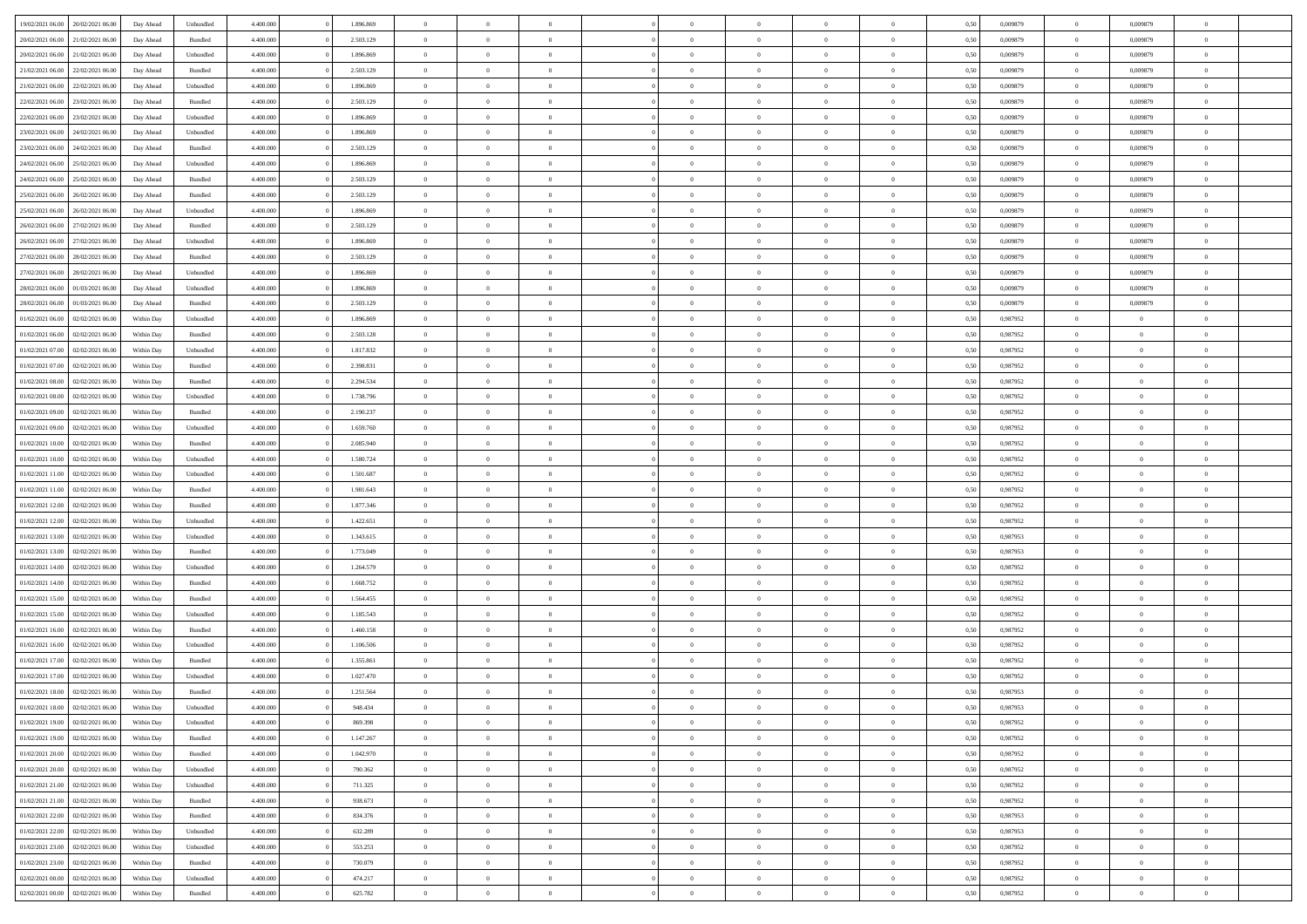| 19/02/2021 06:00 | 20/02/2021 06:00 | Day Ahead  | Unbundled | 4.400.000 | 1.896.869 | $\overline{0}$ | $\Omega$       |                |                | $\theta$       | $\Omega$       | $\Omega$       | 0,50 | 0,009879 | $\mathbf{0}$   | 0,009879       | $\Omega$       |  |
|------------------|------------------|------------|-----------|-----------|-----------|----------------|----------------|----------------|----------------|----------------|----------------|----------------|------|----------|----------------|----------------|----------------|--|
| 20/02/2021 06:00 | 21/02/2021 06:00 | Day Ahead  | Bundled   | 4.400.000 | 2.503.129 | $\overline{0}$ | $\overline{0}$ | $\overline{0}$ |                | $\overline{0}$ | $\overline{0}$ | $\theta$       | 0,50 | 0,009879 | $\bf{0}$       | 0,009879       | $\bf{0}$       |  |
| 20/02/2021 06:00 | 21/02/2021 06:00 | Day Ahead  | Unbundled | 4.400.000 | 1.896.869 | $\overline{0}$ | $\bf{0}$       | $\overline{0}$ | $\overline{0}$ | $\bf{0}$       | $\overline{0}$ | $\bf{0}$       | 0,50 | 0,009879 | $\bf{0}$       | 0,009879       | $\bf{0}$       |  |
| 21/02/2021 06:00 | 22/02/2021 06:00 | Day Ahead  | Bundled   | 4.400.000 | 2.503.129 | $\overline{0}$ | $\overline{0}$ | $\overline{0}$ | $^{\circ}$     | $\overline{0}$ | $\overline{0}$ | $\bf{0}$       | 0.50 | 0,009879 | $\mathbf{0}$   | 0.009879       | $\overline{0}$ |  |
| 21/02/2021 06:00 | 22/02/2021 06:00 |            |           | 4.400.000 | 1.896.869 | $\overline{0}$ | $\overline{0}$ | $\overline{0}$ |                | $\overline{0}$ | $\overline{0}$ | $\theta$       |      | 0,009879 | $\bf{0}$       | 0,009879       | $\overline{0}$ |  |
|                  |                  | Day Ahead  | Unbundled |           |           |                |                |                |                |                |                |                | 0,50 |          |                |                |                |  |
| 22/02/2021 06:00 | 23/02/2021 06:00 | Day Ahead  | Bundled   | 4.400.000 | 2.503.129 | $\overline{0}$ | $\bf{0}$       | $\overline{0}$ | $\overline{0}$ | $\bf{0}$       | $\overline{0}$ | $\bf{0}$       | 0,50 | 0,009879 | $\overline{0}$ | 0,009879       | $\bf{0}$       |  |
| 22/02/2021 06:00 | 23/02/2021 06:00 | Day Ahead  | Unbundled | 4.400.000 | 1.896.869 | $\overline{0}$ | $\overline{0}$ | $\overline{0}$ | $\Omega$       | $\overline{0}$ | $\overline{0}$ | $\overline{0}$ | 0,50 | 0,009879 | $\overline{0}$ | 0,009879       | $\overline{0}$ |  |
| 23/02/2021 06:00 | 24/02/2021 06.00 | Day Ahead  | Unbundled | 4.400.000 | 1.896.869 | $\overline{0}$ | $\overline{0}$ | $\overline{0}$ |                | $\overline{0}$ | $\overline{0}$ | $\theta$       | 0,50 | 0,009879 | $\bf{0}$       | 0,009879       | $\overline{0}$ |  |
| 23/02/2021 06:00 | 24/02/2021 06:00 | Day Ahead  | Bundled   | 4.400.000 | 2.503.129 | $\overline{0}$ | $\overline{0}$ | $\overline{0}$ | $\overline{0}$ | $\bf{0}$       | $\overline{0}$ | $\bf{0}$       | 0,50 | 0,009879 | $\bf{0}$       | 0,009879       | $\bf{0}$       |  |
|                  |                  |            |           |           |           |                |                |                |                |                |                |                |      |          |                |                |                |  |
| 24/02/2021 06:00 | 25/02/2021 06:00 | Day Ahead  | Unbundled | 4.400.000 | 1.896.869 | $\overline{0}$ | $\overline{0}$ | $\overline{0}$ | $\Omega$       | $\overline{0}$ | $\overline{0}$ | $\overline{0}$ | 0.50 | 0,009879 | $\overline{0}$ | 0,009879       | $\overline{0}$ |  |
| 24/02/2021 06:00 | 25/02/2021 06:00 | Day Ahead  | Bundled   | 4.400.000 | 2.503.129 | $\overline{0}$ | $\overline{0}$ | $\overline{0}$ | $\overline{0}$ | $\overline{0}$ | $\overline{0}$ | $\theta$       | 0,50 | 0,009879 | $\,0\,$        | 0,009879       | $\bf{0}$       |  |
| 25/02/2021 06:00 | 26/02/2021 06:00 | Day Ahead  | Bundled   | 4.400.000 | 2.503.129 | $\overline{0}$ | $\bf{0}$       | $\overline{0}$ | $\overline{0}$ | $\bf{0}$       | $\overline{0}$ | $\bf{0}$       | 0,50 | 0,009879 | $\bf{0}$       | 0,009879       | $\bf{0}$       |  |
| 25/02/2021 06:00 | 26/02/2021 06:00 | Day Ahead  | Unbundled | 4.400.000 | 1.896.869 | $\overline{0}$ | $\overline{0}$ | $\overline{0}$ | $^{\circ}$     | $\overline{0}$ | $\overline{0}$ | $\bf{0}$       | 0.50 | 0,009879 | $\mathbf{0}$   | 0.009879       | $\overline{0}$ |  |
| 26/02/2021 06:00 | 27/02/2021 06:00 | Day Ahead  | Bundled   | 4.400.000 | 2.503.129 | $\overline{0}$ | $\overline{0}$ | $\overline{0}$ |                | $\overline{0}$ | $\overline{0}$ | $\theta$       | 0,50 | 0,009879 | $\bf{0}$       | 0,009879       | $\overline{0}$ |  |
|                  |                  |            |           |           |           |                |                |                |                |                |                |                |      |          |                |                |                |  |
| 26/02/2021 06:00 | 27/02/2021 06:00 | Day Ahead  | Unbundled | 4.400.000 | 1.896.869 | $\overline{0}$ | $\bf{0}$       | $\overline{0}$ | $\overline{0}$ | $\bf{0}$       | $\overline{0}$ | $\bf{0}$       | 0,50 | 0,009879 | $\overline{0}$ | 0,009879       | $\bf{0}$       |  |
| 27/02/2021 06:00 | 28/02/2021 06:00 | Day Ahead  | Bundled   | 4.400.000 | 2.503.129 | $\overline{0}$ | $\overline{0}$ | $\overline{0}$ | $\Omega$       | $\overline{0}$ | $\overline{0}$ | $\overline{0}$ | 0,50 | 0,009879 | $\overline{0}$ | 0,009879       | $\overline{0}$ |  |
| 27/02/2021 06:00 | 28/02/2021 06:00 | Day Ahead  | Unbundled | 4.400.000 | 1.896.869 | $\overline{0}$ | $\overline{0}$ | $\overline{0}$ | $\overline{0}$ | $\overline{0}$ | $\overline{0}$ | $\theta$       | 0,50 | 0,009879 | $\bf{0}$       | 0,009879       | $\overline{0}$ |  |
| 28/02/2021 06:00 | 01/03/2021 06:00 | Day Ahead  | Unbundled | 4.400.000 | 1.896.869 | $\overline{0}$ | $\overline{0}$ | $\overline{0}$ | $\overline{0}$ | $\bf{0}$       | $\overline{0}$ | $\bf{0}$       | 0,50 | 0,009879 | $\bf{0}$       | 0,009879       | $\bf{0}$       |  |
| 28/02/2021 06:00 | 01/03/2021 06:00 |            | Bundled   | 4.400.000 | 2.503.129 | $\overline{0}$ | $\overline{0}$ | $\overline{0}$ | $\Omega$       | $\overline{0}$ | $\overline{0}$ | $\overline{0}$ | 0.50 | 0,009879 | $\mathbf{0}$   | 0,009879       | $\overline{0}$ |  |
|                  |                  | Day Ahead  |           |           |           |                |                |                |                |                |                |                |      |          |                |                |                |  |
| 01/02/2021 06:00 | 02/02/2021 06:00 | Within Day | Unbundled | 4.400.000 | 1.896.869 | $\overline{0}$ | $\overline{0}$ | $\overline{0}$ | $\overline{0}$ | $\overline{0}$ | $\overline{0}$ | $\theta$       | 0,50 | 0,987952 | $\bf{0}$       | $\overline{0}$ | $\overline{0}$ |  |
| 01/02/2021 06:00 | 02/02/2021 06:00 | Within Day | Bundled   | 4.400.000 | 2.503.128 | $\overline{0}$ | $\bf{0}$       | $\overline{0}$ | $\overline{0}$ | $\bf{0}$       | $\overline{0}$ | $\bf{0}$       | 0,50 | 0,987952 | $\bf{0}$       | $\bf{0}$       | $\bf{0}$       |  |
| 01/02/2021 07:00 | 02/02/2021 06:00 | Within Day | Unbundled | 4.400.000 | 1.817.832 | $\overline{0}$ | $\overline{0}$ | $\overline{0}$ | $^{\circ}$     | $\overline{0}$ | $\overline{0}$ | $\bf{0}$       | 0.50 | 0,987952 | $\mathbf{0}$   | $\overline{0}$ | $\overline{0}$ |  |
| 01/02/2021 07:00 | 02/02/2021 06:00 | Within Day | Bundled   | 4.400.000 | 2.398.831 | $\overline{0}$ | $\overline{0}$ | $\overline{0}$ |                | $\overline{0}$ | $\overline{0}$ | $\theta$       | 0,50 | 0,987952 | $\bf{0}$       | $\overline{0}$ | $\overline{0}$ |  |
|                  |                  |            |           |           |           |                |                |                |                |                |                |                |      |          |                |                |                |  |
| 01/02/2021 08:00 | 02/02/2021 06:00 | Within Day | Bundled   | 4.400.000 | 2.294.534 | $\overline{0}$ | $\overline{0}$ | $\overline{0}$ | $\overline{0}$ | $\bf{0}$       | $\overline{0}$ | $\bf{0}$       | 0,50 | 0,987952 | $\bf{0}$       | $\bf{0}$       | $\bf{0}$       |  |
| 01/02/2021 08:00 | 02/02/2021 06:00 | Within Dav | Unbundled | 4.400.000 | 1.738.796 | $\overline{0}$ | $\overline{0}$ | $\overline{0}$ | $\Omega$       | $\overline{0}$ | $\overline{0}$ | $\overline{0}$ | 0.50 | 0,987952 | $\mathbf{0}$   | $\overline{0}$ | $\overline{0}$ |  |
| 01/02/2021 09:00 | 02/02/2021 06:00 | Within Day | Bundled   | 4.400.000 | 2.190.237 | $\overline{0}$ | $\overline{0}$ | $\overline{0}$ | $\overline{0}$ | $\overline{0}$ | $\overline{0}$ | $\theta$       | 0,50 | 0,987952 | $\bf{0}$       | $\overline{0}$ | $\bf{0}$       |  |
| 01/02/2021 09:00 | 02/02/2021 06:00 | Within Day | Unbundled | 4.400.000 | 1.659.760 | $\overline{0}$ | $\overline{0}$ | $\overline{0}$ | $\overline{0}$ | $\,$ 0 $\,$    | $\overline{0}$ | $\bf{0}$       | 0,50 | 0,987952 | $\bf{0}$       | $\overline{0}$ | $\bf{0}$       |  |
| 01/02/2021 10:00 | 02/02/2021 06:00 | Within Day | Bundled   | 4.400.000 | 2.085.940 | $\overline{0}$ | $\overline{0}$ | $\overline{0}$ | $\Omega$       | $\overline{0}$ | $\overline{0}$ | $\overline{0}$ | 0.50 | 0,987952 | $\mathbf{0}$   | $\overline{0}$ | $\overline{0}$ |  |
|                  |                  |            |           |           |           |                |                |                |                |                |                |                |      |          |                |                |                |  |
| 01/02/2021 10:00 | 02/02/2021 06:00 | Within Day | Unbundled | 4.400.000 | 1.580.724 | $\overline{0}$ | $\overline{0}$ | $\overline{0}$ | $\overline{0}$ | $\overline{0}$ | $\overline{0}$ | $\theta$       | 0,50 | 0,987952 | $\bf{0}$       | $\overline{0}$ | $\overline{0}$ |  |
| 01/02/2021 11:00 | 02/02/2021 06:00 | Within Day | Unbundled | 4.400.000 | 1.501.687 | $\overline{0}$ | $\bf{0}$       | $\overline{0}$ | $\overline{0}$ | $\bf{0}$       | $\overline{0}$ | $\bf{0}$       | 0,50 | 0,987952 | $\bf{0}$       | $\bf{0}$       | $\bf{0}$       |  |
| 01/02/2021 11:00 | 02/02/2021 06:00 | Within Day | Bundled   | 4,400,000 | 1.981.643 | $\overline{0}$ | $\Omega$       | $\Omega$       | $\Omega$       | $\theta$       | $\overline{0}$ | $\mathbf{0}$   | 0.50 | 0,987952 | $\,$ 0 $\,$    | $\overline{0}$ | $\Omega$       |  |
| 01/02/2021 12:00 | 02/02/2021 06:00 | Within Day | Bundled   | 4.400.000 | 1.877.346 | $\overline{0}$ | $\overline{0}$ | $\overline{0}$ |                | $\overline{0}$ | $\overline{0}$ | $\theta$       | 0,50 | 0,987952 | $\bf{0}$       | $\overline{0}$ | $\overline{0}$ |  |
| 01/02/2021 12:00 | 02/02/2021 06:00 | Within Day | Unbundled | 4.400.000 | 1.422.651 | $\overline{0}$ | $\bf{0}$       | $\overline{0}$ | $\overline{0}$ | $\bf{0}$       | $\overline{0}$ | $\bf{0}$       | 0,50 | 0,987952 | $\bf{0}$       | $\bf{0}$       | $\bf{0}$       |  |
|                  |                  |            |           |           |           |                |                |                |                |                |                |                |      |          |                |                |                |  |
| 01/02/2021 13:00 | 02/02/2021 06:00 | Within Day | Unbundled | 4.400,000 | 1.343.615 | $\overline{0}$ | $\Omega$       | $\Omega$       | $\Omega$       | $\overline{0}$ | $\overline{0}$ | $\mathbf{0}$   | 0.50 | 0,987953 | $\mathbf{0}$   | $\overline{0}$ | $\theta$       |  |
| 01/02/2021 13:00 | 02/02/2021 06:00 | Within Day | Bundled   | 4.400.000 | 1.773.049 | $\overline{0}$ | $\overline{0}$ | $\overline{0}$ | $\overline{0}$ | $\overline{0}$ | $\overline{0}$ | $\theta$       | 0,50 | 0,987953 | $\bf{0}$       | $\overline{0}$ | $\bf{0}$       |  |
| 01/02/2021 14:00 | 02/02/2021 06:00 | Within Day | Unbundled | 4.400.000 | 1.264.579 | $\overline{0}$ | $\bf{0}$       | $\overline{0}$ | $\overline{0}$ | $\bf{0}$       | $\overline{0}$ | $\bf{0}$       | 0,50 | 0,987952 | $\bf{0}$       | $\overline{0}$ | $\bf{0}$       |  |
| 01/02/2021 14:00 | 02/02/2021 06:00 | Within Day | Bundled   | 4,400,000 | 1.668.752 | $\overline{0}$ | $\Omega$       | $\Omega$       | $\Omega$       | $\theta$       | $\overline{0}$ | $\mathbf{0}$   | 0.50 | 0.987952 | $\mathbf{0}$   | $\Omega$       | $\theta$       |  |
| 01/02/2021 15:00 | 02/02/2021 06:00 | Within Day | Bundled   | 4.400.000 | 1.564.455 | $\overline{0}$ | $\overline{0}$ | $\overline{0}$ | $\overline{0}$ | $\overline{0}$ | $\overline{0}$ | $\theta$       | 0,50 | 0,987952 | $\,$ 0 $\,$    | $\overline{0}$ | $\bf{0}$       |  |
|                  |                  |            |           |           |           |                |                |                |                |                |                |                |      |          |                |                |                |  |
| 01/02/2021 15:00 | 02/02/2021 06:00 | Within Day | Unbundled | 4.400.000 | 1.185.543 | $\overline{0}$ | $\bf{0}$       | $\overline{0}$ | $\overline{0}$ | $\bf{0}$       | $\overline{0}$ | $\bf{0}$       | 0,50 | 0,987952 | $\bf{0}$       | $\bf{0}$       | $\bf{0}$       |  |
| 01/02/2021 16:00 | 02/02/2021 06:00 | Within Day | Bundled   | 4,400,000 | 1.460.158 | $\overline{0}$ | $\Omega$       | $\Omega$       | $^{\circ}$     | $\theta$       | $\overline{0}$ | $\theta$       | 0.50 | 0,987952 | $\bf{0}$       | $\overline{0}$ | $\Omega$       |  |
| 01/02/2021 16:00 | 02/02/2021 06:00 | Within Day | Unbundled | 4.400.000 | 1.106.506 | $\overline{0}$ | $\overline{0}$ | $\overline{0}$ | $\overline{0}$ | $\bf{0}$       | $\overline{0}$ | $\overline{0}$ | 0,50 | 0,987952 | $\,$ 0 $\,$    | $\overline{0}$ | $\overline{0}$ |  |
| 01/02/2021 17:00 | 02/02/2021 06:00 | Within Day | Bundled   | 4.400.000 | 1.355.861 | $\overline{0}$ | $\bf{0}$       | $\overline{0}$ | $\overline{0}$ | $\bf{0}$       | $\overline{0}$ | $\bf{0}$       | 0,50 | 0,987952 | $\bf{0}$       | $\bf{0}$       | $\bf{0}$       |  |
| 01/02/2021 17:00 | 02/02/2021 06:00 | Within Day | Unbundled | 4,400,000 | 1.027.470 | $\overline{0}$ | $\Omega$       | $\Omega$       | $\Omega$       | $\Omega$       | $\overline{0}$ | $\theta$       | 0.50 | 0.987952 | $\overline{0}$ | $\overline{0}$ | $\theta$       |  |
| 01/02/2021 18:00 | 02/02/2021 06:00 | Within Day | Bundled   | 4.400.000 | 1.251.564 | $\overline{0}$ | $\bf{0}$       | $\overline{0}$ | $\overline{0}$ | $\bf{0}$       | $\overline{0}$ | $\bf{0}$       | 0,50 | 0,987953 | $\bf{0}$       | $\bf{0}$       | $\bf{0}$       |  |
|                  |                  |            |           |           |           |                |                |                |                |                |                |                |      |          |                |                |                |  |
| 01/02/2021 18:00 | 02/02/2021 06:00 | Within Day | Unbundled | 4.400.000 | 948.434   | $\bf{0}$       | $\bf{0}$       |                |                |                |                |                | 0,50 | 0,987953 | $\bf{0}$       |                |                |  |
| 01/02/2021 19:00 | 02/02/2021 06:00 | Within Day | Unbundled | 4.400.000 | 869,398   | $\overline{0}$ | $\overline{0}$ | $\overline{0}$ | $\Omega$       | $\overline{0}$ | $\overline{0}$ | $\theta$       | 0.50 | 0,987952 | $\overline{0}$ | $\overline{0}$ | $\overline{0}$ |  |
| 01/02/2021 19:00 | 02/02/2021 06:00 | Within Day | Bundled   | 4.400.000 | 1.147.267 | $\overline{0}$ | $\,$ 0 $\,$    | $\overline{0}$ | $\overline{0}$ | $\,$ 0         | $\overline{0}$ | $\mathbf{0}$   | 0,50 | 0,987952 | $\bf{0}$       | $\,$ 0 $\,$    | $\bf{0}$       |  |
| 01/02/2021 20:00 | 02/02/2021 06:00 | Within Day | Bundled   | 4.400.000 | 1.042.970 | $\overline{0}$ | $\overline{0}$ | $\overline{0}$ | $\overline{0}$ | $\overline{0}$ | $\overline{0}$ | $\bf{0}$       | 0,50 | 0,987952 | $\overline{0}$ | $\overline{0}$ | $\bf{0}$       |  |
| 01/02/2021 20:00 | 02/02/2021 06:00 | Within Day | Unbundled | 4.400,000 | 790.362   | $\overline{0}$ | $\overline{0}$ | $\overline{0}$ | $\Omega$       | $\overline{0}$ | $\overline{0}$ | $\mathbf{0}$   | 0.50 | 0,987952 | $\,$ 0 $\,$    | $\bf{0}$       | $\bf{0}$       |  |
|                  |                  |            |           |           |           |                |                |                |                |                |                |                |      |          |                |                |                |  |
| 01/02/2021 21:00 | 02/02/2021 06:00 | Within Day | Unbundled | 4.400.000 | 711.325   | $\overline{0}$ | $\,$ 0 $\,$    | $\overline{0}$ | $\overline{0}$ | $\,$ 0         | $\overline{0}$ | $\bf{0}$       | 0,50 | 0,987952 | $\bf{0}$       | $\overline{0}$ | $\bf{0}$       |  |
| 01/02/2021 21:00 | 02/02/2021 06:00 | Within Day | Bundled   | 4.400.000 | 938.673   | $\overline{0}$ | $\overline{0}$ | $\overline{0}$ | $\overline{0}$ | $\overline{0}$ | $\overline{0}$ | $\bf{0}$       | 0,50 | 0,987952 | $\overline{0}$ | $\overline{0}$ | $\bf{0}$       |  |
| 01/02/2021 22:00 | 02/02/2021 06:00 | Within Day | Bundled   | 4.400,000 | 834.376   | $\overline{0}$ | $\overline{0}$ | $\overline{0}$ | $\Omega$       | $\overline{0}$ | $\overline{0}$ | $\overline{0}$ | 0.50 | 0,987953 | $\overline{0}$ | $\bf{0}$       | $\overline{0}$ |  |
| 01/02/2021 22.00 | 02/02/2021 06:00 | Within Day | Unbundled | 4.400.000 | 632.289   | $\overline{0}$ | $\,$ 0 $\,$    | $\overline{0}$ | $\overline{0}$ | $\bf{0}$       | $\overline{0}$ | $\bf{0}$       | 0,50 | 0,987953 | $\,0\,$        | $\bf{0}$       | $\bf{0}$       |  |
| 01/02/2021 23.00 | 02/02/2021 06:00 | Within Day | Unbundled | 4.400.000 | 553.253   | $\overline{0}$ | $\overline{0}$ | $\overline{0}$ | $\overline{0}$ | $\overline{0}$ | $\overline{0}$ | $\bf{0}$       | 0,50 | 0,987952 | $\overline{0}$ | $\bf{0}$       | $\bf{0}$       |  |
|                  |                  |            |           |           |           |                |                |                |                |                |                |                |      |          |                |                |                |  |
| 01/02/2021 23:00 | 02/02/2021 06:00 | Within Day | Bundled   | 4.400,000 | 730,079   | $\overline{0}$ | $\overline{0}$ | $\overline{0}$ | $\Omega$       | $\overline{0}$ | $\overline{0}$ | $\mathbf{0}$   | 0.50 | 0,987952 | $\bf{0}$       | $\overline{0}$ | $\overline{0}$ |  |
| 02/02/2021 00:00 | 02/02/2021 06:00 | Within Day | Unbundled | 4.400.000 | 474.217   | $\overline{0}$ | $\,$ 0 $\,$    | $\overline{0}$ | $\overline{0}$ | $\,$ 0 $\,$    | $\overline{0}$ | $\bf{0}$       | 0,50 | 0,987952 | $\,0\,$        | $\,$ 0 $\,$    | $\bf{0}$       |  |
| 02/02/2021 00:00 | 02/02/2021 06:00 | Within Day | Bundled   | 4.400.000 | 625.782   | $\overline{0}$ | $\overline{0}$ | $\overline{0}$ | $\overline{0}$ | $\bf{0}$       | $\overline{0}$ | $\bf{0}$       | 0,50 | 0,987952 | $\overline{0}$ | $\overline{0}$ | $\bf{0}$       |  |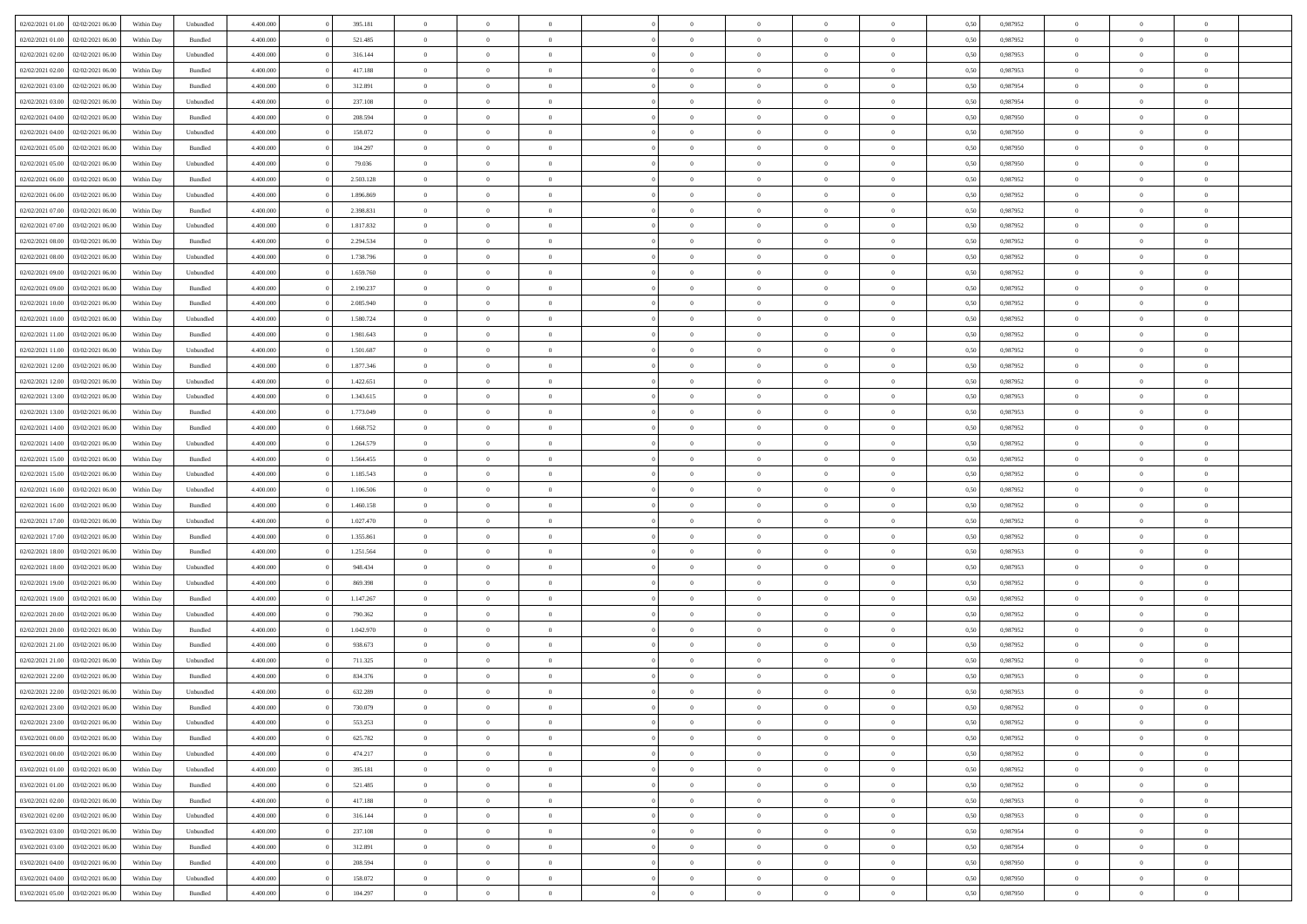| 02/02/2021 01:00 | 02/02/2021 06:00 | Within Day | Unbundled          | 4.400.000 | 395.181   | $\overline{0}$ | $\theta$       |                | $\Omega$       | $\Omega$       | $\theta$       | $\theta$       | 0,50 | 0,987952 | $\theta$       | $\overline{0}$ | $\theta$       |  |
|------------------|------------------|------------|--------------------|-----------|-----------|----------------|----------------|----------------|----------------|----------------|----------------|----------------|------|----------|----------------|----------------|----------------|--|
| 02/02/2021 01:00 | 02/02/2021 06:00 | Within Day | Bundled            | 4.400.000 | 521.485   | $\overline{0}$ | $\theta$       | $\overline{0}$ | $\overline{0}$ | $\bf{0}$       | $\overline{0}$ | $\bf{0}$       | 0,50 | 0,987952 | $\theta$       | $\overline{0}$ | $\overline{0}$ |  |
| 02/02/2021 02:00 | 02/02/2021 06:00 | Within Day | Unbundled          | 4.400.000 | 316.144   | $\overline{0}$ | $\overline{0}$ | $\overline{0}$ | $\overline{0}$ | $\bf{0}$       | $\overline{0}$ | $\mathbf{0}$   | 0,50 | 0,987953 | $\bf{0}$       | $\overline{0}$ | $\bf{0}$       |  |
| 02/02/2021 02:00 | 02/02/2021 06:00 | Within Dav | Bundled            | 4.400.000 | 417.188   | $\overline{0}$ | $\overline{0}$ | $\overline{0}$ | $\overline{0}$ | $\bf{0}$       | $\overline{0}$ | $\overline{0}$ | 0.50 | 0,987953 | $\theta$       | $\theta$       | $\overline{0}$ |  |
| 02/02/2021 03:00 | 02/02/2021 06:00 | Within Day | Bundled            | 4.400.000 | 312.891   | $\overline{0}$ | $\theta$       | $\overline{0}$ | $\overline{0}$ | $\bf{0}$       | $\overline{0}$ | $\bf{0}$       | 0,50 | 0,987954 | $\theta$       | $\overline{0}$ | $\overline{0}$ |  |
|                  |                  |            |                    |           |           |                |                |                |                |                |                |                |      |          |                |                |                |  |
| 02/02/2021 03:00 | 02/02/2021 06:00 | Within Day | Unbundled          | 4.400.000 | 237.108   | $\overline{0}$ | $\overline{0}$ | $\overline{0}$ | $\overline{0}$ | $\overline{0}$ | $\overline{0}$ | $\mathbf{0}$   | 0,50 | 0,987954 | $\bf{0}$       | $\overline{0}$ | $\bf{0}$       |  |
| 02/02/2021 04:00 | 02/02/2021 06:00 | Within Dav | Bundled            | 4.400.000 | 208.594   | $\overline{0}$ | $\overline{0}$ | $\overline{0}$ | $\overline{0}$ | $\overline{0}$ | $\overline{0}$ | $\overline{0}$ | 0.50 | 0,987950 | $\theta$       | $\overline{0}$ | $\overline{0}$ |  |
| 02/02/2021 04:00 | 02/02/2021 06:00 | Within Day | Unbundled          | 4.400.000 | 158.072   | $\overline{0}$ | $\theta$       | $\overline{0}$ | $\overline{0}$ | $\bf{0}$       | $\overline{0}$ | $\bf{0}$       | 0,50 | 0,987950 | $\theta$       | $\theta$       | $\overline{0}$ |  |
| 02/02/2021 05:00 | 02/02/2021 06:00 | Within Day | Bundled            | 4.400.000 | 104.297   | $\overline{0}$ | $\overline{0}$ | $\overline{0}$ | $\overline{0}$ | $\bf{0}$       | $\overline{0}$ | $\bf{0}$       | 0,50 | 0,987950 | $\,0\,$        | $\overline{0}$ | $\overline{0}$ |  |
| 02/02/2021 05:00 | 02/02/2021 06:00 | Within Dav | Unbundled          | 4.400.000 | 79.036    | $\overline{0}$ | $\overline{0}$ | $\overline{0}$ | $\overline{0}$ | $\overline{0}$ | $\overline{0}$ | $\overline{0}$ | 0.50 | 0,987950 | $\theta$       | $\overline{0}$ | $\overline{0}$ |  |
| 02/02/2021 06:00 | 03/02/2021 06:00 | Within Day | Bundled            | 4.400.000 | 2.503.128 | $\overline{0}$ | $\theta$       | $\overline{0}$ | $\overline{0}$ | $\bf{0}$       | $\overline{0}$ | $\bf{0}$       | 0,50 | 0,987952 | $\,$ 0 $\,$    | $\overline{0}$ | $\overline{0}$ |  |
|                  |                  |            |                    |           |           |                |                |                |                |                |                |                |      |          |                |                |                |  |
| 02/02/2021 06:00 | 03/02/2021 06:00 | Within Day | Unbundled          | 4.400.000 | 1.896.869 | $\overline{0}$ | $\bf{0}$       | $\overline{0}$ | $\overline{0}$ | $\bf{0}$       | $\overline{0}$ | $\mathbf{0}$   | 0,50 | 0,987952 | $\bf{0}$       | $\overline{0}$ | $\bf{0}$       |  |
| 02/02/2021 07:00 | 03/02/2021 06:00 | Within Dav | Bundled            | 4.400.000 | 2.398.831 | $\overline{0}$ | $\overline{0}$ | $\overline{0}$ | $\overline{0}$ | $\bf{0}$       | $\overline{0}$ | $\overline{0}$ | 0.50 | 0,987952 | $\theta$       | $\theta$       | $\overline{0}$ |  |
| 02/02/2021 07:00 | 03/02/2021 06.00 | Within Day | Unbundled          | 4.400.000 | 1.817.832 | $\overline{0}$ | $\theta$       | $\overline{0}$ | $\overline{0}$ | $\bf{0}$       | $\overline{0}$ | $\bf{0}$       | 0,50 | 0,987952 | $\theta$       | $\overline{0}$ | $\overline{0}$ |  |
| 02/02/2021 08:00 | 03/02/2021 06:00 | Within Day | Bundled            | 4.400.000 | 2.294.534 | $\overline{0}$ | $\overline{0}$ | $\overline{0}$ | $\bf{0}$       | $\overline{0}$ | $\overline{0}$ | $\mathbf{0}$   | 0,50 | 0,987952 | $\bf{0}$       | $\overline{0}$ | $\bf{0}$       |  |
| 02/02/2021 08:00 | 03/02/2021 06:00 | Within Day | Unbundled          | 4.400.000 | 1.738.796 | $\overline{0}$ | $\overline{0}$ | $\overline{0}$ | $\overline{0}$ | $\overline{0}$ | $\overline{0}$ | $\overline{0}$ | 0.50 | 0,987952 | $\theta$       | $\overline{0}$ | $\overline{0}$ |  |
| 02/02/2021 09:00 | 03/02/2021 06:00 | Within Day | Unbundled          | 4.400.000 | 1.659.760 | $\overline{0}$ | $\theta$       | $\overline{0}$ | $\overline{0}$ | $\bf{0}$       | $\overline{0}$ | $\bf{0}$       | 0,50 | 0,987952 | $\theta$       | $\theta$       | $\overline{0}$ |  |
| 02/02/2021 09:00 | 03/02/2021 06:00 | Within Day | Bundled            | 4.400.000 | 2.190.237 | $\overline{0}$ | $\overline{0}$ | $\overline{0}$ | $\bf{0}$       | $\bf{0}$       | $\bf{0}$       | $\mathbf{0}$   | 0,50 | 0,987952 | $\,0\,$        | $\overline{0}$ | $\bf{0}$       |  |
| 02/02/2021 10:00 | 03/02/2021 06:00 | Within Dav | Bundled            | 4.400.000 | 2.085.940 | $\overline{0}$ | $\overline{0}$ | $\overline{0}$ | $\overline{0}$ | $\overline{0}$ | $\overline{0}$ | $\overline{0}$ | 0.50 | 0,987952 | $\theta$       | $\overline{0}$ | $\overline{0}$ |  |
|                  |                  |            |                    |           |           |                |                |                |                |                |                |                |      |          |                |                |                |  |
| 02/02/2021 10:00 | 03/02/2021 06:00 | Within Day | Unbundled          | 4.400.000 | 1.580.724 | $\overline{0}$ | $\theta$       | $\overline{0}$ | $\overline{0}$ | $\bf{0}$       | $\overline{0}$ | $\bf{0}$       | 0,50 | 0,987952 | $\,$ 0 $\,$    | $\overline{0}$ | $\overline{0}$ |  |
| 02/02/2021 11:00 | 03/02/2021 06:00 | Within Day | Bundled            | 4.400.000 | 1.981.643 | $\overline{0}$ | $\overline{0}$ | $\overline{0}$ | $\bf{0}$       | $\bf{0}$       | $\bf{0}$       | $\mathbf{0}$   | 0,50 | 0,987952 | $\overline{0}$ | $\overline{0}$ | $\bf{0}$       |  |
| 02/02/2021 11:00 | 03/02/2021 06:00 | Within Day | Unbundled          | 4.400.000 | 1.501.687 | $\overline{0}$ | $\overline{0}$ | $\overline{0}$ | $\overline{0}$ | $\overline{0}$ | $\overline{0}$ | $\overline{0}$ | 0.50 | 0,987952 | $\theta$       | $\overline{0}$ | $\overline{0}$ |  |
| 02/02/2021 12:00 | 03/02/2021 06:00 | Within Day | Bundled            | 4.400.000 | 1.877.346 | $\overline{0}$ | $\theta$       | $\overline{0}$ | $\overline{0}$ | $\bf{0}$       | $\overline{0}$ | $\bf{0}$       | 0,50 | 0,987952 | $\,$ 0 $\,$    | $\overline{0}$ | $\overline{0}$ |  |
| 02/02/2021 12:00 | 03/02/2021 06:00 | Within Day | Unbundled          | 4.400.000 | 1.422.651 | $\overline{0}$ | $\overline{0}$ | $\overline{0}$ | $\bf{0}$       | $\overline{0}$ | $\overline{0}$ | $\mathbf{0}$   | 0,50 | 0,987952 | $\overline{0}$ | $\overline{0}$ | $\bf{0}$       |  |
| 02/02/2021 13:00 | 03/02/2021 06:00 | Within Dav | Unbundled          | 4.400.000 | 1.343.615 | $\overline{0}$ | $\overline{0}$ | $\overline{0}$ | $\overline{0}$ | $\overline{0}$ | $\overline{0}$ | $\overline{0}$ | 0.50 | 0,987953 | $\theta$       | $\overline{0}$ | $\overline{0}$ |  |
| 02/02/2021 13:00 | 03/02/2021 06:00 | Within Day | Bundled            | 4.400.000 | 1.773.049 | $\overline{0}$ | $\theta$       | $\overline{0}$ | $\overline{0}$ | $\bf{0}$       | $\overline{0}$ | $\bf{0}$       | 0,50 | 0,987953 | $\theta$       | $\theta$       | $\overline{0}$ |  |
|                  |                  |            |                    |           |           |                |                |                |                |                |                |                |      |          |                |                |                |  |
| 02/02/2021 14:00 | 03/02/2021 06:00 | Within Day | Bundled            | 4.400.000 | 1.668.752 | $\overline{0}$ | $\overline{0}$ | $\overline{0}$ | $\bf{0}$       | $\bf{0}$       | $\bf{0}$       | $\bf{0}$       | 0,50 | 0,987952 | $\,0\,$        | $\overline{0}$ | $\overline{0}$ |  |
| 02/02/2021 14:00 | 03/02/2021 06:00 | Within Day | Unbundled          | 4.400.000 | 1.264.579 | $\overline{0}$ | $\overline{0}$ | $\overline{0}$ | $\overline{0}$ | $\overline{0}$ | $\overline{0}$ | $\overline{0}$ | 0.50 | 0,987952 | $\theta$       | $\overline{0}$ | $\overline{0}$ |  |
| 02/02/2021 15:00 | 03/02/2021 06:00 | Within Day | Bundled            | 4.400.000 | 1.564.455 | $\overline{0}$ | $\theta$       | $\overline{0}$ | $\overline{0}$ | $\bf{0}$       | $\overline{0}$ | $\bf{0}$       | 0,50 | 0,987952 | $\,$ 0 $\,$    | $\overline{0}$ | $\overline{0}$ |  |
| 02/02/2021 15:00 | 03/02/2021 06:00 | Within Day | Unbundled          | 4.400.000 | 1.185.543 | $\overline{0}$ | $\overline{0}$ | $\overline{0}$ | $\bf{0}$       | $\bf{0}$       | $\bf{0}$       | $\bf{0}$       | 0,50 | 0,987952 | $\bf{0}$       | $\overline{0}$ | $\bf{0}$       |  |
| 02/02/2021 16:00 | 03/02/2021 06:00 | Within Day | Unbundled          | 4.400,000 | 1.106.506 | $\overline{0}$ | $\Omega$       | $\Omega$       | $\Omega$       | $\Omega$       | $\overline{0}$ | $\overline{0}$ | 0,50 | 0,987952 | $\,0\,$        | $\theta$       | $\theta$       |  |
| 02/02/2021 16:00 | 03/02/2021 06:00 | Within Day | Bundled            | 4.400.000 | 1.460.158 | $\overline{0}$ | $\theta$       | $\overline{0}$ | $\overline{0}$ | $\bf{0}$       | $\overline{0}$ | $\bf{0}$       | 0,50 | 0,987952 | $\theta$       | $\overline{0}$ | $\overline{0}$ |  |
|                  |                  |            |                    |           |           |                |                |                |                |                |                |                |      |          |                | $\overline{0}$ | $\bf{0}$       |  |
| 02/02/2021 17:00 | 03/02/2021 06:00 | Within Day | Unbundled          | 4.400.000 | 1.027.470 | $\overline{0}$ | $\overline{0}$ | $\overline{0}$ | $\overline{0}$ | $\overline{0}$ | $\overline{0}$ | $\mathbf{0}$   | 0,50 | 0,987952 | $\bf{0}$       |                |                |  |
| 02/02/2021 17:00 | 03/02/2021 06:00 | Within Day | Bundled            | 4.400,000 | 1.355.861 | $\overline{0}$ | $\Omega$       | $\Omega$       | $\Omega$       | $\overline{0}$ | $\overline{0}$ | $\overline{0}$ | 0.50 | 0,987952 | $\,0\,$        | $\theta$       | $\theta$       |  |
| 02/02/2021 18:00 | 03/02/2021 06:00 | Within Day | Bundled            | 4.400.000 | 1.251.564 | $\overline{0}$ | $\theta$       | $\overline{0}$ | $\overline{0}$ | $\bf{0}$       | $\overline{0}$ | $\bf{0}$       | 0,50 | 0,987953 | $\theta$       | $\overline{0}$ | $\overline{0}$ |  |
| 02/02/2021 18:00 | 03/02/2021 06:00 | Within Day | Unbundled          | 4.400.000 | 948.434   | $\overline{0}$ | $\overline{0}$ | $\overline{0}$ | $\overline{0}$ | $\bf{0}$       | $\overline{0}$ | $\bf{0}$       | 0,50 | 0,987953 | $\,0\,$        | $\overline{0}$ | $\bf{0}$       |  |
| 02/02/2021 19:00 | 03/02/2021 06:00 | Within Day | Unbundled          | 4.400,000 | 869,398   | $\overline{0}$ | $\Omega$       | $\Omega$       | $\Omega$       | $\overline{0}$ | $\overline{0}$ | $\overline{0}$ | 0.50 | 0.987952 | $\,$ 0 $\,$    | $\theta$       | $\theta$       |  |
| 02/02/2021 19:00 | 03/02/2021 06:00 | Within Day | Bundled            | 4.400.000 | 1.147.267 | $\overline{0}$ | $\overline{0}$ | $\overline{0}$ | $\overline{0}$ | $\bf{0}$       | $\overline{0}$ | $\bf{0}$       | 0,50 | 0,987952 | $\,$ 0 $\,$    | $\overline{0}$ | $\overline{0}$ |  |
| 02/02/2021 20.00 | 03/02/2021 06:00 | Within Day | Unbundled          | 4.400.000 | 790.362   | $\overline{0}$ | $\bf{0}$       | $\overline{0}$ | $\overline{0}$ | $\bf{0}$       | $\overline{0}$ | $\mathbf{0}$   | 0,50 | 0,987952 | $\bf{0}$       | $\overline{0}$ | $\bf{0}$       |  |
| 02/02/2021 20:00 | 03/02/2021 06:00 | Within Day | Bundled            | 4.400,000 | 1.042.970 | $\overline{0}$ | $\Omega$       | $\overline{0}$ | $\Omega$       | $\overline{0}$ | $\overline{0}$ | $\overline{0}$ | 0,50 | 0,987952 | $\,0\,$        | $\theta$       | $\theta$       |  |
| 02/02/2021 21:00 | 03/02/2021 06:00 | Within Day | Bundled            | 4.400.000 | 938.673   | $\overline{0}$ | $\overline{0}$ | $\overline{0}$ | $\overline{0}$ | $\bf{0}$       | $\overline{0}$ | $\bf{0}$       | 0,50 | 0,987952 | $\,$ 0 $\,$    | $\overline{0}$ | $\overline{0}$ |  |
|                  |                  |            |                    |           |           |                |                |                |                |                |                |                |      |          |                |                |                |  |
| 02/02/2021 21.00 | 03/02/2021 06:00 | Within Day | Unbundled          | 4.400.000 | 711.325   | $\overline{0}$ | $\overline{0}$ | $\overline{0}$ | $\overline{0}$ | $\bf{0}$       | $\overline{0}$ | $\mathbf{0}$   | 0,50 | 0,987952 | $\bf{0}$       | $\overline{0}$ | $\bf{0}$       |  |
| 02/02/2021 22.00 | 03/02/2021 06:00 | Within Day | Bundled            | 4.400,000 | 834,376   | $\overline{0}$ | $\Omega$       | $\Omega$       | $\Omega$       | $\Omega$       | $\Omega$       | $\overline{0}$ | 0.50 | 0.987953 | $\theta$       | $\theta$       | $\theta$       |  |
| 02/02/2021 22.00 | 03/02/2021 06:00 | Within Day | Unbundled          | 4.400.000 | 632.289   | $\overline{0}$ | $\overline{0}$ | $\overline{0}$ | $\bf{0}$       | $\,$ 0         | $\overline{0}$ | $\bf{0}$       | 0,50 | 0,987953 | $\,0\,$        | $\,$ 0 $\,$    | $\overline{0}$ |  |
| 02/02/2021 23:00 | 03/02/2021 06:00 | Within Day | $\mathbf B$ undled | 4.400.000 | 730.079   | $\bf{0}$       | $\bf{0}$       |                |                | $\bf{0}$       |                |                | 0,50 | 0,987952 | $\bf{0}$       | $\overline{0}$ |                |  |
| 02/02/2021 23:00 | 03/02/2021 06:00 | Within Day | Unbundled          | 4.400.000 | 553.253   | $\overline{0}$ | $\overline{0}$ | $\overline{0}$ | $\Omega$       | $\overline{0}$ | $\overline{0}$ | $\overline{0}$ | 0.50 | 0.987952 | $\theta$       | $\theta$       | $\theta$       |  |
| 03/02/2021 00:00 | 03/02/2021 06:00 | Within Day | Bundled            | 4.400.000 | 625.782   | $\overline{0}$ | $\bf{0}$       | $\overline{0}$ | $\overline{0}$ | $\,$ 0 $\,$    | $\overline{0}$ | $\,$ 0 $\,$    | 0,50 | 0,987952 | $\,$ 0 $\,$    | $\,$ 0 $\,$    | $\,$ 0         |  |
| 03/02/2021 00:00 | 03/02/2021 06:00 | Within Day | Unbundled          | 4.400.000 | 474.217   | $\overline{0}$ | $\overline{0}$ | $\overline{0}$ | $\overline{0}$ | $\overline{0}$ | $\overline{0}$ | $\mathbf{0}$   | 0,50 | 0,987952 | $\overline{0}$ | $\overline{0}$ | $\overline{0}$ |  |
|                  |                  |            |                    |           |           |                |                |                |                |                |                |                |      |          |                |                |                |  |
| 03/02/2021 01:00 | 03/02/2021 06:00 | Within Day | Unbundled          | 4.400.000 | 395.181   | $\overline{0}$ | $\overline{0}$ | $\overline{0}$ | $\Omega$       | $\overline{0}$ | $\overline{0}$ | $\overline{0}$ | 0,50 | 0,987952 | $\overline{0}$ | $\theta$       | $\overline{0}$ |  |
| 03/02/2021 01:00 | 03/02/2021 06:00 | Within Day | Bundled            | 4.400.000 | 521.485   | $\overline{0}$ | $\,$ 0         | $\overline{0}$ | $\overline{0}$ | $\,$ 0 $\,$    | $\overline{0}$ | $\,$ 0 $\,$    | 0,50 | 0,987952 | $\,$ 0 $\,$    | $\overline{0}$ | $\,$ 0         |  |
| 03/02/2021 02:00 | 03/02/2021 06:00 | Within Day | Bundled            | 4.400.000 | 417.188   | $\overline{0}$ | $\overline{0}$ | $\overline{0}$ | $\overline{0}$ | $\overline{0}$ | $\overline{0}$ | $\mathbf{0}$   | 0,50 | 0,987953 | $\overline{0}$ | $\overline{0}$ | $\overline{0}$ |  |
| 03/02/2021 02:00 | 03/02/2021 06:00 | Within Day | Unbundled          | 4.400.000 | 316.144   | $\overline{0}$ | $\overline{0}$ | $\overline{0}$ | $\overline{0}$ | $\overline{0}$ | $\overline{0}$ | $\overline{0}$ | 0.50 | 0,987953 | $\overline{0}$ | $\theta$       | $\overline{0}$ |  |
| 03/02/2021 03:00 | 03/02/2021 06:00 | Within Day | Unbundled          | 4.400.000 | 237.108   | $\overline{0}$ | $\,$ 0         | $\overline{0}$ | $\overline{0}$ | $\bf{0}$       | $\overline{0}$ | $\bf{0}$       | 0,50 | 0,987954 | $\,$ 0 $\,$    | $\overline{0}$ | $\overline{0}$ |  |
| 03/02/2021 03:00 | 03/02/2021 06:00 | Within Day | Bundled            | 4.400.000 | 312.891   | $\overline{0}$ | $\overline{0}$ | $\overline{0}$ | $\overline{0}$ | $\overline{0}$ | $\overline{0}$ | $\mathbf{0}$   | 0,50 | 0,987954 | $\overline{0}$ | $\overline{0}$ | $\bf{0}$       |  |
| 03/02/2021 04:00 | 03/02/2021 06:00 | Within Day | Bundled            | 4.400,000 | 208,594   | $\overline{0}$ | $\overline{0}$ | $\overline{0}$ | $\Omega$       | $\overline{0}$ | $\overline{0}$ | $\overline{0}$ | 0.50 | 0,987950 | $\overline{0}$ | $\overline{0}$ | $\overline{0}$ |  |
|                  |                  |            |                    |           |           |                |                |                |                |                |                |                |      |          |                |                |                |  |
| 03/02/2021 04:00 | 03/02/2021 06:00 | Within Day | Unbundled          | 4.400.000 | 158.072   | $\overline{0}$ | $\bf{0}$       | $\overline{0}$ | $\overline{0}$ | $\bf{0}$       | $\overline{0}$ | $\mathbf{0}$   | 0,50 | 0,987950 | $\,$ 0 $\,$    | $\,$ 0 $\,$    | $\bf{0}$       |  |
| 03/02/2021 05:00 | 03/02/2021 06:00 | Within Day | Bundled            | 4.400.000 | 104.297   | $\overline{0}$ | $\bf{0}$       | $\overline{0}$ | $\overline{0}$ | $\bf{0}$       | $\overline{0}$ | $\bf{0}$       | 0,50 | 0,987950 | $\overline{0}$ | $\overline{0}$ | $\bf{0}$       |  |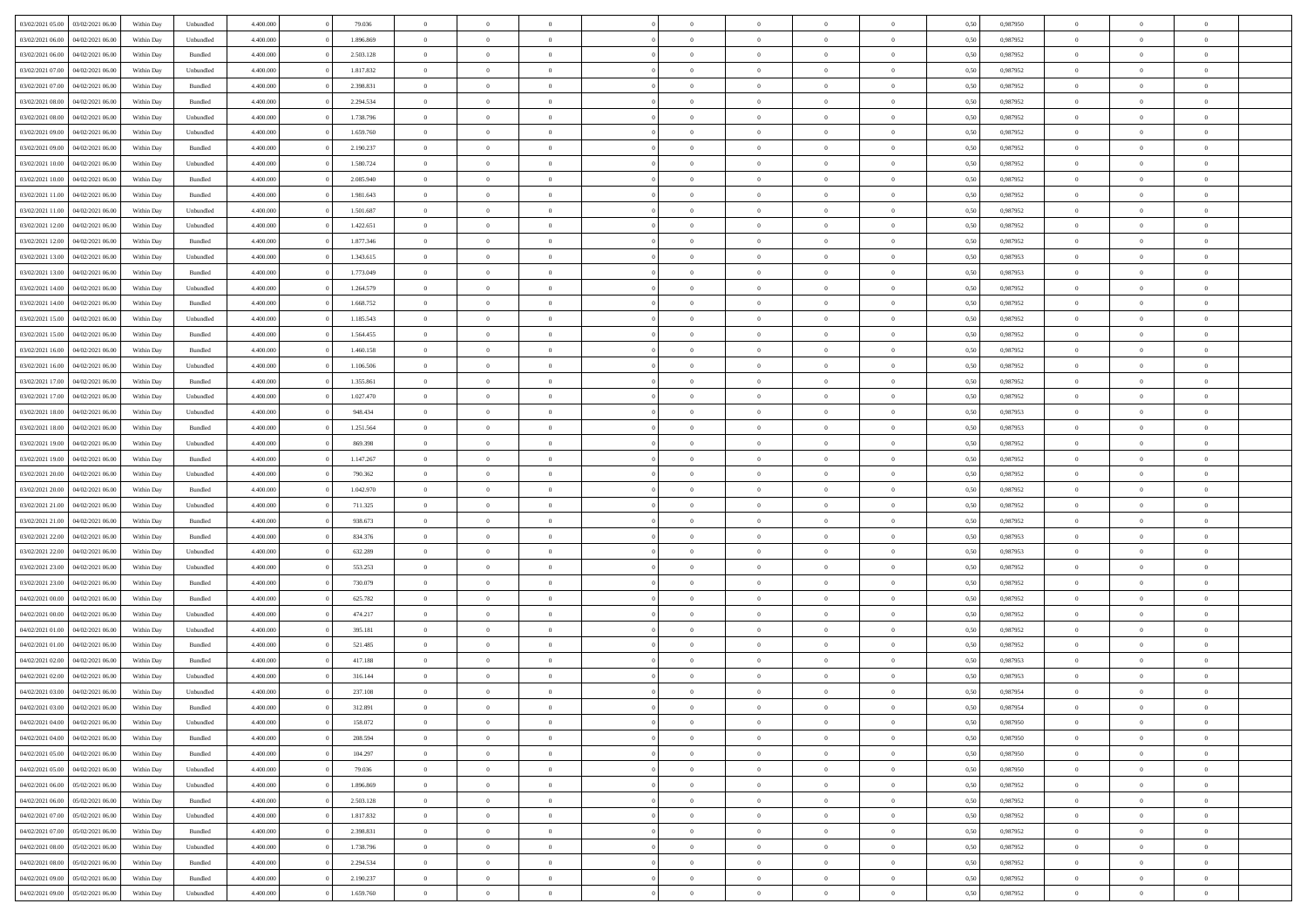| 03/02/2021 05:00 | 03/02/2021 06:00 | Within Day | Unbundled          | 4.400.000 | 79.036    | $\overline{0}$ | $\theta$       |                | $\Omega$       | $\Omega$       | $\theta$       | $\theta$       | 0,50 | 0,987950 | $\theta$       | $\theta$       | $\theta$       |  |
|------------------|------------------|------------|--------------------|-----------|-----------|----------------|----------------|----------------|----------------|----------------|----------------|----------------|------|----------|----------------|----------------|----------------|--|
|                  |                  |            |                    |           |           |                |                |                |                |                |                |                |      |          |                |                |                |  |
| 03/02/2021 06:00 | 04/02/2021 06.00 | Within Day | Unbundled          | 4.400.000 | 1.896.869 | $\overline{0}$ | $\theta$       | $\overline{0}$ | $\overline{0}$ | $\bf{0}$       | $\overline{0}$ | $\bf{0}$       | 0,50 | 0,987952 | $\theta$       | $\overline{0}$ | $\overline{0}$ |  |
| 03/02/2021 06:00 | 04/02/2021 06.00 | Within Day | Bundled            | 4.400.000 | 2.503.128 | $\overline{0}$ | $\bf{0}$       | $\overline{0}$ | $\bf{0}$       | $\bf{0}$       | $\bf{0}$       | $\mathbf{0}$   | 0,50 | 0,987952 | $\bf{0}$       | $\overline{0}$ | $\bf{0}$       |  |
| 03/02/2021 07:00 | 04/02/2021 06:00 | Within Day | Unbundled          | 4.400.000 | 1.817.832 | $\overline{0}$ | $\overline{0}$ | $\overline{0}$ | $\overline{0}$ | $\bf{0}$       | $\overline{0}$ | $\overline{0}$ | 0.50 | 0,987952 | $\theta$       | $\theta$       | $\overline{0}$ |  |
| 03/02/2021 07:00 | 04/02/2021 06.00 | Within Day | Bundled            | 4.400.000 | 2.398.831 | $\overline{0}$ | $\theta$       | $\overline{0}$ | $\overline{0}$ | $\bf{0}$       | $\overline{0}$ | $\bf{0}$       | 0,50 | 0,987952 | $\theta$       | $\overline{0}$ | $\overline{0}$ |  |
|                  |                  |            |                    |           |           |                |                |                |                |                |                |                |      |          |                |                |                |  |
| 03/02/2021 08:00 | 04/02/2021 06.00 | Within Day | Bundled            | 4.400.000 | 2.294.534 | $\overline{0}$ | $\overline{0}$ | $\overline{0}$ | $\bf{0}$       | $\overline{0}$ | $\overline{0}$ | $\mathbf{0}$   | 0,50 | 0,987952 | $\bf{0}$       | $\overline{0}$ | $\bf{0}$       |  |
| 03/02/2021 08:00 | 04/02/2021 06:00 | Within Dav | Unbundled          | 4.400.000 | 1.738.796 | $\overline{0}$ | $\overline{0}$ | $\overline{0}$ | $\overline{0}$ | $\overline{0}$ | $\overline{0}$ | $\overline{0}$ | 0.50 | 0,987952 | $\theta$       | $\overline{0}$ | $\overline{0}$ |  |
| 03/02/2021 09:00 | 04/02/2021 06.00 | Within Day | Unbundled          | 4.400.000 | 1.659.760 | $\overline{0}$ | $\theta$       | $\overline{0}$ | $\overline{0}$ | $\bf{0}$       | $\overline{0}$ | $\bf{0}$       | 0,50 | 0,987952 | $\theta$       | $\theta$       | $\overline{0}$ |  |
| 03/02/2021 09:00 | 04/02/2021 06.00 | Within Day | Bundled            | 4.400.000 | 2.190.237 | $\overline{0}$ | $\overline{0}$ | $\overline{0}$ | $\bf{0}$       | $\bf{0}$       | $\bf{0}$       | $\bf{0}$       | 0,50 | 0,987952 | $\,0\,$        | $\overline{0}$ | $\overline{0}$ |  |
| 03/02/2021 10:00 | 04/02/2021 06:00 | Within Dav | Unbundled          | 4.400.000 | 1.580.724 | $\overline{0}$ | $\overline{0}$ | $\overline{0}$ | $\overline{0}$ | $\overline{0}$ | $\overline{0}$ | $\overline{0}$ | 0.50 | 0,987952 | $\theta$       | $\overline{0}$ | $\overline{0}$ |  |
| 03/02/2021 10:00 | 04/02/2021 06.00 | Within Day | Bundled            | 4.400.000 | 2.085.940 | $\overline{0}$ | $\theta$       | $\overline{0}$ | $\overline{0}$ | $\bf{0}$       | $\overline{0}$ | $\bf{0}$       | 0,50 | 0,987952 | $\,$ 0 $\,$    | $\overline{0}$ | $\overline{0}$ |  |
|                  |                  |            |                    |           |           |                |                |                |                |                |                |                |      |          |                |                |                |  |
| 03/02/2021 11:00 | 04/02/2021 06.00 | Within Day | Bundled            | 4.400.000 | 1.981.643 | $\overline{0}$ | $\bf{0}$       | $\overline{0}$ | $\bf{0}$       | $\bf{0}$       | $\bf{0}$       | $\mathbf{0}$   | 0,50 | 0,987952 | $\overline{0}$ | $\overline{0}$ | $\bf{0}$       |  |
| 03/02/2021 11:00 | 04/02/2021 06:00 | Within Day | Unbundled          | 4.400.000 | 1.501.687 | $\overline{0}$ | $\overline{0}$ | $\overline{0}$ | $\overline{0}$ | $\bf{0}$       | $\overline{0}$ | $\overline{0}$ | 0.50 | 0,987952 | $\theta$       | $\theta$       | $\overline{0}$ |  |
| 03/02/2021 12:00 | 04/02/2021 06.00 | Within Day | Unbundled          | 4.400.000 | 1.422.651 | $\overline{0}$ | $\theta$       | $\overline{0}$ | $\overline{0}$ | $\bf{0}$       | $\overline{0}$ | $\bf{0}$       | 0,50 | 0,987952 | $\theta$       | $\overline{0}$ | $\overline{0}$ |  |
| 03/02/2021 12:00 | 04/02/2021 06.00 | Within Day | Bundled            | 4.400.000 | 1.877.346 | $\overline{0}$ | $\overline{0}$ | $\overline{0}$ | $\bf{0}$       | $\overline{0}$ | $\overline{0}$ | $\mathbf{0}$   | 0,50 | 0,987952 | $\overline{0}$ | $\overline{0}$ | $\bf{0}$       |  |
| 03/02/2021 13:00 | 04/02/2021 06:00 | Within Dav | Unbundled          | 4.400.000 | 1.343.615 | $\overline{0}$ | $\overline{0}$ | $\overline{0}$ | $\overline{0}$ | $\overline{0}$ | $\overline{0}$ | $\overline{0}$ | 0.50 | 0,987953 | $\theta$       | $\overline{0}$ | $\overline{0}$ |  |
| 03/02/2021 13:00 | 04/02/2021 06.00 | Within Day | Bundled            | 4.400.000 | 1.773.049 | $\overline{0}$ | $\theta$       | $\overline{0}$ | $\overline{0}$ | $\bf{0}$       | $\overline{0}$ | $\bf{0}$       | 0,50 | 0,987953 | $\theta$       | $\theta$       | $\overline{0}$ |  |
| 03/02/2021 14:00 | 04/02/2021 06.00 | Within Day | Unbundled          | 4.400.000 | 1.264.579 | $\overline{0}$ | $\overline{0}$ | $\overline{0}$ | $\bf{0}$       | $\bf{0}$       | $\bf{0}$       | $\mathbf{0}$   | 0,50 | 0,987952 | $\,0\,$        | $\overline{0}$ | $\bf{0}$       |  |
| 03/02/2021 14:00 | 04/02/2021 06:00 | Within Dav | Bundled            | 4.400.000 | 1.668.752 | $\overline{0}$ | $\overline{0}$ | $\overline{0}$ | $\overline{0}$ | $\overline{0}$ | $\overline{0}$ | $\overline{0}$ | 0.50 | 0,987952 | $\theta$       | $\overline{0}$ | $\overline{0}$ |  |
|                  |                  |            |                    |           |           | $\overline{0}$ |                |                |                |                |                |                |      |          |                |                |                |  |
| 03/02/2021 15:00 | 04/02/2021 06.00 | Within Day | Unbundled          | 4.400.000 | 1.185.543 |                | $\theta$       | $\overline{0}$ | $\overline{0}$ | $\bf{0}$       | $\overline{0}$ | $\bf{0}$       | 0,50 | 0,987952 | $\,$ 0 $\,$    | $\overline{0}$ | $\overline{0}$ |  |
| 03/02/2021 15:00 | 04/02/2021 06.00 | Within Day | Bundled            | 4.400.000 | 1.564.455 | $\overline{0}$ | $\overline{0}$ | $\overline{0}$ | $\bf{0}$       | $\bf{0}$       | $\bf{0}$       | $\mathbf{0}$   | 0,50 | 0,987952 | $\bf{0}$       | $\overline{0}$ | $\bf{0}$       |  |
| 03/02/2021 16:00 | 04/02/2021 06:00 | Within Day | Bundled            | 4.400.000 | 1.460.158 | $\overline{0}$ | $\overline{0}$ | $\overline{0}$ | $\overline{0}$ | $\overline{0}$ | $\overline{0}$ | $\overline{0}$ | 0.50 | 0,987952 | $\theta$       | $\overline{0}$ | $\overline{0}$ |  |
| 03/02/2021 16:00 | 04/02/2021 06.00 | Within Day | Unbundled          | 4.400.000 | 1.106.506 | $\overline{0}$ | $\theta$       | $\overline{0}$ | $\overline{0}$ | $\bf{0}$       | $\overline{0}$ | $\bf{0}$       | 0,50 | 0,987952 | $\,$ 0 $\,$    | $\overline{0}$ | $\overline{0}$ |  |
| 03/02/2021 17:00 | 04/02/2021 06.00 | Within Day | Bundled            | 4.400.000 | 1.355.861 | $\overline{0}$ | $\overline{0}$ | $\overline{0}$ | $\overline{0}$ | $\overline{0}$ | $\overline{0}$ | $\mathbf{0}$   | 0,50 | 0,987952 | $\bf{0}$       | $\overline{0}$ | $\bf{0}$       |  |
| 03/02/2021 17:00 | 04/02/2021 06:00 | Within Day | Unbundled          | 4.400.000 | 1.027.470 | $\overline{0}$ | $\overline{0}$ | $\overline{0}$ | $\overline{0}$ | $\overline{0}$ | $\overline{0}$ | $\overline{0}$ | 0.50 | 0,987952 | $\theta$       | $\overline{0}$ | $\overline{0}$ |  |
| 03/02/2021 18:00 | 04/02/2021 06.00 | Within Day | Unbundled          | 4.400.000 | 948.434   | $\overline{0}$ | $\theta$       | $\overline{0}$ | $\overline{0}$ | $\bf{0}$       | $\overline{0}$ | $\bf{0}$       | 0,50 | 0,987953 | $\theta$       | $\theta$       | $\overline{0}$ |  |
|                  |                  |            |                    |           |           |                |                |                |                |                |                |                |      |          |                |                |                |  |
| 03/02/2021 18:00 | 04/02/2021 06.00 | Within Day | Bundled            | 4.400.000 | 1.251.564 | $\overline{0}$ | $\overline{0}$ | $\overline{0}$ | $\overline{0}$ | $\bf{0}$       | $\overline{0}$ | $\bf{0}$       | 0,50 | 0,987953 | $\,0\,$        | $\overline{0}$ | $\overline{0}$ |  |
| 03/02/2021 19:00 | 04/02/2021 06:00 | Within Day | Unbundled          | 4.400.000 | 869.398   | $\overline{0}$ | $\overline{0}$ | $\overline{0}$ | $\overline{0}$ | $\overline{0}$ | $\overline{0}$ | $\overline{0}$ | 0.50 | 0,987952 | $\theta$       | $\overline{0}$ | $\overline{0}$ |  |
| 03/02/2021 19:00 | 04/02/2021 06.00 | Within Day | Bundled            | 4.400.000 | 1.147.267 | $\overline{0}$ | $\theta$       | $\overline{0}$ | $\overline{0}$ | $\bf{0}$       | $\overline{0}$ | $\bf{0}$       | 0,50 | 0,987952 | $\,$ 0 $\,$    | $\overline{0}$ | $\overline{0}$ |  |
| 03/02/2021 20.00 | 04/02/2021 06.00 | Within Day | Unbundled          | 4.400.000 | 790.362   | $\overline{0}$ | $\bf{0}$       | $\overline{0}$ | $\overline{0}$ | $\bf{0}$       | $\overline{0}$ | $\bf{0}$       | 0,50 | 0,987952 | $\bf{0}$       | $\overline{0}$ | $\bf{0}$       |  |
| 03/02/2021 20:00 | 04/02/2021 06.00 | Within Day | Bundled            | 4.400,000 | 1.042.970 | $\overline{0}$ | $\Omega$       | $\Omega$       | $\Omega$       | $\Omega$       | $\overline{0}$ | $\overline{0}$ | 0,50 | 0,987952 | $\,0\,$        | $\theta$       | $\theta$       |  |
| 03/02/2021 21:00 | 04/02/2021 06.00 | Within Day | Unbundled          | 4.400.000 | 711.325   | $\overline{0}$ | $\theta$       | $\overline{0}$ | $\overline{0}$ | $\bf{0}$       | $\overline{0}$ | $\bf{0}$       | 0,50 | 0,987952 | $\theta$       | $\overline{0}$ | $\overline{0}$ |  |
| 03/02/2021 21.00 | 04/02/2021 06.00 | Within Day | Bundled            | 4.400.000 | 938.673   | $\overline{0}$ | $\overline{0}$ | $\overline{0}$ | $\overline{0}$ | $\bf{0}$       | $\overline{0}$ | $\mathbf{0}$   | 0,50 | 0,987952 | $\bf{0}$       | $\overline{0}$ | $\bf{0}$       |  |
|                  |                  |            |                    |           |           |                |                |                |                |                |                |                |      |          |                |                |                |  |
| 03/02/2021 22.00 | 04/02/2021 06:00 | Within Day | Bundled            | 4.400,000 | 834,376   | $\overline{0}$ | $\Omega$       | $\Omega$       | $\Omega$       | $\bf{0}$       | $\overline{0}$ | $\overline{0}$ | 0.50 | 0,987953 | $\,0\,$        | $\theta$       | $\theta$       |  |
| 03/02/2021 22:00 | 04/02/2021 06.00 | Within Day | Unbundled          | 4.400.000 | 632.289   | $\overline{0}$ | $\theta$       | $\overline{0}$ | $\overline{0}$ | $\bf{0}$       | $\overline{0}$ | $\bf{0}$       | 0,50 | 0,987953 | $\theta$       | $\overline{0}$ | $\overline{0}$ |  |
| 03/02/2021 23.00 | 04/02/2021 06.00 | Within Day | Unbundled          | 4.400.000 | 553.253   | $\overline{0}$ | $\overline{0}$ | $\overline{0}$ | $\overline{0}$ | $\bf{0}$       | $\overline{0}$ | $\bf{0}$       | 0,50 | 0,987952 | $\,0\,$        | $\overline{0}$ | $\bf{0}$       |  |
| 03/02/2021 23:00 | 04/02/2021 06:00 | Within Day | Bundled            | 4.400,000 | 730,079   | $\overline{0}$ | $\Omega$       | $\Omega$       | $\Omega$       | $\overline{0}$ | $\overline{0}$ | $\overline{0}$ | 0.50 | 0.987952 | $\theta$       | $\theta$       | $\theta$       |  |
| 04/02/2021 00:00 | 04/02/2021 06.00 | Within Day | Bundled            | 4.400.000 | 625.782   | $\overline{0}$ | $\overline{0}$ | $\overline{0}$ | $\overline{0}$ | $\bf{0}$       | $\overline{0}$ | $\bf{0}$       | 0,50 | 0,987952 | $\,$ 0 $\,$    | $\overline{0}$ | $\overline{0}$ |  |
| 04/02/2021 00:00 | 04/02/2021 06.00 | Within Day | Unbundled          | 4.400.000 | 474.217   | $\overline{0}$ | $\overline{0}$ | $\overline{0}$ | $\overline{0}$ | $\bf{0}$       | $\overline{0}$ | $\mathbf{0}$   | 0,50 | 0,987952 | $\bf{0}$       | $\overline{0}$ | $\bf{0}$       |  |
|                  |                  |            |                    |           |           |                |                |                |                |                |                |                |      |          |                |                | $\theta$       |  |
| 04/02/2021 01:00 | 04/02/2021 06.00 | Within Day | Unbundled          | 4.400,000 | 395.181   | $\overline{0}$ | $\Omega$       | $\overline{0}$ | $\Omega$       | $\overline{0}$ | $\overline{0}$ | $\overline{0}$ | 0,50 | 0,987952 | $\,0\,$        | $\theta$       |                |  |
| 04/02/2021 01:00 | 04/02/2021 06.00 | Within Day | Bundled            | 4.400.000 | 521.485   | $\overline{0}$ | $\overline{0}$ | $\overline{0}$ | $\overline{0}$ | $\bf{0}$       | $\overline{0}$ | $\bf{0}$       | 0,50 | 0,987952 | $\,$ 0 $\,$    | $\overline{0}$ | $\overline{0}$ |  |
| 04/02/2021 02.00 | 04/02/2021 06.00 | Within Day | Bundled            | 4.400.000 | 417.188   | $\overline{0}$ | $\overline{0}$ | $\overline{0}$ | $\bf{0}$       | $\bf{0}$       | $\overline{0}$ | $\mathbf{0}$   | 0,50 | 0,987953 | $\bf{0}$       | $\overline{0}$ | $\bf{0}$       |  |
| 04/02/2021 02:00 | 04/02/2021 06:00 | Within Day | Unbundled          | 4.400,000 | 316.144   | $\overline{0}$ | $\Omega$       | $\Omega$       | $\Omega$       | $\Omega$       | $\Omega$       | $\overline{0}$ | 0.50 | 0.987953 | $\theta$       | $\theta$       | $\theta$       |  |
| 04/02/2021 03:00 | 04/02/2021 06:00 | Within Day | Unbundled          | 4.400.000 | 237.108   | $\overline{0}$ | $\overline{0}$ | $\overline{0}$ | $\bf{0}$       | $\,$ 0         | $\bf{0}$       | $\bf{0}$       | 0,50 | 0,987954 | $\,0\,$        | $\,$ 0 $\,$    | $\overline{0}$ |  |
| 04/02/2021 03:00 | 04/02/2021 06:00 | Within Day | $\mathbf B$ undled | 4.400.000 | 312.891   | $\bf{0}$       | $\bf{0}$       |                |                | $\bf{0}$       |                |                | 0,50 | 0,987954 | $\bf{0}$       | $\overline{0}$ |                |  |
| 04/02/2021 04:00 | 04/02/2021 06:00 | Within Day | Unbundled          | 4.400.000 | 158,072   | $\overline{0}$ | $\overline{0}$ | $\overline{0}$ | $\Omega$       | $\overline{0}$ | $\overline{0}$ | $\overline{0}$ | 0.50 | 0.987950 | $\theta$       | $\theta$       | $\theta$       |  |
| 04/02/2021 04:00 | 04/02/2021 06.00 | Within Day | Bundled            | 4.400.000 | 208.594   | $\overline{0}$ | $\,$ 0         | $\overline{0}$ | $\bf{0}$       | $\,$ 0 $\,$    | $\overline{0}$ | $\mathbf{0}$   | 0,50 | 0,987950 | $\,$ 0 $\,$    | $\,$ 0 $\,$    | $\,$ 0         |  |
| 04/02/2021 05:00 | 04/02/2021 06:00 | Within Day | Bundled            | 4.400.000 | 104.297   | $\overline{0}$ | $\overline{0}$ | $\overline{0}$ | $\overline{0}$ | $\overline{0}$ | $\overline{0}$ | $\mathbf{0}$   | 0,50 | 0,987950 | $\overline{0}$ | $\bf{0}$       | $\overline{0}$ |  |
|                  |                  |            |                    |           |           |                |                |                |                |                |                |                |      |          |                |                |                |  |
| 04/02/2021 05:00 | 04/02/2021 06:00 | Within Day | Unbundled          | 4.400,000 | 79.036    | $\overline{0}$ | $\overline{0}$ | $\overline{0}$ | $\Omega$       | $\overline{0}$ | $\overline{0}$ | $\overline{0}$ | 0,50 | 0,987950 | $\overline{0}$ | $\theta$       | $\overline{0}$ |  |
| 04/02/2021 06:00 | 05/02/2021 06:00 | Within Day | Unbundled          | 4.400.000 | 1.896.869 | $\overline{0}$ | $\,$ 0         | $\overline{0}$ | $\overline{0}$ | $\,$ 0 $\,$    | $\overline{0}$ | $\mathbf{0}$   | 0,50 | 0,987952 | $\,$ 0 $\,$    | $\overline{0}$ | $\overline{0}$ |  |
| 04/02/2021 06:00 | 05/02/2021 06:00 | Within Day | Bundled            | 4.400.000 | 2.503.128 | $\overline{0}$ | $\overline{0}$ | $\overline{0}$ | $\overline{0}$ | $\overline{0}$ | $\overline{0}$ | $\mathbf{0}$   | 0,50 | 0,987952 | $\overline{0}$ | $\overline{0}$ | $\bf{0}$       |  |
| 04/02/2021 07:00 | 05/02/2021 06:00 | Within Day | Unbundled          | 4.400.000 | 1.817.832 | $\overline{0}$ | $\overline{0}$ | $\overline{0}$ | $\overline{0}$ | $\overline{0}$ | $\overline{0}$ | $\bf{0}$       | 0.50 | 0,987952 | $\overline{0}$ | $\theta$       | $\overline{0}$ |  |
| 04/02/2021 07:00 | 05/02/2021 06:00 | Within Day | Bundled            | 4.400.000 | 2.398.831 | $\overline{0}$ | $\,$ 0         | $\overline{0}$ | $\overline{0}$ | $\bf{0}$       | $\overline{0}$ | $\bf{0}$       | 0,50 | 0,987952 | $\,$ 0 $\,$    | $\overline{0}$ | $\overline{0}$ |  |
| 04/02/2021 08:00 | 05/02/2021 06:00 | Within Day | Unbundled          | 4.400.000 | 1.738.796 | $\overline{0}$ | $\bf{0}$       | $\overline{0}$ | $\overline{0}$ | $\overline{0}$ | $\overline{0}$ | $\mathbf{0}$   | 0,50 | 0,987952 | $\overline{0}$ | $\overline{0}$ | $\bf{0}$       |  |
| 04/02/2021 08:00 | 05/02/2021 06:00 | Within Day | Bundled            | 4.400,000 | 2.294.534 | $\overline{0}$ | $\overline{0}$ | $\overline{0}$ | $\Omega$       | $\overline{0}$ | $\overline{0}$ | $\overline{0}$ | 0.50 | 0,987952 | $\overline{0}$ | $\overline{0}$ | $\overline{0}$ |  |
|                  |                  |            |                    |           |           |                |                |                |                |                |                |                |      |          |                |                |                |  |
| 04/02/2021 09:00 | 05/02/2021 06:00 | Within Day | Bundled            | 4.400.000 | 2.190.237 | $\overline{0}$ | $\bf{0}$       | $\overline{0}$ | $\bf{0}$       | $\bf{0}$       | $\overline{0}$ | $\mathbf{0}$   | 0,50 | 0,987952 | $\,$ 0 $\,$    | $\,$ 0 $\,$    | $\bf{0}$       |  |
| 04/02/2021 09:00 | 05/02/2021 06:00 | Within Day | Unbundled          | 4.400.000 | 1.659.760 | $\overline{0}$ | $\overline{0}$ | $\overline{0}$ | $\overline{0}$ | $\overline{0}$ | $\overline{0}$ | $\mathbf{0}$   | 0,50 | 0,987952 | $\overline{0}$ | $\bf{0}$       | $\overline{0}$ |  |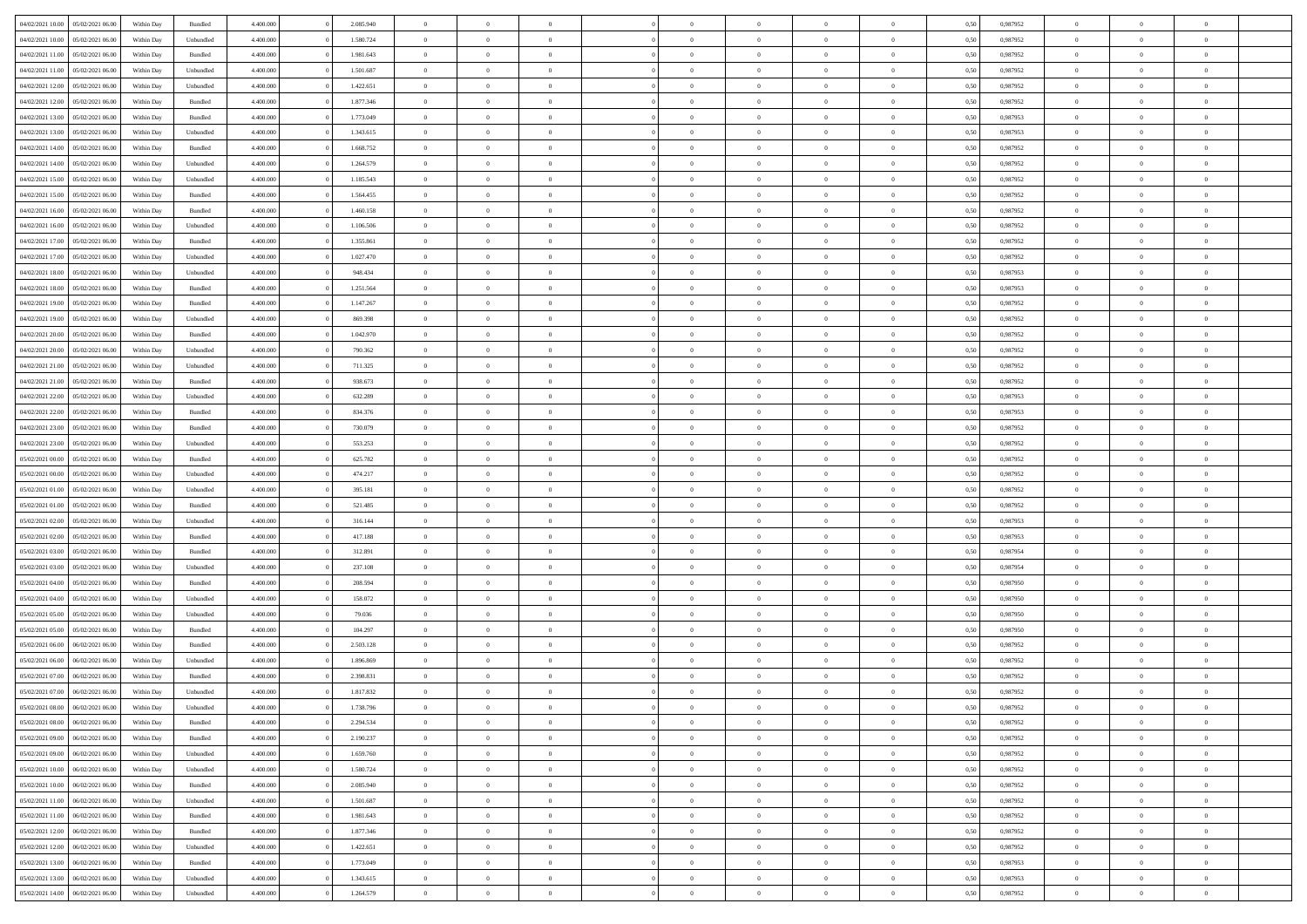|                                   |                  |            |           |           |           |                | $\Omega$       |                |                | $\Omega$       | $\theta$       | $\theta$       |      |          | $\theta$       |                | $\theta$       |  |
|-----------------------------------|------------------|------------|-----------|-----------|-----------|----------------|----------------|----------------|----------------|----------------|----------------|----------------|------|----------|----------------|----------------|----------------|--|
| 04/02/2021 10:00                  | 05/02/2021 06:00 | Within Day | Bundled   | 4.400.000 | 2.085.940 | $\overline{0}$ |                |                | $\Omega$       |                |                |                | 0,50 | 0,987952 |                | $\theta$       |                |  |
| 04/02/2021 10:00                  | 05/02/2021 06:00 | Within Day | Unbundled | 4.400.000 | 1.580.724 | $\overline{0}$ | $\theta$       | $\overline{0}$ | $\overline{0}$ | $\bf{0}$       | $\overline{0}$ | $\bf{0}$       | 0,50 | 0,987952 | $\theta$       | $\overline{0}$ | $\overline{0}$ |  |
| 04/02/2021 11:00                  | 05/02/2021 06:00 | Within Day | Bundled   | 4.400.000 | 1.981.643 | $\overline{0}$ | $\bf{0}$       | $\overline{0}$ | $\overline{0}$ | $\bf{0}$       | $\overline{0}$ | $\mathbf{0}$   | 0,50 | 0,987952 | $\bf{0}$       | $\overline{0}$ | $\bf{0}$       |  |
| 04/02/2021 11:00                  | 05/02/2021 06:00 | Within Day | Unbundled | 4.400.000 | 1.501.687 | $\overline{0}$ | $\overline{0}$ | $\overline{0}$ | $\overline{0}$ | $\bf{0}$       | $\overline{0}$ | $\overline{0}$ | 0.50 | 0,987952 | $\theta$       | $\theta$       | $\overline{0}$ |  |
|                                   |                  |            |           |           |           |                |                |                |                |                |                |                |      |          |                |                |                |  |
| 04/02/2021 12:00                  | 05/02/2021 06:00 | Within Day | Unbundled | 4.400.000 | 1.422.651 | $\overline{0}$ | $\theta$       | $\overline{0}$ | $\overline{0}$ | $\bf{0}$       | $\overline{0}$ | $\bf{0}$       | 0,50 | 0,987952 | $\theta$       | $\overline{0}$ | $\overline{0}$ |  |
| 04/02/2021 12:00                  | 05/02/2021 06:00 | Within Day | Bundled   | 4.400.000 | 1.877.346 | $\overline{0}$ | $\overline{0}$ | $\overline{0}$ | $\overline{0}$ | $\overline{0}$ | $\overline{0}$ | $\mathbf{0}$   | 0,50 | 0,987952 | $\bf{0}$       | $\overline{0}$ | $\bf{0}$       |  |
| 04/02/2021 13:00                  | 05/02/2021 06:00 | Within Dav | Bundled   | 4.400.000 | 1.773.049 | $\overline{0}$ | $\overline{0}$ | $\overline{0}$ | $\overline{0}$ | $\overline{0}$ | $\overline{0}$ | $\overline{0}$ | 0.50 | 0,987953 | $\theta$       | $\overline{0}$ | $\overline{0}$ |  |
| 04/02/2021 13:00                  | 05/02/2021 06:00 | Within Day | Unbundled | 4.400.000 | 1.343.615 | $\overline{0}$ | $\theta$       | $\overline{0}$ | $\overline{0}$ | $\bf{0}$       | $\overline{0}$ | $\bf{0}$       | 0,50 | 0,987953 | $\theta$       | $\theta$       | $\overline{0}$ |  |
|                                   |                  |            |           |           |           |                | $\overline{0}$ |                |                | $\bf{0}$       |                |                |      |          | $\,0\,$        | $\overline{0}$ | $\overline{0}$ |  |
| 04/02/2021 14:00                  | 05/02/2021 06:00 | Within Day | Bundled   | 4.400.000 | 1.668.752 | $\overline{0}$ |                | $\overline{0}$ | $\overline{0}$ |                | $\overline{0}$ | $\bf{0}$       | 0,50 | 0,987952 |                |                |                |  |
| 04/02/2021 14:00                  | 05/02/2021 06:00 | Within Dav | Unbundled | 4.400.000 | 1.264.579 | $\overline{0}$ | $\overline{0}$ | $\overline{0}$ | $\overline{0}$ | $\overline{0}$ | $\overline{0}$ | $\overline{0}$ | 0.50 | 0,987952 | $\theta$       | $\overline{0}$ | $\overline{0}$ |  |
| 04/02/2021 15:00                  | 05/02/2021 06:00 | Within Day | Unbundled | 4.400.000 | 1.185.543 | $\overline{0}$ | $\theta$       | $\overline{0}$ | $\overline{0}$ | $\bf{0}$       | $\overline{0}$ | $\bf{0}$       | 0,50 | 0,987952 | $\,$ 0 $\,$    | $\overline{0}$ | $\overline{0}$ |  |
| 04/02/2021 15:00                  | 05/02/2021 06:00 | Within Day | Bundled   | 4.400.000 | 1.564.455 | $\overline{0}$ | $\bf{0}$       | $\overline{0}$ | $\overline{0}$ | $\bf{0}$       | $\bf{0}$       | $\mathbf{0}$   | 0,50 | 0,987952 | $\overline{0}$ | $\overline{0}$ | $\bf{0}$       |  |
| 04/02/2021 16:00                  | 05/02/2021 06:00 | Within Dav | Bundled   | 4.400.000 | 1.460.158 | $\overline{0}$ | $\overline{0}$ | $\overline{0}$ | $\overline{0}$ | $\bf{0}$       | $\overline{0}$ | $\overline{0}$ | 0.50 | 0,987952 | $\theta$       | $\theta$       | $\overline{0}$ |  |
|                                   |                  |            |           |           |           |                |                |                |                |                |                |                |      |          |                |                |                |  |
| 04/02/2021 16:00                  | 05/02/2021 06:00 | Within Day | Unbundled | 4.400.000 | 1.106.506 | $\overline{0}$ | $\theta$       | $\overline{0}$ | $\overline{0}$ | $\bf{0}$       | $\overline{0}$ | $\bf{0}$       | 0,50 | 0,987952 | $\theta$       | $\overline{0}$ | $\overline{0}$ |  |
| 04/02/2021 17.00                  | 05/02/2021 06:00 | Within Day | Bundled   | 4.400.000 | 1.355.861 | $\overline{0}$ | $\overline{0}$ | $\overline{0}$ | $\bf{0}$       | $\overline{0}$ | $\overline{0}$ | $\mathbf{0}$   | 0,50 | 0,987952 | $\overline{0}$ | $\overline{0}$ | $\bf{0}$       |  |
| 04/02/2021 17:00                  | 05/02/2021 06:00 | Within Day | Unbundled | 4.400.000 | 1.027.470 | $\overline{0}$ | $\overline{0}$ | $\overline{0}$ | $\overline{0}$ | $\overline{0}$ | $\overline{0}$ | $\overline{0}$ | 0.50 | 0,987952 | $\theta$       | $\overline{0}$ | $\overline{0}$ |  |
| 04/02/2021 18:00                  | 05/02/2021 06:00 | Within Day | Unbundled | 4.400.000 | 948.434   | $\overline{0}$ | $\theta$       | $\overline{0}$ | $\overline{0}$ | $\bf{0}$       | $\overline{0}$ | $\bf{0}$       | 0,50 | 0,987953 | $\theta$       | $\theta$       | $\overline{0}$ |  |
| 04/02/2021 18:00                  | 05/02/2021 06:00 | Within Day | Bundled   | 4.400.000 | 1.251.564 | $\overline{0}$ | $\overline{0}$ | $\overline{0}$ | $\bf{0}$       | $\bf{0}$       | $\bf{0}$       | $\mathbf{0}$   | 0,50 | 0,987953 | $\,0\,$        | $\overline{0}$ | $\bf{0}$       |  |
|                                   |                  |            |           |           |           |                |                |                |                |                |                |                |      |          |                |                |                |  |
| 04/02/2021 19:00                  | 05/02/2021 06:00 | Within Dav | Bundled   | 4.400.000 | 1.147.267 | $\overline{0}$ | $\overline{0}$ | $\overline{0}$ | $\overline{0}$ | $\overline{0}$ | $\overline{0}$ | $\overline{0}$ | 0.50 | 0,987952 | $\theta$       | $\overline{0}$ | $\overline{0}$ |  |
| 04/02/2021 19:00                  | 05/02/2021 06:00 | Within Day | Unbundled | 4.400.000 | 869.398   | $\overline{0}$ | $\theta$       | $\overline{0}$ | $\overline{0}$ | $\bf{0}$       | $\overline{0}$ | $\bf{0}$       | 0,50 | 0,987952 | $\,$ 0 $\,$    | $\overline{0}$ | $\overline{0}$ |  |
| 04/02/2021 20.00                  | 05/02/2021 06:00 | Within Day | Bundled   | 4.400.000 | 1.042.970 | $\overline{0}$ | $\overline{0}$ | $\overline{0}$ | $\bf{0}$       | $\bf{0}$       | $\bf{0}$       | $\mathbf{0}$   | 0,50 | 0,987952 | $\bf{0}$       | $\overline{0}$ | $\bf{0}$       |  |
| 04/02/2021 20:00                  | 05/02/2021 06:00 | Within Day | Unbundled | 4.400.000 | 790,362   | $\overline{0}$ | $\overline{0}$ | $\overline{0}$ | $\overline{0}$ | $\overline{0}$ | $\overline{0}$ | $\overline{0}$ | 0.50 | 0,987952 | $\theta$       | $\overline{0}$ | $\overline{0}$ |  |
|                                   |                  |            |           |           |           |                |                |                |                |                |                |                |      |          |                |                |                |  |
| 04/02/2021 21.00                  | 05/02/2021 06:00 | Within Day | Unbundled | 4.400.000 | 711.325   | $\overline{0}$ | $\theta$       | $\overline{0}$ | $\overline{0}$ | $\bf{0}$       | $\overline{0}$ | $\bf{0}$       | 0,50 | 0,987952 | $\,$ 0 $\,$    | $\overline{0}$ | $\overline{0}$ |  |
| 04/02/2021 21.00                  | 05/02/2021 06:00 | Within Day | Bundled   | 4.400.000 | 938.673   | $\overline{0}$ | $\overline{0}$ | $\overline{0}$ | $\bf{0}$       | $\overline{0}$ | $\overline{0}$ | $\mathbf{0}$   | 0,50 | 0,987952 | $\bf{0}$       | $\overline{0}$ | $\bf{0}$       |  |
| 04/02/2021 22.00                  | 05/02/2021 06:00 | Within Day | Unbundled | 4.400.000 | 632.289   | $\overline{0}$ | $\overline{0}$ | $\overline{0}$ | $\overline{0}$ | $\overline{0}$ | $\overline{0}$ | $\overline{0}$ | 0.50 | 0,987953 | $\theta$       | $\overline{0}$ | $\overline{0}$ |  |
| 04/02/2021 22.00                  | 05/02/2021 06:00 | Within Day | Bundled   | 4.400.000 | 834.376   | $\overline{0}$ | $\theta$       | $\overline{0}$ | $\overline{0}$ | $\bf{0}$       | $\overline{0}$ | $\bf{0}$       | 0,50 | 0,987953 | $\theta$       | $\theta$       | $\overline{0}$ |  |
| 04/02/2021 23:00                  | 05/02/2021 06:00 | Within Day | Bundled   | 4.400.000 | 730.079   | $\overline{0}$ | $\overline{0}$ | $\overline{0}$ | $\bf{0}$       | $\bf{0}$       | $\bf{0}$       | $\bf{0}$       | 0,50 | 0,987952 | $\,0\,$        | $\overline{0}$ | $\bf{0}$       |  |
|                                   |                  |            |           |           |           |                |                |                |                |                |                |                |      |          |                |                |                |  |
| 04/02/2021 23:00                  | 05/02/2021 06:00 | Within Day | Unbundled | 4.400.000 | 553.253   | $\overline{0}$ | $\overline{0}$ | $\overline{0}$ | $\overline{0}$ | $\overline{0}$ | $\overline{0}$ | $\overline{0}$ | 0.50 | 0,987952 | $\theta$       | $\overline{0}$ | $\overline{0}$ |  |
| 05/02/2021 00:00                  | 05/02/2021 06:00 | Within Day | Bundled   | 4.400.000 | 625.782   | $\overline{0}$ | $\overline{0}$ | $\overline{0}$ | $\overline{0}$ | $\bf{0}$       | $\overline{0}$ | $\bf{0}$       | 0,50 | 0,987952 | $\,$ 0 $\,$    | $\overline{0}$ | $\overline{0}$ |  |
| 05/02/2021 00:00                  | 05/02/2021 06:00 | Within Day | Unbundled | 4.400.000 | 474.217   | $\overline{0}$ | $\overline{0}$ | $\overline{0}$ | $\bf{0}$       | $\bf{0}$       | $\bf{0}$       | $\bf{0}$       | 0,50 | 0,987952 | $\bf{0}$       | $\overline{0}$ | $\bf{0}$       |  |
| 05/02/2021 01:00                  | 05/02/2021 06:00 | Within Day | Unbundled | 4.400,000 | 395.181   | $\overline{0}$ | $\Omega$       | $\Omega$       | $\Omega$       | $\Omega$       | $\overline{0}$ | $\overline{0}$ | 0,50 | 0,987952 | $\,0\,$        | $\theta$       | $\theta$       |  |
| 05/02/2021 01:00                  | 05/02/2021 06:00 | Within Day | Bundled   | 4.400.000 | 521.485   | $\overline{0}$ | $\theta$       | $\overline{0}$ | $\overline{0}$ | $\bf{0}$       | $\overline{0}$ | $\bf{0}$       | 0,50 | 0,987952 | $\theta$       | $\overline{0}$ | $\overline{0}$ |  |
|                                   |                  |            |           |           |           |                |                |                |                |                |                |                |      |          |                |                |                |  |
| 05/02/2021 02:00                  | 05/02/2021 06:00 | Within Day | Unbundled | 4.400.000 | 316.144   | $\overline{0}$ | $\overline{0}$ | $\overline{0}$ | $\overline{0}$ | $\overline{0}$ | $\overline{0}$ | $\mathbf{0}$   | 0,50 | 0,987953 | $\bf{0}$       | $\overline{0}$ | $\bf{0}$       |  |
| 05/02/2021 02:00                  | 05/02/2021 06:00 | Within Day | Bundled   | 4.400,000 | 417.188   | $\overline{0}$ | $\Omega$       | $\Omega$       | $\Omega$       | $\bf{0}$       | $\overline{0}$ | $\overline{0}$ | 0.50 | 0,987953 | $\,0\,$        | $\theta$       | $\theta$       |  |
| 05/02/2021 03:00                  | 05/02/2021 06:00 | Within Day | Bundled   | 4.400.000 | 312.891   | $\overline{0}$ | $\theta$       | $\overline{0}$ | $\overline{0}$ | $\bf{0}$       | $\overline{0}$ | $\bf{0}$       | 0,50 | 0,987954 | $\,$ 0 $\,$    | $\overline{0}$ | $\overline{0}$ |  |
| 05/02/2021 03:00                  | 05/02/2021 06:00 | Within Day | Unbundled | 4.400.000 | 237.108   | $\overline{0}$ | $\overline{0}$ | $\overline{0}$ | $\overline{0}$ | $\bf{0}$       | $\overline{0}$ | $\bf{0}$       | 0,50 | 0,987954 | $\,0\,$        | $\overline{0}$ | $\bf{0}$       |  |
|                                   |                  |            |           |           |           |                |                |                |                |                |                |                |      |          |                |                |                |  |
| 05/02/2021 04:00                  | 05/02/2021 06:00 | Within Day | Bundled   | 4.400,000 | 208,594   | $\overline{0}$ | $\Omega$       | $\Omega$       | $\Omega$       | $\theta$       | $\overline{0}$ | $\overline{0}$ | 0.50 | 0.987950 | $\,$ 0 $\,$    | $\theta$       | $\theta$       |  |
| 05/02/2021 04:00                  | 05/02/2021 06:00 | Within Day | Unbundled | 4.400.000 | 158.072   | $\overline{0}$ | $\overline{0}$ | $\overline{0}$ | $\overline{0}$ | $\bf{0}$       | $\overline{0}$ | $\bf{0}$       | 0,50 | 0,987950 | $\,$ 0 $\,$    | $\overline{0}$ | $\overline{0}$ |  |
| 05/02/2021 05:00                  | 05/02/2021 06:00 | Within Day | Unbundled | 4.400.000 | 79.036    | $\overline{0}$ | $\overline{0}$ | $\overline{0}$ | $\overline{0}$ | $\bf{0}$       | $\overline{0}$ | $\mathbf{0}$   | 0,50 | 0,987950 | $\bf{0}$       | $\overline{0}$ | $\bf{0}$       |  |
| 05/02/2021 05:00                  | 05/02/2021 06:00 | Within Day | Bundled   | 4.400,000 | 104.297   | $\overline{0}$ | $\Omega$       | $\overline{0}$ | $\Omega$       | $\overline{0}$ | $\overline{0}$ | $\overline{0}$ | 0.50 | 0,987950 | $\,0\,$        | $\theta$       | $\theta$       |  |
| 05/02/2021 06:00                  | 06/02/2021 06:00 | Within Day | Bundled   | 4.400.000 | 2.503.128 | $\overline{0}$ | $\overline{0}$ | $\overline{0}$ | $\overline{0}$ | $\bf{0}$       | $\overline{0}$ | $\bf{0}$       | 0,50 | 0,987952 | $\,$ 0 $\,$    | $\overline{0}$ | $\overline{0}$ |  |
|                                   |                  |            |           |           |           |                |                |                |                |                |                |                |      |          |                |                |                |  |
| 05/02/2021 06:00                  | 06/02/2021 06:00 | Within Day | Unbundled | 4.400.000 | 1.896.869 | $\overline{0}$ | $\overline{0}$ | $\overline{0}$ | $\overline{0}$ | $\bf{0}$       | $\overline{0}$ | $\mathbf{0}$   | 0,50 | 0,987952 | $\bf{0}$       | $\overline{0}$ | $\bf{0}$       |  |
| 05/02/2021 07:00                  | 06/02/2021 06:00 | Within Day | Bundled   | 4.400,000 | 2.398.831 | $\overline{0}$ | $\Omega$       | $\Omega$       | $\Omega$       | $\Omega$       | $\Omega$       | $\overline{0}$ | 0.50 | 0.987952 | $\theta$       | $\theta$       | $\theta$       |  |
| 05/02/2021 07:00                  | 06/02/2021 06:00 | Within Day | Unbundled | 4.400.000 | 1.817.832 | $\overline{0}$ | $\overline{0}$ | $\overline{0}$ | $\bf{0}$       | $\,$ 0         | $\overline{0}$ | $\bf{0}$       | 0,50 | 0,987952 | $\,0\,$        | $\,$ 0 $\,$    | $\overline{0}$ |  |
| 05/02/2021 08:00 06/02/2021 06:00 |                  | Within Day | Unbundled | 4.400.000 | 1.738.796 | $\overline{0}$ | $\bf{0}$       |                |                | $\bf{0}$       |                |                | 0,50 | 0,987952 | $\bf{0}$       | $\overline{0}$ |                |  |
| 05/02/2021 08:00                  | 06/02/2021 06:00 | Within Day | Bundled   | 4.400.000 | 2.294.534 | $\overline{0}$ | $\overline{0}$ | $\overline{0}$ | $\Omega$       | $\overline{0}$ | $\overline{0}$ | $\overline{0}$ | 0.50 | 0.987952 | $\theta$       | $\theta$       | $\theta$       |  |
|                                   |                  |            |           |           |           |                |                |                |                |                |                |                |      |          |                |                |                |  |
| 05/02/2021 09:00                  | 06/02/2021 06:00 | Within Day | Bundled   | 4.400.000 | 2.190.237 | $\overline{0}$ | $\,$ 0         | $\overline{0}$ | $\overline{0}$ | $\,$ 0 $\,$    | $\overline{0}$ | $\mathbf{0}$   | 0,50 | 0,987952 | $\,$ 0 $\,$    | $\,$ 0 $\,$    | $\,$ 0         |  |
| 05/02/2021 09:00                  | 06/02/2021 06:00 | Within Day | Unbundled | 4.400.000 | 1.659.760 | $\overline{0}$ | $\overline{0}$ | $\overline{0}$ | $\overline{0}$ | $\overline{0}$ | $\overline{0}$ | $\mathbf{0}$   | 0,50 | 0,987952 | $\overline{0}$ | $\bf{0}$       | $\bf{0}$       |  |
| 05/02/2021 10:00                  | 06/02/2021 06:00 | Within Day | Unbundled | 4.400,000 | 1.580.724 | $\overline{0}$ | $\overline{0}$ | $\overline{0}$ | $\Omega$       | $\overline{0}$ | $\overline{0}$ | $\overline{0}$ | 0,50 | 0,987952 | $\overline{0}$ | $\theta$       | $\overline{0}$ |  |
| 05/02/2021 10:00                  | 06/02/2021 06:00 | Within Day | Bundled   | 4.400.000 | 2.085.940 | $\overline{0}$ | $\,$ 0         | $\overline{0}$ | $\overline{0}$ | $\,$ 0 $\,$    | $\overline{0}$ | $\mathbf{0}$   | 0,50 | 0,987952 | $\,$ 0 $\,$    | $\overline{0}$ | $\overline{0}$ |  |
|                                   |                  |            |           |           |           |                |                |                |                |                |                |                |      |          |                |                |                |  |
| 05/02/2021 11:00                  | 06/02/2021 06:00 | Within Day | Unbundled | 4.400.000 | 1.501.687 | $\overline{0}$ | $\overline{0}$ | $\overline{0}$ | $\overline{0}$ | $\overline{0}$ | $\overline{0}$ | $\mathbf{0}$   | 0,50 | 0,987952 | $\overline{0}$ | $\overline{0}$ | $\bf{0}$       |  |
| 05/02/2021 11:00                  | 06/02/2021 06:00 | Within Day | Bundled   | 4.400,000 | 1.981.643 | $\overline{0}$ | $\overline{0}$ | $\overline{0}$ | $\Omega$       | $\overline{0}$ | $\overline{0}$ | $\bf{0}$       | 0.50 | 0,987952 | $\overline{0}$ | $\theta$       | $\overline{0}$ |  |
| 05/02/2021 12:00                  | 06/02/2021 06:00 | Within Day | Bundled   | 4.400.000 | 1.877.346 | $\overline{0}$ | $\,$ 0         | $\overline{0}$ | $\overline{0}$ | $\bf{0}$       | $\overline{0}$ | $\bf{0}$       | 0,50 | 0,987952 | $\,$ 0 $\,$    | $\overline{0}$ | $\overline{0}$ |  |
| 05/02/2021 12:00                  | 06/02/2021 06:00 | Within Day | Unbundled | 4.400.000 | 1.422.651 | $\overline{0}$ | $\bf{0}$       | $\overline{0}$ | $\overline{0}$ | $\overline{0}$ | $\overline{0}$ | $\mathbf{0}$   | 0,50 | 0,987952 | $\overline{0}$ | $\overline{0}$ | $\bf{0}$       |  |
| 05/02/2021 13:00                  | 06/02/2021 06:00 | Within Day | Bundled   | 4.400,000 | 1.773.049 | $\overline{0}$ | $\overline{0}$ | $\overline{0}$ | $\Omega$       | $\overline{0}$ | $\overline{0}$ | $\overline{0}$ | 0.50 | 0,987953 | $\overline{0}$ | $\overline{0}$ | $\overline{0}$ |  |
|                                   |                  |            |           |           |           |                |                |                |                |                |                |                |      |          |                |                |                |  |
| 05/02/2021 13:00                  | 06/02/2021 06:00 | Within Day | Unbundled | 4.400.000 | 1.343.615 | $\overline{0}$ | $\bf{0}$       | $\overline{0}$ | $\overline{0}$ | $\bf{0}$       | $\overline{0}$ | $\mathbf{0}$   | 0,50 | 0,987953 | $\,$ 0 $\,$    | $\,$ 0 $\,$    | $\bf{0}$       |  |
| 05/02/2021 14:00                  | 06/02/2021 06:00 | Within Day | Unbundled | 4.400.000 | 1.264.579 | $\overline{0}$ | $\overline{0}$ | $\overline{0}$ | $\overline{0}$ | $\overline{0}$ | $\overline{0}$ | $\mathbf{0}$   | 0,50 | 0,987952 | $\overline{0}$ | $\bf{0}$       | $\bf{0}$       |  |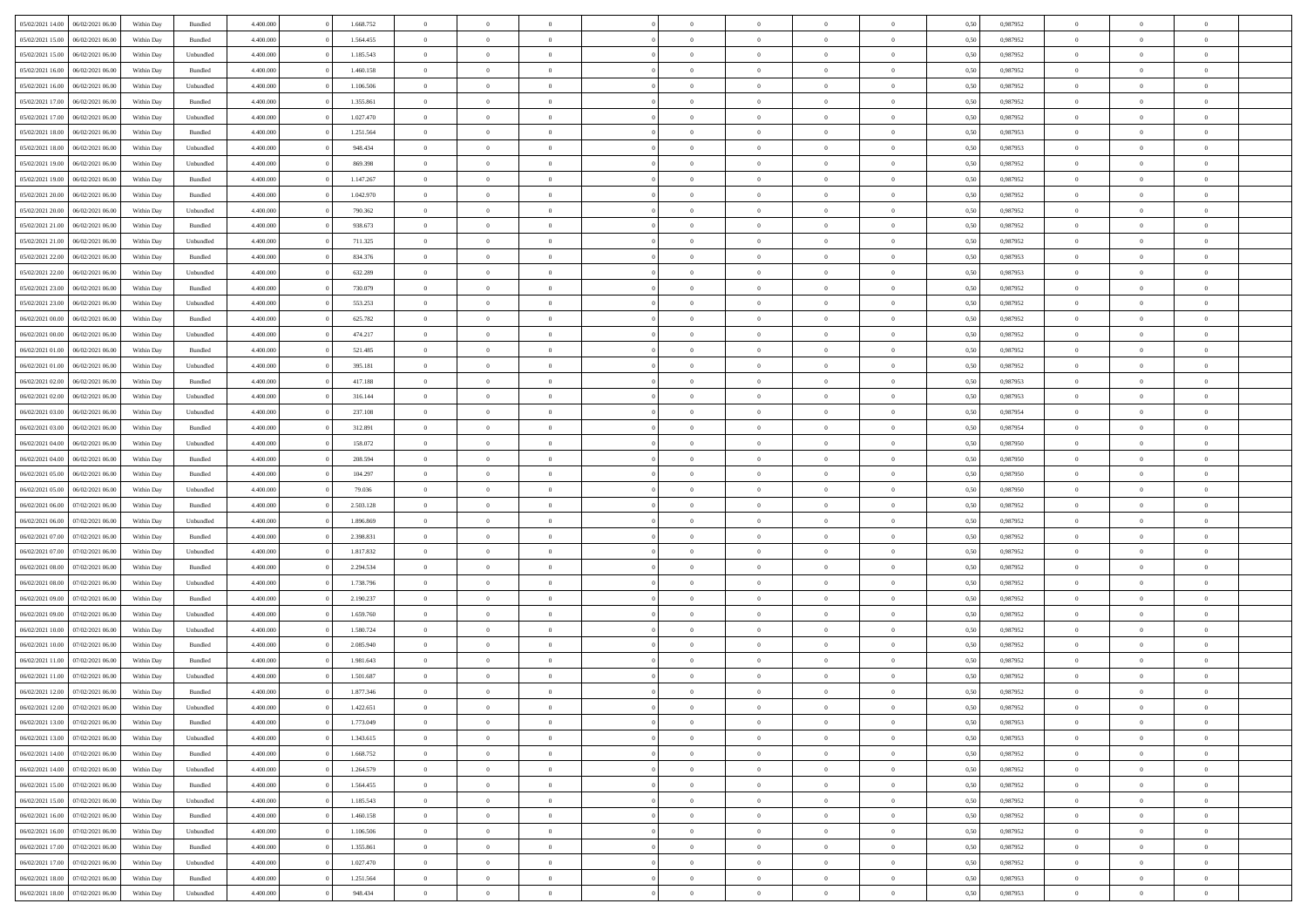| 05/02/2021 14:00                  | 06/02/2021 06:00 | Within Day | Bundled   | 4.400.000 | 1.668.752 | $\overline{0}$ | $\theta$       |                | $\Omega$       | $\Omega$       | $\theta$       | $\theta$       | 0,50 | 0,987952 | $\theta$       | $\overline{0}$ | $\theta$       |  |
|-----------------------------------|------------------|------------|-----------|-----------|-----------|----------------|----------------|----------------|----------------|----------------|----------------|----------------|------|----------|----------------|----------------|----------------|--|
|                                   |                  |            |           |           |           |                |                |                |                |                |                |                |      |          |                |                |                |  |
| 05/02/2021 15:00                  | 06/02/2021 06:00 | Within Day | Bundled   | 4.400.000 | 1.564.455 | $\overline{0}$ | $\theta$       | $\overline{0}$ | $\overline{0}$ | $\bf{0}$       | $\overline{0}$ | $\bf{0}$       | 0,50 | 0,987952 | $\theta$       | $\overline{0}$ | $\overline{0}$ |  |
| 05/02/2021 15:00                  | 06/02/2021 06:00 | Within Day | Unbundled | 4.400.000 | 1.185.543 | $\overline{0}$ | $\overline{0}$ | $\overline{0}$ | $\bf{0}$       | $\bf{0}$       | $\bf{0}$       | $\mathbf{0}$   | 0,50 | 0,987952 | $\overline{0}$ | $\overline{0}$ | $\bf{0}$       |  |
| 05/02/2021 16:00                  | 06/02/2021 06:00 | Within Dav | Bundled   | 4.400.000 | 1.460.158 | $\overline{0}$ | $\overline{0}$ | $\overline{0}$ | $\overline{0}$ | $\bf{0}$       | $\overline{0}$ | $\overline{0}$ | 0.50 | 0,987952 | $\theta$       | $\theta$       | $\overline{0}$ |  |
| 05/02/2021 16:00                  | 06/02/2021 06:00 | Within Day | Unbundled | 4.400.000 | 1.106.506 | $\overline{0}$ | $\theta$       | $\overline{0}$ | $\overline{0}$ | $\bf{0}$       | $\overline{0}$ | $\bf{0}$       | 0,50 | 0,987952 | $\theta$       | $\overline{0}$ | $\overline{0}$ |  |
|                                   |                  |            |           |           |           |                |                |                |                |                |                |                |      |          |                |                |                |  |
| 05/02/2021 17:00                  | 06/02/2021 06:00 | Within Day | Bundled   | 4.400.000 | 1.355.861 | $\overline{0}$ | $\overline{0}$ | $\overline{0}$ | $\bf{0}$       | $\overline{0}$ | $\overline{0}$ | $\mathbf{0}$   | 0,50 | 0,987952 | $\overline{0}$ | $\overline{0}$ | $\bf{0}$       |  |
| 05/02/2021 17:00                  | 06/02/2021 06:00 | Within Dav | Unbundled | 4.400.000 | 1.027.470 | $\overline{0}$ | $\overline{0}$ | $\overline{0}$ | $\overline{0}$ | $\overline{0}$ | $\overline{0}$ | $\overline{0}$ | 0.50 | 0,987952 | $\theta$       | $\overline{0}$ | $\overline{0}$ |  |
| 05/02/2021 18:00                  | 06/02/2021 06:00 | Within Day | Bundled   | 4.400.000 | 1.251.564 | $\overline{0}$ | $\theta$       | $\overline{0}$ | $\overline{0}$ | $\bf{0}$       | $\overline{0}$ | $\bf{0}$       | 0,50 | 0,987953 | $\theta$       | $\theta$       | $\overline{0}$ |  |
| 05/02/2021 18:00                  | 06/02/2021 06:00 | Within Day | Unbundled | 4.400.000 | 948.434   | $\overline{0}$ | $\overline{0}$ | $\overline{0}$ | $\bf{0}$       | $\bf{0}$       | $\bf{0}$       | $\mathbf{0}$   | 0,50 | 0,987953 | $\,0\,$        | $\overline{0}$ | $\overline{0}$ |  |
| 05/02/2021 19:00                  | 06/02/2021 06:00 | Within Dav | Unbundled | 4.400.000 | 869.398   | $\overline{0}$ | $\overline{0}$ | $\overline{0}$ | $\overline{0}$ | $\overline{0}$ | $\overline{0}$ | $\overline{0}$ | 0.50 | 0,987952 | $\theta$       | $\overline{0}$ | $\overline{0}$ |  |
| 05/02/2021 19:00                  | 06/02/2021 06:00 | Within Day | Bundled   | 4.400.000 | 1.147.267 | $\overline{0}$ | $\theta$       | $\overline{0}$ | $\overline{0}$ | $\bf{0}$       | $\overline{0}$ | $\bf{0}$       | 0,50 | 0,987952 | $\,$ 0 $\,$    | $\overline{0}$ | $\overline{0}$ |  |
|                                   |                  |            |           |           |           |                |                |                |                |                |                |                |      |          |                |                |                |  |
| 05/02/2021 20.00                  | 06/02/2021 06:00 | Within Day | Bundled   | 4.400.000 | 1.042.970 | $\overline{0}$ | $\overline{0}$ | $\overline{0}$ | $\bf{0}$       | $\bf{0}$       | $\bf{0}$       | $\mathbf{0}$   | 0,50 | 0,987952 | $\overline{0}$ | $\overline{0}$ | $\bf{0}$       |  |
| 05/02/2021 20:00                  | 06/02/2021 06:00 | Within Day | Unbundled | 4.400.000 | 790,362   | $\overline{0}$ | $\overline{0}$ | $\overline{0}$ | $\overline{0}$ | $\bf{0}$       | $\overline{0}$ | $\overline{0}$ | 0.50 | 0,987952 | $\theta$       | $\theta$       | $\overline{0}$ |  |
| 05/02/2021 21:00                  | 06/02/2021 06:00 | Within Day | Bundled   | 4.400.000 | 938.673   | $\overline{0}$ | $\theta$       | $\overline{0}$ | $\overline{0}$ | $\bf{0}$       | $\overline{0}$ | $\bf{0}$       | 0,50 | 0,987952 | $\theta$       | $\overline{0}$ | $\overline{0}$ |  |
| 05/02/2021 21.00                  | 06/02/2021 06:00 | Within Day | Unbundled | 4.400.000 | 711.325   | $\overline{0}$ | $\overline{0}$ | $\overline{0}$ | $\bf{0}$       | $\overline{0}$ | $\overline{0}$ | $\mathbf{0}$   | 0,50 | 0,987952 | $\overline{0}$ | $\overline{0}$ | $\bf{0}$       |  |
| 05/02/2021 22.00                  | 06/02/2021 06:00 | Within Dav | Bundled   | 4.400.000 | 834.376   | $\overline{0}$ | $\overline{0}$ | $\overline{0}$ | $\overline{0}$ | $\overline{0}$ | $\overline{0}$ | $\overline{0}$ | 0.50 | 0,987953 | $\theta$       | $\overline{0}$ | $\overline{0}$ |  |
| 05/02/2021 22:00                  | 06/02/2021 06:00 | Within Day | Unbundled | 4.400.000 | 632.289   | $\overline{0}$ | $\theta$       | $\overline{0}$ | $\overline{0}$ | $\bf{0}$       | $\overline{0}$ | $\bf{0}$       | 0,50 | 0,987953 | $\theta$       | $\overline{0}$ | $\overline{0}$ |  |
| 05/02/2021 23.00                  | 06/02/2021 06:00 | Within Day | Bundled   | 4.400.000 | 730.079   | $\overline{0}$ | $\overline{0}$ | $\overline{0}$ | $\bf{0}$       | $\bf{0}$       | $\bf{0}$       | $\mathbf{0}$   | 0,50 | 0,987952 | $\bf{0}$       | $\overline{0}$ | $\bf{0}$       |  |
|                                   |                  |            |           |           |           |                | $\overline{0}$ |                |                | $\overline{0}$ |                |                |      |          | $\theta$       | $\overline{0}$ | $\overline{0}$ |  |
| 05/02/2021 23:00                  | 06/02/2021 06:00 | Within Day | Unbundled | 4.400.000 | 553.253   | $\overline{0}$ |                | $\overline{0}$ | $\overline{0}$ |                | $\overline{0}$ | $\overline{0}$ | 0.50 | 0,987952 |                |                |                |  |
| 06/02/2021 00:00                  | 06/02/2021 06:00 | Within Day | Bundled   | 4.400.000 | 625.782   | $\overline{0}$ | $\theta$       | $\overline{0}$ | $\overline{0}$ | $\bf{0}$       | $\overline{0}$ | $\bf{0}$       | 0,50 | 0,987952 | $\,$ 0 $\,$    | $\overline{0}$ | $\overline{0}$ |  |
| 06/02/2021 00:00                  | 06/02/2021 06:00 | Within Day | Unbundled | 4.400.000 | 474.217   | $\overline{0}$ | $\overline{0}$ | $\overline{0}$ | $\bf{0}$       | $\bf{0}$       | $\overline{0}$ | $\mathbf{0}$   | 0,50 | 0,987952 | $\overline{0}$ | $\overline{0}$ | $\bf{0}$       |  |
| 06/02/2021 01:00                  | 06/02/2021 06:00 | Within Day | Bundled   | 4.400.000 | 521.485   | $\overline{0}$ | $\overline{0}$ | $\overline{0}$ | $\overline{0}$ | $\overline{0}$ | $\overline{0}$ | $\overline{0}$ | 0.50 | 0,987952 | $\theta$       | $\overline{0}$ | $\overline{0}$ |  |
| 06/02/2021 01:00                  | 06/02/2021 06:00 | Within Day | Unbundled | 4.400.000 | 395.181   | $\overline{0}$ | $\theta$       | $\overline{0}$ | $\overline{0}$ | $\bf{0}$       | $\overline{0}$ | $\bf{0}$       | 0,50 | 0,987952 | $\,$ 0 $\,$    | $\overline{0}$ | $\overline{0}$ |  |
| 06/02/2021 02:00                  | 06/02/2021 06:00 | Within Day | Bundled   | 4.400.000 | 417.188   | $\overline{0}$ | $\overline{0}$ | $\overline{0}$ | $\overline{0}$ | $\overline{0}$ | $\overline{0}$ | $\mathbf{0}$   | 0,50 | 0,987953 | $\overline{0}$ | $\overline{0}$ | $\bf{0}$       |  |
| 06/02/2021 02:00                  | 06/02/2021 06:00 | Within Day | Unbundled | 4.400.000 | 316.144   | $\overline{0}$ | $\overline{0}$ | $\overline{0}$ | $\overline{0}$ | $\overline{0}$ | $\overline{0}$ | $\overline{0}$ | 0.50 | 0,987953 | $\overline{0}$ | $\overline{0}$ | $\overline{0}$ |  |
|                                   |                  |            |           |           |           |                |                |                |                |                |                |                |      |          |                |                |                |  |
| 06/02/2021 03:00                  | 06/02/2021 06:00 | Within Day | Unbundled | 4.400.000 | 237.108   | $\overline{0}$ | $\theta$       | $\overline{0}$ | $\overline{0}$ | $\bf{0}$       | $\overline{0}$ | $\bf{0}$       | 0,50 | 0,987954 | $\theta$       | $\overline{0}$ | $\overline{0}$ |  |
| 06/02/2021 03:00                  | 06/02/2021 06:00 | Within Day | Bundled   | 4.400.000 | 312.891   | $\overline{0}$ | $\overline{0}$ | $\overline{0}$ | $\overline{0}$ | $\bf{0}$       | $\overline{0}$ | $\mathbf{0}$   | 0,50 | 0,987954 | $\,0\,$        | $\overline{0}$ | $\bf{0}$       |  |
| 06/02/2021 04:00                  | 06/02/2021 06:00 | Within Day | Unbundled | 4.400.000 | 158.072   | $\overline{0}$ | $\overline{0}$ | $\overline{0}$ | $\overline{0}$ | $\overline{0}$ | $\overline{0}$ | $\overline{0}$ | 0.50 | 0,987950 | $\theta$       | $\overline{0}$ | $\overline{0}$ |  |
| 06/02/2021 04:00                  | 06/02/2021 06:00 | Within Day | Bundled   | 4.400.000 | 208.594   | $\overline{0}$ | $\overline{0}$ | $\overline{0}$ | $\overline{0}$ | $\bf{0}$       | $\overline{0}$ | $\bf{0}$       | 0,50 | 0,987950 | $\,$ 0 $\,$    | $\overline{0}$ | $\overline{0}$ |  |
| 06/02/2021 05:00                  | 06/02/2021 06:00 | Within Day | Bundled   | 4.400.000 | 104.297   | $\overline{0}$ | $\overline{0}$ | $\overline{0}$ | $\overline{0}$ | $\bf{0}$       | $\overline{0}$ | $\mathbf{0}$   | 0,50 | 0,987950 | $\overline{0}$ | $\overline{0}$ | $\bf{0}$       |  |
| 06/02/2021 05:00                  | 06/02/2021 06:00 | Within Day | Unbundled | 4.400,000 | 79.036    | $\overline{0}$ | $\Omega$       | $\overline{0}$ | $\Omega$       | $\Omega$       | $\overline{0}$ | $\overline{0}$ | 0,50 | 0,987950 | $\,0\,$        | $\theta$       | $\theta$       |  |
| 06/02/2021 06:00                  | 07/02/2021 06.00 | Within Day | Bundled   | 4.400.000 | 2.503.128 | $\overline{0}$ | $\overline{0}$ | $\overline{0}$ | $\overline{0}$ | $\bf{0}$       | $\overline{0}$ | $\bf{0}$       | 0,50 | 0,987952 | $\,$ 0 $\,$    | $\overline{0}$ | $\overline{0}$ |  |
|                                   |                  |            |           |           |           |                |                |                |                |                |                |                |      |          |                |                |                |  |
| 06/02/2021 06:00                  | 07/02/2021 06:00 | Within Day | Unbundled | 4.400.000 | 1.896.869 | $\overline{0}$ | $\overline{0}$ | $\overline{0}$ | $\overline{0}$ | $\overline{0}$ | $\overline{0}$ | $\mathbf{0}$   | 0,50 | 0,987952 | $\overline{0}$ | $\overline{0}$ | $\bf{0}$       |  |
| 06/02/2021 07:00                  | 07/02/2021 06:00 | Within Day | Bundled   | 4.400,000 | 2.398.831 | $\overline{0}$ | $\Omega$       | $\Omega$       | $\Omega$       | $\overline{0}$ | $\overline{0}$ | $\overline{0}$ | 0.50 | 0,987952 | $\,0\,$        | $\theta$       | $\theta$       |  |
| 06/02/2021 07:00                  | 07/02/2021 06:00 | Within Day | Unbundled | 4.400.000 | 1.817.832 | $\overline{0}$ | $\theta$       | $\overline{0}$ | $\overline{0}$ | $\bf{0}$       | $\overline{0}$ | $\bf{0}$       | 0,50 | 0,987952 | $\,$ 0 $\,$    | $\overline{0}$ | $\overline{0}$ |  |
| 06/02/2021 08:00                  | 07/02/2021 06:00 | Within Day | Bundled   | 4.400.000 | 2.294.534 | $\overline{0}$ | $\overline{0}$ | $\overline{0}$ | $\overline{0}$ | $\bf{0}$       | $\overline{0}$ | $\mathbf{0}$   | 0,50 | 0,987952 | $\bf{0}$       | $\overline{0}$ | $\bf{0}$       |  |
| 06/02/2021 08:00                  | 07/02/2021 06:00 | Within Day | Unbundled | 4.400,000 | 1.738.796 | $\overline{0}$ | $\Omega$       | $\overline{0}$ | $\Omega$       | $\overline{0}$ | $\overline{0}$ | $\overline{0}$ | 0.50 | 0.987952 | $\,$ 0 $\,$    | $\theta$       | $\theta$       |  |
| 06/02/2021 09:00                  | 07/02/2021 06:00 | Within Day | Bundled   | 4.400.000 | 2.190.237 | $\overline{0}$ | $\overline{0}$ | $\overline{0}$ | $\overline{0}$ | $\,$ 0         | $\overline{0}$ | $\bf{0}$       | 0,50 | 0,987952 | $\,$ 0 $\,$    | $\overline{0}$ | $\overline{0}$ |  |
| 06/02/2021 09:00                  | 07/02/2021 06:00 | Within Day | Unbundled | 4.400.000 | 1.659.760 | $\overline{0}$ | $\overline{0}$ | $\overline{0}$ | $\bf{0}$       | $\bf{0}$       | $\overline{0}$ | $\mathbf{0}$   | 0,50 | 0,987952 | $\overline{0}$ | $\overline{0}$ | $\bf{0}$       |  |
|                                   |                  |            |           |           |           |                |                |                |                |                |                |                |      |          |                |                |                |  |
| 06/02/2021 10:00                  | 07/02/2021 06:00 | Within Day | Unbundled | 4.400,000 | 1.580.724 | $\overline{0}$ | $\Omega$       | $\overline{0}$ | $\Omega$       | $\overline{0}$ | $\overline{0}$ | $\overline{0}$ | 0,50 | 0,987952 | $\,0\,$        | $\theta$       | $\theta$       |  |
| 06/02/2021 10:00                  | 07/02/2021 06:00 | Within Day | Bundled   | 4.400.000 | 2.085.940 | $\overline{0}$ | $\overline{0}$ | $\overline{0}$ | $\overline{0}$ | $\,$ 0         | $\overline{0}$ | $\bf{0}$       | 0,50 | 0,987952 | $\,$ 0 $\,$    | $\overline{0}$ | $\overline{0}$ |  |
| 06/02/2021 11:00                  | 07/02/2021 06:00 | Within Day | Bundled   | 4.400.000 | 1.981.643 | $\overline{0}$ | $\overline{0}$ | $\overline{0}$ | $\bf{0}$       | $\bf{0}$       | $\overline{0}$ | $\mathbf{0}$   | 0,50 | 0,987952 | $\overline{0}$ | $\overline{0}$ | $\bf{0}$       |  |
| 06/02/2021 11:00                  | 07/02/2021 06:00 | Within Day | Unbundled | 4.400,000 | 1.501.687 | $\overline{0}$ | $\Omega$       | $\Omega$       | $\Omega$       | $\Omega$       | $\Omega$       | $\overline{0}$ | 0.50 | 0.987952 | $\theta$       | $\theta$       | $\theta$       |  |
| 06/02/2021 12:00                  | 07/02/2021 06:00 | Within Day | Bundled   | 4.400.000 | 1.877.346 | $\overline{0}$ | $\overline{0}$ | $\overline{0}$ | $\bf{0}$       | $\,$ 0         | $\bf{0}$       | $\bf{0}$       | 0,50 | 0,987952 | $\,0\,$        | $\,$ 0 $\,$    | $\overline{0}$ |  |
| 06/02/2021 12:00 07/02/2021 06:00 |                  | Within Day | Unbundled | 4.400.000 | 1.422.651 | $\bf{0}$       | $\bf{0}$       |                |                | $\bf{0}$       |                |                | 0,50 | 0,987952 | $\bf{0}$       | $\overline{0}$ |                |  |
| 06/02/2021 13:00                  | 07/02/2021 06:00 | Within Day | Bundled   | 4.400.000 | 1.773.049 | $\overline{0}$ | $\overline{0}$ | $\overline{0}$ | $\Omega$       | $\overline{0}$ | $\overline{0}$ | $\overline{0}$ | 0.50 | 0.987953 | $\theta$       | $\theta$       | $\theta$       |  |
| 06/02/2021 13:00                  | 07/02/2021 06:00 |            | Unbundled | 4.400.000 | 1.343.615 | $\overline{0}$ | $\,$ 0         | $\overline{0}$ |                | $\,$ 0 $\,$    | $\overline{0}$ |                |      | 0,987953 | $\,$ 0 $\,$    | $\,$ 0 $\,$    | $\,$ 0         |  |
|                                   |                  | Within Day |           |           |           |                |                |                | $\bf{0}$       |                |                | $\mathbf{0}$   | 0,50 |          |                |                |                |  |
| 06/02/2021 14:00                  | 07/02/2021 06:00 | Within Day | Bundled   | 4.400.000 | 1.668.752 | $\overline{0}$ | $\overline{0}$ | $\overline{0}$ | $\overline{0}$ | $\overline{0}$ | $\overline{0}$ | $\mathbf{0}$   | 0,50 | 0,987952 | $\overline{0}$ | $\bf{0}$       | $\bf{0}$       |  |
| 06/02/2021 14:00                  | 07/02/2021 06:00 | Within Day | Unbundled | 4.400,000 | 1.264.579 | $\overline{0}$ | $\overline{0}$ | $\overline{0}$ | $\Omega$       | $\overline{0}$ | $\overline{0}$ | $\overline{0}$ | 0,50 | 0,987952 | $\overline{0}$ | $\theta$       | $\overline{0}$ |  |
| 06/02/2021 15:00                  | 07/02/2021 06:00 | Within Day | Bundled   | 4.400.000 | 1.564.455 | $\overline{0}$ | $\,$ 0         | $\overline{0}$ | $\overline{0}$ | $\,$ 0 $\,$    | $\overline{0}$ | $\mathbf{0}$   | 0,50 | 0,987952 | $\,$ 0 $\,$    | $\overline{0}$ | $\overline{0}$ |  |
| 06/02/2021 15:00                  | 07/02/2021 06:00 | Within Day | Unbundled | 4.400.000 | 1.185.543 | $\overline{0}$ | $\overline{0}$ | $\overline{0}$ | $\overline{0}$ | $\overline{0}$ | $\overline{0}$ | $\mathbf{0}$   | 0,50 | 0,987952 | $\overline{0}$ | $\overline{0}$ | $\bf{0}$       |  |
| 06/02/2021 16:00                  | 07/02/2021 06:00 | Within Day | Bundled   | 4.400.000 | 1.460.158 | $\overline{0}$ | $\overline{0}$ | $\overline{0}$ | $\overline{0}$ | $\overline{0}$ | $\overline{0}$ | $\bf{0}$       | 0.50 | 0,987952 | $\overline{0}$ | $\theta$       | $\overline{0}$ |  |
| 06/02/2021 16:00                  | 07/02/2021 06:00 | Within Day | Unbundled | 4.400.000 | 1.106.506 | $\overline{0}$ | $\,$ 0         | $\overline{0}$ | $\bf{0}$       | $\bf{0}$       | $\bf{0}$       | $\bf{0}$       | 0,50 | 0,987952 | $\,$ 0 $\,$    | $\overline{0}$ | $\overline{0}$ |  |
| 06/02/2021 17:00                  | 07/02/2021 06:00 | Within Day | Bundled   | 4.400.000 | 1.355.861 | $\overline{0}$ | $\bf{0}$       | $\overline{0}$ | $\overline{0}$ | $\overline{0}$ | $\overline{0}$ | $\mathbf{0}$   | 0,50 | 0,987952 | $\overline{0}$ | $\overline{0}$ | $\bf{0}$       |  |
|                                   |                  |            |           |           |           |                |                |                |                |                |                |                |      |          |                |                |                |  |
| 06/02/2021 17:00                  | 07/02/2021 06:00 | Within Day | Unbundled | 4.400,000 | 1.027.470 | $\overline{0}$ | $\overline{0}$ | $\overline{0}$ | $\Omega$       | $\overline{0}$ | $\overline{0}$ | $\overline{0}$ | 0.50 | 0,987952 | $\overline{0}$ | $\overline{0}$ | $\overline{0}$ |  |
| 06/02/2021 18:00                  | 07/02/2021 06:00 | Within Day | Bundled   | 4.400.000 | 1.251.564 | $\overline{0}$ | $\bf{0}$       | $\overline{0}$ | $\bf{0}$       | $\bf{0}$       | $\bf{0}$       | $\mathbf{0}$   | 0,50 | 0,987953 | $\,$ 0 $\,$    | $\,$ 0 $\,$    | $\bf{0}$       |  |
| 06/02/2021 18:00                  | 07/02/2021 06:00 | Within Day | Unbundled | 4.400.000 | 948.434   | $\overline{0}$ | $\overline{0}$ | $\overline{0}$ | $\overline{0}$ | $\overline{0}$ | $\bf{0}$       | $\mathbf{0}$   | 0,50 | 0,987953 | $\overline{0}$ | $\bf{0}$       | $\overline{0}$ |  |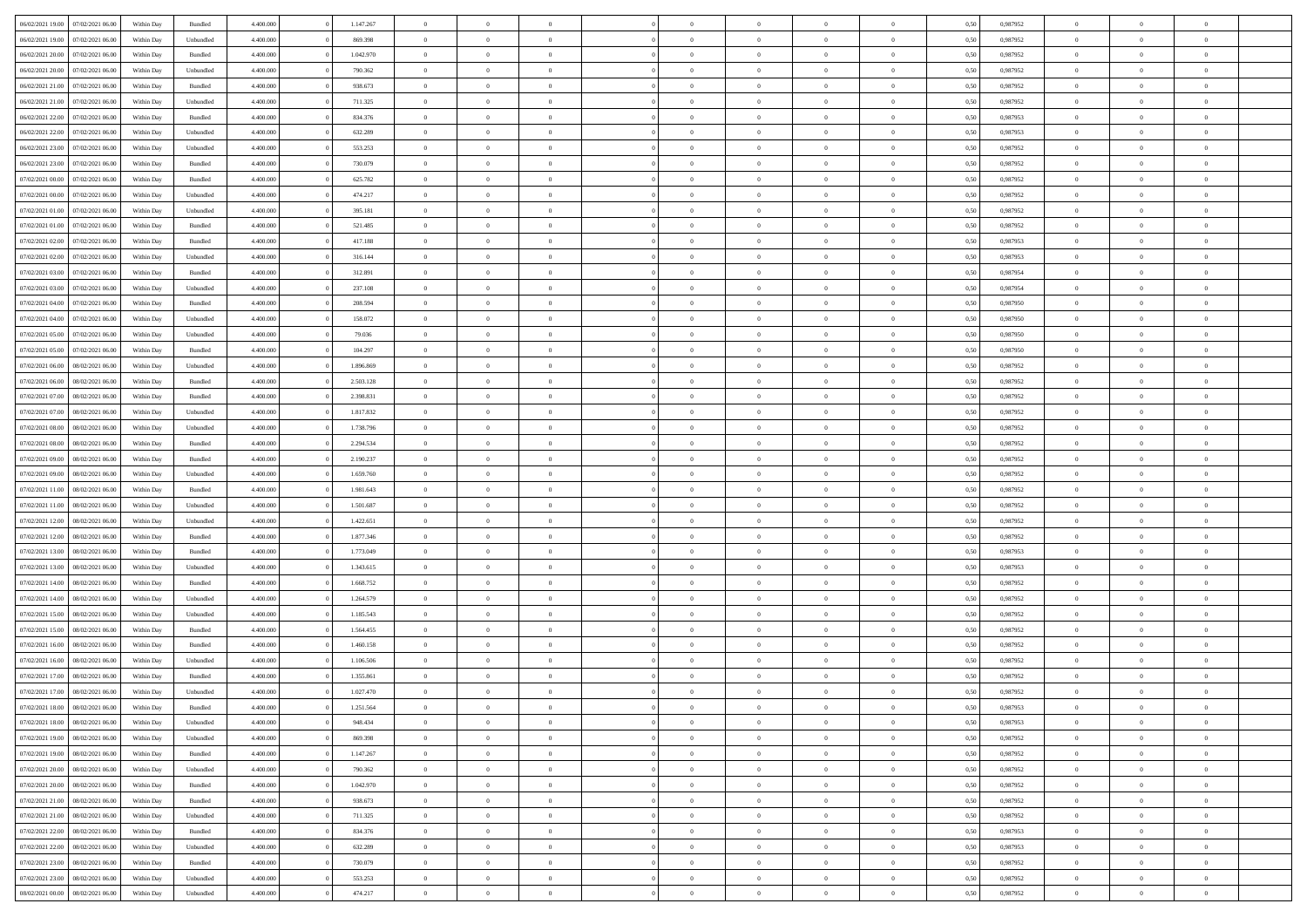| 06/02/2021 19:00 07/02/2021 06:00                                            | Within Day               | Bundled              | 4.400.000 | 1.147.267            | $\overline{0}$ | $\overline{0}$             | $\Omega$                         | $\Omega$                         | $\theta$       | $\Omega$       | $\overline{0}$          | 0,50         | 0,987952             | $\theta$                      | $\theta$       | $\theta$       |  |
|------------------------------------------------------------------------------|--------------------------|----------------------|-----------|----------------------|----------------|----------------------------|----------------------------------|----------------------------------|----------------|----------------|-------------------------|--------------|----------------------|-------------------------------|----------------|----------------|--|
| 06/02/2021 19:00<br>07/02/2021 06:00                                         | Within Day               | Unbundled            | 4.400.000 | 869.398              | $\overline{0}$ | $\overline{0}$             | $\overline{0}$                   | $\overline{0}$                   | $\theta$       | $\overline{0}$ | $\bf{0}$                | 0,50         | 0,987952             | $\theta$                      | $\theta$       | $\overline{0}$ |  |
| 06/02/2021 20:00<br>07/02/2021 06:00                                         | Within Day               | Bundled              | 4.400.000 | 1.042.970            | $\overline{0}$ | $\bf{0}$                   | $\overline{0}$                   | $\overline{0}$                   | $\bf{0}$       | $\overline{0}$ | $\bf{0}$                | 0,50         | 0,987952             | $\bf{0}$                      | $\overline{0}$ | $\overline{0}$ |  |
| 06/02/2021 20:00<br>07/02/2021 06:00                                         | Within Day               | Unbundled            | 4.400.000 | 790.362              | $\overline{0}$ | $\overline{0}$             | $\overline{0}$                   | $\overline{0}$                   | $\theta$       | $\overline{0}$ | $\overline{0}$          | 0.50         | 0,987952             | $\theta$                      | $\theta$       | $\overline{0}$ |  |
| 06/02/2021 21:00<br>07/02/2021 06:00                                         | Within Day               | Bundled              | 4.400.000 | 938.673              | $\overline{0}$ | $\overline{0}$             | $\overline{0}$                   | $\overline{0}$                   | $\theta$       | $\overline{0}$ | $\bf{0}$                | 0,50         | 0,987952             | $\theta$                      | $\theta$       | $\overline{0}$ |  |
| 06/02/2021 21:00<br>07/02/2021 06:00                                         | Within Day               | Unbundled            | 4.400.000 | 711.325              | $\overline{0}$ | $\bf{0}$                   | $\overline{0}$                   | $\overline{0}$                   | $\overline{0}$ | $\overline{0}$ | $\bf{0}$                | 0,50         | 0,987952             | $\bf{0}$                      | $\overline{0}$ | $\bf{0}$       |  |
| 06/02/2021 22:00<br>07/02/2021 06:00                                         | Within Day               | Bundled              | 4.400.000 | 834.376              | $\overline{0}$ | $\overline{0}$             | $\overline{0}$                   | $\overline{0}$                   | $\overline{0}$ | $\overline{0}$ | $\overline{0}$          | 0.5(         | 0,987953             | $\theta$                      | $\theta$       | $\overline{0}$ |  |
|                                                                              |                          |                      |           |                      |                |                            |                                  |                                  |                |                |                         |              |                      |                               |                |                |  |
| 06/02/2021 22:00<br>07/02/2021 06:00                                         | Within Day               | Unbundled            | 4.400.000 | 632.289              | $\overline{0}$ | $\theta$                   | $\overline{0}$                   | $\overline{0}$                   | $\theta$       | $\overline{0}$ | $\bf{0}$                | 0,50         | 0,987953             | $\theta$                      | $\theta$       | $\overline{0}$ |  |
| 06/02/2021 23:00<br>07/02/2021 06:00                                         | Within Day               | Unbundled            | 4.400.000 | 553.253              | $\overline{0}$ | $\bf{0}$                   | $\overline{0}$                   | $\overline{0}$                   | $\overline{0}$ | $\overline{0}$ | $\bf{0}$                | 0,50         | 0,987952             | $\bf{0}$                      | $\bf{0}$       | $\overline{0}$ |  |
| 06/02/2021 23:00<br>07/02/2021 06:00                                         | Within Day               | Bundled              | 4.400.000 | 730.079              | $\overline{0}$ | $\overline{0}$             | $\overline{0}$                   | $\overline{0}$                   | $\overline{0}$ | $\overline{0}$ | $\bf{0}$                | 0.5(         | 0,987952             | $\theta$                      | $\theta$       | $\overline{0}$ |  |
| 07/02/2021 00:00<br>07/02/2021 06:00                                         | Within Day               | Bundled              | 4.400.000 | 625.782              | $\bf{0}$       | $\overline{0}$             | $\overline{0}$                   | $\overline{0}$                   | $\theta$       | $\overline{0}$ | $\bf{0}$                | 0,50         | 0,987952             | $\theta$                      | $\theta$       | $\overline{0}$ |  |
| 07/02/2021 00:00<br>07/02/2021 06:00                                         | Within Day               | Unbundled            | 4.400.000 | 474.217              | $\overline{0}$ | $\bf{0}$                   | $\overline{0}$                   | $\overline{0}$                   | $\bf{0}$       | $\overline{0}$ | $\bf{0}$                | 0,50         | 0,987952             | $\bf{0}$                      | $\overline{0}$ | $\overline{0}$ |  |
| 07/02/2021 01:00<br>07/02/2021 06:00                                         | Within Day               | Unbundled            | 4.400.000 | 395.181              | $\overline{0}$ | $\overline{0}$             | $\overline{0}$                   | $\overline{0}$                   | $\overline{0}$ | $\overline{0}$ | $\overline{0}$          | 0.5(         | 0,987952             | $\theta$                      | $\theta$       | $\overline{0}$ |  |
| 07/02/2021 01:00<br>07/02/2021 06:00                                         | Within Day               | Bundled              | 4.400.000 | 521.485              | $\overline{0}$ | $\overline{0}$             | $\overline{0}$                   | $\overline{0}$                   | $\theta$       | $\overline{0}$ | $\,$ 0 $\,$             | 0,50         | 0,987952             | $\theta$                      | $\theta$       | $\overline{0}$ |  |
| 07/02/2021 02:00<br>07/02/2021 06:00                                         | Within Day               | Bundled              | 4.400.000 | 417.188              | $\overline{0}$ | $\bf{0}$                   | $\overline{0}$                   | $\overline{0}$                   | $\overline{0}$ | $\overline{0}$ | $\bf{0}$                | 0,50         | 0,987953             | $\bf{0}$                      | $\overline{0}$ | $\bf{0}$       |  |
| 07/02/2021 02:00<br>07/02/2021 06:00                                         | Within Day               | Unbundled            | 4.400.000 | 316.144              | $\overline{0}$ | $\overline{0}$             | $\overline{0}$                   | $\overline{0}$                   | $\overline{0}$ | $\overline{0}$ | $\overline{0}$          | 0.5(         | 0,987953             | $\theta$                      | $\overline{0}$ | $\overline{0}$ |  |
| 07/02/2021 03:00<br>07/02/2021 06:00                                         | Within Day               | Bundled              | 4.400.000 | 312.891              | $\overline{0}$ | $\overline{0}$             | $\overline{0}$                   | $\overline{0}$                   | $\theta$       | $\overline{0}$ | $\bf{0}$                | 0,50         | 0,987954             | $\theta$                      | $\theta$       | $\overline{0}$ |  |
| 07/02/2021 03:00<br>07/02/2021 06:00                                         | Within Day               | Unbundled            | 4.400.000 | 237.108              | $\overline{0}$ | $\bf{0}$                   | $\overline{0}$                   | $\overline{0}$                   | $\overline{0}$ | $\overline{0}$ | $\bf{0}$                | 0,50         | 0,987954             | $\bf{0}$                      | $\overline{0}$ | $\overline{0}$ |  |
| 07/02/2021 04:00<br>07/02/2021 06:00                                         | Within Day               | Bundled              | 4.400.000 | 208.594              | $\overline{0}$ | $\overline{0}$             | $\overline{0}$                   | $\overline{0}$                   | $\overline{0}$ | $\overline{0}$ | $\overline{0}$          | 0.50         | 0,987950             | $\theta$                      | $\theta$       | $\overline{0}$ |  |
| 07/02/2021 04:00<br>07/02/2021 06:00                                         | Within Day               | Unbundled            | 4.400.000 | 158.072              | $\bf{0}$       | $\overline{0}$             | $\overline{0}$                   | $\overline{0}$                   | $\theta$       | $\overline{0}$ | $\bf{0}$                | 0,50         | 0,987950             | $\theta$                      | $\theta$       | $\overline{0}$ |  |
| 07/02/2021 05:00<br>07/02/2021 06:00                                         | Within Day               | Unbundled            | 4.400.000 | 79.036               | $\overline{0}$ | $\bf{0}$                   | $\overline{0}$                   | $\overline{0}$                   | $\bf{0}$       | $\overline{0}$ | $\bf{0}$                | 0,50         | 0,987950             | $\bf{0}$                      | $\overline{0}$ | $\overline{0}$ |  |
| 07/02/2021 05:00<br>07/02/2021 06:00                                         | Within Day               | Bundled              | 4.400.000 | 104.297              | $\overline{0}$ | $\overline{0}$             | $\overline{0}$                   | $\overline{0}$                   | $\overline{0}$ | $\overline{0}$ | $\overline{0}$          | 0.50         | 0.987950             | $\theta$                      | $\theta$       | $\overline{0}$ |  |
| 07/02/2021 06:00<br>08/02/2021 06:00                                         | Within Day               | Unbundled            | 4.400.000 | 1.896.869            | $\overline{0}$ | $\theta$                   | $\overline{0}$                   | $\overline{0}$                   | $\theta$       | $\overline{0}$ | $\bf{0}$                | 0,50         | 0,987952             | $\theta$                      | $\theta$       | $\overline{0}$ |  |
| 07/02/2021 06:00<br>08/02/2021 06:00                                         | Within Day               | Bundled              | 4.400.000 | 2.503.128            | $\overline{0}$ | $\bf{0}$                   | $\overline{0}$                   | $\overline{0}$                   | $\overline{0}$ | $\overline{0}$ | $\bf{0}$                | 0,50         | 0,987952             | $\bf{0}$                      | $\overline{0}$ | $\bf{0}$       |  |
| 07/02/2021 07:00<br>08/02/2021 06:00                                         | Within Day               | Bundled              | 4.400.000 | 2.398.831            | $\overline{0}$ | $\overline{0}$             | $\overline{0}$                   | $\overline{0}$                   | $\overline{0}$ | $\overline{0}$ | $\overline{0}$          | 0.5(         | 0,987952             | $\overline{0}$                | $\theta$       | $\overline{0}$ |  |
| 07/02/2021 07:00<br>08/02/2021 06:00                                         | Within Day               | Unbundled            | 4.400.000 | 1.817.832            | $\overline{0}$ | $\overline{0}$             | $\overline{0}$                   | $\overline{0}$                   | $\theta$       | $\overline{0}$ | $\bf{0}$                | 0,50         | 0,987952             | $\theta$                      | $\theta$       | $\overline{0}$ |  |
| 07/02/2021 08:00<br>08/02/2021 06:00                                         | Within Day               | Unbundled            | 4.400.000 | 1.738.796            | $\overline{0}$ | $\bf{0}$                   | $\overline{0}$                   | $\overline{0}$                   | $\overline{0}$ | $\overline{0}$ | $\bf{0}$                | 0,50         | 0,987952             | $\bf{0}$                      | $\bf{0}$       | $\overline{0}$ |  |
| 07/02/2021 08:00<br>08/02/2021 06:00                                         | Within Day               | Bundled              | 4.400.000 | 2.294.534            | $\overline{0}$ | $\overline{0}$             | $\overline{0}$                   | $\overline{0}$                   | $\overline{0}$ | $\overline{0}$ | $\overline{0}$          | 0.5(         | 0,987952             | $\theta$                      | $\theta$       | $\overline{0}$ |  |
| 07/02/2021 09:00<br>08/02/2021 06:00                                         | Within Day               | Bundled              | 4.400.000 | 2.190.237            | $\bf{0}$       | $\overline{0}$             | $\overline{0}$                   | $\overline{0}$                   | $\theta$       | $\overline{0}$ | $\bf{0}$                | 0,50         | 0,987952             | $\theta$                      | $\theta$       | $\overline{0}$ |  |
| 07/02/2021 09:00<br>08/02/2021 06:00                                         | Within Day               | Unbundled            | 4.400.000 | 1.659.760            | $\overline{0}$ | $\bf{0}$                   | $\overline{0}$                   | $\overline{0}$                   | $\bf{0}$       | $\overline{0}$ | $\bf{0}$                | 0,50         | 0,987952             | $\bf{0}$                      | $\overline{0}$ | $\overline{0}$ |  |
| 07/02/2021 11:00<br>08/02/2021 06:00                                         | Within Day               | Bundled              | 4,400,000 | 1.981.643            | $\overline{0}$ | $\overline{0}$             | $\Omega$                         | $\Omega$                         | $\Omega$       | $\Omega$       | $\overline{0}$          | 0.50         | 0,987952             | $\,$ 0 $\,$                   | $\Omega$       | $\theta$       |  |
| 07/02/2021 11:00<br>08/02/2021 06:00                                         | Within Day               | Unbundled            | 4.400.000 | 1.501.687            | $\bf{0}$       | $\overline{0}$             | $\overline{0}$                   | $\overline{0}$                   | $\theta$       | $\overline{0}$ | $\bf{0}$                | 0,50         | 0,987952             | $\theta$                      | $\theta$       | $\overline{0}$ |  |
| 07/02/2021 12:00<br>08/02/2021 06:00                                         | Within Day               | Unbundled            | 4.400.000 | 1.422.651            | $\overline{0}$ | $\bf{0}$                   | $\overline{0}$                   | $\overline{0}$                   | $\overline{0}$ | $\overline{0}$ | $\bf{0}$                | 0,50         | 0,987952             | $\bf{0}$                      | $\overline{0}$ | $\bf{0}$       |  |
| 07/02/2021 12:00<br>08/02/2021 06:00                                         | Within Day               | Bundled              | 4,400,000 | 1.877.346            | $\overline{0}$ | $\overline{0}$             | $\Omega$                         | $\Omega$                         | $\overline{0}$ | $\Omega$       | $\overline{0}$          | 0.50         | 0,987952             | $\bf{0}$                      | $\theta$       | $\theta$       |  |
| 07/02/2021 13:00<br>08/02/2021 06:00                                         | Within Day               | Bundled              | 4.400.000 | 1.773.049            | $\bf{0}$       | $\overline{0}$             | $\overline{0}$                   | $\overline{0}$                   | $\theta$       | $\overline{0}$ | $\bf{0}$                | 0,50         | 0,987953             | $\theta$                      | $\theta$       | $\overline{0}$ |  |
| 07/02/2021 13:00<br>08/02/2021 06:00                                         | Within Day               | Unbundled            | 4.400.000 | 1.343.615            | $\overline{0}$ | $\bf{0}$                   | $\overline{0}$                   | $\overline{0}$                   | $\overline{0}$ | $\bf{0}$       | $\bf{0}$                | 0,50         | 0,987953             | $\bf{0}$                      | $\overline{0}$ | $\overline{0}$ |  |
| 07/02/2021 14:00<br>08/02/2021 06:00                                         | Within Day               | Bundled              | 4,400,000 | 1.668.752            | $\overline{0}$ | $\overline{0}$             | $\Omega$                         | $\Omega$                         | $\Omega$       | $\Omega$       | $\overline{0}$          | 0.50         | 0.987952             | $\theta$                      | $\Omega$       | $\theta$       |  |
| 07/02/2021 14:00<br>08/02/2021 06:00                                         | Within Day               | Unbundled            | 4.400.000 | 1.264.579            | $\bf{0}$       | $\overline{0}$             | $\overline{0}$                   | $\overline{0}$                   | $\theta$       | $\overline{0}$ | $\bf{0}$                | 0,50         | 0,987952             | $\theta$                      | $\theta$       | $\overline{0}$ |  |
| 07/02/2021 15:00<br>08/02/2021 06:00                                         | Within Day               | Unbundled            | 4.400.000 | 1.185.543            | $\overline{0}$ | $\bf{0}$                   | $\overline{0}$                   | $\overline{0}$                   | $\overline{0}$ | $\overline{0}$ | $\bf{0}$                | 0,50         | 0,987952             | $\bf{0}$                      | $\overline{0}$ | $\overline{0}$ |  |
| 07/02/2021 15:00<br>08/02/2021 06:00                                         | Within Day               | Bundled              | 4,400,000 | 1.564.455            | $\overline{0}$ | $\overline{0}$             | $\Omega$                         | $\Omega$                         | $\theta$       | $\Omega$       | $\overline{0}$          | 0.50         | 0,987952             | $\bf{0}$                      | $\overline{0}$ | $\theta$       |  |
| 07/02/2021 16:00<br>08/02/2021 06:00                                         | Within Day               | Bundled              | 4.400.000 | 1.460.158            | $\bf{0}$       | $\overline{0}$             | $\overline{0}$                   | $\overline{0}$                   | $\theta$       | $\overline{0}$ | $\bf{0}$                | 0,50         | 0,987952             | $\theta$                      | $\theta$       | $\overline{0}$ |  |
| 07/02/2021 16:00<br>08/02/2021 06:00                                         | Within Day               | Unbundled            | 4.400.000 | 1.106.506            | $\overline{0}$ | $\bf{0}$                   | $\overline{0}$                   | $\overline{0}$                   | $\overline{0}$ | $\overline{0}$ | $\bf{0}$                | 0,50         | 0,987952             | $\bf{0}$                      | $\overline{0}$ | $\bf{0}$       |  |
| 07/02/2021 17:00<br>08/02/2021 06:00                                         | Within Day               | Bundled              | 4,400,000 | 1.355.861            | $\overline{0}$ | $\Omega$                   | $\Omega$                         | $\Omega$                         | $\Omega$       | $\theta$       | $\overline{0}$          | 0.50         | 0.987952             | $\theta$                      | $\overline{0}$ | $\theta$       |  |
| 07/02/2021 17:00  08/02/2021 06:00                                           | Within Day               | Unbundled            | 4.400.000 | 1.027.470            | $\bf{0}$       | $\bf{0}$                   | $\overline{0}$                   | $\overline{0}$                   | $\bf{0}$       | $\bf{0}$       | $\bf{0}$                | 0,50         | 0,987952             | $\bf{0}$                      | $\,$ 0 $\,$    | $\overline{0}$ |  |
| 07/02/2021 18:00 08/02/2021 06:00                                            | Within Day               | Bundled              | 4.400.000 | 1.251.564            | $\bf{0}$       |                            |                                  |                                  |                |                |                         | 0,50         | 0,987953             | $\bf{0}$                      | $\bf{0}$       |                |  |
| 07/02/2021 18:00 08/02/2021 06:00                                            | Within Day               | Unbundled            | 4.400.000 | 948.434              | $\Omega$       | $\overline{0}$             | $\Omega$                         | $\theta$                         | $\overline{0}$ | $\theta$       | $\overline{0}$          | 0.50         | 0.987953             | $\theta$                      | $\theta$       | $\theta$       |  |
| 07/02/2021 19:00<br>08/02/2021 06:00                                         | Within Day               | Unbundled            | 4.400.000 | 869.398              | $\overline{0}$ | $\overline{0}$             | $\overline{0}$                   | $\overline{0}$                   | $\,$ 0 $\,$    | $\overline{0}$ | $\,$ 0 $\,$             | 0,50         | 0,987952             | $\,$ 0 $\,$                   | $\,$ 0 $\,$    | $\,$ 0         |  |
| 08/02/2021 06:00<br>07/02/2021 19:00                                         | Within Day               | Bundled              | 4.400.000 | 1.147.267            | $\overline{0}$ | $\overline{0}$             | $\overline{0}$                   | $\overline{0}$                   | $\mathbf{0}$   | $\overline{0}$ | $\bf{0}$                | 0,50         | 0,987952             | $\overline{0}$                | $\overline{0}$ | $\overline{0}$ |  |
|                                                                              |                          |                      | 4.400.000 |                      | $\overline{0}$ |                            |                                  |                                  | $\overline{0}$ | $\overline{0}$ |                         |              |                      |                               | $\theta$       | $\overline{0}$ |  |
| 07/02/2021 20:00<br>08/02/2021 06:00<br>07/02/2021 20:00<br>08/02/2021 06:00 | Within Day<br>Within Day | Unbundled<br>Bundled | 4.400.000 | 790.362<br>1.042.970 | $\overline{0}$ | $\bf{0}$<br>$\overline{0}$ | $\overline{0}$<br>$\overline{0}$ | $\overline{0}$<br>$\overline{0}$ | $\overline{0}$ | $\overline{0}$ | $\bf{0}$<br>$\,$ 0 $\,$ | 0,50<br>0,50 | 0,987952<br>0,987952 | $\overline{0}$<br>$\,$ 0 $\,$ | $\,$ 0 $\,$    | $\overline{0}$ |  |
| 07/02/2021 21:00                                                             |                          |                      |           |                      |                |                            |                                  |                                  |                |                |                         |              |                      |                               |                |                |  |
| 08/02/2021 06:00                                                             | Within Day               | Bundled              | 4.400.000 | 938.673              | $\overline{0}$ | $\overline{0}$             | $\overline{0}$                   | $\overline{0}$                   | $\overline{0}$ | $\overline{0}$ | $\mathbf{0}$            | 0,50         | 0,987952             | $\overline{0}$                | $\overline{0}$ | $\overline{0}$ |  |
| 08/02/2021 06:00<br>07/02/2021 21:00                                         | Within Day               | Unbundled            | 4.400.000 | 711.325              | $\overline{0}$ | $\bf{0}$                   | $\overline{0}$                   | $\overline{0}$                   | $\overline{0}$ | $\overline{0}$ | $\bf{0}$                | 0.50         | 0,987952             | $\overline{0}$                | $\theta$       | $\overline{0}$ |  |
| 07/02/2021 22.00<br>08/02/2021 06:00                                         | Within Day               | Bundled              | 4.400.000 | 834.376              | $\overline{0}$ | $\overline{0}$             | $\overline{0}$                   | $\overline{0}$                   | $\overline{0}$ | $\bf{0}$       | $\bf{0}$                | 0,50         | 0,987953             | $\,$ 0 $\,$                   | $\,$ 0 $\,$    | $\overline{0}$ |  |
| 08/02/2021 06:00<br>07/02/2021 22:00                                         | Within Day               | Unbundled            | 4.400.000 | 632.289              | $\overline{0}$ | $\bf{0}$                   | $\overline{0}$                   | $\overline{0}$                   | $\overline{0}$ | $\overline{0}$ | $\bf{0}$                | 0,50         | 0,987953             | $\overline{0}$                | $\overline{0}$ | $\bf{0}$       |  |
| 07/02/2021 23:00<br>08/02/2021 06:00                                         | Within Day               | Bundled              | 4.400.000 | 730.079              | $\overline{0}$ | $\overline{0}$             | $\overline{0}$                   | $\overline{0}$                   | $\overline{0}$ | $\overline{0}$ | $\bf{0}$                | 0.50         | 0,987952             | $\overline{0}$                | $\overline{0}$ | $\overline{0}$ |  |
| 07/02/2021 23:00<br>08/02/2021 06:00                                         | Within Day               | Unbundled            | 4.400.000 | 553.253              | $\overline{0}$ | $\,$ 0                     | $\overline{0}$                   | $\overline{0}$                   | $\bf{0}$       | $\bf{0}$       | $\,$ 0 $\,$             | 0,50         | 0,987952             | $\,$ 0 $\,$                   | $\,$ 0 $\,$    | $\bf{0}$       |  |
| 08/02/2021 00:00 08/02/2021 06:00                                            | Within Day               | Unbundled            | 4.400.000 | 474.217              | $\overline{0}$ | $\bf{0}$                   | $\overline{0}$                   | $\overline{0}$                   | $\overline{0}$ | $\overline{0}$ | $\bf{0}$                | 0,50         | 0,987952             | $\overline{0}$                | $\bf{0}$       | $\overline{0}$ |  |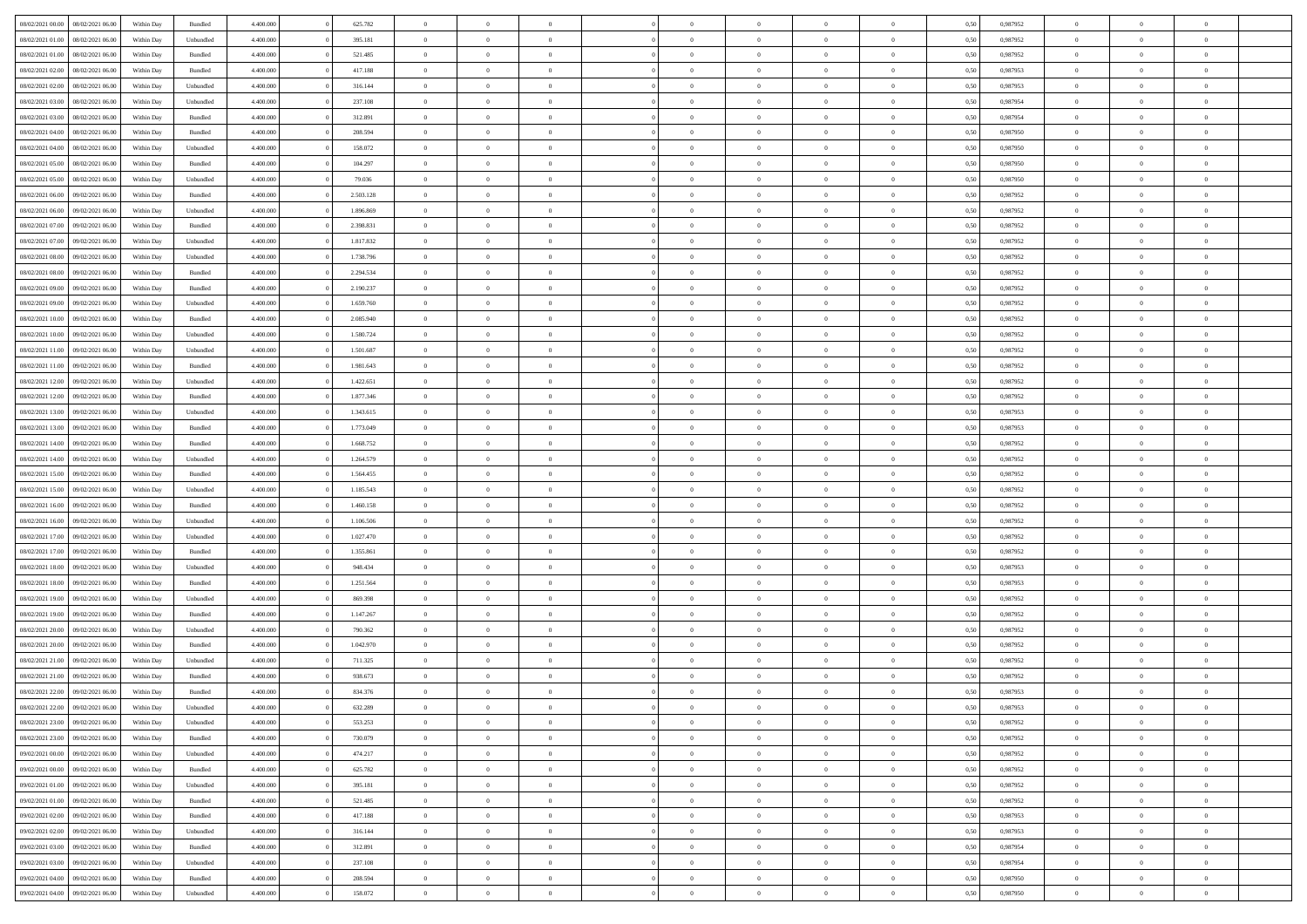| 08/02/2021 00:00 08/02/2021 06:00    | Within Day | Bundled            | 4.400.000              | 625.782                | $\overline{0}$                   | $\overline{0}$             | $\Omega$                         | $\overline{0}$                   | $\theta$                         | $\Omega$                         | $\overline{0}$             | 0,50         | 0,987952             | $\theta$                | $\theta$                   | $\overline{0}$                   |  |
|--------------------------------------|------------|--------------------|------------------------|------------------------|----------------------------------|----------------------------|----------------------------------|----------------------------------|----------------------------------|----------------------------------|----------------------------|--------------|----------------------|-------------------------|----------------------------|----------------------------------|--|
| 08/02/2021 01:00<br>08/02/2021 06:00 | Within Day | Unbundled          | 4.400.000              | 395.181                | $\overline{0}$                   | $\overline{0}$             | $\overline{0}$                   | $\overline{0}$                   | $\theta$                         | $\overline{0}$                   | $\bf{0}$                   | 0,50         | 0,987952             | $\theta$                | $\theta$                   | $\overline{0}$                   |  |
| 08/02/2021 01:00<br>08/02/2021 06:00 | Within Day | Bundled            | 4.400.000              | 521.485                | $\overline{0}$                   | $\bf{0}$                   | $\overline{0}$                   | $\overline{0}$                   | $\bf{0}$                         | $\overline{0}$                   | $\bf{0}$                   | 0,50         | 0,987952             | $\bf{0}$                | $\overline{0}$             | $\bf{0}$                         |  |
| 08/02/2021 02:00<br>08/02/2021 06:00 | Within Day | Bundled            | 4.400.000              | 417.188                | $\overline{0}$                   | $\overline{0}$             | $\overline{0}$                   | $\overline{0}$                   | $\theta$                         | $\overline{0}$                   | $\overline{0}$             | 0.50         | 0,987953             | $\theta$                | $\theta$                   | $\overline{0}$                   |  |
| 08/02/2021 02:00<br>08/02/2021 06:00 | Within Day | Unbundled          | 4.400.000              | 316.144                | $\overline{0}$                   | $\theta$                   | $\overline{0}$                   | $\overline{0}$                   | $\theta$                         | $\overline{0}$                   | $\bf{0}$                   | 0,50         | 0,987953             | $\theta$                | $\theta$                   | $\overline{0}$                   |  |
| 08/02/2021 03:00<br>08/02/2021 06:00 | Within Day | Unbundled          | 4.400.000              | 237.108                | $\overline{0}$                   | $\bf{0}$                   | $\overline{0}$                   | $\overline{0}$                   | $\overline{0}$                   | $\overline{0}$                   | $\bf{0}$                   | 0,50         | 0,987954             | $\overline{0}$          | $\overline{0}$             | $\bf{0}$                         |  |
| 08/02/2021 03:00<br>08/02/2021 06:00 | Within Day | Bundled            | 4.400.000              | 312.891                | $\overline{0}$                   | $\overline{0}$             | $\overline{0}$                   | $\overline{0}$                   | $\overline{0}$                   | $\overline{0}$                   | $\bf{0}$                   | 0.5(         | 0,987954             | $\theta$                | $\theta$                   | $\overline{0}$                   |  |
| 08/02/2021 04:00<br>08/02/2021 06:00 | Within Day | Bundled            | 4.400.000              | 208.594                | $\bf{0}$                         | $\overline{0}$             | $\overline{0}$                   | $\overline{0}$                   | $\theta$                         | $\overline{0}$                   | $\bf{0}$                   | 0,50         | 0,987950             | $\theta$                | $\theta$                   | $\overline{0}$                   |  |
| 08/02/2021 04:00<br>08/02/2021 06:00 | Within Day | Unbundled          | 4.400.000              | 158.072                | $\overline{0}$                   | $\bf{0}$                   | $\overline{0}$                   | $\overline{0}$                   | $\overline{0}$                   | $\overline{0}$                   | $\bf{0}$                   | 0,50         | 0,987950             | $\bf{0}$                | $\overline{0}$             | $\overline{0}$                   |  |
| 08/02/2021 05:00<br>08/02/2021 06:00 | Within Day | Bundled            | 4.400.000              | 104.297                | $\overline{0}$                   | $\overline{0}$             | $\overline{0}$                   | $\overline{0}$                   | $\overline{0}$                   | $\overline{0}$                   | $\bf{0}$                   | 0.50         | 0,987950             | $\theta$                | $\theta$                   | $\overline{0}$                   |  |
| 08/02/2021 05:00<br>08/02/2021 06:00 | Within Day | Unbundled          | 4.400.000              | 79.036                 | $\bf{0}$                         | $\overline{0}$             | $\overline{0}$                   | $\overline{0}$                   | $\theta$                         | $\overline{0}$                   | $\bf{0}$                   | 0,50         | 0,987950             | $\theta$                | $\theta$                   | $\overline{0}$                   |  |
| 08/02/2021 06:00<br>09/02/2021 06:00 | Within Day | Bundled            | 4.400.000              | 2.503.128              | $\overline{0}$                   | $\bf{0}$                   | $\overline{0}$                   | $\overline{0}$                   | $\bf{0}$                         | $\overline{0}$                   | $\bf{0}$                   | 0,50         | 0,987952             | $\bf{0}$                | $\overline{0}$             | $\bf{0}$                         |  |
| 08/02/2021 06:00<br>09/02/2021 06:00 | Within Day | Unbundled          | 4.400.000              | 1.896.869              | $\overline{0}$                   | $\overline{0}$             | $\overline{0}$                   | $\overline{0}$                   | $\overline{0}$                   | $\overline{0}$                   | $\overline{0}$             | 0.5(         | 0,987952             | $\theta$                | $\theta$                   | $\overline{0}$                   |  |
| 08/02/2021 07:00<br>09/02/2021 06:00 | Within Day | Bundled            | 4.400.000              | 2.398.831              | $\overline{0}$                   | $\theta$                   | $\overline{0}$                   | $\overline{0}$                   | $\theta$                         | $\overline{0}$                   | $\,$ 0 $\,$                | 0,50         | 0,987952             | $\theta$                | $\theta$                   | $\overline{0}$                   |  |
| 08/02/2021 07:00<br>09/02/2021 06:00 | Within Day | Unbundled          | 4.400.000              | 1.817.832              | $\overline{0}$                   | $\bf{0}$                   | $\overline{0}$                   | $\overline{0}$                   | $\overline{0}$                   | $\overline{0}$                   | $\bf{0}$                   | 0,50         | 0,987952             | $\overline{0}$          | $\overline{0}$             | $\overline{0}$                   |  |
| 08/02/2021 08:00<br>09/02/2021 06:00 | Within Day | Unbundled          | 4.400.000              | 1.738.796              | $\overline{0}$                   | $\overline{0}$             | $\overline{0}$                   | $\overline{0}$                   | $\overline{0}$                   | $\overline{0}$                   | $\overline{0}$             | 0.5(         | 0,987952             | $\theta$                | $\overline{0}$             | $\overline{0}$                   |  |
| 08/02/2021 08:00<br>09/02/2021 06:00 | Within Day | Bundled            | 4.400.000              | 2.294.534              | $\bf{0}$                         | $\overline{0}$             | $\overline{0}$                   | $\overline{0}$                   | $\theta$                         | $\overline{0}$                   | $\bf{0}$                   | 0,50         | 0,987952             | $\theta$                | $\theta$                   | $\overline{0}$                   |  |
| 08/02/2021 09:00<br>09/02/2021 06:00 | Within Day | Bundled            | 4.400.000              | 2.190.237              | $\overline{0}$                   | $\bf{0}$                   | $\overline{0}$                   | $\overline{0}$                   | $\overline{0}$                   | $\overline{0}$                   | $\bf{0}$                   | 0,50         | 0,987952             | $\bf{0}$                | $\overline{0}$             | $\overline{0}$                   |  |
| 08/02/2021 09:00<br>09/02/2021 06:00 | Within Day | Unbundled          | 4.400.000              | 1.659.760              | $\overline{0}$                   | $\overline{0}$             | $\overline{0}$                   | $\overline{0}$                   | $\overline{0}$                   | $\overline{0}$                   | $\overline{0}$             | 0.50         | 0,987952             | $\theta$                | $\theta$                   | $\overline{0}$                   |  |
| 08/02/2021 10:00<br>09/02/2021 06:00 | Within Day | Bundled            | 4.400.000              | 2.085.940              | $\bf{0}$                         | $\overline{0}$             | $\overline{0}$                   | $\overline{0}$                   | $\theta$                         | $\overline{0}$                   | $\bf{0}$                   | 0,50         | 0,987952             | $\theta$                | $\theta$                   | $\overline{0}$                   |  |
| 08/02/2021 10:00<br>09/02/2021 06:00 | Within Day | Unbundled          | 4.400.000              | 1.580.724              | $\overline{0}$                   | $\bf{0}$                   | $\overline{0}$                   | $\overline{0}$                   | $\bf{0}$                         | $\overline{0}$                   | $\bf{0}$                   | 0,50         | 0,987952             | $\bf{0}$                | $\overline{0}$             | $\bf{0}$                         |  |
| 08/02/2021 11:00<br>09/02/2021 06:00 | Within Day | Unbundled          | 4.400.000              | 1.501.687              | $\overline{0}$                   | $\overline{0}$             | $\overline{0}$                   | $\overline{0}$                   | $\overline{0}$                   | $\overline{0}$                   | $\overline{0}$             | 0.5(         | 0,987952             | $\theta$                | $\overline{0}$             | $\overline{0}$                   |  |
| 08/02/2021 11:00<br>09/02/2021 06:00 | Within Day | Bundled            | 4.400.000              | 1.981.643              | $\bf{0}$                         | $\theta$                   | $\overline{0}$                   | $\overline{0}$                   | $\theta$                         | $\overline{0}$                   | $\bf{0}$                   | 0,50         | 0,987952             | $\theta$                | $\theta$                   | $\overline{0}$                   |  |
| 08/02/2021 12:00<br>09/02/2021 06:00 | Within Day | Unbundled          | 4.400.000              | 1.422.651              | $\overline{0}$                   | $\bf{0}$                   | $\overline{0}$                   | $\overline{0}$                   | $\overline{0}$                   | $\overline{0}$                   | $\bf{0}$                   | 0,50         | 0,987952             | $\overline{0}$          | $\overline{0}$             | $\bf{0}$                         |  |
| 08/02/2021 12:00<br>09/02/2021 06:00 | Within Day | Bundled            | 4.400.000              | 1.877.346              | $\overline{0}$                   | $\overline{0}$             | $\overline{0}$                   | $\overline{0}$                   | $\overline{0}$                   | $\overline{0}$                   | $\overline{0}$             | 0.5(         | 0,987952             | $\overline{0}$          | $\theta$                   | $\overline{0}$                   |  |
| 08/02/2021 13:00<br>09/02/2021 06:00 | Within Day | Unbundled          | 4.400.000              | 1.343.615              | $\bf{0}$                         | $\overline{0}$             | $\overline{0}$                   | $\overline{0}$                   | $\theta$                         | $\overline{0}$                   | $\bf{0}$                   | 0,50         | 0,987953             | $\theta$                | $\theta$                   | $\overline{0}$                   |  |
|                                      |            |                    |                        |                        |                                  |                            |                                  |                                  |                                  |                                  |                            |              |                      |                         |                            |                                  |  |
| 08/02/2021 13:00<br>09/02/2021 06:00 | Within Day | Bundled<br>Bundled | 4.400.000<br>4.400.000 | 1.773.049<br>1.668.752 | $\overline{0}$<br>$\overline{0}$ | $\bf{0}$<br>$\overline{0}$ | $\overline{0}$<br>$\overline{0}$ | $\overline{0}$<br>$\overline{0}$ | $\overline{0}$<br>$\overline{0}$ | $\overline{0}$<br>$\overline{0}$ | $\bf{0}$<br>$\overline{0}$ | 0,50<br>0.5( | 0,987953<br>0,987952 | $\bf{0}$<br>$\theta$    | $\overline{0}$<br>$\theta$ | $\overline{0}$<br>$\overline{0}$ |  |
| 08/02/2021 14:00<br>09/02/2021 06:00 | Within Day |                    |                        |                        |                                  |                            |                                  |                                  |                                  |                                  |                            |              |                      |                         | $\theta$                   |                                  |  |
| 08/02/2021 14:00<br>09/02/2021 06:00 | Within Day | Unbundled          | 4.400.000              | 1.264.579              | $\bf{0}$                         | $\overline{0}$             | $\overline{0}$                   | $\overline{0}$                   | $\theta$                         | $\overline{0}$                   | $\bf{0}$                   | 0,50         | 0,987952             | $\theta$                |                            | $\overline{0}$                   |  |
| 08/02/2021 15:00<br>09/02/2021 06:00 | Within Day | Bundled            | 4.400.000              | 1.564.455              | $\overline{0}$                   | $\bf{0}$                   | $\overline{0}$                   | $\overline{0}$                   | $\bf{0}$                         | $\overline{0}$                   | $\bf{0}$                   | 0,50         | 0,987952             | $\bf{0}$                | $\overline{0}$             | $\bf{0}$                         |  |
| 08/02/2021 15:00<br>09/02/2021 06:00 | Within Day | Unbundled          | 4,400,000              | 1.185.543              | $\overline{0}$                   | $\overline{0}$             | $\Omega$                         | $\Omega$                         | $\Omega$                         | $\Omega$                         | $\overline{0}$             | 0,50         | 0,987952             | $\,$ 0 $\,$<br>$\theta$ | $\overline{0}$<br>$\theta$ | $\theta$                         |  |
| 08/02/2021 16:00<br>09/02/2021 06:00 | Within Day | Bundled            | 4.400.000              | 1.460.158              | $\bf{0}$                         | $\overline{0}$             | $\overline{0}$                   | $\overline{0}$                   | $\theta$                         | $\overline{0}$                   | $\bf{0}$                   | 0,50         | 0,987952             |                         |                            | $\overline{0}$                   |  |
| 08/02/2021 16:00<br>09/02/2021 06:00 | Within Day | Unbundled          | 4.400.000              | 1.106.506              | $\overline{0}$                   | $\bf{0}$                   | $\overline{0}$                   | $\overline{0}$                   | $\overline{0}$                   | $\overline{0}$                   | $\bf{0}$                   | 0,50         | 0,987952             | $\bf{0}$                | $\overline{0}$             | $\bf{0}$                         |  |
| 08/02/2021 17:00<br>09/02/2021 06.00 | Within Day | Unbundled          | 4,400,000              | 1.027.470              | $\overline{0}$                   | $\overline{0}$             | $\Omega$                         | $\Omega$                         | $\overline{0}$                   | $\Omega$                         | $\overline{0}$             | 0.50         | 0,987952             | $\bf{0}$                | $\theta$                   | $\theta$                         |  |
| 08/02/2021 17:00<br>09/02/2021 06:00 | Within Day | Bundled            | 4.400.000              | 1.355.861              | $\bf{0}$                         | $\overline{0}$             | $\overline{0}$                   | $\overline{0}$                   | $\theta$                         | $\overline{0}$                   | $\bf{0}$                   | 0,50         | 0,987952             | $\theta$                | $\theta$                   | $\overline{0}$                   |  |
| 08/02/2021 18:00<br>09/02/2021 06:00 | Within Day | Unbundled          | 4.400.000              | 948.434                | $\overline{0}$                   | $\bf{0}$                   | $\overline{0}$                   | $\overline{0}$                   | $\overline{0}$                   | $\overline{0}$                   | $\bf{0}$                   | 0,50         | 0,987953             | $\bf{0}$                | $\overline{0}$             | $\bf{0}$                         |  |
| 08/02/2021 18:00<br>09/02/2021 06.00 | Within Day | Bundled            | 4,400,000              | 1.251.564              | $\overline{0}$                   | $\overline{0}$             | $\Omega$                         | $\theta$                         | $\overline{0}$                   | $\theta$                         | $\overline{0}$             | 0.50         | 0.987953             | $\theta$                | $\theta$                   | $\theta$                         |  |
| 08/02/2021 19:00<br>09/02/2021 06:00 | Within Day | Unbundled          | 4.400.000              | 869.398                | $\bf{0}$                         | $\bf{0}$                   | $\overline{0}$                   | $\overline{0}$                   | $\theta$                         | $\overline{0}$                   | $\bf{0}$                   | 0,50         | 0,987952             | $\theta$                | $\,$ 0 $\,$                | $\overline{0}$                   |  |
| 08/02/2021 19:00<br>09/02/2021 06:00 | Within Day | Bundled            | 4.400.000              | 1.147.267              | $\overline{0}$                   | $\bf{0}$                   | $\overline{0}$                   | $\overline{0}$                   | $\bf{0}$                         | $\overline{0}$                   | $\bf{0}$                   | 0,50         | 0,987952             | $\bf{0}$                | $\overline{0}$             | $\bf{0}$                         |  |
| 08/02/2021 20:00<br>09/02/2021 06:00 | Within Day | Unbundled          | 4,400,000              | 790.362                | $\overline{0}$                   | $\overline{0}$             | $\Omega$                         | $\Omega$                         | $\overline{0}$                   | $\Omega$                         | $\bf{0}$                   | 0.50         | 0,987952             | $\bf{0}$                | $\overline{0}$             | $\theta$                         |  |
| 08/02/2021 20:00<br>09/02/2021 06:00 | Within Day | Bundled            | 4.400.000              | 1.042.970              | $\bf{0}$                         | $\theta$                   | $\overline{0}$                   | $\overline{0}$                   | $\theta$                         | $\overline{0}$                   | $\bf{0}$                   | 0,50         | 0,987952             | $\theta$                | $\theta$                   | $\overline{0}$                   |  |
| 08/02/2021 21:00<br>09/02/2021 06.00 | Within Day | Unbundled          | 4.400.000              | 711.325                | $\overline{0}$                   | $\bf{0}$                   | $\overline{0}$                   | $\overline{0}$                   | $\overline{0}$                   | $\overline{0}$                   | $\bf{0}$                   | 0,50         | 0,987952             | $\bf{0}$                | $\overline{0}$             | $\bf{0}$                         |  |
| 08/02/2021 21:00<br>09/02/2021 06.00 | Within Day | Bundled            | 4,400,000              | 938.673                | $\overline{0}$                   | $\overline{0}$             | $\Omega$                         | $\Omega$                         | $\Omega$                         | $\theta$                         | $\overline{0}$             | 0.50         | 0.987952             | $\theta$                | $\theta$                   | $\theta$                         |  |
| 08/02/2021 22:00<br>09/02/2021 06:00 | Within Day | Bundled            | 4.400.000              | 834.376                | $\bf{0}$                         | $\bf{0}$                   | $\overline{0}$                   | $\overline{0}$                   | $\overline{0}$                   | $\overline{0}$                   | $\bf{0}$                   | 0,50         | 0,987953             | $\bf{0}$                | $\,$ 0 $\,$                | $\overline{0}$                   |  |
| 08/02/2021 22:00 09/02/2021 06:00    | Within Day | Unbundled          | 4.400.000              | 632.289                | $\bf{0}$                         | $\bf{0}$                   |                                  |                                  |                                  |                                  |                            | 0,50         | 0,987953             | $\bf{0}$                | $\bf{0}$                   |                                  |  |
| 08/02/2021 23:00 09/02/2021 06:00    | Within Day | Unbundled          | 4.400.000              | 553.253                | $\theta$                         | $\overline{0}$             | $\Omega$                         | $\theta$                         | $\overline{0}$                   | $\theta$                         | $\overline{0}$             | 0.50         | 0.987952             | $\theta$                | $\theta$                   | $\theta$                         |  |
| 08/02/2021 23:00<br>09/02/2021 06:00 | Within Day | Bundled            | 4.400.000              | 730.079                | $\overline{0}$                   | $\overline{0}$             | $\overline{0}$                   | $\overline{0}$                   | $\,$ 0 $\,$                      | $\overline{0}$                   | $\,$ 0 $\,$                | 0,50         | 0,987952             | $\,$ 0 $\,$             | $\,$ 0 $\,$                | $\,$ 0                           |  |
| 09/02/2021 00:00<br>09/02/2021 06:00 | Within Day | Unbundled          | 4.400.000              | 474.217                | $\overline{0}$                   | $\overline{0}$             | $\overline{0}$                   | $\overline{0}$                   | $\mathbf{0}$                     | $\overline{0}$                   | $\bf{0}$                   | 0,50         | 0,987952             | $\overline{0}$          | $\overline{0}$             | $\overline{0}$                   |  |
| 09/02/2021 06:00<br>09/02/2021 00:00 | Within Day | Bundled            | 4.400.000              | 625.782                | $\overline{0}$                   | $\bf{0}$                   | $\overline{0}$                   | $\overline{0}$                   | $\overline{0}$                   | $\overline{0}$                   | $\bf{0}$                   | 0,50         | 0,987952             | $\overline{0}$          | $\theta$                   | $\overline{0}$                   |  |
| 09/02/2021 01:00<br>09/02/2021 06:00 | Within Day | Unbundled          | 4.400.000              | 395.181                | $\overline{0}$                   | $\overline{0}$             | $\overline{0}$                   | $\overline{0}$                   | $\overline{0}$                   | $\overline{0}$                   | $\,$ 0 $\,$                | 0,50         | 0,987952             | $\,$ 0 $\,$             | $\,$ 0 $\,$                | $\overline{0}$                   |  |
| 09/02/2021 01:00<br>09/02/2021 06:00 | Within Day | Bundled            | 4.400.000              | 521.485                | $\overline{0}$                   | $\overline{0}$             | $\overline{0}$                   | $\overline{0}$                   | $\overline{0}$                   | $\overline{0}$                   | $\mathbf{0}$               | 0,50         | 0,987952             | $\overline{0}$          | $\overline{0}$             | $\overline{0}$                   |  |
| 09/02/2021 02:00<br>09/02/2021 06:00 | Within Day | Bundled            | 4.400.000              | 417.188                | $\overline{0}$                   | $\bf{0}$                   | $\overline{0}$                   | $\overline{0}$                   | $\overline{0}$                   | $\overline{0}$                   | $\bf{0}$                   | 0.50         | 0,987953             | $\overline{0}$          | $\theta$                   | $\overline{0}$                   |  |
| 09/02/2021 02:00<br>09/02/2021 06:00 | Within Day | Unbundled          | 4.400.000              | 316.144                | $\overline{0}$                   | $\overline{0}$             | $\overline{0}$                   | $\overline{0}$                   | $\overline{0}$                   | $\overline{0}$                   | $\bf{0}$                   | 0,50         | 0,987953             | $\,$ 0 $\,$             | $\,$ 0 $\,$                | $\overline{0}$                   |  |
| 09/02/2021 03:00<br>09/02/2021 06:00 | Within Day | Bundled            | 4.400.000              | 312.891                | $\overline{0}$                   | $\bf{0}$                   | $\overline{0}$                   | $\overline{0}$                   | $\overline{0}$                   | $\overline{0}$                   | $\bf{0}$                   | 0,50         | 0,987954             | $\bf{0}$                | $\overline{0}$             | $\bf{0}$                         |  |
| 09/02/2021 03:00<br>09/02/2021 06:00 | Within Day | Unbundled          | 4.400.000              | 237.108                | $\overline{0}$                   | $\overline{0}$             | $\overline{0}$                   | $\overline{0}$                   | $\overline{0}$                   | $\overline{0}$                   | $\bf{0}$                   | 0.50         | 0,987954             | $\overline{0}$          | $\overline{0}$             | $\overline{0}$                   |  |
| 09/02/2021 04:00<br>09/02/2021 06:00 | Within Day | Bundled            | 4.400.000              | 208.594                | $\overline{0}$                   | $\,$ 0                     | $\overline{0}$                   | $\overline{0}$                   | $\bf{0}$                         | $\overline{0}$                   | $\bf{0}$                   | 0,50         | 0,987950             | $\,$ 0 $\,$             | $\,$ 0 $\,$                | $\bf{0}$                         |  |
| 09/02/2021 04:00 09/02/2021 06:00    | Within Day | Unbundled          | 4.400.000              | 158.072                | $\overline{0}$                   | $\bf{0}$                   | $\overline{0}$                   | $\overline{0}$                   | $\overline{0}$                   | $\overline{0}$                   | $\bf{0}$                   | 0,50         | 0,987950             | $\bf{0}$                | $\overline{0}$             | $\bf{0}$                         |  |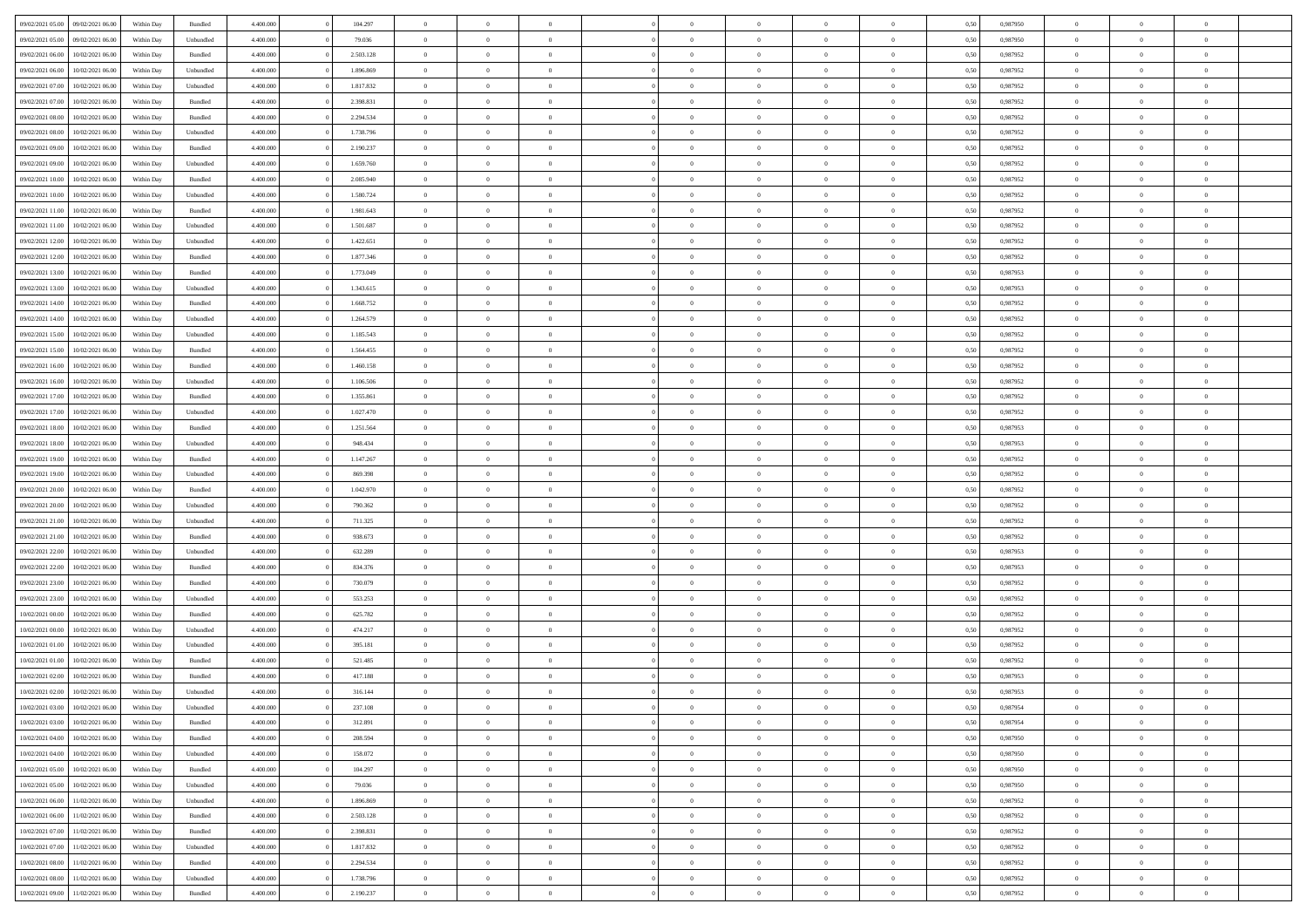| 09/02/2021 05:00                  | 09/02/2021 06:00 | Within Day                     | Bundled                     | 4.400.000 | 104.297   | $\overline{0}$ | $\theta$       |                | $\overline{0}$ | $\bf{0}$       | $\overline{0}$ | $\theta$       | 0,50 | 0,987950 | $\theta$       | $\theta$       | $\theta$       |  |
|-----------------------------------|------------------|--------------------------------|-----------------------------|-----------|-----------|----------------|----------------|----------------|----------------|----------------|----------------|----------------|------|----------|----------------|----------------|----------------|--|
| 09/02/2021 05:00                  | 09/02/2021 06.00 | Within Day                     | Unbundled                   | 4.400.000 | 79.036    | $\overline{0}$ | $\overline{0}$ | $\overline{0}$ | $\overline{0}$ | $\bf{0}$       | $\overline{0}$ | $\bf{0}$       | 0,50 | 0,987950 | $\,$ 0 $\,$    | $\overline{0}$ | $\overline{0}$ |  |
|                                   |                  |                                |                             |           |           |                |                |                |                |                |                |                |      |          |                |                |                |  |
| 09/02/2021 06:00                  | 10/02/2021 06:00 | Within Day                     | Bundled                     | 4.400,000 | 2.503.128 | $\overline{0}$ | $\overline{0}$ | $\overline{0}$ | $\overline{0}$ | $\bf{0}$       | $\overline{0}$ | $\mathbf{0}$   | 0.50 | 0.987952 | $\mathbf{0}$   | $\overline{0}$ | $\bf{0}$       |  |
| 09/02/2021 06:00                  | 10/02/2021 06:00 | Within Day                     | Unbundled                   | 4.400.000 | 1.896.869 | $\overline{0}$ | $\overline{0}$ | $\overline{0}$ | $\overline{0}$ | $\,0\,$        | $\overline{0}$ | $\overline{0}$ | 0,50 | 0,987952 | $\,$ 0 $\,$    | $\overline{0}$ | $\overline{0}$ |  |
| 09/02/2021 07:00                  | 10/02/2021 06:00 | Within Day                     | Unbundled                   | 4.400.000 | 1.817.832 | $\overline{0}$ | $\overline{0}$ | $\overline{0}$ | $\overline{0}$ | $\,$ 0         | $\overline{0}$ | $\bf{0}$       | 0,50 | 0,987952 | $\,$ 0 $\,$    | $\overline{0}$ | $\overline{0}$ |  |
| 09/02/2021 07:00                  | 10/02/2021 06:00 | Within Day                     | Bundled                     | 4.400,000 | 2.398.831 | $\overline{0}$ | $\overline{0}$ | $\overline{0}$ | $\overline{0}$ | $\bf{0}$       | $\overline{0}$ | $\bf{0}$       | 0.50 | 0.987952 | $\,0\,$        | $\overline{0}$ | $\overline{0}$ |  |
| 09/02/2021 08:00                  | 10/02/2021 06:00 | Within Day                     | Bundled                     | 4.400.000 | 2.294.534 | $\overline{0}$ | $\overline{0}$ | $\overline{0}$ | $\overline{0}$ | $\bf{0}$       | $\overline{0}$ | $\bf{0}$       | 0,50 | 0,987952 | $\,$ 0 $\,$    | $\overline{0}$ | $\overline{0}$ |  |
| 09/02/2021 08:00                  | 10/02/2021 06:00 | Within Day                     | Unbundled                   | 4.400.000 | 1.738.796 | $\overline{0}$ | $\overline{0}$ | $\overline{0}$ | $\overline{0}$ | $\,$ 0         | $\bf{0}$       | $\bf{0}$       | 0,50 | 0,987952 | $\,$ 0 $\,$    | $\overline{0}$ | $\overline{0}$ |  |
| 09/02/2021 09:00                  | 10/02/2021 06:00 | Within Day                     | Bundled                     | 4.400,000 | 2.190.237 | $\overline{0}$ | $\overline{0}$ | $\overline{0}$ | $\overline{0}$ | $\bf{0}$       | $\overline{0}$ | $\bf{0}$       | 0.50 | 0.987952 | $\bf{0}$       | $\overline{0}$ | $\bf{0}$       |  |
| 09/02/2021 09:00                  | 10/02/2021 06:00 | Within Day                     | Unbundled                   | 4.400.000 | 1.659.760 | $\overline{0}$ | $\overline{0}$ | $\overline{0}$ | $\overline{0}$ | $\bf{0}$       | $\overline{0}$ | $\bf{0}$       | 0,50 | 0,987952 | $\,$ 0 $\,$    | $\overline{0}$ | $\overline{0}$ |  |
| 09/02/2021 10:00                  | 10/02/2021 06:00 | Within Day                     | Bundled                     | 4.400.000 | 2.085.940 | $\overline{0}$ | $\overline{0}$ | $\overline{0}$ | $\overline{0}$ | $\,$ 0         | $\bf{0}$       | $\bf{0}$       | 0,50 | 0,987952 | $\,$ 0 $\,$    | $\overline{0}$ | $\overline{0}$ |  |
|                                   | 10/02/2021 06:00 |                                |                             | 4.400,000 | 1.580.724 |                | $\overline{0}$ | $\overline{0}$ |                |                | $\overline{0}$ |                | 0.50 | 0.987952 |                | $\,$ 0 $\,$    |                |  |
| 09/02/2021 10:00                  |                  | Within Day                     | Unbundled                   |           |           | $\overline{0}$ |                |                | $\overline{0}$ | $\bf{0}$       |                | $\mathbf{0}$   |      |          | $\overline{0}$ |                | $\bf{0}$       |  |
| 09/02/2021 11:00                  | 10/02/2021 06:00 | Within Day                     | Bundled                     | 4.400.000 | 1.981.643 | $\overline{0}$ | $\overline{0}$ | $\overline{0}$ | $\overline{0}$ | $\bf{0}$       | $\overline{0}$ | $\overline{0}$ | 0,50 | 0,987952 | $\,$ 0 $\,$    | $\overline{0}$ | $\overline{0}$ |  |
| 09/02/2021 11:00                  | 10/02/2021 06:00 | Within Day                     | Unbundled                   | 4.400.000 | 1.501.687 | $\overline{0}$ | $\theta$       | $\overline{0}$ | $\overline{0}$ | $\,$ 0         | $\bf{0}$       | $\bf{0}$       | 0,50 | 0,987952 | $\,$ 0 $\,$    | $\overline{0}$ | $\overline{0}$ |  |
| 09/02/2021 12:00                  | 10/02/2021 06:00 | Within Day                     | Unbundled                   | 4.400,000 | 1.422.651 | $\overline{0}$ | $\overline{0}$ | $\overline{0}$ | $\overline{0}$ | $\bf{0}$       | $\overline{0}$ | $\bf{0}$       | 0.50 | 0.987952 | $\theta$       | $\overline{0}$ | $\overline{0}$ |  |
| 09/02/2021 12:00                  | 10/02/2021 06:00 | Within Day                     | Bundled                     | 4.400.000 | 1.877.346 | $\overline{0}$ | $\overline{0}$ | $\overline{0}$ | $\overline{0}$ | $\bf{0}$       | $\overline{0}$ | $\bf{0}$       | 0,50 | 0,987952 | $\,$ 0 $\,$    | $\theta$       | $\overline{0}$ |  |
| 09/02/2021 13:00                  | 10/02/2021 06:00 | Within Day                     | Bundled                     | 4.400.000 | 1.773.049 | $\overline{0}$ | $\overline{0}$ | $\overline{0}$ | $\overline{0}$ | $\,$ 0         | $\bf{0}$       | $\bf{0}$       | 0,50 | 0,987953 | $\,$ 0 $\,$    | $\overline{0}$ | $\overline{0}$ |  |
| 09/02/2021 13:00                  | 10/02/2021 06:00 | Within Day                     | Unbundled                   | 4.400,000 | 1.343.615 | $\overline{0}$ | $\overline{0}$ | $\overline{0}$ | $\overline{0}$ | $\bf{0}$       | $\overline{0}$ | $\mathbf{0}$   | 0.50 | 0.987953 | $\bf{0}$       | $\overline{0}$ | $\bf{0}$       |  |
| 09/02/2021 14:00                  | 10/02/2021 06:00 | Within Day                     | Bundled                     | 4.400.000 | 1.668.752 | $\overline{0}$ | $\overline{0}$ | $\overline{0}$ | $\overline{0}$ | $\bf{0}$       | $\overline{0}$ | $\bf{0}$       | 0,50 | 0,987952 | $\,$ 0 $\,$    | $\overline{0}$ | $\overline{0}$ |  |
| 09/02/2021 14:00                  | 10/02/2021 06:00 | Within Day                     | Unbundled                   | 4.400.000 | 1.264.579 | $\overline{0}$ | $\overline{0}$ | $\overline{0}$ | $\overline{0}$ | $\bf{0}$       | $\bf{0}$       | $\bf{0}$       | 0,50 | 0,987952 | $\,$ 0 $\,$    | $\overline{0}$ | $\overline{0}$ |  |
| 09/02/2021 15:00                  | 10/02/2021 06:00 | Within Day                     | Unbundled                   | 4.400,000 | 1.185.543 | $\overline{0}$ | $\overline{0}$ | $\overline{0}$ | $\overline{0}$ | $\bf{0}$       | $\overline{0}$ | $\mathbf{0}$   | 0.50 | 0.987952 | $\overline{0}$ | $\,$ 0 $\,$    | $\overline{0}$ |  |
| 09/02/2021 15:00                  | 10/02/2021 06:00 | Within Day                     | Bundled                     | 4.400.000 | 1.564.455 | $\overline{0}$ | $\overline{0}$ | $\overline{0}$ | $\overline{0}$ | $\bf{0}$       | $\overline{0}$ | $\overline{0}$ | 0,50 | 0,987952 | $\,$ 0 $\,$    | $\overline{0}$ | $\overline{0}$ |  |
|                                   |                  |                                |                             |           |           | $\overline{0}$ | $\overline{0}$ | $\overline{0}$ | $\overline{0}$ | $\bf{0}$       | $\overline{0}$ |                |      |          | $\,$ 0 $\,$    | $\overline{0}$ | $\overline{0}$ |  |
| 09/02/2021 16:00                  | 10/02/2021 06:00 | Within Day                     | Bundled                     | 4.400.000 | 1.460.158 |                |                |                |                |                |                | $\bf{0}$       | 0,50 | 0,987952 |                |                |                |  |
| 09/02/2021 16:00                  | 10/02/2021 06:00 | Within Day                     | Unbundled                   | 4.400,000 | 1.106.506 | $\overline{0}$ | $\overline{0}$ | $\overline{0}$ | $\overline{0}$ | $\bf{0}$       | $\overline{0}$ | $\bf{0}$       | 0.50 | 0.987952 | $\,0\,$        | $\overline{0}$ | $\overline{0}$ |  |
| 09/02/2021 17:00                  | 10/02/2021 06:00 | Within Day                     | Bundled                     | 4.400.000 | 1.355.861 | $\overline{0}$ | $\overline{0}$ | $\overline{0}$ | $\overline{0}$ | $\bf{0}$       | $\overline{0}$ | $\bf{0}$       | 0,50 | 0,987952 | $\,$ 0 $\,$    | $\theta$       | $\overline{0}$ |  |
| 09/02/2021 17:00                  | 10/02/2021 06:00 | Within Day                     | Unbundled                   | 4.400.000 | 1.027.470 | $\overline{0}$ | $\overline{0}$ | $\overline{0}$ | $\overline{0}$ | $\,$ 0         | $\overline{0}$ | $\bf{0}$       | 0,50 | 0,987952 | $\,$ 0 $\,$    | $\overline{0}$ | $\overline{0}$ |  |
| 09/02/2021 18:00                  | 10/02/2021 06:00 | Within Day                     | Bundled                     | 4.400,000 | 1.251.564 | $\overline{0}$ | $\overline{0}$ | $\overline{0}$ | $\overline{0}$ | $\bf{0}$       | $\overline{0}$ | $\mathbf{0}$   | 0.50 | 0.987953 | $\bf{0}$       | $\overline{0}$ | $\bf{0}$       |  |
| 09/02/2021 18:00                  | 10/02/2021 06:00 | Within Day                     | Unbundled                   | 4.400.000 | 948.434   | $\overline{0}$ | $\overline{0}$ | $\overline{0}$ | $\overline{0}$ | $\bf{0}$       | $\overline{0}$ | $\bf{0}$       | 0,50 | 0,987953 | $\,$ 0 $\,$    | $\overline{0}$ | $\overline{0}$ |  |
| 09/02/2021 19:00                  | 10/02/2021 06:00 | Within Day                     | Bundled                     | 4.400.000 | 1.147.267 | $\bf{0}$       | $\overline{0}$ | $\overline{0}$ | $\bf{0}$       | $\bf{0}$       | $\overline{0}$ | $\bf{0}$       | 0,50 | 0,987952 | $\,$ 0 $\,$    | $\overline{0}$ | $\overline{0}$ |  |
| 09/02/2021 19:00                  | 10/02/2021 06:00 | Within Day                     | Unbundled                   | 4.400,000 | 869.398   | $\overline{0}$ | $\overline{0}$ | $\overline{0}$ | $\overline{0}$ | $\bf{0}$       | $\overline{0}$ | $\mathbf{0}$   | 0.50 | 0.987952 | $\overline{0}$ | $\,$ 0 $\,$    | $\bf{0}$       |  |
| 09/02/2021 20:00                  | 10/02/2021 06:00 | Within Dav                     | Bundled                     | 4.400.000 | 1.042.970 | $\overline{0}$ | $\overline{0}$ | $\overline{0}$ | $\overline{0}$ | $\overline{0}$ | $\overline{0}$ | $\overline{0}$ | 0.50 | 0,987952 | $\theta$       | $\overline{0}$ | $\overline{0}$ |  |
| 09/02/2021 20:00                  | 10/02/2021 06:00 | Within Day                     | Unbundled                   | 4.400.000 | 790.362   | $\overline{0}$ | $\overline{0}$ | $\overline{0}$ | $\overline{0}$ | $\bf{0}$       | $\overline{0}$ | $\bf{0}$       | 0,50 | 0,987952 | $\,$ 0 $\,$    | $\overline{0}$ | $\overline{0}$ |  |
| 09/02/2021 21:00                  | 10/02/2021 06:00 | Within Day                     | Unbundled                   | 4.400,000 | 711.325   | $\overline{0}$ | $\overline{0}$ | $\overline{0}$ | $\overline{0}$ | $\bf{0}$       | $\overline{0}$ | $\bf{0}$       | 0.50 | 0.987952 | $\,0\,$        | $\overline{0}$ | $\overline{0}$ |  |
| 09/02/2021 21:00                  | 10/02/2021 06:00 | Within Dav                     | Bundled                     | 4.400.000 | 938.673   | $\overline{0}$ | $\overline{0}$ | $\Omega$       | $\overline{0}$ | $\mathbf{0}$   | $\overline{0}$ | $\overline{0}$ | 0,50 | 0,987952 | $\theta$       | $\overline{0}$ | $\overline{0}$ |  |
|                                   |                  |                                |                             |           |           |                |                |                |                |                |                |                |      |          |                |                |                |  |
| 09/02/2021 22:00                  | 10/02/2021 06:00 | Within Day                     | Unbundled                   | 4.400.000 | 632.289   | $\bf{0}$       | $\overline{0}$ | $\overline{0}$ | $\overline{0}$ | $\,$ 0         | $\overline{0}$ | $\bf{0}$       | 0,50 | 0,987953 | $\,$ 0 $\,$    | $\overline{0}$ | $\overline{0}$ |  |
| 09/02/2021 22.00                  | 10/02/2021 06:00 | Within Day                     | Bundled                     | 4.400,000 | 834.376   | $\overline{0}$ | $\overline{0}$ | $\overline{0}$ | $\overline{0}$ | $\bf{0}$       | $\overline{0}$ | $\mathbf{0}$   | 0.50 | 0.987953 | $\bf{0}$       | $\overline{0}$ | $\bf{0}$       |  |
| 09/02/2021 23:00                  | 10/02/2021 06:00 | Within Dav                     | Bundled                     | 4.400.000 | 730.079   | $\overline{0}$ | $\overline{0}$ | $\overline{0}$ | $\overline{0}$ | $\overline{0}$ | $\overline{0}$ | $\overline{0}$ | 0,50 | 0,987952 | $\theta$       | $\overline{0}$ | $\overline{0}$ |  |
| 09/02/2021 23:00                  | 10/02/2021 06:00 | Within Day                     | Unbundled                   | 4.400.000 | 553.253   | $\bf{0}$       | $\overline{0}$ | $\overline{0}$ | $\bf{0}$       | $\bf{0}$       | $\overline{0}$ | $\bf{0}$       | 0,50 | 0,987952 | $\,$ 0 $\,$    | $\overline{0}$ | $\overline{0}$ |  |
| 10/02/2021 00:00                  | 10/02/2021 06:00 | Within Day                     | Bundled                     | 4.400,000 | 625.782   | $\overline{0}$ | $\overline{0}$ | $\overline{0}$ | $\overline{0}$ | $\bf{0}$       | $\overline{0}$ | $\mathbf{0}$   | 0.50 | 0.987952 | $\overline{0}$ | $\,$ 0 $\,$    | $\bf{0}$       |  |
| 10/02/2021 00:00                  | 10/02/2021 06:00 | Within Dav                     | Unbundled                   | 4.400.000 | 474.217   | $\overline{0}$ | $\overline{0}$ | $\Omega$       | $\overline{0}$ | $\overline{0}$ | $\overline{0}$ | $\overline{0}$ | 0.50 | 0,987952 | $\theta$       | $\overline{0}$ | $\overline{0}$ |  |
| 10/02/2021 01:00                  | 10/02/2021 06:00 | Within Day                     | Unbundled                   | 4.400.000 | 395.181   | $\bf{0}$       | $\overline{0}$ | $\overline{0}$ | $\overline{0}$ | $\bf{0}$       | $\overline{0}$ | $\bf{0}$       | 0,50 | 0,987952 | $\,$ 0 $\,$    | $\overline{0}$ | $\overline{0}$ |  |
| 10/02/2021 01:00                  | 10/02/2021 06:00 | Within Day                     | Bundled                     | 4.400,000 | 521.485   | $\overline{0}$ | $\overline{0}$ | $\overline{0}$ | $\overline{0}$ | $\bf{0}$       | $\Omega$       | $\overline{0}$ | 0.50 | 0,987952 | $\,0\,$        | $\theta$       | $\overline{0}$ |  |
| 10/02/2021 02:00                  | 10/02/2021 06:00 | Within Dav                     | Bundled                     | 4.400.000 | 417.188   | $\overline{0}$ | $\theta$       | $\Omega$       | $\overline{0}$ | $\bf{0}$       | $\overline{0}$ | $\overline{0}$ | 0.50 | 0,987953 | $\theta$       | $\overline{0}$ | $\overline{0}$ |  |
| 10/02/2021 02:00                  | 10/02/2021 06:00 | Within Day                     | Unbundled                   | 4.400.000 | 316.144   | $\bf{0}$       | $\overline{0}$ | $\overline{0}$ | $\bf{0}$       | $\,$ 0         | $\overline{0}$ | $\bf{0}$       | 0,50 | 0,987953 | $\,$ 0 $\,$    | $\overline{0}$ | $\overline{0}$ |  |
| 10/02/2021 03:00                  | 10/02/2021 06:00 | Within $\mathop{\mathrm{Day}}$ | $\ensuremath{\mathsf{Unb}}$ | 4.400.000 | 237.108   | $\bf{0}$       | $\bf{0}$       |                | $^{\circ}$     | $\Omega$       |                |                | 0,50 | 0.987954 | $\bf{0}$       | $\bf{0}$       |                |  |
|                                   |                  |                                |                             |           |           |                | $\overline{0}$ |                |                | $\overline{0}$ |                |                |      |          | $\theta$       | $\overline{0}$ | $\overline{0}$ |  |
| 10/02/2021 03:00                  | 10/02/2021 06:00 | Within Day                     | Bundled                     | 4.400.000 | 312.891   | $\overline{0}$ |                | $\overline{0}$ | $\overline{0}$ |                | $\overline{0}$ | $\mathbf{0}$   | 0,50 | 0,987954 |                |                |                |  |
| 10/02/2021 04:00                  | 10/02/2021 06:00 | Within Day                     | Bundled                     | 4.400.000 | 208.594   | $\overline{0}$ | $\overline{0}$ | $\overline{0}$ | $\bf{0}$       | $\overline{0}$ | $\overline{0}$ | $\bf{0}$       | 0,50 | 0,987950 | $\bf{0}$       | $\overline{0}$ | $\bf{0}$       |  |
| 10/02/2021 04:00                  | 10/02/2021 06:00 | Within Day                     | Unbundled                   | 4.400.000 | 158.072   | $\overline{0}$ | $\overline{0}$ | $\overline{0}$ | $\overline{0}$ | $\overline{0}$ | $\overline{0}$ | $\mathbf{0}$   | 0.50 | 0.987950 | $\overline{0}$ | $\bf{0}$       | $\bf{0}$       |  |
| 10/02/2021 05:00                  | 10/02/2021 06:00 | Within Day                     | Bundled                     | 4.400.000 | 104.297   | $\overline{0}$ | $\overline{0}$ | $\overline{0}$ | $\overline{0}$ | $\overline{0}$ | $\overline{0}$ | $\mathbf{0}$   | 0,50 | 0,987950 | $\overline{0}$ | $\theta$       | $\overline{0}$ |  |
| 10/02/2021 05:00                  | 10/02/2021 06:00 | Within Day                     | Unbundled                   | 4.400.000 | 79.036    | $\overline{0}$ | $\overline{0}$ | $\overline{0}$ | $\overline{0}$ | $\bf{0}$       | $\bf{0}$       | $\bf{0}$       | 0,50 | 0,987950 | $\,$ 0 $\,$    | $\overline{0}$ | $\overline{0}$ |  |
| 10/02/2021 06:00                  | 11/02/2021 06:00 | Within Day                     | Unbundled                   | 4.400,000 | 1.896.869 | $\overline{0}$ | $\overline{0}$ | $\overline{0}$ | $\overline{0}$ | $\bf{0}$       | $\overline{0}$ | $\mathbf{0}$   | 0.50 | 0.987952 | $\,$ 0 $\,$    | $\overline{0}$ | $\overline{0}$ |  |
| 10/02/2021 06:00                  | 11/02/2021 06:00 | Within Day                     | Bundled                     | 4.400.000 | 2.503.128 | $\overline{0}$ | $\overline{0}$ | $\overline{0}$ | $\overline{0}$ | $\overline{0}$ | $\overline{0}$ | $\overline{0}$ | 0,50 | 0,987952 | $\overline{0}$ | $\overline{0}$ | $\overline{0}$ |  |
| 10/02/2021 07:00                  | 11/02/2021 06:00 | Within Day                     | Bundled                     | 4.400.000 | 2.398.831 | $\overline{0}$ | $\,$ 0         | $\overline{0}$ | $\bf{0}$       | $\overline{0}$ | $\overline{0}$ | $\bf{0}$       | 0,50 | 0,987952 | $\,$ 0 $\,$    | $\overline{0}$ | $\overline{0}$ |  |
| 10/02/2021 07:00                  | 11/02/2021 06:00 | Within Day                     | Unbundled                   | 4.400.000 | 1.817.832 | $\overline{0}$ | $\overline{0}$ | $\overline{0}$ | $\overline{0}$ | $\bf{0}$       | $\overline{0}$ | $\mathbf{0}$   | 0.50 | 0.987952 | $\mathbf{0}$   | $\bf{0}$       | $\bf{0}$       |  |
| 10/02/2021 08:00                  | 11/02/2021 06:00 | Within Day                     | Bundled                     | 4.400.000 | 2.294.534 | $\overline{0}$ | $\overline{0}$ | $\overline{0}$ | $\overline{0}$ | $\overline{0}$ | $\overline{0}$ | $\overline{0}$ | 0,50 | 0,987952 | $\overline{0}$ | $\overline{0}$ | $\overline{0}$ |  |
|                                   |                  |                                |                             |           |           |                | $\bf{0}$       |                | $\bf{0}$       | $\bf{0}$       |                |                |      |          |                | $\overline{0}$ | $\bf{0}$       |  |
| 10/02/2021 08:00                  | 11/02/2021 06:00 | Within Day                     | Unbundled                   | 4.400.000 | 1.738.796 | $\overline{0}$ |                | $\overline{0}$ |                |                | $\overline{0}$ | $\bf{0}$       | 0,50 | 0,987952 | $\overline{0}$ |                |                |  |
| 10/02/2021 09:00 11/02/2021 06:00 |                  | Within Day                     | Bundled                     | 4.400.000 | 2.190.237 | $\,$ 0 $\,$    | $\,$ 0 $\,$    | $\overline{0}$ | $\overline{0}$ | $\,$ 0 $\,$    | $\,$ 0 $\,$    | $\,$ 0 $\,$    | 0,50 | 0,987952 | $\overline{0}$ | $\,$ 0 $\,$    | $\,$ 0 $\,$    |  |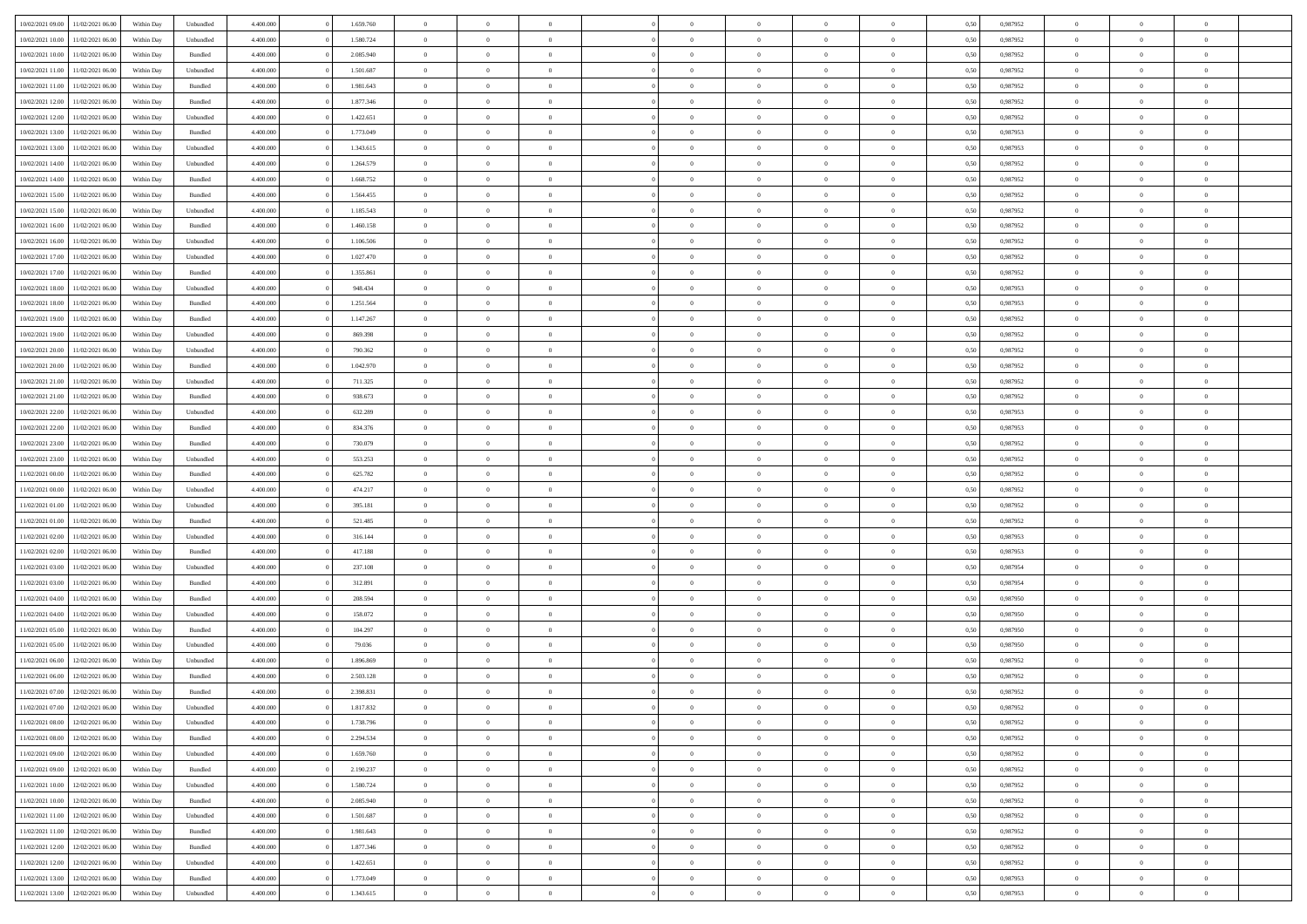| 10/02/2021 09:00 | 11/02/2021 06:00 | Within Day | Unbundled          | 4.400.000 | 1.659.760 | $\overline{0}$ | $\theta$       |                | $\Omega$       | $\Omega$       | $\theta$       | $\theta$       | 0,50 | 0,987952 | $\theta$       | $\overline{0}$ | $\theta$       |  |
|------------------|------------------|------------|--------------------|-----------|-----------|----------------|----------------|----------------|----------------|----------------|----------------|----------------|------|----------|----------------|----------------|----------------|--|
|                  |                  |            |                    |           |           |                |                |                |                |                |                |                |      |          |                |                |                |  |
| 10/02/2021 10:00 | 11/02/2021 06:00 | Within Day | Unbundled          | 4.400.000 | 1.580.724 | $\overline{0}$ | $\theta$       | $\overline{0}$ | $\overline{0}$ | $\bf{0}$       | $\overline{0}$ | $\bf{0}$       | 0,50 | 0,987952 | $\theta$       | $\overline{0}$ | $\overline{0}$ |  |
| 10/02/2021 10:00 | 11/02/2021 06:00 | Within Day | Bundled            | 4.400.000 | 2.085.940 | $\overline{0}$ | $\bf{0}$       | $\overline{0}$ | $\overline{0}$ | $\bf{0}$       | $\overline{0}$ | $\mathbf{0}$   | 0,50 | 0,987952 | $\overline{0}$ | $\overline{0}$ | $\bf{0}$       |  |
| 10/02/2021 11:00 | 11/02/2021 06:00 | Within Day | Unbundled          | 4.400.000 | 1.501.687 | $\overline{0}$ | $\overline{0}$ | $\overline{0}$ | $\overline{0}$ | $\bf{0}$       | $\overline{0}$ | $\overline{0}$ | 0.50 | 0,987952 | $\theta$       | $\theta$       | $\overline{0}$ |  |
| 10/02/2021 11:00 | 11/02/2021 06:00 | Within Day | Bundled            | 4.400.000 | 1.981.643 | $\overline{0}$ | $\theta$       | $\overline{0}$ | $\overline{0}$ | $\bf{0}$       | $\overline{0}$ | $\bf{0}$       | 0,50 | 0,987952 | $\theta$       | $\overline{0}$ | $\overline{0}$ |  |
| 10/02/2021 12:00 | 11/02/2021 06:00 | Within Day | Bundled            | 4.400.000 | 1.877.346 | $\overline{0}$ | $\overline{0}$ | $\overline{0}$ | $\overline{0}$ | $\overline{0}$ | $\overline{0}$ | $\mathbf{0}$   | 0,50 | 0,987952 | $\overline{0}$ | $\overline{0}$ | $\bf{0}$       |  |
|                  | 11/02/2021 06:00 | Within Dav | Unbundled          | 4.400.000 | 1.422.651 | $\overline{0}$ | $\overline{0}$ | $\overline{0}$ |                | $\overline{0}$ | $\overline{0}$ | $\overline{0}$ | 0.50 | 0,987952 | $\theta$       | $\overline{0}$ | $\overline{0}$ |  |
| 10/02/2021 12:00 |                  |            |                    |           |           |                |                |                | $\overline{0}$ |                |                |                |      |          |                |                |                |  |
| 10/02/2021 13:00 | 11/02/2021 06:00 | Within Day | Bundled            | 4.400.000 | 1.773.049 | $\overline{0}$ | $\theta$       | $\overline{0}$ | $\overline{0}$ | $\bf{0}$       | $\overline{0}$ | $\bf{0}$       | 0,50 | 0,987953 | $\theta$       | $\theta$       | $\overline{0}$ |  |
| 10/02/2021 13:00 | 11/02/2021 06:00 | Within Day | Unbundled          | 4.400.000 | 1.343.615 | $\overline{0}$ | $\overline{0}$ | $\overline{0}$ | $\overline{0}$ | $\bf{0}$       | $\overline{0}$ | $\mathbf{0}$   | 0,50 | 0,987953 | $\,0\,$        | $\overline{0}$ | $\overline{0}$ |  |
| 10/02/2021 14:00 | 11/02/2021 06:00 | Within Dav | Unbundled          | 4.400.000 | 1.264.579 | $\overline{0}$ | $\overline{0}$ | $\overline{0}$ | $\overline{0}$ | $\overline{0}$ | $\overline{0}$ | $\overline{0}$ | 0.50 | 0,987952 | $\theta$       | $\overline{0}$ | $\overline{0}$ |  |
| 10/02/2021 14:00 | 11/02/2021 06:00 | Within Day | Bundled            | 4.400.000 | 1.668.752 | $\overline{0}$ | $\theta$       | $\overline{0}$ | $\overline{0}$ | $\bf{0}$       | $\overline{0}$ | $\bf{0}$       | 0,50 | 0,987952 | $\,$ 0 $\,$    | $\overline{0}$ | $\overline{0}$ |  |
| 10/02/2021 15:00 | 11/02/2021 06:00 | Within Day | Bundled            | 4.400.000 | 1.564.455 | $\overline{0}$ | $\bf{0}$       | $\overline{0}$ | $\bf{0}$       | $\bf{0}$       | $\bf{0}$       | $\mathbf{0}$   | 0,50 | 0,987952 | $\bf{0}$       | $\overline{0}$ | $\bf{0}$       |  |
| 10/02/2021 15:00 | 11/02/2021 06:00 | Within Day | Unbundled          | 4.400.000 | 1.185.543 | $\overline{0}$ | $\overline{0}$ | $\overline{0}$ | $\overline{0}$ | $\bf{0}$       | $\overline{0}$ | $\overline{0}$ | 0.50 | 0,987952 | $\theta$       | $\theta$       | $\overline{0}$ |  |
|                  |                  |            |                    |           |           | $\overline{0}$ | $\theta$       |                |                | $\bf{0}$       |                |                |      |          | $\theta$       | $\overline{0}$ |                |  |
| 10/02/2021 16:00 | 11/02/2021 06:00 | Within Day | Bundled            | 4.400.000 | 1.460.158 |                |                | $\overline{0}$ | $\overline{0}$ |                | $\overline{0}$ | $\bf{0}$       | 0,50 | 0,987952 |                |                | $\overline{0}$ |  |
| 10/02/2021 16:00 | 11/02/2021 06:00 | Within Day | Unbundled          | 4.400.000 | 1.106.506 | $\overline{0}$ | $\overline{0}$ | $\overline{0}$ | $\bf{0}$       | $\overline{0}$ | $\overline{0}$ | $\mathbf{0}$   | 0,50 | 0,987952 | $\bf{0}$       | $\overline{0}$ | $\bf{0}$       |  |
| 10/02/2021 17:00 | 11/02/2021 06:00 | Within Dav | Unbundled          | 4.400.000 | 1.027.470 | $\overline{0}$ | $\overline{0}$ | $\overline{0}$ | $\overline{0}$ | $\overline{0}$ | $\overline{0}$ | $\overline{0}$ | 0.50 | 0,987952 | $\theta$       | $\overline{0}$ | $\overline{0}$ |  |
| 10/02/2021 17:00 | 11/02/2021 06:00 | Within Day | Bundled            | 4.400.000 | 1.355.861 | $\overline{0}$ | $\theta$       | $\overline{0}$ | $\overline{0}$ | $\bf{0}$       | $\overline{0}$ | $\bf{0}$       | 0,50 | 0,987952 | $\theta$       | $\overline{0}$ | $\overline{0}$ |  |
| 10/02/2021 18:00 | 11/02/2021 06:00 | Within Day | Unbundled          | 4.400.000 | 948.434   | $\overline{0}$ | $\overline{0}$ | $\overline{0}$ | $\bf{0}$       | $\bf{0}$       | $\bf{0}$       | $\mathbf{0}$   | 0,50 | 0,987953 | $\,0\,$        | $\overline{0}$ | $\bf{0}$       |  |
| 10/02/2021 18:00 | 11/02/2021 06:00 | Within Day | Bundled            | 4.400.000 | 1.251.564 | $\overline{0}$ | $\overline{0}$ | $\overline{0}$ | $\overline{0}$ | $\overline{0}$ | $\overline{0}$ | $\overline{0}$ | 0.50 | 0,987953 | $\theta$       | $\overline{0}$ | $\overline{0}$ |  |
| 10/02/2021 19:00 | 11/02/2021 06:00 | Within Day | Bundled            | 4.400.000 | 1.147.267 | $\overline{0}$ | $\theta$       | $\overline{0}$ | $\overline{0}$ | $\bf{0}$       | $\overline{0}$ | $\bf{0}$       | 0,50 | 0,987952 | $\,$ 0 $\,$    | $\overline{0}$ | $\overline{0}$ |  |
|                  |                  |            |                    |           |           |                |                |                |                |                |                |                |      |          |                |                |                |  |
| 10/02/2021 19:00 | 11/02/2021 06:00 | Within Day | Unbundled          | 4.400.000 | 869.398   | $\overline{0}$ | $\overline{0}$ | $\overline{0}$ | $\bf{0}$       | $\bf{0}$       | $\bf{0}$       | $\mathbf{0}$   | 0,50 | 0,987952 | $\bf{0}$       | $\overline{0}$ | $\bf{0}$       |  |
| 10/02/2021 20:00 | 11/02/2021 06:00 | Within Day | Unbundled          | 4.400.000 | 790,362   | $\overline{0}$ | $\overline{0}$ | $\overline{0}$ | $\overline{0}$ | $\overline{0}$ | $\overline{0}$ | $\overline{0}$ | 0.50 | 0,987952 | $\theta$       | $\overline{0}$ | $\overline{0}$ |  |
| 10/02/2021 20:00 | 11/02/2021 06:00 | Within Day | Bundled            | 4.400.000 | 1.042.970 | $\overline{0}$ | $\theta$       | $\overline{0}$ | $\overline{0}$ | $\bf{0}$       | $\overline{0}$ | $\bf{0}$       | 0,50 | 0,987952 | $\,$ 0 $\,$    | $\overline{0}$ | $\overline{0}$ |  |
| 10/02/2021 21:00 | 11/02/2021 06:00 | Within Day | Unbundled          | 4.400.000 | 711.325   | $\overline{0}$ | $\overline{0}$ | $\overline{0}$ | $\bf{0}$       | $\overline{0}$ | $\overline{0}$ | $\mathbf{0}$   | 0,50 | 0,987952 | $\bf{0}$       | $\overline{0}$ | $\bf{0}$       |  |
| 10/02/2021 21:00 | 11/02/2021 06:00 | Within Dav | Bundled            | 4.400.000 | 938.673   | $\overline{0}$ | $\overline{0}$ | $\overline{0}$ | $\overline{0}$ | $\overline{0}$ | $\overline{0}$ | $\overline{0}$ | 0.50 | 0,987952 | $\theta$       | $\overline{0}$ | $\overline{0}$ |  |
| 10/02/2021 22:00 | 11/02/2021 06:00 | Within Day | Unbundled          | 4.400.000 | 632.289   | $\overline{0}$ | $\theta$       | $\overline{0}$ | $\overline{0}$ | $\bf{0}$       | $\overline{0}$ | $\bf{0}$       | 0,50 | 0,987953 | $\theta$       | $\theta$       | $\overline{0}$ |  |
| 10/02/2021 22:00 | 11/02/2021 06:00 | Within Day | Bundled            | 4.400.000 | 834.376   | $\overline{0}$ | $\overline{0}$ | $\overline{0}$ | $\bf{0}$       | $\bf{0}$       | $\bf{0}$       | $\mathbf{0}$   | 0,50 | 0,987953 | $\,0\,$        | $\overline{0}$ | $\overline{0}$ |  |
|                  |                  |            |                    |           |           |                | $\overline{0}$ |                |                | $\overline{0}$ |                |                |      |          | $\theta$       | $\overline{0}$ | $\overline{0}$ |  |
| 10/02/2021 23:00 | 11/02/2021 06:00 | Within Day | Bundled            | 4.400.000 | 730.079   | $\overline{0}$ |                | $\overline{0}$ | $\overline{0}$ |                | $\overline{0}$ | $\overline{0}$ | 0.50 | 0,987952 |                |                |                |  |
| 10/02/2021 23:00 | 11/02/2021 06:00 | Within Day | Unbundled          | 4.400.000 | 553.253   | $\overline{0}$ | $\theta$       | $\overline{0}$ | $\overline{0}$ | $\bf{0}$       | $\overline{0}$ | $\bf{0}$       | 0,50 | 0,987952 | $\,$ 0 $\,$    | $\overline{0}$ | $\overline{0}$ |  |
| 11/02/2021 00:00 | 11/02/2021 06:00 | Within Day | Bundled            | 4.400.000 | 625.782   | $\overline{0}$ | $\overline{0}$ | $\overline{0}$ | $\bf{0}$       | $\bf{0}$       | $\bf{0}$       | $\bf{0}$       | 0,50 | 0,987952 | $\bf{0}$       | $\overline{0}$ | $\bf{0}$       |  |
| 11/02/2021 00:00 | 11/02/2021 06.00 | Within Day | Unbundled          | 4.400,000 | 474.217   | $\overline{0}$ | $\Omega$       | $\overline{0}$ | $\Omega$       | $\bf{0}$       | $\overline{0}$ | $\overline{0}$ | 0,50 | 0,987952 | $\,0\,$        | $\theta$       | $\theta$       |  |
| 11/02/2021 01:00 | 11/02/2021 06:00 | Within Day | Unbundled          | 4.400.000 | 395.181   | $\overline{0}$ | $\theta$       | $\overline{0}$ | $\overline{0}$ | $\bf{0}$       | $\overline{0}$ | $\bf{0}$       | 0,50 | 0,987952 | $\,$ 0 $\,$    | $\overline{0}$ | $\overline{0}$ |  |
| 11/02/2021 01:00 | 11/02/2021 06:00 | Within Day | Bundled            | 4.400.000 | 521.485   | $\overline{0}$ | $\overline{0}$ | $\overline{0}$ | $\bf{0}$       | $\overline{0}$ | $\overline{0}$ | $\mathbf{0}$   | 0,50 | 0,987952 | $\overline{0}$ | $\overline{0}$ | $\bf{0}$       |  |
| 11/02/2021 02:00 | 11/02/2021 06:00 | Within Day | Unbundled          | 4.400,000 | 316.144   | $\overline{0}$ | $\Omega$       | $\Omega$       | $\Omega$       | $\overline{0}$ | $\overline{0}$ | $\overline{0}$ | 0.50 | 0,987953 | $\,0\,$        | $\theta$       | $\theta$       |  |
|                  |                  |            |                    |           |           | $\overline{0}$ | $\theta$       | $\overline{0}$ |                | $\bf{0}$       | $\overline{0}$ |                |      |          |                |                | $\overline{0}$ |  |
| 11/02/2021 02:00 | 11/02/2021 06:00 | Within Day | Bundled            | 4.400.000 | 417.188   |                |                |                | $\overline{0}$ |                |                | $\bf{0}$       | 0,50 | 0,987953 | $\,$ 0 $\,$    | $\overline{0}$ |                |  |
| 11/02/2021 03:00 | 11/02/2021 06:00 | Within Day | Unbundled          | 4.400.000 | 237.108   | $\overline{0}$ | $\overline{0}$ | $\overline{0}$ | $\bf{0}$       | $\bf{0}$       | $\bf{0}$       | $\mathbf{0}$   | 0,50 | 0,987954 | $\bf{0}$       | $\overline{0}$ | $\bf{0}$       |  |
| 11/02/2021 03:00 | 11/02/2021 06.00 | Within Day | Bundled            | 4.400,000 | 312.891   | $\overline{0}$ | $\Omega$       | $\Omega$       | $\Omega$       | $\overline{0}$ | $\overline{0}$ | $\overline{0}$ | 0.50 | 0.987954 | $\,$ 0 $\,$    | $\theta$       | $\theta$       |  |
| 11/02/2021 04:00 | 11/02/2021 06:00 | Within Day | Bundled            | 4.400.000 | 208.594   | $\overline{0}$ | $\overline{0}$ | $\overline{0}$ | $\overline{0}$ | $\,$ 0         | $\overline{0}$ | $\bf{0}$       | 0,50 | 0,987950 | $\,$ 0 $\,$    | $\overline{0}$ | $\overline{0}$ |  |
| 11/02/2021 04:00 | 11/02/2021 06:00 | Within Day | Unbundled          | 4.400.000 | 158.072   | $\overline{0}$ | $\overline{0}$ | $\overline{0}$ | $\bf{0}$       | $\bf{0}$       | $\bf{0}$       | $\mathbf{0}$   | 0,50 | 0,987950 | $\overline{0}$ | $\overline{0}$ | $\bf{0}$       |  |
| 11/02/2021 05:00 | 11/02/2021 06.00 | Within Day | $\mathbf B$ undled | 4.400,000 | 104.297   | $\overline{0}$ | $\Omega$       | $\overline{0}$ | $\Omega$       | $\overline{0}$ | $\overline{0}$ | $\overline{0}$ | 0.50 | 0,987950 | $\,0\,$        | $\theta$       | $\theta$       |  |
| 11/02/2021 05:00 | 11/02/2021 06:00 | Within Day | Unbundled          | 4.400.000 | 79.036    | $\overline{0}$ | $\overline{0}$ | $\overline{0}$ | $\overline{0}$ | $\,$ 0         | $\overline{0}$ | $\bf{0}$       | 0,50 | 0,987950 | $\,$ 0 $\,$    | $\overline{0}$ | $\overline{0}$ |  |
| 11/02/2021 06:00 | 12/02/2021 06:00 | Within Day | Unbundled          | 4.400.000 | 1.896.869 | $\overline{0}$ | $\overline{0}$ | $\overline{0}$ | $\bf{0}$       | $\bf{0}$       | $\overline{0}$ | $\mathbf{0}$   | 0,50 | 0,987952 | $\overline{0}$ | $\overline{0}$ | $\bf{0}$       |  |
|                  |                  |            |                    |           |           |                |                |                |                |                |                |                |      |          |                |                |                |  |
| 11/02/2021 06:00 | 12/02/2021 06:00 | Within Day | Bundled            | 4.400,000 | 2.503.128 | $\overline{0}$ | $\Omega$       | $\Omega$       | $\Omega$       | $\Omega$       | $\Omega$       | $\overline{0}$ | 0.50 | 0.987952 | $\theta$       | $\theta$       | $\theta$       |  |
| 11/02/2021 07:00 | 12/02/2021 06:00 | Within Day | Bundled            | 4.400.000 | 2.398.831 | $\overline{0}$ | $\overline{0}$ | $\overline{0}$ | $\bf{0}$       | $\,$ 0         | $\bf{0}$       | $\bf{0}$       | 0,50 | 0,987952 | $\,0\,$        | $\,$ 0 $\,$    | $\overline{0}$ |  |
| 11/02/2021 07:00 | 12/02/2021 06:00 | Within Day | Unbundled          | 4.400.000 | 1.817.832 | $\overline{0}$ | $\bf{0}$       |                |                | $\bf{0}$       |                |                | 0,50 | 0,987952 | $\bf{0}$       | $\overline{0}$ |                |  |
| 11/02/2021 08:00 | 12/02/2021 06:00 | Within Day | Unbundled          | 4.400.000 | 1.738.796 | $\overline{0}$ | $\overline{0}$ | $\overline{0}$ | $\Omega$       | $\overline{0}$ | $\overline{0}$ | $\overline{0}$ | 0.50 | 0.987952 | $\theta$       | $\theta$       | $\theta$       |  |
| 11/02/2021 08:00 | 12/02/2021 06:00 | Within Day | Bundled            | 4.400.000 | 2.294.534 | $\overline{0}$ | $\,$ 0         | $\overline{0}$ | $\bf{0}$       | $\,$ 0 $\,$    | $\overline{0}$ | $\mathbf{0}$   | 0,50 | 0,987952 | $\,$ 0 $\,$    | $\,$ 0 $\,$    | $\,$ 0         |  |
| 11/02/2021 09:00 | 12/02/2021 06:00 | Within Day | Unbundled          | 4.400.000 | 1.659.760 | $\overline{0}$ | $\overline{0}$ | $\overline{0}$ | $\overline{0}$ | $\overline{0}$ | $\overline{0}$ | $\mathbf{0}$   | 0,50 | 0,987952 | $\overline{0}$ | $\bf{0}$       | $\bf{0}$       |  |
| 11/02/2021 09:00 | 12/02/2021 06:00 | Within Day | Bundled            | 4.400.000 | 2.190.237 | $\overline{0}$ | $\overline{0}$ | $\overline{0}$ | $\Omega$       | $\overline{0}$ | $\overline{0}$ | $\overline{0}$ | 0,50 | 0,987952 | $\overline{0}$ | $\theta$       | $\overline{0}$ |  |
| 11/02/2021 10:00 | 12/02/2021 06:00 | Within Day |                    | 4.400.000 | 1.580.724 | $\overline{0}$ | $\,$ 0         | $\overline{0}$ | $\overline{0}$ | $\,$ 0 $\,$    | $\overline{0}$ |                |      | 0,987952 | $\,$ 0 $\,$    | $\overline{0}$ | $\overline{0}$ |  |
|                  |                  |            | Unbundled          |           |           |                |                |                |                |                |                | $\mathbf{0}$   | 0,50 |          |                |                |                |  |
| 11/02/2021 10:00 | 12/02/2021 06:00 | Within Day | Bundled            | 4.400.000 | 2.085.940 | $\overline{0}$ | $\overline{0}$ | $\overline{0}$ | $\overline{0}$ | $\overline{0}$ | $\overline{0}$ | $\mathbf{0}$   | 0,50 | 0,987952 | $\overline{0}$ | $\overline{0}$ | $\bf{0}$       |  |
| 11/02/2021 11:00 | 12/02/2021 06:00 | Within Day | Unbundled          | 4.400.000 | 1.501.687 | $\overline{0}$ | $\overline{0}$ | $\overline{0}$ | $\Omega$       | $\overline{0}$ | $\overline{0}$ | $\bf{0}$       | 0.50 | 0,987952 | $\overline{0}$ | $\theta$       | $\overline{0}$ |  |
| 11/02/2021 11:00 | 12/02/2021 06:00 | Within Day | Bundled            | 4.400.000 | 1.981.643 | $\overline{0}$ | $\,$ 0         | $\overline{0}$ | $\bf{0}$       | $\bf{0}$       | $\bf{0}$       | $\bf{0}$       | 0,50 | 0,987952 | $\,$ 0 $\,$    | $\overline{0}$ | $\overline{0}$ |  |
| 11/02/2021 12:00 | 12/02/2021 06:00 | Within Day | Bundled            | 4.400.000 | 1.877.346 | $\overline{0}$ | $\bf{0}$       | $\overline{0}$ | $\overline{0}$ | $\overline{0}$ | $\overline{0}$ | $\mathbf{0}$   | 0,50 | 0,987952 | $\overline{0}$ | $\overline{0}$ | $\bf{0}$       |  |
| 11/02/2021 12:00 | 12/02/2021 06:00 | Within Day | Unbundled          | 4.400.000 | 1.422.651 | $\overline{0}$ | $\overline{0}$ | $\overline{0}$ | $\Omega$       | $\overline{0}$ | $\overline{0}$ | $\overline{0}$ | 0.50 | 0,987952 | $\overline{0}$ | $\overline{0}$ | $\overline{0}$ |  |
| 11/02/2021 13:00 | 12/02/2021 06:00 | Within Day | Bundled            | 4.400.000 | 1.773.049 | $\overline{0}$ | $\bf{0}$       | $\overline{0}$ | $\overline{0}$ | $\bf{0}$       | $\bf{0}$       | $\mathbf{0}$   | 0,50 | 0,987953 | $\,$ 0 $\,$    | $\,$ 0 $\,$    | $\bf{0}$       |  |
|                  |                  |            |                    |           |           |                |                |                |                |                |                |                |      |          |                |                |                |  |
| 11/02/2021 13:00 | 12/02/2021 06:00 | Within Day | Unbundled          | 4.400.000 | 1.343.615 | $\overline{0}$ | $\overline{0}$ | $\overline{0}$ | $\overline{0}$ | $\overline{0}$ | $\bf{0}$       | $\mathbf{0}$   | 0,50 | 0,987953 | $\overline{0}$ | $\bf{0}$       | $\bf{0}$       |  |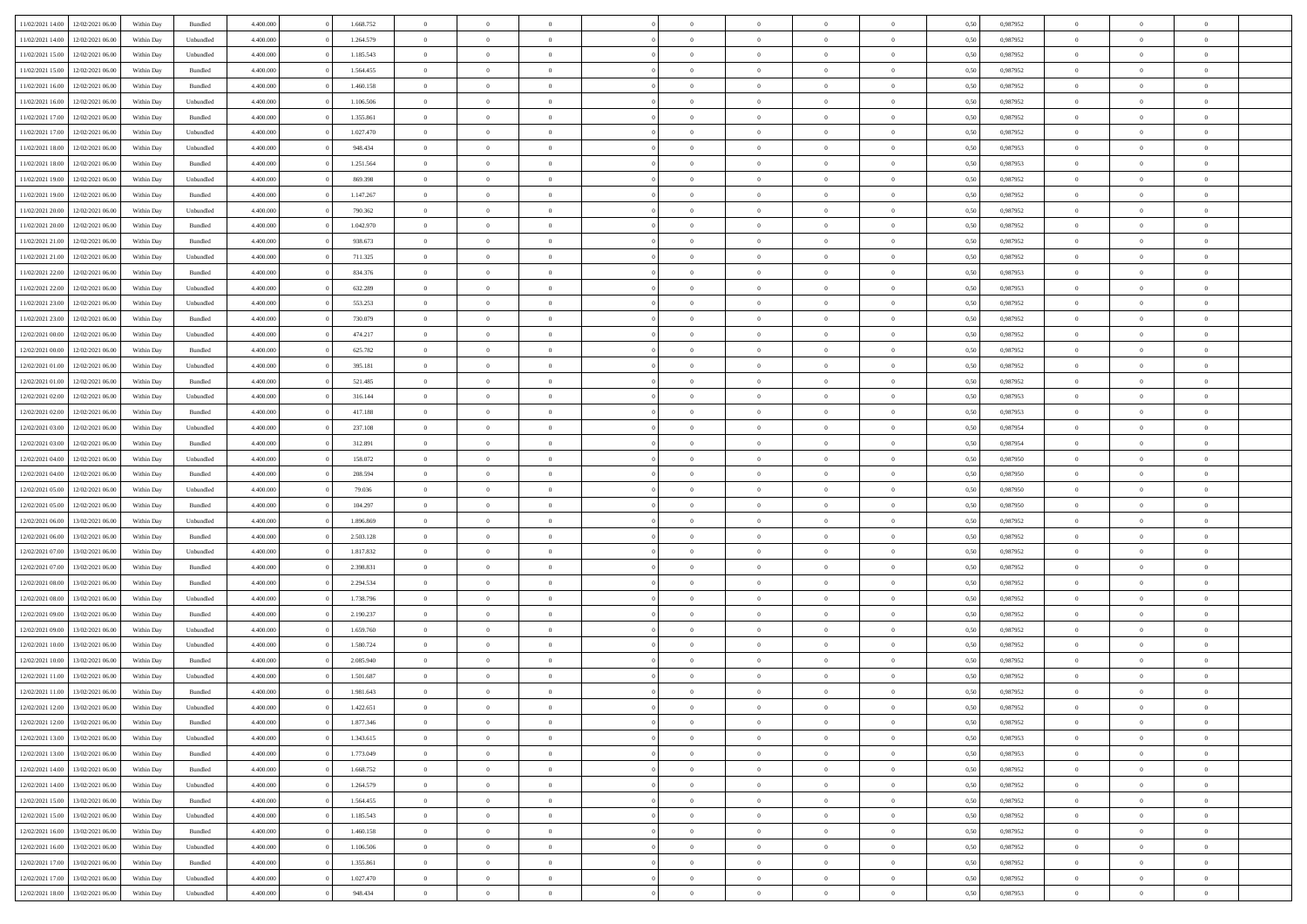|                                   | 12/02/2021 06:00 | Within Day | Bundled   | 4.400.000 | 1.668.752 | $\overline{0}$ | $\Omega$       |                | $\Omega$       | $\Omega$       | $\theta$       | $\theta$       | 0,50 | 0,987952 | $\theta$       | $\theta$       | $\theta$       |  |
|-----------------------------------|------------------|------------|-----------|-----------|-----------|----------------|----------------|----------------|----------------|----------------|----------------|----------------|------|----------|----------------|----------------|----------------|--|
| 11/02/2021 14:00                  |                  |            |           |           |           |                |                |                |                |                |                |                |      |          |                |                |                |  |
| 11/02/2021 14:00                  | 12/02/2021 06:00 | Within Day | Unbundled | 4.400.000 | 1.264.579 | $\overline{0}$ | $\theta$       | $\overline{0}$ | $\overline{0}$ | $\bf{0}$       | $\overline{0}$ | $\bf{0}$       | 0,50 | 0,987952 | $\theta$       | $\overline{0}$ | $\overline{0}$ |  |
| 11/02/2021 15:00                  | 12/02/2021 06:00 | Within Day | Unbundled | 4.400.000 | 1.185.543 | $\overline{0}$ | $\bf{0}$       | $\overline{0}$ | $\bf{0}$       | $\bf{0}$       | $\bf{0}$       | $\mathbf{0}$   | 0,50 | 0,987952 | $\overline{0}$ | $\overline{0}$ | $\bf{0}$       |  |
|                                   |                  |            |           |           |           |                |                |                |                |                |                |                |      |          | $\theta$       |                |                |  |
| 11/02/2021 15:00                  | 12/02/2021 06:00 | Within Dav | Bundled   | 4.400.000 | 1.564.455 | $\overline{0}$ | $\overline{0}$ | $\overline{0}$ | $\overline{0}$ | $\bf{0}$       | $\overline{0}$ | $\overline{0}$ | 0.50 | 0,987952 |                | $\theta$       | $\overline{0}$ |  |
| 11/02/2021 16:00                  | 12/02/2021 06:00 | Within Day | Bundled   | 4.400.000 | 1.460.158 | $\overline{0}$ | $\theta$       | $\overline{0}$ | $\overline{0}$ | $\bf{0}$       | $\overline{0}$ | $\bf{0}$       | 0,50 | 0,987952 | $\theta$       | $\overline{0}$ | $\overline{0}$ |  |
| 11/02/2021 16:00                  | 12/02/2021 06:00 | Within Day | Unbundled | 4.400.000 | 1.106.506 | $\overline{0}$ | $\overline{0}$ | $\overline{0}$ | $\bf{0}$       | $\overline{0}$ | $\overline{0}$ | $\mathbf{0}$   | 0,50 | 0,987952 | $\overline{0}$ | $\overline{0}$ | $\bf{0}$       |  |
| 11/02/2021 17:00                  | 12/02/2021 06:00 | Within Dav | Bundled   | 4.400.000 | 1.355.861 | $\overline{0}$ | $\overline{0}$ | $\overline{0}$ | $\overline{0}$ | $\overline{0}$ | $\overline{0}$ | $\overline{0}$ | 0.50 | 0,987952 | $\theta$       | $\overline{0}$ | $\overline{0}$ |  |
|                                   |                  |            |           |           |           |                |                |                |                |                |                |                |      |          |                |                |                |  |
| 11/02/2021 17:00                  | 12/02/2021 06:00 | Within Day | Unbundled | 4.400.000 | 1.027.470 | $\overline{0}$ | $\theta$       | $\overline{0}$ | $\overline{0}$ | $\bf{0}$       | $\overline{0}$ | $\bf{0}$       | 0,50 | 0,987952 | $\theta$       | $\theta$       | $\overline{0}$ |  |
| 11/02/2021 18:00                  | 12/02/2021 06:00 | Within Day | Unbundled | 4.400.000 | 948.434   | $\overline{0}$ | $\overline{0}$ | $\overline{0}$ | $\bf{0}$       | $\bf{0}$       | $\bf{0}$       | $\mathbf{0}$   | 0,50 | 0,987953 | $\,0\,$        | $\overline{0}$ | $\overline{0}$ |  |
| 11/02/2021 18:00                  | 12/02/2021 06:00 | Within Dav | Bundled   | 4.400.000 | 1.251.564 | $\overline{0}$ | $\overline{0}$ | $\overline{0}$ | $\overline{0}$ | $\overline{0}$ | $\overline{0}$ | $\overline{0}$ | 0.50 | 0,987953 | $\theta$       | $\overline{0}$ | $\overline{0}$ |  |
|                                   |                  |            |           |           |           |                |                |                |                |                |                |                |      |          |                |                |                |  |
| 11/02/2021 19:00                  | 12/02/2021 06:00 | Within Day | Unbundled | 4.400.000 | 869.398   | $\overline{0}$ | $\theta$       | $\overline{0}$ | $\overline{0}$ | $\bf{0}$       | $\overline{0}$ | $\bf{0}$       | 0,50 | 0,987952 | $\,$ 0 $\,$    | $\overline{0}$ | $\overline{0}$ |  |
| 11/02/2021 19:00                  | 12/02/2021 06:00 | Within Day | Bundled   | 4.400.000 | 1.147.267 | $\overline{0}$ | $\overline{0}$ | $\overline{0}$ | $\bf{0}$       | $\bf{0}$       | $\bf{0}$       | $\mathbf{0}$   | 0,50 | 0,987952 | $\bf{0}$       | $\overline{0}$ | $\bf{0}$       |  |
| 11/02/2021 20:00                  | 12/02/2021 06:00 | Within Day | Unbundled | 4.400.000 | 790,362   | $\overline{0}$ | $\overline{0}$ | $\overline{0}$ | $\overline{0}$ | $\bf{0}$       | $\overline{0}$ | $\overline{0}$ | 0.50 | 0,987952 | $\theta$       | $\theta$       | $\overline{0}$ |  |
|                                   |                  |            |           |           |           |                |                |                |                |                |                |                |      |          |                |                |                |  |
| 11/02/2021 20:00                  | 12/02/2021 06:00 | Within Day | Bundled   | 4.400.000 | 1.042.970 | $\overline{0}$ | $\theta$       | $\overline{0}$ | $\overline{0}$ | $\bf{0}$       | $\overline{0}$ | $\bf{0}$       | 0,50 | 0,987952 | $\theta$       | $\overline{0}$ | $\overline{0}$ |  |
| 11/02/2021 21:00                  | 12/02/2021 06:00 | Within Day | Bundled   | 4.400.000 | 938.673   | $\overline{0}$ | $\overline{0}$ | $\overline{0}$ | $\bf{0}$       | $\overline{0}$ | $\overline{0}$ | $\mathbf{0}$   | 0,50 | 0,987952 | $\bf{0}$       | $\overline{0}$ | $\bf{0}$       |  |
| 11/02/2021 21:00                  | 12/02/2021 06:00 | Within Dav | Unbundled | 4.400.000 | 711.325   | $\overline{0}$ | $\overline{0}$ | $\overline{0}$ | $\overline{0}$ | $\overline{0}$ | $\overline{0}$ | $\overline{0}$ | 0.50 | 0,987952 | $\theta$       | $\overline{0}$ | $\overline{0}$ |  |
| 11/02/2021 22:00                  | 12/02/2021 06:00 |            |           | 4.400.000 | 834.376   | $\overline{0}$ | $\theta$       | $\overline{0}$ | $\overline{0}$ | $\bf{0}$       | $\overline{0}$ |                |      | 0,987953 | $\theta$       | $\overline{0}$ | $\overline{0}$ |  |
|                                   |                  | Within Day | Bundled   |           |           |                |                |                |                |                |                | $\bf{0}$       | 0,50 |          |                |                |                |  |
| 11/02/2021 22:00                  | 12/02/2021 06:00 | Within Day | Unbundled | 4.400.000 | 632.289   | $\overline{0}$ | $\overline{0}$ | $\overline{0}$ | $\bf{0}$       | $\bf{0}$       | $\bf{0}$       | $\mathbf{0}$   | 0,50 | 0,987953 | $\bf{0}$       | $\overline{0}$ | $\bf{0}$       |  |
| 11/02/2021 23:00                  | 12/02/2021 06:00 | Within Day | Unbundled | 4.400.000 | 553.253   | $\overline{0}$ | $\overline{0}$ | $\overline{0}$ | $\overline{0}$ | $\overline{0}$ | $\overline{0}$ | $\overline{0}$ | 0.50 | 0,987952 | $\theta$       | $\overline{0}$ | $\overline{0}$ |  |
| 11/02/2021 23:00                  | 12/02/2021 06:00 | Within Day | Bundled   | 4.400.000 | 730.079   | $\overline{0}$ | $\theta$       | $\overline{0}$ | $\overline{0}$ | $\bf{0}$       | $\overline{0}$ | $\bf{0}$       | 0,50 | 0,987952 | $\,$ 0 $\,$    | $\overline{0}$ | $\overline{0}$ |  |
|                                   |                  |            |           |           |           |                |                |                |                |                |                |                |      |          |                |                |                |  |
| 12/02/2021 00:00                  | 12/02/2021 06:00 | Within Day | Unbundled | 4.400.000 | 474.217   | $\overline{0}$ | $\overline{0}$ | $\overline{0}$ | $\bf{0}$       | $\bf{0}$       | $\bf{0}$       | $\mathbf{0}$   | 0,50 | 0,987952 | $\bf{0}$       | $\overline{0}$ | $\bf{0}$       |  |
| 12/02/2021 00:00                  | 12/02/2021 06:00 | Within Day | Bundled   | 4.400.000 | 625.782   | $\overline{0}$ | $\overline{0}$ | $\overline{0}$ | $\overline{0}$ | $\overline{0}$ | $\overline{0}$ | $\overline{0}$ | 0.50 | 0,987952 | $\theta$       | $\overline{0}$ | $\overline{0}$ |  |
| 12/02/2021 01:00                  | 12/02/2021 06:00 | Within Day | Unbundled | 4.400.000 | 395.181   | $\overline{0}$ | $\theta$       | $\overline{0}$ | $\overline{0}$ | $\bf{0}$       | $\overline{0}$ | $\bf{0}$       | 0,50 | 0,987952 | $\,$ 0 $\,$    | $\overline{0}$ | $\overline{0}$ |  |
|                                   |                  |            |           |           |           |                |                |                |                |                |                |                |      |          |                | $\overline{0}$ | $\bf{0}$       |  |
| 12/02/2021 01:00                  | 12/02/2021 06:00 | Within Day | Bundled   | 4.400.000 | 521.485   | $\overline{0}$ | $\overline{0}$ | $\overline{0}$ | $\bf{0}$       | $\overline{0}$ | $\overline{0}$ | $\mathbf{0}$   | 0,50 | 0,987952 | $\bf{0}$       |                |                |  |
| 12/02/2021 02:00                  | 12/02/2021 06:00 | Within Day | Unbundled | 4.400.000 | 316.144   | $\overline{0}$ | $\overline{0}$ | $\overline{0}$ | $\overline{0}$ | $\overline{0}$ | $\overline{0}$ | $\overline{0}$ | 0.50 | 0,987953 | $\theta$       | $\overline{0}$ | $\overline{0}$ |  |
| 12/02/2021 02:00                  | 12/02/2021 06:00 | Within Day | Bundled   | 4.400.000 | 417.188   | $\overline{0}$ | $\theta$       | $\overline{0}$ | $\overline{0}$ | $\bf{0}$       | $\overline{0}$ | $\bf{0}$       | 0,50 | 0,987953 | $\theta$       | $\theta$       | $\overline{0}$ |  |
| 12/02/2021 03:00                  | 12/02/2021 06:00 | Within Day | Unbundled | 4.400.000 | 237.108   | $\overline{0}$ | $\overline{0}$ | $\overline{0}$ | $\bf{0}$       | $\bf{0}$       | $\bf{0}$       | $\mathbf{0}$   | 0,50 | 0,987954 | $\,0\,$        | $\overline{0}$ | $\overline{0}$ |  |
|                                   |                  |            |           |           |           |                |                |                |                |                |                |                |      |          |                |                |                |  |
| 12/02/2021 03:00                  | 12/02/2021 06:00 | Within Day | Bundled   | 4.400.000 | 312.891   | $\overline{0}$ | $\overline{0}$ | $\overline{0}$ | $\overline{0}$ | $\overline{0}$ | $\overline{0}$ | $\overline{0}$ | 0.50 | 0,987954 | $\theta$       | $\overline{0}$ | $\overline{0}$ |  |
| 12/02/2021 04:00                  | 12/02/2021 06:00 | Within Day | Unbundled | 4.400.000 | 158.072   | $\overline{0}$ | $\theta$       | $\overline{0}$ | $\overline{0}$ | $\bf{0}$       | $\overline{0}$ | $\bf{0}$       | 0,50 | 0,987950 | $\,$ 0 $\,$    | $\overline{0}$ | $\overline{0}$ |  |
| 12/02/2021 04:00                  | 12/02/2021 06:00 | Within Day | Bundled   | 4.400.000 | 208.594   | $\overline{0}$ | $\overline{0}$ | $\overline{0}$ | $\bf{0}$       | $\bf{0}$       | $\bf{0}$       | $\mathbf{0}$   | 0,50 | 0,987950 | $\bf{0}$       | $\overline{0}$ | $\bf{0}$       |  |
|                                   |                  |            |           |           |           |                |                |                |                |                |                |                |      |          |                |                | $\theta$       |  |
| 12/02/2021 05:00                  | 12/02/2021 06:00 | Within Day | Unbundled | 4.400,000 | 79.036    | $\overline{0}$ | $\Omega$       | $\overline{0}$ | $\Omega$       | $\Omega$       | $\overline{0}$ | $\overline{0}$ | 0,50 | 0,987950 | $\,0\,$        | $\theta$       |                |  |
| 12/02/2021 05:00                  | 12/02/2021 06:00 | Within Day | Bundled   | 4.400.000 | 104.297   | $\overline{0}$ | $\theta$       | $\overline{0}$ | $\overline{0}$ | $\bf{0}$       | $\overline{0}$ | $\bf{0}$       | 0,50 | 0,987950 | $\,$ 0 $\,$    | $\overline{0}$ | $\overline{0}$ |  |
| 12/02/2021 06:00                  | 13/02/2021 06:00 | Within Day | Unbundled | 4.400.000 | 1.896.869 | $\overline{0}$ | $\overline{0}$ | $\overline{0}$ | $\bf{0}$       | $\overline{0}$ | $\overline{0}$ | $\mathbf{0}$   | 0,50 | 0,987952 | $\bf{0}$       | $\overline{0}$ | $\bf{0}$       |  |
| 12/02/2021 06:00                  | 13/02/2021 06:00 | Within Day | Bundled   | 4.400,000 | 2.503.128 | $\overline{0}$ | $\Omega$       | $\Omega$       | $\Omega$       | $\overline{0}$ | $\overline{0}$ | $\overline{0}$ | 0.50 | 0,987952 | $\,0\,$        | $\theta$       | $\theta$       |  |
|                                   |                  |            |           |           |           |                |                |                |                |                |                |                |      |          |                |                |                |  |
| 12/02/2021 07:00                  | 13/02/2021 06:00 | Within Day | Unbundled | 4.400.000 | 1.817.832 | $\overline{0}$ | $\theta$       | $\overline{0}$ | $\overline{0}$ | $\bf{0}$       | $\overline{0}$ | $\bf{0}$       | 0,50 | 0,987952 | $\,$ 0 $\,$    | $\overline{0}$ | $\overline{0}$ |  |
| 12/02/2021 07:00                  | 13/02/2021 06:00 | Within Day | Bundled   | 4.400.000 | 2.398.831 | $\overline{0}$ | $\overline{0}$ | $\overline{0}$ | $\bf{0}$       | $\bf{0}$       | $\bf{0}$       | $\mathbf{0}$   | 0,50 | 0,987952 | $\bf{0}$       | $\overline{0}$ | $\bf{0}$       |  |
| 12/02/2021 08:00                  | 13/02/2021 06:00 | Within Day | Bundled   | 4.400,000 | 2.294.534 | $\overline{0}$ | $\Omega$       | $\overline{0}$ | $\Omega$       | $\overline{0}$ | $\overline{0}$ | $\overline{0}$ | 0.50 | 0.987952 | $\,$ 0 $\,$    | $\theta$       | $\theta$       |  |
| 12/02/2021 08:00                  | 13/02/2021 06:00 |            |           | 4.400.000 | 1.738.796 | $\overline{0}$ | $\overline{0}$ | $\overline{0}$ | $\overline{0}$ | $\,$ 0         | $\overline{0}$ |                |      | 0,987952 | $\,$ 0 $\,$    | $\overline{0}$ | $\overline{0}$ |  |
|                                   |                  | Within Day | Unbundled |           |           |                |                |                |                |                |                | $\bf{0}$       | 0,50 |          |                |                |                |  |
| 12/02/2021 09:00                  | 13/02/2021 06:00 | Within Day | Bundled   | 4.400.000 | 2.190.237 | $\overline{0}$ | $\bf{0}$       | $\overline{0}$ | $\bf{0}$       | $\bf{0}$       | $\bf{0}$       | $\mathbf{0}$   | 0,50 | 0,987952 | $\overline{0}$ | $\overline{0}$ | $\bf{0}$       |  |
| 12/02/2021 09:00                  | 13/02/2021 06:00 | Within Day | Unbundled | 4.400,000 | 1.659.760 | $\overline{0}$ | $\Omega$       | $\overline{0}$ | $\Omega$       | $\overline{0}$ | $\overline{0}$ | $\overline{0}$ | 0,50 | 0,987952 | $\,0\,$        | $\theta$       | $\theta$       |  |
| 12/02/2021 10:00                  | 13/02/2021 06:00 | Within Day | Unbundled | 4.400.000 | 1.580.724 | $\overline{0}$ | $\overline{0}$ | $\overline{0}$ | $\overline{0}$ | $\,$ 0         | $\overline{0}$ | $\bf{0}$       | 0,50 | 0,987952 | $\,$ 0 $\,$    | $\overline{0}$ | $\overline{0}$ |  |
|                                   |                  |            |           |           |           |                |                |                |                |                |                |                |      |          |                |                |                |  |
| 12/02/2021 10:00                  | 13/02/2021 06:00 | Within Day | Bundled   | 4.400.000 | 2.085.940 | $\overline{0}$ | $\overline{0}$ | $\overline{0}$ | $\bf{0}$       | $\bf{0}$       | $\overline{0}$ | $\mathbf{0}$   | 0,50 | 0,987952 | $\overline{0}$ | $\overline{0}$ | $\bf{0}$       |  |
| 12/02/2021 11:00                  | 13/02/2021 06:00 | Within Day | Unbundled | 4.400,000 | 1.501.687 | $\overline{0}$ | $\Omega$       | $\Omega$       | $\Omega$       | $\Omega$       | $\Omega$       | $\overline{0}$ | 0.50 | 0.987952 | $\theta$       | $\theta$       | $\theta$       |  |
| 12/02/2021 11:00                  | 13/02/2021 06:00 | Within Day | Bundled   | 4.400.000 | 1.981.643 | $\overline{0}$ | $\overline{0}$ | $\overline{0}$ | $\bf{0}$       | $\,$ 0         | $\bf{0}$       | $\bf{0}$       | 0,50 | 0,987952 | $\,0\,$        | $\,$ 0 $\,$    | $\overline{0}$ |  |
| 12/02/2021 12:00                  | 13/02/2021 06:00 | Within Day | Unbundled | 4.400.000 | 1.422.651 | $\bf{0}$       | $\bf{0}$       |                |                | $\bf{0}$       |                |                | 0,50 | 0,987952 | $\bf{0}$       | $\overline{0}$ |                |  |
|                                   |                  |            |           |           |           |                |                |                |                |                |                |                |      |          |                |                |                |  |
| 12/02/2021 12:00                  | 13/02/2021 06:00 | Within Day | Bundled   | 4.400.000 | 1.877.346 | $\overline{0}$ | $\overline{0}$ | $\overline{0}$ | $\Omega$       | $\overline{0}$ | $\overline{0}$ | $\overline{0}$ | 0.50 | 0.987952 | $\theta$       | $\theta$       | $\theta$       |  |
| 12/02/2021 13:00                  | 13/02/2021 06:00 | Within Day | Unbundled | 4.400.000 | 1.343.615 | $\overline{0}$ | $\,$ 0         | $\overline{0}$ | $\bf{0}$       | $\,$ 0 $\,$    | $\overline{0}$ | $\mathbf{0}$   | 0,50 | 0,987953 | $\,$ 0 $\,$    | $\,$ 0 $\,$    | $\,$ 0         |  |
| 12/02/2021 13:00                  | 13/02/2021 06:00 | Within Day | Bundled   | 4.400.000 | 1.773.049 | $\overline{0}$ | $\overline{0}$ | $\overline{0}$ | $\overline{0}$ | $\overline{0}$ | $\overline{0}$ | $\mathbf{0}$   | 0,50 | 0,987953 | $\overline{0}$ | $\bf{0}$       | $\bf{0}$       |  |
|                                   |                  |            |           |           |           |                |                |                |                |                |                |                |      |          |                |                |                |  |
| 12/02/2021 14:00                  | 13/02/2021 06:00 | Within Day | Bundled   | 4.400,000 | 1.668.752 | $\overline{0}$ | $\overline{0}$ | $\overline{0}$ | $\Omega$       | $\overline{0}$ | $\overline{0}$ | $\overline{0}$ | 0,50 | 0,987952 | $\overline{0}$ | $\theta$       | $\overline{0}$ |  |
| 12/02/2021 14:00                  | 13/02/2021 06:00 | Within Day | Unbundled | 4.400.000 | 1.264.579 | $\overline{0}$ | $\,$ 0         | $\overline{0}$ | $\overline{0}$ | $\,$ 0 $\,$    | $\overline{0}$ | $\mathbf{0}$   | 0,50 | 0,987952 | $\,$ 0 $\,$    | $\overline{0}$ | $\overline{0}$ |  |
| 12/02/2021 15:00                  | 13/02/2021 06:00 | Within Day | Bundled   | 4.400.000 | 1.564.455 | $\overline{0}$ | $\overline{0}$ | $\overline{0}$ | $\overline{0}$ | $\overline{0}$ | $\overline{0}$ | $\mathbf{0}$   | 0,50 | 0,987952 | $\overline{0}$ | $\overline{0}$ | $\bf{0}$       |  |
| 12/02/2021 15:00                  | 13/02/2021 06:00 | Within Day | Unbundled | 4.400.000 | 1.185.543 | $\overline{0}$ | $\overline{0}$ | $\overline{0}$ | $\Omega$       | $\overline{0}$ | $\overline{0}$ | $\bf{0}$       | 0.50 | 0,987952 | $\overline{0}$ | $\theta$       | $\overline{0}$ |  |
|                                   |                  |            |           |           |           |                |                |                |                |                |                |                |      |          |                |                |                |  |
| 12/02/2021 16:00                  | 13/02/2021 06:00 | Within Day | Bundled   | 4.400.000 | 1.460.158 | $\overline{0}$ | $\,$ 0         | $\overline{0}$ | $\bf{0}$       | $\bf{0}$       | $\bf{0}$       | $\bf{0}$       | 0,50 | 0,987952 | $\,$ 0 $\,$    | $\overline{0}$ | $\overline{0}$ |  |
| 12/02/2021 16:00                  | 13/02/2021 06:00 | Within Day | Unbundled | 4.400.000 | 1.106.506 | $\overline{0}$ | $\bf{0}$       | $\overline{0}$ | $\overline{0}$ | $\overline{0}$ | $\overline{0}$ | $\mathbf{0}$   | 0,50 | 0,987952 | $\overline{0}$ | $\overline{0}$ | $\bf{0}$       |  |
| 12/02/2021 17:00                  | 13/02/2021 06:00 | Within Day | Bundled   | 4.400,000 | 1.355.861 | $\overline{0}$ | $\overline{0}$ | $\overline{0}$ | $\Omega$       | $\overline{0}$ | $\overline{0}$ | $\bf{0}$       | 0.50 | 0,987952 | $\overline{0}$ | $\overline{0}$ | $\overline{0}$ |  |
|                                   |                  |            |           |           |           |                | $\bf{0}$       |                | $\overline{0}$ |                |                |                |      |          | $\,$ 0 $\,$    | $\,$ 0 $\,$    |                |  |
| 12/02/2021 17:00                  | 13/02/2021 06:00 | Within Day | Unbundled | 4.400.000 | 1.027.470 | $\overline{0}$ |                | $\overline{0}$ |                | $\bf{0}$       | $\bf{0}$       | $\mathbf{0}$   | 0,50 | 0,987952 |                |                | $\bf{0}$       |  |
| 12/02/2021 18:00 13/02/2021 06:00 |                  | Within Day | Unbundled | 4.400.000 | 948.434   | $\overline{0}$ | $\overline{0}$ | $\overline{0}$ | $\overline{0}$ | $\overline{0}$ | $\bf{0}$       | $\mathbf{0}$   | 0,50 | 0,987953 | $\overline{0}$ | $\bf{0}$       | $\bf{0}$       |  |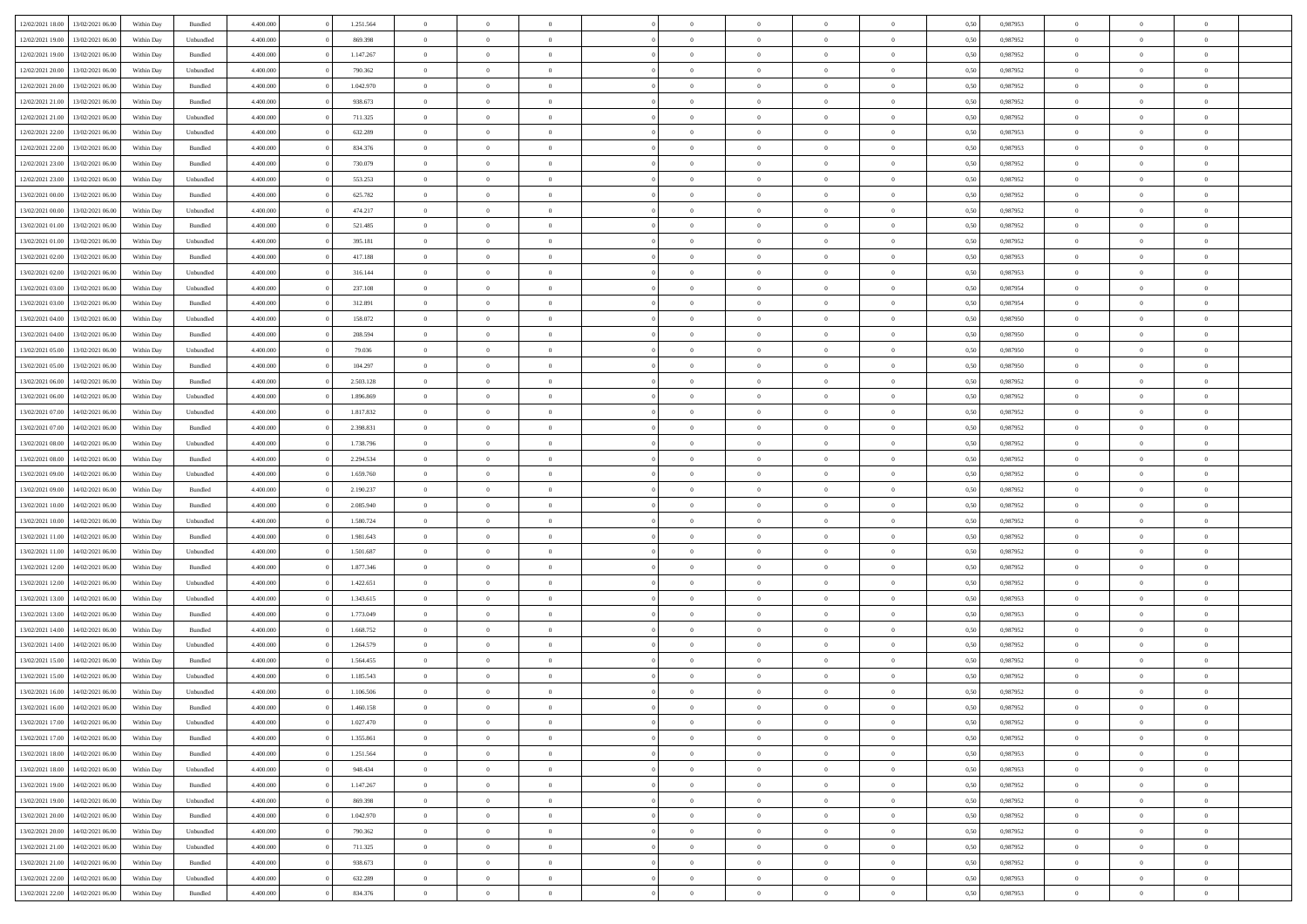| 12/02/2021 18:00 | 13/02/2021 06:00 | Within Day | Bundled            | 4.400.000 | 1.251.564 | $\overline{0}$ | $\Omega$       |                | $\Omega$       | $\Omega$       | $\theta$       | $\theta$       | 0,50 | 0.987953 | $\theta$       | $\theta$       | $\overline{0}$ |  |
|------------------|------------------|------------|--------------------|-----------|-----------|----------------|----------------|----------------|----------------|----------------|----------------|----------------|------|----------|----------------|----------------|----------------|--|
|                  |                  |            |                    |           |           |                |                |                |                |                |                |                |      |          |                |                |                |  |
| 12/02/2021 19:00 | 13/02/2021 06:00 | Within Day | Unbundled          | 4.400.000 | 869.398   | $\overline{0}$ | $\theta$       | $\overline{0}$ | $\overline{0}$ | $\bf{0}$       | $\overline{0}$ | $\bf{0}$       | 0,50 | 0,987952 | $\theta$       | $\overline{0}$ | $\overline{0}$ |  |
| 12/02/2021 19:00 | 13/02/2021 06:00 | Within Day | Bundled            | 4.400.000 | 1.147.267 | $\overline{0}$ | $\overline{0}$ | $\overline{0}$ | $\bf{0}$       | $\bf{0}$       | $\bf{0}$       | $\mathbf{0}$   | 0,50 | 0,987952 | $\overline{0}$ | $\overline{0}$ | $\bf{0}$       |  |
| 12/02/2021 20:00 | 13/02/2021 06:00 | Within Day | Unbundled          | 4.400.000 | 790,362   | $\overline{0}$ | $\overline{0}$ | $\overline{0}$ | $\overline{0}$ | $\bf{0}$       | $\overline{0}$ | $\overline{0}$ | 0.50 | 0,987952 | $\theta$       | $\theta$       | $\overline{0}$ |  |
| 12/02/2021 20:00 | 13/02/2021 06:00 | Within Day | Bundled            | 4.400.000 | 1.042.970 | $\overline{0}$ | $\theta$       | $\overline{0}$ | $\overline{0}$ | $\bf{0}$       | $\overline{0}$ | $\bf{0}$       | 0,50 | 0,987952 | $\theta$       | $\overline{0}$ | $\overline{0}$ |  |
| 12/02/2021 21:00 | 13/02/2021 06:00 | Within Day | Bundled            | 4.400.000 | 938.673   | $\overline{0}$ | $\overline{0}$ | $\overline{0}$ | $\bf{0}$       | $\overline{0}$ | $\overline{0}$ | $\mathbf{0}$   | 0,50 | 0,987952 | $\bf{0}$       | $\overline{0}$ | $\bf{0}$       |  |
| 12/02/2021 21:00 | 13/02/2021 06:00 | Within Dav | Unbundled          | 4.400.000 | 711.325   | $\overline{0}$ | $\overline{0}$ | $\overline{0}$ | $\overline{0}$ | $\overline{0}$ | $\overline{0}$ | $\overline{0}$ | 0.50 | 0,987952 | $\theta$       | $\overline{0}$ | $\overline{0}$ |  |
|                  |                  |            |                    |           |           |                |                |                |                |                |                |                |      |          |                |                |                |  |
| 12/02/2021 22:00 | 13/02/2021 06:00 | Within Day | Unbundled          | 4.400.000 | 632.289   | $\overline{0}$ | $\theta$       | $\overline{0}$ | $\overline{0}$ | $\bf{0}$       | $\overline{0}$ | $\bf{0}$       | 0,50 | 0,987953 | $\theta$       | $\theta$       | $\overline{0}$ |  |
| 12/02/2021 22:00 | 13/02/2021 06:00 | Within Day | Bundled            | 4.400.000 | 834.376   | $\overline{0}$ | $\overline{0}$ | $\overline{0}$ | $\bf{0}$       | $\bf{0}$       | $\bf{0}$       | $\mathbf{0}$   | 0,50 | 0,987953 | $\,0\,$        | $\overline{0}$ | $\overline{0}$ |  |
| 12/02/2021 23:00 | 13/02/2021 06:00 | Within Dav | Bundled            | 4.400.000 | 730.079   | $\overline{0}$ | $\overline{0}$ | $\overline{0}$ | $\overline{0}$ | $\overline{0}$ | $\overline{0}$ | $\overline{0}$ | 0.50 | 0,987952 | $\theta$       | $\overline{0}$ | $\overline{0}$ |  |
| 12/02/2021 23:00 | 13/02/2021 06:00 | Within Day | Unbundled          | 4.400.000 | 553.253   | $\overline{0}$ | $\theta$       | $\overline{0}$ | $\overline{0}$ | $\bf{0}$       | $\overline{0}$ | $\bf{0}$       | 0,50 | 0,987952 | $\,$ 0 $\,$    | $\overline{0}$ | $\overline{0}$ |  |
| 13/02/2021 00:00 | 13/02/2021 06:00 | Within Day | Bundled            | 4.400.000 | 625.782   | $\overline{0}$ | $\overline{0}$ | $\overline{0}$ | $\bf{0}$       | $\bf{0}$       | $\bf{0}$       | $\mathbf{0}$   | 0,50 | 0,987952 | $\bf{0}$       | $\overline{0}$ | $\bf{0}$       |  |
| 13/02/2021 00:00 | 13/02/2021 06:00 | Within Day | Unbundled          | 4.400.000 | 474.217   | $\overline{0}$ | $\overline{0}$ | $\overline{0}$ | $\overline{0}$ | $\bf{0}$       | $\overline{0}$ | $\overline{0}$ | 0.50 | 0,987952 | $\theta$       | $\theta$       | $\overline{0}$ |  |
| 13/02/2021 01:00 | 13/02/2021 06:00 |            |                    | 4.400.000 | 521.485   | $\overline{0}$ | $\theta$       | $\overline{0}$ | $\overline{0}$ | $\bf{0}$       | $\overline{0}$ |                |      | 0,987952 | $\theta$       | $\overline{0}$ | $\overline{0}$ |  |
|                  |                  | Within Day | Bundled            |           |           |                |                |                |                |                |                | $\bf{0}$       | 0,50 |          |                |                |                |  |
| 13/02/2021 01:00 | 13/02/2021 06:00 | Within Day | Unbundled          | 4.400.000 | 395.181   | $\overline{0}$ | $\overline{0}$ | $\overline{0}$ | $\bf{0}$       | $\overline{0}$ | $\overline{0}$ | $\mathbf{0}$   | 0,50 | 0,987952 | $\bf{0}$       | $\overline{0}$ | $\bf{0}$       |  |
| 13/02/2021 02:00 | 13/02/2021 06:00 | Within Dav | Bundled            | 4.400.000 | 417.188   | $\overline{0}$ | $\overline{0}$ | $\overline{0}$ | $\overline{0}$ | $\overline{0}$ | $\overline{0}$ | $\overline{0}$ | 0.50 | 0,987953 | $\theta$       | $\overline{0}$ | $\overline{0}$ |  |
| 13/02/2021 02:00 | 13/02/2021 06:00 | Within Day | Unbundled          | 4.400.000 | 316.144   | $\overline{0}$ | $\theta$       | $\overline{0}$ | $\overline{0}$ | $\bf{0}$       | $\overline{0}$ | $\bf{0}$       | 0,50 | 0,987953 | $\theta$       | $\overline{0}$ | $\overline{0}$ |  |
| 13/02/2021 03:00 | 13/02/2021 06:00 | Within Day | Unbundled          | 4.400.000 | 237.108   | $\overline{0}$ | $\overline{0}$ | $\overline{0}$ | $\bf{0}$       | $\bf{0}$       | $\bf{0}$       | $\mathbf{0}$   | 0,50 | 0,987954 | $\,0\,$        | $\overline{0}$ | $\bf{0}$       |  |
| 13/02/2021 03:00 | 13/02/2021 06:00 | Within Day | Bundled            | 4.400.000 | 312.891   | $\overline{0}$ | $\overline{0}$ | $\overline{0}$ | $\overline{0}$ | $\overline{0}$ | $\overline{0}$ | $\overline{0}$ | 0.50 | 0,987954 | $\theta$       | $\overline{0}$ | $\overline{0}$ |  |
| 13/02/2021 04:00 | 13/02/2021 06:00 | Within Day | Unbundled          | 4.400.000 | 158.072   | $\overline{0}$ | $\theta$       | $\overline{0}$ | $\overline{0}$ | $\bf{0}$       | $\overline{0}$ | $\bf{0}$       | 0,50 | 0,987950 | $\,$ 0 $\,$    | $\overline{0}$ | $\overline{0}$ |  |
|                  |                  |            |                    |           |           |                |                |                |                |                |                |                |      |          |                |                |                |  |
| 13/02/2021 04:00 | 13/02/2021 06:00 | Within Day | Bundled            | 4.400.000 | 208.594   | $\overline{0}$ | $\overline{0}$ | $\overline{0}$ | $\bf{0}$       | $\bf{0}$       | $\bf{0}$       | $\mathbf{0}$   | 0,50 | 0,987950 | $\bf{0}$       | $\overline{0}$ | $\bf{0}$       |  |
| 13/02/2021 05:00 | 13/02/2021 06:00 | Within Day | Unbundled          | 4.400.000 | 79.036    | $\overline{0}$ | $\overline{0}$ | $\overline{0}$ | $\overline{0}$ | $\overline{0}$ | $\overline{0}$ | $\overline{0}$ | 0.50 | 0,987950 | $\theta$       | $\overline{0}$ | $\overline{0}$ |  |
| 13/02/2021 05:00 | 13/02/2021 06:00 | Within Day | Bundled            | 4.400.000 | 104.297   | $\overline{0}$ | $\theta$       | $\overline{0}$ | $\overline{0}$ | $\bf{0}$       | $\overline{0}$ | $\bf{0}$       | 0,50 | 0,987950 | $\,$ 0 $\,$    | $\overline{0}$ | $\overline{0}$ |  |
| 13/02/2021 06:00 | 14/02/2021 06:00 | Within Day | Bundled            | 4.400.000 | 2.503.128 | $\overline{0}$ | $\overline{0}$ | $\overline{0}$ | $\bf{0}$       | $\overline{0}$ | $\overline{0}$ | $\mathbf{0}$   | 0,50 | 0,987952 | $\bf{0}$       | $\overline{0}$ | $\bf{0}$       |  |
| 13/02/2021 06:00 | 14/02/2021 06:00 | Within Day | Unbundled          | 4.400.000 | 1.896.869 | $\overline{0}$ | $\overline{0}$ | $\overline{0}$ | $\overline{0}$ | $\overline{0}$ | $\overline{0}$ | $\overline{0}$ | 0.50 | 0,987952 | $\theta$       | $\overline{0}$ | $\overline{0}$ |  |
| 13/02/2021 07:00 | 14/02/2021 06:00 | Within Day | Unbundled          | 4.400.000 | 1.817.832 | $\overline{0}$ | $\theta$       | $\overline{0}$ | $\overline{0}$ | $\bf{0}$       | $\overline{0}$ | $\bf{0}$       | 0,50 | 0,987952 | $\theta$       | $\overline{0}$ | $\overline{0}$ |  |
| 13/02/2021 07:00 | 14/02/2021 06:00 | Within Day | Bundled            | 4.400.000 | 2.398.831 | $\overline{0}$ | $\overline{0}$ | $\overline{0}$ | $\bf{0}$       | $\bf{0}$       | $\bf{0}$       | $\mathbf{0}$   | 0,50 | 0,987952 | $\,0\,$        | $\overline{0}$ | $\overline{0}$ |  |
|                  |                  |            |                    |           |           |                |                |                |                |                |                |                |      |          |                |                |                |  |
| 13/02/2021 08:00 | 14/02/2021 06:00 | Within Day | Unbundled          | 4.400.000 | 1.738.796 | $\overline{0}$ | $\overline{0}$ | $\overline{0}$ | $\overline{0}$ | $\overline{0}$ | $\overline{0}$ | $\overline{0}$ | 0.50 | 0,987952 | $\theta$       | $\overline{0}$ | $\overline{0}$ |  |
| 13/02/2021 08:00 | 14/02/2021 06:00 | Within Day | Bundled            | 4.400.000 | 2.294.534 | $\overline{0}$ | $\theta$       | $\overline{0}$ | $\overline{0}$ | $\,$ 0         | $\overline{0}$ | $\bf{0}$       | 0,50 | 0,987952 | $\,$ 0 $\,$    | $\overline{0}$ | $\overline{0}$ |  |
| 13/02/2021 09:00 | 14/02/2021 06:00 | Within Day | Unbundled          | 4.400.000 | 1.659.760 | $\overline{0}$ | $\overline{0}$ | $\overline{0}$ | $\bf{0}$       | $\bf{0}$       | $\bf{0}$       | $\mathbf{0}$   | 0,50 | 0,987952 | $\bf{0}$       | $\overline{0}$ | $\bf{0}$       |  |
| 13/02/2021 09:00 | 14/02/2021 06:00 | Within Day | Bundled            | 4.400,000 | 2.190.237 | $\bf{0}$       | $\Omega$       | $\overline{0}$ | $\Omega$       | $\Omega$       | $\overline{0}$ | $\overline{0}$ | 0,50 | 0,987952 | $\,0\,$        | $\theta$       | $\theta$       |  |
| 13/02/2021 10:00 | 14/02/2021 06:00 | Within Day | Bundled            | 4.400.000 | 2.085.940 | $\overline{0}$ | $\theta$       | $\overline{0}$ | $\overline{0}$ | $\bf{0}$       | $\overline{0}$ | $\bf{0}$       | 0,50 | 0,987952 | $\,$ 0 $\,$    | $\overline{0}$ | $\overline{0}$ |  |
| 13/02/2021 10:00 | 14/02/2021 06:00 | Within Day | Unbundled          | 4.400.000 | 1.580.724 | $\overline{0}$ | $\overline{0}$ | $\overline{0}$ | $\bf{0}$       | $\overline{0}$ | $\overline{0}$ | $\mathbf{0}$   | 0,50 | 0,987952 | $\bf{0}$       | $\overline{0}$ | $\bf{0}$       |  |
| 13/02/2021 11:00 | 14/02/2021 06:00 | Within Day | Bundled            | 4.400,000 | 1.981.643 | $\overline{0}$ | $\Omega$       | $\Omega$       | $\Omega$       | $\overline{0}$ | $\overline{0}$ | $\overline{0}$ | 0.50 | 0,987952 | $\,0\,$        | $\theta$       | $\theta$       |  |
|                  |                  |            |                    |           |           |                |                |                |                |                |                |                |      |          |                |                |                |  |
| 13/02/2021 11:00 | 14/02/2021 06:00 | Within Day | Unbundled          | 4.400.000 | 1.501.687 | $\overline{0}$ | $\theta$       | $\overline{0}$ | $\overline{0}$ | $\bf{0}$       | $\overline{0}$ | $\bf{0}$       | 0,50 | 0,987952 | $\,$ 0 $\,$    | $\overline{0}$ | $\overline{0}$ |  |
| 13/02/2021 12:00 | 14/02/2021 06:00 | Within Day | Bundled            | 4.400.000 | 1.877.346 | $\overline{0}$ | $\overline{0}$ | $\overline{0}$ | $\overline{0}$ | $\bf{0}$       | $\overline{0}$ | $\mathbf{0}$   | 0,50 | 0,987952 | $\bf{0}$       | $\overline{0}$ | $\bf{0}$       |  |
| 13/02/2021 12:00 | 14/02/2021 06:00 | Within Day | Unbundled          | 4.400,000 | 1.422.651 | $\overline{0}$ | $\Omega$       | $\overline{0}$ | $\Omega$       | $\overline{0}$ | $\overline{0}$ | $\overline{0}$ | 0.50 | 0.987952 | $\,$ 0 $\,$    | $\theta$       | $\theta$       |  |
| 13/02/2021 13:00 | 14/02/2021 06:00 | Within Day | Unbundled          | 4.400.000 | 1.343.615 | $\overline{0}$ | $\overline{0}$ | $\overline{0}$ | $\overline{0}$ | $\,$ 0         | $\overline{0}$ | $\bf{0}$       | 0,50 | 0,987953 | $\,$ 0 $\,$    | $\overline{0}$ | $\overline{0}$ |  |
| 13/02/2021 13:00 | 14/02/2021 06:00 | Within Day | Bundled            | 4.400.000 | 1.773.049 | $\overline{0}$ | $\bf{0}$       | $\overline{0}$ | $\overline{0}$ | $\bf{0}$       | $\overline{0}$ | $\mathbf{0}$   | 0,50 | 0,987953 | $\bf{0}$       | $\overline{0}$ | $\bf{0}$       |  |
| 13/02/2021 14:00 | 14/02/2021 06:00 | Within Day | Bundled            | 4.400,000 | 1.668.752 | $\overline{0}$ | $\Omega$       | $\overline{0}$ | $\Omega$       | $\overline{0}$ | $\overline{0}$ | $\overline{0}$ | 0,50 | 0,987952 | $\,0\,$        | $\theta$       | $\theta$       |  |
| 13/02/2021 14:00 | 14/02/2021 06:00 | Within Day | Unbundled          | 4.400.000 | 1.264.579 | $\overline{0}$ | $\overline{0}$ | $\overline{0}$ | $\overline{0}$ | $\,$ 0         | $\overline{0}$ | $\bf{0}$       | 0,50 | 0,987952 | $\,$ 0 $\,$    | $\overline{0}$ | $\overline{0}$ |  |
| 13/02/2021 15:00 | 14/02/2021 06:00 | Within Day | Bundled            | 4.400.000 | 1.564.455 | $\overline{0}$ | $\overline{0}$ | $\overline{0}$ | $\overline{0}$ | $\bf{0}$       | $\overline{0}$ | $\mathbf{0}$   | 0,50 | 0,987952 | $\bf{0}$       | $\overline{0}$ | $\bf{0}$       |  |
|                  |                  |            |                    |           |           |                |                |                |                |                |                |                |      |          |                |                |                |  |
| 13/02/2021 15:00 | 14/02/2021 06.00 | Within Day | Unbundled          | 4.400,000 | 1.185.543 | $\overline{0}$ | $\Omega$       | $\Omega$       | $\Omega$       | $\Omega$       | $\overline{0}$ | $\overline{0}$ | 0.50 | 0.987952 | $\theta$       | $\theta$       | $\theta$       |  |
| 13/02/2021 16:00 | 14/02/2021 06:00 | Within Day | Unbundled          | 4.400.000 | 1.106.506 | $\overline{0}$ | $\overline{0}$ | $\overline{0}$ | $\bf{0}$       | $\,$ 0         | $\overline{0}$ | $\bf{0}$       | 0,50 | 0,987952 | $\,0\,$        | $\,0\,$        | $\overline{0}$ |  |
| 13/02/2021 16:00 | 14/02/2021 06:00 | Within Day | $\mathbf B$ undled | 4.400.000 | 1.460.158 | $\overline{0}$ | $\bf{0}$       |                |                | $\bf{0}$       |                |                | 0,50 | 0,987952 | $\bf{0}$       | $\overline{0}$ |                |  |
| 13/02/2021 17:00 | 14/02/2021 06:00 | Within Day | Unbundled          | 4.400.000 | 1.027.470 | $\overline{0}$ | $\overline{0}$ | $\overline{0}$ | $\Omega$       | $\overline{0}$ | $\overline{0}$ | $\overline{0}$ | 0,50 | 0.987952 | $\theta$       | $\theta$       | $\theta$       |  |
| 13/02/2021 17:00 | 14/02/2021 06:00 | Within Day | Bundled            | 4.400.000 | 1.355.861 | $\overline{0}$ | $\bf{0}$       | $\overline{0}$ | $\overline{0}$ | $\,$ 0 $\,$    | $\overline{0}$ | $\,$ 0 $\,$    | 0,50 | 0,987952 | $\,$ 0 $\,$    | $\,$ 0 $\,$    | $\,$ 0         |  |
| 13/02/2021 18:00 | 14/02/2021 06:00 | Within Day | Bundled            | 4.400.000 | 1.251.564 | $\overline{0}$ | $\overline{0}$ | $\overline{0}$ | $\overline{0}$ | $\overline{0}$ | $\overline{0}$ | $\mathbf{0}$   | 0,50 | 0,987953 | $\overline{0}$ | $\bf{0}$       | $\overline{0}$ |  |
| 13/02/2021 18:00 | 14/02/2021 06:00 | Within Day | Unbundled          | 4.400,000 | 948.434   | $\overline{0}$ | $\overline{0}$ | $\overline{0}$ | $\Omega$       | $\overline{0}$ | $\overline{0}$ | $\overline{0}$ | 0,50 | 0,987953 | $\overline{0}$ | $\,0\,$        | $\overline{0}$ |  |
|                  |                  |            |                    |           |           |                |                |                |                |                |                |                |      |          |                |                |                |  |
| 13/02/2021 19:00 | 14/02/2021 06:00 | Within Day | Bundled            | 4.400.000 | 1.147.267 | $\overline{0}$ | $\,$ 0         | $\overline{0}$ | $\overline{0}$ | $\,$ 0 $\,$    | $\overline{0}$ | $\mathbf{0}$   | 0,50 | 0,987952 | $\,$ 0 $\,$    | $\overline{0}$ | $\overline{0}$ |  |
| 13/02/2021 19:00 | 14/02/2021 06:00 | Within Day | Unbundled          | 4.400.000 | 869.398   | $\overline{0}$ | $\overline{0}$ | $\overline{0}$ | $\overline{0}$ | $\overline{0}$ | $\overline{0}$ | $\mathbf{0}$   | 0,50 | 0,987952 | $\overline{0}$ | $\overline{0}$ | $\bf{0}$       |  |
| 13/02/2021 20:00 | 14/02/2021 06:00 | Within Day | Bundled            | 4.400.000 | 1.042.970 | $\overline{0}$ | $\overline{0}$ | $\overline{0}$ | $\overline{0}$ | $\overline{0}$ | $\overline{0}$ | $\bf{0}$       | 0.50 | 0,987952 | $\overline{0}$ | $\theta$       | $\overline{0}$ |  |
| 13/02/2021 20:00 | 14/02/2021 06:00 | Within Day | Unbundled          | 4.400.000 | 790.362   | $\overline{0}$ | $\,$ 0         | $\overline{0}$ | $\overline{0}$ | $\bf{0}$       | $\overline{0}$ | $\bf{0}$       | 0,50 | 0,987952 | $\,$ 0 $\,$    | $\overline{0}$ | $\overline{0}$ |  |
| 13/02/2021 21:00 | 14/02/2021 06:00 | Within Day | Unbundled          | 4.400.000 | 711.325   | $\overline{0}$ | $\bf{0}$       | $\overline{0}$ | $\overline{0}$ | $\overline{0}$ | $\overline{0}$ | $\mathbf{0}$   | 0,50 | 0,987952 | $\overline{0}$ | $\overline{0}$ | $\bf{0}$       |  |
| 13/02/2021 21:00 | 14/02/2021 06:00 | Within Day | Bundled            | 4.400,000 | 938.673   | $\overline{0}$ | $\overline{0}$ | $\overline{0}$ | $\Omega$       | $\overline{0}$ | $\overline{0}$ | $\overline{0}$ | 0.50 | 0,987952 | $\overline{0}$ | $\overline{0}$ | $\overline{0}$ |  |
| 13/02/2021 22:00 | 14/02/2021 06:00 | Within Day | Unbundled          | 4.400.000 | 632.289   | $\overline{0}$ | $\bf{0}$       | $\overline{0}$ | $\bf{0}$       | $\bf{0}$       | $\overline{0}$ | $\mathbf{0}$   | 0,50 | 0,987953 | $\,$ 0 $\,$    | $\,$ 0 $\,$    | $\bf{0}$       |  |
|                  |                  |            |                    |           |           |                |                |                |                |                |                |                |      |          |                |                |                |  |
| 13/02/2021 22.00 | 14/02/2021 06:00 | Within Day | Bundled            | 4.400.000 | 834.376   | $\overline{0}$ | $\overline{0}$ | $\overline{0}$ | $\overline{0}$ | $\overline{0}$ | $\overline{0}$ | $\mathbf{0}$   | 0,50 | 0,987953 | $\overline{0}$ | $\bf{0}$       | $\overline{0}$ |  |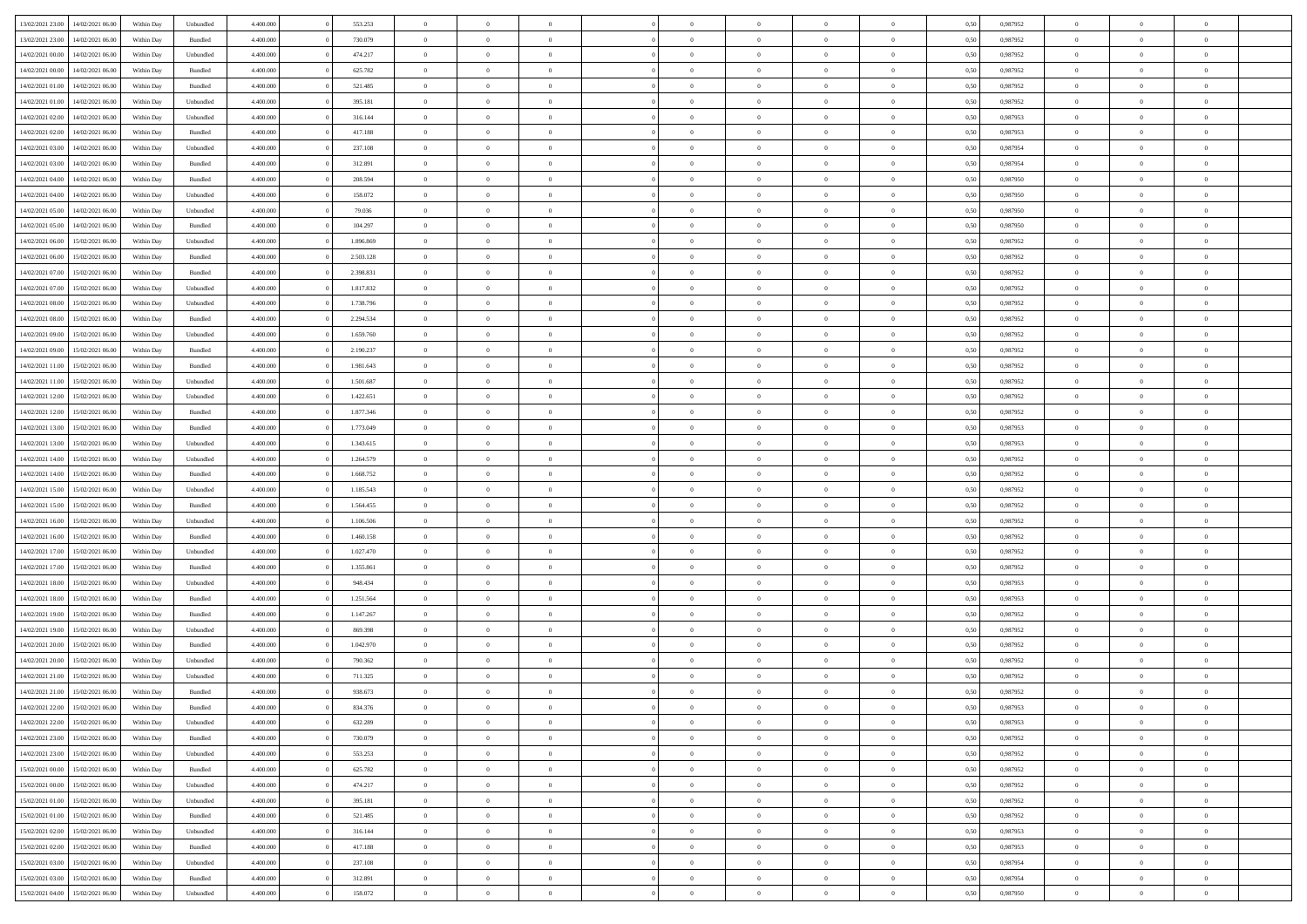| 13/02/2021 23:00 | 14/02/2021 06:00 | Within Day | Unbundled          | 4.400.000 | 553.253   | $\overline{0}$ | $\theta$       |                | $\Omega$       | $\Omega$       | $\theta$       | $\theta$       | 0,50 | 0,987952 | $\theta$       | $\overline{0}$ | $\theta$       |  |
|------------------|------------------|------------|--------------------|-----------|-----------|----------------|----------------|----------------|----------------|----------------|----------------|----------------|------|----------|----------------|----------------|----------------|--|
| 13/02/2021 23:00 | 14/02/2021 06:00 | Within Day | Bundled            | 4.400.000 | 730.079   | $\overline{0}$ | $\theta$       | $\overline{0}$ | $\overline{0}$ | $\bf{0}$       | $\overline{0}$ | $\bf{0}$       | 0,50 | 0,987952 | $\theta$       | $\overline{0}$ | $\overline{0}$ |  |
| 14/02/2021 00:00 | 14/02/2021 06:00 | Within Day | Unbundled          | 4.400.000 | 474.217   | $\overline{0}$ | $\overline{0}$ | $\overline{0}$ | $\bf{0}$       | $\bf{0}$       | $\bf{0}$       | $\mathbf{0}$   | 0,50 | 0,987952 | $\overline{0}$ | $\overline{0}$ | $\bf{0}$       |  |
| 14/02/2021 00:00 | 14/02/2021 06:00 | Within Dav | Bundled            | 4.400.000 | 625.782   | $\overline{0}$ | $\overline{0}$ | $\overline{0}$ | $\overline{0}$ | $\bf{0}$       | $\overline{0}$ | $\overline{0}$ | 0.50 | 0,987952 | $\theta$       | $\theta$       | $\overline{0}$ |  |
| 14/02/2021 01:00 | 14/02/2021 06:00 | Within Day | Bundled            | 4.400.000 | 521.485   | $\overline{0}$ | $\theta$       | $\overline{0}$ | $\overline{0}$ | $\bf{0}$       | $\overline{0}$ | $\bf{0}$       | 0,50 | 0,987952 | $\theta$       | $\overline{0}$ | $\overline{0}$ |  |
|                  |                  |            |                    |           |           |                |                |                |                |                |                |                |      |          |                |                |                |  |
| 14/02/2021 01:00 | 14/02/2021 06:00 | Within Day | Unbundled          | 4.400.000 | 395.181   | $\overline{0}$ | $\overline{0}$ | $\overline{0}$ | $\bf{0}$       | $\overline{0}$ | $\overline{0}$ | $\mathbf{0}$   | 0,50 | 0,987952 | $\overline{0}$ | $\overline{0}$ | $\bf{0}$       |  |
| 14/02/2021 02:00 | 14/02/2021 06:00 | Within Dav | Unbundled          | 4.400.000 | 316.144   | $\overline{0}$ | $\overline{0}$ | $\overline{0}$ | $\overline{0}$ | $\overline{0}$ | $\overline{0}$ | $\overline{0}$ | 0.50 | 0,987953 | $\theta$       | $\overline{0}$ | $\overline{0}$ |  |
| 14/02/2021 02:00 | 14/02/2021 06:00 | Within Day | Bundled            | 4.400.000 | 417.188   | $\overline{0}$ | $\theta$       | $\overline{0}$ | $\overline{0}$ | $\bf{0}$       | $\overline{0}$ | $\bf{0}$       | 0,50 | 0,987953 | $\theta$       | $\theta$       | $\overline{0}$ |  |
| 14/02/2021 03:00 | 14/02/2021 06:00 | Within Day | Unbundled          | 4.400.000 | 237.108   | $\overline{0}$ | $\overline{0}$ | $\overline{0}$ | $\bf{0}$       | $\bf{0}$       | $\bf{0}$       | $\mathbf{0}$   | 0,50 | 0,987954 | $\,0\,$        | $\overline{0}$ | $\overline{0}$ |  |
| 14/02/2021 03:00 | 14/02/2021 06:00 | Within Dav | Bundled            | 4.400.000 | 312.891   | $\overline{0}$ | $\overline{0}$ | $\overline{0}$ | $\overline{0}$ | $\overline{0}$ | $\overline{0}$ | $\overline{0}$ | 0.50 | 0,987954 | $\theta$       | $\overline{0}$ | $\overline{0}$ |  |
| 14/02/2021 04:00 | 14/02/2021 06:00 | Within Day | Bundled            | 4.400.000 | 208.594   | $\overline{0}$ | $\theta$       | $\overline{0}$ | $\overline{0}$ | $\bf{0}$       | $\overline{0}$ | $\bf{0}$       | 0,50 | 0,987950 | $\,$ 0 $\,$    | $\overline{0}$ | $\overline{0}$ |  |
|                  |                  |            |                    |           |           |                |                |                |                |                |                |                |      |          |                |                |                |  |
| 14/02/2021 04:00 | 14/02/2021 06:00 | Within Day | Unbundled          | 4.400.000 | 158.072   | $\overline{0}$ | $\overline{0}$ | $\overline{0}$ | $\bf{0}$       | $\bf{0}$       | $\bf{0}$       | $\mathbf{0}$   | 0,50 | 0,987950 | $\overline{0}$ | $\overline{0}$ | $\bf{0}$       |  |
| 14/02/2021 05:00 | 14/02/2021 06:00 | Within Day | Unbundled          | 4.400.000 | 79.036    | $\overline{0}$ | $\overline{0}$ | $\overline{0}$ | $\overline{0}$ | $\bf{0}$       | $\overline{0}$ | $\overline{0}$ | 0.50 | 0,987950 | $\theta$       | $\theta$       | $\overline{0}$ |  |
| 14/02/2021 05:00 | 14/02/2021 06:00 | Within Day | Bundled            | 4.400.000 | 104.297   | $\overline{0}$ | $\theta$       | $\overline{0}$ | $\overline{0}$ | $\bf{0}$       | $\overline{0}$ | $\bf{0}$       | 0,50 | 0,987950 | $\theta$       | $\overline{0}$ | $\overline{0}$ |  |
| 14/02/2021 06:00 | 15/02/2021 06:00 | Within Day | Unbundled          | 4.400.000 | 1.896.869 | $\overline{0}$ | $\overline{0}$ | $\overline{0}$ | $\bf{0}$       | $\overline{0}$ | $\overline{0}$ | $\mathbf{0}$   | 0,50 | 0,987952 | $\overline{0}$ | $\overline{0}$ | $\bf{0}$       |  |
| 14/02/2021 06:00 | 15/02/2021 06:00 | Within Dav | Bundled            | 4.400.000 | 2.503.128 | $\overline{0}$ | $\overline{0}$ | $\overline{0}$ | $\overline{0}$ | $\overline{0}$ | $\overline{0}$ | $\overline{0}$ | 0.50 | 0,987952 | $\theta$       | $\overline{0}$ | $\overline{0}$ |  |
| 14/02/2021 07:00 | 15/02/2021 06:00 | Within Day | Bundled            | 4.400.000 | 2.398.831 | $\overline{0}$ | $\theta$       | $\overline{0}$ | $\overline{0}$ | $\bf{0}$       | $\overline{0}$ | $\bf{0}$       | 0,50 | 0,987952 | $\theta$       | $\overline{0}$ | $\overline{0}$ |  |
| 14/02/2021 07:00 | 15/02/2021 06:00 | Within Day | Unbundled          | 4.400.000 | 1.817.832 | $\overline{0}$ | $\overline{0}$ | $\overline{0}$ | $\bf{0}$       | $\bf{0}$       | $\bf{0}$       | $\mathbf{0}$   | 0,50 | 0,987952 | $\,0\,$        | $\overline{0}$ | $\bf{0}$       |  |
| 14/02/2021 08:00 | 15/02/2021 06:00 |            | Unbundled          | 4.400.000 | 1.738.796 | $\overline{0}$ | $\overline{0}$ | $\overline{0}$ | $\overline{0}$ | $\overline{0}$ | $\overline{0}$ | $\overline{0}$ | 0.50 | 0,987952 | $\theta$       | $\overline{0}$ | $\overline{0}$ |  |
|                  |                  | Within Day |                    |           |           |                |                |                |                |                |                |                |      |          |                |                |                |  |
| 14/02/2021 08:00 | 15/02/2021 06:00 | Within Day | Bundled            | 4.400.000 | 2.294.534 | $\overline{0}$ | $\theta$       | $\overline{0}$ | $\overline{0}$ | $\bf{0}$       | $\overline{0}$ | $\bf{0}$       | 0,50 | 0,987952 | $\,$ 0 $\,$    | $\overline{0}$ | $\overline{0}$ |  |
| 14/02/2021 09:00 | 15/02/2021 06:00 | Within Day | Unbundled          | 4.400.000 | 1.659.760 | $\overline{0}$ | $\overline{0}$ | $\overline{0}$ | $\bf{0}$       | $\bf{0}$       | $\bf{0}$       | $\mathbf{0}$   | 0,50 | 0,987952 | $\overline{0}$ | $\overline{0}$ | $\bf{0}$       |  |
| 14/02/2021 09:00 | 15/02/2021 06:00 | Within Day | Bundled            | 4.400.000 | 2.190.237 | $\overline{0}$ | $\overline{0}$ | $\overline{0}$ | $\overline{0}$ | $\overline{0}$ | $\overline{0}$ | $\overline{0}$ | 0.50 | 0,987952 | $\theta$       | $\overline{0}$ | $\overline{0}$ |  |
| 14/02/2021 11:00 | 15/02/2021 06:00 | Within Day | Bundled            | 4.400.000 | 1.981.643 | $\overline{0}$ | $\theta$       | $\overline{0}$ | $\overline{0}$ | $\bf{0}$       | $\overline{0}$ | $\bf{0}$       | 0,50 | 0,987952 | $\,$ 0 $\,$    | $\overline{0}$ | $\overline{0}$ |  |
| 14/02/2021 11:00 | 15/02/2021 06:00 | Within Day | Unbundled          | 4.400.000 | 1.501.687 | $\overline{0}$ | $\overline{0}$ | $\overline{0}$ | $\bf{0}$       | $\overline{0}$ | $\overline{0}$ | $\mathbf{0}$   | 0,50 | 0,987952 | $\bf{0}$       | $\overline{0}$ | $\bf{0}$       |  |
| 14/02/2021 12:00 | 15/02/2021 06:00 | Within Dav | Unbundled          | 4.400.000 | 1.422.651 | $\overline{0}$ | $\overline{0}$ | $\overline{0}$ | $\overline{0}$ | $\overline{0}$ | $\overline{0}$ | $\overline{0}$ | 0.50 | 0,987952 | $\theta$       | $\overline{0}$ | $\overline{0}$ |  |
|                  |                  |            |                    |           |           | $\overline{0}$ | $\theta$       | $\overline{0}$ |                | $\bf{0}$       | $\overline{0}$ |                |      |          | $\theta$       |                | $\overline{0}$ |  |
| 14/02/2021 12:00 | 15/02/2021 06:00 | Within Day | Bundled            | 4.400.000 | 1.877.346 |                |                |                | $\overline{0}$ |                |                | $\bf{0}$       | 0,50 | 0,987952 |                | $\overline{0}$ |                |  |
| 14/02/2021 13:00 | 15/02/2021 06:00 | Within Day | Bundled            | 4.400.000 | 1.773.049 | $\overline{0}$ | $\overline{0}$ | $\overline{0}$ | $\overline{0}$ | $\bf{0}$       | $\overline{0}$ | $\mathbf{0}$   | 0,50 | 0,987953 | $\,0\,$        | $\overline{0}$ | $\overline{0}$ |  |
| 14/02/2021 13:00 | 15/02/2021 06:00 | Within Day | Unbundled          | 4.400.000 | 1.343.615 | $\overline{0}$ | $\overline{0}$ | $\overline{0}$ | $\overline{0}$ | $\overline{0}$ | $\overline{0}$ | $\overline{0}$ | 0.50 | 0,987953 | $\theta$       | $\overline{0}$ | $\overline{0}$ |  |
| 14/02/2021 14:00 | 15/02/2021 06:00 | Within Day | Unbundled          | 4.400.000 | 1.264.579 | $\overline{0}$ | $\theta$       | $\overline{0}$ | $\overline{0}$ | $\bf{0}$       | $\overline{0}$ | $\bf{0}$       | 0,50 | 0,987952 | $\,$ 0 $\,$    | $\overline{0}$ | $\overline{0}$ |  |
| 14/02/2021 14:00 | 15/02/2021 06:00 | Within Day | Bundled            | 4.400.000 | 1.668.752 | $\overline{0}$ | $\overline{0}$ | $\overline{0}$ | $\overline{0}$ | $\bf{0}$       | $\overline{0}$ | $\mathbf{0}$   | 0,50 | 0,987952 | $\bf{0}$       | $\overline{0}$ | $\bf{0}$       |  |
| 14/02/2021 15:00 | 15/02/2021 06:00 | Within Day | Unbundled          | 4.400,000 | 1.185.543 | $\overline{0}$ | $\Omega$       | $\overline{0}$ | $\Omega$       | $\Omega$       | $\overline{0}$ | $\overline{0}$ | 0,50 | 0,987952 | $\,0\,$        | $\theta$       | $\theta$       |  |
| 14/02/2021 15:00 | 15/02/2021 06:00 | Within Day | Bundled            | 4.400.000 | 1.564.455 | $\overline{0}$ | $\theta$       | $\overline{0}$ | $\overline{0}$ | $\bf{0}$       | $\overline{0}$ | $\bf{0}$       | 0,50 | 0,987952 | $\,$ 0 $\,$    | $\overline{0}$ | $\overline{0}$ |  |
|                  |                  |            |                    |           |           |                |                |                |                |                |                |                |      |          |                |                |                |  |
| 14/02/2021 16:00 | 15/02/2021 06:00 | Within Day | Unbundled          | 4.400.000 | 1.106.506 | $\overline{0}$ | $\overline{0}$ | $\overline{0}$ | $\overline{0}$ | $\overline{0}$ | $\overline{0}$ | $\mathbf{0}$   | 0,50 | 0,987952 | $\bf{0}$       | $\overline{0}$ | $\bf{0}$       |  |
| 14/02/2021 16:00 | 15/02/2021 06:00 | Within Day | Bundled            | 4.400,000 | 1.460.158 | $\overline{0}$ | $\Omega$       | $\Omega$       | $\Omega$       | $\overline{0}$ | $\overline{0}$ | $\overline{0}$ | 0.50 | 0,987952 | $\,0\,$        | $\theta$       | $\theta$       |  |
| 14/02/2021 17:00 | 15/02/2021 06:00 | Within Day | Unbundled          | 4.400.000 | 1.027.470 | $\overline{0}$ | $\theta$       | $\overline{0}$ | $\overline{0}$ | $\bf{0}$       | $\overline{0}$ | $\bf{0}$       | 0,50 | 0,987952 | $\,$ 0 $\,$    | $\overline{0}$ | $\overline{0}$ |  |
| 14/02/2021 17:00 | 15/02/2021 06:00 | Within Day | Bundled            | 4.400.000 | 1.355.861 | $\overline{0}$ | $\overline{0}$ | $\overline{0}$ | $\overline{0}$ | $\bf{0}$       | $\overline{0}$ | $\mathbf{0}$   | 0,50 | 0,987952 | $\bf{0}$       | $\overline{0}$ | $\bf{0}$       |  |
| 14/02/2021 18:00 | 15/02/2021 06:00 | Within Day | Unbundled          | 4.400,000 | 948,434   | $\overline{0}$ | $\Omega$       | $\Omega$       | $\Omega$       | $\overline{0}$ | $\overline{0}$ | $\overline{0}$ | 0.50 | 0.987953 | $\,$ 0 $\,$    | $\theta$       | $\theta$       |  |
| 14/02/2021 18:00 | 15/02/2021 06:00 | Within Day | Bundled            | 4.400.000 | 1.251.564 | $\overline{0}$ | $\overline{0}$ | $\overline{0}$ | $\overline{0}$ | $\,$ 0         | $\overline{0}$ | $\bf{0}$       | 0,50 | 0,987953 | $\,$ 0 $\,$    | $\overline{0}$ | $\overline{0}$ |  |
| 14/02/2021 19:00 | 15/02/2021 06:00 | Within Day | Bundled            | 4.400.000 | 1.147.267 | $\overline{0}$ | $\bf{0}$       | $\overline{0}$ | $\overline{0}$ | $\bf{0}$       | $\overline{0}$ | $\mathbf{0}$   | 0,50 | 0,987952 | $\bf{0}$       | $\overline{0}$ | $\bf{0}$       |  |
|                  |                  |            |                    | 4.400,000 | 869,398   | $\overline{0}$ | $\Omega$       | $\overline{0}$ | $\Omega$       | $\overline{0}$ | $\overline{0}$ | $\overline{0}$ |      |          | $\,0\,$        | $\theta$       | $\theta$       |  |
| 14/02/2021 19:00 | 15/02/2021 06:00 | Within Day | Unbundled          |           |           |                |                |                |                |                |                |                | 0,50 | 0,987952 |                |                |                |  |
| 14/02/2021 20:00 | 15/02/2021 06:00 | Within Day | Bundled            | 4.400.000 | 1.042.970 | $\overline{0}$ | $\overline{0}$ | $\overline{0}$ | $\overline{0}$ | $\,$ 0         | $\overline{0}$ | $\bf{0}$       | 0,50 | 0,987952 | $\,$ 0 $\,$    | $\overline{0}$ | $\overline{0}$ |  |
| 14/02/2021 20:00 | 15/02/2021 06:00 | Within Day | Unbundled          | 4.400.000 | 790.362   | $\overline{0}$ | $\overline{0}$ | $\overline{0}$ | $\bf{0}$       | $\bf{0}$       | $\overline{0}$ | $\mathbf{0}$   | 0,50 | 0,987952 | $\overline{0}$ | $\overline{0}$ | $\bf{0}$       |  |
| 14/02/2021 21:00 | 15/02/2021 06:00 | Within Day | Unbundled          | 4.400,000 | 711.325   | $\overline{0}$ | $\Omega$       | $\Omega$       | $\Omega$       | $\Omega$       | $\Omega$       | $\overline{0}$ | 0.50 | 0.987952 | $\theta$       | $\theta$       | $\theta$       |  |
| 14/02/2021 21:00 | 15/02/2021 06:00 | Within Day | Bundled            | 4.400.000 | 938.673   | $\overline{0}$ | $\overline{0}$ | $\overline{0}$ | $\bf{0}$       | $\,$ 0         | $\bf{0}$       | $\bf{0}$       | 0,50 | 0,987952 | $\,0\,$        | $\,$ 0 $\,$    | $\overline{0}$ |  |
| 14/02/2021 22:00 | 15/02/2021 06:00 | Within Day | $\mathbf B$ undled | 4.400.000 | 834.376   | $\bf{0}$       | $\bf{0}$       |                |                | $\bf{0}$       |                |                | 0,50 | 0,987953 | $\bf{0}$       | $\overline{0}$ |                |  |
| 14/02/2021 22.00 | 15/02/2021 06:00 | Within Day | Unbundled          | 4.400.000 | 632.289   | $\overline{0}$ | $\overline{0}$ | $\overline{0}$ | $\Omega$       | $\overline{0}$ | $\overline{0}$ | $\overline{0}$ | 0.50 | 0.987953 | $\theta$       | $\theta$       | $\Omega$       |  |
| 14/02/2021 23:00 | 15/02/2021 06:00 | Within Day | Bundled            | 4.400.000 | 730.079   | $\overline{0}$ | $\bf{0}$       | $\overline{0}$ | $\bf{0}$       | $\,$ 0 $\,$    | $\overline{0}$ | $\,$ 0 $\,$    | 0,50 | 0,987952 | $\,$ 0 $\,$    | $\,$ 0 $\,$    | $\,$ 0         |  |
|                  |                  |            |                    |           |           |                |                |                |                |                |                |                |      |          |                |                |                |  |
| 14/02/2021 23:00 | 15/02/2021 06:00 | Within Day | Unbundled          | 4.400.000 | 553.253   | $\overline{0}$ | $\overline{0}$ | $\overline{0}$ | $\overline{0}$ | $\overline{0}$ | $\overline{0}$ | $\mathbf{0}$   | 0,50 | 0,987952 | $\overline{0}$ | $\bf{0}$       | $\overline{0}$ |  |
| 15/02/2021 00:00 | 15/02/2021 06:00 | Within Day | Bundled            | 4.400,000 | 625.782   | $\overline{0}$ | $\overline{0}$ | $\overline{0}$ | $\Omega$       | $\overline{0}$ | $\overline{0}$ | $\overline{0}$ | 0,50 | 0,987952 | $\overline{0}$ | $\theta$       | $\overline{0}$ |  |
| 15/02/2021 00:00 | 15/02/2021 06:00 | Within Day | Unbundled          | 4.400.000 | 474.217   | $\overline{0}$ | $\,$ 0         | $\overline{0}$ | $\bf{0}$       | $\,$ 0 $\,$    | $\overline{0}$ | $\mathbf{0}$   | 0,50 | 0,987952 | $\,$ 0 $\,$    | $\overline{0}$ | $\overline{0}$ |  |
| 15/02/2021 01:00 | 15/02/2021 06:00 | Within Day | Unbundled          | 4.400.000 | 395.181   | $\overline{0}$ | $\overline{0}$ | $\overline{0}$ | $\overline{0}$ | $\overline{0}$ | $\overline{0}$ | $\mathbf{0}$   | 0,50 | 0,987952 | $\overline{0}$ | $\overline{0}$ | $\overline{0}$ |  |
| 15/02/2021 01:00 | 15/02/2021 06:00 | Within Day | Bundled            | 4.400,000 | 521.485   | $\overline{0}$ | $\overline{0}$ | $\overline{0}$ | $\overline{0}$ | $\overline{0}$ | $\overline{0}$ | $\overline{0}$ | 0.50 | 0,987952 | $\overline{0}$ | $\theta$       | $\overline{0}$ |  |
| 15/02/2021 02:00 | 15/02/2021 06:00 | Within Day | Unbundled          | 4.400.000 | 316.144   | $\overline{0}$ | $\,$ 0         | $\overline{0}$ | $\bf{0}$       | $\bf{0}$       | $\bf{0}$       | $\bf{0}$       | 0,50 | 0,987953 | $\,$ 0 $\,$    | $\overline{0}$ | $\overline{0}$ |  |
| 15/02/2021 02:00 | 15/02/2021 06:00 | Within Day | Bundled            | 4.400.000 | 417.188   | $\overline{0}$ | $\bf{0}$       | $\overline{0}$ | $\overline{0}$ | $\overline{0}$ | $\overline{0}$ | $\mathbf{0}$   | 0,50 | 0,987953 | $\overline{0}$ | $\overline{0}$ | $\bf{0}$       |  |
|                  |                  |            |                    |           |           |                |                |                |                |                |                |                |      |          |                |                |                |  |
| 15/02/2021 03:00 | 15/02/2021 06:00 | Within Day | Unbundled          | 4.400,000 | 237.108   | $\overline{0}$ | $\overline{0}$ | $\overline{0}$ | $\Omega$       | $\overline{0}$ | $\overline{0}$ | $\overline{0}$ | 0.50 | 0,987954 | $\overline{0}$ | $\overline{0}$ | $\overline{0}$ |  |
| 15/02/2021 03:00 | 15/02/2021 06:00 | Within Day | Bundled            | 4.400.000 | 312.891   | $\overline{0}$ | $\bf{0}$       | $\overline{0}$ | $\overline{0}$ | $\bf{0}$       | $\bf{0}$       | $\mathbf{0}$   | 0,50 | 0,987954 | $\,$ 0 $\,$    | $\,$ 0 $\,$    | $\bf{0}$       |  |
| 15/02/2021 04:00 | 15/02/2021 06:00 | Within Day | Unbundled          | 4.400.000 | 158.072   | $\overline{0}$ | $\bf{0}$       | $\overline{0}$ | $\overline{0}$ | $\bf{0}$       | $\bf{0}$       | $\bf{0}$       | 0,50 | 0,987950 | $\overline{0}$ | $\overline{0}$ | $\bf{0}$       |  |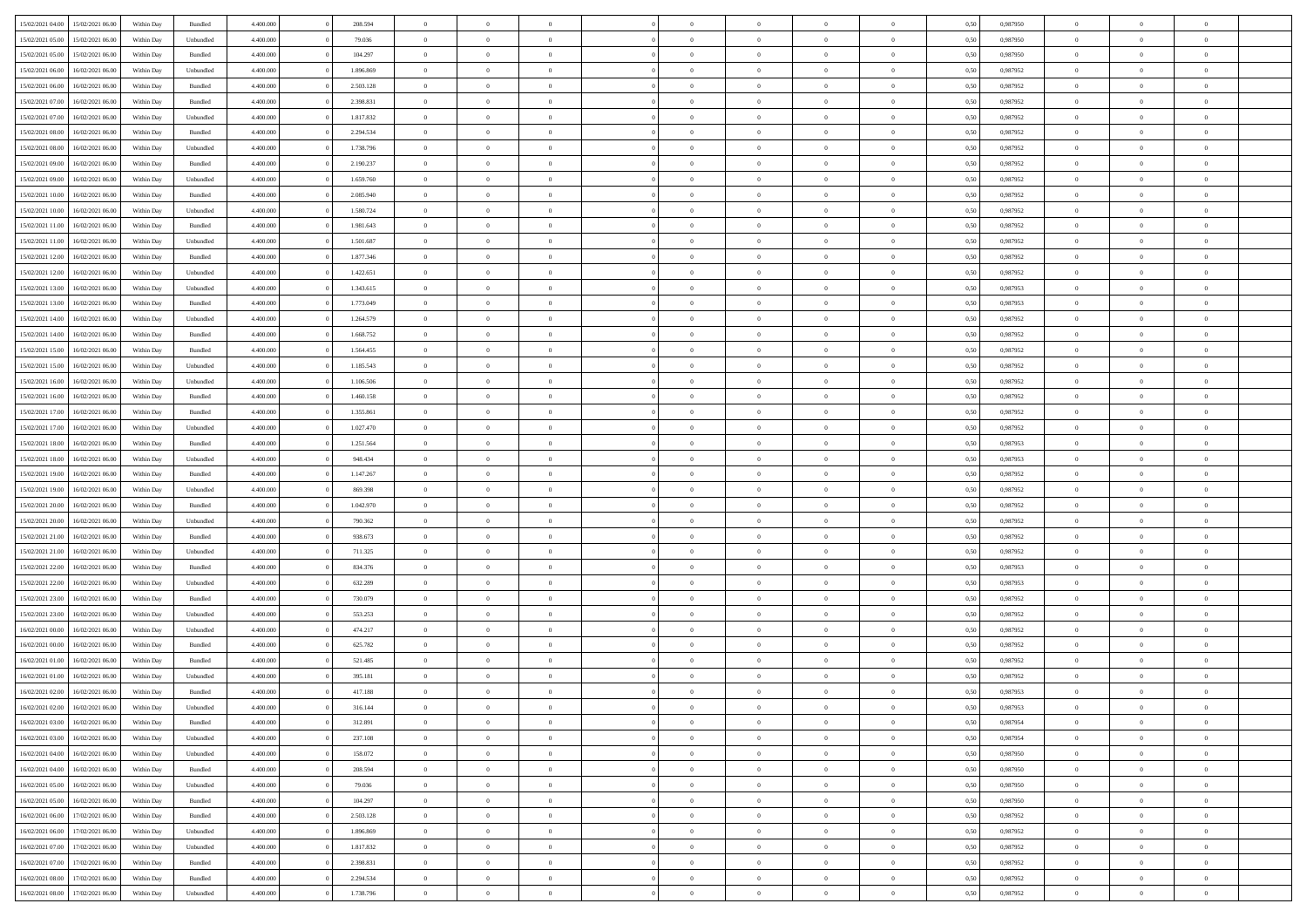| 15/02/2021 04:00 | 15/02/2021 06:00                  | Within Day | Bundled   | 4.400.000 | 208.594   | $\overline{0}$ | $\Omega$       |                | $\Omega$       | $\Omega$       | $\Omega$       | $\theta$       | 0.50 | 0,987950 | $\theta$       | $\theta$       | $\theta$       |  |
|------------------|-----------------------------------|------------|-----------|-----------|-----------|----------------|----------------|----------------|----------------|----------------|----------------|----------------|------|----------|----------------|----------------|----------------|--|
|                  |                                   |            |           |           |           |                |                |                |                |                |                |                |      |          |                |                |                |  |
| 15/02/2021 05:00 | 15/02/2021 06:00                  | Within Day | Unbundled | 4.400.000 | 79.036    | $\overline{0}$ | $\theta$       | $\overline{0}$ | $\overline{0}$ | $\bf{0}$       | $\overline{0}$ | $\bf{0}$       | 0,50 | 0,987950 | $\theta$       | $\theta$       | $\overline{0}$ |  |
| 15/02/2021 05:00 | 15/02/2021 06:00                  | Within Day | Bundled   | 4.400.000 | 104.297   | $\overline{0}$ | $\overline{0}$ | $\overline{0}$ | $\bf{0}$       | $\bf{0}$       | $\bf{0}$       | $\bf{0}$       | 0,50 | 0,987950 | $\overline{0}$ | $\overline{0}$ | $\overline{0}$ |  |
| 15/02/2021 06:00 | 16/02/2021 06:00                  | Within Day | Unbundled | 4.400.000 | 1.896.869 | $\overline{0}$ | $\overline{0}$ | $\overline{0}$ | $\overline{0}$ | $\bf{0}$       | $\overline{0}$ | $\overline{0}$ | 0.50 | 0,987952 | $\theta$       | $\theta$       | $\overline{0}$ |  |
| 15/02/2021 06:00 | 16/02/2021 06:00                  | Within Day | Bundled   | 4.400.000 | 2.503.128 | $\overline{0}$ | $\theta$       | $\overline{0}$ | $\overline{0}$ | $\bf{0}$       | $\overline{0}$ | $\bf{0}$       | 0,50 | 0,987952 | $\theta$       | $\theta$       | $\overline{0}$ |  |
| 15/02/2021 07:00 | 16/02/2021 06:00                  | Within Day | Bundled   | 4.400.000 | 2.398.831 | $\overline{0}$ | $\bf{0}$       | $\overline{0}$ | $\bf{0}$       | $\overline{0}$ | $\overline{0}$ | $\mathbf{0}$   | 0,50 | 0,987952 | $\overline{0}$ | $\overline{0}$ | $\bf{0}$       |  |
|                  |                                   |            |           |           |           |                |                |                |                | $\overline{0}$ |                |                |      |          | $\theta$       | $\overline{0}$ | $\overline{0}$ |  |
| 15/02/2021 07:00 | 16/02/2021 06:00                  | Within Dav | Unbundled | 4.400.000 | 1.817.832 | $\overline{0}$ | $\overline{0}$ | $\overline{0}$ | $\overline{0}$ |                | $\overline{0}$ | $\overline{0}$ | 0.50 | 0,987952 |                |                |                |  |
| 15/02/2021 08:00 | 16/02/2021 06:00                  | Within Day | Bundled   | 4.400.000 | 2.294.534 | $\overline{0}$ | $\theta$       | $\overline{0}$ | $\overline{0}$ | $\bf{0}$       | $\overline{0}$ | $\bf{0}$       | 0,50 | 0,987952 | $\theta$       | $\theta$       | $\overline{0}$ |  |
| 15/02/2021 08:00 | 16/02/2021 06:00                  | Within Day | Unbundled | 4.400.000 | 1.738.796 | $\overline{0}$ | $\overline{0}$ | $\overline{0}$ | $\overline{0}$ | $\bf{0}$       | $\overline{0}$ | $\bf{0}$       | 0,50 | 0,987952 | $\,0\,$        | $\overline{0}$ | $\overline{0}$ |  |
| 15/02/2021 09:00 | 16/02/2021 06:00                  | Within Dav | Bundled   | 4.400.000 | 2.190.237 | $\overline{0}$ | $\overline{0}$ | $\overline{0}$ | $\overline{0}$ | $\overline{0}$ | $\overline{0}$ | $\overline{0}$ | 0.50 | 0,987952 | $\theta$       | $\overline{0}$ | $\overline{0}$ |  |
| 15/02/2021 09:00 | 16/02/2021 06:00                  | Within Day | Unbundled | 4.400.000 | 1.659.760 | $\overline{0}$ | $\theta$       | $\overline{0}$ | $\overline{0}$ | $\bf{0}$       | $\overline{0}$ | $\bf{0}$       | 0,50 | 0,987952 | $\,$ 0 $\,$    | $\theta$       | $\overline{0}$ |  |
| 15/02/2021 10:00 | 16/02/2021 06:00                  | Within Day | Bundled   | 4.400.000 | 2.085.940 | $\overline{0}$ | $\overline{0}$ | $\overline{0}$ | $\overline{0}$ | $\bf{0}$       | $\overline{0}$ | $\bf{0}$       | 0,50 | 0,987952 | $\bf{0}$       | $\overline{0}$ | $\overline{0}$ |  |
| 15/02/2021 10:00 | 16/02/2021 06:00                  | Within Day | Unbundled | 4.400.000 | 1.580.724 | $\overline{0}$ | $\overline{0}$ | $\overline{0}$ | $\overline{0}$ | $\bf{0}$       | $\overline{0}$ | $\overline{0}$ | 0.50 | 0,987952 | $\theta$       | $\theta$       | $\overline{0}$ |  |
| 15/02/2021 11:00 | 16/02/2021 06:00                  |            |           | 4.400.000 | 1.981.643 | $\overline{0}$ | $\theta$       | $\overline{0}$ | $\overline{0}$ | $\bf{0}$       | $\overline{0}$ |                |      | 0,987952 | $\theta$       | $\theta$       | $\overline{0}$ |  |
|                  |                                   | Within Day | Bundled   |           |           |                |                |                |                |                |                | $\bf{0}$       | 0,50 |          |                |                |                |  |
| 15/02/2021 11:00 | 16/02/2021 06:00                  | Within Day | Unbundled | 4.400.000 | 1.501.687 | $\overline{0}$ | $\bf{0}$       | $\overline{0}$ | $\overline{0}$ | $\overline{0}$ | $\overline{0}$ | $\mathbf{0}$   | 0,50 | 0,987952 | $\bf{0}$       | $\overline{0}$ | $\bf{0}$       |  |
| 15/02/2021 12:00 | 16/02/2021 06:00                  | Within Dav | Bundled   | 4.400.000 | 1.877.346 | $\overline{0}$ | $\overline{0}$ | $\overline{0}$ | $\overline{0}$ | $\overline{0}$ | $\overline{0}$ | $\overline{0}$ | 0.50 | 0,987952 | $\theta$       | $\overline{0}$ | $\overline{0}$ |  |
| 15/02/2021 12:00 | 16/02/2021 06:00                  | Within Day | Unbundled | 4.400.000 | 1.422.651 | $\overline{0}$ | $\theta$       | $\overline{0}$ | $\overline{0}$ | $\bf{0}$       | $\overline{0}$ | $\bf{0}$       | 0,50 | 0,987952 | $\theta$       | $\theta$       | $\overline{0}$ |  |
| 15/02/2021 13:00 | 16/02/2021 06:00                  | Within Day | Unbundled | 4.400.000 | 1.343.615 | $\overline{0}$ | $\overline{0}$ | $\overline{0}$ | $\overline{0}$ | $\bf{0}$       | $\overline{0}$ | $\bf{0}$       | 0,50 | 0,987953 | $\,0\,$        | $\overline{0}$ | $\overline{0}$ |  |
| 15/02/2021 13:00 | 16/02/2021 06:00                  | Within Day | Bundled   | 4.400.000 | 1.773.049 | $\overline{0}$ | $\overline{0}$ | $\overline{0}$ | $\overline{0}$ | $\overline{0}$ | $\overline{0}$ | $\overline{0}$ | 0.50 | 0,987953 | $\theta$       | $\overline{0}$ | $\overline{0}$ |  |
| 15/02/2021 14:00 | 16/02/2021 06:00                  | Within Day | Unbundled | 4.400.000 | 1.264.579 | $\overline{0}$ | $\theta$       | $\overline{0}$ | $\overline{0}$ | $\bf{0}$       | $\overline{0}$ | $\bf{0}$       | 0,50 | 0,987952 | $\theta$       | $\theta$       | $\overline{0}$ |  |
|                  |                                   |            |           |           |           |                | $\overline{0}$ |                |                | $\bf{0}$       |                |                |      |          | $\,0\,$        | $\overline{0}$ | $\overline{0}$ |  |
| 15/02/2021 14:00 | 16/02/2021 06:00                  | Within Day | Bundled   | 4.400.000 | 1.668.752 | $\overline{0}$ |                | $\overline{0}$ | $\overline{0}$ |                | $\overline{0}$ | $\bf{0}$       | 0,50 | 0,987952 |                |                |                |  |
| 15/02/2021 15:00 | 16/02/2021 06:00                  | Within Day | Bundled   | 4.400.000 | 1.564.455 | $\overline{0}$ | $\overline{0}$ | $\overline{0}$ | $\overline{0}$ | $\bf{0}$       | $\overline{0}$ | $\overline{0}$ | 0.50 | 0,987952 | $\theta$       | $\theta$       | $\overline{0}$ |  |
| 15/02/2021 15:00 | 16/02/2021 06:00                  | Within Day | Unbundled | 4.400.000 | 1.185.543 | $\overline{0}$ | $\theta$       | $\overline{0}$ | $\overline{0}$ | $\bf{0}$       | $\overline{0}$ | $\bf{0}$       | 0,50 | 0,987952 | $\,$ 0 $\,$    | $\overline{0}$ | $\overline{0}$ |  |
| 15/02/2021 16:00 | 16/02/2021 06:00                  | Within Day | Unbundled | 4.400.000 | 1.106.506 | $\overline{0}$ | $\bf{0}$       | $\overline{0}$ | $\overline{0}$ | $\overline{0}$ | $\overline{0}$ | $\mathbf{0}$   | 0,50 | 0,987952 | $\bf{0}$       | $\overline{0}$ | $\bf{0}$       |  |
| 15/02/2021 16:00 | 16/02/2021 06:00                  | Within Dav | Bundled   | 4.400.000 | 1.460.158 | $\overline{0}$ | $\overline{0}$ | $\overline{0}$ | $\overline{0}$ | $\overline{0}$ | $\overline{0}$ | $\overline{0}$ | 0.50 | 0,987952 | $\theta$       | $\overline{0}$ | $\overline{0}$ |  |
| 15/02/2021 17:00 | 16/02/2021 06:00                  | Within Day | Bundled   | 4.400.000 | 1.355.861 | $\overline{0}$ | $\theta$       | $\overline{0}$ | $\overline{0}$ | $\bf{0}$       | $\overline{0}$ | $\bf{0}$       | 0,50 | 0,987952 | $\theta$       | $\theta$       | $\overline{0}$ |  |
| 15/02/2021 17:00 | 16/02/2021 06:00                  | Within Day | Unbundled | 4.400.000 | 1.027.470 | $\overline{0}$ | $\overline{0}$ | $\overline{0}$ | $\bf{0}$       | $\bf{0}$       | $\bf{0}$       | $\bf{0}$       | 0,50 | 0,987952 | $\,0\,$        | $\overline{0}$ | $\overline{0}$ |  |
| 15/02/2021 18:00 | 16/02/2021 06:00                  | Within Day | Bundled   | 4.400.000 | 1.251.564 | $\overline{0}$ | $\overline{0}$ | $\overline{0}$ | $\overline{0}$ | $\overline{0}$ | $\overline{0}$ | $\overline{0}$ | 0.50 | 0,987953 | $\theta$       | $\overline{0}$ | $\overline{0}$ |  |
|                  |                                   |            |           |           |           |                |                |                |                |                |                |                |      |          |                |                |                |  |
| 15/02/2021 18:00 | 16/02/2021 06:00                  | Within Day | Unbundled | 4.400.000 | 948.434   | $\overline{0}$ | $\theta$       | $\overline{0}$ | $\overline{0}$ | $\bf{0}$       | $\overline{0}$ | $\bf{0}$       | 0,50 | 0,987953 | $\,$ 0 $\,$    | $\overline{0}$ | $\overline{0}$ |  |
| 15/02/2021 19:00 | 16/02/2021 06:00                  | Within Day | Bundled   | 4.400.000 | 1.147.267 | $\overline{0}$ | $\overline{0}$ | $\overline{0}$ | $\bf{0}$       | $\bf{0}$       | $\bf{0}$       | $\bf{0}$       | 0,50 | 0,987952 | $\bf{0}$       | $\overline{0}$ | $\overline{0}$ |  |
| 15/02/2021 19:00 | 16/02/2021 06:00                  | Within Day | Unbundled | 4.400.000 | 869,398   | $\overline{0}$ | $\Omega$       | $\Omega$       | $\Omega$       | $\Omega$       | $\Omega$       | $\overline{0}$ | 0.50 | 0,987952 | $\,0\,$        | $\theta$       | $\theta$       |  |
| 15/02/2021 20:00 | 16/02/2021 06:00                  | Within Day | Bundled   | 4.400.000 | 1.042.970 | $\overline{0}$ | $\theta$       | $\overline{0}$ | $\overline{0}$ | $\bf{0}$       | $\overline{0}$ | $\bf{0}$       | 0,50 | 0,987952 | $\theta$       | $\theta$       | $\overline{0}$ |  |
| 15/02/2021 20:00 | 16/02/2021 06:00                  | Within Day | Unbundled | 4.400.000 | 790.362   | $\overline{0}$ | $\overline{0}$ | $\overline{0}$ | $\bf{0}$       | $\bf{0}$       | $\overline{0}$ | $\mathbf{0}$   | 0,50 | 0,987952 | $\overline{0}$ | $\overline{0}$ | $\bf{0}$       |  |
| 15/02/2021 21:00 | 16/02/2021 06:00                  | Within Day | Bundled   | 4.400,000 | 938.673   | $\overline{0}$ | $\Omega$       | $\Omega$       | $\Omega$       | $\bf{0}$       | $\overline{0}$ | $\overline{0}$ | 0.50 | 0,987952 | $\theta$       | $\theta$       | $\theta$       |  |
| 15/02/2021 21:00 | 16/02/2021 06:00                  | Within Day | Unbundled | 4.400.000 | 711.325   | $\overline{0}$ | $\theta$       | $\overline{0}$ | $\overline{0}$ | $\bf{0}$       | $\overline{0}$ | $\bf{0}$       | 0,50 | 0,987952 | $\theta$       | $\theta$       | $\overline{0}$ |  |
| 15/02/2021 22:00 | 16/02/2021 06:00                  | Within Day | Bundled   | 4.400.000 | 834.376   | $\overline{0}$ | $\overline{0}$ | $\overline{0}$ | $\bf{0}$       | $\bf{0}$       | $\bf{0}$       | $\bf{0}$       | 0,50 | 0,987953 | $\,0\,$        | $\overline{0}$ | $\overline{0}$ |  |
|                  |                                   |            |           |           |           |                |                |                |                |                |                |                |      |          |                |                |                |  |
| 15/02/2021 22.00 | 16/02/2021 06:00                  | Within Day | Unbundled | 4.400,000 | 632.289   | $\overline{0}$ | $\Omega$       | $\Omega$       | $\Omega$       | $\theta$       | $\theta$       | $\overline{0}$ | 0.50 | 0.987953 | $\theta$       | $\theta$       | $\theta$       |  |
| 15/02/2021 23:00 | 16/02/2021 06:00                  | Within Day | Bundled   | 4.400.000 | 730.079   | $\overline{0}$ | $\theta$       | $\overline{0}$ | $\overline{0}$ | $\bf{0}$       | $\overline{0}$ | $\bf{0}$       | 0,50 | 0,987952 | $\,$ 0 $\,$    | $\overline{0}$ | $\overline{0}$ |  |
| 15/02/2021 23:00 | 16/02/2021 06:00                  | Within Day | Unbundled | 4.400.000 | 553.253   | $\overline{0}$ | $\overline{0}$ | $\overline{0}$ | $\bf{0}$       | $\bf{0}$       | $\bf{0}$       | $\bf{0}$       | 0,50 | 0,987952 | $\overline{0}$ | $\overline{0}$ | $\overline{0}$ |  |
| 16/02/2021 00:00 | 16/02/2021 06:00                  | Within Day | Unbundled | 4.400,000 | 474.217   | $\overline{0}$ | $\Omega$       | $\Omega$       | $\Omega$       | $\Omega$       | $\overline{0}$ | $\overline{0}$ | 0.50 | 0,987952 | $\,0\,$        | $\theta$       | $\theta$       |  |
| 16/02/2021 00:00 | 16/02/2021 06:00                  | Within Day | Bundled   | 4.400.000 | 625.782   | $\overline{0}$ | $\theta$       | $\overline{0}$ | $\overline{0}$ | $\bf{0}$       | $\overline{0}$ | $\bf{0}$       | 0,50 | 0,987952 | $\,$ 0 $\,$    | $\overline{0}$ | $\overline{0}$ |  |
| 16/02/2021 01:00 | 16/02/2021 06:00                  | Within Day | Bundled   | 4.400.000 | 521.485   | $\overline{0}$ | $\overline{0}$ | $\overline{0}$ | $\bf{0}$       | $\bf{0}$       | $\bf{0}$       | $\mathbf{0}$   | 0,50 | 0,987952 | $\overline{0}$ | $\overline{0}$ | $\bf{0}$       |  |
| 16/02/2021 01:00 | 16/02/2021 06:00                  | Within Day | Unbundled | 4.400,000 | 395.181   | $\overline{0}$ | $\Omega$       | $\Omega$       | $\Omega$       | $\Omega$       | $\Omega$       | $\overline{0}$ | 0.50 | 0.987952 | $\theta$       | $\theta$       | $\theta$       |  |
| 16/02/2021 02:00 | 16/02/2021 06:00                  | Within Day | Bundled   | 4.400.000 | 417.188   | $\overline{0}$ | $\overline{0}$ | $\overline{0}$ | $\bf{0}$       | $\,$ 0         | $\bf{0}$       | $\bf{0}$       | 0,50 | 0,987953 | $\,0\,$        | $\overline{0}$ | $\overline{0}$ |  |
| 16/02/2021 02:00 | 16/02/2021 06:00                  | Within Day | Unbundled | 4.400.000 | 316.144   | $\bf{0}$       | $\bf{0}$       |                |                | $\bf{0}$       |                |                | 0,50 | 0,987953 | $\bf{0}$       | $\overline{0}$ |                |  |
|                  |                                   |            |           |           |           |                |                |                |                |                |                |                |      |          |                |                |                |  |
| 16/02/2021 03:00 | 16/02/2021 06:00                  | Within Day | Bundled   | 4.400.000 | 312.891   | $\overline{0}$ | $\overline{0}$ | $\overline{0}$ | $\Omega$       | $\overline{0}$ | $\overline{0}$ | $\overline{0}$ | 0.50 | 0.987954 | $\theta$       | $\theta$       | $\theta$       |  |
| 16/02/2021 03:00 | 16/02/2021 06:00                  | Within Day | Unbundled | 4.400.000 | 237.108   | $\overline{0}$ | $\bf{0}$       | $\overline{0}$ | $\bf{0}$       | $\,$ 0 $\,$    | $\overline{0}$ | $\,$ 0 $\,$    | 0,50 | 0,987954 | $\,$ 0 $\,$    | $\,$ 0 $\,$    | $\,$ 0         |  |
| 16/02/2021 04:00 | 16/02/2021 06:00                  | Within Day | Unbundled | 4.400.000 | 158.072   | $\overline{0}$ | $\overline{0}$ | $\overline{0}$ | $\overline{0}$ | $\overline{0}$ | $\overline{0}$ | $\mathbf{0}$   | 0,50 | 0,987950 | $\overline{0}$ | $\bf{0}$       | $\bf{0}$       |  |
| 16/02/2021 04:00 | 16/02/2021 06:00                  | Within Day | Bundled   | 4.400,000 | 208.594   | $\overline{0}$ | $\overline{0}$ | $\overline{0}$ | $\Omega$       | $\overline{0}$ | $\overline{0}$ | $\overline{0}$ | 0,50 | 0,987950 | $\overline{0}$ | $\overline{0}$ | $\overline{0}$ |  |
| 16/02/2021 05:00 | 16/02/2021 06:00                  | Within Day | Unbundled | 4.400.000 | 79.036    | $\overline{0}$ | $\,$ 0         | $\overline{0}$ | $\overline{0}$ | $\,$ 0 $\,$    | $\overline{0}$ | $\mathbf{0}$   | 0,50 | 0,987950 | $\,$ 0 $\,$    | $\overline{0}$ | $\overline{0}$ |  |
| 16/02/2021 05:00 | 16/02/2021 06:00                  | Within Day | Bundled   | 4.400.000 | 104.297   | $\overline{0}$ | $\overline{0}$ | $\overline{0}$ | $\overline{0}$ | $\overline{0}$ | $\overline{0}$ | $\mathbf{0}$   | 0,50 | 0,987950 | $\overline{0}$ | $\overline{0}$ | $\bf{0}$       |  |
| 16/02/2021 06:00 | 17/02/2021 06:00                  | Within Day | Bundled   | 4.400.000 | 2.503.128 | $\overline{0}$ | $\overline{0}$ | $\overline{0}$ | $\overline{0}$ | $\overline{0}$ | $\overline{0}$ | $\bf{0}$       | 0.50 | 0,987952 | $\overline{0}$ | $\theta$       | $\overline{0}$ |  |
|                  |                                   |            |           |           |           |                |                |                |                |                |                |                |      |          |                |                |                |  |
| 16/02/2021 06:00 | 17/02/2021 06:00                  | Within Day | Unbundled | 4.400.000 | 1.896.869 | $\overline{0}$ | $\,$ 0         | $\overline{0}$ | $\overline{0}$ | $\bf{0}$       | $\overline{0}$ | $\bf{0}$       | 0,50 | 0,987952 | $\,$ 0 $\,$    | $\overline{0}$ | $\overline{0}$ |  |
| 16/02/2021 07:00 | 17/02/2021 06:00                  | Within Day | Unbundled | 4.400.000 | 1.817.832 | $\overline{0}$ | $\bf{0}$       | $\overline{0}$ | $\overline{0}$ | $\overline{0}$ | $\overline{0}$ | $\mathbf{0}$   | 0,50 | 0,987952 | $\overline{0}$ | $\overline{0}$ | $\bf{0}$       |  |
| 16/02/2021 07:00 | 17/02/2021 06:00                  | Within Day | Bundled   | 4.400,000 | 2.398.831 | $\overline{0}$ | $\overline{0}$ | $\overline{0}$ | $\Omega$       | $\overline{0}$ | $\overline{0}$ | $\overline{0}$ | 0.50 | 0,987952 | $\overline{0}$ | $\overline{0}$ | $\overline{0}$ |  |
| 16/02/2021 08:00 | 17/02/2021 06:00                  | Within Day | Bundled   | 4.400.000 | 2.294.534 | $\overline{0}$ | $\bf{0}$       | $\overline{0}$ | $\bf{0}$       | $\bf{0}$       | $\overline{0}$ | $\mathbf{0}$   | 0,50 | 0,987952 | $\,$ 0 $\,$    | $\,$ 0 $\,$    | $\bf{0}$       |  |
|                  | 16/02/2021 08:00 17/02/2021 06:00 | Within Day | Unbundled | 4.400.000 | 1.738.796 | $\overline{0}$ | $\overline{0}$ | $\overline{0}$ | $\overline{0}$ | $\overline{0}$ | $\overline{0}$ | $\mathbf{0}$   | 0,50 | 0,987952 | $\overline{0}$ | $\bf{0}$       | $\bf{0}$       |  |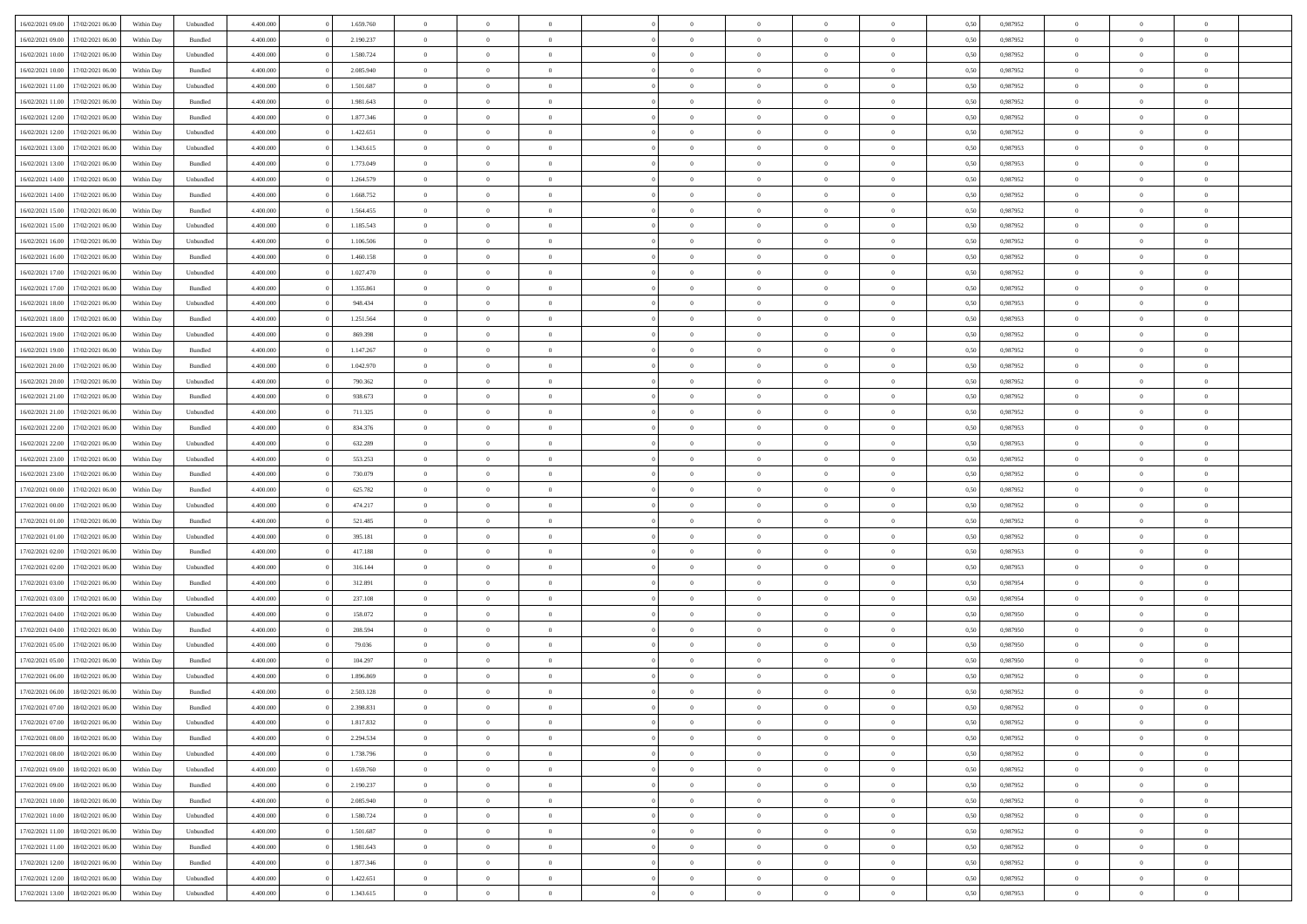| 16/02/2021 09:00 | 17/02/2021 06:00 | Within Day | Unbundled          | 4.400.000 | 1.659.760 | $\overline{0}$ | $\theta$       |                | $\Omega$       | $\Omega$       | $\theta$       | $\theta$       | 0,50 | 0,987952 | $\theta$       | $\overline{0}$ | $\theta$       |  |
|------------------|------------------|------------|--------------------|-----------|-----------|----------------|----------------|----------------|----------------|----------------|----------------|----------------|------|----------|----------------|----------------|----------------|--|
|                  |                  |            |                    |           |           |                |                |                |                |                |                |                |      |          |                |                |                |  |
| 16/02/2021 09:00 | 17/02/2021 06:00 | Within Day | Bundled            | 4.400.000 | 2.190.237 | $\overline{0}$ | $\theta$       | $\overline{0}$ | $\overline{0}$ | $\bf{0}$       | $\overline{0}$ | $\bf{0}$       | 0,50 | 0,987952 | $\theta$       | $\overline{0}$ | $\overline{0}$ |  |
| 16/02/2021 10:00 | 17/02/2021 06:00 | Within Day | Unbundled          | 4.400.000 | 1.580.724 | $\overline{0}$ | $\bf{0}$       | $\overline{0}$ | $\overline{0}$ | $\bf{0}$       | $\overline{0}$ | $\mathbf{0}$   | 0,50 | 0,987952 | $\bf{0}$       | $\overline{0}$ | $\bf{0}$       |  |
| 16/02/2021 10:00 | 17/02/2021 06:00 | Within Dav | Bundled            | 4.400.000 | 2.085.940 | $\overline{0}$ | $\overline{0}$ | $\overline{0}$ | $\overline{0}$ | $\bf{0}$       | $\overline{0}$ | $\overline{0}$ | 0.50 | 0,987952 | $\theta$       | $\theta$       | $\overline{0}$ |  |
| 16/02/2021 11:00 | 17/02/2021 06:00 | Within Day | Unbundled          | 4.400.000 | 1.501.687 | $\overline{0}$ | $\theta$       | $\overline{0}$ | $\overline{0}$ | $\bf{0}$       | $\overline{0}$ | $\bf{0}$       | 0,50 | 0,987952 | $\theta$       | $\overline{0}$ | $\overline{0}$ |  |
| 16/02/2021 11:00 | 17/02/2021 06:00 | Within Day | Bundled            | 4.400.000 | 1.981.643 | $\overline{0}$ | $\overline{0}$ | $\overline{0}$ | $\overline{0}$ | $\overline{0}$ | $\overline{0}$ | $\mathbf{0}$   | 0,50 | 0,987952 | $\bf{0}$       | $\overline{0}$ | $\bf{0}$       |  |
| 16/02/2021 12:00 | 17/02/2021 06:00 | Within Dav | Bundled            | 4.400.000 | 1.877.346 | $\overline{0}$ | $\overline{0}$ | $\overline{0}$ | $\overline{0}$ | $\overline{0}$ | $\overline{0}$ | $\overline{0}$ | 0.50 | 0,987952 | $\theta$       | $\overline{0}$ | $\overline{0}$ |  |
|                  |                  |            |                    |           |           |                |                |                |                |                |                |                |      |          |                |                |                |  |
| 16/02/2021 12:00 | 17/02/2021 06:00 | Within Day | Unbundled          | 4.400.000 | 1.422.651 | $\overline{0}$ | $\theta$       | $\overline{0}$ | $\overline{0}$ | $\bf{0}$       | $\overline{0}$ | $\bf{0}$       | 0,50 | 0,987952 | $\theta$       | $\theta$       | $\overline{0}$ |  |
| 16/02/2021 13:00 | 17/02/2021 06:00 | Within Day | Unbundled          | 4.400.000 | 1.343.615 | $\overline{0}$ | $\overline{0}$ | $\overline{0}$ | $\overline{0}$ | $\bf{0}$       | $\overline{0}$ | $\mathbf{0}$   | 0,50 | 0,987953 | $\,0\,$        | $\overline{0}$ | $\overline{0}$ |  |
| 16/02/2021 13:00 | 17/02/2021 06:00 | Within Dav | Bundled            | 4.400.000 | 1.773.049 | $\overline{0}$ | $\overline{0}$ | $\overline{0}$ | $\overline{0}$ | $\overline{0}$ | $\overline{0}$ | $\overline{0}$ | 0.50 | 0,987953 | $\theta$       | $\overline{0}$ | $\overline{0}$ |  |
| 16/02/2021 14:00 | 17/02/2021 06:00 | Within Day | Unbundled          | 4.400.000 | 1.264.579 | $\overline{0}$ | $\theta$       | $\overline{0}$ | $\overline{0}$ | $\bf{0}$       | $\overline{0}$ | $\bf{0}$       | 0,50 | 0,987952 | $\,$ 0 $\,$    | $\overline{0}$ | $\overline{0}$ |  |
| 16/02/2021 14:00 | 17/02/2021 06:00 | Within Day | Bundled            | 4.400.000 | 1.668.752 | $\overline{0}$ | $\overline{0}$ | $\overline{0}$ | $\bf{0}$       | $\bf{0}$       | $\bf{0}$       | $\mathbf{0}$   | 0,50 | 0,987952 | $\overline{0}$ | $\overline{0}$ | $\bf{0}$       |  |
| 16/02/2021 15:00 | 17/02/2021 06:00 | Within Day | Bundled            | 4.400.000 | 1.564.455 | $\overline{0}$ | $\overline{0}$ | $\overline{0}$ | $\overline{0}$ | $\bf{0}$       | $\overline{0}$ | $\overline{0}$ | 0.50 | 0,987952 | $\theta$       | $\theta$       | $\overline{0}$ |  |
| 16/02/2021 15:00 | 17/02/2021 06:00 | Within Day | Unbundled          | 4.400.000 | 1.185.543 | $\overline{0}$ | $\theta$       | $\overline{0}$ | $\overline{0}$ | $\bf{0}$       | $\overline{0}$ | $\bf{0}$       | 0,50 | 0,987952 | $\theta$       | $\overline{0}$ | $\overline{0}$ |  |
|                  |                  |            |                    |           |           |                |                |                |                |                |                |                |      |          |                |                |                |  |
| 16/02/2021 16:00 | 17/02/2021 06:00 | Within Day | Unbundled          | 4.400.000 | 1.106.506 | $\overline{0}$ | $\overline{0}$ | $\overline{0}$ | $\bf{0}$       | $\overline{0}$ | $\overline{0}$ | $\mathbf{0}$   | 0,50 | 0,987952 | $\overline{0}$ | $\overline{0}$ | $\bf{0}$       |  |
| 16/02/2021 16:00 | 17/02/2021 06:00 | Within Dav | Bundled            | 4.400.000 | 1.460.158 | $\overline{0}$ | $\overline{0}$ | $\overline{0}$ | $\overline{0}$ | $\overline{0}$ | $\overline{0}$ | $\overline{0}$ | 0.50 | 0,987952 | $\theta$       | $\overline{0}$ | $\overline{0}$ |  |
| 16/02/2021 17:00 | 17/02/2021 06:00 | Within Day | Unbundled          | 4.400.000 | 1.027.470 | $\overline{0}$ | $\theta$       | $\overline{0}$ | $\overline{0}$ | $\bf{0}$       | $\overline{0}$ | $\bf{0}$       | 0,50 | 0,987952 | $\theta$       | $\theta$       | $\overline{0}$ |  |
| 16/02/2021 17:00 | 17/02/2021 06:00 | Within Day | Bundled            | 4.400.000 | 1.355.861 | $\overline{0}$ | $\overline{0}$ | $\overline{0}$ | $\bf{0}$       | $\bf{0}$       | $\bf{0}$       | $\mathbf{0}$   | 0,50 | 0,987952 | $\,0\,$        | $\overline{0}$ | $\bf{0}$       |  |
| 16/02/2021 18:00 | 17/02/2021 06:00 | Within Day | Unbundled          | 4.400.000 | 948.434   | $\overline{0}$ | $\overline{0}$ | $\overline{0}$ | $\overline{0}$ | $\overline{0}$ | $\overline{0}$ | $\overline{0}$ | 0.50 | 0,987953 | $\theta$       | $\overline{0}$ | $\overline{0}$ |  |
| 16/02/2021 18:00 | 17/02/2021 06:00 | Within Day | Bundled            | 4.400.000 | 1.251.564 | $\overline{0}$ | $\theta$       | $\overline{0}$ | $\overline{0}$ | $\bf{0}$       | $\overline{0}$ | $\bf{0}$       | 0,50 | 0,987953 | $\,$ 0 $\,$    | $\overline{0}$ | $\overline{0}$ |  |
| 16/02/2021 19:00 | 17/02/2021 06:00 | Within Day | Unbundled          | 4.400.000 | 869.398   | $\overline{0}$ | $\overline{0}$ | $\overline{0}$ | $\overline{0}$ | $\bf{0}$       | $\overline{0}$ | $\mathbf{0}$   | 0,50 | 0,987952 | $\bf{0}$       | $\overline{0}$ | $\bf{0}$       |  |
|                  |                  |            |                    |           |           |                |                |                |                |                |                |                |      |          | $\theta$       |                |                |  |
| 16/02/2021 19:00 | 17/02/2021 06:00 | Within Day | Bundled            | 4.400.000 | 1.147.267 | $\overline{0}$ | $\overline{0}$ | $\overline{0}$ | $\overline{0}$ | $\overline{0}$ | $\overline{0}$ | $\overline{0}$ | 0.50 | 0,987952 |                | $\overline{0}$ | $\overline{0}$ |  |
| 16/02/2021 20:00 | 17/02/2021 06:00 | Within Day | Bundled            | 4.400.000 | 1.042.970 | $\overline{0}$ | $\theta$       | $\overline{0}$ | $\overline{0}$ | $\bf{0}$       | $\overline{0}$ | $\bf{0}$       | 0,50 | 0,987952 | $\,$ 0 $\,$    | $\overline{0}$ | $\overline{0}$ |  |
| 16/02/2021 20:00 | 17/02/2021 06:00 | Within Day | Unbundled          | 4.400.000 | 790.362   | $\overline{0}$ | $\overline{0}$ | $\overline{0}$ | $\overline{0}$ | $\overline{0}$ | $\overline{0}$ | $\mathbf{0}$   | 0,50 | 0,987952 | $\bf{0}$       | $\overline{0}$ | $\bf{0}$       |  |
| 16/02/2021 21:00 | 17/02/2021 06:00 | Within Dav | Bundled            | 4.400.000 | 938.673   | $\overline{0}$ | $\overline{0}$ | $\overline{0}$ | $\overline{0}$ | $\overline{0}$ | $\overline{0}$ | $\overline{0}$ | 0.50 | 0,987952 | $\theta$       | $\overline{0}$ | $\overline{0}$ |  |
| 16/02/2021 21:00 | 17/02/2021 06:00 | Within Day | Unbundled          | 4.400.000 | 711.325   | $\overline{0}$ | $\theta$       | $\overline{0}$ | $\overline{0}$ | $\bf{0}$       | $\overline{0}$ | $\bf{0}$       | 0,50 | 0,987952 | $\theta$       | $\overline{0}$ | $\overline{0}$ |  |
| 16/02/2021 22:00 | 17/02/2021 06:00 | Within Day | Bundled            | 4.400.000 | 834.376   | $\overline{0}$ | $\overline{0}$ | $\overline{0}$ | $\overline{0}$ | $\bf{0}$       | $\bf{0}$       | $\mathbf{0}$   | 0,50 | 0,987953 | $\,0\,$        | $\overline{0}$ | $\overline{0}$ |  |
| 16/02/2021 22:00 | 17/02/2021 06:00 | Within Day | Unbundled          | 4.400.000 | 632.289   | $\overline{0}$ | $\overline{0}$ | $\overline{0}$ | $\overline{0}$ | $\overline{0}$ | $\overline{0}$ | $\overline{0}$ | 0.50 | 0,987953 | $\theta$       | $\overline{0}$ | $\overline{0}$ |  |
|                  |                  |            |                    |           |           | $\overline{0}$ |                |                |                |                |                |                |      |          |                |                |                |  |
| 16/02/2021 23:00 | 17/02/2021 06:00 | Within Day | Unbundled          | 4.400.000 | 553.253   |                | $\theta$       | $\overline{0}$ | $\overline{0}$ | $\bf{0}$       | $\overline{0}$ | $\bf{0}$       | 0,50 | 0,987952 | $\,$ 0 $\,$    | $\overline{0}$ | $\overline{0}$ |  |
| 16/02/2021 23:00 | 17/02/2021 06:00 | Within Day | Bundled            | 4.400.000 | 730.079   | $\overline{0}$ | $\overline{0}$ | $\overline{0}$ | $\bf{0}$       | $\bf{0}$       | $\bf{0}$       | $\mathbf{0}$   | 0,50 | 0,987952 | $\bf{0}$       | $\overline{0}$ | $\bf{0}$       |  |
| 17/02/2021 00:00 | 17/02/2021 06:00 | Within Day | Bundled            | 4.400,000 | 625.782   | $\overline{0}$ | $\Omega$       | $\overline{0}$ | $\Omega$       | $\Omega$       | $\overline{0}$ | $\overline{0}$ | 0,50 | 0,987952 | $\,0\,$        | $\theta$       | $\theta$       |  |
| 17/02/2021 00:00 | 17/02/2021 06:00 | Within Day | Unbundled          | 4.400.000 | 474.217   | $\overline{0}$ | $\theta$       | $\overline{0}$ | $\overline{0}$ | $\bf{0}$       | $\overline{0}$ | $\bf{0}$       | 0,50 | 0,987952 | $\,$ 0 $\,$    | $\overline{0}$ | $\overline{0}$ |  |
| 17/02/2021 01:00 | 17/02/2021 06:00 | Within Day | Bundled            | 4.400.000 | 521.485   | $\overline{0}$ | $\overline{0}$ | $\overline{0}$ | $\bf{0}$       | $\overline{0}$ | $\overline{0}$ | $\mathbf{0}$   | 0,50 | 0,987952 | $\bf{0}$       | $\overline{0}$ | $\bf{0}$       |  |
| 17/02/2021 01:00 | 17/02/2021 06:00 | Within Day | Unbundled          | 4.400,000 | 395.181   | $\overline{0}$ | $\Omega$       | $\Omega$       | $\Omega$       | $\overline{0}$ | $\overline{0}$ | $\overline{0}$ | 0.50 | 0,987952 | $\,0\,$        | $\theta$       | $\theta$       |  |
| 17/02/2021 02:00 | 17/02/2021 06:00 | Within Day | Bundled            | 4.400.000 | 417.188   | $\overline{0}$ | $\theta$       | $\overline{0}$ | $\overline{0}$ | $\bf{0}$       | $\overline{0}$ | $\bf{0}$       | 0,50 | 0,987953 | $\,$ 0 $\,$    | $\overline{0}$ | $\overline{0}$ |  |
| 17/02/2021 02:00 | 17/02/2021 06:00 | Within Day | Unbundled          | 4.400.000 | 316.144   | $\overline{0}$ | $\overline{0}$ | $\overline{0}$ | $\bf{0}$       | $\bf{0}$       | $\bf{0}$       | $\mathbf{0}$   | 0,50 | 0,987953 | $\,0\,$        | $\overline{0}$ | $\bf{0}$       |  |
|                  |                  |            |                    |           |           |                |                |                |                |                |                |                |      |          |                |                |                |  |
| 17/02/2021 03:00 | 17/02/2021 06:00 | Within Day | Bundled            | 4.400,000 | 312.891   | $\overline{0}$ | $\Omega$       | $\Omega$       | $\Omega$       | $\overline{0}$ | $\overline{0}$ | $\overline{0}$ | 0.50 | 0.987954 | $\,$ 0 $\,$    | $\theta$       | $\theta$       |  |
| 17/02/2021 03:00 | 17/02/2021 06:00 | Within Day | Unbundled          | 4.400.000 | 237.108   | $\overline{0}$ | $\overline{0}$ | $\overline{0}$ | $\overline{0}$ | $\,$ 0         | $\overline{0}$ | $\bf{0}$       | 0,50 | 0,987954 | $\,$ 0 $\,$    | $\overline{0}$ | $\overline{0}$ |  |
| 17/02/2021 04:00 | 17/02/2021 06:00 | Within Day | Unbundled          | 4.400.000 | 158.072   | $\overline{0}$ | $\overline{0}$ | $\overline{0}$ | $\bf{0}$       | $\bf{0}$       | $\bf{0}$       | $\mathbf{0}$   | 0,50 | 0,987950 | $\bf{0}$       | $\overline{0}$ | $\bf{0}$       |  |
| 17/02/2021 04:00 | 17/02/2021 06:00 | Within Day | Bundled            | 4.400,000 | 208.594   | $\overline{0}$ | $\Omega$       | $\overline{0}$ | $\Omega$       | $\overline{0}$ | $\overline{0}$ | $\overline{0}$ | 0.50 | 0,987950 | $\,0\,$        | $\theta$       | $\theta$       |  |
| 17/02/2021 05:00 | 17/02/2021 06:00 | Within Day | Unbundled          | 4.400.000 | 79.036    | $\overline{0}$ | $\overline{0}$ | $\overline{0}$ | $\overline{0}$ | $\,$ 0         | $\overline{0}$ | $\bf{0}$       | 0,50 | 0,987950 | $\,$ 0 $\,$    | $\overline{0}$ | $\overline{0}$ |  |
| 17/02/2021 05:00 | 17/02/2021 06:00 | Within Day | Bundled            | 4.400.000 | 104.297   | $\overline{0}$ | $\overline{0}$ | $\overline{0}$ | $\overline{0}$ | $\bf{0}$       | $\overline{0}$ | $\mathbf{0}$   | 0,50 | 0,987950 | $\bf{0}$       | $\overline{0}$ | $\bf{0}$       |  |
| 17/02/2021 06:00 | 18/02/2021 06:00 | Within Day | Unbundled          | 4.400,000 | 1.896.869 | $\overline{0}$ | $\Omega$       | $\Omega$       | $\Omega$       | $\Omega$       | $\Omega$       | $\overline{0}$ | 0.50 | 0.987952 | $\theta$       | $\theta$       | $\theta$       |  |
| 17/02/2021 06:00 | 18/02/2021 06:00 | Within Day | Bundled            | 4.400.000 | 2.503.128 | $\overline{0}$ | $\overline{0}$ | $\overline{0}$ | $\bf{0}$       | $\,$ 0         | $\overline{0}$ | $\bf{0}$       | 0,50 | 0,987952 | $\,0\,$        | $\,$ 0 $\,$    | $\overline{0}$ |  |
|                  |                  |            |                    |           |           |                |                |                |                |                |                |                |      |          |                |                |                |  |
| 17/02/2021 07:00 | 18/02/2021 06:00 | Within Day | $\mathbf B$ undled | 4.400.000 | 2.398.831 | $\overline{0}$ | $\bf{0}$       |                |                | $\bf{0}$       |                |                | 0,50 | 0,987952 | $\bf{0}$       | $\overline{0}$ |                |  |
| 17/02/2021 07:00 | 18/02/2021 06:00 | Within Day | Unbundled          | 4.400.000 | 1.817.832 | $\overline{0}$ | $\overline{0}$ | $\overline{0}$ | $\Omega$       | $\overline{0}$ | $\overline{0}$ | $\overline{0}$ | 0.50 | 0.987952 | $\theta$       | $\theta$       | $\theta$       |  |
| 17/02/2021 08:00 | 18/02/2021 06:00 | Within Day | Bundled            | 4.400.000 | 2.294.534 | $\overline{0}$ | $\,$ 0         | $\overline{0}$ | $\overline{0}$ | $\,$ 0 $\,$    | $\overline{0}$ | $\mathbf{0}$   | 0,50 | 0,987952 | $\,$ 0 $\,$    | $\,$ 0 $\,$    | $\,$ 0         |  |
| 17/02/2021 08:00 | 18/02/2021 06:00 | Within Day | Unbundled          | 4.400.000 | 1.738.796 | $\overline{0}$ | $\overline{0}$ | $\overline{0}$ | $\overline{0}$ | $\overline{0}$ | $\overline{0}$ | $\mathbf{0}$   | 0,50 | 0,987952 | $\overline{0}$ | $\bf{0}$       | $\bf{0}$       |  |
| 17/02/2021 09:00 | 18/02/2021 06:00 | Within Day | Unbundled          | 4.400.000 | 1.659.760 | $\overline{0}$ | $\overline{0}$ | $\overline{0}$ | $\Omega$       | $\overline{0}$ | $\overline{0}$ | $\overline{0}$ | 0,50 | 0,987952 | $\overline{0}$ | $\theta$       | $\overline{0}$ |  |
| 17/02/2021 09:00 | 18/02/2021 06:00 | Within Day | Bundled            | 4.400.000 | 2.190.237 | $\overline{0}$ | $\,$ 0         | $\overline{0}$ | $\overline{0}$ | $\,$ 0 $\,$    | $\overline{0}$ | $\mathbf{0}$   | 0,50 | 0,987952 | $\,$ 0 $\,$    | $\overline{0}$ | $\overline{0}$ |  |
| 17/02/2021 10:00 | 18/02/2021 06:00 | Within Day | Bundled            | 4.400.000 | 2.085.940 | $\overline{0}$ | $\overline{0}$ | $\overline{0}$ | $\overline{0}$ | $\overline{0}$ | $\overline{0}$ | $\mathbf{0}$   | 0,50 | 0,987952 | $\overline{0}$ | $\overline{0}$ | $\bf{0}$       |  |
|                  |                  |            |                    |           |           |                |                |                |                |                |                |                |      |          |                |                |                |  |
| 17/02/2021 10:00 | 18/02/2021 06:00 | Within Day | Unbundled          | 4.400.000 | 1.580.724 | $\overline{0}$ | $\overline{0}$ | $\overline{0}$ | $\Omega$       | $\overline{0}$ | $\overline{0}$ | $\bf{0}$       | 0.50 | 0,987952 | $\overline{0}$ | $\theta$       | $\overline{0}$ |  |
| 17/02/2021 11:00 | 18/02/2021 06:00 | Within Day | Unbundled          | 4.400.000 | 1.501.687 | $\overline{0}$ | $\,$ 0         | $\overline{0}$ | $\bf{0}$       | $\bf{0}$       | $\bf{0}$       | $\bf{0}$       | 0,50 | 0,987952 | $\,$ 0 $\,$    | $\overline{0}$ | $\overline{0}$ |  |
| 17/02/2021 11:00 | 18/02/2021 06:00 | Within Day | Bundled            | 4.400.000 | 1.981.643 | $\overline{0}$ | $\bf{0}$       | $\overline{0}$ | $\overline{0}$ | $\overline{0}$ | $\overline{0}$ | $\mathbf{0}$   | 0,50 | 0,987952 | $\overline{0}$ | $\overline{0}$ | $\bf{0}$       |  |
| 17/02/2021 12:00 | 18/02/2021 06:00 | Within Day | Bundled            | 4.400.000 | 1.877.346 | $\overline{0}$ | $\overline{0}$ | $\overline{0}$ | $\Omega$       | $\overline{0}$ | $\overline{0}$ | $\overline{0}$ | 0.50 | 0,987952 | $\overline{0}$ | $\overline{0}$ | $\overline{0}$ |  |
| 17/02/2021 12:00 | 18/02/2021 06:00 | Within Day | Unbundled          | 4.400.000 | 1.422.651 | $\overline{0}$ | $\bf{0}$       | $\overline{0}$ | $\overline{0}$ | $\bf{0}$       | $\bf{0}$       | $\mathbf{0}$   | 0,50 | 0,987952 | $\,$ 0 $\,$    | $\,$ 0 $\,$    | $\bf{0}$       |  |
| 17/02/2021 13:00 | 18/02/2021 06:00 | Within Day | Unbundled          | 4.400.000 | 1.343.615 | $\overline{0}$ | $\overline{0}$ | $\overline{0}$ | $\overline{0}$ | $\overline{0}$ | $\bf{0}$       | $\mathbf{0}$   | 0,50 | 0,987953 | $\overline{0}$ | $\bf{0}$       | $\bf{0}$       |  |
|                  |                  |            |                    |           |           |                |                |                |                |                |                |                |      |          |                |                |                |  |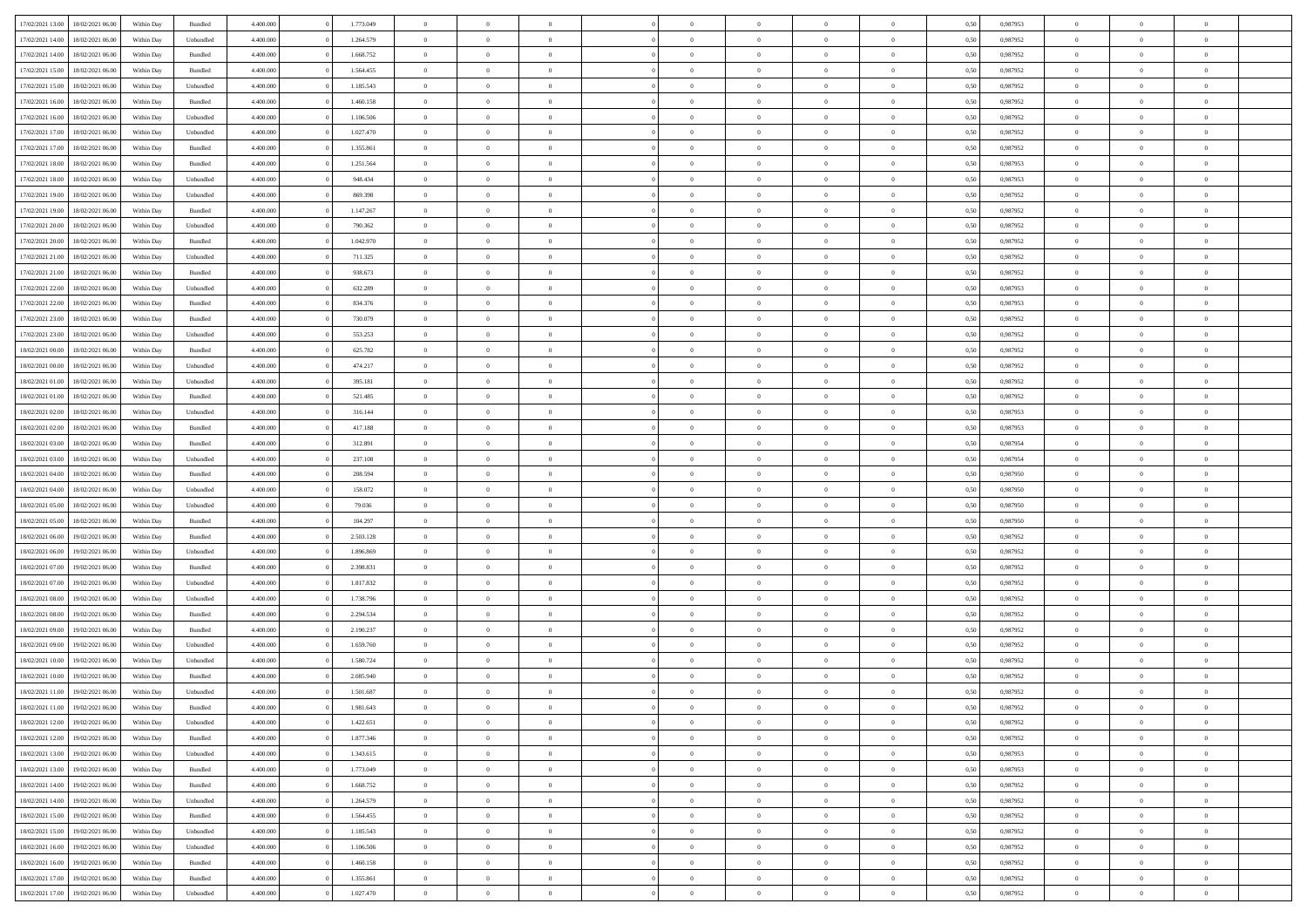| 17/02/2021 13:00 | 18/02/2021 06:00 | Within Day | Bundled            | 4.400.000 | 1.773.049 | $\overline{0}$ | $\Omega$       |                | $\Omega$       | $\Omega$       | $\overline{0}$ | $\theta$       | 0,50 | 0.987953 | $\theta$       | $\theta$       | $\overline{0}$ |  |
|------------------|------------------|------------|--------------------|-----------|-----------|----------------|----------------|----------------|----------------|----------------|----------------|----------------|------|----------|----------------|----------------|----------------|--|
|                  |                  |            |                    |           |           |                |                |                |                |                |                |                |      |          |                |                |                |  |
| 17/02/2021 14:00 | 18/02/2021 06:00 | Within Day | Unbundled          | 4.400.000 | 1.264.579 | $\overline{0}$ | $\theta$       | $\overline{0}$ | $\overline{0}$ | $\bf{0}$       | $\overline{0}$ | $\bf{0}$       | 0,50 | 0,987952 | $\theta$       | $\overline{0}$ | $\overline{0}$ |  |
| 17/02/2021 14:00 | 18/02/2021 06:00 | Within Day | Bundled            | 4.400.000 | 1.668.752 | $\overline{0}$ | $\bf{0}$       | $\overline{0}$ | $\overline{0}$ | $\bf{0}$       | $\overline{0}$ | $\mathbf{0}$   | 0,50 | 0,987952 | $\bf{0}$       | $\overline{0}$ | $\bf{0}$       |  |
| 17/02/2021 15:00 | 18/02/2021 06:00 | Within Dav | Bundled            | 4.400.000 | 1.564.455 | $\overline{0}$ | $\overline{0}$ | $\overline{0}$ | $\overline{0}$ | $\bf{0}$       | $\overline{0}$ | $\overline{0}$ | 0.50 | 0,987952 | $\theta$       | $\overline{0}$ | $\overline{0}$ |  |
| 17/02/2021 15:00 | 18/02/2021 06:00 | Within Day | Unbundled          | 4.400.000 | 1.185.543 | $\overline{0}$ | $\theta$       | $\overline{0}$ | $\overline{0}$ | $\bf{0}$       | $\overline{0}$ | $\bf{0}$       | 0,50 | 0,987952 | $\,$ 0 $\,$    | $\overline{0}$ | $\overline{0}$ |  |
|                  |                  |            |                    |           |           |                |                |                |                |                |                |                |      |          |                |                |                |  |
| 17/02/2021 16:00 | 18/02/2021 06:00 | Within Day | Bundled            | 4.400.000 | 1.460.158 | $\overline{0}$ | $\overline{0}$ | $\overline{0}$ | $\overline{0}$ | $\overline{0}$ | $\overline{0}$ | $\mathbf{0}$   | 0,50 | 0,987952 | $\bf{0}$       | $\overline{0}$ | $\bf{0}$       |  |
| 17/02/2021 16:00 | 18/02/2021 06:00 | Within Dav | Unbundled          | 4.400.000 | 1.106.506 | $\overline{0}$ | $\overline{0}$ | $\overline{0}$ | $\overline{0}$ | $\overline{0}$ | $\overline{0}$ | $\overline{0}$ | 0.50 | 0,987952 | $\theta$       | $\overline{0}$ | $\overline{0}$ |  |
| 17/02/2021 17:00 | 18/02/2021 06:00 | Within Day | Unbundled          | 4.400.000 | 1.027.470 | $\overline{0}$ | $\theta$       | $\overline{0}$ | $\overline{0}$ | $\bf{0}$       | $\overline{0}$ | $\bf{0}$       | 0,50 | 0,987952 | $\theta$       | $\theta$       | $\overline{0}$ |  |
| 17/02/2021 17:00 | 18/02/2021 06:00 | Within Day | Bundled            | 4.400.000 | 1.355.861 | $\overline{0}$ | $\overline{0}$ | $\overline{0}$ | $\overline{0}$ | $\bf{0}$       | $\bf{0}$       | $\mathbf{0}$   | 0,50 | 0,987952 | $\,0\,$        | $\overline{0}$ | $\overline{0}$ |  |
| 17/02/2021 18:00 | 18/02/2021 06:00 | Within Dav | Bundled            | 4.400.000 | 1.251.564 | $\overline{0}$ | $\overline{0}$ | $\overline{0}$ | $\overline{0}$ | $\overline{0}$ | $\overline{0}$ | $\overline{0}$ | 0.50 | 0,987953 | $\theta$       | $\overline{0}$ | $\overline{0}$ |  |
| 17/02/2021 18:00 | 18/02/2021 06:00 | Within Day | Unbundled          | 4.400.000 | 948.434   | $\overline{0}$ | $\theta$       | $\overline{0}$ | $\overline{0}$ | $\bf{0}$       | $\overline{0}$ | $\bf{0}$       | 0,50 | 0,987953 | $\,$ 0 $\,$    | $\overline{0}$ | $\overline{0}$ |  |
|                  |                  |            |                    |           |           |                |                |                |                |                |                |                |      |          |                |                |                |  |
| 17/02/2021 19:00 | 18/02/2021 06:00 | Within Day | Unbundled          | 4.400.000 | 869.398   | $\overline{0}$ | $\overline{0}$ | $\overline{0}$ | $\bf{0}$       | $\bf{0}$       | $\bf{0}$       | $\mathbf{0}$   | 0,50 | 0,987952 | $\overline{0}$ | $\overline{0}$ | $\bf{0}$       |  |
| 17/02/2021 19:00 | 18/02/2021 06:00 | Within Day | Bundled            | 4.400.000 | 1.147.267 | $\overline{0}$ | $\overline{0}$ | $\overline{0}$ | $\overline{0}$ | $\overline{0}$ | $\overline{0}$ | $\overline{0}$ | 0.50 | 0,987952 | $\theta$       | $\theta$       | $\overline{0}$ |  |
| 17/02/2021 20:00 | 18/02/2021 06:00 | Within Day | Unbundled          | 4.400.000 | 790.362   | $\overline{0}$ | $\theta$       | $\overline{0}$ | $\overline{0}$ | $\bf{0}$       | $\overline{0}$ | $\bf{0}$       | 0,50 | 0,987952 | $\theta$       | $\overline{0}$ | $\overline{0}$ |  |
| 17/02/2021 20:00 | 18/02/2021 06:00 | Within Day | Bundled            | 4.400.000 | 1.042.970 | $\overline{0}$ | $\overline{0}$ | $\overline{0}$ | $\bf{0}$       | $\overline{0}$ | $\overline{0}$ | $\mathbf{0}$   | 0,50 | 0,987952 | $\overline{0}$ | $\overline{0}$ | $\bf{0}$       |  |
| 17/02/2021 21:00 | 18/02/2021 06:00 | Within Dav | Unbundled          | 4.400.000 | 711.325   | $\overline{0}$ | $\overline{0}$ | $\overline{0}$ | $\overline{0}$ | $\overline{0}$ | $\overline{0}$ | $\overline{0}$ | 0.50 | 0,987952 | $\theta$       | $\overline{0}$ | $\overline{0}$ |  |
| 17/02/2021 21:00 | 18/02/2021 06:00 | Within Day | Bundled            | 4.400.000 | 938.673   | $\overline{0}$ | $\theta$       | $\overline{0}$ | $\overline{0}$ | $\bf{0}$       | $\overline{0}$ | $\bf{0}$       | 0,50 | 0,987952 | $\,$ 0 $\,$    | $\overline{0}$ | $\overline{0}$ |  |
| 17/02/2021 22:00 | 18/02/2021 06:00 | Within Day | Unbundled          | 4.400.000 | 632.289   | $\overline{0}$ | $\overline{0}$ | $\overline{0}$ | $\bf{0}$       | $\bf{0}$       | $\bf{0}$       | $\mathbf{0}$   | 0,50 | 0,987953 | $\bf{0}$       | $\overline{0}$ | $\bf{0}$       |  |
| 17/02/2021 22:00 | 18/02/2021 06:00 | Within Dav | Bundled            | 4.400.000 | 834.376   | $\overline{0}$ | $\overline{0}$ | $\overline{0}$ | $\overline{0}$ | $\overline{0}$ | $\overline{0}$ | $\overline{0}$ | 0.50 | 0,987953 | $\theta$       | $\overline{0}$ | $\overline{0}$ |  |
|                  |                  |            |                    |           |           |                |                |                |                |                |                |                |      |          |                |                |                |  |
| 17/02/2021 23:00 | 18/02/2021 06:00 | Within Day | Bundled            | 4.400.000 | 730.079   | $\overline{0}$ | $\theta$       | $\overline{0}$ | $\overline{0}$ | $\bf{0}$       | $\overline{0}$ | $\bf{0}$       | 0,50 | 0,987952 | $\,$ 0 $\,$    | $\overline{0}$ | $\overline{0}$ |  |
| 17/02/2021 23.00 | 18/02/2021 06:00 | Within Day | Unbundled          | 4.400.000 | 553.253   | $\overline{0}$ | $\overline{0}$ | $\overline{0}$ | $\bf{0}$       | $\bf{0}$       | $\bf{0}$       | $\mathbf{0}$   | 0,50 | 0,987952 | $\overline{0}$ | $\overline{0}$ | $\bf{0}$       |  |
| 18/02/2021 00:00 | 18/02/2021 06:00 | Within Day | Bundled            | 4.400.000 | 625.782   | $\overline{0}$ | $\overline{0}$ | $\overline{0}$ | $\overline{0}$ | $\overline{0}$ | $\overline{0}$ | $\overline{0}$ | 0.50 | 0,987952 | $\theta$       | $\overline{0}$ | $\overline{0}$ |  |
| 18/02/2021 00:00 | 18/02/2021 06:00 | Within Day | Unbundled          | 4.400.000 | 474.217   | $\overline{0}$ | $\theta$       | $\overline{0}$ | $\overline{0}$ | $\bf{0}$       | $\overline{0}$ | $\bf{0}$       | 0,50 | 0,987952 | $\,$ 0 $\,$    | $\overline{0}$ | $\overline{0}$ |  |
| 18/02/2021 01:00 | 18/02/2021 06:00 | Within Day | Unbundled          | 4.400.000 | 395.181   | $\overline{0}$ | $\overline{0}$ | $\overline{0}$ | $\bf{0}$       | $\overline{0}$ | $\overline{0}$ | $\mathbf{0}$   | 0,50 | 0,987952 | $\overline{0}$ | $\overline{0}$ | $\bf{0}$       |  |
| 18/02/2021 01:00 | 18/02/2021 06:00 | Within Dav | Bundled            | 4.400.000 | 521.485   | $\overline{0}$ | $\overline{0}$ | $\overline{0}$ | $\overline{0}$ | $\overline{0}$ | $\overline{0}$ | $\overline{0}$ | 0.50 | 0,987952 | $\overline{0}$ | $\overline{0}$ | $\overline{0}$ |  |
| 18/02/2021 02:00 | 18/02/2021 06:00 | Within Day | Unbundled          | 4.400.000 | 316.144   | $\overline{0}$ | $\theta$       | $\overline{0}$ | $\overline{0}$ | $\bf{0}$       | $\overline{0}$ | $\bf{0}$       | 0,50 | 0,987953 | $\theta$       | $\overline{0}$ | $\overline{0}$ |  |
|                  |                  |            |                    |           |           |                |                |                |                |                |                |                |      |          |                |                |                |  |
| 18/02/2021 02:00 | 18/02/2021 06:00 | Within Day | Bundled            | 4.400.000 | 417.188   | $\overline{0}$ | $\overline{0}$ | $\overline{0}$ | $\bf{0}$       | $\bf{0}$       | $\bf{0}$       | $\mathbf{0}$   | 0,50 | 0,987953 | $\,0\,$        | $\overline{0}$ | $\overline{0}$ |  |
| 18/02/2021 03:00 | 18/02/2021 06:00 | Within Day | Bundled            | 4.400.000 | 312.891   | $\overline{0}$ | $\overline{0}$ | $\overline{0}$ | $\overline{0}$ | $\overline{0}$ | $\overline{0}$ | $\overline{0}$ | 0.50 | 0,987954 | $\theta$       | $\overline{0}$ | $\overline{0}$ |  |
| 18/02/2021 03:00 | 18/02/2021 06:00 | Within Day | Unbundled          | 4.400.000 | 237.108   | $\overline{0}$ | $\overline{0}$ | $\overline{0}$ | $\overline{0}$ | $\bf{0}$       | $\overline{0}$ | $\bf{0}$       | 0,50 | 0,987954 | $\,$ 0 $\,$    | $\overline{0}$ | $\overline{0}$ |  |
| 18/02/2021 04:00 | 18/02/2021 06:00 | Within Day | Bundled            | 4.400.000 | 208.594   | $\overline{0}$ | $\overline{0}$ | $\overline{0}$ | $\bf{0}$       | $\bf{0}$       | $\bf{0}$       | $\mathbf{0}$   | 0,50 | 0,987950 | $\overline{0}$ | $\overline{0}$ | $\bf{0}$       |  |
| 18/02/2021 04:00 | 18/02/2021 06:00 | Within Day | Unbundled          | 4.400,000 | 158.072   | $\overline{0}$ | $\Omega$       | $\overline{0}$ | $\Omega$       | $\Omega$       | $\overline{0}$ | $\overline{0}$ | 0,50 | 0,987950 | $\,0\,$        | $\theta$       | $\theta$       |  |
| 18/02/2021 05:00 | 18/02/2021 06:00 | Within Day | Unbundled          | 4.400.000 | 79.036    | $\overline{0}$ | $\overline{0}$ | $\overline{0}$ | $\overline{0}$ | $\bf{0}$       | $\overline{0}$ | $\bf{0}$       | 0,50 | 0,987950 | $\,$ 0 $\,$    | $\overline{0}$ | $\overline{0}$ |  |
|                  |                  |            |                    |           |           |                |                |                |                |                |                |                |      |          |                | $\overline{0}$ | $\bf{0}$       |  |
| 18/02/2021 05:00 | 18/02/2021 06:00 | Within Day | Bundled            | 4.400.000 | 104.297   | $\overline{0}$ | $\overline{0}$ | $\overline{0}$ | $\bf{0}$       | $\overline{0}$ | $\overline{0}$ | $\mathbf{0}$   | 0,50 | 0,987950 | $\overline{0}$ |                |                |  |
| 18/02/2021 06:00 | 19/02/2021 06:00 | Within Day | Bundled            | 4.400,000 | 2.503.128 | $\overline{0}$ | $\Omega$       | $\Omega$       | $\Omega$       | $\overline{0}$ | $\overline{0}$ | $\overline{0}$ | 0.50 | 0,987952 | $\,0\,$        | $\theta$       | $\theta$       |  |
| 18/02/2021 06:00 | 19/02/2021 06:00 | Within Day | Unbundled          | 4.400.000 | 1.896.869 | $\overline{0}$ | $\theta$       | $\overline{0}$ | $\overline{0}$ | $\bf{0}$       | $\overline{0}$ | $\bf{0}$       | 0,50 | 0,987952 | $\,$ 0 $\,$    | $\overline{0}$ | $\overline{0}$ |  |
| 18/02/2021 07:00 | 19/02/2021 06:00 | Within Day | Bundled            | 4.400.000 | 2.398.831 | $\overline{0}$ | $\overline{0}$ | $\overline{0}$ | $\bf{0}$       | $\bf{0}$       | $\bf{0}$       | $\mathbf{0}$   | 0,50 | 0,987952 | $\bf{0}$       | $\overline{0}$ | $\bf{0}$       |  |
| 18/02/2021 07:00 | 19/02/2021 06:00 | Within Day | Unbundled          | 4.400,000 | 1.817.832 | $\overline{0}$ | $\Omega$       | $\overline{0}$ | $\Omega$       | $\overline{0}$ | $\overline{0}$ | $\overline{0}$ | 0.50 | 0.987952 | $\,$ 0 $\,$    | $\theta$       | $\theta$       |  |
| 18/02/2021 08:00 | 19/02/2021 06:00 | Within Day | Unbundled          | 4.400.000 | 1.738.796 | $\overline{0}$ | $\overline{0}$ | $\overline{0}$ | $\overline{0}$ | $\,$ 0         | $\overline{0}$ | $\bf{0}$       | 0,50 | 0,987952 | $\,$ 0 $\,$    | $\overline{0}$ | $\overline{0}$ |  |
| 18/02/2021 08:00 | 19/02/2021 06:00 | Within Day | Bundled            | 4.400.000 | 2.294.534 | $\overline{0}$ | $\overline{0}$ | $\overline{0}$ | $\overline{0}$ | $\bf{0}$       | $\overline{0}$ | $\mathbf{0}$   | 0,50 | 0,987952 | $\bf{0}$       | $\overline{0}$ | $\bf{0}$       |  |
|                  |                  |            |                    |           |           |                |                |                |                |                |                |                |      |          |                |                | $\theta$       |  |
| 18/02/2021 09:00 | 19/02/2021 06:00 | Within Day | Bundled            | 4.400,000 | 2.190.237 | $\overline{0}$ | $\Omega$       | $\overline{0}$ | $\Omega$       | $\overline{0}$ | $\overline{0}$ | $\overline{0}$ | 0,50 | 0,987952 | $\,0\,$        | $\theta$       |                |  |
| 18/02/2021 09:00 | 19/02/2021 06:00 | Within Day | Unbundled          | 4.400.000 | 1.659.760 | $\overline{0}$ | $\overline{0}$ | $\overline{0}$ | $\overline{0}$ | $\,$ 0         | $\overline{0}$ | $\bf{0}$       | 0,50 | 0,987952 | $\,$ 0 $\,$    | $\overline{0}$ | $\overline{0}$ |  |
| 18/02/2021 10:00 | 19/02/2021 06:00 | Within Day | Unbundled          | 4.400.000 | 1.580.724 | $\overline{0}$ | $\overline{0}$ | $\overline{0}$ | $\overline{0}$ | $\bf{0}$       | $\overline{0}$ | $\mathbf{0}$   | 0,50 | 0,987952 | $\bf{0}$       | $\overline{0}$ | $\bf{0}$       |  |
| 18/02/2021 10:00 | 19/02/2021 06:00 | Within Day | Bundled            | 4.400,000 | 2.085.940 | $\overline{0}$ | $\Omega$       | $\Omega$       | $\Omega$       | $\Omega$       | $\Omega$       | $\overline{0}$ | 0.50 | 0.987952 | $\theta$       | $\theta$       | $\theta$       |  |
| 18/02/2021 11:00 | 19/02/2021 06:00 | Within Day | Unbundled          | 4.400.000 | 1.501.687 | $\overline{0}$ | $\overline{0}$ | $\bf{0}$       | $\bf{0}$       | $\,$ 0         | $\overline{0}$ | $\bf{0}$       | 0,50 | 0,987952 | $\,0\,$        | $\,$ 0 $\,$    | $\overline{0}$ |  |
| 18/02/2021 11:00 | 19/02/2021 06:00 | Within Day | $\mathbf B$ undled | 4.400.000 | 1.981.643 | $\bf{0}$       | $\bf{0}$       |                |                | $\bf{0}$       |                |                | 0,50 | 0,987952 | $\bf{0}$       | $\overline{0}$ |                |  |
| 18/02/2021 12:00 | 19/02/2021 06:00 | Within Day | Unbundled          | 4.400.000 | 1.422.651 | $\overline{0}$ | $\overline{0}$ | $\overline{0}$ | $\Omega$       | $\overline{0}$ | $\overline{0}$ | $\overline{0}$ | 0.50 | 0.987952 | $\theta$       | $\theta$       | $\theta$       |  |
| 18/02/2021 12:00 | 19/02/2021 06:00 | Within Day | Bundled            | 4.400.000 | 1.877.346 | $\overline{0}$ | $\,$ 0         | $\overline{0}$ | $\bf{0}$       | $\,$ 0 $\,$    | $\overline{0}$ | $\mathbf{0}$   | 0,50 | 0,987952 | $\,$ 0 $\,$    | $\,$ 0 $\,$    | $\,$ 0         |  |
|                  |                  |            |                    |           |           |                |                |                |                |                |                |                |      |          |                |                |                |  |
| 18/02/2021 13:00 | 19/02/2021 06:00 | Within Day | Unbundled          | 4.400.000 | 1.343.615 | $\overline{0}$ | $\overline{0}$ | $\overline{0}$ | $\overline{0}$ | $\overline{0}$ | $\overline{0}$ | $\mathbf{0}$   | 0,50 | 0,987953 | $\overline{0}$ | $\bf{0}$       | $\bf{0}$       |  |
| 18/02/2021 13:00 | 19/02/2021 06:00 | Within Day | Bundled            | 4.400,000 | 1.773.049 | $\overline{0}$ | $\overline{0}$ | $\overline{0}$ | $\Omega$       | $\overline{0}$ | $\overline{0}$ | $\overline{0}$ | 0,50 | 0,987953 | $\overline{0}$ | $\theta$       | $\overline{0}$ |  |
| 18/02/2021 14:00 | 19/02/2021 06:00 | Within Day | Bundled            | 4.400.000 | 1.668.752 | $\overline{0}$ | $\,$ 0         | $\overline{0}$ | $\overline{0}$ | $\,$ 0 $\,$    | $\overline{0}$ | $\mathbf{0}$   | 0,50 | 0,987952 | $\,$ 0 $\,$    | $\overline{0}$ | $\overline{0}$ |  |
| 18/02/2021 14:00 | 19/02/2021 06:00 | Within Day | Unbundled          | 4.400.000 | 1.264.579 | $\overline{0}$ | $\overline{0}$ | $\overline{0}$ | $\overline{0}$ | $\overline{0}$ | $\overline{0}$ | $\mathbf{0}$   | 0,50 | 0,987952 | $\overline{0}$ | $\overline{0}$ | $\bf{0}$       |  |
| 18/02/2021 15:00 | 19/02/2021 06:00 | Within Day | Bundled            | 4.400,000 | 1.564.455 | $\overline{0}$ | $\overline{0}$ | $\overline{0}$ | $\Omega$       | $\overline{0}$ | $\overline{0}$ | $\bf{0}$       | 0.50 | 0,987952 | $\overline{0}$ | $\theta$       | $\overline{0}$ |  |
| 18/02/2021 15:00 | 19/02/2021 06:00 | Within Day | Unbundled          | 4.400.000 | 1.185.543 | $\overline{0}$ | $\,$ 0         | $\overline{0}$ | $\bf{0}$       | $\bf{0}$       | $\bf{0}$       | $\bf{0}$       | 0,50 | 0,987952 | $\,$ 0 $\,$    | $\overline{0}$ | $\overline{0}$ |  |
| 18/02/2021 16:00 | 19/02/2021 06:00 | Within Day | Unbundled          | 4.400.000 | 1.106.506 | $\overline{0}$ | $\bf{0}$       | $\overline{0}$ | $\overline{0}$ | $\overline{0}$ | $\overline{0}$ | $\mathbf{0}$   | 0,50 | 0,987952 | $\overline{0}$ | $\overline{0}$ | $\bf{0}$       |  |
| 18/02/2021 16:00 | 19/02/2021 06:00 | Within Day | Bundled            | 4.400,000 | 1.460.158 | $\overline{0}$ | $\overline{0}$ | $\overline{0}$ | $\Omega$       | $\overline{0}$ | $\overline{0}$ | $\bf{0}$       | 0.50 | 0,987952 | $\overline{0}$ | $\overline{0}$ | $\overline{0}$ |  |
|                  |                  |            |                    |           |           |                |                |                |                |                |                |                |      |          |                |                |                |  |
| 18/02/2021 17:00 | 19/02/2021 06:00 | Within Day | Bundled            | 4.400.000 | 1.355.861 | $\overline{0}$ | $\bf{0}$       | $\overline{0}$ | $\overline{0}$ | $\bf{0}$       | $\bf{0}$       | $\mathbf{0}$   | 0,50 | 0,987952 | $\,$ 0 $\,$    | $\,$ 0 $\,$    | $\bf{0}$       |  |
| 18/02/2021 17:00 | 19/02/2021 06:00 | Within Day | Unbundled          | 4.400.000 | 1.027.470 | $\overline{0}$ | $\overline{0}$ | $\overline{0}$ | $\overline{0}$ | $\bf{0}$       | $\bf{0}$       | $\mathbf{0}$   | 0,50 | 0,987952 | $\overline{0}$ | $\bf{0}$       | $\bf{0}$       |  |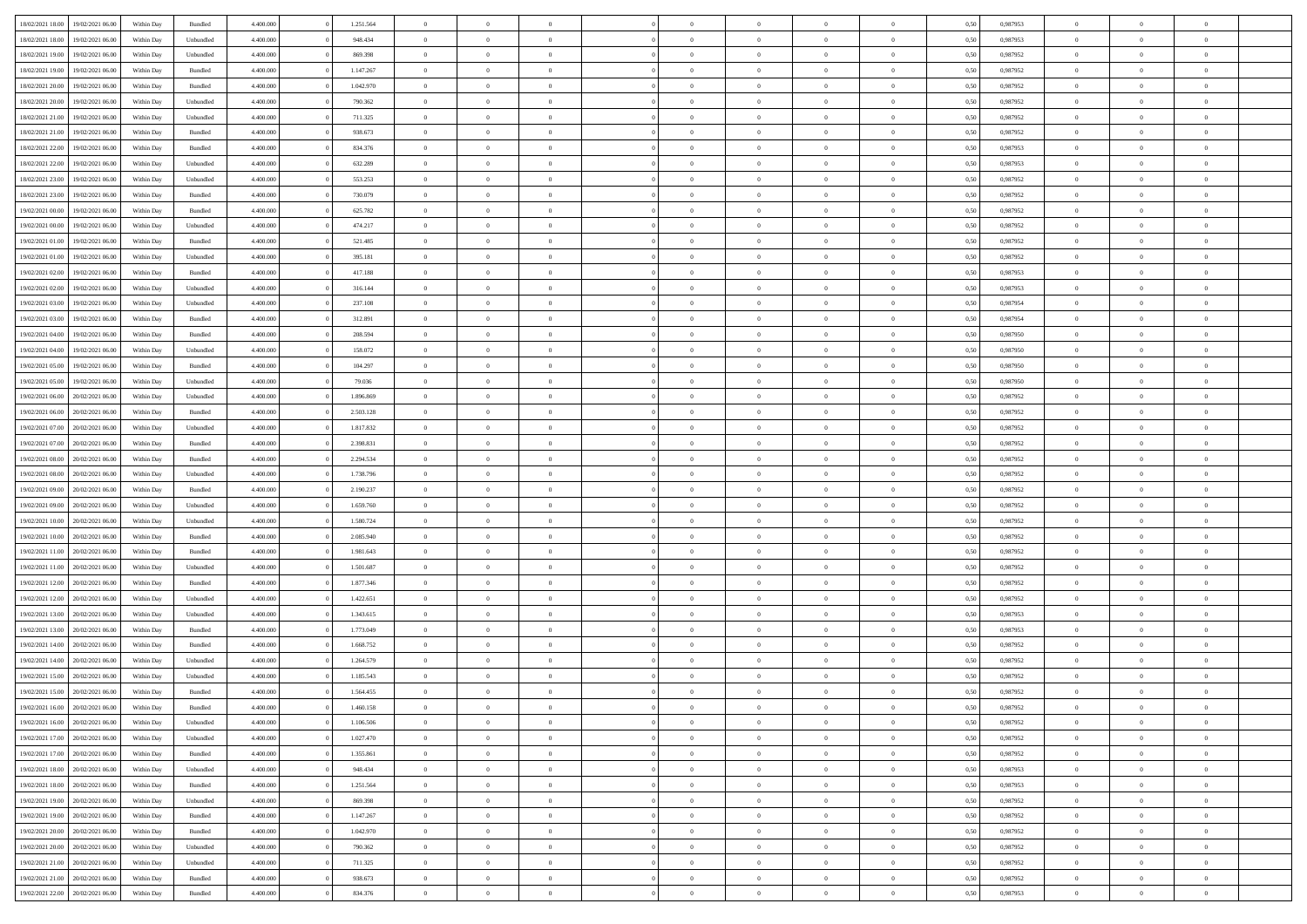| 18/02/2021 18:00 | 19/02/2021 06:00 | Within Day | Bundled            | 4.400.000 | 1.251.564 | $\overline{0}$ | $\Omega$       |                | $\Omega$       | $\Omega$       | $\theta$       | $\theta$       | 0,50 | 0.987953 | $\theta$       | $\theta$       | $\theta$       |  |
|------------------|------------------|------------|--------------------|-----------|-----------|----------------|----------------|----------------|----------------|----------------|----------------|----------------|------|----------|----------------|----------------|----------------|--|
|                  |                  |            |                    |           |           |                |                |                |                |                |                |                |      |          |                |                |                |  |
| 18/02/2021 18:00 | 19/02/2021 06:00 | Within Day | Unbundled          | 4.400.000 | 948.434   | $\overline{0}$ | $\theta$       | $\overline{0}$ | $\overline{0}$ | $\bf{0}$       | $\overline{0}$ | $\bf{0}$       | 0,50 | 0,987953 | $\theta$       | $\overline{0}$ | $\overline{0}$ |  |
| 18/02/2021 19:00 | 19/02/2021 06:00 | Within Day | Unbundled          | 4.400.000 | 869.398   | $\overline{0}$ | $\overline{0}$ | $\overline{0}$ | $\bf{0}$       | $\bf{0}$       | $\bf{0}$       | $\mathbf{0}$   | 0,50 | 0,987952 | $\overline{0}$ | $\overline{0}$ | $\bf{0}$       |  |
| 18/02/2021 19:00 | 19/02/2021 06:00 | Within Dav | Bundled            | 4.400.000 | 1.147.267 | $\overline{0}$ | $\overline{0}$ | $\overline{0}$ | $\overline{0}$ | $\bf{0}$       | $\overline{0}$ | $\overline{0}$ | 0.50 | 0,987952 | $\theta$       | $\theta$       | $\overline{0}$ |  |
| 18/02/2021 20:00 | 19/02/2021 06:00 | Within Day | Bundled            | 4.400.000 | 1.042.970 | $\overline{0}$ | $\theta$       | $\overline{0}$ | $\overline{0}$ | $\bf{0}$       | $\overline{0}$ | $\bf{0}$       | 0,50 | 0,987952 | $\theta$       | $\overline{0}$ | $\overline{0}$ |  |
| 18/02/2021 20:00 | 19/02/2021 06:00 | Within Day | Unbundled          | 4.400.000 | 790.362   | $\overline{0}$ | $\overline{0}$ | $\overline{0}$ | $\bf{0}$       | $\overline{0}$ | $\overline{0}$ | $\mathbf{0}$   | 0,50 | 0,987952 | $\overline{0}$ | $\overline{0}$ | $\bf{0}$       |  |
| 18/02/2021 21:00 | 19/02/2021 06:00 | Within Dav | Unbundled          | 4.400.000 | 711.325   | $\overline{0}$ | $\overline{0}$ | $\overline{0}$ | $\overline{0}$ | $\overline{0}$ | $\overline{0}$ | $\overline{0}$ | 0.50 | 0,987952 | $\theta$       | $\overline{0}$ | $\overline{0}$ |  |
|                  |                  |            |                    |           |           |                |                |                |                |                |                |                |      |          |                |                |                |  |
| 18/02/2021 21:00 | 19/02/2021 06:00 | Within Day | Bundled            | 4.400.000 | 938.673   | $\overline{0}$ | $\theta$       | $\overline{0}$ | $\overline{0}$ | $\bf{0}$       | $\overline{0}$ | $\bf{0}$       | 0,50 | 0,987952 | $\theta$       | $\theta$       | $\overline{0}$ |  |
| 18/02/2021 22:00 | 19/02/2021 06:00 | Within Day | Bundled            | 4.400.000 | 834.376   | $\overline{0}$ | $\overline{0}$ | $\overline{0}$ | $\bf{0}$       | $\bf{0}$       | $\bf{0}$       | $\mathbf{0}$   | 0,50 | 0,987953 | $\,0\,$        | $\overline{0}$ | $\overline{0}$ |  |
| 18/02/2021 22:00 | 19/02/2021 06:00 | Within Dav | Unbundled          | 4.400.000 | 632.289   | $\overline{0}$ | $\overline{0}$ | $\overline{0}$ | $\overline{0}$ | $\overline{0}$ | $\overline{0}$ | $\overline{0}$ | 0.50 | 0,987953 | $\theta$       | $\overline{0}$ | $\overline{0}$ |  |
| 18/02/2021 23:00 | 19/02/2021 06:00 | Within Day | Unbundled          | 4.400.000 | 553.253   | $\overline{0}$ | $\theta$       | $\overline{0}$ | $\overline{0}$ | $\bf{0}$       | $\overline{0}$ | $\bf{0}$       | 0,50 | 0,987952 | $\,$ 0 $\,$    | $\overline{0}$ | $\overline{0}$ |  |
| 18/02/2021 23:00 | 19/02/2021 06:00 | Within Day | Bundled            | 4.400.000 | 730.079   | $\overline{0}$ | $\overline{0}$ | $\overline{0}$ | $\bf{0}$       | $\bf{0}$       | $\bf{0}$       | $\mathbf{0}$   | 0,50 | 0,987952 | $\overline{0}$ | $\overline{0}$ | $\bf{0}$       |  |
| 19/02/2021 00:00 | 19/02/2021 06:00 | Within Day | Bundled            | 4.400.000 | 625.782   | $\overline{0}$ | $\overline{0}$ | $\overline{0}$ | $\overline{0}$ | $\bf{0}$       | $\overline{0}$ | $\overline{0}$ | 0.50 | 0,987952 | $\theta$       | $\theta$       | $\overline{0}$ |  |
| 19/02/2021 00:00 | 19/02/2021 06:00 | Within Day | Unbundled          | 4.400.000 | 474.217   | $\overline{0}$ | $\theta$       | $\overline{0}$ | $\overline{0}$ | $\bf{0}$       | $\overline{0}$ | $\bf{0}$       | 0,50 | 0,987952 | $\theta$       | $\overline{0}$ | $\overline{0}$ |  |
|                  |                  |            |                    |           |           |                |                |                |                |                |                |                |      |          |                |                |                |  |
| 19/02/2021 01:00 | 19/02/2021 06:00 | Within Day | Bundled            | 4.400.000 | 521.485   | $\overline{0}$ | $\overline{0}$ | $\overline{0}$ | $\bf{0}$       | $\overline{0}$ | $\overline{0}$ | $\mathbf{0}$   | 0,50 | 0,987952 | $\overline{0}$ | $\overline{0}$ | $\bf{0}$       |  |
| 19/02/2021 01:00 | 19/02/2021 06:00 | Within Day | Unbundled          | 4.400.000 | 395.181   | $\overline{0}$ | $\overline{0}$ | $\overline{0}$ | $\overline{0}$ | $\overline{0}$ | $\overline{0}$ | $\overline{0}$ | 0.50 | 0,987952 | $\theta$       | $\overline{0}$ | $\overline{0}$ |  |
| 19/02/2021 02:00 | 19/02/2021 06:00 | Within Day | Bundled            | 4.400.000 | 417.188   | $\overline{0}$ | $\theta$       | $\overline{0}$ | $\overline{0}$ | $\bf{0}$       | $\overline{0}$ | $\bf{0}$       | 0,50 | 0,987953 | $\theta$       | $\overline{0}$ | $\overline{0}$ |  |
| 19/02/2021 02:00 | 19/02/2021 06:00 | Within Day | Unbundled          | 4.400.000 | 316.144   | $\overline{0}$ | $\overline{0}$ | $\overline{0}$ | $\bf{0}$       | $\bf{0}$       | $\bf{0}$       | $\mathbf{0}$   | 0,50 | 0,987953 | $\,0\,$        | $\overline{0}$ | $\bf{0}$       |  |
| 19/02/2021 03:00 | 19/02/2021 06:00 | Within Day | Unbundled          | 4.400.000 | 237.108   | $\overline{0}$ | $\overline{0}$ | $\overline{0}$ | $\overline{0}$ | $\overline{0}$ | $\overline{0}$ | $\overline{0}$ | 0.50 | 0,987954 | $\theta$       | $\overline{0}$ | $\overline{0}$ |  |
| 19/02/2021 03:00 | 19/02/2021 06:00 | Within Day | Bundled            | 4.400.000 | 312.891   | $\overline{0}$ | $\theta$       | $\overline{0}$ | $\overline{0}$ | $\bf{0}$       | $\overline{0}$ | $\bf{0}$       | 0,50 | 0,987954 | $\,$ 0 $\,$    | $\overline{0}$ | $\overline{0}$ |  |
| 19/02/2021 04:00 | 19/02/2021 06:00 | Within Day | Bundled            | 4.400.000 | 208.594   | $\overline{0}$ | $\overline{0}$ | $\overline{0}$ | $\overline{0}$ | $\bf{0}$       | $\overline{0}$ | $\mathbf{0}$   | 0,50 | 0,987950 | $\bf{0}$       | $\overline{0}$ | $\bf{0}$       |  |
| 19/02/2021 04:00 | 19/02/2021 06:00 | Within Day | Unbundled          | 4.400.000 | 158.072   | $\overline{0}$ | $\overline{0}$ | $\overline{0}$ | $\overline{0}$ | $\overline{0}$ | $\overline{0}$ | $\overline{0}$ | 0.50 | 0,987950 | $\theta$       | $\overline{0}$ | $\overline{0}$ |  |
|                  |                  |            |                    |           |           |                |                |                |                |                |                |                |      |          |                |                |                |  |
| 19/02/2021 05:00 | 19/02/2021 06:00 | Within Day | Bundled            | 4.400.000 | 104.297   | $\overline{0}$ | $\theta$       | $\overline{0}$ | $\overline{0}$ | $\bf{0}$       | $\overline{0}$ | $\bf{0}$       | 0,50 | 0,987950 | $\,$ 0 $\,$    | $\overline{0}$ | $\overline{0}$ |  |
| 19/02/2021 05:00 | 19/02/2021 06:00 | Within Day | Unbundled          | 4.400.000 | 79.036    | $\overline{0}$ | $\overline{0}$ | $\overline{0}$ | $\overline{0}$ | $\overline{0}$ | $\overline{0}$ | $\mathbf{0}$   | 0,50 | 0,987950 | $\bf{0}$       | $\overline{0}$ | $\bf{0}$       |  |
| 19/02/2021 06:00 | 20/02/2021 06:00 | Within Day | Unbundled          | 4.400.000 | 1.896.869 | $\overline{0}$ | $\overline{0}$ | $\overline{0}$ | $\overline{0}$ | $\overline{0}$ | $\overline{0}$ | $\overline{0}$ | 0.50 | 0,987952 | $\theta$       | $\overline{0}$ | $\overline{0}$ |  |
| 19/02/2021 06:00 | 20/02/2021 06:00 | Within Day | Bundled            | 4.400.000 | 2.503.128 | $\overline{0}$ | $\theta$       | $\overline{0}$ | $\overline{0}$ | $\bf{0}$       | $\overline{0}$ | $\bf{0}$       | 0,50 | 0,987952 | $\theta$       | $\overline{0}$ | $\overline{0}$ |  |
| 19/02/2021 07:00 | 20/02/2021 06:00 | Within Day | Unbundled          | 4.400.000 | 1.817.832 | $\overline{0}$ | $\overline{0}$ | $\overline{0}$ | $\overline{0}$ | $\bf{0}$       | $\overline{0}$ | $\mathbf{0}$   | 0,50 | 0,987952 | $\,0\,$        | $\overline{0}$ | $\overline{0}$ |  |
| 19/02/2021 07:00 | 20/02/2021 06:00 | Within Day | Bundled            | 4.400.000 | 2.398.831 | $\overline{0}$ | $\overline{0}$ | $\overline{0}$ | $\overline{0}$ | $\overline{0}$ | $\overline{0}$ | $\overline{0}$ | 0.50 | 0,987952 | $\theta$       | $\overline{0}$ | $\overline{0}$ |  |
| 19/02/2021 08:00 | 20/02/2021 06:00 | Within Day | Bundled            | 4.400.000 | 2.294.534 | $\overline{0}$ | $\theta$       | $\overline{0}$ | $\overline{0}$ | $\bf{0}$       | $\overline{0}$ | $\bf{0}$       | 0,50 | 0,987952 | $\,$ 0 $\,$    | $\overline{0}$ | $\overline{0}$ |  |
|                  |                  |            |                    |           |           |                |                |                |                |                |                |                |      |          |                |                |                |  |
| 19/02/2021 08:00 | 20/02/2021 06:00 | Within Day | Unbundled          | 4.400.000 | 1.738.796 | $\overline{0}$ | $\overline{0}$ | $\overline{0}$ | $\bf{0}$       | $\bf{0}$       | $\bf{0}$       | $\mathbf{0}$   | 0,50 | 0,987952 | $\overline{0}$ | $\overline{0}$ | $\bf{0}$       |  |
| 19/02/2021 09:00 | 20/02/2021 06:00 | Within Day | Bundled            | 4.400,000 | 2.190.237 | $\overline{0}$ | $\Omega$       | $\overline{0}$ | $\Omega$       | $\overline{0}$ | $\overline{0}$ | $\overline{0}$ | 0,50 | 0,987952 | $\,0\,$        | $\theta$       | $\theta$       |  |
| 19/02/2021 09:00 | 20/02/2021 06:00 | Within Day | Unbundled          | 4.400.000 | 1.659.760 | $\overline{0}$ | $\theta$       | $\overline{0}$ | $\overline{0}$ | $\bf{0}$       | $\overline{0}$ | $\bf{0}$       | 0,50 | 0,987952 | $\,$ 0 $\,$    | $\overline{0}$ | $\overline{0}$ |  |
| 19/02/2021 10:00 | 20/02/2021 06:00 | Within Day | Unbundled          | 4.400.000 | 1.580.724 | $\overline{0}$ | $\overline{0}$ | $\overline{0}$ | $\bf{0}$       | $\overline{0}$ | $\overline{0}$ | $\mathbf{0}$   | 0,50 | 0,987952 | $\overline{0}$ | $\overline{0}$ | $\bf{0}$       |  |
| 19/02/2021 10:00 | 20/02/2021 06:00 | Within Day | Bundled            | 4.400,000 | 2.085.940 | $\overline{0}$ | $\Omega$       | $\Omega$       | $\Omega$       | $\overline{0}$ | $\overline{0}$ | $\overline{0}$ | 0.50 | 0,987952 | $\,0\,$        | $\theta$       | $\theta$       |  |
| 19/02/2021 11:00 | 20/02/2021 06:00 | Within Day | Bundled            | 4.400.000 | 1.981.643 | $\overline{0}$ | $\theta$       | $\overline{0}$ | $\overline{0}$ | $\bf{0}$       | $\overline{0}$ | $\bf{0}$       | 0,50 | 0,987952 | $\,$ 0 $\,$    | $\overline{0}$ | $\overline{0}$ |  |
| 19/02/2021 11:00 | 20/02/2021 06:00 | Within Day | Unbundled          | 4.400.000 | 1.501.687 | $\overline{0}$ | $\overline{0}$ | $\overline{0}$ | $\bf{0}$       | $\bf{0}$       | $\bf{0}$       | $\mathbf{0}$   | 0,50 | 0,987952 | $\bf{0}$       | $\overline{0}$ | $\bf{0}$       |  |
| 19/02/2021 12:00 | 20/02/2021 06:00 | Within Day | Bundled            | 4.400,000 | 1.877.346 | $\overline{0}$ | $\Omega$       | $\overline{0}$ | $\Omega$       | $\overline{0}$ | $\overline{0}$ | $\overline{0}$ | 0.50 | 0.987952 | $\,$ 0 $\,$    | $\theta$       | $\theta$       |  |
| 19/02/2021 12:00 | 20/02/2021 06:00 |            |                    | 4.400.000 | 1.422.651 | $\overline{0}$ | $\overline{0}$ | $\overline{0}$ | $\overline{0}$ | $\,$ 0         | $\overline{0}$ |                |      | 0,987952 | $\,$ 0 $\,$    | $\overline{0}$ | $\overline{0}$ |  |
|                  |                  | Within Day | Unbundled          |           |           |                |                |                |                |                |                | $\bf{0}$       | 0,50 |          |                |                |                |  |
| 19/02/2021 13:00 | 20/02/2021 06:00 | Within Day | Unbundled          | 4.400.000 | 1.343.615 | $\overline{0}$ | $\bf{0}$       | $\overline{0}$ | $\bf{0}$       | $\bf{0}$       | $\bf{0}$       | $\mathbf{0}$   | 0,50 | 0,987953 | $\overline{0}$ | $\overline{0}$ | $\bf{0}$       |  |
| 19/02/2021 13:00 | 20/02/2021 06:00 | Within Day | Bundled            | 4.400,000 | 1.773.049 | $\overline{0}$ | $\Omega$       | $\overline{0}$ | $\Omega$       | $\overline{0}$ | $\overline{0}$ | $\overline{0}$ | 0,50 | 0,987953 | $\,0\,$        | $\theta$       | $\theta$       |  |
| 19/02/2021 14:00 | 20/02/2021 06:00 | Within Day | Bundled            | 4.400.000 | 1.668.752 | $\overline{0}$ | $\overline{0}$ | $\overline{0}$ | $\overline{0}$ | $\,$ 0         | $\overline{0}$ | $\bf{0}$       | 0,50 | 0,987952 | $\,$ 0 $\,$    | $\overline{0}$ | $\overline{0}$ |  |
| 19/02/2021 14:00 | 20/02/2021 06:00 | Within Day | Unbundled          | 4.400.000 | 1.264.579 | $\overline{0}$ | $\overline{0}$ | $\overline{0}$ | $\bf{0}$       | $\bf{0}$       | $\overline{0}$ | $\mathbf{0}$   | 0,50 | 0,987952 | $\overline{0}$ | $\overline{0}$ | $\bf{0}$       |  |
| 19/02/2021 15:00 | 20/02/2021 06:00 | Within Day | Unbundled          | 4.400,000 | 1.185.543 | $\overline{0}$ | $\Omega$       | $\Omega$       | $\Omega$       | $\Omega$       | $\Omega$       | $\overline{0}$ | 0.50 | 0.987952 | $\theta$       | $\theta$       | $\theta$       |  |
| 19/02/2021 15:00 | 20/02/2021 06:00 | Within Day | Bundled            | 4.400.000 | 1.564.455 | $\overline{0}$ | $\overline{0}$ | $\overline{0}$ | $\bf{0}$       | $\,$ 0         | $\bf{0}$       | $\bf{0}$       | 0,50 | 0,987952 | $\,0\,$        | $\,$ 0 $\,$    | $\overline{0}$ |  |
| 19/02/2021 16:00 | 20/02/2021 06:00 | Within Day | $\mathbf B$ undled | 4.400.000 | 1.460.158 | $\overline{0}$ | $\bf{0}$       |                |                | $\bf{0}$       |                |                | 0,50 | 0,987952 | $\bf{0}$       | $\overline{0}$ |                |  |
| 19/02/2021 16:00 | 20/02/2021 06:00 | Within Day | Unbundled          | 4.400.000 | 1.106.506 | $\overline{0}$ | $\overline{0}$ | $\overline{0}$ | $\Omega$       | $\overline{0}$ | $\overline{0}$ | $\overline{0}$ | 0.50 | 0.987952 | $\theta$       | $\theta$       | $\theta$       |  |
|                  |                  |            |                    |           |           |                |                |                |                |                |                |                |      |          |                |                |                |  |
| 19/02/2021 17:00 | 20/02/2021 06:00 | Within Day | Unbundled          | 4.400.000 | 1.027.470 | $\overline{0}$ | $\bf{0}$       | $\overline{0}$ | $\bf{0}$       | $\,$ 0 $\,$    | $\overline{0}$ | $\mathbf{0}$   | 0,50 | 0,987952 | $\,$ 0 $\,$    | $\,$ 0 $\,$    | $\,$ 0         |  |
| 19/02/2021 17:00 | 20/02/2021 06:00 | Within Day | Bundled            | 4.400.000 | 1.355.861 | $\overline{0}$ | $\overline{0}$ | $\overline{0}$ | $\overline{0}$ | $\overline{0}$ | $\overline{0}$ | $\mathbf{0}$   | 0,50 | 0,987952 | $\overline{0}$ | $\bf{0}$       | $\bf{0}$       |  |
| 19/02/2021 18:00 | 20/02/2021 06:00 | Within Day | Unbundled          | 4.400,000 | 948.434   | $\overline{0}$ | $\overline{0}$ | $\overline{0}$ | $\Omega$       | $\overline{0}$ | $\overline{0}$ | $\overline{0}$ | 0,50 | 0,987953 | $\overline{0}$ | $\overline{0}$ | $\overline{0}$ |  |
| 19/02/2021 18:00 | 20/02/2021 06:00 | Within Day | Bundled            | 4.400.000 | 1.251.564 | $\overline{0}$ | $\,$ 0         | $\overline{0}$ | $\bf{0}$       | $\,$ 0 $\,$    | $\overline{0}$ | $\mathbf{0}$   | 0,50 | 0,987953 | $\,$ 0 $\,$    | $\overline{0}$ | $\overline{0}$ |  |
| 19/02/2021 19:00 | 20/02/2021 06:00 | Within Day | Unbundled          | 4.400.000 | 869.398   | $\overline{0}$ | $\overline{0}$ | $\overline{0}$ | $\overline{0}$ | $\overline{0}$ | $\overline{0}$ | $\mathbf{0}$   | 0,50 | 0,987952 | $\overline{0}$ | $\overline{0}$ | $\bf{0}$       |  |
| 19/02/2021 19:00 | 20/02/2021 06:00 | Within Day | Bundled            | 4.400,000 | 1.147.267 | $\overline{0}$ | $\overline{0}$ | $\overline{0}$ | $\overline{0}$ | $\overline{0}$ | $\overline{0}$ | $\bf{0}$       | 0.50 | 0,987952 | $\overline{0}$ | $\theta$       | $\overline{0}$ |  |
| 19/02/2021 20:00 | 20/02/2021 06:00 | Within Day | Bundled            | 4.400.000 | 1.042.970 | $\overline{0}$ | $\,$ 0         | $\overline{0}$ | $\bf{0}$       | $\bf{0}$       | $\bf{0}$       | $\bf{0}$       | 0,50 | 0,987952 | $\,$ 0 $\,$    | $\overline{0}$ | $\overline{0}$ |  |
| 19/02/2021 20:00 | 20/02/2021 06:00 | Within Day | Unbundled          | 4.400.000 | 790.362   | $\overline{0}$ | $\bf{0}$       | $\overline{0}$ | $\overline{0}$ | $\overline{0}$ | $\overline{0}$ | $\mathbf{0}$   | 0,50 | 0,987952 | $\overline{0}$ | $\overline{0}$ | $\bf{0}$       |  |
|                  |                  |            |                    |           |           |                |                |                |                |                |                |                |      |          |                |                |                |  |
| 19/02/2021 21:00 | 20/02/2021 06:00 | Within Day | Unbundled          | 4.400,000 | 711.325   | $\overline{0}$ | $\overline{0}$ | $\overline{0}$ | $\Omega$       | $\overline{0}$ | $\overline{0}$ | $\overline{0}$ | 0.50 | 0,987952 | $\overline{0}$ | $\overline{0}$ | $\overline{0}$ |  |
| 19/02/2021 21:00 | 20/02/2021 06:00 | Within Day | Bundled            | 4.400.000 | 938.673   | $\overline{0}$ | $\bf{0}$       | $\overline{0}$ | $\bf{0}$       | $\bf{0}$       | $\bf{0}$       | $\mathbf{0}$   | 0,50 | 0,987952 | $\,$ 0 $\,$    | $\,$ 0 $\,$    | $\bf{0}$       |  |
| 19/02/2021 22.00 | 20/02/2021 06:00 | Within Day | Bundled            | 4.400.000 | 834.376   | $\overline{0}$ | $\overline{0}$ | $\overline{0}$ | $\overline{0}$ | $\overline{0}$ | $\bf{0}$       | $\mathbf{0}$   | 0,50 | 0,987953 | $\overline{0}$ | $\bf{0}$       | $\overline{0}$ |  |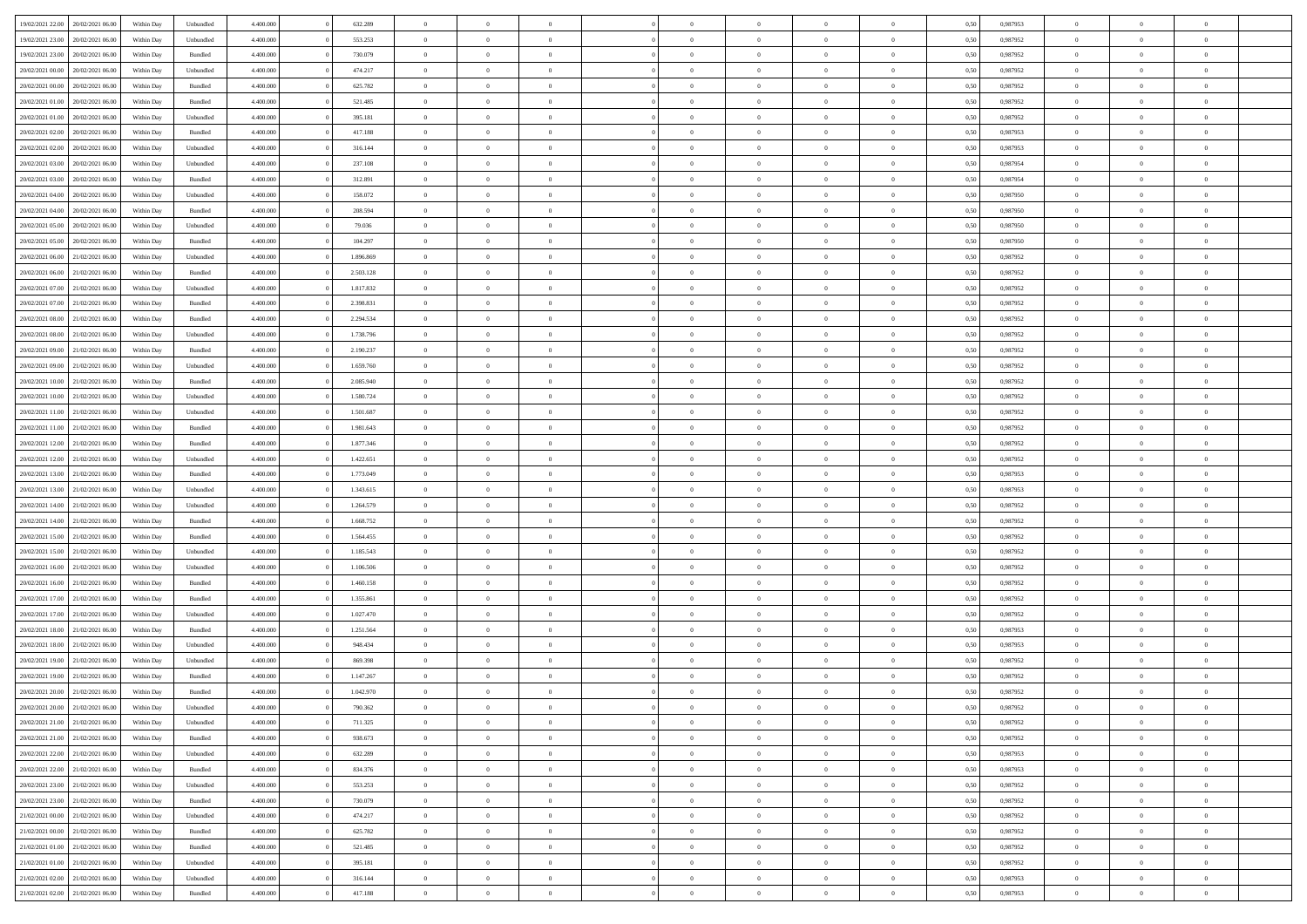| 19/02/2021 22:00 20/02/2021 06:00                                            | Within Day               | Unbundled          | 4.400.000 | 632.289   | $\overline{0}$ | $\overline{0}$ | $\Omega$       | $\Omega$       | $\theta$       | $\Omega$       | $\overline{0}$ | 0,50 | 0,987953 | $\theta$       | $\theta$       | $\theta$       |  |
|------------------------------------------------------------------------------|--------------------------|--------------------|-----------|-----------|----------------|----------------|----------------|----------------|----------------|----------------|----------------|------|----------|----------------|----------------|----------------|--|
| 19/02/2021 23:00<br>20/02/2021 06:00                                         | Within Day               | Unbundled          | 4.400.000 | 553.253   | $\overline{0}$ | $\overline{0}$ | $\overline{0}$ | $\overline{0}$ | $\theta$       | $\overline{0}$ | $\bf{0}$       | 0,50 | 0,987952 | $\theta$       | $\theta$       | $\overline{0}$ |  |
| 19/02/2021 23:00<br>20/02/2021 06:00                                         | Within Day               | Bundled            | 4.400.000 | 730.079   | $\overline{0}$ | $\bf{0}$       | $\overline{0}$ | $\overline{0}$ | $\overline{0}$ | $\overline{0}$ | $\bf{0}$       | 0,50 | 0,987952 | $\bf{0}$       | $\overline{0}$ | $\overline{0}$ |  |
| 20/02/2021 00:00<br>20/02/2021 06:00                                         | Within Day               | Unbundled          | 4.400.000 | 474.217   | $\overline{0}$ | $\overline{0}$ | $\overline{0}$ | $\overline{0}$ | $\theta$       | $\overline{0}$ | $\overline{0}$ | 0.50 | 0,987952 | $\theta$       | $\theta$       | $\overline{0}$ |  |
| 20/02/2021 00:00<br>20/02/2021 06:00                                         | Within Day               | Bundled            | 4.400.000 | 625.782   | $\overline{0}$ | $\overline{0}$ | $\overline{0}$ | $\overline{0}$ | $\theta$       | $\overline{0}$ | $\bf{0}$       | 0,50 | 0,987952 | $\theta$       | $\theta$       | $\overline{0}$ |  |
| 20/02/2021 01:00<br>20/02/2021 06:00                                         | Within Day               | Bundled            | 4.400.000 | 521.485   | $\overline{0}$ | $\bf{0}$       | $\overline{0}$ | $\overline{0}$ | $\overline{0}$ | $\overline{0}$ | $\bf{0}$       | 0,50 | 0,987952 | $\bf{0}$       | $\overline{0}$ | $\bf{0}$       |  |
| 20/02/2021 01:00<br>20/02/2021 06:00                                         | Within Day               | Unbundled          | 4.400.000 | 395.181   | $\overline{0}$ | $\overline{0}$ | $\overline{0}$ | $\overline{0}$ | $\overline{0}$ | $\overline{0}$ | $\overline{0}$ | 0.5( | 0,987952 | $\theta$       | $\theta$       | $\overline{0}$ |  |
| 20/02/2021 02:00<br>20/02/2021 06:00                                         | Within Day               | Bundled            | 4.400.000 | 417.188   | $\overline{0}$ | $\theta$       | $\overline{0}$ | $\overline{0}$ | $\theta$       | $\overline{0}$ | $\bf{0}$       | 0,50 | 0,987953 | $\theta$       | $\theta$       | $\overline{0}$ |  |
|                                                                              |                          |                    |           |           |                |                |                |                |                |                |                |      |          |                |                |                |  |
| 20/02/2021 02:00<br>20/02/2021 06:00                                         | Within Day               | Unbundled          | 4.400.000 | 316.144   | $\overline{0}$ | $\bf{0}$       | $\overline{0}$ | $\overline{0}$ | $\overline{0}$ | $\overline{0}$ | $\bf{0}$       | 0,50 | 0,987953 | $\bf{0}$       | $\bf{0}$       | $\overline{0}$ |  |
| 20/02/2021 03:00<br>20/02/2021 06:00                                         | Within Day               | Unbundled          | 4.400.000 | 237.108   | $\overline{0}$ | $\overline{0}$ | $\overline{0}$ | $\overline{0}$ | $\overline{0}$ | $\overline{0}$ | $\bf{0}$       | 0.5( | 0,987954 | $\theta$       | $\theta$       | $\overline{0}$ |  |
| 20/02/2021 03:00<br>20/02/2021 06:00                                         | Within Day               | Bundled            | 4.400.000 | 312.891   | $\overline{0}$ | $\overline{0}$ | $\overline{0}$ | $\overline{0}$ | $\theta$       | $\overline{0}$ | $\bf{0}$       | 0,50 | 0,987954 | $\theta$       | $\theta$       | $\overline{0}$ |  |
| 20/02/2021 04:00<br>20/02/2021 06:00                                         | Within Day               | Unbundled          | 4.400.000 | 158.072   | $\overline{0}$ | $\bf{0}$       | $\overline{0}$ | $\overline{0}$ | $\bf{0}$       | $\overline{0}$ | $\bf{0}$       | 0,50 | 0,987950 | $\bf{0}$       | $\overline{0}$ | $\overline{0}$ |  |
| 20/02/2021 04:00<br>20/02/2021 06:00                                         | Within Day               | Bundled            | 4.400.000 | 208.594   | $\overline{0}$ | $\overline{0}$ | $\overline{0}$ | $\overline{0}$ | $\overline{0}$ | $\overline{0}$ | $\overline{0}$ | 0.5( | 0.987950 | $\theta$       | $\theta$       | $\overline{0}$ |  |
| 20/02/2021 05:00<br>20/02/2021 06:00                                         | Within Day               | Unbundled          | 4.400.000 | 79.036    | $\overline{0}$ | $\overline{0}$ | $\overline{0}$ | $\overline{0}$ | $\theta$       | $\overline{0}$ | $\,$ 0 $\,$    | 0,50 | 0,987950 | $\theta$       | $\theta$       | $\overline{0}$ |  |
| 20/02/2021 05:00<br>20/02/2021 06:00                                         | Within Day               | Bundled            | 4.400.000 | 104.297   | $\overline{0}$ | $\bf{0}$       | $\overline{0}$ | $\overline{0}$ | $\overline{0}$ | $\overline{0}$ | $\bf{0}$       | 0,50 | 0,987950 | $\bf{0}$       | $\overline{0}$ | $\bf{0}$       |  |
| 20/02/2021 06:00<br>21/02/2021 06:00                                         | Within Day               | Unbundled          | 4.400.000 | 1.896.869 | $\overline{0}$ | $\overline{0}$ | $\overline{0}$ | $\overline{0}$ | $\overline{0}$ | $\overline{0}$ | $\overline{0}$ | 0.5( | 0,987952 | $\theta$       | $\theta$       | $\overline{0}$ |  |
| 20/02/2021 06:00<br>21/02/2021 06:00                                         | Within Day               | Bundled            | 4.400.000 | 2.503.128 | $\overline{0}$ | $\overline{0}$ | $\overline{0}$ | $\overline{0}$ | $\theta$       | $\overline{0}$ | $\bf{0}$       | 0,50 | 0,987952 | $\theta$       | $\theta$       | $\overline{0}$ |  |
| 20/02/2021 07:00<br>21/02/2021 06:00                                         | Within Day               | Unbundled          | 4.400.000 | 1.817.832 | $\overline{0}$ | $\bf{0}$       | $\overline{0}$ | $\overline{0}$ | $\overline{0}$ | $\overline{0}$ | $\bf{0}$       | 0,50 | 0,987952 | $\bf{0}$       | $\overline{0}$ | $\overline{0}$ |  |
| 20/02/2021 07:00<br>21/02/2021 06:00                                         | Within Day               | Bundled            | 4.400.000 | 2.398.831 | $\overline{0}$ | $\overline{0}$ | $\overline{0}$ | $\overline{0}$ | $\overline{0}$ | $\overline{0}$ | $\overline{0}$ | 0.5( | 0,987952 | $\theta$       | $\theta$       | $\overline{0}$ |  |
| 20/02/2021 08:00<br>21/02/2021 06:00                                         | Within Day               | Bundled            | 4.400.000 | 2.294.534 | $\bf{0}$       | $\overline{0}$ | $\overline{0}$ | $\overline{0}$ | $\theta$       | $\overline{0}$ | $\bf{0}$       | 0,50 | 0,987952 | $\theta$       | $\theta$       | $\overline{0}$ |  |
| 20/02/2021 08:00<br>21/02/2021 06:00                                         | Within Day               | Unbundled          | 4.400.000 | 1.738.796 | $\overline{0}$ | $\bf{0}$       | $\overline{0}$ | $\overline{0}$ | $\overline{0}$ | $\overline{0}$ | $\bf{0}$       | 0,50 | 0,987952 | $\bf{0}$       | $\overline{0}$ | $\overline{0}$ |  |
| 20/02/2021 09:00<br>21/02/2021 06:00                                         | Within Day               | Bundled            | 4.400.000 | 2.190.237 | $\overline{0}$ | $\overline{0}$ | $\overline{0}$ | $\overline{0}$ | $\overline{0}$ | $\overline{0}$ | $\overline{0}$ | 0.5( | 0,987952 | $\theta$       | $\theta$       | $\overline{0}$ |  |
| 20/02/2021 09:00<br>21/02/2021 06:00                                         | Within Day               | Unbundled          | 4.400.000 | 1.659.760 | $\overline{0}$ | $\overline{0}$ | $\overline{0}$ | $\overline{0}$ | $\theta$       | $\overline{0}$ | $\bf{0}$       | 0,50 | 0,987952 | $\theta$       | $\theta$       | $\overline{0}$ |  |
| 20/02/2021 10:00<br>21/02/2021 06:00                                         | Within Day               | Bundled            | 4.400.000 | 2.085.940 | $\overline{0}$ | $\bf{0}$       | $\overline{0}$ | $\overline{0}$ | $\overline{0}$ | $\overline{0}$ | $\bf{0}$       | 0,50 | 0,987952 | $\bf{0}$       | $\overline{0}$ | $\bf{0}$       |  |
| 20/02/2021 10:00<br>21/02/2021 06:00                                         | Within Day               | Unbundled          | 4.400.000 | 1.580.724 | $\overline{0}$ | $\overline{0}$ | $\overline{0}$ | $\overline{0}$ | $\overline{0}$ | $\overline{0}$ | $\overline{0}$ | 0.5( | 0,987952 | $\theta$       | $\theta$       | $\overline{0}$ |  |
| 20/02/2021 11:00<br>21/02/2021 06:00                                         | Within Day               | Unbundled          | 4.400.000 | 1.501.687 | $\overline{0}$ | $\overline{0}$ | $\overline{0}$ | $\overline{0}$ | $\theta$       | $\overline{0}$ | $\bf{0}$       | 0,50 | 0,987952 | $\theta$       | $\theta$       | $\overline{0}$ |  |
| 20/02/2021 11:00<br>21/02/2021 06:00                                         | Within Day               | Bundled            | 4.400.000 | 1.981.643 | $\overline{0}$ | $\bf{0}$       | $\overline{0}$ | $\overline{0}$ | $\overline{0}$ | $\overline{0}$ | $\bf{0}$       | 0,50 | 0,987952 | $\bf{0}$       | $\bf{0}$       | $\overline{0}$ |  |
| 20/02/2021 12:00<br>21/02/2021 06:00                                         | Within Day               | Bundled            | 4.400.000 | 1.877.346 | $\overline{0}$ | $\overline{0}$ | $\overline{0}$ | $\overline{0}$ | $\overline{0}$ | $\overline{0}$ | $\overline{0}$ | 0.5( | 0,987952 | $\theta$       | $\theta$       | $\overline{0}$ |  |
| 20/02/2021 12:00<br>21/02/2021 06:00                                         | Within Day               | Unbundled          | 4.400.000 | 1.422.651 | $\bf{0}$       | $\overline{0}$ | $\overline{0}$ | $\overline{0}$ | $\theta$       | $\overline{0}$ | $\bf{0}$       | 0,50 | 0,987952 | $\theta$       | $\theta$       | $\overline{0}$ |  |
| 20/02/2021 13:00<br>21/02/2021 06:00                                         | Within Day               | Bundled            | 4.400.000 | 1.773.049 | $\overline{0}$ | $\bf{0}$       | $\overline{0}$ | $\overline{0}$ | $\bf{0}$       | $\overline{0}$ | $\bf{0}$       | 0,50 | 0,987953 | $\bf{0}$       | $\overline{0}$ | $\overline{0}$ |  |
| 20/02/2021 13:00<br>21/02/2021 06:00                                         | Within Day               | Unbundled          | 4,400,000 | 1.343.615 | $\overline{0}$ | $\overline{0}$ | $\Omega$       | $\Omega$       | $\Omega$       | $\Omega$       | $\overline{0}$ | 0.50 | 0,987953 | $\,$ 0 $\,$    | $\Omega$       | $\theta$       |  |
| 20/02/2021 14:00<br>21/02/2021 06:00                                         | Within Day               | Unbundled          | 4.400.000 | 1.264.579 | $\bf{0}$       | $\overline{0}$ | $\overline{0}$ | $\overline{0}$ | $\theta$       | $\overline{0}$ | $\bf{0}$       | 0,50 | 0,987952 | $\theta$       | $\theta$       | $\overline{0}$ |  |
| 20/02/2021 14:00<br>21/02/2021 06:00                                         | Within Day               | Bundled            | 4.400.000 | 1.668.752 | $\overline{0}$ | $\bf{0}$       | $\overline{0}$ | $\overline{0}$ | $\overline{0}$ | $\overline{0}$ | $\bf{0}$       | 0,50 | 0,987952 | $\bf{0}$       | $\overline{0}$ | $\bf{0}$       |  |
| 20/02/2021 15:00<br>21/02/2021 06:00                                         | Within Day               | Bundled            | 4,400,000 | 1.564.455 | $\overline{0}$ | $\overline{0}$ | $\Omega$       | $\Omega$       | $\overline{0}$ | $\Omega$       | $\overline{0}$ | 0.50 | 0,987952 | $\theta$       | $\theta$       | $\theta$       |  |
| 20/02/2021 15:00<br>21/02/2021 06:00                                         | Within Day               | Unbundled          | 4.400.000 | 1.185.543 | $\bf{0}$       | $\overline{0}$ | $\overline{0}$ | $\overline{0}$ | $\theta$       | $\overline{0}$ | $\bf{0}$       | 0,50 | 0,987952 | $\theta$       | $\theta$       | $\overline{0}$ |  |
| 20/02/2021 16:00<br>21/02/2021 06:00                                         | Within Day               | Unbundled          | 4.400.000 | 1.106.506 | $\overline{0}$ | $\bf{0}$       | $\overline{0}$ | $\overline{0}$ | $\overline{0}$ | $\bf{0}$       | $\bf{0}$       | 0,50 | 0,987952 | $\bf{0}$       | $\overline{0}$ | $\overline{0}$ |  |
|                                                                              |                          |                    | 4,400,000 | 1.460.158 | $\overline{0}$ | $\theta$       | $\Omega$       | $\Omega$       | $\Omega$       | $\Omega$       | $\overline{0}$ | 0.50 | 0.987952 | $\theta$       | $\Omega$       | $\theta$       |  |
| 20/02/2021 16:00<br>21/02/2021 06:00<br>20/02/2021 17:00<br>21/02/2021 06:00 | Within Day<br>Within Day | Bundled<br>Bundled | 4.400.000 | 1.355.861 | $\bf{0}$       | $\overline{0}$ | $\overline{0}$ | $\overline{0}$ | $\theta$       | $\overline{0}$ | $\bf{0}$       | 0,50 | 0,987952 | $\theta$       | $\theta$       | $\overline{0}$ |  |
|                                                                              |                          |                    |           |           |                |                |                |                |                |                |                |      |          |                |                |                |  |
| 20/02/2021 17:00<br>21/02/2021 06:00                                         | Within Day               | Unbundled          | 4.400.000 | 1.027.470 | $\overline{0}$ | $\bf{0}$       | $\overline{0}$ | $\overline{0}$ | $\overline{0}$ | $\overline{0}$ | $\bf{0}$       | 0,50 | 0,987952 | $\bf{0}$       | $\overline{0}$ | $\overline{0}$ |  |
| 20/02/2021 18:00<br>21/02/2021 06:00                                         | Within Day               | Bundled            | 4,400,000 | 1.251.564 | $\overline{0}$ | $\overline{0}$ | $\Omega$       | $\Omega$       | $\theta$       | $\Omega$       | $\overline{0}$ | 0.50 | 0,987953 | $\,$ 0 $\,$    | $\overline{0}$ | $\theta$       |  |
| 20/02/2021 18:00<br>21/02/2021 06:00                                         | Within Day               | Unbundled          | 4.400.000 | 948.434   | $\bf{0}$       | $\overline{0}$ | $\overline{0}$ | $\overline{0}$ | $\theta$       | $\overline{0}$ | $\bf{0}$       | 0,50 | 0,987953 | $\theta$       | $\theta$       | $\overline{0}$ |  |
| 20/02/2021 19:00<br>21/02/2021 06:00                                         | Within Day               | Unbundled          | 4.400.000 | 869.398   | $\overline{0}$ | $\bf{0}$       | $\overline{0}$ | $\overline{0}$ | $\bf{0}$       | $\overline{0}$ | $\bf{0}$       | 0,50 | 0,987952 | $\overline{0}$ | $\overline{0}$ | $\bf{0}$       |  |
| 20/02/2021 19:00<br>21/02/2021 06:00                                         | Within Day               | Bundled            | 4,400,000 | 1.147.267 | $\overline{0}$ | $\Omega$       | $\Omega$       | $\Omega$       | $\Omega$       | $\theta$       | $\overline{0}$ | 0.50 | 0.987952 | $\theta$       | $\Omega$       | $\theta$       |  |
| 20/02/2021 20:00<br>21/02/2021 06:00                                         | Within Day               | Bundled            | 4.400.000 | 1.042.970 | $\bf{0}$       | $\bf{0}$       | $\overline{0}$ | $\overline{0}$ | $\bf{0}$       | $\bf{0}$       | $\bf{0}$       | 0,50 | 0,987952 | $\bf{0}$       | $\,$ 0 $\,$    | $\overline{0}$ |  |
| 20/02/2021 20:00 21/02/2021 06:00                                            | Within Day               | Unbundled          | 4.400.000 | 790.362   | $\bf{0}$       | $\bf{0}$       |                |                |                |                |                | 0,50 | 0,987952 | $\bf{0}$       | $\bf{0}$       |                |  |
| 20/02/2021 21:00 21/02/2021 06:00                                            | Within Day               | Unbundled          | 4.400.000 | 711.325   | $\Omega$       | $\overline{0}$ | $\Omega$       | $\theta$       | $\overline{0}$ | $\overline{0}$ | $\overline{0}$ | 0.50 | 0.987952 | $\theta$       | $\theta$       | $\theta$       |  |
| 20/02/2021 21:00 21/02/2021 06:00                                            | Within Day               | Bundled            | 4.400.000 | 938.673   | $\overline{0}$ | $\overline{0}$ | $\overline{0}$ | $\overline{0}$ | $\,$ 0 $\,$    | $\overline{0}$ | $\,$ 0 $\,$    | 0,50 | 0,987952 | $\,$ 0 $\,$    | $\,$ 0 $\,$    | $\,$ 0         |  |
| 20/02/2021 22:00 21/02/2021 06:00                                            | Within Day               | Unbundled          | 4.400.000 | 632.289   | $\overline{0}$ | $\overline{0}$ | $\overline{0}$ | $\overline{0}$ | $\mathbf{0}$   | $\overline{0}$ | $\bf{0}$       | 0,50 | 0,987953 | $\overline{0}$ | $\overline{0}$ | $\overline{0}$ |  |
| 20/02/2021 22:00 21/02/2021 06:00                                            | Within Day               | Bundled            | 4.400.000 | 834.376   | $\overline{0}$ | $\bf{0}$       | $\overline{0}$ | $\overline{0}$ | $\overline{0}$ | $\overline{0}$ | $\bf{0}$       | 0,50 | 0,987953 | $\bf{0}$       | $\theta$       | $\overline{0}$ |  |
| 20/02/2021 23:00 21/02/2021 06:00                                            | Within Day               | Unbundled          | 4.400.000 | 553.253   | $\overline{0}$ | $\overline{0}$ | $\overline{0}$ | $\overline{0}$ | $\overline{0}$ | $\overline{0}$ | $\,$ 0 $\,$    | 0,50 | 0,987952 | $\,$ 0 $\,$    | $\,$ 0 $\,$    | $\overline{0}$ |  |
| 20/02/2021 23:00 21/02/2021 06:00                                            | Within Day               | Bundled            | 4.400.000 | 730.079   | $\overline{0}$ | $\overline{0}$ | $\overline{0}$ | $\overline{0}$ | $\overline{0}$ | $\overline{0}$ | $\bf{0}$       | 0,50 | 0,987952 | $\overline{0}$ | $\overline{0}$ | $\overline{0}$ |  |
| 21/02/2021 00:00 21/02/2021 06:00                                            | Within Day               | Unbundled          | 4.400.000 | 474.217   | $\overline{0}$ | $\bf{0}$       | $\overline{0}$ | $\overline{0}$ | $\overline{0}$ | $\overline{0}$ | $\bf{0}$       | 0.50 | 0,987952 | $\overline{0}$ | $\theta$       | $\overline{0}$ |  |
| 21/02/2021 00:00<br>21/02/2021 06:00                                         | Within Day               | Bundled            | 4.400.000 | 625.782   | $\overline{0}$ | $\overline{0}$ | $\overline{0}$ | $\overline{0}$ | $\overline{0}$ | $\overline{0}$ | $\bf{0}$       | 0,50 | 0,987952 | $\,$ 0 $\,$    | $\,$ 0 $\,$    | $\overline{0}$ |  |
| 21/02/2021 01:00 21/02/2021 06:00                                            | Within Day               | Bundled            | 4.400.000 | 521.485   | $\overline{0}$ | $\bf{0}$       | $\overline{0}$ | $\overline{0}$ | $\overline{0}$ | $\overline{0}$ | $\bf{0}$       | 0,50 | 0,987952 | $\overline{0}$ | $\overline{0}$ | $\bf{0}$       |  |
| 21/02/2021 01:00 21/02/2021 06:00                                            | Within Day               | Unbundled          | 4.400.000 | 395.181   | $\overline{0}$ | $\overline{0}$ | $\overline{0}$ | $\overline{0}$ | $\overline{0}$ | $\overline{0}$ | $\bf{0}$       | 0.50 | 0,987952 | $\overline{0}$ | $\overline{0}$ | $\overline{0}$ |  |
| 21/02/2021 02:00<br>21/02/2021 06:00                                         | Within Day               | Unbundled          | 4.400.000 | 316.144   | $\overline{0}$ | $\,$ 0         | $\overline{0}$ | $\overline{0}$ | $\bf{0}$       | $\bf{0}$       | $\bf{0}$       | 0,50 | 0,987953 | $\,$ 0 $\,$    | $\,$ 0 $\,$    | $\bf{0}$       |  |
| 21/02/2021 02:00 21/02/2021 06:00                                            | Within Day               | Bundled            | 4.400.000 | 417.188   | $\overline{0}$ | $\bf{0}$       | $\overline{0}$ | $\overline{0}$ | $\overline{0}$ | $\overline{0}$ | $\bf{0}$       | 0,50 | 0,987953 | $\overline{0}$ | $\overline{0}$ | $\bf{0}$       |  |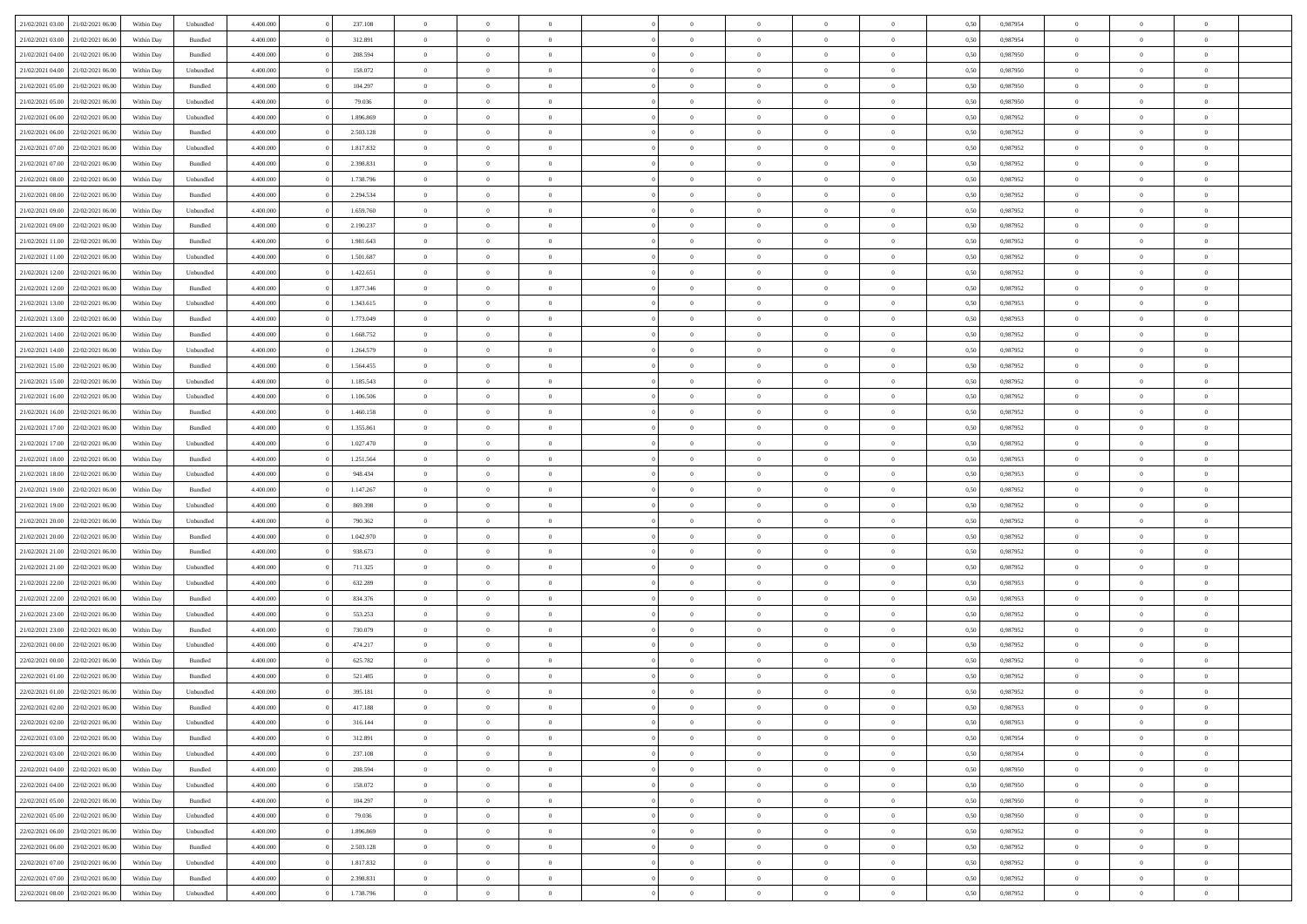| 21/02/2021 03:00                  | 21/02/2021 06:00 | Within Day | Unbundled          | 4.400.000 | 237.108   | $\overline{0}$ | $\Omega$       |                | $\Omega$       | $\Omega$       | $\Omega$       | $\theta$       | 0,50 | 0.987954 | $\theta$       | $\theta$       | $\theta$       |  |
|-----------------------------------|------------------|------------|--------------------|-----------|-----------|----------------|----------------|----------------|----------------|----------------|----------------|----------------|------|----------|----------------|----------------|----------------|--|
|                                   |                  |            |                    |           |           |                |                |                |                |                |                |                |      |          |                |                |                |  |
| 21/02/2021 03:00                  | 21/02/2021 06:00 | Within Day | Bundled            | 4.400.000 | 312.891   | $\overline{0}$ | $\theta$       | $\overline{0}$ | $\overline{0}$ | $\bf{0}$       | $\overline{0}$ | $\bf{0}$       | 0,50 | 0,987954 | $\theta$       | $\theta$       | $\overline{0}$ |  |
| 21/02/2021 04:00                  | 21/02/2021 06:00 | Within Day | Bundled            | 4.400.000 | 208.594   | $\overline{0}$ | $\bf{0}$       | $\overline{0}$ | $\bf{0}$       | $\bf{0}$       | $\bf{0}$       | $\bf{0}$       | 0,50 | 0,987950 | $\overline{0}$ | $\overline{0}$ | $\overline{0}$ |  |
| 21/02/2021 04:00                  | 21/02/2021 06:00 | Within Day | Unbundled          | 4.400.000 | 158.072   | $\overline{0}$ | $\overline{0}$ | $\overline{0}$ | $\overline{0}$ | $\bf{0}$       | $\overline{0}$ | $\overline{0}$ | 0.50 | 0,987950 | $\theta$       | $\theta$       | $\overline{0}$ |  |
| 21/02/2021 05:00                  | 21/02/2021 06:00 | Within Day | Bundled            | 4.400.000 | 104.297   | $\overline{0}$ | $\theta$       | $\overline{0}$ | $\overline{0}$ | $\bf{0}$       | $\overline{0}$ | $\bf{0}$       | 0,50 | 0,987950 | $\theta$       | $\theta$       | $\overline{0}$ |  |
| 21/02/2021 05:00                  | 21/02/2021 06:00 | Within Day | Unbundled          | 4.400.000 | 79.036    | $\overline{0}$ | $\bf{0}$       | $\overline{0}$ | $\bf{0}$       | $\overline{0}$ | $\overline{0}$ | $\mathbf{0}$   | 0,50 | 0,987950 | $\overline{0}$ | $\overline{0}$ | $\bf{0}$       |  |
| 21/02/2021 06:00                  | 22/02/2021 06:00 | Within Dav | Unbundled          | 4.400.000 | 1.896.869 | $\overline{0}$ | $\overline{0}$ | $\overline{0}$ | $\overline{0}$ | $\overline{0}$ | $\overline{0}$ | $\overline{0}$ | 0.50 | 0,987952 | $\theta$       | $\overline{0}$ | $\overline{0}$ |  |
|                                   |                  |            |                    |           |           |                |                |                |                |                |                |                |      |          |                |                |                |  |
| 21/02/2021 06:00                  | 22/02/2021 06:00 | Within Day | Bundled            | 4.400.000 | 2.503.128 | $\overline{0}$ | $\theta$       | $\overline{0}$ | $\overline{0}$ | $\bf{0}$       | $\overline{0}$ | $\bf{0}$       | 0,50 | 0,987952 | $\theta$       | $\theta$       | $\overline{0}$ |  |
| 21/02/2021 07:00                  | 22/02/2021 06:00 | Within Day | Unbundled          | 4.400.000 | 1.817.832 | $\overline{0}$ | $\overline{0}$ | $\overline{0}$ | $\bf{0}$       | $\bf{0}$       | $\bf{0}$       | $\bf{0}$       | 0,50 | 0,987952 | $\,0\,$        | $\overline{0}$ | $\overline{0}$ |  |
| 21/02/2021 07:00                  | 22/02/2021 06:00 | Within Dav | Bundled            | 4.400.000 | 2.398.831 | $\overline{0}$ | $\overline{0}$ | $\overline{0}$ | $\overline{0}$ | $\overline{0}$ | $\overline{0}$ | $\overline{0}$ | 0.50 | 0,987952 | $\theta$       | $\overline{0}$ | $\overline{0}$ |  |
| 21/02/2021 08:00                  | 22/02/2021 06:00 | Within Day | Unbundled          | 4.400.000 | 1.738.796 | $\overline{0}$ | $\theta$       | $\overline{0}$ | $\overline{0}$ | $\bf{0}$       | $\overline{0}$ | $\bf{0}$       | 0,50 | 0,987952 | $\,$ 0 $\,$    | $\theta$       | $\overline{0}$ |  |
| 21/02/2021 08:00                  | 22/02/2021 06:00 | Within Day | Bundled            | 4.400.000 | 2.294.534 | $\overline{0}$ | $\overline{0}$ | $\overline{0}$ | $\bf{0}$       | $\bf{0}$       | $\bf{0}$       | $\mathbf{0}$   | 0,50 | 0,987952 | $\overline{0}$ | $\overline{0}$ | $\overline{0}$ |  |
| 21/02/2021 09:00                  | 22/02/2021 06:00 | Within Day | Unbundled          | 4.400.000 | 1.659.760 | $\overline{0}$ | $\overline{0}$ | $\overline{0}$ | $\overline{0}$ | $\bf{0}$       | $\overline{0}$ | $\overline{0}$ | 0.50 | 0,987952 | $\theta$       | $\theta$       | $\overline{0}$ |  |
| 21/02/2021 09:00                  | 22/02/2021 06:00 | Within Day | Bundled            | 4.400.000 | 2.190.237 | $\overline{0}$ | $\theta$       | $\overline{0}$ | $\overline{0}$ | $\bf{0}$       | $\overline{0}$ | $\bf{0}$       | 0,50 | 0,987952 | $\theta$       | $\theta$       | $\overline{0}$ |  |
|                                   |                  |            |                    |           |           |                |                |                |                |                |                |                |      |          |                |                |                |  |
| 21/02/2021 11:00                  | 22/02/2021 06:00 | Within Day | Bundled            | 4.400.000 | 1.981.643 | $\overline{0}$ | $\overline{0}$ | $\overline{0}$ | $\bf{0}$       | $\overline{0}$ | $\overline{0}$ | $\mathbf{0}$   | 0,50 | 0,987952 | $\overline{0}$ | $\overline{0}$ | $\bf{0}$       |  |
| 21/02/2021 11:00                  | 22/02/2021 06:00 | Within Day | Unbundled          | 4.400.000 | 1.501.687 | $\overline{0}$ | $\overline{0}$ | $\overline{0}$ | $\overline{0}$ | $\overline{0}$ | $\overline{0}$ | $\overline{0}$ | 0.50 | 0,987952 | $\theta$       | $\overline{0}$ | $\overline{0}$ |  |
| 21/02/2021 12:00                  | 22/02/2021 06:00 | Within Day | Unbundled          | 4.400.000 | 1.422.651 | $\overline{0}$ | $\theta$       | $\overline{0}$ | $\overline{0}$ | $\bf{0}$       | $\overline{0}$ | $\bf{0}$       | 0,50 | 0,987952 | $\theta$       | $\theta$       | $\overline{0}$ |  |
| 21/02/2021 12:00                  | 22/02/2021 06:00 | Within Day | Bundled            | 4.400.000 | 1.877.346 | $\overline{0}$ | $\overline{0}$ | $\overline{0}$ | $\bf{0}$       | $\bf{0}$       | $\bf{0}$       | $\bf{0}$       | 0,50 | 0,987952 | $\,0\,$        | $\overline{0}$ | $\overline{0}$ |  |
| 21/02/2021 13:00                  | 22/02/2021 06:00 | Within Day | Unbundled          | 4.400.000 | 1.343.615 | $\overline{0}$ | $\overline{0}$ | $\overline{0}$ | $\overline{0}$ | $\overline{0}$ | $\overline{0}$ | $\overline{0}$ | 0.50 | 0,987953 | $\theta$       | $\overline{0}$ | $\overline{0}$ |  |
| 21/02/2021 13:00                  | 22/02/2021 06:00 | Within Day | Bundled            | 4.400.000 | 1.773.049 | $\overline{0}$ | $\theta$       | $\overline{0}$ | $\overline{0}$ | $\bf{0}$       | $\overline{0}$ | $\bf{0}$       | 0,50 | 0,987953 | $\theta$       | $\theta$       | $\overline{0}$ |  |
| 21/02/2021 14:00                  | 22/02/2021 06:00 | Within Day | Bundled            | 4.400.000 | 1.668.752 | $\overline{0}$ | $\overline{0}$ | $\overline{0}$ | $\bf{0}$       | $\bf{0}$       | $\bf{0}$       | $\bf{0}$       | 0,50 | 0,987952 | $\bf{0}$       | $\overline{0}$ | $\overline{0}$ |  |
| 21/02/2021 14:00                  | 22/02/2021 06:00 | Within Day | Unbundled          | 4.400.000 | 1.264.579 | $\overline{0}$ | $\overline{0}$ | $\overline{0}$ | $\overline{0}$ | $\bf{0}$       | $\overline{0}$ | $\overline{0}$ | 0.50 | 0,987952 | $\theta$       | $\theta$       | $\overline{0}$ |  |
|                                   |                  |            |                    |           |           |                |                |                |                |                |                |                |      |          |                |                |                |  |
| 21/02/2021 15:00                  | 22/02/2021 06:00 | Within Day | Bundled            | 4.400.000 | 1.564.455 | $\overline{0}$ | $\theta$       | $\overline{0}$ | $\overline{0}$ | $\bf{0}$       | $\overline{0}$ | $\bf{0}$       | 0,50 | 0,987952 | $\theta$       | $\overline{0}$ | $\overline{0}$ |  |
| 21/02/2021 15:00                  | 22/02/2021 06:00 | Within Day | Unbundled          | 4.400.000 | 1.185.543 | $\overline{0}$ | $\bf{0}$       | $\overline{0}$ | $\overline{0}$ | $\overline{0}$ | $\overline{0}$ | $\mathbf{0}$   | 0,50 | 0,987952 | $\bf{0}$       | $\overline{0}$ | $\bf{0}$       |  |
| 21/02/2021 16:00                  | 22/02/2021 06:00 | Within Dav | Unbundled          | 4.400.000 | 1.106.506 | $\overline{0}$ | $\overline{0}$ | $\overline{0}$ | $\overline{0}$ | $\overline{0}$ | $\overline{0}$ | $\overline{0}$ | 0.50 | 0,987952 | $\theta$       | $\overline{0}$ | $\overline{0}$ |  |
| 21/02/2021 16:00                  | 22/02/2021 06:00 | Within Day | Bundled            | 4.400.000 | 1.460.158 | $\overline{0}$ | $\theta$       | $\overline{0}$ | $\overline{0}$ | $\bf{0}$       | $\overline{0}$ | $\bf{0}$       | 0,50 | 0,987952 | $\theta$       | $\theta$       | $\overline{0}$ |  |
| 21/02/2021 17:00                  | 22/02/2021 06:00 | Within Day | Bundled            | 4.400.000 | 1.355.861 | $\overline{0}$ | $\overline{0}$ | $\overline{0}$ | $\overline{0}$ | $\bf{0}$       | $\overline{0}$ | $\bf{0}$       | 0,50 | 0,987952 | $\,0\,$        | $\overline{0}$ | $\overline{0}$ |  |
| 21/02/2021 17:00                  | 22/02/2021 06:00 | Within Day | Unbundled          | 4.400.000 | 1.027.470 | $\overline{0}$ | $\overline{0}$ | $\overline{0}$ | $\overline{0}$ | $\overline{0}$ | $\overline{0}$ | $\overline{0}$ | 0.50 | 0,987952 | $\theta$       | $\overline{0}$ | $\overline{0}$ |  |
| 21/02/2021 18:00                  | 22/02/2021 06:00 | Within Day | Bundled            | 4.400.000 | 1.251.564 | $\overline{0}$ | $\theta$       | $\overline{0}$ | $\overline{0}$ | $\bf{0}$       | $\overline{0}$ | $\bf{0}$       | 0,50 | 0,987953 | $\,$ 0 $\,$    | $\overline{0}$ | $\overline{0}$ |  |
|                                   |                  |            |                    |           |           |                |                |                |                |                |                |                |      |          |                |                |                |  |
| 21/02/2021 18:00                  | 22/02/2021 06:00 | Within Day | Unbundled          | 4.400.000 | 948.434   | $\overline{0}$ | $\overline{0}$ | $\overline{0}$ | $\overline{0}$ | $\bf{0}$       | $\overline{0}$ | $\bf{0}$       | 0,50 | 0,987953 | $\overline{0}$ | $\overline{0}$ | $\overline{0}$ |  |
| 21/02/2021 19:00                  | 22/02/2021 06:00 | Within Day | Bundled            | 4.400,000 | 1.147.267 | $\overline{0}$ | $\Omega$       | $\Omega$       | $\Omega$       | $\Omega$       | $\Omega$       | $\overline{0}$ | 0.50 | 0,987952 | $\,0\,$        | $\theta$       | $\theta$       |  |
| 21/02/2021 19:00                  | 22/02/2021 06:00 | Within Day | Unbundled          | 4.400.000 | 869.398   | $\overline{0}$ | $\theta$       | $\overline{0}$ | $\overline{0}$ | $\bf{0}$       | $\overline{0}$ | $\bf{0}$       | 0,50 | 0,987952 | $\theta$       | $\theta$       | $\overline{0}$ |  |
| 21/02/2021 20:00                  | 22/02/2021 06:00 | Within Day | Unbundled          | 4.400.000 | 790.362   | $\overline{0}$ | $\overline{0}$ | $\overline{0}$ | $\bf{0}$       | $\bf{0}$       | $\overline{0}$ | $\mathbf{0}$   | 0,50 | 0,987952 | $\overline{0}$ | $\overline{0}$ | $\bf{0}$       |  |
| 21/02/2021 20:00                  | 22/02/2021 06:00 | Within Day | Bundled            | 4.400,000 | 1.042.970 | $\overline{0}$ | $\Omega$       | $\Omega$       | $\Omega$       | $\bf{0}$       | $\overline{0}$ | $\overline{0}$ | 0.50 | 0,987952 | $\theta$       | $\theta$       | $\theta$       |  |
| 21/02/2021 21:00                  | 22/02/2021 06:00 | Within Day | Bundled            | 4.400.000 | 938.673   | $\overline{0}$ | $\theta$       | $\overline{0}$ | $\overline{0}$ | $\bf{0}$       | $\overline{0}$ | $\bf{0}$       | 0,50 | 0,987952 | $\theta$       | $\theta$       | $\overline{0}$ |  |
| 21/02/2021 21:00                  | 22/02/2021 06:00 | Within Day | Unbundled          | 4.400.000 | 711.325   | $\overline{0}$ | $\overline{0}$ | $\overline{0}$ | $\bf{0}$       | $\bf{0}$       | $\bf{0}$       | $\bf{0}$       | 0,50 | 0,987952 | $\bf{0}$       | $\overline{0}$ | $\overline{0}$ |  |
| 21/02/2021 22:00                  | 22/02/2021 06:00 | Within Day | Unbundled          | 4.400,000 | 632.289   | $\overline{0}$ | $\Omega$       | $\Omega$       | $\Omega$       | $\theta$       | $\theta$       | $\overline{0}$ | 0.50 | 0.987953 | $\theta$       | $\theta$       | $\theta$       |  |
| 21/02/2021 22:00                  | 22/02/2021 06:00 |            |                    | 4.400.000 | 834.376   | $\overline{0}$ | $\theta$       | $\overline{0}$ | $\overline{0}$ | $\bf{0}$       | $\overline{0}$ |                |      | 0,987953 | $\,$ 0 $\,$    | $\overline{0}$ | $\overline{0}$ |  |
|                                   |                  | Within Day | Bundled            |           |           |                |                |                |                |                |                | $\bf{0}$       | 0,50 |          |                |                |                |  |
| 21/02/2021 23:00                  | 22/02/2021 06:00 | Within Day | Unbundled          | 4.400.000 | 553.253   | $\overline{0}$ | $\overline{0}$ | $\overline{0}$ | $\bf{0}$       | $\bf{0}$       | $\bf{0}$       | $\bf{0}$       | 0,50 | 0,987952 | $\overline{0}$ | $\overline{0}$ | $\overline{0}$ |  |
| 21/02/2021 23:00                  | 22/02/2021 06:00 | Within Day | Bundled            | 4.400,000 | 730.079   | $\overline{0}$ | $\Omega$       | $\Omega$       | $\Omega$       | $\Omega$       | $\overline{0}$ | $\overline{0}$ | 0.50 | 0,987952 | $\,0\,$        | $\theta$       | $\theta$       |  |
| 22/02/2021 00:00                  | 22/02/2021 06:00 | Within Day | Unbundled          | 4.400.000 | 474.217   | $\overline{0}$ | $\theta$       | $\overline{0}$ | $\overline{0}$ | $\bf{0}$       | $\overline{0}$ | $\bf{0}$       | 0,50 | 0,987952 | $\,$ 0 $\,$    | $\overline{0}$ | $\overline{0}$ |  |
| 22/02/2021 00:00                  | 22/02/2021 06:00 | Within Day | Bundled            | 4.400.000 | 625.782   | $\overline{0}$ | $\overline{0}$ | $\overline{0}$ | $\bf{0}$       | $\bf{0}$       | $\bf{0}$       | $\mathbf{0}$   | 0,50 | 0,987952 | $\overline{0}$ | $\overline{0}$ | $\bf{0}$       |  |
| 22/02/2021 01:00                  | 22/02/2021 06:00 | Within Day | Bundled            | 4.400,000 | 521.485   | $\overline{0}$ | $\Omega$       | $\Omega$       | $\Omega$       | $\Omega$       | $\Omega$       | $\overline{0}$ | 0.50 | 0.987952 | $\theta$       | $\theta$       | $\theta$       |  |
| 22/02/2021 01:00                  | 22/02/2021 06:00 | Within Day | Unbundled          | 4.400.000 | 395.181   | $\overline{0}$ | $\overline{0}$ | $\overline{0}$ | $\bf{0}$       | $\,$ 0         | $\bf{0}$       | $\bf{0}$       | 0,50 | 0,987952 | $\,0\,$        | $\overline{0}$ | $\overline{0}$ |  |
| 22/02/2021 02:00                  | 22/02/2021 06:00 | Within Day | $\mathbf B$ undled | 4.400.000 | 417.188   | $\bf{0}$       | $\bf{0}$       |                |                | $\bf{0}$       |                |                | 0,50 | 0,987953 | $\bf{0}$       | $\overline{0}$ |                |  |
| 22/02/2021 02:00                  | 22/02/2021 06:00 | Within Day | Unbundled          | 4.400.000 | 316,144   | $\overline{0}$ | $\overline{0}$ | $\overline{0}$ | $\Omega$       | $\overline{0}$ | $\overline{0}$ | $\overline{0}$ | 0.50 | 0.987953 | $\theta$       | $\theta$       | $\theta$       |  |
|                                   |                  |            |                    |           |           |                |                |                |                |                |                |                |      |          |                |                |                |  |
| 22/02/2021 03:00                  | 22/02/2021 06:00 | Within Day | Bundled            | 4.400.000 | 312.891   | $\overline{0}$ | $\bf{0}$       | $\overline{0}$ | $\bf{0}$       | $\,$ 0 $\,$    | $\overline{0}$ | $\mathbf{0}$   | 0,50 | 0,987954 | $\,$ 0 $\,$    | $\,$ 0 $\,$    | $\,$ 0         |  |
| 22/02/2021 03:00                  | 22/02/2021 06:00 | Within Day | Unbundled          | 4.400.000 | 237.108   | $\overline{0}$ | $\overline{0}$ | $\overline{0}$ | $\overline{0}$ | $\overline{0}$ | $\overline{0}$ | $\mathbf{0}$   | 0,50 | 0,987954 | $\overline{0}$ | $\bf{0}$       | $\overline{0}$ |  |
| 22/02/2021 04:00                  | 22/02/2021 06:00 | Within Day | Bundled            | 4.400,000 | 208.594   | $\overline{0}$ | $\overline{0}$ | $\overline{0}$ | $\Omega$       | $\overline{0}$ | $\overline{0}$ | $\overline{0}$ | 0,50 | 0,987950 | $\overline{0}$ | $\theta$       | $\overline{0}$ |  |
| 22/02/2021 04:00                  | 22/02/2021 06:00 | Within Day | Unbundled          | 4.400.000 | 158.072   | $\overline{0}$ | $\,$ 0         | $\overline{0}$ | $\bf{0}$       | $\,$ 0 $\,$    | $\overline{0}$ | $\mathbf{0}$   | 0,50 | 0,987950 | $\,$ 0 $\,$    | $\overline{0}$ | $\,$ 0         |  |
| 22/02/2021 05:00                  | 22/02/2021 06:00 | Within Day | Bundled            | 4.400.000 | 104.297   | $\overline{0}$ | $\overline{0}$ | $\overline{0}$ | $\overline{0}$ | $\overline{0}$ | $\overline{0}$ | $\mathbf{0}$   | 0,50 | 0,987950 | $\overline{0}$ | $\overline{0}$ | $\overline{0}$ |  |
| 22/02/2021 05:00                  | 22/02/2021 06:00 | Within Day | Unbundled          | 4.400.000 | 79.036    | $\overline{0}$ | $\overline{0}$ | $\overline{0}$ | $\overline{0}$ | $\overline{0}$ | $\overline{0}$ | $\overline{0}$ | 0.50 | 0,987950 | $\overline{0}$ | $\theta$       | $\overline{0}$ |  |
| 22/02/2021 06:00                  | 23/02/2021 06:00 | Within Day | Unbundled          | 4.400.000 | 1.896.869 | $\overline{0}$ | $\,$ 0         | $\overline{0}$ | $\bf{0}$       | $\bf{0}$       | $\bf{0}$       | $\bf{0}$       | 0,50 | 0,987952 | $\,$ 0 $\,$    | $\overline{0}$ | $\overline{0}$ |  |
|                                   |                  |            |                    |           |           |                | $\bf{0}$       |                |                |                |                |                |      |          |                | $\overline{0}$ |                |  |
| 22/02/2021 06:00                  | 23/02/2021 06:00 | Within Day | Bundled            | 4.400.000 | 2.503.128 | $\overline{0}$ |                | $\overline{0}$ | $\overline{0}$ | $\overline{0}$ | $\overline{0}$ | $\mathbf{0}$   | 0,50 | 0,987952 | $\overline{0}$ |                | $\bf{0}$       |  |
| 22/02/2021 07:00                  | 23/02/2021 06:00 | Within Day | Unbundled          | 4.400,000 | 1.817.832 | $\overline{0}$ | $\overline{0}$ | $\overline{0}$ | $\Omega$       | $\overline{0}$ | $\overline{0}$ | $\overline{0}$ | 0.50 | 0,987952 | $\overline{0}$ | $\overline{0}$ | $\overline{0}$ |  |
| 22/02/2021 07:00                  | 23/02/2021 06:00 | Within Day | Bundled            | 4.400.000 | 2.398.831 | $\overline{0}$ | $\bf{0}$       | $\overline{0}$ | $\bf{0}$       | $\bf{0}$       | $\bf{0}$       | $\mathbf{0}$   | 0,50 | 0,987952 | $\,$ 0 $\,$    | $\,$ 0 $\,$    | $\bf{0}$       |  |
| 22/02/2021 08:00 23/02/2021 06:00 |                  | Within Day | Unbundled          | 4.400.000 | 1.738.796 | $\overline{0}$ | $\overline{0}$ | $\overline{0}$ | $\overline{0}$ | $\overline{0}$ | $\bf{0}$       | $\mathbf{0}$   | 0,50 | 0,987952 | $\overline{0}$ | $\bf{0}$       | $\overline{0}$ |  |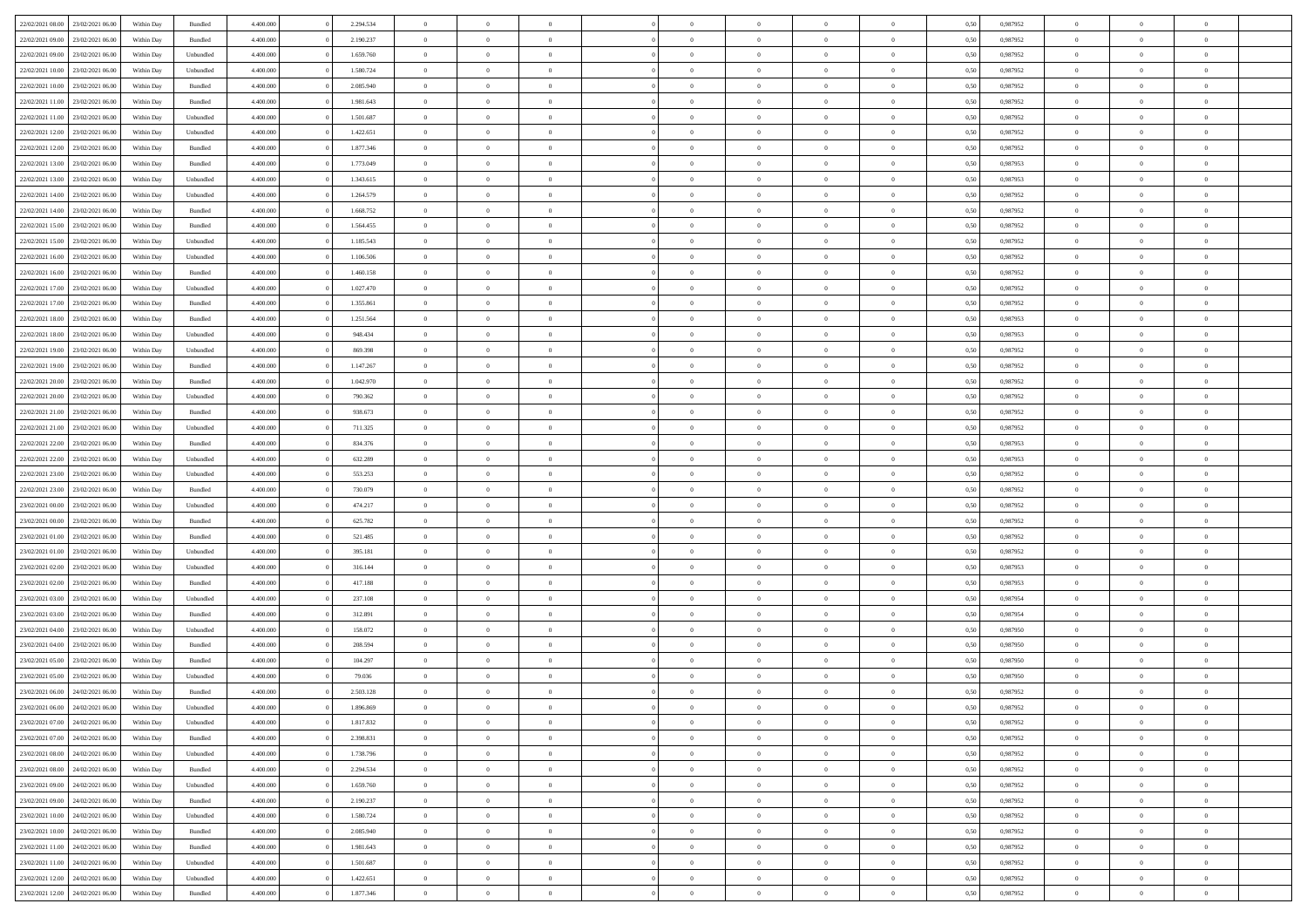| 22/02/2021 08:00 23/02/2021 06:00    | Within Day | Bundled   | 4.400.000 | 2.294.534 | $\overline{0}$ | $\overline{0}$ | $\Omega$       | $\Omega$       | $\theta$       | $\Omega$       | $\overline{0}$ | 0,50 | 0,987952 | $\theta$                   | $\theta$                   | $\theta$                   |  |
|--------------------------------------|------------|-----------|-----------|-----------|----------------|----------------|----------------|----------------|----------------|----------------|----------------|------|----------|----------------------------|----------------------------|----------------------------|--|
| 22/02/2021 09:00<br>23/02/2021 06:00 | Within Day | Bundled   | 4.400.000 | 2.190.237 | $\overline{0}$ | $\overline{0}$ | $\overline{0}$ | $\overline{0}$ | $\theta$       | $\overline{0}$ | $\bf{0}$       | 0,50 | 0,987952 | $\theta$                   | $\theta$                   | $\overline{0}$             |  |
| 22/02/2021 09:00<br>23/02/2021 06:00 | Within Day | Unbundled | 4.400.000 | 1.659.760 | $\overline{0}$ | $\bf{0}$       | $\overline{0}$ | $\overline{0}$ | $\overline{0}$ | $\overline{0}$ | $\bf{0}$       | 0,50 | 0,987952 | $\bf{0}$                   | $\overline{0}$             | $\overline{0}$             |  |
| 22/02/2021 10:00<br>23/02/2021 06:00 | Within Day | Unbundled | 4.400.000 | 1.580.724 | $\overline{0}$ | $\overline{0}$ | $\overline{0}$ | $\overline{0}$ | $\theta$       | $\overline{0}$ | $\overline{0}$ | 0.50 | 0,987952 | $\theta$                   | $\theta$                   | $\overline{0}$             |  |
| 22/02/2021 10:00<br>23/02/2021 06:00 | Within Day | Bundled   | 4.400.000 | 2.085.940 | $\overline{0}$ | $\overline{0}$ | $\overline{0}$ | $\overline{0}$ | $\theta$       | $\overline{0}$ | $\bf{0}$       | 0,50 | 0,987952 | $\theta$                   | $\theta$                   | $\overline{0}$             |  |
| 22/02/2021 11:00<br>23/02/2021 06:00 | Within Day | Bundled   | 4.400.000 | 1.981.643 | $\overline{0}$ | $\bf{0}$       | $\overline{0}$ | $\overline{0}$ | $\overline{0}$ | $\overline{0}$ | $\bf{0}$       | 0,50 | 0,987952 | $\overline{0}$             | $\overline{0}$             | $\bf{0}$                   |  |
| 23/02/2021 06:00                     |            | Unbundled | 4.400.000 | 1.501.687 | $\overline{0}$ | $\overline{0}$ | $\overline{0}$ | $\overline{0}$ | $\overline{0}$ | $\overline{0}$ | $\overline{0}$ | 0.5( | 0,987952 | $\theta$                   | $\theta$                   | $\overline{0}$             |  |
| 22/02/2021 11:00                     | Within Day |           |           |           |                |                |                |                |                |                |                |      |          |                            |                            |                            |  |
| 22/02/2021 12:00<br>23/02/2021 06:00 | Within Day | Unbundled | 4.400.000 | 1.422.651 | $\overline{0}$ | $\overline{0}$ | $\overline{0}$ | $\overline{0}$ | $\theta$       | $\overline{0}$ | $\bf{0}$       | 0,50 | 0,987952 | $\theta$                   | $\theta$                   | $\overline{0}$             |  |
| 22/02/2021 12:00<br>23/02/2021 06:00 | Within Day | Bundled   | 4.400.000 | 1.877.346 | $\overline{0}$ | $\bf{0}$       | $\overline{0}$ | $\overline{0}$ | $\overline{0}$ | $\overline{0}$ | $\bf{0}$       | 0,50 | 0,987952 | $\bf{0}$                   | $\bf{0}$                   | $\overline{0}$             |  |
| 22/02/2021 13:00<br>23/02/2021 06:00 | Within Day | Bundled   | 4.400.000 | 1.773.049 | $\overline{0}$ | $\overline{0}$ | $\overline{0}$ | $\overline{0}$ | $\overline{0}$ | $\overline{0}$ | $\bf{0}$       | 0.5( | 0,987953 | $\theta$                   | $\theta$                   | $\overline{0}$             |  |
| 22/02/2021 13:00<br>23/02/2021 06:00 | Within Day | Unbundled | 4.400.000 | 1.343.615 | $\bf{0}$       | $\overline{0}$ | $\overline{0}$ | $\overline{0}$ | $\theta$       | $\overline{0}$ | $\bf{0}$       | 0,50 | 0,987953 | $\theta$                   | $\theta$                   | $\overline{0}$             |  |
| 22/02/2021 14:00<br>23/02/2021 06:00 | Within Day | Unbundled | 4.400.000 | 1.264.579 | $\overline{0}$ | $\bf{0}$       | $\overline{0}$ | $\overline{0}$ | $\bf{0}$       | $\overline{0}$ | $\bf{0}$       | 0,50 | 0,987952 | $\bf{0}$                   | $\overline{0}$             | $\overline{0}$             |  |
| 22/02/2021 14:00<br>23/02/2021 06:00 | Within Day | Bundled   | 4.400.000 | 1.668.752 | $\overline{0}$ | $\overline{0}$ | $\overline{0}$ | $\overline{0}$ | $\overline{0}$ | $\overline{0}$ | $\overline{0}$ | 0.5( | 0,987952 | $\theta$                   | $\theta$                   | $\overline{0}$             |  |
| 22/02/2021 15:00<br>23/02/2021 06:00 | Within Day | Bundled   | 4.400.000 | 1.564.455 | $\overline{0}$ | $\overline{0}$ | $\overline{0}$ | $\overline{0}$ | $\theta$       | $\overline{0}$ | $\,$ 0 $\,$    | 0,50 | 0,987952 | $\theta$                   | $\theta$                   | $\overline{0}$             |  |
| 22/02/2021 15:00<br>23/02/2021 06:00 | Within Day | Unbundled | 4.400.000 | 1.185.543 | $\overline{0}$ | $\bf{0}$       | $\overline{0}$ | $\overline{0}$ | $\overline{0}$ | $\overline{0}$ | $\bf{0}$       | 0,50 | 0,987952 | $\overline{0}$             | $\overline{0}$             | $\bf{0}$                   |  |
| 22/02/2021 16:00<br>23/02/2021 06:00 | Within Day | Unbundled | 4.400.000 | 1.106.506 | $\overline{0}$ | $\overline{0}$ | $\overline{0}$ | $\overline{0}$ | $\overline{0}$ | $\overline{0}$ | $\overline{0}$ | 0.5( | 0,987952 | $\theta$                   | $\theta$                   | $\overline{0}$             |  |
| 22/02/2021 16:00<br>23/02/2021 06:00 | Within Day | Bundled   | 4.400.000 | 1.460.158 | $\overline{0}$ | $\overline{0}$ | $\overline{0}$ | $\overline{0}$ | $\theta$       | $\overline{0}$ | $\bf{0}$       | 0,50 | 0,987952 | $\theta$                   | $\theta$                   | $\overline{0}$             |  |
| 22/02/2021 17:00<br>23/02/2021 06:00 | Within Day | Unbundled | 4.400.000 | 1.027.470 | $\overline{0}$ | $\bf{0}$       | $\overline{0}$ | $\overline{0}$ | $\overline{0}$ | $\overline{0}$ | $\bf{0}$       | 0,50 | 0,987952 | $\bf{0}$                   | $\overline{0}$             | $\overline{0}$             |  |
| 22/02/2021 17:00<br>23/02/2021 06:00 | Within Day | Bundled   | 4.400.000 | 1.355.861 | $\overline{0}$ | $\overline{0}$ | $\overline{0}$ | $\overline{0}$ | $\overline{0}$ | $\overline{0}$ | $\overline{0}$ | 0.5( | 0,987952 | $\theta$                   | $\theta$                   | $\overline{0}$             |  |
| 22/02/2021 18:00<br>23/02/2021 06:00 | Within Day | Bundled   | 4.400.000 | 1.251.564 | $\bf{0}$       | $\overline{0}$ | $\overline{0}$ | $\overline{0}$ | $\theta$       | $\overline{0}$ | $\bf{0}$       | 0,50 | 0,987953 | $\theta$                   | $\theta$                   | $\overline{0}$             |  |
| 22/02/2021 18:00<br>23/02/2021 06:00 | Within Day | Unbundled | 4.400.000 | 948.434   | $\overline{0}$ | $\bf{0}$       | $\overline{0}$ | $\overline{0}$ | $\overline{0}$ | $\overline{0}$ | $\bf{0}$       | 0,50 | 0,987953 | $\bf{0}$                   | $\overline{0}$             | $\overline{0}$             |  |
| 22/02/2021 19:00<br>23/02/2021 06:00 | Within Day | Unbundled | 4.400.000 | 869.398   | $\overline{0}$ | $\overline{0}$ | $\overline{0}$ | $\overline{0}$ | $\overline{0}$ | $\overline{0}$ | $\overline{0}$ | 0.5( | 0.987952 | $\theta$                   | $\theta$                   | $\overline{0}$             |  |
| 22/02/2021 19:00<br>23/02/2021 06:00 | Within Day | Bundled   | 4.400.000 | 1.147.267 | $\bf{0}$       | $\theta$       | $\overline{0}$ | $\overline{0}$ | $\theta$       | $\overline{0}$ | $\bf{0}$       | 0,50 | 0,987952 | $\theta$                   | $\theta$                   | $\overline{0}$             |  |
|                                      |            |           |           |           |                |                |                |                |                |                |                |      |          |                            |                            |                            |  |
| 22/02/2021 20:00<br>23/02/2021 06:00 | Within Day | Bundled   | 4.400.000 | 1.042.970 | $\overline{0}$ | $\bf{0}$       | $\overline{0}$ | $\overline{0}$ | $\overline{0}$ | $\overline{0}$ | $\bf{0}$       | 0,50 | 0,987952 | $\bf{0}$<br>$\overline{0}$ | $\overline{0}$<br>$\theta$ | $\bf{0}$<br>$\overline{0}$ |  |
| 22/02/2021 20:00<br>23/02/2021 06:00 | Within Day | Unbundled | 4.400.000 | 790.362   | $\overline{0}$ | $\overline{0}$ | $\overline{0}$ | $\overline{0}$ | $\overline{0}$ | $\overline{0}$ | $\overline{0}$ | 0.5( | 0,987952 |                            |                            |                            |  |
| 22/02/2021 21:00<br>23/02/2021 06:00 | Within Day | Bundled   | 4.400.000 | 938.673   | $\overline{0}$ | $\overline{0}$ | $\overline{0}$ | $\overline{0}$ | $\theta$       | $\overline{0}$ | $\bf{0}$       | 0,50 | 0,987952 | $\theta$                   | $\theta$                   | $\overline{0}$             |  |
| 22/02/2021 21:00<br>23/02/2021 06:00 | Within Day | Unbundled | 4.400.000 | 711.325   | $\overline{0}$ | $\bf{0}$       | $\overline{0}$ | $\overline{0}$ | $\overline{0}$ | $\overline{0}$ | $\bf{0}$       | 0,50 | 0,987952 | $\bf{0}$                   | $\bf{0}$                   | $\overline{0}$             |  |
| 22/02/2021 22:00<br>23/02/2021 06:00 | Within Day | Bundled   | 4.400.000 | 834.376   | $\overline{0}$ | $\overline{0}$ | $\overline{0}$ | $\overline{0}$ | $\overline{0}$ | $\overline{0}$ | $\overline{0}$ | 0.5( | 0,987953 | $\theta$                   | $\theta$                   | $\overline{0}$             |  |
| 22/02/2021 22:00<br>23/02/2021 06:00 | Within Day | Unbundled | 4.400.000 | 632.289   | $\bf{0}$       | $\overline{0}$ | $\overline{0}$ | $\overline{0}$ | $\theta$       | $\overline{0}$ | $\bf{0}$       | 0,50 | 0,987953 | $\theta$                   | $\theta$                   | $\overline{0}$             |  |
| 22/02/2021 23:00<br>23/02/2021 06:00 | Within Day | Unbundled | 4.400.000 | 553.253   | $\overline{0}$ | $\bf{0}$       | $\overline{0}$ | $\overline{0}$ | $\bf{0}$       | $\overline{0}$ | $\bf{0}$       | 0,50 | 0,987952 | $\bf{0}$                   | $\overline{0}$             | $\overline{0}$             |  |
| 22/02/2021 23:00<br>23/02/2021 06:00 | Within Day | Bundled   | 4,400,000 | 730.079   | $\overline{0}$ | $\overline{0}$ | $\Omega$       | $\Omega$       | $\Omega$       | $\Omega$       | $\overline{0}$ | 0,50 | 0,987952 | $\,$ 0 $\,$                | $\Omega$                   | $\theta$                   |  |
| 23/02/2021 00:00<br>23/02/2021 06:00 | Within Day | Unbundled | 4.400.000 | 474.217   | $\overline{0}$ | $\overline{0}$ | $\overline{0}$ | $\overline{0}$ | $\theta$       | $\overline{0}$ | $\bf{0}$       | 0,50 | 0,987952 | $\theta$                   | $\theta$                   | $\overline{0}$             |  |
| 23/02/2021 00:00<br>23/02/2021 06:00 | Within Day | Bundled   | 4.400.000 | 625.782   | $\overline{0}$ | $\bf{0}$       | $\overline{0}$ | $\overline{0}$ | $\overline{0}$ | $\overline{0}$ | $\bf{0}$       | 0,50 | 0,987952 | $\bf{0}$                   | $\overline{0}$             | $\bf{0}$                   |  |
| 23/02/2021 01:00<br>23/02/2021 06:00 | Within Day | Bundled   | 4,400,000 | 521.485   | $\overline{0}$ | $\overline{0}$ | $\Omega$       | $\Omega$       | $\overline{0}$ | $\Omega$       | $\overline{0}$ | 0.50 | 0,987952 | $\bf{0}$                   | $\theta$                   | $\theta$                   |  |
| 23/02/2021 01:00<br>23/02/2021 06:00 | Within Day | Unbundled | 4.400.000 | 395.181   | $\bf{0}$       | $\overline{0}$ | $\overline{0}$ | $\overline{0}$ | $\theta$       | $\overline{0}$ | $\bf{0}$       | 0,50 | 0,987952 | $\theta$                   | $\theta$                   | $\overline{0}$             |  |
| 23/02/2021 02:00<br>23/02/2021 06:00 | Within Day | Unbundled | 4.400.000 | 316.144   | $\overline{0}$ | $\bf{0}$       | $\overline{0}$ | $\overline{0}$ | $\overline{0}$ | $\overline{0}$ | $\bf{0}$       | 0,50 | 0,987953 | $\bf{0}$                   | $\overline{0}$             | $\overline{0}$             |  |
| 23/02/2021 02:00<br>23/02/2021 06:00 | Within Day | Bundled   | 4,400,000 | 417.188   | $\overline{0}$ | $\overline{0}$ | $\Omega$       | $\Omega$       | $\Omega$       | $\Omega$       | $\overline{0}$ | 0.50 | 0.987953 | $\theta$                   | $\Omega$                   | $\theta$                   |  |
| 23/02/2021 03:00<br>23/02/2021 06:00 | Within Day | Unbundled | 4.400.000 | 237.108   | $\bf{0}$       | $\overline{0}$ | $\overline{0}$ | $\overline{0}$ | $\theta$       | $\overline{0}$ | $\bf{0}$       | 0,50 | 0,987954 | $\theta$                   | $\theta$                   | $\overline{0}$             |  |
| 23/02/2021 03:00<br>23/02/2021 06:00 | Within Day | Bundled   | 4.400.000 | 312.891   | $\overline{0}$ | $\bf{0}$       | $\overline{0}$ | $\overline{0}$ | $\overline{0}$ | $\overline{0}$ | $\bf{0}$       | 0,50 | 0,987954 | $\bf{0}$                   | $\overline{0}$             | $\overline{0}$             |  |
| 23/02/2021 04:00<br>23/02/2021 06:00 | Within Day | Unbundled | 4,400,000 | 158.072   | $\overline{0}$ | $\overline{0}$ | $\Omega$       | $\Omega$       | $\theta$       | $\Omega$       | $\overline{0}$ | 0.50 | 0,987950 | $\bf{0}$                   | $\overline{0}$             | $\theta$                   |  |
| 23/02/2021 04:00<br>23/02/2021 06:00 | Within Day | Bundled   | 4.400.000 | 208.594   | $\bf{0}$       | $\overline{0}$ | $\overline{0}$ | $\overline{0}$ | $\theta$       | $\overline{0}$ | $\bf{0}$       | 0,50 | 0,987950 | $\theta$                   | $\theta$                   | $\overline{0}$             |  |
| 23/02/2021 05:00<br>23/02/2021 06:00 | Within Day | Bundled   | 4.400.000 | 104.297   | $\overline{0}$ | $\bf{0}$       | $\overline{0}$ | $\overline{0}$ | $\overline{0}$ | $\overline{0}$ | $\bf{0}$       | 0,50 | 0,987950 | $\overline{0}$             | $\overline{0}$             | $\bf{0}$                   |  |
| 23/02/2021 05:00<br>23/02/2021 06:00 | Within Day | Unbundled | 4,400,000 | 79.036    | $\overline{0}$ | $\Omega$       | $\Omega$       | $\Omega$       | $\Omega$       | $\theta$       | $\overline{0}$ | 0.50 | 0.987950 | $\theta$                   | $\overline{0}$             | $\theta$                   |  |
| 23/02/2021 06:00<br>24/02/2021 06:00 | Within Day | Bundled   | 4.400.000 | 2.503.128 | $\bf{0}$       | $\bf{0}$       | $\overline{0}$ | $\overline{0}$ | $\bf{0}$       | $\bf{0}$       | $\bf{0}$       | 0,50 | 0,987952 | $\bf{0}$                   | $\,$ 0 $\,$                | $\overline{0}$             |  |
| 23/02/2021 06:00 24/02/2021 06:00    | Within Day | Unbundled | 4.400.000 | 1.896.869 | $\bf{0}$       |                |                |                |                |                |                | 0,50 | 0,987952 | $\bf{0}$                   | $\bf{0}$                   |                            |  |
| 23/02/2021 07:00 24/02/2021 06:00    | Within Day | Unbundled | 4.400.000 | 1.817.832 | $\Omega$       | $\overline{0}$ | $\Omega$       | $\theta$       | $\Omega$       | $\theta$       | $\overline{0}$ | 0.50 | 0.987952 | $\theta$                   | $\theta$                   | $\Omega$                   |  |
| 23/02/2021 07:00<br>24/02/2021 06:00 | Within Day | Bundled   | 4.400.000 | 2.398.831 | $\overline{0}$ | $\overline{0}$ | $\overline{0}$ | $\overline{0}$ | $\overline{0}$ | $\overline{0}$ | $\,$ 0 $\,$    | 0,50 | 0,987952 | $\,$ 0 $\,$                | $\,$ 0 $\,$                | $\,$ 0                     |  |
| 24/02/2021 06:00<br>23/02/2021 08:00 | Within Day | Unbundled | 4.400.000 | 1.738.796 | $\overline{0}$ | $\overline{0}$ | $\overline{0}$ | $\overline{0}$ | $\overline{0}$ | $\overline{0}$ | $\bf{0}$       | 0,50 | 0,987952 | $\overline{0}$             | $\bf{0}$                   | $\overline{0}$             |  |
| 23/02/2021 08:00<br>24/02/2021 06:00 | Within Day | Bundled   | 4.400.000 | 2.294.534 | $\overline{0}$ | $\bf{0}$       | $\overline{0}$ | $\overline{0}$ | $\overline{0}$ | $\overline{0}$ | $\bf{0}$       | 0,50 | 0,987952 | $\bf{0}$                   | $\theta$                   | $\overline{0}$             |  |
| 23/02/2021 09:00<br>24/02/2021 06:00 | Within Day | Unbundled | 4.400.000 | 1.659.760 | $\overline{0}$ | $\overline{0}$ | $\overline{0}$ | $\overline{0}$ | $\overline{0}$ | $\overline{0}$ | $\bf{0}$       | 0,50 | 0,987952 | $\,$ 0 $\,$                | $\,$ 0 $\,$                | $\overline{0}$             |  |
| 24/02/2021 06:00<br>23/02/2021 09:00 | Within Day | Bundled   | 4.400.000 | 2.190.237 | $\overline{0}$ | $\overline{0}$ | $\overline{0}$ | $\overline{0}$ | $\mathbf{0}$   | $\overline{0}$ | $\bf{0}$       | 0,50 | 0,987952 | $\overline{0}$             | $\overline{0}$             | $\overline{0}$             |  |
| 23/02/2021 10:00<br>24/02/2021 06:00 | Within Day | Unbundled | 4.400.000 | 1.580.724 | $\overline{0}$ | $\bf{0}$       | $\overline{0}$ | $\overline{0}$ | $\overline{0}$ | $\overline{0}$ | $\bf{0}$       | 0.50 | 0,987952 | $\overline{0}$             | $\theta$                   | $\overline{0}$             |  |
| 23/02/2021 10:00<br>24/02/2021 06:00 | Within Day | Bundled   | 4.400.000 | 2.085.940 | $\overline{0}$ | $\,$ 0         | $\overline{0}$ | $\overline{0}$ | $\overline{0}$ | $\overline{0}$ | $\bf{0}$       | 0,50 | 0,987952 | $\,$ 0 $\,$                | $\bf{0}$                   | $\overline{0}$             |  |
| 23/02/2021 11:00 24/02/2021 06:00    | Within Day | Bundled   | 4.400.000 | 1.981.643 | $\overline{0}$ | $\bf{0}$       | $\overline{0}$ | $\overline{0}$ | $\overline{0}$ | $\overline{0}$ | $\bf{0}$       | 0,50 | 0,987952 | $\overline{0}$             | $\overline{0}$             | $\bf{0}$                   |  |
| 24/02/2021 06:00<br>23/02/2021 11:00 | Within Day | Unbundled | 4.400.000 | 1.501.687 | $\overline{0}$ | $\overline{0}$ | $\overline{0}$ | $\overline{0}$ | $\overline{0}$ | $\overline{0}$ | $\bf{0}$       | 0.50 | 0,987952 | $\overline{0}$             | $\overline{0}$             | $\overline{0}$             |  |
| 23/02/2021 12:00<br>24/02/2021 06:00 | Within Day | Unbundled | 4.400.000 | 1.422.651 | $\overline{0}$ | $\,$ 0         | $\overline{0}$ | $\overline{0}$ | $\overline{0}$ | $\bf{0}$       | $\bf{0}$       | 0,50 | 0,987952 | $\,$ 0 $\,$                | $\,$ 0 $\,$                | $\overline{0}$             |  |
| 23/02/2021 12:00 24/02/2021 06:00    | Within Day | Bundled   | 4.400.000 | 1.877.346 | $\overline{0}$ | $\bf{0}$       | $\overline{0}$ | $\overline{0}$ | $\overline{0}$ | $\overline{0}$ | $\bf{0}$       | 0,50 | 0,987952 | $\overline{0}$             | $\bf{0}$                   | $\overline{0}$             |  |
|                                      |            |           |           |           |                |                |                |                |                |                |                |      |          |                            |                            |                            |  |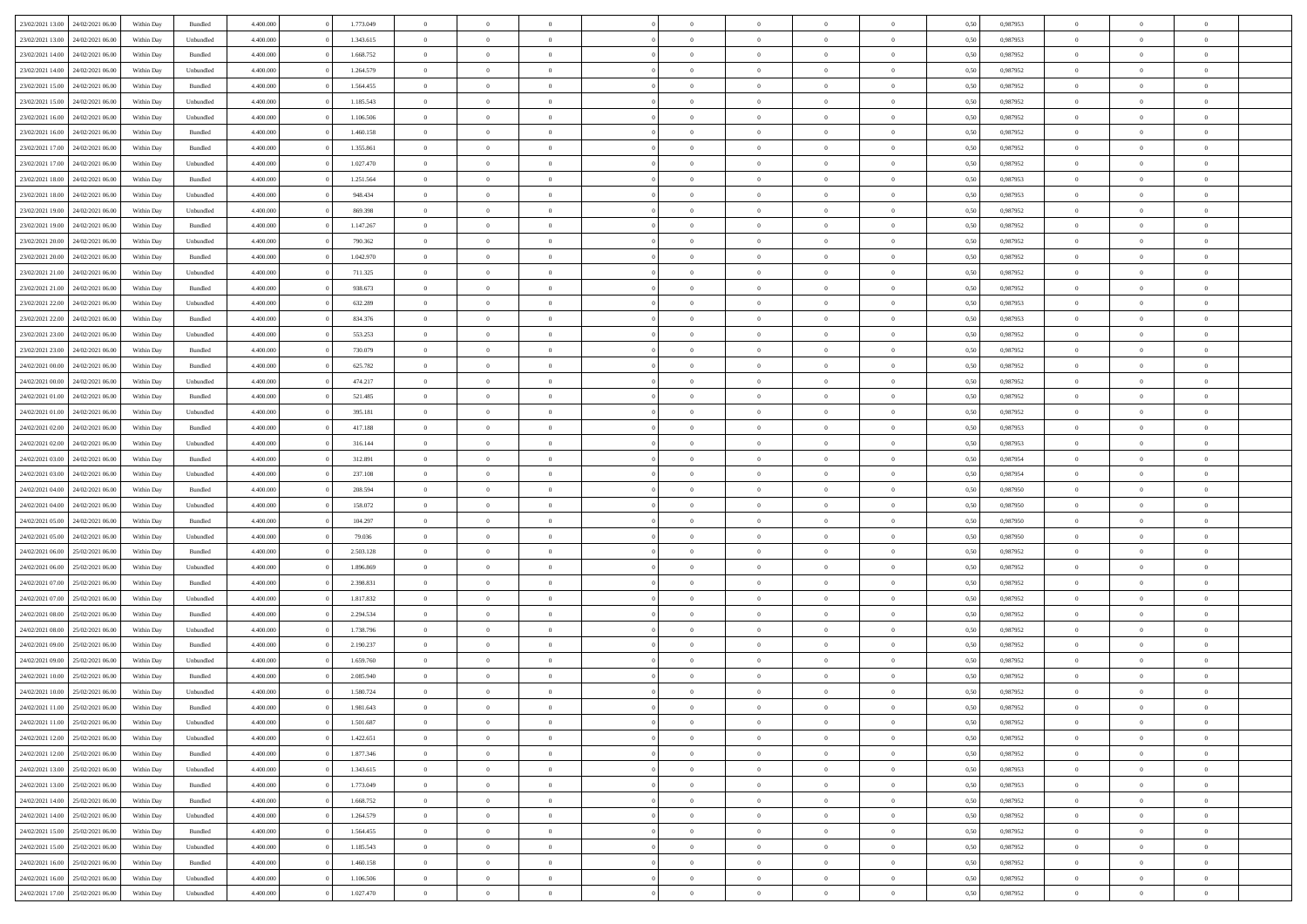| 23/02/2021 13:00 24/02/2021 06:00 |                  | Within Day | Bundled            | 4.400.000 | 1.773.049 | $\overline{0}$ | $\theta$       |                | $\overline{0}$ | $\bf{0}$       | $\overline{0}$ | $\theta$       | 0,50 | 0,987953 | $\theta$       | $\theta$       | $\sqrt{a}$               |  |
|-----------------------------------|------------------|------------|--------------------|-----------|-----------|----------------|----------------|----------------|----------------|----------------|----------------|----------------|------|----------|----------------|----------------|--------------------------|--|
|                                   |                  |            |                    |           |           | $\overline{0}$ | $\overline{0}$ |                |                |                |                |                |      |          |                |                | $\overline{0}$           |  |
| 23/02/2021 13:00                  | 24/02/2021 06.00 | Within Day | Unbundled          | 4.400.000 | 1.343.615 |                |                | $\overline{0}$ | $\overline{0}$ | $\,$ 0         | $\bf{0}$       | $\bf{0}$       | 0,50 | 0,987953 | $\,$ 0 $\,$    | $\overline{0}$ |                          |  |
| 23/02/2021 14:00                  | 24/02/2021 06:00 | Within Day | Bundled            | 4.400,000 | 1.668.752 | $\overline{0}$ | $\overline{0}$ | $\overline{0}$ | $\overline{0}$ | $\bf{0}$       | $\overline{0}$ | $\mathbf{0}$   | 0.50 | 0.987952 | $\bf{0}$       | $\overline{0}$ | $\overline{0}$           |  |
| 23/02/2021 14:00                  | 24/02/2021 06.00 | Within Day | Unbundled          | 4.400.000 | 1.264.579 | $\overline{0}$ | $\overline{0}$ | $\overline{0}$ | $\overline{0}$ | $\,$ 0         | $\overline{0}$ | $\overline{0}$ | 0,50 | 0,987952 | $\,$ 0 $\,$    | $\overline{0}$ | $\overline{0}$           |  |
| 23/02/2021 15:00                  | 24/02/2021 06.00 | Within Day | Bundled            | 4.400.000 | 1.564.455 | $\overline{0}$ | $\theta$       | $\overline{0}$ |                | $\overline{0}$ | $\overline{0}$ | $\bf{0}$       | 0,50 | 0,987952 | $\,$ 0 $\,$    | $\overline{0}$ | $\overline{0}$           |  |
| 23/02/2021 15:00                  | 24/02/2021 06:00 | Within Day | Unbundled          | 4.400,000 | 1.185.543 | $\overline{0}$ | $\overline{0}$ | $\overline{0}$ | $\overline{0}$ | $\bf{0}$       | $\overline{0}$ | $\bf{0}$       | 0.50 | 0.987952 | $\,0\,$        | $\theta$       | $\overline{0}$           |  |
| 23/02/2021 16:00                  | 24/02/2021 06.00 | Within Day | Unbundled          | 4.400.000 | 1.106.506 | $\overline{0}$ | $\overline{0}$ | $\overline{0}$ | $\overline{0}$ | $\bf{0}$       | $\overline{0}$ | $\overline{0}$ | 0,50 | 0,987952 | $\,$ 0 $\,$    | $\theta$       | $\overline{0}$           |  |
| 23/02/2021 16:00                  | 24/02/2021 06.00 | Within Day | Bundled            | 4.400.000 | 1.460.158 | $\overline{0}$ | $\theta$       | $\overline{0}$ | $\overline{0}$ | $\,$ 0         | $\overline{0}$ | $\bf{0}$       | 0,50 | 0,987952 | $\,$ 0 $\,$    | $\overline{0}$ | $\overline{0}$           |  |
| 23/02/2021 17:00                  | 24/02/2021 06:00 | Within Day | Bundled            | 4.400,000 | 1.355.861 | $\overline{0}$ | $\overline{0}$ | $\overline{0}$ | $\overline{0}$ | $\bf{0}$       | $\overline{0}$ | $\bf{0}$       | 0.50 | 0.987952 | $\,0\,$        | $\overline{0}$ | $\overline{0}$           |  |
| 23/02/2021 17:00                  | 24/02/2021 06:00 | Within Day | Unbundled          | 4.400.000 | 1.027.470 | $\overline{0}$ | $\overline{0}$ | $\overline{0}$ | $\overline{0}$ | $\,$ 0         | $\overline{0}$ | $\bf{0}$       | 0,50 | 0,987952 | $\,$ 0 $\,$    | $\overline{0}$ | $\overline{0}$           |  |
|                                   |                  |            |                    |           |           |                |                |                |                |                |                |                |      |          |                |                |                          |  |
| 23/02/2021 18:00                  | 24/02/2021 06.00 | Within Day | Bundled            | 4.400.000 | 1.251.564 | $\overline{0}$ | $\theta$       | $\overline{0}$ | $\overline{0}$ | $\,$ 0         | $\overline{0}$ | $\bf{0}$       | 0,50 | 0,987953 | $\,$ 0 $\,$    | $\overline{0}$ | $\overline{0}$           |  |
| 23/02/2021 18:00                  | 24/02/2021 06:00 | Within Day | Unbundled          | 4.400,000 | 948.434   | $\overline{0}$ | $\overline{0}$ | $\overline{0}$ | $\overline{0}$ | $\bf{0}$       | $\overline{0}$ | $\mathbf{0}$   | 0.50 | 0.987953 | $\bf{0}$       | $\overline{0}$ | $\overline{\phantom{a}}$ |  |
| 23/02/2021 19:00                  | 24/02/2021 06.00 | Within Day | Unbundled          | 4.400.000 | 869.398   | $\overline{0}$ | $\overline{0}$ | $\overline{0}$ | $\overline{0}$ | $\,$ 0         | $\overline{0}$ | $\overline{0}$ | 0,50 | 0,987952 | $\,$ 0 $\,$    | $\theta$       | $\overline{0}$           |  |
| 23/02/2021 19:00                  | 24/02/2021 06.00 | Within Day | Bundled            | 4.400.000 | 1.147.267 | $\overline{0}$ | $\theta$       | $\overline{0}$ | $\overline{0}$ | $\overline{0}$ | $\overline{0}$ | $\bf{0}$       | 0,50 | 0,987952 | $\,$ 0 $\,$    | $\overline{0}$ | $\overline{0}$           |  |
| 23/02/2021 20:00                  | 24/02/2021 06:00 | Within Day | Unbundled          | 4.400,000 | 790,362   | $\overline{0}$ | $\overline{0}$ | $\overline{0}$ | $\overline{0}$ | $\,$ 0         | $\overline{0}$ | $\bf{0}$       | 0.50 | 0.987952 | $\,0\,$        | $\theta$       | $\overline{0}$           |  |
| 23/02/2021 20:00                  | 24/02/2021 06:00 | Within Day | Bundled            | 4.400.000 | 1.042.970 | $\overline{0}$ | $\overline{0}$ | $\overline{0}$ | $\overline{0}$ | $\,$ 0         | $\overline{0}$ | $\bf{0}$       | 0,50 | 0,987952 | $\,$ 0 $\,$    | $\theta$       | $\overline{0}$           |  |
| 23/02/2021 21:00                  | 24/02/2021 06.00 | Within Day | Unbundled          | 4.400.000 | 711.325   | $\overline{0}$ | $\theta$       | $\overline{0}$ |                | $\bf{0}$       | $\overline{0}$ | $\bf{0}$       | 0,50 | 0,987952 | $\,$ 0 $\,$    | $\overline{0}$ | $\overline{0}$           |  |
| 23/02/2021 21:00                  | 24/02/2021 06:00 | Within Day | Bundled            | 4.400,000 | 938.673   | $\overline{0}$ | $\overline{0}$ | $\overline{0}$ | $\overline{0}$ | $\bf{0}$       | $\overline{0}$ | $\bf{0}$       | 0.50 | 0.987952 | $\,0\,$        | $\overline{0}$ | $\overline{0}$           |  |
| 23/02/2021 22:00                  | 24/02/2021 06.00 | Within Day | Unbundled          | 4.400.000 | 632.289   | $\overline{0}$ | $\overline{0}$ | $\overline{0}$ | $\overline{0}$ | $\bf{0}$       | $\overline{0}$ | $\bf{0}$       | 0,50 | 0,987953 | $\,$ 0 $\,$    | $\overline{0}$ | $\overline{0}$           |  |
|                                   |                  |            |                    |           |           |                | $\theta$       | $\overline{0}$ | $\overline{0}$ | $\,$ 0         |                |                |      |          | $\,$ 0 $\,$    | $\overline{0}$ | $\overline{0}$           |  |
| 23/02/2021 22:00                  | 24/02/2021 06.00 | Within Day | Bundled            | 4.400.000 | 834.376   | $\overline{0}$ |                |                |                |                | $\bf{0}$       | $\bf{0}$       | 0,50 | 0,987953 |                |                |                          |  |
| 23/02/2021 23:00                  | 24/02/2021 06:00 | Within Day | Unbundled          | 4.400,000 | 553.253   | $\overline{0}$ | $\overline{0}$ | $\overline{0}$ | $\overline{0}$ | $\bf{0}$       | $\overline{0}$ | $\mathbf{0}$   | 0.50 | 0.987952 | $\bf{0}$       | $\overline{0}$ | $\overline{\phantom{a}}$ |  |
| 23/02/2021 23:00                  | 24/02/2021 06.00 | Within Day | Bundled            | 4.400.000 | 730.079   | $\overline{0}$ | $\overline{0}$ | $\overline{0}$ | $\overline{0}$ | $\bf{0}$       | $\overline{0}$ | $\overline{0}$ | 0,50 | 0,987952 | $\,$ 0 $\,$    | $\overline{0}$ | $\overline{0}$           |  |
| 24/02/2021 00:00                  | 24/02/2021 06.00 | Within Day | Bundled            | 4.400.000 | 625.782   | $\overline{0}$ | $\theta$       | $\overline{0}$ | $\overline{0}$ | $\,$ 0         | $\overline{0}$ | $\bf{0}$       | 0,50 | 0,987952 | $\,$ 0 $\,$    | $\overline{0}$ | $\overline{0}$           |  |
| 24/02/2021 00:00                  | 24/02/2021 06:00 | Within Day | Unbundled          | 4.400,000 | 474.217   | $\overline{0}$ | $\overline{0}$ | $\overline{0}$ | $\overline{0}$ | $\bf{0}$       | $\overline{0}$ | $\bf{0}$       | 0.50 | 0.987952 | $\,0\,$        | $\theta$       | $\overline{0}$           |  |
| 24/02/2021 01:00                  | 24/02/2021 06:00 | Within Day | Bundled            | 4.400.000 | 521.485   | $\overline{0}$ | $\overline{0}$ | $\overline{0}$ | $\overline{0}$ | $\,$ 0         | $\overline{0}$ | $\overline{0}$ | 0,50 | 0,987952 | $\,0\,$        | $\theta$       | $\overline{0}$           |  |
| 24/02/2021 01:00                  | 24/02/2021 06.00 | Within Day | Unbundled          | 4.400.000 | 395.181   | $\overline{0}$ | $\theta$       | $\overline{0}$ |                | $\bf{0}$       | $\overline{0}$ | $\bf{0}$       | 0,50 | 0,987952 | $\,$ 0 $\,$    | $\overline{0}$ | $\overline{0}$           |  |
| 24/02/2021 02:00                  | 24/02/2021 06:00 | Within Day | Bundled            | 4.400,000 | 417.188   | $\overline{0}$ | $\overline{0}$ | $\overline{0}$ | $\overline{0}$ | $\bf{0}$       | $\overline{0}$ | $\bf{0}$       | 0.50 | 0.987953 | $\,0\,$        | $\overline{0}$ | $\overline{0}$           |  |
| 24/02/2021 02:00                  | 24/02/2021 06:00 | Within Day | Unbundled          | 4.400.000 | 316.144   | $\overline{0}$ | $\overline{0}$ | $\overline{0}$ | $\overline{0}$ | $\bf{0}$       | $\overline{0}$ | $\bf{0}$       | 0,50 | 0,987953 | $\,$ 0 $\,$    | $\overline{0}$ | $\overline{0}$           |  |
| 24/02/2021 03:00                  | 24/02/2021 06.00 | Within Day | Bundled            | 4.400.000 | 312.891   | $\bf{0}$       | $\overline{0}$ | $\overline{0}$ | $\overline{0}$ | $\bf{0}$       | $\overline{0}$ | $\bf{0}$       | 0,50 | 0,987954 | $\,$ 0 $\,$    | $\overline{0}$ | $\overline{0}$           |  |
| 24/02/2021 03:00                  | 24/02/2021 06:00 | Within Day | Unbundled          | 4.400,000 | 237.108   | $\overline{0}$ | $\overline{0}$ | $\overline{0}$ | $\overline{0}$ | $\bf{0}$       | $\overline{0}$ | $\mathbf{0}$   | 0.50 | 0.987954 | $\bf{0}$       | $\overline{0}$ | $\overline{\phantom{a}}$ |  |
|                                   |                  |            |                    |           |           |                |                |                |                |                |                |                |      |          |                |                |                          |  |
| 24/02/2021 04:00                  | 24/02/2021 06:00 | Within Dav | Bundled            | 4.400.000 | 208.594   | $\overline{0}$ | $\overline{0}$ | $\overline{0}$ | $\overline{0}$ | $\mathbf{0}$   | $\overline{0}$ | $\overline{0}$ | 0.50 | 0,987950 | $\theta$       | $\overline{0}$ | $\overline{0}$           |  |
| 24/02/2021 04:00                  | 24/02/2021 06.00 | Within Day | Unbundled          | 4.400.000 | 158.072   | $\overline{0}$ | $\theta$       | $\overline{0}$ | $\overline{0}$ | $\bf{0}$       | $\overline{0}$ | $\bf{0}$       | 0,50 | 0,987950 | $\,$ 0 $\,$    | $\overline{0}$ | $\overline{0}$           |  |
| 24/02/2021 05:00                  | 24/02/2021 06:00 | Within Day | Bundled            | 4.400,000 | 104.297   | $\overline{0}$ | $\overline{0}$ | $\overline{0}$ | $\overline{0}$ | $\,$ 0         | $\overline{0}$ | $\bf{0}$       | 0.50 | 0.987950 | $\,0\,$        | $\theta$       | $\overline{0}$           |  |
| 24/02/2021 05:00                  | 24/02/2021 06:00 | Within Dav | Unbundled          | 4.400.000 | 79.036    | $\overline{0}$ | $\theta$       | $\Omega$       | $\overline{0}$ | $\bf{0}$       | $\overline{0}$ | $\overline{0}$ | 0.50 | 0,987950 | $\theta$       | $\overline{0}$ | $\overline{0}$           |  |
| 24/02/2021 06:00                  | 25/02/2021 06.00 | Within Day | Bundled            | 4.400.000 | 2.503.128 | $\overline{0}$ | $\theta$       | $\overline{0}$ | $\overline{0}$ | $\,$ 0         | $\overline{0}$ | $\bf{0}$       | 0,50 | 0,987952 | $\,$ 0 $\,$    | $\overline{0}$ | $\overline{0}$           |  |
| 24/02/2021 06:00                  | 25/02/2021 06:00 | Within Day | Unbundled          | 4.400,000 | 1.896.869 | $\overline{0}$ | $\overline{0}$ | $\overline{0}$ | $\overline{0}$ | $\bf{0}$       | $\overline{0}$ | $\bf{0}$       | 0.50 | 0.987952 | $\,0\,$        | $\overline{0}$ | $\overline{0}$           |  |
| 24/02/2021 07:00                  | 25/02/2021 06:00 | Within Dav | Bundled            | 4.400.000 | 2.398.831 | $\overline{0}$ | $\overline{0}$ | $\overline{0}$ | $\overline{0}$ | $\overline{0}$ | $\overline{0}$ | $\overline{0}$ | 0.50 | 0,987952 | $\theta$       | $\overline{0}$ | $\overline{0}$           |  |
| 24/02/2021 07:00                  | 25/02/2021 06.00 | Within Day | Unbundled          | 4.400.000 | 1.817.832 | $\overline{0}$ | $\overline{0}$ | $\overline{0}$ | $\overline{0}$ | $\bf{0}$       | $\bf{0}$       | $\bf{0}$       | 0,50 | 0,987952 | $\,$ 0 $\,$    | $\overline{0}$ | $\overline{0}$           |  |
| 24/02/2021 08:00                  | 25/02/2021 06:00 | Within Day | Bundled            | 4.400,000 | 2.294.534 | $\overline{0}$ | $\overline{0}$ | $\overline{0}$ | $\overline{0}$ | $\bf{0}$       | $\overline{0}$ | $\mathbf{0}$   | 0.50 | 0.987952 | $\,$ 0 $\,$    | $\overline{0}$ | $\overline{0}$           |  |
| 24/02/2021 08:00                  | 25/02/2021 06:00 | Within Dav | Unbundled          | 4.400.000 | 1.738.796 | $\overline{0}$ | $\overline{0}$ | $\Omega$       | $\overline{0}$ | $\mathbf{0}$   | $\overline{0}$ | $\overline{0}$ | 0.50 | 0,987952 | $\theta$       | $\overline{0}$ | $\overline{0}$           |  |
|                                   | 25/02/2021 06.00 | Within Day | Bundled            | 4.400.000 | 2.190.237 | $\overline{0}$ | $\theta$       | $\overline{0}$ | $\overline{0}$ | $\,$ 0         | $\overline{0}$ | $\bf{0}$       | 0,50 | 0,987952 | $\,$ 0 $\,$    | $\overline{0}$ | $\overline{0}$           |  |
| 24/02/2021 09:00                  |                  |            |                    |           |           |                |                |                |                |                |                |                |      |          |                |                |                          |  |
| 24/02/2021 09:00                  | 25/02/2021 06:00 | Within Day | Unbundled          | 4.400,000 | 1.659.760 | $\overline{0}$ | $\theta$       | $\overline{0}$ | $\overline{0}$ | $\bf{0}$       | $\Omega$       | $\overline{0}$ | 0.50 | 0,987952 | $\,0\,$        | $\theta$       | $\overline{0}$           |  |
| 24/02/2021 10:00                  | 25/02/2021 06:00 | Within Dav | Bundled            | 4.400.000 | 2.085.940 | $\overline{0}$ | $\Omega$       | $\Omega$       | $\Omega$       | $\bf{0}$       | $\overline{0}$ | $\bf{0}$       | 0.50 | 0,987952 | $\theta$       | $\theta$       | $\overline{0}$           |  |
| 24/02/2021 10:00                  | 25/02/2021 06:00 | Within Day | Unbundled          | 4.400.000 | 1.580.724 | $\overline{0}$ | $\,$ 0 $\,$    | $\overline{0}$ | $\overline{0}$ | $\,$ 0         | $\bf{0}$       | $\bf{0}$       | 0,50 | 0,987952 | $\,$ 0 $\,$    | $\overline{0}$ | $\overline{0}$           |  |
| 24/02/2021 11:00                  | 25/02/2021 06:00 | Within Day | $\mathbf B$ undled | 4.400.000 | 1.981.643 | $\bf{0}$       | $\theta$       |                | $^{\circ}$     | $\Omega$       |                |                | 0,50 | 0,987952 | $\bf{0}$       | $\bf{0}$       |                          |  |
| 24/02/2021 11:00                  | 25/02/2021 06:00 | Within Day | Unbundled          | 4.400.000 | 1.501.687 | $\overline{0}$ | $\overline{0}$ | $\overline{0}$ | $\overline{0}$ | $\overline{0}$ | $\overline{0}$ | $\mathbf{0}$   | 0,50 | 0,987952 | $\theta$       | $\overline{0}$ | $\overline{0}$           |  |
| 24/02/2021 12:00                  | 25/02/2021 06:00 | Within Day | Unbundled          | 4.400.000 | 1.422.651 | $\overline{0}$ | $\overline{0}$ | $\overline{0}$ | $\bf{0}$       | $\overline{0}$ | $\overline{0}$ | $\bf{0}$       | 0,50 | 0,987952 | $\overline{0}$ | $\overline{0}$ | $\bf{0}$                 |  |
| 24/02/2021 12:00                  | 25/02/2021 06:00 | Within Day | Bundled            | 4.400.000 | 1.877.346 | $\overline{0}$ | $\overline{0}$ | $\overline{0}$ | $\overline{0}$ | $\overline{0}$ | $\overline{0}$ | $\mathbf{0}$   | 0.50 | 0.987952 | $\overline{0}$ | $\bf{0}$       | $\bf{0}$                 |  |
| 24/02/2021 13:00                  | 25/02/2021 06:00 | Within Day | Unbundled          | 4.400.000 | 1.343.615 | $\overline{0}$ | $\overline{0}$ | $\overline{0}$ | $\overline{0}$ | $\overline{0}$ | $\overline{0}$ | $\mathbf{0}$   | 0,50 | 0,987953 | $\overline{0}$ | $\theta$       | $\overline{0}$           |  |
| 24/02/2021 13:00                  | 25/02/2021 06:00 | Within Day | Bundled            | 4.400.000 | 1.773.049 | $\overline{0}$ | $\overline{0}$ | $\overline{0}$ | $\overline{0}$ | $\bf{0}$       | $\bf{0}$       | $\bf{0}$       | 0,50 | 0,987953 | $\,$ 0 $\,$    | $\overline{0}$ | $\overline{0}$           |  |
| 24/02/2021 14:00                  | 25/02/2021 06:00 | Within Day | Bundled            | 4.400.000 | 1.668.752 | $\overline{0}$ | $\overline{0}$ | $\overline{0}$ | $\overline{0}$ | $\bf{0}$       | $\overline{0}$ | $\mathbf{0}$   | 0.50 | 0,987952 | $\,$ 0 $\,$    | $\overline{0}$ | $\overline{0}$           |  |
| 24/02/2021 14:00                  | 25/02/2021 06:00 | Within Day | Unbundled          | 4.400.000 | 1.264.579 | $\overline{0}$ | $\overline{0}$ | $\overline{0}$ | $\overline{0}$ | $\overline{0}$ | $\overline{0}$ | $\overline{0}$ | 0,50 | 0,987952 | $\overline{0}$ | $\theta$       | $\overline{0}$           |  |
|                                   |                  |            |                    |           |           |                |                |                |                |                |                |                |      |          |                |                |                          |  |
| 24/02/2021 15:00                  | 25/02/2021 06:00 | Within Day | Bundled            | 4.400.000 | 1.564.455 | $\overline{0}$ | $\,$ 0         | $\overline{0}$ | $\bf{0}$       | $\,$ 0 $\,$    | $\overline{0}$ | $\bf{0}$       | 0,50 | 0,987952 | $\,$ 0 $\,$    | $\overline{0}$ | $\overline{0}$           |  |
| 24/02/2021 15:00                  | 25/02/2021 06:00 | Within Day | Unbundled          | 4.400.000 | 1.185.543 | $\overline{0}$ | $\overline{0}$ | $\overline{0}$ | $\overline{0}$ | $\bf{0}$       | $\overline{0}$ | $\mathbf{0}$   | 0.50 | 0.987952 | $\mathbf{0}$   | $\bf{0}$       | $\bf{0}$                 |  |
| 24/02/2021 16:00                  | 25/02/2021 06:00 | Within Day | Bundled            | 4.400.000 | 1.460.158 | $\overline{0}$ | $\overline{0}$ | $\overline{0}$ | $\overline{0}$ | $\overline{0}$ | $\overline{0}$ | $\overline{0}$ | 0,50 | 0,987952 | $\overline{0}$ | $\overline{0}$ | $\overline{0}$           |  |
| 24/02/2021 16:00                  | 25/02/2021 06:00 | Within Day | Unbundled          | 4.400.000 | 1.106.506 | $\overline{0}$ | $\bf{0}$       | $\overline{0}$ | $\bf{0}$       | $\bf{0}$       | $\bf{0}$       | $\bf{0}$       | 0,50 | 0,987952 | $\overline{0}$ | $\overline{0}$ | $\bf{0}$                 |  |
| 24/02/2021 17:00 25/02/2021 06:00 |                  | Within Day | Unbundled          | 4.400.000 | 1.027.470 | $\,$ 0 $\,$    | $\,$ 0 $\,$    | $\overline{0}$ | $\overline{0}$ | $\,$ 0 $\,$    | $\,$ 0 $\,$    | $\,$ 0 $\,$    | 0,50 | 0,987952 | $\mathbf{0}^-$ | $\,$ 0 $\,$    | $\,$ 0 $\,$              |  |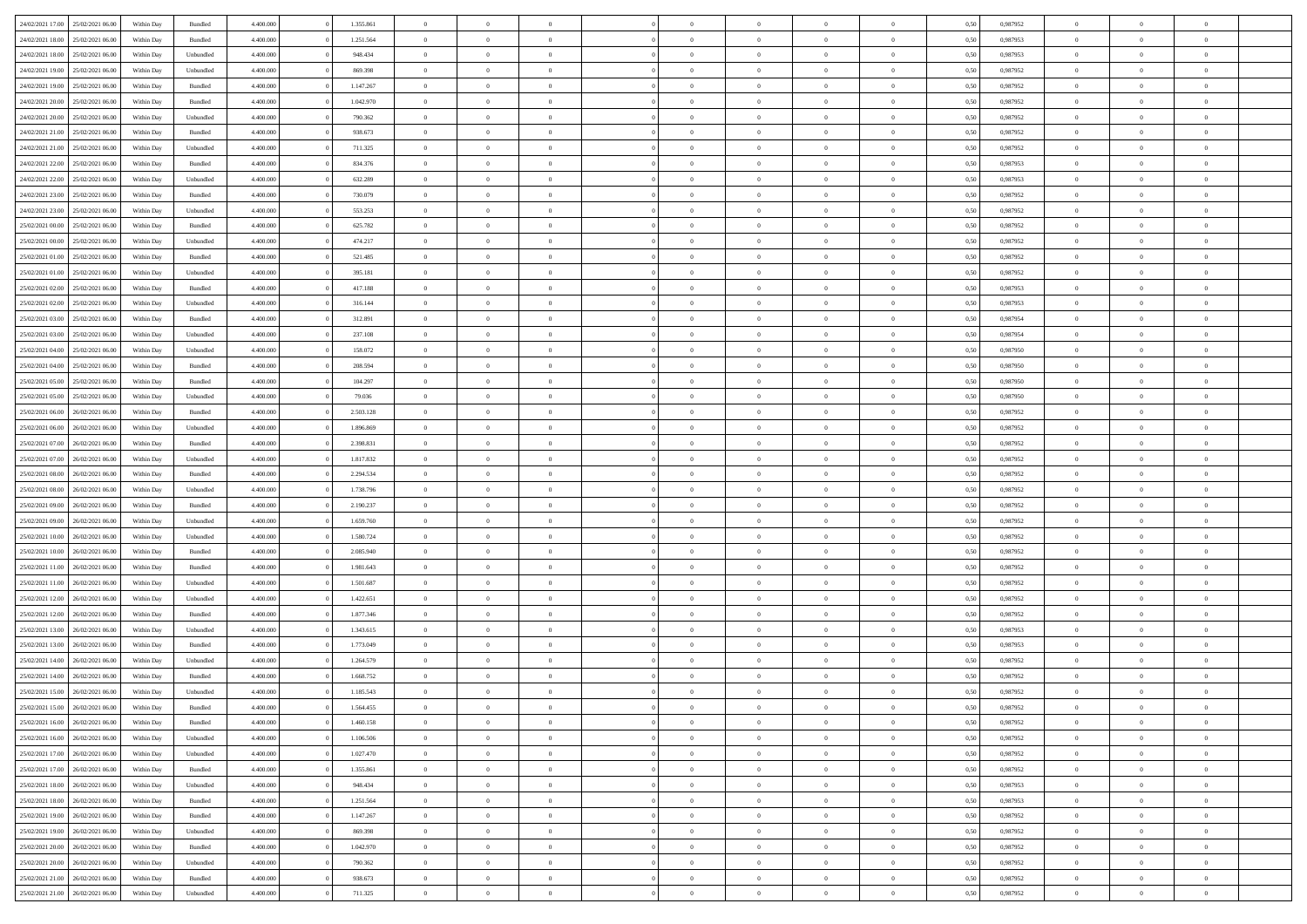| 24/02/2021 17:00 | 25/02/2021 06:00 | Within Day | Bundled            | 4.400.000 | 1.355.861 | $\overline{0}$ | $\theta$       |                | $\Omega$       | $\Omega$       | $\theta$       | $\theta$       | 0,50 | 0,987952 | $\theta$       | $\overline{0}$ | $\theta$       |  |
|------------------|------------------|------------|--------------------|-----------|-----------|----------------|----------------|----------------|----------------|----------------|----------------|----------------|------|----------|----------------|----------------|----------------|--|
|                  |                  |            |                    |           |           |                |                |                |                |                |                |                |      |          |                |                |                |  |
| 24/02/2021 18:00 | 25/02/2021 06:00 | Within Day | Bundled            | 4.400.000 | 1.251.564 | $\overline{0}$ | $\overline{0}$ | $\overline{0}$ | $\overline{0}$ | $\bf{0}$       | $\overline{0}$ | $\bf{0}$       | 0,50 | 0,987953 | $\theta$       | $\overline{0}$ | $\overline{0}$ |  |
| 24/02/2021 18:00 | 25/02/2021 06:00 | Within Day | Unbundled          | 4.400.000 | 948.434   | $\overline{0}$ | $\overline{0}$ | $\overline{0}$ | $\bf{0}$       | $\bf{0}$       | $\bf{0}$       | $\mathbf{0}$   | 0,50 | 0,987953 | $\overline{0}$ | $\overline{0}$ | $\bf{0}$       |  |
| 24/02/2021 19:00 | 25/02/2021 06:00 | Within Day | Unbundled          | 4.400.000 | 869.398   | $\overline{0}$ | $\overline{0}$ | $\overline{0}$ | $\overline{0}$ | $\bf{0}$       | $\overline{0}$ | $\overline{0}$ | 0.50 | 0,987952 | $\theta$       | $\theta$       | $\overline{0}$ |  |
| 24/02/2021 19:00 | 25/02/2021 06:00 | Within Day | Bundled            | 4.400.000 | 1.147.267 | $\overline{0}$ | $\theta$       | $\overline{0}$ | $\overline{0}$ | $\bf{0}$       | $\overline{0}$ | $\bf{0}$       | 0,50 | 0,987952 | $\,$ 0 $\,$    | $\overline{0}$ | $\overline{0}$ |  |
| 24/02/2021 20:00 | 25/02/2021 06:00 | Within Day | Bundled            | 4.400.000 | 1.042.970 | $\overline{0}$ | $\overline{0}$ | $\overline{0}$ | $\bf{0}$       | $\overline{0}$ | $\overline{0}$ | $\mathbf{0}$   | 0,50 | 0,987952 | $\bf{0}$       | $\overline{0}$ | $\bf{0}$       |  |
| 24/02/2021 20:00 | 25/02/2021 06:00 | Within Dav | Unbundled          | 4.400.000 | 790.362   | $\overline{0}$ | $\overline{0}$ | $\overline{0}$ | $\overline{0}$ | $\overline{0}$ | $\overline{0}$ | $\overline{0}$ | 0.50 | 0,987952 | $\theta$       | $\overline{0}$ | $\overline{0}$ |  |
|                  |                  |            |                    |           |           |                |                |                |                |                |                |                |      |          |                |                |                |  |
| 24/02/2021 21:00 | 25/02/2021 06:00 | Within Day | Bundled            | 4.400.000 | 938.673   | $\overline{0}$ | $\theta$       | $\overline{0}$ | $\overline{0}$ | $\bf{0}$       | $\overline{0}$ | $\bf{0}$       | 0,50 | 0,987952 | $\theta$       | $\theta$       | $\overline{0}$ |  |
| 24/02/2021 21:00 | 25/02/2021 06:00 | Within Day | Unbundled          | 4.400.000 | 711.325   | $\overline{0}$ | $\overline{0}$ | $\overline{0}$ | $\overline{0}$ | $\bf{0}$       | $\overline{0}$ | $\mathbf{0}$   | 0,50 | 0,987952 | $\,0\,$        | $\overline{0}$ | $\overline{0}$ |  |
| 24/02/2021 22:00 | 25/02/2021 06:00 | Within Dav | Bundled            | 4.400.000 | 834.376   | $\overline{0}$ | $\overline{0}$ | $\overline{0}$ | $\overline{0}$ | $\overline{0}$ | $\overline{0}$ | $\overline{0}$ | 0.50 | 0,987953 | $\theta$       | $\overline{0}$ | $\overline{0}$ |  |
| 24/02/2021 22.00 | 25/02/2021 06:00 | Within Day | Unbundled          | 4.400.000 | 632.289   | $\overline{0}$ | $\theta$       | $\overline{0}$ | $\overline{0}$ | $\bf{0}$       | $\overline{0}$ | $\bf{0}$       | 0,50 | 0,987953 | $\,$ 0 $\,$    | $\overline{0}$ | $\overline{0}$ |  |
| 24/02/2021 23.00 | 25/02/2021 06:00 | Within Day | Bundled            | 4.400.000 | 730.079   | $\overline{0}$ | $\overline{0}$ | $\overline{0}$ | $\overline{0}$ | $\bf{0}$       | $\overline{0}$ | $\mathbf{0}$   | 0,50 | 0,987952 | $\overline{0}$ | $\overline{0}$ | $\bf{0}$       |  |
| 24/02/2021 23:00 | 25/02/2021 06:00 | Within Day | Unbundled          | 4.400.000 | 553.253   | $\overline{0}$ | $\overline{0}$ | $\overline{0}$ | $\overline{0}$ | $\bf{0}$       | $\overline{0}$ | $\overline{0}$ | 0.50 | 0,987952 | $\theta$       | $\theta$       | $\overline{0}$ |  |
|                  |                  |            |                    |           |           | $\overline{0}$ | $\theta$       | $\overline{0}$ | $\overline{0}$ | $\bf{0}$       | $\overline{0}$ |                |      |          | $\theta$       | $\overline{0}$ | $\overline{0}$ |  |
| 25/02/2021 00:00 | 25/02/2021 06:00 | Within Day | Bundled            | 4.400.000 | 625.782   |                |                |                |                |                |                | $\bf{0}$       | 0,50 | 0,987952 |                |                |                |  |
| 25/02/2021 00:00 | 25/02/2021 06:00 | Within Day | Unbundled          | 4.400.000 | 474.217   | $\overline{0}$ | $\overline{0}$ | $\overline{0}$ | $\bf{0}$       | $\overline{0}$ | $\overline{0}$ | $\mathbf{0}$   | 0,50 | 0,987952 | $\overline{0}$ | $\overline{0}$ | $\bf{0}$       |  |
| 25/02/2021 01:00 | 25/02/2021 06:00 | Within Dav | Bundled            | 4.400.000 | 521.485   | $\overline{0}$ | $\overline{0}$ | $\overline{0}$ | $\overline{0}$ | $\overline{0}$ | $\overline{0}$ | $\overline{0}$ | 0.50 | 0,987952 | $\theta$       | $\overline{0}$ | $\overline{0}$ |  |
| 25/02/2021 01:00 | 25/02/2021 06:00 | Within Day | Unbundled          | 4.400.000 | 395.181   | $\overline{0}$ | $\theta$       | $\overline{0}$ | $\overline{0}$ | $\bf{0}$       | $\overline{0}$ | $\bf{0}$       | 0,50 | 0,987952 | $\,$ 0 $\,$    | $\overline{0}$ | $\overline{0}$ |  |
| 25/02/2021 02:00 | 25/02/2021 06:00 | Within Day | Bundled            | 4.400.000 | 417.188   | $\overline{0}$ | $\overline{0}$ | $\overline{0}$ | $\bf{0}$       | $\bf{0}$       | $\bf{0}$       | $\mathbf{0}$   | 0,50 | 0,987953 | $\bf{0}$       | $\overline{0}$ | $\bf{0}$       |  |
| 25/02/2021 02:00 | 25/02/2021 06:00 | Within Day | Unbundled          | 4.400.000 | 316.144   | $\overline{0}$ | $\overline{0}$ | $\overline{0}$ | $\overline{0}$ | $\overline{0}$ | $\overline{0}$ | $\overline{0}$ | 0.50 | 0,987953 | $\theta$       | $\overline{0}$ | $\overline{0}$ |  |
| 25/02/2021 03:00 | 25/02/2021 06:00 | Within Day | Bundled            | 4.400.000 | 312.891   | $\overline{0}$ | $\theta$       | $\overline{0}$ | $\overline{0}$ | $\bf{0}$       | $\overline{0}$ | $\bf{0}$       | 0,50 | 0,987954 | $\,$ 0 $\,$    | $\overline{0}$ | $\overline{0}$ |  |
|                  |                  |            |                    |           |           |                |                |                |                |                |                |                |      |          |                |                |                |  |
| 25/02/2021 03:00 | 25/02/2021 06:00 | Within Day | Unbundled          | 4.400.000 | 237.108   | $\overline{0}$ | $\overline{0}$ | $\overline{0}$ | $\bf{0}$       | $\bf{0}$       | $\bf{0}$       | $\mathbf{0}$   | 0,50 | 0,987954 | $\overline{0}$ | $\overline{0}$ | $\bf{0}$       |  |
| 25/02/2021 04:00 | 25/02/2021 06:00 | Within Day | Unbundled          | 4.400.000 | 158.072   | $\overline{0}$ | $\overline{0}$ | $\overline{0}$ | $\overline{0}$ | $\overline{0}$ | $\overline{0}$ | $\overline{0}$ | 0.50 | 0,987950 | $\theta$       | $\overline{0}$ | $\overline{0}$ |  |
| 25/02/2021 04:00 | 25/02/2021 06:00 | Within Day | Bundled            | 4.400.000 | 208.594   | $\overline{0}$ | $\theta$       | $\overline{0}$ | $\overline{0}$ | $\bf{0}$       | $\overline{0}$ | $\,$ 0 $\,$    | 0,50 | 0,987950 | $\,$ 0 $\,$    | $\overline{0}$ | $\overline{0}$ |  |
| 25/02/2021 05:00 | 25/02/2021 06:00 | Within Day | Bundled            | 4.400.000 | 104.297   | $\overline{0}$ | $\overline{0}$ | $\overline{0}$ | $\bf{0}$       | $\overline{0}$ | $\overline{0}$ | $\mathbf{0}$   | 0,50 | 0,987950 | $\overline{0}$ | $\overline{0}$ | $\bf{0}$       |  |
| 25/02/2021 05:00 | 25/02/2021 06:00 | Within Day | Unbundled          | 4.400.000 | 79.036    | $\overline{0}$ | $\overline{0}$ | $\overline{0}$ | $\overline{0}$ | $\overline{0}$ | $\overline{0}$ | $\overline{0}$ | 0.50 | 0,987950 | $\overline{0}$ | $\overline{0}$ | $\overline{0}$ |  |
| 25/02/2021 06:00 | 26/02/2021 06:00 | Within Day | Bundled            | 4.400.000 | 2.503.128 | $\overline{0}$ | $\theta$       | $\overline{0}$ | $\overline{0}$ | $\bf{0}$       | $\overline{0}$ | $\bf{0}$       | 0,50 | 0,987952 | $\theta$       | $\overline{0}$ | $\overline{0}$ |  |
| 25/02/2021 06:00 | 26/02/2021 06:00 | Within Day | Unbundled          | 4.400.000 | 1.896.869 | $\overline{0}$ | $\overline{0}$ | $\overline{0}$ | $\bf{0}$       | $\bf{0}$       | $\bf{0}$       | $\mathbf{0}$   | 0,50 | 0,987952 | $\,0\,$        | $\overline{0}$ | $\overline{0}$ |  |
|                  | 26/02/2021 06:00 |            | Bundled            | 4.400.000 | 2.398.831 | $\overline{0}$ | $\overline{0}$ | $\overline{0}$ | $\overline{0}$ | $\overline{0}$ | $\overline{0}$ | $\overline{0}$ | 0.50 | 0,987952 | $\theta$       | $\overline{0}$ | $\overline{0}$ |  |
| 25/02/2021 07:00 |                  | Within Day |                    |           |           |                |                |                |                |                |                |                |      |          |                |                |                |  |
| 25/02/2021 07:00 | 26/02/2021 06:00 | Within Day | Unbundled          | 4.400.000 | 1.817.832 | $\overline{0}$ | $\overline{0}$ | $\overline{0}$ | $\overline{0}$ | $\,$ 0         | $\overline{0}$ | $\bf{0}$       | 0,50 | 0,987952 | $\,$ 0 $\,$    | $\overline{0}$ | $\overline{0}$ |  |
| 25/02/2021 08:00 | 26/02/2021 06:00 | Within Day | Bundled            | 4.400.000 | 2.294.534 | $\overline{0}$ | $\overline{0}$ | $\overline{0}$ | $\bf{0}$       | $\bf{0}$       | $\bf{0}$       | $\mathbf{0}$   | 0,50 | 0,987952 | $\overline{0}$ | $\overline{0}$ | $\bf{0}$       |  |
| 25/02/2021 08:00 | 26/02/2021 06:00 | Within Day | Unbundled          | 4.400.000 | 1.738.796 | $\overline{0}$ | $\Omega$       | $\overline{0}$ | $\Omega$       | $\Omega$       | $\overline{0}$ | $\overline{0}$ | 0,50 | 0,987952 | $\,0\,$        | $\theta$       | $\theta$       |  |
| 25/02/2021 09:00 | 26/02/2021 06:00 | Within Day | Bundled            | 4.400.000 | 2.190.237 | $\overline{0}$ | $\overline{0}$ | $\overline{0}$ | $\overline{0}$ | $\bf{0}$       | $\overline{0}$ | $\bf{0}$       | 0,50 | 0,987952 | $\,$ 0 $\,$    | $\overline{0}$ | $\overline{0}$ |  |
| 25/02/2021 09:00 | 26/02/2021 06:00 | Within Day | Unbundled          | 4.400.000 | 1.659.760 | $\overline{0}$ | $\overline{0}$ | $\overline{0}$ | $\overline{0}$ | $\overline{0}$ | $\overline{0}$ | $\mathbf{0}$   | 0,50 | 0,987952 | $\bf{0}$       | $\overline{0}$ | $\bf{0}$       |  |
| 25/02/2021 10:00 | 26/02/2021 06:00 | Within Day | Unbundled          | 4.400,000 | 1.580.724 | $\overline{0}$ | $\Omega$       | $\overline{0}$ | $\Omega$       | $\overline{0}$ | $\overline{0}$ | $\overline{0}$ | 0.50 | 0,987952 | $\,0\,$        | $\theta$       | $\theta$       |  |
| 25/02/2021 10:00 | 26/02/2021 06:00 | Within Day | Bundled            | 4.400.000 | 2.085.940 | $\overline{0}$ | $\theta$       | $\overline{0}$ | $\overline{0}$ | $\bf{0}$       | $\overline{0}$ | $\bf{0}$       | 0,50 | 0,987952 | $\,$ 0 $\,$    | $\overline{0}$ | $\overline{0}$ |  |
|                  |                  |            |                    |           |           |                |                |                |                |                |                |                |      |          |                |                |                |  |
| 25/02/2021 11:00 | 26/02/2021 06:00 | Within Day | Bundled            | 4.400.000 | 1.981.643 | $\overline{0}$ | $\bf{0}$       | $\overline{0}$ | $\overline{0}$ | $\bf{0}$       | $\overline{0}$ | $\mathbf{0}$   | 0,50 | 0,987952 | $\bf{0}$       | $\overline{0}$ | $\bf{0}$       |  |
| 25/02/2021 11:00 | 26/02/2021 06:00 | Within Day | Unbundled          | 4.400,000 | 1.501.687 | $\overline{0}$ | $\Omega$       | $\overline{0}$ | $\Omega$       | $\overline{0}$ | $\overline{0}$ | $\overline{0}$ | 0.50 | 0.987952 | $\,$ 0 $\,$    | $\theta$       | $\theta$       |  |
| 25/02/2021 12:00 | 26/02/2021 06:00 | Within Day | Unbundled          | 4.400.000 | 1.422.651 | $\overline{0}$ | $\overline{0}$ | $\overline{0}$ | $\overline{0}$ | $\,$ 0         | $\overline{0}$ | $\bf{0}$       | 0,50 | 0,987952 | $\,$ 0 $\,$    | $\overline{0}$ | $\overline{0}$ |  |
| 25/02/2021 12:00 | 26/02/2021 06:00 | Within Day | Bundled            | 4.400.000 | 1.877.346 | $\overline{0}$ | $\overline{0}$ | $\overline{0}$ | $\overline{0}$ | $\bf{0}$       | $\overline{0}$ | $\mathbf{0}$   | 0,50 | 0,987952 | $\bf{0}$       | $\overline{0}$ | $\bf{0}$       |  |
| 25/02/2021 13:00 | 26/02/2021 06:00 | Within Day | Unbundled          | 4.400,000 | 1.343.615 | $\overline{0}$ | $\Omega$       | $\overline{0}$ | $\Omega$       | $\overline{0}$ | $\overline{0}$ | $\overline{0}$ | 0,50 | 0,987953 | $\,0\,$        | $\theta$       | $\theta$       |  |
| 25/02/2021 13:00 | 26/02/2021 06:00 | Within Day | Bundled            | 4.400.000 | 1.773.049 | $\overline{0}$ | $\overline{0}$ | $\overline{0}$ | $\overline{0}$ | $\,$ 0         | $\overline{0}$ | $\bf{0}$       | 0,50 | 0,987953 | $\,$ 0 $\,$    | $\overline{0}$ | $\overline{0}$ |  |
| 25/02/2021 14:00 | 26/02/2021 06:00 | Within Day | Unbundled          | 4.400.000 | 1.264.579 | $\overline{0}$ | $\overline{0}$ | $\overline{0}$ | $\bf{0}$       | $\bf{0}$       | $\overline{0}$ | $\mathbf{0}$   | 0,50 | 0,987952 | $\overline{0}$ | $\overline{0}$ | $\bf{0}$       |  |
| 25/02/2021 14:00 | 26/02/2021 06:00 | Within Day | Bundled            | 4.400,000 | 1.668.752 | $\overline{0}$ | $\Omega$       | $\Omega$       | $\Omega$       | $\Omega$       | $\overline{0}$ | $\overline{0}$ | 0.50 | 0.987952 | $\theta$       | $\theta$       | $\theta$       |  |
| 25/02/2021 15:00 | 26/02/2021 06:00 |            |                    | 4.400.000 | 1.185.543 | $\overline{0}$ | $\overline{0}$ | $\overline{0}$ | $\bf{0}$       | $\,$ 0         |                |                |      | 0,987952 | $\,0\,$        | $\,$ 0 $\,$    | $\overline{0}$ |  |
|                  |                  | Within Day | Unbundled          |           |           |                |                |                |                |                | $\bf{0}$       | $\bf{0}$       | 0,50 |          |                |                |                |  |
| 25/02/2021 15:00 | 26/02/2021 06:00 | Within Day | $\mathbf B$ undled | 4.400.000 | 1.564.455 | $\overline{0}$ | $\bf{0}$       |                |                | $\bf{0}$       |                |                | 0,50 | 0,987952 | $\bf{0}$       | $\overline{0}$ |                |  |
| 25/02/2021 16:00 | 26/02/2021 06:00 | Within Day | Bundled            | 4.400.000 | 1.460.158 | $\overline{0}$ | $\overline{0}$ | $\overline{0}$ | $\Omega$       | $\overline{0}$ | $\overline{0}$ | $\overline{0}$ | 0.50 | 0.987952 | $\theta$       | $\theta$       | $\theta$       |  |
| 25/02/2021 16:00 | 26/02/2021 06:00 | Within Day | Unbundled          | 4.400.000 | 1.106.506 | $\overline{0}$ | $\bf{0}$       | $\overline{0}$ | $\bf{0}$       | $\,$ 0 $\,$    | $\overline{0}$ | $\mathbf{0}$   | 0,50 | 0,987952 | $\,$ 0 $\,$    | $\,$ 0 $\,$    | $\,$ 0         |  |
| 25/02/2021 17:00 | 26/02/2021 06:00 | Within Day | Unbundled          | 4.400.000 | 1.027.470 | $\overline{0}$ | $\overline{0}$ | $\overline{0}$ | $\overline{0}$ | $\overline{0}$ | $\overline{0}$ | $\mathbf{0}$   | 0,50 | 0,987952 | $\overline{0}$ | $\bf{0}$       | $\bf{0}$       |  |
| 25/02/2021 17:00 | 26/02/2021 06:00 | Within Day | Bundled            | 4.400,000 | 1.355.861 | $\overline{0}$ | $\overline{0}$ | $\overline{0}$ | $\Omega$       | $\overline{0}$ | $\overline{0}$ | $\overline{0}$ | 0,50 | 0,987952 | $\overline{0}$ | $\overline{0}$ | $\overline{0}$ |  |
| 25/02/2021 18:00 | 26/02/2021 06:00 | Within Day | Unbundled          | 4.400.000 | 948.434   | $\overline{0}$ | $\,$ 0         | $\overline{0}$ | $\overline{0}$ | $\,$ 0 $\,$    | $\overline{0}$ | $\mathbf{0}$   | 0,50 | 0,987953 | $\,$ 0 $\,$    | $\overline{0}$ | $\overline{0}$ |  |
| 25/02/2021 18:00 | 26/02/2021 06:00 | Within Day | Bundled            | 4.400.000 | 1.251.564 | $\overline{0}$ | $\overline{0}$ | $\overline{0}$ | $\overline{0}$ | $\overline{0}$ | $\overline{0}$ | $\mathbf{0}$   | 0,50 | 0,987953 | $\overline{0}$ | $\overline{0}$ | $\bf{0}$       |  |
|                  |                  |            |                    |           |           |                |                |                |                |                |                |                |      |          |                |                |                |  |
| 25/02/2021 19:00 | 26/02/2021 06:00 | Within Day | Bundled            | 4.400.000 | 1.147.267 | $\overline{0}$ | $\overline{0}$ | $\overline{0}$ | $\overline{0}$ | $\overline{0}$ | $\overline{0}$ | $\bf{0}$       | 0.50 | 0,987952 | $\overline{0}$ | $\theta$       | $\overline{0}$ |  |
| 25/02/2021 19:00 | 26/02/2021 06:00 | Within Day | Unbundled          | 4.400.000 | 869.398   | $\overline{0}$ | $\,$ 0         | $\overline{0}$ | $\bf{0}$       | $\bf{0}$       | $\bf{0}$       | $\bf{0}$       | 0,50 | 0,987952 | $\,$ 0 $\,$    | $\overline{0}$ | $\overline{0}$ |  |
| 25/02/2021 20:00 | 26/02/2021 06:00 | Within Day | Bundled            | 4.400.000 | 1.042.970 | $\overline{0}$ | $\bf{0}$       | $\overline{0}$ | $\overline{0}$ | $\overline{0}$ | $\overline{0}$ | $\mathbf{0}$   | 0,50 | 0,987952 | $\overline{0}$ | $\overline{0}$ | $\bf{0}$       |  |
| 25/02/2021 20:00 | 26/02/2021 06:00 | Within Day | Unbundled          | 4.400,000 | 790.362   | $\overline{0}$ | $\overline{0}$ | $\overline{0}$ | $\Omega$       | $\overline{0}$ | $\overline{0}$ | $\overline{0}$ | 0.50 | 0,987952 | $\overline{0}$ | $\overline{0}$ | $\overline{0}$ |  |
| 25/02/2021 21:00 | 26/02/2021 06:00 | Within Day | Bundled            | 4.400.000 | 938.673   | $\overline{0}$ | $\bf{0}$       | $\overline{0}$ | $\overline{0}$ | $\bf{0}$       | $\bf{0}$       | $\mathbf{0}$   | 0,50 | 0,987952 | $\,$ 0 $\,$    | $\,$ 0 $\,$    | $\bf{0}$       |  |
| 25/02/2021 21:00 | 26/02/2021 06:00 | Within Day | Unbundled          | 4.400.000 | 711.325   | $\overline{0}$ | $\overline{0}$ | $\overline{0}$ | $\overline{0}$ | $\overline{0}$ | $\bf{0}$       | $\mathbf{0}$   | 0,50 | 0,987952 | $\overline{0}$ | $\bf{0}$       | $\bf{0}$       |  |
|                  |                  |            |                    |           |           |                |                |                |                |                |                |                |      |          |                |                |                |  |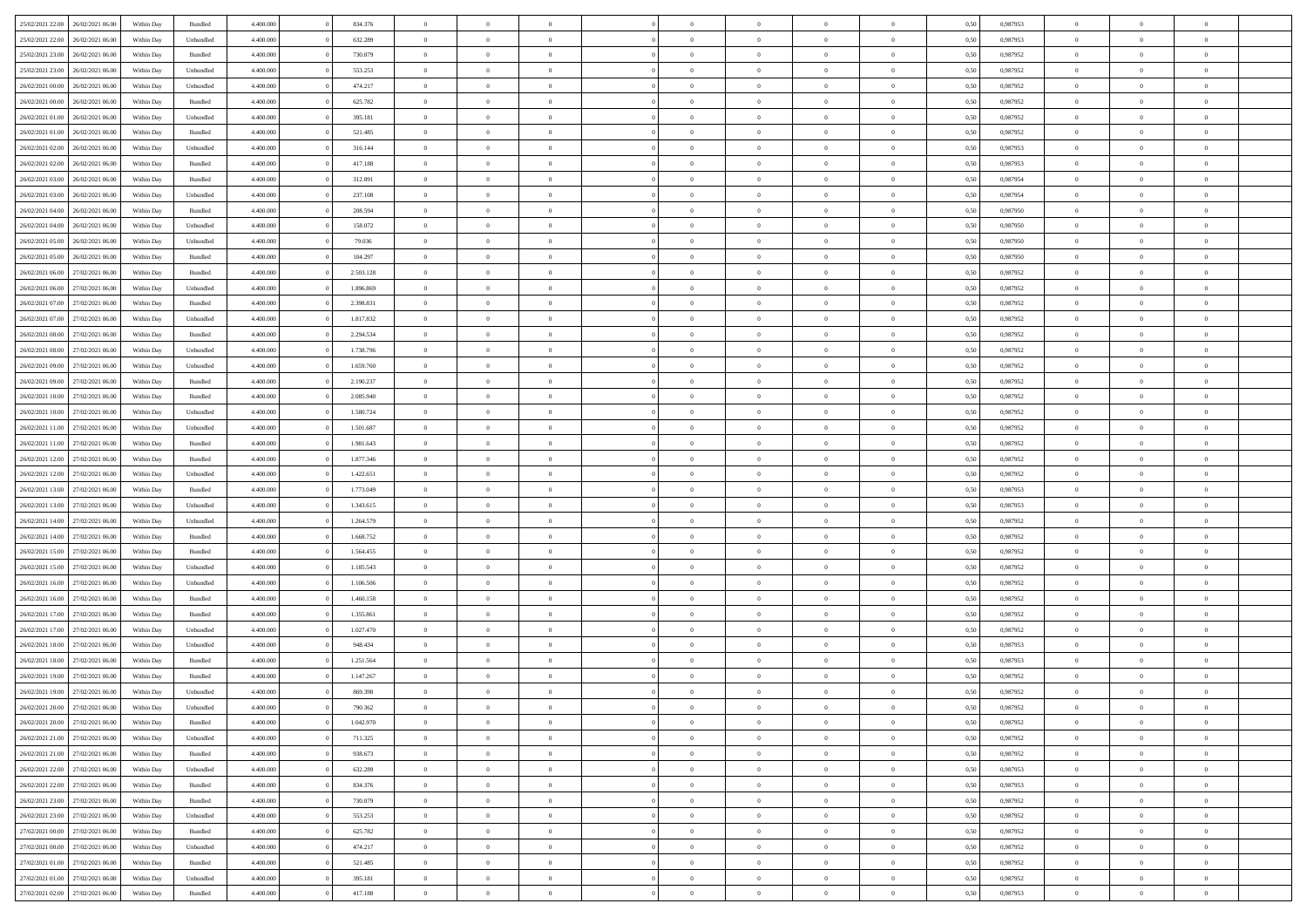| 25/02/2021 22.00 26/02/2021 06:00                                         | Within Day               | Bundled              | 4.400.000              | 834.376            | $\overline{0}$                   | $\overline{0}$             | $\Omega$                         | $\Omega$       | $\theta$                         | $\Omega$                         | $\overline{0}$          | 0,50 | 0,987953             | $\theta$                      | $\Omega$                | $\theta$                         |  |
|---------------------------------------------------------------------------|--------------------------|----------------------|------------------------|--------------------|----------------------------------|----------------------------|----------------------------------|----------------|----------------------------------|----------------------------------|-------------------------|------|----------------------|-------------------------------|-------------------------|----------------------------------|--|
| 25/02/2021 22.00<br>26/02/2021 06:00                                      | Within Day               | Unbundled            | 4.400.000              | 632.289            | $\overline{0}$                   | $\overline{0}$             | $\overline{0}$                   | $\overline{0}$ | $\theta$                         | $\overline{0}$                   | $\bf{0}$                | 0,50 | 0,987953             | $\theta$                      | $\theta$                | $\overline{0}$                   |  |
| 25/02/2021 23:00<br>26/02/2021 06:00                                      | Within Day               | Bundled              | 4.400.000              | 730.079            | $\overline{0}$                   | $\bf{0}$                   | $\overline{0}$                   | $\overline{0}$ | $\overline{0}$                   | $\overline{0}$                   | $\bf{0}$                | 0,50 | 0,987952             | $\bf{0}$                      | $\overline{0}$          | $\overline{0}$                   |  |
| 25/02/2021 23:00<br>26/02/2021 06:00                                      | Within Day               | Unbundled            | 4.400.000              | 553.253            | $\overline{0}$                   | $\overline{0}$             | $\overline{0}$                   | $\overline{0}$ | $\theta$                         | $\overline{0}$                   | $\overline{0}$          | 0.50 | 0,987952             | $\theta$                      | $\theta$                | $\overline{0}$                   |  |
| 26/02/2021 00:00<br>26/02/2021 06:00                                      | Within Day               | Unbundled            | 4.400.000              | 474.217            | $\overline{0}$                   | $\overline{0}$             | $\overline{0}$                   | $\overline{0}$ | $\theta$                         | $\overline{0}$                   | $\bf{0}$                | 0,50 | 0,987952             | $\theta$                      | $\theta$                | $\overline{0}$                   |  |
| 26/02/2021 00:00<br>26/02/2021 06.00                                      | Within Day               | Bundled              | 4.400.000              | 625.782            | $\overline{0}$                   | $\bf{0}$                   | $\overline{0}$                   | $\overline{0}$ | $\overline{0}$                   | $\overline{0}$                   | $\bf{0}$                | 0,50 | 0,987952             | $\overline{0}$                | $\overline{0}$          | $\bf{0}$                         |  |
| 26/02/2021 01:00<br>26/02/2021 06:00                                      | Within Day               | Unbundled            | 4.400.000              | 395.181            | $\overline{0}$                   | $\overline{0}$             | $\overline{0}$                   | $\overline{0}$ | $\overline{0}$                   | $\overline{0}$                   | $\overline{0}$          | 0.5( | 0,987952             | $\theta$                      | $\theta$                | $\overline{0}$                   |  |
|                                                                           |                          |                      |                        |                    |                                  |                            |                                  |                |                                  |                                  |                         |      |                      |                               |                         |                                  |  |
| 26/02/2021 01:00<br>26/02/2021 06:00                                      | Within Day               | Bundled              | 4.400.000              | 521.485            | $\overline{0}$                   | $\overline{0}$             | $\overline{0}$                   | $\overline{0}$ | $\theta$                         | $\overline{0}$                   | $\bf{0}$                | 0,50 | 0,987952             | $\theta$                      | $\theta$                | $\overline{0}$                   |  |
| 26/02/2021 02:00<br>26/02/2021 06.00                                      | Within Day               | Unbundled            | 4.400.000              | 316.144            | $\overline{0}$                   | $\bf{0}$                   | $\overline{0}$                   | $\overline{0}$ | $\overline{0}$                   | $\overline{0}$                   | $\bf{0}$                | 0,50 | 0,987953             | $\bf{0}$                      | $\bf{0}$                | $\overline{0}$                   |  |
| 26/02/2021 02:00<br>26/02/2021 06:00                                      | Within Day               | Bundled              | 4.400.000              | 417.188            | $\overline{0}$                   | $\overline{0}$             | $\overline{0}$                   | $\overline{0}$ | $\overline{0}$                   | $\overline{0}$                   | $\bf{0}$                | 0.5( | 0,987953             | $\theta$                      | $\theta$                | $\overline{0}$                   |  |
| 26/02/2021 03:00<br>26/02/2021 06:00                                      | Within Day               | Bundled              | 4.400.000              | 312.891            | $\overline{0}$                   | $\overline{0}$             | $\overline{0}$                   | $\overline{0}$ | $\theta$                         | $\overline{0}$                   | $\bf{0}$                | 0,50 | 0,987954             | $\theta$                      | $\theta$                | $\overline{0}$                   |  |
| 26/02/2021 03:00<br>26/02/2021 06:00                                      | Within Day               | Unbundled            | 4.400.000              | 237.108            | $\overline{0}$                   | $\bf{0}$                   | $\overline{0}$                   | $\overline{0}$ | $\bf{0}$                         | $\overline{0}$                   | $\bf{0}$                | 0,50 | 0,987954             | $\bf{0}$                      | $\overline{0}$          | $\overline{0}$                   |  |
| 26/02/2021 04:00<br>26/02/2021 06:00                                      | Within Day               | Bundled              | 4.400.000              | 208.594            | $\overline{0}$                   | $\overline{0}$             | $\overline{0}$                   | $\overline{0}$ | $\overline{0}$                   | $\overline{0}$                   | $\overline{0}$          | 0.5( | 0.987950             | $\theta$                      | $\theta$                | $\overline{0}$                   |  |
| 26/02/2021 04:00<br>26/02/2021 06:00                                      | Within Day               | Unbundled            | 4.400.000              | 158.072            | $\overline{0}$                   | $\overline{0}$             | $\overline{0}$                   | $\overline{0}$ | $\theta$                         | $\overline{0}$                   | $\,$ 0 $\,$             | 0,50 | 0,987950             | $\theta$                      | $\theta$                | $\overline{0}$                   |  |
| 26/02/2021 05:00<br>26/02/2021 06.00                                      | Within Day               | Unbundled            | 4.400.000              | 79.036             | $\overline{0}$                   | $\bf{0}$                   | $\overline{0}$                   | $\overline{0}$ | $\overline{0}$                   | $\overline{0}$                   | $\bf{0}$                | 0,50 | 0,987950             | $\bf{0}$                      | $\overline{0}$          | $\bf{0}$                         |  |
| 26/02/2021 05:00<br>26/02/2021 06:00                                      | Within Day               | Bundled              | 4.400.000              | 104.297            | $\overline{0}$                   | $\overline{0}$             | $\overline{0}$                   | $\overline{0}$ | $\overline{0}$                   | $\overline{0}$                   | $\overline{0}$          | 0.5( | 0,987950             | $\theta$                      | $\theta$                | $\overline{0}$                   |  |
| 26/02/2021 06:00<br>27/02/2021 06:00                                      | Within Day               | Bundled              | 4.400.000              | 2.503.128          | $\overline{0}$                   | $\overline{0}$             | $\overline{0}$                   | $\overline{0}$ | $\theta$                         | $\overline{0}$                   | $\bf{0}$                | 0,50 | 0,987952             | $\theta$                      | $\theta$                | $\overline{0}$                   |  |
| 26/02/2021 06:00<br>27/02/2021 06.00                                      | Within Day               | Unbundled            | 4.400.000              | 1.896.869          | $\overline{0}$                   | $\bf{0}$                   | $\overline{0}$                   | $\overline{0}$ | $\overline{0}$                   | $\overline{0}$                   | $\bf{0}$                | 0,50 | 0,987952             | $\bf{0}$                      | $\overline{0}$          | $\overline{0}$                   |  |
| 26/02/2021 07:00<br>27/02/2021 06:00                                      | Within Day               | Bundled              | 4.400.000              | 2.398.831          | $\overline{0}$                   | $\overline{0}$             | $\overline{0}$                   | $\overline{0}$ | $\overline{0}$                   | $\overline{0}$                   | $\overline{0}$          | 0.5( | 0,987952             | $\theta$                      | $\theta$                | $\overline{0}$                   |  |
| 26/02/2021 07:00<br>27/02/2021 06:00                                      | Within Day               | Unbundled            | 4.400.000              | 1.817.832          | $\bf{0}$                         | $\overline{0}$             | $\overline{0}$                   | $\overline{0}$ | $\theta$                         | $\overline{0}$                   | $\bf{0}$                | 0,50 | 0,987952             | $\theta$                      | $\theta$                | $\overline{0}$                   |  |
| 26/02/2021 08:00<br>27/02/2021 06.00                                      | Within Day               | Bundled              | 4.400.000              | 2.294.534          | $\overline{0}$                   | $\bf{0}$                   | $\overline{0}$                   | $\overline{0}$ | $\overline{0}$                   | $\overline{0}$                   | $\bf{0}$                | 0,50 | 0,987952             | $\bf{0}$                      | $\overline{0}$          | $\overline{0}$                   |  |
| 26/02/2021 08:00<br>27/02/2021 06:00                                      | Within Day               | Unbundled            | 4.400.000              | 1.738.796          | $\overline{0}$                   | $\overline{0}$             | $\overline{0}$                   | $\overline{0}$ | $\overline{0}$                   | $\overline{0}$                   | $\overline{0}$          | 0.5( | 0,987952             | $\theta$                      | $\theta$                | $\overline{0}$                   |  |
| 26/02/2021 09:00<br>27/02/2021 06:00                                      | Within Day               | Unbundled            | 4.400.000              | 1.659.760          | $\overline{0}$                   | $\overline{0}$             | $\overline{0}$                   | $\overline{0}$ | $\theta$                         | $\overline{0}$                   | $\bf{0}$                | 0,50 | 0,987952             | $\theta$                      | $\theta$                | $\overline{0}$                   |  |
| 26/02/2021 09:00<br>27/02/2021 06.00                                      | Within Day               | Bundled              | 4.400.000              | 2.190.237          | $\overline{0}$                   | $\bf{0}$                   | $\overline{0}$                   | $\overline{0}$ | $\overline{0}$                   | $\overline{0}$                   | $\bf{0}$                | 0,50 | 0,987952             | $\overline{0}$                | $\overline{0}$          | $\bf{0}$                         |  |
| 26/02/2021 10:00<br>27/02/2021 06:00                                      | Within Day               | Bundled              | 4.400.000              | 2.085.940          | $\overline{0}$                   | $\overline{0}$             | $\overline{0}$                   | $\overline{0}$ | $\overline{0}$                   | $\overline{0}$                   | $\overline{0}$          | 0.5( | 0,987952             | $\theta$                      | $\theta$                | $\overline{0}$                   |  |
| 26/02/2021 10:00<br>27/02/2021 06:00                                      | Within Day               | Unbundled            | 4.400.000              | 1.580.724          | $\overline{0}$                   | $\overline{0}$             | $\overline{0}$                   | $\overline{0}$ | $\theta$                         | $\overline{0}$                   | $\bf{0}$                | 0,50 | 0,987952             | $\theta$                      | $\theta$                | $\overline{0}$                   |  |
| 26/02/2021 11:00<br>27/02/2021 06:00                                      | Within Day               | Unbundled            | 4.400.000              | 1.501.687          | $\overline{0}$                   | $\bf{0}$                   | $\overline{0}$                   | $\overline{0}$ | $\overline{0}$                   | $\overline{0}$                   | $\bf{0}$                | 0,50 | 0,987952             | $\bf{0}$                      | $\bf{0}$                | $\overline{0}$                   |  |
| 26/02/2021 11:00<br>27/02/2021 06:00                                      | Within Day               | Bundled              | 4.400.000              | 1.981.643          | $\overline{0}$                   | $\overline{0}$             | $\overline{0}$                   | $\overline{0}$ | $\overline{0}$                   | $\overline{0}$                   | $\overline{0}$          | 0.5( | 0,987952             | $\theta$                      | $\theta$                | $\overline{0}$                   |  |
| 26/02/2021 12:00<br>27/02/2021 06:00                                      | Within Day               | Bundled              | 4.400.000              | 1.877.346          | $\bf{0}$                         | $\overline{0}$             | $\overline{0}$                   | $\overline{0}$ | $\theta$                         | $\overline{0}$                   | $\bf{0}$                | 0,50 | 0,987952             | $\theta$                      | $\theta$                | $\overline{0}$                   |  |
| 26/02/2021 12:00<br>27/02/2021 06:00                                      | Within Day               | Unbundled            | 4.400.000              | 1.422.651          | $\overline{0}$                   | $\bf{0}$                   | $\overline{0}$                   | $\overline{0}$ | $\bf{0}$                         | $\overline{0}$                   | $\bf{0}$                | 0,50 | 0,987952             | $\bf{0}$                      | $\overline{0}$          | $\overline{0}$                   |  |
| 26/02/2021 13:00<br>27/02/2021 06:00                                      | Within Day               | Bundled              | 4,400,000              | 1.773.049          | $\overline{0}$                   | $\overline{0}$             | $\Omega$                         | $\Omega$       | $\Omega$                         | $\theta$                         | $\overline{0}$          | 0.50 | 0,987953             | $\,$ 0 $\,$                   | $\Omega$                | $\theta$                         |  |
| 26/02/2021 13:00<br>27/02/2021 06:00                                      | Within Day               | Unbundled            | 4.400.000              | 1.343.615          | $\overline{0}$                   | $\overline{0}$             | $\overline{0}$                   | $\overline{0}$ | $\theta$                         | $\overline{0}$                   | $\bf{0}$                | 0,50 | 0,987953             | $\theta$                      | $\theta$                | $\overline{0}$                   |  |
| 26/02/2021 14:00<br>27/02/2021 06:00                                      | Within Day               | Unbundled            | 4.400.000              | 1.264.579          | $\overline{0}$                   | $\bf{0}$                   | $\overline{0}$                   | $\overline{0}$ | $\bf{0}$                         | $\overline{0}$                   | $\bf{0}$                | 0,50 | 0,987952             | $\overline{0}$                | $\overline{0}$          | $\bf{0}$                         |  |
| 26/02/2021 14:00<br>27/02/2021 06.00                                      | Within Day               | Bundled              | 4,400,000              | 1.668.752          | $\overline{0}$                   | $\overline{0}$             | $\Omega$                         | $\Omega$       | $\overline{0}$                   | $\Omega$                         | $\overline{0}$          | 0.50 | 0,987952             | $\theta$                      | $\theta$                | $\theta$                         |  |
| 26/02/2021 15:00<br>27/02/2021 06:00                                      | Within Day               | Bundled              | 4.400.000              | 1.564.455          | $\bf{0}$                         | $\overline{0}$             | $\overline{0}$                   | $\overline{0}$ | $\theta$                         | $\overline{0}$                   | $\bf{0}$                | 0,50 | 0,987952             | $\theta$                      | $\theta$                | $\overline{0}$                   |  |
| 26/02/2021 15:00<br>27/02/2021 06.00                                      | Within Day               | Unbundled            | 4.400.000              | 1.185.543          | $\overline{0}$                   | $\bf{0}$                   | $\overline{0}$                   | $\overline{0}$ | $\overline{0}$                   | $\bf{0}$                         | $\bf{0}$                | 0,50 | 0,987952             | $\bf{0}$                      | $\overline{0}$          | $\overline{0}$                   |  |
| 26/02/2021 16:00<br>27/02/2021 06:00                                      | Within Day               | Unbundled            | 4,400,000              | 1.106.506          | $\overline{0}$                   | $\theta$                   | $\Omega$                         | $\Omega$       | $\Omega$                         | $\Omega$                         | $\overline{0}$          | 0.50 | 0.987952             | $\theta$                      | $\Omega$                | $\theta$                         |  |
| 26/02/2021 16:00<br>27/02/2021 06:00                                      | Within Day               | Bundled              | 4.400.000              | 1.460.158          | $\bf{0}$                         | $\overline{0}$             | $\overline{0}$                   | $\overline{0}$ | $\theta$                         | $\overline{0}$                   | $\bf{0}$                | 0,50 | 0,987952             | $\theta$                      | $\theta$                | $\overline{0}$                   |  |
| 26/02/2021 17:00<br>27/02/2021 06:00                                      | Within Day               | Bundled              | 4.400.000              | 1.355.861          | $\overline{0}$                   | $\bf{0}$                   | $\overline{0}$                   | $\overline{0}$ | $\overline{0}$                   | $\overline{0}$                   | $\bf{0}$                | 0,50 | 0,987952             | $\bf{0}$                      | $\overline{0}$          | $\overline{0}$                   |  |
| 26/02/2021 17:00<br>27/02/2021 06:00                                      | Within Day               | Unbundled            | 4,400,000              | 1.027.470          | $\overline{0}$                   | $\overline{0}$             | $\Omega$                         | $\Omega$       | $\theta$                         | $\Omega$                         | $\overline{0}$          | 0.50 | 0,987952             | $\bf{0}$                      | $\overline{0}$          | $\theta$                         |  |
| 26/02/2021 18:00<br>27/02/2021 06:00                                      | Within Day               | Unbundled            | 4.400.000              | 948.434            | $\bf{0}$                         | $\overline{0}$             | $\overline{0}$                   | $\overline{0}$ | $\theta$                         | $\overline{0}$                   | $\bf{0}$                | 0,50 | 0,987953             | $\theta$                      | $\theta$                | $\overline{0}$                   |  |
| 26/02/2021 18:00<br>27/02/2021 06.00                                      | Within Day               | Bundled              | 4.400.000              | 1.251.564          | $\overline{0}$                   | $\bf{0}$                   | $\overline{0}$                   | $\overline{0}$ | $\bf{0}$                         | $\overline{0}$                   | $\bf{0}$                | 0,50 | 0,987953             | $\overline{0}$                | $\overline{0}$          | $\bf{0}$                         |  |
| 26/02/2021 19:00<br>27/02/2021 06.00                                      | Within Day               | Bundled              | 4,400,000              | 1.147.267          | $\overline{0}$                   | $\Omega$                   | $\Omega$                         | $\Omega$       | $\Omega$                         | $\theta$                         | $\overline{0}$          | 0.50 | 0.987952             | $\theta$                      | $\Omega$                | $\theta$                         |  |
| 26/02/2021 19:00<br>27/02/2021 06:00                                      | Within Day               | Unbundled            | 4.400.000              | 869.398            | $\bf{0}$                         | $\bf{0}$                   | $\overline{0}$                   | $\overline{0}$ | $\overline{0}$                   | $\bf{0}$                         | $\bf{0}$                | 0,50 | 0,987952             | $\bf{0}$                      | $\,0\,$                 | $\overline{0}$                   |  |
| 26/02/2021 20:00 27/02/2021 06:00                                         | Within Day               | Unbundled            | 4.400.000              | 790.362            | $\bf{0}$                         | $\bf{0}$                   |                                  |                |                                  |                                  |                         | 0,50 | 0,987952             | $\bf{0}$                      | $\bf{0}$                |                                  |  |
| 26/02/2021 20:00 27/02/2021 06:00                                         | Within Day               | Bundled              | 4.400.000              | 1.042.970          | $\Omega$                         | $\overline{0}$             | $\Omega$                         | $\theta$       | $\overline{0}$                   | $\overline{0}$                   | $\overline{0}$          | 0.50 | 0.987952             | $\theta$                      | $\theta$                | $\theta$                         |  |
| 26/02/2021 21:00 27/02/2021 06:00                                         | Within Day               | Unbundled            | 4.400.000              | 711.325            | $\overline{0}$                   | $\overline{0}$             | $\overline{0}$                   | $\overline{0}$ | $\,$ 0 $\,$                      | $\overline{0}$                   | $\,$ 0 $\,$             | 0,50 | 0,987952             | $\,$ 0 $\,$                   | $\,$ 0 $\,$             | $\,$ 0                           |  |
| 26/02/2021 21:00 27/02/2021 06:00                                         | Within Day               | Bundled              | 4.400.000              | 938.673            | $\overline{0}$                   | $\overline{0}$             | $\overline{0}$                   | $\overline{0}$ | $\bf{0}$                         | $\overline{0}$                   |                         | 0,50 | 0,987952             | $\overline{0}$                | $\overline{0}$          | $\overline{0}$                   |  |
|                                                                           |                          |                      |                        |                    |                                  |                            |                                  |                |                                  |                                  | $\bf{0}$                |      |                      |                               |                         |                                  |  |
| 26/02/2021 22:00 27/02/2021 06:00<br>26/02/2021 22:00<br>27/02/2021 06:00 | Within Day<br>Within Day | Unbundled<br>Bundled | 4.400.000<br>4.400.000 | 632.289<br>834.376 | $\overline{0}$<br>$\overline{0}$ | $\bf{0}$<br>$\overline{0}$ | $\overline{0}$<br>$\overline{0}$ | $\overline{0}$ | $\overline{0}$<br>$\overline{0}$ | $\overline{0}$<br>$\overline{0}$ | $\bf{0}$<br>$\,$ 0 $\,$ | 0,50 | 0,987953<br>0,987953 | $\overline{0}$<br>$\,$ 0 $\,$ | $\theta$<br>$\,$ 0 $\,$ | $\overline{0}$<br>$\overline{0}$ |  |
| 26/02/2021 23:00 27/02/2021 06:00                                         |                          |                      |                        |                    |                                  |                            |                                  | $\overline{0}$ |                                  |                                  |                         | 0,50 |                      |                               |                         |                                  |  |
|                                                                           | Within Day               | Bundled              | 4.400.000              | 730.079            | $\overline{0}$                   | $\overline{0}$             | $\overline{0}$                   | $\overline{0}$ | $\overline{0}$                   | $\overline{0}$                   | $\bf{0}$                | 0,50 | 0,987952             | $\overline{0}$                | $\overline{0}$          | $\overline{0}$                   |  |
| 27/02/2021 06:00<br>26/02/2021 23:00                                      | Within Day               | Unbundled            | 4.400.000              | 553.253            | $\overline{0}$                   | $\bf{0}$                   | $\overline{0}$                   | $\overline{0}$ | $\overline{0}$                   | $\overline{0}$                   | $\bf{0}$                | 0.50 | 0,987952             | $\overline{0}$                | $\theta$                | $\overline{0}$                   |  |
| 27/02/2021 00:00<br>27/02/2021 06:00                                      | Within Day               | Bundled              | 4.400.000              | 625.782            | $\overline{0}$                   | $\overline{0}$             | $\overline{0}$                   | $\overline{0}$ | $\overline{0}$                   | $\overline{0}$                   | $\bf{0}$                | 0,50 | 0,987952             | $\,$ 0 $\,$                   | $\,$ 0 $\,$             | $\overline{0}$                   |  |
| 27/02/2021 06:00<br>27/02/2021 00:00                                      | Within Day               | Unbundled            | 4.400.000              | 474.217            | $\overline{0}$                   | $\bf{0}$                   | $\overline{0}$                   | $\overline{0}$ | $\overline{0}$                   | $\overline{0}$                   | $\bf{0}$                | 0,50 | 0,987952             | $\overline{0}$                | $\overline{0}$          | $\bf{0}$                         |  |
| 27/02/2021 06:00<br>27/02/2021 01:00                                      | Within Day               | Bundled              | 4.400.000              | 521.485            | $\overline{0}$                   | $\overline{0}$             | $\overline{0}$                   | $\overline{0}$ | $\overline{0}$                   | $\overline{0}$                   | $\bf{0}$                | 0.50 | 0,987952             | $\overline{0}$                | $\overline{0}$          | $\overline{0}$                   |  |
| 27/02/2021 01:00<br>27/02/2021 06:00                                      | Within Day               | Unbundled            | 4.400.000              | 395.181            | $\overline{0}$                   | $\overline{0}$             | $\overline{0}$                   | $\overline{0}$ | $\bf{0}$                         | $\bf{0}$                         | $\,$ 0 $\,$             | 0,50 | 0,987952             | $\,$ 0 $\,$                   | $\,$ 0 $\,$             | $\bf{0}$                         |  |
| 27/02/2021 02:00 27/02/2021 06:00                                         | Within Day               | Bundled              | 4.400.000              | 417.188            | $\overline{0}$                   | $\bf{0}$                   | $\overline{0}$                   | $\overline{0}$ | $\overline{0}$                   | $\overline{0}$                   | $\bf{0}$                | 0,50 | 0,987953             | $\overline{0}$                | $\bf{0}$                | $\overline{0}$                   |  |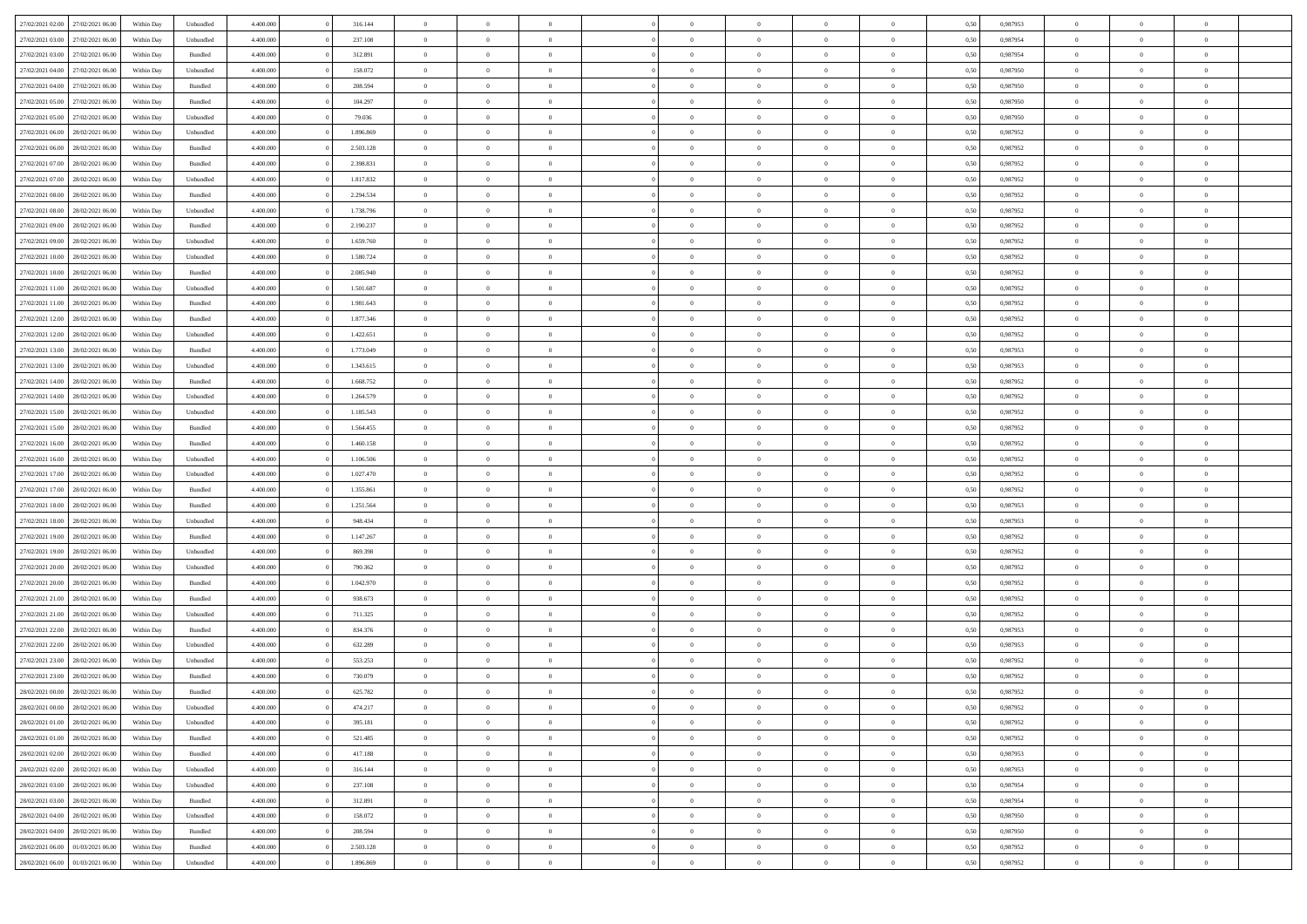| 27/02/2021 02:00 27/02/2021 06:00 |                  | Within Day | Unbundled | 4.400,000 | 316,144   | $\overline{0}$ | $\Omega$       |                |                | $\Omega$       | $\Omega$       |                | 0,50 | 0,987953 | $\overline{0}$ | $\Omega$       |                |  |
|-----------------------------------|------------------|------------|-----------|-----------|-----------|----------------|----------------|----------------|----------------|----------------|----------------|----------------|------|----------|----------------|----------------|----------------|--|
| 27/02/2021 03:00                  | 27/02/2021 06:00 | Within Dav | Unbundled | 4.400.000 | 237.108   | $\overline{0}$ | $\overline{0}$ | $\overline{0}$ | $\overline{0}$ | $\overline{0}$ | $\overline{0}$ | $\overline{0}$ | 0,50 | 0,987954 | $\overline{0}$ | $\overline{0}$ | $\bf{0}$       |  |
| 27/02/2021 03:00                  | 27/02/2021 06:00 | Within Day | Bundled   | 4.400.000 | 312.891   | $\overline{0}$ | $\overline{0}$ | $\overline{0}$ | $\overline{0}$ | $\bf{0}$       | $\overline{0}$ | $\theta$       | 0,50 | 0,987954 | $\bf{0}$       | $\overline{0}$ | $\overline{0}$ |  |
| 27/02/2021 04:00                  | 27/02/2021 06:00 | Within Day | Unbundled | 4.400,000 | 158,072   | $\overline{0}$ | $\Omega$       | $\Omega$       | $^{\circ}$     | $\overline{0}$ | $\overline{0}$ | $\theta$       | 0.50 | 0.987950 | $\bf{0}$       | $\overline{0}$ | $\theta$       |  |
| 27/02/2021 04:00                  | 27/02/2021 06:00 | Within Dav | Bundled   | 4.400.000 | 208.594   | $\overline{0}$ | $\overline{0}$ | $\overline{0}$ | $\overline{0}$ | $\overline{0}$ | $\overline{0}$ | $\bf{0}$       | 0.50 | 0,987950 | $\overline{0}$ | $\theta$       | $\bf{0}$       |  |
|                                   |                  |            |           |           |           |                |                |                |                |                |                |                |      |          |                |                |                |  |
| 27/02/2021 05:00                  | 27/02/2021 06.00 | Within Day | Bundled   | 4.400.000 | 104.297   | $\overline{0}$ | $\bf{0}$       | $\overline{0}$ | $\overline{0}$ | $\bf{0}$       | $\overline{0}$ | $\bf{0}$       | 0,50 | 0,987950 | $\bf{0}$       | $\overline{0}$ | $\bf{0}$       |  |
| 27/02/2021 05:00                  | 27/02/2021 06:00 | Within Day | Unbundled | 4.400,000 | 79.036    | $\overline{0}$ | $\overline{0}$ | $\Omega$       | $\Omega$       | $\overline{0}$ | $\overline{0}$ | $\bf{0}$       | 0.50 | 0,987950 | $\bf{0}$       | $\overline{0}$ | $\bf{0}$       |  |
| 27/02/2021 06:00                  | 28/02/2021 06:00 | Within Dav | Unbundled | 4.400.000 | 1.896.869 | $\overline{0}$ | $\overline{0}$ | $\overline{0}$ | $\Omega$       | $\overline{0}$ | $\overline{0}$ | $\bf{0}$       | 0.50 | 0,987952 | $\mathbf{0}$   | $\overline{0}$ | $\overline{0}$ |  |
| 27/02/2021 06:00                  | 28/02/2021 06:00 | Within Day | Bundled   | 4.400.000 | 2.503.128 | $\overline{0}$ | $\bf{0}$       | $\overline{0}$ | $\overline{0}$ | $\bf{0}$       | $\overline{0}$ | $\bf{0}$       | 0,50 | 0,987952 | $\bf{0}$       | $\overline{0}$ | $\overline{0}$ |  |
| 27/02/2021 07:00                  | 28/02/2021 06:00 | Within Day | Bundled   | 4.400,000 | 2.398.831 | $\overline{0}$ | $\overline{0}$ | $\Omega$       | $\Omega$       | $\overline{0}$ | $\overline{0}$ | $\mathbf{0}$   | 0.50 | 0.987952 | $\bf{0}$       | $\overline{0}$ | $\bf{0}$       |  |
| 27/02/2021 07:00                  | 28/02/2021 06:00 | Within Dav | Unbundled | 4.400.000 | 1.817.832 | $\overline{0}$ | $\overline{0}$ | $\overline{0}$ | $\Omega$       | $\overline{0}$ | $\overline{0}$ | $\bf{0}$       | 0.50 | 0,987952 | $\mathbf{0}$   | $\overline{0}$ | $\bf{0}$       |  |
| 27/02/2021 08:00                  | 28/02/2021 06:00 | Within Day | Bundled   | 4.400.000 | 2.294.534 | $\overline{0}$ | $\overline{0}$ | $\overline{0}$ | $\overline{0}$ | $\bf{0}$       | $\overline{0}$ | $\bf{0}$       | 0,50 | 0,987952 | $\bf{0}$       | $\overline{0}$ | $\bf{0}$       |  |
| 27/02/2021 08:00                  | 28/02/2021 06:00 | Within Day | Unbundled | 4.400,000 | 1.738.796 | $\overline{0}$ | $\Omega$       | $\Omega$       | $\Omega$       | $\overline{0}$ | $\overline{0}$ | $\theta$       | 0.50 | 0.987952 | $\bf{0}$       | $\overline{0}$ | $\theta$       |  |
| 27/02/2021 09:00                  | 28/02/2021 06:00 | Within Dav | Bundled   | 4.400.000 | 2.190.237 | $\overline{0}$ | $\overline{0}$ | $\overline{0}$ | $\Omega$       | $\overline{0}$ | $\overline{0}$ | $\bf{0}$       | 0.50 | 0,987952 | $\overline{0}$ | $\overline{0}$ | $\bf{0}$       |  |
| 27/02/2021 09:00                  | 28/02/2021 06:00 | Within Day | Unbundled | 4.400.000 | 1.659.760 | $\overline{0}$ | $\bf{0}$       | $\overline{0}$ | $\overline{0}$ | $\bf{0}$       | $\overline{0}$ | $\bf{0}$       | 0,50 | 0,987952 | $\bf{0}$       | $\overline{0}$ | $\overline{0}$ |  |
| 27/02/2021 10:00                  | 28/02/2021 06:00 | Within Day | Unbundled | 4.400,000 | 1.580.724 | $\overline{0}$ | $\overline{0}$ | $\Omega$       | $\Omega$       | $\overline{0}$ | $\overline{0}$ | $\bf{0}$       | 0.50 | 0,987952 | $\bf{0}$       | $\overline{0}$ | $\bf{0}$       |  |
| 27/02/2021 10:00                  | 28/02/2021 06:00 | Within Dav | Bundled   | 4.400.000 | 2.085.940 | $\overline{0}$ | $\overline{0}$ | $\overline{0}$ | $\Omega$       | $\overline{0}$ | $\overline{0}$ | $\bf{0}$       | 0.50 | 0,987952 | $\mathbf{0}$   | $\overline{0}$ | $\overline{0}$ |  |
| 27/02/2021 11:00                  | 28/02/2021 06:00 | Within Day | Unbundled | 4.400.000 | 1.501.687 | $\overline{0}$ | $\overline{0}$ | $\overline{0}$ | $\overline{0}$ | $\bf{0}$       | $\overline{0}$ | $\bf{0}$       | 0,50 | 0,987952 | $\bf{0}$       | $\overline{0}$ | $\bf{0}$       |  |
| 27/02/2021 11:00                  | 28/02/2021 06:00 | Within Day | Bundled   | 4.400,000 | 1.981.643 | $\overline{0}$ | $\overline{0}$ | $\Omega$       | $\Omega$       | $\overline{0}$ | $\overline{0}$ | $\mathbf{0}$   | 0.50 | 0.987952 | $\bf{0}$       | $\overline{0}$ | $\bf{0}$       |  |
| 27/02/2021 12:00                  | 28/02/2021 06:00 | Within Dav | Bundled   | 4.400.000 | 1.877.346 | $\overline{0}$ | $\overline{0}$ | $\overline{0}$ | $\Omega$       | $\overline{0}$ | $\overline{0}$ | $\bf{0}$       | 0.50 | 0,987952 | $\mathbf{0}$   | $\overline{0}$ | $\bf{0}$       |  |
| 27/02/2021 12:00                  | 28/02/2021 06:00 | Within Day | Unbundled | 4.400.000 | 1.422.651 | $\overline{0}$ | $\overline{0}$ | $\overline{0}$ | $\overline{0}$ | $\bf{0}$       | $\overline{0}$ | $\theta$       | 0,50 | 0,987952 | $\bf{0}$       | $\overline{0}$ | $\overline{0}$ |  |
| 27/02/2021 13:00                  | 28/02/2021 06:00 | Within Day | Bundled   | 4.400,000 | 1.773.049 | $\overline{0}$ | $\Omega$       | $\Omega$       | $^{\circ}$     | $\overline{0}$ | $\overline{0}$ | $\theta$       | 0.50 | 0.987953 | $\overline{0}$ | $\overline{0}$ | $\theta$       |  |
| 27/02/2021 13:00                  | 28/02/2021 06:00 | Within Day | Unbundled | 4.400.000 | 1.343.615 | $\overline{0}$ | $\overline{0}$ | $\overline{0}$ | $\Omega$       | $\overline{0}$ | $\overline{0}$ | $\bf{0}$       | 0.50 | 0,987953 | $\overline{0}$ | $\overline{0}$ | $\bf{0}$       |  |
|                                   |                  |            |           |           |           | $\overline{0}$ | $\overline{0}$ | $\overline{0}$ |                |                |                |                |      |          | $\bf{0}$       |                |                |  |
| 27/02/2021 14:00                  | 28/02/2021 06:00 | Within Day | Bundled   | 4.400.000 | 1.668.752 |                |                |                | $\overline{0}$ | $\bf{0}$       | $\overline{0}$ | $\bf{0}$       | 0,50 | 0,987952 |                | $\overline{0}$ | $\bf{0}$       |  |
| 27/02/2021 14:00                  | 28/02/2021 06:00 | Within Day | Unbundled | 4.400,000 | 1.264.579 | $\overline{0}$ | $\overline{0}$ | $\Omega$       | $\Omega$       | $\overline{0}$ | $\overline{0}$ | $\bf{0}$       | 0,50 | 0,987952 | $\bf{0}$       | $\overline{0}$ | $\bf{0}$       |  |
| 27/02/2021 15:00                  | 28/02/2021 06:00 | Within Dav | Unbundled | 4.400.000 | 1.185.543 | $\overline{0}$ | $\overline{0}$ | $\overline{0}$ | $\Omega$       | $\overline{0}$ | $\overline{0}$ | $\overline{0}$ | 0.50 | 0,987952 | $\mathbf{0}$   | $\overline{0}$ | $\overline{0}$ |  |
| 27/02/2021 15:00                  | 28/02/2021 06:00 | Within Day | Bundled   | 4.400.000 | 1.564.455 | $\overline{0}$ | $\overline{0}$ | $\overline{0}$ | $\overline{0}$ | $\bf{0}$       | $\overline{0}$ | $\bf{0}$       | 0,50 | 0,987952 | $\bf{0}$       | $\overline{0}$ | $\overline{0}$ |  |
| 27/02/2021 16:00                  | 28/02/2021 06:00 | Within Day | Bundled   | 4.400,000 | 1.460.158 | $\overline{0}$ | $\overline{0}$ | $\Omega$       | $\Omega$       | $\overline{0}$ | $\overline{0}$ | $\mathbf{0}$   | 0.50 | 0.987952 | $\bf{0}$       | $\overline{0}$ | $\theta$       |  |
| 27/02/2021 16:00                  | 28/02/2021 06:00 | Within Dav | Unbundled | 4.400.000 | 1.106.506 | $\overline{0}$ | $\overline{0}$ | $\overline{0}$ | $\overline{0}$ | $\overline{0}$ | $\overline{0}$ | $\overline{0}$ | 0.50 | 0,987952 | $\overline{0}$ | $\overline{0}$ | $\bf{0}$       |  |
| 27/02/2021 17:00                  | 28/02/2021 06:00 | Within Day | Unbundled | 4.400.000 | 1.027.470 | $\overline{0}$ | $\overline{0}$ | $\overline{0}$ | $\overline{0}$ | $\bf{0}$       | $\overline{0}$ | $\bf{0}$       | 0,50 | 0,987952 | $\bf{0}$       | $\overline{0}$ | $\bf{0}$       |  |
| 27/02/2021 17:00                  | 28/02/2021 06:00 | Within Day | Bundled   | 4.400.000 | 1.355.861 | $\overline{0}$ | $\overline{0}$ | $\Omega$       | $\overline{0}$ | $\bf{0}$       | $\overline{0}$ | $\bf{0}$       | 0,50 | 0,987952 | $\bf{0}$       | $\overline{0}$ | $\overline{0}$ |  |
| 27/02/2021 18:00                  | 28/02/2021 06:00 | Within Dav | Bundled   | 4.400.000 | 1.251.564 | $\overline{0}$ | $\overline{0}$ | $\overline{0}$ | $\Omega$       | $\overline{0}$ | $\overline{0}$ | $\overline{0}$ | 0.50 | 0,987953 | $\mathbf{0}$   | $\overline{0}$ | $\overline{0}$ |  |
| 27/02/2021 18:00                  | 28/02/2021 06:00 | Within Day | Unbundled | 4.400.000 | 948.434   | $\overline{0}$ | $\bf{0}$       | $\overline{0}$ | $\overline{0}$ | $\bf{0}$       | $\overline{0}$ | $\bf{0}$       | 0,50 | 0,987953 | $\bf{0}$       | $\overline{0}$ | $\overline{0}$ |  |
| 27/02/2021 19:00                  | 28/02/2021 06:00 | Within Day | Bundled   | 4.400.000 | 1.147.267 | $\overline{0}$ | $\overline{0}$ | $\Omega$       | $\overline{0}$ | $\bf{0}$       | $\overline{0}$ | $\bf{0}$       | 0,50 | 0,987952 | $\bf{0}$       | $\overline{0}$ | $\bf{0}$       |  |
| 27/02/2021 19:00                  | 28/02/2021 06:00 | Within Dav | Unbundled | 4.400.000 | 869.398   | $\overline{0}$ | $\overline{0}$ | $\overline{0}$ | $\Omega$       | $\theta$       | $\overline{0}$ | $\overline{0}$ | 0.50 | 0,987952 | $\mathbf{0}$   | $\overline{0}$ | $\overline{0}$ |  |
| 27/02/2021 20:00                  | 28/02/2021 06:00 | Within Day | Unbundled | 4.400.000 | 790.362   | $\overline{0}$ | $\overline{0}$ | $\overline{0}$ | $\overline{0}$ | $\bf{0}$       | $\overline{0}$ | $\bf{0}$       | 0,50 | 0,987952 | $\bf{0}$       | $\overline{0}$ | $\bf{0}$       |  |
| 27/02/2021 20:00                  | 28/02/2021 06:00 | Within Day | Bundled   | 4.400.000 | 1.042.970 | $\overline{0}$ | $\overline{0}$ | $\Omega$       | $\overline{0}$ | $\overline{0}$ | $\overline{0}$ | $\bf{0}$       | 0,50 | 0,987952 | $\bf{0}$       | $\overline{0}$ | $\overline{0}$ |  |
| 27/02/2021 21:00                  | 28/02/2021 06:00 | Within Dav | Bundled   | 4.400.000 | 938.673   | $\overline{0}$ | $\overline{0}$ | $\overline{0}$ | $\overline{0}$ | $\overline{0}$ | $\overline{0}$ | $\overline{0}$ | 0.50 | 0,987952 | $\overline{0}$ | $\overline{0}$ | $\bf{0}$       |  |
| 27/02/2021 21:00                  | 28/02/2021 06:00 | Within Day | Unbundled | 4.400.000 | 711.325   | $\overline{0}$ | $\overline{0}$ | $\overline{0}$ | $\overline{0}$ | $\bf{0}$       | $\overline{0}$ | $\bf{0}$       | 0,50 | 0,987952 | $\bf{0}$       | $\overline{0}$ | $\overline{0}$ |  |
| 27/02/2021 22:00                  | 28/02/2021 06:00 | Within Day | Bundled   | 4.400.000 | 834.376   | $\overline{0}$ | $\overline{0}$ | $\Omega$       | $\overline{0}$ | $\bf{0}$       | $\overline{0}$ | $\bf{0}$       | 0,50 | 0,987953 | $\bf{0}$       | $\overline{0}$ | $\overline{0}$ |  |
| 27/02/2021 22:00                  | 28/02/2021 06:00 | Within Dav | Unbundled | 4.400.000 | 632.289   | $\overline{0}$ | $\overline{0}$ | $\overline{0}$ | $\Omega$       | $\overline{0}$ | $\overline{0}$ | $\overline{0}$ | 0.50 | 0,987953 | $\mathbf{0}$   | $\overline{0}$ | $\overline{0}$ |  |
| 27/02/2021 23:00                  | 28/02/2021 06:00 | Within Day | Unbundled | 4.400.000 | 553.253   | $\overline{0}$ | $\overline{0}$ | $\overline{0}$ | $\overline{0}$ | $\bf{0}$       | $\overline{0}$ | $\bf{0}$       | 0,50 | 0,987952 | $\bf{0}$       | $\overline{0}$ | $\overline{0}$ |  |
| 27/02/2021 23:00                  | 28/02/2021 06:00 | Within Day | Bundled   | 4.400.000 | 730.079   | $\overline{0}$ | $\overline{0}$ | $\Omega$       | $\overline{0}$ | $\bf{0}$       | $\overline{0}$ | $\bf{0}$       | 0,50 | 0,987952 | $\bf{0}$       | $\overline{0}$ | $\bf{0}$       |  |
| 28/02/2021 00:00                  | 28/02/2021 06:00 | Within Dav | Bundled   | 4.400.000 | 625.782   | $\overline{0}$ | $\overline{0}$ | $\overline{0}$ | $\Omega$       | $\overline{0}$ | $\overline{0}$ | $\theta$       | 0.50 | 0,987952 | $\overline{0}$ | $\theta$       | $\bf{0}$       |  |
| 28/02/2021 00:00                  | 28/02/2021 06:00 | Within Day | Unbundled | 4.400.000 | 474.217   | $\overline{0}$ | $\overline{0}$ |                |                | $\theta$       | $\theta$       |                | 0,50 | 0,987952 | $\overline{0}$ | $\theta$       | $\overline{0}$ |  |
| 28/02/2021 01:00 28/02/2021 06:00 |                  | Within Day | Unbundled | 4.400.000 | 395.181   | $\overline{0}$ | $\bf{0}$       | $\overline{0}$ | $\overline{0}$ | $\,$ 0 $\,$    | $\overline{0}$ | $\overline{0}$ | 0,50 | 0,987952 | $\bf{0}$       | $\bf{0}$       | $\bf{0}$       |  |
| 28/02/2021 01:00                  | 28/02/2021 06:00 | Within Day | Bundled   | 4.400.000 | 521.485   | $\overline{0}$ | $\overline{0}$ | $\overline{0}$ | $\overline{0}$ | $\overline{0}$ | $\overline{0}$ | $\mathbf{0}$   | 0,50 | 0,987952 | $\overline{0}$ | $\overline{0}$ | $\bf{0}$       |  |
|                                   |                  |            |           |           |           |                |                |                |                |                |                |                |      |          |                |                |                |  |
| 28/02/2021 02:00                  | 28/02/2021 06:00 | Within Day | Bundled   | 4.400.000 | 417.188   | $\overline{0}$ | $\,$ 0 $\,$    | $\overline{0}$ | $\overline{0}$ | $\,$ 0         | $\overline{0}$ | $\overline{0}$ | 0,50 | 0,987953 | $\,$ 0 $\,$    | $\,$ 0 $\,$    | $\bf{0}$       |  |
| 28/02/2021 02:00                  | 28/02/2021 06:00 | Within Day | Unbundled | 4.400.000 | 316.144   | $\overline{0}$ | $\bf{0}$       | $\overline{0}$ | $\overline{0}$ | $\bf{0}$       | $\overline{0}$ | $\bf{0}$       | 0,50 | 0,987953 | $\bf{0}$       | $\bf{0}$       | $\bf{0}$       |  |
| 28/02/2021 03:00                  | 28/02/2021 06:00 | Within Day | Unbundled | 4.400.000 | 237.108   | $\overline{0}$ | $\overline{0}$ | $\overline{0}$ | $\overline{0}$ | $\mathbf{0}$   | $\overline{0}$ | $\mathbf{0}$   | 0,50 | 0,987954 | $\mathbf{0}$   | $\overline{0}$ | $\bf{0}$       |  |
| 28/02/2021 03:00                  | 28/02/2021 06:00 | Within Day | Bundled   | 4.400.000 | 312.891   | $\overline{0}$ | $\,$ 0 $\,$    | $\overline{0}$ | $\overline{0}$ | $\,$ 0 $\,$    | $\overline{0}$ | $\overline{0}$ | 0,50 | 0,987954 | $\,$ 0 $\,$    | $\overline{0}$ | $\bf{0}$       |  |
| 28/02/2021 04:00                  | 28/02/2021 06:00 | Within Day | Unbundled | 4.400.000 | 158.072   | $\overline{0}$ | $\overline{0}$ | $\overline{0}$ | $\overline{0}$ | $\bf{0}$       | $\overline{0}$ | $\bf{0}$       | 0,50 | 0,987950 | $\bf{0}$       | $\bf{0}$       | $\bf{0}$       |  |
| 28/02/2021 04:00                  | 28/02/2021 06:00 | Within Day | Bundled   | 4.400.000 | 208.594   | $\overline{0}$ | $\theta$       | $\overline{0}$ | $\overline{0}$ | $\bf{0}$       | $\overline{0}$ | $\mathbf{0}$   | 0,50 | 0,987950 | $\overline{0}$ | $\overline{0}$ | $\bf{0}$       |  |
| 28/02/2021 06:00                  | 01/03/2021 06:00 | Within Day | Bundled   | 4.400.000 | 2.503.128 | $\overline{0}$ | $\,$ 0 $\,$    | $\overline{0}$ | $\overline{0}$ | $\,$ 0 $\,$    | $\overline{0}$ | $\bf{0}$       | 0,50 | 0,987952 | $\,0\,$        | $\overline{0}$ | $\bf{0}$       |  |
| 28/02/2021 06:00                  | 01/03/2021 06:00 | Within Day | Unbundled | 4.400.000 | 1.896.869 | $\overline{0}$ | $\overline{0}$ | $\overline{0}$ | $\overline{0}$ | $\bf{0}$       | $\overline{0}$ | $\bf{0}$       | 0,50 | 0,987952 | $\mathbf{0}$   | $\bf{0}$       | $\bf{0}$       |  |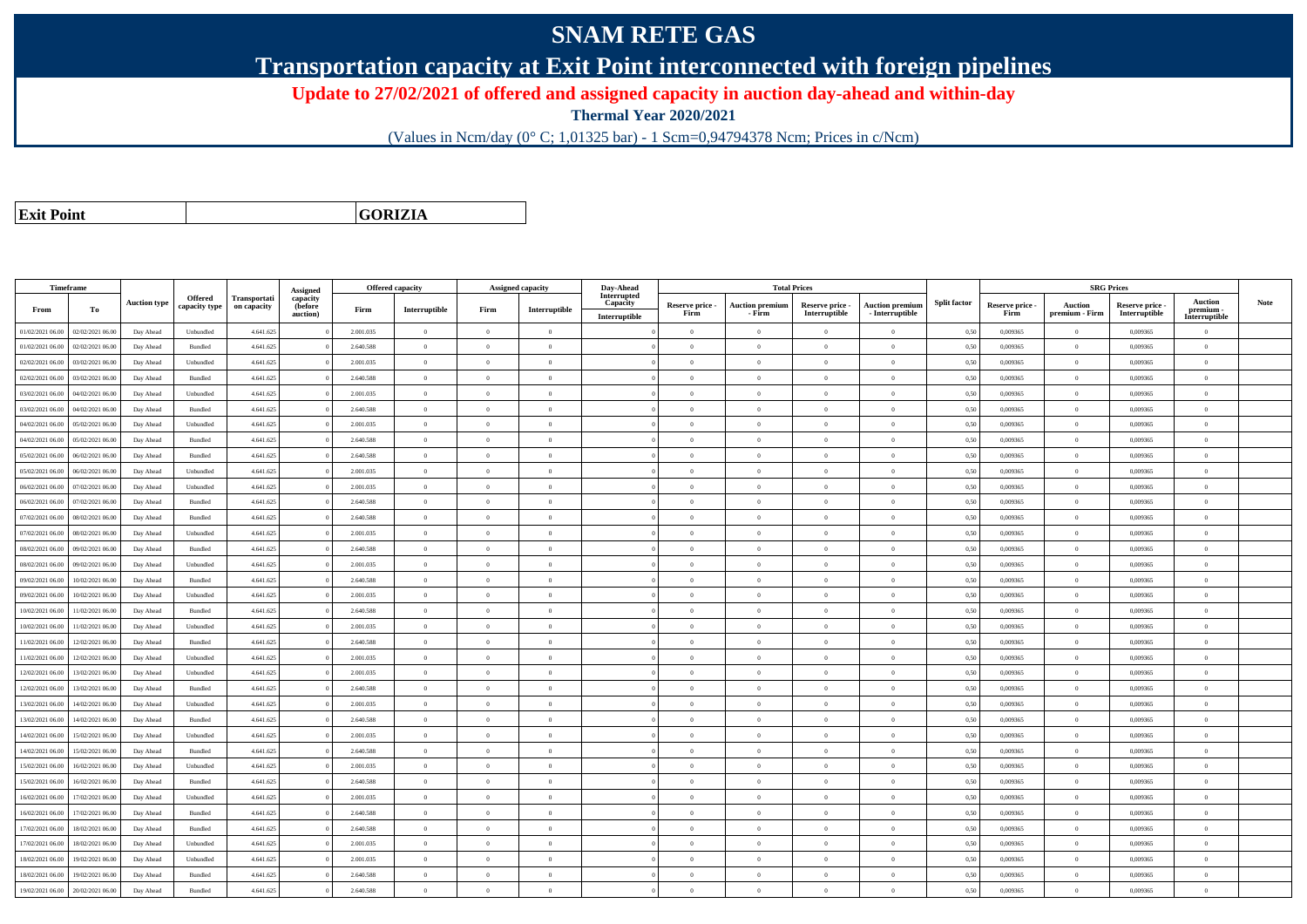## **SNAM RETE GAS**

**Transportation capacity at Exit Point interconnected with foreign pipelines**

**Update to 27/02/2021 of offered and assigned capacity in auction day-ahead and within-day**

**Thermal Year 2020/2021**

(Values in Ncm/day (0° C; 1,01325 bar) - 1 Scm=0,94794378 Ncm; Prices in c/Ncm)

**Exit Point**

**GORIZIA**

|                  | Timeframe        |                     |                          |                             |                                             |           | Offered capacity | Assigned capacity |                | Day-Ahead                                |                         |                                  | <b>Total Prices</b>              |                                             |                     |                         | <b>SRG Prices</b>         |                                  |                                            |      |
|------------------|------------------|---------------------|--------------------------|-----------------------------|---------------------------------------------|-----------|------------------|-------------------|----------------|------------------------------------------|-------------------------|----------------------------------|----------------------------------|---------------------------------------------|---------------------|-------------------------|---------------------------|----------------------------------|--------------------------------------------|------|
| From             | Тo               | <b>Auction type</b> | Offered<br>capacity type | Transportati<br>on capacity | Assigned<br>capacity<br>(before<br>auction) | Firm      | Interruptible    | Firm              | Interruptible  | Interrupted<br>Capacity<br>Interruptible | Reserve price -<br>Firm | <b>Auction premium</b><br>- Firm | Reserve price -<br>Interruptible | <b>Auction premium</b><br>$-$ Interruptible | <b>Split factor</b> | Reserve price -<br>Firm | Auction<br>premium - Firm | Reserve price -<br>Interruptible | <b>Auction</b><br>premium<br>Interruptible | Note |
| 01/02/2021 06:00 | 02/02/2021 06:00 | Day Ahead           | Unbundled                | 4.641.625                   |                                             | 2.001.035 | $\theta$         | $\overline{0}$    | $\theta$       |                                          | $\overline{0}$          | $\overline{0}$                   | $\Omega$                         | $\overline{0}$                              | 0,50                | 0,009365                | $\theta$                  | 0,009365                         | $\bf{0}$                                   |      |
| 01/02/2021 06:00 | 02/02/2021 06:00 | Day Ahead           | Bundled                  | 4.641.625                   |                                             | 2.640.588 | $\overline{0}$   | $\Omega$          | $\overline{0}$ |                                          | $\theta$                | $\overline{0}$                   | $\Omega$                         | $\overline{0}$                              | 0,50                | 0,009365                | $\,0\,$                   | 0,009365                         | $\overline{0}$                             |      |
| 02/02/2021 06:00 | 03/02/2021 06:00 | Day Ahead           | Unbundled                | 4.641.625                   |                                             | 2.001.035 | $\theta$         |                   | $\Omega$       |                                          | $\theta$                | $\Omega$                         |                                  | $\theta$                                    | 0,50                | 0,009365                | $\theta$                  | 0,009365                         | $\theta$                                   |      |
| 02/02/2021 06:00 | 03/02/2021 06:00 | Day Ahead           | Bundled                  | 4.641.625                   |                                             | 2.640.588 | $\overline{0}$   | $\overline{0}$    | $\Omega$       |                                          | $\theta$                | $\overline{0}$                   | $\Omega$                         | $\theta$                                    | 0,50                | 0.009365                | $\overline{0}$            | 0.009365                         | $\mathbf{0}$                               |      |
| 03/02/2021 06:00 | 04/02/2021 06.00 | Day Ahead           | Unbundled                | 4.641.625                   |                                             | 2.001.035 | $\theta$         | $\Omega$          | $\theta$       |                                          | $\theta$                | $\overline{0}$                   | $\Omega$                         | $\overline{0}$                              | 0,50                | 0,009365                | $\overline{0}$            | 0,009365                         | $\overline{0}$                             |      |
| 03/02/2021 06:00 | 04/02/2021 06:00 | Day Ahead           | <b>Bundled</b>           | 4.641.625                   |                                             | 2.640.588 | $\theta$         | $\Omega$          | $\theta$       |                                          | $\theta$                | $\overline{0}$                   | $\Omega$                         | $\theta$                                    | 0.50                | 0.009365                | $\overline{0}$            | 0.009365                         | $\theta$                                   |      |
| 04/02/2021 06:00 | 05/02/2021 06:00 | Day Ahead           | Unbundled                | 4.641.625                   |                                             | 2.001.035 | $\theta$         | $\Omega$          | $\theta$       |                                          | $\theta$                | $\theta$                         | $\Omega$                         | $\theta$                                    | 0.50                | 0.009365                | $\theta$                  | 0.009365                         | $\theta$                                   |      |
| 04/02/2021 06:00 | 05/02/2021 06:00 | Day Ahead           | Bundled                  | 4.641.625                   |                                             | 2.640.588 | $\theta$         | $\Omega$          | $\theta$       |                                          | $\overline{0}$          | $\overline{0}$                   | $\overline{0}$                   | $\overline{0}$                              | 0,50                | 0,009365                | $\theta$                  | 0.009365                         | $\overline{0}$                             |      |
| 05/02/2021 06:00 | 06/02/2021 06:00 | Day Ahead           | Bundled                  | 4.641.625                   |                                             | 2.640.588 | $\theta$         | $\Omega$          | $\Omega$       |                                          | $\theta$                | $\theta$                         | $\Omega$                         | $\theta$                                    | 0.50                | 0.009365                | $\theta$                  | 0.009365                         | $\theta$                                   |      |
| 05/02/2021 06.00 | 06/02/2021 06.00 | Day Ahead           | Unbundled                | 4.641.625                   |                                             | 2.001.035 | $\theta$         |                   | $\theta$       |                                          | $\theta$                | $\bf{0}$                         |                                  | $\overline{0}$                              | 0,50                | 0,009365                | $\theta$                  | 0,009365                         | $\overline{0}$                             |      |
| 06/02/2021 06:00 | 07/02/2021 06.00 | Day Ahead           | Unbundled                | 4.641.625                   |                                             | 2.001.035 | $\theta$         | $\Omega$          | $\theta$       |                                          | $\theta$                | $\overline{0}$                   | $\Omega$                         | $\overline{0}$                              | 0,50                | 0,009365                | $\theta$                  | 0,009365                         | $\overline{0}$                             |      |
| 06/02/2021 06:00 | 07/02/2021 06:00 | Day Ahead           | Bundled                  | 4.641.625                   |                                             | 2.640.588 | $\overline{0}$   | $\Omega$          | $\overline{0}$ |                                          | $\overline{0}$          | $\overline{0}$                   | $\Omega$                         | $\overline{0}$                              | 0,50                | 0,009365                | $\,$ 0 $\,$               | 0.009365                         | $\bf{0}$                                   |      |
| 07/02/2021 06:00 | 08/02/2021 06:00 | Day Ahead           | Bundled                  | 4.641.625                   |                                             | 2.640.588 | $\theta$         | $\Omega$          | $\Omega$       |                                          | $\theta$                | $\theta$                         | $\Omega$                         | $\overline{0}$                              | 0,50                | 0,009365                | $\theta$                  | 0,009365                         | $\overline{0}$                             |      |
| 07/02/2021 06:00 | 08/02/2021 06:00 | Day Ahead           | Unbundled                | 4.641.625                   |                                             | 2.001.035 | $\theta$         | $\overline{0}$    | $\theta$       |                                          | $\theta$                | $\overline{0}$                   | $\Omega$                         | $\theta$                                    | 0.50                | 0.009365                | $\Omega$                  | 0.009365                         | $\theta$                                   |      |
| 08/02/2021 06:00 | 09/02/2021 06.00 | Day Ahead           | Bundled                  | 4.641.625                   |                                             | 2.640.588 | $\theta$         | $\Omega$          | $\theta$       |                                          | $\theta$                | $\overline{0}$                   | $\Omega$                         | $\overline{0}$                              | 0,50                | 0,009365                | $\theta$                  | 0,009365                         | $\theta$                                   |      |
| 08/02/2021 06:00 | 09/02/2021 06:00 | Day Ahead           | Unbundled                | 4.641.625                   |                                             | 2.001.035 | $\theta$         |                   | $\theta$       |                                          | $\theta$                | $\theta$                         |                                  | $\theta$                                    | 0.50                | 0.009365                | $\theta$                  | 0.009365                         | $\Omega$                                   |      |
| 09/02/2021 06:00 | 10/02/2021 06:00 | Day Ahead           | Bundled                  | 4.641.625                   |                                             | 2.640.588 | $\overline{0}$   | $\overline{0}$    | $\overline{0}$ |                                          | $\overline{0}$          | $\overline{0}$                   | $\Omega$                         | $\overline{0}$                              | 0,50                | 0.009365                | $\overline{0}$            | 0.009365                         | $\bf{0}$                                   |      |
| 09/02/2021 06:00 | 10/02/2021 06:00 | Day Ahead           | Unbundled                | 4.641.625                   |                                             | 2.001.035 | $\overline{0}$   | $\overline{0}$    | $\theta$       |                                          | $\theta$                | $\overline{0}$                   | $\overline{0}$                   | $\overline{0}$                              | 0,50                | 0,009365                | $\theta$                  | 0,009365                         | $\overline{0}$                             |      |
| 10/02/2021 06:00 | 11/02/2021 06:00 | Day Ahead           | Bundled                  | 4.641.625                   |                                             | 2.640.588 | $\theta$         | $\Omega$          | $\Omega$       |                                          | $\theta$                | $\theta$                         | $\Omega$                         | $\theta$                                    | 0.50                | 0.009365                | $\overline{0}$            | 0.009365                         | $\theta$                                   |      |
| 10/02/2021 06:00 | 1/02/2021 06.00  | Day Ahead           | Unbundled                | 4.641.625                   |                                             | 2.001.035 | $\theta$         | $\Omega$          | $\Omega$       |                                          | $\theta$                | $\theta$                         | $\Omega$                         | $\theta$                                    | 0,50                | 0,009365                | $\,$ 0 $\,$               | 0.009365                         | $\theta$                                   |      |
| 11/02/2021 06:00 | 12/02/2021 06:00 | Day Ahead           | Bundled                  | 4.641.625                   |                                             | 2.640.588 | $\theta$         |                   | $\Omega$       |                                          | $\theta$                | $\Omega$                         | $\Omega$                         | $\overline{0}$                              | 0,50                | 0,009365                | $\theta$                  | 0,009365                         | $\Omega$                                   |      |
| 11/02/2021 06.00 | 12/02/2021 06:00 | Day Ahead           | Unbundled                | 4.641.625                   |                                             | 2.001.035 | $\theta$         | $\Omega$          | $\Omega$       |                                          | $\Omega$                | $\sqrt{2}$                       | $\Omega$                         | $\Omega$                                    | 0,50                | 0.009365                | $\theta$                  | 0.009365                         | $\sqrt{2}$                                 |      |
| 12/02/2021 06:00 | 13/02/2021 06.0  | Day Ahead           | Unbundled                | 4.641.625                   |                                             | 2.001.035 | $\theta$         | $\Omega$          | $\theta$       |                                          | $\overline{0}$          | $\theta$                         | $\Omega$                         | $\overline{0}$                              | 0,50                | 0,009365                | $\theta$                  | 0,009365                         | $\overline{0}$                             |      |
| 12/02/2021 06:00 | 13/02/2021 06:00 | Day Ahead           | <b>Bundled</b>           | 4.641.625                   |                                             | 2.640.588 | $\theta$         | $\overline{0}$    | $\Omega$       |                                          | $\theta$                | $\overline{0}$                   | $\Omega$                         | $\theta$                                    | 0,50                | 0.009365                | $\theta$                  | 0.009365                         | $\theta$                                   |      |
| 13/02/2021 06:00 | 14/02/2021 06.00 | Day Ahead           | Unbundled                | 4.641.625                   |                                             | 2.001.035 | $\overline{0}$   | $\Omega$          | $\overline{0}$ |                                          | $\overline{0}$          | $\overline{0}$                   | $\Omega$                         | $\overline{0}$                              | 0,50                | 0,009365                | $\overline{0}$            | 0.009365                         | $\overline{0}$                             |      |
| 13/02/2021 06.00 | 14/02/2021 06.0  | Day Ahead           | Bundled                  | 4.641.625                   |                                             | 2.640.588 | $\overline{0}$   | $\overline{0}$    | $\theta$       |                                          | $\theta$                | $\overline{0}$                   | $\Omega$                         | $\overline{0}$                              | 0,50                | 0,009365                | $\theta$                  | 0,009365                         | $\bf{0}$                                   |      |
| 14/02/2021 06:00 | 15/02/2021 06:00 | Day Ahead           | Unbundled                | 4.641.625                   |                                             | 2.001.035 | $\overline{0}$   | $\overline{0}$    | $\theta$       |                                          | $\overline{0}$          | $\theta$                         | $\Omega$                         | $\overline{0}$                              | 0,50                | 0,009365                | $\,$ 0 $\,$               | 0,009365                         | $\bf{0}$                                   |      |
| 14/02/2021 06:00 | 15/02/2021 06.00 | Day Ahead           | Bundled                  | 4.641.625                   |                                             | 2.640.588 | $\theta$         | $\Omega$          | $\theta$       |                                          | $\theta$                | $\overline{0}$                   | $\Omega$                         | $\overline{0}$                              | 0,50                | 0,009365                | $\theta$                  | 0,009365                         | $\overline{0}$                             |      |
| 15/02/2021 06:00 | 16/02/2021 06:00 | Day Ahead           | Unbundled                | 4.641.625                   |                                             | 2.001.035 | $\theta$         |                   | $\Omega$       |                                          | $\theta$                | $\Omega$                         |                                  | $\theta$                                    | 0,50                | 0,009365                | $\theta$                  | 0,009365                         | $\Omega$                                   |      |
| 15/02/2021 06:00 | 16/02/2021 06:00 | Day Ahead           | Bundled                  | 4.641.625                   |                                             | 2.640.588 | $\theta$         | $\alpha$          | $\theta$       |                                          | $\theta$                | $\overline{0}$                   | $\Omega$                         | $\theta$                                    | 0,50                | 0,009365                | $\theta$                  | 0.009365                         | $\theta$                                   |      |
| 16/02/2021 06:00 | 17/02/2021 06.00 | Day Ahead           | Unbundled                | 4.641.625                   |                                             | 2.001.035 | $\theta$         | $\Omega$          | $\theta$       |                                          | $\overline{0}$          | $\theta$                         | $\Omega$                         | $\overline{0}$                              | 0,50                | 0,009365                | $\theta$                  | 0,009365                         | $\theta$                                   |      |
| 16/02/2021 06:00 | 17/02/2021 06:00 | Day Ahead           | Bundled                  | 4.641.625                   |                                             | 2.640.588 | $\theta$         | $\Omega$          | $\Omega$       |                                          | $\theta$                | $\overline{0}$                   | $\Omega$                         | $\theta$                                    | 0.50                | 0.009365                | $^{\circ}$                | 0.009365                         | $\theta$                                   |      |
| 17/02/2021 06:00 | 18/02/2021 06.0  | Day Ahead           | Bundled                  | 4.641.625                   |                                             | 2.640.588 | $\theta$         | $\Omega$          | $\theta$       |                                          | $\overline{0}$          | $\theta$                         | $\Omega$                         | $\overline{0}$                              | 0,50                | 0,009365                | $\theta$                  | 0,009365                         | $\theta$                                   |      |
| 17/02/2021 06:00 | 18/02/2021 06:00 | Day Ahead           | Unbundled                | 4.641.625                   |                                             | 2.001.035 | $\theta$         | $\Omega$          | $\theta$       |                                          | $\theta$                | $\overline{0}$                   | $\Omega$                         | $\overline{0}$                              | 0.50                | 0.009365                | $\theta$                  | 0.009365                         | $\overline{0}$                             |      |
| 18/02/2021 06:00 | 19/02/2021 06:00 | Day Ahead           | Unbundled                | 4.641.625                   |                                             | 2.001.035 | $\theta$         | $\Omega$          | $\Omega$       |                                          | $\theta$                | $\overline{0}$                   | $\Omega$                         | $\theta$                                    | 0,50                | 0.009365                | $\theta$                  | 0.009365                         | $\theta$                                   |      |
| 18/02/2021 06:00 | 9/02/2021 06.0   | Day Ahead           | Bundled                  | 4.641.625                   |                                             | 2.640.588 | $\theta$         |                   | $\theta$       |                                          | $\theta$                | $\bf{0}$                         |                                  | $\overline{0}$                              | 0,50                | 0,009365                | $\theta$                  | 0,009365                         | $\overline{0}$                             |      |
| 19/02/2021 06:00 | 20/02/2021 06:00 | Day Ahead           | Bundled                  | 4.641.625                   |                                             | 2.640.588 | $\theta$         | $\Omega$          | $\theta$       |                                          | $\theta$                | $\theta$                         | $\Omega$                         | $\theta$                                    | 0,50                | 0.009365                | $\theta$                  | 0.009365                         | $\theta$                                   |      |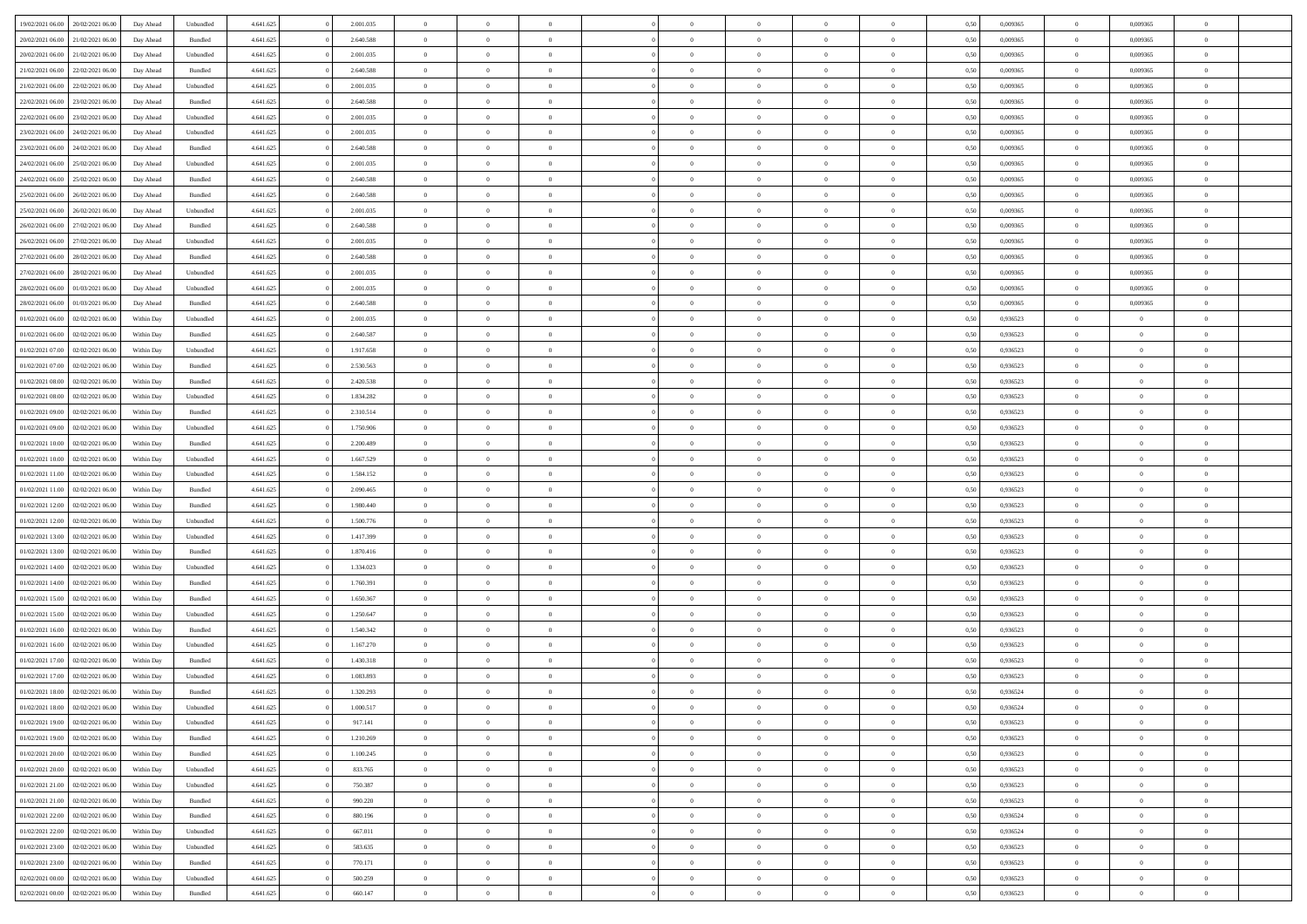| 19/02/2021 06:00 20/02/2021 06:00    | Day Ahead                | Unbundled | 4.641.625 | 2.001.035 | $\overline{0}$ | $\overline{0}$             | $\Omega$       | $\Omega$       | $\theta$                         | $\Omega$                         | $\theta$       | 0,50 | 0,009365 | $\theta$                | 0,009365                | $\theta$                         |  |
|--------------------------------------|--------------------------|-----------|-----------|-----------|----------------|----------------------------|----------------|----------------|----------------------------------|----------------------------------|----------------|------|----------|-------------------------|-------------------------|----------------------------------|--|
| 20/02/2021 06:00<br>21/02/2021 06:00 | Day Ahead                | Bundled   | 4.641.625 | 2.640.588 | $\overline{0}$ | $\overline{0}$             | $\overline{0}$ | $\overline{0}$ | $\theta$                         | $\overline{0}$                   | $\,$ 0 $\,$    | 0,50 | 0,009365 | $\theta$                | 0,009365                | $\overline{0}$                   |  |
| 20/02/2021 06:00<br>21/02/2021 06:00 | Day Ahead                | Unbundled | 4.641.625 | 2.001.035 | $\overline{0}$ | $\bf{0}$                   | $\overline{0}$ | $\overline{0}$ | $\overline{0}$                   | $\bf{0}$                         | $\bf{0}$       | 0,50 | 0,009365 | $\overline{0}$          | 0,009365                | $\overline{0}$                   |  |
| 21/02/2021 06:00<br>22/02/2021 06:00 | Day Ahead                | Bundled   | 4.641.625 | 2.640.588 | $\overline{0}$ | $\overline{0}$             | $\overline{0}$ | $\overline{0}$ | $\theta$                         | $\overline{0}$                   | $\overline{0}$ | 0.50 | 0.009365 | $\theta$                | 0.009365                | $\overline{0}$                   |  |
| 21/02/2021 06:00<br>22/02/2021 06:00 | Day Ahead                | Unbundled | 4.641.625 | 2.001.035 | $\overline{0}$ | $\theta$                   | $\overline{0}$ | $\overline{0}$ | $\theta$                         | $\overline{0}$                   | $\bf{0}$       | 0,50 | 0,009365 | $\theta$                | 0,009365                | $\overline{0}$                   |  |
| 22/02/2021 06:00<br>23/02/2021 06:00 | Day Ahead                | Bundled   | 4.641.625 | 2.640.588 | $\overline{0}$ | $\bf{0}$                   | $\overline{0}$ | $\overline{0}$ | $\bf{0}$                         | $\overline{0}$                   | $\bf{0}$       | 0,50 | 0,009365 | $\overline{0}$          | 0,009365                | $\bf{0}$                         |  |
| 22/02/2021 06:00<br>23/02/2021 06:00 | Day Ahead                | Unbundled | 4.641.625 | 2.001.035 | $\overline{0}$ | $\overline{0}$             | $\overline{0}$ | $\overline{0}$ | $\overline{0}$                   | $\overline{0}$                   | $\overline{0}$ | 0.5( | 0,009365 | $\theta$                | 0,009365                | $\overline{0}$                   |  |
|                                      |                          |           |           |           |                |                            |                |                |                                  |                                  |                |      |          |                         |                         |                                  |  |
| 23/02/2021 06:00<br>24/02/2021 06:00 | Day Ahead                | Unbundled | 4.641.625 | 2.001.035 | $\overline{0}$ | $\overline{0}$             | $\overline{0}$ | $\overline{0}$ | $\theta$                         | $\overline{0}$                   | $\bf{0}$       | 0,50 | 0,009365 | $\theta$                | 0,009365                | $\overline{0}$                   |  |
| 23/02/2021 06:00<br>24/02/2021 06.00 | Day Ahead                | Bundled   | 4.641.625 | 2.640.588 | $\overline{0}$ | $\bf{0}$                   | $\overline{0}$ | $\overline{0}$ | $\overline{0}$                   | $\bf{0}$                         | $\bf{0}$       | 0,50 | 0,009365 | $\bf{0}$                | 0,009365                | $\overline{0}$                   |  |
| 24/02/2021 06:00<br>25/02/2021 06:00 | Day Ahead                | Unbundled | 4.641.625 | 2.001.035 | $\overline{0}$ | $\overline{0}$             | $\overline{0}$ | $\overline{0}$ | $\overline{0}$                   | $\overline{0}$                   | $\overline{0}$ | 0.5( | 0,009365 | $\theta$                | 0,009365                | $\overline{0}$                   |  |
| 24/02/2021 06:00<br>25/02/2021 06:00 | Day Ahead                | Bundled   | 4.641.625 | 2.640.588 | $\overline{0}$ | $\overline{0}$             | $\overline{0}$ | $\overline{0}$ | $\theta$                         | $\overline{0}$                   | $\bf{0}$       | 0,50 | 0,009365 | $\theta$                | 0,009365                | $\overline{0}$                   |  |
| 25/02/2021 06:00<br>26/02/2021 06.00 | Day Ahead                | Bundled   | 4.641.625 | 2.640.588 | $\overline{0}$ | $\bf{0}$                   | $\overline{0}$ | $\overline{0}$ | $\overline{0}$                   | $\overline{0}$                   | $\bf{0}$       | 0,50 | 0,009365 | $\overline{0}$          | 0,009365                | $\overline{0}$                   |  |
| 25/02/2021 06:00<br>26/02/2021 06:00 | Day Ahead                | Unbundled | 4.641.625 | 2.001.035 | $\overline{0}$ | $\overline{0}$             | $\overline{0}$ | $\overline{0}$ | $\overline{0}$                   | $\overline{0}$                   | $\overline{0}$ | 0.5( | 0.009365 | $\theta$                | 0.009365                | $\overline{0}$                   |  |
| 26/02/2021 06:00<br>27/02/2021 06:00 | Day Ahead                | Bundled   | 4.641.625 | 2.640.588 | $\overline{0}$ | $\overline{0}$             | $\overline{0}$ | $\overline{0}$ | $\theta$                         | $\overline{0}$                   | $\bf{0}$       | 0,50 | 0,009365 | $\theta$                | 0,009365                | $\overline{0}$                   |  |
| 26/02/2021 06:00<br>27/02/2021 06.00 | Day Ahead                | Unbundled | 4.641.625 | 2.001.035 | $\overline{0}$ | $\bf{0}$                   | $\overline{0}$ | $\overline{0}$ | $\bf{0}$                         | $\overline{0}$                   | $\bf{0}$       | 0,50 | 0,009365 | $\overline{0}$          | 0,009365                | $\bf{0}$                         |  |
| 27/02/2021 06:00<br>28/02/2021 06:00 | Day Ahead                | Bundled   | 4.641.625 | 2.640.588 | $\overline{0}$ | $\overline{0}$             | $\overline{0}$ | $\overline{0}$ | $\overline{0}$                   | $\overline{0}$                   | $\overline{0}$ | 0.5( | 0,009365 | $\overline{0}$          | 0,009365                | $\overline{0}$                   |  |
| 27/02/2021 06:00<br>28/02/2021 06:00 | Day Ahead                | Unbundled | 4.641.625 | 2.001.035 | $\overline{0}$ | $\theta$                   | $\overline{0}$ | $\overline{0}$ | $\theta$                         | $\overline{0}$                   | $\bf{0}$       | 0,50 | 0,009365 | $\theta$                | 0,009365                | $\overline{0}$                   |  |
| 28/02/2021 06:00<br>01/03/2021 06:00 | Day Ahead                | Unbundled | 4.641.625 | 2.001.035 | $\overline{0}$ | $\bf{0}$                   | $\overline{0}$ | $\overline{0}$ | $\overline{0}$                   | $\overline{0}$                   | $\bf{0}$       | 0,50 | 0,009365 | $\bf{0}$                | 0,009365                | $\overline{0}$                   |  |
| 28/02/2021 06:00<br>01/03/2021 06:00 | Day Ahead                | Bundled   | 4.641.625 | 2.640.588 | $\overline{0}$ | $\overline{0}$             | $\overline{0}$ | $\overline{0}$ | $\overline{0}$                   | $\overline{0}$                   | $\overline{0}$ | 0.5( | 0,009365 | $\theta$                | 0,009365                | $\overline{0}$                   |  |
| 01/02/2021 06:00<br>02/02/2021 06:00 | Within Day               | Unbundled | 4.641.625 | 2.001.035 | $\overline{0}$ | $\overline{0}$             | $\overline{0}$ | $\overline{0}$ | $\theta$                         | $\overline{0}$                   | $\bf{0}$       | 0,50 | 0,936523 | $\theta$                | $\theta$                | $\overline{0}$                   |  |
| 01/02/2021 06:00<br>02/02/2021 06:00 | Within Day               | Bundled   | 4.641.625 | 2.640.587 | $\overline{0}$ | $\bf{0}$                   | $\overline{0}$ | $\overline{0}$ | $\overline{0}$                   | $\overline{0}$                   | $\bf{0}$       | 0,50 | 0,936523 | $\bf{0}$                | $\overline{0}$          | $\overline{0}$                   |  |
| 01/02/2021 07:00<br>02/02/2021 06:00 | Within Day               | Unbundled | 4.641.625 | 1.917.658 | $\overline{0}$ | $\overline{0}$             | $\overline{0}$ | $\overline{0}$ | $\overline{0}$                   | $\overline{0}$                   | $\overline{0}$ | 0.5( | 0.936523 | $\theta$                | $\theta$                | $\overline{0}$                   |  |
| 01/02/2021 07:00<br>02/02/2021 06:00 | Within Day               | Bundled   | 4.641.625 | 2.530.563 | $\overline{0}$ | $\overline{0}$             | $\overline{0}$ | $\overline{0}$ | $\theta$                         | $\overline{0}$                   | $\bf{0}$       | 0,50 | 0,936523 | $\theta$                | $\theta$                | $\overline{0}$                   |  |
| 01/02/2021 08:00<br>02/02/2021 06:00 | Within Day               | Bundled   | 4.641.625 | 2.420.538 | $\overline{0}$ | $\bf{0}$                   | $\overline{0}$ | $\overline{0}$ | $\bf{0}$                         | $\overline{0}$                   | $\bf{0}$       | 0,50 | 0,936523 | $\bf{0}$                | $\overline{0}$          | $\bf{0}$                         |  |
| 01/02/2021 08:00<br>02/02/2021 06:00 | Within Day               | Unbundled | 4.641.625 | 1.834.282 | $\overline{0}$ | $\overline{0}$             | $\overline{0}$ | $\overline{0}$ | $\overline{0}$                   | $\overline{0}$                   | $\overline{0}$ | 0.5( | 0.936523 | $\theta$                | $\theta$                | $\overline{0}$                   |  |
| 01/02/2021 09:00<br>02/02/2021 06:00 | Within Day               | Bundled   | 4.641.625 | 2.310.514 | $\overline{0}$ | $\overline{0}$             | $\overline{0}$ | $\overline{0}$ | $\theta$                         | $\overline{0}$                   | $\bf{0}$       | 0,50 | 0,936523 | $\theta$                | $\theta$                | $\overline{0}$                   |  |
| 01/02/2021 09:00<br>02/02/2021 06:00 | Within Day               | Unbundled | 4.641.625 | 1.750.906 | $\overline{0}$ | $\bf{0}$                   | $\overline{0}$ | $\overline{0}$ | $\overline{0}$                   | $\overline{0}$                   | $\bf{0}$       | 0,50 | 0,936523 | $\bf{0}$                | $\bf{0}$                | $\overline{0}$                   |  |
| 01/02/2021 10:00<br>02/02/2021 06:00 | Within Day               | Bundled   | 4.641.625 | 2.200.489 | $\overline{0}$ | $\overline{0}$             | $\overline{0}$ | $\overline{0}$ | $\overline{0}$                   | $\overline{0}$                   | $\overline{0}$ | 0.5( | 0.936523 | $\theta$                | $\theta$                | $\overline{0}$                   |  |
| 01/02/2021 10:00<br>02/02/2021 06:00 | Within Day               | Unbundled | 4.641.625 | 1.667.529 | $\bf{0}$       | $\overline{0}$             | $\overline{0}$ | $\overline{0}$ | $\theta$                         | $\overline{0}$                   | $\bf{0}$       | 0,50 | 0,936523 | $\theta$                | $\theta$                | $\overline{0}$                   |  |
| 01/02/2021 11:00<br>02/02/2021 06:00 | Within Day               | Unbundled | 4.641.625 | 1.584.152 | $\overline{0}$ | $\bf{0}$                   | $\overline{0}$ | $\overline{0}$ | $\overline{0}$                   | $\overline{0}$                   | $\bf{0}$       | 0,50 | 0,936523 | $\bf{0}$                | $\overline{0}$          | $\overline{0}$                   |  |
| 01/02/2021 11:00<br>02/02/2021 06:00 | Within Day               | Bundled   | 4.641.625 | 2.090.465 | $\overline{0}$ | $\Omega$                   | $\Omega$       | $\Omega$       | $\Omega$                         | $\theta$                         | $\overline{0}$ | 0.50 | 0,936523 | $\theta$                | $\Omega$                | $\theta$                         |  |
| 01/02/2021 12:00<br>02/02/2021 06:00 | Within Day               | Bundled   | 4.641.625 | 1.980.440 | $\overline{0}$ | $\overline{0}$             | $\overline{0}$ | $\overline{0}$ | $\theta$                         | $\overline{0}$                   | $\bf{0}$       | 0,50 | 0,936523 | $\theta$                | $\theta$                | $\overline{0}$                   |  |
| 01/02/2021 12:00<br>02/02/2021 06:00 | Within Day               | Unbundled | 4.641.625 | 1.500.776 | $\overline{0}$ | $\bf{0}$                   | $\overline{0}$ | $\overline{0}$ | $\bf{0}$                         | $\overline{0}$                   | $\bf{0}$       | 0,50 | 0,936523 | $\bf{0}$                | $\overline{0}$          | $\bf{0}$                         |  |
| 01/02/2021 13:00<br>02/02/2021 06.00 | Within Day               | Unbundled | 4.641.625 | 1.417.399 | $\overline{0}$ | $\Omega$                   | $\Omega$       | $\Omega$       | $\Omega$                         | $\theta$                         | $\overline{0}$ | 0.50 | 0.936523 | $\theta$                | $\Omega$                | $\theta$                         |  |
| 01/02/2021 13:00<br>02/02/2021 06:00 | Within Day               | Bundled   | 4.641.625 | 1.870.416 | $\overline{0}$ | $\overline{0}$             | $\overline{0}$ | $\overline{0}$ | $\theta$                         | $\overline{0}$                   | $\bf{0}$       | 0,50 | 0,936523 | $\theta$                | $\theta$                | $\overline{0}$                   |  |
| 01/02/2021 14:00<br>02/02/2021 06:00 | Within Day               | Unbundled | 4.641.625 | 1.334.023 | $\overline{0}$ | $\bf{0}$                   | $\overline{0}$ | $\overline{0}$ | $\overline{0}$                   | $\overline{0}$                   | $\bf{0}$       | 0,50 | 0,936523 | $\bf{0}$                | $\bf{0}$                | $\overline{0}$                   |  |
| 01/02/2021 14:00<br>02/02/2021 06.00 | Within Day               | Bundled   | 4.641.625 | 1.760.391 | $\overline{0}$ | $\theta$                   | $\Omega$       | $\Omega$       | $\Omega$                         | $\Omega$                         | $\overline{0}$ | 0.50 | 0.936523 | $\theta$                | $\Omega$                | $\theta$                         |  |
| 01/02/2021 15:00<br>02/02/2021 06:00 | Within Day               | Bundled   | 4.641.625 | 1.650.367 | $\bf{0}$       | $\overline{0}$             | $\overline{0}$ | $\overline{0}$ | $\theta$                         | $\overline{0}$                   | $\bf{0}$       | 0,50 | 0,936523 | $\theta$                | $\theta$                | $\overline{0}$                   |  |
| 01/02/2021 15:00<br>02/02/2021 06:00 | Within Day               | Unbundled | 4.641.625 | 1.250.647 | $\overline{0}$ | $\bf{0}$                   | $\overline{0}$ | $\overline{0}$ | $\overline{0}$                   | $\overline{0}$                   | $\bf{0}$       | 0,50 | 0,936523 | $\bf{0}$                | $\overline{0}$          | $\overline{0}$                   |  |
| 01/02/2021 16:00<br>02/02/2021 06:00 |                          | Bundled   | 4.641.625 | 1.540.342 | $\overline{0}$ | $\overline{0}$             | $\Omega$       | $\Omega$       | $\Omega$                         | $\theta$                         | $\overline{0}$ | 0.50 | 0,936523 | $\theta$                | $\Omega$                | $\theta$                         |  |
| 01/02/2021 16:00<br>02/02/2021 06:00 | Within Day<br>Within Day | Unbundled | 4.641.625 | 1.167.270 | $\bf{0}$       | $\overline{0}$             | $\overline{0}$ | $\overline{0}$ | $\theta$                         | $\overline{0}$                   | $\bf{0}$       | 0,50 | 0,936523 | $\theta$                | $\theta$                | $\overline{0}$                   |  |
| 01/02/2021 17:00<br>02/02/2021 06:00 | Within Day               | Bundled   | 4.641.625 | 1.430.318 | $\overline{0}$ | $\bf{0}$                   | $\overline{0}$ | $\overline{0}$ | $\overline{0}$                   | $\overline{0}$                   | $\bf{0}$       | 0,50 | 0,936523 | $\overline{0}$          | $\overline{0}$          | $\bf{0}$                         |  |
| 01/02/2021 17:00<br>02/02/2021 06.00 | Within Day               | Unbundled | 4.641.625 | 1.083.893 | $\Omega$       | $\Omega$                   | $\Omega$       | $\Omega$       | $\Omega$                         | $\theta$                         | $\overline{0}$ | 0.50 | 0.936523 | $\theta$                | $\Omega$                | $\theta$                         |  |
| 01/02/2021 18:00<br>02/02/2021 06:00 | Within Day               | Bundled   | 4.641.625 | 1.320.293 | $\overline{0}$ | $\bf{0}$                   | $\overline{0}$ | $\overline{0}$ | $\bf{0}$                         | $\overline{0}$                   | $\bf{0}$       | 0,50 | 0,936524 | $\bf{0}$                | $\bf{0}$                | $\overline{0}$                   |  |
| 01/02/2021 18:00 02/02/2021 06:00    | Within Day               | Unbundled | 4.641.625 | 1.000.517 |                |                            |                |                |                                  |                                  |                | 0,50 | 0,936524 | $\bf{0}$                | $\bf{0}$                |                                  |  |
| 01/02/2021 19:00 02/02/2021 06:00    | Within Day               | Unbundled | 4.641.625 | 917.141   | $\Omega$       | $\overline{0}$             | $\Omega$       | $\theta$       | $\overline{0}$                   | $\theta$                         | $\overline{0}$ | 0.50 | 0.936523 | $\theta$                | $\theta$                | $\theta$                         |  |
| 01/02/2021 19:00<br>02/02/2021 06:00 | Within Day               | Bundled   | 4.641.625 | 1.210.269 | $\overline{0}$ | $\overline{0}$             | $\overline{0}$ | $\overline{0}$ | $\,$ 0 $\,$                      | $\overline{0}$                   | $\,$ 0 $\,$    | 0,50 | 0,936523 | $\,$ 0 $\,$             | $\,$ 0 $\,$             | $\,$ 0                           |  |
| 01/02/2021 20:00 02/02/2021 06:00    | Within Day               | Bundled   | 4.641.625 | 1.100.245 | $\overline{0}$ | $\overline{0}$             | $\overline{0}$ | $\overline{0}$ | $\overline{0}$                   | $\overline{0}$                   | $\bf{0}$       | 0,50 | 0,936523 | $\overline{0}$          | $\bf{0}$                | $\overline{0}$                   |  |
|                                      |                          |           |           |           |                |                            |                |                |                                  |                                  |                |      |          |                         |                         |                                  |  |
| 02/02/2021 06:00<br>01/02/2021 20:00 | Within Day               | Unbundled | 4.641.625 | 833.765   | $\overline{0}$ | $\bf{0}$<br>$\overline{0}$ | $\overline{0}$ | $\overline{0}$ | $\overline{0}$<br>$\overline{0}$ | $\overline{0}$<br>$\overline{0}$ | $\bf{0}$       | 0,50 | 0,936523 | $\bf{0}$<br>$\,$ 0 $\,$ | $\theta$<br>$\,$ 0 $\,$ | $\overline{0}$<br>$\overline{0}$ |  |
| 01/02/2021 21:00<br>02/02/2021 06:00 | Within Day               | Unbundled | 4.641.625 | 750.387   | $\overline{0}$ |                            | $\overline{0}$ | $\overline{0}$ |                                  |                                  | $\bf{0}$       | 0,50 | 0,936523 |                         |                         |                                  |  |
| 01/02/2021 21:00 02/02/2021 06:00    | Within Day               | Bundled   | 4.641.625 | 990.220   | $\overline{0}$ | $\overline{0}$             | $\overline{0}$ | $\overline{0}$ | $\mathbf{0}$                     | $\overline{0}$                   | $\mathbf{0}$   | 0,50 | 0,936523 | $\overline{0}$          | $\overline{0}$          | $\overline{0}$                   |  |
| 02/02/2021 06:00<br>01/02/2021 22:00 | Within Day               | Bundled   | 4.641.625 | 880.196   | $\overline{0}$ | $\bf{0}$                   | $\overline{0}$ | $\overline{0}$ | $\overline{0}$                   | $\overline{0}$                   | $\bf{0}$       | 0.50 | 0.936524 | $\overline{0}$          | $\theta$                | $\overline{0}$                   |  |
| 01/02/2021 22:00<br>02/02/2021 06:00 | Within Day               | Unbundled | 4.641.625 | 667.011   | $\overline{0}$ | $\overline{0}$             | $\overline{0}$ | $\overline{0}$ | $\overline{0}$                   | $\bf{0}$                         | $\bf{0}$       | 0,50 | 0,936524 | $\,$ 0 $\,$             | $\bf{0}$                | $\overline{0}$                   |  |
| 02/02/2021 06:00<br>01/02/2021 23:00 | Within Day               | Unbundled | 4.641.625 | 583.635   | $\overline{0}$ | $\bf{0}$                   | $\overline{0}$ | $\overline{0}$ | $\overline{0}$                   | $\overline{0}$                   | $\bf{0}$       | 0,50 | 0,936523 | $\overline{0}$          | $\overline{0}$          | $\bf{0}$                         |  |
| 02/02/2021 06:00<br>01/02/2021 23:00 | Within Day               | Bundled   | 4.641.625 | 770.171   | $\overline{0}$ | $\overline{0}$             | $\overline{0}$ | $\overline{0}$ | $\overline{0}$                   | $\overline{0}$                   | $\bf{0}$       | 0.50 | 0.936523 | $\overline{0}$          | $\theta$                | $\overline{0}$                   |  |
| 02/02/2021 00:00<br>02/02/2021 06:00 | Within Day               | Unbundled | 4.641.625 | 500.259   | $\overline{0}$ | $\,$ 0                     | $\overline{0}$ | $\overline{0}$ | $\bf{0}$                         | $\bf{0}$                         | $\bf{0}$       | 0,50 | 0,936523 | $\,$ 0 $\,$             | $\,$ 0 $\,$             | $\bf{0}$                         |  |
| 02/02/2021 00:00 02/02/2021 06:00    | Within Day               | Bundled   | 4.641.625 | 660.147   | $\overline{0}$ | $\bf{0}$                   | $\overline{0}$ | $\overline{0}$ | $\overline{0}$                   | $\overline{0}$                   | $\bf{0}$       | 0,50 | 0,936523 | $\overline{0}$          | $\bf{0}$                | $\overline{0}$                   |  |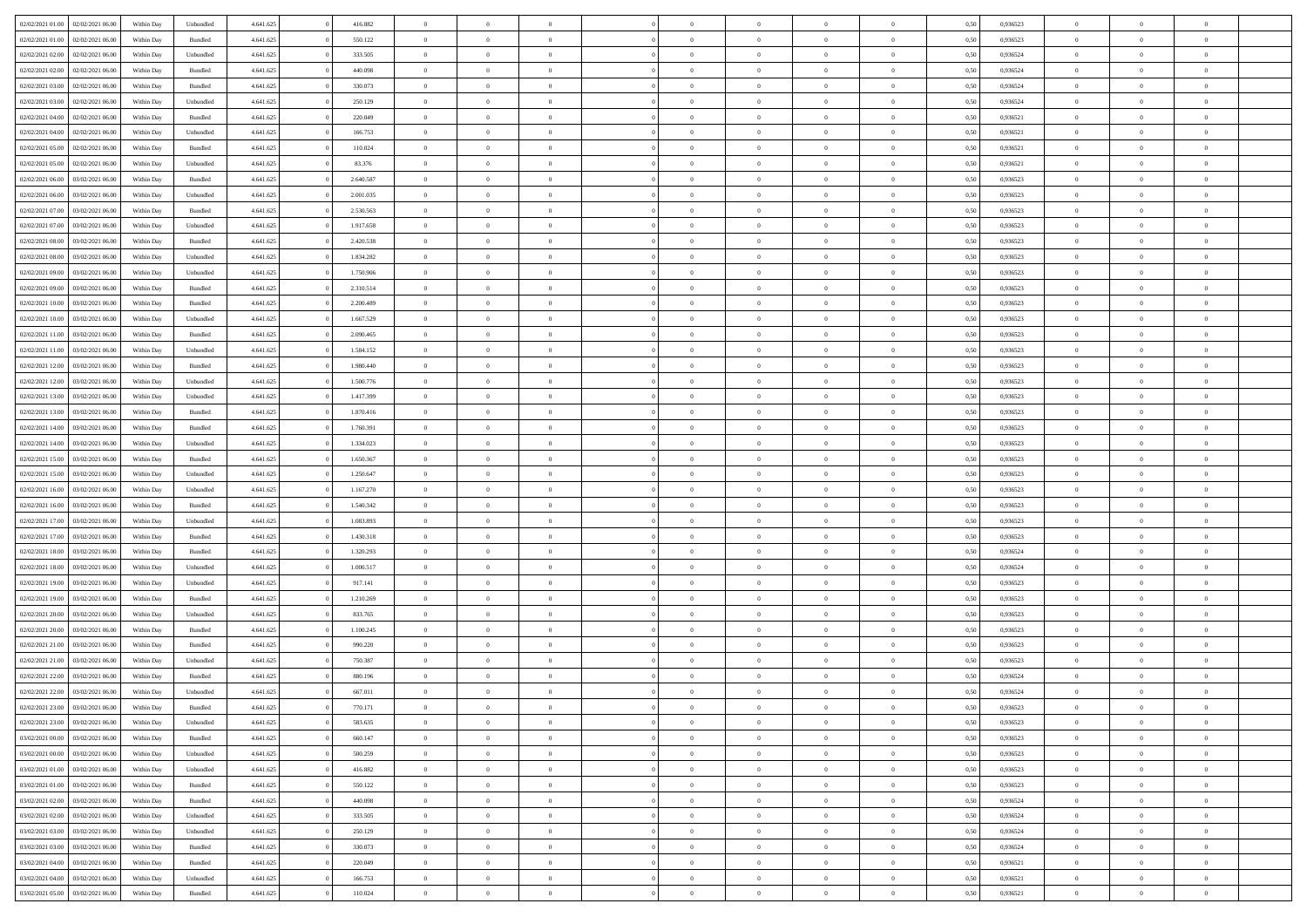|                  |                  |            |                    |           |           | $\overline{0}$ |                |                |                | $\Omega$       |                | $\theta$       |      |          | $\theta$       | $\overline{0}$ |                |  |
|------------------|------------------|------------|--------------------|-----------|-----------|----------------|----------------|----------------|----------------|----------------|----------------|----------------|------|----------|----------------|----------------|----------------|--|
| 02/02/2021 01:00 | 02/02/2021 06:00 | Within Day | Unbundled          | 4.641.625 | 416.882   |                | $\theta$       |                | $\Omega$       |                | $\overline{0}$ |                | 0.50 | 0.936523 |                |                | $\overline{0}$ |  |
| 02/02/2021 01:00 | 02/02/2021 06:00 | Within Day | Bundled            | 4.641.625 | 550.122   | $\overline{0}$ | $\overline{0}$ | $\overline{0}$ | $\overline{0}$ | $\bf{0}$       | $\overline{0}$ | $\bf{0}$       | 0,50 | 0,936523 | $\theta$       | $\overline{0}$ | $\overline{0}$ |  |
| 02/02/2021 02:00 | 02/02/2021 06:00 | Within Day | Unbundled          | 4.641.625 | 333.505   | $\overline{0}$ | $\bf{0}$       | $\overline{0}$ | $\bf{0}$       | $\bf{0}$       | $\bf{0}$       | $\mathbf{0}$   | 0,50 | 0,936524 | $\overline{0}$ | $\overline{0}$ | $\bf{0}$       |  |
| 02/02/2021 02:00 | 02/02/2021 06:00 | Within Dav | Bundled            | 4.641.625 | 440.098   | $\overline{0}$ | $\overline{0}$ | $\overline{0}$ | $\overline{0}$ | $\bf{0}$       | $\overline{0}$ | $\overline{0}$ | 0.50 | 0.936524 | $\theta$       | $\theta$       | $\overline{0}$ |  |
|                  |                  |            |                    |           |           |                |                |                |                |                |                |                |      |          |                |                |                |  |
| 02/02/2021 03:00 | 02/02/2021 06:00 | Within Day | Bundled            | 4.641.625 | 330.073   | $\overline{0}$ | $\theta$       | $\overline{0}$ | $\overline{0}$ | $\bf{0}$       | $\overline{0}$ | $\bf{0}$       | 0,50 | 0,936524 | $\theta$       | $\overline{0}$ | $\overline{0}$ |  |
| 02/02/2021 03:00 | 02/02/2021 06:00 | Within Day | Unbundled          | 4.641.625 | 250.129   | $\overline{0}$ | $\overline{0}$ | $\overline{0}$ | $\bf{0}$       | $\overline{0}$ | $\overline{0}$ | $\mathbf{0}$   | 0,50 | 0,936524 | $\overline{0}$ | $\overline{0}$ | $\bf{0}$       |  |
| 02/02/2021 04:00 | 02/02/2021 06:00 | Within Dav | Bundled            | 4.641.625 | 220.049   | $\overline{0}$ | $\overline{0}$ | $\overline{0}$ | $\overline{0}$ | $\overline{0}$ | $\overline{0}$ | $\overline{0}$ | 0.50 | 0,936521 | $\theta$       | $\overline{0}$ | $\overline{0}$ |  |
| 02/02/2021 04:00 | 02/02/2021 06:00 | Within Day | Unbundled          | 4.641.625 | 166.753   | $\overline{0}$ | $\theta$       | $\overline{0}$ | $\overline{0}$ | $\bf{0}$       | $\overline{0}$ | $\bf{0}$       | 0,50 | 0,936521 | $\theta$       | $\theta$       | $\overline{0}$ |  |
|                  |                  |            |                    |           |           |                | $\overline{0}$ |                |                | $\bf{0}$       |                |                |      |          | $\,0\,$        | $\overline{0}$ | $\overline{0}$ |  |
| 02/02/2021 05:00 | 02/02/2021 06:00 | Within Day | Bundled            | 4.641.625 | 110.024   | $\overline{0}$ |                | $\overline{0}$ | $\bf{0}$       |                | $\bf{0}$       | $\bf{0}$       | 0,50 | 0,936521 |                |                |                |  |
| 02/02/2021 05:00 | 02/02/2021 06:00 | Within Dav | Unbundled          | 4.641.625 | 83.376    | $\overline{0}$ | $\overline{0}$ | $\overline{0}$ | $\overline{0}$ | $\overline{0}$ | $\overline{0}$ | $\overline{0}$ | 0.50 | 0,936521 | $\theta$       | $\overline{0}$ | $\overline{0}$ |  |
| 02/02/2021 06:00 | 03/02/2021 06:00 | Within Day | Bundled            | 4.641.625 | 2.640.587 | $\overline{0}$ | $\theta$       | $\overline{0}$ | $\overline{0}$ | $\bf{0}$       | $\overline{0}$ | $\bf{0}$       | 0,50 | 0,936523 | $\,$ 0 $\,$    | $\overline{0}$ | $\overline{0}$ |  |
| 02/02/2021 06:00 | 03/02/2021 06:00 | Within Day | Unbundled          | 4.641.625 | 2.001.035 | $\overline{0}$ | $\bf{0}$       | $\overline{0}$ | $\bf{0}$       | $\bf{0}$       | $\bf{0}$       | $\mathbf{0}$   | 0,50 | 0,936523 | $\bf{0}$       | $\overline{0}$ | $\bf{0}$       |  |
| 02/02/2021 07:00 | 03/02/2021 06:00 | Within Day | Bundled            | 4.641.625 | 2.530.563 | $\overline{0}$ | $\overline{0}$ | $\overline{0}$ | $\overline{0}$ | $\bf{0}$       | $\overline{0}$ | $\overline{0}$ | 0.50 | 0.936523 | $\theta$       | $\theta$       | $\overline{0}$ |  |
|                  |                  |            |                    |           |           | $\overline{0}$ | $\theta$       |                |                | $\bf{0}$       |                |                |      |          | $\theta$       | $\overline{0}$ |                |  |
| 02/02/2021 07:00 | 03/02/2021 06.00 | Within Day | Unbundled          | 4.641.625 | 1.917.658 |                |                | $\overline{0}$ | $\overline{0}$ |                | $\overline{0}$ | $\bf{0}$       | 0,50 | 0,936523 |                |                | $\overline{0}$ |  |
| 02/02/2021 08:00 | 03/02/2021 06:00 | Within Day | Bundled            | 4.641.625 | 2.420.538 | $\overline{0}$ | $\overline{0}$ | $\overline{0}$ | $\bf{0}$       | $\overline{0}$ | $\overline{0}$ | $\mathbf{0}$   | 0,50 | 0,936523 | $\bf{0}$       | $\overline{0}$ | $\bf{0}$       |  |
| 02/02/2021 08:00 | 03/02/2021 06:00 | Within Dav | Unbundled          | 4.641.625 | 1.834.282 | $\overline{0}$ | $\overline{0}$ | $\overline{0}$ | $\overline{0}$ | $\overline{0}$ | $\overline{0}$ | $\overline{0}$ | 0.50 | 0.936523 | $\theta$       | $\overline{0}$ | $\overline{0}$ |  |
| 02/02/2021 09:00 | 03/02/2021 06:00 | Within Day | Unbundled          | 4.641.625 | 1.750.906 | $\overline{0}$ | $\theta$       | $\overline{0}$ | $\overline{0}$ | $\bf{0}$       | $\overline{0}$ | $\bf{0}$       | 0,50 | 0,936523 | $\theta$       | $\theta$       | $\overline{0}$ |  |
| 02/02/2021 09:00 | 03/02/2021 06:00 | Within Day | Bundled            | 4.641.625 | 2.310.514 | $\overline{0}$ | $\overline{0}$ | $\overline{0}$ | $\bf{0}$       | $\bf{0}$       | $\bf{0}$       | $\mathbf{0}$   | 0,50 | 0,936523 | $\,0\,$        | $\overline{0}$ | $\bf{0}$       |  |
|                  |                  |            |                    |           |           |                |                |                |                |                |                |                |      |          |                |                |                |  |
| 02/02/2021 10:00 | 03/02/2021 06:00 | Within Day | Bundled            | 4.641.625 | 2.200.489 | $\overline{0}$ | $\overline{0}$ | $\overline{0}$ | $\overline{0}$ | $\overline{0}$ | $\overline{0}$ | $\overline{0}$ | 0.50 | 0.936523 | $\theta$       | $\overline{0}$ | $\overline{0}$ |  |
| 02/02/2021 10:00 | 03/02/2021 06:00 | Within Day | Unbundled          | 4.641.625 | 1.667.529 | $\overline{0}$ | $\theta$       | $\overline{0}$ | $\overline{0}$ | $\bf{0}$       | $\overline{0}$ | $\bf{0}$       | 0,50 | 0,936523 | $\,$ 0 $\,$    | $\overline{0}$ | $\overline{0}$ |  |
| 02/02/2021 11:00 | 03/02/2021 06:00 | Within Day | Bundled            | 4.641.625 | 2.090.465 | $\overline{0}$ | $\overline{0}$ | $\overline{0}$ | $\bf{0}$       | $\bf{0}$       | $\bf{0}$       | $\mathbf{0}$   | 0,50 | 0,936523 | $\overline{0}$ | $\overline{0}$ | $\bf{0}$       |  |
| 02/02/2021 11:00 | 03/02/2021 06:00 | Within Day | Unbundled          | 4.641.625 | 1.584.152 | $\overline{0}$ | $\overline{0}$ | $\overline{0}$ | $\overline{0}$ | $\overline{0}$ | $\overline{0}$ | $\overline{0}$ | 0.50 | 0.936523 | $\theta$       | $\overline{0}$ | $\overline{0}$ |  |
| 02/02/2021 12:00 | 03/02/2021 06:00 | Within Day | Bundled            | 4.641.625 | 1.980.440 | $\overline{0}$ | $\theta$       | $\overline{0}$ | $\overline{0}$ | $\bf{0}$       | $\overline{0}$ |                |      | 0,936523 | $\theta$       | $\overline{0}$ | $\overline{0}$ |  |
|                  |                  |            |                    |           |           |                |                |                |                |                |                | $\bf{0}$       | 0,50 |          |                |                |                |  |
| 02/02/2021 12:00 | 03/02/2021 06:00 | Within Day | Unbundled          | 4.641.625 | 1.500.776 | $\overline{0}$ | $\overline{0}$ | $\overline{0}$ | $\bf{0}$       | $\overline{0}$ | $\overline{0}$ | $\mathbf{0}$   | 0,50 | 0,936523 | $\overline{0}$ | $\overline{0}$ | $\bf{0}$       |  |
| 02/02/2021 13:00 | 03/02/2021 06:00 | Within Dav | Unbundled          | 4.641.625 | 1.417.399 | $\overline{0}$ | $\overline{0}$ | $\overline{0}$ | $\overline{0}$ | $\overline{0}$ | $\overline{0}$ | $\overline{0}$ | 0.50 | 0.936523 | $\theta$       | $\overline{0}$ | $\overline{0}$ |  |
| 02/02/2021 13:00 | 03/02/2021 06:00 | Within Day | Bundled            | 4.641.625 | 1.870.416 | $\overline{0}$ | $\theta$       | $\overline{0}$ | $\overline{0}$ | $\bf{0}$       | $\overline{0}$ | $\bf{0}$       | 0,50 | 0,936523 | $\theta$       | $\theta$       | $\overline{0}$ |  |
| 02/02/2021 14:00 | 03/02/2021 06:00 | Within Day | Bundled            | 4.641.625 | 1.760.391 | $\overline{0}$ | $\overline{0}$ | $\overline{0}$ | $\bf{0}$       | $\bf{0}$       | $\bf{0}$       | $\bf{0}$       | 0,50 | 0,936523 | $\,0\,$        | $\overline{0}$ | $\overline{0}$ |  |
|                  |                  |            |                    |           |           |                | $\overline{0}$ |                |                | $\overline{0}$ |                |                |      |          | $\theta$       | $\overline{0}$ | $\overline{0}$ |  |
| 02/02/2021 14:00 | 03/02/2021 06:00 | Within Day | Unbundled          | 4.641.625 | 1.334.023 | $\overline{0}$ |                | $\overline{0}$ | $\overline{0}$ |                | $\overline{0}$ | $\overline{0}$ | 0.50 | 0.936523 |                |                |                |  |
| 02/02/2021 15:00 | 03/02/2021 06:00 | Within Day | Bundled            | 4.641.625 | 1.650.367 | $\overline{0}$ | $\theta$       | $\overline{0}$ | $\overline{0}$ | $\bf{0}$       | $\overline{0}$ | $\bf{0}$       | 0,50 | 0,936523 | $\,$ 0 $\,$    | $\overline{0}$ | $\overline{0}$ |  |
| 02/02/2021 15:00 | 03/02/2021 06:00 | Within Day | Unbundled          | 4.641.625 | 1.250.647 | $\overline{0}$ | $\overline{0}$ | $\overline{0}$ | $\bf{0}$       | $\bf{0}$       | $\bf{0}$       | $\bf{0}$       | 0,50 | 0,936523 | $\overline{0}$ | $\overline{0}$ | $\bf{0}$       |  |
| 02/02/2021 16:00 | 03/02/2021 06:00 | Within Day | Unbundled          | 4.641.625 | 1.167.270 | $\overline{0}$ | $\Omega$       | $\Omega$       | $\Omega$       | $\Omega$       | $\overline{0}$ | $\overline{0}$ | 0,50 | 0,936523 | $\,0\,$        | $\theta$       | $\theta$       |  |
| 02/02/2021 16:00 | 03/02/2021 06:00 | Within Day | Bundled            | 4.641.625 | 1.540.342 | $\overline{0}$ | $\theta$       | $\overline{0}$ | $\overline{0}$ | $\bf{0}$       | $\overline{0}$ | $\bf{0}$       | 0,50 | 0,936523 | $\theta$       | $\overline{0}$ | $\overline{0}$ |  |
|                  |                  |            |                    |           |           |                |                |                |                |                |                |                |      |          |                |                |                |  |
| 02/02/2021 17:00 | 03/02/2021 06:00 | Within Day | Unbundled          | 4.641.625 | 1.083.893 | $\overline{0}$ | $\overline{0}$ | $\overline{0}$ | $\bf{0}$       | $\overline{0}$ | $\overline{0}$ | $\mathbf{0}$   | 0,50 | 0,936523 | $\overline{0}$ | $\overline{0}$ | $\bf{0}$       |  |
| 02/02/2021 17:00 | 03/02/2021 06:00 | Within Day | Bundled            | 4.641.625 | 1.430.318 | $\overline{0}$ | $\Omega$       | $\Omega$       | $\Omega$       | $\overline{0}$ | $\overline{0}$ | $\overline{0}$ | 0.50 | 0.936523 | $\,0\,$        | $\theta$       | $\theta$       |  |
| 02/02/2021 18:00 | 03/02/2021 06:00 | Within Day | Bundled            | 4.641.625 | 1.320.293 | $\overline{0}$ | $\theta$       | $\overline{0}$ | $\overline{0}$ | $\bf{0}$       | $\overline{0}$ | $\bf{0}$       | 0,50 | 0,936524 | $\theta$       | $\overline{0}$ | $\overline{0}$ |  |
| 02/02/2021 18:00 | 03/02/2021 06:00 | Within Day | Unbundled          | 4.641.625 | 1.000.517 | $\overline{0}$ | $\overline{0}$ | $\overline{0}$ | $\bf{0}$       | $\bf{0}$       | $\bf{0}$       | $\mathbf{0}$   | 0,50 | 0,936524 | $\bf{0}$       | $\overline{0}$ | $\bf{0}$       |  |
| 02/02/2021 19:00 | 03/02/2021 06:00 |            |                    |           |           | $\overline{0}$ | $\Omega$       | $\Omega$       | $\Omega$       | $\overline{0}$ | $\overline{0}$ | $\overline{0}$ | 0.50 | 0.936523 | $\theta$       | $\theta$       | $\theta$       |  |
|                  |                  | Within Day | Unbundled          | 4.641.625 | 917.141   |                |                |                |                |                |                |                |      |          |                |                |                |  |
| 02/02/2021 19:00 | 03/02/2021 06:00 | Within Day | Bundled            | 4.641.625 | 1.210.269 | $\overline{0}$ | $\theta$       | $\overline{0}$ | $\overline{0}$ | $\,$ 0         | $\overline{0}$ | $\bf{0}$       | 0,50 | 0,936523 | $\,$ 0 $\,$    | $\overline{0}$ | $\overline{0}$ |  |
| 02/02/2021 20.00 | 03/02/2021 06:00 | Within Day | Unbundled          | 4.641.625 | 833.765   | $\overline{0}$ | $\bf{0}$       | $\overline{0}$ | $\bf{0}$       | $\bf{0}$       | $\bf{0}$       | $\mathbf{0}$   | 0,50 | 0,936523 | $\overline{0}$ | $\overline{0}$ | $\bf{0}$       |  |
| 02/02/2021 20:00 | 03/02/2021 06:00 | Within Day | Bundled            | 4.641.625 | 1.100.245 | $\overline{0}$ | $\Omega$       | $\overline{0}$ | $\Omega$       | $\overline{0}$ | $\overline{0}$ | $\overline{0}$ | 0,50 | 0,936523 | $\,0\,$        | $\theta$       | $\theta$       |  |
| 02/02/2021 21:00 | 03/02/2021 06:00 | Within Day | Bundled            | 4.641.625 | 990.220   | $\overline{0}$ | $\overline{0}$ | $\overline{0}$ | $\overline{0}$ | $\,$ 0         | $\overline{0}$ | $\bf{0}$       | 0,50 | 0,936523 | $\,$ 0 $\,$    | $\overline{0}$ | $\overline{0}$ |  |
|                  |                  |            |                    |           |           |                |                |                |                |                |                |                |      |          |                |                |                |  |
| 02/02/2021 21.00 | 03/02/2021 06:00 | Within Day | Unbundled          | 4.641.625 | 750.387   | $\overline{0}$ | $\overline{0}$ | $\overline{0}$ | $\bf{0}$       | $\bf{0}$       | $\overline{0}$ | $\mathbf{0}$   | 0,50 | 0,936523 | $\overline{0}$ | $\overline{0}$ | $\bf{0}$       |  |
| 02/02/2021 22.00 | 03/02/2021 06:00 | Within Day | Bundled            | 4.641.625 | 880,196   | $\overline{0}$ | $\Omega$       | $\Omega$       | $\Omega$       | $\Omega$       | $\Omega$       | $\overline{0}$ | 0.50 | 0.936524 | $\theta$       | $\theta$       | $\theta$       |  |
| 02/02/2021 22.00 | 03/02/2021 06:00 | Within Day | Unbundled          | 4.641.625 | 667.011   | $\overline{0}$ | $\overline{0}$ | $\overline{0}$ | $\bf{0}$       | $\,$ 0         | $\bf{0}$       | $\bf{0}$       | 0,50 | 0,936524 | $\,0\,$        | $\,$ 0 $\,$    | $\overline{0}$ |  |
| 02/02/2021 23:00 | 03/02/2021 06:00 | Within Day | $\mathbf B$ undled | 4.641.625 | 770.171   | $\bf{0}$       | $\bf{0}$       |                |                | $\bf{0}$       |                |                | 0,50 | 0,936523 | $\bf{0}$       | $\overline{0}$ |                |  |
| 02/02/2021 23:00 | 03/02/2021 06:00 | Within Day | Unbundled          | 4.641.625 | 583.635   | $\overline{0}$ | $\overline{0}$ | $\overline{0}$ | $\Omega$       | $\overline{0}$ | $\overline{0}$ | $\overline{0}$ | 0,50 | 0.936523 | $\theta$       | $\theta$       | $\theta$       |  |
|                  |                  |            |                    |           |           |                |                |                |                |                |                |                |      |          |                |                |                |  |
| 03/02/2021 00:00 | 03/02/2021 06:00 | Within Day | Bundled            | 4.641.625 | 660.147   | $\overline{0}$ | $\bf{0}$       | $\overline{0}$ | $\bf{0}$       | $\,$ 0 $\,$    | $\overline{0}$ | $\,$ 0 $\,$    | 0,50 | 0,936523 | $\,$ 0 $\,$    | $\,$ 0 $\,$    | $\,$ 0         |  |
| 03/02/2021 00:00 | 03/02/2021 06:00 | Within Day | Unbundled          | 4.641.625 | 500.259   | $\overline{0}$ | $\overline{0}$ | $\overline{0}$ | $\overline{0}$ | $\overline{0}$ | $\overline{0}$ | $\mathbf{0}$   | 0,50 | 0,936523 | $\overline{0}$ | $\bf{0}$       | $\overline{0}$ |  |
| 03/02/2021 01:00 | 03/02/2021 06:00 | Within Day | Unbundled          | 4.641.625 | 416.882   | $\overline{0}$ | $\overline{0}$ | $\overline{0}$ | $\Omega$       | $\overline{0}$ | $\overline{0}$ | $\overline{0}$ | 0,50 | 0,936523 | $\overline{0}$ | $\theta$       | $\overline{0}$ |  |
| 03/02/2021 01:00 | 03/02/2021 06:00 | Within Day | Bundled            | 4.641.625 | 550.122   | $\overline{0}$ | $\,$ 0         | $\overline{0}$ | $\bf{0}$       | $\,$ 0 $\,$    | $\overline{0}$ | $\,$ 0 $\,$    | 0,50 | 0,936523 | $\,$ 0 $\,$    | $\overline{0}$ | $\overline{0}$ |  |
| 03/02/2021 02:00 | 03/02/2021 06:00 | Within Day | Bundled            | 4.641.625 | 440,098   | $\overline{0}$ | $\overline{0}$ | $\overline{0}$ | $\overline{0}$ | $\overline{0}$ | $\overline{0}$ | $\mathbf{0}$   | 0,50 | 0,936524 | $\overline{0}$ | $\overline{0}$ | $\overline{0}$ |  |
|                  |                  |            |                    |           |           |                |                |                |                |                |                |                |      |          |                |                |                |  |
| 03/02/2021 02:00 | 03/02/2021 06:00 | Within Day | Unbundled          | 4.641.625 | 333,505   | $\overline{0}$ | $\overline{0}$ | $\overline{0}$ | $\overline{0}$ | $\overline{0}$ | $\overline{0}$ | $\bf{0}$       | 0.50 | 0.936524 | $\overline{0}$ | $\theta$       | $\overline{0}$ |  |
| 03/02/2021 03:00 | 03/02/2021 06:00 | Within Day | Unbundled          | 4.641.625 | 250.129   | $\overline{0}$ | $\,$ 0         | $\overline{0}$ | $\bf{0}$       | $\bf{0}$       | $\bf{0}$       | $\bf{0}$       | 0,50 | 0,936524 | $\,$ 0 $\,$    | $\overline{0}$ | $\overline{0}$ |  |
| 03/02/2021 03:00 | 03/02/2021 06:00 | Within Day | Bundled            | 4.641.625 | 330.073   | $\overline{0}$ | $\bf{0}$       | $\overline{0}$ | $\overline{0}$ | $\overline{0}$ | $\overline{0}$ | $\mathbf{0}$   | 0,50 | 0,936524 | $\overline{0}$ | $\overline{0}$ | $\bf{0}$       |  |
| 03/02/2021 04:00 | 03/02/2021 06:00 | Within Day | Bundled            | 4.641.625 | 220.049   | $\overline{0}$ | $\overline{0}$ | $\overline{0}$ | $\Omega$       | $\overline{0}$ | $\overline{0}$ | $\overline{0}$ | 0.50 | 0.936521 | $\overline{0}$ | $\overline{0}$ | $\overline{0}$ |  |
|                  |                  |            |                    |           |           |                |                |                |                |                |                |                |      |          |                |                |                |  |
| 03/02/2021 04:00 | 03/02/2021 06:00 | Within Day | Unbundled          | 4.641.625 | 166.753   | $\overline{0}$ | $\bf{0}$       | $\overline{0}$ | $\bf{0}$       | $\bf{0}$       | $\bf{0}$       | $\mathbf{0}$   | 0,50 | 0,936521 | $\,$ 0 $\,$    | $\,$ 0 $\,$    | $\bf{0}$       |  |
| 03/02/2021 05:00 | 03/02/2021 06:00 | Within Day | Bundled            | 4.641.625 | 110.024   | $\overline{0}$ | $\overline{0}$ | $\overline{0}$ | $\overline{0}$ | $\overline{0}$ | $\bf{0}$       | $\mathbf{0}$   | 0,50 | 0,936521 | $\overline{0}$ | $\bf{0}$       | $\overline{0}$ |  |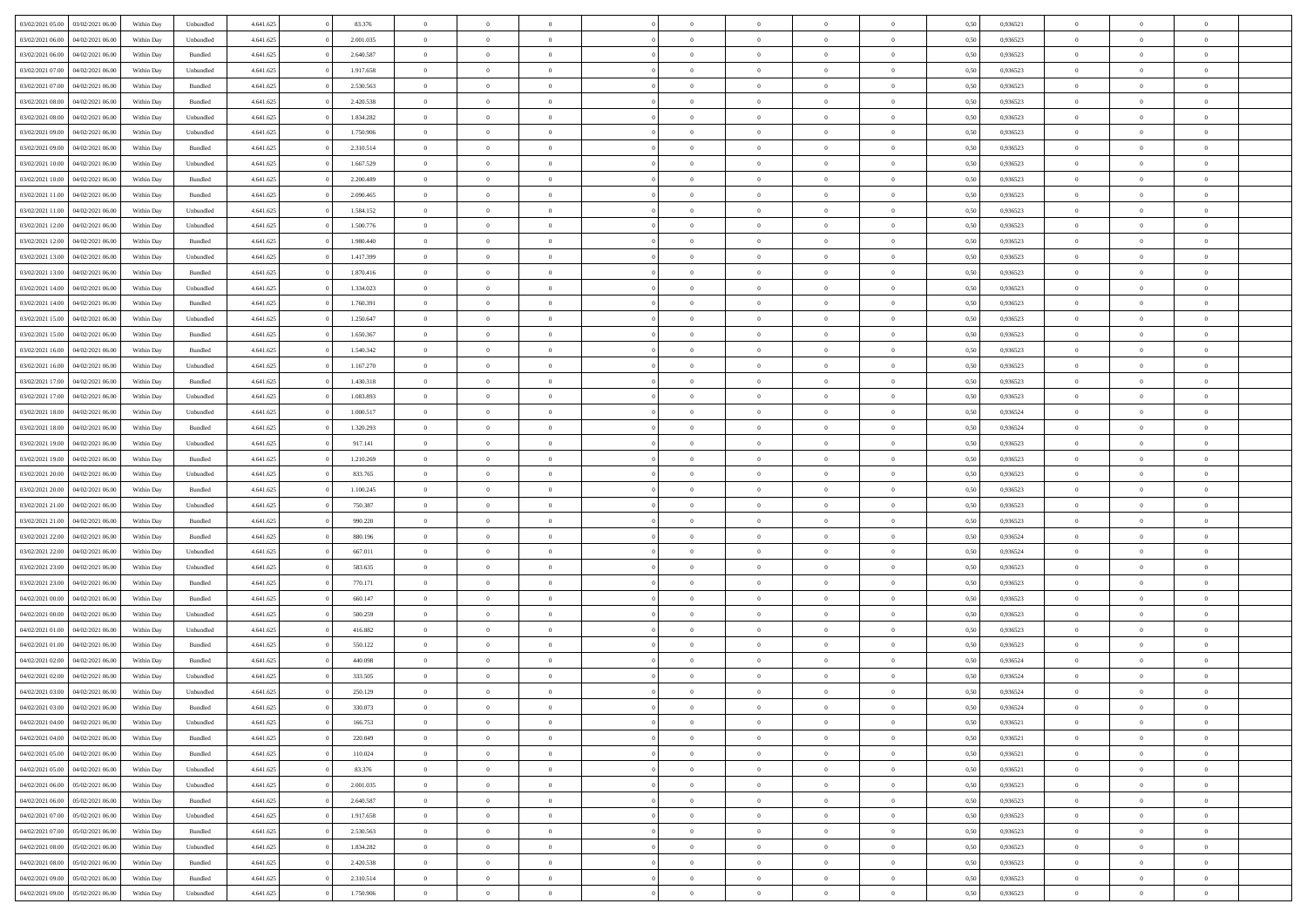| 03/02/2021 05:00 | 03/02/2021 06:00 | Within Day | Unbundled          | 4.641.625 | 83.376    | $\overline{0}$ | $\theta$       |                | $\Omega$       | $\Omega$       | $\Omega$       | $\theta$       | 0.50 | 0,936521 | $\theta$       | $\theta$       | $\theta$       |  |
|------------------|------------------|------------|--------------------|-----------|-----------|----------------|----------------|----------------|----------------|----------------|----------------|----------------|------|----------|----------------|----------------|----------------|--|
|                  |                  |            |                    |           |           |                |                |                |                |                |                |                |      |          |                |                |                |  |
| 03/02/2021 06:00 | 04/02/2021 06.00 | Within Day | Unbundled          | 4.641.625 | 2.001.035 | $\overline{0}$ | $\theta$       | $\overline{0}$ | $\overline{0}$ | $\bf{0}$       | $\overline{0}$ | $\bf{0}$       | 0,50 | 0,936523 | $\theta$       | $\overline{0}$ | $\overline{0}$ |  |
| 03/02/2021 06:00 | 04/02/2021 06.00 | Within Day | Bundled            | 4.641.625 | 2.640.587 | $\overline{0}$ | $\overline{0}$ | $\overline{0}$ | $\bf{0}$       | $\bf{0}$       | $\bf{0}$       | $\bf{0}$       | 0,50 | 0,936523 | $\bf{0}$       | $\overline{0}$ | $\overline{0}$ |  |
| 03/02/2021 07:00 | 04/02/2021 06:00 | Within Day | Unbundled          | 4.641.625 | 1.917.658 | $\overline{0}$ | $\overline{0}$ | $\overline{0}$ | $\overline{0}$ | $\bf{0}$       | $\overline{0}$ | $\overline{0}$ | 0.50 | 0.936523 | $\theta$       | $\theta$       | $\overline{0}$ |  |
| 03/02/2021 07:00 | 04/02/2021 06.00 | Within Day | Bundled            | 4.641.625 | 2.530.563 | $\overline{0}$ | $\theta$       | $\overline{0}$ | $\overline{0}$ | $\bf{0}$       | $\overline{0}$ | $\bf{0}$       | 0,50 | 0,936523 | $\theta$       | $\overline{0}$ | $\overline{0}$ |  |
| 03/02/2021 08:00 | 04/02/2021 06.00 | Within Day | Bundled            | 4.641.625 | 2.420.538 | $\overline{0}$ | $\bf{0}$       | $\overline{0}$ | $\bf{0}$       | $\overline{0}$ | $\overline{0}$ | $\mathbf{0}$   | 0,50 | 0,936523 | $\overline{0}$ | $\overline{0}$ | $\bf{0}$       |  |
|                  |                  |            |                    |           |           |                |                |                |                | $\overline{0}$ |                |                |      |          | $\theta$       | $\overline{0}$ | $\overline{0}$ |  |
| 03/02/2021 08:00 | 04/02/2021 06:00 | Within Dav | Unbundled          | 4.641.625 | 1.834.282 | $\overline{0}$ | $\overline{0}$ | $\overline{0}$ | $\overline{0}$ |                | $\overline{0}$ | $\overline{0}$ | 0.50 | 0.936523 |                |                |                |  |
| 03/02/2021 09:00 | 04/02/2021 06.00 | Within Day | Unbundled          | 4.641.625 | 1.750.906 | $\overline{0}$ | $\theta$       | $\overline{0}$ | $\overline{0}$ | $\bf{0}$       | $\overline{0}$ | $\bf{0}$       | 0,50 | 0,936523 | $\theta$       | $\theta$       | $\overline{0}$ |  |
| 03/02/2021 09:00 | 04/02/2021 06.00 | Within Day | Bundled            | 4.641.625 | 2.310.514 | $\overline{0}$ | $\overline{0}$ | $\overline{0}$ | $\bf{0}$       | $\bf{0}$       | $\bf{0}$       | $\bf{0}$       | 0,50 | 0,936523 | $\,0\,$        | $\overline{0}$ | $\overline{0}$ |  |
| 03/02/2021 10:00 | 04/02/2021 06:00 | Within Dav | Unbundled          | 4.641.625 | 1.667.529 | $\overline{0}$ | $\overline{0}$ | $\overline{0}$ | $\overline{0}$ | $\overline{0}$ | $\overline{0}$ | $\overline{0}$ | 0.50 | 0.936523 | $\theta$       | $\overline{0}$ | $\overline{0}$ |  |
| 03/02/2021 10:00 | 04/02/2021 06.00 | Within Day | Bundled            | 4.641.625 | 2.200.489 | $\overline{0}$ | $\theta$       | $\overline{0}$ | $\overline{0}$ | $\bf{0}$       | $\overline{0}$ | $\bf{0}$       | 0,50 | 0,936523 | $\theta$       | $\overline{0}$ | $\overline{0}$ |  |
| 03/02/2021 11:00 | 04/02/2021 06.00 | Within Day | Bundled            | 4.641.625 | 2.090.465 | $\overline{0}$ | $\overline{0}$ | $\overline{0}$ | $\bf{0}$       | $\bf{0}$       | $\bf{0}$       | $\bf{0}$       | 0,50 | 0,936523 | $\bf{0}$       | $\overline{0}$ | $\overline{0}$ |  |
| 03/02/2021 11:00 | 04/02/2021 06:00 | Within Day | Unbundled          | 4.641.625 | 1.584.152 | $\overline{0}$ | $\overline{0}$ | $\overline{0}$ | $\overline{0}$ | $\bf{0}$       | $\overline{0}$ | $\overline{0}$ | 0.50 | 0.936523 | $\theta$       | $\theta$       | $\overline{0}$ |  |
| 03/02/2021 12:00 | 04/02/2021 06.00 |            |                    | 4.641.625 | 1.500.776 | $\overline{0}$ | $\theta$       | $\overline{0}$ | $\overline{0}$ | $\bf{0}$       | $\overline{0}$ |                |      | 0,936523 | $\theta$       | $\theta$       | $\overline{0}$ |  |
|                  |                  | Within Day | Unbundled          |           |           |                |                |                |                |                |                | $\bf{0}$       | 0,50 |          |                |                |                |  |
| 03/02/2021 12:00 | 04/02/2021 06.00 | Within Day | Bundled            | 4.641.625 | 1.980.440 | $\overline{0}$ | $\bf{0}$       | $\overline{0}$ | $\bf{0}$       | $\overline{0}$ | $\overline{0}$ | $\mathbf{0}$   | 0,50 | 0,936523 | $\overline{0}$ | $\overline{0}$ | $\bf{0}$       |  |
| 03/02/2021 13:00 | 04/02/2021 06:00 | Within Dav | Unbundled          | 4.641.625 | 1.417.399 | $\overline{0}$ | $\overline{0}$ | $\overline{0}$ | $\overline{0}$ | $\overline{0}$ | $\overline{0}$ | $\overline{0}$ | 0.50 | 0.936523 | $\theta$       | $\overline{0}$ | $\overline{0}$ |  |
| 03/02/2021 13:00 | 04/02/2021 06.00 | Within Day | Bundled            | 4.641.625 | 1.870.416 | $\overline{0}$ | $\theta$       | $\overline{0}$ | $\overline{0}$ | $\bf{0}$       | $\overline{0}$ | $\bf{0}$       | 0,50 | 0,936523 | $\theta$       | $\theta$       | $\overline{0}$ |  |
| 03/02/2021 14:00 | 04/02/2021 06.00 | Within Day | Unbundled          | 4.641.625 | 1.334.023 | $\overline{0}$ | $\overline{0}$ | $\overline{0}$ | $\bf{0}$       | $\bf{0}$       | $\bf{0}$       | $\bf{0}$       | 0,50 | 0,936523 | $\,0\,$        | $\overline{0}$ | $\overline{0}$ |  |
| 03/02/2021 14:00 | 04/02/2021 06:00 | Within Day | Bundled            | 4.641.625 | 1.760.391 | $\overline{0}$ | $\overline{0}$ | $\overline{0}$ | $\overline{0}$ | $\overline{0}$ | $\overline{0}$ | $\overline{0}$ | 0.50 | 0.936523 | $\theta$       | $\overline{0}$ | $\overline{0}$ |  |
| 03/02/2021 15:00 | 04/02/2021 06.00 | Within Day | Unbundled          | 4.641.625 | 1.250.647 | $\overline{0}$ | $\theta$       | $\overline{0}$ | $\overline{0}$ | $\bf{0}$       | $\overline{0}$ | $\bf{0}$       | 0,50 | 0,936523 | $\theta$       | $\theta$       | $\overline{0}$ |  |
| 03/02/2021 15:00 | 04/02/2021 06.00 | Within Day | Bundled            | 4.641.625 | 1.650.367 | $\overline{0}$ | $\overline{0}$ | $\overline{0}$ | $\bf{0}$       | $\bf{0}$       | $\bf{0}$       | $\bf{0}$       | 0,50 | 0,936523 | $\,0\,$        | $\overline{0}$ | $\overline{0}$ |  |
| 03/02/2021 16:00 | 04/02/2021 06:00 | Within Day | Bundled            | 4.641.625 | 1.540.342 | $\overline{0}$ | $\overline{0}$ | $\overline{0}$ | $\overline{0}$ | $\bf{0}$       | $\overline{0}$ | $\overline{0}$ | 0.50 | 0.936523 | $\theta$       | $\theta$       | $\overline{0}$ |  |
|                  |                  |            |                    |           |           |                |                |                |                |                |                |                |      |          |                |                |                |  |
| 03/02/2021 16:00 | 04/02/2021 06.00 | Within Day | Unbundled          | 4.641.625 | 1.167.270 | $\overline{0}$ | $\theta$       | $\overline{0}$ | $\overline{0}$ | $\bf{0}$       | $\overline{0}$ | $\bf{0}$       | 0,50 | 0,936523 | $\theta$       | $\overline{0}$ | $\overline{0}$ |  |
| 03/02/2021 17:00 | 04/02/2021 06.00 | Within Day | Bundled            | 4.641.625 | 1.430.318 | $\overline{0}$ | $\bf{0}$       | $\overline{0}$ | $\bf{0}$       | $\overline{0}$ | $\overline{0}$ | $\mathbf{0}$   | 0,50 | 0,936523 | $\overline{0}$ | $\overline{0}$ | $\bf{0}$       |  |
| 03/02/2021 17:00 | 04/02/2021 06:00 | Within Dav | Unbundled          | 4.641.625 | 1.083.893 | $\overline{0}$ | $\overline{0}$ | $\overline{0}$ | $\overline{0}$ | $\overline{0}$ | $\overline{0}$ | $\overline{0}$ | 0.50 | 0.936523 | $\theta$       | $\overline{0}$ | $\overline{0}$ |  |
| 03/02/2021 18:00 | 04/02/2021 06.00 | Within Day | Unbundled          | 4.641.625 | 1.000.517 | $\overline{0}$ | $\theta$       | $\overline{0}$ | $\overline{0}$ | $\bf{0}$       | $\overline{0}$ | $\bf{0}$       | 0,50 | 0,936524 | $\theta$       | $\theta$       | $\overline{0}$ |  |
| 03/02/2021 18:00 | 04/02/2021 06.00 | Within Day | Bundled            | 4.641.625 | 1.320.293 | $\overline{0}$ | $\overline{0}$ | $\overline{0}$ | $\bf{0}$       | $\bf{0}$       | $\bf{0}$       | $\bf{0}$       | 0,50 | 0,936524 | $\,0\,$        | $\overline{0}$ | $\overline{0}$ |  |
| 03/02/2021 19:00 | 04/02/2021 06:00 | Within Day | Unbundled          | 4.641.625 | 917.141   | $\overline{0}$ | $\overline{0}$ | $\overline{0}$ | $\overline{0}$ | $\overline{0}$ | $\overline{0}$ | $\overline{0}$ | 0.50 | 0.936523 | $\theta$       | $\overline{0}$ | $\overline{0}$ |  |
| 03/02/2021 19:00 | 04/02/2021 06.00 | Within Day | Bundled            | 4.641.625 | 1.210.269 | $\overline{0}$ | $\theta$       | $\overline{0}$ | $\overline{0}$ | $\bf{0}$       | $\overline{0}$ | $\bf{0}$       | 0,50 | 0,936523 | $\,$ 0 $\,$    | $\overline{0}$ | $\overline{0}$ |  |
|                  |                  |            |                    |           |           |                |                |                |                |                |                |                |      |          |                |                |                |  |
| 03/02/2021 20.00 | 04/02/2021 06.00 | Within Day | Unbundled          | 4.641.625 | 833.765   | $\overline{0}$ | $\overline{0}$ | $\overline{0}$ | $\bf{0}$       | $\bf{0}$       | $\bf{0}$       | $\bf{0}$       | 0,50 | 0,936523 | $\bf{0}$       | $\overline{0}$ | $\overline{0}$ |  |
| 03/02/2021 20:00 | 04/02/2021 06.00 | Within Day | Bundled            | 4.641.625 | 1.100.245 | $\overline{0}$ | $\Omega$       | $\Omega$       | $\Omega$       | $\Omega$       | $\overline{0}$ | $\overline{0}$ | 0,50 | 0,936523 | $\,0\,$        | $\theta$       | $\theta$       |  |
| 03/02/2021 21:00 | 04/02/2021 06.00 | Within Day | Unbundled          | 4.641.625 | 750.387   | $\overline{0}$ | $\theta$       | $\overline{0}$ | $\overline{0}$ | $\bf{0}$       | $\overline{0}$ | $\bf{0}$       | 0,50 | 0,936523 | $\theta$       | $\theta$       | $\overline{0}$ |  |
| 03/02/2021 21.00 | 04/02/2021 06.00 | Within Day | Bundled            | 4.641.625 | 990.220   | $\overline{0}$ | $\overline{0}$ | $\overline{0}$ | $\bf{0}$       | $\bf{0}$       | $\overline{0}$ | $\mathbf{0}$   | 0,50 | 0,936523 | $\overline{0}$ | $\overline{0}$ | $\bf{0}$       |  |
| 03/02/2021 22.00 | 04/02/2021 06:00 | Within Day | Bundled            | 4.641.625 | 880,196   | $\overline{0}$ | $\Omega$       | $\Omega$       | $\Omega$       | $\bf{0}$       | $\overline{0}$ | $\overline{0}$ | 0.50 | 0.936524 | $\theta$       | $\theta$       | $\theta$       |  |
| 03/02/2021 22:00 | 04/02/2021 06.00 | Within Day | Unbundled          | 4.641.625 | 667.011   | $\overline{0}$ | $\theta$       | $\overline{0}$ | $\overline{0}$ | $\bf{0}$       | $\overline{0}$ | $\bf{0}$       | 0,50 | 0,936524 | $\theta$       | $\theta$       | $\overline{0}$ |  |
| 03/02/2021 23:00 | 04/02/2021 06.00 | Within Day | Unbundled          | 4.641.625 | 583.635   | $\overline{0}$ | $\overline{0}$ | $\overline{0}$ | $\bf{0}$       | $\bf{0}$       | $\bf{0}$       | $\bf{0}$       | 0,50 | 0,936523 | $\,0\,$        | $\overline{0}$ | $\overline{0}$ |  |
| 03/02/2021 23:00 | 04/02/2021 06:00 | Within Day | Bundled            | 4.641.625 | 770.171   | $\overline{0}$ | $\Omega$       | $\Omega$       | $\Omega$       | $\theta$       | $\overline{0}$ | $\overline{0}$ | 0.50 | 0.936523 | $\theta$       | $\theta$       | $\theta$       |  |
| 04/02/2021 00:00 | 04/02/2021 06.00 |            |                    | 4.641.625 | 660.147   | $\overline{0}$ | $\theta$       | $\overline{0}$ | $\overline{0}$ | $\bf{0}$       | $\overline{0}$ |                |      | 0,936523 | $\,$ 0 $\,$    | $\overline{0}$ | $\overline{0}$ |  |
|                  |                  | Within Day | Bundled            |           |           |                |                |                |                |                |                | $\bf{0}$       | 0,50 |          |                |                |                |  |
| 04/02/2021 00:00 | 04/02/2021 06.00 | Within Day | Unbundled          | 4.641.625 | 500.259   | $\overline{0}$ | $\overline{0}$ | $\overline{0}$ | $\bf{0}$       | $\bf{0}$       | $\bf{0}$       | $\bf{0}$       | 0,50 | 0,936523 | $\bf{0}$       | $\overline{0}$ | $\overline{0}$ |  |
| 04/02/2021 01:00 | 04/02/2021 06.00 | Within Day | Unbundled          | 4.641.625 | 416.882   | $\overline{0}$ | $\Omega$       | $\overline{0}$ | $\Omega$       | $\Omega$       | $\overline{0}$ | $\overline{0}$ | 0,50 | 0,936523 | $\,0\,$        | $\theta$       | $\theta$       |  |
| 04/02/2021 01:00 | 04/02/2021 06.00 | Within Day | Bundled            | 4.641.625 | 550.122   | $\overline{0}$ | $\theta$       | $\overline{0}$ | $\overline{0}$ | $\bf{0}$       | $\overline{0}$ | $\bf{0}$       | 0,50 | 0,936523 | $\,$ 0 $\,$    | $\overline{0}$ | $\overline{0}$ |  |
| 04/02/2021 02.00 | 04/02/2021 06.00 | Within Day | Bundled            | 4.641.625 | 440.098   | $\overline{0}$ | $\overline{0}$ | $\overline{0}$ | $\bf{0}$       | $\bf{0}$       | $\bf{0}$       | $\mathbf{0}$   | 0,50 | 0,936524 | $\bf{0}$       | $\overline{0}$ | $\bf{0}$       |  |
| 04/02/2021 02.00 | 04/02/2021 06:00 | Within Day | Unbundled          | 4.641.625 | 333,505   | $\overline{0}$ | $\Omega$       | $\Omega$       | $\Omega$       | $\Omega$       | $\Omega$       | $\overline{0}$ | 0.50 | 0.936524 | $\theta$       | $\theta$       | $\theta$       |  |
| 04/02/2021 03:00 | 04/02/2021 06:00 | Within Day | Unbundled          | 4.641.625 | 250.129   | $\overline{0}$ | $\overline{0}$ | $\overline{0}$ | $\bf{0}$       | $\,$ 0         | $\bf{0}$       | $\bf{0}$       | 0,50 | 0,936524 | $\,0\,$        | $\overline{0}$ | $\overline{0}$ |  |
| 04/02/2021 03:00 | 04/02/2021 06:00 | Within Day | $\mathbf B$ undled | 4.641.625 | 330.073   | $\bf{0}$       | $\bf{0}$       |                |                |                |                |                | 0,50 | 0,936524 | $\bf{0}$       | $\overline{0}$ |                |  |
| 04/02/2021 04:00 | 04/02/2021 06:00 |            |                    | 4.641.625 | 166,753   | $\overline{0}$ | $\overline{0}$ | $\overline{0}$ | $\Omega$       | $\overline{0}$ | $\overline{0}$ | $\overline{0}$ | 0.50 | 0.936521 | $\theta$       | $\theta$       | $\theta$       |  |
|                  |                  | Within Day | Unbundled          |           |           |                |                |                |                |                |                |                |      |          |                |                |                |  |
| 04/02/2021 04:00 | 04/02/2021 06.00 | Within Day | Bundled            | 4.641.625 | 220.049   | $\overline{0}$ | $\,$ 0         | $\overline{0}$ | $\bf{0}$       | $\,$ 0 $\,$    | $\overline{0}$ | $\mathbf{0}$   | 0,50 | 0,936521 | $\,$ 0 $\,$    | $\,$ 0 $\,$    | $\,$ 0         |  |
| 04/02/2021 05:00 | 04/02/2021 06:00 | Within Day | Bundled            | 4.641.625 | 110.024   | $\overline{0}$ | $\overline{0}$ | $\overline{0}$ | $\overline{0}$ | $\overline{0}$ | $\overline{0}$ | $\mathbf{0}$   | 0,50 | 0,936521 | $\overline{0}$ | $\bf{0}$       | $\bf{0}$       |  |
| 04/02/2021 05:00 | 04/02/2021 06:00 | Within Day | Unbundled          | 4.641.625 | 83.376    | $\overline{0}$ | $\overline{0}$ | $\overline{0}$ | $\Omega$       | $\overline{0}$ | $\overline{0}$ | $\overline{0}$ | 0,50 | 0,936521 | $\overline{0}$ | $\theta$       | $\overline{0}$ |  |
| 04/02/2021 06:00 | 05/02/2021 06:00 | Within Day | Unbundled          | 4.641.625 | 2.001.035 | $\overline{0}$ | $\,$ 0         | $\overline{0}$ | $\overline{0}$ | $\,$ 0 $\,$    | $\overline{0}$ | $\mathbf{0}$   | 0,50 | 0,936523 | $\,$ 0 $\,$    | $\overline{0}$ | $\overline{0}$ |  |
| 04/02/2021 06:00 | 05/02/2021 06:00 | Within Day | Bundled            | 4.641.625 | 2.640.587 | $\overline{0}$ | $\overline{0}$ | $\overline{0}$ | $\overline{0}$ | $\overline{0}$ | $\overline{0}$ | $\mathbf{0}$   | 0,50 | 0,936523 | $\overline{0}$ | $\overline{0}$ | $\bf{0}$       |  |
| 04/02/2021 07:00 | 05/02/2021 06:00 | Within Day | Unbundled          | 4.641.625 | 1.917.658 | $\overline{0}$ | $\overline{0}$ | $\overline{0}$ | $\Omega$       | $\overline{0}$ | $\overline{0}$ | $\bf{0}$       | 0.50 | 0,936523 | $\overline{0}$ | $\theta$       | $\overline{0}$ |  |
| 04/02/2021 07:00 | 05/02/2021 06:00 | Within Day | Bundled            | 4.641.625 | 2.530.563 | $\overline{0}$ | $\,$ 0         | $\overline{0}$ | $\bf{0}$       | $\bf{0}$       | $\bf{0}$       | $\bf{0}$       | 0,50 | 0,936523 | $\,$ 0 $\,$    | $\overline{0}$ | $\overline{0}$ |  |
| 04/02/2021 08:00 | 05/02/2021 06:00 | Within Day | Unbundled          | 4.641.625 | 1.834.282 | $\overline{0}$ | $\bf{0}$       | $\overline{0}$ | $\overline{0}$ | $\overline{0}$ | $\overline{0}$ | $\mathbf{0}$   | 0,50 | 0,936523 | $\overline{0}$ | $\overline{0}$ | $\bf{0}$       |  |
|                  |                  |            |                    |           |           |                |                |                |                |                |                |                |      |          |                |                |                |  |
| 04/02/2021 08:00 | 05/02/2021 06:00 | Within Day | Bundled            | 4.641.625 | 2.420.538 | $\overline{0}$ | $\overline{0}$ | $\overline{0}$ | $\Omega$       | $\overline{0}$ | $\overline{0}$ | $\overline{0}$ | 0.50 | 0.936523 | $\overline{0}$ | $\theta$       | $\overline{0}$ |  |
| 04/02/2021 09:00 | 05/02/2021 06:00 | Within Day | Bundled            | 4.641.625 | 2.310.514 | $\overline{0}$ | $\bf{0}$       | $\overline{0}$ | $\overline{0}$ | $\bf{0}$       | $\bf{0}$       | $\mathbf{0}$   | 0,50 | 0,936523 | $\,$ 0 $\,$    | $\,$ 0 $\,$    | $\bf{0}$       |  |
| 04/02/2021 09:00 | 05/02/2021 06:00 | Within Day | Unbundled          | 4.641.625 | 1.750.906 | $\overline{0}$ | $\overline{0}$ | $\overline{0}$ | $\overline{0}$ | $\bf{0}$       | $\bf{0}$       | $\mathbf{0}$   | 0,50 | 0,936523 | $\overline{0}$ | $\bf{0}$       | $\bf{0}$       |  |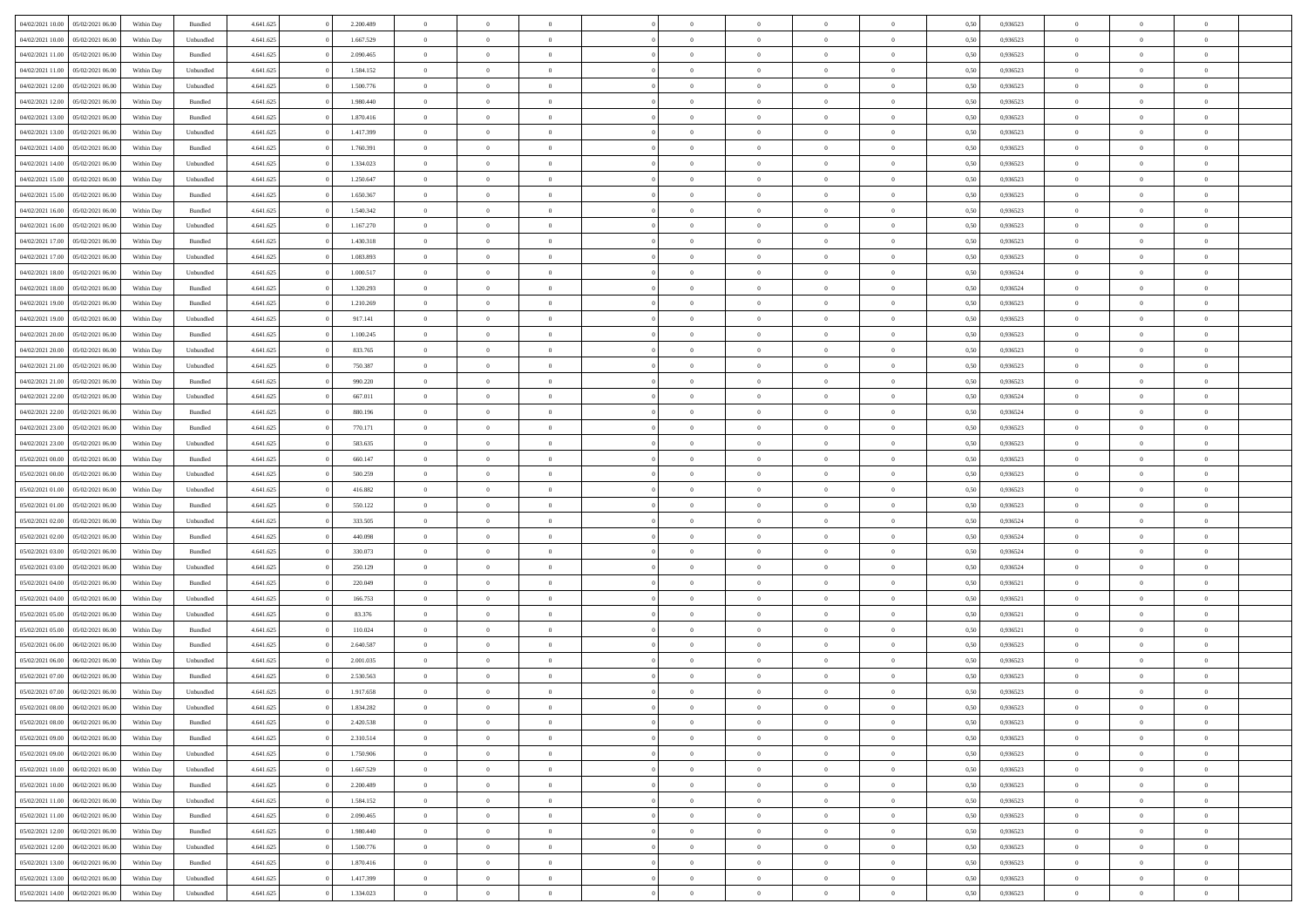| 04/02/2021 10:00                  | 05/02/2021 06:00 | Within Day | Bundled   | 4.641.625 | 2.200.489 | $\overline{0}$ | $\Omega$       |                | $\Omega$       | $\Omega$       | $\theta$       | $\theta$       | 0,50 | 0,936523 | $\theta$       | $\theta$       | $\theta$       |  |
|-----------------------------------|------------------|------------|-----------|-----------|-----------|----------------|----------------|----------------|----------------|----------------|----------------|----------------|------|----------|----------------|----------------|----------------|--|
| 04/02/2021 10:00                  | 05/02/2021 06:00 | Within Day | Unbundled | 4.641.625 | 1.667.529 | $\overline{0}$ | $\theta$       | $\overline{0}$ | $\overline{0}$ | $\bf{0}$       | $\overline{0}$ | $\bf{0}$       | 0,50 | 0,936523 | $\theta$       | $\overline{0}$ | $\overline{0}$ |  |
| 04/02/2021 11:00                  | 05/02/2021 06:00 | Within Day | Bundled   | 4.641.625 | 2.090.465 | $\overline{0}$ | $\bf{0}$       | $\overline{0}$ | $\bf{0}$       | $\bf{0}$       | $\bf{0}$       | $\mathbf{0}$   | 0,50 | 0,936523 | $\overline{0}$ | $\overline{0}$ | $\bf{0}$       |  |
| 04/02/2021 11:00                  | 05/02/2021 06:00 | Within Day | Unbundled | 4.641.625 | 1.584.152 | $\overline{0}$ | $\overline{0}$ | $\overline{0}$ | $\overline{0}$ | $\bf{0}$       | $\overline{0}$ | $\overline{0}$ | 0.50 | 0.936523 | $\theta$       | $\theta$       | $\overline{0}$ |  |
|                                   |                  |            |           |           |           |                |                |                |                |                |                |                |      |          |                |                |                |  |
| 04/02/2021 12:00                  | 05/02/2021 06:00 | Within Day | Unbundled | 4.641.625 | 1.500.776 | $\overline{0}$ | $\theta$       | $\overline{0}$ | $\overline{0}$ | $\bf{0}$       | $\overline{0}$ | $\bf{0}$       | 0,50 | 0,936523 | $\theta$       | $\overline{0}$ | $\overline{0}$ |  |
| 04/02/2021 12:00                  | 05/02/2021 06:00 | Within Day | Bundled   | 4.641.625 | 1.980.440 | $\overline{0}$ | $\overline{0}$ | $\overline{0}$ | $\bf{0}$       | $\overline{0}$ | $\overline{0}$ | $\mathbf{0}$   | 0,50 | 0,936523 | $\overline{0}$ | $\overline{0}$ | $\bf{0}$       |  |
| 04/02/2021 13:00                  | 05/02/2021 06:00 | Within Dav | Bundled   | 4.641.625 | 1.870.416 | $\overline{0}$ | $\overline{0}$ | $\overline{0}$ | $\overline{0}$ | $\overline{0}$ | $\overline{0}$ | $\overline{0}$ | 0.50 | 0.936523 | $\theta$       | $\overline{0}$ | $\overline{0}$ |  |
| 04/02/2021 13:00                  | 05/02/2021 06:00 | Within Day | Unbundled | 4.641.625 | 1.417.399 | $\overline{0}$ | $\theta$       | $\overline{0}$ | $\overline{0}$ | $\bf{0}$       | $\overline{0}$ | $\bf{0}$       | 0,50 | 0,936523 | $\theta$       | $\theta$       | $\overline{0}$ |  |
| 04/02/2021 14:00                  | 05/02/2021 06:00 | Within Day | Bundled   | 4.641.625 | 1.760.391 | $\overline{0}$ | $\overline{0}$ | $\overline{0}$ | $\bf{0}$       | $\bf{0}$       | $\bf{0}$       | $\mathbf{0}$   | 0,50 | 0,936523 | $\,0\,$        | $\overline{0}$ | $\overline{0}$ |  |
| 04/02/2021 14:00                  | 05/02/2021 06:00 | Within Dav | Unbundled | 4.641.625 | 1.334.023 | $\overline{0}$ | $\overline{0}$ | $\overline{0}$ | $\overline{0}$ | $\overline{0}$ | $\overline{0}$ | $\overline{0}$ | 0.50 | 0.936523 | $\theta$       | $\overline{0}$ | $\overline{0}$ |  |
|                                   |                  |            |           |           |           |                |                |                |                |                |                |                |      |          |                |                |                |  |
| 04/02/2021 15:00                  | 05/02/2021 06:00 | Within Day | Unbundled | 4.641.625 | 1.250.647 | $\overline{0}$ | $\theta$       | $\overline{0}$ | $\overline{0}$ | $\bf{0}$       | $\overline{0}$ | $\bf{0}$       | 0,50 | 0,936523 | $\,$ 0 $\,$    | $\overline{0}$ | $\overline{0}$ |  |
| 04/02/2021 15:00                  | 05/02/2021 06:00 | Within Day | Bundled   | 4.641.625 | 1.650.367 | $\overline{0}$ | $\bf{0}$       | $\overline{0}$ | $\bf{0}$       | $\bf{0}$       | $\bf{0}$       | $\mathbf{0}$   | 0,50 | 0,936523 | $\overline{0}$ | $\overline{0}$ | $\bf{0}$       |  |
| 04/02/2021 16:00                  | 05/02/2021 06:00 | Within Day | Bundled   | 4.641.625 | 1.540.342 | $\overline{0}$ | $\overline{0}$ | $\overline{0}$ | $\overline{0}$ | $\bf{0}$       | $\overline{0}$ | $\overline{0}$ | 0.50 | 0.936523 | $\theta$       | $\theta$       | $\overline{0}$ |  |
| 04/02/2021 16:00                  | 05/02/2021 06:00 | Within Day | Unbundled | 4.641.625 | 1.167.270 | $\overline{0}$ | $\theta$       | $\overline{0}$ | $\overline{0}$ | $\bf{0}$       | $\overline{0}$ | $\bf{0}$       | 0,50 | 0,936523 | $\theta$       | $\overline{0}$ | $\overline{0}$ |  |
| 04/02/2021 17.00                  | 05/02/2021 06:00 | Within Day | Bundled   | 4.641.625 | 1.430.318 | $\overline{0}$ | $\overline{0}$ | $\overline{0}$ | $\bf{0}$       | $\overline{0}$ | $\overline{0}$ | $\mathbf{0}$   | 0,50 | 0,936523 | $\overline{0}$ | $\overline{0}$ | $\bf{0}$       |  |
| 04/02/2021 17:00                  | 05/02/2021 06:00 | Within Dav | Unbundled | 4.641.625 | 1.083.893 | $\overline{0}$ | $\overline{0}$ | $\overline{0}$ | $\overline{0}$ | $\overline{0}$ | $\overline{0}$ | $\overline{0}$ | 0.50 | 0.936523 | $\theta$       | $\overline{0}$ | $\overline{0}$ |  |
|                                   |                  |            |           |           |           |                |                |                |                |                |                |                |      |          |                |                |                |  |
| 04/02/2021 18:00                  | 05/02/2021 06:00 | Within Day | Unbundled | 4.641.625 | 1.000.517 | $\overline{0}$ | $\theta$       | $\overline{0}$ | $\overline{0}$ | $\bf{0}$       | $\overline{0}$ | $\bf{0}$       | 0,50 | 0,936524 | $\theta$       | $\theta$       | $\overline{0}$ |  |
| 04/02/2021 18:00                  | 05/02/2021 06:00 | Within Day | Bundled   | 4.641.625 | 1.320.293 | $\overline{0}$ | $\overline{0}$ | $\overline{0}$ | $\bf{0}$       | $\bf{0}$       | $\bf{0}$       | $\mathbf{0}$   | 0,50 | 0,936524 | $\,0\,$        | $\overline{0}$ | $\bf{0}$       |  |
| 04/02/2021 19:00                  | 05/02/2021 06:00 | Within Day | Bundled   | 4.641.625 | 1.210.269 | $\overline{0}$ | $\overline{0}$ | $\overline{0}$ | $\overline{0}$ | $\overline{0}$ | $\overline{0}$ | $\overline{0}$ | 0.50 | 0.936523 | $\theta$       | $\overline{0}$ | $\overline{0}$ |  |
| 04/02/2021 19:00                  | 05/02/2021 06:00 | Within Day | Unbundled | 4.641.625 | 917.141   | $\overline{0}$ | $\theta$       | $\overline{0}$ | $\overline{0}$ | $\bf{0}$       | $\overline{0}$ | $\bf{0}$       | 0,50 | 0,936523 | $\,$ 0 $\,$    | $\overline{0}$ | $\overline{0}$ |  |
| 04/02/2021 20.00                  | 05/02/2021 06:00 | Within Day | Bundled   | 4.641.625 | 1.100.245 | $\overline{0}$ | $\overline{0}$ | $\overline{0}$ | $\bf{0}$       | $\bf{0}$       | $\bf{0}$       | $\mathbf{0}$   | 0,50 | 0,936523 | $\bf{0}$       | $\overline{0}$ | $\bf{0}$       |  |
| 04/02/2021 20:00                  | 05/02/2021 06:00 | Within Day | Unbundled | 4.641.625 | 833.765   | $\overline{0}$ | $\overline{0}$ | $\overline{0}$ | $\overline{0}$ | $\overline{0}$ | $\overline{0}$ | $\overline{0}$ | 0.50 | 0.936523 | $\theta$       | $\overline{0}$ | $\overline{0}$ |  |
|                                   |                  |            |           |           |           |                |                |                |                |                |                |                |      |          |                |                |                |  |
| 04/02/2021 21.00                  | 05/02/2021 06:00 | Within Day | Unbundled | 4.641.625 | 750.387   | $\overline{0}$ | $\theta$       | $\overline{0}$ | $\overline{0}$ | $\bf{0}$       | $\overline{0}$ | $\,$ 0 $\,$    | 0,50 | 0,936523 | $\theta$       | $\overline{0}$ | $\overline{0}$ |  |
| 04/02/2021 21.00                  | 05/02/2021 06:00 | Within Day | Bundled   | 4.641.625 | 990.220   | $\overline{0}$ | $\overline{0}$ | $\overline{0}$ | $\bf{0}$       | $\overline{0}$ | $\overline{0}$ | $\mathbf{0}$   | 0,50 | 0,936523 | $\bf{0}$       | $\overline{0}$ | $\bf{0}$       |  |
| 04/02/2021 22.00                  | 05/02/2021 06:00 | Within Dav | Unbundled | 4.641.625 | 667.011   | $\overline{0}$ | $\overline{0}$ | $\overline{0}$ | $\overline{0}$ | $\overline{0}$ | $\overline{0}$ | $\overline{0}$ | 0.50 | 0,936524 | $\theta$       | $\overline{0}$ | $\overline{0}$ |  |
| 04/02/2021 22.00                  | 05/02/2021 06:00 | Within Day | Bundled   | 4.641.625 | 880.196   | $\overline{0}$ | $\theta$       | $\overline{0}$ | $\overline{0}$ | $\bf{0}$       | $\overline{0}$ | $\bf{0}$       | 0,50 | 0,936524 | $\theta$       | $\theta$       | $\overline{0}$ |  |
| 04/02/2021 23:00                  | 05/02/2021 06:00 | Within Day | Bundled   | 4.641.625 | 770.171   | $\overline{0}$ | $\overline{0}$ | $\overline{0}$ | $\bf{0}$       | $\bf{0}$       | $\bf{0}$       | $\bf{0}$       | 0,50 | 0,936523 | $\,0\,$        | $\overline{0}$ | $\bf{0}$       |  |
| 04/02/2021 23:00                  | 05/02/2021 06:00 | Within Day | Unbundled | 4.641.625 | 583.635   | $\overline{0}$ | $\overline{0}$ | $\overline{0}$ | $\overline{0}$ | $\overline{0}$ | $\overline{0}$ | $\overline{0}$ | 0.50 | 0.936523 | $\theta$       | $\overline{0}$ | $\overline{0}$ |  |
|                                   |                  |            |           |           |           | $\overline{0}$ | $\theta$       |                |                |                |                |                |      |          |                |                |                |  |
| 05/02/2021 00:00                  | 05/02/2021 06:00 | Within Day | Bundled   | 4.641.625 | 660.147   |                |                | $\overline{0}$ | $\overline{0}$ | $\bf{0}$       | $\overline{0}$ | $\bf{0}$       | 0,50 | 0,936523 | $\,$ 0 $\,$    | $\overline{0}$ | $\overline{0}$ |  |
| 05/02/2021 00:00                  | 05/02/2021 06:00 | Within Day | Unbundled | 4.641.625 | 500.259   | $\overline{0}$ | $\overline{0}$ | $\overline{0}$ | $\bf{0}$       | $\bf{0}$       | $\bf{0}$       | $\mathbf{0}$   | 0,50 | 0,936523 | $\overline{0}$ | $\overline{0}$ | $\bf{0}$       |  |
| 05/02/2021 01:00                  | 05/02/2021 06:00 | Within Day | Unbundled | 4.641.625 | 416.882   | $\overline{0}$ | $\Omega$       | $\Omega$       | $\Omega$       | $\Omega$       | $\overline{0}$ | $\overline{0}$ | 0,50 | 0,936523 | $\,0\,$        | $\theta$       | $\theta$       |  |
| 05/02/2021 01:00                  | 05/02/2021 06:00 | Within Day | Bundled   | 4.641.625 | 550.122   | $\overline{0}$ | $\theta$       | $\overline{0}$ | $\overline{0}$ | $\bf{0}$       | $\overline{0}$ | $\bf{0}$       | 0,50 | 0,936523 | $\theta$       | $\overline{0}$ | $\overline{0}$ |  |
| 05/02/2021 02:00                  | 05/02/2021 06:00 | Within Day | Unbundled | 4.641.625 | 333.505   | $\overline{0}$ | $\overline{0}$ | $\overline{0}$ | $\bf{0}$       | $\overline{0}$ | $\overline{0}$ | $\mathbf{0}$   | 0,50 | 0,936524 | $\overline{0}$ | $\overline{0}$ | $\bf{0}$       |  |
| 05/02/2021 02:00                  | 05/02/2021 06:00 | Within Day | Bundled   | 4.641.625 | 440,098   | $\overline{0}$ | $\Omega$       | $\Omega$       | $\Omega$       | $\overline{0}$ | $\overline{0}$ | $\overline{0}$ | 0.50 | 0.936524 | $\,0\,$        | $\theta$       | $\theta$       |  |
| 05/02/2021 03:00                  | 05/02/2021 06:00 | Within Day | Bundled   | 4.641.625 | 330.073   | $\overline{0}$ | $\theta$       | $\overline{0}$ | $\overline{0}$ | $\bf{0}$       | $\overline{0}$ | $\bf{0}$       | 0,50 | 0,936524 | $\theta$       | $\overline{0}$ | $\overline{0}$ |  |
|                                   |                  |            |           |           |           |                |                |                |                |                |                |                |      |          |                |                |                |  |
| 05/02/2021 03:00                  | 05/02/2021 06:00 | Within Day | Unbundled | 4.641.625 | 250.129   | $\overline{0}$ | $\overline{0}$ | $\overline{0}$ | $\bf{0}$       | $\bf{0}$       | $\bf{0}$       | $\mathbf{0}$   | 0,50 | 0,936524 | $\,0\,$        | $\overline{0}$ | $\bf{0}$       |  |
| 05/02/2021 04:00                  | 05/02/2021 06:00 | Within Day | Bundled   | 4.641.625 | 220,049   | $\overline{0}$ | $\Omega$       | $\Omega$       | $\Omega$       | $\overline{0}$ | $\overline{0}$ | $\overline{0}$ | 0.50 | 0.936521 | $\,$ 0 $\,$    | $\theta$       | $\theta$       |  |
| 05/02/2021 04:00                  | 05/02/2021 06:00 | Within Day | Unbundled | 4.641.625 | 166.753   | $\overline{0}$ | $\theta$       | $\overline{0}$ | $\overline{0}$ | $\,$ 0         | $\overline{0}$ | $\bf{0}$       | 0,50 | 0,936521 | $\,$ 0 $\,$    | $\overline{0}$ | $\overline{0}$ |  |
| 05/02/2021 05:00                  | 05/02/2021 06:00 | Within Day | Unbundled | 4.641.625 | 83.376    | $\overline{0}$ | $\overline{0}$ | $\overline{0}$ | $\bf{0}$       | $\bf{0}$       | $\bf{0}$       | $\mathbf{0}$   | 0,50 | 0,936521 | $\overline{0}$ | $\overline{0}$ | $\bf{0}$       |  |
| 05/02/2021 05:00                  | 05/02/2021 06:00 | Within Day | Bundled   | 4.641.625 | 110.024   | $\overline{0}$ | $\Omega$       | $\overline{0}$ | $\Omega$       | $\bf{0}$       | $\overline{0}$ | $\overline{0}$ | 0,50 | 0,936521 | $\,0\,$        | $\theta$       | $\theta$       |  |
| 05/02/2021 06:00                  | 06/02/2021 06:00 | Within Day | Bundled   | 4.641.625 | 2.640.587 | $\overline{0}$ | $\overline{0}$ | $\overline{0}$ | $\overline{0}$ | $\,$ 0         | $\overline{0}$ | $\bf{0}$       | 0,50 | 0,936523 | $\,$ 0 $\,$    | $\overline{0}$ | $\overline{0}$ |  |
| 05/02/2021 06:00                  | 06/02/2021 06:00 | Within Day | Unbundled | 4.641.625 | 2.001.035 | $\overline{0}$ | $\overline{0}$ | $\overline{0}$ | $\bf{0}$       | $\bf{0}$       | $\overline{0}$ | $\mathbf{0}$   | 0,50 | 0,936523 | $\overline{0}$ | $\overline{0}$ | $\bf{0}$       |  |
|                                   |                  |            |           |           |           |                |                |                |                |                |                |                |      |          |                |                |                |  |
| 05/02/2021 07:00                  | 06/02/2021 06:00 | Within Day | Bundled   | 4.641.625 | 2.530.563 | $\overline{0}$ | $\Omega$       | $\Omega$       | $\Omega$       | $\Omega$       | $\Omega$       | $\overline{0}$ | 0.50 | 0.936523 | $\theta$       | $\theta$       | $\theta$       |  |
| 05/02/2021 07:00                  | 06/02/2021 06:00 | Within Day | Unbundled | 4.641.625 | 1.917.658 | $\overline{0}$ | $\overline{0}$ | $\overline{0}$ | $\bf{0}$       | $\,$ 0         | $\bf{0}$       | $\bf{0}$       | 0,50 | 0,936523 | $\,0\,$        | $\,$ 0 $\,$    | $\overline{0}$ |  |
| 05/02/2021 08:00 06/02/2021 06:00 |                  | Within Day | Unbundled | 4.641.625 | 1.834.282 | $\overline{0}$ | $\bf{0}$       |                |                | $\bf{0}$       |                |                | 0,50 | 0,936523 | $\bf{0}$       | $\overline{0}$ |                |  |
| 05/02/2021 08:00                  | 06/02/2021 06:00 | Within Day | Bundled   | 4.641.625 | 2.420.538 | $\overline{0}$ | $\overline{0}$ | $\overline{0}$ | $\Omega$       | $\overline{0}$ | $\overline{0}$ | $\overline{0}$ | 0.50 | 0.936523 | $\theta$       | $\theta$       | $\theta$       |  |
| 05/02/2021 09:00                  | 06/02/2021 06:00 | Within Day | Bundled   | 4.641.625 | 2.310.514 | $\overline{0}$ | $\,$ 0         | $\overline{0}$ | $\bf{0}$       | $\,$ 0 $\,$    | $\overline{0}$ | $\mathbf{0}$   | 0,50 | 0,936523 | $\,$ 0 $\,$    | $\,$ 0 $\,$    | $\,$ 0         |  |
| 05/02/2021 09:00                  | 06/02/2021 06:00 | Within Day | Unbundled | 4.641.625 | 1.750.906 | $\overline{0}$ | $\overline{0}$ | $\overline{0}$ | $\overline{0}$ | $\overline{0}$ | $\overline{0}$ | $\mathbf{0}$   | 0,50 | 0,936523 | $\overline{0}$ | $\bf{0}$       | $\bf{0}$       |  |
|                                   |                  |            |           |           |           |                |                |                |                |                |                |                |      |          |                |                |                |  |
| 05/02/2021 10:00                  | 06/02/2021 06:00 | Within Day | Unbundled | 4.641.625 | 1.667.529 | $\overline{0}$ | $\theta$       | $\overline{0}$ | $\Omega$       | $\overline{0}$ | $\overline{0}$ | $\bf{0}$       | 0,50 | 0,936523 | $\overline{0}$ | $\theta$       | $\overline{0}$ |  |
| 05/02/2021 10:00                  | 06/02/2021 06:00 | Within Day | Bundled   | 4.641.625 | 2.200.489 | $\overline{0}$ | $\,$ 0         | $\overline{0}$ | $\overline{0}$ | $\overline{0}$ | $\overline{0}$ | $\bf{0}$       | 0,50 | 0,936523 | $\,$ 0 $\,$    | $\overline{0}$ | $\overline{0}$ |  |
| 05/02/2021 11:00                  | 06/02/2021 06:00 | Within Day | Unbundled | 4.641.625 | 1.584.152 | $\overline{0}$ | $\overline{0}$ | $\overline{0}$ | $\overline{0}$ | $\overline{0}$ | $\overline{0}$ | $\mathbf{0}$   | 0,50 | 0,936523 | $\overline{0}$ | $\bf{0}$       | $\bf{0}$       |  |
| 05/02/2021 11:00                  | 06/02/2021 06:00 | Within Day | Bundled   | 4.641.625 | 2.090.465 | $\overline{0}$ | $\overline{0}$ | $\overline{0}$ | $\Omega$       | $\overline{0}$ | $\overline{0}$ | $\bf{0}$       | 0.50 | 0,936523 | $\overline{0}$ | $\theta$       | $\overline{0}$ |  |
| 05/02/2021 12:00                  | 06/02/2021 06:00 | Within Day | Bundled   | 4.641.625 | 1.980.440 | $\overline{0}$ | $\,$ 0         | $\overline{0}$ | $\bf{0}$       | $\bf{0}$       | $\bf{0}$       | $\bf{0}$       | 0,50 | 0,936523 | $\,$ 0 $\,$    | $\overline{0}$ | $\overline{0}$ |  |
| 05/02/2021 12:00                  | 06/02/2021 06:00 | Within Day | Unbundled | 4.641.625 | 1.500.776 | $\overline{0}$ | $\bf{0}$       | $\overline{0}$ | $\overline{0}$ | $\overline{0}$ | $\overline{0}$ | $\mathbf{0}$   | 0,50 | 0,936523 | $\overline{0}$ | $\overline{0}$ | $\bf{0}$       |  |
|                                   |                  |            |           |           |           |                |                |                |                |                |                |                |      |          |                |                |                |  |
| 05/02/2021 13:00                  | 06/02/2021 06:00 | Within Day | Bundled   | 4.641.625 | 1.870.416 | $\overline{0}$ | $\overline{0}$ | $\overline{0}$ | $\Omega$       | $\overline{0}$ | $\overline{0}$ | $\bf{0}$       | 0.50 | 0.936523 | $\overline{0}$ | $\theta$       | $\overline{0}$ |  |
| 05/02/2021 13:00                  | 06/02/2021 06:00 | Within Day | Unbundled | 4.641.625 | 1.417.399 | $\overline{0}$ | $\,$ 0 $\,$    | $\overline{0}$ | $\overline{0}$ | $\bf{0}$       | $\bf{0}$       | $\bf{0}$       | 0,50 | 0,936523 | $\,$ 0 $\,$    | $\,$ 0 $\,$    | $\bf{0}$       |  |
| 05/02/2021 14:00                  | 06/02/2021 06:00 | Within Day | Unbundled | 4.641.625 | 1.334.023 | $\overline{0}$ | $\bf{0}$       | $\overline{0}$ | $\bf{0}$       | $\bf{0}$       | $\bf{0}$       | $\bf{0}$       | 0,50 | 0,936523 | $\overline{0}$ | $\overline{0}$ | $\bf{0}$       |  |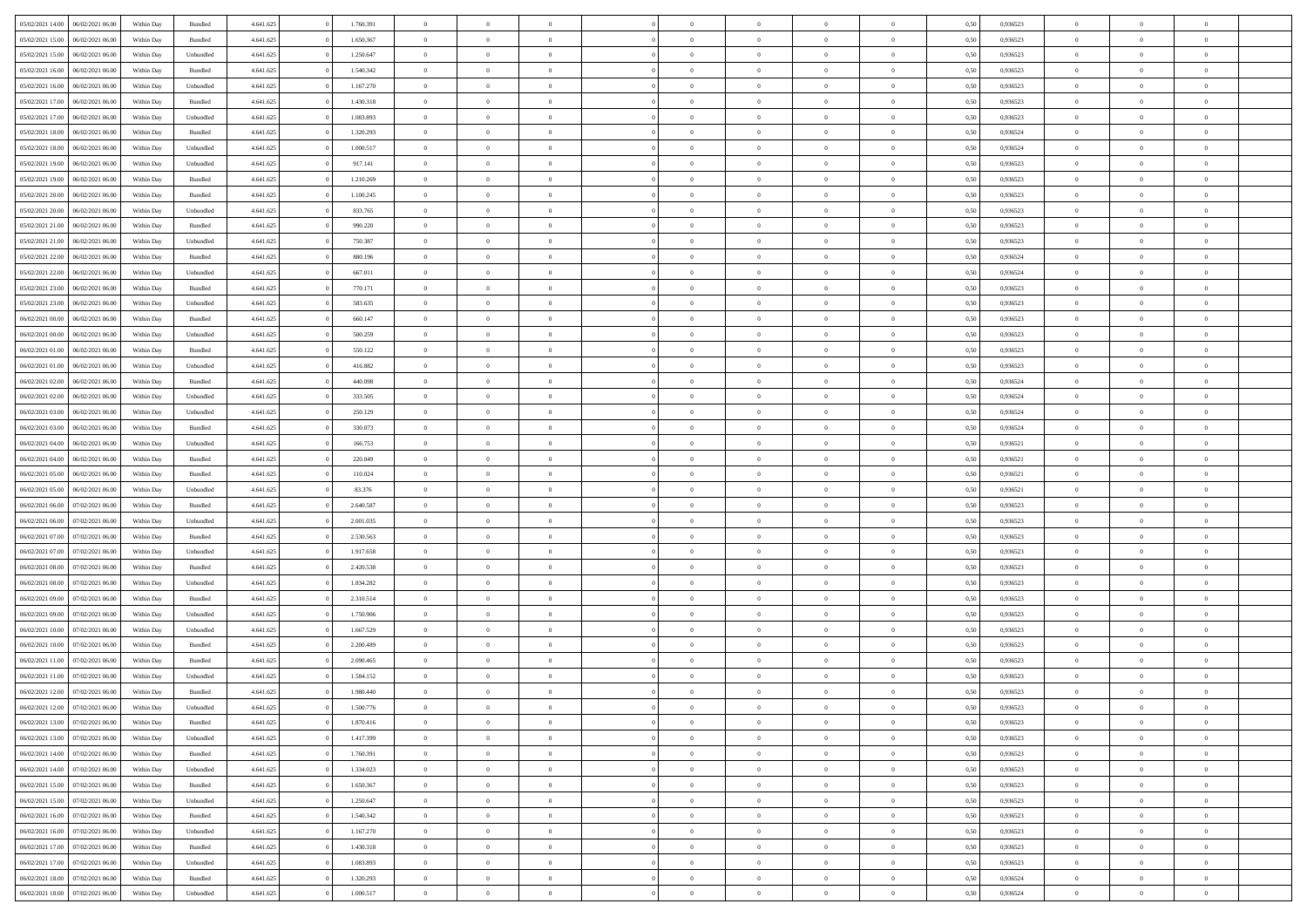| 05/02/2021 14:00<br>06/02/2021 06:00 | Within Day | Bundled   | 4.641.625 | 1.760.391 | $\overline{0}$ | $\theta$       |                | $\overline{0}$ | $\bf{0}$       | $\overline{0}$ | $\theta$       | 0,50 | 0,936523 | $\theta$       | $\theta$       | $\overline{0}$           |  |
|--------------------------------------|------------|-----------|-----------|-----------|----------------|----------------|----------------|----------------|----------------|----------------|----------------|------|----------|----------------|----------------|--------------------------|--|
|                                      |            |           |           |           | $\overline{0}$ | $\overline{0}$ |                |                |                |                |                |      |          |                |                | $\overline{0}$           |  |
| 05/02/2021 15:00<br>06/02/2021 06.00 | Within Day | Bundled   | 4.641.625 | 1.650.367 |                |                | $\overline{0}$ | $\overline{0}$ | $\,$ 0         | $\overline{0}$ | $\bf{0}$       | 0,50 | 0,936523 | $\,$ 0 $\,$    | $\overline{0}$ |                          |  |
| 05/02/2021 15:00<br>06/02/2021 06:00 | Within Day | Unbundled | 4.641.625 | 1.250.647 | $\overline{0}$ | $\overline{0}$ | $\overline{0}$ | $\overline{0}$ | $\bf{0}$       | $\overline{0}$ | $\mathbf{0}$   | 0.50 | 0.936523 | $\bf{0}$       | $\overline{0}$ | $\overline{0}$           |  |
| 05/02/2021 16:00<br>06/02/2021 06:00 | Within Day | Bundled   | 4.641.625 | 1.540.342 | $\overline{0}$ | $\overline{0}$ | $\overline{0}$ | $\overline{0}$ | $\,$ 0         | $\overline{0}$ | $\overline{0}$ | 0,50 | 0,936523 | $\,$ 0 $\,$    | $\overline{0}$ | $\overline{0}$           |  |
| 05/02/2021 16:00<br>06/02/2021 06.00 | Within Day | Unbundled | 4.641.625 | 1.167.270 | $\overline{0}$ | $\theta$       | $\overline{0}$ |                | $\overline{0}$ | $\overline{0}$ | $\bf{0}$       | 0,50 | 0,936523 | $\,$ 0 $\,$    | $\overline{0}$ | $\overline{0}$           |  |
| 05/02/2021 17:00<br>06/02/2021 06:00 | Within Day | Bundled   | 4.641.625 | 1.430.318 | $\overline{0}$ | $\overline{0}$ | $\overline{0}$ | $\overline{0}$ | $\bf{0}$       | $\overline{0}$ | $\bf{0}$       | 0.50 | 0.936523 | $\,0\,$        | $\theta$       | $\overline{0}$           |  |
| 05/02/2021 17:00<br>06/02/2021 06:00 | Within Day | Unbundled | 4.641.625 | 1.083.893 | $\overline{0}$ | $\overline{0}$ | $\overline{0}$ | $\overline{0}$ | $\bf{0}$       | $\overline{0}$ | $\overline{0}$ | 0,50 | 0,936523 | $\,$ 0 $\,$    | $\theta$       | $\overline{0}$           |  |
|                                      |            |           |           |           | $\overline{0}$ | $\theta$       |                |                |                |                |                |      |          |                |                | $\overline{0}$           |  |
| 05/02/2021 18:00<br>06/02/2021 06.00 | Within Day | Bundled   | 4.641.625 | 1.320.293 |                |                | $\overline{0}$ | $\overline{0}$ | $\,$ 0         | $\overline{0}$ | $\bf{0}$       | 0,50 | 0,936524 | $\,$ 0 $\,$    | $\overline{0}$ |                          |  |
| 05/02/2021 18:00<br>06/02/2021 06:00 | Within Day | Unbundled | 4.641.625 | 1.000.517 | $\overline{0}$ | $\overline{0}$ | $\overline{0}$ | $\overline{0}$ | $\bf{0}$       | $\overline{0}$ | $\bf{0}$       | 0.50 | 0.936524 | $\,0\,$        | $\overline{0}$ | $\overline{0}$           |  |
| 05/02/2021 19:00<br>06/02/2021 06:00 | Within Day | Unbundled | 4.641.625 | 917.141   | $\overline{0}$ | $\overline{0}$ | $\overline{0}$ | $\overline{0}$ | $\,$ 0         | $\overline{0}$ | $\bf{0}$       | 0,50 | 0,936523 | $\,$ 0 $\,$    | $\overline{0}$ | $\overline{0}$           |  |
| 05/02/2021 19:00<br>06/02/2021 06.00 | Within Day | Bundled   | 4.641.625 | 1.210.269 | $\overline{0}$ | $\theta$       | $\overline{0}$ | $\overline{0}$ | $\,$ 0         | $\overline{0}$ | $\bf{0}$       | 0,50 | 0,936523 | $\,$ 0 $\,$    | $\overline{0}$ | $\overline{0}$           |  |
| 05/02/2021 20:00<br>06/02/2021 06:00 | Within Day | Bundled   | 4.641.625 | 1.100.245 | $\overline{0}$ | $\overline{0}$ | $\overline{0}$ | $\overline{0}$ | $\bf{0}$       | $\overline{0}$ | $\mathbf{0}$   | 0.50 | 0.936523 | $\bf{0}$       | $\overline{0}$ | $\overline{\phantom{a}}$ |  |
| 05/02/2021 20:00<br>06/02/2021 06:00 | Within Day | Unbundled | 4.641.625 | 833.765   | $\overline{0}$ | $\overline{0}$ | $\overline{0}$ | $\overline{0}$ | $\,$ 0         | $\overline{0}$ | $\overline{0}$ | 0,50 | 0,936523 | $\,$ 0 $\,$    | $\overline{0}$ | $\overline{0}$           |  |
|                                      |            |           |           |           | $\overline{0}$ | $\theta$       |                |                |                |                |                |      |          |                |                |                          |  |
| 05/02/2021 21:00<br>06/02/2021 06.00 | Within Day | Bundled   | 4.641.625 | 990.220   |                |                | $\overline{0}$ | $\overline{0}$ | $\overline{0}$ | $\overline{0}$ | $\bf{0}$       | 0,50 | 0,936523 | $\,$ 0 $\,$    | $\overline{0}$ | $\overline{0}$           |  |
| 05/02/2021 21:00<br>06/02/2021 06:00 | Within Day | Unbundled | 4.641.625 | 750.387   | $\overline{0}$ | $\overline{0}$ | $\overline{0}$ | $\overline{0}$ | $\,$ 0         | $\overline{0}$ | $\bf{0}$       | 0.50 | 0.936523 | $\,0\,$        | $\theta$       | $\overline{0}$           |  |
| 05/02/2021 22.00<br>06/02/2021 06:00 | Within Day | Bundled   | 4.641.625 | 880.196   | $\overline{0}$ | $\overline{0}$ | $\overline{0}$ | $\overline{0}$ | $\,$ 0         | $\overline{0}$ | $\bf{0}$       | 0,50 | 0,936524 | $\,$ 0 $\,$    | $\theta$       | $\overline{0}$           |  |
| 05/02/2021 22:00<br>06/02/2021 06.00 | Within Day | Unbundled | 4.641.625 | 667.011   | $\overline{0}$ | $\theta$       | $\overline{0}$ | $\overline{0}$ | $\bf{0}$       | $\overline{0}$ | $\bf{0}$       | 0,50 | 0,936524 | $\,$ 0 $\,$    | $\overline{0}$ | $\overline{0}$           |  |
| 05/02/2021 23:00<br>06/02/2021 06:00 | Within Day | Bundled   | 4.641.625 | 770.171   | $\overline{0}$ | $\overline{0}$ | $\overline{0}$ | $\overline{0}$ | $\bf{0}$       | $\overline{0}$ | $\bf{0}$       | 0.50 | 0.936523 | $\,0\,$        | $\overline{0}$ | $\overline{0}$           |  |
| 05/02/2021 23:00<br>06/02/2021 06:00 | Within Day | Unbundled | 4.641.625 | 583.635   | $\overline{0}$ | $\overline{0}$ | $\overline{0}$ | $\overline{0}$ | $\bf{0}$       | $\overline{0}$ | $\bf{0}$       | 0,50 | 0,936523 | $\,$ 0 $\,$    | $\overline{0}$ | $\overline{0}$           |  |
|                                      |            |           |           |           |                |                |                |                |                |                |                |      |          |                |                |                          |  |
| 06/02/2021 00:00<br>06/02/2021 06.00 | Within Day | Bundled   | 4.641.625 | 660.147   | $\overline{0}$ | $\theta$       | $\overline{0}$ | $\overline{0}$ | $\,$ 0         | $\bf{0}$       | $\bf{0}$       | 0,50 | 0,936523 | $\,$ 0 $\,$    | $\overline{0}$ | $\overline{0}$           |  |
| 06/02/2021 00:00<br>06/02/2021 06:00 | Within Day | Unbundled | 4.641.625 | 500.259   | $\overline{0}$ | $\overline{0}$ | $\overline{0}$ | $\overline{0}$ | $\bf{0}$       | $\overline{0}$ | $\mathbf{0}$   | 0.50 | 0.936523 | $\bf{0}$       | $\overline{0}$ | $\bf{0}$                 |  |
| 06/02/2021 01:00<br>06/02/2021 06:00 | Within Day | Bundled   | 4.641.625 | 550.122   | $\overline{0}$ | $\overline{0}$ | $\overline{0}$ | $\overline{0}$ | $\bf{0}$       | $\overline{0}$ | $\overline{0}$ | 0,50 | 0,936523 | $\,$ 0 $\,$    | $\overline{0}$ | $\overline{0}$           |  |
| 06/02/2021 01:00<br>06/02/2021 06.00 | Within Day | Unbundled | 4.641.625 | 416.882   | $\overline{0}$ | $\theta$       | $\overline{0}$ | $\overline{0}$ | $\,$ 0         | $\overline{0}$ | $\bf{0}$       | 0,50 | 0,936523 | $\,$ 0 $\,$    | $\overline{0}$ | $\overline{0}$           |  |
| 06/02/2021 02:00<br>06/02/2021 06:00 | Within Day | Bundled   | 4.641.625 | 440.098   | $\overline{0}$ | $\overline{0}$ | $\overline{0}$ | $\overline{0}$ | $\bf{0}$       | $\overline{0}$ | $\bf{0}$       | 0.50 | 0.936524 | $\,0\,$        | $\theta$       | $\overline{0}$           |  |
| 06/02/2021 02:00<br>06/02/2021 06:00 | Within Day | Unbundled | 4.641.625 | 333.505   | $\overline{0}$ | $\overline{0}$ | $\overline{0}$ | $\overline{0}$ | $\,$ 0         | $\overline{0}$ | $\overline{0}$ | 0,50 | 0,936524 | $\,$ 0 $\,$    | $\theta$       | $\overline{0}$           |  |
|                                      |            |           |           |           | $\overline{0}$ | $\theta$       | $\overline{0}$ |                | $\bf{0}$       | $\overline{0}$ |                |      |          | $\,$ 0 $\,$    | $\overline{0}$ | $\overline{0}$           |  |
| 06/02/2021 03:00<br>06/02/2021 06.00 | Within Day | Unbundled | 4.641.625 | 250.129   |                |                |                |                |                |                | $\bf{0}$       | 0,50 | 0,936524 |                |                |                          |  |
| 06/02/2021 03:00<br>06/02/2021 06:00 | Within Day | Bundled   | 4.641.625 | 330,073   | $\overline{0}$ | $\overline{0}$ | $\overline{0}$ | $\overline{0}$ | $\bf{0}$       | $\overline{0}$ | $\bf{0}$       | 0.50 | 0.936524 | $\,0\,$        | $\overline{0}$ | $\overline{0}$           |  |
| 06/02/2021 04:00<br>06/02/2021 06:00 | Within Day | Unbundled | 4.641.625 | 166.753   | $\overline{0}$ | $\overline{0}$ | $\overline{0}$ | $\overline{0}$ | $\bf{0}$       | $\overline{0}$ | $\bf{0}$       | 0,50 | 0,936521 | $\,$ 0 $\,$    | $\overline{0}$ | $\overline{0}$           |  |
| 06/02/2021 04:00<br>06/02/2021 06.00 | Within Day | Bundled   | 4.641.625 | 220.049   | $\overline{0}$ | $\overline{0}$ | $\overline{0}$ | $\overline{0}$ | $\bf{0}$       | $\bf{0}$       | $\bf{0}$       | 0,50 | 0,936521 | $\,$ 0 $\,$    | $\overline{0}$ | $\overline{0}$           |  |
| 06/02/2021 05:00<br>06/02/2021 06:00 | Within Day | Bundled   | 4.641.625 | 110.024   | $\overline{0}$ | $\overline{0}$ | $\overline{0}$ | $\overline{0}$ | $\bf{0}$       | $\overline{0}$ | $\mathbf{0}$   | 0.50 | 0.936521 | $\bf{0}$       | $\overline{0}$ | $\overline{\phantom{a}}$ |  |
| 06/02/2021 05:00<br>06/02/2021 06:00 | Within Dav | Unbundled | 4.641.625 | 83.376    | $\overline{0}$ | $\overline{0}$ | $\overline{0}$ | $\overline{0}$ | $\mathbf{0}$   | $\overline{0}$ | $\overline{0}$ | 0.50 | 0,936521 | $\theta$       | $\overline{0}$ | $\overline{0}$           |  |
| 06/02/2021 06:00<br>07/02/2021 06.00 | Within Day | Bundled   | 4.641.625 | 2.640.587 | $\overline{0}$ | $\theta$       | $\overline{0}$ | $\overline{0}$ | $\bf{0}$       | $\overline{0}$ | $\bf{0}$       | 0,50 | 0,936523 | $\,$ 0 $\,$    | $\overline{0}$ | $\overline{0}$           |  |
|                                      |            |           |           |           |                |                |                |                |                |                |                |      |          |                |                |                          |  |
| 06/02/2021 06:00<br>07/02/2021 06:00 | Within Day | Unbundled | 4.641.625 | 2.001.035 | $\overline{0}$ | $\overline{0}$ | $\overline{0}$ | $\overline{0}$ | $\,$ 0         | $\overline{0}$ | $\bf{0}$       | 0.50 | 0.936523 | $\,0\,$        | $\theta$       | $\overline{0}$           |  |
| 06/02/2021 07:00<br>07/02/2021 06:00 | Within Dav | Bundled   | 4.641.625 | 2.530.563 | $\overline{0}$ | $\theta$       | $\Omega$       | $\overline{0}$ | $\bf{0}$       | $\overline{0}$ | $\overline{0}$ | 0.50 | 0.936523 | $\theta$       | $\overline{0}$ | $\overline{0}$           |  |
| 06/02/2021 07:00<br>07/02/2021 06.00 | Within Day | Unbundled | 4.641.625 | 1.917.658 | $\overline{0}$ | $\theta$       | $\overline{0}$ | $\overline{0}$ | $\,$ 0         | $\overline{0}$ | $\bf{0}$       | 0,50 | 0,936523 | $\,$ 0 $\,$    | $\overline{0}$ | $\overline{0}$           |  |
| 06/02/2021 08:00<br>07/02/2021 06:00 | Within Day | Bundled   | 4.641.625 | 2.420.538 | $\overline{0}$ | $\overline{0}$ | $\overline{0}$ | $\overline{0}$ | $\bf{0}$       | $\overline{0}$ | $\bf{0}$       | 0.50 | 0.936523 | $\,0\,$        | $\overline{0}$ | $\overline{0}$           |  |
| 06/02/2021 08:00<br>07/02/2021 06:00 | Within Dav | Unbundled | 4.641.625 | 1.834.282 | $\overline{0}$ | $\overline{0}$ | $\overline{0}$ | $\overline{0}$ | $\overline{0}$ | $\overline{0}$ | $\overline{0}$ | 0.50 | 0.936523 | $\theta$       | $\overline{0}$ | $\overline{0}$           |  |
| 06/02/2021 09:00<br>07/02/2021 06.00 | Within Day | Bundled   | 4.641.625 | 2.310.514 | $\overline{0}$ | $\overline{0}$ | $\overline{0}$ | $\overline{0}$ | $\bf{0}$       | $\bf{0}$       | $\bf{0}$       | 0,50 | 0,936523 | $\,$ 0 $\,$    | $\overline{0}$ | $\overline{0}$           |  |
|                                      |            |           |           |           |                |                |                |                |                |                |                |      |          |                |                |                          |  |
| 06/02/2021 09:00<br>07/02/2021 06:00 | Within Day | Unbundled | 4.641.625 | 1.750.906 | $\overline{0}$ | $\overline{0}$ | $\overline{0}$ | $\overline{0}$ | $\bf{0}$       | $\overline{0}$ | $\mathbf{0}$   | 0.50 | 0.936523 | $\,$ 0 $\,$    | $\overline{0}$ | $\overline{0}$           |  |
| 06/02/2021 10:00<br>07/02/2021 06:00 | Within Dav | Unbundled | 4.641.625 | 1.667.529 | $\overline{0}$ | $\overline{0}$ | $\Omega$       | $\overline{0}$ | $\mathbf{0}$   | $\overline{0}$ | $\overline{0}$ | 0.50 | 0.936523 | $\theta$       | $\overline{0}$ | $\overline{0}$           |  |
| 06/02/2021 10:00<br>07/02/2021 06.00 | Within Day | Bundled   | 4.641.625 | 2.200.489 | $\overline{0}$ | $\theta$       | $\overline{0}$ | $\overline{0}$ | $\,$ 0         | $\overline{0}$ | $\bf{0}$       | 0,50 | 0,936523 | $\,$ 0 $\,$    | $\overline{0}$ | $\overline{0}$           |  |
| 06/02/2021 11:00<br>07/02/2021 06:00 | Within Day | Bundled   | 4.641.625 | 2.090.465 | $\overline{0}$ | $\theta$       | $\overline{0}$ | $\overline{0}$ | $\overline{0}$ | $\Omega$       | $\overline{0}$ | 0.50 | 0.936523 | $\,0\,$        | $\theta$       | $\overline{0}$           |  |
| 06/02/2021 11:00<br>07/02/2021 06:00 | Within Dav | Unbundled | 4.641.625 | 1.584.152 | $\overline{0}$ | $\Omega$       | $\Omega$       | $\Omega$       | $\bf{0}$       | $\overline{0}$ | $\bf{0}$       | 0.50 | 0.936523 | $\theta$       | $\theta$       | $\overline{0}$           |  |
| 06/02/2021 12:00<br>07/02/2021 06:00 | Within Day | Bundled   | 4.641.625 | 1.980.440 | $\overline{0}$ | $\,$ 0 $\,$    | $\overline{0}$ | $\overline{0}$ | $\,$ 0         | $\bf{0}$       | $\bf{0}$       | 0,50 | 0,936523 | $\,$ 0 $\,$    | $\overline{0}$ | $\overline{0}$           |  |
| 06/02/2021 12:00 07/02/2021 06:00    | Within Day | Unbundled | 4.641.625 | 1.500.776 | $\bf{0}$       | $\theta$       |                |                |                |                |                | 0,50 | 0.936523 | $\bf{0}$       | $\theta$       |                          |  |
|                                      |            |           |           |           |                |                |                |                |                |                |                |      |          |                |                |                          |  |
| 06/02/2021 13:00<br>07/02/2021 06:00 | Within Day | Bundled   | 4.641.625 | 1.870.416 | $\overline{0}$ | $\overline{0}$ | $\overline{0}$ | $\overline{0}$ | $\overline{0}$ | $\overline{0}$ | $\overline{0}$ | 0,50 | 0.936523 | $\theta$       | $\overline{0}$ | $\overline{0}$           |  |
| 06/02/2021 13:00<br>07/02/2021 06:00 | Within Day | Unbundled | 4.641.625 | 1.417.399 | $\overline{0}$ | $\overline{0}$ | $\overline{0}$ | $\overline{0}$ | $\overline{0}$ | $\overline{0}$ | $\bf{0}$       | 0,50 | 0,936523 | $\bf{0}$       | $\overline{0}$ | $\bf{0}$                 |  |
| 06/02/2021 14:00<br>07/02/2021 06:00 | Within Day | Bundled   | 4.641.625 | 1.760.391 | $\overline{0}$ | $\overline{0}$ | $\overline{0}$ | $\overline{0}$ | $\overline{0}$ | $\overline{0}$ | $\mathbf{0}$   | 0.50 | 0.936523 | $\overline{0}$ | $\bf{0}$       | $\bf{0}$                 |  |
| 06/02/2021 14:00<br>07/02/2021 06:00 | Within Day | Unbundled | 4.641.625 | 1.334.023 | $\overline{0}$ | $\overline{0}$ | $\overline{0}$ | $\overline{0}$ | $\overline{0}$ | $\overline{0}$ | $\overline{0}$ | 0,50 | 0.936523 | $\overline{0}$ | $\theta$       | $\overline{0}$           |  |
| 06/02/2021 15:00<br>07/02/2021 06:00 | Within Day | Bundled   | 4.641.625 | 1.650.367 | $\overline{0}$ | $\overline{0}$ | $\overline{0}$ | $\overline{0}$ | $\bf{0}$       | $\overline{0}$ | $\bf{0}$       | 0,50 | 0,936523 | $\,$ 0 $\,$    | $\overline{0}$ | $\overline{0}$           |  |
| 06/02/2021 15:00<br>07/02/2021 06:00 | Within Day | Unbundled | 4.641.625 | 1.250.647 | $\overline{0}$ | $\overline{0}$ | $\overline{0}$ | $\overline{0}$ | $\bf{0}$       | $\overline{0}$ | $\mathbf{0}$   | 0.50 | 0.936523 | $\,$ 0 $\,$    | $\theta$       | $\overline{0}$           |  |
|                                      |            |           |           |           |                | $\overline{0}$ |                |                | $\overline{0}$ |                |                |      |          | $\overline{0}$ | $\theta$       | $\overline{0}$           |  |
| 06/02/2021 16:00<br>07/02/2021 06:00 | Within Day | Bundled   | 4.641.625 | 1.540.342 | $\overline{0}$ |                | $\overline{0}$ | $\overline{0}$ |                | $\overline{0}$ | $\overline{0}$ | 0,50 | 0.936523 |                |                |                          |  |
| 06/02/2021 16:00<br>07/02/2021 06:00 | Within Day | Unbundled | 4.641.625 | 1.167.270 | $\overline{0}$ | $\,$ 0         | $\overline{0}$ | $\bf{0}$       | $\,$ 0 $\,$    | $\overline{0}$ | $\bf{0}$       | 0,50 | 0,936523 | $\,$ 0 $\,$    | $\overline{0}$ | $\overline{0}$           |  |
| 06/02/2021 17:00<br>07/02/2021 06:00 | Within Day | Bundled   | 4.641.625 | 1.430.318 | $\overline{0}$ | $\overline{0}$ | $\overline{0}$ | $\overline{0}$ | $\bf{0}$       | $\overline{0}$ | $\mathbf{0}$   | 0.50 | 0.936523 | $\mathbf{0}$   | $\,$ 0 $\,$    | $\overline{0}$           |  |
| 06/02/2021 17:00<br>07/02/2021 06:00 | Within Day | Unbundled | 4.641.625 | 1.083.893 | $\overline{0}$ | $\overline{0}$ | $\overline{0}$ | $\overline{0}$ | $\overline{0}$ | $\overline{0}$ | $\overline{0}$ | 0,50 | 0.936523 | $\overline{0}$ | $\theta$       | $\overline{0}$           |  |
| 06/02/2021 18:00<br>07/02/2021 06.00 | Within Day | Bundled   | 4.641.625 | 1.320.293 | $\overline{0}$ | $\overline{0}$ | $\overline{0}$ | $\bf{0}$       | $\bf{0}$       | $\bf{0}$       | $\bf{0}$       | 0,50 | 0,936524 | $\bf{0}$       | $\overline{0}$ | $\bf{0}$                 |  |
| 06/02/2021 18:00 07/02/2021 06:00    | Within Day | Unbundled | 4.641.625 | 1.000.517 | $\,$ 0 $\,$    | $\,$ 0 $\,$    | $\overline{0}$ | $\overline{0}$ | $\,$ 0 $\,$    | $\,$ 0 $\,$    | $\,$ 0 $\,$    | 0,50 | 0,936524 | $\mathbf{0}^-$ | $\,$ 0 $\,$    | $\,$ 0 $\,$              |  |
|                                      |            |           |           |           |                |                |                |                |                |                |                |      |          |                |                |                          |  |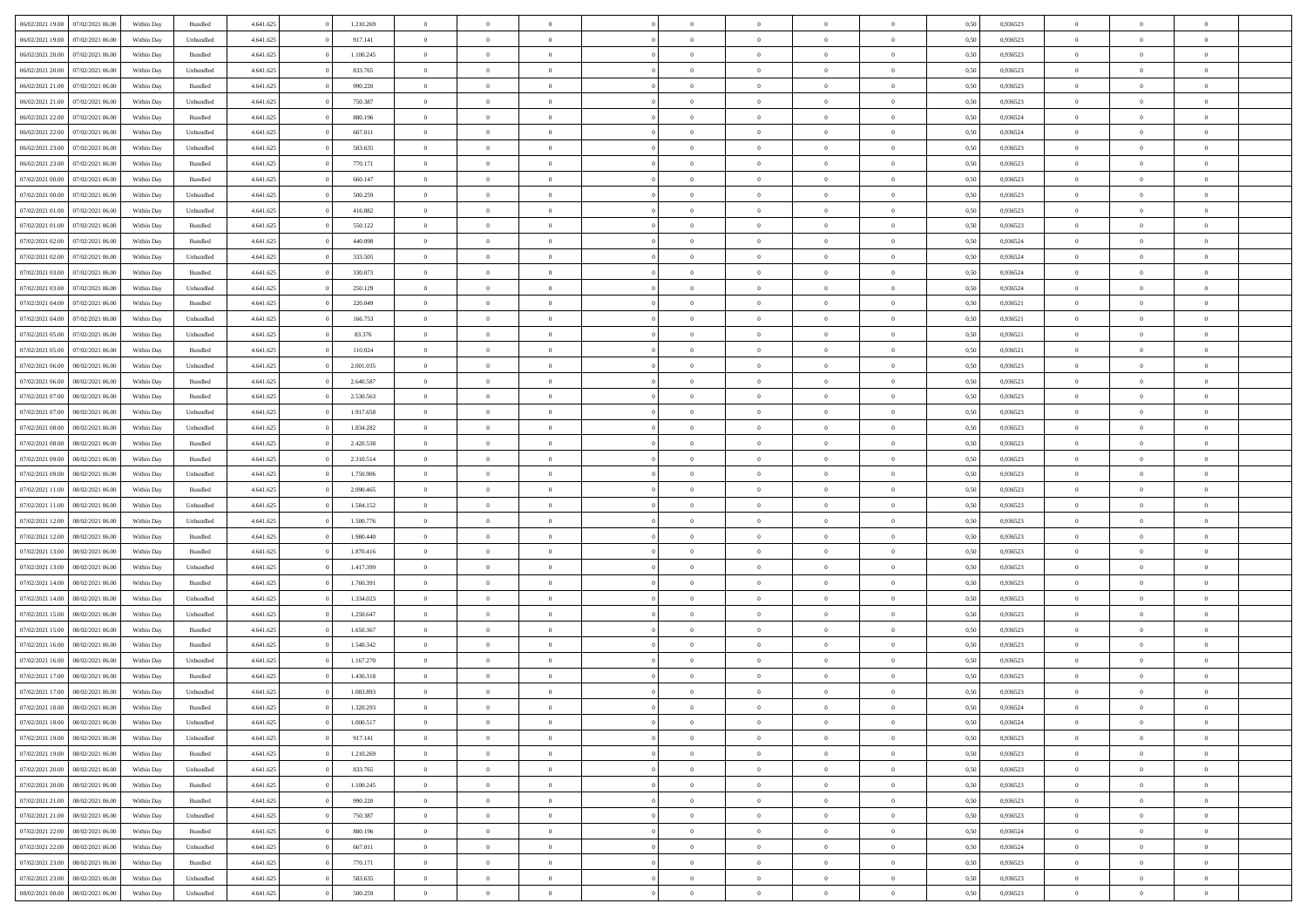| 06/02/2021 19:00 | 07/02/2021 06:00 | Within Day | Bundled            | 4.641.625 | 1.210.269 | $\overline{0}$ | $\Omega$       |                | $\Omega$       | $\Omega$       | $\theta$       | $\theta$       | 0,50 | 0,936523 | $\theta$       | $\theta$       | $\overline{0}$ |  |
|------------------|------------------|------------|--------------------|-----------|-----------|----------------|----------------|----------------|----------------|----------------|----------------|----------------|------|----------|----------------|----------------|----------------|--|
| 06/02/2021 19:00 | 07/02/2021 06:00 | Within Day | Unbundled          | 4.641.625 | 917.141   | $\overline{0}$ | $\theta$       | $\overline{0}$ | $\overline{0}$ | $\bf{0}$       | $\overline{0}$ | $\bf{0}$       | 0,50 | 0,936523 | $\theta$       | $\overline{0}$ | $\overline{0}$ |  |
| 06/02/2021 20.00 | 07/02/2021 06:00 | Within Day | Bundled            | 4.641.625 | 1.100.245 | $\overline{0}$ | $\bf{0}$       | $\overline{0}$ | $\bf{0}$       | $\bf{0}$       | $\bf{0}$       | $\mathbf{0}$   | 0,50 | 0,936523 | $\overline{0}$ | $\overline{0}$ | $\bf{0}$       |  |
| 06/02/2021 20:00 | 07/02/2021 06:00 | Within Dav | Unbundled          | 4.641.625 | 833.765   | $\overline{0}$ | $\overline{0}$ | $\overline{0}$ | $\overline{0}$ | $\bf{0}$       | $\overline{0}$ | $\overline{0}$ | 0.50 | 0.936523 | $\theta$       | $\theta$       | $\overline{0}$ |  |
| 06/02/2021 21:00 | 07/02/2021 06.00 | Within Day | Bundled            | 4.641.625 | 990.220   | $\overline{0}$ | $\theta$       | $\overline{0}$ | $\overline{0}$ | $\bf{0}$       | $\overline{0}$ | $\bf{0}$       | 0,50 | 0,936523 | $\theta$       | $\overline{0}$ | $\overline{0}$ |  |
|                  |                  |            |                    |           |           |                |                |                |                |                |                |                |      |          |                |                |                |  |
| 06/02/2021 21.00 | 07/02/2021 06:00 | Within Day | Unbundled          | 4.641.625 | 750.387   | $\overline{0}$ | $\overline{0}$ | $\overline{0}$ | $\bf{0}$       | $\overline{0}$ | $\overline{0}$ | $\mathbf{0}$   | 0,50 | 0,936523 | $\overline{0}$ | $\overline{0}$ | $\bf{0}$       |  |
| 06/02/2021 22.00 | 07/02/2021 06:00 | Within Dav | Bundled            | 4.641.625 | 880.196   | $\overline{0}$ | $\overline{0}$ | $\overline{0}$ | $\overline{0}$ | $\overline{0}$ | $\overline{0}$ | $\overline{0}$ | 0.50 | 0,936524 | $\theta$       | $\overline{0}$ | $\overline{0}$ |  |
| 06/02/2021 22.00 | 07/02/2021 06:00 | Within Day | Unbundled          | 4.641.625 | 667.011   | $\overline{0}$ | $\theta$       | $\overline{0}$ | $\overline{0}$ | $\bf{0}$       | $\overline{0}$ | $\bf{0}$       | 0,50 | 0,936524 | $\theta$       | $\theta$       | $\overline{0}$ |  |
| 06/02/2021 23:00 | 07/02/2021 06:00 | Within Day | Unbundled          | 4.641.625 | 583.635   | $\overline{0}$ | $\overline{0}$ | $\overline{0}$ | $\bf{0}$       | $\bf{0}$       | $\bf{0}$       | $\mathbf{0}$   | 0,50 | 0,936523 | $\,0\,$        | $\overline{0}$ | $\overline{0}$ |  |
| 06/02/2021 23:00 | 07/02/2021 06:00 | Within Dav | Bundled            | 4.641.625 | 770.171   | $\overline{0}$ | $\overline{0}$ | $\overline{0}$ | $\overline{0}$ | $\overline{0}$ | $\overline{0}$ | $\overline{0}$ | 0.50 | 0.936523 | $\theta$       | $\overline{0}$ | $\overline{0}$ |  |
| 07/02/2021 00:00 | 07/02/2021 06:00 | Within Day | Bundled            | 4.641.625 | 660.147   | $\overline{0}$ | $\theta$       | $\overline{0}$ | $\overline{0}$ | $\bf{0}$       | $\overline{0}$ | $\bf{0}$       | 0,50 | 0,936523 | $\,$ 0 $\,$    | $\overline{0}$ | $\overline{0}$ |  |
| 07/02/2021 00:00 | 07/02/2021 06:00 | Within Day | Unbundled          | 4.641.625 | 500.259   | $\overline{0}$ | $\overline{0}$ | $\overline{0}$ | $\bf{0}$       | $\bf{0}$       | $\bf{0}$       | $\mathbf{0}$   | 0,50 | 0,936523 | $\overline{0}$ | $\overline{0}$ | $\bf{0}$       |  |
|                  |                  |            |                    |           |           |                |                |                |                |                |                |                |      |          |                |                |                |  |
| 07/02/2021 01:00 | 07/02/2021 06:00 | Within Day | Unbundled          | 4.641.625 | 416.882   | $\overline{0}$ | $\overline{0}$ | $\overline{0}$ | $\overline{0}$ | $\bf{0}$       | $\overline{0}$ | $\overline{0}$ | 0.50 | 0.936523 | $\theta$       | $\theta$       | $\overline{0}$ |  |
| 07/02/2021 01:00 | 07/02/2021 06.00 | Within Day | Bundled            | 4.641.625 | 550.122   | $\overline{0}$ | $\theta$       | $\overline{0}$ | $\overline{0}$ | $\bf{0}$       | $\overline{0}$ | $\bf{0}$       | 0,50 | 0,936523 | $\theta$       | $\overline{0}$ | $\overline{0}$ |  |
| 07/02/2021 02:00 | 07/02/2021 06:00 | Within Day | Bundled            | 4.641.625 | 440.098   | $\overline{0}$ | $\overline{0}$ | $\overline{0}$ | $\bf{0}$       | $\overline{0}$ | $\overline{0}$ | $\mathbf{0}$   | 0,50 | 0,936524 | $\overline{0}$ | $\overline{0}$ | $\bf{0}$       |  |
| 07/02/2021 02:00 | 07/02/2021 06:00 | Within Dav | Unbundled          | 4.641.625 | 333.505   | $\overline{0}$ | $\overline{0}$ | $\overline{0}$ | $\overline{0}$ | $\overline{0}$ | $\overline{0}$ | $\overline{0}$ | 0.50 | 0,936524 | $\theta$       | $\overline{0}$ | $\overline{0}$ |  |
| 07/02/2021 03:00 | 07/02/2021 06:00 | Within Day | Bundled            | 4.641.625 | 330.073   | $\overline{0}$ | $\theta$       | $\overline{0}$ | $\overline{0}$ | $\bf{0}$       | $\overline{0}$ | $\bf{0}$       | 0,50 | 0,936524 | $\theta$       | $\theta$       | $\overline{0}$ |  |
| 07/02/2021 03:00 | 07/02/2021 06:00 | Within Day | Unbundled          | 4.641.625 | 250.129   | $\overline{0}$ | $\overline{0}$ | $\overline{0}$ | $\bf{0}$       | $\bf{0}$       | $\bf{0}$       | $\mathbf{0}$   | 0,50 | 0,936524 | $\,0\,$        | $\overline{0}$ | $\bf{0}$       |  |
| 07/02/2021 04:00 | 07/02/2021 06:00 | Within Day | Bundled            | 4.641.625 | 220.049   | $\overline{0}$ | $\overline{0}$ | $\overline{0}$ | $\overline{0}$ | $\overline{0}$ | $\overline{0}$ | $\overline{0}$ | 0.50 | 0,936521 | $\theta$       | $\overline{0}$ | $\overline{0}$ |  |
| 07/02/2021 04:00 | 07/02/2021 06:00 | Within Day | Unbundled          | 4.641.625 | 166.753   | $\overline{0}$ | $\theta$       | $\overline{0}$ | $\overline{0}$ | $\bf{0}$       | $\overline{0}$ | $\bf{0}$       | 0,50 | 0,936521 | $\,$ 0 $\,$    | $\overline{0}$ | $\overline{0}$ |  |
|                  |                  |            |                    |           |           |                |                |                |                |                |                |                |      |          |                |                |                |  |
| 07/02/2021 05:00 | 07/02/2021 06:00 | Within Day | Unbundled          | 4.641.625 | 83.376    | $\overline{0}$ | $\overline{0}$ | $\overline{0}$ | $\bf{0}$       | $\bf{0}$       | $\bf{0}$       | $\mathbf{0}$   | 0,50 | 0,936521 | $\bf{0}$       | $\overline{0}$ | $\bf{0}$       |  |
| 07/02/2021 05:00 | 07/02/2021 06:00 | Within Day | Bundled            | 4.641.625 | 110.024   | $\overline{0}$ | $\overline{0}$ | $\overline{0}$ | $\overline{0}$ | $\overline{0}$ | $\overline{0}$ | $\overline{0}$ | 0.50 | 0.936521 | $\theta$       | $\overline{0}$ | $\overline{0}$ |  |
| 07/02/2021 06:00 | 08/02/2021 06:00 | Within Day | Unbundled          | 4.641.625 | 2.001.035 | $\overline{0}$ | $\theta$       | $\overline{0}$ | $\overline{0}$ | $\bf{0}$       | $\overline{0}$ | $\,$ 0 $\,$    | 0,50 | 0,936523 | $\,$ 0 $\,$    | $\overline{0}$ | $\overline{0}$ |  |
| 07/02/2021 06:00 | 08/02/2021 06:00 | Within Day | Bundled            | 4.641.625 | 2.640.587 | $\overline{0}$ | $\overline{0}$ | $\overline{0}$ | $\bf{0}$       | $\overline{0}$ | $\overline{0}$ | $\mathbf{0}$   | 0,50 | 0,936523 | $\overline{0}$ | $\overline{0}$ | $\bf{0}$       |  |
| 07/02/2021 07:00 | 08/02/2021 06:00 | Within Dav | Bundled            | 4.641.625 | 2.530.563 | $\overline{0}$ | $\overline{0}$ | $\overline{0}$ | $\overline{0}$ | $\overline{0}$ | $\overline{0}$ | $\overline{0}$ | 0.50 | 0.936523 | $\theta$       | $\overline{0}$ | $\overline{0}$ |  |
| 07/02/2021 07:00 | 08/02/2021 06:00 | Within Day | Unbundled          | 4.641.625 | 1.917.658 | $\overline{0}$ | $\theta$       | $\overline{0}$ | $\overline{0}$ | $\bf{0}$       | $\overline{0}$ | $\bf{0}$       | 0,50 | 0,936523 | $\theta$       | $\theta$       | $\overline{0}$ |  |
| 07/02/2021 08:00 | 08/02/2021 06:00 | Within Day | Unbundled          | 4.641.625 | 1.834.282 | $\overline{0}$ | $\overline{0}$ | $\overline{0}$ | $\bf{0}$       | $\bf{0}$       | $\bf{0}$       | $\mathbf{0}$   | 0,50 | 0,936523 | $\,0\,$        | $\overline{0}$ | $\bf{0}$       |  |
| 07/02/2021 08:00 | 08/02/2021 06:00 | Within Day | Bundled            | 4.641.625 | 2.420.538 | $\overline{0}$ | $\overline{0}$ | $\overline{0}$ | $\overline{0}$ | $\overline{0}$ | $\overline{0}$ | $\overline{0}$ | 0.50 | 0.936523 | $\theta$       | $\overline{0}$ | $\overline{0}$ |  |
| 07/02/2021 09:00 | 08/02/2021 06:00 |            | Bundled            | 4.641.625 | 2.310.514 | $\overline{0}$ | $\theta$       | $\overline{0}$ | $\overline{0}$ | $\bf{0}$       | $\overline{0}$ |                |      | 0,936523 | $\,$ 0 $\,$    | $\overline{0}$ | $\overline{0}$ |  |
|                  |                  | Within Day |                    |           |           |                |                |                |                |                |                | $\bf{0}$       | 0,50 |          |                |                |                |  |
| 07/02/2021 09:00 | 08/02/2021 06:00 | Within Day | Unbundled          | 4.641.625 | 1.750.906 | $\overline{0}$ | $\bf{0}$       | $\overline{0}$ | $\overline{0}$ | $\bf{0}$       | $\overline{0}$ | $\mathbf{0}$   | 0,50 | 0,936523 | $\bf{0}$       | $\overline{0}$ | $\bf{0}$       |  |
| 07/02/2021 11:00 | 08/02/2021 06:00 | Within Day | Bundled            | 4.641.625 | 2.090.465 | $\overline{0}$ | $\Omega$       | $\overline{0}$ | $\Omega$       | $\bf{0}$       | $\overline{0}$ | $\overline{0}$ | 0,50 | 0,936523 | $\,0\,$        | $\theta$       | $\theta$       |  |
| 07/02/2021 11:00 | 08/02/2021 06:00 | Within Day | Unbundled          | 4.641.625 | 1.584.152 | $\overline{0}$ | $\theta$       | $\overline{0}$ | $\overline{0}$ | $\bf{0}$       | $\overline{0}$ | $\bf{0}$       | 0,50 | 0,936523 | $\theta$       | $\overline{0}$ | $\overline{0}$ |  |
| 07/02/2021 12:00 | 08/02/2021 06:00 | Within Day | Unbundled          | 4.641.625 | 1.500.776 | $\overline{0}$ | $\overline{0}$ | $\overline{0}$ | $\overline{0}$ | $\overline{0}$ | $\overline{0}$ | $\mathbf{0}$   | 0,50 | 0,936523 | $\bf{0}$       | $\overline{0}$ | $\bf{0}$       |  |
| 07/02/2021 12:00 | 08/02/2021 06:00 | Within Day | Bundled            | 4.641.625 | 1.980.440 | $\overline{0}$ | $\Omega$       | $\Omega$       | $\Omega$       | $\overline{0}$ | $\overline{0}$ | $\overline{0}$ | 0.50 | 0.936523 | $\,0\,$        | $\theta$       | $\theta$       |  |
| 07/02/2021 13:00 | 08/02/2021 06:00 | Within Day | Bundled            | 4.641.625 | 1.870.416 | $\overline{0}$ | $\theta$       | $\overline{0}$ | $\overline{0}$ | $\bf{0}$       | $\overline{0}$ | $\bf{0}$       | 0,50 | 0,936523 | $\theta$       | $\overline{0}$ | $\overline{0}$ |  |
| 07/02/2021 13:00 | 08/02/2021 06:00 | Within Day | Unbundled          | 4.641.625 | 1.417.399 | $\overline{0}$ | $\overline{0}$ | $\overline{0}$ | $\overline{0}$ | $\bf{0}$       | $\overline{0}$ | $\mathbf{0}$   | 0,50 | 0,936523 | $\bf{0}$       | $\overline{0}$ | $\bf{0}$       |  |
| 07/02/2021 14:00 | 08/02/2021 06:00 | Within Day | Bundled            | 4.641.625 | 1.760.391 | $\overline{0}$ | $\Omega$       | $\Omega$       | $\Omega$       | $\overline{0}$ | $\overline{0}$ | $\overline{0}$ | 0.50 | 0.936523 | $\,$ 0 $\,$    | $\theta$       | $\theta$       |  |
| 07/02/2021 14:00 | 08/02/2021 06:00 |            |                    | 4.641.625 | 1.334.023 | $\overline{0}$ | $\theta$       | $\overline{0}$ | $\overline{0}$ | $\,$ 0         | $\overline{0}$ |                |      | 0,936523 | $\,$ 0 $\,$    | $\overline{0}$ | $\overline{0}$ |  |
|                  |                  | Within Day | Unbundled          |           |           |                |                |                |                |                |                | $\bf{0}$       | 0,50 |          |                |                |                |  |
| 07/02/2021 15:00 | 08/02/2021 06:00 | Within Day | Unbundled          | 4.641.625 | 1.250.647 | $\overline{0}$ | $\overline{0}$ | $\overline{0}$ | $\bf{0}$       | $\bf{0}$       | $\bf{0}$       | $\mathbf{0}$   | 0,50 | 0,936523 | $\overline{0}$ | $\overline{0}$ | $\bf{0}$       |  |
| 07/02/2021 15:00 | 08/02/2021 06:00 | Within Day | Bundled            | 4.641.625 | 1.650.367 | $\overline{0}$ | $\Omega$       | $\overline{0}$ | $\Omega$       | $\bf{0}$       | $\overline{0}$ | $\overline{0}$ | 0,50 | 0,936523 | $\,0\,$        | $\theta$       | $\theta$       |  |
| 07/02/2021 16:00 | 08/02/2021 06:00 | Within Day | Bundled            | 4.641.625 | 1.540.342 | $\overline{0}$ | $\overline{0}$ | $\overline{0}$ | $\overline{0}$ | $\,$ 0         | $\overline{0}$ | $\bf{0}$       | 0,50 | 0,936523 | $\,$ 0 $\,$    | $\overline{0}$ | $\overline{0}$ |  |
| 07/02/2021 16:00 | 08/02/2021 06:00 | Within Day | Unbundled          | 4.641.625 | 1.167.270 | $\overline{0}$ | $\overline{0}$ | $\overline{0}$ | $\bf{0}$       | $\bf{0}$       | $\overline{0}$ | $\mathbf{0}$   | 0,50 | 0,936523 | $\overline{0}$ | $\overline{0}$ | $\bf{0}$       |  |
| 07/02/2021 17:00 | 08/02/2021 06:00 | Within Day | Bundled            | 4.641.625 | 1.430.318 | $\overline{0}$ | $\Omega$       | $\Omega$       | $\Omega$       | $\Omega$       | $\Omega$       | $\overline{0}$ | 0.50 | 0.936523 | $\theta$       | $\theta$       | $\theta$       |  |
| 07/02/2021 17:00 | 08/02/2021 06:00 | Within Day | Unbundled          | 4.641.625 | 1.083.893 | $\overline{0}$ | $\overline{0}$ | $\overline{0}$ | $\bf{0}$       | $\,$ 0         | $\bf{0}$       | $\bf{0}$       | 0,50 | 0,936523 | $\,0\,$        | $\,$ 0 $\,$    | $\overline{0}$ |  |
| 07/02/2021 18:00 | 08/02/2021 06:00 | Within Day | $\mathbf B$ undled | 4.641.625 | 1.320.293 | $\bf{0}$       | $\bf{0}$       |                |                | $\bf{0}$       |                |                | 0,50 | 0,936524 | $\bf{0}$       | $\overline{0}$ |                |  |
| 07/02/2021 18:00 | 08/02/2021 06:00 | Within Day | Unbundled          | 4.641.625 | 1.000.517 | $\overline{0}$ | $\overline{0}$ | $\overline{0}$ | $\Omega$       | $\overline{0}$ | $\overline{0}$ | $\overline{0}$ | 0.50 | 0.936524 | $\theta$       | $\theta$       | $\theta$       |  |
|                  |                  |            |                    |           |           |                |                |                |                |                |                |                |      |          |                |                |                |  |
| 07/02/2021 19:00 | 08/02/2021 06:00 | Within Day | Unbundled          | 4.641.625 | 917.141   | $\overline{0}$ | $\,$ 0         | $\overline{0}$ | $\bf{0}$       | $\,$ 0 $\,$    | $\overline{0}$ | $\,$ 0 $\,$    | 0,50 | 0,936523 | $\,$ 0 $\,$    | $\,$ 0 $\,$    | $\,$ 0         |  |
| 07/02/2021 19:00 | 08/02/2021 06:00 | Within Day | Bundled            | 4.641.625 | 1.210.269 | $\overline{0}$ | $\overline{0}$ | $\overline{0}$ | $\overline{0}$ | $\overline{0}$ | $\overline{0}$ | $\mathbf{0}$   | 0,50 | 0,936523 | $\overline{0}$ | $\bf{0}$       | $\bf{0}$       |  |
| 07/02/2021 20:00 | 08/02/2021 06:00 | Within Day | Unbundled          | 4.641.625 | 833.765   | $\overline{0}$ | $\overline{0}$ | $\overline{0}$ | $\Omega$       | $\overline{0}$ | $\overline{0}$ | $\overline{0}$ | 0,50 | 0,936523 | $\overline{0}$ | $\theta$       | $\overline{0}$ |  |
| 07/02/2021 20:00 | 08/02/2021 06:00 | Within Day | Bundled            | 4.641.625 | 1.100.245 | $\overline{0}$ | $\,$ 0         | $\overline{0}$ | $\overline{0}$ | $\,$ 0 $\,$    | $\overline{0}$ | $\mathbf{0}$   | 0,50 | 0,936523 | $\,$ 0 $\,$    | $\overline{0}$ | $\overline{0}$ |  |
| 07/02/2021 21:00 | 08/02/2021 06:00 | Within Day | Bundled            | 4.641.625 | 990.220   | $\overline{0}$ | $\overline{0}$ | $\overline{0}$ | $\overline{0}$ | $\overline{0}$ | $\overline{0}$ | $\mathbf{0}$   | 0,50 | 0,936523 | $\overline{0}$ | $\overline{0}$ | $\bf{0}$       |  |
| 07/02/2021 21:00 | 08/02/2021 06:00 | Within Day | Unbundled          | 4.641.625 | 750.387   | $\overline{0}$ | $\overline{0}$ | $\overline{0}$ | $\overline{0}$ | $\overline{0}$ | $\overline{0}$ | $\bf{0}$       | 0.50 | 0.936523 | $\overline{0}$ | $\theta$       | $\overline{0}$ |  |
| 07/02/2021 22.00 | 08/02/2021 06:00 | Within Day | Bundled            | 4.641.625 | 880.196   | $\overline{0}$ | $\,$ 0         | $\overline{0}$ | $\bf{0}$       | $\bf{0}$       | $\bf{0}$       | $\bf{0}$       | 0,50 | 0,936524 | $\,$ 0 $\,$    | $\overline{0}$ | $\overline{0}$ |  |
| 07/02/2021 22:00 | 08/02/2021 06:00 | Within Day | Unbundled          | 4.641.625 | 667.011   | $\overline{0}$ | $\bf{0}$       | $\overline{0}$ | $\overline{0}$ | $\overline{0}$ | $\overline{0}$ | $\mathbf{0}$   | 0,50 | 0,936524 | $\overline{0}$ | $\overline{0}$ | $\bf{0}$       |  |
|                  | 08/02/2021 06:00 |            | Bundled            |           |           | $\overline{0}$ | $\overline{0}$ | $\overline{0}$ | $\Omega$       | $\overline{0}$ | $\overline{0}$ |                | 0.50 | 0.936523 | $\overline{0}$ | $\overline{0}$ | $\overline{0}$ |  |
| 07/02/2021 23:00 |                  | Within Day |                    | 4.641.625 | 770.171   |                |                |                |                |                |                | $\overline{0}$ |      |          |                |                |                |  |
| 07/02/2021 23:00 | 08/02/2021 06:00 | Within Day | Unbundled          | 4.641.625 | 583.635   | $\overline{0}$ | $\bf{0}$       | $\overline{0}$ | $\overline{0}$ | $\bf{0}$       | $\bf{0}$       | $\mathbf{0}$   | 0,50 | 0,936523 | $\,$ 0 $\,$    | $\,$ 0 $\,$    | $\bf{0}$       |  |
| 08/02/2021 00:00 | 08/02/2021 06:00 | Within Day | Unbundled          | 4.641.625 | 500.259   | $\overline{0}$ | $\bf{0}$       | $\overline{0}$ | $\bf{0}$       | $\bf{0}$       | $\bf{0}$       | $\bf{0}$       | 0,50 | 0,936523 | $\overline{0}$ | $\overline{0}$ | $\bf{0}$       |  |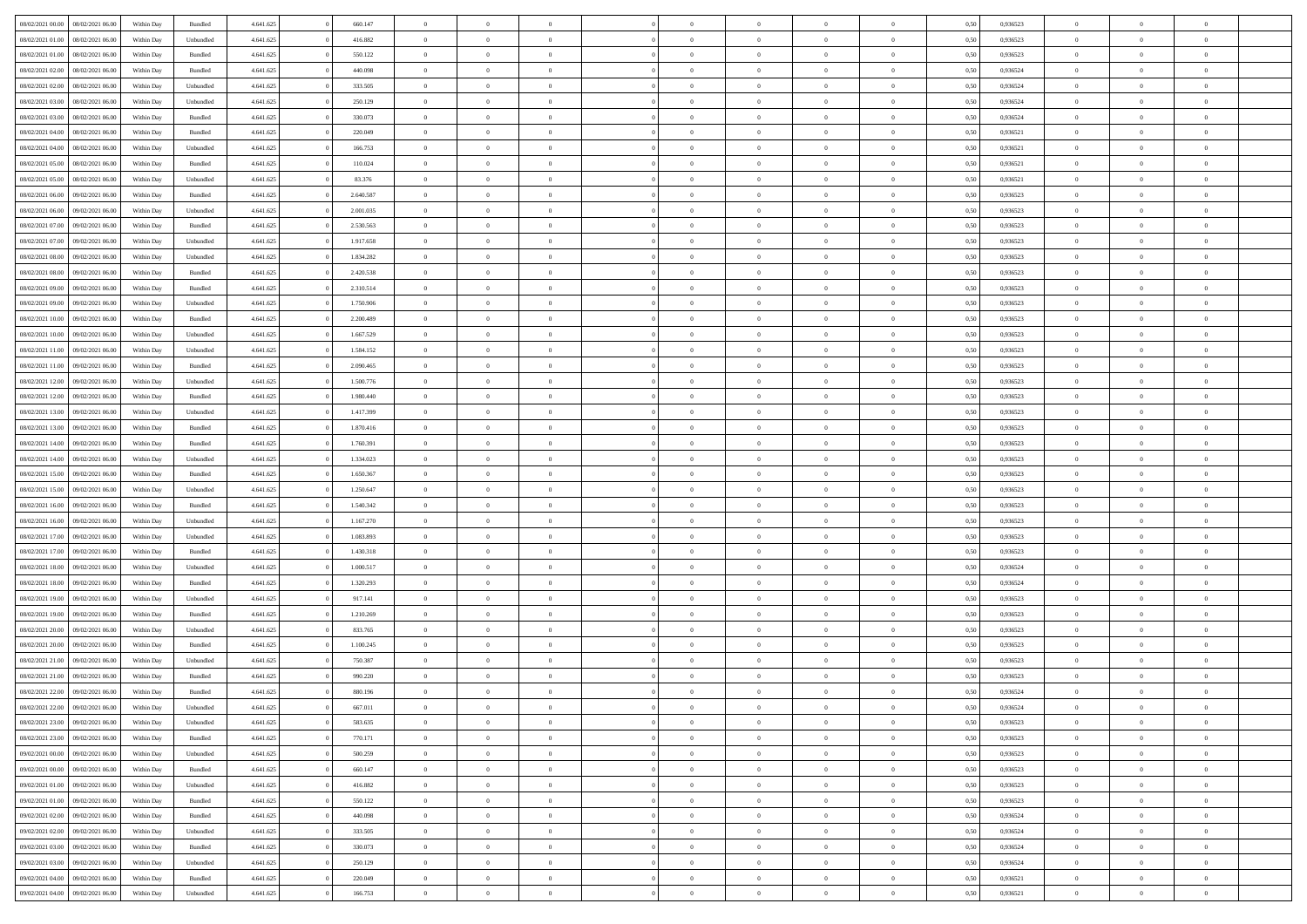| 08/02/2021 00:00 | 08/02/2021 06:00 | Within Day | Bundled   | 4.641.625 | 660.147   | $\overline{0}$ | $\Omega$       |                | $\Omega$       | $\Omega$       | $\theta$       | $\theta$       | 0.50 | 0.936523 | $\theta$       | $\theta$       | $\overline{0}$ |  |
|------------------|------------------|------------|-----------|-----------|-----------|----------------|----------------|----------------|----------------|----------------|----------------|----------------|------|----------|----------------|----------------|----------------|--|
|                  |                  |            |           |           |           |                |                |                |                |                |                |                |      |          |                |                |                |  |
| 08/02/2021 01:00 | 08/02/2021 06:00 | Within Day | Unbundled | 4.641.625 | 416.882   | $\overline{0}$ | $\theta$       | $\overline{0}$ | $\overline{0}$ | $\bf{0}$       | $\overline{0}$ | $\bf{0}$       | 0,50 | 0,936523 | $\theta$       | $\overline{0}$ | $\overline{0}$ |  |
| 08/02/2021 01:00 | 08/02/2021 06:00 | Within Day | Bundled   | 4.641.625 | 550.122   | $\overline{0}$ | $\bf{0}$       | $\overline{0}$ | $\overline{0}$ | $\bf{0}$       | $\overline{0}$ | $\mathbf{0}$   | 0,50 | 0,936523 | $\bf{0}$       | $\overline{0}$ | $\bf{0}$       |  |
| 08/02/2021 02:00 | 08/02/2021 06:00 | Within Dav | Bundled   | 4.641.625 | 440.098   | $\overline{0}$ | $\overline{0}$ | $\overline{0}$ | $\overline{0}$ | $\bf{0}$       | $\overline{0}$ | $\overline{0}$ | 0.50 | 0.936524 | $\theta$       | $\theta$       | $\overline{0}$ |  |
| 08/02/2021 02:00 | 08/02/2021 06:00 | Within Day | Unbundled | 4.641.625 | 333.505   | $\overline{0}$ | $\theta$       | $\overline{0}$ | $\overline{0}$ | $\bf{0}$       | $\overline{0}$ | $\bf{0}$       | 0,50 | 0,936524 | $\theta$       | $\overline{0}$ | $\overline{0}$ |  |
| 08/02/2021 03:00 | 08/02/2021 06:00 | Within Day | Unbundled | 4.641.625 | 250.129   | $\overline{0}$ | $\overline{0}$ | $\overline{0}$ | $\overline{0}$ | $\overline{0}$ | $\overline{0}$ | $\mathbf{0}$   | 0,50 | 0,936524 | $\bf{0}$       | $\overline{0}$ | $\bf{0}$       |  |
|                  |                  |            |           |           |           |                | $\overline{0}$ |                |                | $\overline{0}$ |                |                |      |          | $\theta$       | $\overline{0}$ | $\overline{0}$ |  |
| 08/02/2021 03:00 | 08/02/2021 06:00 | Within Dav | Bundled   | 4.641.625 | 330.073   | $\overline{0}$ |                | $\overline{0}$ | $\overline{0}$ |                | $\overline{0}$ | $\overline{0}$ | 0.50 | 0,936524 |                |                |                |  |
| 08/02/2021 04:00 | 08/02/2021 06:00 | Within Day | Bundled   | 4.641.625 | 220.049   | $\overline{0}$ | $\theta$       | $\overline{0}$ | $\overline{0}$ | $\bf{0}$       | $\overline{0}$ | $\bf{0}$       | 0,50 | 0,936521 | $\theta$       | $\theta$       | $\overline{0}$ |  |
| 08/02/2021 04:00 | 08/02/2021 06:00 | Within Day | Unbundled | 4.641.625 | 166.753   | $\overline{0}$ | $\overline{0}$ | $\overline{0}$ | $\overline{0}$ | $\bf{0}$       | $\overline{0}$ | $\bf{0}$       | 0,50 | 0,936521 | $\,0\,$        | $\overline{0}$ | $\overline{0}$ |  |
| 08/02/2021 05:00 | 08/02/2021 06:00 | Within Dav | Bundled   | 4.641.625 | 110.024   | $\overline{0}$ | $\overline{0}$ | $\overline{0}$ | $\overline{0}$ | $\overline{0}$ | $\overline{0}$ | $\overline{0}$ | 0.50 | 0,936521 | $\theta$       | $\overline{0}$ | $\overline{0}$ |  |
| 08/02/2021 05:00 | 08/02/2021 06:00 | Within Day | Unbundled | 4.641.625 | 83.376    | $\overline{0}$ | $\theta$       | $\overline{0}$ | $\overline{0}$ | $\bf{0}$       | $\overline{0}$ | $\bf{0}$       | 0,50 | 0,936521 | $\,$ 0 $\,$    | $\overline{0}$ | $\overline{0}$ |  |
| 08/02/2021 06:00 | 09/02/2021 06:00 | Within Day | Bundled   | 4.641.625 | 2.640.587 | $\overline{0}$ | $\bf{0}$       | $\overline{0}$ | $\bf{0}$       | $\bf{0}$       | $\bf{0}$       | $\mathbf{0}$   | 0,50 | 0,936523 | $\overline{0}$ | $\overline{0}$ | $\bf{0}$       |  |
| 08/02/2021 06:00 | 09/02/2021 06:00 | Within Day | Unbundled | 4.641.625 | 2.001.035 | $\overline{0}$ | $\overline{0}$ | $\overline{0}$ | $\overline{0}$ | $\bf{0}$       | $\overline{0}$ | $\overline{0}$ | 0.50 | 0.936523 | $\theta$       | $\theta$       | $\overline{0}$ |  |
| 08/02/2021 07:00 | 09/02/2021 06.00 |            |           | 4.641.625 | 2.530.563 | $\overline{0}$ | $\theta$       | $\overline{0}$ | $\overline{0}$ | $\bf{0}$       | $\overline{0}$ |                |      | 0,936523 | $\theta$       | $\overline{0}$ | $\overline{0}$ |  |
|                  |                  | Within Day | Bundled   |           |           |                |                |                |                |                |                | $\bf{0}$       | 0,50 |          |                |                |                |  |
| 08/02/2021 07:00 | 09/02/2021 06:00 | Within Day | Unbundled | 4.641.625 | 1.917.658 | $\overline{0}$ | $\overline{0}$ | $\overline{0}$ | $\bf{0}$       | $\overline{0}$ | $\overline{0}$ | $\mathbf{0}$   | 0,50 | 0,936523 | $\overline{0}$ | $\overline{0}$ | $\bf{0}$       |  |
| 08/02/2021 08:00 | 09/02/2021 06:00 | Within Dav | Unbundled | 4.641.625 | 1.834.282 | $\overline{0}$ | $\overline{0}$ | $\overline{0}$ | $\overline{0}$ | $\overline{0}$ | $\overline{0}$ | $\overline{0}$ | 0.50 | 0.936523 | $\theta$       | $\overline{0}$ | $\overline{0}$ |  |
| 08/02/2021 08:00 | 09/02/2021 06:00 | Within Day | Bundled   | 4.641.625 | 2.420.538 | $\overline{0}$ | $\theta$       | $\overline{0}$ | $\overline{0}$ | $\bf{0}$       | $\overline{0}$ | $\bf{0}$       | 0,50 | 0,936523 | $\theta$       | $\theta$       | $\overline{0}$ |  |
| 08/02/2021 09:00 | 09/02/2021 06:00 | Within Day | Bundled   | 4.641.625 | 2.310.514 | $\overline{0}$ | $\overline{0}$ | $\overline{0}$ | $\bf{0}$       | $\bf{0}$       | $\bf{0}$       | $\mathbf{0}$   | 0,50 | 0,936523 | $\,0\,$        | $\overline{0}$ | $\bf{0}$       |  |
| 08/02/2021 09:00 | 09/02/2021 06:00 | Within Day | Unbundled | 4.641.625 | 1.750.906 | $\overline{0}$ | $\overline{0}$ | $\overline{0}$ | $\overline{0}$ | $\overline{0}$ | $\overline{0}$ | $\overline{0}$ | 0.50 | 0.936523 | $\theta$       | $\overline{0}$ | $\overline{0}$ |  |
| 08/02/2021 10:00 | 09/02/2021 06:00 | Within Day | Bundled   | 4.641.625 | 2.200.489 | $\overline{0}$ | $\theta$       | $\overline{0}$ | $\overline{0}$ | $\bf{0}$       | $\overline{0}$ | $\bf{0}$       | 0,50 | 0,936523 | $\,$ 0 $\,$    | $\overline{0}$ | $\overline{0}$ |  |
| 08/02/2021 10:00 | 09/02/2021 06:00 | Within Day | Unbundled | 4.641.625 | 1.667.529 | $\overline{0}$ | $\overline{0}$ | $\overline{0}$ | $\bf{0}$       | $\bf{0}$       | $\bf{0}$       | $\mathbf{0}$   | 0,50 | 0,936523 | $\bf{0}$       | $\overline{0}$ | $\bf{0}$       |  |
| 08/02/2021 11:00 | 09/02/2021 06:00 | Within Day | Unbundled | 4.641.625 | 1.584.152 | $\overline{0}$ | $\overline{0}$ | $\overline{0}$ | $\overline{0}$ | $\overline{0}$ | $\overline{0}$ | $\overline{0}$ | 0.50 | 0.936523 | $\theta$       | $\overline{0}$ | $\overline{0}$ |  |
|                  |                  |            |           |           |           |                |                |                |                |                |                |                |      |          |                |                |                |  |
| 08/02/2021 11:00 | 09/02/2021 06:00 | Within Day | Bundled   | 4.641.625 | 2.090.465 | $\overline{0}$ | $\theta$       | $\overline{0}$ | $\overline{0}$ | $\bf{0}$       | $\overline{0}$ | $\bf{0}$       | 0,50 | 0,936523 | $\theta$       | $\overline{0}$ | $\overline{0}$ |  |
| 08/02/2021 12:00 | 09/02/2021 06:00 | Within Day | Unbundled | 4.641.625 | 1.500.776 | $\overline{0}$ | $\overline{0}$ | $\overline{0}$ | $\bf{0}$       | $\overline{0}$ | $\overline{0}$ | $\mathbf{0}$   | 0,50 | 0,936523 | $\overline{0}$ | $\overline{0}$ | $\bf{0}$       |  |
| 08/02/2021 12:00 | 09/02/2021 06:00 | Within Dav | Bundled   | 4.641.625 | 1.980.440 | $\overline{0}$ | $\overline{0}$ | $\overline{0}$ | $\overline{0}$ | $\overline{0}$ | $\overline{0}$ | $\overline{0}$ | 0.50 | 0.936523 | $\theta$       | $\overline{0}$ | $\overline{0}$ |  |
| 08/02/2021 13:00 | 09/02/2021 06:00 | Within Day | Unbundled | 4.641.625 | 1.417.399 | $\overline{0}$ | $\theta$       | $\overline{0}$ | $\overline{0}$ | $\bf{0}$       | $\overline{0}$ | $\bf{0}$       | 0,50 | 0,936523 | $\theta$       | $\theta$       | $\overline{0}$ |  |
| 08/02/2021 13:00 | 09/02/2021 06:00 | Within Day | Bundled   | 4.641.625 | 1.870.416 | $\overline{0}$ | $\overline{0}$ | $\overline{0}$ | $\bf{0}$       | $\bf{0}$       | $\bf{0}$       | $\bf{0}$       | 0,50 | 0,936523 | $\,0\,$        | $\overline{0}$ | $\overline{0}$ |  |
| 08/02/2021 14:00 | 09/02/2021 06:00 | Within Day | Bundled   | 4.641.625 | 1.760.391 | $\overline{0}$ | $\overline{0}$ | $\overline{0}$ | $\overline{0}$ | $\overline{0}$ | $\overline{0}$ | $\overline{0}$ | 0.50 | 0.936523 | $\theta$       | $\overline{0}$ | $\overline{0}$ |  |
| 08/02/2021 14:00 | 09/02/2021 06:00 |            |           | 4.641.625 | 1.334.023 | $\overline{0}$ | $\theta$       | $\overline{0}$ | $\overline{0}$ | $\bf{0}$       | $\overline{0}$ |                |      | 0,936523 | $\,$ 0 $\,$    | $\overline{0}$ | $\overline{0}$ |  |
|                  |                  | Within Day | Unbundled |           |           |                |                |                |                |                |                | $\bf{0}$       | 0,50 |          |                |                |                |  |
| 08/02/2021 15:00 | 09/02/2021 06:00 | Within Day | Bundled   | 4.641.625 | 1.650.367 | $\overline{0}$ | $\bf{0}$       | $\overline{0}$ | $\bf{0}$       | $\bf{0}$       | $\bf{0}$       | $\bf{0}$       | 0,50 | 0,936523 | $\overline{0}$ | $\overline{0}$ | $\bf{0}$       |  |
| 08/02/2021 15:00 | 09/02/2021 06:00 | Within Day | Unbundled | 4.641.625 | 1.250.647 | $\overline{0}$ | $\Omega$       | $\Omega$       | $\Omega$       | $\Omega$       | $\overline{0}$ | $\overline{0}$ | 0,50 | 0,936523 | $\,0\,$        | $\theta$       | $\theta$       |  |
| 08/02/2021 16:00 | 09/02/2021 06:00 | Within Day | Bundled   | 4.641.625 | 1.540.342 | $\overline{0}$ | $\theta$       | $\overline{0}$ | $\overline{0}$ | $\bf{0}$       | $\overline{0}$ | $\bf{0}$       | 0,50 | 0,936523 | $\theta$       | $\overline{0}$ | $\overline{0}$ |  |
| 08/02/2021 16:00 | 09/02/2021 06:00 | Within Day | Unbundled | 4.641.625 | 1.167.270 | $\overline{0}$ | $\overline{0}$ | $\overline{0}$ | $\bf{0}$       | $\overline{0}$ | $\overline{0}$ | $\mathbf{0}$   | 0,50 | 0,936523 | $\overline{0}$ | $\overline{0}$ | $\bf{0}$       |  |
| 08/02/2021 17:00 | 09/02/2021 06:00 | Within Day | Unbundled | 4.641.625 | 1.083.893 | $\overline{0}$ | $\Omega$       | $\Omega$       | $\Omega$       | $\overline{0}$ | $\overline{0}$ | $\overline{0}$ | 0.50 | 0.936523 | $\,0\,$        | $\theta$       | $\theta$       |  |
| 08/02/2021 17:00 | 09/02/2021 06:00 | Within Day | Bundled   | 4.641.625 | 1.430.318 | $\overline{0}$ | $\theta$       | $\overline{0}$ | $\overline{0}$ | $\bf{0}$       | $\overline{0}$ | $\bf{0}$       | 0,50 | 0,936523 | $\theta$       | $\overline{0}$ | $\overline{0}$ |  |
| 08/02/2021 18:00 | 09/02/2021 06:00 | Within Day | Unbundled | 4.641.625 | 1.000.517 | $\overline{0}$ | $\overline{0}$ | $\overline{0}$ | $\bf{0}$       | $\bf{0}$       | $\bf{0}$       | $\mathbf{0}$   | 0,50 | 0,936524 | $\bf{0}$       | $\overline{0}$ | $\bf{0}$       |  |
|                  |                  |            |           |           |           |                | $\Omega$       |                |                |                |                |                |      |          |                |                | $\theta$       |  |
| 08/02/2021 18:00 | 09/02/2021 06:00 | Within Day | Bundled   | 4.641.625 | 1.320.293 | $\overline{0}$ |                | $\Omega$       | $\Omega$       | $\overline{0}$ | $\overline{0}$ | $\overline{0}$ | 0.50 | 0.936524 | $\,$ 0 $\,$    | $\theta$       |                |  |
| 08/02/2021 19:00 | 09/02/2021 06:00 | Within Day | Unbundled | 4.641.625 | 917.141   | $\overline{0}$ | $\theta$       | $\overline{0}$ | $\overline{0}$ | $\,$ 0         | $\overline{0}$ | $\bf{0}$       | 0,50 | 0,936523 | $\,$ 0 $\,$    | $\overline{0}$ | $\overline{0}$ |  |
| 08/02/2021 19:00 | 09/02/2021 06:00 | Within Day | Bundled   | 4.641.625 | 1.210.269 | $\overline{0}$ | $\overline{0}$ | $\overline{0}$ | $\bf{0}$       | $\bf{0}$       | $\bf{0}$       | $\mathbf{0}$   | 0,50 | 0,936523 | $\overline{0}$ | $\overline{0}$ | $\bf{0}$       |  |
| 08/02/2021 20:00 | 09/02/2021 06:00 | Within Day | Unbundled | 4.641.625 | 833.765   | $\overline{0}$ | $\Omega$       | $\overline{0}$ | $\Omega$       | $\overline{0}$ | $\overline{0}$ | $\overline{0}$ | 0,50 | 0,936523 | $\,0\,$        | $\theta$       | $\theta$       |  |
| 08/02/2021 20:00 | 09/02/2021 06:00 | Within Day | Bundled   | 4.641.625 | 1.100.245 | $\overline{0}$ | $\overline{0}$ | $\overline{0}$ | $\overline{0}$ | $\,$ 0         | $\overline{0}$ | $\bf{0}$       | 0,50 | 0,936523 | $\,$ 0 $\,$    | $\overline{0}$ | $\overline{0}$ |  |
| 08/02/2021 21:00 | 09/02/2021 06:00 | Within Day | Unbundled | 4.641.625 | 750.387   | $\overline{0}$ | $\overline{0}$ | $\overline{0}$ | $\bf{0}$       | $\bf{0}$       | $\overline{0}$ | $\mathbf{0}$   | 0,50 | 0,936523 | $\bf{0}$       | $\overline{0}$ | $\bf{0}$       |  |
| 08/02/2021 21:00 | 09/02/2021 06:00 | Within Day | Bundled   | 4.641.625 | 990.220   | $\overline{0}$ | $\Omega$       | $\Omega$       | $\Omega$       | $\Omega$       | $\Omega$       | $\overline{0}$ | 0.50 | 0.936523 | $\theta$       | $\theta$       | $\theta$       |  |
| 08/02/2021 22:00 | 09/02/2021 06:00 | Within Day | Bundled   | 4.641.625 | 880.196   | $\overline{0}$ | $\overline{0}$ | $\overline{0}$ | $\bf{0}$       | $\,$ 0         | $\overline{0}$ | $\bf{0}$       | 0,50 | 0,936524 | $\,0\,$        | $\,$ 0 $\,$    | $\overline{0}$ |  |
| 08/02/2021 22:00 | 09/02/2021 06:00 | Within Day | Unbundled | 4.641.625 | 667.011   | $\bf{0}$       | $\bf{0}$       |                |                | $\bf{0}$       |                |                | 0,50 | 0,936524 | $\bf{0}$       | $\overline{0}$ |                |  |
|                  |                  |            |           |           |           |                |                |                |                |                |                |                |      |          |                |                |                |  |
| 08/02/2021 23:00 | 09/02/2021 06:00 | Within Day | Unbundled | 4.641.625 | 583.635   | $\overline{0}$ | $\overline{0}$ | $\overline{0}$ | $\Omega$       | $\overline{0}$ | $\overline{0}$ | $\overline{0}$ | 0,50 | 0.936523 | $\theta$       | $\theta$       | $\theta$       |  |
| 08/02/2021 23:00 | 09/02/2021 06:00 | Within Day | Bundled   | 4.641.625 | 770.171   | $\overline{0}$ | $\bf{0}$       | $\overline{0}$ | $\overline{0}$ | $\,$ 0 $\,$    | $\overline{0}$ | $\,$ 0 $\,$    | 0,50 | 0,936523 | $\,$ 0 $\,$    | $\,$ 0 $\,$    | $\,$ 0         |  |
| 09/02/2021 00:00 | 09/02/2021 06:00 | Within Day | Unbundled | 4.641.625 | 500.259   | $\overline{0}$ | $\overline{0}$ | $\overline{0}$ | $\overline{0}$ | $\overline{0}$ | $\overline{0}$ | $\mathbf{0}$   | 0,50 | 0,936523 | $\overline{0}$ | $\bf{0}$       | $\overline{0}$ |  |
| 09/02/2021 00:00 | 09/02/2021 06:00 | Within Day | Bundled   | 4.641.625 | 660.147   | $\overline{0}$ | $\overline{0}$ | $\overline{0}$ | $\Omega$       | $\overline{0}$ | $\overline{0}$ | $\overline{0}$ | 0,50 | 0,936523 | $\overline{0}$ | $\theta$       | $\overline{0}$ |  |
| 09/02/2021 01:00 | 09/02/2021 06:00 | Within Day | Unbundled | 4.641.625 | 416.882   | $\overline{0}$ | $\,$ 0         | $\overline{0}$ | $\overline{0}$ | $\,$ 0 $\,$    | $\overline{0}$ | $\mathbf{0}$   | 0,50 | 0,936523 | $\,$ 0 $\,$    | $\overline{0}$ | $\overline{0}$ |  |
| 09/02/2021 01:00 | 09/02/2021 06:00 | Within Day | Bundled   | 4.641.625 | 550.122   | $\overline{0}$ | $\overline{0}$ | $\overline{0}$ | $\overline{0}$ | $\overline{0}$ | $\overline{0}$ | $\mathbf{0}$   | 0,50 | 0,936523 | $\overline{0}$ | $\overline{0}$ | $\bf{0}$       |  |
| 09/02/2021 02:00 | 09/02/2021 06:00 | Within Day | Bundled   | 4.641.625 | 440,098   | $\overline{0}$ | $\overline{0}$ | $\overline{0}$ | $\overline{0}$ | $\overline{0}$ | $\overline{0}$ | $\bf{0}$       | 0.50 | 0,936524 | $\overline{0}$ | $\theta$       | $\overline{0}$ |  |
| 09/02/2021 02:00 | 09/02/2021 06:00 | Within Day | Unbundled | 4.641.625 | 333.505   | $\overline{0}$ | $\,$ 0         | $\overline{0}$ | $\overline{0}$ | $\bf{0}$       | $\overline{0}$ | $\bf{0}$       | 0,50 | 0,936524 | $\,$ 0 $\,$    | $\overline{0}$ | $\overline{0}$ |  |
|                  |                  |            |           |           |           |                |                |                |                |                |                |                |      |          |                |                |                |  |
| 09/02/2021 03:00 | 09/02/2021 06:00 | Within Day | Bundled   | 4.641.625 | 330.073   | $\overline{0}$ | $\bf{0}$       | $\overline{0}$ | $\overline{0}$ | $\overline{0}$ | $\overline{0}$ | $\mathbf{0}$   | 0,50 | 0,936524 | $\overline{0}$ | $\overline{0}$ | $\bf{0}$       |  |
| 09/02/2021 03:00 | 09/02/2021 06:00 | Within Day | Unbundled | 4.641.625 | 250.129   | $\overline{0}$ | $\overline{0}$ | $\overline{0}$ | $\Omega$       | $\overline{0}$ | $\overline{0}$ | $\overline{0}$ | 0.50 | 0.936524 | $\overline{0}$ | $\overline{0}$ | $\overline{0}$ |  |
| 09/02/2021 04:00 | 09/02/2021 06:00 | Within Day | Bundled   | 4.641.625 | 220.049   | $\overline{0}$ | $\bf{0}$       | $\overline{0}$ | $\bf{0}$       | $\bf{0}$       | $\overline{0}$ | $\mathbf{0}$   | 0,50 | 0,936521 | $\,$ 0 $\,$    | $\,$ 0 $\,$    | $\bf{0}$       |  |
| 09/02/2021 04:00 | 09/02/2021 06:00 | Within Day | Unbundled | 4.641.625 | 166.753   | $\overline{0}$ | $\overline{0}$ | $\overline{0}$ | $\overline{0}$ | $\overline{0}$ | $\overline{0}$ | $\mathbf{0}$   | 0,50 | 0,936521 | $\overline{0}$ | $\bf{0}$       | $\overline{0}$ |  |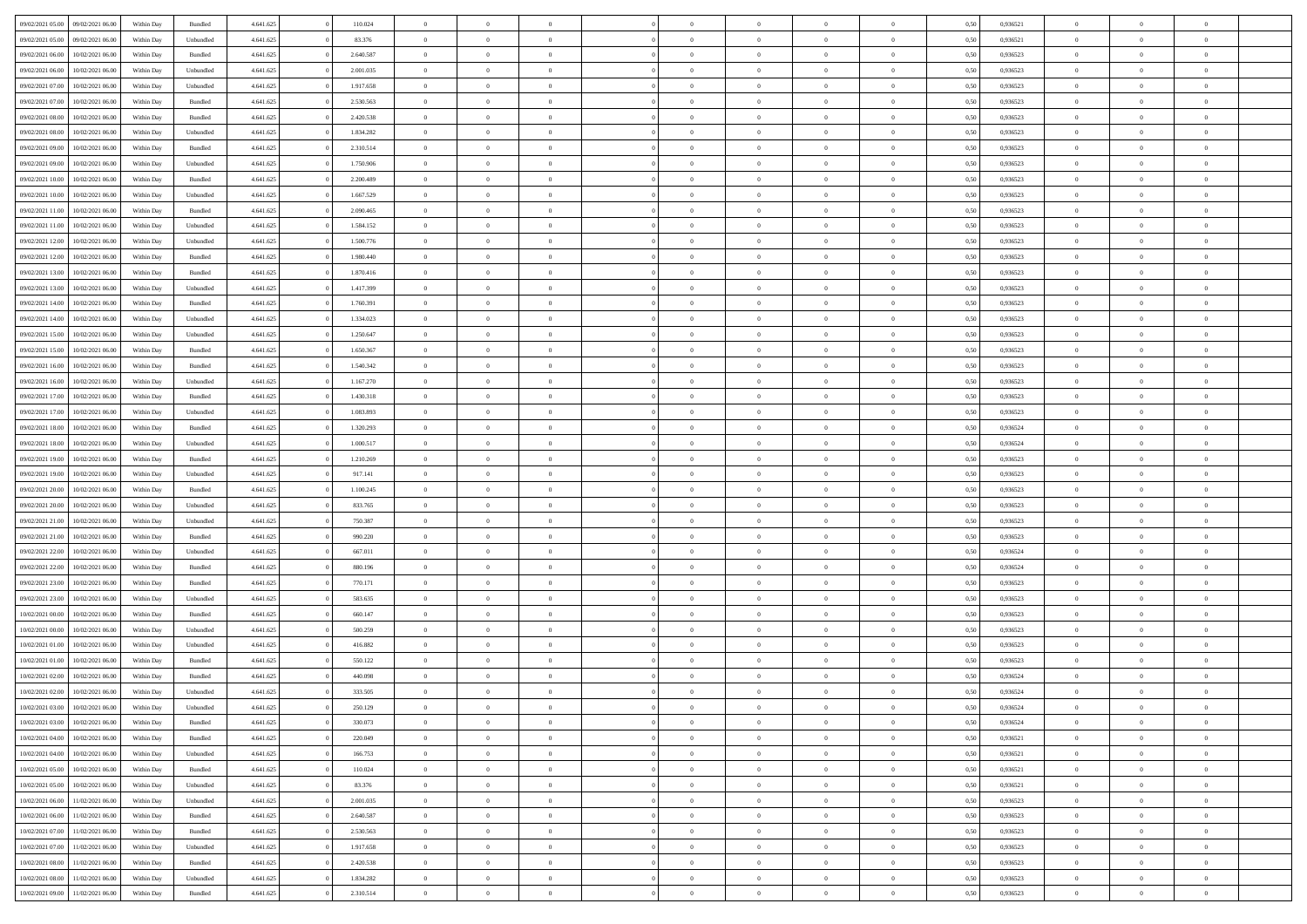| 09/02/2021 05:00                  | 09/02/2021 06:00 | Within Day | Bundled                     | 4.641.625 | 110.024   | $\overline{0}$ | $\theta$       |                | $\overline{0}$ | $\bf{0}$       | $\overline{0}$ | $\theta$       | 0,50 | 0,936521 | $\theta$       | $\theta$       | $\theta$       |  |
|-----------------------------------|------------------|------------|-----------------------------|-----------|-----------|----------------|----------------|----------------|----------------|----------------|----------------|----------------|------|----------|----------------|----------------|----------------|--|
| 09/02/2021 05:00                  | 09/02/2021 06.00 | Within Day | Unbundled                   | 4.641.625 | 83.376    | $\overline{0}$ | $\overline{0}$ | $\overline{0}$ | $\overline{0}$ | $\bf{0}$       | $\overline{0}$ | $\bf{0}$       | 0,50 | 0,936521 | $\,$ 0 $\,$    | $\overline{0}$ | $\overline{0}$ |  |
|                                   |                  |            |                             |           |           |                |                |                |                |                |                |                |      |          |                |                |                |  |
| 09/02/2021 06:00                  | 10/02/2021 06:00 | Within Day | Bundled                     | 4.641.625 | 2.640.587 | $\overline{0}$ | $\overline{0}$ | $\overline{0}$ | $\overline{0}$ | $\bf{0}$       | $\overline{0}$ | $\mathbf{0}$   | 0.50 | 0.936523 | $\overline{0}$ | $\,$ 0 $\,$    | $\bf{0}$       |  |
| 09/02/2021 06:00                  | 10/02/2021 06:00 | Within Day | Unbundled                   | 4.641.625 | 2.001.035 | $\overline{0}$ | $\overline{0}$ | $\overline{0}$ | $\overline{0}$ | $\,0\,$        | $\overline{0}$ | $\overline{0}$ | 0,50 | 0,936523 | $\,$ 0 $\,$    | $\overline{0}$ | $\overline{0}$ |  |
| 09/02/2021 07:00                  | 10/02/2021 06:00 | Within Day | Unbundled                   | 4.641.625 | 1.917.658 | $\overline{0}$ | $\overline{0}$ | $\overline{0}$ | $\overline{0}$ | $\,$ 0         | $\overline{0}$ | $\bf{0}$       | 0,50 | 0,936523 | $\,$ 0 $\,$    | $\overline{0}$ | $\overline{0}$ |  |
| 09/02/2021 07:00                  | 10/02/2021 06:00 | Within Day | Bundled                     | 4.641.625 | 2.530.563 | $\overline{0}$ | $\overline{0}$ | $\overline{0}$ | $\overline{0}$ | $\bf{0}$       | $\overline{0}$ | $\bf{0}$       | 0.50 | 0.936523 | $\,0\,$        | $\overline{0}$ | $\overline{0}$ |  |
| 09/02/2021 08:00                  | 10/02/2021 06:00 | Within Day | Bundled                     | 4.641.625 | 2.420.538 | $\overline{0}$ | $\overline{0}$ | $\overline{0}$ | $\overline{0}$ | $\bf{0}$       | $\overline{0}$ | $\bf{0}$       | 0,50 | 0,936523 | $\,$ 0 $\,$    | $\theta$       | $\overline{0}$ |  |
| 09/02/2021 08:00                  | 10/02/2021 06:00 | Within Day | Unbundled                   | 4.641.625 | 1.834.282 | $\overline{0}$ | $\overline{0}$ | $\overline{0}$ | $\overline{0}$ | $\,$ 0         | $\bf{0}$       | $\bf{0}$       | 0,50 | 0,936523 | $\,$ 0 $\,$    | $\overline{0}$ | $\overline{0}$ |  |
| 09/02/2021 09:00                  | 10/02/2021 06:00 | Within Day | Bundled                     | 4.641.625 | 2.310.514 | $\overline{0}$ | $\overline{0}$ | $\overline{0}$ | $\overline{0}$ | $\bf{0}$       | $\overline{0}$ | $\bf{0}$       | 0.50 | 0.936523 | $\bf{0}$       | $\overline{0}$ | $\bf{0}$       |  |
| 09/02/2021 09:00                  | 10/02/2021 06:00 | Within Day | Unbundled                   | 4.641.625 | 1.750.906 | $\overline{0}$ | $\overline{0}$ | $\overline{0}$ | $\overline{0}$ | $\bf{0}$       | $\overline{0}$ | $\bf{0}$       | 0,50 | 0,936523 | $\,$ 0 $\,$    | $\overline{0}$ | $\overline{0}$ |  |
| 09/02/2021 10:00                  | 10/02/2021 06:00 | Within Day | Bundled                     | 4.641.625 | 2.200.489 | $\overline{0}$ | $\overline{0}$ | $\overline{0}$ | $\overline{0}$ | $\bf{0}$       | $\bf{0}$       | $\bf{0}$       | 0,50 | 0,936523 | $\,$ 0 $\,$    | $\overline{0}$ | $\overline{0}$ |  |
|                                   | 10/02/2021 06:00 |            |                             |           | 1.667.529 | $\overline{0}$ | $\overline{0}$ | $\overline{0}$ | $\overline{0}$ | $\bf{0}$       | $\overline{0}$ |                | 0.50 | 0.936523 | $\overline{0}$ | $\,$ 0 $\,$    | $\bf{0}$       |  |
| 09/02/2021 10:00                  |                  | Within Day | Unbundled                   | 4.641.625 |           |                |                |                |                |                |                | $\mathbf{0}$   |      |          |                |                |                |  |
| 09/02/2021 11:00                  | 10/02/2021 06:00 | Within Day | Bundled                     | 4.641.625 | 2.090.465 | $\overline{0}$ | $\overline{0}$ | $\overline{0}$ | $\overline{0}$ | $\bf{0}$       | $\overline{0}$ | $\overline{0}$ | 0,50 | 0,936523 | $\,$ 0 $\,$    | $\overline{0}$ | $\overline{0}$ |  |
| 09/02/2021 11:00                  | 10/02/2021 06:00 | Within Day | Unbundled                   | 4.641.625 | 1.584.152 | $\overline{0}$ | $\theta$       | $\overline{0}$ | $\overline{0}$ | $\,$ 0         | $\bf{0}$       | $\bf{0}$       | 0,50 | 0,936523 | $\,$ 0 $\,$    | $\overline{0}$ | $\overline{0}$ |  |
| 09/02/2021 12:00                  | 10/02/2021 06:00 | Within Day | Unbundled                   | 4.641.625 | 1.500.776 | $\overline{0}$ | $\overline{0}$ | $\overline{0}$ | $\overline{0}$ | $\bf{0}$       | $\overline{0}$ | $\bf{0}$       | 0.50 | 0.936523 | $\theta$       | $\theta$       | $\overline{0}$ |  |
| 09/02/2021 12:00                  | 10/02/2021 06:00 | Within Day | Bundled                     | 4.641.625 | 1.980.440 | $\overline{0}$ | $\overline{0}$ | $\overline{0}$ | $\overline{0}$ | $\bf{0}$       | $\overline{0}$ | $\bf{0}$       | 0,50 | 0,936523 | $\,$ 0 $\,$    | $\theta$       | $\overline{0}$ |  |
| 09/02/2021 13:00                  | 10/02/2021 06:00 | Within Day | Bundled                     | 4.641.625 | 1.870.416 | $\overline{0}$ | $\overline{0}$ | $\overline{0}$ | $\overline{0}$ | $\,$ 0         | $\bf{0}$       | $\bf{0}$       | 0,50 | 0,936523 | $\,$ 0 $\,$    | $\overline{0}$ | $\overline{0}$ |  |
| 09/02/2021 13:00                  | 10/02/2021 06:00 | Within Day | Unbundled                   | 4.641.625 | 1.417.399 | $\overline{0}$ | $\overline{0}$ | $\overline{0}$ | $\overline{0}$ | $\bf{0}$       | $\overline{0}$ | $\mathbf{0}$   | 0.50 | 0.936523 | $\bf{0}$       | $\overline{0}$ | $\bf{0}$       |  |
| 09/02/2021 14:00                  | 10/02/2021 06:00 | Within Day | Bundled                     | 4.641.625 | 1.760.391 | $\overline{0}$ | $\overline{0}$ | $\overline{0}$ | $\overline{0}$ | $\bf{0}$       | $\overline{0}$ | $\bf{0}$       | 0,50 | 0,936523 | $\,$ 0 $\,$    | $\overline{0}$ | $\overline{0}$ |  |
| 09/02/2021 14:00                  | 10/02/2021 06:00 | Within Day | Unbundled                   | 4.641.625 | 1.334.023 | $\overline{0}$ | $\overline{0}$ | $\overline{0}$ | $\overline{0}$ | $\bf{0}$       | $\bf{0}$       | $\bf{0}$       | 0,50 | 0,936523 | $\,$ 0 $\,$    | $\overline{0}$ | $\overline{0}$ |  |
| 09/02/2021 15:00                  | 10/02/2021 06:00 | Within Day | Unbundled                   | 4.641.625 | 1.250.647 | $\overline{0}$ | $\overline{0}$ | $\overline{0}$ | $\overline{0}$ | $\bf{0}$       | $\overline{0}$ | $\mathbf{0}$   | 0.50 | 0.936523 | $\overline{0}$ | $\,$ 0 $\,$    | $\overline{0}$ |  |
| 09/02/2021 15:00                  | 10/02/2021 06:00 |            | Bundled                     | 4.641.625 | 1.650.367 | $\overline{0}$ | $\overline{0}$ | $\overline{0}$ | $\overline{0}$ | $\bf{0}$       | $\overline{0}$ | $\overline{0}$ | 0,50 | 0,936523 | $\,$ 0 $\,$    | $\overline{0}$ | $\overline{0}$ |  |
|                                   |                  | Within Day |                             |           |           |                |                |                |                |                |                |                |      |          |                |                |                |  |
| 09/02/2021 16:00                  | 10/02/2021 06:00 | Within Day | Bundled                     | 4.641.625 | 1.540.342 | $\overline{0}$ | $\overline{0}$ | $\overline{0}$ | $\overline{0}$ | $\bf{0}$       | $\overline{0}$ | $\bf{0}$       | 0,50 | 0,936523 | $\,$ 0 $\,$    | $\overline{0}$ | $\overline{0}$ |  |
| 09/02/2021 16:00                  | 10/02/2021 06:00 | Within Day | Unbundled                   | 4.641.625 | 1.167.270 | $\overline{0}$ | $\overline{0}$ | $\overline{0}$ | $\overline{0}$ | $\bf{0}$       | $\overline{0}$ | $\bf{0}$       | 0.50 | 0.936523 | $\,0\,$        | $\overline{0}$ | $\overline{0}$ |  |
| 09/02/2021 17:00                  | 10/02/2021 06:00 | Within Day | Bundled                     | 4.641.625 | 1.430.318 | $\overline{0}$ | $\overline{0}$ | $\overline{0}$ | $\overline{0}$ | $\bf{0}$       | $\overline{0}$ | $\bf{0}$       | 0,50 | 0,936523 | $\,$ 0 $\,$    | $\theta$       | $\overline{0}$ |  |
| 09/02/2021 17:00                  | 10/02/2021 06:00 | Within Day | Unbundled                   | 4.641.625 | 1.083.893 | $\overline{0}$ | $\overline{0}$ | $\overline{0}$ | $\overline{0}$ | $\,$ 0         | $\bf{0}$       | $\bf{0}$       | 0,50 | 0,936523 | $\,$ 0 $\,$    | $\overline{0}$ | $\overline{0}$ |  |
| 09/02/2021 18:00                  | 10/02/2021 06:00 | Within Day | Bundled                     | 4.641.625 | 1.320.293 | $\overline{0}$ | $\overline{0}$ | $\overline{0}$ | $\overline{0}$ | $\bf{0}$       | $\overline{0}$ | $\mathbf{0}$   | 0.50 | 0.936524 | $\bf{0}$       | $\overline{0}$ | $\bf{0}$       |  |
| 09/02/2021 18:00                  | 10/02/2021 06:00 | Within Day | Unbundled                   | 4.641.625 | 1.000.517 | $\overline{0}$ | $\overline{0}$ | $\overline{0}$ | $\overline{0}$ | $\bf{0}$       | $\overline{0}$ | $\bf{0}$       | 0,50 | 0,936524 | $\,$ 0 $\,$    | $\overline{0}$ | $\overline{0}$ |  |
| 09/02/2021 19:00                  | 10/02/2021 06:00 | Within Day | Bundled                     | 4.641.625 | 1.210.269 | $\overline{0}$ | $\overline{0}$ | $\overline{0}$ | $\overline{0}$ | $\bf{0}$       | $\bf{0}$       | $\bf{0}$       | 0,50 | 0,936523 | $\,$ 0 $\,$    | $\overline{0}$ | $\overline{0}$ |  |
| 09/02/2021 19:00                  | 10/02/2021 06:00 | Within Day | Unbundled                   | 4.641.625 | 917.141   | $\overline{0}$ | $\overline{0}$ | $\overline{0}$ | $\overline{0}$ | $\bf{0}$       | $\overline{0}$ | $\mathbf{0}$   | 0.50 | 0.936523 | $\overline{0}$ | $\,$ 0 $\,$    | $\bf{0}$       |  |
| 09/02/2021 20:00                  | 10/02/2021 06:00 | Within Dav | Bundled                     | 4.641.625 | 1.100.245 | $\overline{0}$ | $\overline{0}$ | $\overline{0}$ | $\overline{0}$ | $\overline{0}$ | $\overline{0}$ | $\overline{0}$ | 0,50 | 0.936523 | $\theta$       | $\overline{0}$ | $\overline{0}$ |  |
|                                   |                  |            |                             |           |           |                |                |                |                |                |                |                |      |          |                |                |                |  |
| 09/02/2021 20:00                  | 10/02/2021 06:00 | Within Day | Unbundled                   | 4.641.625 | 833.765   | $\overline{0}$ | $\overline{0}$ | $\overline{0}$ | $\overline{0}$ | $\bf{0}$       | $\overline{0}$ | $\bf{0}$       | 0,50 | 0,936523 | $\,$ 0 $\,$    | $\overline{0}$ | $\overline{0}$ |  |
| 09/02/2021 21:00                  | 10/02/2021 06:00 | Within Day | Unbundled                   | 4.641.625 | 750.387   | $\overline{0}$ | $\overline{0}$ | $\overline{0}$ | $\overline{0}$ | $\bf{0}$       | $\overline{0}$ | $\bf{0}$       | 0.50 | 0.936523 | $\,0\,$        | $\overline{0}$ | $\overline{0}$ |  |
| 09/02/2021 21:00                  | 10/02/2021 06:00 | Within Dav | Bundled                     | 4.641.625 | 990.220   | $\overline{0}$ | $\overline{0}$ | $\Omega$       | $\overline{0}$ | $\mathbf{0}$   | $\overline{0}$ | $\overline{0}$ | 0,50 | 0.936523 | $\theta$       | $\overline{0}$ | $\overline{0}$ |  |
| 09/02/2021 22:00                  | 10/02/2021 06:00 | Within Day | Unbundled                   | 4.641.625 | 667.011   | $\overline{0}$ | $\overline{0}$ | $\overline{0}$ | $\overline{0}$ | $\,$ 0         | $\overline{0}$ | $\bf{0}$       | 0,50 | 0,936524 | $\,$ 0 $\,$    | $\overline{0}$ | $\overline{0}$ |  |
| 09/02/2021 22.00                  | 10/02/2021 06:00 | Within Day | Bundled                     | 4.641.625 | 880,196   | $\overline{0}$ | $\overline{0}$ | $\overline{0}$ | $\overline{0}$ | $\bf{0}$       | $\overline{0}$ | $\mathbf{0}$   | 0.50 | 0.936524 | $\bf{0}$       | $\overline{0}$ | $\bf{0}$       |  |
| 09/02/2021 23:00                  | 10/02/2021 06:00 | Within Dav | Bundled                     | 4.641.625 | 770.171   | $\overline{0}$ | $\overline{0}$ | $\overline{0}$ | $\overline{0}$ | $\overline{0}$ | $\overline{0}$ | $\overline{0}$ | 0,50 | 0.936523 | $\theta$       | $\overline{0}$ | $\overline{0}$ |  |
| 09/02/2021 23:00                  | 10/02/2021 06:00 | Within Day | Unbundled                   | 4.641.625 | 583.635   | $\bf{0}$       | $\overline{0}$ | $\overline{0}$ | $\bf{0}$       | $\bf{0}$       | $\overline{0}$ | $\bf{0}$       | 0,50 | 0,936523 | $\,$ 0 $\,$    | $\overline{0}$ | $\overline{0}$ |  |
| 10/02/2021 00:00                  | 10/02/2021 06:00 | Within Day | Bundled                     | 4.641.625 | 660.147   | $\overline{0}$ | $\overline{0}$ | $\overline{0}$ | $\overline{0}$ | $\bf{0}$       | $\overline{0}$ | $\mathbf{0}$   | 0.50 | 0.936523 | $\overline{0}$ | $\,$ 0 $\,$    | $\bf{0}$       |  |
| 10/02/2021 00:00                  | 10/02/2021 06:00 | Within Dav | Unbundled                   | 4.641.625 | 500.259   | $\overline{0}$ | $\overline{0}$ | $\Omega$       | $\overline{0}$ | $\overline{0}$ | $\overline{0}$ | $\overline{0}$ | 0.50 | 0.936523 | $\theta$       | $\overline{0}$ | $\overline{0}$ |  |
| 10/02/2021 01:00                  | 10/02/2021 06:00 | Within Day | Unbundled                   | 4.641.625 | 416.882   | $\overline{0}$ | $\overline{0}$ | $\overline{0}$ | $\overline{0}$ | $\bf{0}$       | $\overline{0}$ | $\bf{0}$       | 0,50 | 0,936523 | $\,$ 0 $\,$    | $\overline{0}$ | $\overline{0}$ |  |
| 10/02/2021 01:00                  | 10/02/2021 06:00 |            | Bundled                     | 4.641.625 | 550.122   | $\overline{0}$ | $\overline{0}$ | $\overline{0}$ | $\overline{0}$ | $\bf{0}$       | $\Omega$       | $\overline{0}$ | 0.50 | 0.936523 | $\,0\,$        | $\theta$       | $\overline{0}$ |  |
|                                   |                  | Within Day |                             |           |           |                |                |                |                |                |                |                |      |          |                |                |                |  |
| 10/02/2021 02:00                  | 10/02/2021 06:00 | Within Dav | Bundled                     | 4.641.625 | 440.098   | $\overline{0}$ | $\theta$       | $\Omega$       | $\overline{0}$ | $\bf{0}$       | $\overline{0}$ | $\overline{0}$ | 0.50 | 0,936524 | $\theta$       | $\overline{0}$ | $\overline{0}$ |  |
| 10/02/2021 02:00                  | 10/02/2021 06:00 | Within Day | Unbundled                   | 4.641.625 | 333.505   | $\overline{0}$ | $\overline{0}$ | $\overline{0}$ | $\bf{0}$       | $\,$ 0         | $\bf{0}$       | $\bf{0}$       | 0,50 | 0,936524 | $\,$ 0 $\,$    | $\overline{0}$ | $\overline{0}$ |  |
| 10/02/2021 03:00                  | 10/02/2021 06:00 | Within Day | $\ensuremath{\mathsf{Unb}}$ | 4.641.625 | 250.129   | $\bf{0}$       | $\theta$       |                | $^{\circ}$     | $\Omega$       |                |                | 0,50 | 0,936524 | $\bf{0}$       | $\theta$       |                |  |
| 10/02/2021 03:00                  | 10/02/2021 06:00 | Within Day | Bundled                     | 4.641.625 | 330.073   | $\overline{0}$ | $\overline{0}$ | $\overline{0}$ | $\overline{0}$ | $\overline{0}$ | $\overline{0}$ | $\mathbf{0}$   | 0,50 | 0,936524 | $\theta$       | $\overline{0}$ | $\overline{0}$ |  |
| 10/02/2021 04:00                  | 10/02/2021 06:00 | Within Day | Bundled                     | 4.641.625 | 220.049   | $\overline{0}$ | $\overline{0}$ | $\overline{0}$ | $\bf{0}$       | $\overline{0}$ | $\overline{0}$ | $\bf{0}$       | 0,50 | 0,936521 | $\bf{0}$       | $\overline{0}$ | $\bf{0}$       |  |
| 10/02/2021 04:00                  | 10/02/2021 06:00 | Within Day | Unbundled                   | 4.641.625 | 166.753   | $\overline{0}$ | $\overline{0}$ | $\overline{0}$ | $\overline{0}$ | $\overline{0}$ | $\overline{0}$ | $\mathbf{0}$   | 0.50 | 0.936521 | $\overline{0}$ | $\bf{0}$       | $\bf{0}$       |  |
| 10/02/2021 05:00                  | 10/02/2021 06:00 | Within Day | Bundled                     | 4.641.625 | 110.024   | $\overline{0}$ | $\overline{0}$ | $\overline{0}$ | $\overline{0}$ | $\overline{0}$ | $\overline{0}$ | $\mathbf{0}$   | 0,50 | 0,936521 | $\overline{0}$ | $\theta$       | $\overline{0}$ |  |
| 10/02/2021 05:00                  | 10/02/2021 06:00 | Within Day | Unbundled                   | 4.641.625 | 83.376    | $\overline{0}$ | $\overline{0}$ | $\overline{0}$ | $\overline{0}$ | $\bf{0}$       | $\bf{0}$       | $\bf{0}$       | 0,50 | 0,936521 | $\bf{0}$       | $\overline{0}$ | $\overline{0}$ |  |
| 10/02/2021 06:00                  | 11/02/2021 06:00 | Within Day | Unbundled                   | 4.641.625 | 2.001.035 | $\overline{0}$ | $\overline{0}$ | $\overline{0}$ | $\overline{0}$ | $\bf{0}$       | $\overline{0}$ | $\mathbf{0}$   | 0.50 | 0.936523 | $\,$ 0 $\,$    | $\theta$       | $\overline{0}$ |  |
| 10/02/2021 06:00                  | 11/02/2021 06:00 | Within Day | Bundled                     | 4.641.625 | 2.640.587 | $\overline{0}$ | $\overline{0}$ | $\overline{0}$ | $\overline{0}$ | $\overline{0}$ | $\overline{0}$ | $\overline{0}$ | 0,50 | 0.936523 | $\overline{0}$ | $\theta$       | $\overline{0}$ |  |
|                                   |                  |            |                             |           |           |                |                |                |                |                |                |                |      |          |                |                |                |  |
| 10/02/2021 07:00                  | 11/02/2021 06:00 | Within Day | Bundled                     | 4.641.625 | 2.530.563 | $\overline{0}$ | $\,$ 0         | $\overline{0}$ | $\bf{0}$       | $\,$ 0 $\,$    | $\overline{0}$ | $\bf{0}$       | 0,50 | 0,936523 | $\,$ 0 $\,$    | $\overline{0}$ | $\overline{0}$ |  |
| 10/02/2021 07:00                  | 11/02/2021 06:00 | Within Day | Unbundled                   | 4.641.625 | 1.917.658 | $\overline{0}$ | $\overline{0}$ | $\overline{0}$ | $\overline{0}$ | $\bf{0}$       | $\overline{0}$ | $\mathbf{0}$   | 0.50 | 0.936523 | $\mathbf{0}$   | $\bf{0}$       | $\bf{0}$       |  |
| 10/02/2021 08:00                  | 11/02/2021 06:00 | Within Day | Bundled                     | 4.641.625 | 2.420.538 | $\overline{0}$ | $\overline{0}$ | $\overline{0}$ | $\overline{0}$ | $\overline{0}$ | $\overline{0}$ | $\overline{0}$ | 0,50 | 0.936523 | $\overline{0}$ | $\theta$       | $\overline{0}$ |  |
| 10/02/2021 08:00                  | 11/02/2021 06.00 | Within Day | Unbundled                   | 4.641.625 | 1.834.282 | $\overline{0}$ | $\overline{0}$ | $\overline{0}$ | $\bf{0}$       | $\bf{0}$       | $\bf{0}$       | $\bf{0}$       | 0,50 | 0,936523 | $\bf{0}$       | $\overline{0}$ | $\bf{0}$       |  |
| 10/02/2021 09:00 11/02/2021 06:00 |                  | Within Day | Bundled                     | 4.641.625 | 2.310.514 | $\,$ 0 $\,$    | $\,$ 0 $\,$    | $\overline{0}$ | $\overline{0}$ | $\,$ 0 $\,$    | $\,$ 0 $\,$    | $\,$ 0 $\,$    | 0,50 | 0,936523 | $\overline{0}$ | $\,$ 0 $\,$    | $\,$ 0 $\,$    |  |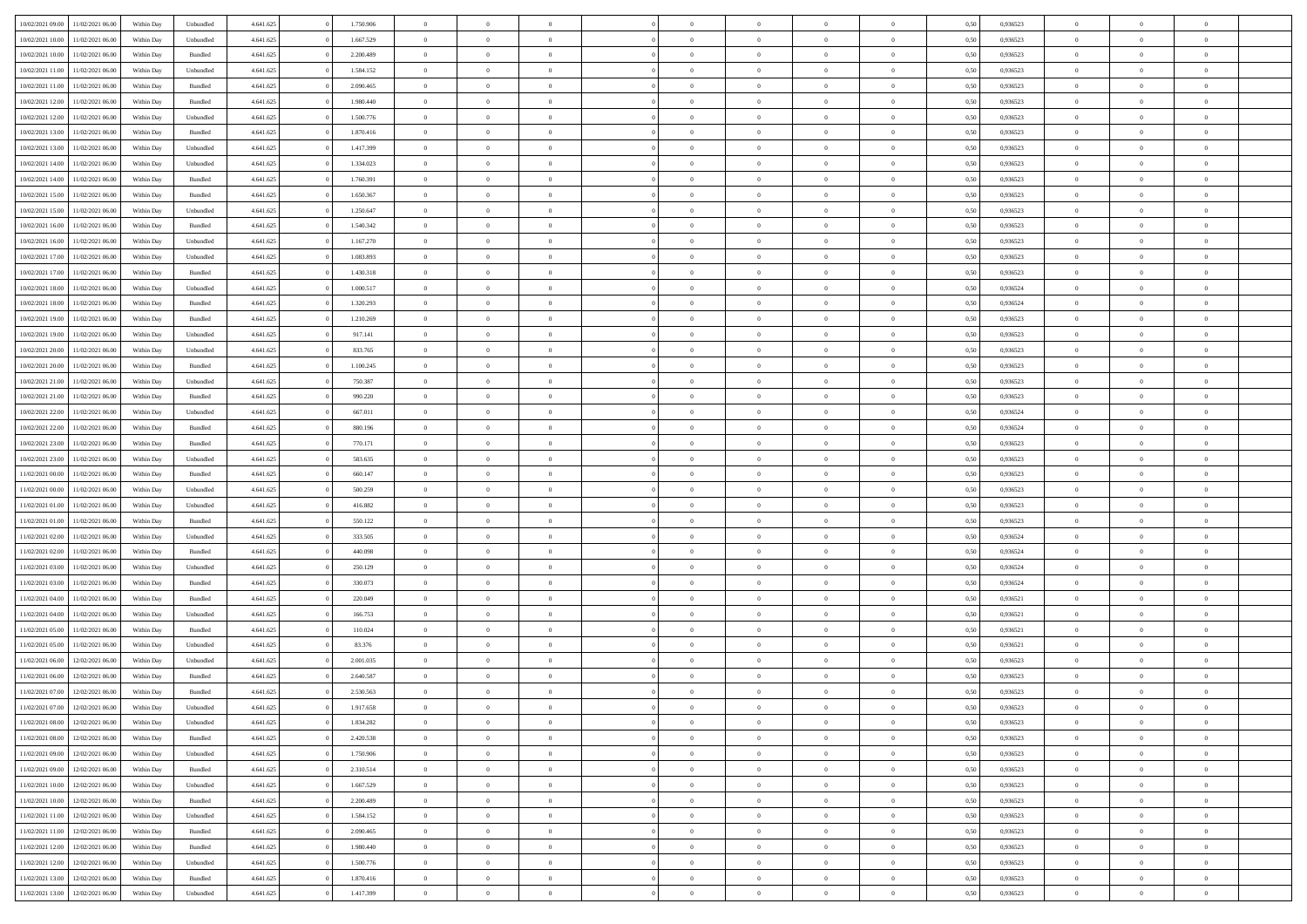| 10/02/2021 09:00                  | 11/02/2021 06:00 | Within Day | Unbundled          | 4.641.625 | 1.750.906 | $\overline{0}$ | $\theta$       |                | $\overline{0}$ | $\bf{0}$       | $\overline{0}$ | $\theta$       | 0,50 | 0,936523 | $\theta$       | $\theta$       | $\theta$       |  |
|-----------------------------------|------------------|------------|--------------------|-----------|-----------|----------------|----------------|----------------|----------------|----------------|----------------|----------------|------|----------|----------------|----------------|----------------|--|
| 10/02/2021 10:00                  | 11/02/2021 06.00 | Within Day | Unbundled          | 4.641.625 | 1.667.529 | $\overline{0}$ | $\overline{0}$ | $\overline{0}$ | $\overline{0}$ | $\bf{0}$       | $\bf{0}$       | $\bf{0}$       | 0,50 | 0,936523 | $\,$ 0 $\,$    | $\overline{0}$ | $\overline{0}$ |  |
|                                   |                  |            |                    |           |           |                |                |                |                |                |                |                |      |          |                |                |                |  |
| 10/02/2021 10:00                  | 11/02/2021 06:00 | Within Day | Bundled            | 4.641.625 | 2.200.489 | $\overline{0}$ | $\overline{0}$ | $\overline{0}$ | $\overline{0}$ | $\overline{0}$ | $\overline{0}$ | $\mathbf{0}$   | 0.50 | 0.936523 | $\overline{0}$ | $\,$ 0 $\,$    | $\bf{0}$       |  |
| 10/02/2021 11:00                  | 11/02/2021 06:00 | Within Day | Unbundled          | 4.641.625 | 1.584.152 | $\overline{0}$ | $\overline{0}$ | $\overline{0}$ | $\overline{0}$ | $\,0\,$        | $\overline{0}$ | $\overline{0}$ | 0,50 | 0,936523 | $\,$ 0 $\,$    | $\overline{0}$ | $\overline{0}$ |  |
| 10/02/2021 11:00                  | 11/02/2021 06.00 | Within Day | Bundled            | 4.641.625 | 2.090.465 | $\overline{0}$ | $\overline{0}$ | $\overline{0}$ | $\overline{0}$ | $\,$ 0         | $\overline{0}$ | $\bf{0}$       | 0,50 | 0,936523 | $\,$ 0 $\,$    | $\overline{0}$ | $\overline{0}$ |  |
| 10/02/2021 12:00                  | 11/02/2021 06:00 | Within Day | Bundled            | 4.641.625 | 1.980.440 | $\overline{0}$ | $\overline{0}$ | $\overline{0}$ | $\overline{0}$ | $\bf{0}$       | $\overline{0}$ | $\bf{0}$       | 0.50 | 0.936523 | $\,0\,$        | $\overline{0}$ | $\overline{0}$ |  |
| 10/02/2021 12:00                  | 11/02/2021 06:00 | Within Day | Unbundled          | 4.641.625 | 1.500.776 | $\overline{0}$ | $\overline{0}$ | $\overline{0}$ | $\overline{0}$ | $\bf{0}$       | $\overline{0}$ | $\bf{0}$       | 0,50 | 0,936523 | $\,$ 0 $\,$    | $\overline{0}$ | $\overline{0}$ |  |
| 10/02/2021 13:00                  | 1/02/2021 06.00  | Within Day | Bundled            | 4.641.625 | 1.870.416 | $\overline{0}$ | $\overline{0}$ | $\overline{0}$ | $\overline{0}$ | $\,$ 0         | $\bf{0}$       | $\bf{0}$       | 0,50 | 0,936523 | $\,$ 0 $\,$    | $\overline{0}$ | $\overline{0}$ |  |
| 10/02/2021 13:00                  | 11/02/2021 06:00 | Within Day | Unbundled          | 4.641.625 | 1.417.399 | $\overline{0}$ | $\overline{0}$ | $\overline{0}$ | $\overline{0}$ | $\bf{0}$       | $\overline{0}$ | $\mathbf{0}$   | 0.50 | 0.936523 | $\bf{0}$       | $\overline{0}$ | $\bf{0}$       |  |
| 10/02/2021 14:00                  | 11/02/2021 06:00 | Within Day | Unbundled          | 4.641.625 | 1.334.023 | $\overline{0}$ | $\overline{0}$ | $\overline{0}$ | $\overline{0}$ | $\bf{0}$       | $\overline{0}$ | $\bf{0}$       | 0,50 | 0,936523 | $\,$ 0 $\,$    | $\overline{0}$ | $\overline{0}$ |  |
| 10/02/2021 14:00                  | 1/02/2021 06.00  | Within Day | Bundled            | 4.641.625 | 1.760.391 | $\overline{0}$ | $\overline{0}$ | $\overline{0}$ | $\overline{0}$ | $\bf{0}$       | $\bf{0}$       | $\bf{0}$       | 0,50 | 0,936523 | $\,$ 0 $\,$    | $\overline{0}$ | $\overline{0}$ |  |
|                                   |                  |            |                    |           | 1.650.367 | $\overline{0}$ | $\overline{0}$ | $\overline{0}$ | $\overline{0}$ | $\bf{0}$       | $\overline{0}$ |                | 0.50 | 0.936523 | $\overline{0}$ | $\,$ 0 $\,$    | $\overline{0}$ |  |
| 10/02/2021 15:00                  | 11/02/2021 06:00 | Within Day | Bundled            | 4.641.625 |           |                |                |                |                |                |                | $\mathbf{0}$   |      |          |                |                |                |  |
| 10/02/2021 15:00                  | 11/02/2021 06:00 | Within Day | Unbundled          | 4.641.625 | 1.250.647 | $\overline{0}$ | $\overline{0}$ | $\overline{0}$ | $\overline{0}$ | $\bf{0}$       | $\overline{0}$ | $\overline{0}$ | 0,50 | 0,936523 | $\,$ 0 $\,$    | $\overline{0}$ | $\overline{0}$ |  |
| 10/02/2021 16:00                  | 11/02/2021 06.00 | Within Day | Bundled            | 4.641.625 | 1.540.342 | $\overline{0}$ | $\theta$       | $\overline{0}$ | $\overline{0}$ | $\,$ 0         | $\overline{0}$ | $\bf{0}$       | 0,50 | 0,936523 | $\,$ 0 $\,$    | $\overline{0}$ | $\overline{0}$ |  |
| 10/02/2021 16:00                  | 11/02/2021 06:00 | Within Day | Unbundled          | 4.641.625 | 1.167.270 | $\overline{0}$ | $\overline{0}$ | $\overline{0}$ | $\overline{0}$ | $\bf{0}$       | $\overline{0}$ | $\bf{0}$       | 0.50 | 0.936523 | $\,0\,$        | $\overline{0}$ | $\overline{0}$ |  |
| 10/02/2021 17:00                  | 11/02/2021 06:00 | Within Day | Unbundled          | 4.641.625 | 1.083.893 | $\overline{0}$ | $\overline{0}$ | $\overline{0}$ | $\overline{0}$ | $\bf{0}$       | $\overline{0}$ | $\bf{0}$       | 0,50 | 0,936523 | $\,$ 0 $\,$    | $\theta$       | $\overline{0}$ |  |
| 10/02/2021 17:00                  | 1/02/2021 06.00  | Within Day | Bundled            | 4.641.625 | 1.430.318 | $\overline{0}$ | $\overline{0}$ | $\overline{0}$ | $\overline{0}$ | $\,$ 0         | $\overline{0}$ | $\bf{0}$       | 0,50 | 0,936523 | $\,$ 0 $\,$    | $\overline{0}$ | $\overline{0}$ |  |
| 10/02/2021 18:00                  | 11/02/2021 06:00 | Within Day | Unbundled          | 4.641.625 | 1.000.517 | $\overline{0}$ | $\overline{0}$ | $\overline{0}$ | $\overline{0}$ | $\bf{0}$       | $\overline{0}$ | $\mathbf{0}$   | 0.50 | 0.936524 | $\bf{0}$       | $\overline{0}$ | $\bf{0}$       |  |
| 10/02/2021 18:00                  | 11/02/2021 06:00 | Within Day | Bundled            | 4.641.625 | 1.320.293 | $\overline{0}$ | $\overline{0}$ | $\overline{0}$ | $\overline{0}$ | $\bf{0}$       | $\overline{0}$ | $\bf{0}$       | 0,50 | 0,936524 | $\,$ 0 $\,$    | $\overline{0}$ | $\overline{0}$ |  |
| 10/02/2021 19:00                  | 1/02/2021 06.00  | Within Day | Bundled            | 4.641.625 | 1.210.269 | $\overline{0}$ | $\overline{0}$ | $\overline{0}$ | $\overline{0}$ | $\bf{0}$       | $\bf{0}$       | $\bf{0}$       | 0,50 | 0,936523 | $\,$ 0 $\,$    | $\overline{0}$ | $\overline{0}$ |  |
| 10/02/2021 19:00                  | 11/02/2021 06:00 | Within Day | Unbundled          | 4.641.625 | 917.141   | $\overline{0}$ | $\overline{0}$ | $\overline{0}$ | $\overline{0}$ | $\bf{0}$       | $\overline{0}$ | $\mathbf{0}$   | 0.50 | 0.936523 | $\overline{0}$ | $\,$ 0 $\,$    | $\overline{0}$ |  |
| 10/02/2021 20:00                  | 11/02/2021 06:00 | Within Day | Unbundled          | 4.641.625 | 833.765   | $\overline{0}$ | $\overline{0}$ | $\overline{0}$ | $\overline{0}$ | $\,0\,$        | $\overline{0}$ | $\overline{0}$ | 0,50 | 0,936523 | $\,$ 0 $\,$    | $\overline{0}$ | $\overline{0}$ |  |
| 10/02/2021 20:00                  | 11/02/2021 06.00 | Within Day | Bundled            | 4.641.625 | 1.100.245 | $\overline{0}$ | $\overline{0}$ | $\overline{0}$ | $\overline{0}$ | $\bf{0}$       | $\bf{0}$       | $\bf{0}$       | 0,50 | 0,936523 | $\,$ 0 $\,$    | $\overline{0}$ | $\overline{0}$ |  |
|                                   |                  |            |                    |           |           |                |                |                |                |                |                |                |      |          |                |                |                |  |
| 10/02/2021 21:00                  | 11/02/2021 06:00 | Within Day | Unbundled          | 4.641.625 | 750.387   | $\overline{0}$ | $\overline{0}$ | $\overline{0}$ | $\overline{0}$ | $\bf{0}$       | $\overline{0}$ | $\bf{0}$       | 0.50 | 0.936523 | $\,0\,$        | $\overline{0}$ | $\overline{0}$ |  |
| 10/02/2021 21:00                  | 11/02/2021 06:00 | Within Day | Bundled            | 4.641.625 | 990.220   | $\overline{0}$ | $\overline{0}$ | $\overline{0}$ | $\overline{0}$ | $\bf{0}$       | $\overline{0}$ | $\bf{0}$       | 0,50 | 0,936523 | $\,$ 0 $\,$    | $\theta$       | $\overline{0}$ |  |
| 10/02/2021 22:00                  | 1/02/2021 06.00  | Within Day | Unbundled          | 4.641.625 | 667.011   | $\overline{0}$ | $\theta$       | $\overline{0}$ | $\overline{0}$ | $\,$ 0         | $\bf{0}$       | $\bf{0}$       | 0,50 | 0,936524 | $\,$ 0 $\,$    | $\overline{0}$ | $\overline{0}$ |  |
| 10/02/2021 22:00                  | 11/02/2021 06:00 | Within Day | Bundled            | 4.641.625 | 880.196   | $\overline{0}$ | $\overline{0}$ | $\overline{0}$ | $\overline{0}$ | $\bf{0}$       | $\overline{0}$ | $\mathbf{0}$   | 0.50 | 0.936524 | $\bf{0}$       | $\overline{0}$ | $\bf{0}$       |  |
| 10/02/2021 23:00                  | 11/02/2021 06:00 | Within Day | Bundled            | 4.641.625 | 770.171   | $\overline{0}$ | $\overline{0}$ | $\overline{0}$ | $\overline{0}$ | $\bf{0}$       | $\overline{0}$ | $\bf{0}$       | 0,50 | 0,936523 | $\,$ 0 $\,$    | $\overline{0}$ | $\overline{0}$ |  |
| 10/02/2021 23:00                  | 1/02/2021 06.00  | Within Day | Unbundled          | 4.641.625 | 583.635   | $\overline{0}$ | $\overline{0}$ | $\overline{0}$ | $\bf{0}$       | $\bf{0}$       | $\overline{0}$ | $\bf{0}$       | 0,50 | 0,936523 | $\,$ 0 $\,$    | $\overline{0}$ | $\overline{0}$ |  |
| 11/02/2021 00:00                  | 11/02/2021 06:00 | Within Day | $\mathbf B$ undled | 4.641.625 | 660.147   | $\overline{0}$ | $\overline{0}$ | $\overline{0}$ | $\overline{0}$ | $\bf{0}$       | $\overline{0}$ | $\mathbf{0}$   | 0.50 | 0.936523 | $\overline{0}$ | $\,$ 0 $\,$    | $\overline{0}$ |  |
| 11/02/2021 00:00                  | 11/02/2021 06:00 | Within Dav | Unbundled          | 4.641.625 | 500.259   | $\overline{0}$ | $\overline{0}$ | $\overline{0}$ | $\overline{0}$ | $\overline{0}$ | $\overline{0}$ | $\overline{0}$ | 0.50 | 0.936523 | $\theta$       | $\overline{0}$ | $\overline{0}$ |  |
| 11/02/2021 01:00                  | 1/02/2021 06.00  | Within Day | Unbundled          | 4.641.625 | 416.882   | $\overline{0}$ | $\overline{0}$ | $\overline{0}$ | $\overline{0}$ | $\bf{0}$       | $\overline{0}$ | $\bf{0}$       | 0,50 | 0,936523 | $\,$ 0 $\,$    | $\overline{0}$ | $\overline{0}$ |  |
| 11/02/2021 01:00                  | 11/02/2021 06:00 | Within Day | Bundled            | 4.641.625 | 550.122   | $\overline{0}$ | $\overline{0}$ | $\overline{0}$ | $\overline{0}$ | $\bf{0}$       | $\overline{0}$ | $\bf{0}$       | 0.50 | 0.936523 | $\,0\,$        | $\overline{0}$ | $\overline{0}$ |  |
| 11/02/2021 02:00                  | 11/02/2021 06:00 | Within Dav | Unbundled          | 4.641.625 | 333.505   | $\overline{0}$ | $\overline{0}$ | $\Omega$       | $\overline{0}$ | $\mathbf{0}$   | $\overline{0}$ | $\overline{0}$ | 0,50 | 0,936524 | $\theta$       | $\overline{0}$ | $\overline{0}$ |  |
|                                   |                  |            |                    |           |           |                |                | $\overline{0}$ |                |                |                |                |      |          |                |                |                |  |
| 11/02/2021 02:00                  | 1/02/2021 06.00  | Within Day | Bundled            | 4.641.625 | 440.098   | $\bf{0}$       | $\overline{0}$ |                | $\overline{0}$ | $\,$ 0         | $\bf{0}$       | $\bf{0}$       | 0,50 | 0,936524 | $\,$ 0 $\,$    | $\overline{0}$ | $\overline{0}$ |  |
| 11/02/2021 03:00                  | 11/02/2021 06:00 | Within Day | Unbundled          | 4.641.625 | 250.129   | $\overline{0}$ | $\overline{0}$ | $\overline{0}$ | $\overline{0}$ | $\bf{0}$       | $\overline{0}$ | $\mathbf{0}$   | 0.50 | 0.936524 | $\bf{0}$       | $\overline{0}$ | $\bf{0}$       |  |
| 11/02/2021 03:00                  | 11/02/2021 06:00 | Within Dav | Bundled            | 4.641.625 | 330.073   | $\overline{0}$ | $\overline{0}$ | $\overline{0}$ | $\overline{0}$ | $\overline{0}$ | $\overline{0}$ | $\overline{0}$ | 0,50 | 0,936524 | $\theta$       | $\overline{0}$ | $\overline{0}$ |  |
| 11/02/2021 04:00                  | 1/02/2021 06.00  | Within Day | Bundled            | 4.641.625 | 220.049   | $\overline{0}$ | $\overline{0}$ | $\overline{0}$ | $\bf{0}$       | $\bf{0}$       | $\bf{0}$       | $\bf{0}$       | 0,50 | 0,936521 | $\,$ 0 $\,$    | $\overline{0}$ | $\overline{0}$ |  |
| 11/02/2021 04:00                  | 11/02/2021 06:00 | Within Day | Unbundled          | 4.641.625 | 166,753   | $\overline{0}$ | $\overline{0}$ | $\overline{0}$ | $\overline{0}$ | $\bf{0}$       | $\overline{0}$ | $\mathbf{0}$   | 0.50 | 0.936521 | $\overline{0}$ | $\,$ 0 $\,$    | $\overline{0}$ |  |
| 11/02/2021 05:00                  | 11/02/2021 06:00 | Within Dav | Bundled            | 4.641.625 | 110.024   | $\overline{0}$ | $\overline{0}$ | $\overline{0}$ | $\overline{0}$ | $\overline{0}$ | $\overline{0}$ | $\mathbf{0}$   | 0.50 | 0,936521 | $\theta$       | $\overline{0}$ | $\overline{0}$ |  |
| 11/02/2021 05:00                  | 1/02/2021 06.00  | Within Day | Unbundled          | 4.641.625 | 83.376    | $\overline{0}$ | $\overline{0}$ | $\overline{0}$ | $\overline{0}$ | $\bf{0}$       | $\overline{0}$ | $\bf{0}$       | 0,50 | 0,936521 | $\,$ 0 $\,$    | $\overline{0}$ | $\overline{0}$ |  |
| 11/02/2021 06:00                  | 12/02/2021 06:00 | Within Day | Unbundled          | 4.641.625 | 2.001.035 | $\overline{0}$ | $\overline{0}$ | $\overline{0}$ | $\overline{0}$ | $\bf{0}$       | $\overline{0}$ | $\bf{0}$       | 0.50 | 0.936523 | $\,0\,$        | $\theta$       | $\overline{0}$ |  |
| 11/02/2021 06:00                  | 12/02/2021 06:00 | Within Dav | Bundled            | 4.641.625 | 2.640.587 | $\overline{0}$ | $\theta$       | $\Omega$       | $\overline{0}$ | $\bf{0}$       | $\overline{0}$ | $\overline{0}$ | 0.50 | 0.936523 | $\theta$       | $\overline{0}$ | $\overline{0}$ |  |
| 11/02/2021 07:00                  | 12/02/2021 06:00 | Within Day | Bundled            | 4.641.625 | 2.530.563 | $\overline{0}$ | $\overline{0}$ | $\overline{0}$ | $\bf{0}$       | $\,$ 0         | $\bf{0}$       | $\bf{0}$       | 0,50 | 0,936523 | $\,$ 0 $\,$    | $\overline{0}$ | $\overline{0}$ |  |
| 11/02/2021 07:00                  | 12/02/2021 06:00 | Within Day | Unbundled          | 4.641.625 | 1.917.658 | $\bf{0}$       | $\theta$       |                | $^{\circ}$     | $\Omega$       |                |                | 0,50 | 0.936523 | $\bf{0}$       | $\theta$       |                |  |
|                                   |                  |            |                    |           |           |                | $\overline{0}$ |                |                | $\overline{0}$ |                |                |      |          | $\theta$       | $\overline{0}$ | $\overline{0}$ |  |
| 11/02/2021 08:00                  | 12/02/2021 06:00 | Within Day | Unbundled          | 4.641.625 | 1.834.282 | $\overline{0}$ |                | $\overline{0}$ | $\overline{0}$ |                | $\overline{0}$ | $\mathbf{0}$   | 0,50 | 0.936523 |                |                |                |  |
| 11/02/2021 08:00                  | 12/02/2021 06:00 | Within Day | Bundled            | 4.641.625 | 2.420.538 | $\overline{0}$ | $\overline{0}$ | $\overline{0}$ | $\bf{0}$       | $\overline{0}$ | $\overline{0}$ | $\mathbf{0}$   | 0,50 | 0,936523 | $\bf{0}$       | $\overline{0}$ | $\bf{0}$       |  |
| 11/02/2021 09:00                  | 12/02/2021 06:00 | Within Day | Unbundled          | 4.641.625 | 1.750.906 | $\overline{0}$ | $\overline{0}$ | $\overline{0}$ | $\overline{0}$ | $\overline{0}$ | $\overline{0}$ | $\mathbf{0}$   | 0.50 | 0.936523 | $\overline{0}$ | $\bf{0}$       | $\bf{0}$       |  |
| 11/02/2021 09:00                  | 12/02/2021 06:00 | Within Day | Bundled            | 4.641.625 | 2.310.514 | $\overline{0}$ | $\overline{0}$ | $\overline{0}$ | $\overline{0}$ | $\overline{0}$ | $\overline{0}$ | $\mathbf{0}$   | 0,50 | 0.936523 | $\overline{0}$ | $\theta$       | $\overline{0}$ |  |
| 11/02/2021 10:00                  | 12/02/2021 06:00 | Within Day | Unbundled          | 4.641.625 | 1.667.529 | $\overline{0}$ | $\overline{0}$ | $\overline{0}$ | $\overline{0}$ | $\bf{0}$       | $\bf{0}$       | $\bf{0}$       | 0,50 | 0,936523 | $\bf{0}$       | $\overline{0}$ | $\overline{0}$ |  |
| 11/02/2021 10:00                  | 12/02/2021 06:00 | Within Day | Bundled            | 4.641.625 | 2.200.489 | $\overline{0}$ | $\overline{0}$ | $\overline{0}$ | $\overline{0}$ | $\bf{0}$       | $\overline{0}$ | $\mathbf{0}$   | 0.50 | 0.936523 | $\,$ 0 $\,$    | $\theta$       | $\,$ 0         |  |
| 11/02/2021 11:00                  | 12/02/2021 06:00 | Within Day | Unbundled          | 4.641.625 | 1.584.152 | $\overline{0}$ | $\overline{0}$ | $\overline{0}$ | $\overline{0}$ | $\overline{0}$ | $\overline{0}$ | $\overline{0}$ | 0,50 | 0.936523 | $\overline{0}$ | $\theta$       | $\overline{0}$ |  |
| 11/02/2021 11:00                  | 12/02/2021 06:00 | Within Day | Bundled            | 4.641.625 | 2.090.465 | $\overline{0}$ | $\,$ 0         | $\overline{0}$ | $\bf{0}$       | $\,$ 0 $\,$    | $\overline{0}$ | $\bf{0}$       | 0,50 | 0,936523 | $\,$ 0 $\,$    | $\overline{0}$ | $\overline{0}$ |  |
| 11/02/2021 12:00                  | 12/02/2021 06:00 | Within Day | Bundled            | 4.641.625 | 1.980.440 | $\overline{0}$ | $\overline{0}$ | $\overline{0}$ | $\overline{0}$ | $\bf{0}$       | $\overline{0}$ | $\mathbf{0}$   | 0.50 | 0.936523 | $\mathbf{0}$   | $\,$ 0 $\,$    | $\overline{0}$ |  |
| 11/02/2021 12:00                  | 12/02/2021 06:00 | Within Day | Unbundled          | 4.641.625 | 1.500.776 | $\overline{0}$ | $\overline{0}$ | $\overline{0}$ | $\overline{0}$ | $\overline{0}$ | $\overline{0}$ | $\overline{0}$ | 0,50 | 0.936523 | $\overline{0}$ | $\theta$       | $\overline{0}$ |  |
|                                   |                  |            |                    |           |           |                | $\overline{0}$ |                | $\bf{0}$       | $\bf{0}$       |                |                |      |          | $\bf{0}$       | $\overline{0}$ | $\bf{0}$       |  |
| 11/02/2021 13:00                  | 12/02/2021 06:00 | Within Day | Bundled            | 4.641.625 | 1.870.416 | $\overline{0}$ |                | $\overline{0}$ |                |                | $\bf{0}$       | $\bf{0}$       | 0,50 | 0,936523 |                |                |                |  |
| 11/02/2021 13:00 12/02/2021 06:00 |                  | Within Day | Unbundled          | 4.641.625 | 1.417.399 | $\,$ 0 $\,$    | $\,$ 0 $\,$    | $\overline{0}$ | $\overline{0}$ | $\,$ 0 $\,$    | $\,$ 0 $\,$    | $\,$ 0 $\,$    | 0,50 | 0,936523 | $\mathbf{0}^-$ | $\,$ 0 $\,$    | $\,$ 0 $\,$    |  |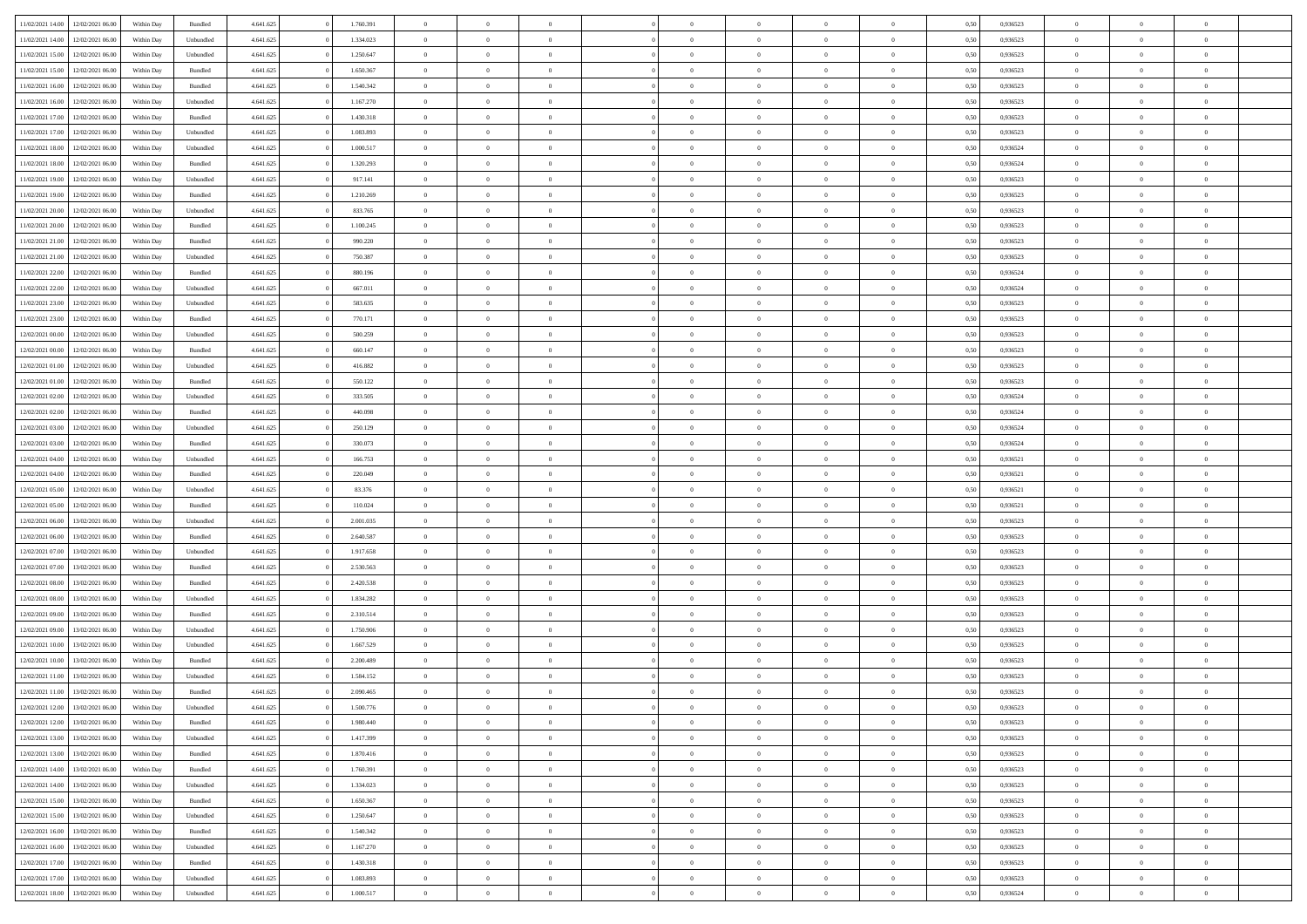| 11/02/2021 14:00                  | 12/02/2021 06:00 | Within Day | Bundled   | 4.641.625 | 1.760.391 | $\overline{0}$ | $\theta$       |                | $\overline{0}$ | $\bf{0}$       | $\overline{0}$ | $\theta$       | 0,50 | 0,936523 | $\theta$       | $\theta$       | $\overline{0}$           |  |
|-----------------------------------|------------------|------------|-----------|-----------|-----------|----------------|----------------|----------------|----------------|----------------|----------------|----------------|------|----------|----------------|----------------|--------------------------|--|
| 11/02/2021 14:00                  | 12/02/2021 06:00 | Within Day | Unbundled | 4.641.625 | 1.334.023 | $\overline{0}$ | $\overline{0}$ | $\overline{0}$ | $\overline{0}$ | $\,$ 0         | $\bf{0}$       | $\bf{0}$       | 0,50 | 0,936523 | $\,$ 0 $\,$    | $\overline{0}$ | $\overline{0}$           |  |
|                                   |                  |            |           |           |           |                |                |                |                |                |                |                |      |          |                |                |                          |  |
| 11/02/2021 15:00                  | 12/02/2021 06:00 | Within Day | Unbundled | 4.641.625 | 1.250.647 | $\overline{0}$ | $\overline{0}$ | $\overline{0}$ | $\overline{0}$ | $\bf{0}$       | $\overline{0}$ | $\mathbf{0}$   | 0.50 | 0.936523 | $\bf{0}$       | $\overline{0}$ | $\overline{0}$           |  |
| 11/02/2021 15:00                  | 12/02/2021 06:00 | Within Day | Bundled   | 4.641.625 | 1.650.367 | $\overline{0}$ | $\overline{0}$ | $\overline{0}$ | $\overline{0}$ | $\,$ 0         | $\overline{0}$ | $\overline{0}$ | 0,50 | 0,936523 | $\,$ 0 $\,$    | $\overline{0}$ | $\overline{0}$           |  |
| 11/02/2021 16:00                  | 12/02/2021 06:00 | Within Day | Bundled   | 4.641.625 | 1.540.342 | $\overline{0}$ | $\theta$       | $\overline{0}$ | $\overline{0}$ | $\overline{0}$ | $\overline{0}$ | $\bf{0}$       | 0,50 | 0,936523 | $\,$ 0 $\,$    | $\overline{0}$ | $\overline{0}$           |  |
| 11/02/2021 16:00                  | 12/02/2021 06:00 | Within Day | Unbundled | 4.641.625 | 1.167.270 | $\overline{0}$ | $\overline{0}$ | $\overline{0}$ | $\overline{0}$ | $\bf{0}$       | $\overline{0}$ | $\bf{0}$       | 0.50 | 0.936523 | $\,0\,$        | $\theta$       | $\overline{0}$           |  |
| 11/02/2021 17:00                  | 12/02/2021 06:00 | Within Day | Bundled   | 4.641.625 | 1.430.318 | $\overline{0}$ | $\overline{0}$ | $\overline{0}$ | $\overline{0}$ | $\bf{0}$       | $\overline{0}$ | $\overline{0}$ | 0,50 | 0,936523 | $\,$ 0 $\,$    | $\theta$       | $\overline{0}$           |  |
| 11/02/2021 17:00                  | 12/02/2021 06.00 | Within Day | Unbundled | 4.641.625 | 1.083.893 | $\overline{0}$ | $\theta$       | $\overline{0}$ | $\overline{0}$ | $\,$ 0         | $\bf{0}$       | $\bf{0}$       | 0,50 | 0,936523 | $\,$ 0 $\,$    | $\overline{0}$ | $\overline{0}$           |  |
| 11/02/2021 18:00                  | 12/02/2021 06:00 | Within Day | Unbundled | 4.641.625 | 1.000.517 | $\overline{0}$ | $\overline{0}$ | $\overline{0}$ | $\overline{0}$ | $\bf{0}$       | $\overline{0}$ | $\bf{0}$       | 0.50 | 0.936524 | $\,0\,$        | $\overline{0}$ | $\overline{0}$           |  |
| 11/02/2021 18:00                  | 12/02/2021 06:00 | Within Day | Bundled   | 4.641.625 | 1.320.293 | $\overline{0}$ | $\overline{0}$ | $\overline{0}$ | $\overline{0}$ | $\,$ 0         | $\overline{0}$ | $\bf{0}$       | 0,50 | 0,936524 | $\,$ 0 $\,$    | $\overline{0}$ | $\overline{0}$           |  |
| 11/02/2021 19:00                  | 12/02/2021 06:00 | Within Day | Unbundled | 4.641.625 | 917.141   | $\bf{0}$       | $\theta$       | $\overline{0}$ | $\overline{0}$ | $\,$ 0         | $\overline{0}$ | $\bf{0}$       | 0,50 | 0,936523 | $\,$ 0 $\,$    | $\overline{0}$ | $\overline{0}$           |  |
| 11/02/2021 19:00                  | 12/02/2021 06:00 | Within Day | Bundled   | 4.641.625 | 1.210.269 | $\overline{0}$ | $\overline{0}$ | $\overline{0}$ | $\overline{0}$ | $\bf{0}$       | $\overline{0}$ | $\mathbf{0}$   | 0.50 | 0.936523 | $\bf{0}$       | $\overline{0}$ | $\overline{\phantom{a}}$ |  |
|                                   |                  |            |           |           |           | $\overline{0}$ | $\overline{0}$ | $\overline{0}$ | $\overline{0}$ |                | $\overline{0}$ | $\overline{0}$ |      |          | $\,$ 0 $\,$    | $\overline{0}$ | $\overline{0}$           |  |
| 11/02/2021 20:00                  | 12/02/2021 06:00 | Within Day | Unbundled | 4.641.625 | 833.765   |                |                |                |                | $\,$ 0         |                |                | 0,50 | 0,936523 |                |                |                          |  |
| 11/02/2021 20:00                  | 12/02/2021 06:00 | Within Day | Bundled   | 4.641.625 | 1.100.245 | $\overline{0}$ | $\theta$       | $\overline{0}$ | $\overline{0}$ | $\bf{0}$       | $\overline{0}$ | $\bf{0}$       | 0,50 | 0,936523 | $\,$ 0 $\,$    | $\overline{0}$ | $\overline{0}$           |  |
| 11/02/2021 21:00                  | 12/02/2021 06:00 | Within Day | Bundled   | 4.641.625 | 990.220   | $\overline{0}$ | $\overline{0}$ | $\overline{0}$ | $\overline{0}$ | $\,$ 0         | $\overline{0}$ | $\bf{0}$       | 0.50 | 0.936523 | $\theta$       | $\theta$       | $\overline{0}$           |  |
| 11/02/2021 21:00                  | 12/02/2021 06:00 | Within Day | Unbundled | 4.641.625 | 750.387   | $\overline{0}$ | $\overline{0}$ | $\overline{0}$ | $\overline{0}$ | $\,$ 0         | $\overline{0}$ | $\bf{0}$       | 0,50 | 0,936523 | $\,$ 0 $\,$    | $\theta$       | $\overline{0}$           |  |
| 11/02/2021 22:00                  | 12/02/2021 06.00 | Within Day | Bundled   | 4.641.625 | 880.196   | $\overline{0}$ | $\theta$       | $\overline{0}$ | $\overline{0}$ | $\,$ 0         | $\overline{0}$ | $\bf{0}$       | 0,50 | 0,936524 | $\,$ 0 $\,$    | $\overline{0}$ | $\overline{0}$           |  |
| 11/02/2021 22:00                  | 12/02/2021 06:00 | Within Day | Unbundled | 4.641.625 | 667.011   | $\overline{0}$ | $\overline{0}$ | $\overline{0}$ | $\overline{0}$ | $\bf{0}$       | $\overline{0}$ | $\bf{0}$       | 0.50 | 0.936524 | $\,0\,$        | $\overline{0}$ | $\overline{0}$           |  |
| 11/02/2021 23:00                  | 12/02/2021 06:00 | Within Day | Unbundled | 4.641.625 | 583.635   | $\overline{0}$ | $\overline{0}$ | $\overline{0}$ | $\overline{0}$ | $\bf{0}$       | $\overline{0}$ | $\bf{0}$       | 0,50 | 0,936523 | $\,$ 0 $\,$    | $\overline{0}$ | $\overline{0}$           |  |
| 11/02/2021 23:00                  | 12/02/2021 06:00 | Within Day | Bundled   | 4.641.625 | 770.171   | $\overline{0}$ | $\theta$       | $\overline{0}$ | $\overline{0}$ | $\,$ 0         | $\bf{0}$       | $\bf{0}$       | 0,50 | 0,936523 | $\,$ 0 $\,$    | $\overline{0}$ | $\overline{0}$           |  |
| 12/02/2021 00:00                  | 12/02/2021 06:00 | Within Day | Unbundled | 4.641.625 | 500.259   | $\overline{0}$ | $\overline{0}$ | $\overline{0}$ | $\overline{0}$ | $\bf{0}$       | $\overline{0}$ | $\mathbf{0}$   | 0.50 | 0.936523 | $\bf{0}$       | $\overline{0}$ | $\bf{0}$                 |  |
| 12/02/2021 00:00                  | 12/02/2021 06:00 | Within Day | Bundled   | 4.641.625 | 660.147   | $\overline{0}$ | $\overline{0}$ | $\overline{0}$ | $\overline{0}$ | $\bf{0}$       | $\overline{0}$ | $\overline{0}$ | 0,50 | 0,936523 | $\,$ 0 $\,$    | $\overline{0}$ | $\overline{0}$           |  |
| 12/02/2021 01:00                  | 12/02/2021 06:00 | Within Day | Unbundled | 4.641.625 | 416.882   | $\overline{0}$ | $\theta$       | $\overline{0}$ | $\overline{0}$ | $\,$ 0         | $\overline{0}$ | $\bf{0}$       | 0,50 | 0,936523 | $\,$ 0 $\,$    | $\overline{0}$ | $\overline{0}$           |  |
|                                   |                  |            |           |           |           |                |                |                |                |                |                |                |      |          |                |                |                          |  |
| 12/02/2021 01:00                  | 12/02/2021 06:00 | Within Day | Bundled   | 4.641.625 | 550.122   | $\overline{0}$ | $\overline{0}$ | $\overline{0}$ | $\overline{0}$ | $\bf{0}$       | $\overline{0}$ | $\bf{0}$       | 0.50 | 0.936523 | $\,0\,$        | $\theta$       | $\overline{0}$           |  |
| 12/02/2021 02:00                  | 12/02/2021 06:00 | Within Day | Unbundled | 4.641.625 | 333.505   | $\overline{0}$ | $\overline{0}$ | $\overline{0}$ | $\overline{0}$ | $\,$ 0         | $\overline{0}$ | $\overline{0}$ | 0,50 | 0,936524 | $\,0\,$        | $\theta$       | $\overline{0}$           |  |
| 12/02/2021 02:00                  | 12/02/2021 06:00 | Within Day | Bundled   | 4.641.625 | 440.098   | $\overline{0}$ | $\theta$       | $\overline{0}$ |                | $\bf{0}$       | $\overline{0}$ | $\bf{0}$       | 0,50 | 0,936524 | $\,$ 0 $\,$    | $\overline{0}$ | $\overline{0}$           |  |
| 12/02/2021 03:00                  | 12/02/2021 06:00 | Within Day | Unbundled | 4.641.625 | 250.129   | $\overline{0}$ | $\overline{0}$ | $\overline{0}$ | $\overline{0}$ | $\bf{0}$       | $\overline{0}$ | $\bf{0}$       | 0.50 | 0.936524 | $\,0\,$        | $\overline{0}$ | $\overline{0}$           |  |
| 12/02/2021 03:00                  | 12/02/2021 06:00 | Within Day | Bundled   | 4.641.625 | 330.073   | $\overline{0}$ | $\overline{0}$ | $\overline{0}$ | $\overline{0}$ | $\bf{0}$       | $\overline{0}$ | $\bf{0}$       | 0,50 | 0,936524 | $\,$ 0 $\,$    | $\overline{0}$ | $\overline{0}$           |  |
| 12/02/2021 04:00                  | 12/02/2021 06:00 | Within Day | Unbundled | 4.641.625 | 166.753   | $\overline{0}$ | $\overline{0}$ | $\overline{0}$ | $\overline{0}$ | $\bf{0}$       | $\bf{0}$       | $\bf{0}$       | 0,50 | 0,936521 | $\,$ 0 $\,$    | $\overline{0}$ | $\overline{0}$           |  |
| 12/02/2021 04:00                  | 12/02/2021 06:00 | Within Day | Bundled   | 4.641.625 | 220.049   | $\overline{0}$ | $\overline{0}$ | $\overline{0}$ | $\overline{0}$ | $\bf{0}$       | $\overline{0}$ | $\mathbf{0}$   | 0.50 | 0.936521 | $\bf{0}$       | $\overline{0}$ | $\overline{\phantom{a}}$ |  |
| 12/02/2021 05:00                  | 12/02/2021 06:00 | Within Dav | Unbundled | 4.641.625 | 83.376    | $\overline{0}$ | $\overline{0}$ | $\overline{0}$ | $\overline{0}$ | $\overline{0}$ | $\overline{0}$ | $\overline{0}$ | 0.50 | 0,936521 | $\theta$       | $\overline{0}$ | $\overline{0}$           |  |
| 12/02/2021 05:00                  | 12/02/2021 06:00 | Within Day | Bundled   | 4.641.625 | 110.024   | $\overline{0}$ | $\theta$       | $\overline{0}$ | $\overline{0}$ | $\,$ 0         | $\overline{0}$ | $\bf{0}$       | 0,50 | 0,936521 | $\,$ 0 $\,$    | $\overline{0}$ | $\overline{0}$           |  |
| 12/02/2021 06:00                  | 13/02/2021 06:00 | Within Day | Unbundled | 4.641.625 | 2.001.035 | $\overline{0}$ | $\overline{0}$ | $\overline{0}$ | $\overline{0}$ | $\,$ 0         | $\overline{0}$ | $\bf{0}$       | 0.50 | 0.936523 | $\,0\,$        | $\theta$       | $\overline{0}$           |  |
| 12/02/2021 06:00                  | 13/02/2021 06:00 | Within Dav | Bundled   | 4.641.625 | 2.640.587 | $\overline{0}$ | $\theta$       | $\Omega$       | $\overline{0}$ | $\bf{0}$       | $\overline{0}$ | $\overline{0}$ | 0.50 | 0.936523 | $\theta$       | $\overline{0}$ | $\overline{0}$           |  |
| 12/02/2021 07:00                  | 13/02/2021 06.00 | Within Day | Unbundled | 4.641.625 | 1.917.658 | $\overline{0}$ | $\theta$       | $\overline{0}$ | $\overline{0}$ | $\,$ 0         | $\overline{0}$ | $\bf{0}$       | 0,50 | 0,936523 | $\,$ 0 $\,$    | $\overline{0}$ | $\overline{0}$           |  |
|                                   | 13/02/2021 06:00 |            |           |           | 2.530.563 |                | $\overline{0}$ |                |                |                | $\overline{0}$ |                |      | 0.936523 |                | $\overline{0}$ |                          |  |
| 12/02/2021 07:00                  |                  | Within Day | Bundled   | 4.641.625 |           | $\overline{0}$ |                | $\overline{0}$ | $\overline{0}$ | $\bf{0}$       |                | $\bf{0}$       | 0.50 |          | $\,0\,$        |                | $\overline{0}$           |  |
| 12/02/2021 08:00                  | 13/02/2021 06:00 | Within Dav | Bundled   | 4.641.625 | 2.420.538 | $\overline{0}$ | $\overline{0}$ | $\overline{0}$ | $\overline{0}$ | $\overline{0}$ | $\overline{0}$ | $\overline{0}$ | 0.50 | 0.936523 | $\theta$       | $\overline{0}$ | $\overline{0}$           |  |
| 12/02/2021 08:00                  | 13/02/2021 06.00 | Within Day | Unbundled | 4.641.625 | 1.834.282 | $\bf{0}$       | $\overline{0}$ | $\overline{0}$ | $\overline{0}$ | $\bf{0}$       | $\bf{0}$       | $\bf{0}$       | 0,50 | 0,936523 | $\,$ 0 $\,$    | $\overline{0}$ | $\overline{0}$           |  |
| 12/02/2021 09:00                  | 13/02/2021 06:00 | Within Day | Bundled   | 4.641.625 | 2.310.514 | $\overline{0}$ | $\overline{0}$ | $\overline{0}$ | $\overline{0}$ | $\bf{0}$       | $\overline{0}$ | $\mathbf{0}$   | 0.50 | 0.936523 | $\,$ 0 $\,$    | $\overline{0}$ | $\overline{0}$           |  |
| 12/02/2021 09:00                  | 13/02/2021 06:00 | Within Dav | Unbundled | 4.641.625 | 1.750.906 | $\overline{0}$ | $\overline{0}$ | $\Omega$       | $\overline{0}$ | $\mathbf{0}$   | $\overline{0}$ | $\overline{0}$ | 0.50 | 0.936523 | $\theta$       | $\overline{0}$ | $\overline{0}$           |  |
| 12/02/2021 10:00                  | 13/02/2021 06.00 | Within Day | Unbundled | 4.641.625 | 1.667.529 | $\overline{0}$ | $\theta$       | $\overline{0}$ | $\overline{0}$ | $\,$ 0         | $\overline{0}$ | $\bf{0}$       | 0,50 | 0,936523 | $\,$ 0 $\,$    | $\overline{0}$ | $\overline{0}$           |  |
| 12/02/2021 10:00                  | 13/02/2021 06:00 | Within Day | Bundled   | 4.641.625 | 2.200.489 | $\overline{0}$ | $\theta$       | $\overline{0}$ | $\overline{0}$ | $\bf{0}$       | $\Omega$       | $\bf{0}$       | 0.50 | 0.936523 | $\,0\,$        | $\theta$       | $\overline{0}$           |  |
| 12/02/2021 11:00                  | 13/02/2021 06:00 | Within Dav | Unbundled | 4.641.625 | 1.584.152 | $\overline{0}$ | $\Omega$       | $\Omega$       | $\Omega$       | $\bf{0}$       | $\overline{0}$ | $\bf{0}$       | 0.50 | 0.936523 | $\theta$       | $\theta$       | $\overline{0}$           |  |
| 12/02/2021 11:00                  | 13/02/2021 06:00 | Within Day | Bundled   | 4.641.625 | 2.090.465 | $\bf{0}$       | $\,$ 0 $\,$    | $\overline{0}$ | $\overline{0}$ | $\,$ 0         | $\bf{0}$       | $\bf{0}$       | 0,50 | 0,936523 | $\,$ 0 $\,$    | $\overline{0}$ | $\overline{0}$           |  |
| 12/02/2021 12:00                  | 13/02/2021 06:00 | Within Day | Unbundled | 4.641.625 | 1.500.776 | $\bf{0}$       | $\theta$       |                | $\Omega$       |                |                |                | 0,50 | 0.936523 | $\bf{0}$       | $\theta$       |                          |  |
| 12/02/2021 12:00                  | 13/02/2021 06:00 | Within Day | Bundled   | 4.641.625 | 1.980.440 | $\overline{0}$ | $\overline{0}$ | $\overline{0}$ | $\overline{0}$ | $\overline{0}$ | $\overline{0}$ | $\mathbf{0}$   | 0,50 | 0.936523 | $\theta$       | $\overline{0}$ | $\overline{0}$           |  |
| 12/02/2021 13:00                  | 13/02/2021 06:00 | Within Day | Unbundled | 4.641.625 | 1.417.399 | $\overline{0}$ | $\overline{0}$ | $\overline{0}$ | $\bf{0}$       | $\overline{0}$ | $\overline{0}$ | $\bf{0}$       | 0,50 | 0,936523 | $\bf{0}$       | $\overline{0}$ | $\bf{0}$                 |  |
|                                   |                  |            |           |           | 1.870.416 | $\overline{0}$ |                |                | $\overline{0}$ |                |                |                | 0.50 | 0.936523 | $\overline{0}$ |                |                          |  |
| 12/02/2021 13:00                  | 13/02/2021 06:00 | Within Day | Bundled   | 4.641.625 |           |                | $\overline{0}$ | $\overline{0}$ |                | $\overline{0}$ | $\overline{0}$ | $\mathbf{0}$   |      |          |                | $\bf{0}$       | $\overline{0}$           |  |
| 12/02/2021 14:00                  | 13/02/2021 06:00 | Within Day | Bundled   | 4.641.625 | 1.760.391 | $\overline{0}$ | $\overline{0}$ | $\overline{0}$ | $\overline{0}$ | $\overline{0}$ | $\overline{0}$ | $\overline{0}$ | 0,50 | 0.936523 | $\overline{0}$ | $\theta$       | $\overline{0}$           |  |
| 12/02/2021 14:00                  | 13/02/2021 06:00 | Within Day | Unbundled | 4.641.625 | 1.334.023 | $\overline{0}$ | $\overline{0}$ | $\overline{0}$ | $\overline{0}$ | $\bf{0}$       | $\overline{0}$ | $\bf{0}$       | 0,50 | 0,936523 | $\,$ 0 $\,$    | $\overline{0}$ | $\overline{0}$           |  |
| 12/02/2021 15:00                  | 13/02/2021 06:00 | Within Day | Bundled   | 4.641.625 | 1.650.367 | $\overline{0}$ | $\overline{0}$ | $\overline{0}$ | $\overline{0}$ | $\bf{0}$       | $\overline{0}$ | $\mathbf{0}$   | 0.50 | 0.936523 | $\,$ 0 $\,$    | $\theta$       | $\overline{0}$           |  |
| 12/02/2021 15:00                  | 13/02/2021 06:00 | Within Day | Unbundled | 4.641.625 | 1.250.647 | $\overline{0}$ | $\overline{0}$ | $\overline{0}$ | $\overline{0}$ | $\overline{0}$ | $\overline{0}$ | $\overline{0}$ | 0,50 | 0.936523 | $\overline{0}$ | $\theta$       | $\overline{0}$           |  |
| 12/02/2021 16:00                  | 13/02/2021 06:00 | Within Day | Bundled   | 4.641.625 | 1.540.342 | $\overline{0}$ | $\,$ 0         | $\overline{0}$ | $\bf{0}$       | $\,$ 0 $\,$    | $\overline{0}$ | $\bf{0}$       | 0,50 | 0,936523 | $\,$ 0 $\,$    | $\overline{0}$ | $\overline{0}$           |  |
| 12/02/2021 16:00                  | 13/02/2021 06:00 | Within Day | Unbundled | 4.641.625 | 1.167.270 | $\overline{0}$ | $\overline{0}$ | $\overline{0}$ | $\overline{0}$ | $\bf{0}$       | $\overline{0}$ | $\mathbf{0}$   | 0.50 | 0.936523 | $\mathbf{0}$   | $\bf{0}$       | $\bf{0}$                 |  |
| 12/02/2021 17:00                  | 13/02/2021 06:00 | Within Day | Bundled   | 4.641.625 | 1.430.318 | $\overline{0}$ | $\overline{0}$ | $\overline{0}$ | $\overline{0}$ | $\overline{0}$ | $\overline{0}$ | $\overline{0}$ | 0,50 | 0.936523 | $\overline{0}$ | $\theta$       | $\overline{0}$           |  |
| 12/02/2021 17:00                  | 13/02/2021 06:00 | Within Day | Unbundled | 4.641.625 | 1.083.893 | $\overline{0}$ | $\overline{0}$ | $\overline{0}$ | $\bf{0}$       | $\bf{0}$       | $\overline{0}$ | $\bf{0}$       | 0,50 | 0,936523 | $\bf{0}$       | $\overline{0}$ | $\bf{0}$                 |  |
| 12/02/2021 18:00 13/02/2021 06:00 |                  | Within Day | Unbundled | 4.641.625 | 1.000.517 | $\,$ 0 $\,$    | $\,$ 0 $\,$    | $\overline{0}$ | $\overline{0}$ | $\,$ 0 $\,$    | $\,$ 0 $\,$    | $\,$ 0 $\,$    | 0,50 | 0,936524 | $\mathbf{0}^-$ | $\,$ 0 $\,$    | $\,$ 0 $\,$              |  |
|                                   |                  |            |           |           |           |                |                |                |                |                |                |                |      |          |                |                |                          |  |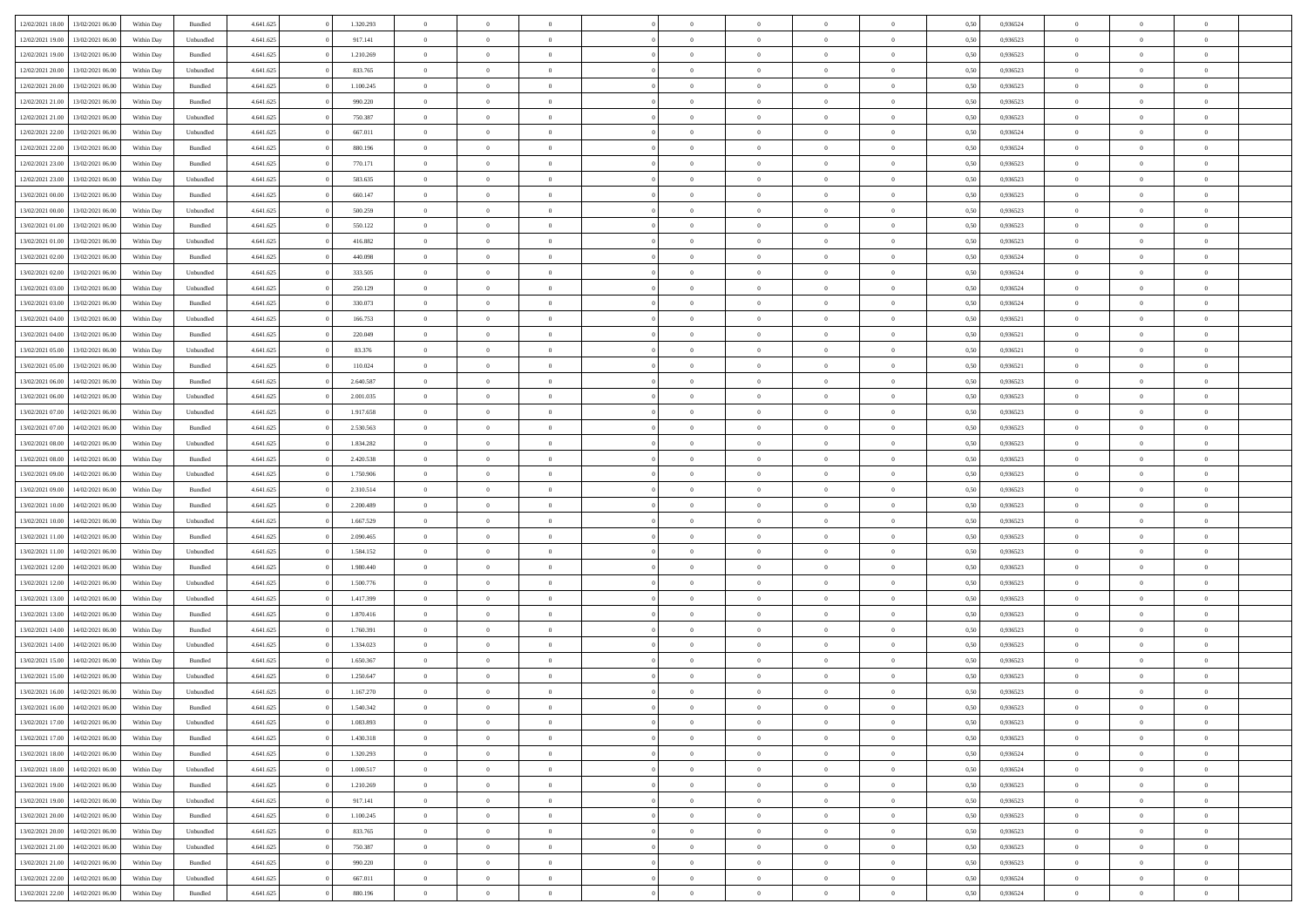| 12/02/2021 18:00 | 13/02/2021 06:00 | Within Day | Bundled            | 4.641.625 | 1.320.293 | $\overline{0}$ | $\Omega$       |                | $\Omega$       | $\Omega$       | $\overline{0}$ | $\theta$       | 0,50 | 0,936524 | $\theta$       | $\theta$       | $\overline{0}$ |  |
|------------------|------------------|------------|--------------------|-----------|-----------|----------------|----------------|----------------|----------------|----------------|----------------|----------------|------|----------|----------------|----------------|----------------|--|
|                  |                  |            |                    |           |           |                |                |                |                |                |                |                |      |          |                |                |                |  |
| 12/02/2021 19:00 | 13/02/2021 06:00 | Within Day | Unbundled          | 4.641.625 | 917.141   | $\overline{0}$ | $\theta$       | $\overline{0}$ | $\overline{0}$ | $\bf{0}$       | $\overline{0}$ | $\,$ 0 $\,$    | 0,50 | 0,936523 | $\theta$       | $\overline{0}$ | $\overline{0}$ |  |
| 12/02/2021 19:00 | 13/02/2021 06:00 | Within Day | Bundled            | 4.641.625 | 1.210.269 | $\overline{0}$ | $\bf{0}$       | $\overline{0}$ | $\overline{0}$ | $\bf{0}$       | $\overline{0}$ | $\mathbf{0}$   | 0,50 | 0,936523 | $\bf{0}$       | $\overline{0}$ | $\bf{0}$       |  |
| 12/02/2021 20:00 | 13/02/2021 06:00 | Within Day | Unbundled          | 4.641.625 | 833.765   | $\overline{0}$ | $\overline{0}$ | $\overline{0}$ | $\overline{0}$ | $\bf{0}$       | $\overline{0}$ | $\overline{0}$ | 0.50 | 0.936523 | $\theta$       | $\theta$       | $\overline{0}$ |  |
| 12/02/2021 20:00 | 13/02/2021 06:00 | Within Day | Bundled            | 4.641.625 | 1.100.245 | $\overline{0}$ | $\theta$       | $\overline{0}$ | $\overline{0}$ | $\bf{0}$       | $\overline{0}$ | $\bf{0}$       | 0,50 | 0,936523 | $\theta$       | $\overline{0}$ | $\overline{0}$ |  |
| 12/02/2021 21:00 | 13/02/2021 06:00 | Within Day | Bundled            | 4.641.625 | 990.220   | $\overline{0}$ | $\overline{0}$ | $\overline{0}$ | $\overline{0}$ | $\overline{0}$ | $\overline{0}$ | $\mathbf{0}$   | 0,50 | 0,936523 | $\bf{0}$       | $\overline{0}$ | $\bf{0}$       |  |
| 12/02/2021 21:00 | 13/02/2021 06:00 | Within Dav | Unbundled          | 4.641.625 | 750.387   | $\overline{0}$ | $\overline{0}$ | $\overline{0}$ | $\overline{0}$ | $\overline{0}$ | $\overline{0}$ | $\overline{0}$ | 0.50 | 0.936523 | $\theta$       | $\overline{0}$ | $\overline{0}$ |  |
|                  |                  |            |                    |           |           |                |                |                |                |                |                |                |      |          |                |                |                |  |
| 12/02/2021 22:00 | 13/02/2021 06:00 | Within Day | Unbundled          | 4.641.625 | 667.011   | $\overline{0}$ | $\theta$       | $\overline{0}$ | $\overline{0}$ | $\bf{0}$       | $\overline{0}$ | $\bf{0}$       | 0,50 | 0,936524 | $\theta$       | $\theta$       | $\overline{0}$ |  |
| 12/02/2021 22:00 | 13/02/2021 06:00 | Within Day | Bundled            | 4.641.625 | 880.196   | $\overline{0}$ | $\overline{0}$ | $\overline{0}$ | $\bf{0}$       | $\bf{0}$       | $\bf{0}$       | $\mathbf{0}$   | 0,50 | 0,936524 | $\,0\,$        | $\overline{0}$ | $\overline{0}$ |  |
| 12/02/2021 23:00 | 13/02/2021 06:00 | Within Dav | Bundled            | 4.641.625 | 770.171   | $\overline{0}$ | $\overline{0}$ | $\overline{0}$ | $\overline{0}$ | $\overline{0}$ | $\overline{0}$ | $\overline{0}$ | 0.50 | 0.936523 | $\theta$       | $\overline{0}$ | $\overline{0}$ |  |
| 12/02/2021 23:00 | 13/02/2021 06:00 | Within Day | Unbundled          | 4.641.625 | 583.635   | $\overline{0}$ | $\theta$       | $\overline{0}$ | $\overline{0}$ | $\bf{0}$       | $\overline{0}$ | $\bf{0}$       | 0,50 | 0,936523 | $\,$ 0 $\,$    | $\overline{0}$ | $\overline{0}$ |  |
| 13/02/2021 00:00 | 13/02/2021 06:00 | Within Day | Bundled            | 4.641.625 | 660.147   | $\overline{0}$ | $\overline{0}$ | $\overline{0}$ | $\bf{0}$       | $\bf{0}$       | $\bf{0}$       | $\mathbf{0}$   | 0,50 | 0,936523 | $\overline{0}$ | $\overline{0}$ | $\bf{0}$       |  |
| 13/02/2021 00:00 | 13/02/2021 06:00 | Within Day | Unbundled          | 4.641.625 | 500.259   | $\overline{0}$ | $\overline{0}$ | $\overline{0}$ | $\overline{0}$ | $\bf{0}$       | $\overline{0}$ | $\overline{0}$ | 0.50 | 0.936523 | $\theta$       | $\theta$       | $\overline{0}$ |  |
|                  |                  |            |                    |           |           | $\overline{0}$ | $\theta$       | $\overline{0}$ | $\overline{0}$ | $\bf{0}$       | $\overline{0}$ |                |      |          | $\theta$       | $\overline{0}$ | $\overline{0}$ |  |
| 13/02/2021 01:00 | 13/02/2021 06:00 | Within Day | Bundled            | 4.641.625 | 550.122   |                |                |                |                |                |                | $\bf{0}$       | 0,50 | 0,936523 |                |                |                |  |
| 13/02/2021 01:00 | 13/02/2021 06:00 | Within Day | Unbundled          | 4.641.625 | 416.882   | $\overline{0}$ | $\overline{0}$ | $\overline{0}$ | $\bf{0}$       | $\overline{0}$ | $\overline{0}$ | $\mathbf{0}$   | 0,50 | 0,936523 | $\overline{0}$ | $\overline{0}$ | $\bf{0}$       |  |
| 13/02/2021 02:00 | 13/02/2021 06:00 | Within Dav | Bundled            | 4.641.625 | 440.098   | $\overline{0}$ | $\overline{0}$ | $\overline{0}$ | $\overline{0}$ | $\overline{0}$ | $\overline{0}$ | $\overline{0}$ | 0.50 | 0,936524 | $\theta$       | $\overline{0}$ | $\overline{0}$ |  |
| 13/02/2021 02:00 | 13/02/2021 06:00 | Within Day | Unbundled          | 4.641.625 | 333.505   | $\overline{0}$ | $\theta$       | $\overline{0}$ | $\overline{0}$ | $\bf{0}$       | $\overline{0}$ | $\bf{0}$       | 0,50 | 0,936524 | $\theta$       | $\theta$       | $\overline{0}$ |  |
| 13/02/2021 03:00 | 13/02/2021 06:00 | Within Day | Unbundled          | 4.641.625 | 250.129   | $\overline{0}$ | $\overline{0}$ | $\overline{0}$ | $\bf{0}$       | $\bf{0}$       | $\bf{0}$       | $\mathbf{0}$   | 0,50 | 0,936524 | $\,0\,$        | $\overline{0}$ | $\bf{0}$       |  |
| 13/02/2021 03:00 | 13/02/2021 06:00 | Within Day | Bundled            | 4.641.625 | 330.073   | $\overline{0}$ | $\overline{0}$ | $\overline{0}$ | $\overline{0}$ | $\overline{0}$ | $\overline{0}$ | $\overline{0}$ | 0.50 | 0,936524 | $\theta$       | $\overline{0}$ | $\overline{0}$ |  |
| 13/02/2021 04:00 | 13/02/2021 06:00 | Within Day | Unbundled          | 4.641.625 | 166.753   | $\overline{0}$ | $\theta$       | $\overline{0}$ | $\overline{0}$ | $\bf{0}$       | $\overline{0}$ | $\bf{0}$       | 0,50 | 0,936521 | $\,$ 0 $\,$    | $\overline{0}$ | $\overline{0}$ |  |
|                  |                  |            |                    |           |           |                |                |                |                |                |                |                |      |          |                |                |                |  |
| 13/02/2021 04:00 | 13/02/2021 06:00 | Within Day | Bundled            | 4.641.625 | 220.049   | $\overline{0}$ | $\overline{0}$ | $\overline{0}$ | $\bf{0}$       | $\bf{0}$       | $\bf{0}$       | $\mathbf{0}$   | 0,50 | 0,936521 | $\bf{0}$       | $\overline{0}$ | $\bf{0}$       |  |
| 13/02/2021 05:00 | 13/02/2021 06:00 | Within Day | Unbundled          | 4.641.625 | 83.376    | $\overline{0}$ | $\overline{0}$ | $\overline{0}$ | $\overline{0}$ | $\overline{0}$ | $\overline{0}$ | $\overline{0}$ | 0.50 | 0.936521 | $\theta$       | $\overline{0}$ | $\overline{0}$ |  |
| 13/02/2021 05:00 | 13/02/2021 06:00 | Within Day | Bundled            | 4.641.625 | 110.024   | $\overline{0}$ | $\theta$       | $\overline{0}$ | $\overline{0}$ | $\bf{0}$       | $\overline{0}$ | $\,$ 0 $\,$    | 0,50 | 0,936521 | $\,$ 0 $\,$    | $\overline{0}$ | $\overline{0}$ |  |
| 13/02/2021 06:00 | 14/02/2021 06:00 | Within Day | Bundled            | 4.641.625 | 2.640.587 | $\overline{0}$ | $\overline{0}$ | $\overline{0}$ | $\bf{0}$       | $\overline{0}$ | $\overline{0}$ | $\mathbf{0}$   | 0,50 | 0,936523 | $\overline{0}$ | $\overline{0}$ | $\bf{0}$       |  |
| 13/02/2021 06:00 | 14/02/2021 06:00 | Within Dav | Unbundled          | 4.641.625 | 2.001.035 | $\overline{0}$ | $\overline{0}$ | $\overline{0}$ | $\overline{0}$ | $\overline{0}$ | $\overline{0}$ | $\overline{0}$ | 0.50 | 0.936523 | $\theta$       | $\overline{0}$ | $\overline{0}$ |  |
| 13/02/2021 07:00 | 14/02/2021 06:00 | Within Day | Unbundled          | 4.641.625 | 1.917.658 | $\overline{0}$ | $\theta$       | $\overline{0}$ | $\overline{0}$ | $\bf{0}$       | $\overline{0}$ | $\bf{0}$       | 0,50 | 0,936523 | $\theta$       | $\theta$       | $\overline{0}$ |  |
|                  |                  |            |                    |           |           |                |                |                |                |                |                |                |      |          |                |                |                |  |
| 13/02/2021 07:00 | 14/02/2021 06:00 | Within Day | Bundled            | 4.641.625 | 2.530.563 | $\overline{0}$ | $\overline{0}$ | $\overline{0}$ | $\bf{0}$       | $\bf{0}$       | $\bf{0}$       | $\mathbf{0}$   | 0,50 | 0,936523 | $\,0\,$        | $\overline{0}$ | $\overline{0}$ |  |
| 13/02/2021 08:00 | 14/02/2021 06:00 | Within Day | Unbundled          | 4.641.625 | 1.834.282 | $\overline{0}$ | $\overline{0}$ | $\overline{0}$ | $\overline{0}$ | $\overline{0}$ | $\overline{0}$ | $\overline{0}$ | 0.50 | 0.936523 | $\theta$       | $\overline{0}$ | $\overline{0}$ |  |
| 13/02/2021 08:00 | 14/02/2021 06:00 | Within Day | Bundled            | 4.641.625 | 2.420.538 | $\overline{0}$ | $\theta$       | $\overline{0}$ | $\overline{0}$ | $\bf{0}$       | $\overline{0}$ | $\bf{0}$       | 0,50 | 0,936523 | $\,$ 0 $\,$    | $\overline{0}$ | $\overline{0}$ |  |
| 13/02/2021 09:00 | 14/02/2021 06:00 | Within Day | Unbundled          | 4.641.625 | 1.750.906 | $\overline{0}$ | $\bf{0}$       | $\overline{0}$ | $\bf{0}$       | $\bf{0}$       | $\bf{0}$       | $\mathbf{0}$   | 0,50 | 0,936523 | $\overline{0}$ | $\overline{0}$ | $\bf{0}$       |  |
| 13/02/2021 09:00 | 14/02/2021 06:00 | Within Day | Bundled            | 4.641.625 | 2.310.514 | $\overline{0}$ | $\Omega$       | $\overline{0}$ | $\Omega$       | $\bf{0}$       | $\overline{0}$ | $\overline{0}$ | 0,50 | 0,936523 | $\,0\,$        | $\theta$       | $\theta$       |  |
| 13/02/2021 10:00 | 14/02/2021 06:00 | Within Day | Bundled            | 4.641.625 | 2.200.489 | $\overline{0}$ | $\theta$       | $\overline{0}$ | $\overline{0}$ | $\bf{0}$       | $\overline{0}$ | $\bf{0}$       | 0,50 | 0,936523 | $\theta$       | $\overline{0}$ | $\overline{0}$ |  |
| 13/02/2021 10:00 | 14/02/2021 06:00 | Within Day | Unbundled          | 4.641.625 | 1.667.529 | $\overline{0}$ | $\overline{0}$ | $\overline{0}$ | $\bf{0}$       | $\overline{0}$ | $\overline{0}$ | $\mathbf{0}$   | 0,50 | 0,936523 | $\overline{0}$ | $\overline{0}$ | $\bf{0}$       |  |
|                  |                  |            |                    |           |           |                |                |                |                |                |                |                |      |          |                |                |                |  |
| 13/02/2021 11:00 | 14/02/2021 06:00 | Within Day | Bundled            | 4.641.625 | 2.090.465 | $\overline{0}$ | $\Omega$       | $\Omega$       | $\Omega$       | $\overline{0}$ | $\overline{0}$ | $\overline{0}$ | 0.50 | 0.936523 | $\,0\,$        | $\theta$       | $\theta$       |  |
| 13/02/2021 11:00 | 14/02/2021 06:00 | Within Day | Unbundled          | 4.641.625 | 1.584.152 | $\overline{0}$ | $\theta$       | $\overline{0}$ | $\overline{0}$ | $\bf{0}$       | $\overline{0}$ | $\bf{0}$       | 0,50 | 0,936523 | $\theta$       | $\overline{0}$ | $\overline{0}$ |  |
| 13/02/2021 12:00 | 14/02/2021 06:00 | Within Day | Bundled            | 4.641.625 | 1.980.440 | $\overline{0}$ | $\overline{0}$ | $\overline{0}$ | $\bf{0}$       | $\bf{0}$       | $\bf{0}$       | $\mathbf{0}$   | 0,50 | 0,936523 | $\bf{0}$       | $\overline{0}$ | $\bf{0}$       |  |
| 13/02/2021 12:00 | 14/02/2021 06:00 | Within Day | Unbundled          | 4.641.625 | 1.500.776 | $\overline{0}$ | $\Omega$       | $\overline{0}$ | $\Omega$       | $\overline{0}$ | $\overline{0}$ | $\overline{0}$ | 0.50 | 0.936523 | $\,$ 0 $\,$    | $\theta$       | $\theta$       |  |
| 13/02/2021 13:00 | 14/02/2021 06:00 | Within Day | Unbundled          | 4.641.625 | 1.417.399 | $\overline{0}$ | $\theta$       | $\overline{0}$ | $\overline{0}$ | $\,$ 0         | $\overline{0}$ | $\bf{0}$       | 0,50 | 0,936523 | $\,$ 0 $\,$    | $\overline{0}$ | $\overline{0}$ |  |
| 13/02/2021 13:00 | 14/02/2021 06:00 | Within Day | Bundled            | 4.641.625 | 1.870.416 | $\overline{0}$ | $\overline{0}$ | $\overline{0}$ | $\bf{0}$       | $\bf{0}$       | $\bf{0}$       | $\mathbf{0}$   | 0,50 | 0,936523 | $\overline{0}$ | $\overline{0}$ | $\bf{0}$       |  |
|                  |                  |            |                    |           |           | $\overline{0}$ | $\Omega$       |                | $\Omega$       | $\bf{0}$       |                |                |      |          |                | $\theta$       | $\theta$       |  |
| 13/02/2021 14:00 | 14/02/2021 06:00 | Within Day | Bundled            | 4.641.625 | 1.760.391 |                |                | $\overline{0}$ |                |                | $\overline{0}$ | $\overline{0}$ | 0,50 | 0,936523 | $\,0\,$        |                |                |  |
| 13/02/2021 14:00 | 14/02/2021 06:00 | Within Day | Unbundled          | 4.641.625 | 1.334.023 | $\overline{0}$ | $\overline{0}$ | $\overline{0}$ | $\overline{0}$ | $\,$ 0         | $\overline{0}$ | $\bf{0}$       | 0,50 | 0,936523 | $\,$ 0 $\,$    | $\overline{0}$ | $\overline{0}$ |  |
| 13/02/2021 15:00 | 14/02/2021 06:00 | Within Day | Bundled            | 4.641.625 | 1.650.367 | $\overline{0}$ | $\overline{0}$ | $\overline{0}$ | $\bf{0}$       | $\overline{0}$ | $\overline{0}$ | $\mathbf{0}$   | 0,50 | 0,936523 | $\overline{0}$ | $\overline{0}$ | $\bf{0}$       |  |
| 13/02/2021 15:00 | 14/02/2021 06.00 | Within Day | Unbundled          | 4.641.625 | 1.250.647 | $\overline{0}$ | $\Omega$       | $\Omega$       | $\Omega$       | $\Omega$       | $\overline{0}$ | $\overline{0}$ | 0.50 | 0.936523 | $\theta$       | $\theta$       | $\theta$       |  |
| 13/02/2021 16:00 | 14/02/2021 06:00 | Within Day | Unbundled          | 4.641.625 | 1.167.270 | $\overline{0}$ | $\overline{0}$ | $\overline{0}$ | $\bf{0}$       | $\,$ 0         | $\bf{0}$       | $\bf{0}$       | 0,50 | 0,936523 | $\,0\,$        | $\,$ 0 $\,$    | $\overline{0}$ |  |
| 13/02/2021 16:00 | 14/02/2021 06:00 | Within Day | $\mathbf B$ undled | 4.641.625 | 1.540.342 | $\bf{0}$       | $\bf{0}$       |                |                | $\bf{0}$       |                |                | 0,50 | 0,936523 | $\bf{0}$       | $\overline{0}$ |                |  |
| 13/02/2021 17:00 | 14/02/2021 06:00 | Within Day | Unbundled          | 4.641.625 | 1.083.893 | $\overline{0}$ | $\overline{0}$ | $\overline{0}$ | $\Omega$       | $\overline{0}$ | $\overline{0}$ | $\overline{0}$ | 0.50 | 0.936523 | $\theta$       | $\theta$       | $\theta$       |  |
| 13/02/2021 17:00 | 14/02/2021 06:00 | Within Day | Bundled            | 4.641.625 | 1.430.318 | $\overline{0}$ | $\,$ 0         | $\overline{0}$ | $\bf{0}$       | $\,$ 0 $\,$    | $\overline{0}$ | $\mathbf{0}$   | 0,50 | 0,936523 | $\,$ 0 $\,$    | $\,$ 0 $\,$    | $\,$ 0         |  |
|                  |                  |            |                    |           |           |                |                |                |                |                |                |                |      |          |                |                |                |  |
| 13/02/2021 18:00 | 14/02/2021 06:00 | Within Day | Bundled            | 4.641.625 | 1.320.293 | $\overline{0}$ | $\overline{0}$ | $\overline{0}$ | $\overline{0}$ | $\overline{0}$ | $\overline{0}$ | $\mathbf{0}$   | 0,50 | 0,936524 | $\overline{0}$ | $\bf{0}$       | $\bf{0}$       |  |
| 13/02/2021 18:00 | 14/02/2021 06:00 | Within Day | Unbundled          | 4.641.625 | 1.000.517 | $\overline{0}$ | $\overline{0}$ | $\overline{0}$ | $\Omega$       | $\overline{0}$ | $\overline{0}$ | $\overline{0}$ | 0,50 | 0,936524 | $\overline{0}$ | $\theta$       | $\overline{0}$ |  |
| 13/02/2021 19:00 | 14/02/2021 06:00 | Within Day | Bundled            | 4.641.625 | 1.210.269 | $\overline{0}$ | $\,$ 0         | $\overline{0}$ | $\overline{0}$ | $\,$ 0 $\,$    | $\overline{0}$ | $\mathbf{0}$   | 0,50 | 0,936523 | $\,$ 0 $\,$    | $\overline{0}$ | $\overline{0}$ |  |
| 13/02/2021 19:00 | 14/02/2021 06:00 | Within Day | Unbundled          | 4.641.625 | 917.141   | $\overline{0}$ | $\overline{0}$ | $\overline{0}$ | $\overline{0}$ | $\overline{0}$ | $\overline{0}$ | $\mathbf{0}$   | 0,50 | 0,936523 | $\overline{0}$ | $\overline{0}$ | $\bf{0}$       |  |
| 13/02/2021 20:00 | 14/02/2021 06:00 | Within Day | Bundled            | 4.641.625 | 1.100.245 | $\overline{0}$ | $\overline{0}$ | $\overline{0}$ | $\Omega$       | $\overline{0}$ | $\overline{0}$ | $\bf{0}$       | 0.50 | 0,936523 | $\overline{0}$ | $\theta$       | $\overline{0}$ |  |
| 13/02/2021 20:00 | 14/02/2021 06:00 | Within Day | Unbundled          | 4.641.625 | 833.765   | $\overline{0}$ | $\,$ 0         | $\overline{0}$ | $\bf{0}$       | $\bf{0}$       | $\bf{0}$       | $\bf{0}$       | 0,50 | 0,936523 | $\,$ 0 $\,$    | $\overline{0}$ | $\overline{0}$ |  |
|                  |                  |            |                    |           |           |                |                |                |                |                |                |                |      |          |                |                |                |  |
| 13/02/2021 21:00 | 14/02/2021 06:00 | Within Day | Unbundled          | 4.641.625 | 750.387   | $\overline{0}$ | $\bf{0}$       | $\overline{0}$ | $\overline{0}$ | $\overline{0}$ | $\overline{0}$ | $\mathbf{0}$   | 0,50 | 0,936523 | $\overline{0}$ | $\overline{0}$ | $\bf{0}$       |  |
| 13/02/2021 21:00 | 14/02/2021 06:00 | Within Day | Bundled            | 4.641.625 | 990.220   | $\overline{0}$ | $\overline{0}$ | $\overline{0}$ | $\Omega$       | $\overline{0}$ | $\overline{0}$ | $\bf{0}$       | 0.50 | 0.936523 | $\overline{0}$ | $\theta$       | $\overline{0}$ |  |
| 13/02/2021 22:00 | 14/02/2021 06:00 | Within Day | Unbundled          | 4.641.625 | 667.011   | $\overline{0}$ | $\bf{0}$       | $\overline{0}$ | $\overline{0}$ | $\bf{0}$       | $\bf{0}$       | $\mathbf{0}$   | 0,50 | 0,936524 | $\,$ 0 $\,$    | $\,$ 0 $\,$    | $\bf{0}$       |  |
| 13/02/2021 22.00 | 14/02/2021 06:00 | Within Day | Bundled            | 4.641.625 | 880.196   | $\overline{0}$ | $\overline{0}$ | $\overline{0}$ | $\overline{0}$ | $\bf{0}$       | $\bf{0}$       | $\mathbf{0}$   | 0,50 | 0,936524 | $\overline{0}$ | $\bf{0}$       | $\bf{0}$       |  |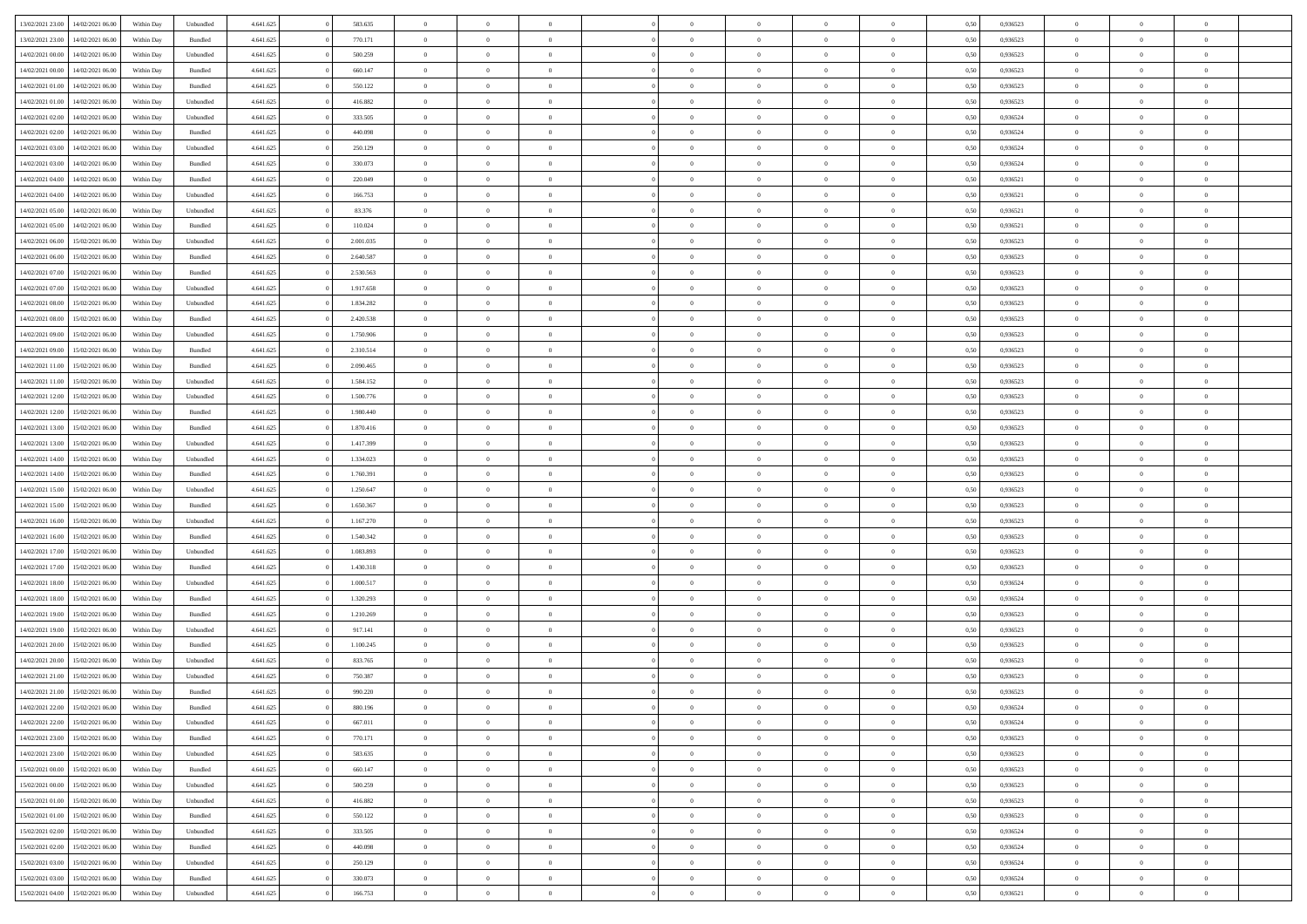|                  |                  |            |                    |           |           | $\overline{0}$ |                |                |                | $\Omega$       |                | $\theta$       |      |          | $\theta$       | $\overline{0}$ |                |  |
|------------------|------------------|------------|--------------------|-----------|-----------|----------------|----------------|----------------|----------------|----------------|----------------|----------------|------|----------|----------------|----------------|----------------|--|
| 13/02/2021 23:00 | 14/02/2021 06:00 | Within Day | Unbundled          | 4.641.625 | 583.635   |                | $\theta$       |                | $\Omega$       |                | $\overline{0}$ |                | 0.50 | 0.936523 |                |                | $\overline{0}$ |  |
| 13/02/2021 23:00 | 14/02/2021 06:00 | Within Day | Bundled            | 4.641.625 | 770.171   | $\overline{0}$ | $\overline{0}$ | $\overline{0}$ | $\overline{0}$ | $\bf{0}$       | $\overline{0}$ | $\bf{0}$       | 0,50 | 0,936523 | $\theta$       | $\overline{0}$ | $\overline{0}$ |  |
| 14/02/2021 00:00 | 14/02/2021 06:00 | Within Day | Unbundled          | 4.641.625 | 500.259   | $\overline{0}$ | $\bf{0}$       | $\overline{0}$ | $\bf{0}$       | $\bf{0}$       | $\bf{0}$       | $\mathbf{0}$   | 0,50 | 0,936523 | $\overline{0}$ | $\overline{0}$ | $\bf{0}$       |  |
| 14/02/2021 00:00 | 14/02/2021 06:00 | Within Dav | Bundled            | 4.641.625 | 660.147   | $\overline{0}$ | $\overline{0}$ | $\overline{0}$ | $\overline{0}$ | $\bf{0}$       | $\overline{0}$ | $\overline{0}$ | 0.50 | 0.936523 | $\theta$       | $\theta$       | $\overline{0}$ |  |
|                  |                  |            |                    |           |           |                |                |                |                |                |                |                |      |          |                |                |                |  |
| 14/02/2021 01:00 | 14/02/2021 06:00 | Within Day | Bundled            | 4.641.625 | 550.122   | $\overline{0}$ | $\theta$       | $\overline{0}$ | $\overline{0}$ | $\bf{0}$       | $\overline{0}$ | $\bf{0}$       | 0,50 | 0,936523 | $\theta$       | $\overline{0}$ | $\overline{0}$ |  |
| 14/02/2021 01:00 | 14/02/2021 06:00 | Within Day | Unbundled          | 4.641.625 | 416.882   | $\overline{0}$ | $\overline{0}$ | $\overline{0}$ | $\bf{0}$       | $\overline{0}$ | $\overline{0}$ | $\mathbf{0}$   | 0,50 | 0,936523 | $\overline{0}$ | $\overline{0}$ | $\bf{0}$       |  |
| 14/02/2021 02:00 | 14/02/2021 06:00 | Within Dav | Unbundled          | 4.641.625 | 333.505   | $\overline{0}$ | $\overline{0}$ | $\overline{0}$ | $\overline{0}$ | $\overline{0}$ | $\overline{0}$ | $\overline{0}$ | 0.50 | 0,936524 | $\theta$       | $\overline{0}$ | $\overline{0}$ |  |
| 14/02/2021 02:00 | 14/02/2021 06:00 | Within Day | Bundled            | 4.641.625 | 440.098   | $\overline{0}$ | $\theta$       | $\overline{0}$ | $\overline{0}$ | $\bf{0}$       | $\overline{0}$ | $\bf{0}$       | 0,50 | 0,936524 | $\theta$       | $\theta$       | $\overline{0}$ |  |
|                  |                  |            |                    |           |           |                | $\overline{0}$ |                |                | $\bf{0}$       |                |                |      |          | $\,0\,$        | $\overline{0}$ | $\overline{0}$ |  |
| 14/02/2021 03:00 | 14/02/2021 06:00 | Within Day | Unbundled          | 4.641.625 | 250.129   | $\overline{0}$ |                | $\overline{0}$ | $\bf{0}$       |                | $\bf{0}$       | $\mathbf{0}$   | 0,50 | 0,936524 |                |                |                |  |
| 14/02/2021 03:00 | 14/02/2021 06:00 | Within Dav | Bundled            | 4.641.625 | 330.073   | $\overline{0}$ | $\overline{0}$ | $\overline{0}$ | $\overline{0}$ | $\overline{0}$ | $\overline{0}$ | $\overline{0}$ | 0.50 | 0,936524 | $\theta$       | $\overline{0}$ | $\overline{0}$ |  |
| 14/02/2021 04:00 | 14/02/2021 06:00 | Within Day | Bundled            | 4.641.625 | 220.049   | $\overline{0}$ | $\theta$       | $\overline{0}$ | $\overline{0}$ | $\bf{0}$       | $\overline{0}$ | $\bf{0}$       | 0,50 | 0,936521 | $\,$ 0 $\,$    | $\overline{0}$ | $\overline{0}$ |  |
| 14/02/2021 04:00 | 14/02/2021 06:00 | Within Day | Unbundled          | 4.641.625 | 166.753   | $\overline{0}$ | $\overline{0}$ | $\overline{0}$ | $\bf{0}$       | $\bf{0}$       | $\bf{0}$       | $\mathbf{0}$   | 0,50 | 0,936521 | $\overline{0}$ | $\overline{0}$ | $\bf{0}$       |  |
| 14/02/2021 05:00 | 14/02/2021 06:00 | Within Day | Unbundled          | 4.641.625 | 83.376    | $\overline{0}$ | $\overline{0}$ | $\overline{0}$ | $\overline{0}$ | $\bf{0}$       | $\overline{0}$ | $\overline{0}$ | 0.50 | 0,936521 | $\theta$       | $\theta$       | $\overline{0}$ |  |
|                  |                  |            |                    |           |           | $\overline{0}$ | $\theta$       | $\overline{0}$ | $\overline{0}$ | $\bf{0}$       | $\overline{0}$ |                |      |          | $\theta$       | $\overline{0}$ | $\overline{0}$ |  |
| 14/02/2021 05:00 | 14/02/2021 06:00 | Within Day | Bundled            | 4.641.625 | 110.024   |                |                |                |                |                |                | $\bf{0}$       | 0,50 | 0,936521 |                |                |                |  |
| 14/02/2021 06:00 | 15/02/2021 06:00 | Within Day | Unbundled          | 4.641.625 | 2.001.035 | $\overline{0}$ | $\overline{0}$ | $\overline{0}$ | $\bf{0}$       | $\overline{0}$ | $\overline{0}$ | $\mathbf{0}$   | 0,50 | 0,936523 | $\overline{0}$ | $\overline{0}$ | $\bf{0}$       |  |
| 14/02/2021 06:00 | 15/02/2021 06:00 | Within Dav | Bundled            | 4.641.625 | 2.640.587 | $\overline{0}$ | $\overline{0}$ | $\overline{0}$ | $\overline{0}$ | $\overline{0}$ | $\overline{0}$ | $\overline{0}$ | 0.50 | 0.936523 | $\theta$       | $\overline{0}$ | $\overline{0}$ |  |
| 14/02/2021 07:00 | 15/02/2021 06:00 | Within Day | Bundled            | 4.641.625 | 2.530.563 | $\overline{0}$ | $\theta$       | $\overline{0}$ | $\overline{0}$ | $\bf{0}$       | $\overline{0}$ | $\bf{0}$       | 0,50 | 0,936523 | $\theta$       | $\theta$       | $\overline{0}$ |  |
| 14/02/2021 07:00 | 15/02/2021 06:00 | Within Day | Unbundled          | 4.641.625 | 1.917.658 | $\overline{0}$ | $\overline{0}$ | $\overline{0}$ | $\bf{0}$       | $\bf{0}$       | $\bf{0}$       | $\mathbf{0}$   | 0,50 | 0,936523 | $\,0\,$        | $\overline{0}$ | $\bf{0}$       |  |
|                  |                  |            |                    |           |           |                |                |                |                |                |                |                |      |          |                |                |                |  |
| 14/02/2021 08:00 | 15/02/2021 06:00 | Within Day | Unbundled          | 4.641.625 | 1.834.282 | $\overline{0}$ | $\overline{0}$ | $\overline{0}$ | $\overline{0}$ | $\overline{0}$ | $\overline{0}$ | $\overline{0}$ | 0.50 | 0.936523 | $\theta$       | $\overline{0}$ | $\overline{0}$ |  |
| 14/02/2021 08:00 | 15/02/2021 06:00 | Within Day | Bundled            | 4.641.625 | 2.420.538 | $\overline{0}$ | $\theta$       | $\overline{0}$ | $\overline{0}$ | $\bf{0}$       | $\overline{0}$ | $\bf{0}$       | 0,50 | 0,936523 | $\,$ 0 $\,$    | $\overline{0}$ | $\overline{0}$ |  |
| 14/02/2021 09:00 | 15/02/2021 06:00 | Within Day | Unbundled          | 4.641.625 | 1.750.906 | $\overline{0}$ | $\overline{0}$ | $\overline{0}$ | $\bf{0}$       | $\bf{0}$       | $\bf{0}$       | $\mathbf{0}$   | 0,50 | 0,936523 | $\overline{0}$ | $\overline{0}$ | $\bf{0}$       |  |
| 14/02/2021 09:00 | 15/02/2021 06:00 | Within Day | Bundled            | 4.641.625 | 2.310.514 | $\overline{0}$ | $\overline{0}$ | $\overline{0}$ | $\overline{0}$ | $\overline{0}$ | $\overline{0}$ | $\overline{0}$ | 0.50 | 0.936523 | $\theta$       | $\overline{0}$ | $\overline{0}$ |  |
| 14/02/2021 11:00 | 15/02/2021 06:00 | Within Day | Bundled            | 4.641.625 | 2.090.465 | $\overline{0}$ | $\theta$       | $\overline{0}$ | $\overline{0}$ | $\bf{0}$       | $\overline{0}$ | $\,$ 0 $\,$    | 0,50 | 0,936523 | $\,$ 0 $\,$    | $\overline{0}$ | $\overline{0}$ |  |
|                  |                  |            |                    |           |           |                |                |                |                |                |                |                |      |          |                |                |                |  |
| 14/02/2021 11:00 | 15/02/2021 06:00 | Within Day | Unbundled          | 4.641.625 | 1.584.152 | $\overline{0}$ | $\overline{0}$ | $\overline{0}$ | $\bf{0}$       | $\overline{0}$ | $\overline{0}$ | $\mathbf{0}$   | 0,50 | 0,936523 | $\overline{0}$ | $\overline{0}$ | $\bf{0}$       |  |
| 14/02/2021 12:00 | 15/02/2021 06:00 | Within Dav | Unbundled          | 4.641.625 | 1.500.776 | $\overline{0}$ | $\overline{0}$ | $\overline{0}$ | $\overline{0}$ | $\overline{0}$ | $\overline{0}$ | $\overline{0}$ | 0.50 | 0.936523 | $\theta$       | $\overline{0}$ | $\overline{0}$ |  |
| 14/02/2021 12:00 | 15/02/2021 06:00 | Within Day | Bundled            | 4.641.625 | 1.980.440 | $\overline{0}$ | $\theta$       | $\overline{0}$ | $\overline{0}$ | $\bf{0}$       | $\overline{0}$ | $\bf{0}$       | 0,50 | 0,936523 | $\theta$       | $\theta$       | $\overline{0}$ |  |
| 14/02/2021 13:00 | 15/02/2021 06:00 | Within Day | Bundled            | 4.641.625 | 1.870.416 | $\overline{0}$ | $\overline{0}$ | $\overline{0}$ | $\bf{0}$       | $\bf{0}$       | $\bf{0}$       | $\mathbf{0}$   | 0,50 | 0,936523 | $\,0\,$        | $\overline{0}$ | $\overline{0}$ |  |
|                  | 15/02/2021 06:00 |            | Unbundled          | 4.641.625 | 1.417.399 | $\overline{0}$ | $\overline{0}$ | $\overline{0}$ | $\overline{0}$ | $\overline{0}$ | $\overline{0}$ | $\overline{0}$ | 0.50 | 0.936523 | $\theta$       | $\overline{0}$ | $\overline{0}$ |  |
| 14/02/2021 13:00 |                  | Within Day |                    |           |           |                |                |                |                |                |                |                |      |          |                |                |                |  |
| 14/02/2021 14:00 | 15/02/2021 06:00 | Within Day | Unbundled          | 4.641.625 | 1.334.023 | $\overline{0}$ | $\theta$       | $\overline{0}$ | $\overline{0}$ | $\bf{0}$       | $\overline{0}$ | $\bf{0}$       | 0,50 | 0,936523 | $\,$ 0 $\,$    | $\overline{0}$ | $\overline{0}$ |  |
| 14/02/2021 14:00 | 15/02/2021 06:00 | Within Day | Bundled            | 4.641.625 | 1.760.391 | $\overline{0}$ | $\bf{0}$       | $\overline{0}$ | $\bf{0}$       | $\bf{0}$       | $\bf{0}$       | $\bf{0}$       | 0,50 | 0,936523 | $\bf{0}$       | $\overline{0}$ | $\bf{0}$       |  |
| 14/02/2021 15:00 | 15/02/2021 06:00 | Within Day | Unbundled          | 4.641.625 | 1.250.647 | $\bf{0}$       | $\Omega$       | $\overline{0}$ | $\Omega$       | $\bf{0}$       | $\overline{0}$ | $\overline{0}$ | 0,50 | 0,936523 | $\,0\,$        | $\theta$       | $\theta$       |  |
| 14/02/2021 15:00 | 15/02/2021 06:00 | Within Day | Bundled            | 4.641.625 | 1.650.367 | $\overline{0}$ | $\theta$       | $\overline{0}$ | $\overline{0}$ | $\bf{0}$       | $\overline{0}$ | $\bf{0}$       | 0,50 | 0,936523 | $\theta$       | $\overline{0}$ | $\overline{0}$ |  |
|                  |                  |            |                    |           |           |                |                |                |                |                |                |                |      |          |                |                |                |  |
| 14/02/2021 16:00 | 15/02/2021 06:00 | Within Day | Unbundled          | 4.641.625 | 1.167.270 | $\overline{0}$ | $\overline{0}$ | $\overline{0}$ | $\bf{0}$       | $\overline{0}$ | $\overline{0}$ | $\mathbf{0}$   | 0,50 | 0,936523 | $\bf{0}$       | $\overline{0}$ | $\bf{0}$       |  |
| 14/02/2021 16:00 | 15/02/2021 06:00 | Within Day | Bundled            | 4.641.625 | 1.540.342 | $\overline{0}$ | $\Omega$       | $\Omega$       | $\Omega$       | $\overline{0}$ | $\overline{0}$ | $\overline{0}$ | 0.50 | 0.936523 | $\,0\,$        | $\theta$       | $\theta$       |  |
| 14/02/2021 17:00 | 15/02/2021 06:00 | Within Day | Unbundled          | 4.641.625 | 1.083.893 | $\overline{0}$ | $\theta$       | $\overline{0}$ | $\overline{0}$ | $\bf{0}$       | $\overline{0}$ | $\bf{0}$       | 0,50 | 0,936523 | $\theta$       | $\overline{0}$ | $\overline{0}$ |  |
| 14/02/2021 17:00 | 15/02/2021 06:00 | Within Day | Bundled            | 4.641.625 | 1.430.318 | $\overline{0}$ | $\overline{0}$ | $\overline{0}$ | $\bf{0}$       | $\bf{0}$       | $\bf{0}$       | $\mathbf{0}$   | 0,50 | 0,936523 | $\bf{0}$       | $\overline{0}$ | $\bf{0}$       |  |
| 14/02/2021 18:00 | 15/02/2021 06:00 | Within Day | Unbundled          | 4.641.625 | 1.000.517 | $\overline{0}$ | $\Omega$       | $\Omega$       | $\Omega$       | $\overline{0}$ | $\overline{0}$ | $\overline{0}$ | 0.50 | 0.936524 | $\,$ 0 $\,$    | $\theta$       | $\theta$       |  |
|                  |                  |            |                    |           |           |                |                |                |                |                |                |                |      |          |                |                |                |  |
| 14/02/2021 18:00 | 15/02/2021 06:00 | Within Day | Bundled            | 4.641.625 | 1.320.293 | $\overline{0}$ | $\theta$       | $\overline{0}$ | $\overline{0}$ | $\,$ 0         | $\overline{0}$ | $\bf{0}$       | 0,50 | 0,936524 | $\,$ 0 $\,$    | $\overline{0}$ | $\overline{0}$ |  |
| 14/02/2021 19:00 | 15/02/2021 06:00 | Within Day | Bundled            | 4.641.625 | 1.210.269 | $\overline{0}$ | $\bf{0}$       | $\overline{0}$ | $\bf{0}$       | $\bf{0}$       | $\bf{0}$       | $\mathbf{0}$   | 0,50 | 0,936523 | $\bf{0}$       | $\overline{0}$ | $\bf{0}$       |  |
| 14/02/2021 19:00 | 15/02/2021 06:00 | Within Day | Unbundled          | 4.641.625 | 917.141   | $\overline{0}$ | $\Omega$       | $\overline{0}$ | $\Omega$       | $\bf{0}$       | $\overline{0}$ | $\overline{0}$ | 0,50 | 0,936523 | $\,0\,$        | $\theta$       | $\theta$       |  |
| 14/02/2021 20:00 | 15/02/2021 06:00 | Within Day | Bundled            | 4.641.625 | 1.100.245 | $\overline{0}$ | $\overline{0}$ | $\overline{0}$ | $\overline{0}$ | $\,$ 0         | $\overline{0}$ | $\bf{0}$       | 0,50 | 0,936523 | $\,$ 0 $\,$    | $\overline{0}$ | $\overline{0}$ |  |
| 14/02/2021 20:00 | 15/02/2021 06:00 | Within Day | Unbundled          | 4.641.625 | 833.765   | $\overline{0}$ | $\overline{0}$ | $\overline{0}$ | $\bf{0}$       | $\bf{0}$       | $\overline{0}$ | $\mathbf{0}$   | 0,50 | 0,936523 | $\overline{0}$ | $\overline{0}$ | $\bf{0}$       |  |
|                  |                  |            |                    |           |           |                |                |                |                |                |                |                |      |          |                |                |                |  |
| 14/02/2021 21:00 | 15/02/2021 06:00 | Within Day | Unbundled          | 4.641.625 | 750,387   | $\overline{0}$ | $\Omega$       | $\Omega$       | $\Omega$       | $\Omega$       | $\Omega$       | $\overline{0}$ | 0.50 | 0.936523 | $\theta$       | $\theta$       | $\theta$       |  |
| 14/02/2021 21:00 | 15/02/2021 06:00 | Within Day | Bundled            | 4.641.625 | 990.220   | $\overline{0}$ | $\overline{0}$ | $\overline{0}$ | $\bf{0}$       | $\,$ 0         | $\bf{0}$       | $\bf{0}$       | 0,50 | 0,936523 | $\,0\,$        | $\,0\,$        | $\overline{0}$ |  |
| 14/02/2021 22.00 | 15/02/2021 06:00 | Within Day | $\mathbf B$ undled | 4.641.625 | 880.196   | $\bf{0}$       | $\bf{0}$       |                |                | $\bf{0}$       |                |                | 0,50 | 0,936524 | $\bf{0}$       | $\overline{0}$ |                |  |
| 14/02/2021 22.00 | 15/02/2021 06:00 | Within Day | Unbundled          | 4.641.625 | 667.011   | $\overline{0}$ | $\overline{0}$ | $\overline{0}$ | $\Omega$       | $\overline{0}$ | $\overline{0}$ | $\overline{0}$ | 0.50 | 0.936524 | $\theta$       | $\theta$       | $\theta$       |  |
| 14/02/2021 23:00 | 15/02/2021 06:00 | Within Day | Bundled            | 4.641.625 | 770.171   | $\overline{0}$ | $\bf{0}$       | $\overline{0}$ | $\bf{0}$       | $\,$ 0 $\,$    | $\overline{0}$ | $\,$ 0 $\,$    | 0,50 | 0,936523 | $\,$ 0 $\,$    | $\,$ 0 $\,$    | $\,$ 0         |  |
|                  |                  |            |                    |           |           |                |                |                |                |                |                |                |      |          |                |                |                |  |
| 14/02/2021 23:00 | 15/02/2021 06:00 | Within Day | Unbundled          | 4.641.625 | 583.635   | $\overline{0}$ | $\overline{0}$ | $\overline{0}$ | $\overline{0}$ | $\overline{0}$ | $\overline{0}$ | $\mathbf{0}$   | 0,50 | 0,936523 | $\overline{0}$ | $\bf{0}$       | $\bf{0}$       |  |
| 15/02/2021 00:00 | 15/02/2021 06:00 | Within Day | $\mathbf B$ undled | 4.641.625 | 660.147   | $\overline{0}$ | $\overline{0}$ | $\overline{0}$ | $\Omega$       | $\overline{0}$ | $\overline{0}$ | $\overline{0}$ | 0,50 | 0,936523 | $\overline{0}$ | $\theta$       | $\overline{0}$ |  |
| 15/02/2021 00:00 | 15/02/2021 06:00 | Within Day | Unbundled          | 4.641.625 | 500.259   | $\overline{0}$ | $\,$ 0         | $\overline{0}$ | $\overline{0}$ | $\,$ 0 $\,$    | $\overline{0}$ | $\mathbf{0}$   | 0,50 | 0,936523 | $\,$ 0 $\,$    | $\overline{0}$ | $\overline{0}$ |  |
| 15/02/2021 01:00 | 15/02/2021 06:00 | Within Day | Unbundled          | 4.641.625 | 416.882   | $\overline{0}$ | $\overline{0}$ | $\overline{0}$ | $\overline{0}$ | $\overline{0}$ | $\overline{0}$ | $\mathbf{0}$   | 0,50 | 0,936523 | $\overline{0}$ | $\overline{0}$ | $\bf{0}$       |  |
|                  |                  |            |                    |           |           |                | $\overline{0}$ | $\overline{0}$ | $\Omega$       | $\overline{0}$ | $\overline{0}$ |                | 0.50 |          |                | $\theta$       | $\overline{0}$ |  |
| 15/02/2021 01:00 | 15/02/2021 06:00 | Within Day | Bundled            | 4.641.625 | 550.122   | $\overline{0}$ |                |                |                |                |                | $\bf{0}$       |      | 0,936523 | $\overline{0}$ |                |                |  |
| 15/02/2021 02:00 | 15/02/2021 06:00 | Within Day | Unbundled          | 4.641.625 | 333.505   | $\overline{0}$ | $\,$ 0         | $\overline{0}$ | $\bf{0}$       | $\bf{0}$       | $\bf{0}$       | $\bf{0}$       | 0,50 | 0,936524 | $\,$ 0 $\,$    | $\overline{0}$ | $\overline{0}$ |  |
| 15/02/2021 02:00 | 15/02/2021 06:00 | Within Day | Bundled            | 4.641.625 | 440.098   | $\overline{0}$ | $\bf{0}$       | $\overline{0}$ | $\overline{0}$ | $\overline{0}$ | $\overline{0}$ | $\mathbf{0}$   | 0,50 | 0,936524 | $\overline{0}$ | $\overline{0}$ | $\bf{0}$       |  |
| 15/02/2021 03:00 | 15/02/2021 06:00 | Within Day | Unbundled          | 4.641.625 | 250.129   | $\overline{0}$ | $\overline{0}$ | $\overline{0}$ | $\Omega$       | $\overline{0}$ | $\overline{0}$ | $\overline{0}$ | 0.50 | 0.936524 | $\overline{0}$ | $\overline{0}$ | $\overline{0}$ |  |
| 15/02/2021 03:00 | 15/02/2021 06:00 | Within Day | Bundled            | 4.641.625 | 330.073   | $\overline{0}$ | $\bf{0}$       | $\overline{0}$ | $\overline{0}$ | $\bf{0}$       | $\bf{0}$       | $\mathbf{0}$   | 0,50 | 0,936524 | $\,$ 0 $\,$    | $\,$ 0 $\,$    | $\bf{0}$       |  |
|                  |                  |            |                    |           |           |                |                |                |                |                |                |                |      |          |                |                |                |  |
| 15/02/2021 04:00 | 15/02/2021 06:00 | Within Day | Unbundled          | 4.641.625 | 166.753   | $\overline{0}$ | $\overline{0}$ | $\overline{0}$ | $\overline{0}$ | $\overline{0}$ | $\bf{0}$       | $\mathbf{0}$   | 0,50 | 0,936521 | $\overline{0}$ | $\bf{0}$       | $\bf{0}$       |  |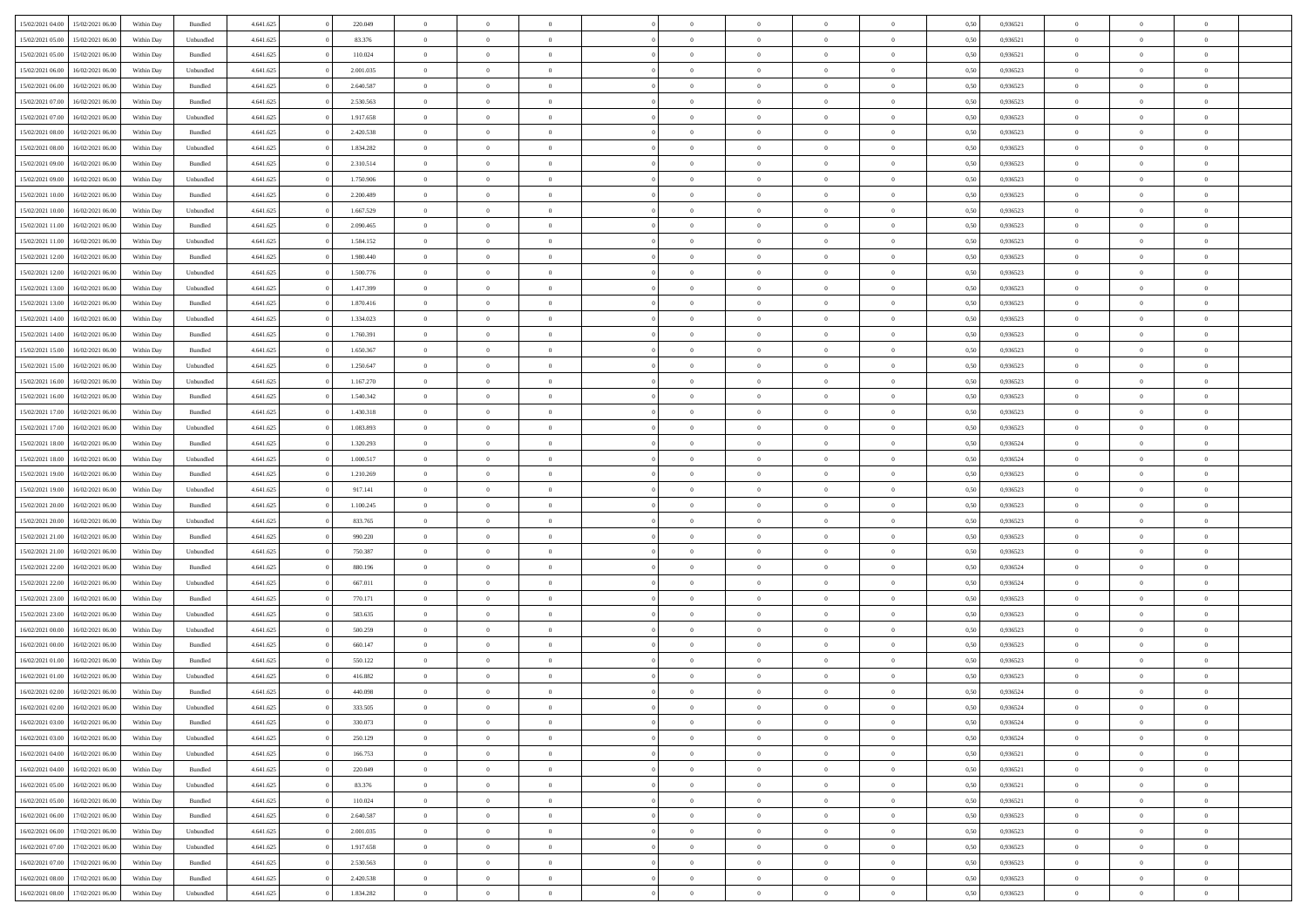|                  |                  |            |           |           |           | $\overline{0}$ | $\Omega$       |                |                | $\Omega$       | $\theta$       | $\theta$       |      |          | $\theta$       |                |                |  |
|------------------|------------------|------------|-----------|-----------|-----------|----------------|----------------|----------------|----------------|----------------|----------------|----------------|------|----------|----------------|----------------|----------------|--|
| 15/02/2021 04:00 | 15/02/2021 06:00 | Within Day | Bundled   | 4.641.625 | 220.049   |                |                |                | $\Omega$       |                |                |                | 0.50 | 0,936521 |                | $\theta$       | $\overline{0}$ |  |
| 15/02/2021 05:00 | 15/02/2021 06:00 | Within Day | Unbundled | 4.641.625 | 83.376    | $\overline{0}$ | $\theta$       | $\overline{0}$ | $\overline{0}$ | $\bf{0}$       | $\overline{0}$ | $\bf{0}$       | 0,50 | 0,936521 | $\theta$       | $\overline{0}$ | $\overline{0}$ |  |
| 15/02/2021 05:00 | 15/02/2021 06:00 | Within Day | Bundled   | 4.641.625 | 110.024   | $\overline{0}$ | $\bf{0}$       | $\overline{0}$ | $\bf{0}$       | $\bf{0}$       | $\bf{0}$       | $\mathbf{0}$   | 0,50 | 0,936521 | $\overline{0}$ | $\overline{0}$ | $\bf{0}$       |  |
| 15/02/2021 06:00 | 16/02/2021 06:00 | Within Day | Unbundled | 4.641.625 | 2.001.035 | $\overline{0}$ | $\overline{0}$ | $\overline{0}$ | $\overline{0}$ | $\bf{0}$       | $\overline{0}$ | $\overline{0}$ | 0.50 | 0.936523 | $\theta$       | $\theta$       | $\overline{0}$ |  |
| 15/02/2021 06:00 | 16/02/2021 06:00 | Within Day | Bundled   | 4.641.625 | 2.640.587 | $\overline{0}$ | $\theta$       | $\overline{0}$ | $\overline{0}$ | $\bf{0}$       | $\overline{0}$ | $\bf{0}$       | 0,50 | 0,936523 | $\theta$       | $\overline{0}$ | $\overline{0}$ |  |
|                  |                  |            |           |           |           |                |                |                |                |                |                |                |      |          |                |                |                |  |
| 15/02/2021 07:00 | 16/02/2021 06:00 | Within Day | Bundled   | 4.641.625 | 2.530.563 | $\overline{0}$ | $\overline{0}$ | $\overline{0}$ | $\bf{0}$       | $\overline{0}$ | $\overline{0}$ | $\mathbf{0}$   | 0,50 | 0,936523 | $\overline{0}$ | $\overline{0}$ | $\bf{0}$       |  |
| 15/02/2021 07:00 | 16/02/2021 06:00 | Within Dav | Unbundled | 4.641.625 | 1.917.658 | $\overline{0}$ | $\overline{0}$ | $\overline{0}$ | $\overline{0}$ | $\overline{0}$ | $\overline{0}$ | $\overline{0}$ | 0.50 | 0.936523 | $\theta$       | $\overline{0}$ | $\overline{0}$ |  |
| 15/02/2021 08:00 | 16/02/2021 06:00 | Within Day | Bundled   | 4.641.625 | 2.420.538 | $\overline{0}$ | $\theta$       | $\overline{0}$ | $\overline{0}$ | $\bf{0}$       | $\overline{0}$ | $\bf{0}$       | 0,50 | 0,936523 | $\theta$       | $\theta$       | $\overline{0}$ |  |
| 15/02/2021 08:00 | 16/02/2021 06:00 | Within Day | Unbundled | 4.641.625 | 1.834.282 | $\overline{0}$ | $\overline{0}$ | $\overline{0}$ | $\overline{0}$ | $\bf{0}$       | $\overline{0}$ | $\bf{0}$       | 0,50 | 0,936523 | $\,0\,$        | $\overline{0}$ | $\overline{0}$ |  |
| 15/02/2021 09:00 | 16/02/2021 06:00 | Within Dav | Bundled   | 4.641.625 | 2.310.514 | $\overline{0}$ | $\overline{0}$ | $\overline{0}$ | $\overline{0}$ | $\overline{0}$ | $\overline{0}$ | $\overline{0}$ | 0.50 | 0.936523 | $\theta$       | $\overline{0}$ | $\overline{0}$ |  |
| 15/02/2021 09:00 | 16/02/2021 06:00 | Within Day | Unbundled | 4.641.625 | 1.750.906 | $\overline{0}$ | $\theta$       | $\overline{0}$ | $\overline{0}$ | $\bf{0}$       | $\overline{0}$ | $\bf{0}$       | 0,50 | 0,936523 | $\,$ 0 $\,$    | $\overline{0}$ | $\overline{0}$ |  |
| 15/02/2021 10:00 | 16/02/2021 06:00 | Within Day | Bundled   | 4.641.625 | 2.200.489 | $\overline{0}$ | $\overline{0}$ | $\overline{0}$ | $\overline{0}$ | $\bf{0}$       | $\overline{0}$ | $\mathbf{0}$   | 0,50 | 0,936523 | $\overline{0}$ | $\overline{0}$ | $\bf{0}$       |  |
|                  |                  |            |           |           |           |                |                |                |                |                |                |                |      |          | $\theta$       |                |                |  |
| 15/02/2021 10:00 | 16/02/2021 06:00 | Within Day | Unbundled | 4.641.625 | 1.667.529 | $\overline{0}$ | $\overline{0}$ | $\overline{0}$ | $\overline{0}$ | $\bf{0}$       | $\overline{0}$ | $\overline{0}$ | 0.50 | 0.936523 |                | $\theta$       | $\overline{0}$ |  |
| 15/02/2021 11:00 | 16/02/2021 06:00 | Within Day | Bundled   | 4.641.625 | 2.090.465 | $\overline{0}$ | $\theta$       | $\overline{0}$ | $\overline{0}$ | $\bf{0}$       | $\overline{0}$ | $\bf{0}$       | 0,50 | 0,936523 | $\theta$       | $\overline{0}$ | $\overline{0}$ |  |
| 15/02/2021 11:00 | 16/02/2021 06:00 | Within Day | Unbundled | 4.641.625 | 1.584.152 | $\overline{0}$ | $\overline{0}$ | $\overline{0}$ | $\overline{0}$ | $\overline{0}$ | $\overline{0}$ | $\mathbf{0}$   | 0,50 | 0,936523 | $\overline{0}$ | $\overline{0}$ | $\bf{0}$       |  |
| 15/02/2021 12:00 | 16/02/2021 06:00 | Within Dav | Bundled   | 4.641.625 | 1.980.440 | $\overline{0}$ | $\overline{0}$ | $\overline{0}$ | $\overline{0}$ | $\overline{0}$ | $\overline{0}$ | $\overline{0}$ | 0.50 | 0.936523 | $\theta$       | $\overline{0}$ | $\overline{0}$ |  |
| 15/02/2021 12:00 | 16/02/2021 06:00 | Within Day | Unbundled | 4.641.625 | 1.500.776 | $\overline{0}$ | $\theta$       | $\overline{0}$ | $\overline{0}$ | $\bf{0}$       | $\overline{0}$ | $\bf{0}$       | 0,50 | 0,936523 | $\theta$       | $\theta$       | $\overline{0}$ |  |
| 15/02/2021 13:00 | 16/02/2021 06:00 | Within Day | Unbundled | 4.641.625 | 1.417.399 | $\overline{0}$ | $\overline{0}$ | $\overline{0}$ | $\overline{0}$ | $\bf{0}$       | $\overline{0}$ | $\mathbf{0}$   | 0,50 | 0,936523 | $\,0\,$        | $\overline{0}$ | $\overline{0}$ |  |
| 15/02/2021 13:00 | 16/02/2021 06:00 | Within Day | Bundled   | 4.641.625 | 1.870.416 | $\overline{0}$ | $\overline{0}$ | $\overline{0}$ | $\overline{0}$ | $\overline{0}$ | $\overline{0}$ | $\overline{0}$ | 0.50 | 0.936523 | $\theta$       | $\overline{0}$ | $\overline{0}$ |  |
|                  |                  |            |           |           |           |                |                |                |                |                |                |                |      |          |                |                |                |  |
| 15/02/2021 14:00 | 16/02/2021 06:00 | Within Day | Unbundled | 4.641.625 | 1.334.023 | $\overline{0}$ | $\theta$       | $\overline{0}$ | $\overline{0}$ | $\bf{0}$       | $\overline{0}$ | $\bf{0}$       | 0,50 | 0,936523 | $\theta$       | $\overline{0}$ | $\overline{0}$ |  |
| 15/02/2021 14:00 | 16/02/2021 06:00 | Within Day | Bundled   | 4.641.625 | 1.760.391 | $\overline{0}$ | $\overline{0}$ | $\overline{0}$ | $\overline{0}$ | $\bf{0}$       | $\overline{0}$ | $\mathbf{0}$   | 0,50 | 0,936523 | $\,0\,$        | $\overline{0}$ | $\bf{0}$       |  |
| 15/02/2021 15:00 | 16/02/2021 06:00 | Within Day | Bundled   | 4.641.625 | 1.650.367 | $\overline{0}$ | $\overline{0}$ | $\overline{0}$ | $\overline{0}$ | $\bf{0}$       | $\overline{0}$ | $\overline{0}$ | 0.50 | 0.936523 | $\theta$       | $\overline{0}$ | $\overline{0}$ |  |
| 15/02/2021 15:00 | 16/02/2021 06:00 | Within Day | Unbundled | 4.641.625 | 1.250.647 | $\overline{0}$ | $\theta$       | $\overline{0}$ | $\overline{0}$ | $\bf{0}$       | $\overline{0}$ | $\bf{0}$       | 0,50 | 0,936523 | $\theta$       | $\overline{0}$ | $\overline{0}$ |  |
| 15/02/2021 16:00 | 16/02/2021 06:00 | Within Day | Unbundled | 4.641.625 | 1.167.270 | $\overline{0}$ | $\overline{0}$ | $\overline{0}$ | $\overline{0}$ | $\overline{0}$ | $\overline{0}$ | $\mathbf{0}$   | 0,50 | 0,936523 | $\overline{0}$ | $\overline{0}$ | $\bf{0}$       |  |
| 15/02/2021 16:00 | 16/02/2021 06:00 | Within Dav | Bundled   | 4.641.625 | 1.540.342 | $\overline{0}$ | $\overline{0}$ | $\overline{0}$ | $\overline{0}$ | $\overline{0}$ | $\overline{0}$ | $\overline{0}$ | 0.50 | 0.936523 | $\theta$       | $\overline{0}$ | $\overline{0}$ |  |
| 15/02/2021 17:00 | 16/02/2021 06:00 |            |           | 4.641.625 | 1.430.318 | $\overline{0}$ | $\theta$       | $\overline{0}$ | $\overline{0}$ | $\bf{0}$       | $\overline{0}$ |                |      | 0,936523 | $\theta$       | $\theta$       | $\overline{0}$ |  |
|                  |                  | Within Day | Bundled   |           |           |                |                |                |                |                |                | $\bf{0}$       | 0,50 |          |                |                |                |  |
| 15/02/2021 17:00 | 16/02/2021 06:00 | Within Day | Unbundled | 4.641.625 | 1.083.893 | $\overline{0}$ | $\overline{0}$ | $\overline{0}$ | $\bf{0}$       | $\bf{0}$       | $\bf{0}$       | $\bf{0}$       | 0,50 | 0,936523 | $\,0\,$        | $\overline{0}$ | $\overline{0}$ |  |
| 15/02/2021 18:00 | 16/02/2021 06:00 | Within Day | Bundled   | 4.641.625 | 1.320.293 | $\overline{0}$ | $\overline{0}$ | $\overline{0}$ | $\overline{0}$ | $\overline{0}$ | $\overline{0}$ | $\overline{0}$ | 0.50 | 0,936524 | $\theta$       | $\overline{0}$ | $\overline{0}$ |  |
| 15/02/2021 18:00 | 16/02/2021 06:00 | Within Day | Unbundled | 4.641.625 | 1.000.517 | $\overline{0}$ | $\theta$       | $\overline{0}$ | $\overline{0}$ | $\bf{0}$       | $\overline{0}$ | $\bf{0}$       | 0,50 | 0,936524 | $\,$ 0 $\,$    | $\overline{0}$ | $\overline{0}$ |  |
| 15/02/2021 19:00 | 16/02/2021 06:00 | Within Day | Bundled   | 4.641.625 | 1.210.269 | $\overline{0}$ | $\overline{0}$ | $\overline{0}$ | $\bf{0}$       | $\bf{0}$       | $\bf{0}$       | $\bf{0}$       | 0,50 | 0,936523 | $\bf{0}$       | $\overline{0}$ | $\bf{0}$       |  |
| 15/02/2021 19:00 | 16/02/2021 06:00 | Within Day | Unbundled | 4.641.625 | 917.141   | $\overline{0}$ | $\Omega$       | $\Omega$       | $\Omega$       | $\Omega$       | $\overline{0}$ | $\overline{0}$ | 0,50 | 0,936523 | $\,0\,$        | $\theta$       | $\theta$       |  |
| 15/02/2021 20:00 | 16/02/2021 06:00 | Within Day | Bundled   | 4.641.625 | 1.100.245 | $\overline{0}$ | $\theta$       | $\overline{0}$ | $\overline{0}$ | $\bf{0}$       | $\overline{0}$ | $\bf{0}$       | 0,50 | 0,936523 | $\theta$       | $\overline{0}$ | $\overline{0}$ |  |
|                  |                  |            |           |           |           |                |                |                |                |                |                |                |      |          |                |                |                |  |
| 15/02/2021 20:00 | 16/02/2021 06:00 | Within Day | Unbundled | 4.641.625 | 833.765   | $\overline{0}$ | $\overline{0}$ | $\overline{0}$ | $\bf{0}$       | $\overline{0}$ | $\overline{0}$ | $\mathbf{0}$   | 0,50 | 0,936523 | $\bf{0}$       | $\overline{0}$ | $\bf{0}$       |  |
| 15/02/2021 21:00 | 16/02/2021 06:00 | Within Day | Bundled   | 4.641.625 | 990.220   | $\overline{0}$ | $\Omega$       | $\Omega$       | $\Omega$       | $\bf{0}$       | $\overline{0}$ | $\overline{0}$ | 0.50 | 0.936523 | $\,0\,$        | $\theta$       | $\theta$       |  |
| 15/02/2021 21:00 | 16/02/2021 06:00 | Within Day | Unbundled | 4.641.625 | 750.387   | $\overline{0}$ | $\theta$       | $\overline{0}$ | $\overline{0}$ | $\bf{0}$       | $\overline{0}$ | $\bf{0}$       | 0,50 | 0,936523 | $\theta$       | $\overline{0}$ | $\overline{0}$ |  |
| 15/02/2021 22:00 | 16/02/2021 06:00 | Within Day | Bundled   | 4.641.625 | 880.196   | $\overline{0}$ | $\overline{0}$ | $\overline{0}$ | $\bf{0}$       | $\bf{0}$       | $\bf{0}$       | $\bf{0}$       | 0,50 | 0,936524 | $\bf{0}$       | $\overline{0}$ | $\bf{0}$       |  |
| 15/02/2021 22.00 | 16/02/2021 06:00 | Within Day | Unbundled | 4.641.625 | 667.011   | $\overline{0}$ | $\Omega$       | $\Omega$       | $\Omega$       | $\overline{0}$ | $\overline{0}$ | $\overline{0}$ | 0.50 | 0.936524 | $\theta$       | $\theta$       | $\theta$       |  |
| 15/02/2021 23:00 | 16/02/2021 06:00 | Within Day | Bundled   | 4.641.625 | 770.171   | $\overline{0}$ | $\theta$       | $\overline{0}$ | $\overline{0}$ | $\,$ 0         | $\overline{0}$ | $\bf{0}$       | 0,50 | 0,936523 | $\,$ 0 $\,$    | $\overline{0}$ | $\overline{0}$ |  |
| 15/02/2021 23:00 | 16/02/2021 06:00 | Within Day | Unbundled | 4.641.625 | 583.635   | $\overline{0}$ | $\bf{0}$       | $\overline{0}$ | $\bf{0}$       | $\bf{0}$       | $\bf{0}$       | $\mathbf{0}$   | 0,50 | 0,936523 | $\overline{0}$ | $\overline{0}$ | $\bf{0}$       |  |
|                  |                  |            |           |           |           | $\overline{0}$ | $\Omega$       | $\overline{0}$ | $\Omega$       | $\overline{0}$ | $\overline{0}$ | $\overline{0}$ |      |          | $\,0\,$        | $\theta$       | $\theta$       |  |
| 16/02/2021 00:00 | 16/02/2021 06:00 | Within Day | Unbundled | 4.641.625 | 500.259   |                |                |                |                |                |                |                | 0,50 | 0,936523 |                |                |                |  |
| 16/02/2021 00:00 | 16/02/2021 06:00 | Within Day | Bundled   | 4.641.625 | 660.147   | $\overline{0}$ | $\overline{0}$ | $\overline{0}$ | $\overline{0}$ | $\,$ 0         | $\overline{0}$ | $\bf{0}$       | 0,50 | 0,936523 | $\,$ 0 $\,$    | $\overline{0}$ | $\overline{0}$ |  |
| 16/02/2021 01:00 | 16/02/2021 06:00 | Within Day | Bundled   | 4.641.625 | 550.122   | $\overline{0}$ | $\overline{0}$ | $\overline{0}$ | $\bf{0}$       | $\bf{0}$       | $\overline{0}$ | $\mathbf{0}$   | 0,50 | 0,936523 | $\overline{0}$ | $\overline{0}$ | $\bf{0}$       |  |
| 16/02/2021 01:00 | 16/02/2021 06:00 | Within Day | Unbundled | 4.641.625 | 416.882   | $\overline{0}$ | $\Omega$       | $\Omega$       | $\Omega$       | $\Omega$       | $\Omega$       | $\overline{0}$ | 0.50 | 0.936523 | $\theta$       | $\theta$       | $\theta$       |  |
| 16/02/2021 02:00 | 16/02/2021 06:00 | Within Day | Bundled   | 4.641.625 | 440.098   | $\overline{0}$ | $\overline{0}$ | $\overline{0}$ | $\bf{0}$       | $\,$ 0         | $\bf{0}$       | $\bf{0}$       | 0,50 | 0,936524 | $\,0\,$        | $\,$ 0 $\,$    | $\overline{0}$ |  |
| 16/02/2021 02:00 | 16/02/2021 06:00 | Within Day | Unbundled | 4.641.625 | 333.505   | $\bf{0}$       | $\bf{0}$       |                |                | $\bf{0}$       |                |                | 0,50 | 0,936524 | $\bf{0}$       | $\overline{0}$ |                |  |
| 16/02/2021 03:00 | 16/02/2021 06:00 | Within Day | Bundled   | 4.641.625 | 330,073   | $\overline{0}$ | $\overline{0}$ | $\overline{0}$ | $\Omega$       | $\overline{0}$ | $\overline{0}$ | $\overline{0}$ | 0.50 | 0.936524 | $\theta$       | $\theta$       | $\theta$       |  |
| 16/02/2021 03:00 | 16/02/2021 06:00 | Within Day | Unbundled | 4.641.625 | 250.129   | $\overline{0}$ | $\,$ 0         | $\overline{0}$ | $\bf{0}$       | $\,$ 0 $\,$    | $\overline{0}$ | $\mathbf{0}$   | 0,50 | 0,936524 | $\,$ 0 $\,$    | $\,$ 0 $\,$    | $\,$ 0         |  |
|                  |                  |            |           |           |           |                |                |                |                |                |                |                |      |          |                |                |                |  |
| 16/02/2021 04:00 | 16/02/2021 06:00 | Within Day | Unbundled | 4.641.625 | 166.753   | $\overline{0}$ | $\overline{0}$ | $\overline{0}$ | $\overline{0}$ | $\overline{0}$ | $\overline{0}$ | $\mathbf{0}$   | 0,50 | 0,936521 | $\overline{0}$ | $\bf{0}$       | $\bf{0}$       |  |
| 16/02/2021 04:00 | 16/02/2021 06:00 | Within Day | Bundled   | 4.641.625 | 220.049   | $\overline{0}$ | $\overline{0}$ | $\overline{0}$ | $\Omega$       | $\overline{0}$ | $\overline{0}$ | $\bf{0}$       | 0,50 | 0,936521 | $\overline{0}$ | $\theta$       | $\overline{0}$ |  |
| 16/02/2021 05:00 | 16/02/2021 06:00 | Within Day | Unbundled | 4.641.625 | 83.376    | $\overline{0}$ | $\,$ 0         | $\overline{0}$ | $\overline{0}$ | $\overline{0}$ | $\overline{0}$ | $\bf{0}$       | 0,50 | 0,936521 | $\,$ 0 $\,$    | $\overline{0}$ | $\overline{0}$ |  |
| 16/02/2021 05:00 | 16/02/2021 06:00 | Within Day | Bundled   | 4.641.625 | 110.024   | $\overline{0}$ | $\overline{0}$ | $\overline{0}$ | $\overline{0}$ | $\overline{0}$ | $\overline{0}$ | $\mathbf{0}$   | 0,50 | 0,936521 | $\overline{0}$ | $\overline{0}$ | $\bf{0}$       |  |
| 16/02/2021 06:00 | 17/02/2021 06:00 | Within Day | Bundled   | 4.641.625 | 2.640.587 | $\overline{0}$ | $\overline{0}$ | $\overline{0}$ | $\Omega$       | $\overline{0}$ | $\overline{0}$ | $\bf{0}$       | 0.50 | 0,936523 | $\overline{0}$ | $\theta$       | $\overline{0}$ |  |
| 16/02/2021 06:00 | 17/02/2021 06:00 | Within Day | Unbundled | 4.641.625 | 2.001.035 | $\overline{0}$ | $\,$ 0         | $\overline{0}$ | $\overline{0}$ | $\bf{0}$       | $\overline{0}$ | $\bf{0}$       | 0,50 | 0,936523 | $\,$ 0 $\,$    | $\overline{0}$ | $\overline{0}$ |  |
| 16/02/2021 07:00 | 17/02/2021 06:00 | Within Day | Unbundled | 4.641.625 | 1.917.658 | $\overline{0}$ | $\bf{0}$       | $\overline{0}$ | $\overline{0}$ | $\overline{0}$ | $\overline{0}$ | $\mathbf{0}$   | 0,50 | 0,936523 | $\overline{0}$ | $\overline{0}$ | $\bf{0}$       |  |
|                  |                  |            |           |           |           |                |                |                |                |                |                |                |      |          |                |                |                |  |
| 16/02/2021 07:00 | 17/02/2021 06:00 | Within Day | Bundled   | 4.641.625 | 2.530.563 | $\overline{0}$ | $\overline{0}$ | $\overline{0}$ | $\Omega$       | $\overline{0}$ | $\overline{0}$ | $\bf{0}$       | 0.50 | 0.936523 | $\overline{0}$ | $\theta$       | $\overline{0}$ |  |
| 16/02/2021 08:00 | 17/02/2021 06:00 | Within Day | Bundled   | 4.641.625 | 2.420.538 | $\overline{0}$ | $\,$ 0 $\,$    | $\overline{0}$ | $\overline{0}$ | $\bf{0}$       | $\overline{0}$ | $\bf{0}$       | 0,50 | 0,936523 | $\,$ 0 $\,$    | $\,$ 0 $\,$    | $\bf{0}$       |  |
| 16/02/2021 08:00 | 17/02/2021 06:00 | Within Day | Unbundled | 4.641.625 | 1.834.282 | $\overline{0}$ | $\bf{0}$       | $\overline{0}$ | $\bf{0}$       | $\bf{0}$       | $\overline{0}$ | $\bf{0}$       | 0,50 | 0,936523 | $\overline{0}$ | $\overline{0}$ | $\bf{0}$       |  |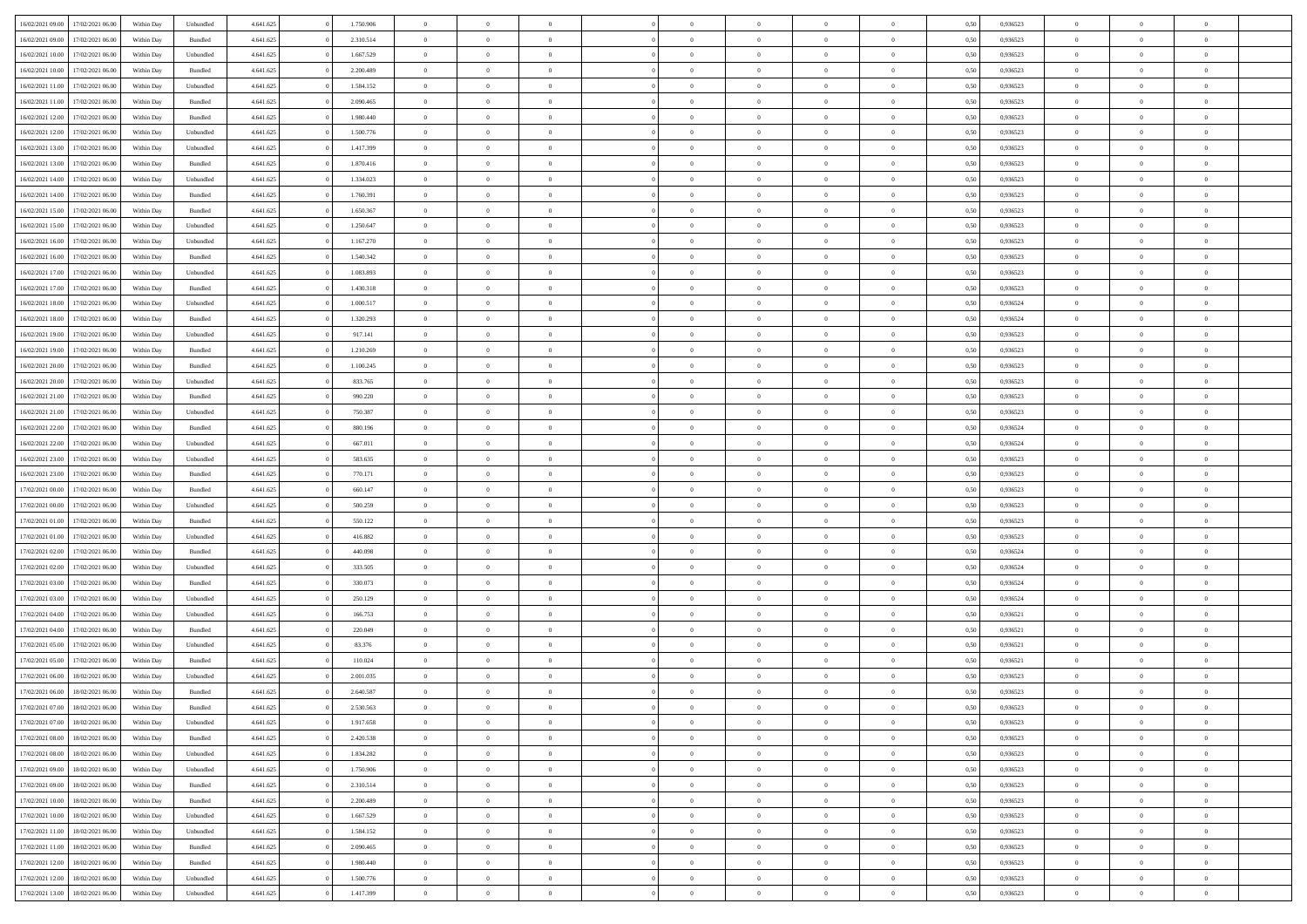| 16/02/2021 09:00                  | 17/02/2021 06:00                     | Within Day | Unbundled          | 4.641.625              | 1.750.906              | $\overline{0}$                   | $\theta$       |                | $\overline{0}$ | $\bf{0}$                         | $\overline{0}$                   | $\theta$       | 0,50         | 0,936523             | $\theta$       | $\theta$       | $\theta$       |  |
|-----------------------------------|--------------------------------------|------------|--------------------|------------------------|------------------------|----------------------------------|----------------|----------------|----------------|----------------------------------|----------------------------------|----------------|--------------|----------------------|----------------|----------------|----------------|--|
| 16/02/2021 09:00                  | 17/02/2021 06:00                     | Within Day | Bundled            | 4.641.625              | 2.310.514              | $\overline{0}$                   | $\overline{0}$ | $\overline{0}$ | $\overline{0}$ | $\bf{0}$                         | $\overline{0}$                   | $\bf{0}$       | 0,50         | 0,936523             | $\,$ 0 $\,$    | $\overline{0}$ | $\overline{0}$ |  |
|                                   |                                      |            |                    |                        |                        |                                  |                |                |                |                                  |                                  |                |              |                      |                |                |                |  |
| 16/02/2021 10:00                  | 17/02/2021 06:00                     | Within Day | Unbundled          | 4.641.625              | 1.667.529              | $\overline{0}$                   | $\overline{0}$ | $\overline{0}$ | $\overline{0}$ | $\bf{0}$                         | $\overline{0}$                   | $\mathbf{0}$   | 0.50         | 0.936523             | $\overline{0}$ | $\,$ 0 $\,$    | $\bf{0}$       |  |
| 16/02/2021 10:00                  | 17/02/2021 06:00                     | Within Day | Bundled            | 4.641.625              | 2.200.489              | $\overline{0}$                   | $\overline{0}$ | $\overline{0}$ | $\overline{0}$ | $\,0\,$                          | $\overline{0}$                   | $\overline{0}$ | 0,50         | 0,936523             | $\,$ 0 $\,$    | $\overline{0}$ | $\overline{0}$ |  |
| 16/02/2021 11:00                  | 17/02/2021 06.00                     | Within Day | Unbundled          | 4.641.625              | 1.584.152              | $\overline{0}$                   | $\overline{0}$ | $\overline{0}$ | $\overline{0}$ | $\,$ 0                           | $\overline{0}$                   | $\bf{0}$       | 0,50         | 0,936523             | $\,$ 0 $\,$    | $\overline{0}$ | $\overline{0}$ |  |
| 16/02/2021 11:00                  | 17/02/2021 06:00                     | Within Day | Bundled            | 4.641.625              | 2.090.465              | $\overline{0}$                   | $\overline{0}$ | $\overline{0}$ | $\overline{0}$ | $\bf{0}$                         | $\overline{0}$                   | $\bf{0}$       | 0.50         | 0.936523             | $\,0\,$        | $\overline{0}$ | $\overline{0}$ |  |
| 16/02/2021 12:00                  | 17/02/2021 06:00                     | Within Day | Bundled            | 4.641.625              | 1.980.440              | $\overline{0}$                   | $\overline{0}$ | $\overline{0}$ | $\overline{0}$ | $\bf{0}$                         | $\overline{0}$                   | $\bf{0}$       | 0,50         | 0,936523             | $\,$ 0 $\,$    | $\overline{0}$ | $\overline{0}$ |  |
| 16/02/2021 12:00                  | 17/02/2021 06.00                     | Within Day | Unbundled          | 4.641.625              | 1.500.776              | $\overline{0}$                   | $\overline{0}$ | $\overline{0}$ | $\overline{0}$ | $\,$ 0                           | $\overline{0}$                   | $\bf{0}$       | 0,50         | 0,936523             | $\,$ 0 $\,$    | $\overline{0}$ | $\overline{0}$ |  |
| 16/02/2021 13:00                  | 17/02/2021 06:00                     | Within Day | Unbundled          | 4.641.625              | 1.417.399              | $\overline{0}$                   | $\overline{0}$ | $\overline{0}$ | $\overline{0}$ | $\bf{0}$                         | $\overline{0}$                   | $\mathbf{0}$   | 0.50         | 0.936523             | $\bf{0}$       | $\overline{0}$ | $\bf{0}$       |  |
| 16/02/2021 13:00                  | 17/02/2021 06:00                     | Within Day | Bundled            | 4.641.625              | 1.870.416              | $\overline{0}$                   | $\overline{0}$ | $\overline{0}$ | $\overline{0}$ | $\bf{0}$                         | $\overline{0}$                   | $\bf{0}$       | 0,50         | 0,936523             | $\,$ 0 $\,$    | $\overline{0}$ | $\overline{0}$ |  |
| 16/02/2021 14:00                  | 17/02/2021 06.00                     | Within Day | Unbundled          | 4.641.625              | 1.334.023              | $\overline{0}$                   | $\overline{0}$ | $\overline{0}$ | $\overline{0}$ | $\bf{0}$                         | $\bf{0}$                         | $\bf{0}$       | 0,50         | 0,936523             | $\,$ 0 $\,$    | $\overline{0}$ | $\overline{0}$ |  |
| 16/02/2021 14:00                  | 17/02/2021 06:00                     | Within Day | Bundled            | 4.641.625              | 1.760.391              | $\overline{0}$                   | $\overline{0}$ | $\overline{0}$ | $\overline{0}$ | $\bf{0}$                         | $\overline{0}$                   | $\mathbf{0}$   | 0.50         | 0.936523             | $\overline{0}$ | $\,$ 0 $\,$    | $\overline{0}$ |  |
| 16/02/2021 15:00                  | 17/02/2021 06:00                     | Within Day | Bundled            | 4.641.625              | 1.650.367              | $\overline{0}$                   | $\overline{0}$ | $\overline{0}$ | $\overline{0}$ | $\bf{0}$                         | $\overline{0}$                   | $\overline{0}$ | 0,50         | 0,936523             | $\,$ 0 $\,$    | $\overline{0}$ | $\overline{0}$ |  |
| 16/02/2021 15:00                  | 17/02/2021 06.00                     | Within Day | Unbundled          | 4.641.625              | 1.250.647              | $\overline{0}$                   | $\theta$       | $\overline{0}$ | $\overline{0}$ | $\,$ 0                           | $\bf{0}$                         | $\bf{0}$       | 0,50         | 0,936523             | $\,$ 0 $\,$    | $\overline{0}$ | $\overline{0}$ |  |
| 16/02/2021 16:00                  | 17/02/2021 06:00                     | Within Day | Unbundled          | 4.641.625              | 1.167.270              | $\overline{0}$                   | $\overline{0}$ | $\overline{0}$ | $\overline{0}$ | $\bf{0}$                         | $\overline{0}$                   | $\bf{0}$       | 0.50         | 0.936523             | $\,0\,$        | $\overline{0}$ | $\overline{0}$ |  |
| 16/02/2021 16:00                  | 17/02/2021 06:00                     |            |                    | 4.641.625              | 1.540.342              | $\overline{0}$                   | $\overline{0}$ | $\overline{0}$ | $\overline{0}$ | $\bf{0}$                         | $\overline{0}$                   |                |              | 0,936523             | $\,$ 0 $\,$    | $\theta$       | $\overline{0}$ |  |
|                                   |                                      | Within Day | Bundled            |                        |                        |                                  |                |                |                |                                  |                                  | $\bf{0}$       | 0,50         |                      |                |                |                |  |
| 16/02/2021 17:00                  | 17/02/2021 06.00                     | Within Day | Unbundled          | 4.641.625              | 1.083.893              | $\overline{0}$                   | $\overline{0}$ | $\overline{0}$ | $\overline{0}$ | $\,$ 0                           | $\bf{0}$                         | $\bf{0}$       | 0,50         | 0,936523             | $\,$ 0 $\,$    | $\overline{0}$ | $\overline{0}$ |  |
| 16/02/2021 17:00                  | 17/02/2021 06:00                     | Within Day | Bundled            | 4.641.625              | 1.430.318              | $\overline{0}$                   | $\overline{0}$ | $\overline{0}$ | $\overline{0}$ | $\bf{0}$                         | $\overline{0}$                   | $\mathbf{0}$   | 0.50         | 0.936523             | $\bf{0}$       | $\overline{0}$ | $\bf{0}$       |  |
| 16/02/2021 18:00                  | 17/02/2021 06:00                     | Within Day | Unbundled          | 4.641.625              | 1.000.517              | $\overline{0}$                   | $\overline{0}$ | $\overline{0}$ | $\overline{0}$ | $\bf{0}$                         | $\overline{0}$                   | $\bf{0}$       | 0,50         | 0,936524             | $\,$ 0 $\,$    | $\overline{0}$ | $\overline{0}$ |  |
| 16/02/2021 18:00                  | 17/02/2021 06.00                     | Within Day | Bundled            | 4.641.625              | 1.320.293              | $\overline{0}$                   | $\overline{0}$ | $\overline{0}$ | $\overline{0}$ | $\bf{0}$                         | $\bf{0}$                         | $\bf{0}$       | 0,50         | 0,936524             | $\,$ 0 $\,$    | $\overline{0}$ | $\overline{0}$ |  |
| 16/02/2021 19:00                  | 17/02/2021 06:00                     | Within Day | Unbundled          | 4.641.625              | 917.141                | $\overline{0}$                   | $\overline{0}$ | $\overline{0}$ | $\overline{0}$ | $\bf{0}$                         | $\overline{0}$                   | $\mathbf{0}$   | 0.50         | 0.936523             | $\overline{0}$ | $\,$ 0 $\,$    | $\overline{0}$ |  |
| 16/02/2021 19:00                  | 17/02/2021 06:00                     | Within Day | Bundled            | 4.641.625              | 1.210.269              | $\overline{0}$                   | $\overline{0}$ | $\overline{0}$ | $\overline{0}$ | $\,0\,$                          | $\overline{0}$                   | $\overline{0}$ | 0,50         | 0,936523             | $\,$ 0 $\,$    | $\overline{0}$ | $\overline{0}$ |  |
| 16/02/2021 20:00                  | 17/02/2021 06.00                     | Within Day | Bundled            | 4.641.625              | 1.100.245              | $\overline{0}$                   | $\overline{0}$ | $\overline{0}$ | $\overline{0}$ | $\bf{0}$                         | $\bf{0}$                         | $\bf{0}$       | 0,50         | 0,936523             | $\,$ 0 $\,$    | $\overline{0}$ | $\overline{0}$ |  |
| 16/02/2021 20:00                  | 17/02/2021 06:00                     | Within Day | Unbundled          | 4.641.625              | 833,765                | $\overline{0}$                   | $\overline{0}$ | $\overline{0}$ | $\overline{0}$ | $\bf{0}$                         | $\overline{0}$                   | $\bf{0}$       | 0.50         | 0.936523             | $\,0\,$        | $\overline{0}$ | $\overline{0}$ |  |
| 16/02/2021 21:00                  | 17/02/2021 06:00                     | Within Day | Bundled            | 4.641.625              | 990.220                | $\overline{0}$                   | $\overline{0}$ | $\overline{0}$ | $\overline{0}$ | $\bf{0}$                         | $\overline{0}$                   | $\bf{0}$       | 0,50         | 0,936523             | $\,$ 0 $\,$    | $\theta$       | $\overline{0}$ |  |
| 16/02/2021 21:00                  | 17/02/2021 06.00                     | Within Day | Unbundled          | 4.641.625              | 750.387                | $\overline{0}$                   | $\overline{0}$ | $\overline{0}$ | $\overline{0}$ | $\,$ 0                           | $\bf{0}$                         | $\bf{0}$       | 0,50         | 0,936523             | $\,$ 0 $\,$    | $\overline{0}$ | $\overline{0}$ |  |
| 16/02/2021 22:00                  | 17/02/2021 06:00                     | Within Day | Bundled            | 4.641.625              | 880.196                | $\overline{0}$                   | $\overline{0}$ | $\overline{0}$ | $\overline{0}$ | $\bf{0}$                         | $\overline{0}$                   | $\mathbf{0}$   | 0.50         | 0.936524             | $\bf{0}$       | $\overline{0}$ | $\bf{0}$       |  |
| 16/02/2021 22:00                  | 17/02/2021 06:00                     | Within Day | Unbundled          | 4.641.625              | 667.011                | $\overline{0}$                   | $\overline{0}$ | $\overline{0}$ | $\overline{0}$ | $\bf{0}$                         | $\overline{0}$                   | $\bf{0}$       | 0,50         | 0,936524             | $\,$ 0 $\,$    | $\overline{0}$ | $\overline{0}$ |  |
| 16/02/2021 23:00                  | 17/02/2021 06.00                     | Within Day | Unbundled          | 4.641.625              | 583.635                | $\overline{0}$                   | $\overline{0}$ | $\overline{0}$ | $\bf{0}$       | $\bf{0}$                         | $\bf{0}$                         | $\bf{0}$       | 0,50         | 0,936523             | $\,$ 0 $\,$    | $\overline{0}$ | $\overline{0}$ |  |
| 16/02/2021 23:00                  | 17/02/2021 06:00                     | Within Day | Bundled            | 4.641.625              | 770.171                | $\overline{0}$                   | $\overline{0}$ | $\overline{0}$ | $\overline{0}$ | $\bf{0}$                         | $\overline{0}$                   | $\mathbf{0}$   | 0.50         | 0.936523             | $\overline{0}$ | $\,$ 0 $\,$    | $\overline{0}$ |  |
|                                   |                                      |            |                    |                        |                        |                                  |                |                |                |                                  |                                  |                |              |                      |                |                |                |  |
| 17/02/2021 00:00                  | 17/02/2021 06:00                     | Within Dav | Bundled            | 4.641.625              | 660.147                | $\overline{0}$                   | $\overline{0}$ | $\overline{0}$ | $\overline{0}$ | $\overline{0}$                   | $\overline{0}$                   | $\overline{0}$ | 0,50         | 0.936523             | $\theta$       | $\overline{0}$ | $\overline{0}$ |  |
| 17/02/2021 00:00                  | 17/02/2021 06.00                     | Within Day | Unbundled          | 4.641.625              | 500.259                | $\overline{0}$                   | $\overline{0}$ | $\overline{0}$ | $\overline{0}$ | $\bf{0}$                         | $\overline{0}$                   | $\bf{0}$       | 0,50         | 0,936523             | $\,$ 0 $\,$    | $\overline{0}$ | $\overline{0}$ |  |
| 17/02/2021 01:00                  | 17/02/2021 06:00                     | Within Day | Bundled            | 4.641.625              | 550.122                | $\overline{0}$                   | $\overline{0}$ | $\overline{0}$ | $\overline{0}$ | $\bf{0}$                         | $\overline{0}$                   | $\bf{0}$       | 0.50         | 0.936523             | $\,0\,$        | $\overline{0}$ | $\overline{0}$ |  |
| 17/02/2021 01:00                  | 17/02/2021 06:00                     | Within Dav | Unbundled          | 4.641.625              | 416.882                | $\overline{0}$                   | $\overline{0}$ | $\Omega$       | $\overline{0}$ | $\mathbf{0}$                     | $\overline{0}$                   | $\overline{0}$ | 0,50         | 0.936523             | $\theta$       | $\overline{0}$ | $\overline{0}$ |  |
| 17/02/2021 02:00                  | 17/02/2021 06.00                     | Within Day | Bundled            | 4.641.625              | 440.098                | $\overline{0}$                   | $\overline{0}$ | $\overline{0}$ | $\overline{0}$ | $\,$ 0                           | $\overline{0}$                   | $\bf{0}$       | 0,50         | 0,936524             | $\,$ 0 $\,$    | $\overline{0}$ | $\overline{0}$ |  |
| 17/02/2021 02:00                  | 17/02/2021 06:00                     | Within Day | Unbundled          | 4.641.625              | 333.505                | $\overline{0}$                   | $\overline{0}$ | $\overline{0}$ | $\overline{0}$ | $\bf{0}$                         | $\overline{0}$                   | $\mathbf{0}$   | 0.50         | 0.936524             | $\bf{0}$       | $\overline{0}$ | $\bf{0}$       |  |
| 17/02/2021 03:00                  | 17/02/2021 06:00                     | Within Dav | Bundled            | 4.641.625              | 330.073                | $\overline{0}$                   | $\overline{0}$ | $\overline{0}$ | $\overline{0}$ | $\overline{0}$                   | $\overline{0}$                   | $\overline{0}$ | 0,50         | 0,936524             | $\theta$       | $\overline{0}$ | $\overline{0}$ |  |
| 17/02/2021 03:00                  | 17/02/2021 06.00                     | Within Day | Unbundled          | 4.641.625              | 250.129                | $\overline{0}$                   | $\overline{0}$ | $\overline{0}$ | $\bf{0}$       | $\bf{0}$                         | $\overline{0}$                   | $\bf{0}$       | 0,50         | 0,936524             | $\,$ 0 $\,$    | $\overline{0}$ | $\overline{0}$ |  |
| 17/02/2021 04:00                  | 17/02/2021 06:00                     | Within Day | Unbundled          | 4.641.625              | 166,753                | $\overline{0}$                   | $\overline{0}$ | $\overline{0}$ | $\overline{0}$ | $\bf{0}$                         | $\overline{0}$                   | $\mathbf{0}$   | 0.50         | 0.936521             | $\overline{0}$ | $\,$ 0 $\,$    | $\overline{0}$ |  |
| 17/02/2021 04:00                  | 17/02/2021 06:00                     | Within Dav | Bundled            | 4.641.625              | 220.049                | $\overline{0}$                   | $\overline{0}$ | $\overline{0}$ | $\overline{0}$ | $\overline{0}$                   | $\overline{0}$                   | $\overline{0}$ | 0.50         | 0,936521             | $\theta$       | $\overline{0}$ | $\overline{0}$ |  |
| 17/02/2021 05:00                  | 17/02/2021 06.00                     | Within Day | Unbundled          | 4.641.625              | 83.376                 | $\overline{0}$                   | $\overline{0}$ | $\overline{0}$ | $\overline{0}$ | $\bf{0}$                         | $\overline{0}$                   | $\bf{0}$       | 0,50         | 0,936521             | $\,$ 0 $\,$    | $\overline{0}$ | $\overline{0}$ |  |
| 17/02/2021 05:00                  | 17/02/2021 06:00                     | Within Day | Bundled            | 4.641.625              | 110.024                | $\overline{0}$                   | $\overline{0}$ | $\overline{0}$ | $\overline{0}$ | $\bf{0}$                         | $\overline{0}$                   | $\overline{0}$ | 0.50         | 0.936521             | $\,0\,$        | $\theta$       | $\overline{0}$ |  |
| 17/02/2021 06:00                  | 18/02/2021 06:00                     | Within Dav | Unbundled          | 4.641.625              | 2.001.035              | $\overline{0}$                   | $\theta$       | $\Omega$       | $\overline{0}$ | $\bf{0}$                         | $\overline{0}$                   | $\overline{0}$ | 0.50         | 0.936523             | $\theta$       | $\overline{0}$ | $\overline{0}$ |  |
| 17/02/2021 06:00                  | 18/02/2021 06:00                     | Within Day | Bundled            | 4.641.625              | 2.640.587              | $\overline{0}$                   | $\overline{0}$ | $\overline{0}$ | $\bf{0}$       | $\,$ 0                           | $\bf{0}$                         | $\bf{0}$       | 0,50         | 0,936523             | $\,$ 0 $\,$    | $\overline{0}$ | $\overline{0}$ |  |
| 17/02/2021 07:00                  | 18/02/2021 06:00                     | Within Day | $\mathbf B$ undled | 4.641.625              | 2.530.563              | $\bf{0}$                         | $\theta$       |                | $^{\circ}$     | $\Omega$                         |                                  |                | 0,50         | 0.936523             | $\bf{0}$       | $\theta$       |                |  |
| 17/02/2021 07:00                  | 18/02/2021 06:00                     | Within Day | Unbundled          | 4.641.625              | 1.917.658              | $\overline{0}$                   | $\overline{0}$ | $\overline{0}$ | $\overline{0}$ | $\overline{0}$                   | $\overline{0}$                   | $\mathbf{0}$   | 0,50         | 0.936523             | $\theta$       | $\overline{0}$ | $\overline{0}$ |  |
|                                   |                                      |            |                    |                        |                        |                                  | $\overline{0}$ |                | $\bf{0}$       |                                  |                                  |                |              |                      | $\bf{0}$       | $\overline{0}$ | $\bf{0}$       |  |
| 17/02/2021 08:00                  | 18/02/2021 06:00<br>18/02/2021 06:00 | Within Day | Bundled            | 4.641.625<br>4.641.625 | 2.420.538<br>1.834.282 | $\overline{0}$<br>$\overline{0}$ | $\overline{0}$ | $\overline{0}$ | $\overline{0}$ | $\overline{0}$<br>$\overline{0}$ | $\overline{0}$<br>$\overline{0}$ | $\bf{0}$       | 0,50<br>0.50 | 0,936523<br>0.936523 | $\overline{0}$ | $\bf{0}$       | $\bf{0}$       |  |
| 17/02/2021 08:00                  |                                      | Within Day | Unbundled          |                        |                        |                                  |                | $\overline{0}$ |                |                                  |                                  | $\mathbf{0}$   |              |                      |                |                |                |  |
| 17/02/2021 09:00                  | 18/02/2021 06:00                     | Within Day | Unbundled          | 4.641.625              | 1.750.906              | $\overline{0}$                   | $\overline{0}$ | $\overline{0}$ | $\overline{0}$ | $\overline{0}$                   | $\overline{0}$                   | $\mathbf{0}$   | 0,50         | 0.936523             | $\overline{0}$ | $\theta$       | $\overline{0}$ |  |
| 17/02/2021 09:00                  | 18/02/2021 06:00                     | Within Day | Bundled            | 4.641.625              | 2.310.514              | $\overline{0}$                   | $\overline{0}$ | $\overline{0}$ | $\overline{0}$ | $\bf{0}$                         | $\bf{0}$                         | $\bf{0}$       | 0,50         | 0,936523             | $\,0\,$        | $\overline{0}$ | $\overline{0}$ |  |
| 17/02/2021 10:00                  | 18/02/2021 06:00                     | Within Day | Bundled            | 4.641.625              | 2.200.489              | $\overline{0}$                   | $\overline{0}$ | $\overline{0}$ | $\overline{0}$ | $\bf{0}$                         | $\overline{0}$                   | $\mathbf{0}$   | 0.50         | 0.936523             | $\,$ 0 $\,$    | $\theta$       | $\overline{0}$ |  |
| 17/02/2021 10:00                  | 18/02/2021 06:00                     | Within Day | Unbundled          | 4.641.625              | 1.667.529              | $\overline{0}$                   | $\overline{0}$ | $\overline{0}$ | $\overline{0}$ | $\overline{0}$                   | $\overline{0}$                   | $\overline{0}$ | 0,50         | 0.936523             | $\overline{0}$ | $\theta$       | $\overline{0}$ |  |
| 17/02/2021 11:00                  | 18/02/2021 06:00                     | Within Day | Unbundled          | 4.641.625              | 1.584.152              | $\overline{0}$                   | $\,$ 0         | $\overline{0}$ | $\bf{0}$       | $\,$ 0 $\,$                      | $\overline{0}$                   | $\bf{0}$       | 0,50         | 0,936523             | $\,$ 0 $\,$    | $\overline{0}$ | $\overline{0}$ |  |
| 17/02/2021 11:00                  | 18/02/2021 06:00                     | Within Day | Bundled            | 4.641.625              | 2.090.465              | $\overline{0}$                   | $\overline{0}$ | $\overline{0}$ | $\overline{0}$ | $\bf{0}$                         | $\overline{0}$                   | $\mathbf{0}$   | 0.50         | 0.936523             | $\mathbf{0}$   | $\,$ 0 $\,$    | $\overline{0}$ |  |
| 17/02/2021 12:00                  | 18/02/2021 06:00                     | Within Day | Bundled            | 4.641.625              | 1.980.440              | $\overline{0}$                   | $\overline{0}$ | $\overline{0}$ | $\overline{0}$ | $\overline{0}$                   | $\overline{0}$                   | $\overline{0}$ | 0,50         | 0.936523             | $\overline{0}$ | $\theta$       | $\overline{0}$ |  |
| 17/02/2021 12:00                  | 18/02/2021 06:00                     | Within Day | Unbundled          | 4.641.625              | 1.500.776              | $\overline{0}$                   | $\overline{0}$ | $\overline{0}$ | $\bf{0}$       | $\bf{0}$                         | $\bf{0}$                         | $\bf{0}$       | 0,50         | 0,936523             | $\bf{0}$       | $\overline{0}$ | $\bf{0}$       |  |
| 17/02/2021 13:00 18/02/2021 06:00 |                                      | Within Day | Unbundled          | 4.641.625              | 1.417.399              | $\,$ 0 $\,$                      | $\,$ 0 $\,$    | $\overline{0}$ | $\overline{0}$ | $\,$ 0 $\,$                      | $\,$ 0 $\,$                      | $\,$ 0 $\,$    | 0,50         | 0,936523             | $\overline{0}$ | $\,$ 0 $\,$    | $\,$ 0 $\,$    |  |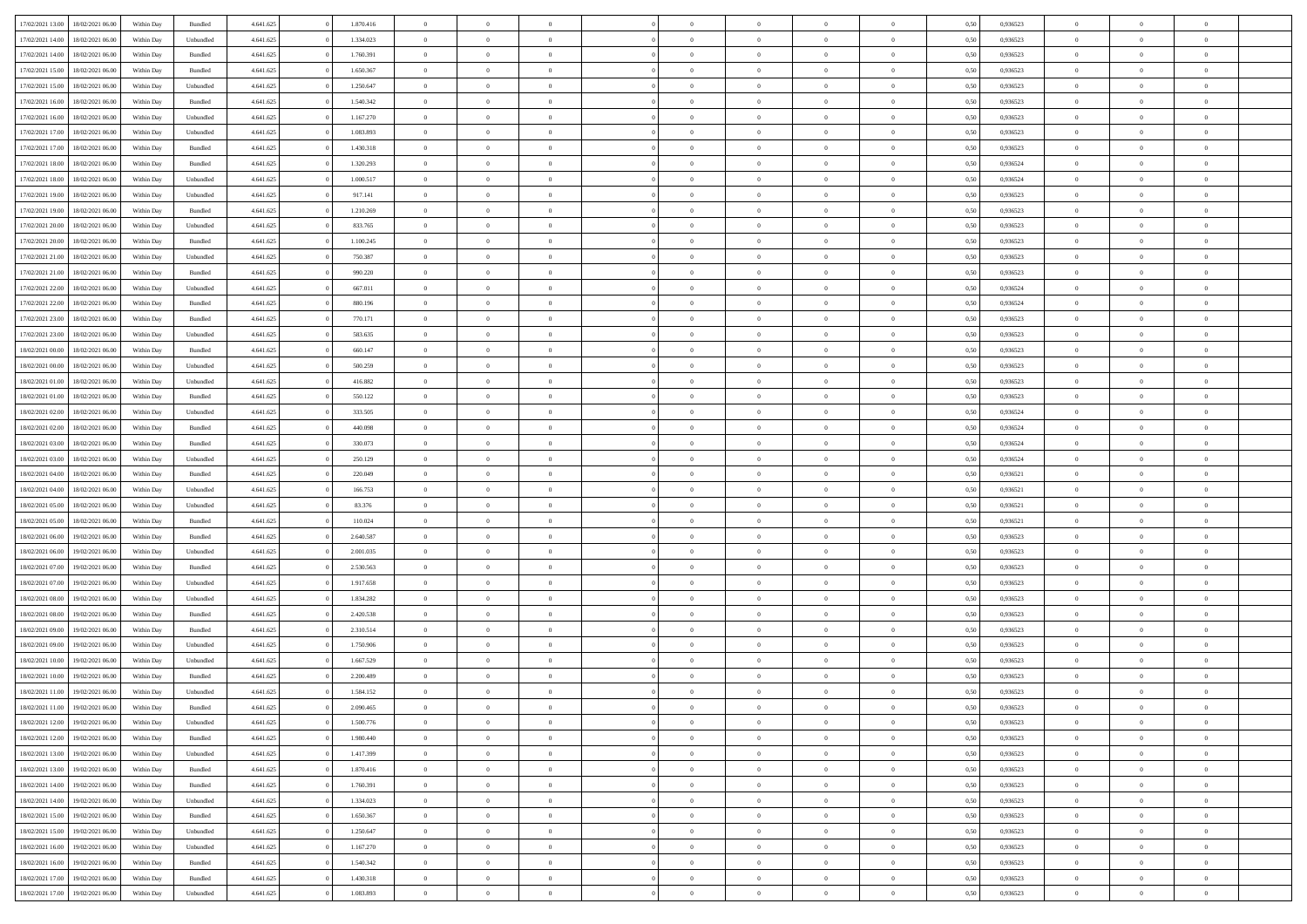| 17/02/2021 13:00 | 18/02/2021 06:00 | Within Day | Bundled            | 4.641.625 | 1.870.416 | $\overline{0}$ | $\theta$       |                | $\overline{0}$ | $\bf{0}$       | $\overline{0}$ | $\theta$       | 0,50 | 0,936523 | $\theta$       | $\theta$       | $\theta$                 |  |
|------------------|------------------|------------|--------------------|-----------|-----------|----------------|----------------|----------------|----------------|----------------|----------------|----------------|------|----------|----------------|----------------|--------------------------|--|
|                  |                  |            |                    |           |           | $\overline{0}$ | $\overline{0}$ |                |                |                |                |                |      |          |                |                | $\overline{0}$           |  |
| 17/02/2021 14:00 | 18/02/2021 06:00 | Within Day | Unbundled          | 4.641.625 | 1.334.023 |                |                | $\overline{0}$ | $\overline{0}$ | $\,$ 0         | $\bf{0}$       | $\bf{0}$       | 0,50 | 0,936523 | $\,$ 0 $\,$    | $\overline{0}$ |                          |  |
| 17/02/2021 14:00 | 18/02/2021 06:00 | Within Day | Bundled            | 4.641.625 | 1.760.391 | $\overline{0}$ | $\overline{0}$ | $\overline{0}$ | $\overline{0}$ | $\bf{0}$       | $\overline{0}$ | $\mathbf{0}$   | 0.50 | 0.936523 | $\bf{0}$       | $\overline{0}$ | $\overline{0}$           |  |
| 17/02/2021 15:00 | 18/02/2021 06:00 | Within Day | Bundled            | 4.641.625 | 1.650.367 | $\overline{0}$ | $\overline{0}$ | $\overline{0}$ | $\overline{0}$ | $\,$ 0         | $\overline{0}$ | $\overline{0}$ | 0,50 | 0,936523 | $\,$ 0 $\,$    | $\overline{0}$ | $\overline{0}$           |  |
| 17/02/2021 15:00 | 18/02/2021 06:00 | Within Day | Unbundled          | 4.641.625 | 1.250.647 | $\overline{0}$ | $\theta$       | $\overline{0}$ | $\overline{0}$ | $\overline{0}$ | $\overline{0}$ | $\bf{0}$       | 0,50 | 0,936523 | $\,$ 0 $\,$    | $\overline{0}$ | $\overline{0}$           |  |
| 17/02/2021 16:00 | 18/02/2021 06:00 | Within Day | Bundled            | 4.641.625 | 1.540.342 | $\overline{0}$ | $\overline{0}$ | $\overline{0}$ | $\overline{0}$ | $\bf{0}$       | $\overline{0}$ | $\bf{0}$       | 0.50 | 0.936523 | $\,0\,$        | $\theta$       | $\overline{0}$           |  |
| 17/02/2021 16:00 | 18/02/2021 06:00 | Within Day | Unbundled          | 4.641.625 | 1.167.270 | $\overline{0}$ | $\overline{0}$ | $\overline{0}$ | $\overline{0}$ | $\bf{0}$       | $\overline{0}$ | $\overline{0}$ | 0,50 | 0,936523 | $\,$ 0 $\,$    | $\theta$       | $\overline{0}$           |  |
| 17/02/2021 17:00 | 18/02/2021 06:00 | Within Day | Unbundled          | 4.641.625 | 1.083.893 | $\overline{0}$ | $\theta$       | $\overline{0}$ | $\overline{0}$ | $\,$ 0         | $\bf{0}$       | $\bf{0}$       | 0,50 | 0,936523 | $\,$ 0 $\,$    | $\overline{0}$ | $\overline{0}$           |  |
| 17/02/2021 17:00 | 18/02/2021 06:00 | Within Day | Bundled            | 4.641.625 | 1.430.318 | $\overline{0}$ | $\overline{0}$ | $\overline{0}$ | $\overline{0}$ | $\bf{0}$       | $\overline{0}$ | $\bf{0}$       | 0.50 | 0.936523 | $\,0\,$        | $\overline{0}$ | $\overline{0}$           |  |
| 17/02/2021 18:00 | 18/02/2021 06:00 | Within Day | Bundled            | 4.641.625 | 1.320.293 | $\overline{0}$ | $\overline{0}$ | $\overline{0}$ | $\overline{0}$ | $\,$ 0         | $\overline{0}$ | $\bf{0}$       | 0,50 | 0,936524 | $\,$ 0 $\,$    | $\overline{0}$ | $\overline{0}$           |  |
|                  |                  |            |                    |           |           |                |                |                |                |                |                |                |      |          |                |                |                          |  |
| 17/02/2021 18:00 | 18/02/2021 06:00 | Within Day | Unbundled          | 4.641.625 | 1.000.517 | $\overline{0}$ | $\theta$       | $\overline{0}$ | $\overline{0}$ | $\,$ 0         | $\overline{0}$ | $\bf{0}$       | 0,50 | 0,936524 | $\,$ 0 $\,$    | $\overline{0}$ | $\overline{0}$           |  |
| 17/02/2021 19:00 | 18/02/2021 06:00 | Within Day | Unbundled          | 4.641.625 | 917.141   | $\overline{0}$ | $\overline{0}$ | $\overline{0}$ | $\overline{0}$ | $\bf{0}$       | $\overline{0}$ | $\mathbf{0}$   | 0.50 | 0.936523 | $\bf{0}$       | $\overline{0}$ | $\bf{0}$                 |  |
| 17/02/2021 19:00 | 18/02/2021 06:00 | Within Day | Bundled            | 4.641.625 | 1.210.269 | $\overline{0}$ | $\overline{0}$ | $\overline{0}$ | $\overline{0}$ | $\bf{0}$       | $\overline{0}$ | $\overline{0}$ | 0,50 | 0,936523 | $\,$ 0 $\,$    | $\overline{0}$ | $\overline{0}$           |  |
| 17/02/2021 20:00 | 18/02/2021 06:00 | Within Day | Unbundled          | 4.641.625 | 833.765   | $\overline{0}$ | $\theta$       | $\overline{0}$ | $\overline{0}$ | $\bf{0}$       | $\overline{0}$ | $\bf{0}$       | 0,50 | 0,936523 | $\,$ 0 $\,$    | $\overline{0}$ | $\overline{0}$           |  |
| 17/02/2021 20:00 | 18/02/2021 06:00 | Within Day | Bundled            | 4.641.625 | 1.100.245 | $\overline{0}$ | $\overline{0}$ | $\overline{0}$ | $\overline{0}$ | $\,$ 0         | $\overline{0}$ | $\bf{0}$       | 0.50 | 0.936523 | $\,0\,$        | $\theta$       | $\overline{0}$           |  |
| 17/02/2021 21:00 | 18/02/2021 06:00 | Within Day | Unbundled          | 4.641.625 | 750.387   | $\overline{0}$ | $\overline{0}$ | $\overline{0}$ | $\overline{0}$ | $\,$ 0         | $\overline{0}$ | $\bf{0}$       | 0,50 | 0,936523 | $\,$ 0 $\,$    | $\theta$       | $\overline{0}$           |  |
| 17/02/2021 21:00 | 18/02/2021 06:00 | Within Day | Bundled            | 4.641.625 | 990.220   | $\overline{0}$ | $\theta$       | $\overline{0}$ | $\overline{0}$ | $\,$ 0         | $\overline{0}$ | $\bf{0}$       | 0,50 | 0,936523 | $\,$ 0 $\,$    | $\overline{0}$ | $\overline{0}$           |  |
| 17/02/2021 22:00 | 18/02/2021 06:00 | Within Day | Unbundled          | 4.641.625 | 667.011   | $\overline{0}$ | $\overline{0}$ | $\overline{0}$ | $\overline{0}$ | $\bf{0}$       | $\overline{0}$ | $\bf{0}$       | 0.50 | 0.936524 | $\,0\,$        | $\overline{0}$ | $\overline{\phantom{a}}$ |  |
| 17/02/2021 22:00 | 18/02/2021 06:00 | Within Day | Bundled            | 4.641.625 | 880.196   | $\overline{0}$ | $\overline{0}$ | $\overline{0}$ | $\overline{0}$ | $\bf{0}$       | $\overline{0}$ | $\bf{0}$       | 0,50 | 0,936524 | $\,$ 0 $\,$    | $\overline{0}$ | $\overline{0}$           |  |
| 17/02/2021 23:00 | 18/02/2021 06:00 | Within Day | Bundled            | 4.641.625 | 770.171   | $\overline{0}$ | $\theta$       | $\overline{0}$ | $\overline{0}$ | $\,$ 0         | $\overline{0}$ | $\bf{0}$       | 0,50 | 0,936523 | $\,$ 0 $\,$    | $\overline{0}$ | $\overline{0}$           |  |
| 17/02/2021 23:00 | 18/02/2021 06:00 | Within Day | Unbundled          | 4.641.625 | 583.635   | $\overline{0}$ | $\overline{0}$ | $\overline{0}$ | $\overline{0}$ | $\bf{0}$       | $\overline{0}$ | $\mathbf{0}$   | 0.50 | 0.936523 | $\bf{0}$       | $\overline{0}$ | $\bf{0}$                 |  |
| 18/02/2021 00:00 | 18/02/2021 06:00 | Within Day | Bundled            | 4.641.625 | 660.147   | $\overline{0}$ | $\overline{0}$ | $\overline{0}$ | $\overline{0}$ | $\,$ 0         | $\overline{0}$ | $\overline{0}$ | 0,50 | 0,936523 | $\,$ 0 $\,$    | $\overline{0}$ | $\overline{0}$           |  |
| 18/02/2021 00:00 | 18/02/2021 06:00 | Within Day | Unbundled          | 4.641.625 | 500.259   | $\overline{0}$ | $\theta$       | $\overline{0}$ | $\overline{0}$ | $\,$ 0         | $\overline{0}$ | $\bf{0}$       | 0,50 | 0,936523 | $\,$ 0 $\,$    | $\overline{0}$ | $\overline{0}$           |  |
|                  | 18/02/2021 06:00 |            |                    |           | 416.882   |                | $\overline{0}$ |                |                |                | $\overline{0}$ |                |      | 0.936523 |                | $\theta$       | $\overline{0}$           |  |
| 18/02/2021 01:00 |                  | Within Day | Unbundled          | 4.641.625 |           | $\overline{0}$ |                | $\overline{0}$ | $\overline{0}$ | $\bf{0}$       |                | $\bf{0}$       | 0.50 |          | $\,0\,$        |                |                          |  |
| 18/02/2021 01:00 | 18/02/2021 06:00 | Within Day | Bundled            | 4.641.625 | 550.122   | $\overline{0}$ | $\overline{0}$ | $\overline{0}$ | $\overline{0}$ | $\,$ 0         | $\overline{0}$ | $\overline{0}$ | 0,50 | 0,936523 | $\,0\,$        | $\theta$       | $\overline{0}$           |  |
| 18/02/2021 02:00 | 18/02/2021 06:00 | Within Day | Unbundled          | 4.641.625 | 333.505   | $\overline{0}$ | $\theta$       | $\overline{0}$ |                | $\,$ 0         | $\overline{0}$ | $\bf{0}$       | 0,50 | 0,936524 | $\,$ 0 $\,$    | $\overline{0}$ | $\overline{0}$           |  |
| 18/02/2021 02:00 | 18/02/2021 06:00 | Within Day | Bundled            | 4.641.625 | 440.098   | $\overline{0}$ | $\overline{0}$ | $\overline{0}$ | $\overline{0}$ | $\bf{0}$       | $\overline{0}$ | $\bf{0}$       | 0.50 | 0.936524 | $\,0\,$        | $\overline{0}$ | $\overline{0}$           |  |
| 18/02/2021 03:00 | 18/02/2021 06:00 | Within Day | Bundled            | 4.641.625 | 330.073   | $\overline{0}$ | $\overline{0}$ | $\overline{0}$ | $\overline{0}$ | $\bf{0}$       | $\overline{0}$ | $\bf{0}$       | 0,50 | 0,936524 | $\,$ 0 $\,$    | $\overline{0}$ | $\overline{0}$           |  |
| 18/02/2021 03:00 | 18/02/2021 06:00 | Within Day | Unbundled          | 4.641.625 | 250.129   | $\overline{0}$ | $\overline{0}$ | $\overline{0}$ | $\overline{0}$ | $\bf{0}$       | $\bf{0}$       | $\bf{0}$       | 0,50 | 0,936524 | $\,$ 0 $\,$    | $\overline{0}$ | $\overline{0}$           |  |
| 18/02/2021 04:00 | 18/02/2021 06:00 | Within Day | Bundled            | 4.641.625 | 220.049   | $\overline{0}$ | $\overline{0}$ | $\overline{0}$ | $\overline{0}$ | $\bf{0}$       | $\overline{0}$ | $\mathbf{0}$   | 0.50 | 0.936521 | $\bf{0}$       | $\overline{0}$ | $\bf{0}$                 |  |
| 18/02/2021 04:00 | 18/02/2021 06:00 | Within Dav | Unbundled          | 4.641.625 | 166.753   | $\overline{0}$ | $\overline{0}$ | $\overline{0}$ | $\overline{0}$ | $\overline{0}$ | $\overline{0}$ | $\overline{0}$ | 0.50 | 0,936521 | $\theta$       | $\overline{0}$ | $\overline{0}$           |  |
| 18/02/2021 05:00 | 18/02/2021 06:00 | Within Day | Unbundled          | 4.641.625 | 83.376    | $\overline{0}$ | $\theta$       | $\overline{0}$ | $\overline{0}$ | $\,$ 0         | $\overline{0}$ | $\bf{0}$       | 0,50 | 0,936521 | $\,$ 0 $\,$    | $\overline{0}$ | $\overline{0}$           |  |
| 18/02/2021 05:00 | 18/02/2021 06:00 | Within Day | Bundled            | 4.641.625 | 110.024   | $\overline{0}$ | $\overline{0}$ | $\overline{0}$ | $\overline{0}$ | $\,$ 0         | $\overline{0}$ | $\bf{0}$       | 0.50 | 0.936521 | $\,0\,$        | $\theta$       | $\overline{0}$           |  |
| 18/02/2021 06:00 | 19/02/2021 06:00 | Within Dav | Bundled            | 4.641.625 | 2.640.587 | $\overline{0}$ | $\theta$       | $\Omega$       | $\overline{0}$ | $\mathbf{0}$   | $\overline{0}$ | $\overline{0}$ | 0.50 | 0.936523 | $\theta$       | $\overline{0}$ | $\overline{0}$           |  |
| 18/02/2021 06:00 | 19/02/2021 06.00 | Within Day | Unbundled          | 4.641.625 | 2.001.035 | $\overline{0}$ | $\theta$       | $\overline{0}$ | $\overline{0}$ | $\,$ 0         | $\overline{0}$ | $\bf{0}$       | 0,50 | 0,936523 | $\,$ 0 $\,$    | $\overline{0}$ | $\overline{0}$           |  |
| 18/02/2021 07:00 | 19/02/2021 06:00 | Within Day | Bundled            | 4.641.625 | 2.530.563 | $\overline{0}$ | $\overline{0}$ | $\overline{0}$ | $\overline{0}$ | $\bf{0}$       | $\overline{0}$ | $\bf{0}$       | 0.50 | 0.936523 | $\,0\,$        | $\overline{0}$ | $\overline{0}$           |  |
| 18/02/2021 07:00 | 19/02/2021 06:00 | Within Dav | Unbundled          | 4.641.625 | 1.917.658 | $\overline{0}$ | $\overline{0}$ | $\overline{0}$ | $\overline{0}$ | $\overline{0}$ | $\overline{0}$ | $\overline{0}$ | 0.50 | 0.936523 | $\theta$       | $\overline{0}$ | $\overline{0}$           |  |
|                  |                  |            |                    |           |           |                | $\overline{0}$ | $\overline{0}$ | $\overline{0}$ | $\bf{0}$       |                |                |      |          | $\,$ 0 $\,$    | $\overline{0}$ | $\overline{0}$           |  |
| 18/02/2021 08:00 | 19/02/2021 06.00 | Within Day | Unbundled          | 4.641.625 | 1.834.282 | $\overline{0}$ |                |                |                |                | $\bf{0}$       | $\bf{0}$       | 0,50 | 0,936523 |                |                |                          |  |
| 18/02/2021 08:00 | 19/02/2021 06:00 | Within Day | Bundled            | 4.641.625 | 2.420.538 | $\overline{0}$ | $\overline{0}$ | $\overline{0}$ | $\overline{0}$ | $\bf{0}$       | $\overline{0}$ | $\mathbf{0}$   | 0.50 | 0.936523 | $\bf{0}$       | $\overline{0}$ | $\overline{0}$           |  |
| 18/02/2021 09:00 | 19/02/2021 06:00 | Within Dav | Bundled            | 4.641.625 | 2.310.514 | $\overline{0}$ | $\overline{0}$ | $\Omega$       | $\overline{0}$ | $\mathbf{0}$   | $\overline{0}$ | $\overline{0}$ | 0.50 | 0.936523 | $\theta$       | $\overline{0}$ | $\overline{0}$           |  |
| 18/02/2021 09:00 | 19/02/2021 06.00 | Within Day | Unbundled          | 4.641.625 | 1.750.906 | $\overline{0}$ | $\theta$       | $\overline{0}$ | $\overline{0}$ | $\,$ 0         | $\overline{0}$ | $\bf{0}$       | 0,50 | 0,936523 | $\,$ 0 $\,$    | $\overline{0}$ | $\overline{0}$           |  |
| 18/02/2021 10:00 | 19/02/2021 06:00 | Within Day | Unbundled          | 4.641.625 | 1.667.529 | $\overline{0}$ | $\theta$       | $\overline{0}$ | $\overline{0}$ | $\bf{0}$       | $\Omega$       | $\overline{0}$ | 0.50 | 0.936523 | $\,0\,$        | $\theta$       | $\overline{0}$           |  |
| 18/02/2021 10:00 | 19/02/2021 06:00 | Within Dav | Bundled            | 4.641.625 | 2.200.489 | $\overline{0}$ | $\Omega$       | $\Omega$       | $\Omega$       | $\bf{0}$       | $\overline{0}$ | $\bf{0}$       | 0.50 | 0.936523 | $\theta$       | $\theta$       | $\overline{0}$           |  |
| 18/02/2021 11:00 | 19/02/2021 06:00 | Within Day | Unbundled          | 4.641.625 | 1.584.152 | $\overline{0}$ | $\,$ 0 $\,$    | $\overline{0}$ | $\overline{0}$ | $\,$ 0         | $\bf{0}$       | $\bf{0}$       | 0,50 | 0,936523 | $\,$ 0 $\,$    | $\overline{0}$ | $\overline{0}$           |  |
| 18/02/2021 11:00 | 19/02/2021 06:00 | Within Day | $\mathbf B$ undled | 4.641.625 | 2.090.465 | $\bf{0}$       | $\theta$       |                | $\Omega$       | $\Omega$       |                |                | 0,50 | 0.936523 | $\bf{0}$       | $\theta$       |                          |  |
| 18/02/2021 12:00 | 19/02/2021 06:00 | Within Day | Unbundled          | 4.641.625 | 1.500.776 | $\overline{0}$ | $\overline{0}$ | $\overline{0}$ | $\overline{0}$ | $\overline{0}$ | $\overline{0}$ | $\mathbf{0}$   | 0,50 | 0.936523 | $\theta$       | $\overline{0}$ | $\overline{0}$           |  |
| 18/02/2021 12:00 | 19/02/2021 06:00 | Within Day | Bundled            | 4.641.625 | 1.980.440 | $\overline{0}$ | $\overline{0}$ | $\overline{0}$ | $\bf{0}$       | $\overline{0}$ | $\overline{0}$ | $\bf{0}$       | 0,50 | 0,936523 | $\bf{0}$       | $\overline{0}$ | $\bf{0}$                 |  |
| 18/02/2021 13:00 | 19/02/2021 06:00 | Within Day | Unbundled          | 4.641.625 | 1.417.399 | $\overline{0}$ | $\overline{0}$ | $\overline{0}$ | $\overline{0}$ | $\overline{0}$ | $\overline{0}$ | $\mathbf{0}$   | 0.50 | 0.936523 | $\overline{0}$ | $\bf{0}$       | $\bf{0}$                 |  |
| 18/02/2021 13:00 | 19/02/2021 06:00 | Within Day | Bundled            | 4.641.625 | 1.870.416 | $\overline{0}$ | $\overline{0}$ | $\overline{0}$ | $\overline{0}$ | $\overline{0}$ | $\overline{0}$ | $\mathbf{0}$   | 0,50 | 0.936523 | $\overline{0}$ | $\theta$       | $\overline{0}$           |  |
| 18/02/2021 14:00 | 19/02/2021 06:00 | Within Day | Bundled            | 4.641.625 | 1.760.391 | $\overline{0}$ | $\overline{0}$ | $\overline{0}$ | $\overline{0}$ | $\bf{0}$       | $\bf{0}$       | $\bf{0}$       | 0,50 | 0,936523 | $\,$ 0 $\,$    | $\overline{0}$ | $\overline{0}$           |  |
| 18/02/2021 14:00 | 19/02/2021 06:00 | Within Day | Unbundled          | 4.641.625 | 1.334.023 | $\overline{0}$ | $\overline{0}$ | $\overline{0}$ | $\overline{0}$ | $\bf{0}$       | $\overline{0}$ | $\mathbf{0}$   | 0.50 | 0.936523 | $\,$ 0 $\,$    | $\theta$       | $\overline{0}$           |  |
| 18/02/2021 15:00 | 19/02/2021 06:00 | Within Day | Bundled            | 4.641.625 | 1.650.367 | $\overline{0}$ | $\overline{0}$ | $\overline{0}$ | $\overline{0}$ | $\overline{0}$ | $\overline{0}$ | $\overline{0}$ | 0,50 | 0.936523 | $\overline{0}$ | $\theta$       | $\overline{0}$           |  |
|                  |                  |            |                    |           |           |                |                |                |                |                |                |                |      |          |                |                |                          |  |
| 18/02/2021 15:00 | 19/02/2021 06:00 | Within Day | Unbundled          | 4.641.625 | 1.250.647 | $\overline{0}$ | $\,$ 0         | $\overline{0}$ | $\bf{0}$       | $\,$ 0 $\,$    | $\overline{0}$ | $\bf{0}$       | 0,50 | 0,936523 | $\,$ 0 $\,$    | $\overline{0}$ | $\overline{0}$           |  |
| 18/02/2021 16:00 | 19/02/2021 06:00 | Within Day | Unbundled          | 4.641.625 | 1.167.270 | $\overline{0}$ | $\overline{0}$ | $\overline{0}$ | $\overline{0}$ | $\bf{0}$       | $\overline{0}$ | $\mathbf{0}$   | 0.50 | 0.936523 | $\mathbf{0}$   | $\bf{0}$       | $\bf{0}$                 |  |
| 18/02/2021 16:00 | 19/02/2021 06:00 | Within Day | Bundled            | 4.641.625 | 1.540.342 | $\overline{0}$ | $\overline{0}$ | $\overline{0}$ | $\overline{0}$ | $\overline{0}$ | $\overline{0}$ | $\overline{0}$ | 0,50 | 0.936523 | $\overline{0}$ | $\theta$       | $\overline{0}$           |  |
| 18/02/2021 17:00 | 19/02/2021 06:00 | Within Day | Bundled            | 4.641.625 | 1.430.318 | $\overline{0}$ | $\overline{0}$ | $\overline{0}$ | $\bf{0}$       | $\bf{0}$       | $\overline{0}$ | $\bf{0}$       | 0,50 | 0,936523 | $\bf{0}$       | $\overline{0}$ | $\bf{0}$                 |  |
| 18/02/2021 17:00 | 19/02/2021 06:00 | Within Day | Unbundled          | 4.641.625 | 1.083.893 | $\,$ 0 $\,$    | $\,$ 0 $\,$    | $\overline{0}$ | $\overline{0}$ | $\,$ 0 $\,$    | $\,$ 0 $\,$    | $\,$ 0 $\,$    | 0,50 | 0,936523 | $\mathbf{0}^-$ | $\,$ 0 $\,$    | $\,$ 0 $\,$              |  |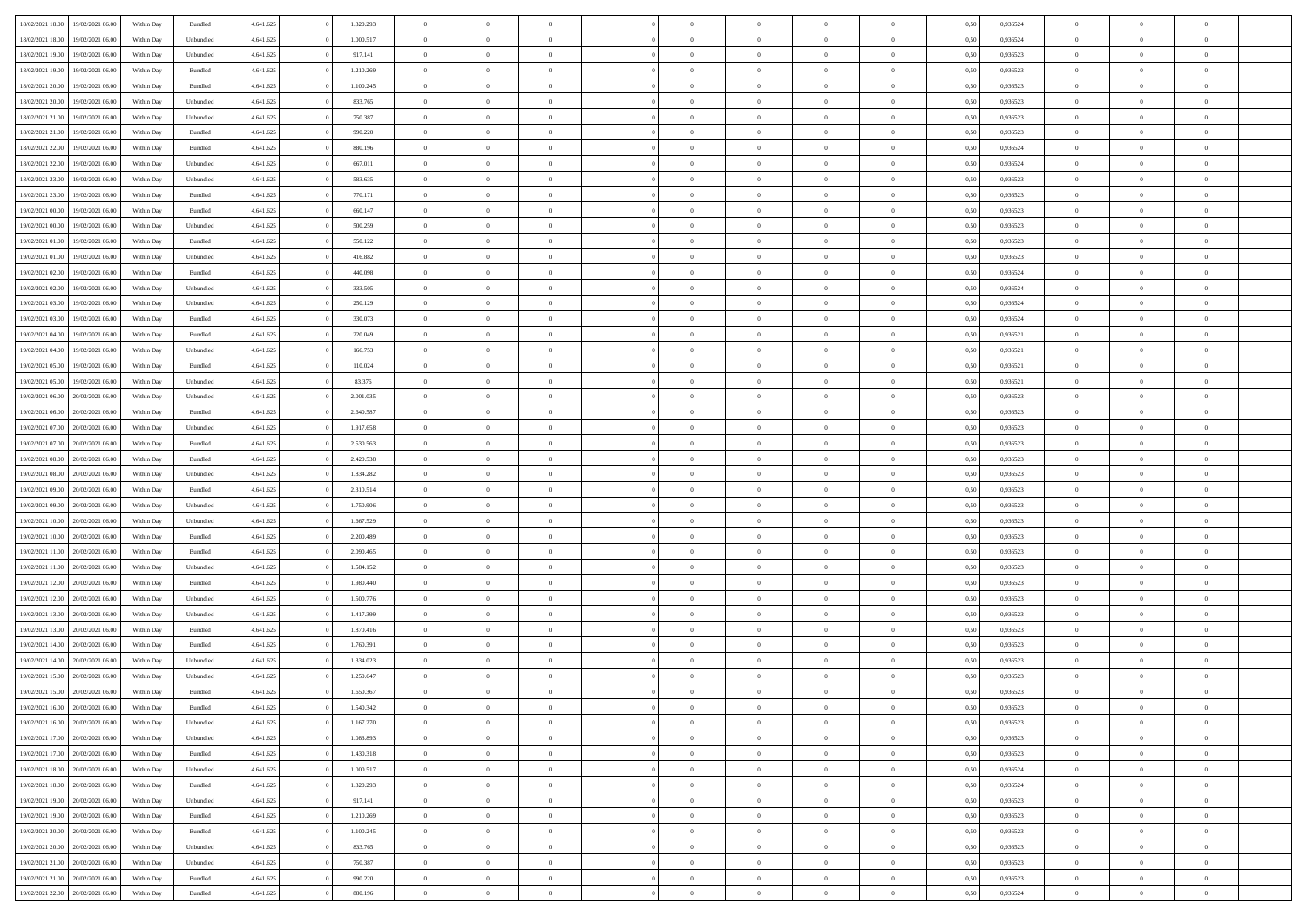|                  | 19/02/2021 06:00 | Within Day | Bundled            | 4.641.625 | 1.320.293 | $\overline{0}$ | $\Omega$       |                | $\Omega$       | $\Omega$       | $\theta$       | $\theta$       | 0,50 | 0,936524 | $\theta$       | $\theta$       | $\overline{0}$ |  |
|------------------|------------------|------------|--------------------|-----------|-----------|----------------|----------------|----------------|----------------|----------------|----------------|----------------|------|----------|----------------|----------------|----------------|--|
| 18/02/2021 18:00 |                  |            |                    |           |           |                |                |                |                |                |                |                |      |          |                |                |                |  |
| 18/02/2021 18:00 | 19/02/2021 06:00 | Within Day | Unbundled          | 4.641.625 | 1.000.517 | $\overline{0}$ | $\theta$       | $\overline{0}$ | $\overline{0}$ | $\bf{0}$       | $\overline{0}$ | $\bf{0}$       | 0,50 | 0,936524 | $\theta$       | $\overline{0}$ | $\overline{0}$ |  |
| 18/02/2021 19:00 | 19/02/2021 06:00 | Within Day | Unbundled          | 4.641.625 | 917.141   | $\overline{0}$ | $\bf{0}$       | $\overline{0}$ | $\overline{0}$ | $\bf{0}$       | $\overline{0}$ | $\mathbf{0}$   | 0,50 | 0,936523 | $\overline{0}$ | $\overline{0}$ | $\bf{0}$       |  |
| 18/02/2021 19:00 | 19/02/2021 06:00 | Within Dav | Bundled            | 4.641.625 | 1.210.269 | $\overline{0}$ | $\overline{0}$ | $\overline{0}$ | $\overline{0}$ | $\bf{0}$       | $\overline{0}$ | $\overline{0}$ | 0.50 | 0.936523 | $\theta$       | $\theta$       | $\overline{0}$ |  |
| 18/02/2021 20:00 | 19/02/2021 06:00 | Within Day | Bundled            | 4.641.625 | 1.100.245 | $\overline{0}$ | $\theta$       | $\overline{0}$ | $\overline{0}$ | $\bf{0}$       | $\overline{0}$ | $\bf{0}$       | 0,50 | 0,936523 | $\theta$       | $\overline{0}$ | $\overline{0}$ |  |
|                  |                  |            |                    |           |           |                |                |                |                |                |                |                |      |          |                |                |                |  |
| 18/02/2021 20:00 | 19/02/2021 06:00 | Within Day | Unbundled          | 4.641.625 | 833.765   | $\overline{0}$ | $\overline{0}$ | $\overline{0}$ | $\overline{0}$ | $\overline{0}$ | $\overline{0}$ | $\mathbf{0}$   | 0,50 | 0,936523 | $\overline{0}$ | $\overline{0}$ | $\bf{0}$       |  |
| 18/02/2021 21:00 | 19/02/2021 06:00 | Within Dav | Unbundled          | 4.641.625 | 750.387   | $\overline{0}$ | $\overline{0}$ | $\overline{0}$ | $\overline{0}$ | $\overline{0}$ | $\overline{0}$ | $\overline{0}$ | 0.50 | 0.936523 | $\theta$       | $\overline{0}$ | $\overline{0}$ |  |
| 18/02/2021 21:00 | 19/02/2021 06:00 | Within Day | Bundled            | 4.641.625 | 990.220   | $\overline{0}$ | $\theta$       | $\overline{0}$ | $\overline{0}$ | $\bf{0}$       | $\overline{0}$ | $\bf{0}$       | 0,50 | 0,936523 | $\theta$       | $\theta$       | $\overline{0}$ |  |
| 18/02/2021 22:00 | 19/02/2021 06:00 | Within Day | Bundled            | 4.641.625 | 880.196   | $\overline{0}$ | $\overline{0}$ | $\overline{0}$ | $\overline{0}$ | $\bf{0}$       | $\overline{0}$ | $\mathbf{0}$   | 0,50 | 0,936524 | $\,0\,$        | $\overline{0}$ | $\overline{0}$ |  |
| 18/02/2021 22:00 | 19/02/2021 06:00 | Within Dav | Unbundled          | 4.641.625 | 667.011   | $\overline{0}$ | $\overline{0}$ | $\overline{0}$ | $\overline{0}$ | $\overline{0}$ | $\overline{0}$ | $\overline{0}$ | 0.50 | 0,936524 | $\theta$       | $\overline{0}$ | $\overline{0}$ |  |
| 18/02/2021 23:00 | 19/02/2021 06:00 | Within Day | Unbundled          | 4.641.625 | 583.635   | $\overline{0}$ | $\theta$       | $\overline{0}$ | $\overline{0}$ | $\bf{0}$       | $\overline{0}$ | $\bf{0}$       | 0,50 | 0,936523 | $\,$ 0 $\,$    | $\overline{0}$ | $\overline{0}$ |  |
| 18/02/2021 23:00 | 19/02/2021 06:00 | Within Day | Bundled            | 4.641.625 | 770.171   | $\overline{0}$ | $\overline{0}$ | $\overline{0}$ | $\bf{0}$       | $\bf{0}$       | $\bf{0}$       | $\mathbf{0}$   | 0,50 | 0,936523 | $\overline{0}$ | $\overline{0}$ | $\bf{0}$       |  |
|                  |                  |            |                    |           |           |                |                |                |                |                |                |                |      |          |                |                |                |  |
| 19/02/2021 00:00 | 19/02/2021 06:00 | Within Day | Bundled            | 4.641.625 | 660.147   | $\overline{0}$ | $\overline{0}$ | $\overline{0}$ | $\overline{0}$ | $\bf{0}$       | $\overline{0}$ | $\overline{0}$ | 0.50 | 0.936523 | $\theta$       | $\theta$       | $\overline{0}$ |  |
| 19/02/2021 00:00 | 19/02/2021 06:00 | Within Day | Unbundled          | 4.641.625 | 500.259   | $\overline{0}$ | $\theta$       | $\overline{0}$ | $\overline{0}$ | $\bf{0}$       | $\overline{0}$ | $\bf{0}$       | 0,50 | 0,936523 | $\theta$       | $\overline{0}$ | $\overline{0}$ |  |
| 19/02/2021 01:00 | 19/02/2021 06:00 | Within Day | Bundled            | 4.641.625 | 550.122   | $\overline{0}$ | $\overline{0}$ | $\overline{0}$ | $\bf{0}$       | $\overline{0}$ | $\overline{0}$ | $\mathbf{0}$   | 0,50 | 0,936523 | $\overline{0}$ | $\overline{0}$ | $\bf{0}$       |  |
| 19/02/2021 01:00 | 19/02/2021 06:00 | Within Dav | Unbundled          | 4.641.625 | 416.882   | $\overline{0}$ | $\overline{0}$ | $\overline{0}$ | $\overline{0}$ | $\overline{0}$ | $\overline{0}$ | $\overline{0}$ | 0.50 | 0.936523 | $\theta$       | $\overline{0}$ | $\overline{0}$ |  |
| 19/02/2021 02:00 | 19/02/2021 06:00 | Within Day | Bundled            | 4.641.625 | 440.098   | $\overline{0}$ | $\theta$       | $\overline{0}$ | $\overline{0}$ | $\bf{0}$       | $\overline{0}$ | $\bf{0}$       | 0,50 | 0,936524 | $\theta$       | $\theta$       | $\overline{0}$ |  |
| 19/02/2021 02:00 | 19/02/2021 06:00 | Within Day | Unbundled          | 4.641.625 | 333.505   | $\overline{0}$ | $\overline{0}$ | $\overline{0}$ | $\bf{0}$       | $\bf{0}$       | $\bf{0}$       | $\mathbf{0}$   | 0,50 | 0,936524 | $\,0\,$        | $\overline{0}$ | $\bf{0}$       |  |
| 19/02/2021 03:00 | 19/02/2021 06:00 | Within Day | Unbundled          | 4.641.625 | 250.129   | $\overline{0}$ | $\overline{0}$ | $\overline{0}$ | $\overline{0}$ | $\overline{0}$ | $\overline{0}$ | $\overline{0}$ | 0.50 | 0,936524 | $\theta$       | $\overline{0}$ | $\overline{0}$ |  |
|                  |                  |            |                    |           |           |                |                |                |                |                |                |                |      |          |                |                |                |  |
| 19/02/2021 03:00 | 19/02/2021 06:00 | Within Day | Bundled            | 4.641.625 | 330.073   | $\overline{0}$ | $\theta$       | $\overline{0}$ | $\overline{0}$ | $\bf{0}$       | $\overline{0}$ | $\bf{0}$       | 0,50 | 0,936524 | $\,$ 0 $\,$    | $\overline{0}$ | $\overline{0}$ |  |
| 19/02/2021 04:00 | 19/02/2021 06:00 | Within Day | Bundled            | 4.641.625 | 220.049   | $\overline{0}$ | $\overline{0}$ | $\overline{0}$ | $\bf{0}$       | $\bf{0}$       | $\bf{0}$       | $\mathbf{0}$   | 0,50 | 0,936521 | $\bf{0}$       | $\overline{0}$ | $\bf{0}$       |  |
| 19/02/2021 04:00 | 19/02/2021 06:00 | Within Day | Unbundled          | 4.641.625 | 166,753   | $\overline{0}$ | $\overline{0}$ | $\overline{0}$ | $\overline{0}$ | $\overline{0}$ | $\overline{0}$ | $\overline{0}$ | 0.50 | 0.936521 | $\theta$       | $\overline{0}$ | $\overline{0}$ |  |
| 19/02/2021 05:00 | 19/02/2021 06:00 | Within Day | Bundled            | 4.641.625 | 110.024   | $\overline{0}$ | $\theta$       | $\overline{0}$ | $\overline{0}$ | $\bf{0}$       | $\overline{0}$ | $\,$ 0 $\,$    | 0,50 | 0,936521 | $\,$ 0 $\,$    | $\overline{0}$ | $\overline{0}$ |  |
| 19/02/2021 05:00 | 19/02/2021 06:00 | Within Day | Unbundled          | 4.641.625 | 83.376    | $\overline{0}$ | $\overline{0}$ | $\overline{0}$ | $\bf{0}$       | $\overline{0}$ | $\overline{0}$ | $\mathbf{0}$   | 0,50 | 0,936521 | $\overline{0}$ | $\overline{0}$ | $\bf{0}$       |  |
| 19/02/2021 06:00 | 20/02/2021 06:00 | Within Dav | Unbundled          | 4.641.625 | 2.001.035 | $\overline{0}$ | $\overline{0}$ | $\overline{0}$ | $\overline{0}$ | $\overline{0}$ | $\overline{0}$ | $\overline{0}$ | 0.50 | 0.936523 | $\theta$       | $\overline{0}$ | $\overline{0}$ |  |
| 19/02/2021 06:00 | 20/02/2021 06:00 |            |                    | 4.641.625 | 2.640.587 | $\overline{0}$ | $\theta$       | $\overline{0}$ | $\overline{0}$ | $\bf{0}$       | $\overline{0}$ |                |      | 0,936523 | $\theta$       | $\theta$       | $\overline{0}$ |  |
|                  |                  | Within Day | Bundled            |           |           |                |                |                |                |                |                | $\bf{0}$       | 0,50 |          |                |                |                |  |
| 19/02/2021 07:00 | 20/02/2021 06:00 | Within Day | Unbundled          | 4.641.625 | 1.917.658 | $\overline{0}$ | $\overline{0}$ | $\overline{0}$ | $\bf{0}$       | $\bf{0}$       | $\bf{0}$       | $\mathbf{0}$   | 0,50 | 0,936523 | $\,0\,$        | $\overline{0}$ | $\overline{0}$ |  |
| 19/02/2021 07:00 | 20/02/2021 06:00 | Within Day | Bundled            | 4.641.625 | 2.530.563 | $\overline{0}$ | $\overline{0}$ | $\overline{0}$ | $\overline{0}$ | $\overline{0}$ | $\overline{0}$ | $\overline{0}$ | 0.50 | 0.936523 | $\theta$       | $\overline{0}$ | $\overline{0}$ |  |
| 19/02/2021 08:00 | 20/02/2021 06:00 | Within Day | Bundled            | 4.641.625 | 2.420.538 | $\overline{0}$ | $\theta$       | $\overline{0}$ | $\overline{0}$ | $\bf{0}$       | $\overline{0}$ | $\bf{0}$       | 0,50 | 0,936523 | $\,$ 0 $\,$    | $\overline{0}$ | $\overline{0}$ |  |
| 19/02/2021 08:00 | 20/02/2021 06:00 | Within Day | Unbundled          | 4.641.625 | 1.834.282 | $\overline{0}$ | $\overline{0}$ | $\overline{0}$ | $\bf{0}$       | $\bf{0}$       | $\bf{0}$       | $\mathbf{0}$   | 0,50 | 0,936523 | $\overline{0}$ | $\overline{0}$ | $\bf{0}$       |  |
| 19/02/2021 09:00 | 20/02/2021 06:00 | Within Day | Bundled            | 4.641.625 | 2.310.514 | $\overline{0}$ | $\Omega$       | $\overline{0}$ | $\Omega$       | $\bf{0}$       | $\overline{0}$ | $\overline{0}$ | 0,50 | 0,936523 | $\,0\,$        | $\theta$       | $\theta$       |  |
| 19/02/2021 09:00 | 20/02/2021 06:00 | Within Day | Unbundled          | 4.641.625 | 1.750.906 | $\overline{0}$ | $\theta$       | $\overline{0}$ | $\overline{0}$ | $\bf{0}$       | $\overline{0}$ | $\bf{0}$       | 0,50 | 0,936523 | $\theta$       | $\overline{0}$ | $\overline{0}$ |  |
|                  |                  |            |                    |           |           |                |                |                |                |                |                |                |      |          |                |                |                |  |
| 19/02/2021 10:00 | 20/02/2021 06:00 | Within Day | Unbundled          | 4.641.625 | 1.667.529 | $\overline{0}$ | $\overline{0}$ | $\overline{0}$ | $\bf{0}$       | $\overline{0}$ | $\overline{0}$ | $\mathbf{0}$   | 0,50 | 0,936523 | $\overline{0}$ | $\overline{0}$ | $\bf{0}$       |  |
| 19/02/2021 10:00 | 20/02/2021 06:00 | Within Day | Bundled            | 4.641.625 | 2.200.489 | $\overline{0}$ | $\Omega$       | $\Omega$       | $\Omega$       | $\overline{0}$ | $\overline{0}$ | $\overline{0}$ | 0.50 | 0.936523 | $\,0\,$        | $\theta$       | $\theta$       |  |
| 19/02/2021 11:00 | 20/02/2021 06:00 | Within Day | Bundled            | 4.641.625 | 2.090.465 | $\overline{0}$ | $\theta$       | $\overline{0}$ | $\overline{0}$ | $\bf{0}$       | $\overline{0}$ | $\bf{0}$       | 0,50 | 0,936523 | $\theta$       | $\overline{0}$ | $\overline{0}$ |  |
| 19/02/2021 11:00 | 20/02/2021 06:00 | Within Day | Unbundled          | 4.641.625 | 1.584.152 | $\overline{0}$ | $\overline{0}$ | $\overline{0}$ | $\overline{0}$ | $\bf{0}$       | $\overline{0}$ | $\mathbf{0}$   | 0,50 | 0,936523 | $\bf{0}$       | $\overline{0}$ | $\bf{0}$       |  |
| 19/02/2021 12:00 | 20/02/2021 06:00 | Within Day | Bundled            | 4.641.625 | 1.980.440 | $\overline{0}$ | $\Omega$       | $\overline{0}$ | $\Omega$       | $\overline{0}$ | $\overline{0}$ | $\overline{0}$ | 0.50 | 0.936523 | $\,$ 0 $\,$    | $\theta$       | $\theta$       |  |
| 19/02/2021 12:00 | 20/02/2021 06:00 | Within Day | Unbundled          | 4.641.625 | 1.500.776 | $\overline{0}$ | $\theta$       | $\overline{0}$ | $\overline{0}$ | $\,$ 0         | $\overline{0}$ | $\bf{0}$       | 0,50 | 0,936523 | $\,$ 0 $\,$    | $\overline{0}$ | $\overline{0}$ |  |
| 19/02/2021 13:00 | 20/02/2021 06:00 | Within Day | Unbundled          | 4.641.625 | 1.417.399 | $\overline{0}$ | $\bf{0}$       | $\overline{0}$ | $\overline{0}$ | $\bf{0}$       | $\overline{0}$ | $\mathbf{0}$   | 0,50 | 0,936523 | $\overline{0}$ | $\overline{0}$ | $\bf{0}$       |  |
| 19/02/2021 13:00 | 20/02/2021 06:00 | Within Day |                    | 4.641.625 | 1.870.416 | $\overline{0}$ | $\Omega$       | $\overline{0}$ | $\Omega$       | $\bf{0}$       | $\overline{0}$ | $\overline{0}$ | 0,50 | 0,936523 | $\,0\,$        | $\theta$       | $\theta$       |  |
|                  |                  |            | Bundled            |           |           |                |                |                |                |                |                |                |      |          |                |                |                |  |
| 19/02/2021 14:00 | 20/02/2021 06:00 | Within Day | Bundled            | 4.641.625 | 1.760.391 | $\overline{0}$ | $\overline{0}$ | $\overline{0}$ | $\overline{0}$ | $\,$ 0         | $\overline{0}$ | $\bf{0}$       | 0,50 | 0,936523 | $\,$ 0 $\,$    | $\overline{0}$ | $\overline{0}$ |  |
| 19/02/2021 14:00 | 20/02/2021 06:00 | Within Day | Unbundled          | 4.641.625 | 1.334.023 | $\overline{0}$ | $\overline{0}$ | $\overline{0}$ | $\overline{0}$ | $\bf{0}$       | $\overline{0}$ | $\mathbf{0}$   | 0,50 | 0,936523 | $\overline{0}$ | $\overline{0}$ | $\bf{0}$       |  |
| 19/02/2021 15:00 | 20/02/2021 06:00 | Within Day | Unbundled          | 4.641.625 | 1.250.647 | $\overline{0}$ | $\Omega$       | $\Omega$       | $\Omega$       | $\Omega$       | $\Omega$       | $\overline{0}$ | 0.50 | 0.936523 | $\theta$       | $\theta$       | $\theta$       |  |
| 19/02/2021 15:00 | 20/02/2021 06:00 | Within Day | Bundled            | 4.641.625 | 1.650.367 | $\overline{0}$ | $\overline{0}$ | $\overline{0}$ | $\bf{0}$       | $\,$ 0         | $\overline{0}$ | $\bf{0}$       | 0,50 | 0,936523 | $\,0\,$        | $\,0\,$        | $\overline{0}$ |  |
| 19/02/2021 16:00 | 20/02/2021 06:00 | Within Day | $\mathbf B$ undled | 4.641.625 | 1.540.342 | $\bf{0}$       | $\bf{0}$       |                |                | $\bf{0}$       |                |                | 0,50 | 0,936523 | $\bf{0}$       | $\overline{0}$ |                |  |
| 19/02/2021 16:00 | 20/02/2021 06:00 | Within Day | Unbundled          | 4.641.625 | 1.167.270 | $\overline{0}$ | $\overline{0}$ | $\overline{0}$ | $\Omega$       | $\overline{0}$ | $\overline{0}$ | $\overline{0}$ | 0.50 | 0.936523 | $\theta$       | $\theta$       | $\theta$       |  |
| 19/02/2021 17:00 | 20/02/2021 06:00 | Within Day | Unbundled          | 4.641.625 | 1.083.893 | $\overline{0}$ | $\,$ 0         | $\overline{0}$ | $\overline{0}$ | $\,$ 0 $\,$    | $\overline{0}$ | $\mathbf{0}$   | 0,50 | 0,936523 | $\,$ 0 $\,$    | $\,$ 0 $\,$    | $\,$ 0         |  |
|                  |                  |            |                    |           |           |                |                |                |                |                |                |                |      |          |                |                |                |  |
| 19/02/2021 17:00 | 20/02/2021 06:00 | Within Day | Bundled            | 4.641.625 | 1.430.318 | $\overline{0}$ | $\overline{0}$ | $\overline{0}$ | $\overline{0}$ | $\overline{0}$ | $\overline{0}$ | $\mathbf{0}$   | 0,50 | 0,936523 | $\overline{0}$ | $\bf{0}$       | $\bf{0}$       |  |
| 19/02/2021 18:00 | 20/02/2021 06:00 | Within Day | Unbundled          | 4.641.625 | 1.000.517 | $\overline{0}$ | $\overline{0}$ | $\overline{0}$ | $\Omega$       | $\overline{0}$ | $\overline{0}$ | $\overline{0}$ | 0,50 | 0,936524 | $\overline{0}$ | $\theta$       | $\overline{0}$ |  |
| 19/02/2021 18:00 | 20/02/2021 06:00 | Within Day | Bundled            | 4.641.625 | 1.320.293 | $\overline{0}$ | $\,$ 0         | $\overline{0}$ | $\overline{0}$ | $\,$ 0 $\,$    | $\overline{0}$ | $\mathbf{0}$   | 0,50 | 0,936524 | $\,$ 0 $\,$    | $\overline{0}$ | $\overline{0}$ |  |
| 19/02/2021 19:00 | 20/02/2021 06:00 | Within Day | Unbundled          | 4.641.625 | 917.141   | $\overline{0}$ | $\overline{0}$ | $\overline{0}$ | $\overline{0}$ | $\overline{0}$ | $\overline{0}$ | $\mathbf{0}$   | 0,50 | 0,936523 | $\overline{0}$ | $\overline{0}$ | $\bf{0}$       |  |
| 19/02/2021 19:00 | 20/02/2021 06:00 | Within Day | Bundled            | 4.641.625 | 1.210.269 | $\overline{0}$ | $\overline{0}$ | $\overline{0}$ | $\Omega$       | $\overline{0}$ | $\overline{0}$ | $\bf{0}$       | 0.50 | 0,936523 | $\overline{0}$ | $\theta$       | $\overline{0}$ |  |
| 19/02/2021 20:00 | 20/02/2021 06:00 | Within Day | Bundled            | 4.641.625 | 1.100.245 | $\overline{0}$ | $\,$ 0         | $\overline{0}$ | $\bf{0}$       | $\bf{0}$       | $\bf{0}$       | $\bf{0}$       | 0,50 | 0,936523 | $\,$ 0 $\,$    | $\overline{0}$ | $\overline{0}$ |  |
| 19/02/2021 20:00 | 20/02/2021 06:00 | Within Day | Unbundled          | 4.641.625 | 833.765   | $\overline{0}$ | $\bf{0}$       | $\overline{0}$ | $\overline{0}$ | $\overline{0}$ | $\overline{0}$ | $\mathbf{0}$   | 0,50 | 0,936523 | $\overline{0}$ | $\overline{0}$ | $\bf{0}$       |  |
|                  |                  |            |                    |           |           |                |                |                |                |                |                |                |      |          |                |                |                |  |
| 19/02/2021 21:00 | 20/02/2021 06:00 | Within Day | Unbundled          | 4.641.625 | 750.387   | $\overline{0}$ | $\overline{0}$ | $\overline{0}$ | $\Omega$       | $\overline{0}$ | $\overline{0}$ | $\overline{0}$ | 0.50 | 0.936523 | $\overline{0}$ | $\theta$       | $\overline{0}$ |  |
| 19/02/2021 21:00 | 20/02/2021 06:00 | Within Day | Bundled            | 4.641.625 | 990.220   | $\overline{0}$ | $\bf{0}$       | $\overline{0}$ | $\overline{0}$ | $\bf{0}$       | $\bf{0}$       | $\bf{0}$       | 0,50 | 0,936523 | $\,$ 0 $\,$    | $\,$ 0 $\,$    | $\bf{0}$       |  |
| 19/02/2021 22.00 | 20/02/2021 06:00 | Within Day | Bundled            | 4.641.625 | 880.196   | $\overline{0}$ | $\bf{0}$       | $\overline{0}$ | $\bf{0}$       | $\bf{0}$       | $\bf{0}$       | $\bf{0}$       | 0,50 | 0,936524 | $\overline{0}$ | $\overline{0}$ | $\bf{0}$       |  |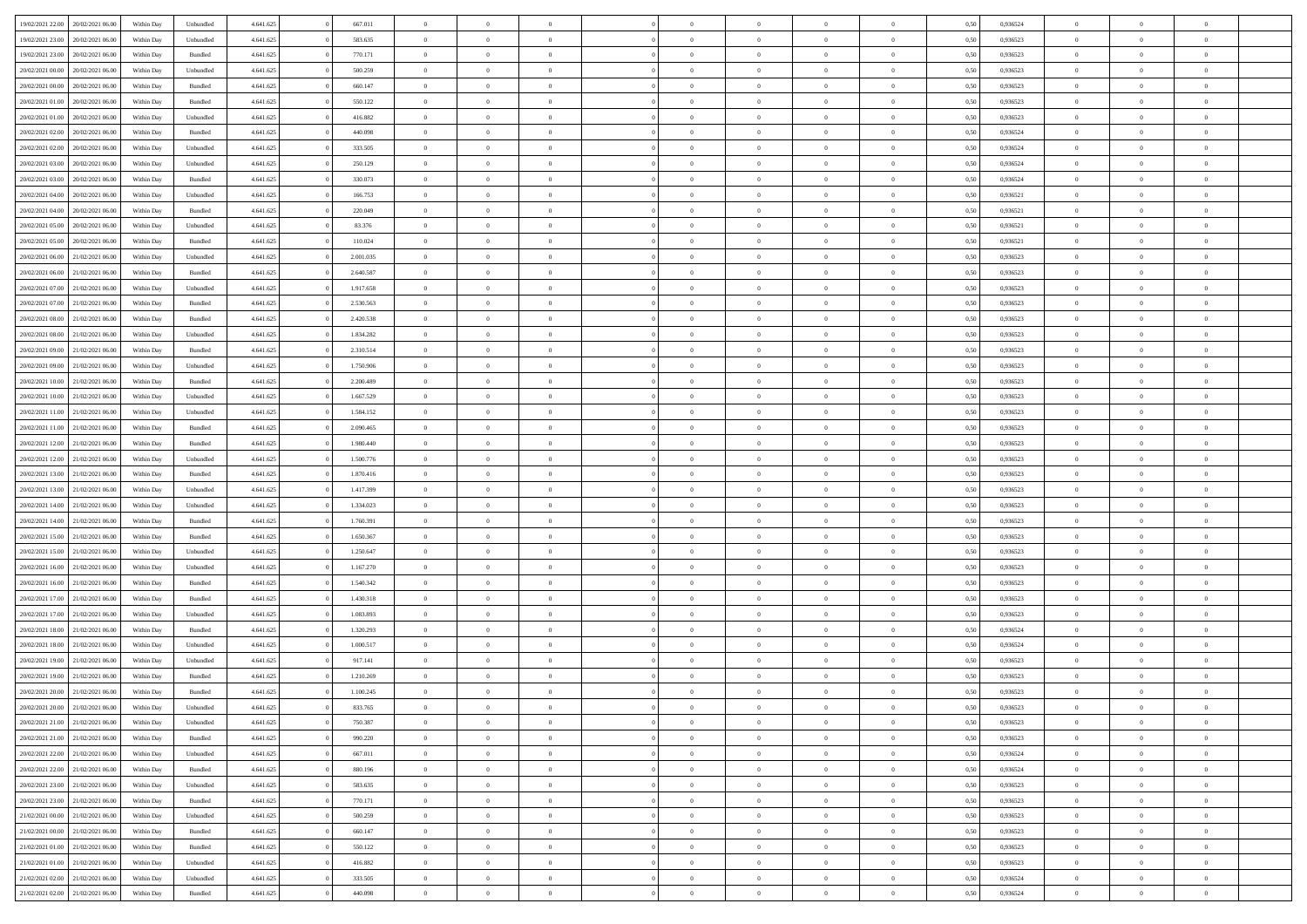| 19/02/2021 22.00                  | 20/02/2021 06:00 | Within Day | Unbundled          | 4.641.625 | 667.011   | $\overline{0}$ | $\theta$       |                | $\Omega$       | $\Omega$       | $\theta$       | $\theta$       | 0,50 | 0,936524 | $\theta$       | $\overline{0}$ | $\theta$       |  |
|-----------------------------------|------------------|------------|--------------------|-----------|-----------|----------------|----------------|----------------|----------------|----------------|----------------|----------------|------|----------|----------------|----------------|----------------|--|
|                                   |                  |            |                    |           |           |                |                |                |                |                |                |                |      |          |                |                |                |  |
| 19/02/2021 23:00                  | 20/02/2021 06:00 | Within Day | Unbundled          | 4.641.625 | 583.635   | $\overline{0}$ | $\theta$       | $\overline{0}$ | $\overline{0}$ | $\bf{0}$       | $\overline{0}$ | $\bf{0}$       | 0,50 | 0,936523 | $\theta$       | $\overline{0}$ | $\overline{0}$ |  |
| 19/02/2021 23:00                  | 20/02/2021 06:00 | Within Day | Bundled            | 4.641.625 | 770.171   | $\overline{0}$ | $\bf{0}$       | $\overline{0}$ | $\bf{0}$       | $\bf{0}$       | $\bf{0}$       | $\mathbf{0}$   | 0,50 | 0,936523 | $\overline{0}$ | $\overline{0}$ | $\bf{0}$       |  |
| 20/02/2021 00:00                  | 20/02/2021 06:00 | Within Day | Unbundled          | 4.641.625 | 500.259   | $\overline{0}$ | $\overline{0}$ | $\overline{0}$ | $\overline{0}$ | $\bf{0}$       | $\overline{0}$ | $\overline{0}$ | 0.50 | 0.936523 | $\theta$       | $\theta$       | $\overline{0}$ |  |
| 20/02/2021 00:00                  | 20/02/2021 06:00 | Within Day | Bundled            | 4.641.625 | 660.147   | $\overline{0}$ | $\theta$       | $\overline{0}$ | $\overline{0}$ | $\bf{0}$       | $\overline{0}$ | $\bf{0}$       | 0,50 | 0,936523 | $\theta$       | $\overline{0}$ | $\overline{0}$ |  |
|                                   |                  |            |                    |           |           |                |                |                |                |                |                |                |      |          |                |                |                |  |
| 20/02/2021 01:00                  | 20/02/2021 06:00 | Within Day | Bundled            | 4.641.625 | 550.122   | $\overline{0}$ | $\overline{0}$ | $\overline{0}$ | $\bf{0}$       | $\overline{0}$ | $\overline{0}$ | $\mathbf{0}$   | 0,50 | 0,936523 | $\overline{0}$ | $\overline{0}$ | $\bf{0}$       |  |
| 20/02/2021 01:00                  | 20/02/2021 06:00 | Within Dav | Unbundled          | 4.641.625 | 416.882   | $\overline{0}$ | $\overline{0}$ | $\overline{0}$ | $\overline{0}$ | $\overline{0}$ | $\overline{0}$ | $\overline{0}$ | 0.50 | 0.936523 | $\theta$       | $\overline{0}$ | $\overline{0}$ |  |
| 20/02/2021 02:00                  | 20/02/2021 06:00 | Within Day | Bundled            | 4.641.625 | 440.098   | $\overline{0}$ | $\theta$       | $\overline{0}$ | $\overline{0}$ | $\bf{0}$       | $\overline{0}$ | $\bf{0}$       | 0,50 | 0,936524 | $\theta$       | $\theta$       | $\overline{0}$ |  |
| 20/02/2021 02:00                  | 20/02/2021 06:00 | Within Day | Unbundled          | 4.641.625 | 333.505   | $\overline{0}$ | $\overline{0}$ | $\overline{0}$ | $\bf{0}$       | $\bf{0}$       | $\bf{0}$       | $\bf{0}$       | 0,50 | 0,936524 | $\,0\,$        | $\overline{0}$ | $\overline{0}$ |  |
| 20/02/2021 03:00                  | 20/02/2021 06:00 | Within Dav | Unbundled          | 4.641.625 | 250.129   | $\overline{0}$ | $\overline{0}$ | $\overline{0}$ | $\overline{0}$ | $\overline{0}$ | $\overline{0}$ | $\overline{0}$ | 0.50 | 0,936524 | $\theta$       | $\overline{0}$ | $\overline{0}$ |  |
| 20/02/2021 03:00                  | 20/02/2021 06:00 | Within Day | Bundled            | 4.641.625 | 330.073   | $\overline{0}$ | $\theta$       | $\overline{0}$ | $\overline{0}$ | $\bf{0}$       | $\overline{0}$ | $\bf{0}$       | 0,50 | 0,936524 | $\,$ 0 $\,$    | $\overline{0}$ | $\overline{0}$ |  |
|                                   |                  |            |                    |           |           |                |                |                |                |                |                |                |      |          |                |                |                |  |
| 20/02/2021 04:00                  | 20/02/2021 06:00 | Within Day | Unbundled          | 4.641.625 | 166.753   | $\overline{0}$ | $\bf{0}$       | $\overline{0}$ | $\bf{0}$       | $\bf{0}$       | $\bf{0}$       | $\mathbf{0}$   | 0,50 | 0,936521 | $\overline{0}$ | $\overline{0}$ | $\bf{0}$       |  |
| 20/02/2021 04:00                  | 20/02/2021 06:00 | Within Day | Bundled            | 4.641.625 | 220.049   | $\overline{0}$ | $\overline{0}$ | $\overline{0}$ | $\overline{0}$ | $\bf{0}$       | $\overline{0}$ | $\overline{0}$ | 0.50 | 0,936521 | $\theta$       | $\theta$       | $\overline{0}$ |  |
| 20/02/2021 05:00                  | 20/02/2021 06:00 | Within Day | Unbundled          | 4.641.625 | 83.376    | $\overline{0}$ | $\theta$       | $\overline{0}$ | $\overline{0}$ | $\bf{0}$       | $\overline{0}$ | $\bf{0}$       | 0,50 | 0,936521 | $\theta$       | $\overline{0}$ | $\overline{0}$ |  |
| 20/02/2021 05:00                  | 20/02/2021 06:00 | Within Day | Bundled            | 4.641.625 | 110.024   | $\overline{0}$ | $\overline{0}$ | $\overline{0}$ | $\bf{0}$       | $\overline{0}$ | $\overline{0}$ | $\mathbf{0}$   | 0,50 | 0,936521 | $\overline{0}$ | $\overline{0}$ | $\bf{0}$       |  |
| 20/02/2021 06:00                  | 21/02/2021 06:00 | Within Dav | Unbundled          | 4.641.625 | 2.001.035 | $\overline{0}$ | $\overline{0}$ | $\overline{0}$ | $\overline{0}$ | $\overline{0}$ | $\overline{0}$ | $\overline{0}$ | 0.50 | 0.936523 | $\theta$       | $\overline{0}$ | $\overline{0}$ |  |
| 20/02/2021 06:00                  | 21/02/2021 06:00 | Within Day | Bundled            | 4.641.625 | 2.640.587 | $\overline{0}$ | $\theta$       | $\overline{0}$ | $\overline{0}$ | $\bf{0}$       | $\overline{0}$ | $\bf{0}$       | 0,50 | 0,936523 | $\theta$       | $\theta$       | $\overline{0}$ |  |
| 20/02/2021 07:00                  | 21/02/2021 06:00 | Within Day | Unbundled          | 4.641.625 | 1.917.658 | $\overline{0}$ | $\overline{0}$ | $\overline{0}$ | $\bf{0}$       | $\bf{0}$       | $\bf{0}$       | $\mathbf{0}$   | 0,50 | 0,936523 | $\,0\,$        | $\overline{0}$ | $\overline{0}$ |  |
| 20/02/2021 07:00                  | 21/02/2021 06:00 | Within Day | Bundled            | 4.641.625 | 2.530.563 | $\overline{0}$ | $\overline{0}$ | $\overline{0}$ | $\overline{0}$ | $\overline{0}$ | $\overline{0}$ | $\overline{0}$ | 0.50 | 0.936523 | $\theta$       | $\overline{0}$ | $\overline{0}$ |  |
|                                   |                  |            |                    |           |           |                |                |                |                |                |                |                |      |          |                |                |                |  |
| 20/02/2021 08:00                  | 21/02/2021 06:00 | Within Day | Bundled            | 4.641.625 | 2.420.538 | $\overline{0}$ | $\theta$       | $\overline{0}$ | $\overline{0}$ | $\bf{0}$       | $\overline{0}$ | $\bf{0}$       | 0,50 | 0,936523 | $\,$ 0 $\,$    | $\overline{0}$ | $\overline{0}$ |  |
| 20/02/2021 08:00                  | 21/02/2021 06:00 | Within Day | Unbundled          | 4.641.625 | 1.834.282 | $\overline{0}$ | $\overline{0}$ | $\overline{0}$ | $\overline{0}$ | $\bf{0}$       | $\overline{0}$ | $\mathbf{0}$   | 0,50 | 0,936523 | $\,0\,$        | $\overline{0}$ | $\bf{0}$       |  |
| 20/02/2021 09:00                  | 21/02/2021 06:00 | Within Day | Bundled            | 4.641.625 | 2.310.514 | $\overline{0}$ | $\overline{0}$ | $\overline{0}$ | $\overline{0}$ | $\bf{0}$       | $\overline{0}$ | $\overline{0}$ | 0.50 | 0.936523 | $\theta$       | $\overline{0}$ | $\overline{0}$ |  |
| 20/02/2021 09:00                  | 21/02/2021 06:00 | Within Day | Unbundled          | 4.641.625 | 1.750.906 | $\overline{0}$ | $\theta$       | $\overline{0}$ | $\overline{0}$ | $\bf{0}$       | $\overline{0}$ | $\bf{0}$       | 0,50 | 0,936523 | $\theta$       | $\overline{0}$ | $\overline{0}$ |  |
| 20/02/2021 10:00                  | 21/02/2021 06:00 | Within Day | Bundled            | 4.641.625 | 2.200.489 | $\overline{0}$ | $\overline{0}$ | $\overline{0}$ | $\overline{0}$ | $\overline{0}$ | $\overline{0}$ | $\mathbf{0}$   | 0,50 | 0,936523 | $\overline{0}$ | $\overline{0}$ | $\bf{0}$       |  |
| 20/02/2021 10:00                  | 21/02/2021 06:00 | Within Day | Unbundled          | 4.641.625 | 1.667.529 | $\overline{0}$ | $\overline{0}$ | $\overline{0}$ | $\overline{0}$ | $\overline{0}$ | $\overline{0}$ | $\overline{0}$ | 0.50 | 0.936523 | $\theta$       | $\overline{0}$ | $\overline{0}$ |  |
| 20/02/2021 11:00                  | 21/02/2021 06:00 | Within Day | Unbundled          | 4.641.625 | 1.584.152 | $\overline{0}$ | $\theta$       | $\overline{0}$ | $\overline{0}$ | $\bf{0}$       | $\overline{0}$ | $\bf{0}$       | 0,50 | 0,936523 | $\theta$       | $\theta$       | $\overline{0}$ |  |
|                                   |                  |            |                    |           |           |                |                |                |                |                |                |                |      |          |                |                |                |  |
| 20/02/2021 11:00                  | 21/02/2021 06:00 | Within Day | Bundled            | 4.641.625 | 2.090.465 | $\overline{0}$ | $\overline{0}$ | $\overline{0}$ | $\overline{0}$ | $\bf{0}$       | $\overline{0}$ | $\bf{0}$       | 0,50 | 0,936523 | $\,0\,$        | $\overline{0}$ | $\overline{0}$ |  |
| 20/02/2021 12:00                  | 21/02/2021 06:00 | Within Day | Bundled            | 4.641.625 | 1.980.440 | $\overline{0}$ | $\overline{0}$ | $\overline{0}$ | $\overline{0}$ | $\overline{0}$ | $\overline{0}$ | $\overline{0}$ | 0.50 | 0.936523 | $\theta$       | $\overline{0}$ | $\overline{0}$ |  |
| 20/02/2021 12:00                  | 21/02/2021 06:00 | Within Day | Unbundled          | 4.641.625 | 1.500.776 | $\overline{0}$ | $\theta$       | $\overline{0}$ | $\overline{0}$ | $\bf{0}$       | $\overline{0}$ | $\bf{0}$       | 0,50 | 0,936523 | $\,$ 0 $\,$    | $\overline{0}$ | $\overline{0}$ |  |
| 20/02/2021 13:00                  | 21/02/2021 06:00 | Within Day | Bundled            | 4.641.625 | 1.870.416 | $\overline{0}$ | $\overline{0}$ | $\overline{0}$ | $\overline{0}$ | $\bf{0}$       | $\overline{0}$ | $\bf{0}$       | 0,50 | 0,936523 | $\overline{0}$ | $\overline{0}$ | $\bf{0}$       |  |
| 20/02/2021 13:00                  | 21/02/2021 06:00 | Within Day | Unbundled          | 4.641.625 | 1.417.399 | $\overline{0}$ | $\Omega$       | $\Omega$       | $\Omega$       | $\Omega$       | $\overline{0}$ | $\overline{0}$ | 0,50 | 0,936523 | $\,0\,$        | $\theta$       | $\theta$       |  |
| 20/02/2021 14:00                  | 21/02/2021 06:00 | Within Day | Unbundled          | 4.641.625 | 1.334.023 | $\overline{0}$ | $\theta$       | $\overline{0}$ | $\overline{0}$ | $\bf{0}$       | $\overline{0}$ | $\bf{0}$       | 0,50 | 0,936523 | $\theta$       | $\overline{0}$ | $\overline{0}$ |  |
|                                   |                  |            |                    |           |           |                |                |                |                |                |                |                |      |          |                | $\overline{0}$ | $\bf{0}$       |  |
| 20/02/2021 14:00                  | 21/02/2021 06:00 | Within Day | Bundled            | 4.641.625 | 1.760.391 | $\overline{0}$ | $\overline{0}$ | $\overline{0}$ | $\overline{0}$ | $\overline{0}$ | $\overline{0}$ | $\mathbf{0}$   | 0,50 | 0,936523 | $\overline{0}$ |                |                |  |
| 20/02/2021 15:00                  | 21/02/2021 06:00 | Within Day | Bundled            | 4.641.625 | 1.650.367 | $\overline{0}$ | $\Omega$       | $\Omega$       | $\Omega$       | $\bf{0}$       | $\overline{0}$ | $\overline{0}$ | 0.50 | 0.936523 | $\,0\,$        | $\theta$       | $\theta$       |  |
| 20/02/2021 15:00                  | 21/02/2021 06:00 | Within Day | Unbundled          | 4.641.625 | 1.250.647 | $\overline{0}$ | $\theta$       | $\overline{0}$ | $\overline{0}$ | $\bf{0}$       | $\overline{0}$ | $\bf{0}$       | 0,50 | 0,936523 | $\theta$       | $\overline{0}$ | $\overline{0}$ |  |
| 20/02/2021 16:00                  | 21/02/2021 06:00 | Within Day | Unbundled          | 4.641.625 | 1.167.270 | $\overline{0}$ | $\overline{0}$ | $\overline{0}$ | $\overline{0}$ | $\bf{0}$       | $\overline{0}$ | $\mathbf{0}$   | 0,50 | 0,936523 | $\bf{0}$       | $\overline{0}$ | $\bf{0}$       |  |
| 20/02/2021 16:00                  | 21/02/2021 06:00 | Within Day | Bundled            | 4.641.625 | 1.540.342 | $\overline{0}$ | $\Omega$       | $\Omega$       | $\Omega$       | $\overline{0}$ | $\overline{0}$ | $\overline{0}$ | 0.50 | 0.936523 | $\,$ 0 $\,$    | $\theta$       | $\theta$       |  |
| 20/02/2021 17:00                  | 21/02/2021 06:00 | Within Day | Bundled            | 4.641.625 | 1.430.318 | $\overline{0}$ | $\theta$       | $\overline{0}$ | $\overline{0}$ | $\bf{0}$       | $\overline{0}$ | $\bf{0}$       | 0,50 | 0,936523 | $\,$ 0 $\,$    | $\overline{0}$ | $\overline{0}$ |  |
| 20/02/2021 17:00                  | 21/02/2021 06:00 | Within Day | Unbundled          | 4.641.625 | 1.083.893 | $\overline{0}$ | $\bf{0}$       | $\overline{0}$ | $\overline{0}$ | $\bf{0}$       | $\overline{0}$ | $\mathbf{0}$   | 0,50 | 0,936523 | $\bf{0}$       | $\overline{0}$ | $\bf{0}$       |  |
| 20/02/2021 18:00                  | 21/02/2021 06:00 | Within Day |                    |           | 1.320.293 | $\overline{0}$ | $\Omega$       | $\overline{0}$ | $\Omega$       | $\overline{0}$ | $\overline{0}$ | $\overline{0}$ | 0,50 | 0,936524 | $\,0\,$        | $\theta$       | $\theta$       |  |
|                                   |                  |            | Bundled            | 4.641.625 |           |                | $\theta$       |                |                |                |                |                |      |          |                |                |                |  |
| 20/02/2021 18:00                  | 21/02/2021 06:00 | Within Day | Unbundled          | 4.641.625 | 1.000.517 | $\overline{0}$ |                | $\overline{0}$ | $\overline{0}$ | $\bf{0}$       | $\overline{0}$ | $\bf{0}$       | 0,50 | 0,936524 | $\,$ 0 $\,$    | $\overline{0}$ | $\overline{0}$ |  |
| 20/02/2021 19:00                  | 21/02/2021 06:00 | Within Day | Unbundled          | 4.641.625 | 917.141   | $\overline{0}$ | $\overline{0}$ | $\overline{0}$ | $\overline{0}$ | $\bf{0}$       | $\overline{0}$ | $\mathbf{0}$   | 0,50 | 0,936523 | $\bf{0}$       | $\overline{0}$ | $\bf{0}$       |  |
| 20/02/2021 19:00                  | 21/02/2021 06:00 | Within Day | Bundled            | 4.641.625 | 1.210.269 | $\overline{0}$ | $\Omega$       | $\Omega$       | $\Omega$       | $\Omega$       | $\Omega$       | $\overline{0}$ | 0.50 | 0.936523 | $\theta$       | $\theta$       | $\theta$       |  |
| 20/02/2021 20:00                  | 21/02/2021 06:00 | Within Day | Bundled            | 4.641.625 | 1.100.245 | $\overline{0}$ | $\overline{0}$ | $\overline{0}$ | $\bf{0}$       | $\,$ 0         | $\overline{0}$ | $\bf{0}$       | 0,50 | 0,936523 | $\,0\,$        | $\,0\,$        | $\overline{0}$ |  |
| 20/02/2021 20:00                  | 21/02/2021 06:00 | Within Day | Unbundled          | 4.641.625 | 833.765   | $\bf{0}$       | $\bf{0}$       |                |                | $\bf{0}$       |                |                | 0,50 | 0,936523 | $\bf{0}$       | $\overline{0}$ |                |  |
| 20/02/2021 21:00                  | 21/02/2021 06:00 | Within Day | Unbundled          | 4.641.625 | 750,387   | $\overline{0}$ | $\overline{0}$ | $\overline{0}$ | $\Omega$       | $\overline{0}$ | $\overline{0}$ | $\overline{0}$ | 0,50 | 0.936523 | $\theta$       | $\theta$       | $\theta$       |  |
| 20/02/2021 21:00                  | 21/02/2021 06:00 | Within Day | Bundled            | 4.641.625 | 990.220   | $\overline{0}$ | $\bf{0}$       | $\overline{0}$ | $\bf{0}$       | $\,$ 0 $\,$    | $\overline{0}$ | $\,$ 0 $\,$    | 0,50 | 0,936523 | $\,$ 0 $\,$    | $\,$ 0 $\,$    | $\,$ 0         |  |
| 20/02/2021 22:00                  | 21/02/2021 06:00 | Within Day | Unbundled          | 4.641.625 | 667.011   | $\overline{0}$ | $\overline{0}$ | $\overline{0}$ | $\overline{0}$ | $\overline{0}$ | $\overline{0}$ | $\mathbf{0}$   | 0,50 | 0,936524 | $\overline{0}$ | $\bf{0}$       | $\bf{0}$       |  |
|                                   |                  |            |                    |           |           |                |                |                |                |                |                |                |      |          |                |                |                |  |
| 20/02/2021 22:00                  | 21/02/2021 06:00 | Within Day | $\mathbf B$ undled | 4.641.625 | 880.196   | $\overline{0}$ | $\overline{0}$ | $\overline{0}$ | $\Omega$       | $\overline{0}$ | $\overline{0}$ | $\overline{0}$ | 0,50 | 0,936524 | $\overline{0}$ | $\theta$       | $\overline{0}$ |  |
| 20/02/2021 23:00                  | 21/02/2021 06:00 | Within Day | Unbundled          | 4.641.625 | 583.635   | $\overline{0}$ | $\,$ 0         | $\overline{0}$ | $\overline{0}$ | $\,$ 0 $\,$    | $\overline{0}$ | $\mathbf{0}$   | 0,50 | 0,936523 | $\,$ 0 $\,$    | $\overline{0}$ | $\overline{0}$ |  |
| 20/02/2021 23:00                  | 21/02/2021 06:00 | Within Day | Bundled            | 4.641.625 | 770.171   | $\overline{0}$ | $\overline{0}$ | $\overline{0}$ | $\overline{0}$ | $\overline{0}$ | $\overline{0}$ | $\mathbf{0}$   | 0,50 | 0,936523 | $\overline{0}$ | $\overline{0}$ | $\bf{0}$       |  |
| 21/02/2021 00:00                  | 21/02/2021 06:00 | Within Day | Unbundled          | 4.641.625 | 500.259   | $\overline{0}$ | $\overline{0}$ | $\overline{0}$ | $\Omega$       | $\overline{0}$ | $\overline{0}$ | $\bf{0}$       | 0.50 | 0,936523 | $\overline{0}$ | $\theta$       | $\overline{0}$ |  |
| 21/02/2021 00:00                  | 21/02/2021 06:00 | Within Day | Bundled            | 4.641.625 | 660.147   | $\overline{0}$ | $\,$ 0         | $\overline{0}$ | $\bf{0}$       | $\bf{0}$       | $\bf{0}$       | $\bf{0}$       | 0,50 | 0,936523 | $\,$ 0 $\,$    | $\overline{0}$ | $\overline{0}$ |  |
| 21/02/2021 01:00                  | 21/02/2021 06:00 | Within Day | Bundled            | 4.641.625 | 550.122   | $\overline{0}$ | $\bf{0}$       | $\overline{0}$ | $\overline{0}$ | $\overline{0}$ | $\overline{0}$ | $\mathbf{0}$   | 0,50 | 0,936523 | $\overline{0}$ | $\overline{0}$ | $\bf{0}$       |  |
| 21/02/2021 01:00                  | 21/02/2021 06:00 | Within Day | Unbundled          | 4.641.625 | 416.882   | $\overline{0}$ | $\overline{0}$ | $\overline{0}$ | $\Omega$       | $\overline{0}$ | $\overline{0}$ | $\overline{0}$ | 0.50 | 0.936523 | $\overline{0}$ | $\theta$       | $\overline{0}$ |  |
| 21/02/2021 02:00                  | 21/02/2021 06:00 | Within Day | Unbundled          | 4.641.625 | 333.505   | $\overline{0}$ | $\bf{0}$       | $\overline{0}$ | $\overline{0}$ | $\bf{0}$       | $\bf{0}$       | $\mathbf{0}$   | 0,50 | 0,936524 | $\,$ 0 $\,$    | $\,$ 0 $\,$    | $\bf{0}$       |  |
|                                   |                  |            |                    |           |           |                |                |                |                |                |                |                |      |          |                |                |                |  |
| 21/02/2021 02.00 21/02/2021 06.00 |                  | Within Day | Bundled            | 4.641.625 | 440.098   | $\overline{0}$ | $\overline{0}$ | $\overline{0}$ | $\overline{0}$ | $\overline{0}$ | $\overline{0}$ | $\mathbf{0}$   | 0,50 | 0,936524 | $\overline{0}$ | $\bf{0}$       | $\bf{0}$       |  |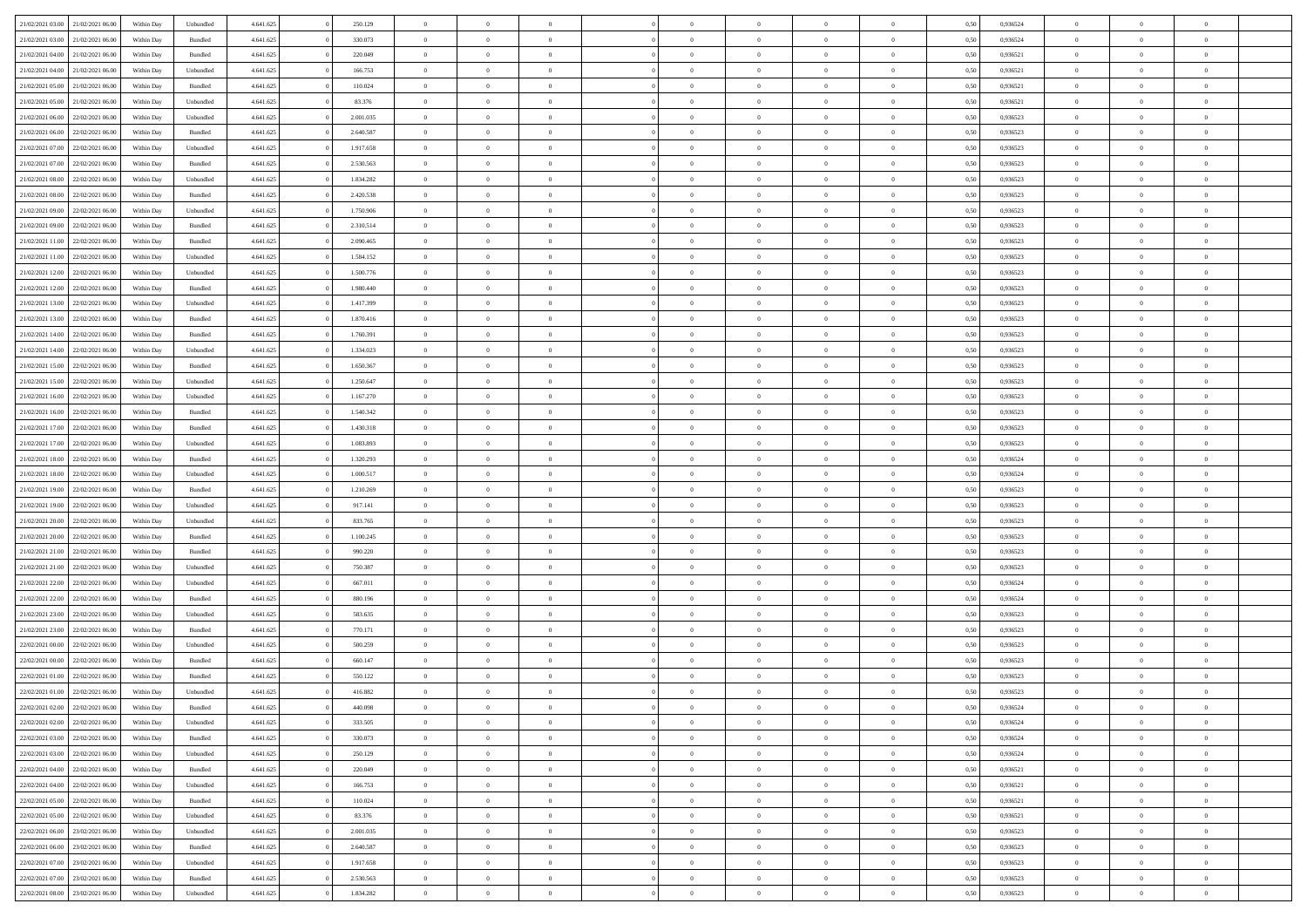| 21/02/2021 03:00                  | 21/02/2021 06:00 | Within Day | Unbundled          | 4.641.625 | 250.129   | $\overline{0}$ | $\Omega$       |                | $\Omega$       | $\Omega$       | $\Omega$       | $\theta$       | 0.50 | 0,936524 | $\theta$       | $\theta$       | $\theta$       |  |
|-----------------------------------|------------------|------------|--------------------|-----------|-----------|----------------|----------------|----------------|----------------|----------------|----------------|----------------|------|----------|----------------|----------------|----------------|--|
| 21/02/2021 03:00                  | 21/02/2021 06:00 | Within Day | Bundled            | 4.641.625 | 330.073   | $\overline{0}$ | $\theta$       | $\overline{0}$ | $\overline{0}$ | $\bf{0}$       | $\overline{0}$ | $\bf{0}$       | 0,50 | 0,936524 | $\theta$       | $\overline{0}$ | $\overline{0}$ |  |
| 21/02/2021 04:00                  | 21/02/2021 06:00 | Within Day | Bundled            | 4.641.625 | 220.049   | $\overline{0}$ | $\overline{0}$ | $\overline{0}$ | $\overline{0}$ | $\bf{0}$       | $\overline{0}$ | $\bf{0}$       | 0,50 | 0,936521 | $\bf{0}$       | $\overline{0}$ | $\overline{0}$ |  |
|                                   |                  |            |                    |           |           |                |                |                |                |                |                |                |      |          |                |                |                |  |
| 21/02/2021 04:00                  | 21/02/2021 06:00 | Within Dav | Unbundled          | 4.641.625 | 166.753   | $\overline{0}$ | $\overline{0}$ | $\overline{0}$ | $\overline{0}$ | $\bf{0}$       | $\overline{0}$ | $\overline{0}$ | 0.50 | 0.936521 | $\theta$       | $\theta$       | $\overline{0}$ |  |
| 21/02/2021 05:00                  | 21/02/2021 06:00 | Within Day | Bundled            | 4.641.625 | 110.024   | $\overline{0}$ | $\theta$       | $\overline{0}$ | $\overline{0}$ | $\bf{0}$       | $\overline{0}$ | $\bf{0}$       | 0,50 | 0,936521 | $\theta$       | $\overline{0}$ | $\overline{0}$ |  |
| 21/02/2021 05:00                  | 21/02/2021 06:00 | Within Day | Unbundled          | 4.641.625 | 83.376    | $\overline{0}$ | $\bf{0}$       | $\overline{0}$ | $\overline{0}$ | $\overline{0}$ | $\overline{0}$ | $\mathbf{0}$   | 0,50 | 0,936521 | $\bf{0}$       | $\overline{0}$ | $\bf{0}$       |  |
| 21/02/2021 06:00                  | 22/02/2021 06:00 | Within Dav | Unbundled          | 4.641.625 | 2.001.035 | $\overline{0}$ | $\overline{0}$ | $\overline{0}$ | $\overline{0}$ | $\overline{0}$ | $\overline{0}$ | $\overline{0}$ | 0.50 | 0.936523 | $\theta$       | $\overline{0}$ | $\overline{0}$ |  |
|                                   |                  |            |                    |           |           |                |                |                |                |                |                |                |      |          |                |                |                |  |
| 21/02/2021 06:00                  | 22/02/2021 06:00 | Within Day | Bundled            | 4.641.625 | 2.640.587 | $\overline{0}$ | $\theta$       | $\overline{0}$ | $\overline{0}$ | $\bf{0}$       | $\overline{0}$ | $\bf{0}$       | 0,50 | 0,936523 | $\theta$       | $\theta$       | $\overline{0}$ |  |
| 21/02/2021 07:00                  | 22/02/2021 06:00 | Within Day | Unbundled          | 4.641.625 | 1.917.658 | $\overline{0}$ | $\overline{0}$ | $\overline{0}$ | $\overline{0}$ | $\bf{0}$       | $\bf{0}$       | $\bf{0}$       | 0,50 | 0,936523 | $\,0\,$        | $\overline{0}$ | $\overline{0}$ |  |
| 21/02/2021 07:00                  | 22/02/2021 06:00 | Within Dav | Bundled            | 4.641.625 | 2.530.563 | $\overline{0}$ | $\overline{0}$ | $\overline{0}$ | $\overline{0}$ | $\overline{0}$ | $\overline{0}$ | $\overline{0}$ | 0.50 | 0.936523 | $\theta$       | $\overline{0}$ | $\overline{0}$ |  |
|                                   |                  |            |                    |           |           |                |                |                |                |                |                |                |      |          |                |                |                |  |
| 21/02/2021 08:00                  | 22/02/2021 06:00 | Within Day | Unbundled          | 4.641.625 | 1.834.282 | $\overline{0}$ | $\theta$       | $\overline{0}$ | $\overline{0}$ | $\bf{0}$       | $\overline{0}$ | $\bf{0}$       | 0,50 | 0,936523 | $\theta$       | $\overline{0}$ | $\overline{0}$ |  |
| 21/02/2021 08:00                  | 22/02/2021 06:00 | Within Day | Bundled            | 4.641.625 | 2.420.538 | $\overline{0}$ | $\overline{0}$ | $\overline{0}$ | $\bf{0}$       | $\bf{0}$       | $\bf{0}$       | $\bf{0}$       | 0,50 | 0,936523 | $\bf{0}$       | $\overline{0}$ | $\overline{0}$ |  |
| 21/02/2021 09:00                  | 22/02/2021 06:00 | Within Day | Unbundled          | 4.641.625 | 1.750.906 | $\overline{0}$ | $\overline{0}$ | $\overline{0}$ | $\overline{0}$ | $\bf{0}$       | $\overline{0}$ | $\overline{0}$ | 0.50 | 0.936523 | $\theta$       | $\theta$       | $\overline{0}$ |  |
| 21/02/2021 09:00                  | 22/02/2021 06:00 | Within Day | Bundled            | 4.641.625 | 2.310.514 | $\overline{0}$ | $\theta$       | $\overline{0}$ | $\overline{0}$ | $\bf{0}$       | $\overline{0}$ | $\overline{0}$ | 0,50 | 0,936523 | $\theta$       | $\theta$       | $\overline{0}$ |  |
|                                   |                  |            |                    |           |           |                |                |                |                |                |                |                |      |          |                |                |                |  |
| 21/02/2021 11:00                  | 22/02/2021 06:00 | Within Day | Bundled            | 4.641.625 | 2.090.465 | $\overline{0}$ | $\bf{0}$       | $\overline{0}$ | $\bf{0}$       | $\overline{0}$ | $\overline{0}$ | $\mathbf{0}$   | 0,50 | 0,936523 | $\overline{0}$ | $\overline{0}$ | $\bf{0}$       |  |
| 21/02/2021 11:00                  | 22/02/2021 06:00 | Within Dav | Unbundled          | 4.641.625 | 1.584.152 | $\overline{0}$ | $\overline{0}$ | $\overline{0}$ | $\overline{0}$ | $\overline{0}$ | $\overline{0}$ | $\overline{0}$ | 0.50 | 0.936523 | $\theta$       | $\overline{0}$ | $\overline{0}$ |  |
| 21/02/2021 12:00                  | 22/02/2021 06:00 | Within Day | Unbundled          | 4.641.625 | 1.500.776 | $\overline{0}$ | $\theta$       | $\overline{0}$ | $\overline{0}$ | $\bf{0}$       | $\overline{0}$ | $\bf{0}$       | 0,50 | 0,936523 | $\theta$       | $\theta$       | $\overline{0}$ |  |
|                                   |                  |            |                    |           |           |                |                |                |                |                |                |                |      |          |                |                |                |  |
| 21/02/2021 12:00                  | 22/02/2021 06:00 | Within Day | Bundled            | 4.641.625 | 1.980.440 | $\overline{0}$ | $\overline{0}$ | $\overline{0}$ | $\bf{0}$       | $\bf{0}$       | $\bf{0}$       | $\bf{0}$       | 0,50 | 0,936523 | $\,0\,$        | $\overline{0}$ | $\overline{0}$ |  |
| 21/02/2021 13:00                  | 22/02/2021 06:00 | Within Day | Unbundled          | 4.641.625 | 1.417.399 | $\overline{0}$ | $\overline{0}$ | $\overline{0}$ | $\overline{0}$ | $\overline{0}$ | $\overline{0}$ | $\overline{0}$ | 0.50 | 0.936523 | $\theta$       | $\overline{0}$ | $\overline{0}$ |  |
| 21/02/2021 13:00                  | 22/02/2021 06:00 | Within Day | Bundled            | 4.641.625 | 1.870.416 | $\overline{0}$ | $\theta$       | $\overline{0}$ | $\overline{0}$ | $\bf{0}$       | $\overline{0}$ | $\bf{0}$       | 0,50 | 0,936523 | $\theta$       | $\theta$       | $\overline{0}$ |  |
| 21/02/2021 14:00                  | 22/02/2021 06:00 | Within Day | Bundled            | 4.641.625 | 1.760.391 | $\overline{0}$ | $\overline{0}$ | $\overline{0}$ | $\bf{0}$       | $\bf{0}$       | $\bf{0}$       | $\bf{0}$       | 0,50 | 0,936523 | $\,0\,$        | $\overline{0}$ | $\overline{0}$ |  |
|                                   | 22/02/2021 06:00 |            | Unbundled          | 4.641.625 | 1.334.023 | $\overline{0}$ | $\overline{0}$ |                |                | $\bf{0}$       | $\overline{0}$ |                | 0.50 | 0.936523 | $\theta$       | $\theta$       | $\overline{0}$ |  |
| 21/02/2021 14:00                  |                  | Within Day |                    |           |           |                |                | $\overline{0}$ | $\overline{0}$ |                |                | $\overline{0}$ |      |          |                |                |                |  |
| 21/02/2021 15:00                  | 22/02/2021 06:00 | Within Day | Bundled            | 4.641.625 | 1.650.367 | $\overline{0}$ | $\theta$       | $\overline{0}$ | $\overline{0}$ | $\bf{0}$       | $\overline{0}$ | $\bf{0}$       | 0,50 | 0,936523 | $\theta$       | $\overline{0}$ | $\overline{0}$ |  |
| 21/02/2021 15:00                  | 22/02/2021 06:00 | Within Day | Unbundled          | 4.641.625 | 1.250.647 | $\overline{0}$ | $\bf{0}$       | $\overline{0}$ | $\overline{0}$ | $\overline{0}$ | $\overline{0}$ | $\mathbf{0}$   | 0,50 | 0,936523 | $\bf{0}$       | $\overline{0}$ | $\bf{0}$       |  |
| 21/02/2021 16:00                  | 22/02/2021 06:00 | Within Dav | Unbundled          | 4.641.625 | 1.167.270 | $\overline{0}$ | $\overline{0}$ | $\overline{0}$ | $\overline{0}$ | $\overline{0}$ | $\overline{0}$ | $\overline{0}$ | 0.50 | 0.936523 | $\theta$       | $\overline{0}$ | $\overline{0}$ |  |
|                                   |                  |            |                    |           |           |                |                |                |                |                |                |                |      |          |                |                |                |  |
| 21/02/2021 16:00                  | 22/02/2021 06:00 | Within Day | Bundled            | 4.641.625 | 1.540.342 | $\overline{0}$ | $\theta$       | $\overline{0}$ | $\overline{0}$ | $\bf{0}$       | $\overline{0}$ | $\bf{0}$       | 0,50 | 0,936523 | $\theta$       | $\theta$       | $\overline{0}$ |  |
| 21/02/2021 17:00                  | 22/02/2021 06:00 | Within Day | Bundled            | 4.641.625 | 1.430.318 | $\overline{0}$ | $\overline{0}$ | $\overline{0}$ | $\overline{0}$ | $\bf{0}$       | $\overline{0}$ | $\bf{0}$       | 0,50 | 0,936523 | $\,0\,$        | $\overline{0}$ | $\overline{0}$ |  |
| 21/02/2021 17:00                  | 22/02/2021 06:00 | Within Day | Unbundled          | 4.641.625 | 1.083.893 | $\overline{0}$ | $\overline{0}$ | $\overline{0}$ | $\overline{0}$ | $\overline{0}$ | $\overline{0}$ | $\overline{0}$ | 0.50 | 0.936523 | $\theta$       | $\overline{0}$ | $\overline{0}$ |  |
| 21/02/2021 18:00                  | 22/02/2021 06:00 | Within Day | Bundled            | 4.641.625 | 1.320.293 | $\overline{0}$ | $\theta$       | $\overline{0}$ | $\overline{0}$ | $\bf{0}$       | $\overline{0}$ | $\bf{0}$       | 0,50 | 0,936524 | $\,$ 0 $\,$    | $\theta$       | $\overline{0}$ |  |
|                                   |                  |            |                    |           |           |                |                |                |                |                |                |                |      |          |                |                |                |  |
| 21/02/2021 18:00                  | 22/02/2021 06:00 | Within Day | Unbundled          | 4.641.625 | 1.000.517 | $\overline{0}$ | $\overline{0}$ | $\overline{0}$ | $\overline{0}$ | $\bf{0}$       | $\overline{0}$ | $\bf{0}$       | 0,50 | 0,936524 | $\bf{0}$       | $\overline{0}$ | $\overline{0}$ |  |
| 21/02/2021 19:00                  | 22/02/2021 06:00 | Within Day | Bundled            | 4.641.625 | 1.210.269 | $\overline{0}$ | $\Omega$       | $\Omega$       | $\Omega$       | $\Omega$       | $\Omega$       | $\overline{0}$ | 0.50 | 0,936523 | $\,0\,$        | $\theta$       | $\theta$       |  |
| 21/02/2021 19:00                  | 22/02/2021 06:00 | Within Day | Unbundled          | 4.641.625 | 917.141   | $\overline{0}$ | $\theta$       | $\overline{0}$ | $\overline{0}$ | $\bf{0}$       | $\overline{0}$ | $\bf{0}$       | 0,50 | 0,936523 | $\theta$       | $\theta$       | $\overline{0}$ |  |
| 21/02/2021 20:00                  | 22/02/2021 06:00 | Within Day | Unbundled          | 4.641.625 | 833.765   | $\overline{0}$ | $\overline{0}$ | $\overline{0}$ | $\bf{0}$       | $\bf{0}$       | $\overline{0}$ | $\mathbf{0}$   | 0,50 | 0,936523 | $\overline{0}$ | $\overline{0}$ | $\bf{0}$       |  |
|                                   |                  |            |                    |           |           |                |                |                |                |                |                |                |      |          |                |                |                |  |
| 21/02/2021 20:00                  | 22/02/2021 06:00 | Within Day | Bundled            | 4.641.625 | 1.100.245 | $\overline{0}$ | $\Omega$       | $\Omega$       | $\Omega$       | $\bf{0}$       | $\overline{0}$ | $\overline{0}$ | 0.50 | 0.936523 | $\theta$       | $\theta$       | $\theta$       |  |
| 21/02/2021 21:00                  | 22/02/2021 06:00 | Within Day | Bundled            | 4.641.625 | 990.220   | $\overline{0}$ | $\theta$       | $\overline{0}$ | $\overline{0}$ | $\bf{0}$       | $\overline{0}$ | $\bf{0}$       | 0,50 | 0,936523 | $\theta$       | $\theta$       | $\overline{0}$ |  |
| 21/02/2021 21:00                  | 22/02/2021 06:00 | Within Day | Unbundled          | 4.641.625 | 750.387   | $\overline{0}$ | $\overline{0}$ | $\overline{0}$ | $\bf{0}$       | $\bf{0}$       | $\bf{0}$       | $\bf{0}$       | 0,50 | 0,936523 | $\bf{0}$       | $\overline{0}$ | $\overline{0}$ |  |
| 21/02/2021 22:00                  | 22/02/2021 06:00 |            | Unbundled          | 4.641.625 | 667.011   | $\overline{0}$ | $\Omega$       | $\Omega$       | $\Omega$       | $\Omega$       | $\theta$       | $\overline{0}$ | 0.50 | 0.936524 | $\theta$       | $\theta$       | $\theta$       |  |
|                                   |                  | Within Day |                    |           |           |                |                |                |                |                |                |                |      |          |                |                |                |  |
| 21/02/2021 22:00                  | 22/02/2021 06:00 | Within Day | Bundled            | 4.641.625 | 880.196   | $\overline{0}$ | $\theta$       | $\overline{0}$ | $\overline{0}$ | $\bf{0}$       | $\overline{0}$ | $\bf{0}$       | 0,50 | 0,936524 | $\,$ 0 $\,$    | $\overline{0}$ | $\overline{0}$ |  |
| 21/02/2021 23:00                  | 22/02/2021 06:00 | Within Day | Unbundled          | 4.641.625 | 583.635   | $\overline{0}$ | $\overline{0}$ | $\overline{0}$ | $\bf{0}$       | $\bf{0}$       | $\bf{0}$       | $\bf{0}$       | 0,50 | 0,936523 | $\overline{0}$ | $\overline{0}$ | $\overline{0}$ |  |
| 21/02/2021 23:00                  | 22/02/2021 06:00 | Within Day | Bundled            | 4.641.625 | 770.171   | $\overline{0}$ | $\Omega$       | $\Omega$       | $\Omega$       | $\Omega$       | $\overline{0}$ | $\overline{0}$ | 0.50 | 0,936523 | $\,0\,$        | $\theta$       | $\theta$       |  |
| 22/02/2021 00:00                  | 22/02/2021 06:00 | Within Day | Unbundled          | 4.641.625 | 500.259   | $\overline{0}$ | $\theta$       | $\overline{0}$ | $\overline{0}$ | $\bf{0}$       | $\overline{0}$ | $\bf{0}$       | 0,50 | 0,936523 | $\,$ 0 $\,$    | $\overline{0}$ | $\overline{0}$ |  |
|                                   |                  |            |                    |           |           |                |                |                |                |                |                |                |      |          |                |                |                |  |
| 22/02/2021 00:00                  | 22/02/2021 06:00 | Within Day | Bundled            | 4.641.625 | 660.147   | $\overline{0}$ | $\overline{0}$ | $\overline{0}$ | $\bf{0}$       | $\bf{0}$       | $\bf{0}$       | $\mathbf{0}$   | 0,50 | 0,936523 | $\overline{0}$ | $\overline{0}$ | $\bf{0}$       |  |
| 22/02/2021 01:00                  | 22/02/2021 06:00 | Within Day | Bundled            | 4.641.625 | 550.122   | $\overline{0}$ | $\Omega$       | $\Omega$       | $\Omega$       | $\Omega$       | $\Omega$       | $\overline{0}$ | 0.50 | 0.936523 | $\theta$       | $\theta$       | $\theta$       |  |
| 22/02/2021 01:00                  | 22/02/2021 06:00 | Within Day | Unbundled          | 4.641.625 | 416.882   | $\overline{0}$ | $\overline{0}$ | $\overline{0}$ | $\bf{0}$       | $\,$ 0         | $\overline{0}$ | $\bf{0}$       | 0,50 | 0,936523 | $\,0\,$        | $\overline{0}$ | $\overline{0}$ |  |
| 22/02/2021 02:00                  | 22/02/2021 06:00 | Within Day | $\mathbf B$ undled | 4.641.625 | 440.098   | $\bf{0}$       | $\bf{0}$       |                |                |                |                |                | 0,50 | 0,936524 | $\bf{0}$       | $\overline{0}$ |                |  |
|                                   |                  |            |                    |           |           |                |                |                |                |                |                |                |      |          |                |                |                |  |
| 22/02/2021 02:00                  | 22/02/2021 06:00 | Within Day | Unbundled          | 4.641.625 | 333.505   | $\overline{0}$ | $\overline{0}$ | $\overline{0}$ | $\Omega$       | $\overline{0}$ | $\overline{0}$ | $\overline{0}$ | 0.50 | 0.936524 | $\theta$       | $\theta$       | $\theta$       |  |
| 22/02/2021 03:00                  | 22/02/2021 06:00 | Within Day | Bundled            | 4.641.625 | 330.073   | $\overline{0}$ | $\,$ 0         | $\overline{0}$ | $\overline{0}$ | $\,$ 0 $\,$    | $\overline{0}$ | $\mathbf{0}$   | 0,50 | 0,936524 | $\,$ 0 $\,$    | $\,$ 0 $\,$    | $\,$ 0         |  |
| 22/02/2021 03:00                  | 22/02/2021 06:00 | Within Day | Unbundled          | 4.641.625 | 250.129   | $\overline{0}$ | $\overline{0}$ | $\overline{0}$ | $\overline{0}$ | $\overline{0}$ | $\overline{0}$ | $\mathbf{0}$   | 0,50 | 0,936524 | $\overline{0}$ | $\bf{0}$       | $\bf{0}$       |  |
|                                   |                  |            |                    |           |           |                | $\overline{0}$ |                | $\Omega$       | $\overline{0}$ | $\overline{0}$ |                |      |          |                | $\theta$       | $\overline{0}$ |  |
| 22/02/2021 04:00                  | 22/02/2021 06:00 | Within Day | Bundled            | 4.641.625 | 220.049   | $\overline{0}$ |                | $\overline{0}$ |                |                |                | $\overline{0}$ | 0,50 | 0,936521 | $\overline{0}$ |                |                |  |
| 22/02/2021 04:00                  | 22/02/2021 06:00 | Within Day | Unbundled          | 4.641.625 | 166.753   | $\overline{0}$ | $\,$ 0         | $\overline{0}$ | $\overline{0}$ | $\,$ 0 $\,$    | $\overline{0}$ | $\mathbf{0}$   | 0,50 | 0,936521 | $\,$ 0 $\,$    | $\overline{0}$ | $\overline{0}$ |  |
| 22/02/2021 05:00                  | 22/02/2021 06:00 | Within Day | Bundled            | 4.641.625 | 110.024   | $\overline{0}$ | $\overline{0}$ | $\overline{0}$ | $\overline{0}$ | $\overline{0}$ | $\overline{0}$ | $\mathbf{0}$   | 0,50 | 0,936521 | $\overline{0}$ | $\overline{0}$ | $\bf{0}$       |  |
| 22/02/2021 05:00                  | 22/02/2021 06:00 | Within Day | Unbundled          | 4.641.625 | 83.376    | $\overline{0}$ | $\overline{0}$ | $\overline{0}$ | $\Omega$       | $\overline{0}$ | $\overline{0}$ | $\bf{0}$       | 0.50 | 0,936521 | $\overline{0}$ | $\theta$       | $\overline{0}$ |  |
|                                   |                  |            |                    |           |           |                |                |                |                |                |                |                |      |          |                |                |                |  |
| 22/02/2021 06:00                  | 23/02/2021 06:00 | Within Day | Unbundled          | 4.641.625 | 2.001.035 | $\overline{0}$ | $\,$ 0         | $\overline{0}$ | $\overline{0}$ | $\bf{0}$       | $\overline{0}$ | $\bf{0}$       | 0,50 | 0,936523 | $\,$ 0 $\,$    | $\overline{0}$ | $\overline{0}$ |  |
| 22/02/2021 06:00                  | 23/02/2021 06:00 | Within Day | Bundled            | 4.641.625 | 2.640.587 | $\overline{0}$ | $\bf{0}$       | $\overline{0}$ | $\overline{0}$ | $\overline{0}$ | $\overline{0}$ | $\mathbf{0}$   | 0,50 | 0,936523 | $\overline{0}$ | $\overline{0}$ | $\bf{0}$       |  |
| 22/02/2021 07:00                  | 23/02/2021 06:00 | Within Day | Unbundled          | 4.641.625 | 1.917.658 | $\overline{0}$ | $\overline{0}$ | $\overline{0}$ | $\Omega$       | $\overline{0}$ | $\overline{0}$ | $\overline{0}$ | 0.50 | 0.936523 | $\overline{0}$ | $\theta$       | $\overline{0}$ |  |
| 22/02/2021 07:00                  | 23/02/2021 06:00 | Within Day | Bundled            | 4.641.625 | 2.530.563 | $\overline{0}$ | $\bf{0}$       | $\overline{0}$ | $\overline{0}$ | $\bf{0}$       | $\overline{0}$ | $\bf{0}$       | 0,50 | 0,936523 | $\,$ 0 $\,$    | $\,$ 0 $\,$    | $\bf{0}$       |  |
|                                   |                  |            |                    |           |           |                |                |                |                |                |                |                |      |          |                |                |                |  |
| 22/02/2021 08:00 23/02/2021 06:00 |                  | Within Day | Unbundled          | 4.641.625 | 1.834.282 | $\overline{0}$ | $\bf{0}$       | $\overline{0}$ | $\bf{0}$       | $\bf{0}$       | $\overline{0}$ | $\bf{0}$       | 0,50 | 0,936523 | $\overline{0}$ | $\overline{0}$ | $\bf{0}$       |  |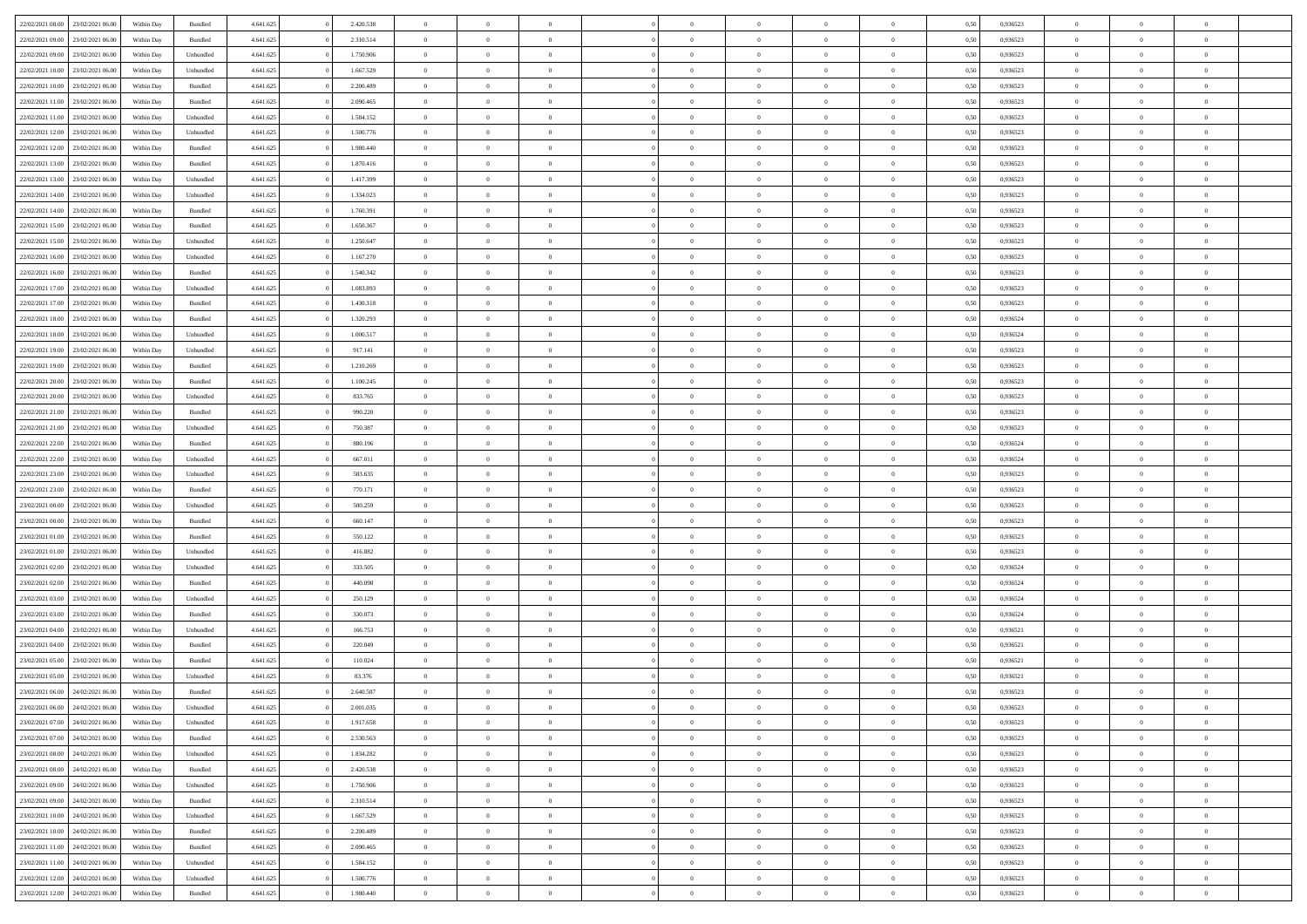| 22/02/2021 08:00                  | 23/02/2021 06:00 | Within Day | Bundled   | 4.641.625 | 2.420.538 | $\overline{0}$ | $\Omega$       |                | $\Omega$       | $\Omega$       | $\theta$       | $\theta$       | 0,50 | 0,936523 | $\theta$       | $\theta$       | $\theta$       |  |
|-----------------------------------|------------------|------------|-----------|-----------|-----------|----------------|----------------|----------------|----------------|----------------|----------------|----------------|------|----------|----------------|----------------|----------------|--|
|                                   |                  |            |           |           |           |                |                |                |                |                |                |                |      |          |                |                |                |  |
| 22/02/2021 09:00                  | 23/02/2021 06:00 | Within Day | Bundled   | 4.641.625 | 2.310.514 | $\overline{0}$ | $\theta$       | $\overline{0}$ | $\overline{0}$ | $\bf{0}$       | $\overline{0}$ | $\bf{0}$       | 0,50 | 0,936523 | $\theta$       | $\overline{0}$ | $\overline{0}$ |  |
| 22/02/2021 09:00                  | 23/02/2021 06:00 | Within Day | Unbundled | 4.641.625 | 1.750.906 | $\overline{0}$ | $\bf{0}$       | $\overline{0}$ | $\overline{0}$ | $\bf{0}$       | $\overline{0}$ | $\mathbf{0}$   | 0,50 | 0,936523 | $\overline{0}$ | $\overline{0}$ | $\bf{0}$       |  |
| 22/02/2021 10:00                  | 23/02/2021 06:00 | Within Dav | Unbundled | 4.641.625 | 1.667.529 | $\overline{0}$ | $\overline{0}$ | $\overline{0}$ | $\overline{0}$ | $\bf{0}$       | $\overline{0}$ | $\overline{0}$ | 0.50 | 0.936523 | $\theta$       | $\theta$       | $\overline{0}$ |  |
| 22/02/2021 10:00                  | 23/02/2021 06:00 | Within Day | Bundled   | 4.641.625 | 2.200.489 | $\overline{0}$ | $\theta$       | $\overline{0}$ | $\overline{0}$ | $\bf{0}$       | $\overline{0}$ | $\bf{0}$       | 0,50 | 0,936523 | $\theta$       | $\overline{0}$ | $\overline{0}$ |  |
| 22/02/2021 11:00                  | 23/02/2021 06:00 | Within Day | Bundled   | 4.641.625 | 2.090.465 | $\overline{0}$ | $\overline{0}$ | $\overline{0}$ | $\bf{0}$       | $\overline{0}$ | $\overline{0}$ | $\mathbf{0}$   | 0,50 | 0,936523 | $\overline{0}$ | $\overline{0}$ | $\bf{0}$       |  |
| 22/02/2021 11:00                  | 23/02/2021 06:00 | Within Dav | Unbundled | 4.641.625 | 1.584.152 | $\overline{0}$ | $\overline{0}$ | $\overline{0}$ | $\overline{0}$ | $\overline{0}$ | $\overline{0}$ | $\overline{0}$ | 0.50 | 0.936523 | $\theta$       | $\overline{0}$ | $\overline{0}$ |  |
|                                   |                  |            |           |           |           |                |                |                |                |                |                |                |      |          |                |                |                |  |
| 22/02/2021 12:00                  | 23/02/2021 06:00 | Within Day | Unbundled | 4.641.625 | 1.500.776 | $\overline{0}$ | $\theta$       | $\overline{0}$ | $\overline{0}$ | $\bf{0}$       | $\overline{0}$ | $\bf{0}$       | 0,50 | 0,936523 | $\theta$       | $\theta$       | $\overline{0}$ |  |
| 22/02/2021 12:00                  | 23/02/2021 06:00 | Within Day | Bundled   | 4.641.625 | 1.980.440 | $\overline{0}$ | $\overline{0}$ | $\overline{0}$ | $\bf{0}$       | $\bf{0}$       | $\bf{0}$       | $\mathbf{0}$   | 0,50 | 0,936523 | $\,0\,$        | $\overline{0}$ | $\overline{0}$ |  |
| 22/02/2021 13:00                  | 23/02/2021 06:00 | Within Dav | Bundled   | 4.641.625 | 1.870.416 | $\overline{0}$ | $\overline{0}$ | $\overline{0}$ | $\overline{0}$ | $\overline{0}$ | $\overline{0}$ | $\overline{0}$ | 0.50 | 0.936523 | $\theta$       | $\overline{0}$ | $\overline{0}$ |  |
| 22/02/2021 13:00                  | 23/02/2021 06:00 | Within Day | Unbundled | 4.641.625 | 1.417.399 | $\overline{0}$ | $\theta$       | $\overline{0}$ | $\overline{0}$ | $\bf{0}$       | $\overline{0}$ | $\bf{0}$       | 0,50 | 0,936523 | $\,$ 0 $\,$    | $\overline{0}$ | $\overline{0}$ |  |
| 22/02/2021 14:00                  | 23/02/2021 06:00 | Within Day | Unbundled | 4.641.625 | 1.334.023 | $\overline{0}$ | $\bf{0}$       | $\overline{0}$ | $\bf{0}$       | $\bf{0}$       | $\bf{0}$       | $\mathbf{0}$   | 0,50 | 0,936523 | $\overline{0}$ | $\overline{0}$ | $\bf{0}$       |  |
| 22/02/2021 14:00                  | 23/02/2021 06:00 | Within Day | Bundled   | 4.641.625 | 1.760.391 | $\overline{0}$ | $\overline{0}$ | $\overline{0}$ | $\overline{0}$ | $\bf{0}$       | $\overline{0}$ | $\overline{0}$ | 0.50 | 0.936523 | $\theta$       | $\theta$       | $\overline{0}$ |  |
| 22/02/2021 15:00                  | 23/02/2021 06:00 | Within Day | Bundled   | 4.641.625 | 1.650.367 | $\overline{0}$ | $\theta$       | $\overline{0}$ | $\overline{0}$ | $\bf{0}$       | $\overline{0}$ | $\bf{0}$       | 0,50 | 0,936523 | $\theta$       | $\overline{0}$ | $\overline{0}$ |  |
|                                   |                  |            |           |           |           |                |                |                |                |                |                |                |      |          |                |                |                |  |
| 22/02/2021 15:00                  | 23/02/2021 06:00 | Within Day | Unbundled | 4.641.625 | 1.250.647 | $\overline{0}$ | $\overline{0}$ | $\overline{0}$ | $\bf{0}$       | $\overline{0}$ | $\overline{0}$ | $\mathbf{0}$   | 0,50 | 0,936523 | $\overline{0}$ | $\overline{0}$ | $\bf{0}$       |  |
| 22/02/2021 16:00                  | 23/02/2021 06:00 | Within Dav | Unbundled | 4.641.625 | 1.167.270 | $\overline{0}$ | $\overline{0}$ | $\overline{0}$ | $\overline{0}$ | $\overline{0}$ | $\overline{0}$ | $\overline{0}$ | 0.50 | 0.936523 | $\theta$       | $\overline{0}$ | $\overline{0}$ |  |
| 22/02/2021 16:00                  | 23/02/2021 06:00 | Within Day | Bundled   | 4.641.625 | 1.540.342 | $\overline{0}$ | $\theta$       | $\overline{0}$ | $\overline{0}$ | $\bf{0}$       | $\overline{0}$ | $\bf{0}$       | 0,50 | 0,936523 | $\theta$       | $\theta$       | $\overline{0}$ |  |
| 22/02/2021 17:00                  | 23/02/2021 06:00 | Within Day | Unbundled | 4.641.625 | 1.083.893 | $\overline{0}$ | $\overline{0}$ | $\overline{0}$ | $\overline{0}$ | $\bf{0}$       | $\overline{0}$ | $\mathbf{0}$   | 0,50 | 0,936523 | $\bf{0}$       | $\overline{0}$ | $\bf{0}$       |  |
| 22/02/2021 17:00                  | 23/02/2021 06:00 | Within Day | Bundled   | 4.641.625 | 1.430.318 | $\overline{0}$ | $\overline{0}$ | $\overline{0}$ | $\overline{0}$ | $\overline{0}$ | $\overline{0}$ | $\overline{0}$ | 0.50 | 0.936523 | $\theta$       | $\overline{0}$ | $\overline{0}$ |  |
| 22/02/2021 18:00                  | 23/02/2021 06:00 | Within Day | Bundled   | 4.641.625 | 1.320.293 | $\overline{0}$ | $\theta$       | $\overline{0}$ | $\overline{0}$ | $\bf{0}$       | $\overline{0}$ | $\bf{0}$       | 0,50 | 0,936524 | $\,$ 0 $\,$    | $\overline{0}$ | $\overline{0}$ |  |
| 22/02/2021 18:00                  | 23/02/2021 06:00 | Within Day | Unbundled | 4.641.625 | 1.000.517 | $\overline{0}$ | $\overline{0}$ | $\overline{0}$ | $\overline{0}$ | $\bf{0}$       | $\overline{0}$ | $\mathbf{0}$   | 0,50 | 0,936524 | $\bf{0}$       | $\overline{0}$ | $\bf{0}$       |  |
| 22/02/2021 19:00                  | 23/02/2021 06:00 | Within Day | Unbundled | 4.641.625 | 917.141   | $\overline{0}$ | $\overline{0}$ | $\overline{0}$ | $\overline{0}$ | $\bf{0}$       | $\overline{0}$ | $\overline{0}$ | 0.50 | 0.936523 | $\theta$       | $\overline{0}$ | $\overline{0}$ |  |
|                                   |                  |            |           |           |           |                |                |                |                |                |                |                |      |          |                |                |                |  |
| 22/02/2021 19:00                  | 23/02/2021 06:00 | Within Day | Bundled   | 4.641.625 | 1.210.269 | $\overline{0}$ | $\theta$       | $\overline{0}$ | $\overline{0}$ | $\bf{0}$       | $\overline{0}$ | $\bf{0}$       | 0,50 | 0,936523 | $\,$ 0 $\,$    | $\overline{0}$ | $\overline{0}$ |  |
| 22/02/2021 20:00                  | 23/02/2021 06:00 | Within Day | Bundled   | 4.641.625 | 1.100.245 | $\overline{0}$ | $\overline{0}$ | $\overline{0}$ | $\overline{0}$ | $\overline{0}$ | $\overline{0}$ | $\mathbf{0}$   | 0,50 | 0,936523 | $\bf{0}$       | $\overline{0}$ | $\bf{0}$       |  |
| 22/02/2021 20:00                  | 23/02/2021 06:00 | Within Dav | Unbundled | 4.641.625 | 833.765   | $\overline{0}$ | $\overline{0}$ | $\overline{0}$ | $\overline{0}$ | $\overline{0}$ | $\overline{0}$ | $\overline{0}$ | 0.50 | 0.936523 | $\theta$       | $\overline{0}$ | $\overline{0}$ |  |
| 22/02/2021 21:00                  | 23/02/2021 06:00 | Within Day | Bundled   | 4.641.625 | 990.220   | $\overline{0}$ | $\theta$       | $\overline{0}$ | $\overline{0}$ | $\bf{0}$       | $\overline{0}$ | $\bf{0}$       | 0,50 | 0,936523 | $\theta$       | $\theta$       | $\overline{0}$ |  |
| 22/02/2021 21:00                  | 23/02/2021 06:00 | Within Day | Unbundled | 4.641.625 | 750.387   | $\overline{0}$ | $\overline{0}$ | $\overline{0}$ | $\overline{0}$ | $\bf{0}$       | $\overline{0}$ | $\mathbf{0}$   | 0,50 | 0,936523 | $\,0\,$        | $\overline{0}$ | $\bf{0}$       |  |
| 22/02/2021 22:00                  | 23/02/2021 06:00 | Within Day | Bundled   | 4.641.625 | 880,196   | $\overline{0}$ | $\overline{0}$ | $\overline{0}$ | $\overline{0}$ | $\overline{0}$ | $\overline{0}$ | $\overline{0}$ | 0.50 | 0,936524 | $\theta$       | $\overline{0}$ | $\overline{0}$ |  |
| 22/02/2021 22:00                  | 23/02/2021 06:00 | Within Day | Unbundled | 4.641.625 | 667.011   | $\overline{0}$ | $\theta$       | $\overline{0}$ | $\overline{0}$ | $\bf{0}$       | $\overline{0}$ | $\bf{0}$       | 0,50 | 0,936524 | $\,$ 0 $\,$    | $\overline{0}$ | $\overline{0}$ |  |
|                                   |                  |            |           |           |           |                |                |                |                |                |                |                |      |          |                |                |                |  |
| 22/02/2021 23:00                  | 23/02/2021 06:00 | Within Day | Unbundled | 4.641.625 | 583.635   | $\overline{0}$ | $\overline{0}$ | $\overline{0}$ | $\overline{0}$ | $\bf{0}$       | $\overline{0}$ | $\bf{0}$       | 0,50 | 0,936523 | $\bf{0}$       | $\overline{0}$ | $\bf{0}$       |  |
| 22/02/2021 23:00                  | 23/02/2021 06:00 | Within Day | Bundled   | 4.641.625 | 770.171   | $\overline{0}$ | $\Omega$       | $\Omega$       | $\Omega$       | $\Omega$       | $\overline{0}$ | $\overline{0}$ | 0,50 | 0,936523 | $\,0\,$        | $\theta$       | $\theta$       |  |
| 23/02/2021 00:00                  | 23/02/2021 06:00 | Within Day | Unbundled | 4.641.625 | 500.259   | $\overline{0}$ | $\theta$       | $\overline{0}$ | $\overline{0}$ | $\bf{0}$       | $\overline{0}$ | $\bf{0}$       | 0,50 | 0,936523 | $\theta$       | $\overline{0}$ | $\overline{0}$ |  |
| 23/02/2021 00:00                  | 23/02/2021 06:00 | Within Day | Bundled   | 4.641.625 | 660.147   | $\overline{0}$ | $\overline{0}$ | $\overline{0}$ | $\bf{0}$       | $\overline{0}$ | $\overline{0}$ | $\mathbf{0}$   | 0,50 | 0,936523 | $\bf{0}$       | $\overline{0}$ | $\bf{0}$       |  |
| 23/02/2021 01:00                  | 23/02/2021 06:00 | Within Day | Bundled   | 4.641.625 | 550.122   | $\overline{0}$ | $\Omega$       | $\Omega$       | $\Omega$       | $\overline{0}$ | $\overline{0}$ | $\overline{0}$ | 0.50 | 0.936523 | $\,0\,$        | $\theta$       | $\theta$       |  |
| 23/02/2021 01:00                  | 23/02/2021 06:00 | Within Day | Unbundled | 4.641.625 | 416.882   | $\overline{0}$ | $\theta$       | $\overline{0}$ | $\overline{0}$ | $\bf{0}$       | $\overline{0}$ | $\bf{0}$       | 0,50 | 0,936523 | $\theta$       | $\overline{0}$ | $\overline{0}$ |  |
| 23/02/2021 02:00                  | 23/02/2021 06:00 | Within Day | Unbundled | 4.641.625 | 333.505   | $\overline{0}$ | $\overline{0}$ | $\overline{0}$ | $\bf{0}$       | $\bf{0}$       | $\bf{0}$       | $\mathbf{0}$   | 0,50 | 0,936524 | $\bf{0}$       | $\overline{0}$ | $\bf{0}$       |  |
| 23/02/2021 02:00                  | 23/02/2021 06:00 | Within Day | Bundled   | 4.641.625 | 440,098   | $\overline{0}$ | $\Omega$       | $\Omega$       | $\Omega$       | $\overline{0}$ | $\overline{0}$ | $\overline{0}$ | 0.50 | 0.936524 | $\,$ 0 $\,$    | $\theta$       | $\theta$       |  |
| 23/02/2021 03:00                  | 23/02/2021 06:00 |            |           | 4.641.625 | 250.129   | $\overline{0}$ | $\overline{0}$ | $\overline{0}$ | $\overline{0}$ | $\,$ 0         | $\overline{0}$ |                |      | 0,936524 | $\,$ 0 $\,$    | $\overline{0}$ | $\overline{0}$ |  |
|                                   |                  | Within Day | Unbundled |           |           |                |                |                |                |                |                | $\bf{0}$       | 0,50 |          |                |                |                |  |
| 23/02/2021 03:00                  | 23/02/2021 06:00 | Within Day | Bundled   | 4.641.625 | 330.073   | $\overline{0}$ | $\overline{0}$ | $\overline{0}$ | $\bf{0}$       | $\bf{0}$       | $\bf{0}$       | $\mathbf{0}$   | 0,50 | 0,936524 | $\bf{0}$       | $\overline{0}$ | $\bf{0}$       |  |
| 23/02/2021 04:00                  | 23/02/2021 06:00 | Within Day | Unbundled | 4.641.625 | 166.753   | $\overline{0}$ | $\Omega$       | $\overline{0}$ | $\Omega$       | $\overline{0}$ | $\overline{0}$ | $\overline{0}$ | 0,50 | 0,936521 | $\,0\,$        | $\theta$       | $\theta$       |  |
| 23/02/2021 04:00                  | 23/02/2021 06:00 | Within Day | Bundled   | 4.641.625 | 220.049   | $\overline{0}$ | $\overline{0}$ | $\overline{0}$ | $\overline{0}$ | $\,$ 0         | $\overline{0}$ | $\bf{0}$       | 0,50 | 0,936521 | $\,$ 0 $\,$    | $\overline{0}$ | $\overline{0}$ |  |
| 23/02/2021 05:00                  | 23/02/2021 06:00 | Within Day | Bundled   | 4.641.625 | 110.024   | $\overline{0}$ | $\overline{0}$ | $\overline{0}$ | $\bf{0}$       | $\bf{0}$       | $\overline{0}$ | $\mathbf{0}$   | 0,50 | 0,936521 | $\bf{0}$       | $\overline{0}$ | $\bf{0}$       |  |
| 23/02/2021 05:00                  | 23/02/2021 06:00 | Within Day | Unbundled | 4.641.625 | 83.376    | $\overline{0}$ | $\Omega$       | $\Omega$       | $\Omega$       | $\Omega$       | $\Omega$       | $\overline{0}$ | 0.50 | 0.936521 | $\theta$       | $\theta$       | $\theta$       |  |
| 23/02/2021 06:00                  | 24/02/2021 06:00 | Within Day | Bundled   | 4.641.625 | 2.640.587 | $\overline{0}$ | $\overline{0}$ | $\overline{0}$ | $\bf{0}$       | $\,$ 0         | $\bf{0}$       | $\bf{0}$       | 0,50 | 0,936523 | $\,0\,$        | $\,$ 0 $\,$    | $\overline{0}$ |  |
| 23/02/2021 06:00 24/02/2021 06:00 |                  | Within Day | Unbundled | 4.641.625 | 2.001.035 | $\bf{0}$       | $\bf{0}$       |                |                | $\bf{0}$       |                |                | 0,50 | 0,936523 | $\bf{0}$       | $\overline{0}$ |                |  |
| 23/02/2021 07:00                  | 24/02/2021 06:00 | Within Day | Unbundled | 4.641.625 | 1.917.658 | $\overline{0}$ | $\overline{0}$ | $\overline{0}$ | $\Omega$       | $\theta$       | $\overline{0}$ | $\overline{0}$ | 0.50 | 0.936523 | $\theta$       | $\theta$       | $\theta$       |  |
|                                   |                  |            |           |           |           |                |                |                |                |                |                |                |      |          |                |                |                |  |
| 23/02/2021 07:00                  | 24/02/2021 06.00 | Within Day | Bundled   | 4.641.625 | 2.530.563 | $\overline{0}$ | $\,$ 0         | $\overline{0}$ | $\bf{0}$       | $\,$ 0 $\,$    | $\overline{0}$ | $\mathbf{0}$   | 0,50 | 0,936523 | $\,$ 0 $\,$    | $\,$ 0 $\,$    | $\,$ 0         |  |
| 23/02/2021 08:00                  | 24/02/2021 06:00 | Within Day | Unbundled | 4.641.625 | 1.834.282 | $\overline{0}$ | $\overline{0}$ | $\overline{0}$ | $\overline{0}$ | $\overline{0}$ | $\overline{0}$ | $\mathbf{0}$   | 0,50 | 0,936523 | $\overline{0}$ | $\bf{0}$       | $\bf{0}$       |  |
| 23/02/2021 08:00                  | 24/02/2021 06:00 | Within Day | Bundled   | 4.641.625 | 2.420.538 | $\overline{0}$ | $\theta$       | $\overline{0}$ | $\Omega$       | $\overline{0}$ | $\overline{0}$ | $\bf{0}$       | 0,50 | 0,936523 | $\overline{0}$ | $\theta$       | $\overline{0}$ |  |
| 23/02/2021 09:00                  | 24/02/2021 06.00 | Within Day | Unbundled | 4.641.625 | 1.750.906 | $\overline{0}$ | $\,$ 0         | $\overline{0}$ | $\overline{0}$ | $\overline{0}$ | $\overline{0}$ | $\bf{0}$       | 0,50 | 0,936523 | $\,$ 0 $\,$    | $\overline{0}$ | $\overline{0}$ |  |
| 23/02/2021 09:00                  | 24/02/2021 06:00 | Within Day | Bundled   | 4.641.625 | 2.310.514 | $\overline{0}$ | $\overline{0}$ | $\overline{0}$ | $\overline{0}$ | $\overline{0}$ | $\overline{0}$ | $\mathbf{0}$   | 0,50 | 0,936523 | $\overline{0}$ | $\bf{0}$       | $\bf{0}$       |  |
| 23/02/2021 10:00                  | 24/02/2021 06:00 | Within Day | Unbundled | 4.641.625 | 1.667.529 | $\overline{0}$ | $\overline{0}$ | $\overline{0}$ | $\Omega$       | $\overline{0}$ | $\overline{0}$ | $\bf{0}$       | 0.50 | 0,936523 | $\overline{0}$ | $\theta$       | $\overline{0}$ |  |
| 23/02/2021 10:00                  | 24/02/2021 06.00 | Within Day | Bundled   | 4.641.625 | 2.200.489 | $\overline{0}$ | $\,$ 0         | $\overline{0}$ | $\bf{0}$       | $\bf{0}$       | $\bf{0}$       | $\bf{0}$       | 0,50 | 0,936523 | $\,$ 0 $\,$    | $\overline{0}$ | $\overline{0}$ |  |
| 23/02/2021 11:00                  | 24/02/2021 06:00 | Within Day | Bundled   | 4.641.625 | 2.090.465 | $\overline{0}$ | $\bf{0}$       | $\overline{0}$ | $\overline{0}$ | $\overline{0}$ | $\bf{0}$       | $\mathbf{0}$   | 0,50 | 0,936523 | $\overline{0}$ | $\overline{0}$ | $\bf{0}$       |  |
|                                   |                  |            |           |           |           |                |                |                |                |                |                |                |      |          |                |                |                |  |
| 23/02/2021 11:00                  | 24/02/2021 06:00 | Within Day | Unbundled | 4.641.625 | 1.584.152 | $\overline{0}$ | $\overline{0}$ | $\overline{0}$ | $\Omega$       | $\overline{0}$ | $\overline{0}$ | $\bf{0}$       | 0.50 | 0.936523 | $\overline{0}$ | $\theta$       | $\overline{0}$ |  |
| 23/02/2021 12:00                  | 24/02/2021 06.00 | Within Day | Unbundled | 4.641.625 | 1.500.776 | $\overline{0}$ | $\bf{0}$       | $\overline{0}$ | $\overline{0}$ | $\bf{0}$       | $\overline{0}$ | $\mathbf{0}$   | 0,50 | 0,936523 | $\,$ 0 $\,$    | $\,$ 0 $\,$    | $\bf{0}$       |  |
| 23/02/2021 12:00 24/02/2021 06:00 |                  | Within Day | Bundled   | 4.641.625 | 1.980.440 | $\overline{0}$ | $\overline{0}$ | $\overline{0}$ | $\overline{0}$ | $\bf{0}$       | $\overline{0}$ | $\mathbf{0}$   | 0,50 | 0,936523 | $\overline{0}$ | $\bf{0}$       | $\bf{0}$       |  |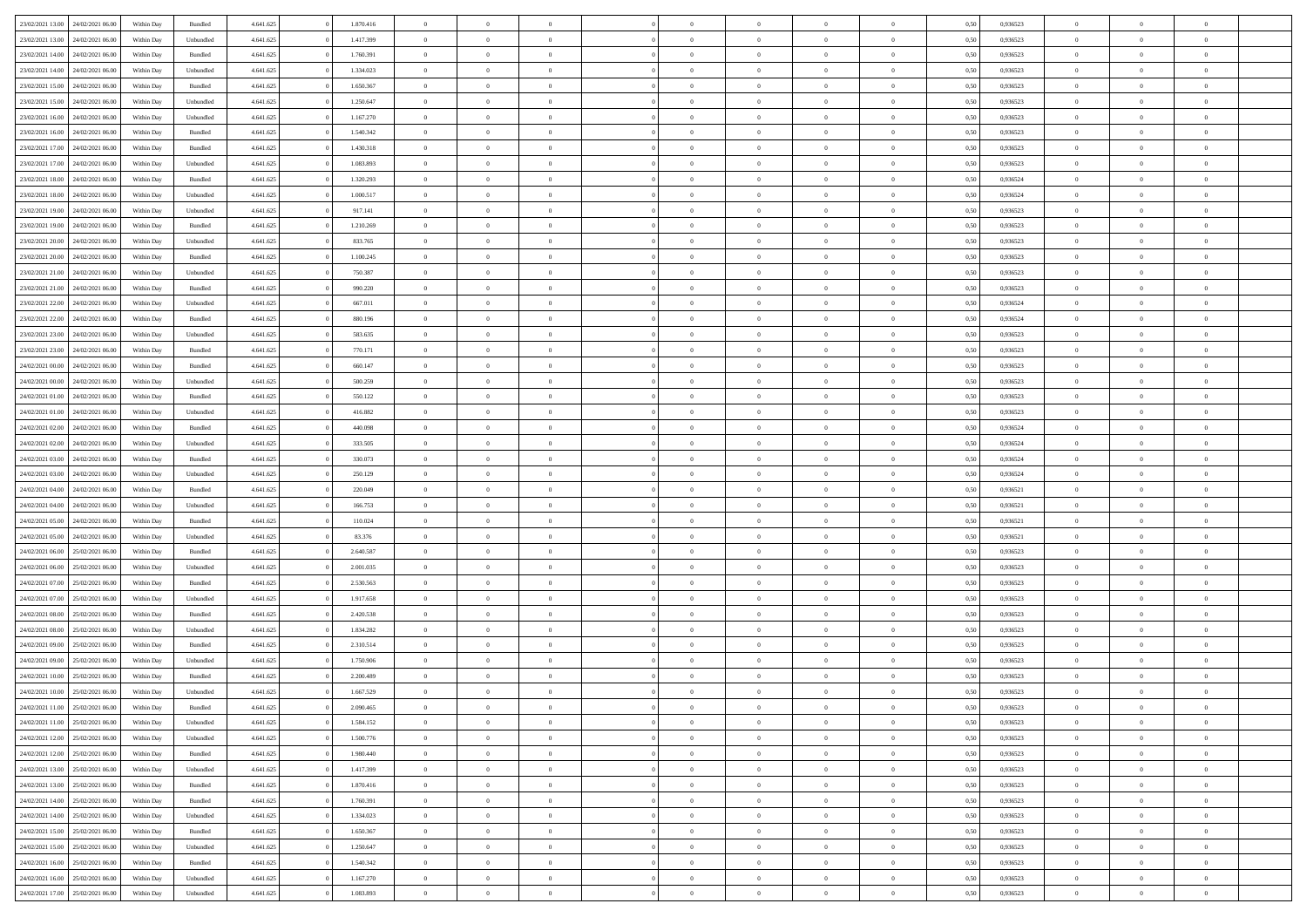| 23/02/2021 13:00                  | 24/02/2021 06:00 | Within Day | Bundled            | 4.641.625 | 1.870.416 | $\overline{0}$ | $\theta$       |                | $\overline{0}$ | $\bf{0}$       | $\overline{0}$ | $\theta$       | 0,50 | 0,936523 | $\theta$       | $\theta$       | $\overline{0}$           |  |
|-----------------------------------|------------------|------------|--------------------|-----------|-----------|----------------|----------------|----------------|----------------|----------------|----------------|----------------|------|----------|----------------|----------------|--------------------------|--|
|                                   |                  |            |                    |           |           | $\overline{0}$ | $\overline{0}$ |                |                |                |                |                |      |          |                |                | $\overline{0}$           |  |
| 23/02/2021 13:00                  | 24/02/2021 06.00 | Within Day | Unbundled          | 4.641.625 | 1.417.399 |                |                | $\overline{0}$ | $\overline{0}$ | $\,$ 0         | $\overline{0}$ | $\bf{0}$       | 0,50 | 0,936523 | $\,$ 0 $\,$    | $\overline{0}$ |                          |  |
| 23/02/2021 14:00                  | 24/02/2021 06:00 | Within Day | Bundled            | 4.641.625 | 1.760.391 | $\overline{0}$ | $\overline{0}$ | $\overline{0}$ | $\overline{0}$ | $\bf{0}$       | $\overline{0}$ | $\mathbf{0}$   | 0.50 | 0.936523 | $\bf{0}$       | $\overline{0}$ | $\overline{0}$           |  |
| 23/02/2021 14:00                  | 24/02/2021 06.00 | Within Day | Unbundled          | 4.641.625 | 1.334.023 | $\overline{0}$ | $\overline{0}$ | $\overline{0}$ | $\overline{0}$ | $\bf{0}$       | $\overline{0}$ | $\overline{0}$ | 0,50 | 0,936523 | $\,$ 0 $\,$    | $\overline{0}$ | $\overline{0}$           |  |
| 23/02/2021 15:00                  | 24/02/2021 06.00 | Within Day | Bundled            | 4.641.625 | 1.650.367 | $\overline{0}$ | $\theta$       | $\overline{0}$ |                | $\overline{0}$ | $\overline{0}$ | $\bf{0}$       | 0,50 | 0,936523 | $\,$ 0 $\,$    | $\overline{0}$ | $\overline{0}$           |  |
| 23/02/2021 15:00                  | 24/02/2021 06:00 | Within Day | Unbundled          | 4.641.625 | 1.250.647 | $\overline{0}$ | $\overline{0}$ | $\overline{0}$ | $\overline{0}$ | $\bf{0}$       | $\overline{0}$ | $\bf{0}$       | 0.50 | 0.936523 | $\,0\,$        | $\theta$       | $\overline{0}$           |  |
| 23/02/2021 16:00                  | 24/02/2021 06.00 | Within Day | Unbundled          | 4.641.625 | 1.167.270 | $\overline{0}$ | $\overline{0}$ | $\overline{0}$ | $\overline{0}$ | $\,$ 0         | $\overline{0}$ | $\overline{0}$ | 0,50 | 0,936523 | $\,$ 0 $\,$    | $\theta$       | $\overline{0}$           |  |
| 23/02/2021 16:00                  | 24/02/2021 06.00 | Within Day | Bundled            | 4.641.625 | 1.540.342 | $\overline{0}$ | $\theta$       | $\overline{0}$ | $\overline{0}$ | $\,$ 0         | $\overline{0}$ | $\bf{0}$       | 0,50 | 0,936523 | $\,$ 0 $\,$    | $\overline{0}$ | $\overline{0}$           |  |
|                                   |                  |            |                    |           |           |                |                |                |                |                |                |                |      |          |                |                |                          |  |
| 23/02/2021 17:00                  | 24/02/2021 06:00 | Within Day | Bundled            | 4.641.625 | 1.430.318 | $\overline{0}$ | $\overline{0}$ | $\overline{0}$ | $\overline{0}$ | $\bf{0}$       | $\overline{0}$ | $\bf{0}$       | 0.50 | 0.936523 | $\,0\,$        | $\overline{0}$ | $\overline{0}$           |  |
| 23/02/2021 17:00                  | 24/02/2021 06:00 | Within Day | Unbundled          | 4.641.625 | 1.083.893 | $\overline{0}$ | $\overline{0}$ | $\overline{0}$ | $\overline{0}$ | $\,$ 0         | $\overline{0}$ | $\bf{0}$       | 0,50 | 0,936523 | $\,$ 0 $\,$    | $\overline{0}$ | $\overline{0}$           |  |
| 23/02/2021 18:00                  | 24/02/2021 06.00 | Within Day | Bundled            | 4.641.625 | 1.320.293 | $\overline{0}$ | $\theta$       | $\overline{0}$ | $\overline{0}$ | $\,$ 0         | $\overline{0}$ | $\bf{0}$       | 0,50 | 0,936524 | $\,$ 0 $\,$    | $\overline{0}$ | $\overline{0}$           |  |
| 23/02/2021 18:00                  | 24/02/2021 06:00 | Within Day | Unbundled          | 4.641.625 | 1.000.517 | $\overline{0}$ | $\overline{0}$ | $\overline{0}$ | $\overline{0}$ | $\bf{0}$       | $\overline{0}$ | $\mathbf{0}$   | 0.50 | 0.936524 | $\bf{0}$       | $\overline{0}$ | $\overline{\phantom{a}}$ |  |
| 23/02/2021 19:00                  | 24/02/2021 06.00 | Within Day | Unbundled          | 4.641.625 | 917.141   | $\overline{0}$ | $\overline{0}$ | $\overline{0}$ | $\overline{0}$ | $\,$ 0         | $\overline{0}$ | $\overline{0}$ | 0,50 | 0,936523 | $\,$ 0 $\,$    | $\overline{0}$ | $\overline{0}$           |  |
| 23/02/2021 19:00                  | 24/02/2021 06.00 | Within Day | Bundled            | 4.641.625 | 1.210.269 | $\overline{0}$ | $\theta$       | $\overline{0}$ | $\overline{0}$ | $\overline{0}$ | $\overline{0}$ | $\bf{0}$       | 0,50 | 0,936523 | $\,$ 0 $\,$    | $\overline{0}$ | $\overline{0}$           |  |
| 23/02/2021 20:00                  | 24/02/2021 06:00 | Within Day | Unbundled          | 4.641.625 | 833,765   | $\overline{0}$ | $\overline{0}$ | $\overline{0}$ | $\overline{0}$ | $\,$ 0         | $\overline{0}$ | $\bf{0}$       | 0.50 | 0.936523 | $\,0\,$        | $\theta$       | $\overline{0}$           |  |
| 23/02/2021 20:00                  | 24/02/2021 06.00 | Within Day | Bundled            | 4.641.625 | 1.100.245 | $\overline{0}$ | $\overline{0}$ | $\overline{0}$ | $\overline{0}$ | $\,$ 0         | $\overline{0}$ | $\bf{0}$       | 0,50 | 0,936523 | $\,$ 0 $\,$    | $\theta$       | $\overline{0}$           |  |
|                                   |                  |            |                    |           |           |                |                |                |                |                |                |                |      |          |                |                |                          |  |
| 23/02/2021 21:00                  | 24/02/2021 06.00 | Within Day | Unbundled          | 4.641.625 | 750.387   | $\overline{0}$ | $\theta$       | $\overline{0}$ | $\overline{0}$ | $\,$ 0         | $\overline{0}$ | $\bf{0}$       | 0,50 | 0,936523 | $\,$ 0 $\,$    | $\overline{0}$ | $\overline{0}$           |  |
| 23/02/2021 21:00                  | 24/02/2021 06:00 | Within Day | Bundled            | 4.641.625 | 990.220   | $\overline{0}$ | $\overline{0}$ | $\overline{0}$ | $\overline{0}$ | $\bf{0}$       | $\overline{0}$ | $\bf{0}$       | 0.50 | 0.936523 | $\,0\,$        | $\overline{0}$ | $\overline{0}$           |  |
| 23/02/2021 22:00                  | 24/02/2021 06.00 | Within Day | Unbundled          | 4.641.625 | 667.011   | $\overline{0}$ | $\overline{0}$ | $\overline{0}$ | $\overline{0}$ | $\bf{0}$       | $\overline{0}$ | $\bf{0}$       | 0,50 | 0,936524 | $\,$ 0 $\,$    | $\overline{0}$ | $\overline{0}$           |  |
| 23/02/2021 22:00                  | 24/02/2021 06.00 | Within Day | Bundled            | 4.641.625 | 880.196   | $\overline{0}$ | $\theta$       | $\overline{0}$ | $\overline{0}$ | $\,$ 0         | $\overline{0}$ | $\bf{0}$       | 0,50 | 0,936524 | $\,$ 0 $\,$    | $\overline{0}$ | $\overline{0}$           |  |
| 23/02/2021 23:00                  | 24/02/2021 06:00 | Within Day | Unbundled          | 4.641.625 | 583.635   | $\overline{0}$ | $\overline{0}$ | $\overline{0}$ | $\overline{0}$ | $\bf{0}$       | $\overline{0}$ | $\mathbf{0}$   | 0.50 | 0.936523 | $\bf{0}$       | $\overline{0}$ | $\bf{0}$                 |  |
| 23/02/2021 23:00                  | 24/02/2021 06.00 | Within Day | Bundled            | 4.641.625 | 770.171   | $\overline{0}$ | $\overline{0}$ | $\overline{0}$ | $\overline{0}$ | $\bf{0}$       | $\overline{0}$ | $\overline{0}$ | 0,50 | 0,936523 | $\,$ 0 $\,$    | $\overline{0}$ | $\overline{0}$           |  |
| 24/02/2021 00:00                  | 24/02/2021 06.00 | Within Day | Bundled            | 4.641.625 | 660.147   | $\overline{0}$ | $\theta$       | $\overline{0}$ | $\overline{0}$ | $\,$ 0         | $\overline{0}$ | $\bf{0}$       | 0,50 | 0,936523 | $\,$ 0 $\,$    | $\overline{0}$ | $\overline{0}$           |  |
|                                   |                  |            |                    |           |           |                |                |                |                |                |                |                |      |          |                |                |                          |  |
| 24/02/2021 00:00                  | 24/02/2021 06:00 | Within Day | Unbundled          | 4.641.625 | 500.259   | $\overline{0}$ | $\overline{0}$ | $\overline{0}$ | $\overline{0}$ | $\bf{0}$       | $\overline{0}$ | $\bf{0}$       | 0.50 | 0.936523 | $\,0\,$        | $\theta$       | $\overline{0}$           |  |
| 24/02/2021 01:00                  | 24/02/2021 06.00 | Within Day | Bundled            | 4.641.625 | 550.122   | $\overline{0}$ | $\overline{0}$ | $\overline{0}$ | $\overline{0}$ | $\,$ 0         | $\overline{0}$ | $\overline{0}$ | 0,50 | 0,936523 | $\,0\,$        | $\theta$       | $\overline{0}$           |  |
| 24/02/2021 01:00                  | 24/02/2021 06.00 | Within Day | Unbundled          | 4.641.625 | 416.882   | $\overline{0}$ | $\theta$       | $\overline{0}$ |                | $\bf{0}$       | $\overline{0}$ | $\bf{0}$       | 0,50 | 0,936523 | $\,$ 0 $\,$    | $\overline{0}$ | $\overline{0}$           |  |
| 24/02/2021 02:00                  | 24/02/2021 06:00 | Within Day | Bundled            | 4.641.625 | 440.098   | $\overline{0}$ | $\overline{0}$ | $\overline{0}$ | $\overline{0}$ | $\bf{0}$       | $\overline{0}$ | $\bf{0}$       | 0.50 | 0.936524 | $\,0\,$        | $\overline{0}$ | $\overline{0}$           |  |
| 24/02/2021 02:00                  | 24/02/2021 06:00 | Within Day | Unbundled          | 4.641.625 | 333.505   | $\overline{0}$ | $\overline{0}$ | $\overline{0}$ | $\overline{0}$ | $\,$ 0         | $\overline{0}$ | $\bf{0}$       | 0,50 | 0,936524 | $\,$ 0 $\,$    | $\overline{0}$ | $\overline{0}$           |  |
| 24/02/2021 03:00                  | 24/02/2021 06.00 | Within Day | Bundled            | 4.641.625 | 330.073   | $\overline{0}$ | $\overline{0}$ | $\overline{0}$ | $\overline{0}$ | $\bf{0}$       | $\bf{0}$       | $\bf{0}$       | 0,50 | 0,936524 | $\,$ 0 $\,$    | $\overline{0}$ | $\overline{0}$           |  |
| 24/02/2021 03:00                  | 24/02/2021 06:00 | Within Day | Unbundled          | 4.641.625 | 250.129   | $\overline{0}$ | $\overline{0}$ | $\overline{0}$ | $\overline{0}$ | $\bf{0}$       | $\overline{0}$ | $\mathbf{0}$   | 0.50 | 0.936524 | $\bf{0}$       | $\overline{0}$ | $\overline{\phantom{a}}$ |  |
| 24/02/2021 04:00                  | 24/02/2021 06:00 | Within Dav | Bundled            | 4.641.625 | 220.049   | $\overline{0}$ | $\overline{0}$ | $\overline{0}$ | $\overline{0}$ | $\mathbf{0}$   | $\overline{0}$ | $\overline{0}$ | 0.50 | 0,936521 | $\theta$       | $\overline{0}$ | $\overline{0}$           |  |
|                                   |                  |            |                    |           |           |                |                |                |                |                |                |                |      |          |                |                |                          |  |
| 24/02/2021 04:00                  | 24/02/2021 06.00 | Within Day | Unbundled          | 4.641.625 | 166.753   | $\overline{0}$ | $\theta$       | $\overline{0}$ | $\overline{0}$ | $\bf{0}$       | $\overline{0}$ | $\bf{0}$       | 0,50 | 0,936521 | $\,$ 0 $\,$    | $\overline{0}$ | $\overline{0}$           |  |
| 24/02/2021 05:00                  | 24/02/2021 06:00 | Within Day | Bundled            | 4.641.625 | 110.024   | $\overline{0}$ | $\overline{0}$ | $\overline{0}$ | $\overline{0}$ | $\,$ 0         | $\overline{0}$ | $\bf{0}$       | 0.50 | 0.936521 | $\,0\,$        | $\theta$       | $\overline{0}$           |  |
| 24/02/2021 05:00                  | 24/02/2021 06:00 | Within Dav | Unbundled          | 4.641.625 | 83.376    | $\overline{0}$ | $\theta$       | $\Omega$       | $\Omega$       | $\bf{0}$       | $\overline{0}$ | $\overline{0}$ | 0.50 | 0,936521 | $\theta$       | $\overline{0}$ | $\overline{0}$           |  |
| 24/02/2021 06:00                  | 25/02/2021 06.00 | Within Day | Bundled            | 4.641.625 | 2.640.587 | $\overline{0}$ | $\theta$       | $\overline{0}$ | $\overline{0}$ | $\,$ 0         | $\overline{0}$ | $\bf{0}$       | 0,50 | 0,936523 | $\,$ 0 $\,$    | $\overline{0}$ | $\overline{0}$           |  |
| 24/02/2021 06:00                  | 25/02/2021 06:00 | Within Day | Unbundled          | 4.641.625 | 2.001.035 | $\overline{0}$ | $\overline{0}$ | $\overline{0}$ | $\overline{0}$ | $\bf{0}$       | $\overline{0}$ | $\bf{0}$       | 0.50 | 0.936523 | $\,0\,$        | $\overline{0}$ | $\overline{0}$           |  |
| 24/02/2021 07:00                  | 25/02/2021 06:00 | Within Dav | Bundled            | 4.641.625 | 2.530.563 | $\overline{0}$ | $\overline{0}$ | $\overline{0}$ | $\overline{0}$ | $\overline{0}$ | $\overline{0}$ | $\overline{0}$ | 0.50 | 0.936523 | $\theta$       | $\overline{0}$ | $\overline{0}$           |  |
| 24/02/2021 07:00                  | 25/02/2021 06.00 | Within Day | Unbundled          | 4.641.625 | 1.917.658 | $\bf{0}$       | $\overline{0}$ | $\overline{0}$ | $\overline{0}$ | $\bf{0}$       | $\bf{0}$       | $\bf{0}$       | 0,50 | 0,936523 | $\,$ 0 $\,$    | $\overline{0}$ | $\overline{0}$           |  |
| 24/02/2021 08:00                  | 25/02/2021 06:00 | Within Day | Bundled            | 4.641.625 | 2.420.538 | $\overline{0}$ | $\overline{0}$ | $\overline{0}$ | $\overline{0}$ | $\bf{0}$       | $\overline{0}$ | $\mathbf{0}$   | 0.50 | 0.936523 | $\,$ 0 $\,$    | $\overline{0}$ | $\overline{0}$           |  |
|                                   |                  |            |                    |           |           |                |                |                |                |                |                |                |      |          |                |                |                          |  |
| 24/02/2021 08:00                  | 25/02/2021 06:00 | Within Dav | Unbundled          | 4.641.625 | 1.834.282 | $\overline{0}$ | $\overline{0}$ | $\Omega$       | $\overline{0}$ | $\mathbf{0}$   | $\overline{0}$ | $\overline{0}$ | 0.50 | 0.936523 | $\theta$       | $\overline{0}$ | $\overline{0}$           |  |
| 24/02/2021 09:00                  | 25/02/2021 06.00 | Within Day | Bundled            | 4.641.625 | 2.310.514 | $\overline{0}$ | $\theta$       | $\overline{0}$ | $\overline{0}$ | $\,$ 0         | $\overline{0}$ | $\bf{0}$       | 0,50 | 0,936523 | $\,$ 0 $\,$    | $\overline{0}$ | $\overline{0}$           |  |
| 24/02/2021 09:00                  | 25/02/2021 06:00 | Within Day | Unbundled          | 4.641.625 | 1.750.906 | $\overline{0}$ | $\theta$       | $\overline{0}$ | $\overline{0}$ | $\bf{0}$       | $\Omega$       | $\overline{0}$ | 0.50 | 0.936523 | $\,0\,$        | $\theta$       | $\overline{0}$           |  |
| 24/02/2021 10:00                  | 25/02/2021 06:00 | Within Dav | Bundled            | 4.641.625 | 2.200.489 | $\overline{0}$ | $\Omega$       | $\Omega$       | $\Omega$       | $\bf{0}$       | $\overline{0}$ | $\bf{0}$       | 0.50 | 0.936523 | $\theta$       | $\theta$       | $\overline{0}$           |  |
| 24/02/2021 10:00                  | 25/02/2021 06:00 | Within Day | Unbundled          | 4.641.625 | 1.667.529 | $\bf{0}$       | $\,$ 0 $\,$    | $\overline{0}$ | $\overline{0}$ | $\,$ 0         | $\bf{0}$       | $\bf{0}$       | 0,50 | 0,936523 | $\,$ 0 $\,$    | $\overline{0}$ | $\overline{0}$           |  |
| 24/02/2021 11:00                  | 25/02/2021 06:00 | Within Day | $\mathbf B$ undled | 4.641.625 | 2.090.465 | $\bf{0}$       | $\theta$       |                |                |                |                |                | 0,50 | 0.936523 | $\bf{0}$       | $\theta$       |                          |  |
| 24/02/2021 11:00                  | 25/02/2021 06:00 | Within Day | Unbundled          | 4.641.625 | 1.584.152 | $\overline{0}$ | $\overline{0}$ | $\overline{0}$ | $\overline{0}$ | $\overline{0}$ | $\overline{0}$ | $\mathbf{0}$   | 0,50 | 0.936523 | $\theta$       | $\overline{0}$ | $\overline{0}$           |  |
| 24/02/2021 12:00                  | 25/02/2021 06:00 | Within Day | Unbundled          | 4.641.625 | 1.500.776 | $\overline{0}$ | $\overline{0}$ | $\overline{0}$ | $\bf{0}$       | $\overline{0}$ | $\overline{0}$ | $\bf{0}$       | 0,50 | 0,936523 | $\bf{0}$       | $\overline{0}$ | $\bf{0}$                 |  |
| 24/02/2021 12:00                  | 25/02/2021 06:00 | Within Day | Bundled            | 4.641.625 | 1.980.440 | $\overline{0}$ | $\overline{0}$ | $\overline{0}$ | $\overline{0}$ | $\overline{0}$ | $\overline{0}$ | $\mathbf{0}$   | 0.50 | 0.936523 | $\overline{0}$ | $\bf{0}$       | $\bf{0}$                 |  |
|                                   |                  |            |                    |           |           |                |                |                |                |                |                |                |      |          |                |                |                          |  |
| 24/02/2021 13:00                  | 25/02/2021 06:00 | Within Day | Unbundled          | 4.641.625 | 1.417.399 | $\overline{0}$ | $\overline{0}$ | $\overline{0}$ | $\overline{0}$ | $\overline{0}$ | $\overline{0}$ | $\overline{0}$ | 0,50 | 0.936523 | $\overline{0}$ | $\theta$       | $\overline{0}$           |  |
| 24/02/2021 13:00                  | 25/02/2021 06:00 | Within Day | Bundled            | 4.641.625 | 1.870.416 | $\overline{0}$ | $\overline{0}$ | $\overline{0}$ | $\overline{0}$ | $\bf{0}$       | $\overline{0}$ | $\bf{0}$       | 0,50 | 0,936523 | $\bf{0}$       | $\overline{0}$ | $\overline{0}$           |  |
| 24/02/2021 14:00                  | 25/02/2021 06:00 | Within Day | Bundled            | 4.641.625 | 1.760.391 | $\overline{0}$ | $\overline{0}$ | $\overline{0}$ | $\overline{0}$ | $\bf{0}$       | $\overline{0}$ | $\mathbf{0}$   | 0.50 | 0.936523 | $\,$ 0 $\,$    | $\theta$       | $\overline{0}$           |  |
| 24/02/2021 14:00                  | 25/02/2021 06:00 | Within Day | Unbundled          | 4.641.625 | 1.334.023 | $\overline{0}$ | $\overline{0}$ | $\overline{0}$ | $\overline{0}$ | $\overline{0}$ | $\overline{0}$ | $\overline{0}$ | 0,50 | 0.936523 | $\overline{0}$ | $\theta$       | $\overline{0}$           |  |
| 24/02/2021 15:00                  | 25/02/2021 06:00 | Within Day | Bundled            | 4.641.625 | 1.650.367 | $\overline{0}$ | $\,$ 0         | $\overline{0}$ | $\bf{0}$       | $\,$ 0 $\,$    | $\overline{0}$ | $\bf{0}$       | 0,50 | 0,936523 | $\,$ 0 $\,$    | $\overline{0}$ | $\overline{0}$           |  |
| 24/02/2021 15:00                  | 25/02/2021 06:00 | Within Day | Unbundled          | 4.641.625 | 1.250.647 | $\overline{0}$ | $\overline{0}$ | $\overline{0}$ | $\overline{0}$ | $\bf{0}$       | $\overline{0}$ | $\mathbf{0}$   | 0.50 | 0.936523 | $\mathbf{0}$   | $\,$ 0 $\,$    | $\overline{0}$           |  |
| 24/02/2021 16:00                  | 25/02/2021 06:00 | Within Day | Bundled            | 4.641.625 | 1.540.342 | $\overline{0}$ | $\overline{0}$ | $\overline{0}$ | $\overline{0}$ | $\overline{0}$ | $\overline{0}$ | $\overline{0}$ | 0,50 | 0.936523 | $\overline{0}$ | $\theta$       | $\overline{0}$           |  |
| 24/02/2021 16:00                  | 25/02/2021 06:00 | Within Day | Unbundled          | 4.641.625 | 1.167.270 | $\overline{0}$ | $\overline{0}$ | $\overline{0}$ | $\bf{0}$       | $\bf{0}$       | $\overline{0}$ | $\bf{0}$       | 0,50 | 0,936523 | $\bf{0}$       | $\overline{0}$ | $\bf{0}$                 |  |
|                                   |                  |            |                    |           |           |                |                |                |                |                |                |                |      |          |                |                |                          |  |
| 24/02/2021 17:00 25/02/2021 06:00 |                  | Within Day | Unbundled          | 4.641.625 | 1.083.893 | $\,$ 0 $\,$    | $\,$ 0 $\,$    | $\overline{0}$ | $\overline{0}$ | $\,$ 0 $\,$    | $\,$ 0 $\,$    | $\,$ 0 $\,$    | 0,50 | 0,936523 | $\mathbf{0}^-$ | $\,$ 0 $\,$    | $\,$ 0 $\,$              |  |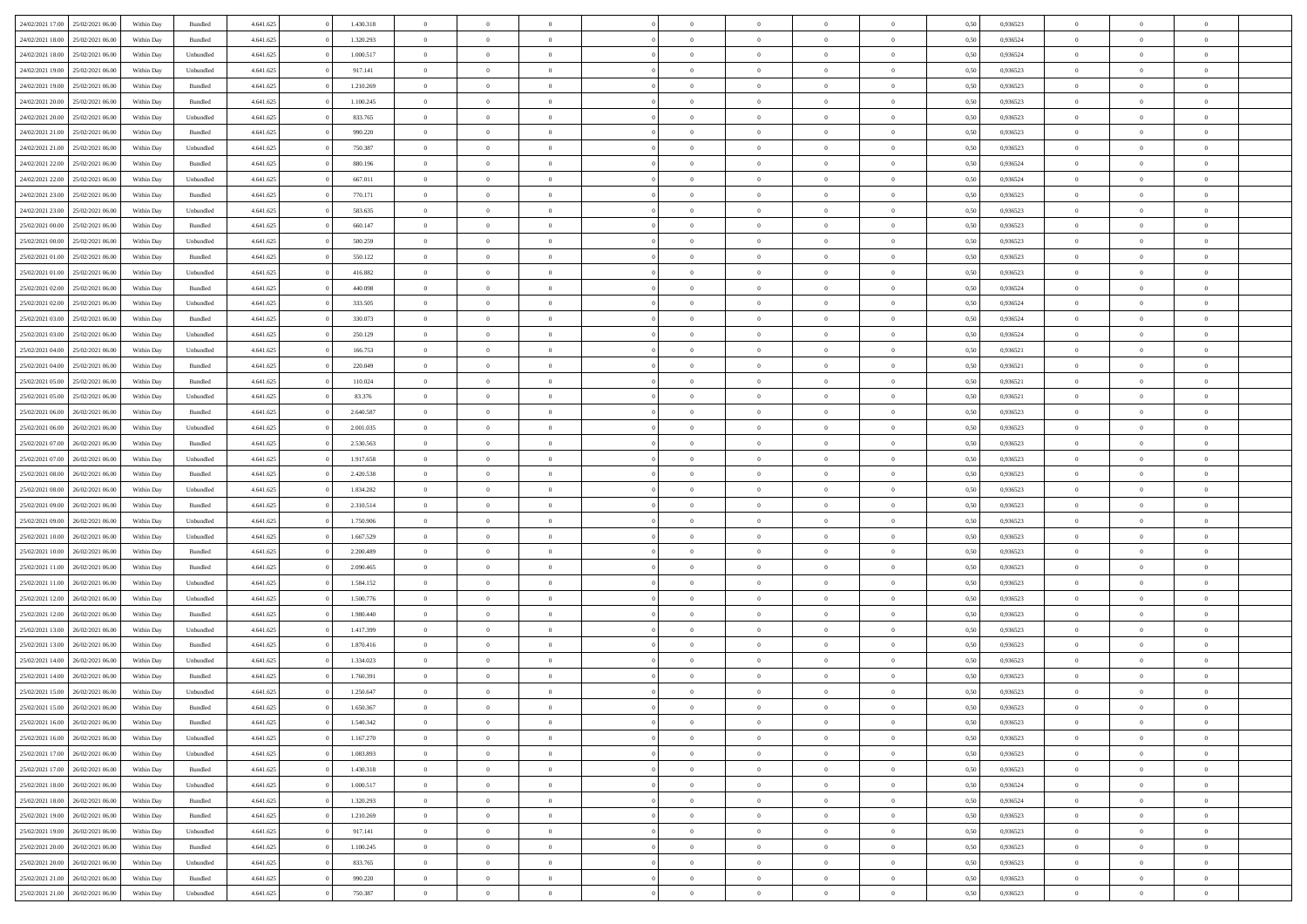|                  | 25/02/2021 06:00 | Within Day | Bundled            | 4.641.625 | 1.430.318 | $\overline{0}$ | $\Omega$       |                | $\Omega$       | $\Omega$       | $\theta$       | $\theta$       | 0,50 | 0,936523 | $\theta$       | $\theta$       | $\theta$       |  |
|------------------|------------------|------------|--------------------|-----------|-----------|----------------|----------------|----------------|----------------|----------------|----------------|----------------|------|----------|----------------|----------------|----------------|--|
| 24/02/2021 17:00 |                  |            |                    |           |           |                |                |                |                |                |                |                |      |          |                |                |                |  |
| 24/02/2021 18:00 | 25/02/2021 06:00 | Within Day | Bundled            | 4.641.625 | 1.320.293 | $\overline{0}$ | $\theta$       | $\overline{0}$ | $\overline{0}$ | $\bf{0}$       | $\overline{0}$ | $\bf{0}$       | 0,50 | 0,936524 | $\theta$       | $\overline{0}$ | $\overline{0}$ |  |
| 24/02/2021 18:00 | 25/02/2021 06:00 | Within Day | Unbundled          | 4.641.625 | 1.000.517 | $\overline{0}$ | $\bf{0}$       | $\overline{0}$ | $\overline{0}$ | $\bf{0}$       | $\overline{0}$ | $\mathbf{0}$   | 0,50 | 0,936524 | $\overline{0}$ | $\overline{0}$ | $\bf{0}$       |  |
| 24/02/2021 19:00 | 25/02/2021 06:00 | Within Day | Unbundled          | 4.641.625 | 917.141   | $\overline{0}$ | $\overline{0}$ | $\overline{0}$ | $\overline{0}$ | $\bf{0}$       | $\overline{0}$ | $\overline{0}$ | 0.50 | 0.936523 | $\theta$       | $\theta$       | $\overline{0}$ |  |
|                  |                  |            |                    |           |           |                |                |                |                |                |                |                |      |          |                |                |                |  |
| 24/02/2021 19:00 | 25/02/2021 06:00 | Within Day | Bundled            | 4.641.625 | 1.210.269 | $\overline{0}$ | $\theta$       | $\overline{0}$ | $\overline{0}$ | $\bf{0}$       | $\overline{0}$ | $\bf{0}$       | 0,50 | 0,936523 | $\theta$       | $\overline{0}$ | $\overline{0}$ |  |
| 24/02/2021 20:00 | 25/02/2021 06:00 | Within Day | Bundled            | 4.641.625 | 1.100.245 | $\overline{0}$ | $\overline{0}$ | $\overline{0}$ | $\overline{0}$ | $\overline{0}$ | $\overline{0}$ | $\mathbf{0}$   | 0,50 | 0,936523 | $\overline{0}$ | $\overline{0}$ | $\bf{0}$       |  |
| 24/02/2021 20:00 | 25/02/2021 06:00 | Within Dav | Unbundled          | 4.641.625 | 833.765   | $\overline{0}$ | $\overline{0}$ | $\overline{0}$ | $\overline{0}$ | $\overline{0}$ | $\overline{0}$ | $\overline{0}$ | 0.50 | 0.936523 | $\theta$       | $\overline{0}$ | $\overline{0}$ |  |
| 24/02/2021 21:00 | 25/02/2021 06:00 | Within Day | Bundled            | 4.641.625 | 990.220   | $\overline{0}$ | $\theta$       | $\overline{0}$ | $\overline{0}$ | $\bf{0}$       | $\overline{0}$ | $\bf{0}$       | 0,50 | 0,936523 | $\theta$       | $\theta$       | $\overline{0}$ |  |
|                  |                  |            |                    |           |           |                | $\overline{0}$ |                |                | $\bf{0}$       |                |                |      |          | $\,0\,$        | $\overline{0}$ | $\overline{0}$ |  |
| 24/02/2021 21:00 | 25/02/2021 06:00 | Within Day | Unbundled          | 4.641.625 | 750.387   | $\overline{0}$ |                | $\overline{0}$ | $\overline{0}$ |                | $\overline{0}$ | $\mathbf{0}$   | 0,50 | 0,936523 |                |                |                |  |
| 24/02/2021 22.00 | 25/02/2021 06:00 | Within Dav | Bundled            | 4.641.625 | 880.196   | $\overline{0}$ | $\overline{0}$ | $\overline{0}$ | $\overline{0}$ | $\overline{0}$ | $\overline{0}$ | $\overline{0}$ | 0.50 | 0,936524 | $\theta$       | $\overline{0}$ | $\overline{0}$ |  |
| 24/02/2021 22.00 | 25/02/2021 06:00 | Within Day | Unbundled          | 4.641.625 | 667.011   | $\overline{0}$ | $\theta$       | $\overline{0}$ | $\overline{0}$ | $\bf{0}$       | $\overline{0}$ | $\bf{0}$       | 0,50 | 0,936524 | $\,$ 0 $\,$    | $\overline{0}$ | $\overline{0}$ |  |
| 24/02/2021 23.00 | 25/02/2021 06:00 | Within Day | Bundled            | 4.641.625 | 770.171   | $\overline{0}$ | $\overline{0}$ | $\overline{0}$ | $\bf{0}$       | $\bf{0}$       | $\bf{0}$       | $\mathbf{0}$   | 0,50 | 0,936523 | $\overline{0}$ | $\overline{0}$ | $\bf{0}$       |  |
| 24/02/2021 23:00 | 25/02/2021 06:00 | Within Day | Unbundled          | 4.641.625 | 583.635   | $\overline{0}$ | $\overline{0}$ | $\overline{0}$ | $\overline{0}$ | $\bf{0}$       | $\overline{0}$ | $\overline{0}$ | 0.50 | 0.936523 | $\theta$       | $\theta$       | $\overline{0}$ |  |
|                  |                  |            |                    |           |           | $\overline{0}$ | $\theta$       |                |                | $\bf{0}$       |                |                |      |          | $\theta$       | $\overline{0}$ |                |  |
| 25/02/2021 00:00 | 25/02/2021 06:00 | Within Day | Bundled            | 4.641.625 | 660.147   |                |                | $\overline{0}$ | $\overline{0}$ |                | $\overline{0}$ | $\bf{0}$       | 0,50 | 0,936523 |                |                | $\overline{0}$ |  |
| 25/02/2021 00:00 | 25/02/2021 06:00 | Within Day | Unbundled          | 4.641.625 | 500.259   | $\overline{0}$ | $\overline{0}$ | $\overline{0}$ | $\bf{0}$       | $\overline{0}$ | $\overline{0}$ | $\mathbf{0}$   | 0,50 | 0,936523 | $\overline{0}$ | $\overline{0}$ | $\bf{0}$       |  |
| 25/02/2021 01:00 | 25/02/2021 06:00 | Within Dav | Bundled            | 4.641.625 | 550.122   | $\overline{0}$ | $\overline{0}$ | $\overline{0}$ | $\overline{0}$ | $\overline{0}$ | $\overline{0}$ | $\overline{0}$ | 0.50 | 0.936523 | $\theta$       | $\overline{0}$ | $\overline{0}$ |  |
| 25/02/2021 01:00 | 25/02/2021 06:00 | Within Day | Unbundled          | 4.641.625 | 416.882   | $\overline{0}$ | $\theta$       | $\overline{0}$ | $\overline{0}$ | $\bf{0}$       | $\overline{0}$ | $\bf{0}$       | 0,50 | 0,936523 | $\theta$       | $\theta$       | $\overline{0}$ |  |
| 25/02/2021 02:00 | 25/02/2021 06:00 | Within Day | Bundled            | 4.641.625 | 440,098   | $\overline{0}$ | $\overline{0}$ | $\overline{0}$ | $\bf{0}$       | $\bf{0}$       | $\bf{0}$       | $\mathbf{0}$   | 0,50 | 0,936524 | $\bf{0}$       | $\overline{0}$ | $\bf{0}$       |  |
|                  |                  |            |                    |           |           |                |                |                |                |                |                |                |      |          |                |                |                |  |
| 25/02/2021 02:00 | 25/02/2021 06:00 | Within Day | Unbundled          | 4.641.625 | 333.505   | $\overline{0}$ | $\overline{0}$ | $\overline{0}$ | $\overline{0}$ | $\overline{0}$ | $\overline{0}$ | $\overline{0}$ | 0.50 | 0,936524 | $\theta$       | $\overline{0}$ | $\overline{0}$ |  |
| 25/02/2021 03:00 | 25/02/2021 06:00 | Within Day | Bundled            | 4.641.625 | 330.073   | $\overline{0}$ | $\theta$       | $\overline{0}$ | $\overline{0}$ | $\bf{0}$       | $\overline{0}$ | $\bf{0}$       | 0,50 | 0,936524 | $\,$ 0 $\,$    | $\overline{0}$ | $\overline{0}$ |  |
| 25/02/2021 03:00 | 25/02/2021 06:00 | Within Day | Unbundled          | 4.641.625 | 250.129   | $\overline{0}$ | $\overline{0}$ | $\overline{0}$ | $\bf{0}$       | $\bf{0}$       | $\bf{0}$       | $\mathbf{0}$   | 0,50 | 0,936524 | $\bf{0}$       | $\overline{0}$ | $\bf{0}$       |  |
| 25/02/2021 04:00 | 25/02/2021 06:00 | Within Day | Unbundled          | 4.641.625 | 166.753   | $\overline{0}$ | $\overline{0}$ | $\overline{0}$ | $\overline{0}$ | $\overline{0}$ | $\overline{0}$ | $\overline{0}$ | 0.50 | 0.936521 | $\theta$       | $\overline{0}$ | $\overline{0}$ |  |
| 25/02/2021 04:00 | 25/02/2021 06:00 | Within Day |                    | 4.641.625 | 220.049   | $\overline{0}$ | $\theta$       | $\overline{0}$ | $\overline{0}$ | $\bf{0}$       | $\overline{0}$ | $\,$ 0 $\,$    |      | 0,936521 | $\,$ 0 $\,$    | $\overline{0}$ | $\overline{0}$ |  |
|                  |                  |            | Bundled            |           |           |                |                |                |                |                |                |                | 0,50 |          |                |                |                |  |
| 25/02/2021 05:00 | 25/02/2021 06:00 | Within Day | Bundled            | 4.641.625 | 110.024   | $\overline{0}$ | $\overline{0}$ | $\overline{0}$ | $\bf{0}$       | $\overline{0}$ | $\overline{0}$ | $\mathbf{0}$   | 0,50 | 0,936521 | $\bf{0}$       | $\overline{0}$ | $\bf{0}$       |  |
| 25/02/2021 05:00 | 25/02/2021 06:00 | Within Day | Unbundled          | 4.641.625 | 83.376    | $\overline{0}$ | $\overline{0}$ | $\overline{0}$ | $\overline{0}$ | $\overline{0}$ | $\overline{0}$ | $\overline{0}$ | 0.50 | 0,936521 | $\theta$       | $\overline{0}$ | $\overline{0}$ |  |
| 25/02/2021 06:00 | 26/02/2021 06:00 | Within Day | Bundled            | 4.641.625 | 2.640.587 | $\overline{0}$ | $\theta$       | $\overline{0}$ | $\overline{0}$ | $\bf{0}$       | $\overline{0}$ | $\bf{0}$       | 0,50 | 0,936523 | $\theta$       | $\theta$       | $\overline{0}$ |  |
| 25/02/2021 06:00 | 26/02/2021 06:00 | Within Day | Unbundled          | 4.641.625 | 2.001.035 | $\overline{0}$ | $\overline{0}$ | $\overline{0}$ | $\bf{0}$       | $\bf{0}$       | $\bf{0}$       | $\mathbf{0}$   | 0,50 | 0,936523 | $\,0\,$        | $\overline{0}$ | $\overline{0}$ |  |
|                  | 26/02/2021 06:00 |            | Bundled            | 4.641.625 | 2.530.563 | $\overline{0}$ | $\overline{0}$ | $\overline{0}$ | $\overline{0}$ | $\overline{0}$ | $\overline{0}$ | $\overline{0}$ | 0.50 | 0.936523 | $\theta$       | $\overline{0}$ | $\overline{0}$ |  |
| 25/02/2021 07:00 |                  | Within Day |                    |           |           |                |                |                |                |                |                |                |      |          |                |                |                |  |
| 25/02/2021 07:00 | 26/02/2021 06:00 | Within Day | Unbundled          | 4.641.625 | 1.917.658 | $\overline{0}$ | $\theta$       | $\overline{0}$ | $\overline{0}$ | $\bf{0}$       | $\overline{0}$ | $\bf{0}$       | 0,50 | 0,936523 | $\,$ 0 $\,$    | $\overline{0}$ | $\overline{0}$ |  |
| 25/02/2021 08:00 | 26/02/2021 06:00 | Within Day | Bundled            | 4.641.625 | 2.420.538 | $\overline{0}$ | $\overline{0}$ | $\overline{0}$ | $\bf{0}$       | $\bf{0}$       | $\bf{0}$       | $\mathbf{0}$   | 0,50 | 0,936523 | $\bf{0}$       | $\overline{0}$ | $\bf{0}$       |  |
| 25/02/2021 08:00 | 26/02/2021 06:00 | Within Day | Unbundled          | 4.641.625 | 1.834.282 | $\bf{0}$       | $\Omega$       | $\overline{0}$ | $\Omega$       | $\bf{0}$       | $\overline{0}$ | $\overline{0}$ | 0,50 | 0,936523 | $\,0\,$        | $\theta$       | $\theta$       |  |
| 25/02/2021 09:00 | 26/02/2021 06:00 | Within Day | Bundled            | 4.641.625 | 2.310.514 | $\overline{0}$ | $\theta$       | $\overline{0}$ | $\overline{0}$ | $\bf{0}$       | $\overline{0}$ | $\bf{0}$       | 0,50 | 0,936523 | $\theta$       | $\overline{0}$ | $\overline{0}$ |  |
|                  |                  |            |                    |           |           |                |                |                |                |                |                |                |      |          |                |                |                |  |
| 25/02/2021 09:00 | 26/02/2021 06:00 | Within Day | Unbundled          | 4.641.625 | 1.750.906 | $\overline{0}$ | $\overline{0}$ | $\overline{0}$ | $\bf{0}$       | $\overline{0}$ | $\overline{0}$ | $\mathbf{0}$   | 0,50 | 0,936523 | $\bf{0}$       | $\overline{0}$ | $\bf{0}$       |  |
| 25/02/2021 10:00 | 26/02/2021 06:00 | Within Day | Unbundled          | 4.641.625 | 1.667.529 | $\overline{0}$ | $\Omega$       | $\Omega$       | $\Omega$       | $\overline{0}$ | $\overline{0}$ | $\overline{0}$ | 0.50 | 0.936523 | $\,0\,$        | $\theta$       | $\theta$       |  |
| 25/02/2021 10:00 | 26/02/2021 06:00 | Within Day | Bundled            | 4.641.625 | 2.200.489 | $\overline{0}$ | $\theta$       | $\overline{0}$ | $\overline{0}$ | $\bf{0}$       | $\overline{0}$ | $\bf{0}$       | 0,50 | 0,936523 | $\,$ 0 $\,$    | $\overline{0}$ | $\overline{0}$ |  |
| 25/02/2021 11:00 | 26/02/2021 06:00 | Within Day | Bundled            | 4.641.625 | 2.090.465 | $\overline{0}$ | $\overline{0}$ | $\overline{0}$ | $\bf{0}$       | $\bf{0}$       | $\bf{0}$       | $\mathbf{0}$   | 0,50 | 0,936523 | $\bf{0}$       | $\overline{0}$ | $\bf{0}$       |  |
| 25/02/2021 11:00 | 26/02/2021 06:00 | Within Day | Unbundled          | 4.641.625 | 1.584.152 | $\overline{0}$ | $\Omega$       | $\overline{0}$ | $\Omega$       | $\overline{0}$ | $\overline{0}$ | $\overline{0}$ | 0.50 | 0.936523 | $\,$ 0 $\,$    | $\theta$       | $\theta$       |  |
|                  |                  |            |                    |           |           |                |                |                |                |                |                |                |      |          |                |                |                |  |
| 25/02/2021 12:00 | 26/02/2021 06:00 | Within Day | Unbundled          | 4.641.625 | 1.500.776 | $\overline{0}$ | $\theta$       | $\overline{0}$ | $\overline{0}$ | $\,$ 0         | $\overline{0}$ | $\bf{0}$       | 0,50 | 0,936523 | $\,$ 0 $\,$    | $\overline{0}$ | $\overline{0}$ |  |
| 25/02/2021 12:00 | 26/02/2021 06:00 | Within Day | Bundled            | 4.641.625 | 1.980.440 | $\overline{0}$ | $\bf{0}$       | $\overline{0}$ | $\bf{0}$       | $\bf{0}$       | $\bf{0}$       | $\mathbf{0}$   | 0,50 | 0,936523 | $\bf{0}$       | $\overline{0}$ | $\bf{0}$       |  |
| 25/02/2021 13:00 | 26/02/2021 06:00 | Within Day | Unbundled          | 4.641.625 | 1.417.399 | $\overline{0}$ | $\Omega$       | $\overline{0}$ | $\Omega$       | $\bf{0}$       | $\overline{0}$ | $\overline{0}$ | 0,50 | 0,936523 | $\,0\,$        | $\theta$       | $\theta$       |  |
| 25/02/2021 13:00 | 26/02/2021 06:00 | Within Day | Bundled            | 4.641.625 | 1.870.416 | $\overline{0}$ | $\overline{0}$ | $\overline{0}$ | $\overline{0}$ | $\,$ 0         | $\overline{0}$ | $\bf{0}$       | 0,50 | 0,936523 | $\,$ 0 $\,$    | $\overline{0}$ | $\overline{0}$ |  |
| 25/02/2021 14:00 | 26/02/2021 06:00 | Within Day | Unbundled          | 4.641.625 | 1.334.023 | $\overline{0}$ | $\overline{0}$ | $\overline{0}$ | $\bf{0}$       | $\bf{0}$       | $\overline{0}$ | $\mathbf{0}$   | 0,50 | 0,936523 | $\bf{0}$       | $\overline{0}$ | $\bf{0}$       |  |
|                  |                  |            |                    |           |           |                |                |                |                |                |                |                |      |          |                |                |                |  |
| 25/02/2021 14:00 | 26/02/2021 06:00 | Within Day | Bundled            | 4.641.625 | 1.760.391 | $\overline{0}$ | $\Omega$       | $\Omega$       | $\Omega$       | $\Omega$       | $\Omega$       | $\overline{0}$ | 0.50 | 0.936523 | $\theta$       | $\theta$       | $\theta$       |  |
| 25/02/2021 15:00 | 26/02/2021 06:00 | Within Day | Unbundled          | 4.641.625 | 1.250.647 | $\overline{0}$ | $\overline{0}$ | $\overline{0}$ | $\bf{0}$       | $\,$ 0         | $\bf{0}$       | $\bf{0}$       | 0,50 | 0,936523 | $\,0\,$        | $\,$ 0 $\,$    | $\overline{0}$ |  |
| 25/02/2021 15:00 | 26/02/2021 06:00 | Within Day | $\mathbf B$ undled | 4.641.625 | 1.650.367 | $\overline{0}$ | $\bf{0}$       |                |                | $\bf{0}$       |                |                | 0,50 | 0,936523 | $\bf{0}$       | $\overline{0}$ |                |  |
| 25/02/2021 16:00 | 26/02/2021 06:00 | Within Day | Bundled            | 4.641.625 | 1.540.342 | $\overline{0}$ | $\overline{0}$ | $\overline{0}$ | $\Omega$       | $\overline{0}$ | $\overline{0}$ | $\overline{0}$ | 0.50 | 0.936523 | $\theta$       | $\theta$       | $\theta$       |  |
| 25/02/2021 16:00 | 26/02/2021 06:00 | Within Day | Unbundled          | 4.641.625 | 1.167.270 | $\overline{0}$ | $\,$ 0         | $\overline{0}$ | $\bf{0}$       | $\,$ 0 $\,$    | $\overline{0}$ | $\mathbf{0}$   | 0,50 | 0,936523 | $\,$ 0 $\,$    | $\,$ 0 $\,$    | $\,$ 0         |  |
|                  |                  |            |                    |           |           |                |                |                |                |                |                |                |      |          |                |                |                |  |
| 25/02/2021 17:00 | 26/02/2021 06:00 | Within Day | Unbundled          | 4.641.625 | 1.083.893 | $\overline{0}$ | $\overline{0}$ | $\overline{0}$ | $\overline{0}$ | $\overline{0}$ | $\overline{0}$ | $\mathbf{0}$   | 0,50 | 0,936523 | $\overline{0}$ | $\bf{0}$       | $\bf{0}$       |  |
| 25/02/2021 17:00 | 26/02/2021 06:00 | Within Day | Bundled            | 4.641.625 | 1.430.318 | $\overline{0}$ | $\overline{0}$ | $\overline{0}$ | $\Omega$       | $\overline{0}$ | $\overline{0}$ | $\overline{0}$ | 0,50 | 0,936523 | $\overline{0}$ | $\theta$       | $\overline{0}$ |  |
| 25/02/2021 18:00 | 26/02/2021 06:00 | Within Day | Unbundled          | 4.641.625 | 1.000.517 | $\overline{0}$ | $\,$ 0         | $\overline{0}$ | $\overline{0}$ | $\,$ 0 $\,$    | $\overline{0}$ | $\mathbf{0}$   | 0,50 | 0,936524 | $\,$ 0 $\,$    | $\overline{0}$ | $\overline{0}$ |  |
| 25/02/2021 18:00 | 26/02/2021 06:00 | Within Day | Bundled            | 4.641.625 | 1.320.293 | $\overline{0}$ | $\overline{0}$ | $\overline{0}$ | $\overline{0}$ | $\overline{0}$ | $\overline{0}$ | $\mathbf{0}$   | 0,50 | 0,936524 | $\overline{0}$ | $\overline{0}$ | $\bf{0}$       |  |
|                  | 26/02/2021 06:00 |            |                    |           |           | $\overline{0}$ | $\overline{0}$ | $\overline{0}$ | $\Omega$       | $\overline{0}$ | $\overline{0}$ |                | 0.50 |          |                | $\theta$       | $\overline{0}$ |  |
| 25/02/2021 19:00 |                  | Within Day | Bundled            | 4.641.625 | 1.210.269 |                |                |                |                |                |                | $\bf{0}$       |      | 0,936523 | $\overline{0}$ |                |                |  |
| 25/02/2021 19:00 | 26/02/2021 06:00 | Within Day | Unbundled          | 4.641.625 | 917.141   | $\overline{0}$ | $\,$ 0         | $\overline{0}$ | $\bf{0}$       | $\bf{0}$       | $\bf{0}$       | $\bf{0}$       | 0,50 | 0,936523 | $\,$ 0 $\,$    | $\overline{0}$ | $\overline{0}$ |  |
| 25/02/2021 20:00 | 26/02/2021 06:00 | Within Day | Bundled            | 4.641.625 | 1.100.245 | $\overline{0}$ | $\bf{0}$       | $\overline{0}$ | $\overline{0}$ | $\overline{0}$ | $\overline{0}$ | $\mathbf{0}$   | 0,50 | 0,936523 | $\overline{0}$ | $\overline{0}$ | $\bf{0}$       |  |
| 25/02/2021 20:00 | 26/02/2021 06:00 | Within Day | Unbundled          | 4.641.625 | 833.765   | $\overline{0}$ | $\overline{0}$ | $\overline{0}$ | $\Omega$       | $\overline{0}$ | $\overline{0}$ | $\bf{0}$       | 0.50 | 0.936523 | $\overline{0}$ | $\theta$       | $\overline{0}$ |  |
| 25/02/2021 21:00 | 26/02/2021 06:00 | Within Day | Bundled            | 4.641.625 | 990.220   | $\overline{0}$ | $\bf{0}$       | $\overline{0}$ | $\overline{0}$ | $\bf{0}$       | $\bf{0}$       | $\mathbf{0}$   | 0,50 | 0,936523 | $\,$ 0 $\,$    | $\,$ 0 $\,$    | $\bf{0}$       |  |
|                  |                  |            |                    |           |           |                |                |                |                |                |                |                |      |          |                |                |                |  |
| 25/02/2021 21:00 | 26/02/2021 06:00 | Within Day | Unbundled          | 4.641.625 | 750.387   | $\overline{0}$ | $\overline{0}$ | $\overline{0}$ | $\overline{0}$ | $\bf{0}$       | $\bf{0}$       | $\mathbf{0}$   | 0,50 | 0,936523 | $\overline{0}$ | $\bf{0}$       | $\bf{0}$       |  |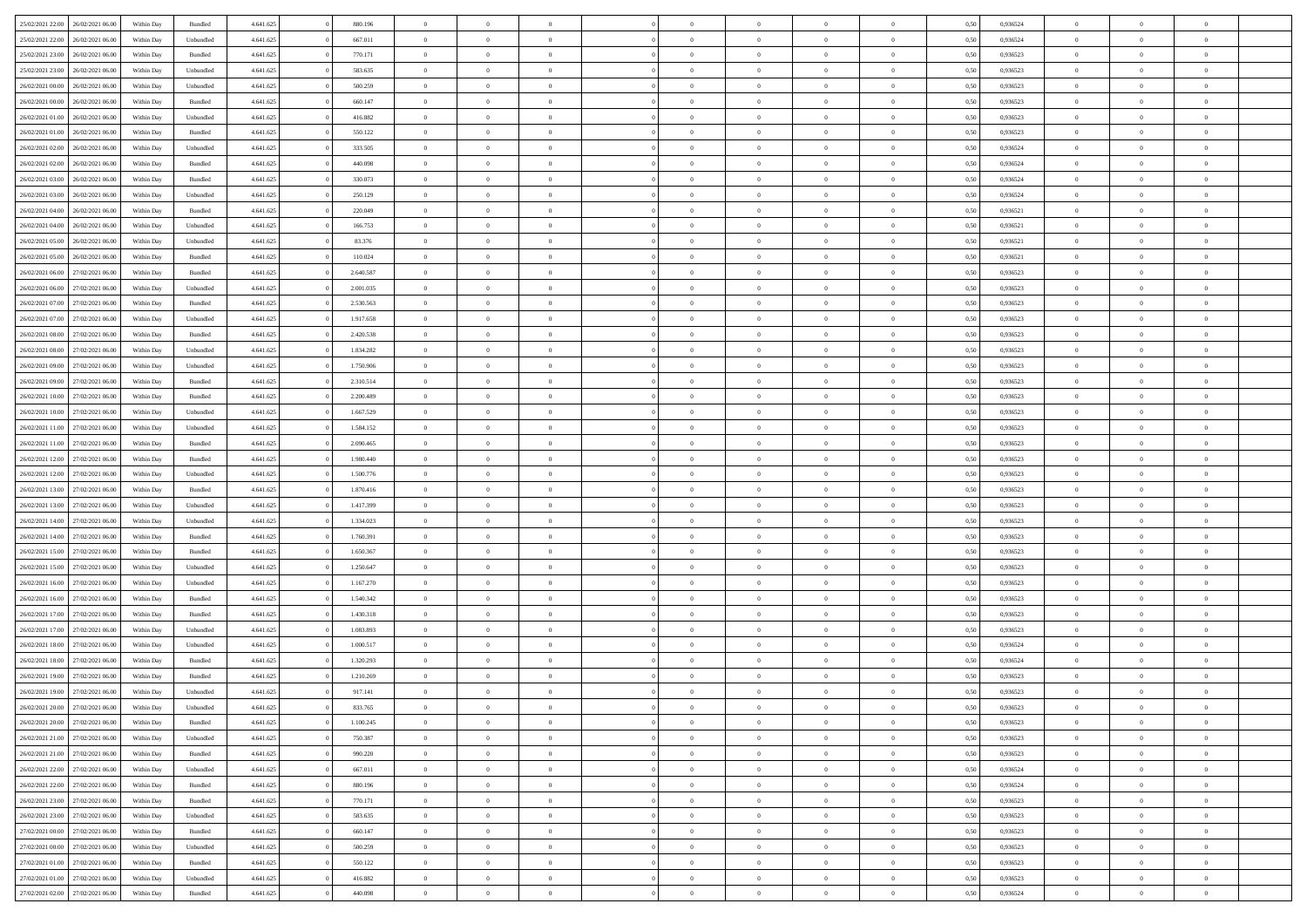| 25/02/2021 22:00                  | 26/02/2021 06:00 | Within Day | Bundled   | 4.641.625 | 880.196   | $\overline{0}$ | $\Omega$       |                | $\Omega$       | $\Omega$       | $\theta$       | $\theta$       | 0.50 | 0,936524 | $\theta$       | $\theta$       | $\theta$       |  |
|-----------------------------------|------------------|------------|-----------|-----------|-----------|----------------|----------------|----------------|----------------|----------------|----------------|----------------|------|----------|----------------|----------------|----------------|--|
| 25/02/2021 22:00                  | 26/02/2021 06:00 | Within Day | Unbundled | 4.641.625 | 667.011   | $\overline{0}$ | $\theta$       | $\overline{0}$ | $\overline{0}$ | $\bf{0}$       | $\overline{0}$ | $\bf{0}$       | 0,50 | 0,936524 | $\theta$       | $\overline{0}$ | $\overline{0}$ |  |
| 25/02/2021 23:00                  | 26/02/2021 06:00 | Within Day | Bundled   | 4.641.625 | 770.171   | $\overline{0}$ | $\bf{0}$       | $\overline{0}$ | $\bf{0}$       | $\bf{0}$       | $\bf{0}$       | $\mathbf{0}$   | 0,50 | 0,936523 | $\bf{0}$       | $\overline{0}$ | $\bf{0}$       |  |
| 25/02/2021 23:00                  | 26/02/2021 06:00 | Within Day | Unbundled | 4.641.625 | 583.635   | $\overline{0}$ | $\overline{0}$ | $\overline{0}$ | $\overline{0}$ | $\bf{0}$       | $\overline{0}$ | $\overline{0}$ | 0.50 | 0.936523 | $\theta$       | $\theta$       | $\overline{0}$ |  |
|                                   |                  |            |           |           |           |                |                |                |                |                |                |                |      |          |                |                |                |  |
| 26/02/2021 00:00                  | 26/02/2021 06:00 | Within Day | Unbundled | 4.641.625 | 500.259   | $\overline{0}$ | $\theta$       | $\overline{0}$ | $\overline{0}$ | $\bf{0}$       | $\overline{0}$ | $\bf{0}$       | 0,50 | 0,936523 | $\theta$       | $\overline{0}$ | $\overline{0}$ |  |
| 26/02/2021 00:00                  | 26/02/2021 06:00 | Within Day | Bundled   | 4.641.625 | 660.147   | $\overline{0}$ | $\overline{0}$ | $\overline{0}$ | $\bf{0}$       | $\overline{0}$ | $\overline{0}$ | $\mathbf{0}$   | 0,50 | 0,936523 | $\bf{0}$       | $\overline{0}$ | $\bf{0}$       |  |
| 26/02/2021 01:00                  | 26/02/2021 06:00 | Within Dav | Unbundled | 4.641.625 | 416.882   | $\overline{0}$ | $\overline{0}$ | $\overline{0}$ | $\overline{0}$ | $\overline{0}$ | $\overline{0}$ | $\overline{0}$ | 0.50 | 0.936523 | $\theta$       | $\overline{0}$ | $\overline{0}$ |  |
| 26/02/2021 01:00                  | 26/02/2021 06:00 | Within Day | Bundled   | 4.641.625 | 550.122   | $\overline{0}$ | $\theta$       | $\overline{0}$ | $\overline{0}$ | $\bf{0}$       | $\overline{0}$ | $\bf{0}$       | 0,50 | 0,936523 | $\theta$       | $\theta$       | $\overline{0}$ |  |
| 26/02/2021 02:00                  | 26/02/2021 06:00 | Within Day | Unbundled | 4.641.625 | 333.505   | $\overline{0}$ | $\overline{0}$ | $\overline{0}$ | $\bf{0}$       | $\bf{0}$       | $\bf{0}$       | $\bf{0}$       | 0,50 | 0,936524 | $\,0\,$        | $\overline{0}$ | $\overline{0}$ |  |
|                                   |                  |            |           |           |           |                |                |                |                |                |                |                |      |          |                |                |                |  |
| 26/02/2021 02:00                  | 26/02/2021 06:00 | Within Dav | Bundled   | 4.641.625 | 440.098   | $\overline{0}$ | $\overline{0}$ | $\overline{0}$ | $\overline{0}$ | $\overline{0}$ | $\overline{0}$ | $\overline{0}$ | 0.50 | 0,936524 | $\theta$       | $\overline{0}$ | $\overline{0}$ |  |
| 26/02/2021 03:00                  | 26/02/2021 06:00 | Within Day | Bundled   | 4.641.625 | 330.073   | $\overline{0}$ | $\theta$       | $\overline{0}$ | $\overline{0}$ | $\bf{0}$       | $\overline{0}$ | $\bf{0}$       | 0,50 | 0,936524 | $\,$ 0 $\,$    | $\overline{0}$ | $\overline{0}$ |  |
| 26/02/2021 03:00                  | 26/02/2021 06:00 | Within Day | Unbundled | 4.641.625 | 250.129   | $\overline{0}$ | $\bf{0}$       | $\overline{0}$ | $\bf{0}$       | $\bf{0}$       | $\bf{0}$       | $\mathbf{0}$   | 0,50 | 0,936524 | $\bf{0}$       | $\overline{0}$ | $\bf{0}$       |  |
| 26/02/2021 04:00                  | 26/02/2021 06:00 | Within Day | Bundled   | 4.641.625 | 220,049   | $\overline{0}$ | $\overline{0}$ | $\overline{0}$ | $\overline{0}$ | $\bf{0}$       | $\overline{0}$ | $\overline{0}$ | 0.50 | 0,936521 | $\theta$       | $\theta$       | $\overline{0}$ |  |
| 26/02/2021 04:00                  | 26/02/2021 06:00 | Within Day | Unbundled | 4.641.625 | 166.753   | $\overline{0}$ | $\theta$       | $\overline{0}$ | $\overline{0}$ | $\bf{0}$       | $\overline{0}$ | $\bf{0}$       | 0,50 | 0,936521 | $\theta$       | $\overline{0}$ | $\overline{0}$ |  |
|                                   |                  |            |           |           |           |                |                |                |                |                |                |                |      |          |                |                |                |  |
| 26/02/2021 05:00                  | 26/02/2021 06:00 | Within Day | Unbundled | 4.641.625 | 83.376    | $\overline{0}$ | $\overline{0}$ | $\overline{0}$ | $\bf{0}$       | $\overline{0}$ | $\overline{0}$ | $\mathbf{0}$   | 0,50 | 0,936521 | $\bf{0}$       | $\overline{0}$ | $\bf{0}$       |  |
| 26/02/2021 05:00                  | 26/02/2021 06:00 | Within Dav | Bundled   | 4.641.625 | 110.024   | $\overline{0}$ | $\overline{0}$ | $\overline{0}$ | $\overline{0}$ | $\overline{0}$ | $\overline{0}$ | $\overline{0}$ | 0.50 | 0,936521 | $\theta$       | $\overline{0}$ | $\overline{0}$ |  |
| 26/02/2021 06:00                  | 27/02/2021 06:00 | Within Day | Bundled   | 4.641.625 | 2.640.587 | $\overline{0}$ | $\theta$       | $\overline{0}$ | $\overline{0}$ | $\bf{0}$       | $\overline{0}$ | $\bf{0}$       | 0,50 | 0,936523 | $\theta$       | $\theta$       | $\overline{0}$ |  |
| 26/02/2021 06:00                  | 27/02/2021 06:00 | Within Day | Unbundled | 4.641.625 | 2.001.035 | $\overline{0}$ | $\overline{0}$ | $\overline{0}$ | $\bf{0}$       | $\bf{0}$       | $\bf{0}$       | $\mathbf{0}$   | 0,50 | 0,936523 | $\,0\,$        | $\overline{0}$ | $\overline{0}$ |  |
| 26/02/2021 07:00                  | 27/02/2021 06:00 | Within Day | Bundled   | 4.641.625 | 2.530.563 | $\overline{0}$ | $\overline{0}$ | $\overline{0}$ | $\overline{0}$ | $\overline{0}$ | $\overline{0}$ | $\overline{0}$ | 0.50 | 0.936523 | $\theta$       | $\overline{0}$ | $\overline{0}$ |  |
|                                   |                  |            |           |           |           |                |                |                |                |                |                |                |      |          |                |                |                |  |
| 26/02/2021 07:00                  | 27/02/2021 06:00 | Within Day | Unbundled | 4.641.625 | 1.917.658 | $\overline{0}$ | $\theta$       | $\overline{0}$ | $\overline{0}$ | $\bf{0}$       | $\overline{0}$ | $\bf{0}$       | 0,50 | 0,936523 | $\theta$       | $\overline{0}$ | $\overline{0}$ |  |
| 26/02/2021 08:00                  | 27/02/2021 06:00 | Within Day | Bundled   | 4.641.625 | 2.420.538 | $\overline{0}$ | $\overline{0}$ | $\overline{0}$ | $\bf{0}$       | $\bf{0}$       | $\bf{0}$       | $\mathbf{0}$   | 0,50 | 0,936523 | $\,0\,$        | $\overline{0}$ | $\bf{0}$       |  |
| 26/02/2021 08:00                  | 27/02/2021 06:00 | Within Day | Unbundled | 4.641.625 | 1.834.282 | $\overline{0}$ | $\overline{0}$ | $\overline{0}$ | $\overline{0}$ | $\bf{0}$       | $\overline{0}$ | $\overline{0}$ | 0.50 | 0.936523 | $\theta$       | $\overline{0}$ | $\overline{0}$ |  |
| 26/02/2021 09:00                  | 27/02/2021 06:00 | Within Day | Unbundled | 4.641.625 | 1.750.906 | $\overline{0}$ | $\theta$       | $\overline{0}$ | $\overline{0}$ | $\bf{0}$       | $\overline{0}$ | $\bf{0}$       | 0,50 | 0,936523 | $\theta$       | $\overline{0}$ | $\overline{0}$ |  |
| 26/02/2021 09:00                  | 27/02/2021 06:00 | Within Day | Bundled   | 4.641.625 | 2.310.514 | $\overline{0}$ | $\overline{0}$ | $\overline{0}$ | $\bf{0}$       | $\overline{0}$ | $\overline{0}$ | $\mathbf{0}$   | 0,50 | 0,936523 | $\bf{0}$       | $\overline{0}$ | $\bf{0}$       |  |
|                                   |                  |            |           |           |           |                |                |                |                |                |                |                |      |          |                |                |                |  |
| 26/02/2021 10:00                  | 27/02/2021 06:00 | Within Dav | Bundled   | 4.641.625 | 2.200.489 | $\overline{0}$ | $\overline{0}$ | $\overline{0}$ | $\overline{0}$ | $\overline{0}$ | $\overline{0}$ | $\overline{0}$ | 0.50 | 0.936523 | $\theta$       | $\overline{0}$ | $\overline{0}$ |  |
| 26/02/2021 10:00                  | 27/02/2021 06:00 | Within Day | Unbundled | 4.641.625 | 1.667.529 | $\overline{0}$ | $\theta$       | $\overline{0}$ | $\overline{0}$ | $\bf{0}$       | $\overline{0}$ | $\bf{0}$       | 0,50 | 0,936523 | $\theta$       | $\theta$       | $\overline{0}$ |  |
| 26/02/2021 11:00                  | 27/02/2021 06:00 | Within Day | Unbundled | 4.641.625 | 1.584.152 | $\overline{0}$ | $\overline{0}$ | $\overline{0}$ | $\bf{0}$       | $\bf{0}$       | $\bf{0}$       | $\bf{0}$       | 0,50 | 0,936523 | $\,0\,$        | $\overline{0}$ | $\overline{0}$ |  |
| 26/02/2021 11:00                  | 27/02/2021 06:00 | Within Day | Bundled   | 4.641.625 | 2.090.465 | $\overline{0}$ | $\overline{0}$ | $\overline{0}$ | $\overline{0}$ | $\overline{0}$ | $\overline{0}$ | $\overline{0}$ | 0.50 | 0.936523 | $\theta$       | $\overline{0}$ | $\overline{0}$ |  |
| 26/02/2021 12:00                  | 27/02/2021 06:00 | Within Day | Bundled   | 4.641.625 | 1.980.440 | $\overline{0}$ | $\theta$       | $\overline{0}$ | $\overline{0}$ | $\bf{0}$       | $\overline{0}$ | $\bf{0}$       | 0,50 | 0,936523 | $\,$ 0 $\,$    | $\overline{0}$ | $\overline{0}$ |  |
| 26/02/2021 12:00                  | 27/02/2021 06:00 | Within Day | Unbundled | 4.641.625 | 1.500.776 | $\overline{0}$ | $\overline{0}$ | $\overline{0}$ | $\bf{0}$       | $\bf{0}$       | $\bf{0}$       | $\bf{0}$       | 0,50 | 0,936523 | $\overline{0}$ | $\overline{0}$ | $\bf{0}$       |  |
|                                   |                  |            |           |           |           |                |                |                |                |                |                |                |      |          |                |                |                |  |
| 26/02/2021 13:00                  | 27/02/2021 06:00 | Within Day | Bundled   | 4.641.625 | 1.870.416 | $\overline{0}$ | $\Omega$       | $\Omega$       | $\Omega$       | $\Omega$       | $\overline{0}$ | $\overline{0}$ | 0,50 | 0,936523 | $\,0\,$        | $\theta$       | $\theta$       |  |
| 26/02/2021 13:00                  | 27/02/2021 06:00 | Within Day | Unbundled | 4.641.625 | 1.417.399 | $\overline{0}$ | $\theta$       | $\overline{0}$ | $\overline{0}$ | $\bf{0}$       | $\overline{0}$ | $\bf{0}$       | 0,50 | 0,936523 | $\theta$       | $\overline{0}$ | $\overline{0}$ |  |
| 26/02/2021 14:00                  | 27/02/2021 06:00 | Within Day | Unbundled | 4.641.625 | 1.334.023 | $\overline{0}$ | $\overline{0}$ | $\overline{0}$ | $\bf{0}$       | $\overline{0}$ | $\overline{0}$ | $\mathbf{0}$   | 0,50 | 0,936523 | $\overline{0}$ | $\overline{0}$ | $\bf{0}$       |  |
| 26/02/2021 14:00                  | 27/02/2021 06:00 | Within Day | Bundled   | 4.641.625 | 1.760.391 | $\overline{0}$ | $\Omega$       | $\Omega$       | $\Omega$       | $\bf{0}$       | $\overline{0}$ | $\overline{0}$ | 0.50 | 0.936523 | $\,0\,$        | $\theta$       | $\theta$       |  |
| 26/02/2021 15:00                  | 27/02/2021 06:00 | Within Day | Bundled   | 4.641.625 | 1.650.367 | $\overline{0}$ | $\theta$       | $\overline{0}$ | $\overline{0}$ | $\bf{0}$       | $\overline{0}$ | $\bf{0}$       | 0,50 | 0,936523 | $\theta$       | $\overline{0}$ | $\overline{0}$ |  |
| 26/02/2021 15:00                  | 27/02/2021 06:00 | Within Day | Unbundled | 4.641.625 | 1.250.647 | $\overline{0}$ | $\overline{0}$ | $\overline{0}$ | $\bf{0}$       | $\bf{0}$       | $\bf{0}$       | $\mathbf{0}$   | 0,50 | 0,936523 | $\bf{0}$       | $\overline{0}$ | $\bf{0}$       |  |
|                                   |                  |            |           |           |           |                |                |                |                |                |                |                |      |          |                |                |                |  |
| 26/02/2021 16:00                  | 27/02/2021 06:00 | Within Day | Unbundled | 4.641.625 | 1.167.270 | $\overline{0}$ | $\Omega$       | $\Omega$       | $\Omega$       | $\theta$       | $\overline{0}$ | $\overline{0}$ | 0.50 | 0.936523 | $\,$ 0 $\,$    | $\theta$       | $\theta$       |  |
| 26/02/2021 16:00                  | 27/02/2021 06:00 | Within Day | Bundled   | 4.641.625 | 1.540.342 | $\overline{0}$ | $\theta$       | $\overline{0}$ | $\overline{0}$ | $\bf{0}$       | $\overline{0}$ | $\bf{0}$       | 0,50 | 0,936523 | $\,$ 0 $\,$    | $\overline{0}$ | $\overline{0}$ |  |
| 26/02/2021 17:00                  | 27/02/2021 06:00 | Within Day | Bundled   | 4.641.625 | 1.430.318 | $\overline{0}$ | $\bf{0}$       | $\overline{0}$ | $\bf{0}$       | $\bf{0}$       | $\bf{0}$       | $\mathbf{0}$   | 0,50 | 0,936523 | $\overline{0}$ | $\overline{0}$ | $\bf{0}$       |  |
| 26/02/2021 17:00                  | 27/02/2021 06:00 | Within Day | Unbundled | 4.641.625 | 1.083.893 | $\overline{0}$ | $\Omega$       | $\overline{0}$ | $\Omega$       | $\overline{0}$ | $\overline{0}$ | $\overline{0}$ | 0,50 | 0,936523 | $\,0\,$        | $\theta$       | $\theta$       |  |
| 26/02/2021 18:00                  | 27/02/2021 06:00 | Within Day | Unbundled | 4.641.625 | 1.000.517 | $\overline{0}$ | $\theta$       | $\overline{0}$ | $\overline{0}$ | $\bf{0}$       | $\overline{0}$ | $\bf{0}$       | 0,50 | 0,936524 | $\,$ 0 $\,$    | $\overline{0}$ | $\overline{0}$ |  |
| 26/02/2021 18:00                  | 27/02/2021 06:00 | Within Day | Bundled   | 4.641.625 | 1.320.293 | $\overline{0}$ | $\overline{0}$ | $\overline{0}$ | $\bf{0}$       | $\bf{0}$       | $\bf{0}$       | $\mathbf{0}$   | 0,50 | 0,936524 | $\overline{0}$ | $\overline{0}$ | $\bf{0}$       |  |
|                                   |                  |            |           |           |           |                |                |                |                |                |                |                |      |          |                |                |                |  |
| 26/02/2021 19:00                  | 27/02/2021 06:00 | Within Day | Bundled   | 4.641.625 | 1.210.269 | $\overline{0}$ | $\Omega$       | $\Omega$       | $\Omega$       | $\Omega$       | $\Omega$       | $\overline{0}$ | 0.50 | 0.936523 | $\theta$       | $\theta$       | $\theta$       |  |
| 26/02/2021 19:00                  | 27/02/2021 06:00 | Within Day | Unbundled | 4.641.625 | 917.141   | $\overline{0}$ | $\overline{0}$ | $\overline{0}$ | $\bf{0}$       | $\,$ 0         | $\bf{0}$       | $\bf{0}$       | 0,50 | 0,936523 | $\,0\,$        | $\,$ 0 $\,$    | $\overline{0}$ |  |
| 26/02/2021 20:00                  | 27/02/2021 06:00 | Within Day | Unbundled | 4.641.625 | 833.765   | $\bf{0}$       | $\bf{0}$       |                |                | $\bf{0}$       |                |                | 0,50 | 0,936523 | $\bf{0}$       | $\overline{0}$ |                |  |
| 26/02/2021 20:00                  | 27/02/2021 06:00 | Within Day | Bundled   | 4.641.625 | 1.100.245 | $\overline{0}$ | $\overline{0}$ | $\overline{0}$ | $\Omega$       | $\overline{0}$ | $\overline{0}$ | $\overline{0}$ | 0.50 | 0.936523 | $\theta$       | $\theta$       | $\Omega$       |  |
| 26/02/2021 21:00                  | 27/02/2021 06.00 | Within Day | Unbundled | 4.641.625 | 750.387   | $\overline{0}$ | $\,$ 0         | $\overline{0}$ | $\bf{0}$       | $\,$ 0 $\,$    | $\overline{0}$ | $\,$ 0 $\,$    | 0,50 | 0,936523 | $\,$ 0 $\,$    | $\,$ 0 $\,$    | $\,$ 0         |  |
| 26/02/2021 21:00                  | 27/02/2021 06:00 | Within Day | Bundled   | 4.641.625 | 990.220   | $\overline{0}$ | $\overline{0}$ | $\overline{0}$ | $\overline{0}$ | $\overline{0}$ | $\overline{0}$ | $\mathbf{0}$   | 0,50 | 0,936523 | $\overline{0}$ | $\bf{0}$       | $\bf{0}$       |  |
|                                   |                  |            |           |           |           |                |                |                |                |                |                |                |      |          |                |                |                |  |
| 26/02/2021 22:00                  | 27/02/2021 06:00 | Within Day | Unbundled | 4.641.625 | 667.011   | $\overline{0}$ | $\overline{0}$ | $\overline{0}$ | $\Omega$       | $\overline{0}$ | $\overline{0}$ | $\overline{0}$ | 0,50 | 0,936524 | $\overline{0}$ | $\theta$       | $\overline{0}$ |  |
| 26/02/2021 22.00                  | 27/02/2021 06.00 | Within Day | Bundled   | 4.641.625 | 880.196   | $\overline{0}$ | $\,$ 0         | $\overline{0}$ | $\overline{0}$ | $\,$ 0 $\,$    | $\overline{0}$ | $\mathbf{0}$   | 0,50 | 0,936524 | $\,$ 0 $\,$    | $\overline{0}$ | $\overline{0}$ |  |
| 26/02/2021 23:00                  | 27/02/2021 06:00 | Within Day | Bundled   | 4.641.625 | 770.171   | $\overline{0}$ | $\overline{0}$ | $\overline{0}$ | $\overline{0}$ | $\overline{0}$ | $\overline{0}$ | $\mathbf{0}$   | 0,50 | 0,936523 | $\overline{0}$ | $\overline{0}$ | $\bf{0}$       |  |
| 26/02/2021 23:00                  | 27/02/2021 06:00 | Within Day | Unbundled | 4.641.625 | 583.635   | $\overline{0}$ | $\overline{0}$ | $\overline{0}$ | $\Omega$       | $\overline{0}$ | $\overline{0}$ | $\bf{0}$       | 0.50 | 0,936523 | $\overline{0}$ | $\theta$       | $\overline{0}$ |  |
| 27/02/2021 00:00                  | 27/02/2021 06.00 | Within Day | Bundled   | 4.641.625 | 660.147   | $\overline{0}$ | $\,$ 0         | $\overline{0}$ | $\bf{0}$       | $\bf{0}$       | $\bf{0}$       | $\bf{0}$       | 0,50 | 0,936523 | $\,$ 0 $\,$    | $\overline{0}$ | $\overline{0}$ |  |
|                                   |                  |            |           |           |           |                |                |                |                |                |                |                |      |          |                |                |                |  |
| 27/02/2021 00:00                  | 27/02/2021 06:00 | Within Day | Unbundled | 4.641.625 | 500.259   | $\overline{0}$ | $\bf{0}$       | $\overline{0}$ | $\overline{0}$ | $\overline{0}$ | $\overline{0}$ | $\mathbf{0}$   | 0,50 | 0,936523 | $\overline{0}$ | $\overline{0}$ | $\bf{0}$       |  |
| 27/02/2021 01:00                  | 27/02/2021 06:00 | Within Day | Bundled   | 4.641.625 | 550.122   | $\overline{0}$ | $\overline{0}$ | $\overline{0}$ | $\Omega$       | $\overline{0}$ | $\overline{0}$ | $\overline{0}$ | 0.50 | 0.936523 | $\overline{0}$ | $\theta$       | $\overline{0}$ |  |
| 27/02/2021 01:00                  | 27/02/2021 06.00 | Within Day | Unbundled | 4.641.625 | 416.882   | $\overline{0}$ | $\bf{0}$       | $\overline{0}$ | $\overline{0}$ | $\bf{0}$       | $\bf{0}$       | $\mathbf{0}$   | 0,50 | 0,936523 | $\,$ 0 $\,$    | $\,$ 0 $\,$    | $\bf{0}$       |  |
| 27/02/2021 02.00 27/02/2021 06.00 |                  | Within Day | Bundled   | 4.641.625 | 440.098   | $\overline{0}$ | $\bf{0}$       | $\overline{0}$ | $\bf{0}$       | $\bf{0}$       | $\bf{0}$       | $\bf{0}$       | 0,50 | 0,936524 | $\overline{0}$ | $\overline{0}$ | $\bf{0}$       |  |